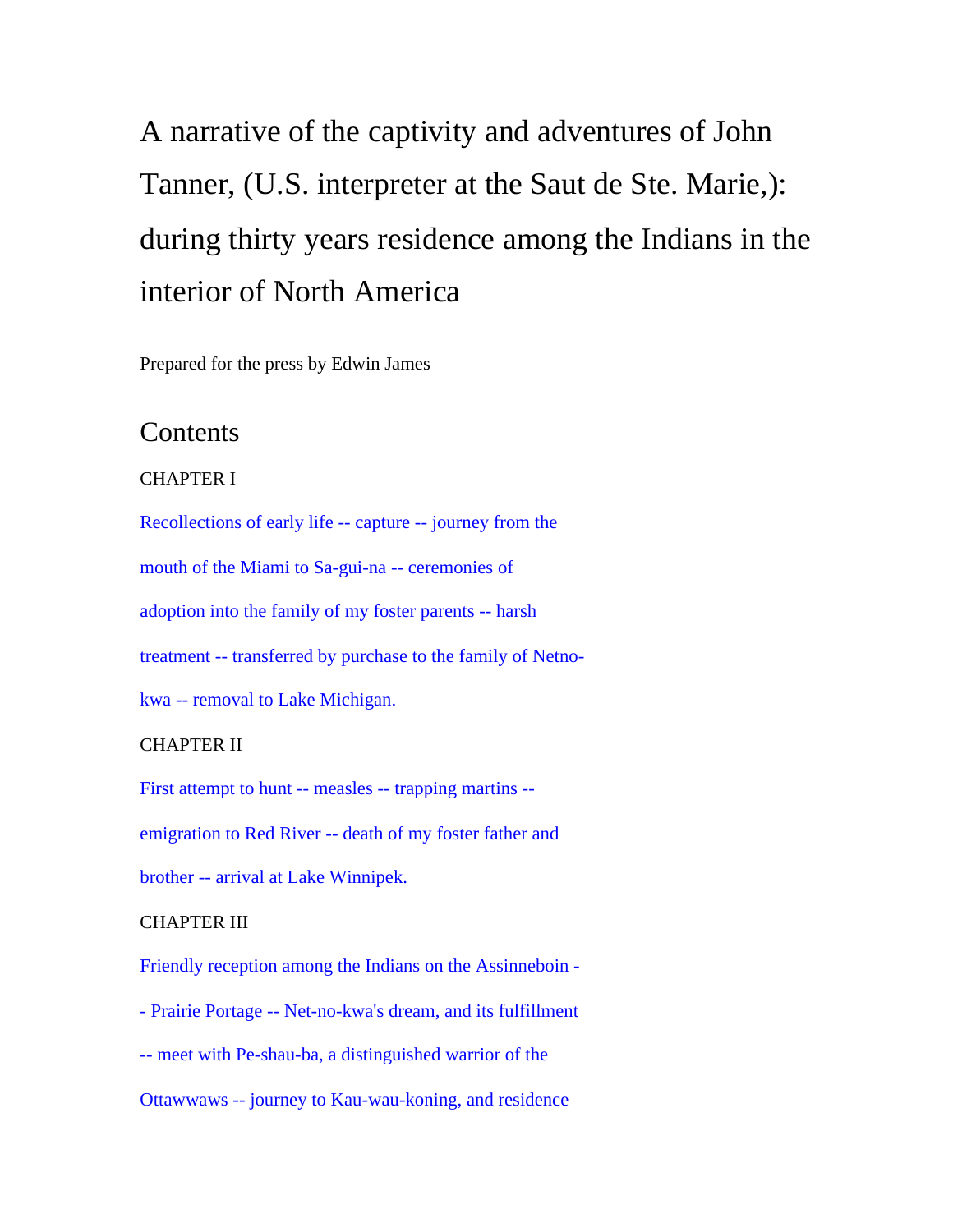# A narrative of the captivity and adventures of John Tanner, (U.S. interpreter at the Saut de Ste. Marie,): during thirty years residence among the Indians in the interior of North America

Prepared for the press by Edwin James

# **Contents**

# CHAPTER I

Recollections of early life -- capture -- journey from the mouth of the Miami to Sa-gui-na -- ceremonies of adoption into the family of my foster parents -- harsh treatment -- transferred by purchase to the family of Netnokwa -- removal to Lake Michigan.

# CHAPTER II

First attempt to hunt -- measles -- trapping martins - emigration to Red River -- death of my foster father and

brother -- arrival at Lake Winnipek.

## CHAPTER III

Friendly reception among the Indians on the Assinneboin -

- Prairie Portage -- Net-no-kwa's dream, and its fulfillment
- -- meet with Pe-shau-ba, a distinguished warrior of the

Ottawwaws -- journey to Kau-wau-koning, and residence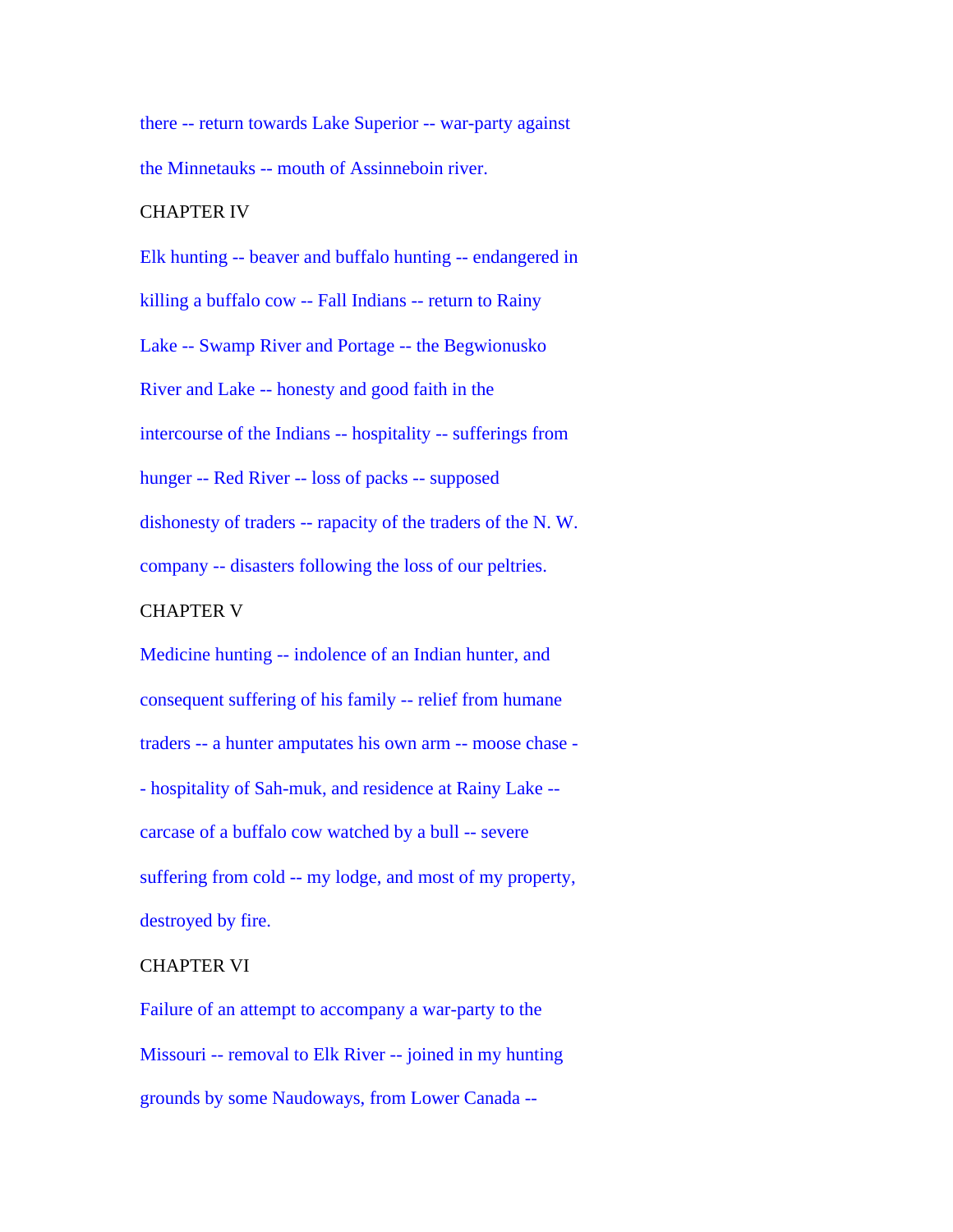there -- return towards Lake Superior -- war-party against the Minnetauks -- mouth of Assinneboin river.

#### CHAPTER IV

Elk hunting -- beaver and buffalo hunting -- endangered in killing a buffalo cow -- Fall Indians -- return to Rainy Lake -- Swamp River and Portage -- the Begwionusko River and Lake -- honesty and good faith in the intercourse of the Indians -- hospitality -- sufferings from hunger -- Red River -- loss of packs -- supposed dishonesty of traders -- rapacity of the traders of the N. W. company -- disasters following the loss of our peltries.

# CHAPTER V

Medicine hunting -- indolence of an Indian hunter, and consequent suffering of his family -- relief from humane traders -- a hunter amputates his own arm -- moose chase - - hospitality of Sah-muk, and residence at Rainy Lake - carcase of a buffalo cow watched by a bull -- severe suffering from cold -- my lodge, and most of my property, destroyed by fire.

## CHAPTER VI

Failure of an attempt to accompany a war-party to the Missouri -- removal to Elk River -- joined in my hunting grounds by some Naudoways, from Lower Canada --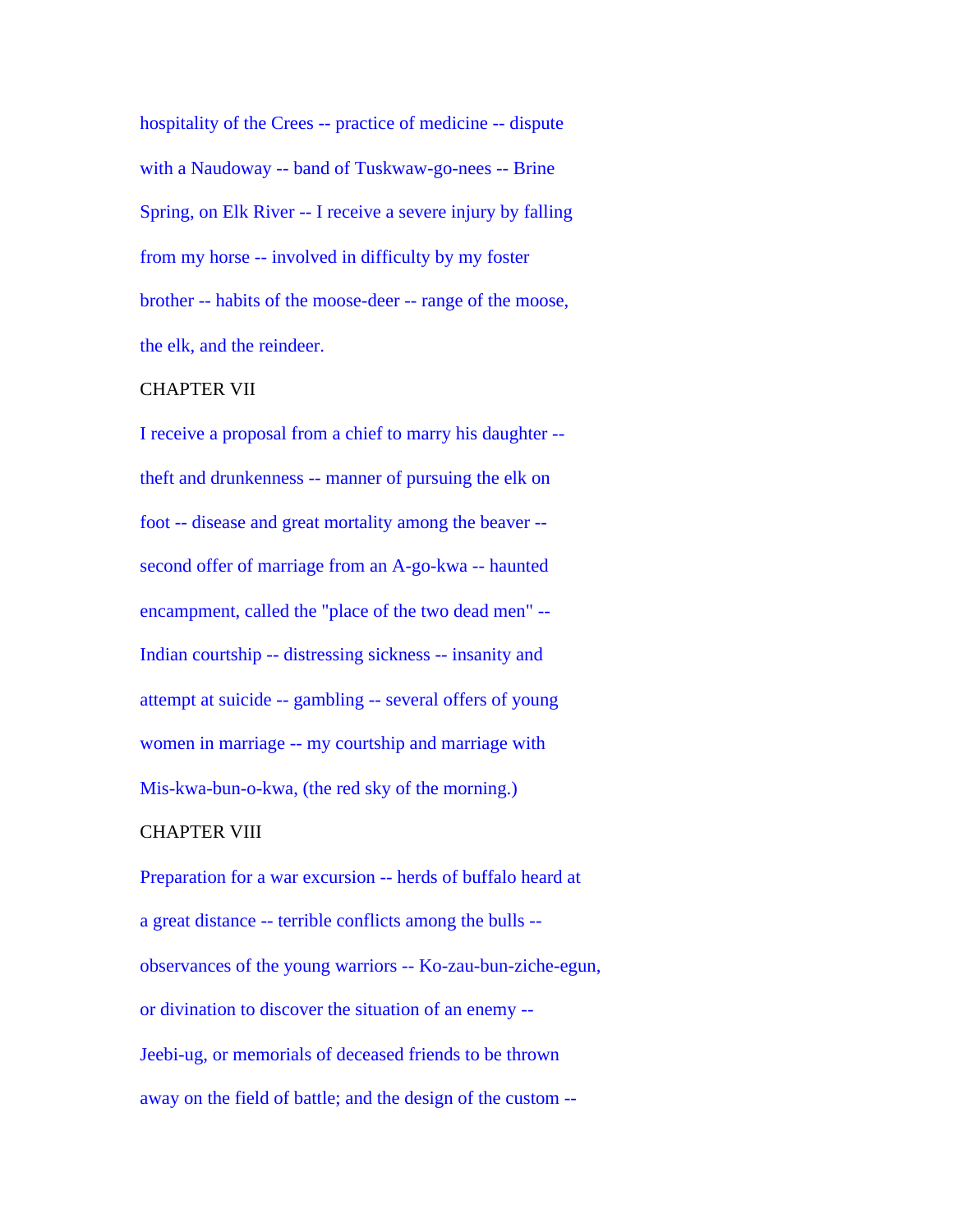hospitality of the Crees -- practice of medicine -- dispute with a Naudoway -- band of Tuskwaw-go-nees -- Brine Spring, on Elk River -- I receive a severe injury by falling from my horse -- involved in difficulty by my foster brother -- habits of the moose-deer -- range of the moose, the elk, and the reindeer.

#### CHAPTER VII

I receive a proposal from a chief to marry his daughter - theft and drunkenness -- manner of pursuing the elk on foot -- disease and great mortality among the beaver - second offer of marriage from an A-go-kwa -- haunted encampment, called the "place of the two dead men" -- Indian courtship -- distressing sickness -- insanity and attempt at suicide -- gambling -- several offers of young women in marriage -- my courtship and marriage with Mis-kwa-bun-o-kwa, (the red sky of the morning.)

## CHAPTER VIII

Preparation for a war excursion -- herds of buffalo heard at a great distance -- terrible conflicts among the bulls - observances of the young warriors -- Ko-zau-bun-ziche-egun, or divination to discover the situation of an enemy -- Jeebi-ug, or memorials of deceased friends to be thrown away on the field of battle; and the design of the custom --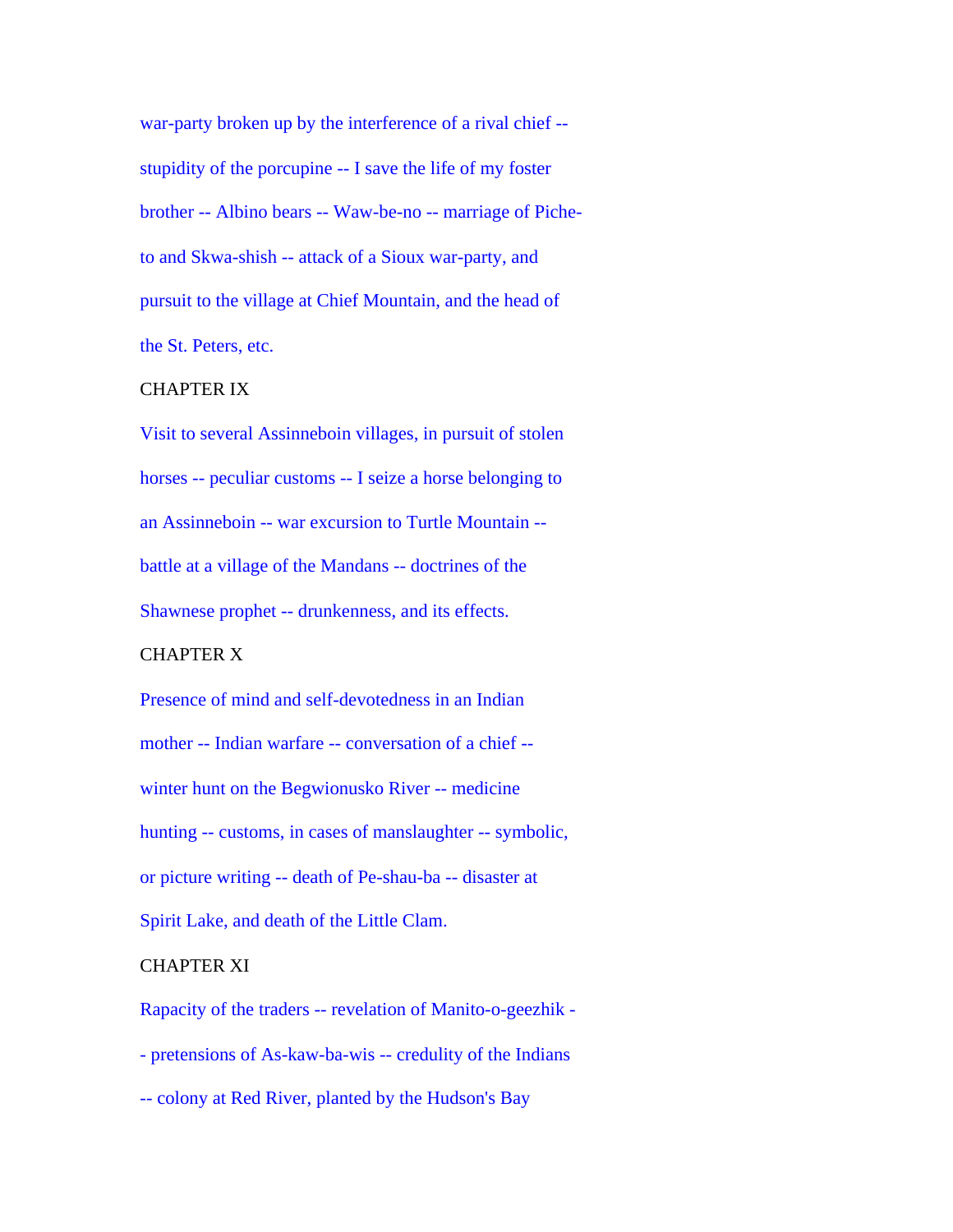war-party broken up by the interference of a rival chief - stupidity of the porcupine -- I save the life of my foster brother -- Albino bears -- Waw-be-no -- marriage of Picheto and Skwa-shish -- attack of a Sioux war-party, and pursuit to the village at Chief Mountain, and the head of the St. Peters, etc.

# CHAPTER IX

Visit to several Assinneboin villages, in pursuit of stolen horses -- peculiar customs -- I seize a horse belonging to an Assinneboin -- war excursion to Turtle Mountain - battle at a village of the Mandans -- doctrines of the Shawnese prophet -- drunkenness, and its effects.

#### CHAPTER X

Presence of mind and self-devotedness in an Indian mother -- Indian warfare -- conversation of a chief - winter hunt on the Begwionusko River -- medicine hunting -- customs, in cases of manslaughter -- symbolic, or picture writing -- death of Pe-shau-ba -- disaster at Spirit Lake, and death of the Little Clam.

## CHAPTER XI

Rapacity of the traders -- revelation of Manito-o-geezhik - - pretensions of As-kaw-ba-wis -- credulity of the Indians -- colony at Red River, planted by the Hudson's Bay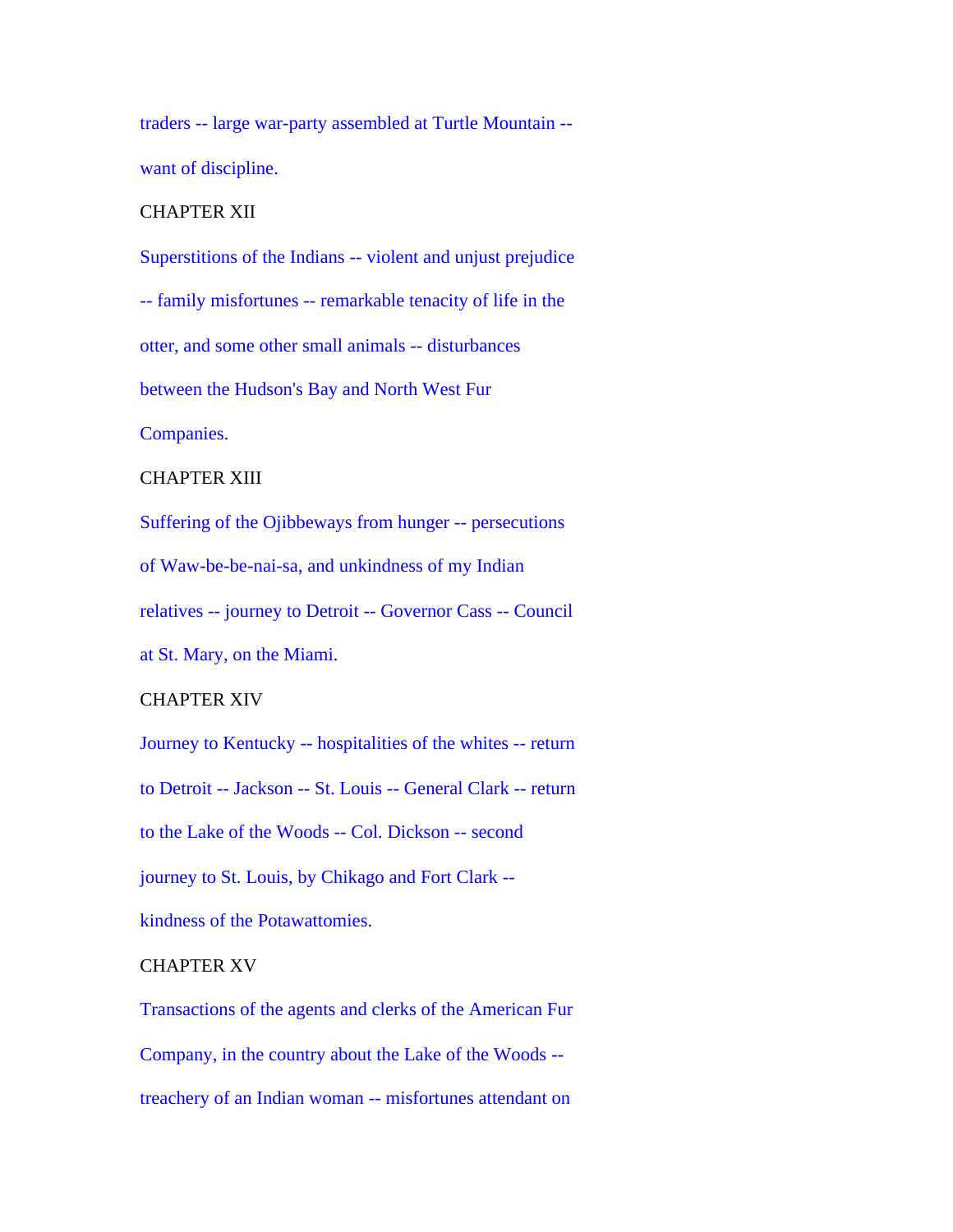traders -- large war-party assembled at Turtle Mountain - want of discipline.

#### CHAPTER XII

Superstitions of the Indians -- violent and unjust prejudice -- family misfortunes -- remarkable tenacity of life in the otter, and some other small animals -- disturbances between the Hudson's Bay and North West Fur Companies.

#### CHAPTER XIII

Suffering of the Ojibbeways from hunger -- persecutions of Waw-be-be-nai-sa, and unkindness of my Indian relatives -- journey to Detroit -- Governor Cass -- Council

at St. Mary, on the Miami.

# CHAPTER XIV

Journey to Kentucky -- hospitalities of the whites -- return

to Detroit -- Jackson -- St. Louis -- General Clark -- return

to the Lake of the Woods -- Col. Dickson -- second

journey to St. Louis, by Chikago and Fort Clark --

kindness of the Potawattomies.

## CHAPTER XV

Transactions of the agents and clerks of the American Fur Company, in the country about the Lake of the Woods - treachery of an Indian woman -- misfortunes attendant on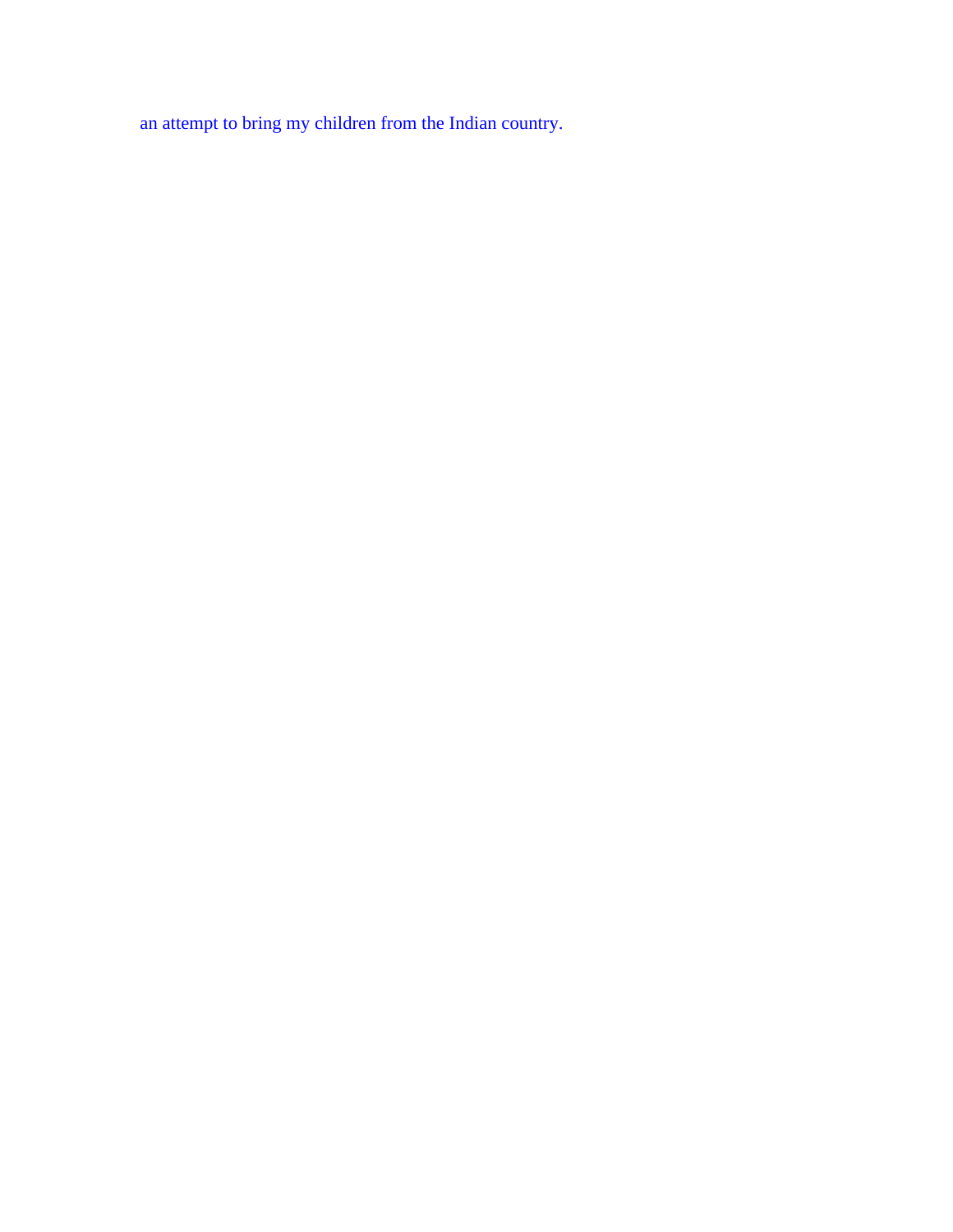an attempt to bring my children from the Indian country.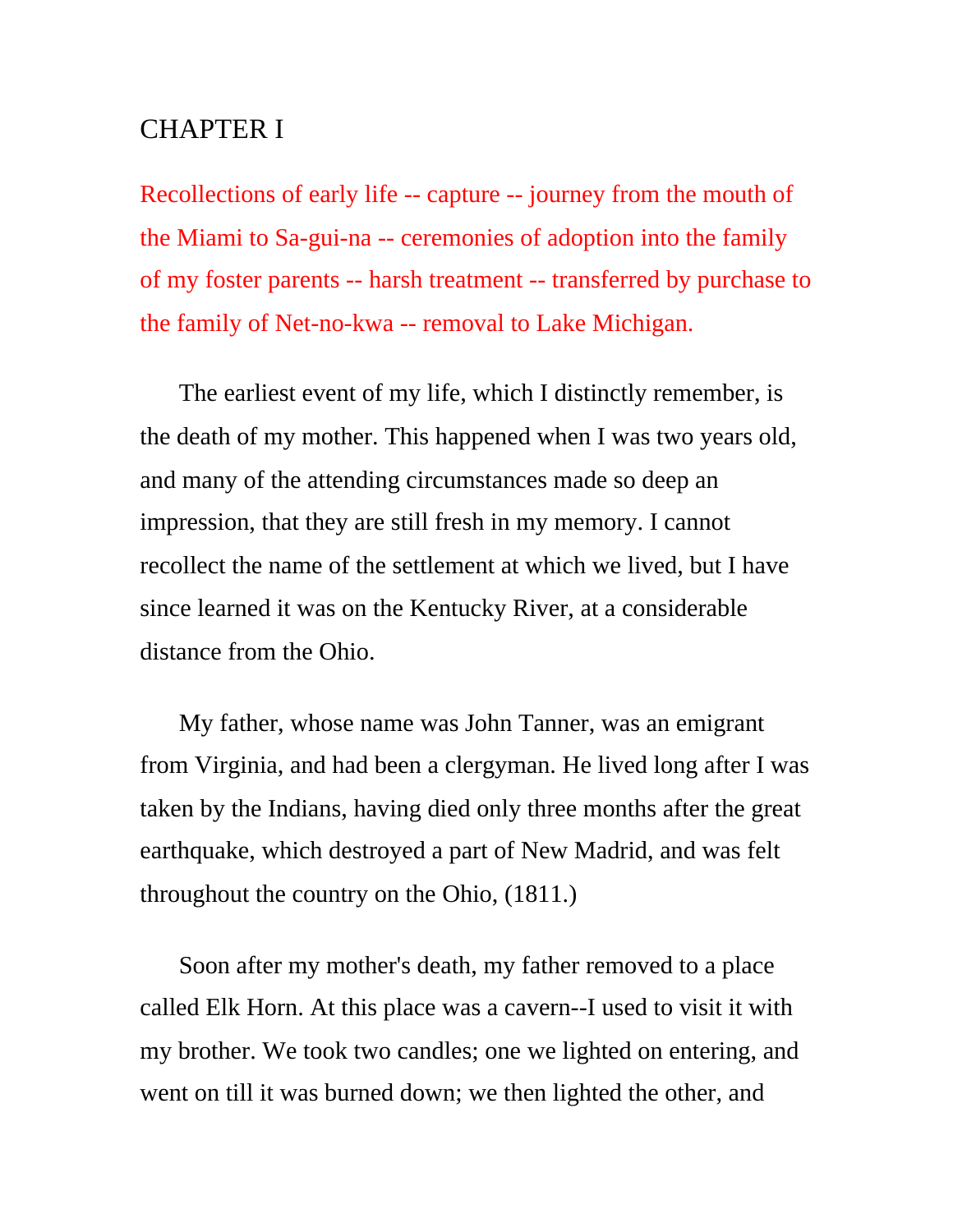# CHAPTER I

Recollections of early life -- capture -- journey from the mouth of the Miami to Sa-gui-na -- ceremonies of adoption into the family of my foster parents -- harsh treatment -- transferred by purchase to the family of Net-no-kwa -- removal to Lake Michigan.

The earliest event of my life, which I distinctly remember, is the death of my mother. This happened when I was two years old, and many of the attending circumstances made so deep an impression, that they are still fresh in my memory. I cannot recollect the name of the settlement at which we lived, but I have since learned it was on the Kentucky River, at a considerable distance from the Ohio.

My father, whose name was John Tanner, was an emigrant from Virginia, and had been a clergyman. He lived long after I was taken by the Indians, having died only three months after the great earthquake, which destroyed a part of New Madrid, and was felt throughout the country on the Ohio, (1811.)

Soon after my mother's death, my father removed to a place called Elk Horn. At this place was a cavern--I used to visit it with my brother. We took two candles; one we lighted on entering, and went on till it was burned down; we then lighted the other, and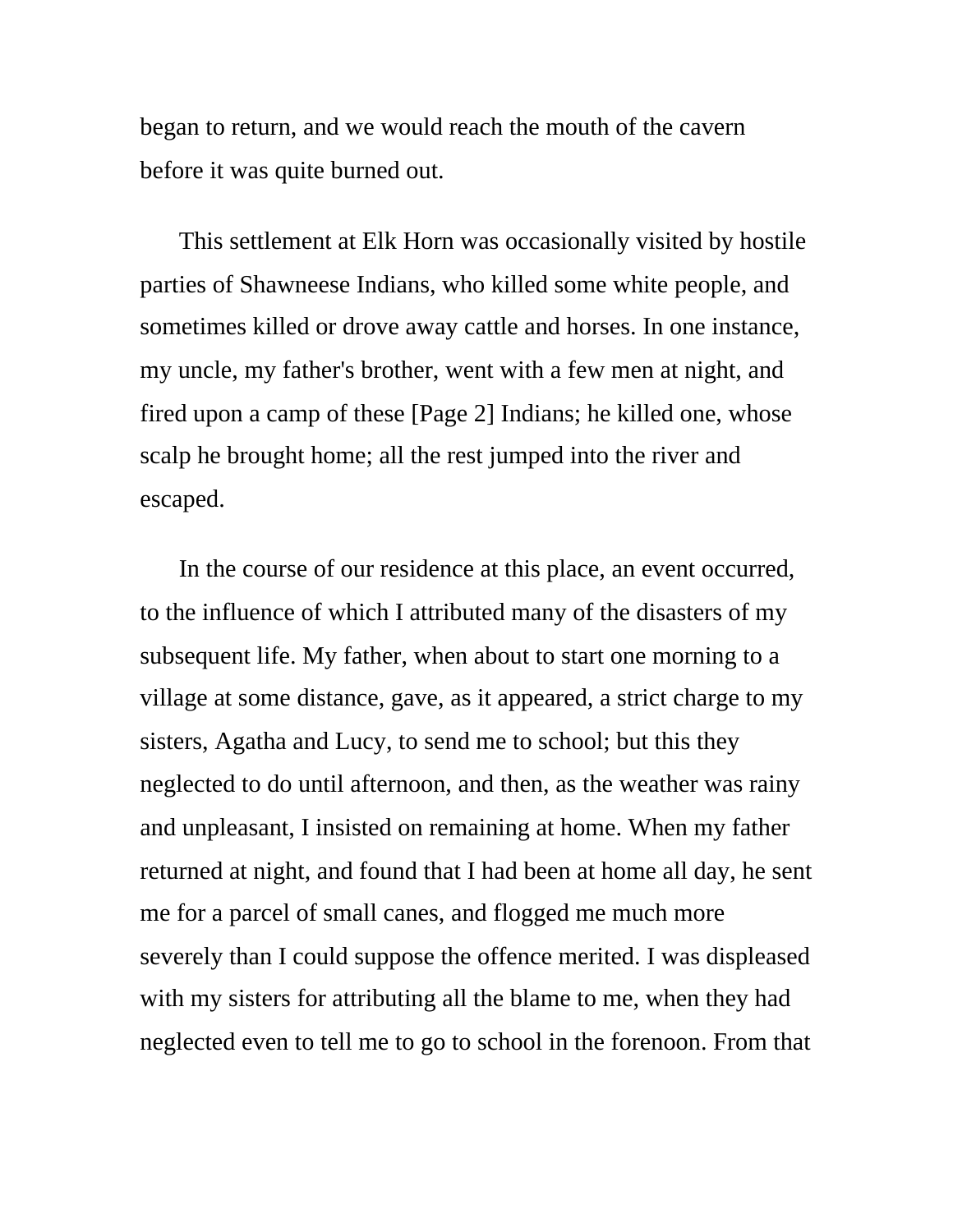began to return, and we would reach the mouth of the cavern before it was quite burned out.

This settlement at Elk Horn was occasionally visited by hostile parties of Shawneese Indians, who killed some white people, and sometimes killed or drove away cattle and horses. In one instance, my uncle, my father's brother, went with a few men at night, and fired upon a camp of these [Page 2] Indians; he killed one, whose scalp he brought home; all the rest jumped into the river and escaped.

In the course of our residence at this place, an event occurred, to the influence of which I attributed many of the disasters of my subsequent life. My father, when about to start one morning to a village at some distance, gave, as it appeared, a strict charge to my sisters, Agatha and Lucy, to send me to school; but this they neglected to do until afternoon, and then, as the weather was rainy and unpleasant, I insisted on remaining at home. When my father returned at night, and found that I had been at home all day, he sent me for a parcel of small canes, and flogged me much more severely than I could suppose the offence merited. I was displeased with my sisters for attributing all the blame to me, when they had neglected even to tell me to go to school in the forenoon. From that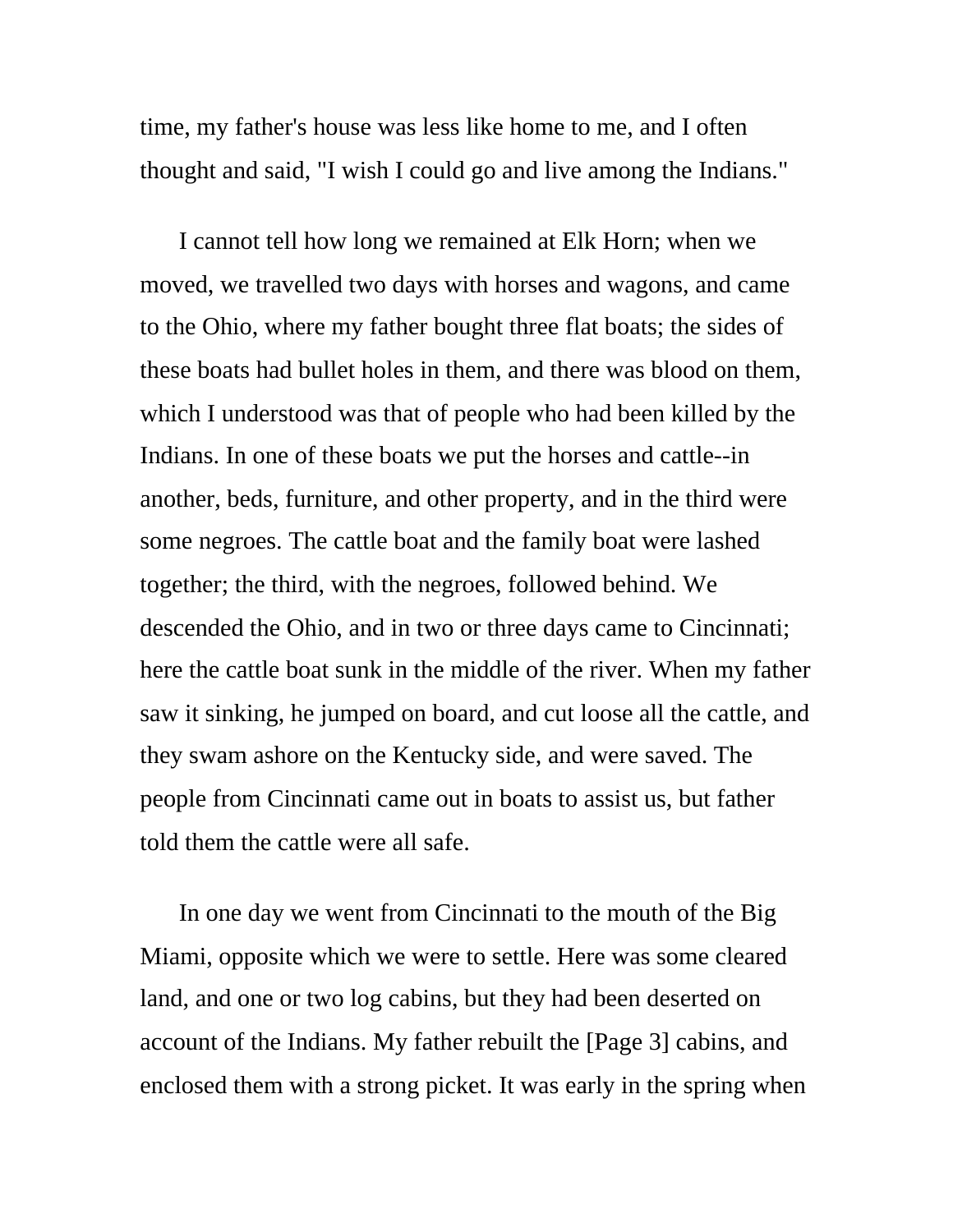time, my father's house was less like home to me, and I often thought and said, "I wish I could go and live among the Indians."

I cannot tell how long we remained at Elk Horn; when we moved, we travelled two days with horses and wagons, and came to the Ohio, where my father bought three flat boats; the sides of these boats had bullet holes in them, and there was blood on them, which I understood was that of people who had been killed by the Indians. In one of these boats we put the horses and cattle--in another, beds, furniture, and other property, and in the third were some negroes. The cattle boat and the family boat were lashed together; the third, with the negroes, followed behind. We descended the Ohio, and in two or three days came to Cincinnati; here the cattle boat sunk in the middle of the river. When my father saw it sinking, he jumped on board, and cut loose all the cattle, and they swam ashore on the Kentucky side, and were saved. The people from Cincinnati came out in boats to assist us, but father told them the cattle were all safe.

In one day we went from Cincinnati to the mouth of the Big Miami, opposite which we were to settle. Here was some cleared land, and one or two log cabins, but they had been deserted on account of the Indians. My father rebuilt the [Page 3] cabins, and enclosed them with a strong picket. It was early in the spring when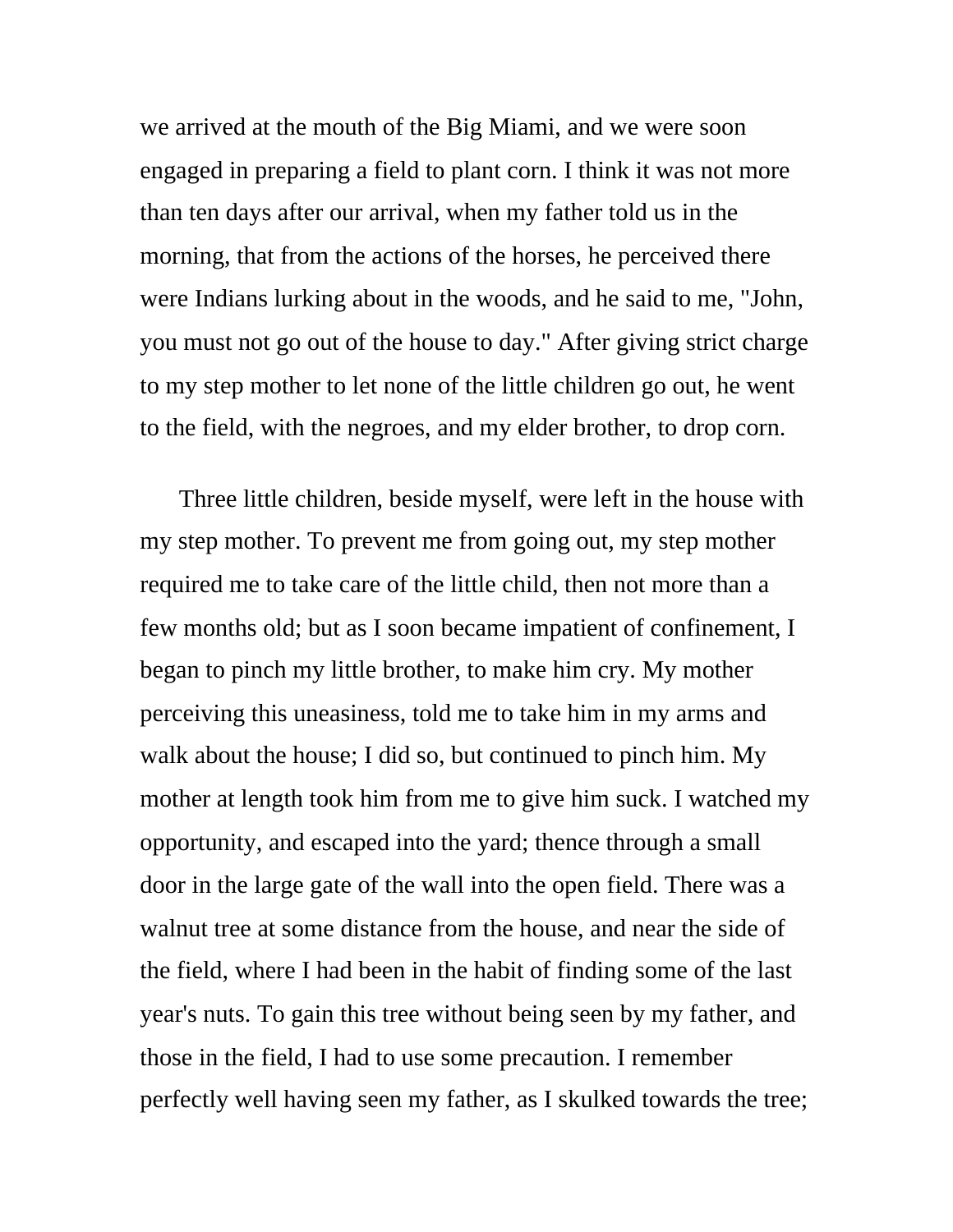we arrived at the mouth of the Big Miami, and we were soon engaged in preparing a field to plant corn. I think it was not more than ten days after our arrival, when my father told us in the morning, that from the actions of the horses, he perceived there were Indians lurking about in the woods, and he said to me, "John, you must not go out of the house to day." After giving strict charge to my step mother to let none of the little children go out, he went to the field, with the negroes, and my elder brother, to drop corn.

Three little children, beside myself, were left in the house with my step mother. To prevent me from going out, my step mother required me to take care of the little child, then not more than a few months old; but as I soon became impatient of confinement, I began to pinch my little brother, to make him cry. My mother perceiving this uneasiness, told me to take him in my arms and walk about the house; I did so, but continued to pinch him. My mother at length took him from me to give him suck. I watched my opportunity, and escaped into the yard; thence through a small door in the large gate of the wall into the open field. There was a walnut tree at some distance from the house, and near the side of the field, where I had been in the habit of finding some of the last year's nuts. To gain this tree without being seen by my father, and those in the field, I had to use some precaution. I remember perfectly well having seen my father, as I skulked towards the tree;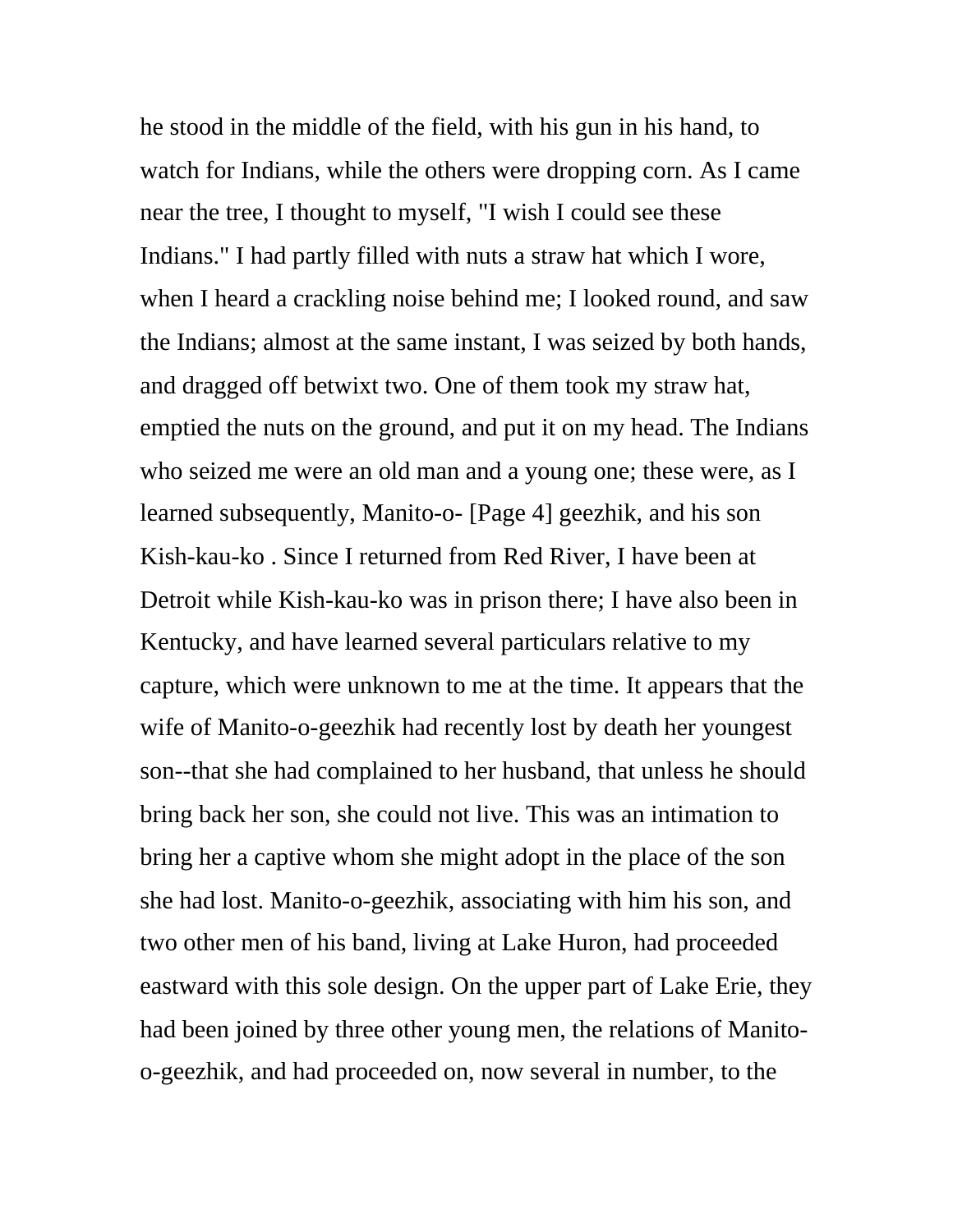he stood in the middle of the field, with his gun in his hand, to watch for Indians, while the others were dropping corn. As I came near the tree, I thought to myself, "I wish I could see these Indians." I had partly filled with nuts a straw hat which I wore, when I heard a crackling noise behind me; I looked round, and saw the Indians; almost at the same instant, I was seized by both hands, and dragged off betwixt two. One of them took my straw hat, emptied the nuts on the ground, and put it on my head. The Indians who seized me were an old man and a young one; these were, as I learned subsequently, Manito-o- [Page 4] geezhik, and his son Kish-kau-ko . Since I returned from Red River, I have been at Detroit while Kish-kau-ko was in prison there; I have also been in Kentucky, and have learned several particulars relative to my capture, which were unknown to me at the time. It appears that the wife of Manito-o-geezhik had recently lost by death her youngest son--that she had complained to her husband, that unless he should bring back her son, she could not live. This was an intimation to bring her a captive whom she might adopt in the place of the son she had lost. Manito-o-geezhik, associating with him his son, and two other men of his band, living at Lake Huron, had proceeded eastward with this sole design. On the upper part of Lake Erie, they had been joined by three other young men, the relations of Manitoo-geezhik, and had proceeded on, now several in number, to the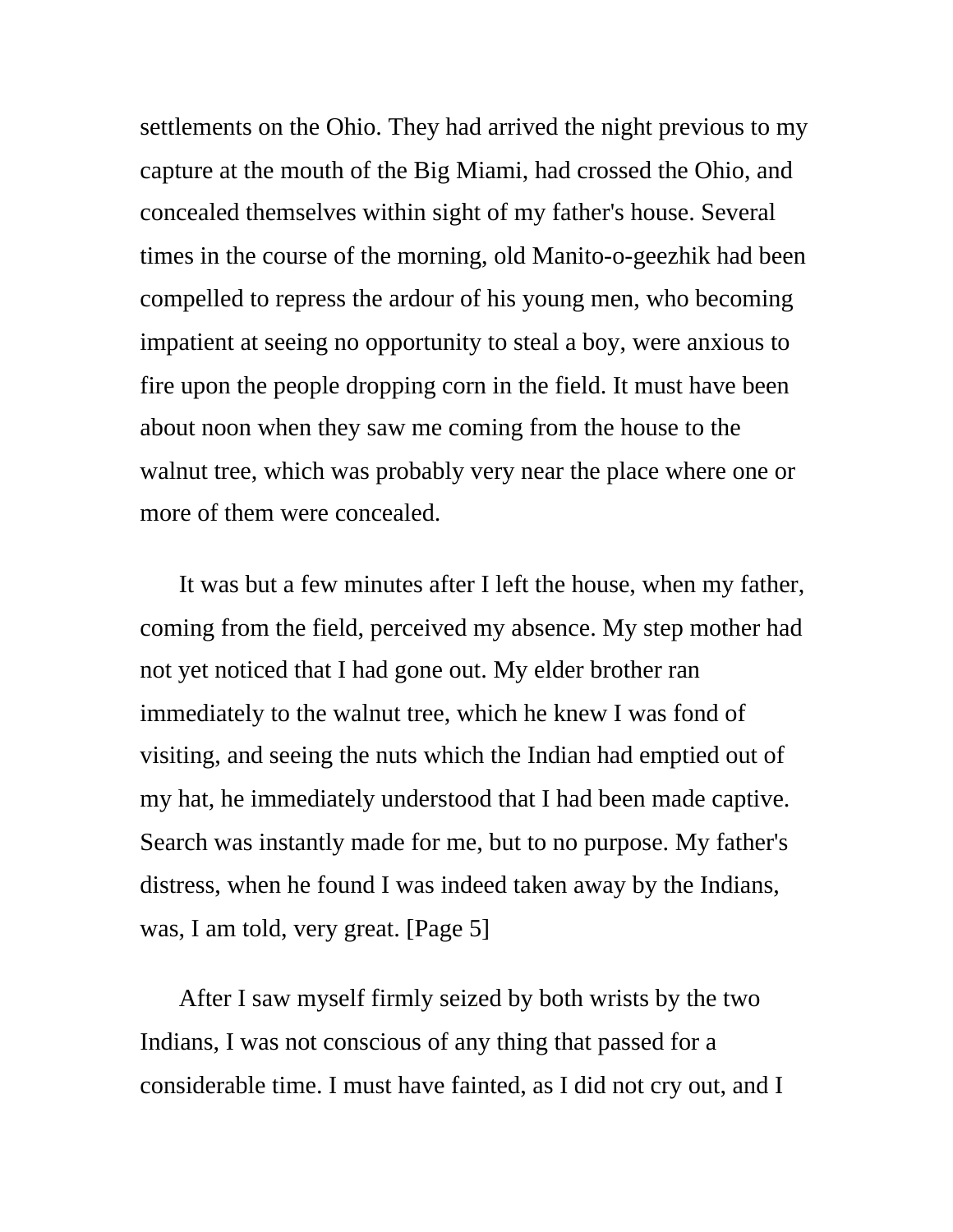settlements on the Ohio. They had arrived the night previous to my capture at the mouth of the Big Miami, had crossed the Ohio, and concealed themselves within sight of my father's house. Several times in the course of the morning, old Manito-o-geezhik had been compelled to repress the ardour of his young men, who becoming impatient at seeing no opportunity to steal a boy, were anxious to fire upon the people dropping corn in the field. It must have been about noon when they saw me coming from the house to the walnut tree, which was probably very near the place where one or more of them were concealed.

It was but a few minutes after I left the house, when my father, coming from the field, perceived my absence. My step mother had not yet noticed that I had gone out. My elder brother ran immediately to the walnut tree, which he knew I was fond of visiting, and seeing the nuts which the Indian had emptied out of my hat, he immediately understood that I had been made captive. Search was instantly made for me, but to no purpose. My father's distress, when he found I was indeed taken away by the Indians, was, I am told, very great. [Page 5]

After I saw myself firmly seized by both wrists by the two Indians, I was not conscious of any thing that passed for a considerable time. I must have fainted, as I did not cry out, and I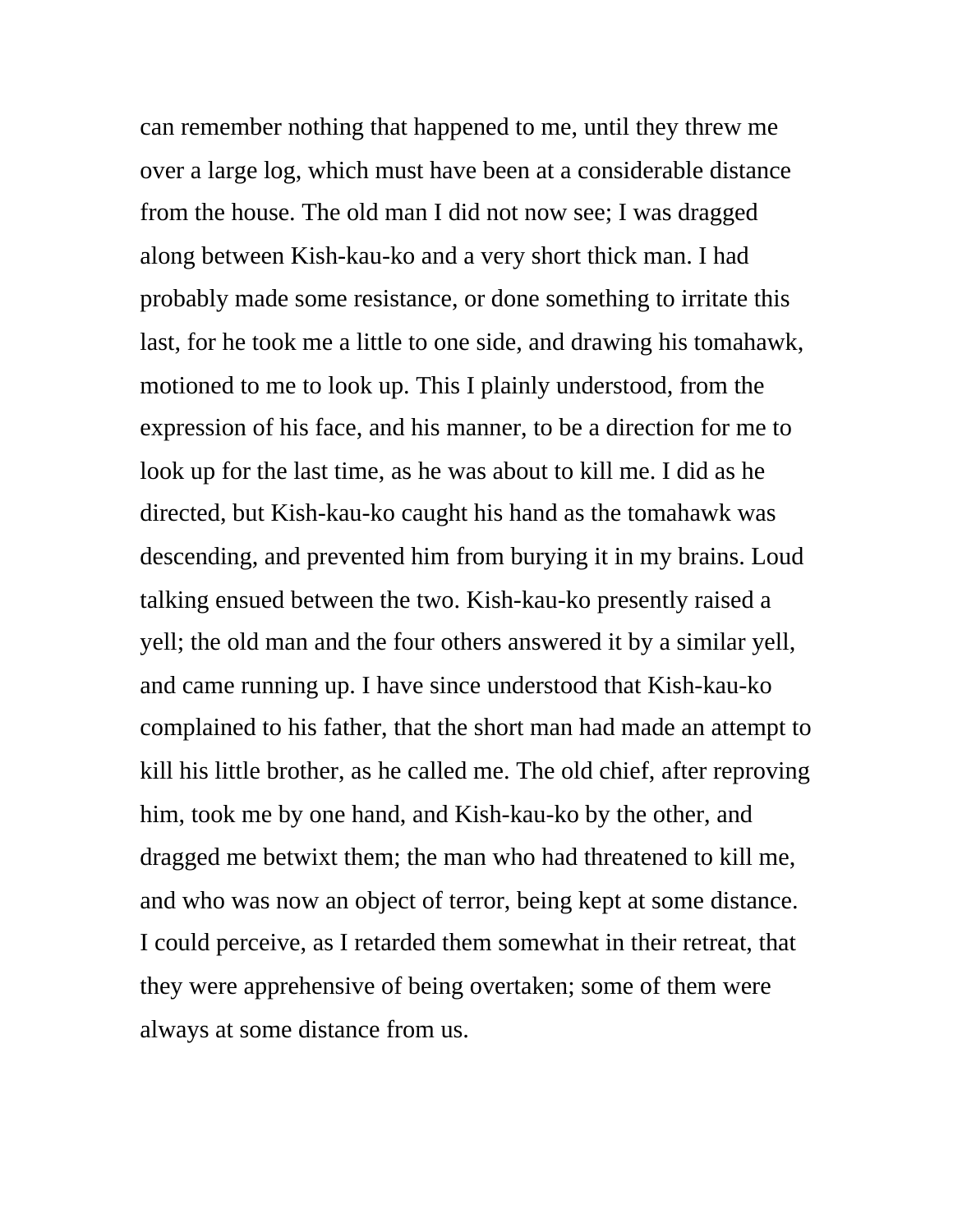can remember nothing that happened to me, until they threw me over a large log, which must have been at a considerable distance from the house. The old man I did not now see; I was dragged along between Kish-kau-ko and a very short thick man. I had probably made some resistance, or done something to irritate this last, for he took me a little to one side, and drawing his tomahawk, motioned to me to look up. This I plainly understood, from the expression of his face, and his manner, to be a direction for me to look up for the last time, as he was about to kill me. I did as he directed, but Kish-kau-ko caught his hand as the tomahawk was descending, and prevented him from burying it in my brains. Loud talking ensued between the two. Kish-kau-ko presently raised a yell; the old man and the four others answered it by a similar yell, and came running up. I have since understood that Kish-kau-ko complained to his father, that the short man had made an attempt to kill his little brother, as he called me. The old chief, after reproving him, took me by one hand, and Kish-kau-ko by the other, and dragged me betwixt them; the man who had threatened to kill me, and who was now an object of terror, being kept at some distance. I could perceive, as I retarded them somewhat in their retreat, that they were apprehensive of being overtaken; some of them were always at some distance from us.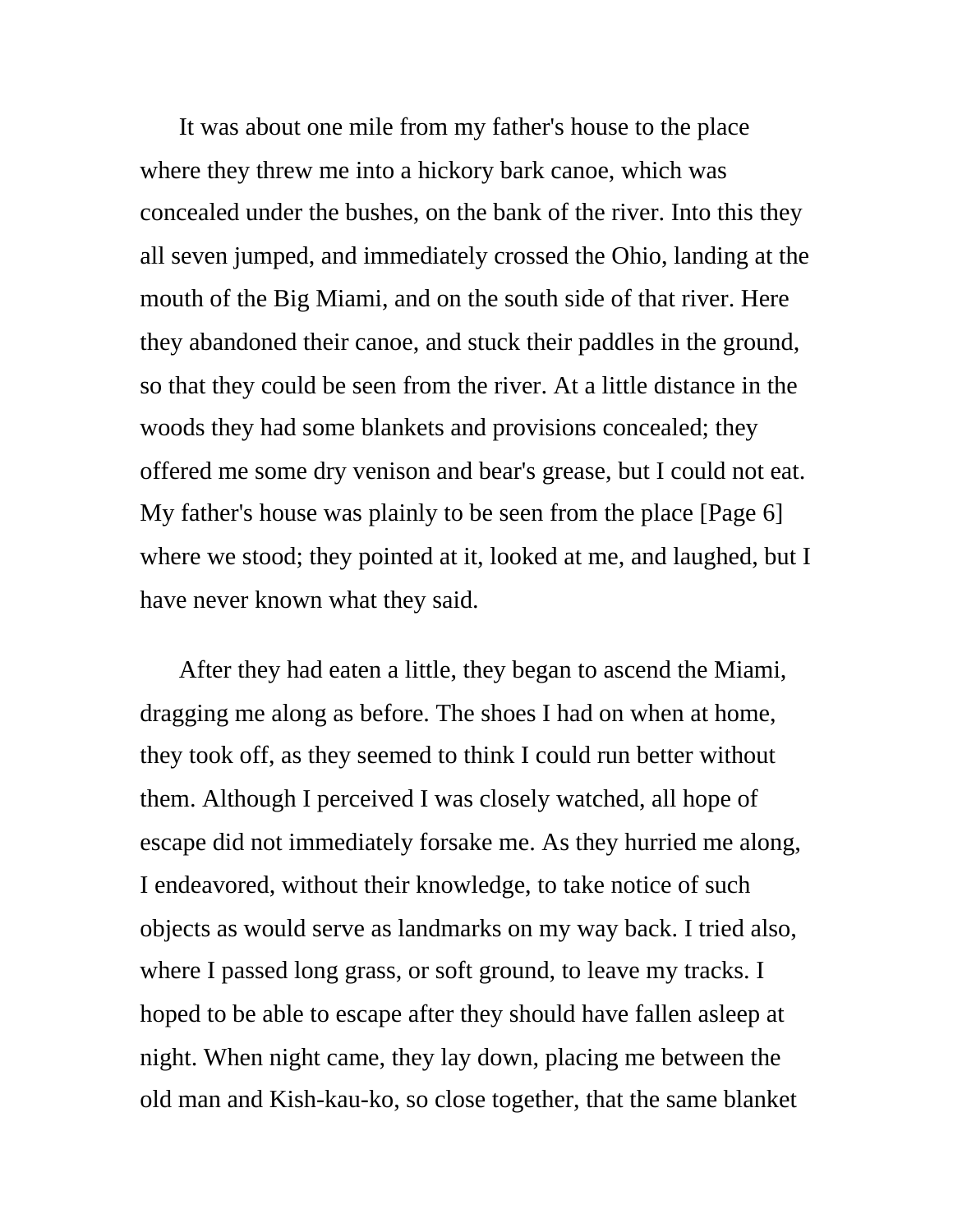It was about one mile from my father's house to the place where they threw me into a hickory bark canoe, which was concealed under the bushes, on the bank of the river. Into this they all seven jumped, and immediately crossed the Ohio, landing at the mouth of the Big Miami, and on the south side of that river. Here they abandoned their canoe, and stuck their paddles in the ground, so that they could be seen from the river. At a little distance in the woods they had some blankets and provisions concealed; they offered me some dry venison and bear's grease, but I could not eat. My father's house was plainly to be seen from the place [Page 6] where we stood; they pointed at it, looked at me, and laughed, but I have never known what they said.

After they had eaten a little, they began to ascend the Miami, dragging me along as before. The shoes I had on when at home, they took off, as they seemed to think I could run better without them. Although I perceived I was closely watched, all hope of escape did not immediately forsake me. As they hurried me along, I endeavored, without their knowledge, to take notice of such objects as would serve as landmarks on my way back. I tried also, where I passed long grass, or soft ground, to leave my tracks. I hoped to be able to escape after they should have fallen asleep at night. When night came, they lay down, placing me between the old man and Kish-kau-ko, so close together, that the same blanket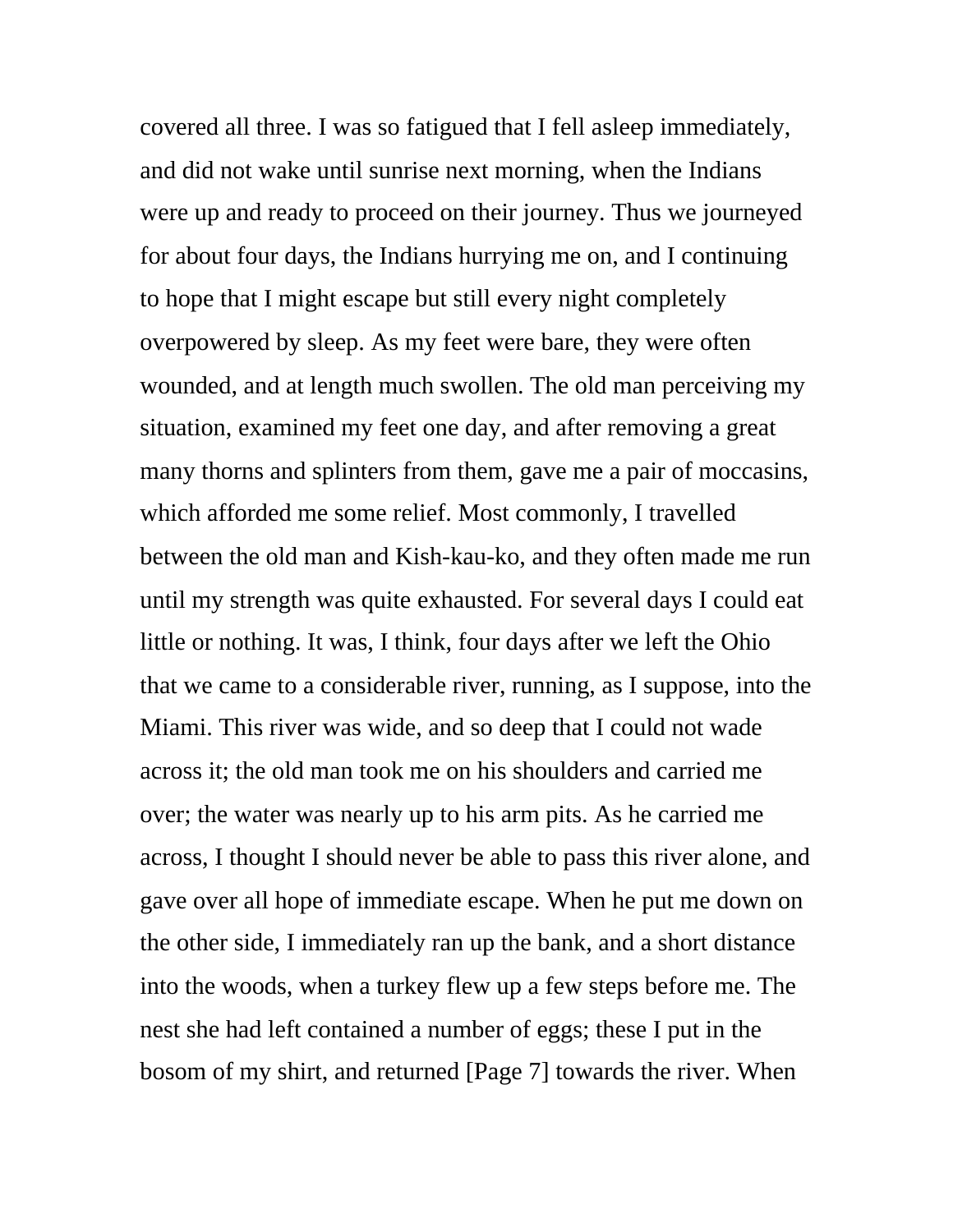covered all three. I was so fatigued that I fell asleep immediately, and did not wake until sunrise next morning, when the Indians were up and ready to proceed on their journey. Thus we journeyed for about four days, the Indians hurrying me on, and I continuing to hope that I might escape but still every night completely overpowered by sleep. As my feet were bare, they were often wounded, and at length much swollen. The old man perceiving my situation, examined my feet one day, and after removing a great many thorns and splinters from them, gave me a pair of moccasins, which afforded me some relief. Most commonly, I travelled between the old man and Kish-kau-ko, and they often made me run until my strength was quite exhausted. For several days I could eat little or nothing. It was, I think, four days after we left the Ohio that we came to a considerable river, running, as I suppose, into the Miami. This river was wide, and so deep that I could not wade across it; the old man took me on his shoulders and carried me over; the water was nearly up to his arm pits. As he carried me across, I thought I should never be able to pass this river alone, and gave over all hope of immediate escape. When he put me down on the other side, I immediately ran up the bank, and a short distance into the woods, when a turkey flew up a few steps before me. The nest she had left contained a number of eggs; these I put in the bosom of my shirt, and returned [Page 7] towards the river. When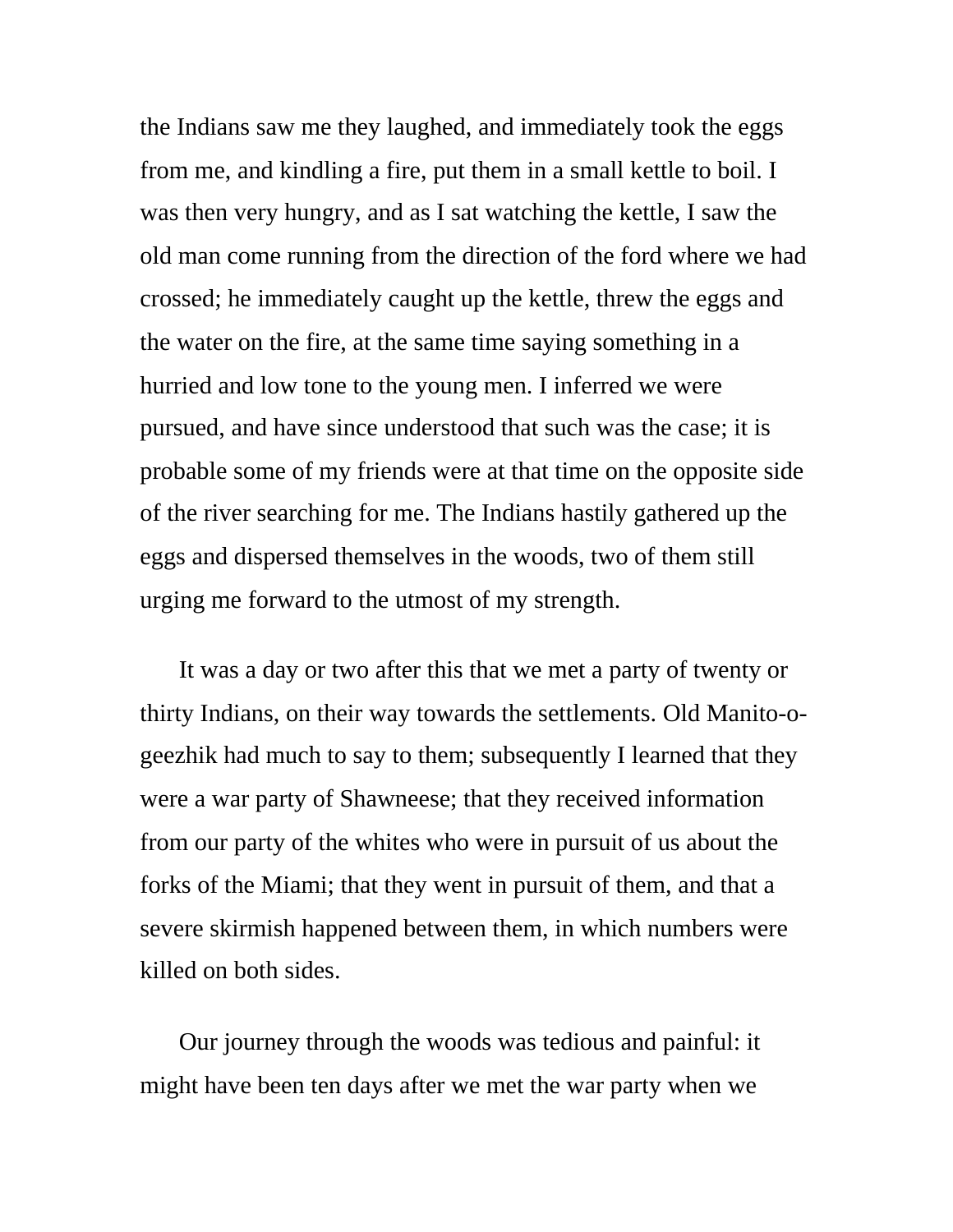the Indians saw me they laughed, and immediately took the eggs from me, and kindling a fire, put them in a small kettle to boil. I was then very hungry, and as I sat watching the kettle, I saw the old man come running from the direction of the ford where we had crossed; he immediately caught up the kettle, threw the eggs and the water on the fire, at the same time saying something in a hurried and low tone to the young men. I inferred we were pursued, and have since understood that such was the case; it is probable some of my friends were at that time on the opposite side of the river searching for me. The Indians hastily gathered up the eggs and dispersed themselves in the woods, two of them still urging me forward to the utmost of my strength.

It was a day or two after this that we met a party of twenty or thirty Indians, on their way towards the settlements. Old Manito-ogeezhik had much to say to them; subsequently I learned that they were a war party of Shawneese; that they received information from our party of the whites who were in pursuit of us about the forks of the Miami; that they went in pursuit of them, and that a severe skirmish happened between them, in which numbers were killed on both sides.

Our journey through the woods was tedious and painful: it might have been ten days after we met the war party when we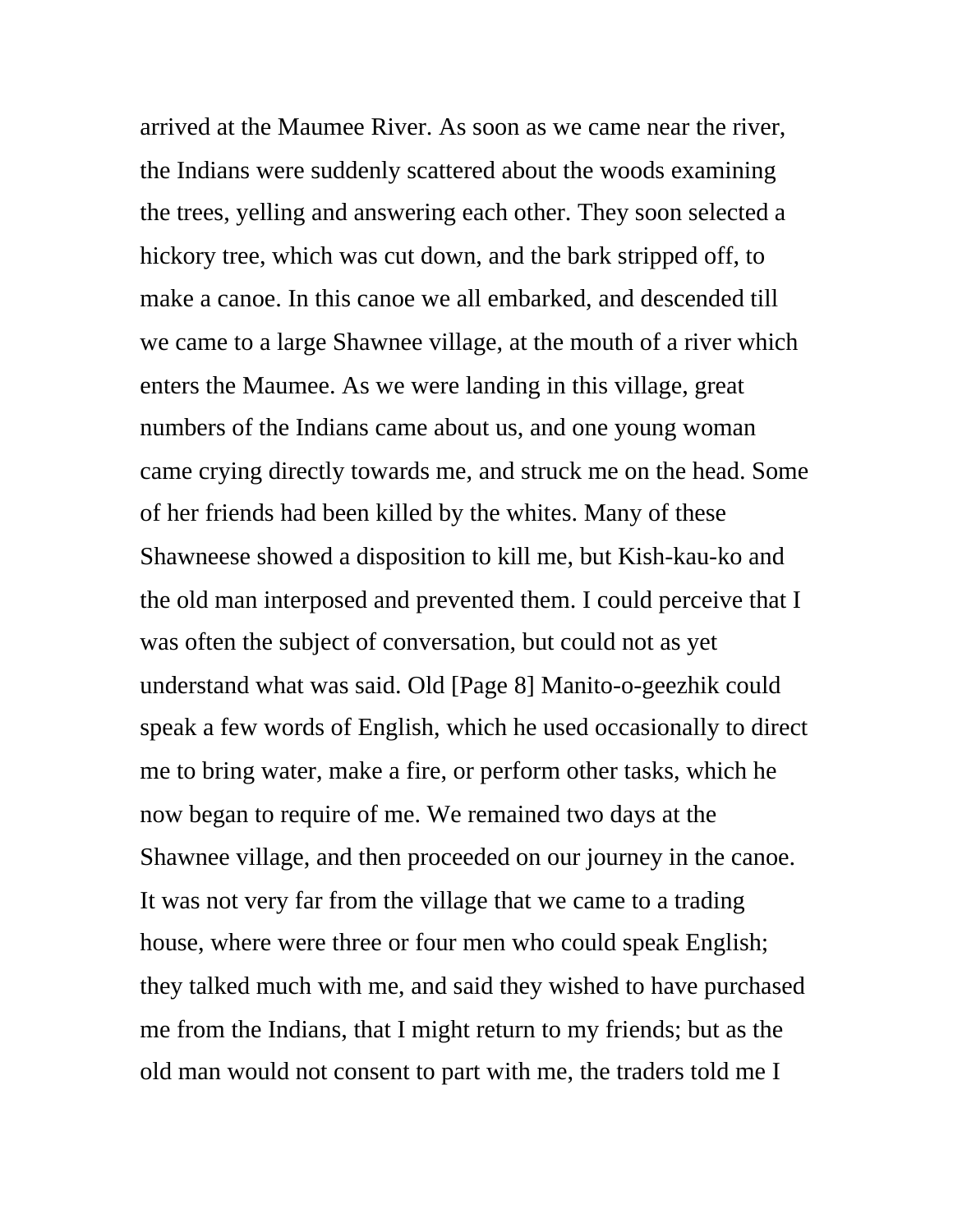arrived at the Maumee River. As soon as we came near the river, the Indians were suddenly scattered about the woods examining the trees, yelling and answering each other. They soon selected a hickory tree, which was cut down, and the bark stripped off, to make a canoe. In this canoe we all embarked, and descended till we came to a large Shawnee village, at the mouth of a river which enters the Maumee. As we were landing in this village, great numbers of the Indians came about us, and one young woman came crying directly towards me, and struck me on the head. Some of her friends had been killed by the whites. Many of these Shawneese showed a disposition to kill me, but Kish-kau-ko and the old man interposed and prevented them. I could perceive that I was often the subject of conversation, but could not as yet understand what was said. Old [Page 8] Manito-o-geezhik could speak a few words of English, which he used occasionally to direct me to bring water, make a fire, or perform other tasks, which he now began to require of me. We remained two days at the Shawnee village, and then proceeded on our journey in the canoe. It was not very far from the village that we came to a trading house, where were three or four men who could speak English; they talked much with me, and said they wished to have purchased me from the Indians, that I might return to my friends; but as the old man would not consent to part with me, the traders told me I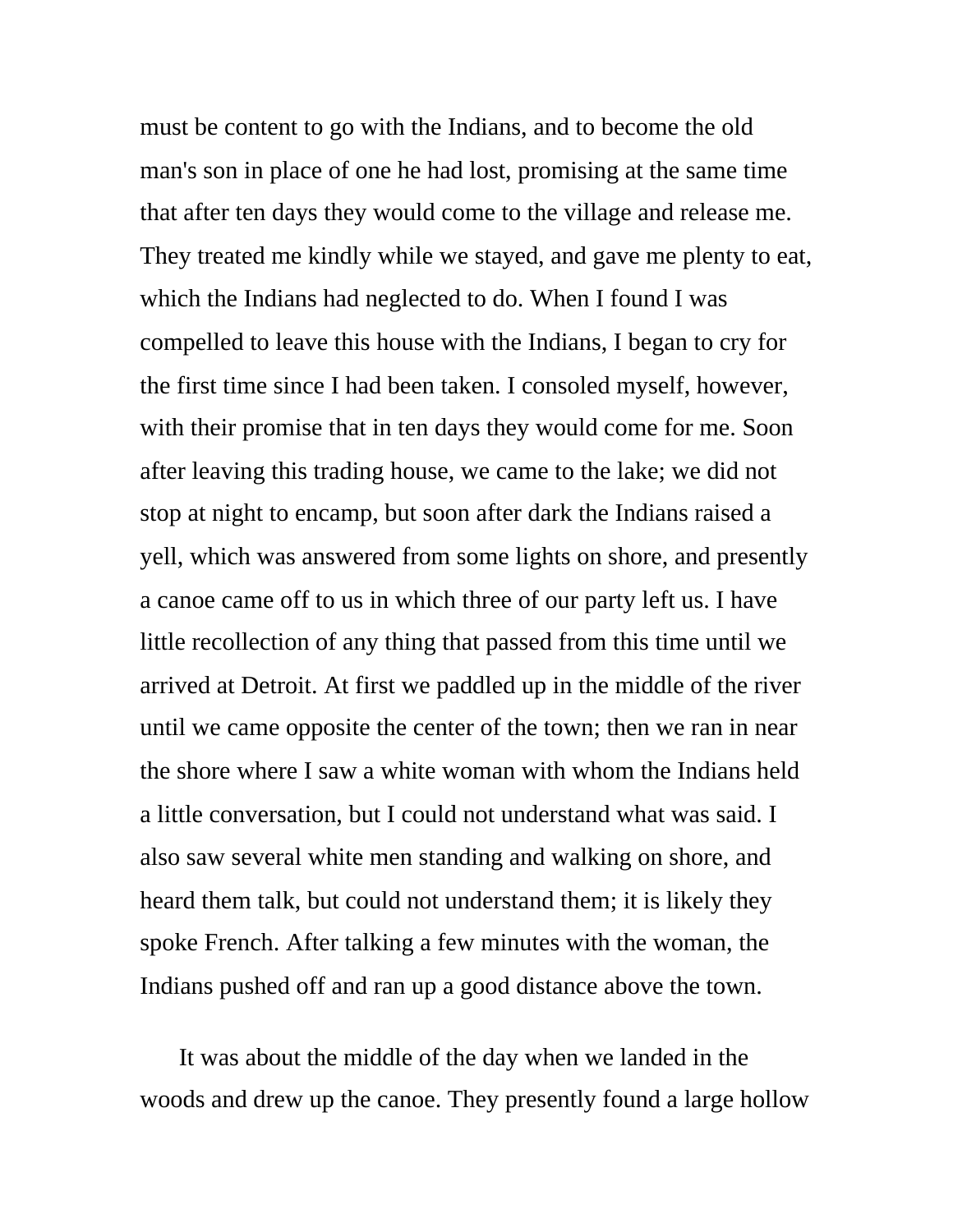must be content to go with the Indians, and to become the old man's son in place of one he had lost, promising at the same time that after ten days they would come to the village and release me. They treated me kindly while we stayed, and gave me plenty to eat, which the Indians had neglected to do. When I found I was compelled to leave this house with the Indians, I began to cry for the first time since I had been taken. I consoled myself, however, with their promise that in ten days they would come for me. Soon after leaving this trading house, we came to the lake; we did not stop at night to encamp, but soon after dark the Indians raised a yell, which was answered from some lights on shore, and presently a canoe came off to us in which three of our party left us. I have little recollection of any thing that passed from this time until we arrived at Detroit. At first we paddled up in the middle of the river until we came opposite the center of the town; then we ran in near the shore where I saw a white woman with whom the Indians held a little conversation, but I could not understand what was said. I also saw several white men standing and walking on shore, and heard them talk, but could not understand them; it is likely they spoke French. After talking a few minutes with the woman, the Indians pushed off and ran up a good distance above the town.

It was about the middle of the day when we landed in the woods and drew up the canoe. They presently found a large hollow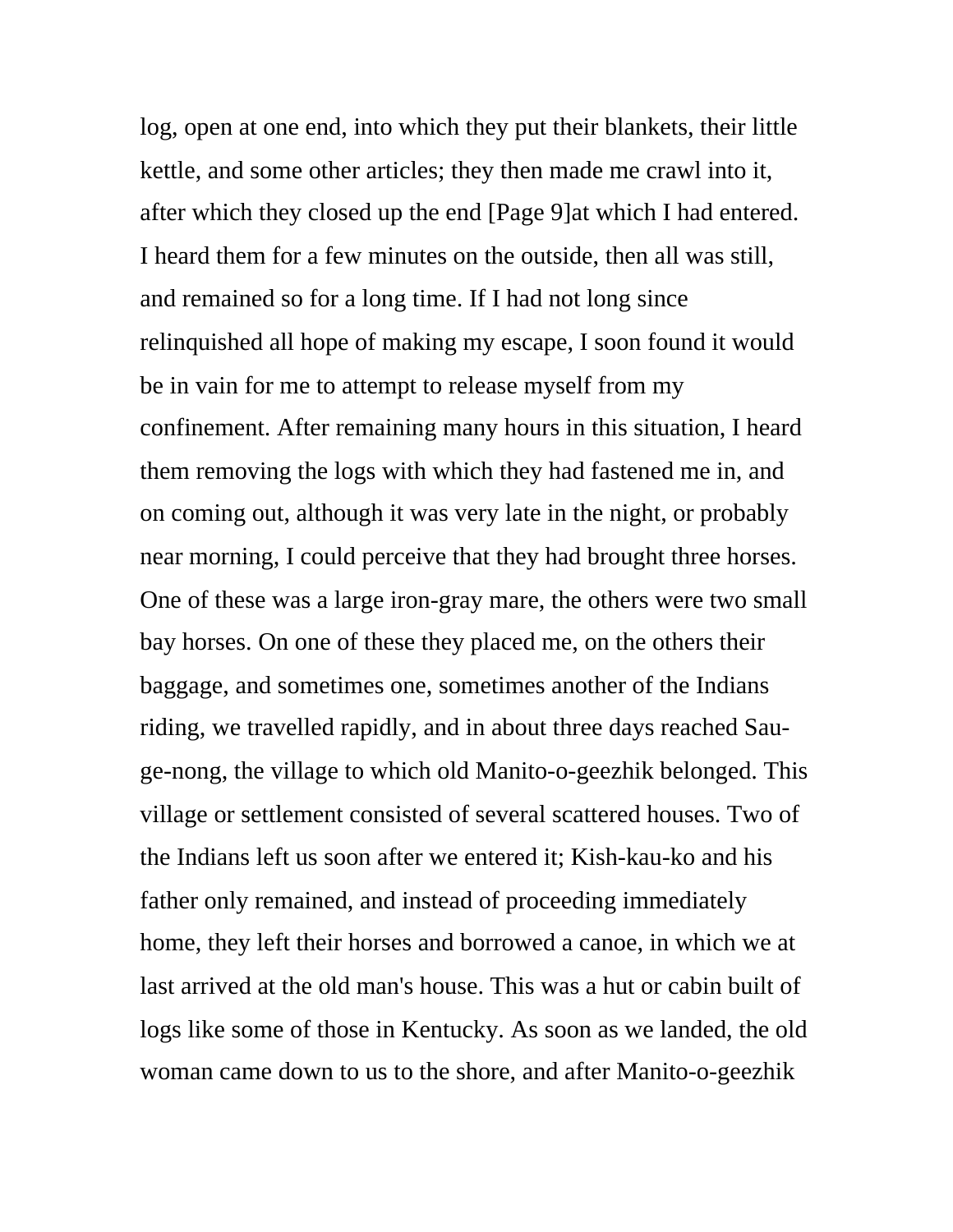log, open at one end, into which they put their blankets, their little kettle, and some other articles; they then made me crawl into it, after which they closed up the end [Page 9]at which I had entered. I heard them for a few minutes on the outside, then all was still, and remained so for a long time. If I had not long since relinquished all hope of making my escape, I soon found it would be in vain for me to attempt to release myself from my confinement. After remaining many hours in this situation, I heard them removing the logs with which they had fastened me in, and on coming out, although it was very late in the night, or probably near morning, I could perceive that they had brought three horses. One of these was a large iron-gray mare, the others were two small bay horses. On one of these they placed me, on the others their baggage, and sometimes one, sometimes another of the Indians riding, we travelled rapidly, and in about three days reached Sauge-nong, the village to which old Manito-o-geezhik belonged. This village or settlement consisted of several scattered houses. Two of the Indians left us soon after we entered it; Kish-kau-ko and his father only remained, and instead of proceeding immediately home, they left their horses and borrowed a canoe, in which we at last arrived at the old man's house. This was a hut or cabin built of logs like some of those in Kentucky. As soon as we landed, the old woman came down to us to the shore, and after Manito-o-geezhik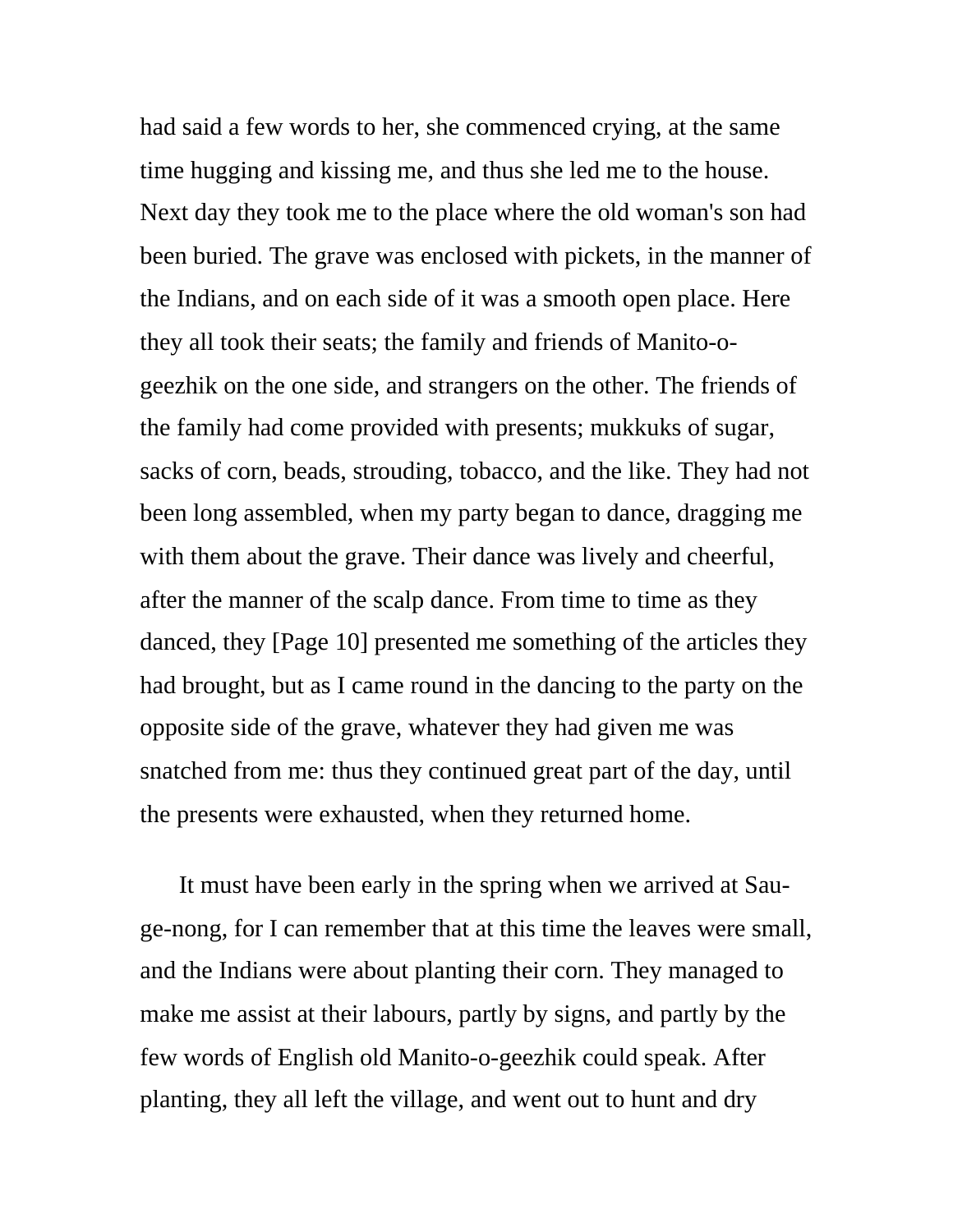had said a few words to her, she commenced crying, at the same time hugging and kissing me, and thus she led me to the house. Next day they took me to the place where the old woman's son had been buried. The grave was enclosed with pickets, in the manner of the Indians, and on each side of it was a smooth open place. Here they all took their seats; the family and friends of Manito-ogeezhik on the one side, and strangers on the other. The friends of the family had come provided with presents; mukkuks of sugar, sacks of corn, beads, strouding, tobacco, and the like. They had not been long assembled, when my party began to dance, dragging me with them about the grave. Their dance was lively and cheerful, after the manner of the scalp dance. From time to time as they danced, they [Page 10] presented me something of the articles they had brought, but as I came round in the dancing to the party on the opposite side of the grave, whatever they had given me was snatched from me: thus they continued great part of the day, until the presents were exhausted, when they returned home.

It must have been early in the spring when we arrived at Sauge-nong, for I can remember that at this time the leaves were small, and the Indians were about planting their corn. They managed to make me assist at their labours, partly by signs, and partly by the few words of English old Manito-o-geezhik could speak. After planting, they all left the village, and went out to hunt and dry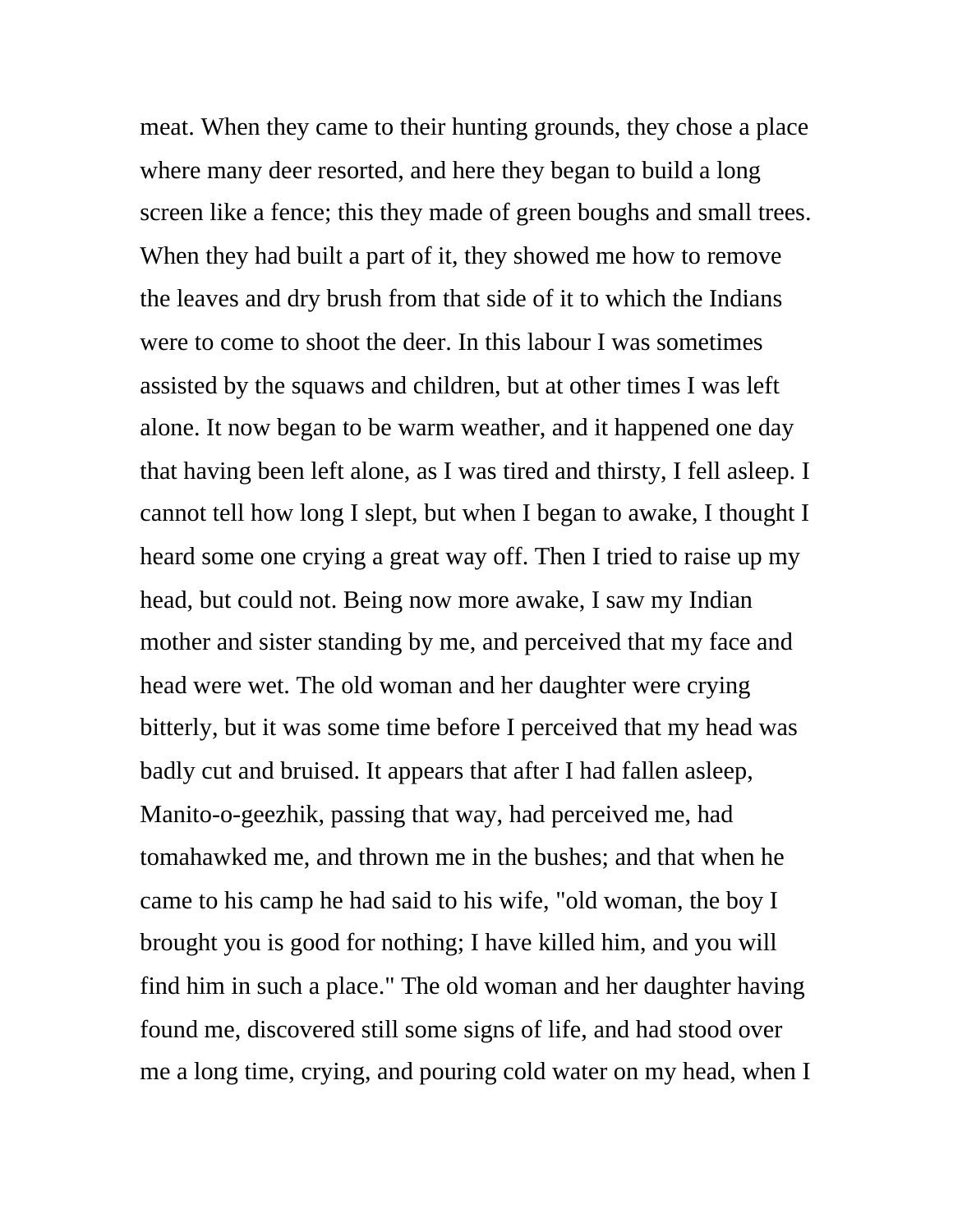meat. When they came to their hunting grounds, they chose a place where many deer resorted, and here they began to build a long screen like a fence; this they made of green boughs and small trees. When they had built a part of it, they showed me how to remove the leaves and dry brush from that side of it to which the Indians were to come to shoot the deer. In this labour I was sometimes assisted by the squaws and children, but at other times I was left alone. It now began to be warm weather, and it happened one day that having been left alone, as I was tired and thirsty, I fell asleep. I cannot tell how long I slept, but when I began to awake, I thought I heard some one crying a great way off. Then I tried to raise up my head, but could not. Being now more awake, I saw my Indian mother and sister standing by me, and perceived that my face and head were wet. The old woman and her daughter were crying bitterly, but it was some time before I perceived that my head was badly cut and bruised. It appears that after I had fallen asleep, Manito-o-geezhik, passing that way, had perceived me, had tomahawked me, and thrown me in the bushes; and that when he came to his camp he had said to his wife, "old woman, the boy I brought you is good for nothing; I have killed him, and you will find him in such a place." The old woman and her daughter having found me, discovered still some signs of life, and had stood over me a long time, crying, and pouring cold water on my head, when I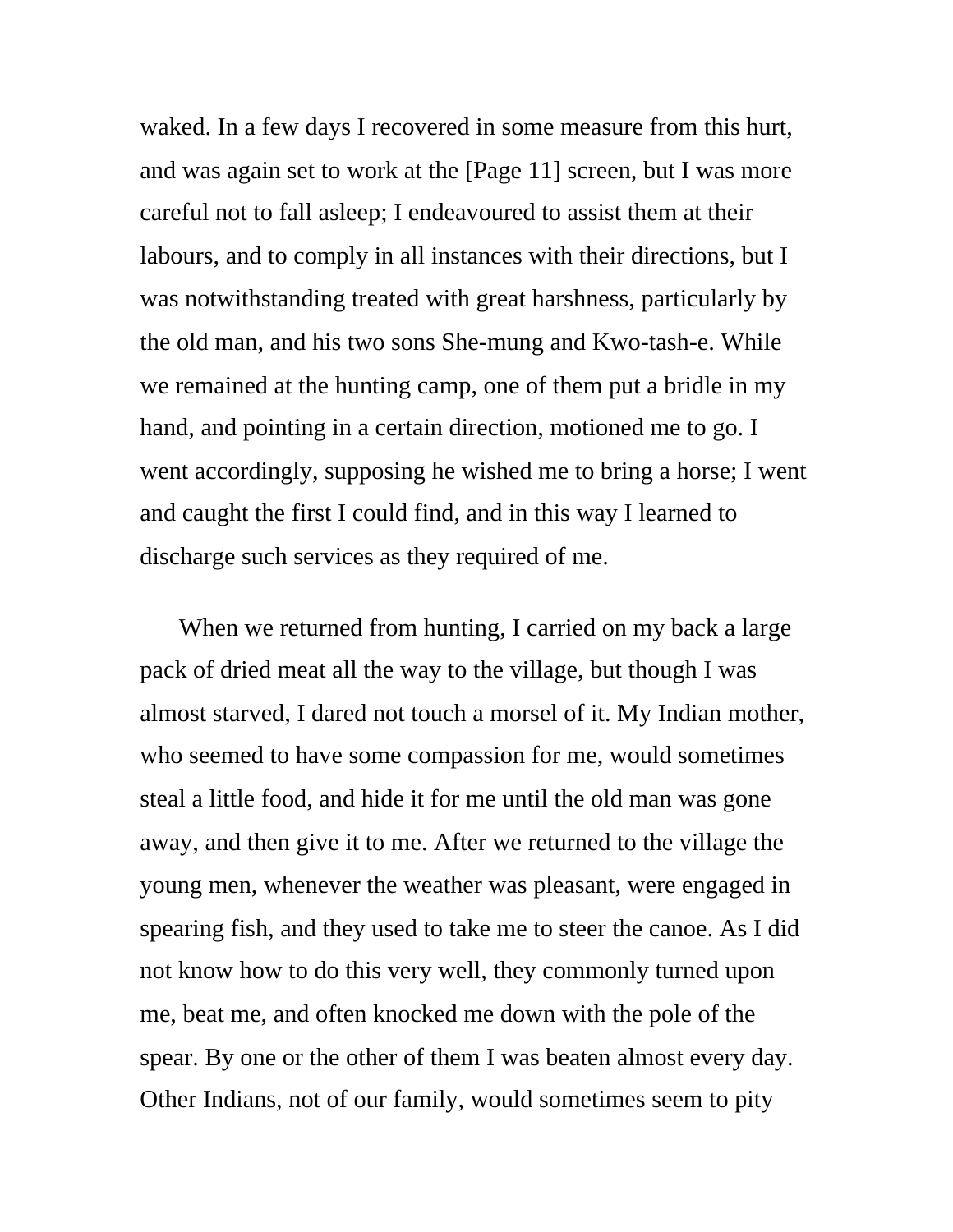waked. In a few days I recovered in some measure from this hurt, and was again set to work at the [Page 11] screen, but I was more careful not to fall asleep; I endeavoured to assist them at their labours, and to comply in all instances with their directions, but I was notwithstanding treated with great harshness, particularly by the old man, and his two sons She-mung and Kwo-tash-e. While we remained at the hunting camp, one of them put a bridle in my hand, and pointing in a certain direction, motioned me to go. I went accordingly, supposing he wished me to bring a horse; I went and caught the first I could find, and in this way I learned to discharge such services as they required of me.

When we returned from hunting, I carried on my back a large pack of dried meat all the way to the village, but though I was almost starved, I dared not touch a morsel of it. My Indian mother, who seemed to have some compassion for me, would sometimes steal a little food, and hide it for me until the old man was gone away, and then give it to me. After we returned to the village the young men, whenever the weather was pleasant, were engaged in spearing fish, and they used to take me to steer the canoe. As I did not know how to do this very well, they commonly turned upon me, beat me, and often knocked me down with the pole of the spear. By one or the other of them I was beaten almost every day. Other Indians, not of our family, would sometimes seem to pity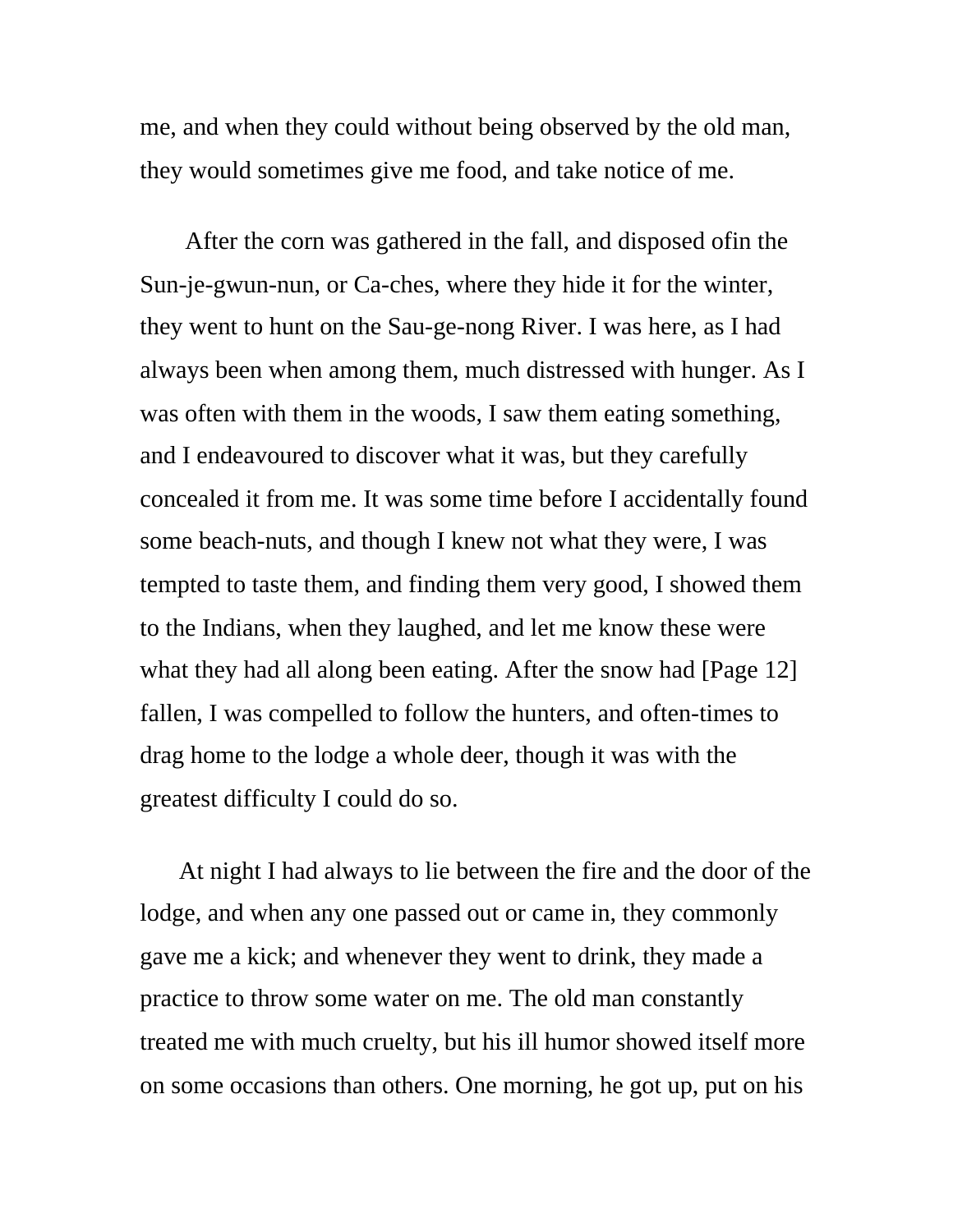me, and when they could without being observed by the old man, they would sometimes give me food, and take notice of me.

 After the corn was gathered in the fall, and disposed ofin the Sun-je-gwun-nun, or Ca-ches, where they hide it for the winter, they went to hunt on the Sau-ge-nong River. I was here, as I had always been when among them, much distressed with hunger. As I was often with them in the woods, I saw them eating something, and I endeavoured to discover what it was, but they carefully concealed it from me. It was some time before I accidentally found some beach-nuts, and though I knew not what they were, I was tempted to taste them, and finding them very good, I showed them to the Indians, when they laughed, and let me know these were what they had all along been eating. After the snow had [Page 12] fallen, I was compelled to follow the hunters, and often-times to drag home to the lodge a whole deer, though it was with the greatest difficulty I could do so.

At night I had always to lie between the fire and the door of the lodge, and when any one passed out or came in, they commonly gave me a kick; and whenever they went to drink, they made a practice to throw some water on me. The old man constantly treated me with much cruelty, but his ill humor showed itself more on some occasions than others. One morning, he got up, put on his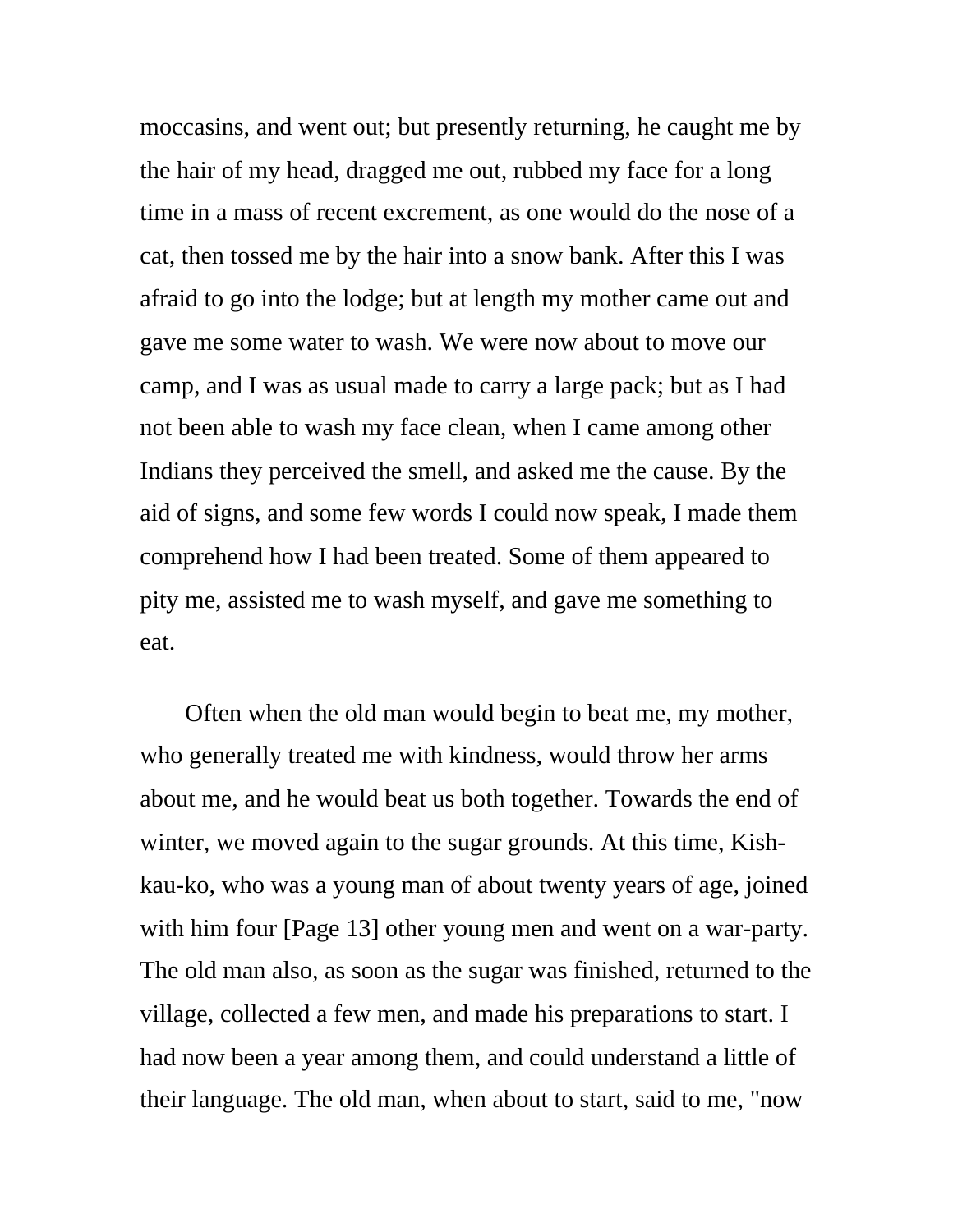moccasins, and went out; but presently returning, he caught me by the hair of my head, dragged me out, rubbed my face for a long time in a mass of recent excrement, as one would do the nose of a cat, then tossed me by the hair into a snow bank. After this I was afraid to go into the lodge; but at length my mother came out and gave me some water to wash. We were now about to move our camp, and I was as usual made to carry a large pack; but as I had not been able to wash my face clean, when I came among other Indians they perceived the smell, and asked me the cause. By the aid of signs, and some few words I could now speak, I made them comprehend how I had been treated. Some of them appeared to pity me, assisted me to wash myself, and gave me something to eat.

 Often when the old man would begin to beat me, my mother, who generally treated me with kindness, would throw her arms about me, and he would beat us both together. Towards the end of winter, we moved again to the sugar grounds. At this time, Kishkau-ko, who was a young man of about twenty years of age, joined with him four [Page 13] other young men and went on a war-party. The old man also, as soon as the sugar was finished, returned to the village, collected a few men, and made his preparations to start. I had now been a year among them, and could understand a little of their language. The old man, when about to start, said to me, "now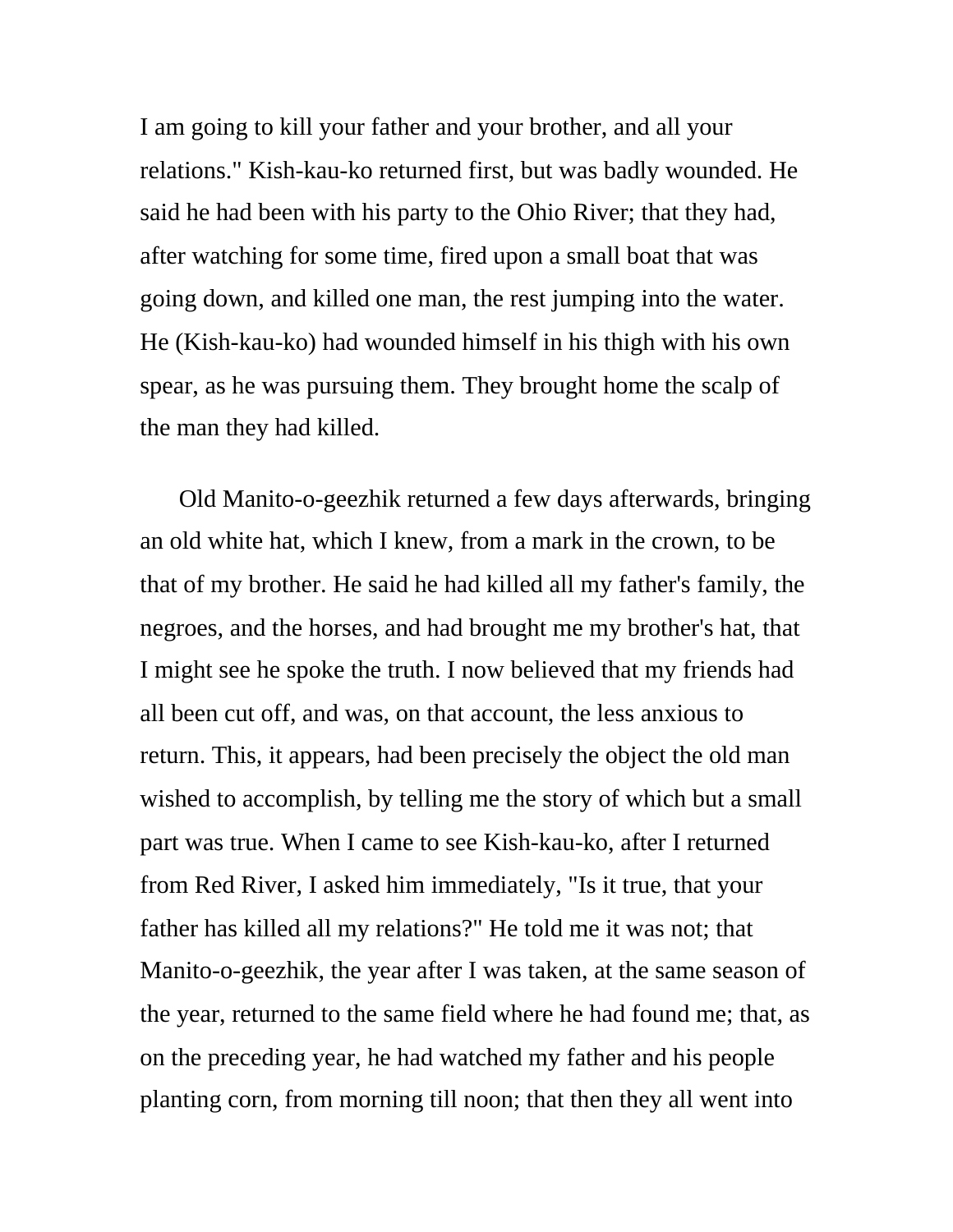I am going to kill your father and your brother, and all your relations." Kish-kau-ko returned first, but was badly wounded. He said he had been with his party to the Ohio River; that they had, after watching for some time, fired upon a small boat that was going down, and killed one man, the rest jumping into the water. He (Kish-kau-ko) had wounded himself in his thigh with his own spear, as he was pursuing them. They brought home the scalp of the man they had killed.

Old Manito-o-geezhik returned a few days afterwards, bringing an old white hat, which I knew, from a mark in the crown, to be that of my brother. He said he had killed all my father's family, the negroes, and the horses, and had brought me my brother's hat, that I might see he spoke the truth. I now believed that my friends had all been cut off, and was, on that account, the less anxious to return. This, it appears, had been precisely the object the old man wished to accomplish, by telling me the story of which but a small part was true. When I came to see Kish-kau-ko, after I returned from Red River, I asked him immediately, "Is it true, that your father has killed all my relations?" He told me it was not; that Manito-o-geezhik, the year after I was taken, at the same season of the year, returned to the same field where he had found me; that, as on the preceding year, he had watched my father and his people planting corn, from morning till noon; that then they all went into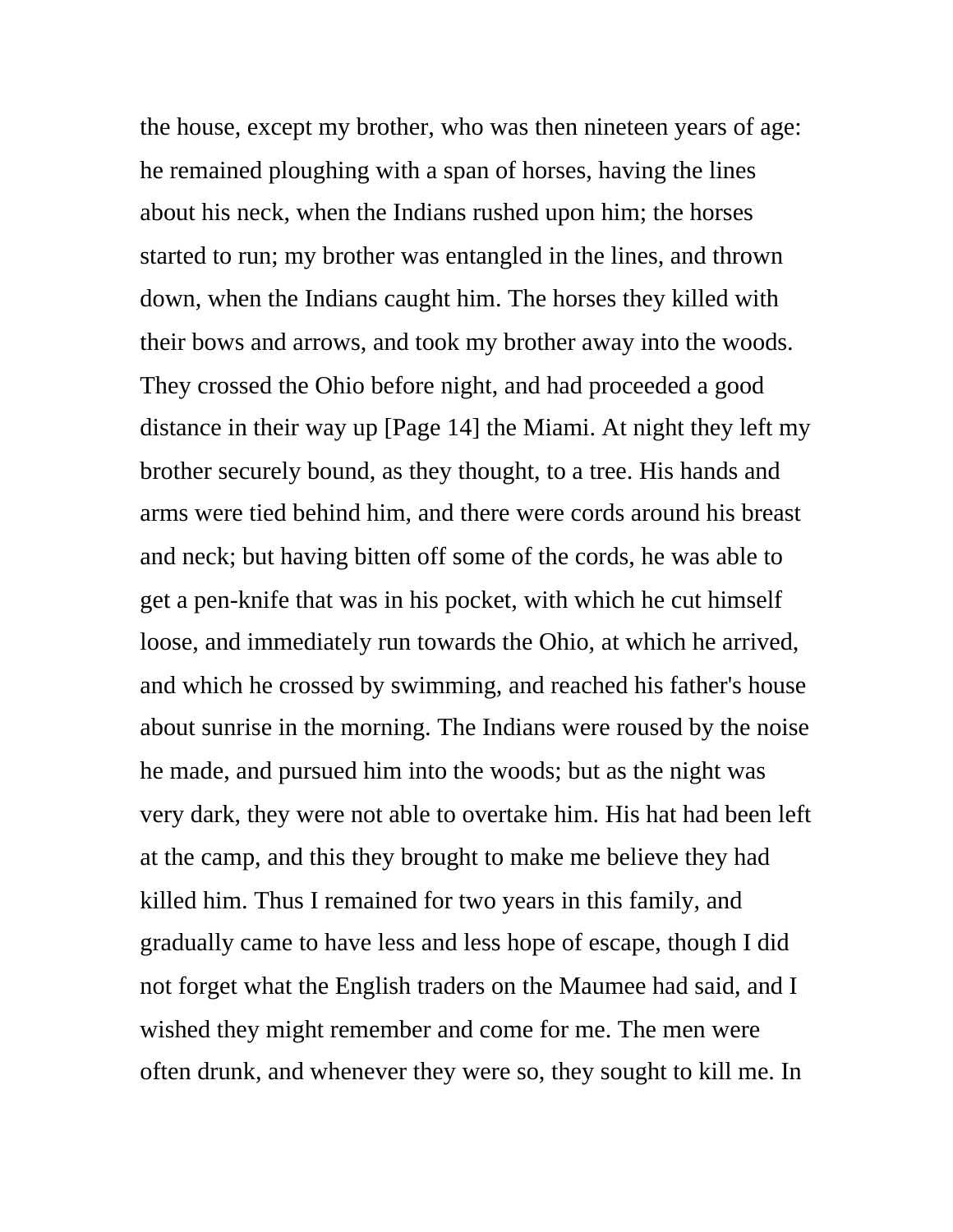the house, except my brother, who was then nineteen years of age: he remained ploughing with a span of horses, having the lines about his neck, when the Indians rushed upon him; the horses started to run; my brother was entangled in the lines, and thrown down, when the Indians caught him. The horses they killed with their bows and arrows, and took my brother away into the woods. They crossed the Ohio before night, and had proceeded a good distance in their way up [Page 14] the Miami. At night they left my brother securely bound, as they thought, to a tree. His hands and arms were tied behind him, and there were cords around his breast and neck; but having bitten off some of the cords, he was able to get a pen-knife that was in his pocket, with which he cut himself loose, and immediately run towards the Ohio, at which he arrived, and which he crossed by swimming, and reached his father's house about sunrise in the morning. The Indians were roused by the noise he made, and pursued him into the woods; but as the night was very dark, they were not able to overtake him. His hat had been left at the camp, and this they brought to make me believe they had killed him. Thus I remained for two years in this family, and gradually came to have less and less hope of escape, though I did not forget what the English traders on the Maumee had said, and I wished they might remember and come for me. The men were often drunk, and whenever they were so, they sought to kill me. In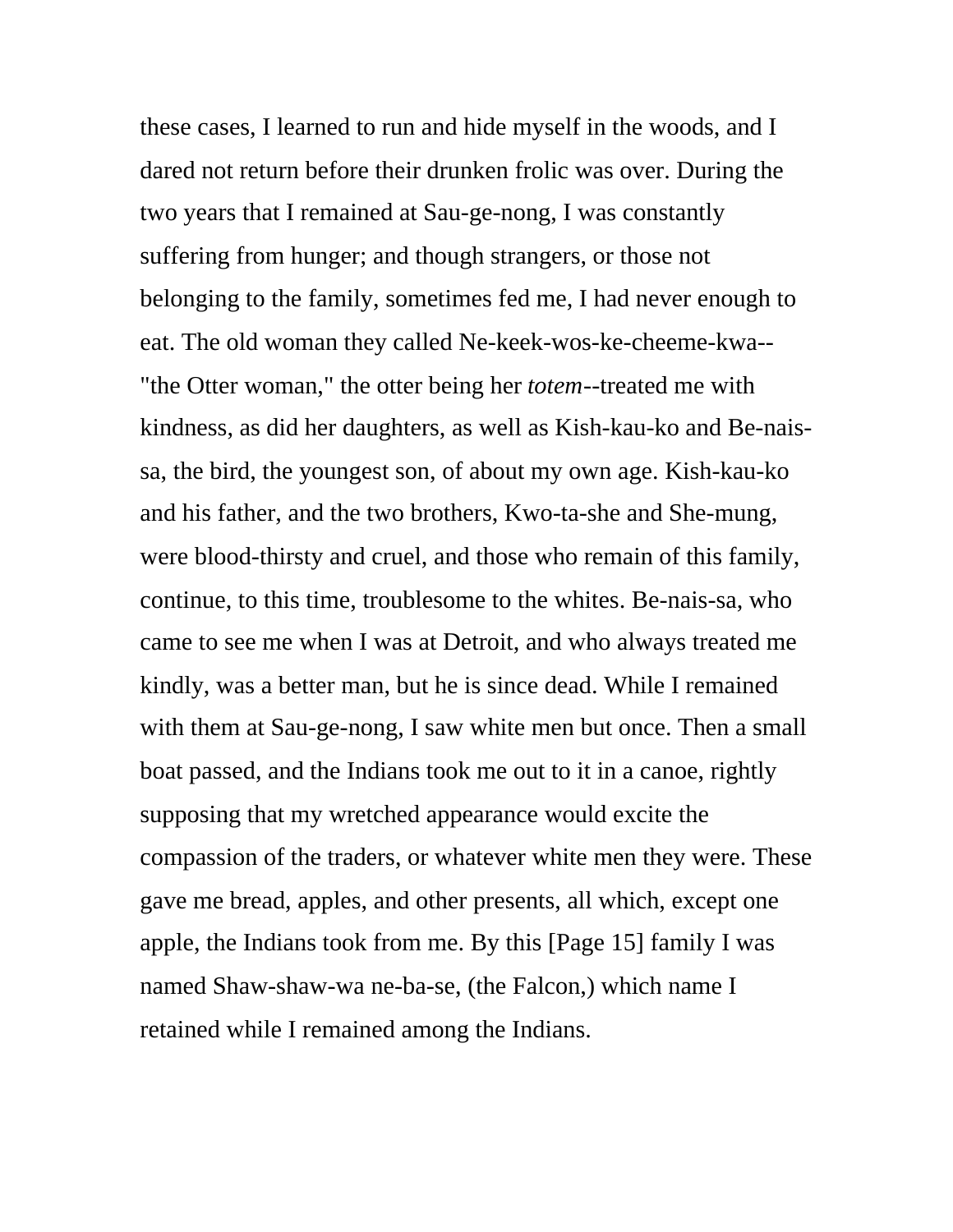these cases, I learned to run and hide myself in the woods, and I dared not return before their drunken frolic was over. During the two years that I remained at Sau-ge-nong, I was constantly suffering from hunger; and though strangers, or those not belonging to the family, sometimes fed me, I had never enough to eat. The old woman they called Ne-keek-wos-ke-cheeme-kwa-- "the Otter woman," the otter being her *totem*--treated me with kindness, as did her daughters, as well as Kish-kau-ko and Be-naissa, the bird, the youngest son, of about my own age. Kish-kau-ko and his father, and the two brothers, Kwo-ta-she and She-mung, were blood-thirsty and cruel, and those who remain of this family, continue, to this time, troublesome to the whites. Be-nais-sa, who came to see me when I was at Detroit, and who always treated me kindly, was a better man, but he is since dead. While I remained with them at Sau-ge-nong, I saw white men but once. Then a small boat passed, and the Indians took me out to it in a canoe, rightly supposing that my wretched appearance would excite the compassion of the traders, or whatever white men they were. These gave me bread, apples, and other presents, all which, except one apple, the Indians took from me. By this [Page 15] family I was named Shaw-shaw-wa ne-ba-se, (the Falcon,) which name I retained while I remained among the Indians.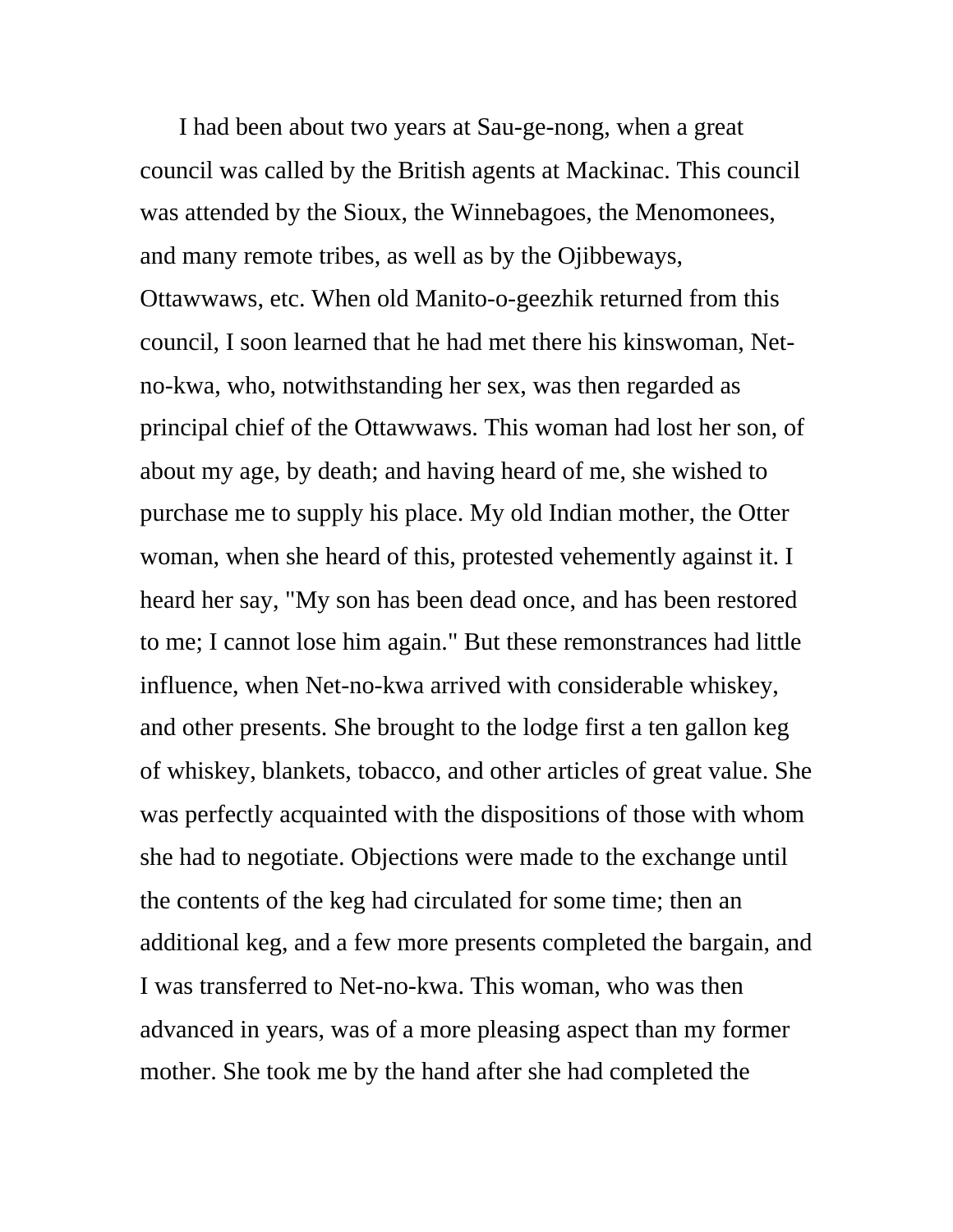I had been about two years at Sau-ge-nong, when a great council was called by the British agents at Mackinac. This council was attended by the Sioux, the Winnebagoes, the Menomonees, and many remote tribes, as well as by the Ojibbeways, Ottawwaws, etc. When old Manito-o-geezhik returned from this council, I soon learned that he had met there his kinswoman, Netno-kwa, who, notwithstanding her sex, was then regarded as principal chief of the Ottawwaws. This woman had lost her son, of about my age, by death; and having heard of me, she wished to purchase me to supply his place. My old Indian mother, the Otter woman, when she heard of this, protested vehemently against it. I heard her say, "My son has been dead once, and has been restored to me; I cannot lose him again." But these remonstrances had little influence, when Net-no-kwa arrived with considerable whiskey, and other presents. She brought to the lodge first a ten gallon keg of whiskey, blankets, tobacco, and other articles of great value. She was perfectly acquainted with the dispositions of those with whom she had to negotiate. Objections were made to the exchange until the contents of the keg had circulated for some time; then an additional keg, and a few more presents completed the bargain, and I was transferred to Net-no-kwa. This woman, who was then advanced in years, was of a more pleasing aspect than my former mother. She took me by the hand after she had completed the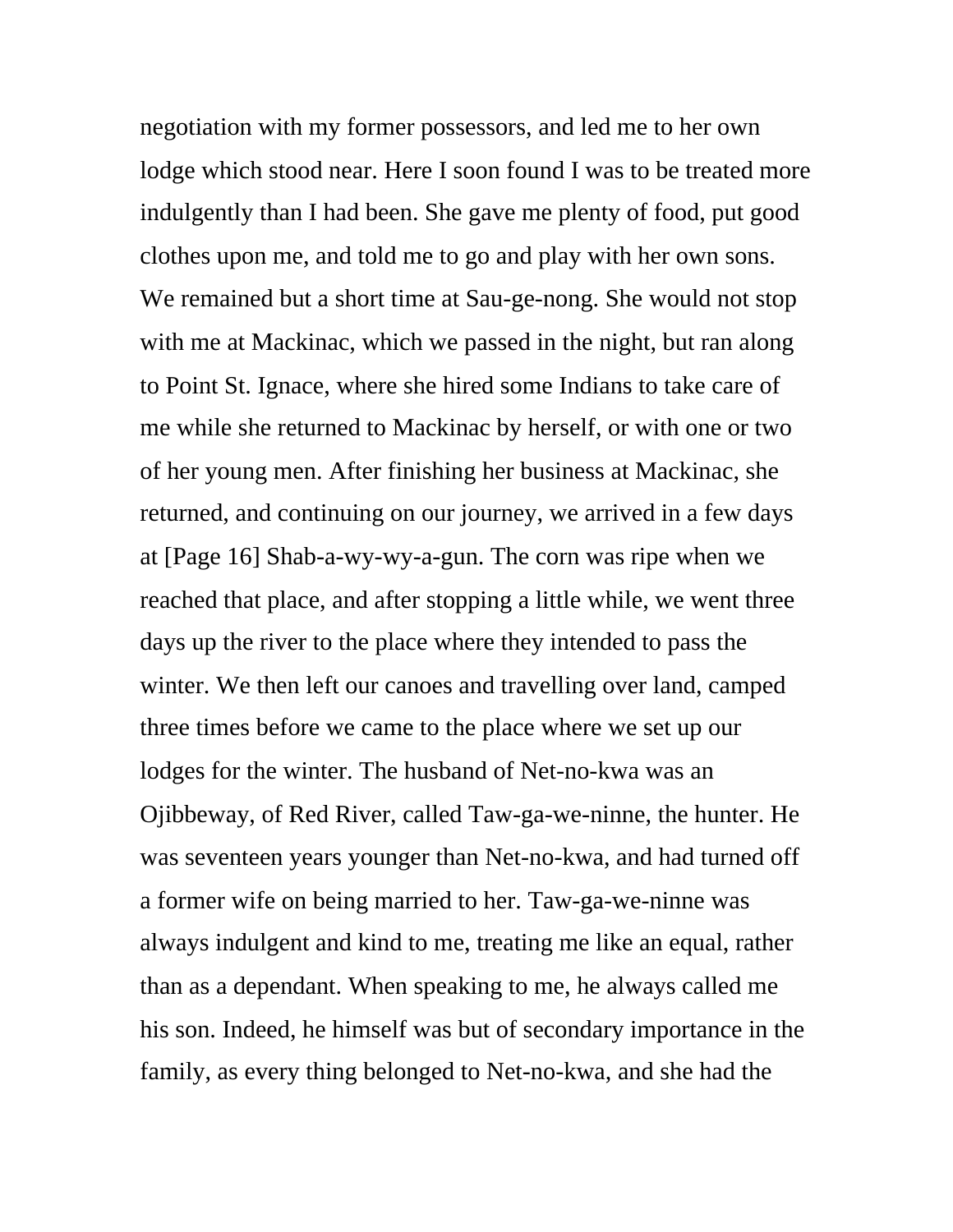negotiation with my former possessors, and led me to her own lodge which stood near. Here I soon found I was to be treated more indulgently than I had been. She gave me plenty of food, put good clothes upon me, and told me to go and play with her own sons. We remained but a short time at Sau-ge-nong. She would not stop with me at Mackinac, which we passed in the night, but ran along to Point St. Ignace, where she hired some Indians to take care of me while she returned to Mackinac by herself, or with one or two of her young men. After finishing her business at Mackinac, she returned, and continuing on our journey, we arrived in a few days at [Page 16] Shab-a-wy-wy-a-gun. The corn was ripe when we reached that place, and after stopping a little while, we went three days up the river to the place where they intended to pass the winter. We then left our canoes and travelling over land, camped three times before we came to the place where we set up our lodges for the winter. The husband of Net-no-kwa was an Ojibbeway, of Red River, called Taw-ga-we-ninne, the hunter. He was seventeen years younger than Net-no-kwa, and had turned off a former wife on being married to her. Taw-ga-we-ninne was always indulgent and kind to me, treating me like an equal, rather than as a dependant. When speaking to me, he always called me his son. Indeed, he himself was but of secondary importance in the family, as every thing belonged to Net-no-kwa, and she had the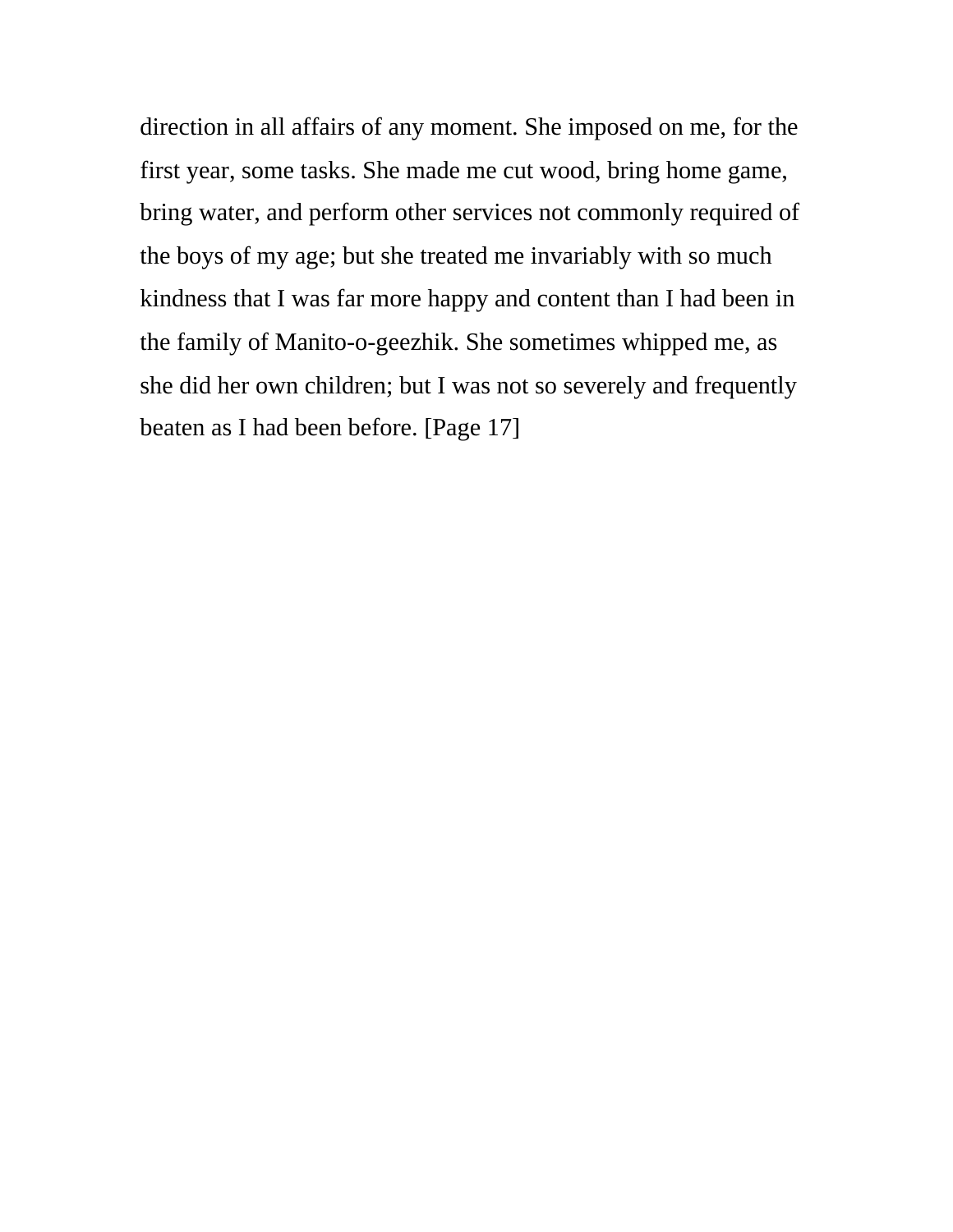direction in all affairs of any moment. She imposed on me, for the first year, some tasks. She made me cut wood, bring home game, bring water, and perform other services not commonly required of the boys of my age; but she treated me invariably with so much kindness that I was far more happy and content than I had been in the family of Manito-o-geezhik. She sometimes whipped me, as she did her own children; but I was not so severely and frequently beaten as I had been before. [Page 17]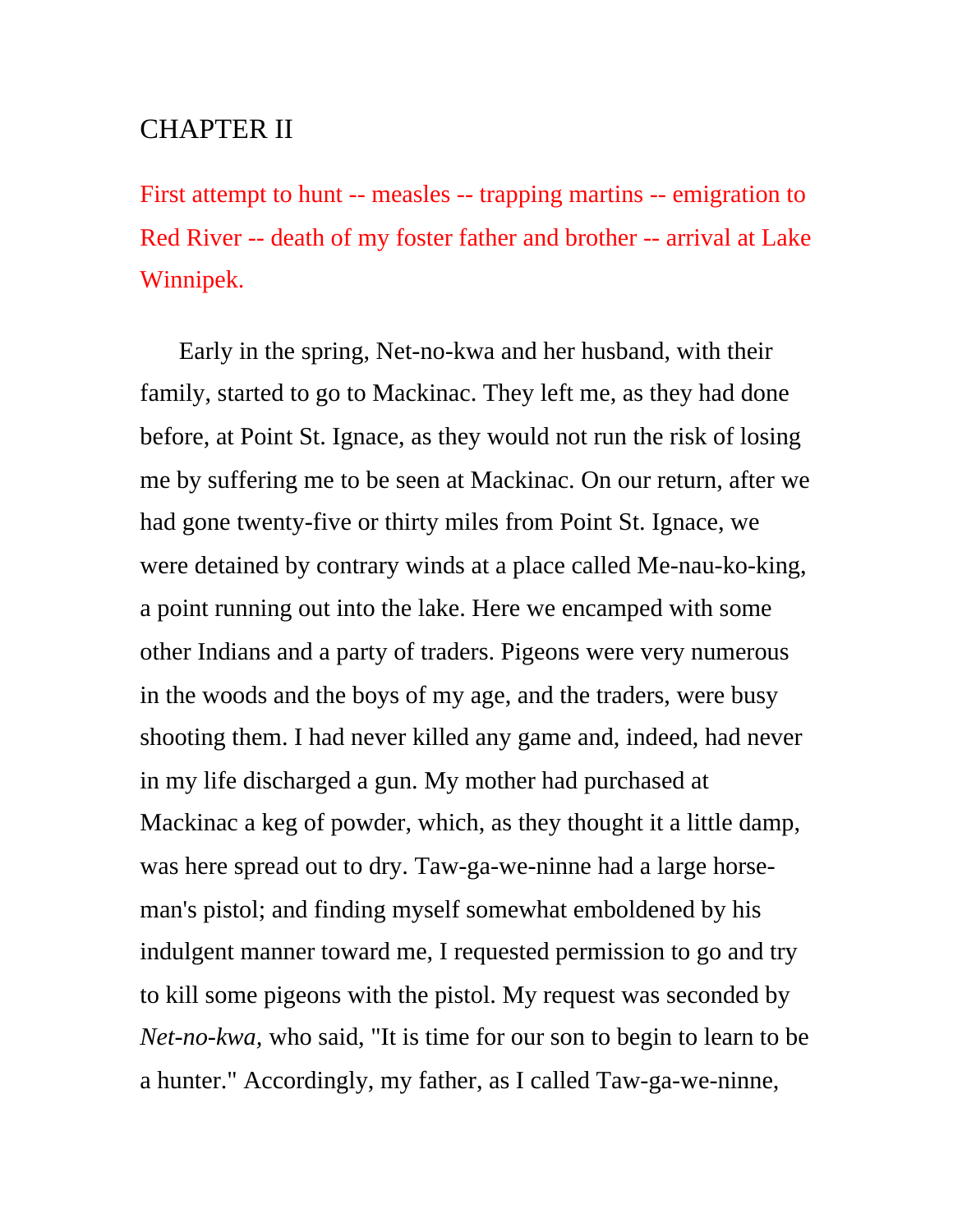# CHAPTER II

First attempt to hunt -- measles -- trapping martins -- emigration to Red River -- death of my foster father and brother -- arrival at Lake Winnipek.

Early in the spring, Net-no-kwa and her husband, with their family, started to go to Mackinac. They left me, as they had done before, at Point St. Ignace, as they would not run the risk of losing me by suffering me to be seen at Mackinac. On our return, after we had gone twenty-five or thirty miles from Point St. Ignace, we were detained by contrary winds at a place called Me-nau-ko-king, a point running out into the lake. Here we encamped with some other Indians and a party of traders. Pigeons were very numerous in the woods and the boys of my age, and the traders, were busy shooting them. I had never killed any game and, indeed, had never in my life discharged a gun. My mother had purchased at Mackinac a keg of powder, which, as they thought it a little damp, was here spread out to dry. Taw-ga-we-ninne had a large horseman's pistol; and finding myself somewhat emboldened by his indulgent manner toward me, I requested permission to go and try to kill some pigeons with the pistol. My request was seconded by *Net-no-kwa,* who said, "It is time for our son to begin to learn to be a hunter." Accordingly, my father, as I called Taw-ga-we-ninne,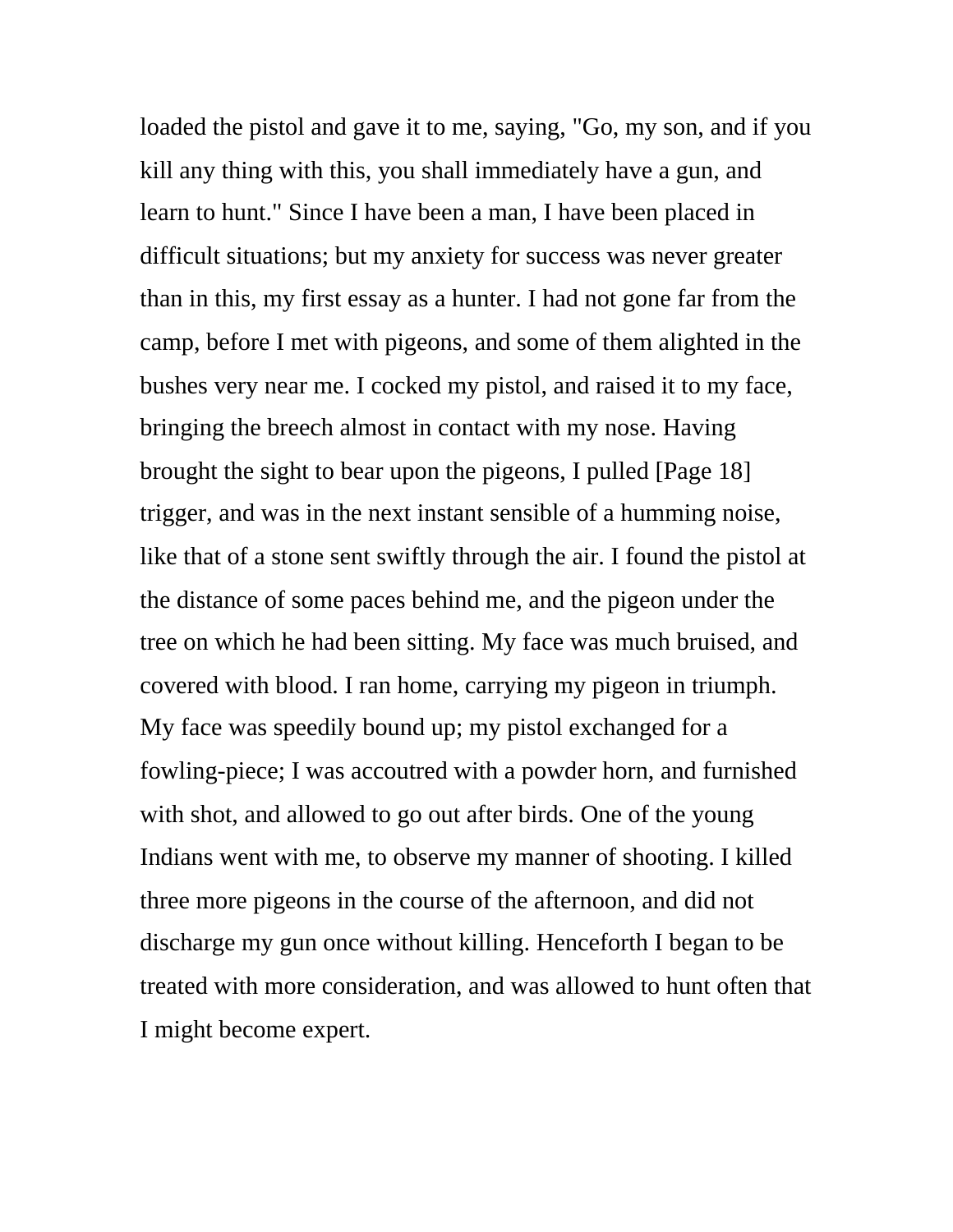loaded the pistol and gave it to me, saying, "Go, my son, and if you kill any thing with this, you shall immediately have a gun, and learn to hunt." Since I have been a man, I have been placed in difficult situations; but my anxiety for success was never greater than in this, my first essay as a hunter. I had not gone far from the camp, before I met with pigeons, and some of them alighted in the bushes very near me. I cocked my pistol, and raised it to my face, bringing the breech almost in contact with my nose. Having brought the sight to bear upon the pigeons, I pulled [Page 18] trigger, and was in the next instant sensible of a humming noise, like that of a stone sent swiftly through the air. I found the pistol at the distance of some paces behind me, and the pigeon under the tree on which he had been sitting. My face was much bruised, and covered with blood. I ran home, carrying my pigeon in triumph. My face was speedily bound up; my pistol exchanged for a fowling-piece; I was accoutred with a powder horn, and furnished with shot, and allowed to go out after birds. One of the young Indians went with me, to observe my manner of shooting. I killed three more pigeons in the course of the afternoon, and did not discharge my gun once without killing. Henceforth I began to be treated with more consideration, and was allowed to hunt often that I might become expert.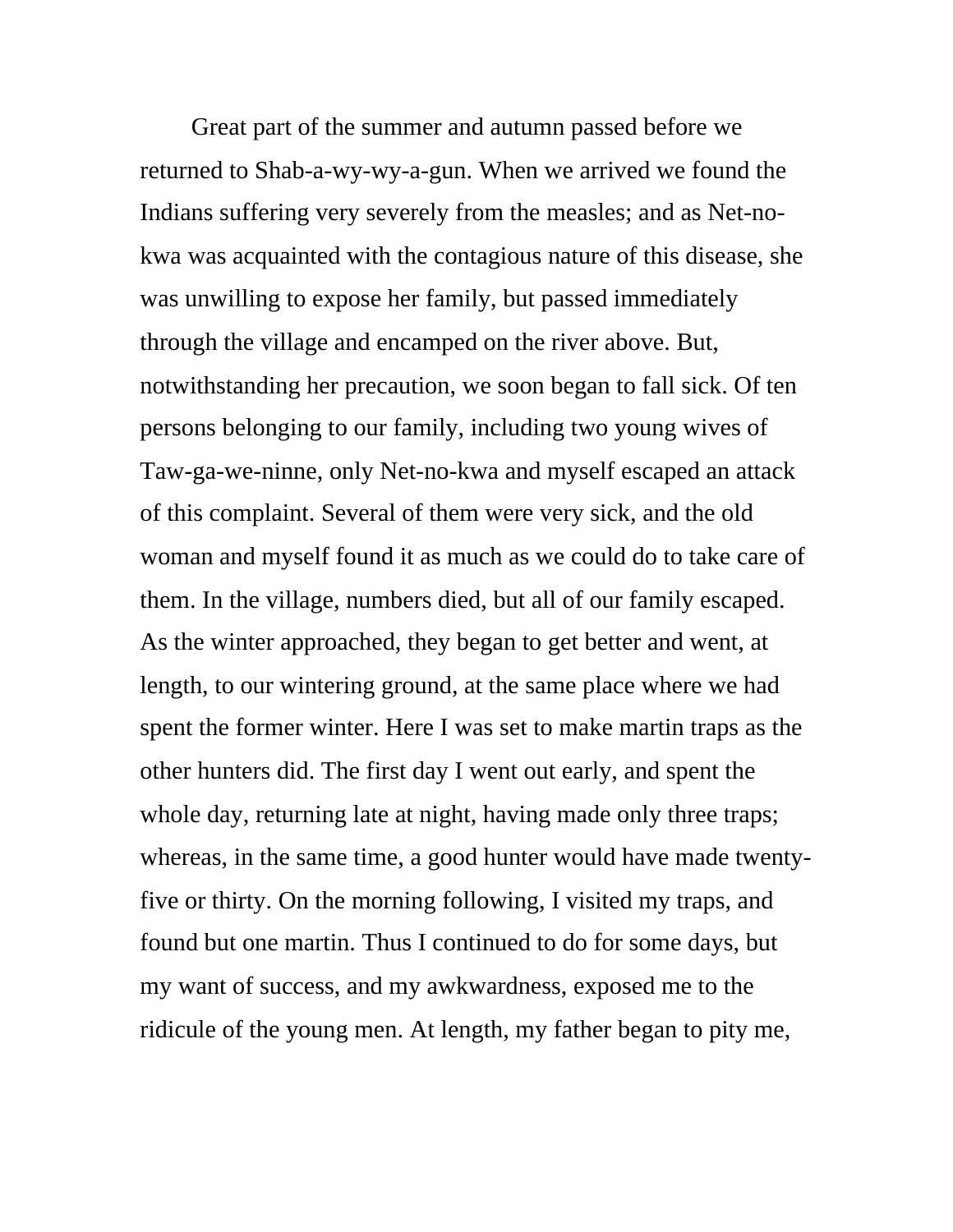Great part of the summer and autumn passed before we returned to Shab-a-wy-wy-a-gun. When we arrived we found the Indians suffering very severely from the measles; and as Net-nokwa was acquainted with the contagious nature of this disease, she was unwilling to expose her family, but passed immediately through the village and encamped on the river above. But, notwithstanding her precaution, we soon began to fall sick. Of ten persons belonging to our family, including two young wives of Taw-ga-we-ninne, only Net-no-kwa and myself escaped an attack of this complaint. Several of them were very sick, and the old woman and myself found it as much as we could do to take care of them. In the village, numbers died, but all of our family escaped. As the winter approached, they began to get better and went, at length, to our wintering ground, at the same place where we had spent the former winter. Here I was set to make martin traps as the other hunters did. The first day I went out early, and spent the whole day, returning late at night, having made only three traps; whereas, in the same time, a good hunter would have made twentyfive or thirty. On the morning following, I visited my traps, and found but one martin. Thus I continued to do for some days, but my want of success, and my awkwardness, exposed me to the ridicule of the young men. At length, my father began to pity me,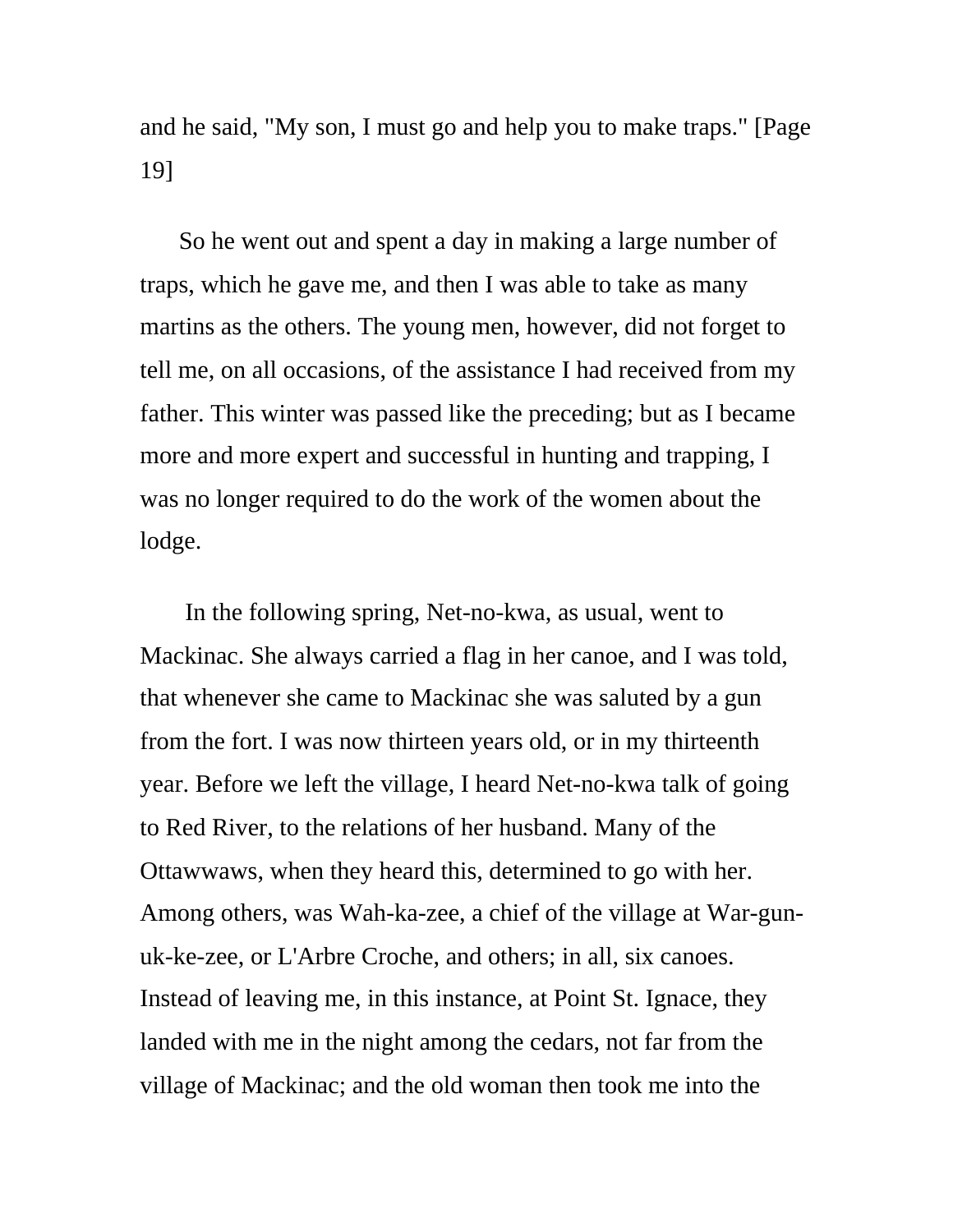and he said, "My son, I must go and help you to make traps." [Page 19]

So he went out and spent a day in making a large number of traps, which he gave me, and then I was able to take as many martins as the others. The young men, however, did not forget to tell me, on all occasions, of the assistance I had received from my father. This winter was passed like the preceding; but as I became more and more expert and successful in hunting and trapping, I was no longer required to do the work of the women about the lodge.

 In the following spring, Net-no-kwa, as usual, went to Mackinac. She always carried a flag in her canoe, and I was told, that whenever she came to Mackinac she was saluted by a gun from the fort. I was now thirteen years old, or in my thirteenth year. Before we left the village, I heard Net-no-kwa talk of going to Red River, to the relations of her husband. Many of the Ottawwaws, when they heard this, determined to go with her. Among others, was Wah-ka-zee, a chief of the village at War-gunuk-ke-zee, or L'Arbre Croche, and others; in all, six canoes. Instead of leaving me, in this instance, at Point St. Ignace, they landed with me in the night among the cedars, not far from the village of Mackinac; and the old woman then took me into the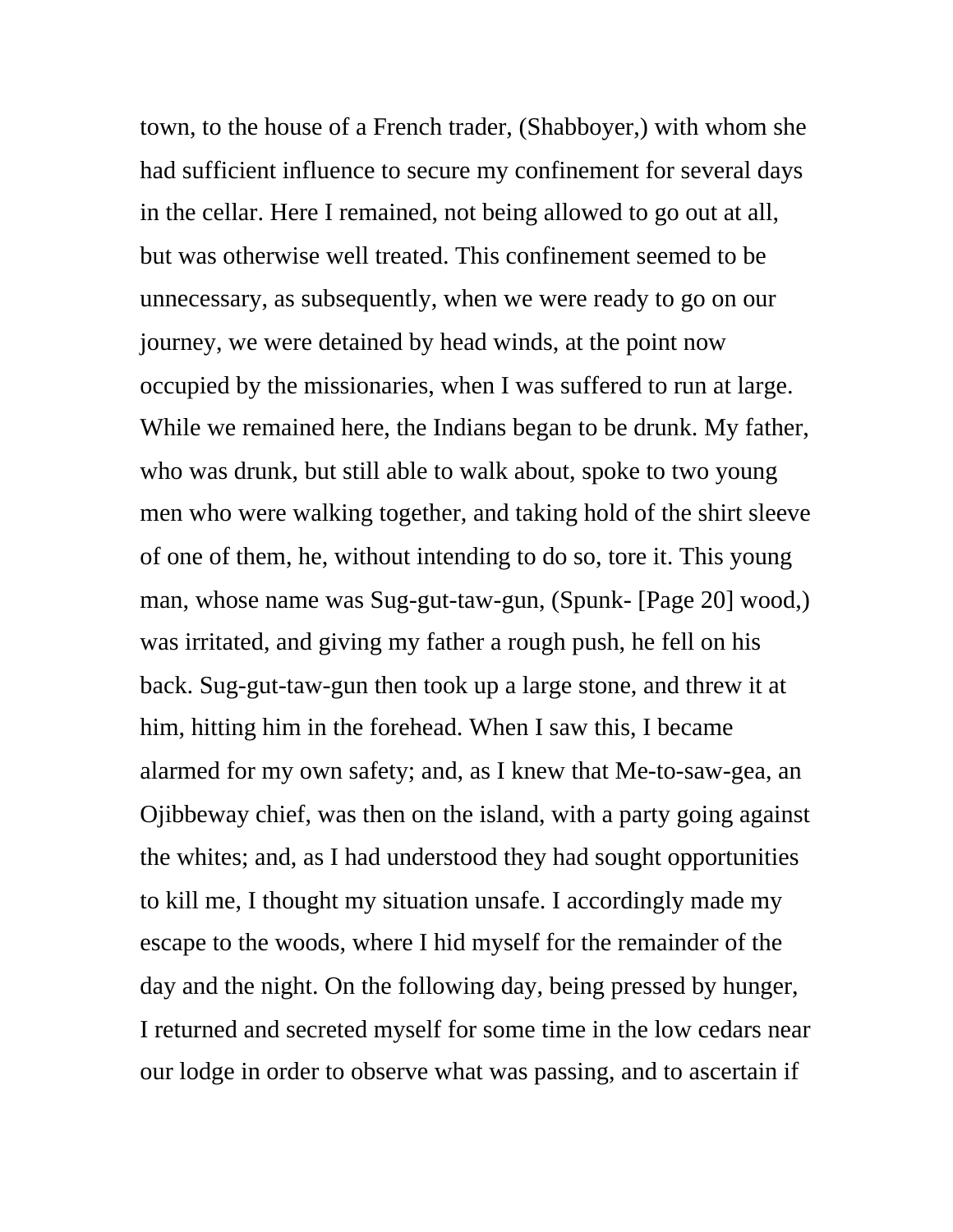town, to the house of a French trader, (Shabboyer,) with whom she had sufficient influence to secure my confinement for several days in the cellar. Here I remained, not being allowed to go out at all, but was otherwise well treated. This confinement seemed to be unnecessary, as subsequently, when we were ready to go on our journey, we were detained by head winds, at the point now occupied by the missionaries, when I was suffered to run at large. While we remained here, the Indians began to be drunk. My father, who was drunk, but still able to walk about, spoke to two young men who were walking together, and taking hold of the shirt sleeve of one of them, he, without intending to do so, tore it. This young man, whose name was Sug-gut-taw-gun, (Spunk- [Page 20] wood,) was irritated, and giving my father a rough push, he fell on his back. Sug-gut-taw-gun then took up a large stone, and threw it at him, hitting him in the forehead. When I saw this, I became alarmed for my own safety; and, as I knew that Me-to-saw-gea, an Ojibbeway chief, was then on the island, with a party going against the whites; and, as I had understood they had sought opportunities to kill me, I thought my situation unsafe. I accordingly made my escape to the woods, where I hid myself for the remainder of the day and the night. On the following day, being pressed by hunger, I returned and secreted myself for some time in the low cedars near our lodge in order to observe what was passing, and to ascertain if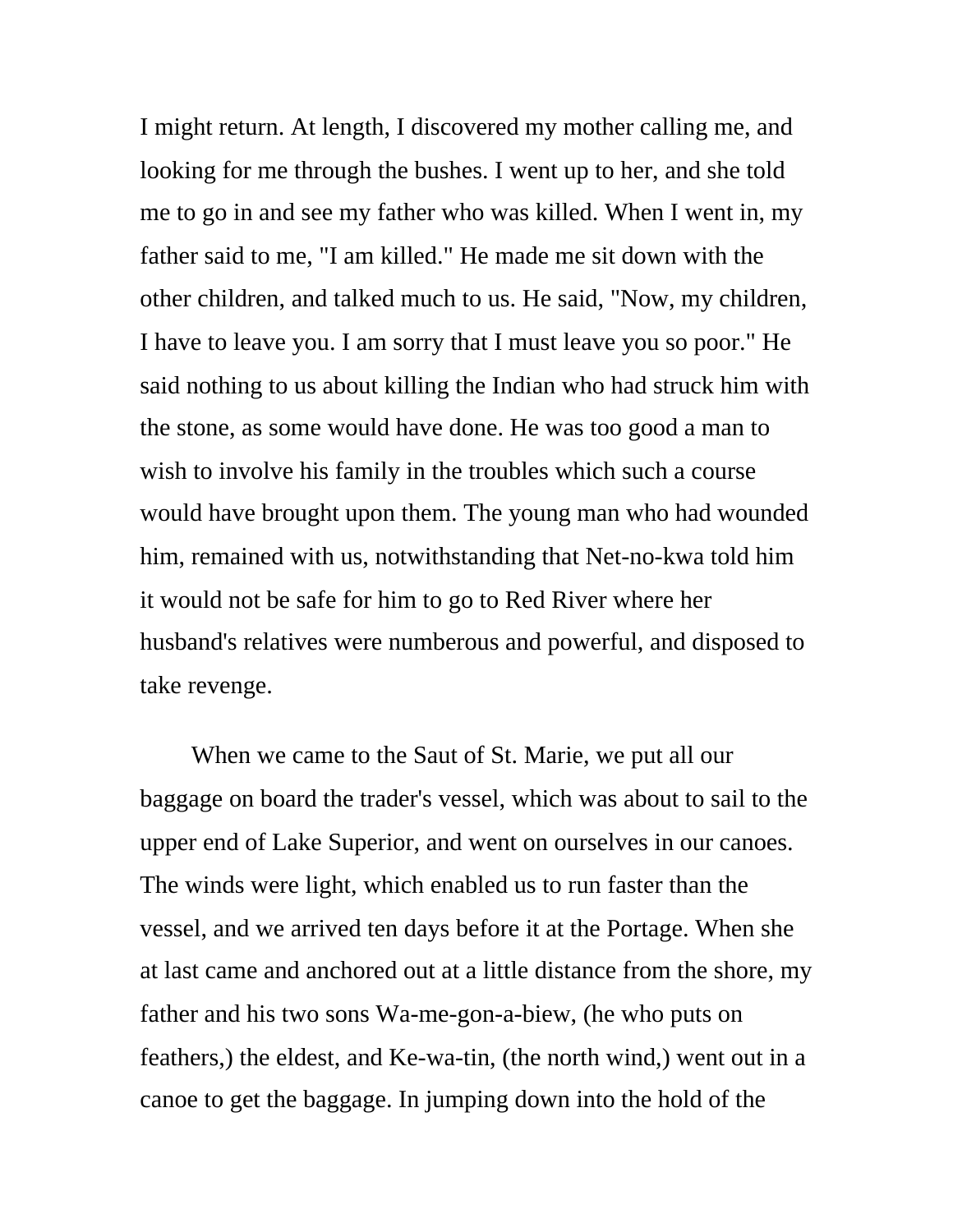I might return. At length, I discovered my mother calling me, and looking for me through the bushes. I went up to her, and she told me to go in and see my father who was killed. When I went in, my father said to me, "I am killed." He made me sit down with the other children, and talked much to us. He said, "Now, my children, I have to leave you. I am sorry that I must leave you so poor." He said nothing to us about killing the Indian who had struck him with the stone, as some would have done. He was too good a man to wish to involve his family in the troubles which such a course would have brought upon them. The young man who had wounded him, remained with us, notwithstanding that Net-no-kwa told him it would not be safe for him to go to Red River where her husband's relatives were numberous and powerful, and disposed to take revenge.

 When we came to the Saut of St. Marie, we put all our baggage on board the trader's vessel, which was about to sail to the upper end of Lake Superior, and went on ourselves in our canoes. The winds were light, which enabled us to run faster than the vessel, and we arrived ten days before it at the Portage. When she at last came and anchored out at a little distance from the shore, my father and his two sons Wa-me-gon-a-biew, (he who puts on feathers,) the eldest, and Ke-wa-tin, (the north wind,) went out in a canoe to get the baggage. In jumping down into the hold of the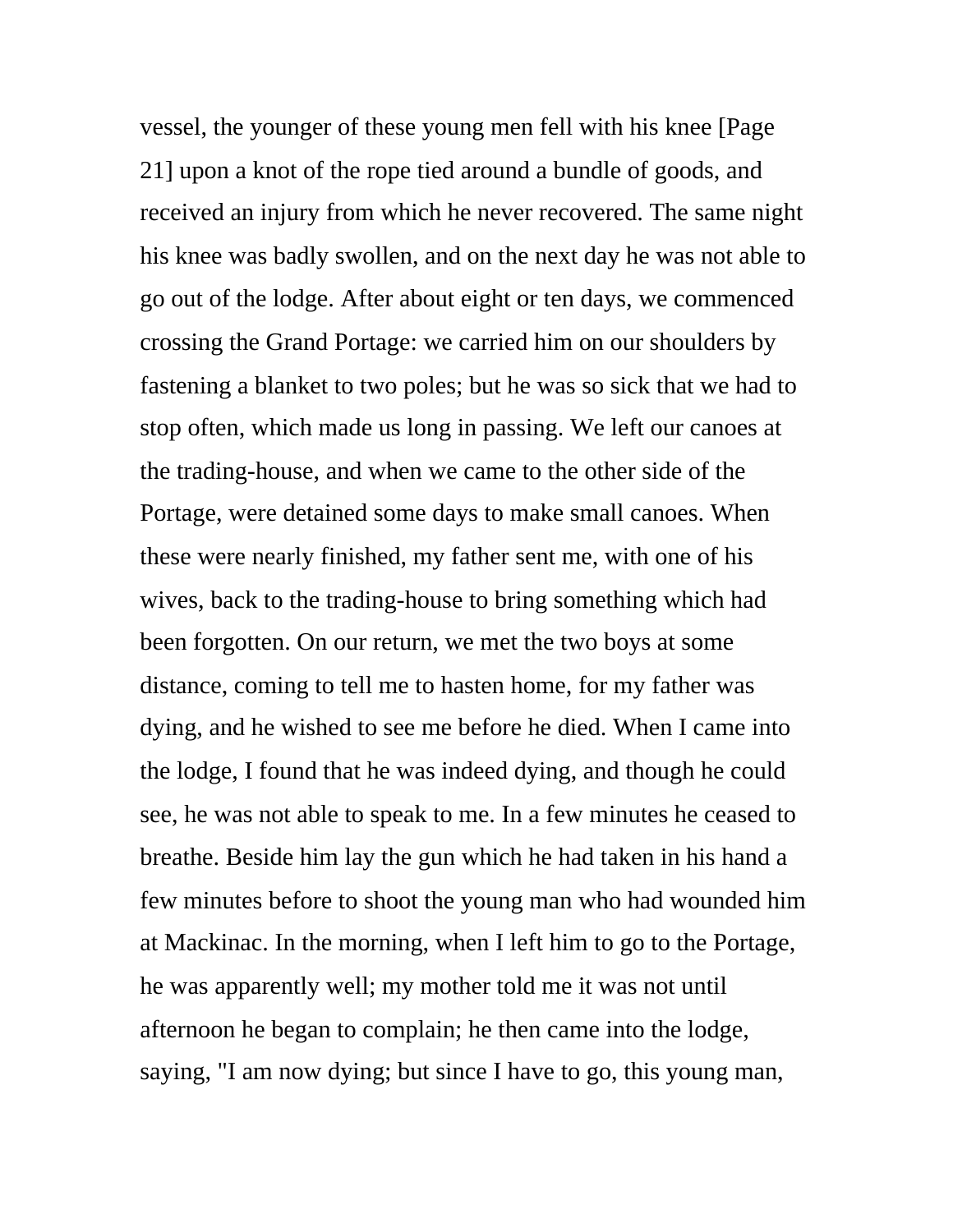vessel, the younger of these young men fell with his knee [Page 21] upon a knot of the rope tied around a bundle of goods, and received an injury from which he never recovered. The same night his knee was badly swollen, and on the next day he was not able to go out of the lodge. After about eight or ten days, we commenced crossing the Grand Portage: we carried him on our shoulders by fastening a blanket to two poles; but he was so sick that we had to stop often, which made us long in passing. We left our canoes at the trading-house, and when we came to the other side of the Portage, were detained some days to make small canoes. When these were nearly finished, my father sent me, with one of his wives, back to the trading-house to bring something which had been forgotten. On our return, we met the two boys at some distance, coming to tell me to hasten home, for my father was dying, and he wished to see me before he died. When I came into the lodge, I found that he was indeed dying, and though he could see, he was not able to speak to me. In a few minutes he ceased to breathe. Beside him lay the gun which he had taken in his hand a few minutes before to shoot the young man who had wounded him at Mackinac. In the morning, when I left him to go to the Portage, he was apparently well; my mother told me it was not until afternoon he began to complain; he then came into the lodge, saying, "I am now dying; but since I have to go, this young man,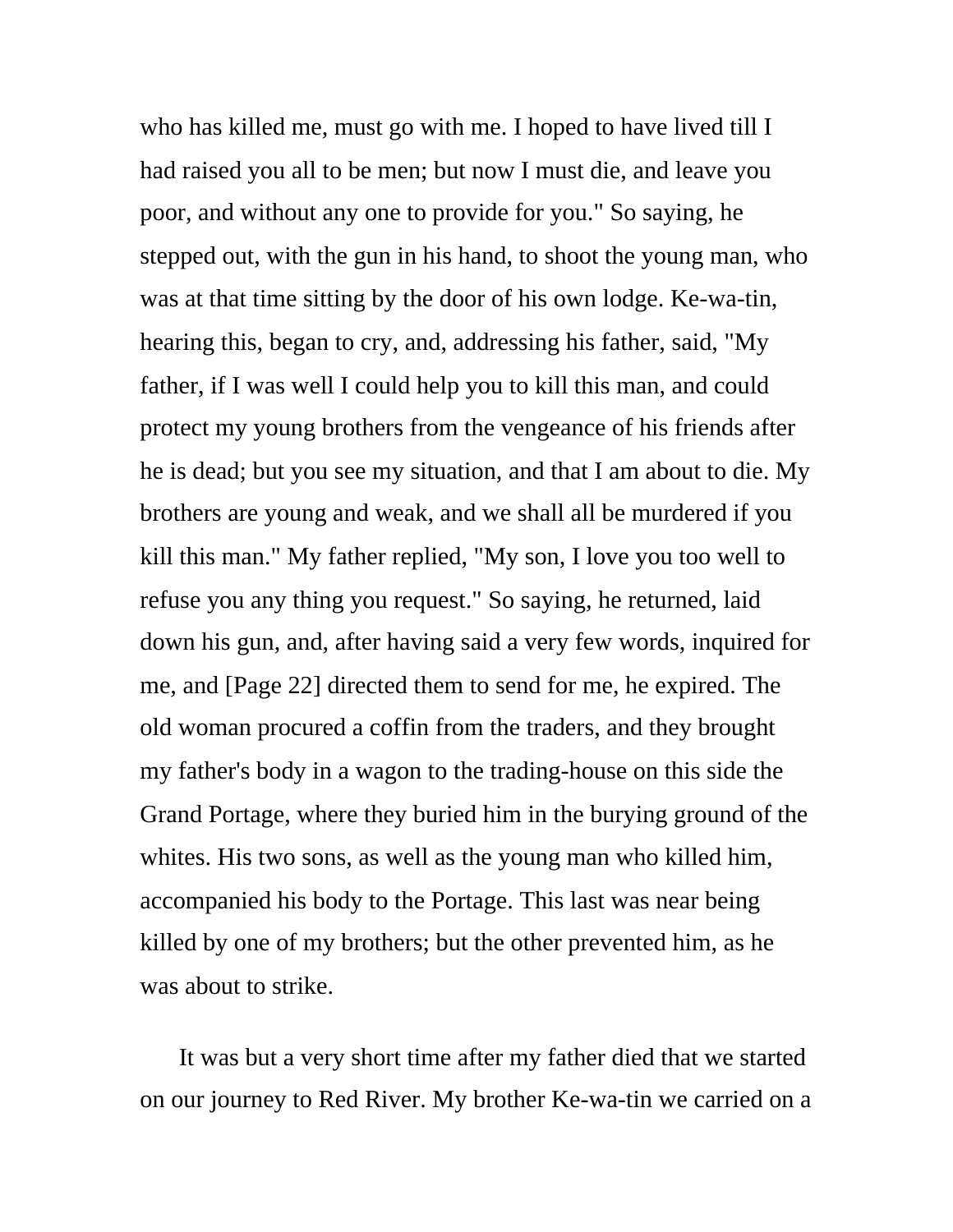who has killed me, must go with me. I hoped to have lived till I had raised you all to be men; but now I must die, and leave you poor, and without any one to provide for you." So saying, he stepped out, with the gun in his hand, to shoot the young man, who was at that time sitting by the door of his own lodge. Ke-wa-tin, hearing this, began to cry, and, addressing his father, said, "My father, if I was well I could help you to kill this man, and could protect my young brothers from the vengeance of his friends after he is dead; but you see my situation, and that I am about to die. My brothers are young and weak, and we shall all be murdered if you kill this man." My father replied, "My son, I love you too well to refuse you any thing you request." So saying, he returned, laid down his gun, and, after having said a very few words, inquired for me, and [Page 22] directed them to send for me, he expired. The old woman procured a coffin from the traders, and they brought my father's body in a wagon to the trading-house on this side the Grand Portage, where they buried him in the burying ground of the whites. His two sons, as well as the young man who killed him, accompanied his body to the Portage. This last was near being killed by one of my brothers; but the other prevented him, as he was about to strike.

It was but a very short time after my father died that we started on our journey to Red River. My brother Ke-wa-tin we carried on a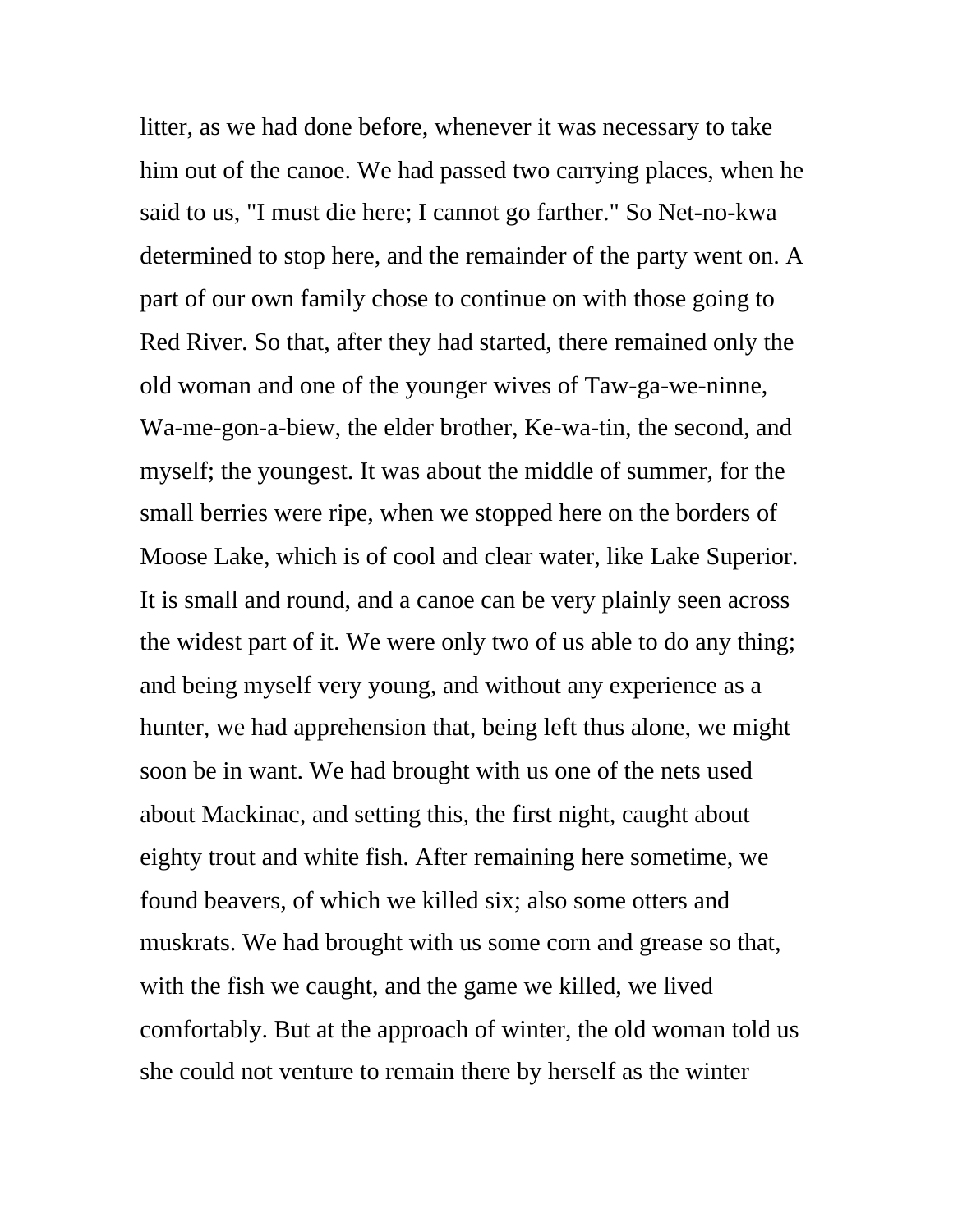litter, as we had done before, whenever it was necessary to take him out of the canoe. We had passed two carrying places, when he said to us, "I must die here; I cannot go farther." So Net-no-kwa determined to stop here, and the remainder of the party went on. A part of our own family chose to continue on with those going to Red River. So that, after they had started, there remained only the old woman and one of the younger wives of Taw-ga-we-ninne, Wa-me-gon-a-biew, the elder brother, Ke-wa-tin, the second, and myself; the youngest. It was about the middle of summer, for the small berries were ripe, when we stopped here on the borders of Moose Lake, which is of cool and clear water, like Lake Superior. It is small and round, and a canoe can be very plainly seen across the widest part of it. We were only two of us able to do any thing; and being myself very young, and without any experience as a hunter, we had apprehension that, being left thus alone, we might soon be in want. We had brought with us one of the nets used about Mackinac, and setting this, the first night, caught about eighty trout and white fish. After remaining here sometime, we found beavers, of which we killed six; also some otters and muskrats. We had brought with us some corn and grease so that, with the fish we caught, and the game we killed, we lived comfortably. But at the approach of winter, the old woman told us she could not venture to remain there by herself as the winter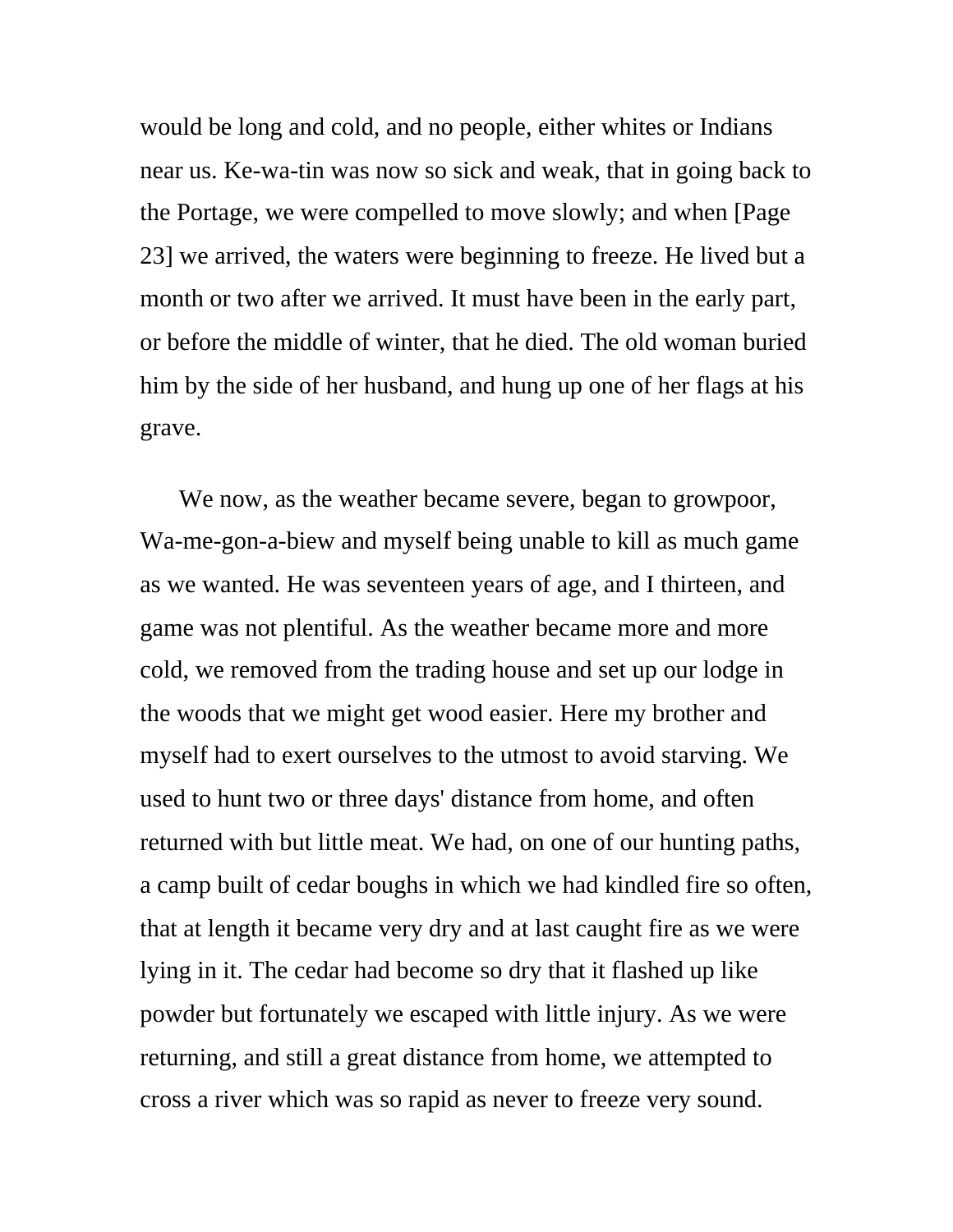would be long and cold, and no people, either whites or Indians near us. Ke-wa-tin was now so sick and weak, that in going back to the Portage, we were compelled to move slowly; and when [Page 23] we arrived, the waters were beginning to freeze. He lived but a month or two after we arrived. It must have been in the early part, or before the middle of winter, that he died. The old woman buried him by the side of her husband, and hung up one of her flags at his grave.

We now, as the weather became severe, began to growpoor, Wa-me-gon-a-biew and myself being unable to kill as much game as we wanted. He was seventeen years of age, and I thirteen, and game was not plentiful. As the weather became more and more cold, we removed from the trading house and set up our lodge in the woods that we might get wood easier. Here my brother and myself had to exert ourselves to the utmost to avoid starving. We used to hunt two or three days' distance from home, and often returned with but little meat. We had, on one of our hunting paths, a camp built of cedar boughs in which we had kindled fire so often, that at length it became very dry and at last caught fire as we were lying in it. The cedar had become so dry that it flashed up like powder but fortunately we escaped with little injury. As we were returning, and still a great distance from home, we attempted to cross a river which was so rapid as never to freeze very sound.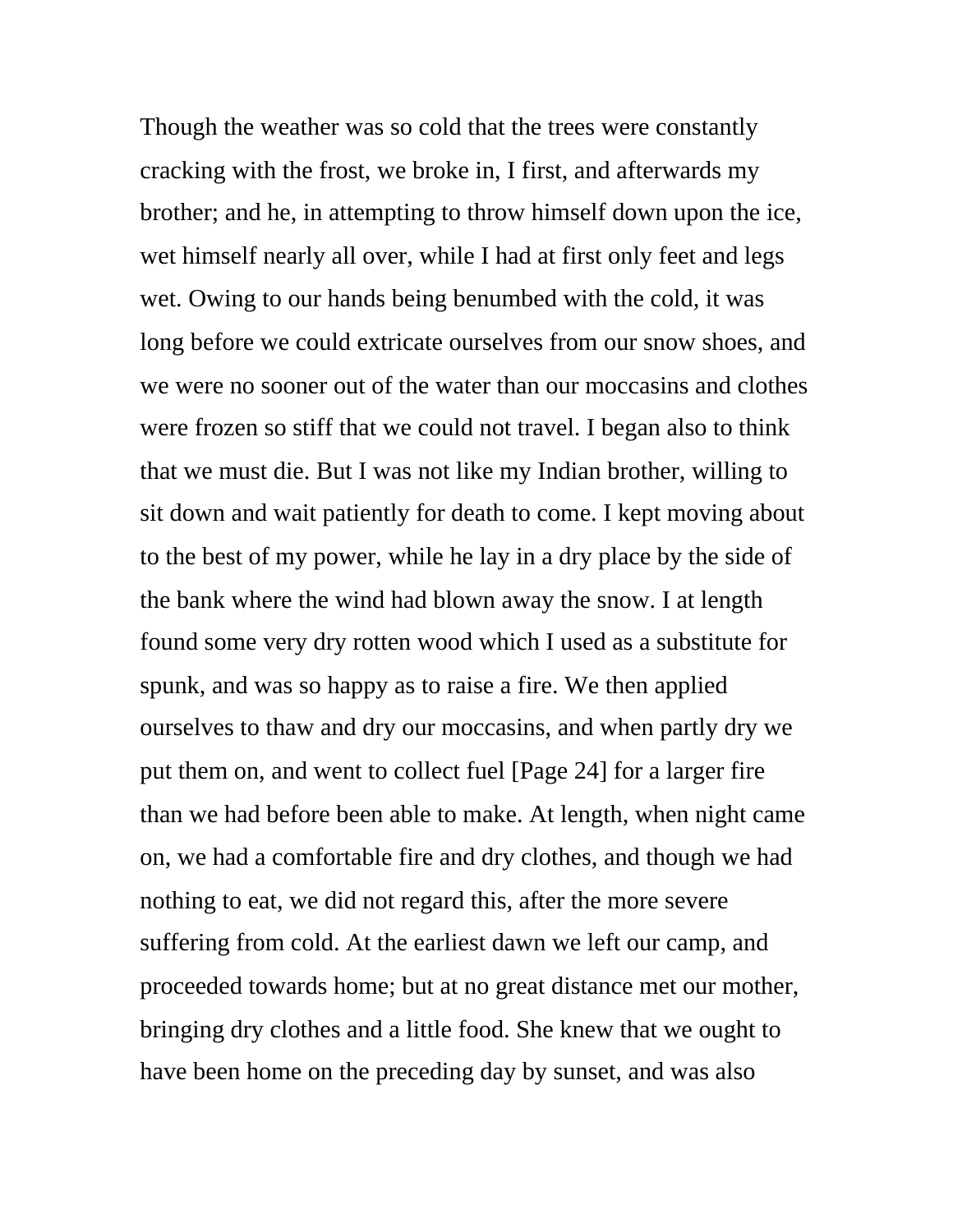Though the weather was so cold that the trees were constantly cracking with the frost, we broke in, I first, and afterwards my brother; and he, in attempting to throw himself down upon the ice, wet himself nearly all over, while I had at first only feet and legs wet. Owing to our hands being benumbed with the cold, it was long before we could extricate ourselves from our snow shoes, and we were no sooner out of the water than our moccasins and clothes were frozen so stiff that we could not travel. I began also to think that we must die. But I was not like my Indian brother, willing to sit down and wait patiently for death to come. I kept moving about to the best of my power, while he lay in a dry place by the side of the bank where the wind had blown away the snow. I at length found some very dry rotten wood which I used as a substitute for spunk, and was so happy as to raise a fire. We then applied ourselves to thaw and dry our moccasins, and when partly dry we put them on, and went to collect fuel [Page 24] for a larger fire than we had before been able to make. At length, when night came on, we had a comfortable fire and dry clothes, and though we had nothing to eat, we did not regard this, after the more severe suffering from cold. At the earliest dawn we left our camp, and proceeded towards home; but at no great distance met our mother, bringing dry clothes and a little food. She knew that we ought to have been home on the preceding day by sunset, and was also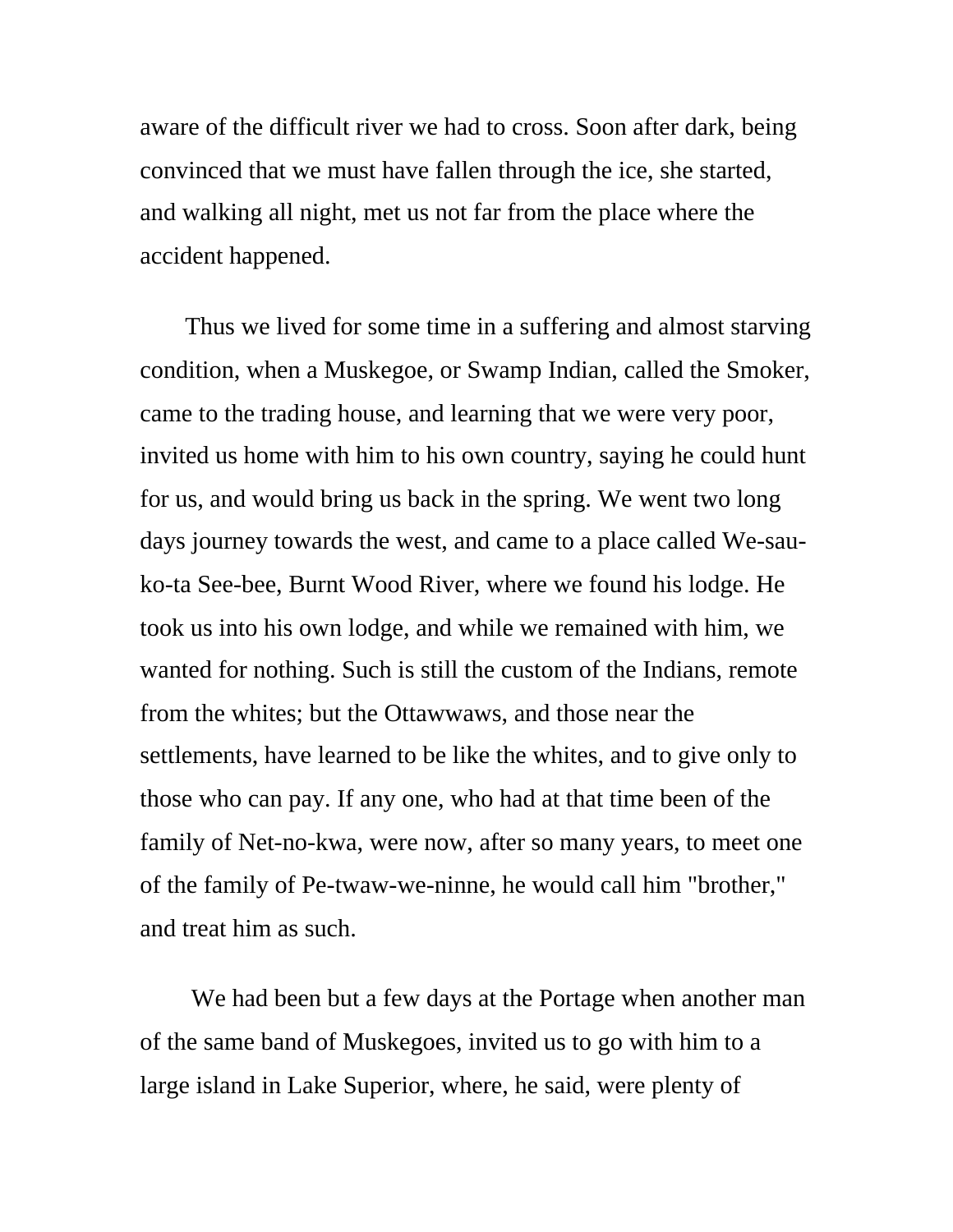aware of the difficult river we had to cross. Soon after dark, being convinced that we must have fallen through the ice, she started, and walking all night, met us not far from the place where the accident happened.

 Thus we lived for some time in a suffering and almost starving condition, when a Muskegoe, or Swamp Indian, called the Smoker, came to the trading house, and learning that we were very poor, invited us home with him to his own country, saying he could hunt for us, and would bring us back in the spring. We went two long days journey towards the west, and came to a place called We-sauko-ta See-bee, Burnt Wood River, where we found his lodge. He took us into his own lodge, and while we remained with him, we wanted for nothing. Such is still the custom of the Indians, remote from the whites; but the Ottawwaws, and those near the settlements, have learned to be like the whites, and to give only to those who can pay. If any one, who had at that time been of the family of Net-no-kwa, were now, after so many years, to meet one of the family of Pe-twaw-we-ninne, he would call him "brother," and treat him as such.

 We had been but a few days at the Portage when another man of the same band of Muskegoes, invited us to go with him to a large island in Lake Superior, where, he said, were plenty of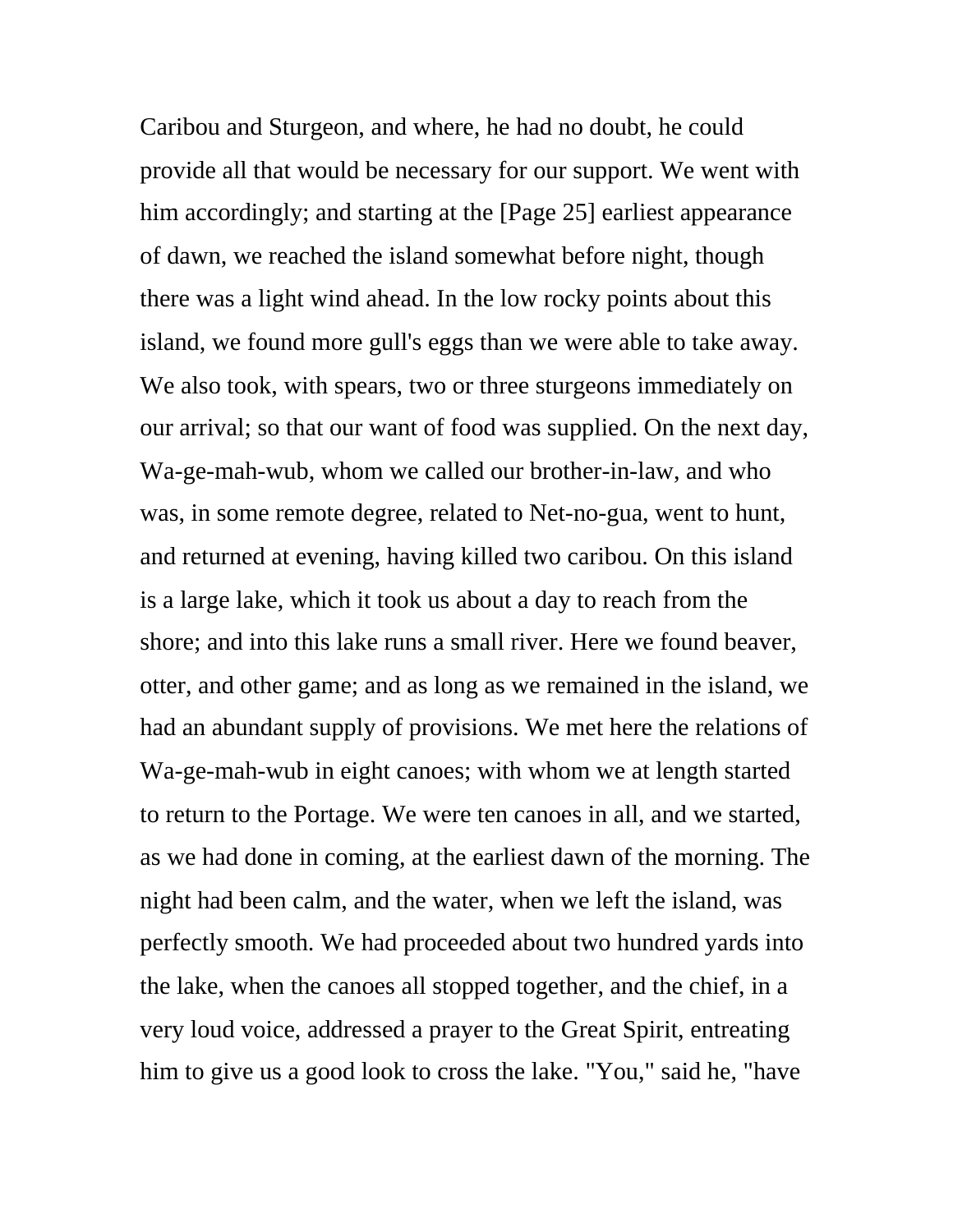Caribou and Sturgeon, and where, he had no doubt, he could provide all that would be necessary for our support. We went with him accordingly; and starting at the [Page 25] earliest appearance of dawn, we reached the island somewhat before night, though there was a light wind ahead. In the low rocky points about this island, we found more gull's eggs than we were able to take away. We also took, with spears, two or three sturgeons immediately on our arrival; so that our want of food was supplied. On the next day, Wa-ge-mah-wub, whom we called our brother-in-law, and who was, in some remote degree, related to Net-no-gua, went to hunt, and returned at evening, having killed two caribou. On this island is a large lake, which it took us about a day to reach from the shore; and into this lake runs a small river. Here we found beaver, otter, and other game; and as long as we remained in the island, we had an abundant supply of provisions. We met here the relations of Wa-ge-mah-wub in eight canoes; with whom we at length started to return to the Portage. We were ten canoes in all, and we started, as we had done in coming, at the earliest dawn of the morning. The night had been calm, and the water, when we left the island, was perfectly smooth. We had proceeded about two hundred yards into the lake, when the canoes all stopped together, and the chief, in a very loud voice, addressed a prayer to the Great Spirit, entreating him to give us a good look to cross the lake. "You," said he, "have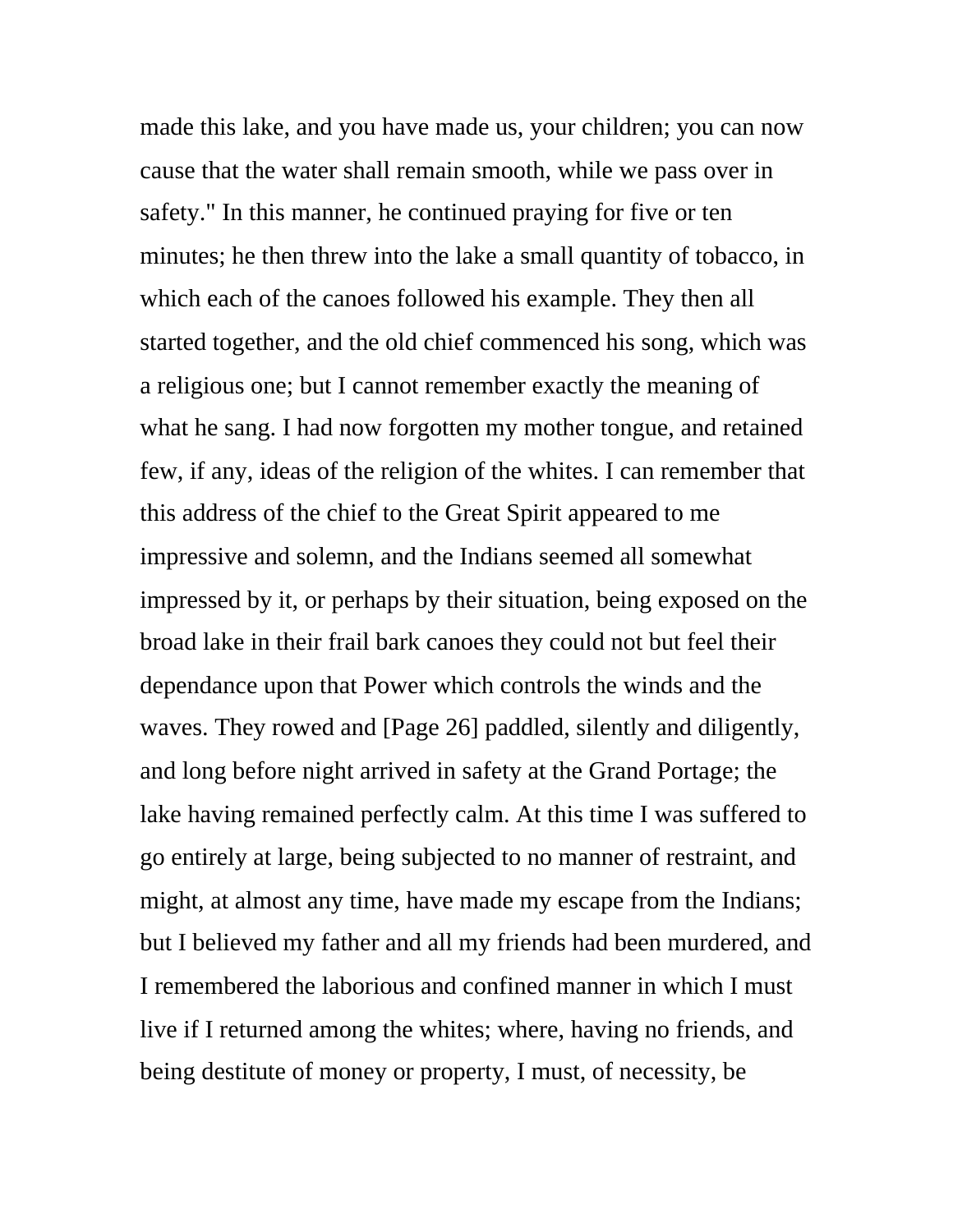made this lake, and you have made us, your children; you can now cause that the water shall remain smooth, while we pass over in safety." In this manner, he continued praying for five or ten minutes; he then threw into the lake a small quantity of tobacco, in which each of the canoes followed his example. They then all started together, and the old chief commenced his song, which was a religious one; but I cannot remember exactly the meaning of what he sang. I had now forgotten my mother tongue, and retained few, if any, ideas of the religion of the whites. I can remember that this address of the chief to the Great Spirit appeared to me impressive and solemn, and the Indians seemed all somewhat impressed by it, or perhaps by their situation, being exposed on the broad lake in their frail bark canoes they could not but feel their dependance upon that Power which controls the winds and the waves. They rowed and [Page 26] paddled, silently and diligently, and long before night arrived in safety at the Grand Portage; the lake having remained perfectly calm. At this time I was suffered to go entirely at large, being subjected to no manner of restraint, and might, at almost any time, have made my escape from the Indians; but I believed my father and all my friends had been murdered, and I remembered the laborious and confined manner in which I must live if I returned among the whites; where, having no friends, and being destitute of money or property, I must, of necessity, be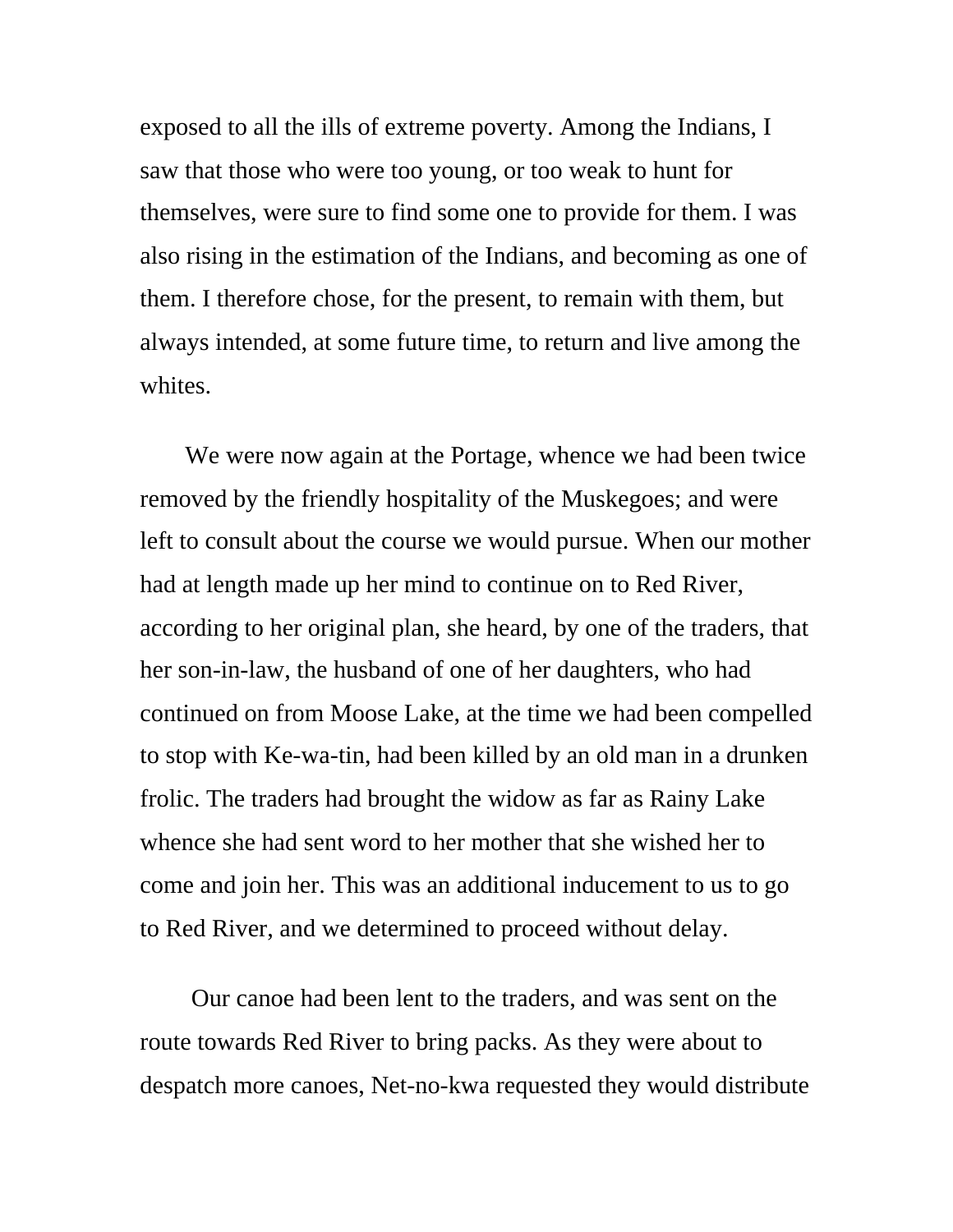exposed to all the ills of extreme poverty. Among the Indians, I saw that those who were too young, or too weak to hunt for themselves, were sure to find some one to provide for them. I was also rising in the estimation of the Indians, and becoming as one of them. I therefore chose, for the present, to remain with them, but always intended, at some future time, to return and live among the whites.

 We were now again at the Portage, whence we had been twice removed by the friendly hospitality of the Muskegoes; and were left to consult about the course we would pursue. When our mother had at length made up her mind to continue on to Red River, according to her original plan, she heard, by one of the traders, that her son-in-law, the husband of one of her daughters, who had continued on from Moose Lake, at the time we had been compelled to stop with Ke-wa-tin, had been killed by an old man in a drunken frolic. The traders had brought the widow as far as Rainy Lake whence she had sent word to her mother that she wished her to come and join her. This was an additional inducement to us to go to Red River, and we determined to proceed without delay.

 Our canoe had been lent to the traders, and was sent on the route towards Red River to bring packs. As they were about to despatch more canoes, Net-no-kwa requested they would distribute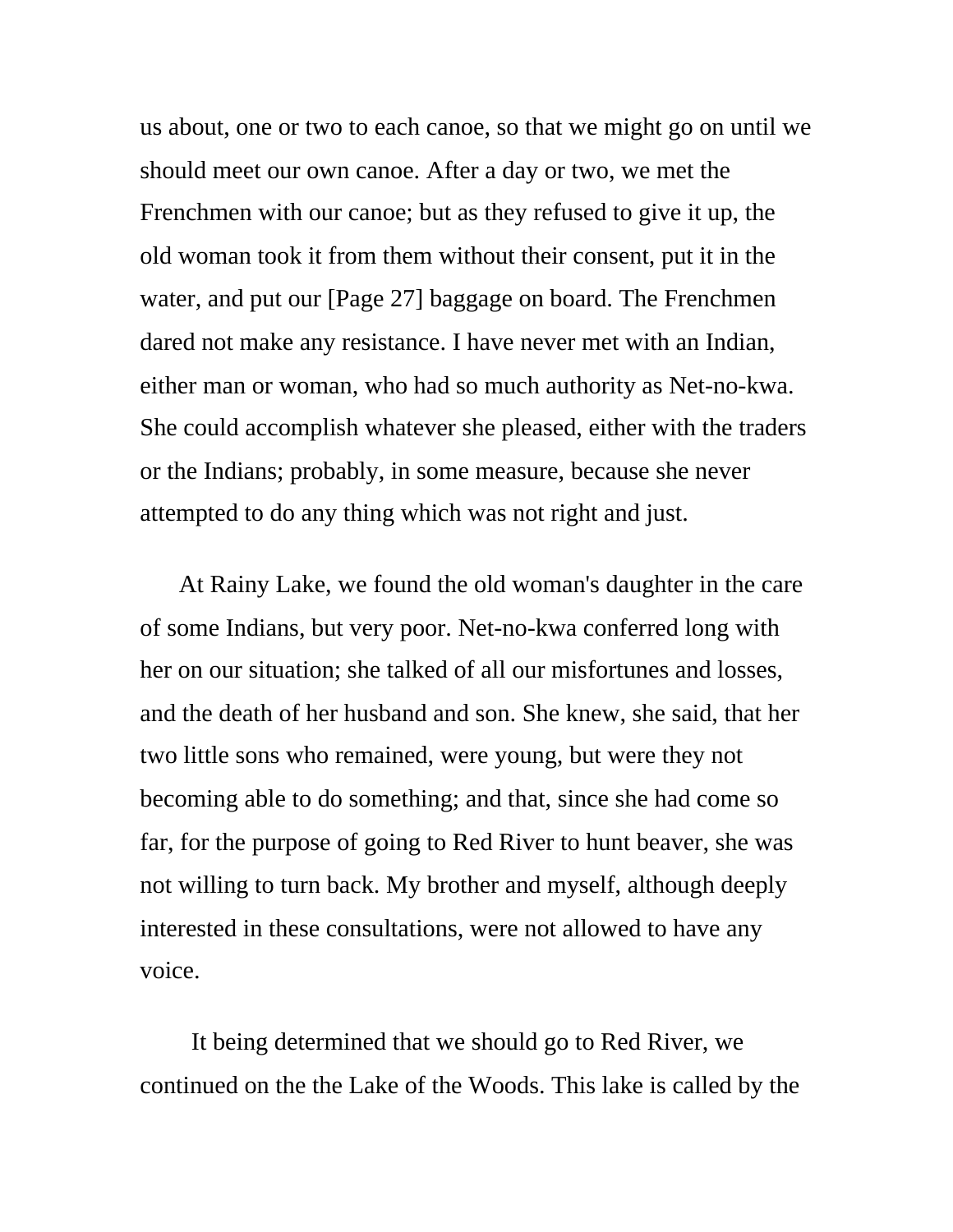us about, one or two to each canoe, so that we might go on until we should meet our own canoe. After a day or two, we met the Frenchmen with our canoe; but as they refused to give it up, the old woman took it from them without their consent, put it in the water, and put our [Page 27] baggage on board. The Frenchmen dared not make any resistance. I have never met with an Indian, either man or woman, who had so much authority as Net-no-kwa. She could accomplish whatever she pleased, either with the traders or the Indians; probably, in some measure, because she never attempted to do any thing which was not right and just.

At Rainy Lake, we found the old woman's daughter in the care of some Indians, but very poor. Net-no-kwa conferred long with her on our situation; she talked of all our misfortunes and losses, and the death of her husband and son. She knew, she said, that her two little sons who remained, were young, but were they not becoming able to do something; and that, since she had come so far, for the purpose of going to Red River to hunt beaver, she was not willing to turn back. My brother and myself, although deeply interested in these consultations, were not allowed to have any voice.

 It being determined that we should go to Red River, we continued on the the Lake of the Woods. This lake is called by the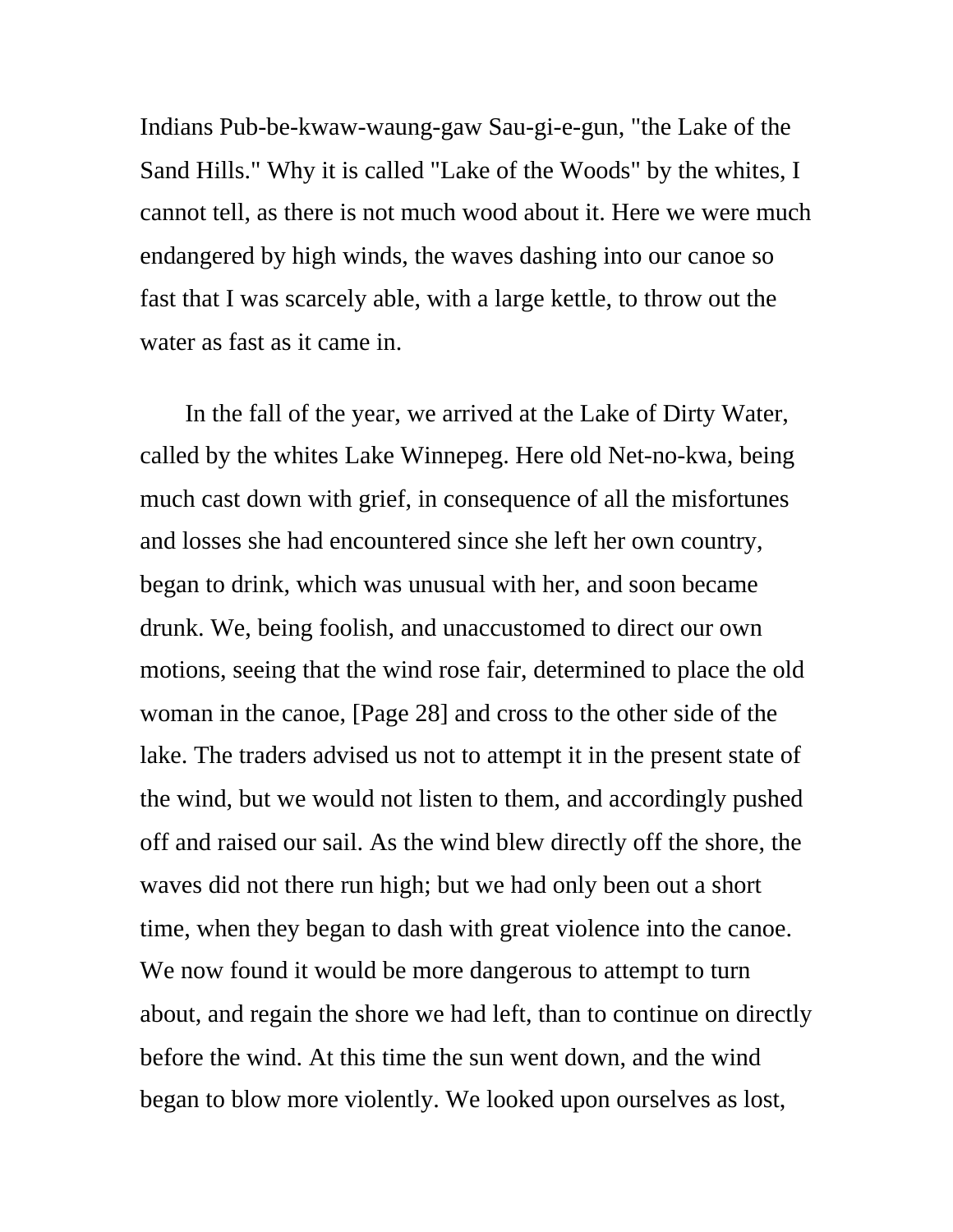Indians Pub-be-kwaw-waung-gaw Sau-gi-e-gun, "the Lake of the Sand Hills." Why it is called "Lake of the Woods" by the whites, I cannot tell, as there is not much wood about it. Here we were much endangered by high winds, the waves dashing into our canoe so fast that I was scarcely able, with a large kettle, to throw out the water as fast as it came in.

 In the fall of the year, we arrived at the Lake of Dirty Water, called by the whites Lake Winnepeg. Here old Net-no-kwa, being much cast down with grief, in consequence of all the misfortunes and losses she had encountered since she left her own country, began to drink, which was unusual with her, and soon became drunk. We, being foolish, and unaccustomed to direct our own motions, seeing that the wind rose fair, determined to place the old woman in the canoe, [Page 28] and cross to the other side of the lake. The traders advised us not to attempt it in the present state of the wind, but we would not listen to them, and accordingly pushed off and raised our sail. As the wind blew directly off the shore, the waves did not there run high; but we had only been out a short time, when they began to dash with great violence into the canoe. We now found it would be more dangerous to attempt to turn about, and regain the shore we had left, than to continue on directly before the wind. At this time the sun went down, and the wind began to blow more violently. We looked upon ourselves as lost,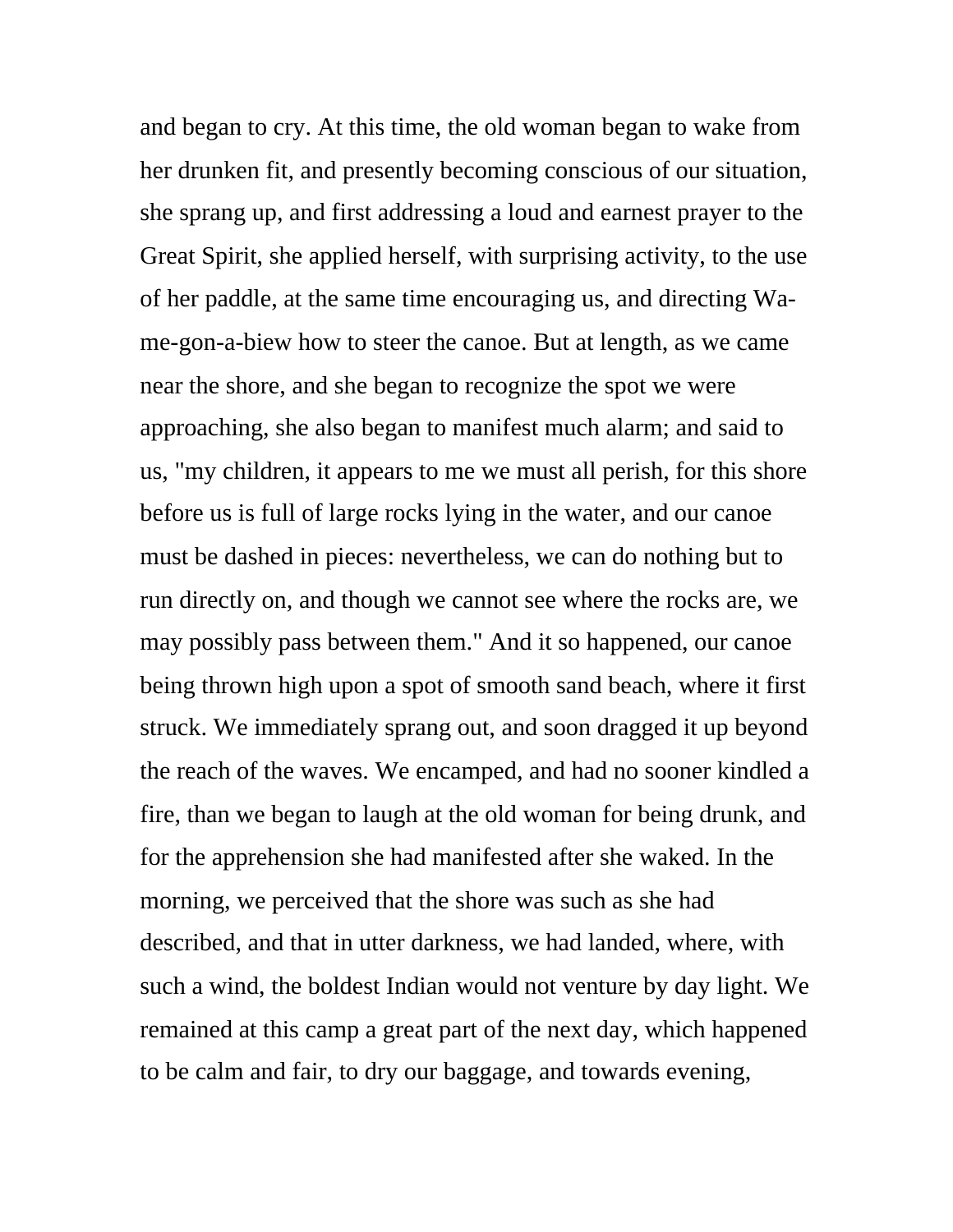and began to cry. At this time, the old woman began to wake from her drunken fit, and presently becoming conscious of our situation, she sprang up, and first addressing a loud and earnest prayer to the Great Spirit, she applied herself, with surprising activity, to the use of her paddle, at the same time encouraging us, and directing Wame-gon-a-biew how to steer the canoe. But at length, as we came near the shore, and she began to recognize the spot we were approaching, she also began to manifest much alarm; and said to us, "my children, it appears to me we must all perish, for this shore before us is full of large rocks lying in the water, and our canoe must be dashed in pieces: nevertheless, we can do nothing but to run directly on, and though we cannot see where the rocks are, we may possibly pass between them." And it so happened, our canoe being thrown high upon a spot of smooth sand beach, where it first struck. We immediately sprang out, and soon dragged it up beyond the reach of the waves. We encamped, and had no sooner kindled a fire, than we began to laugh at the old woman for being drunk, and for the apprehension she had manifested after she waked. In the morning, we perceived that the shore was such as she had described, and that in utter darkness, we had landed, where, with such a wind, the boldest Indian would not venture by day light. We remained at this camp a great part of the next day, which happened to be calm and fair, to dry our baggage, and towards evening,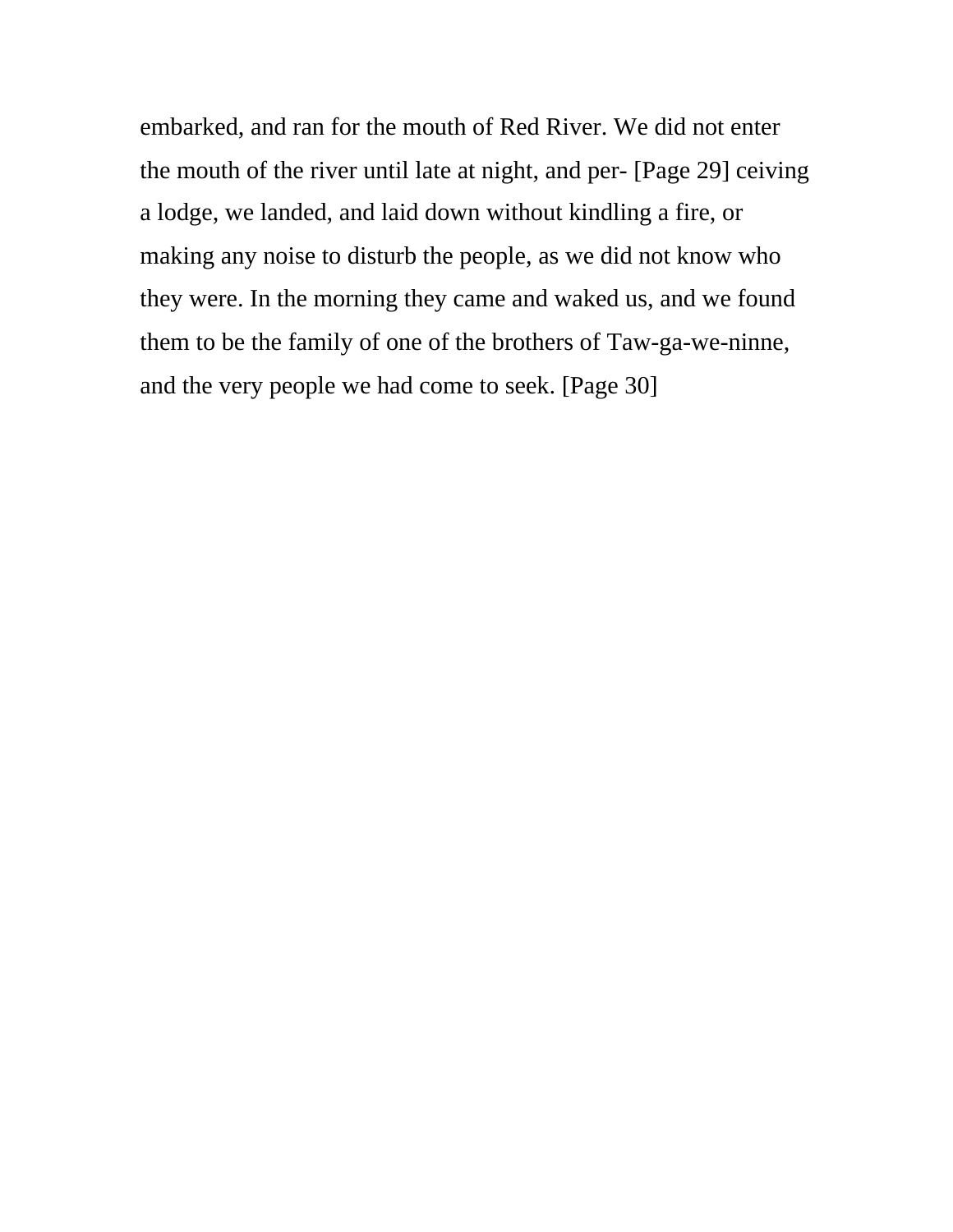embarked, and ran for the mouth of Red River. We did not enter the mouth of the river until late at night, and per- [Page 29] ceiving a lodge, we landed, and laid down without kindling a fire, or making any noise to disturb the people, as we did not know who they were. In the morning they came and waked us, and we found them to be the family of one of the brothers of Taw-ga-we-ninne, and the very people we had come to seek. [Page 30]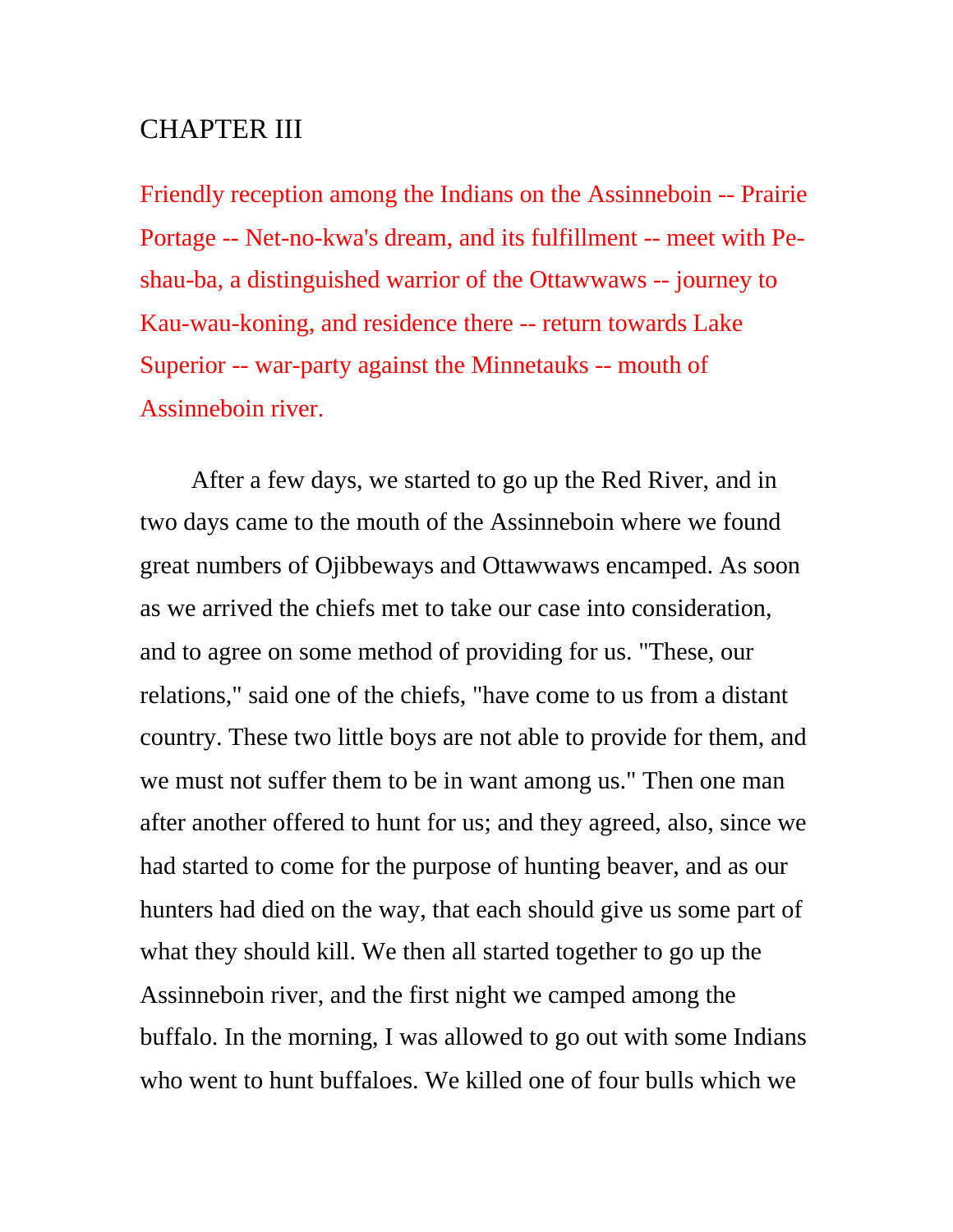## CHAPTER III

Friendly reception among the Indians on the Assinneboin -- Prairie Portage -- Net-no-kwa's dream, and its fulfillment -- meet with Peshau-ba, a distinguished warrior of the Ottawwaws -- journey to Kau-wau-koning, and residence there -- return towards Lake Superior -- war-party against the Minnetauks -- mouth of Assinneboin river.

 After a few days, we started to go up the Red River, and in two days came to the mouth of the Assinneboin where we found great numbers of Ojibbeways and Ottawwaws encamped. As soon as we arrived the chiefs met to take our case into consideration, and to agree on some method of providing for us. "These, our relations," said one of the chiefs, "have come to us from a distant country. These two little boys are not able to provide for them, and we must not suffer them to be in want among us." Then one man after another offered to hunt for us; and they agreed, also, since we had started to come for the purpose of hunting beaver, and as our hunters had died on the way, that each should give us some part of what they should kill. We then all started together to go up the Assinneboin river, and the first night we camped among the buffalo. In the morning, I was allowed to go out with some Indians who went to hunt buffaloes. We killed one of four bulls which we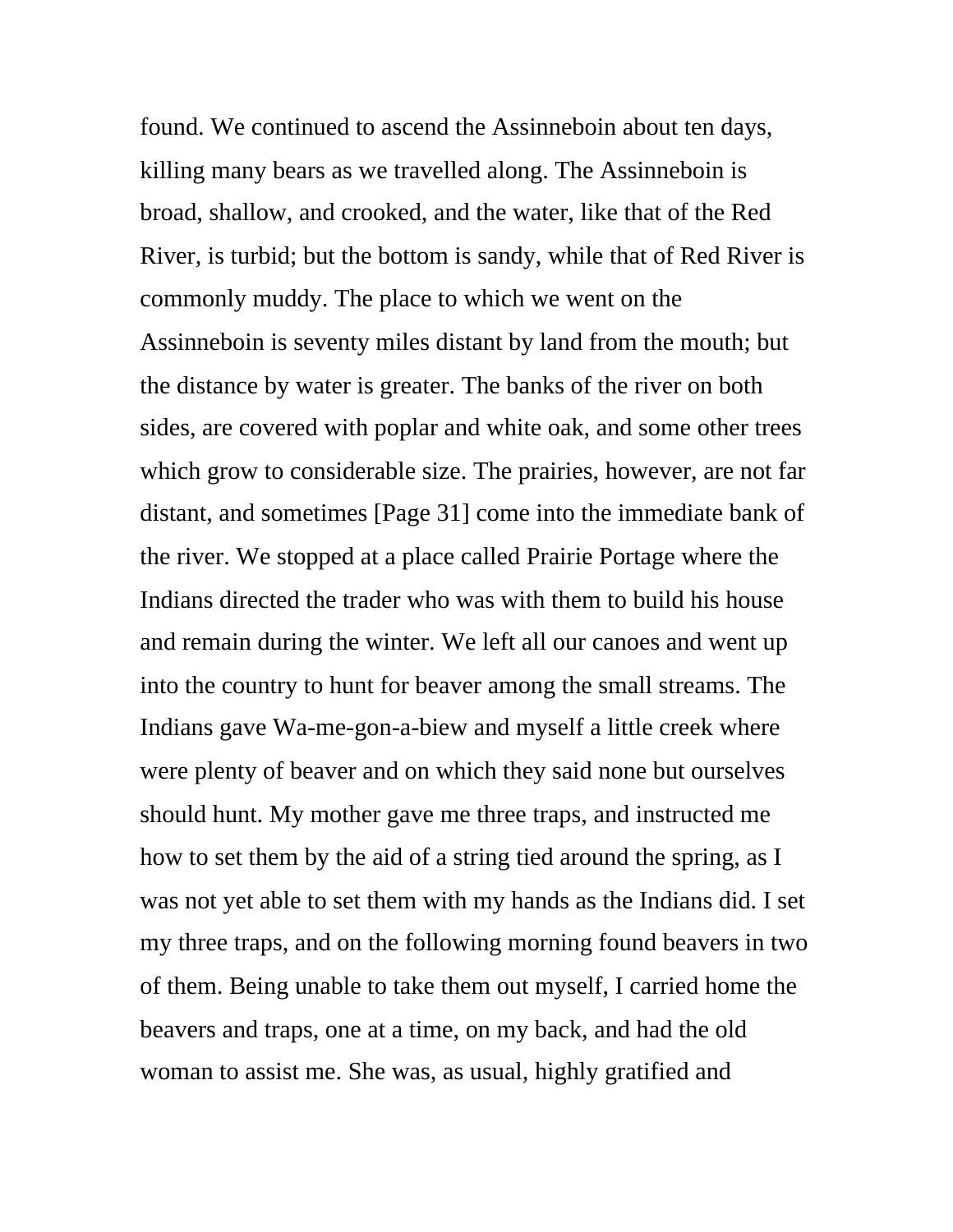found. We continued to ascend the Assinneboin about ten days, killing many bears as we travelled along. The Assinneboin is broad, shallow, and crooked, and the water, like that of the Red River, is turbid; but the bottom is sandy, while that of Red River is commonly muddy. The place to which we went on the Assinneboin is seventy miles distant by land from the mouth; but the distance by water is greater. The banks of the river on both sides, are covered with poplar and white oak, and some other trees which grow to considerable size. The prairies, however, are not far distant, and sometimes [Page 31] come into the immediate bank of the river. We stopped at a place called Prairie Portage where the Indians directed the trader who was with them to build his house and remain during the winter. We left all our canoes and went up into the country to hunt for beaver among the small streams. The Indians gave Wa-me-gon-a-biew and myself a little creek where were plenty of beaver and on which they said none but ourselves should hunt. My mother gave me three traps, and instructed me how to set them by the aid of a string tied around the spring, as I was not yet able to set them with my hands as the Indians did. I set my three traps, and on the following morning found beavers in two of them. Being unable to take them out myself, I carried home the beavers and traps, one at a time, on my back, and had the old woman to assist me. She was, as usual, highly gratified and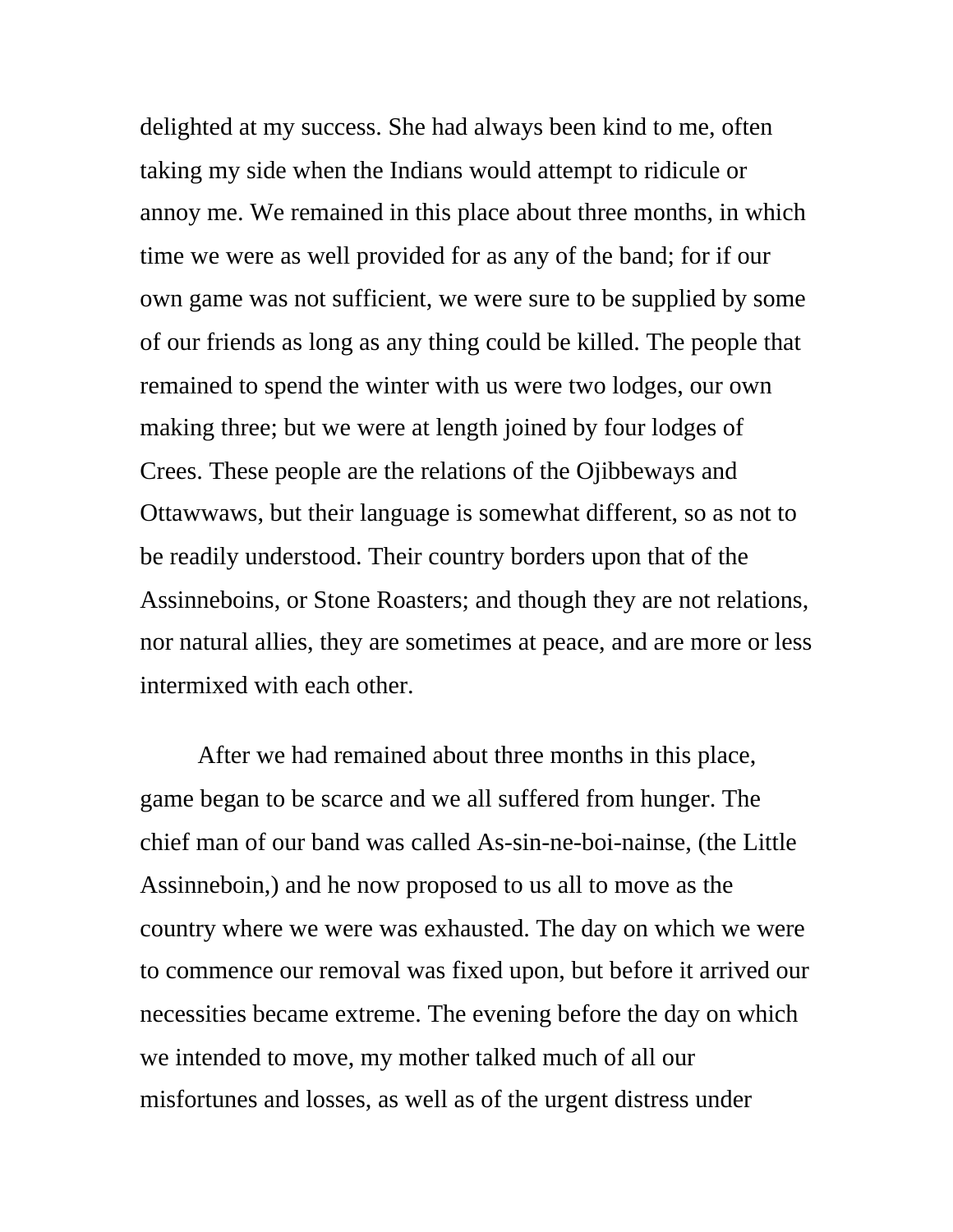delighted at my success. She had always been kind to me, often taking my side when the Indians would attempt to ridicule or annoy me. We remained in this place about three months, in which time we were as well provided for as any of the band; for if our own game was not sufficient, we were sure to be supplied by some of our friends as long as any thing could be killed. The people that remained to spend the winter with us were two lodges, our own making three; but we were at length joined by four lodges of Crees. These people are the relations of the Ojibbeways and Ottawwaws, but their language is somewhat different, so as not to be readily understood. Their country borders upon that of the Assinneboins, or Stone Roasters; and though they are not relations, nor natural allies, they are sometimes at peace, and are more or less intermixed with each other.

 After we had remained about three months in this place, game began to be scarce and we all suffered from hunger. The chief man of our band was called As-sin-ne-boi-nainse, (the Little Assinneboin,) and he now proposed to us all to move as the country where we were was exhausted. The day on which we were to commence our removal was fixed upon, but before it arrived our necessities became extreme. The evening before the day on which we intended to move, my mother talked much of all our misfortunes and losses, as well as of the urgent distress under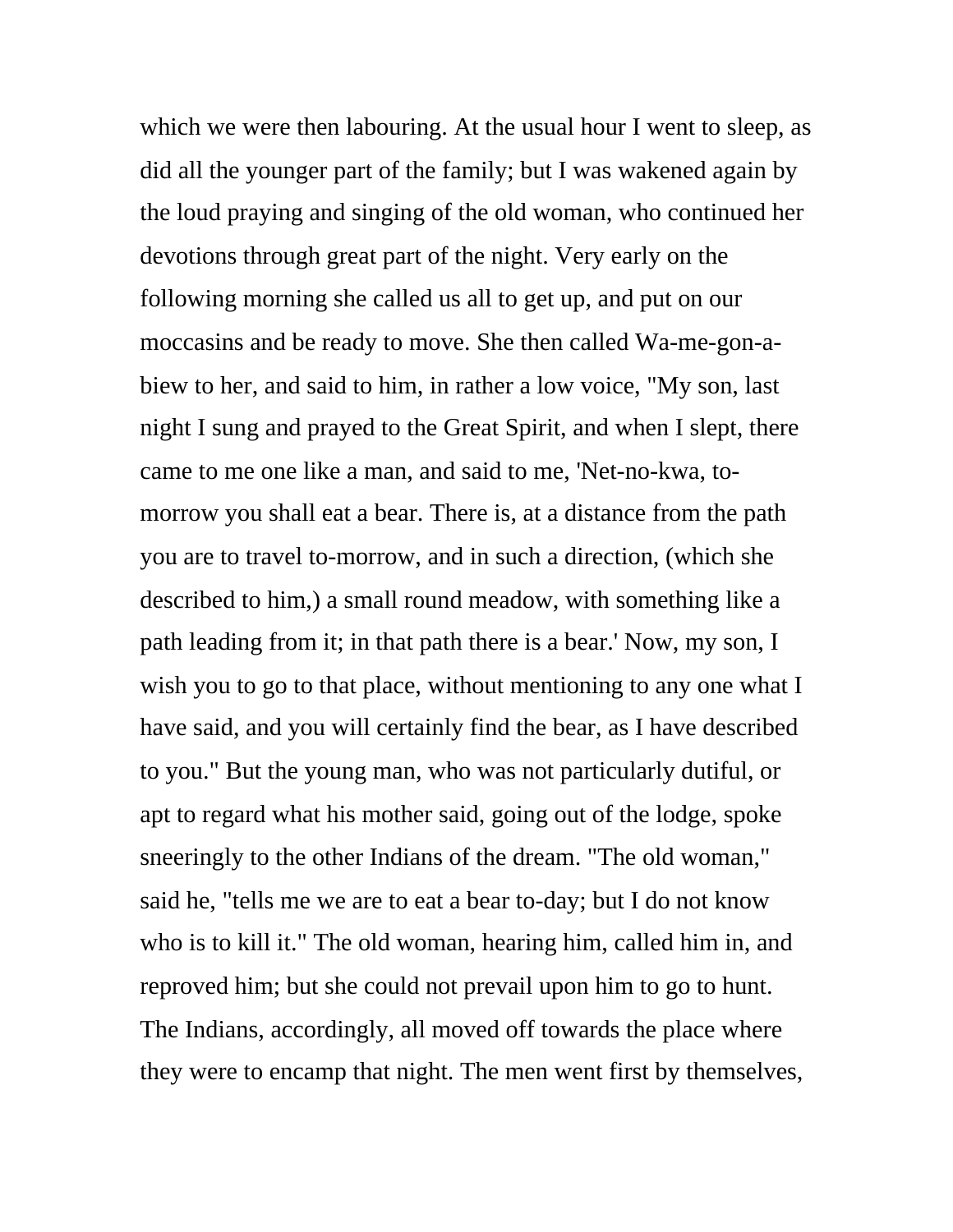which we were then labouring. At the usual hour I went to sleep, as did all the younger part of the family; but I was wakened again by the loud praying and singing of the old woman, who continued her devotions through great part of the night. Very early on the following morning she called us all to get up, and put on our moccasins and be ready to move. She then called Wa-me-gon-abiew to her, and said to him, in rather a low voice, "My son, last night I sung and prayed to the Great Spirit, and when I slept, there came to me one like a man, and said to me, 'Net-no-kwa, tomorrow you shall eat a bear. There is, at a distance from the path you are to travel to-morrow, and in such a direction, (which she described to him,) a small round meadow, with something like a path leading from it; in that path there is a bear.' Now, my son, I wish you to go to that place, without mentioning to any one what I have said, and you will certainly find the bear, as I have described to you." But the young man, who was not particularly dutiful, or apt to regard what his mother said, going out of the lodge, spoke sneeringly to the other Indians of the dream. "The old woman," said he, "tells me we are to eat a bear to-day; but I do not know who is to kill it." The old woman, hearing him, called him in, and reproved him; but she could not prevail upon him to go to hunt. The Indians, accordingly, all moved off towards the place where they were to encamp that night. The men went first by themselves,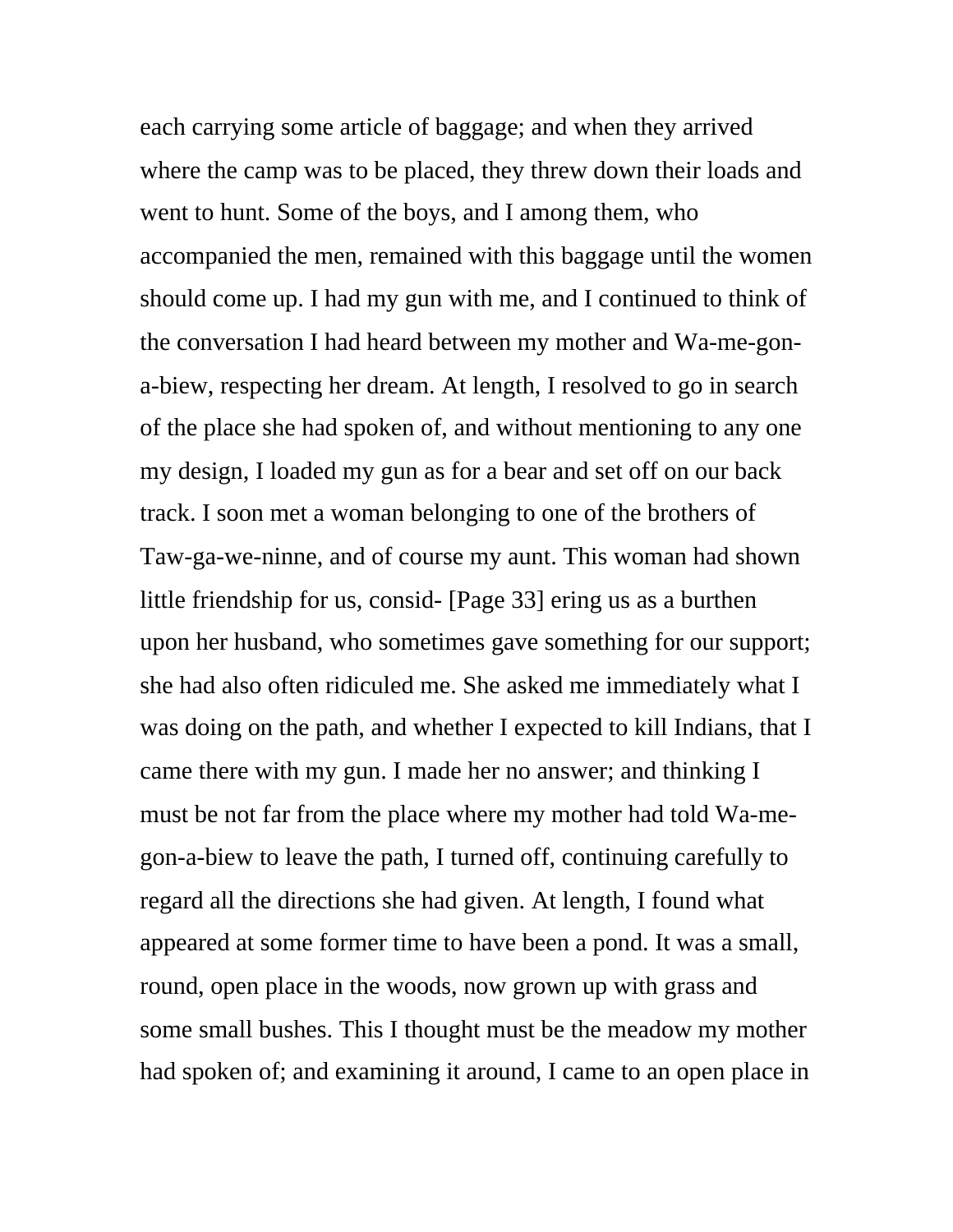each carrying some article of baggage; and when they arrived where the camp was to be placed, they threw down their loads and went to hunt. Some of the boys, and I among them, who accompanied the men, remained with this baggage until the women should come up. I had my gun with me, and I continued to think of the conversation I had heard between my mother and Wa-me-gona-biew, respecting her dream. At length, I resolved to go in search of the place she had spoken of, and without mentioning to any one my design, I loaded my gun as for a bear and set off on our back track. I soon met a woman belonging to one of the brothers of Taw-ga-we-ninne, and of course my aunt. This woman had shown little friendship for us, consid- [Page 33] ering us as a burthen upon her husband, who sometimes gave something for our support; she had also often ridiculed me. She asked me immediately what I was doing on the path, and whether I expected to kill Indians, that I came there with my gun. I made her no answer; and thinking I must be not far from the place where my mother had told Wa-megon-a-biew to leave the path, I turned off, continuing carefully to regard all the directions she had given. At length, I found what appeared at some former time to have been a pond. It was a small, round, open place in the woods, now grown up with grass and some small bushes. This I thought must be the meadow my mother had spoken of; and examining it around, I came to an open place in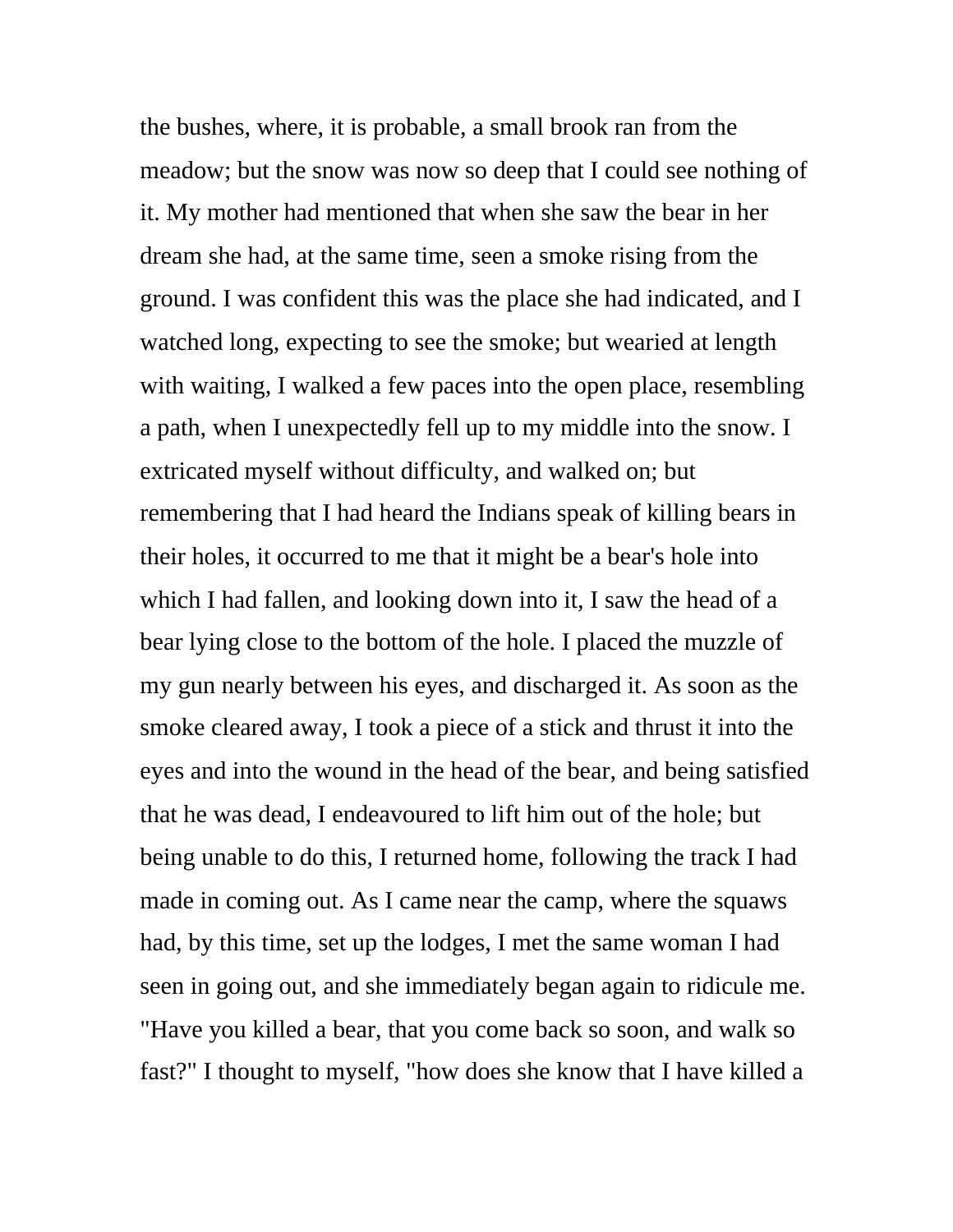the bushes, where, it is probable, a small brook ran from the meadow; but the snow was now so deep that I could see nothing of it. My mother had mentioned that when she saw the bear in her dream she had, at the same time, seen a smoke rising from the ground. I was confident this was the place she had indicated, and I watched long, expecting to see the smoke; but wearied at length with waiting, I walked a few paces into the open place, resembling a path, when I unexpectedly fell up to my middle into the snow. I extricated myself without difficulty, and walked on; but remembering that I had heard the Indians speak of killing bears in their holes, it occurred to me that it might be a bear's hole into which I had fallen, and looking down into it, I saw the head of a bear lying close to the bottom of the hole. I placed the muzzle of my gun nearly between his eyes, and discharged it. As soon as the smoke cleared away, I took a piece of a stick and thrust it into the eyes and into the wound in the head of the bear, and being satisfied that he was dead, I endeavoured to lift him out of the hole; but being unable to do this, I returned home, following the track I had made in coming out. As I came near the camp, where the squaws had, by this time, set up the lodges, I met the same woman I had seen in going out, and she immediately began again to ridicule me. "Have you killed a bear, that you come back so soon, and walk so fast?" I thought to myself, "how does she know that I have killed a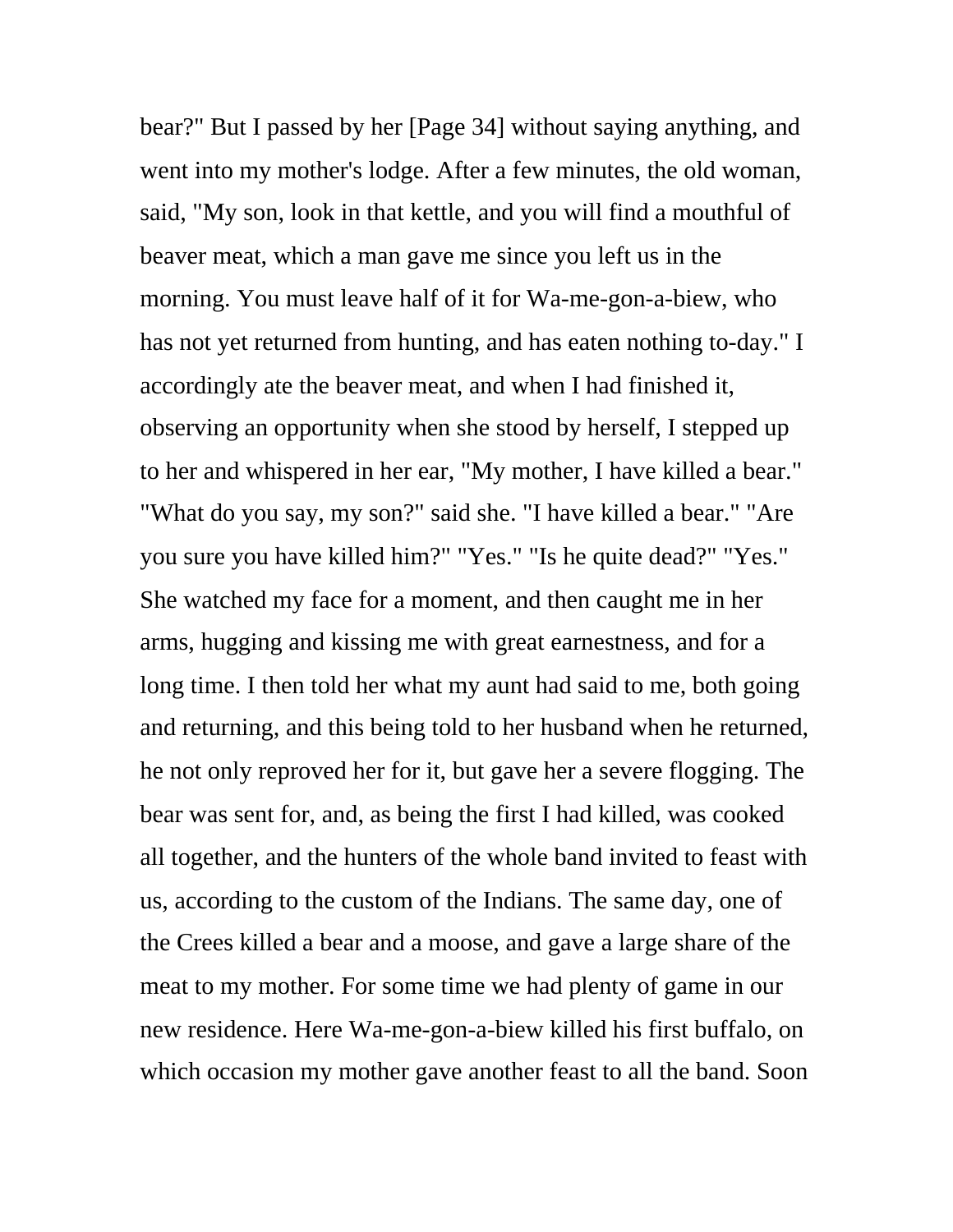bear?" But I passed by her [Page 34] without saying anything, and went into my mother's lodge. After a few minutes, the old woman, said, "My son, look in that kettle, and you will find a mouthful of beaver meat, which a man gave me since you left us in the morning. You must leave half of it for Wa-me-gon-a-biew, who has not yet returned from hunting, and has eaten nothing to-day." I accordingly ate the beaver meat, and when I had finished it, observing an opportunity when she stood by herself, I stepped up to her and whispered in her ear, "My mother, I have killed a bear." "What do you say, my son?" said she. "I have killed a bear." "Are you sure you have killed him?" "Yes." "Is he quite dead?" "Yes." She watched my face for a moment, and then caught me in her arms, hugging and kissing me with great earnestness, and for a long time. I then told her what my aunt had said to me, both going and returning, and this being told to her husband when he returned, he not only reproved her for it, but gave her a severe flogging. The bear was sent for, and, as being the first I had killed, was cooked all together, and the hunters of the whole band invited to feast with us, according to the custom of the Indians. The same day, one of the Crees killed a bear and a moose, and gave a large share of the meat to my mother. For some time we had plenty of game in our new residence. Here Wa-me-gon-a-biew killed his first buffalo, on which occasion my mother gave another feast to all the band. Soon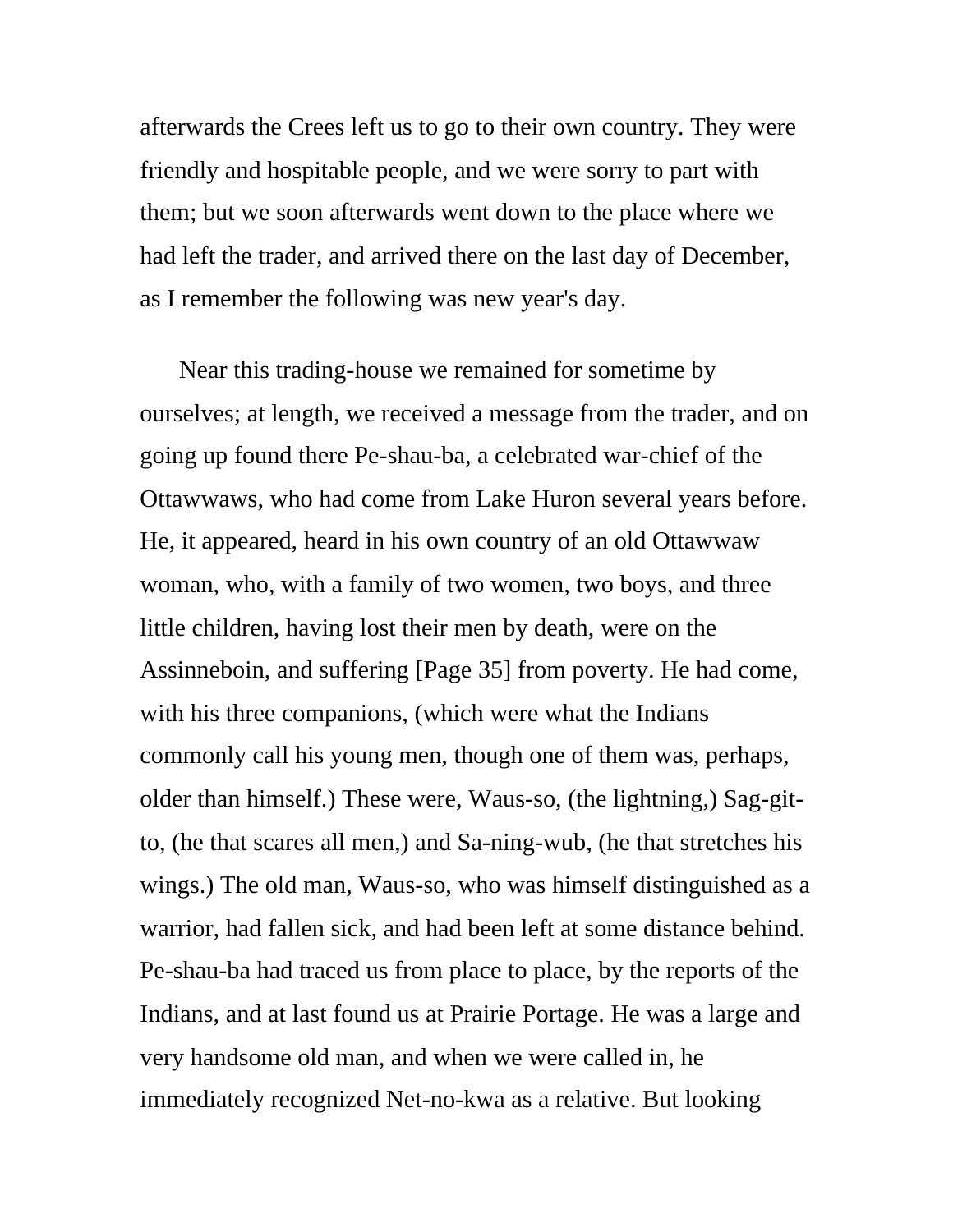afterwards the Crees left us to go to their own country. They were friendly and hospitable people, and we were sorry to part with them; but we soon afterwards went down to the place where we had left the trader, and arrived there on the last day of December, as I remember the following was new year's day.

Near this trading-house we remained for sometime by ourselves; at length, we received a message from the trader, and on going up found there Pe-shau-ba, a celebrated war-chief of the Ottawwaws, who had come from Lake Huron several years before. He, it appeared, heard in his own country of an old Ottawwaw woman, who, with a family of two women, two boys, and three little children, having lost their men by death, were on the Assinneboin, and suffering [Page 35] from poverty. He had come, with his three companions, (which were what the Indians commonly call his young men, though one of them was, perhaps, older than himself.) These were, Waus-so, (the lightning,) Sag-gitto, (he that scares all men,) and Sa-ning-wub, (he that stretches his wings.) The old man, Waus-so, who was himself distinguished as a warrior, had fallen sick, and had been left at some distance behind. Pe-shau-ba had traced us from place to place, by the reports of the Indians, and at last found us at Prairie Portage. He was a large and very handsome old man, and when we were called in, he immediately recognized Net-no-kwa as a relative. But looking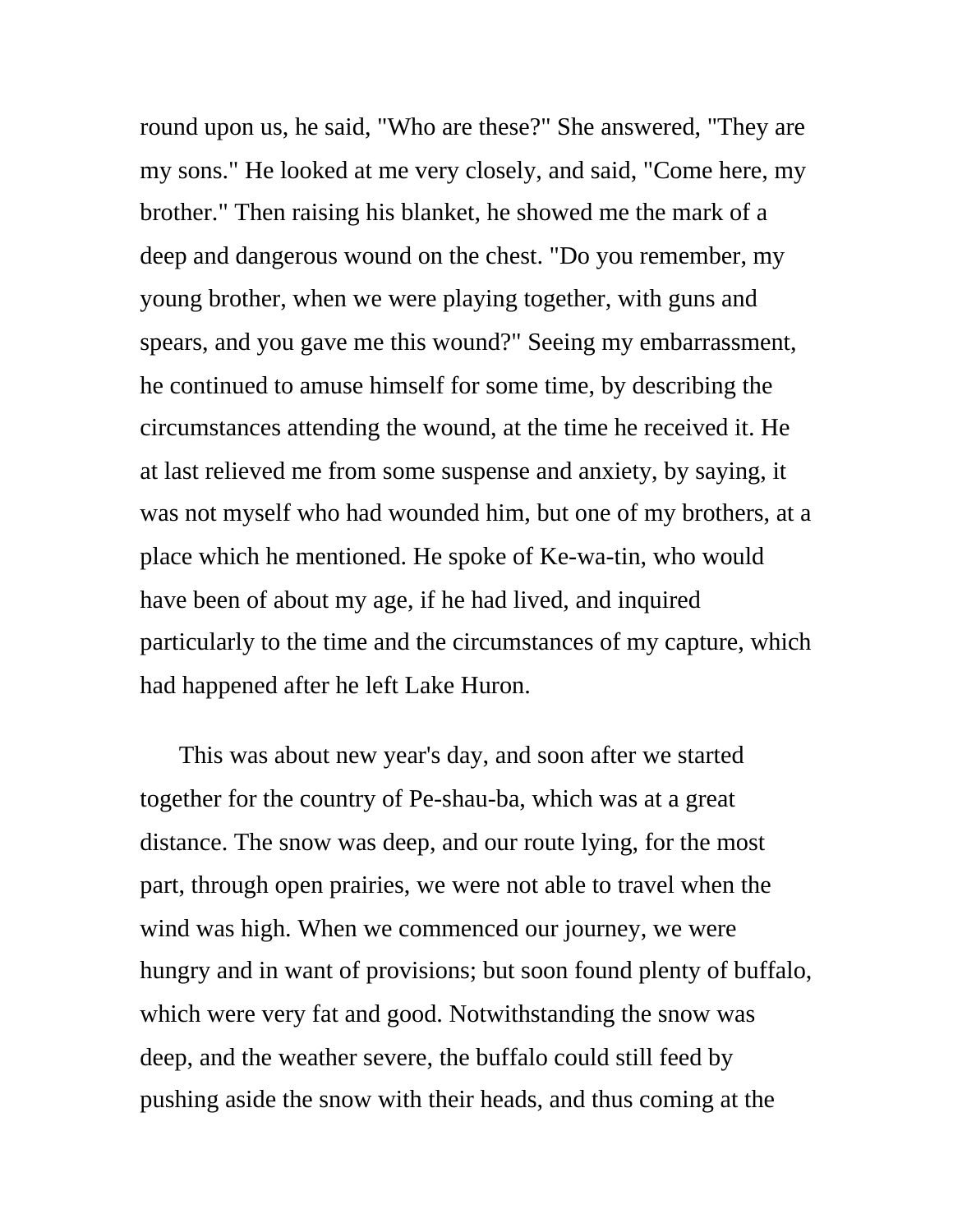round upon us, he said, "Who are these?" She answered, "They are my sons." He looked at me very closely, and said, "Come here, my brother." Then raising his blanket, he showed me the mark of a deep and dangerous wound on the chest. "Do you remember, my young brother, when we were playing together, with guns and spears, and you gave me this wound?" Seeing my embarrassment, he continued to amuse himself for some time, by describing the circumstances attending the wound, at the time he received it. He at last relieved me from some suspense and anxiety, by saying, it was not myself who had wounded him, but one of my brothers, at a place which he mentioned. He spoke of Ke-wa-tin, who would have been of about my age, if he had lived, and inquired particularly to the time and the circumstances of my capture, which had happened after he left Lake Huron.

This was about new year's day, and soon after we started together for the country of Pe-shau-ba, which was at a great distance. The snow was deep, and our route lying, for the most part, through open prairies, we were not able to travel when the wind was high. When we commenced our journey, we were hungry and in want of provisions; but soon found plenty of buffalo, which were very fat and good. Notwithstanding the snow was deep, and the weather severe, the buffalo could still feed by pushing aside the snow with their heads, and thus coming at the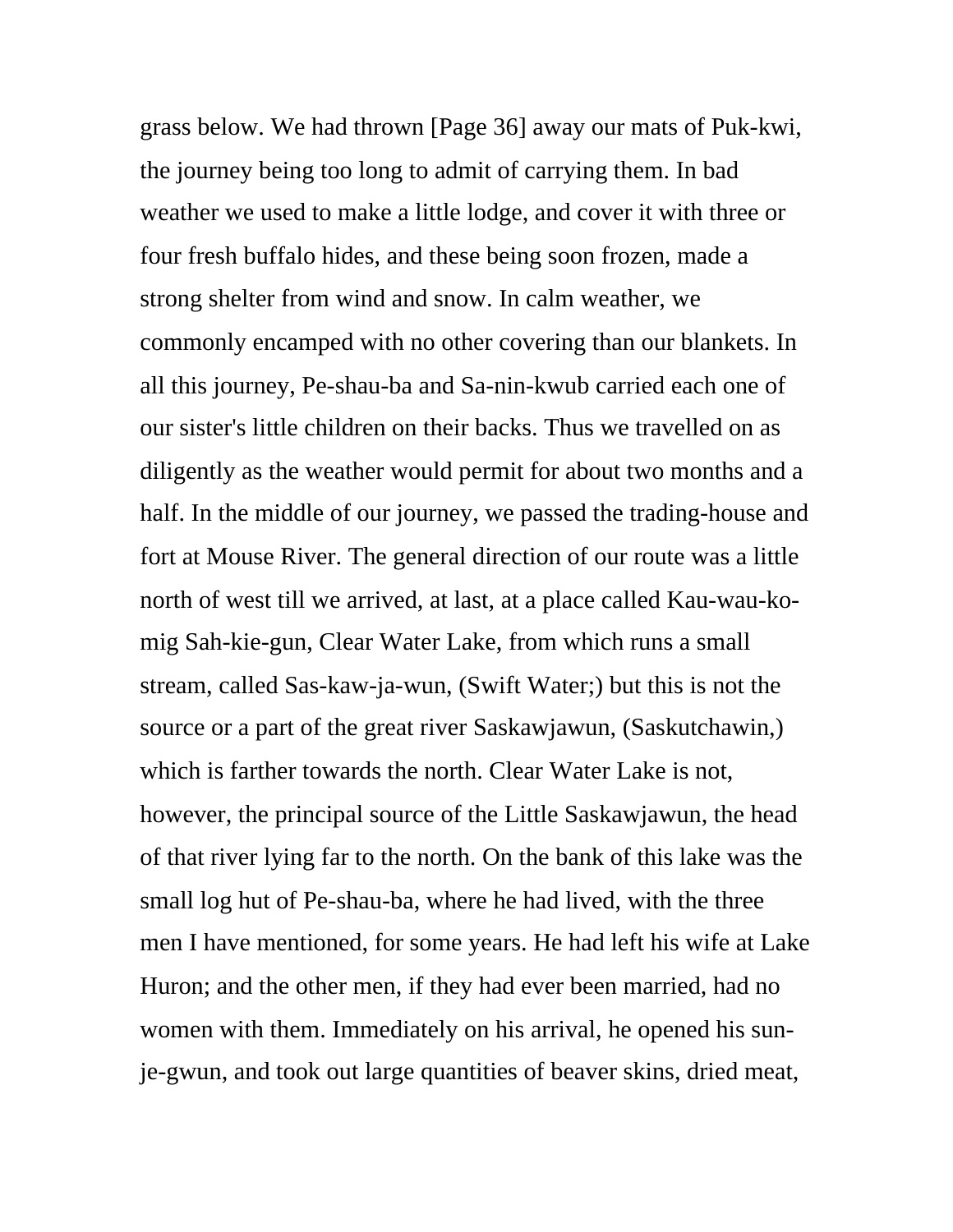grass below. We had thrown [Page 36] away our mats of Puk-kwi, the journey being too long to admit of carrying them. In bad weather we used to make a little lodge, and cover it with three or four fresh buffalo hides, and these being soon frozen, made a strong shelter from wind and snow. In calm weather, we commonly encamped with no other covering than our blankets. In all this journey, Pe-shau-ba and Sa-nin-kwub carried each one of our sister's little children on their backs. Thus we travelled on as diligently as the weather would permit for about two months and a half. In the middle of our journey, we passed the trading-house and fort at Mouse River. The general direction of our route was a little north of west till we arrived, at last, at a place called Kau-wau-komig Sah-kie-gun, Clear Water Lake, from which runs a small stream, called Sas-kaw-ja-wun, (Swift Water;) but this is not the source or a part of the great river Saskawjawun, (Saskutchawin,) which is farther towards the north. Clear Water Lake is not, however, the principal source of the Little Saskawjawun, the head of that river lying far to the north. On the bank of this lake was the small log hut of Pe-shau-ba, where he had lived, with the three men I have mentioned, for some years. He had left his wife at Lake Huron; and the other men, if they had ever been married, had no women with them. Immediately on his arrival, he opened his sunje-gwun, and took out large quantities of beaver skins, dried meat,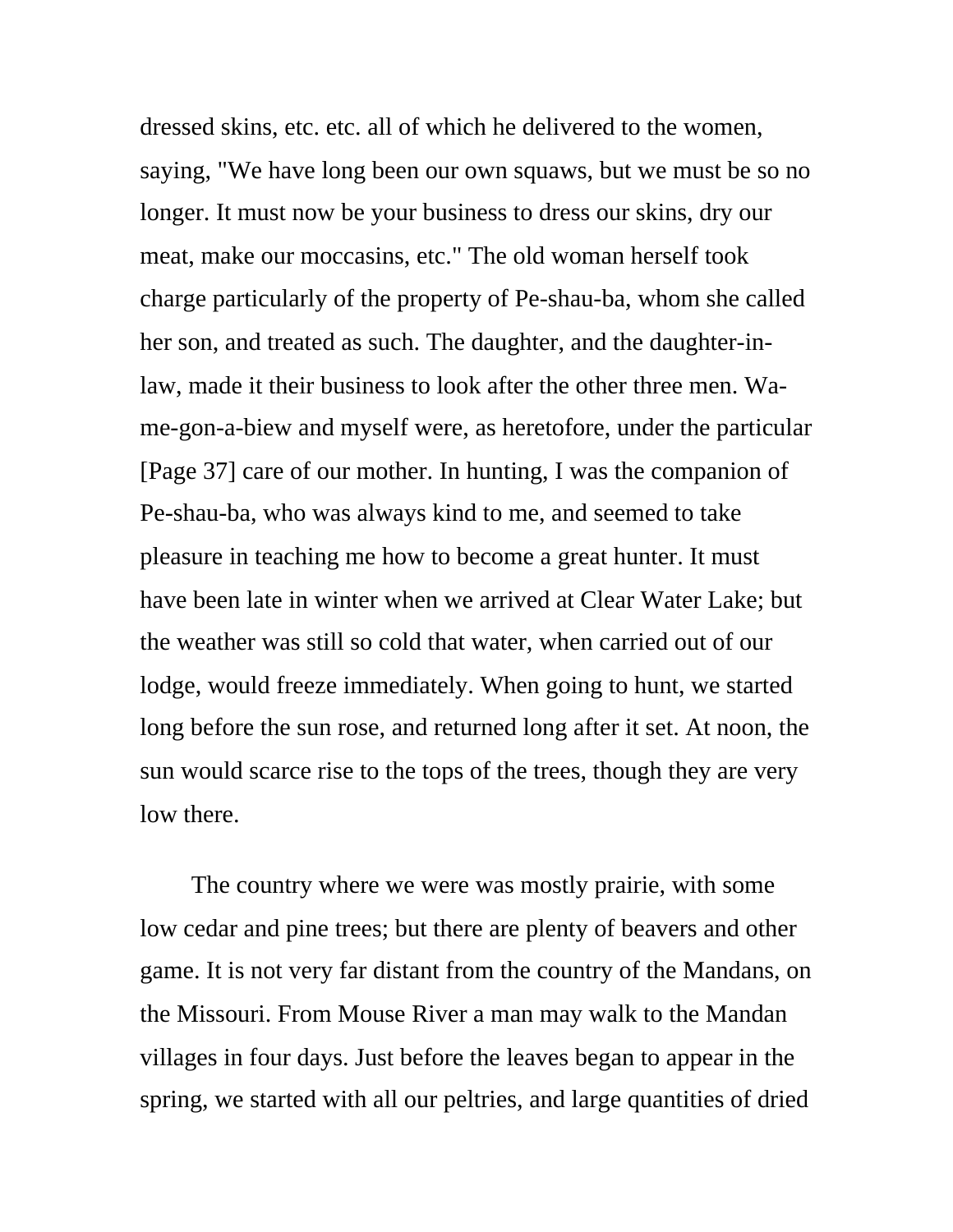dressed skins, etc. etc. all of which he delivered to the women, saying, "We have long been our own squaws, but we must be so no longer. It must now be your business to dress our skins, dry our meat, make our moccasins, etc." The old woman herself took charge particularly of the property of Pe-shau-ba, whom she called her son, and treated as such. The daughter, and the daughter-inlaw, made it their business to look after the other three men. Wame-gon-a-biew and myself were, as heretofore, under the particular [Page 37] care of our mother. In hunting, I was the companion of Pe-shau-ba, who was always kind to me, and seemed to take pleasure in teaching me how to become a great hunter. It must have been late in winter when we arrived at Clear Water Lake; but the weather was still so cold that water, when carried out of our lodge, would freeze immediately. When going to hunt, we started long before the sun rose, and returned long after it set. At noon, the sun would scarce rise to the tops of the trees, though they are very low there.

 The country where we were was mostly prairie, with some low cedar and pine trees; but there are plenty of beavers and other game. It is not very far distant from the country of the Mandans, on the Missouri. From Mouse River a man may walk to the Mandan villages in four days. Just before the leaves began to appear in the spring, we started with all our peltries, and large quantities of dried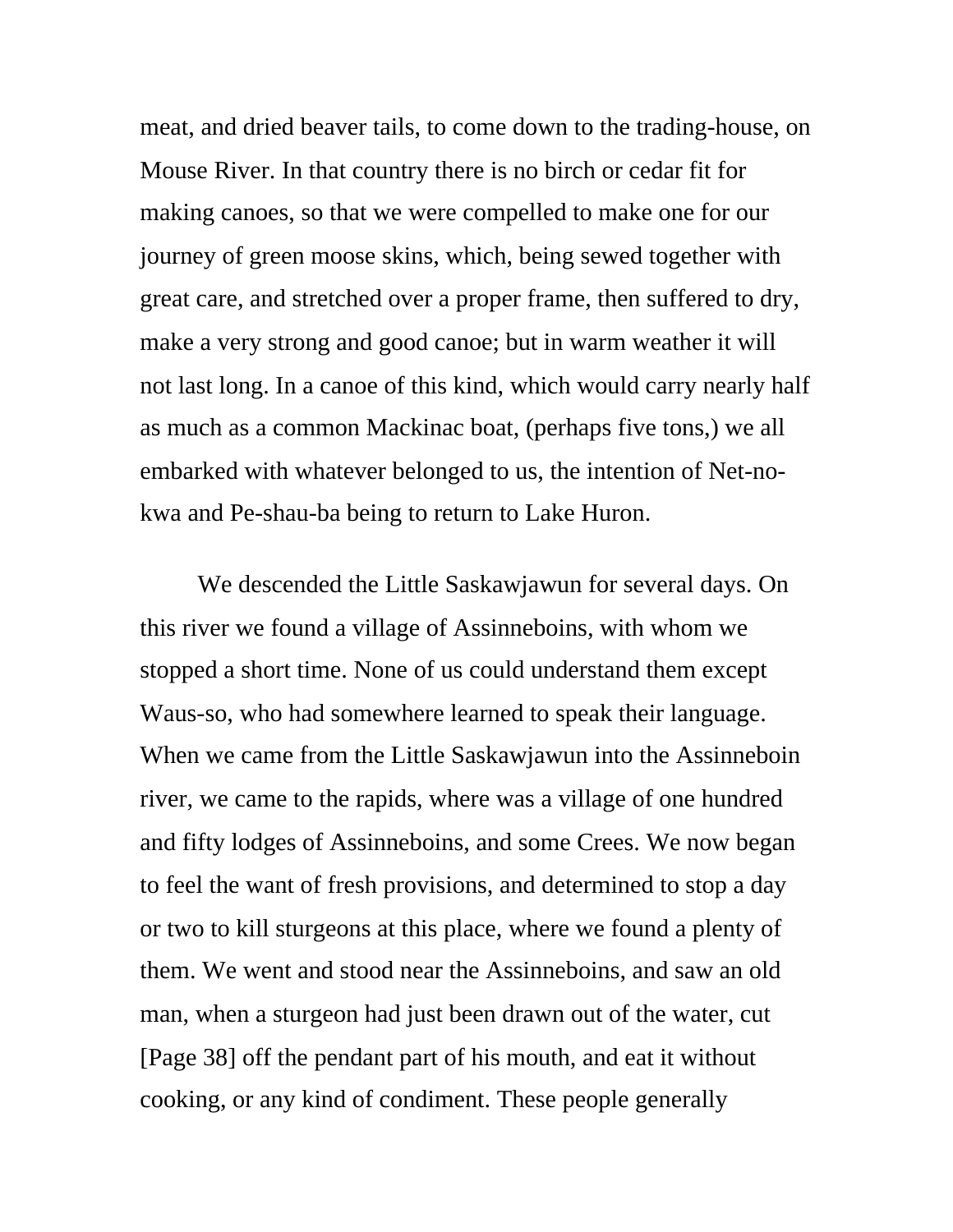meat, and dried beaver tails, to come down to the trading-house, on Mouse River. In that country there is no birch or cedar fit for making canoes, so that we were compelled to make one for our journey of green moose skins, which, being sewed together with great care, and stretched over a proper frame, then suffered to dry, make a very strong and good canoe; but in warm weather it will not last long. In a canoe of this kind, which would carry nearly half as much as a common Mackinac boat, (perhaps five tons,) we all embarked with whatever belonged to us, the intention of Net-nokwa and Pe-shau-ba being to return to Lake Huron.

 We descended the Little Saskawjawun for several days. On this river we found a village of Assinneboins, with whom we stopped a short time. None of us could understand them except Waus-so, who had somewhere learned to speak their language. When we came from the Little Saskawjawun into the Assinneboin river, we came to the rapids, where was a village of one hundred and fifty lodges of Assinneboins, and some Crees. We now began to feel the want of fresh provisions, and determined to stop a day or two to kill sturgeons at this place, where we found a plenty of them. We went and stood near the Assinneboins, and saw an old man, when a sturgeon had just been drawn out of the water, cut [Page 38] off the pendant part of his mouth, and eat it without cooking, or any kind of condiment. These people generally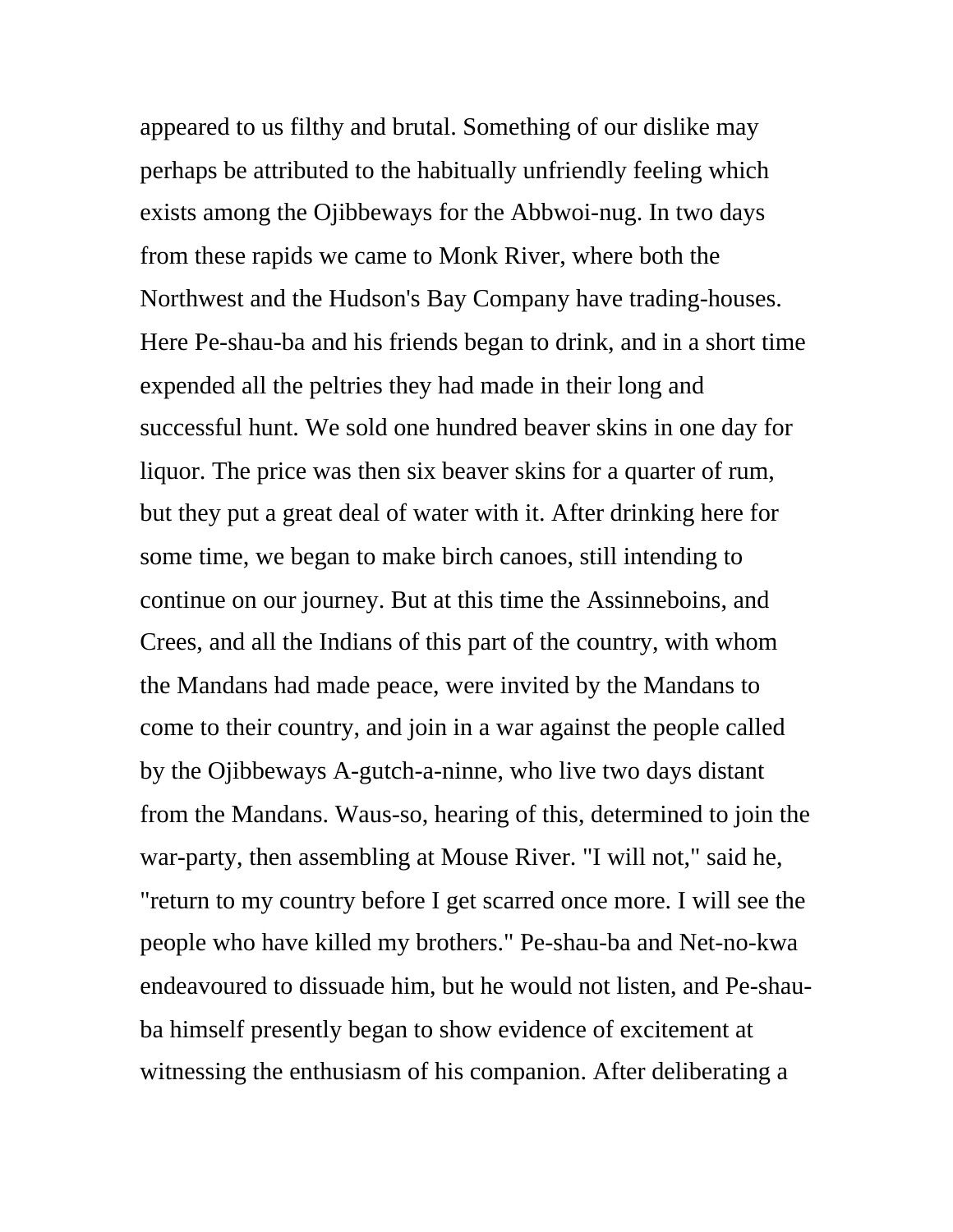appeared to us filthy and brutal. Something of our dislike may perhaps be attributed to the habitually unfriendly feeling which exists among the Ojibbeways for the Abbwoi-nug. In two days from these rapids we came to Monk River, where both the Northwest and the Hudson's Bay Company have trading-houses. Here Pe-shau-ba and his friends began to drink, and in a short time expended all the peltries they had made in their long and successful hunt. We sold one hundred beaver skins in one day for liquor. The price was then six beaver skins for a quarter of rum, but they put a great deal of water with it. After drinking here for some time, we began to make birch canoes, still intending to continue on our journey. But at this time the Assinneboins, and Crees, and all the Indians of this part of the country, with whom the Mandans had made peace, were invited by the Mandans to come to their country, and join in a war against the people called by the Ojibbeways A-gutch-a-ninne, who live two days distant from the Mandans. Waus-so, hearing of this, determined to join the war-party, then assembling at Mouse River. "I will not," said he, "return to my country before I get scarred once more. I will see the people who have killed my brothers." Pe-shau-ba and Net-no-kwa endeavoured to dissuade him, but he would not listen, and Pe-shauba himself presently began to show evidence of excitement at witnessing the enthusiasm of his companion. After deliberating a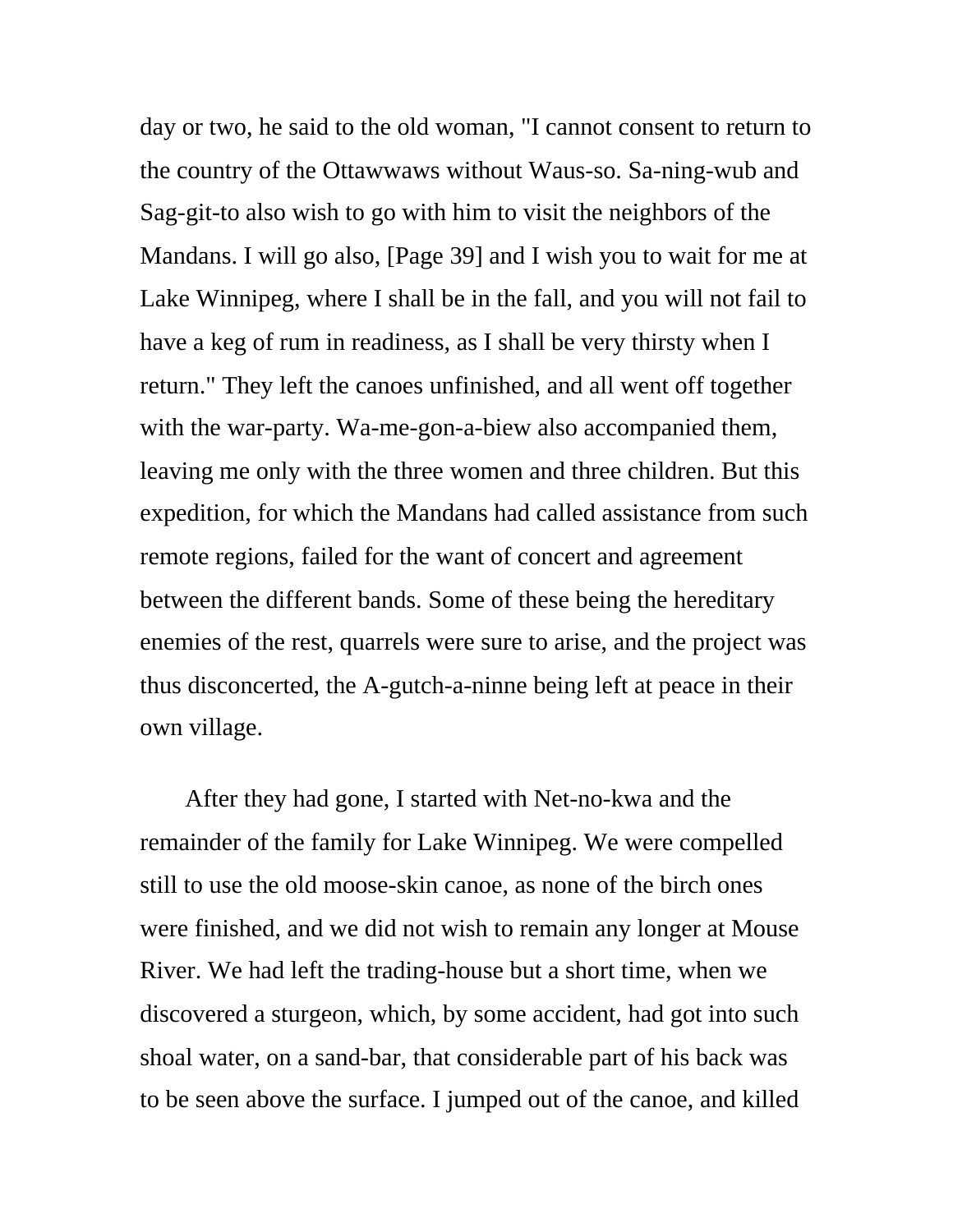day or two, he said to the old woman, "I cannot consent to return to the country of the Ottawwaws without Waus-so. Sa-ning-wub and Sag-git-to also wish to go with him to visit the neighbors of the Mandans. I will go also, [Page 39] and I wish you to wait for me at Lake Winnipeg, where I shall be in the fall, and you will not fail to have a keg of rum in readiness, as I shall be very thirsty when I return." They left the canoes unfinished, and all went off together with the war-party. Wa-me-gon-a-biew also accompanied them, leaving me only with the three women and three children. But this expedition, for which the Mandans had called assistance from such remote regions, failed for the want of concert and agreement between the different bands. Some of these being the hereditary enemies of the rest, quarrels were sure to arise, and the project was thus disconcerted, the A-gutch-a-ninne being left at peace in their own village.

 After they had gone, I started with Net-no-kwa and the remainder of the family for Lake Winnipeg. We were compelled still to use the old moose-skin canoe, as none of the birch ones were finished, and we did not wish to remain any longer at Mouse River. We had left the trading-house but a short time, when we discovered a sturgeon, which, by some accident, had got into such shoal water, on a sand-bar, that considerable part of his back was to be seen above the surface. I jumped out of the canoe, and killed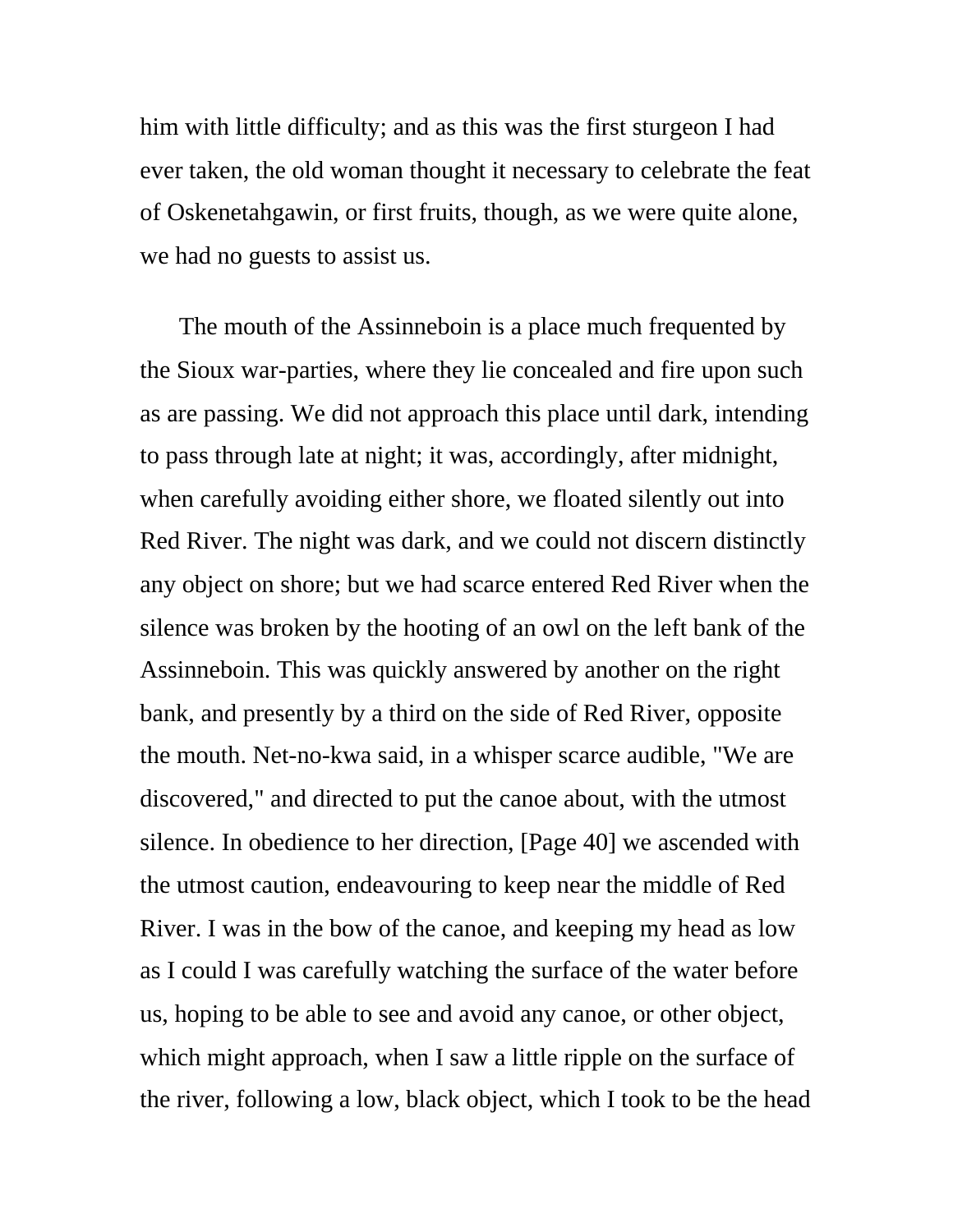him with little difficulty; and as this was the first sturgeon I had ever taken, the old woman thought it necessary to celebrate the feat of Oskenetahgawin, or first fruits, though, as we were quite alone, we had no guests to assist us.

The mouth of the Assinneboin is a place much frequented by the Sioux war-parties, where they lie concealed and fire upon such as are passing. We did not approach this place until dark, intending to pass through late at night; it was, accordingly, after midnight, when carefully avoiding either shore, we floated silently out into Red River. The night was dark, and we could not discern distinctly any object on shore; but we had scarce entered Red River when the silence was broken by the hooting of an owl on the left bank of the Assinneboin. This was quickly answered by another on the right bank, and presently by a third on the side of Red River, opposite the mouth. Net-no-kwa said, in a whisper scarce audible, "We are discovered," and directed to put the canoe about, with the utmost silence. In obedience to her direction, [Page 40] we ascended with the utmost caution, endeavouring to keep near the middle of Red River. I was in the bow of the canoe, and keeping my head as low as I could I was carefully watching the surface of the water before us, hoping to be able to see and avoid any canoe, or other object, which might approach, when I saw a little ripple on the surface of the river, following a low, black object, which I took to be the head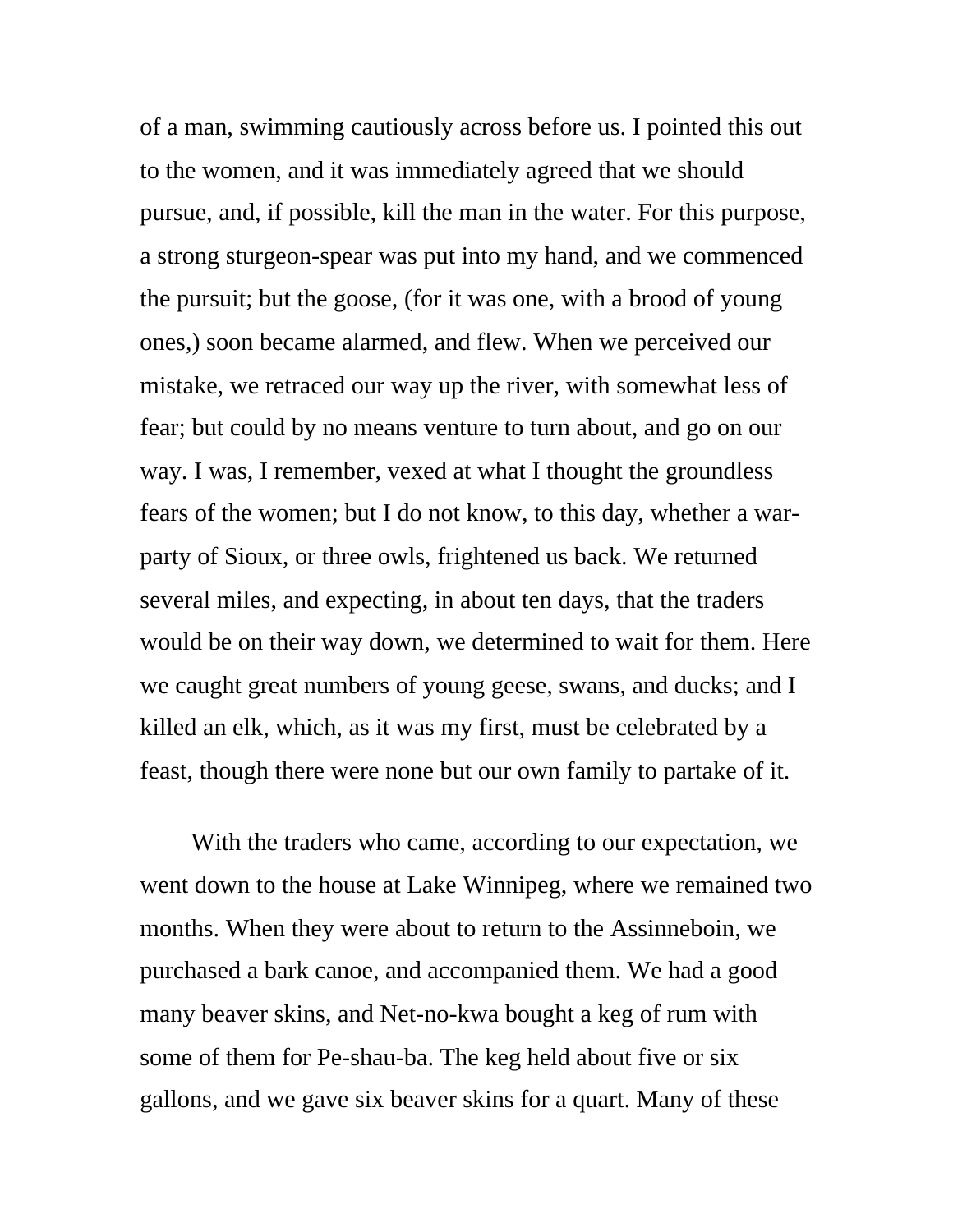of a man, swimming cautiously across before us. I pointed this out to the women, and it was immediately agreed that we should pursue, and, if possible, kill the man in the water. For this purpose, a strong sturgeon-spear was put into my hand, and we commenced the pursuit; but the goose, (for it was one, with a brood of young ones,) soon became alarmed, and flew. When we perceived our mistake, we retraced our way up the river, with somewhat less of fear; but could by no means venture to turn about, and go on our way. I was, I remember, vexed at what I thought the groundless fears of the women; but I do not know, to this day, whether a warparty of Sioux, or three owls, frightened us back. We returned several miles, and expecting, in about ten days, that the traders would be on their way down, we determined to wait for them. Here we caught great numbers of young geese, swans, and ducks; and I killed an elk, which, as it was my first, must be celebrated by a feast, though there were none but our own family to partake of it.

 With the traders who came, according to our expectation, we went down to the house at Lake Winnipeg, where we remained two months. When they were about to return to the Assinneboin, we purchased a bark canoe, and accompanied them. We had a good many beaver skins, and Net-no-kwa bought a keg of rum with some of them for Pe-shau-ba. The keg held about five or six gallons, and we gave six beaver skins for a quart. Many of these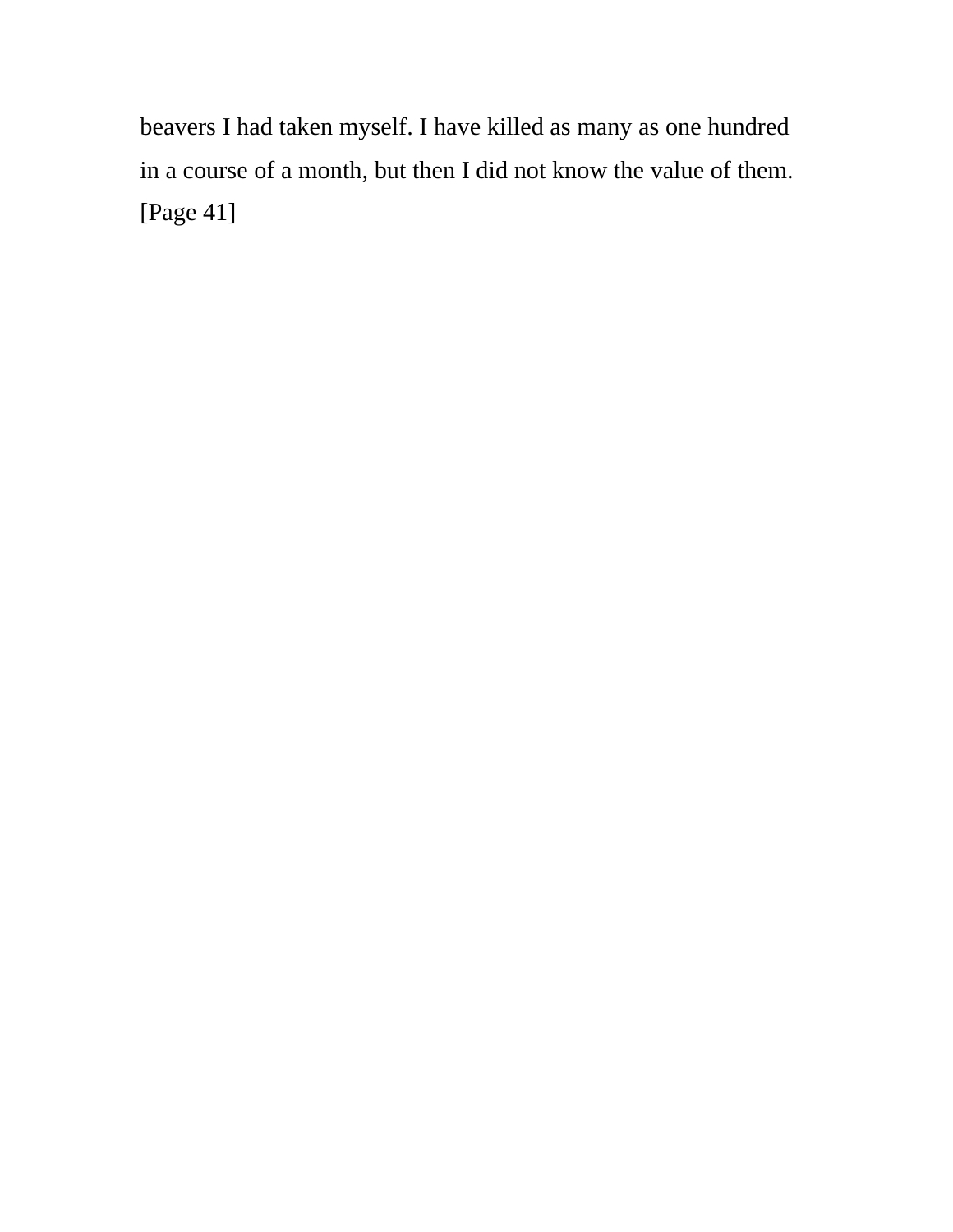beavers I had taken myself. I have killed as many as one hundred in a course of a month, but then I did not know the value of them. [Page 41]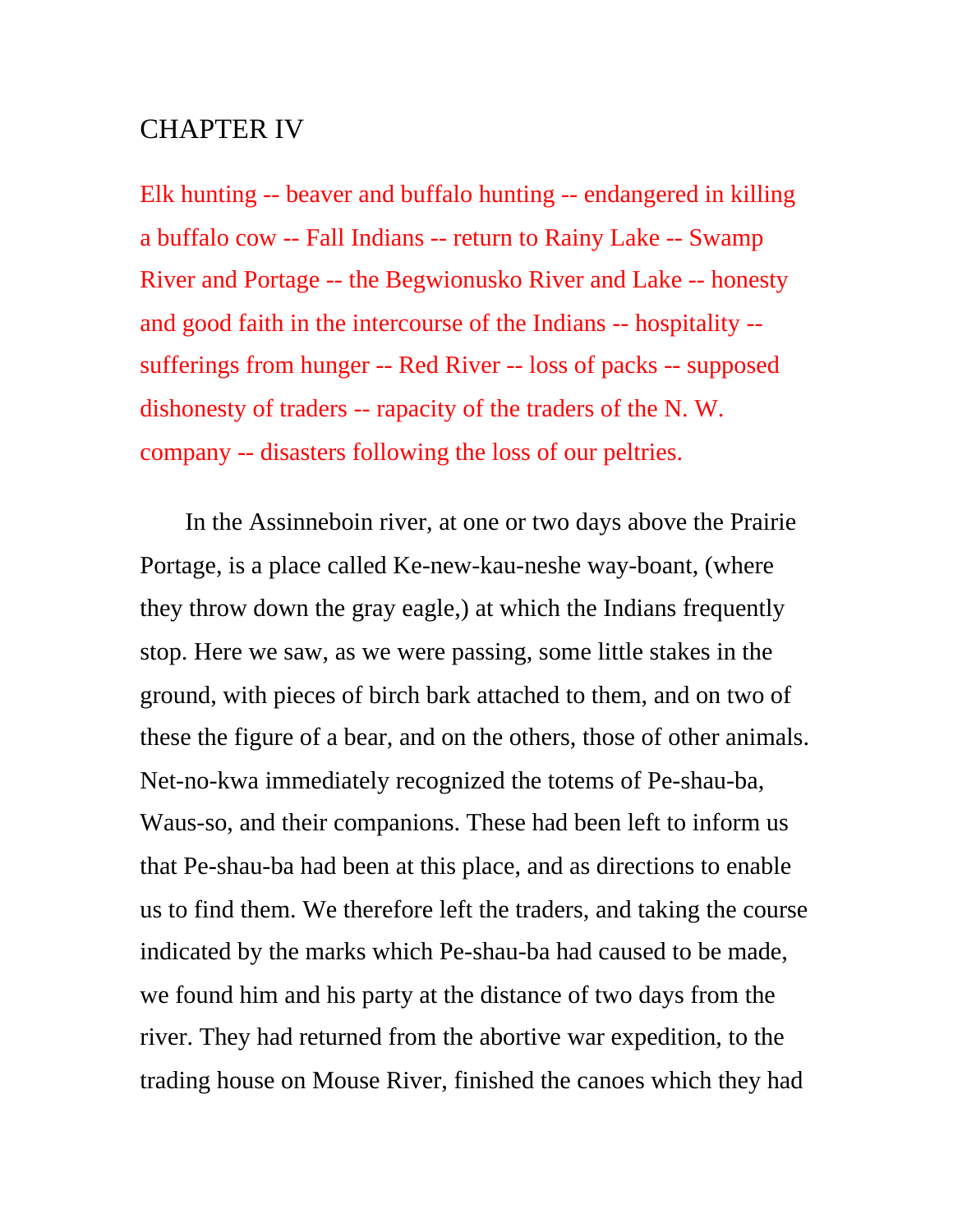## CHAPTER IV

Elk hunting -- beaver and buffalo hunting -- endangered in killing a buffalo cow -- Fall Indians -- return to Rainy Lake -- Swamp River and Portage -- the Begwionusko River and Lake -- honesty and good faith in the intercourse of the Indians -- hospitality - sufferings from hunger -- Red River -- loss of packs -- supposed dishonesty of traders -- rapacity of the traders of the N. W. company -- disasters following the loss of our peltries.

 In the Assinneboin river, at one or two days above the Prairie Portage, is a place called Ke-new-kau-neshe way-boant, (where they throw down the gray eagle,) at which the Indians frequently stop. Here we saw, as we were passing, some little stakes in the ground, with pieces of birch bark attached to them, and on two of these the figure of a bear, and on the others, those of other animals. Net-no-kwa immediately recognized the totems of Pe-shau-ba, Waus-so, and their companions. These had been left to inform us that Pe-shau-ba had been at this place, and as directions to enable us to find them. We therefore left the traders, and taking the course indicated by the marks which Pe-shau-ba had caused to be made, we found him and his party at the distance of two days from the river. They had returned from the abortive war expedition, to the trading house on Mouse River, finished the canoes which they had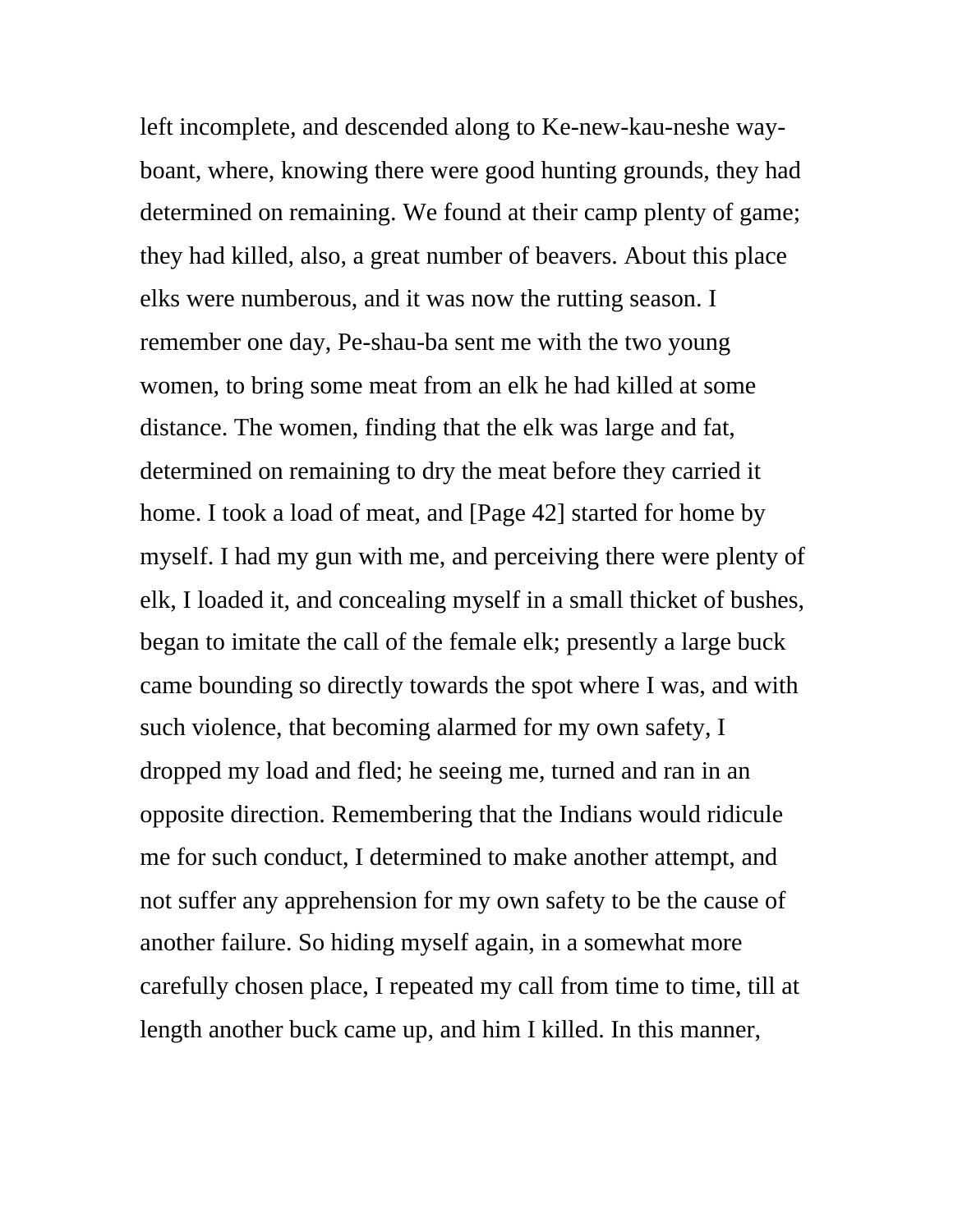left incomplete, and descended along to Ke-new-kau-neshe wayboant, where, knowing there were good hunting grounds, they had determined on remaining. We found at their camp plenty of game; they had killed, also, a great number of beavers. About this place elks were numberous, and it was now the rutting season. I remember one day, Pe-shau-ba sent me with the two young women, to bring some meat from an elk he had killed at some distance. The women, finding that the elk was large and fat, determined on remaining to dry the meat before they carried it home. I took a load of meat, and [Page 42] started for home by myself. I had my gun with me, and perceiving there were plenty of elk, I loaded it, and concealing myself in a small thicket of bushes, began to imitate the call of the female elk; presently a large buck came bounding so directly towards the spot where I was, and with such violence, that becoming alarmed for my own safety, I dropped my load and fled; he seeing me, turned and ran in an opposite direction. Remembering that the Indians would ridicule me for such conduct, I determined to make another attempt, and not suffer any apprehension for my own safety to be the cause of another failure. So hiding myself again, in a somewhat more carefully chosen place, I repeated my call from time to time, till at length another buck came up, and him I killed. In this manner,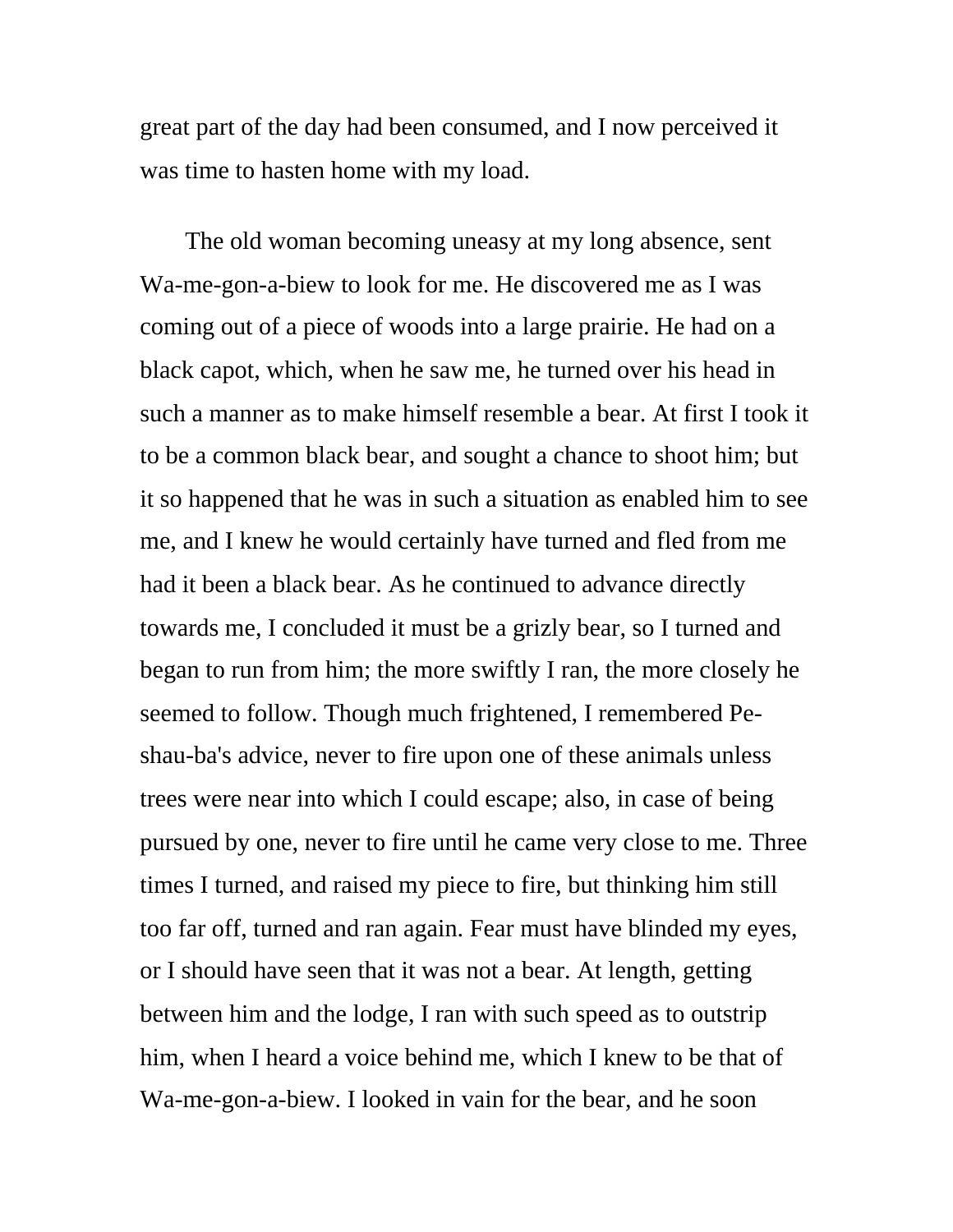great part of the day had been consumed, and I now perceived it was time to hasten home with my load.

 The old woman becoming uneasy at my long absence, sent Wa-me-gon-a-biew to look for me. He discovered me as I was coming out of a piece of woods into a large prairie. He had on a black capot, which, when he saw me, he turned over his head in such a manner as to make himself resemble a bear. At first I took it to be a common black bear, and sought a chance to shoot him; but it so happened that he was in such a situation as enabled him to see me, and I knew he would certainly have turned and fled from me had it been a black bear. As he continued to advance directly towards me, I concluded it must be a grizly bear, so I turned and began to run from him; the more swiftly I ran, the more closely he seemed to follow. Though much frightened, I remembered Peshau-ba's advice, never to fire upon one of these animals unless trees were near into which I could escape; also, in case of being pursued by one, never to fire until he came very close to me. Three times I turned, and raised my piece to fire, but thinking him still too far off, turned and ran again. Fear must have blinded my eyes, or I should have seen that it was not a bear. At length, getting between him and the lodge, I ran with such speed as to outstrip him, when I heard a voice behind me, which I knew to be that of Wa-me-gon-a-biew. I looked in vain for the bear, and he soon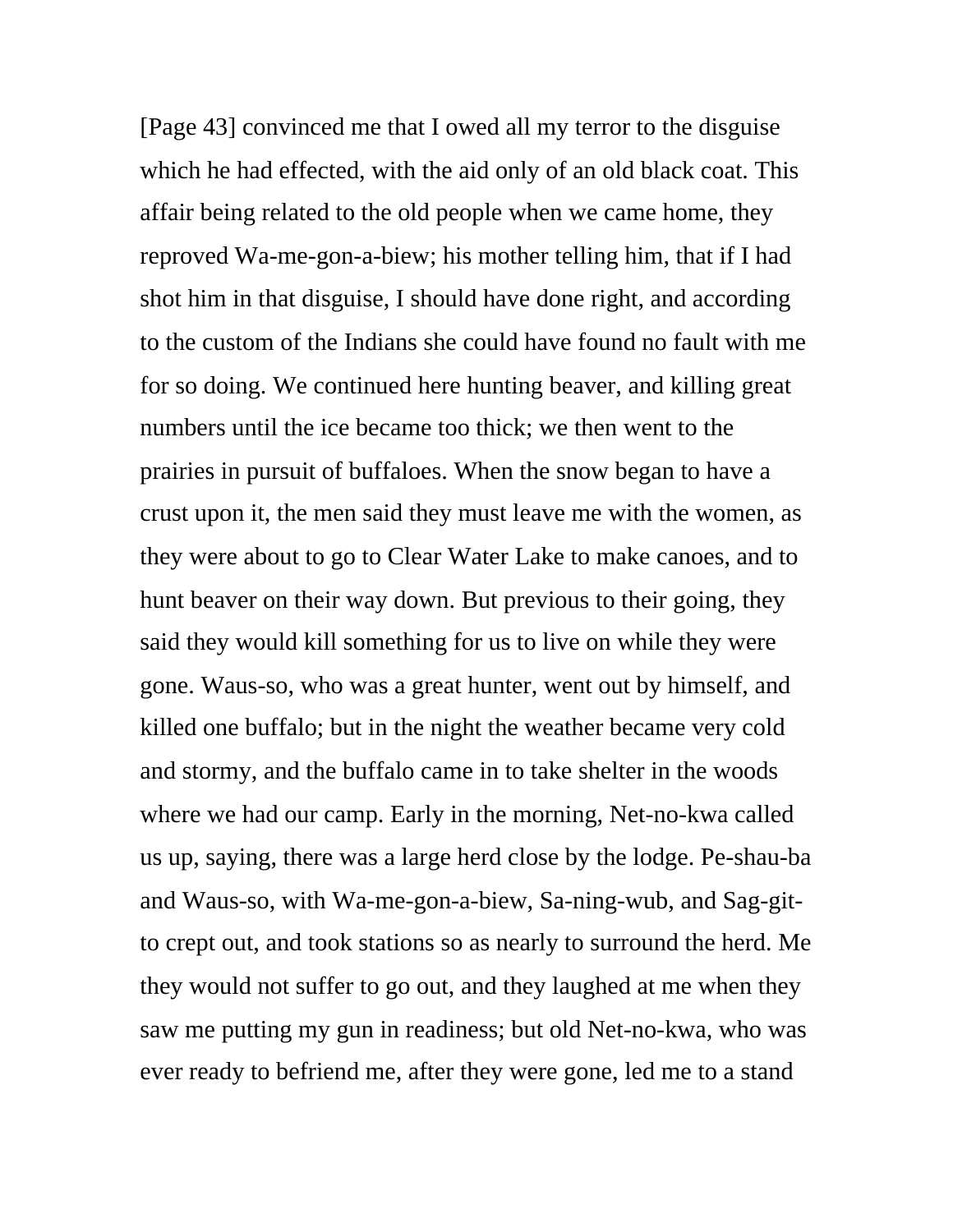[Page 43] convinced me that I owed all my terror to the disguise which he had effected, with the aid only of an old black coat. This affair being related to the old people when we came home, they reproved Wa-me-gon-a-biew; his mother telling him, that if I had shot him in that disguise, I should have done right, and according to the custom of the Indians she could have found no fault with me for so doing. We continued here hunting beaver, and killing great numbers until the ice became too thick; we then went to the prairies in pursuit of buffaloes. When the snow began to have a crust upon it, the men said they must leave me with the women, as they were about to go to Clear Water Lake to make canoes, and to hunt beaver on their way down. But previous to their going, they said they would kill something for us to live on while they were gone. Waus-so, who was a great hunter, went out by himself, and killed one buffalo; but in the night the weather became very cold and stormy, and the buffalo came in to take shelter in the woods where we had our camp. Early in the morning, Net-no-kwa called us up, saying, there was a large herd close by the lodge. Pe-shau-ba and Waus-so, with Wa-me-gon-a-biew, Sa-ning-wub, and Sag-gitto crept out, and took stations so as nearly to surround the herd. Me they would not suffer to go out, and they laughed at me when they saw me putting my gun in readiness; but old Net-no-kwa, who was ever ready to befriend me, after they were gone, led me to a stand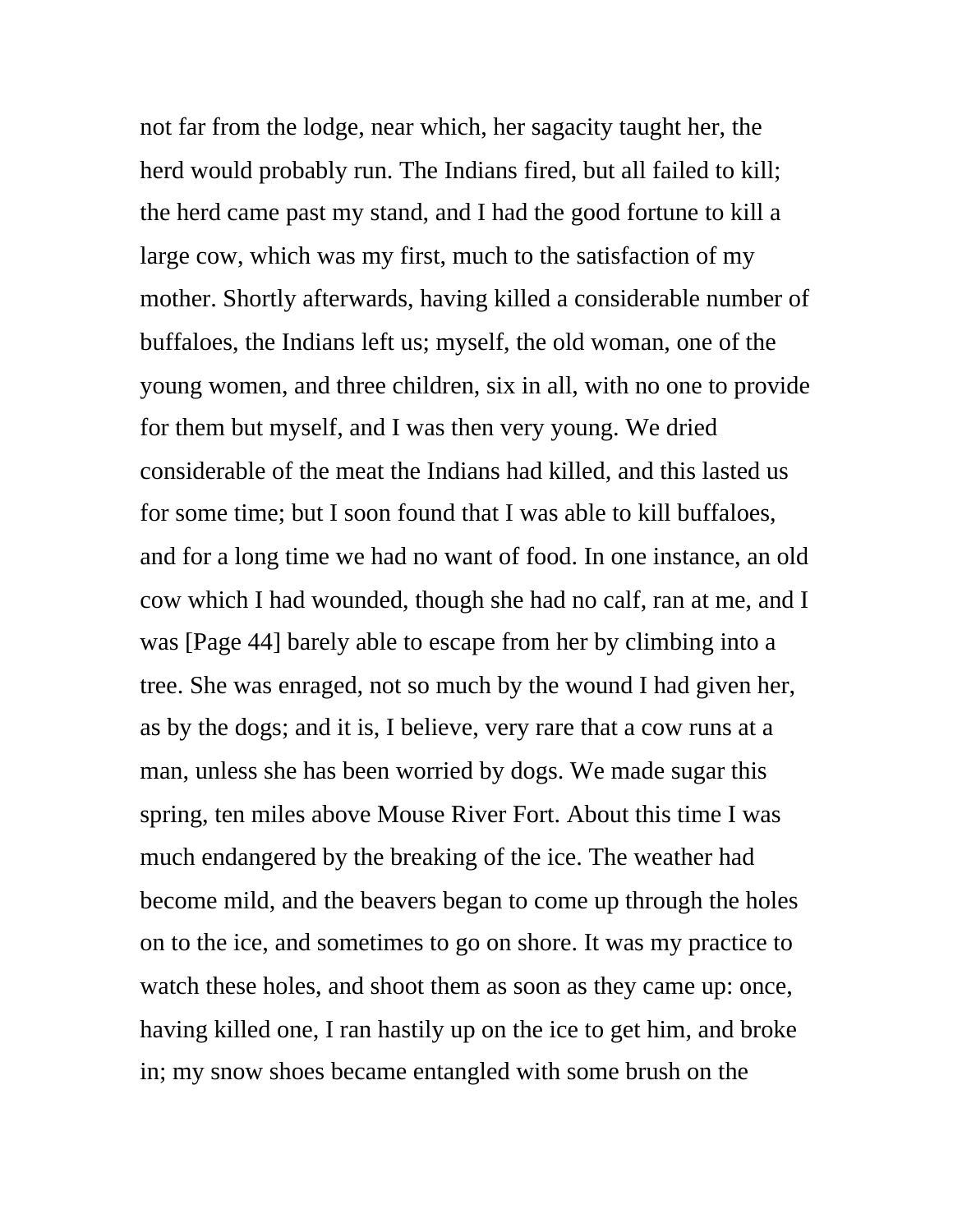not far from the lodge, near which, her sagacity taught her, the herd would probably run. The Indians fired, but all failed to kill; the herd came past my stand, and I had the good fortune to kill a large cow, which was my first, much to the satisfaction of my mother. Shortly afterwards, having killed a considerable number of buffaloes, the Indians left us; myself, the old woman, one of the young women, and three children, six in all, with no one to provide for them but myself, and I was then very young. We dried considerable of the meat the Indians had killed, and this lasted us for some time; but I soon found that I was able to kill buffaloes, and for a long time we had no want of food. In one instance, an old cow which I had wounded, though she had no calf, ran at me, and I was [Page 44] barely able to escape from her by climbing into a tree. She was enraged, not so much by the wound I had given her, as by the dogs; and it is, I believe, very rare that a cow runs at a man, unless she has been worried by dogs. We made sugar this spring, ten miles above Mouse River Fort. About this time I was much endangered by the breaking of the ice. The weather had become mild, and the beavers began to come up through the holes on to the ice, and sometimes to go on shore. It was my practice to watch these holes, and shoot them as soon as they came up: once, having killed one, I ran hastily up on the ice to get him, and broke in; my snow shoes became entangled with some brush on the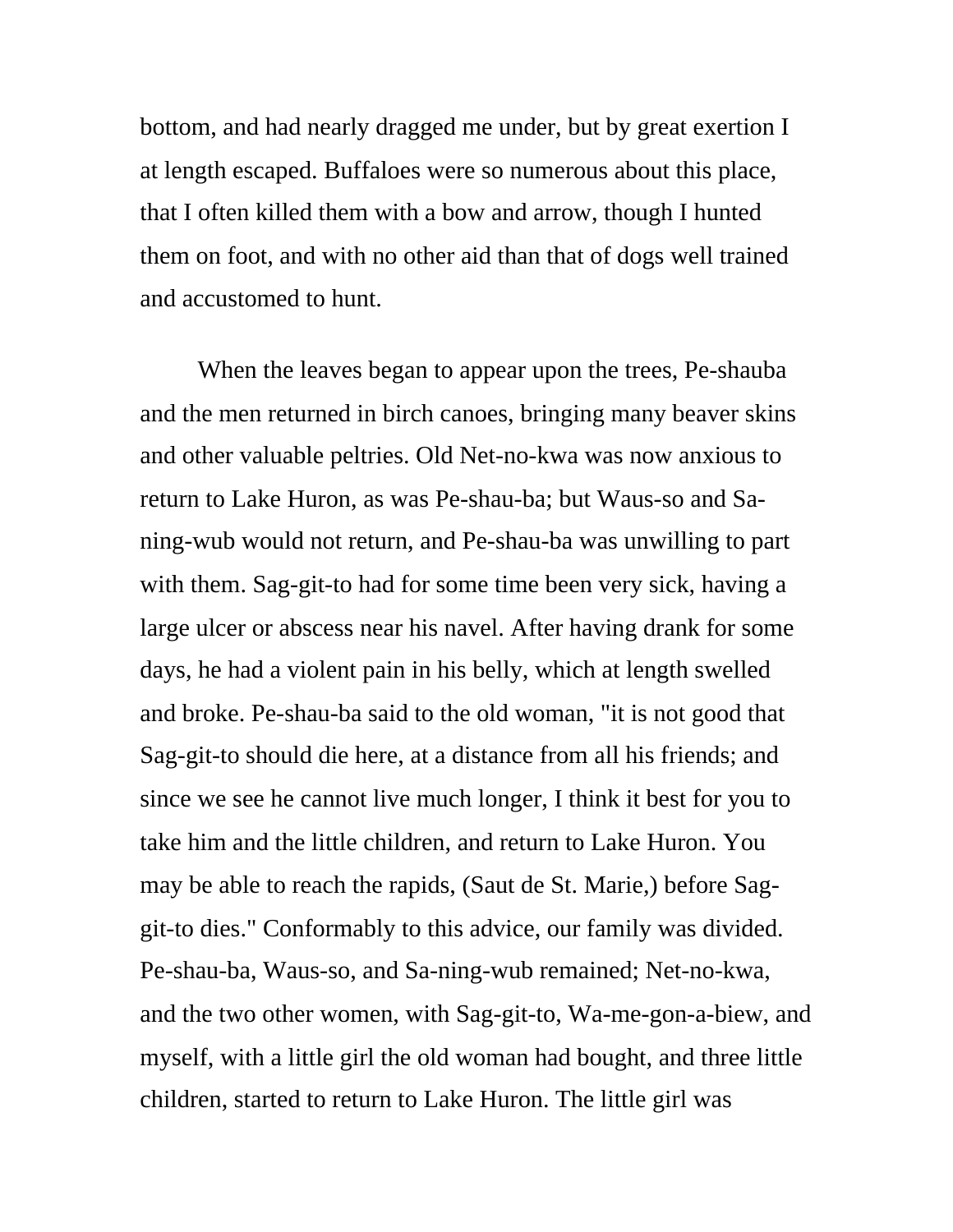bottom, and had nearly dragged me under, but by great exertion I at length escaped. Buffaloes were so numerous about this place, that I often killed them with a bow and arrow, though I hunted them on foot, and with no other aid than that of dogs well trained and accustomed to hunt.

 When the leaves began to appear upon the trees, Pe-shauba and the men returned in birch canoes, bringing many beaver skins and other valuable peltries. Old Net-no-kwa was now anxious to return to Lake Huron, as was Pe-shau-ba; but Waus-so and Saning-wub would not return, and Pe-shau-ba was unwilling to part with them. Sag-git-to had for some time been very sick, having a large ulcer or abscess near his navel. After having drank for some days, he had a violent pain in his belly, which at length swelled and broke. Pe-shau-ba said to the old woman, "it is not good that Sag-git-to should die here, at a distance from all his friends; and since we see he cannot live much longer, I think it best for you to take him and the little children, and return to Lake Huron. You may be able to reach the rapids, (Saut de St. Marie,) before Saggit-to dies." Conformably to this advice, our family was divided. Pe-shau-ba, Waus-so, and Sa-ning-wub remained; Net-no-kwa, and the two other women, with Sag-git-to, Wa-me-gon-a-biew, and myself, with a little girl the old woman had bought, and three little children, started to return to Lake Huron. The little girl was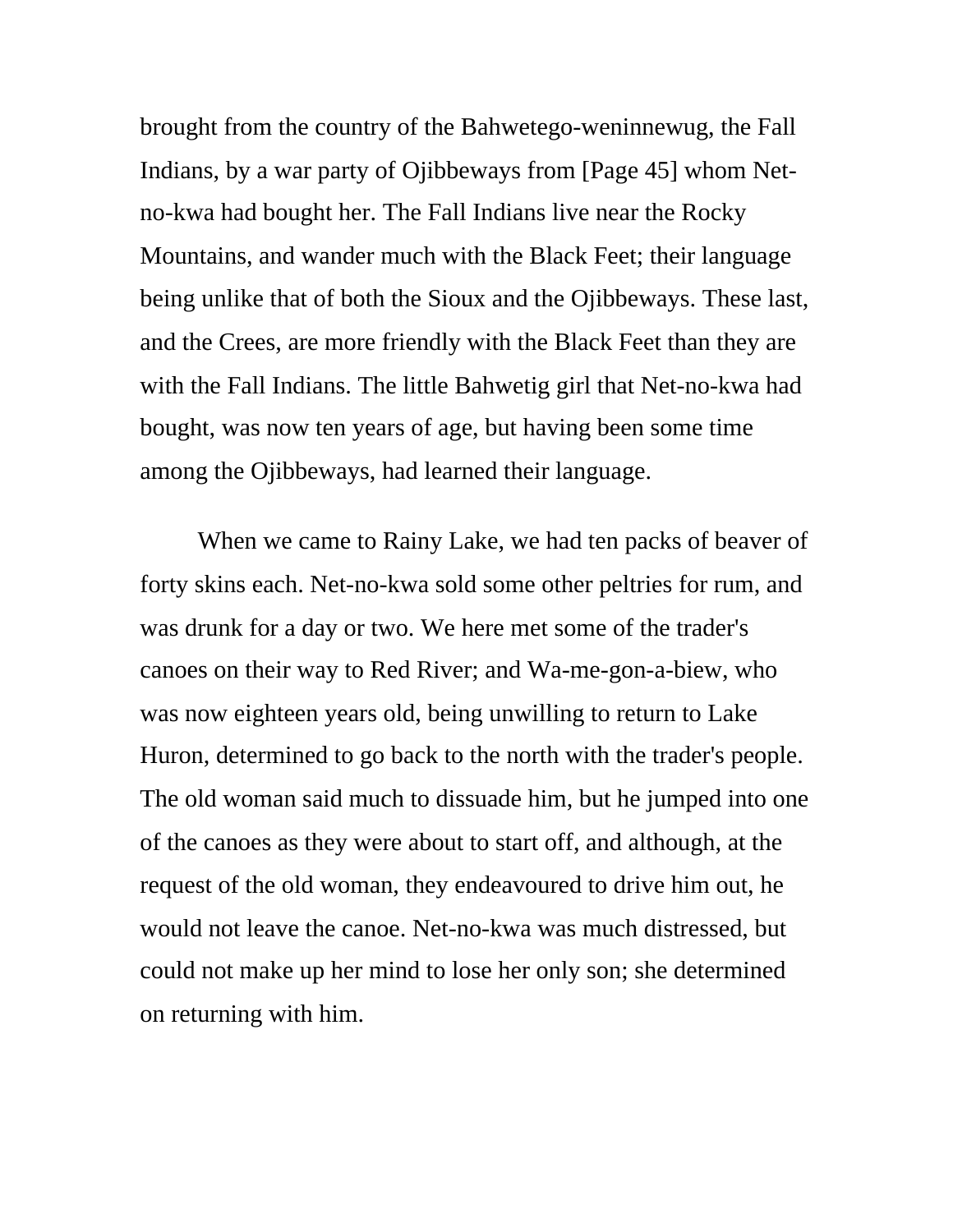brought from the country of the Bahwetego-weninnewug, the Fall Indians, by a war party of Ojibbeways from [Page 45] whom Netno-kwa had bought her. The Fall Indians live near the Rocky Mountains, and wander much with the Black Feet; their language being unlike that of both the Sioux and the Ojibbeways. These last, and the Crees, are more friendly with the Black Feet than they are with the Fall Indians. The little Bahwetig girl that Net-no-kwa had bought, was now ten years of age, but having been some time among the Ojibbeways, had learned their language.

 When we came to Rainy Lake, we had ten packs of beaver of forty skins each. Net-no-kwa sold some other peltries for rum, and was drunk for a day or two. We here met some of the trader's canoes on their way to Red River; and Wa-me-gon-a-biew, who was now eighteen years old, being unwilling to return to Lake Huron, determined to go back to the north with the trader's people. The old woman said much to dissuade him, but he jumped into one of the canoes as they were about to start off, and although, at the request of the old woman, they endeavoured to drive him out, he would not leave the canoe. Net-no-kwa was much distressed, but could not make up her mind to lose her only son; she determined on returning with him.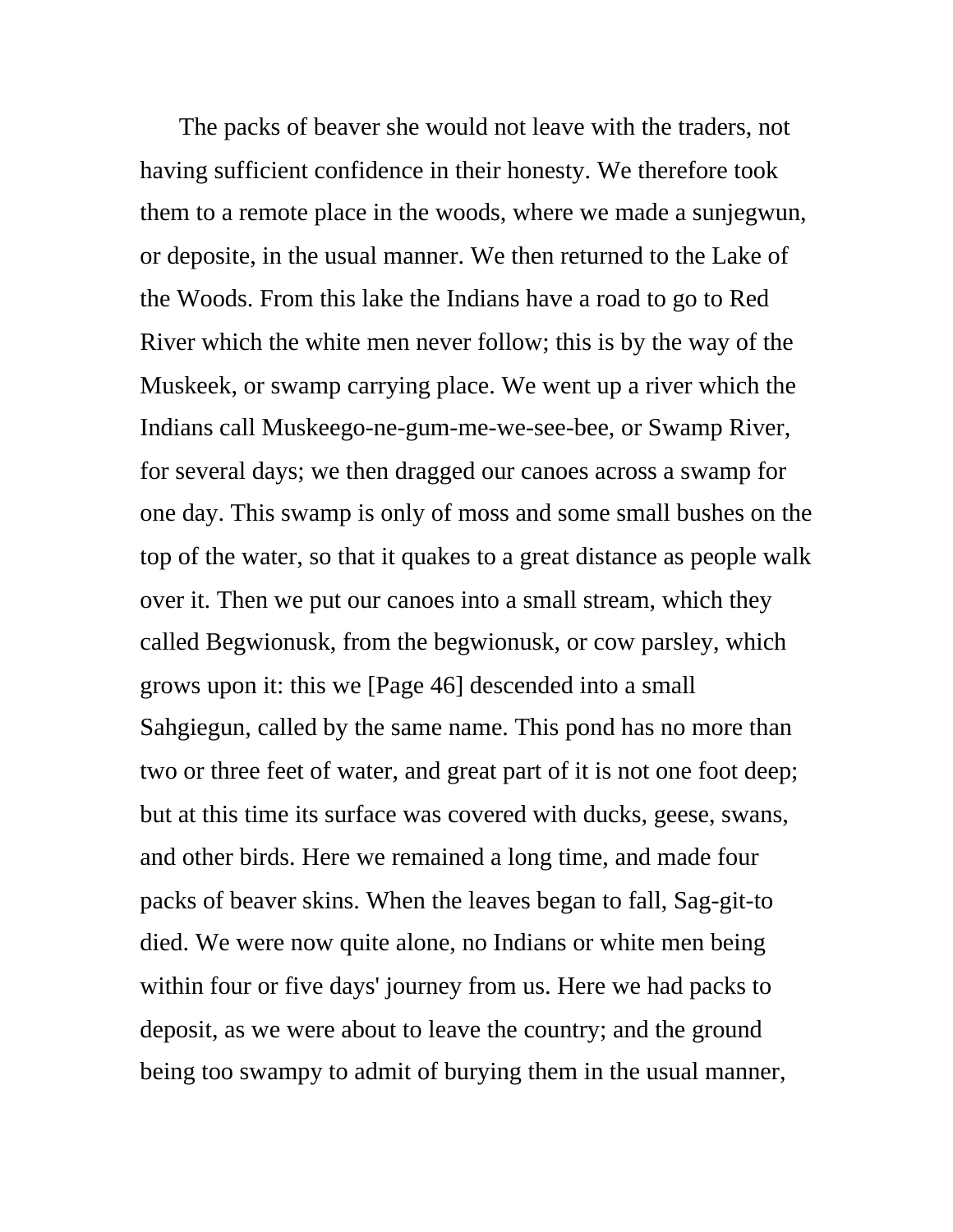The packs of beaver she would not leave with the traders, not having sufficient confidence in their honesty. We therefore took them to a remote place in the woods, where we made a sunjegwun, or deposite, in the usual manner. We then returned to the Lake of the Woods. From this lake the Indians have a road to go to Red River which the white men never follow; this is by the way of the Muskeek, or swamp carrying place. We went up a river which the Indians call Muskeego-ne-gum-me-we-see-bee, or Swamp River, for several days; we then dragged our canoes across a swamp for one day. This swamp is only of moss and some small bushes on the top of the water, so that it quakes to a great distance as people walk over it. Then we put our canoes into a small stream, which they called Begwionusk, from the begwionusk, or cow parsley, which grows upon it: this we [Page 46] descended into a small Sahgiegun, called by the same name. This pond has no more than two or three feet of water, and great part of it is not one foot deep; but at this time its surface was covered with ducks, geese, swans, and other birds. Here we remained a long time, and made four packs of beaver skins. When the leaves began to fall, Sag-git-to died. We were now quite alone, no Indians or white men being within four or five days' journey from us. Here we had packs to deposit, as we were about to leave the country; and the ground being too swampy to admit of burying them in the usual manner,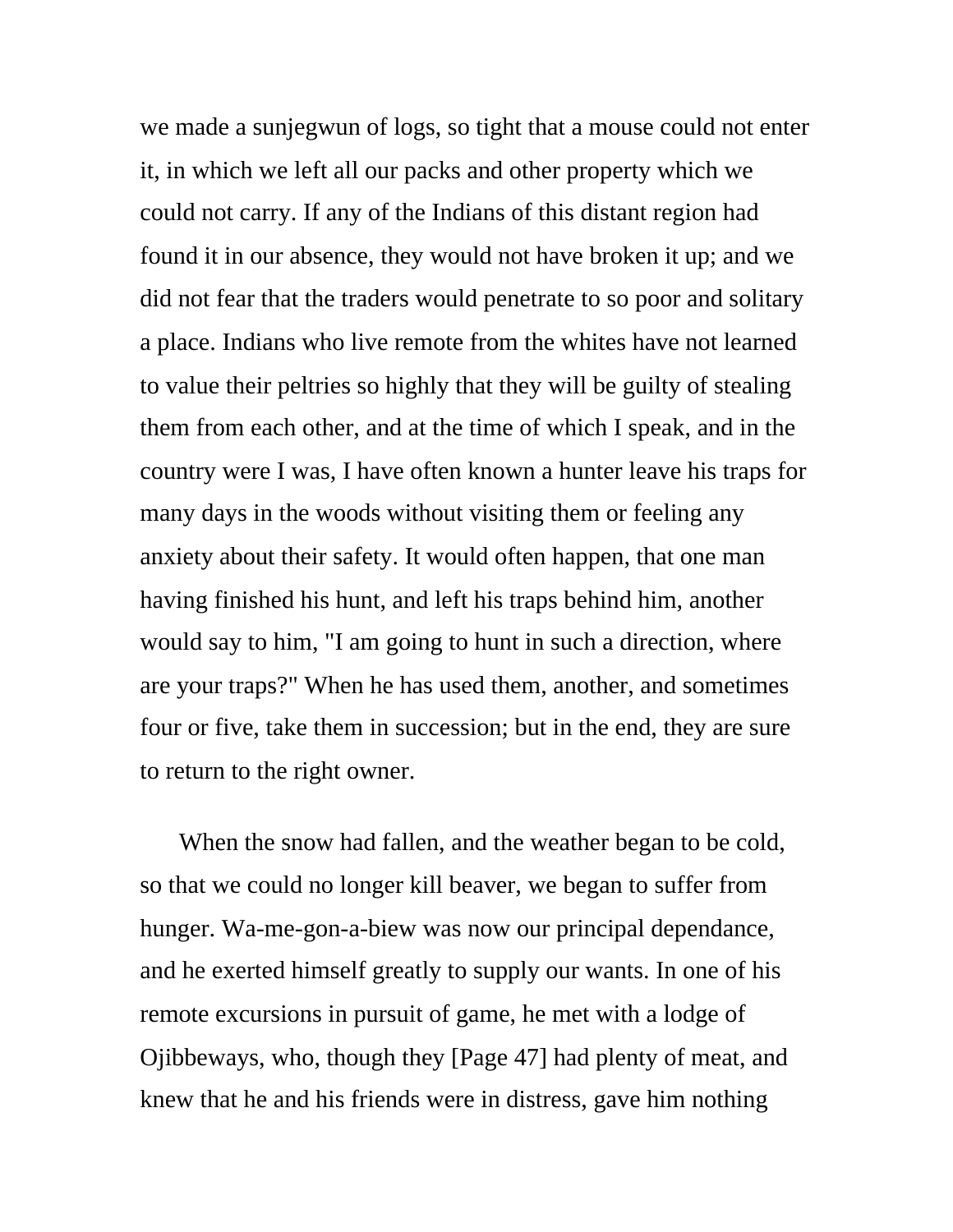we made a sunjegwun of logs, so tight that a mouse could not enter it, in which we left all our packs and other property which we could not carry. If any of the Indians of this distant region had found it in our absence, they would not have broken it up; and we did not fear that the traders would penetrate to so poor and solitary a place. Indians who live remote from the whites have not learned to value their peltries so highly that they will be guilty of stealing them from each other, and at the time of which I speak, and in the country were I was, I have often known a hunter leave his traps for many days in the woods without visiting them or feeling any anxiety about their safety. It would often happen, that one man having finished his hunt, and left his traps behind him, another would say to him, "I am going to hunt in such a direction, where are your traps?" When he has used them, another, and sometimes four or five, take them in succession; but in the end, they are sure to return to the right owner.

When the snow had fallen, and the weather began to be cold, so that we could no longer kill beaver, we began to suffer from hunger. Wa-me-gon-a-biew was now our principal dependance, and he exerted himself greatly to supply our wants. In one of his remote excursions in pursuit of game, he met with a lodge of Ojibbeways, who, though they [Page 47] had plenty of meat, and knew that he and his friends were in distress, gave him nothing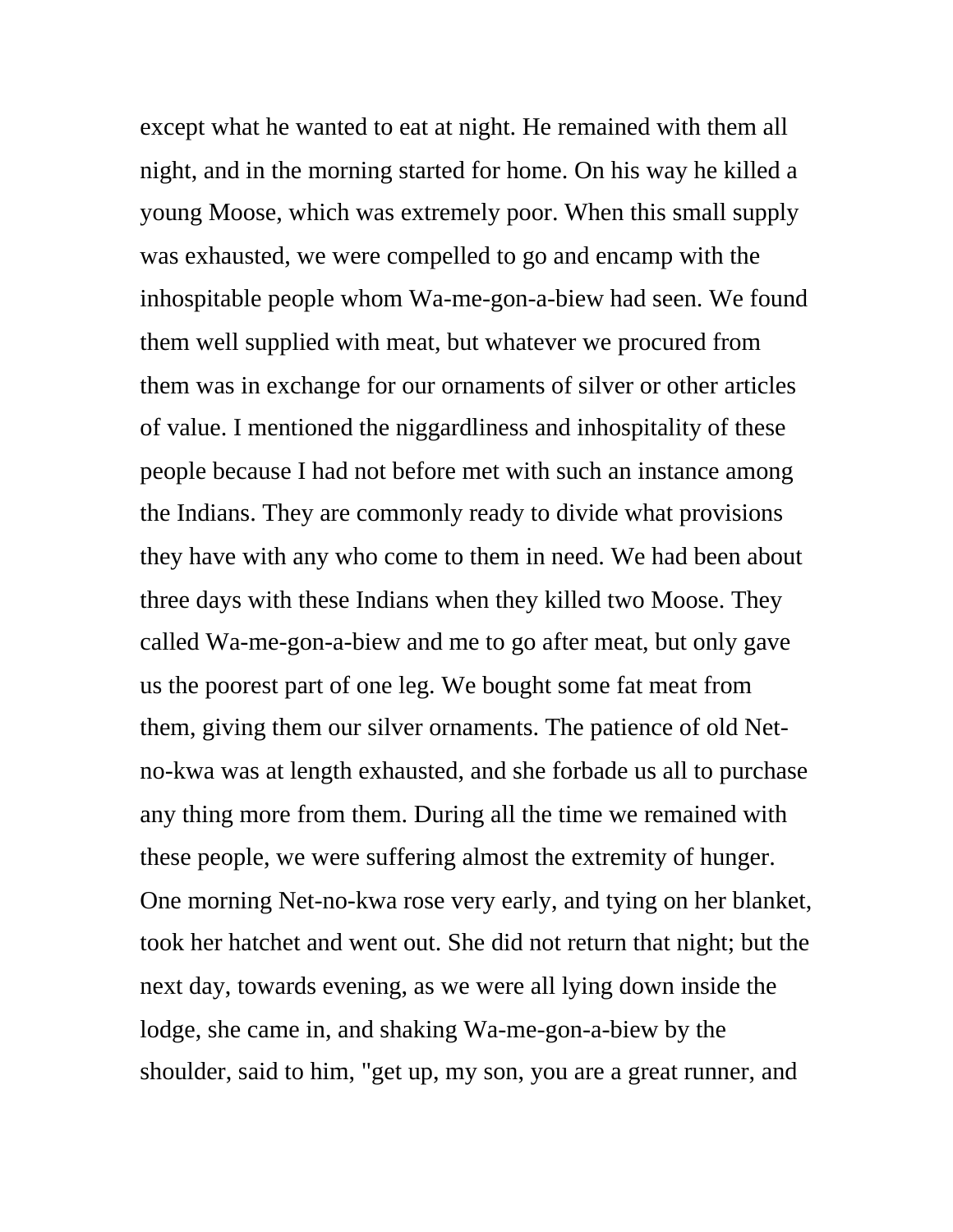except what he wanted to eat at night. He remained with them all night, and in the morning started for home. On his way he killed a young Moose, which was extremely poor. When this small supply was exhausted, we were compelled to go and encamp with the inhospitable people whom Wa-me-gon-a-biew had seen. We found them well supplied with meat, but whatever we procured from them was in exchange for our ornaments of silver or other articles of value. I mentioned the niggardliness and inhospitality of these people because I had not before met with such an instance among the Indians. They are commonly ready to divide what provisions they have with any who come to them in need. We had been about three days with these Indians when they killed two Moose. They called Wa-me-gon-a-biew and me to go after meat, but only gave us the poorest part of one leg. We bought some fat meat from them, giving them our silver ornaments. The patience of old Netno-kwa was at length exhausted, and she forbade us all to purchase any thing more from them. During all the time we remained with these people, we were suffering almost the extremity of hunger. One morning Net-no-kwa rose very early, and tying on her blanket, took her hatchet and went out. She did not return that night; but the next day, towards evening, as we were all lying down inside the lodge, she came in, and shaking Wa-me-gon-a-biew by the shoulder, said to him, "get up, my son, you are a great runner, and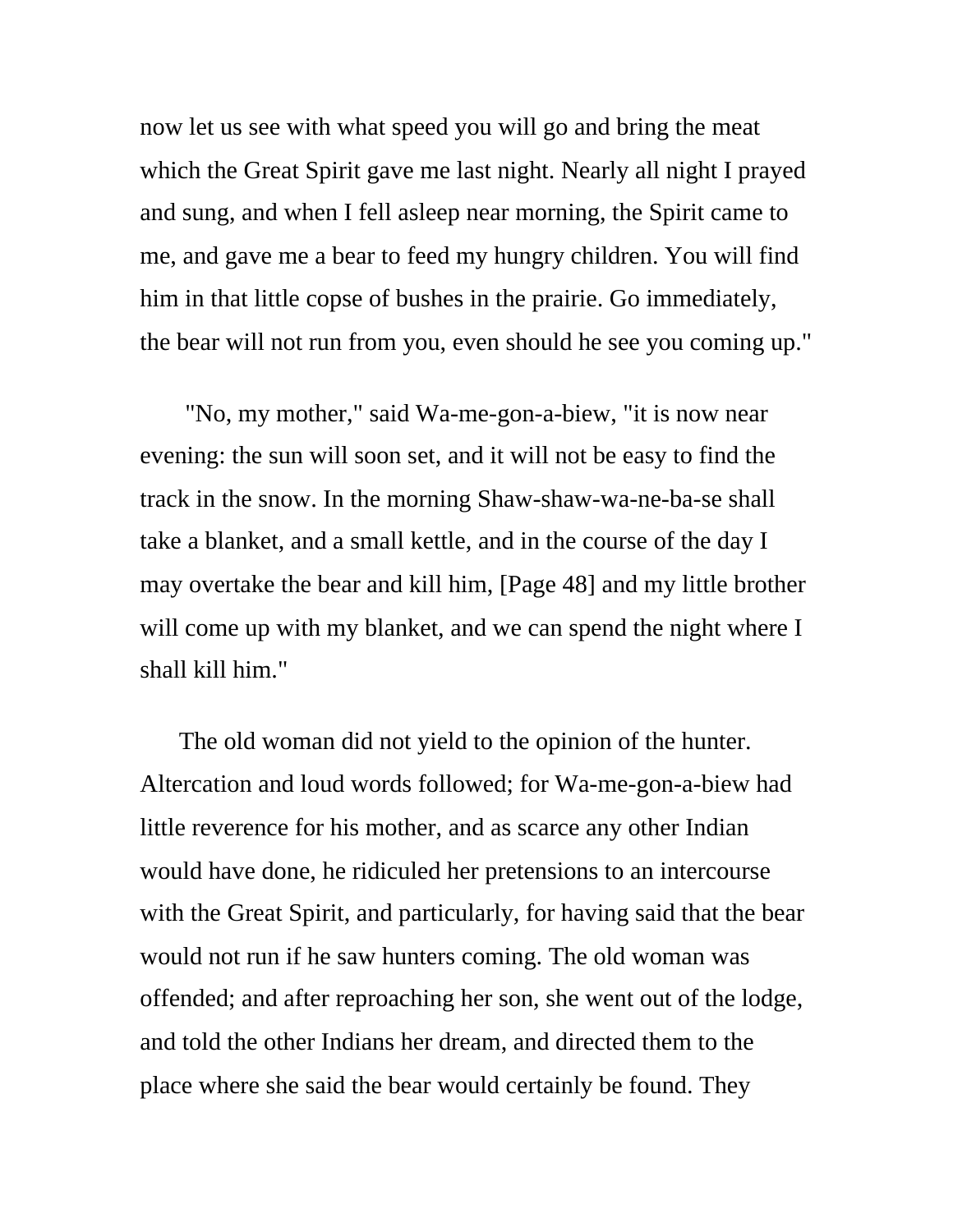now let us see with what speed you will go and bring the meat which the Great Spirit gave me last night. Nearly all night I prayed and sung, and when I fell asleep near morning, the Spirit came to me, and gave me a bear to feed my hungry children. You will find him in that little copse of bushes in the prairie. Go immediately, the bear will not run from you, even should he see you coming up."

 "No, my mother," said Wa-me-gon-a-biew, "it is now near evening: the sun will soon set, and it will not be easy to find the track in the snow. In the morning Shaw-shaw-wa-ne-ba-se shall take a blanket, and a small kettle, and in the course of the day I may overtake the bear and kill him, [Page 48] and my little brother will come up with my blanket, and we can spend the night where I shall kill him."

The old woman did not yield to the opinion of the hunter. Altercation and loud words followed; for Wa-me-gon-a-biew had little reverence for his mother, and as scarce any other Indian would have done, he ridiculed her pretensions to an intercourse with the Great Spirit, and particularly, for having said that the bear would not run if he saw hunters coming. The old woman was offended; and after reproaching her son, she went out of the lodge, and told the other Indians her dream, and directed them to the place where she said the bear would certainly be found. They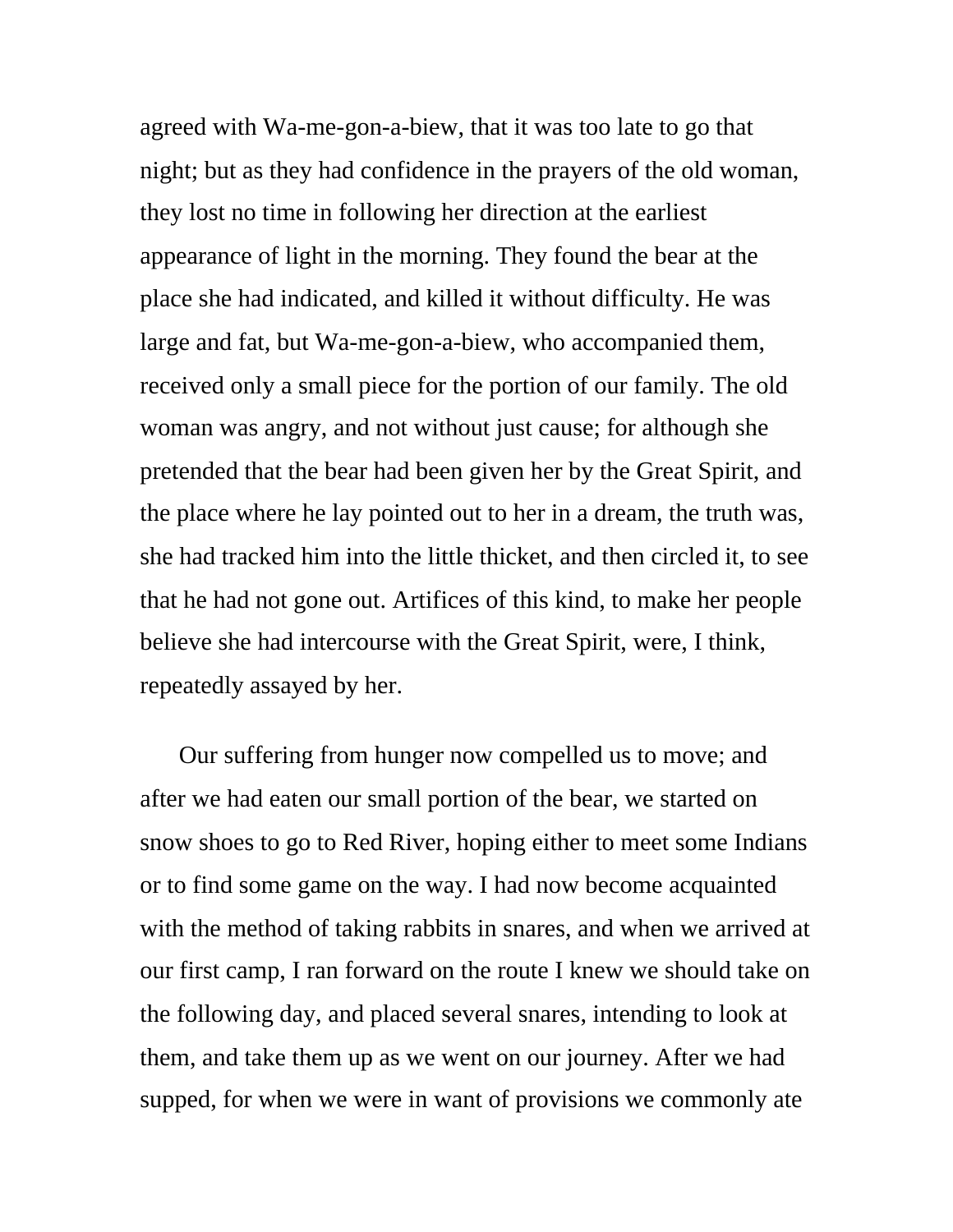agreed with Wa-me-gon-a-biew, that it was too late to go that night; but as they had confidence in the prayers of the old woman, they lost no time in following her direction at the earliest appearance of light in the morning. They found the bear at the place she had indicated, and killed it without difficulty. He was large and fat, but Wa-me-gon-a-biew, who accompanied them, received only a small piece for the portion of our family. The old woman was angry, and not without just cause; for although she pretended that the bear had been given her by the Great Spirit, and the place where he lay pointed out to her in a dream, the truth was, she had tracked him into the little thicket, and then circled it, to see that he had not gone out. Artifices of this kind, to make her people believe she had intercourse with the Great Spirit, were, I think, repeatedly assayed by her.

Our suffering from hunger now compelled us to move; and after we had eaten our small portion of the bear, we started on snow shoes to go to Red River, hoping either to meet some Indians or to find some game on the way. I had now become acquainted with the method of taking rabbits in snares, and when we arrived at our first camp, I ran forward on the route I knew we should take on the following day, and placed several snares, intending to look at them, and take them up as we went on our journey. After we had supped, for when we were in want of provisions we commonly ate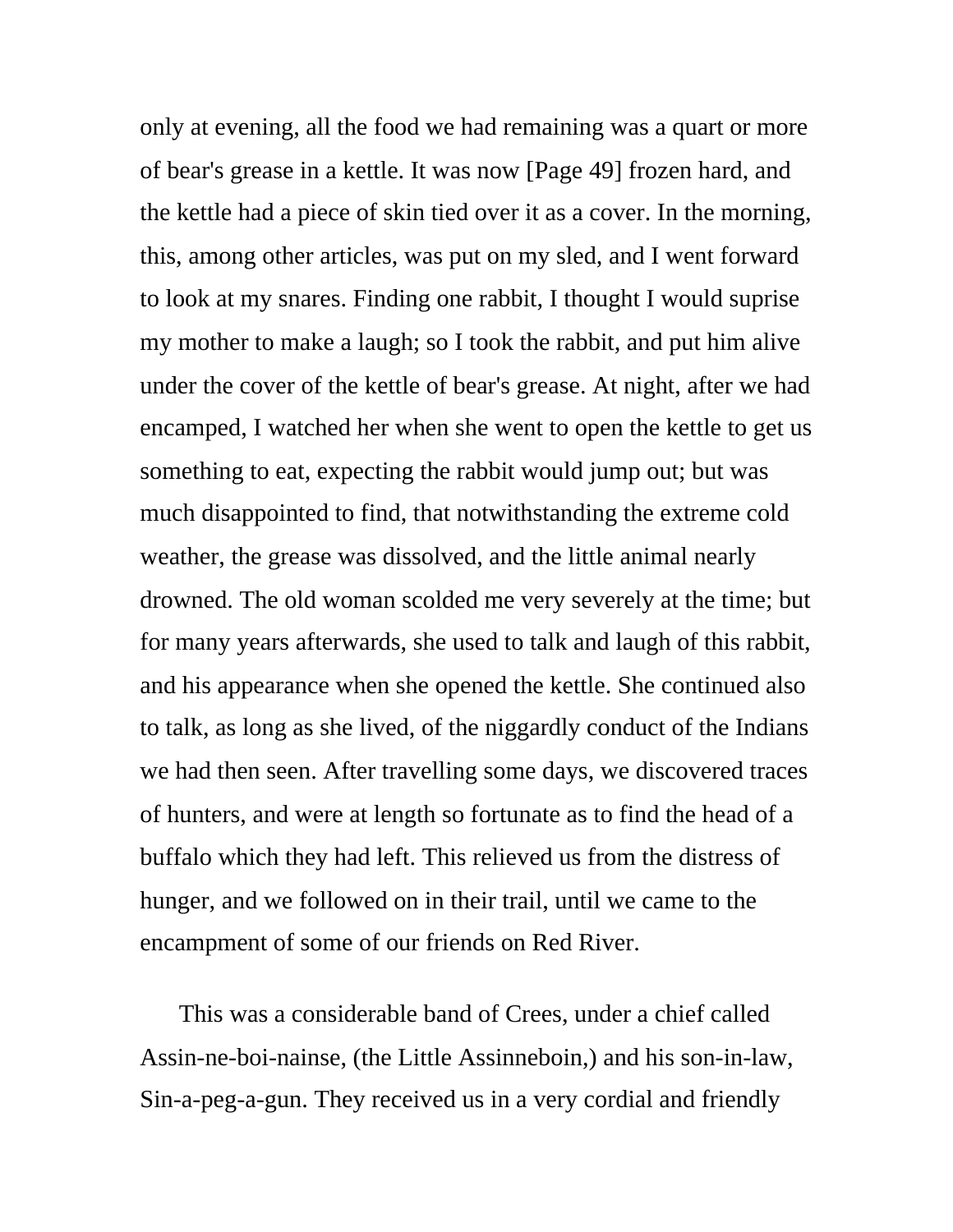only at evening, all the food we had remaining was a quart or more of bear's grease in a kettle. It was now [Page 49] frozen hard, and the kettle had a piece of skin tied over it as a cover. In the morning, this, among other articles, was put on my sled, and I went forward to look at my snares. Finding one rabbit, I thought I would suprise my mother to make a laugh; so I took the rabbit, and put him alive under the cover of the kettle of bear's grease. At night, after we had encamped, I watched her when she went to open the kettle to get us something to eat, expecting the rabbit would jump out; but was much disappointed to find, that notwithstanding the extreme cold weather, the grease was dissolved, and the little animal nearly drowned. The old woman scolded me very severely at the time; but for many years afterwards, she used to talk and laugh of this rabbit, and his appearance when she opened the kettle. She continued also to talk, as long as she lived, of the niggardly conduct of the Indians we had then seen. After travelling some days, we discovered traces of hunters, and were at length so fortunate as to find the head of a buffalo which they had left. This relieved us from the distress of hunger, and we followed on in their trail, until we came to the encampment of some of our friends on Red River.

This was a considerable band of Crees, under a chief called Assin-ne-boi-nainse, (the Little Assinneboin,) and his son-in-law, Sin-a-peg-a-gun. They received us in a very cordial and friendly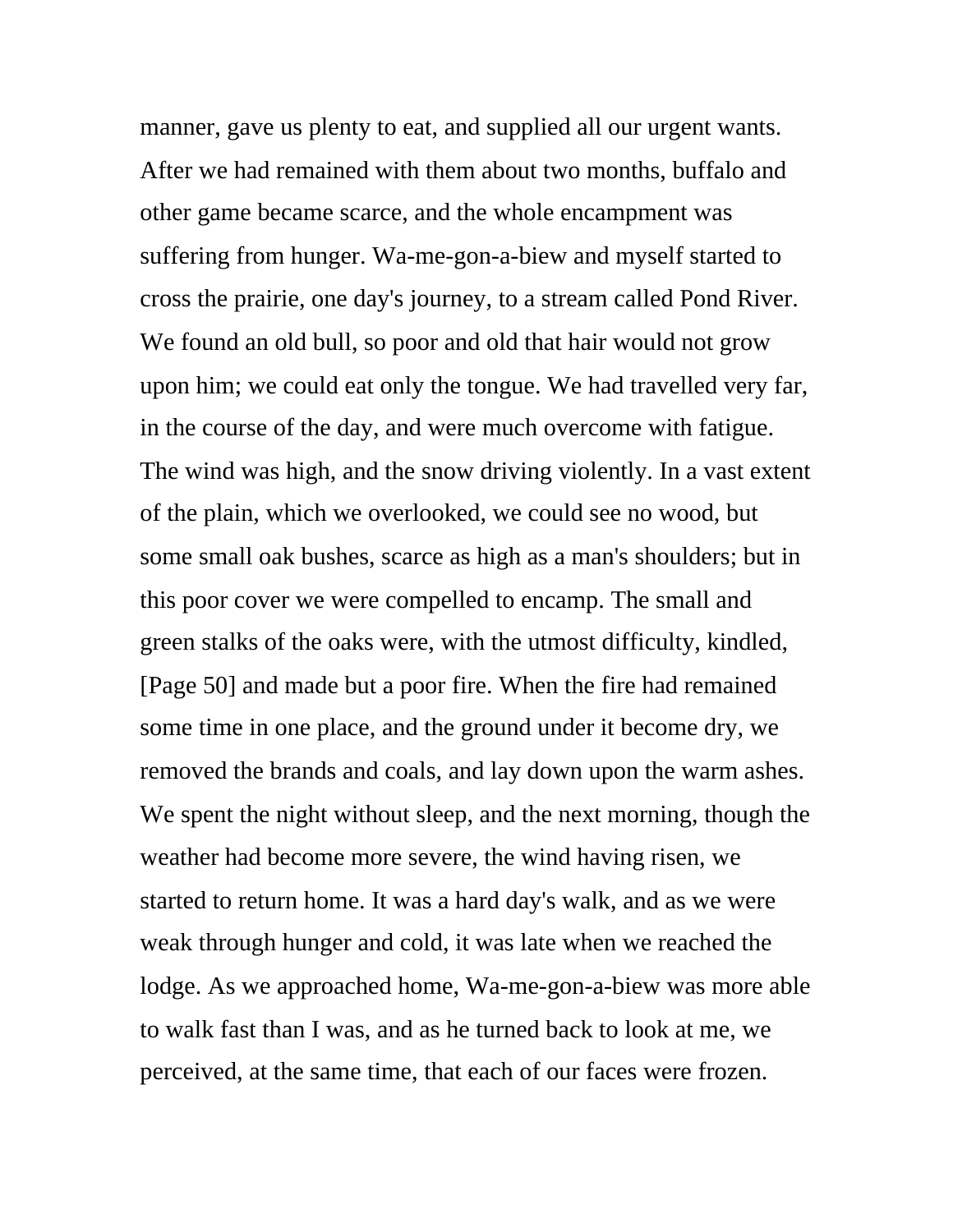manner, gave us plenty to eat, and supplied all our urgent wants. After we had remained with them about two months, buffalo and other game became scarce, and the whole encampment was suffering from hunger. Wa-me-gon-a-biew and myself started to cross the prairie, one day's journey, to a stream called Pond River. We found an old bull, so poor and old that hair would not grow upon him; we could eat only the tongue. We had travelled very far, in the course of the day, and were much overcome with fatigue. The wind was high, and the snow driving violently. In a vast extent of the plain, which we overlooked, we could see no wood, but some small oak bushes, scarce as high as a man's shoulders; but in this poor cover we were compelled to encamp. The small and green stalks of the oaks were, with the utmost difficulty, kindled, [Page 50] and made but a poor fire. When the fire had remained some time in one place, and the ground under it become dry, we removed the brands and coals, and lay down upon the warm ashes. We spent the night without sleep, and the next morning, though the weather had become more severe, the wind having risen, we started to return home. It was a hard day's walk, and as we were weak through hunger and cold, it was late when we reached the lodge. As we approached home, Wa-me-gon-a-biew was more able to walk fast than I was, and as he turned back to look at me, we perceived, at the same time, that each of our faces were frozen.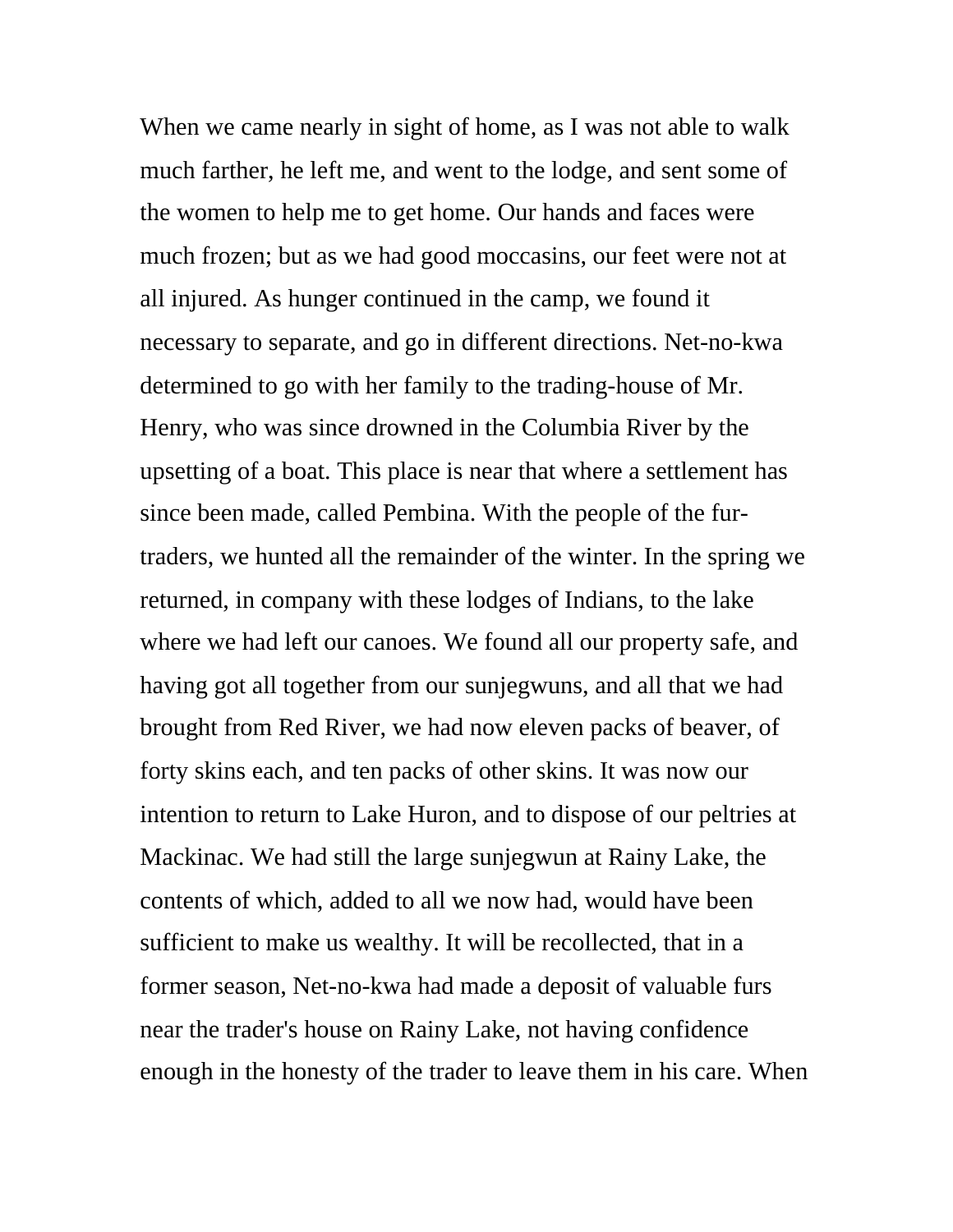When we came nearly in sight of home, as I was not able to walk much farther, he left me, and went to the lodge, and sent some of the women to help me to get home. Our hands and faces were much frozen; but as we had good moccasins, our feet were not at all injured. As hunger continued in the camp, we found it necessary to separate, and go in different directions. Net-no-kwa determined to go with her family to the trading-house of Mr. Henry, who was since drowned in the Columbia River by the upsetting of a boat. This place is near that where a settlement has since been made, called Pembina. With the people of the furtraders, we hunted all the remainder of the winter. In the spring we returned, in company with these lodges of Indians, to the lake where we had left our canoes. We found all our property safe, and having got all together from our sunjegwuns, and all that we had brought from Red River, we had now eleven packs of beaver, of forty skins each, and ten packs of other skins. It was now our intention to return to Lake Huron, and to dispose of our peltries at Mackinac. We had still the large sunjegwun at Rainy Lake, the contents of which, added to all we now had, would have been sufficient to make us wealthy. It will be recollected, that in a former season, Net-no-kwa had made a deposit of valuable furs near the trader's house on Rainy Lake, not having confidence enough in the honesty of the trader to leave them in his care. When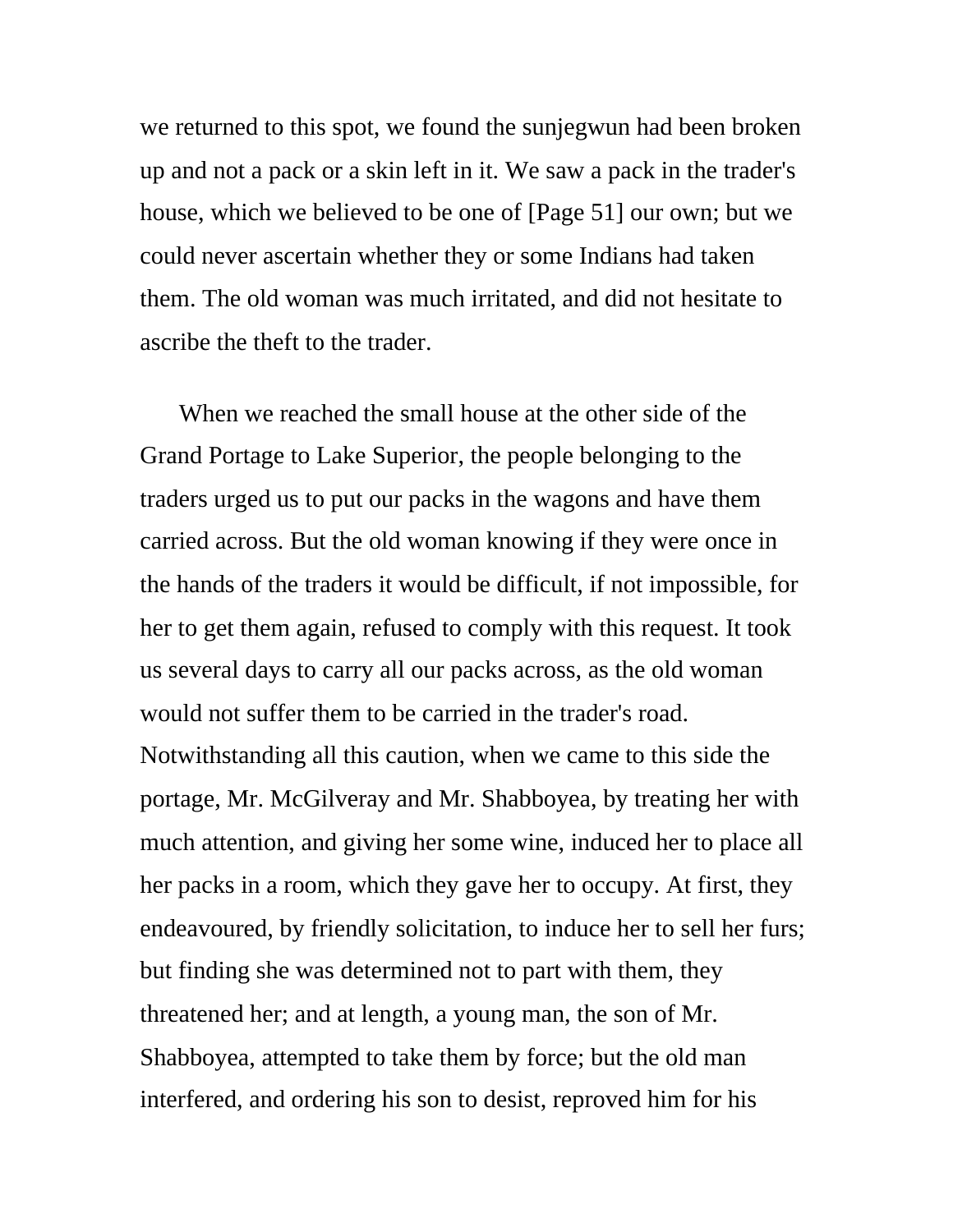we returned to this spot, we found the sunjegwun had been broken up and not a pack or a skin left in it. We saw a pack in the trader's house, which we believed to be one of [Page 51] our own; but we could never ascertain whether they or some Indians had taken them. The old woman was much irritated, and did not hesitate to ascribe the theft to the trader.

When we reached the small house at the other side of the Grand Portage to Lake Superior, the people belonging to the traders urged us to put our packs in the wagons and have them carried across. But the old woman knowing if they were once in the hands of the traders it would be difficult, if not impossible, for her to get them again, refused to comply with this request. It took us several days to carry all our packs across, as the old woman would not suffer them to be carried in the trader's road. Notwithstanding all this caution, when we came to this side the portage, Mr. McGilveray and Mr. Shabboyea, by treating her with much attention, and giving her some wine, induced her to place all her packs in a room, which they gave her to occupy. At first, they endeavoured, by friendly solicitation, to induce her to sell her furs; but finding she was determined not to part with them, they threatened her; and at length, a young man, the son of Mr. Shabboyea, attempted to take them by force; but the old man interfered, and ordering his son to desist, reproved him for his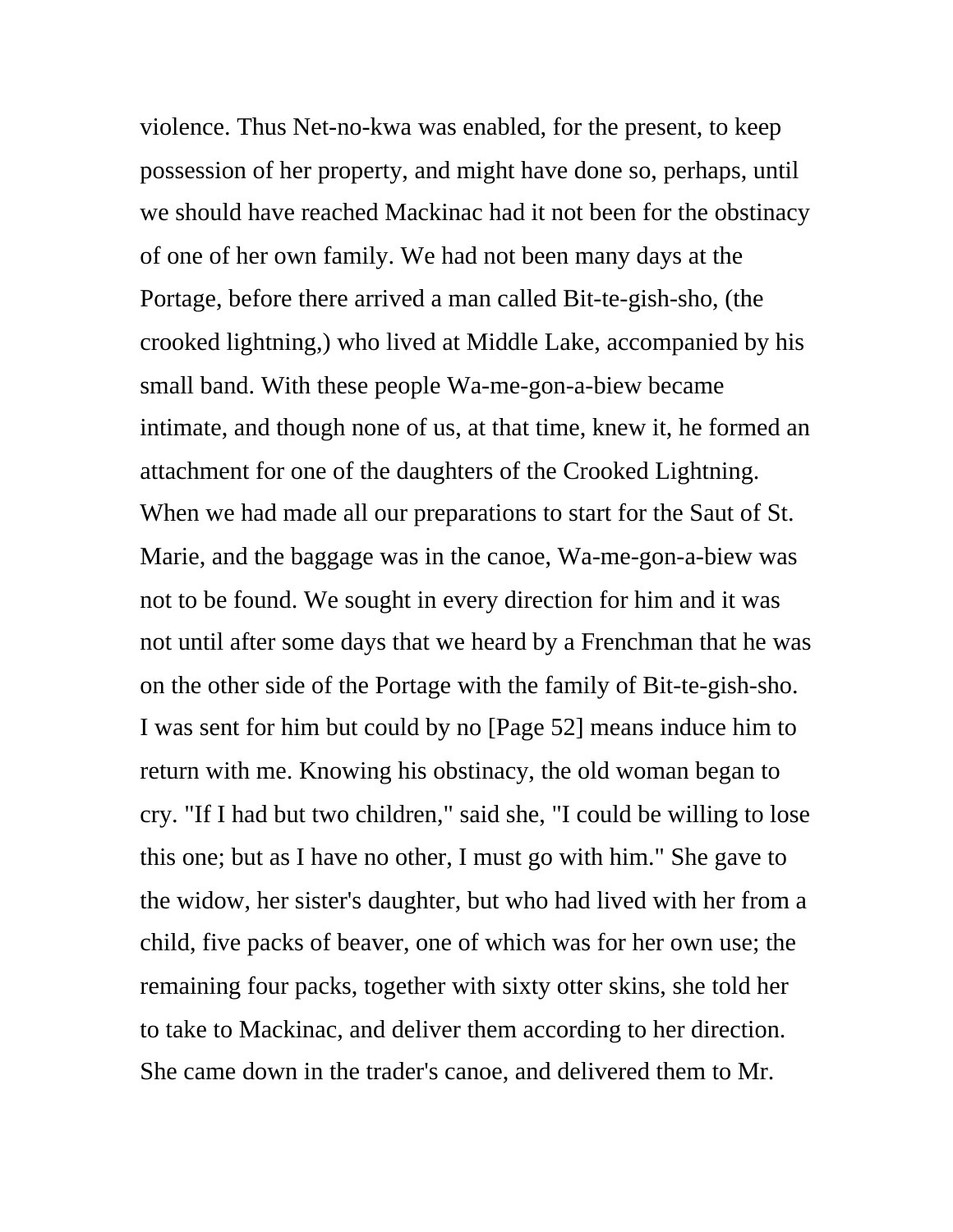violence. Thus Net-no-kwa was enabled, for the present, to keep possession of her property, and might have done so, perhaps, until we should have reached Mackinac had it not been for the obstinacy of one of her own family. We had not been many days at the Portage, before there arrived a man called Bit-te-gish-sho, (the crooked lightning,) who lived at Middle Lake, accompanied by his small band. With these people Wa-me-gon-a-biew became intimate, and though none of us, at that time, knew it, he formed an attachment for one of the daughters of the Crooked Lightning. When we had made all our preparations to start for the Saut of St. Marie, and the baggage was in the canoe, Wa-me-gon-a-biew was not to be found. We sought in every direction for him and it was not until after some days that we heard by a Frenchman that he was on the other side of the Portage with the family of Bit-te-gish-sho. I was sent for him but could by no [Page 52] means induce him to return with me. Knowing his obstinacy, the old woman began to cry. "If I had but two children," said she, "I could be willing to lose this one; but as I have no other, I must go with him." She gave to the widow, her sister's daughter, but who had lived with her from a child, five packs of beaver, one of which was for her own use; the remaining four packs, together with sixty otter skins, she told her to take to Mackinac, and deliver them according to her direction. She came down in the trader's canoe, and delivered them to Mr.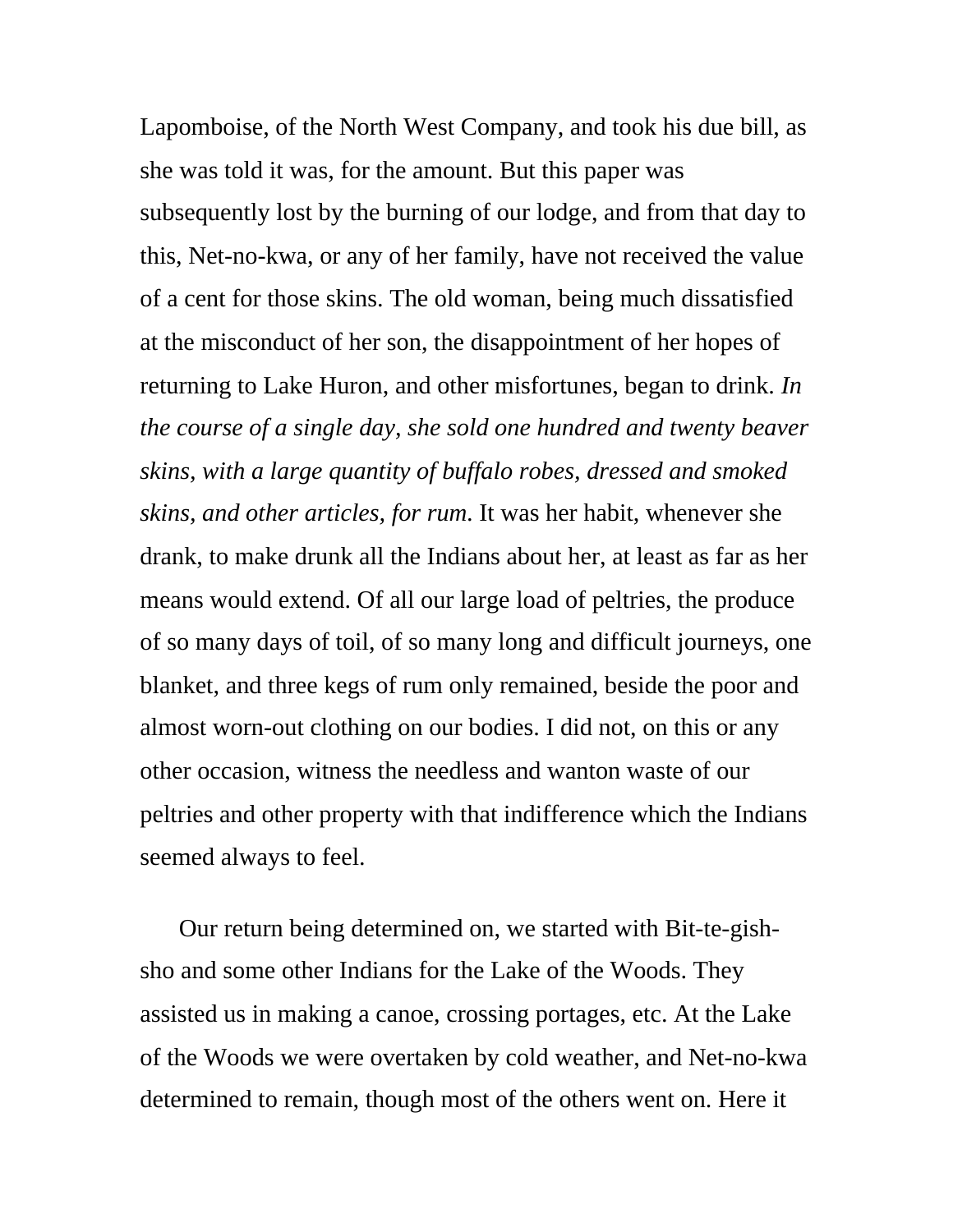Lapomboise, of the North West Company, and took his due bill, as she was told it was, for the amount. But this paper was subsequently lost by the burning of our lodge, and from that day to this, Net-no-kwa, or any of her family, have not received the value of a cent for those skins. The old woman, being much dissatisfied at the misconduct of her son, the disappointment of her hopes of returning to Lake Huron, and other misfortunes, began to drink. *In the course of a single day, she sold one hundred and twenty beaver skins, with a large quantity of buffalo robes, dressed and smoked skins, and other articles, for rum*. It was her habit, whenever she drank, to make drunk all the Indians about her, at least as far as her means would extend. Of all our large load of peltries, the produce of so many days of toil, of so many long and difficult journeys, one blanket, and three kegs of rum only remained, beside the poor and almost worn-out clothing on our bodies. I did not, on this or any other occasion, witness the needless and wanton waste of our peltries and other property with that indifference which the Indians seemed always to feel.

Our return being determined on, we started with Bit-te-gishsho and some other Indians for the Lake of the Woods. They assisted us in making a canoe, crossing portages, etc. At the Lake of the Woods we were overtaken by cold weather, and Net-no-kwa determined to remain, though most of the others went on. Here it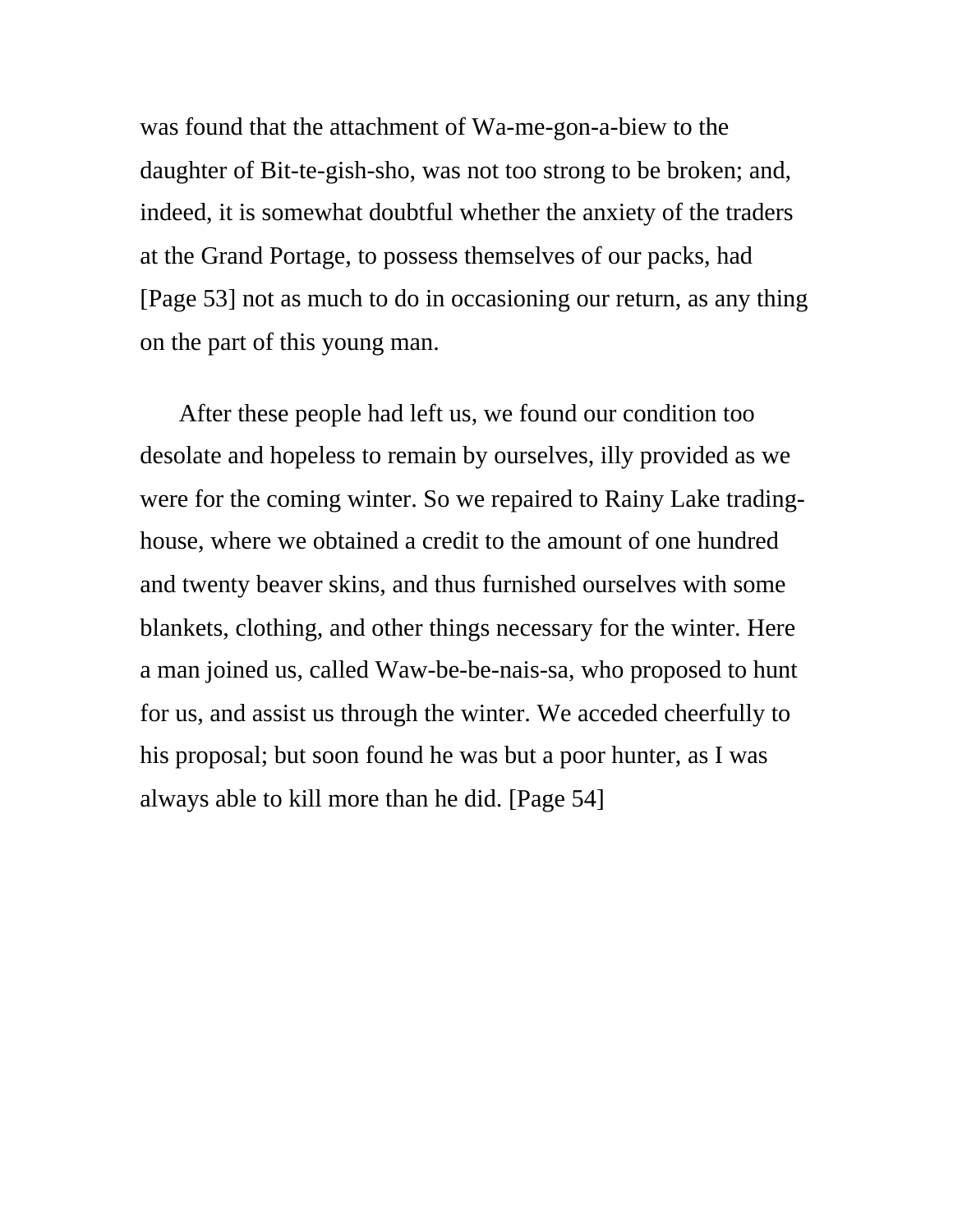was found that the attachment of Wa-me-gon-a-biew to the daughter of Bit-te-gish-sho, was not too strong to be broken; and, indeed, it is somewhat doubtful whether the anxiety of the traders at the Grand Portage, to possess themselves of our packs, had [Page 53] not as much to do in occasioning our return, as any thing on the part of this young man.

After these people had left us, we found our condition too desolate and hopeless to remain by ourselves, illy provided as we were for the coming winter. So we repaired to Rainy Lake tradinghouse, where we obtained a credit to the amount of one hundred and twenty beaver skins, and thus furnished ourselves with some blankets, clothing, and other things necessary for the winter. Here a man joined us, called Waw-be-be-nais-sa, who proposed to hunt for us, and assist us through the winter. We acceded cheerfully to his proposal; but soon found he was but a poor hunter, as I was always able to kill more than he did. [Page 54]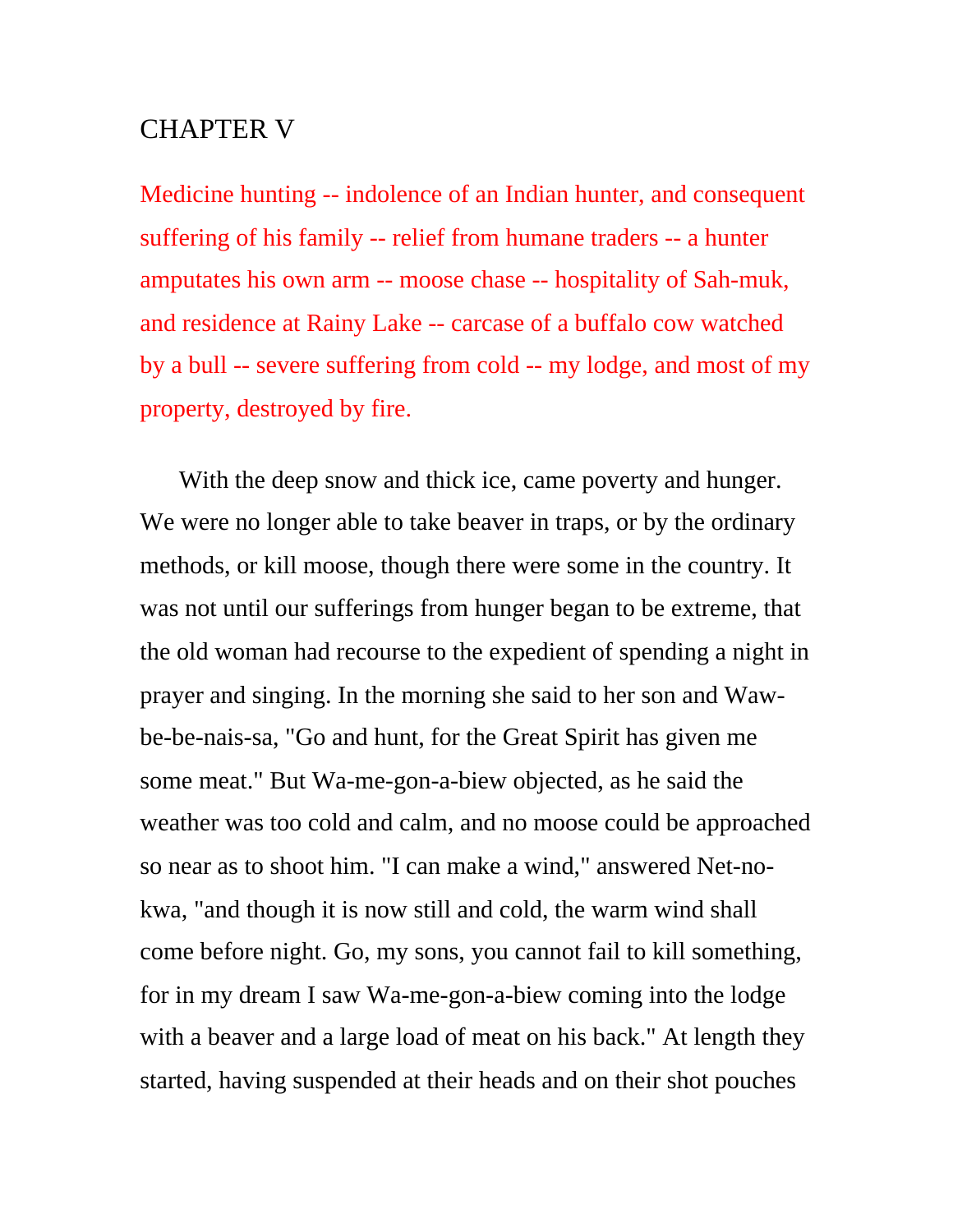## CHAPTER V

Medicine hunting -- indolence of an Indian hunter, and consequent suffering of his family -- relief from humane traders -- a hunter amputates his own arm -- moose chase -- hospitality of Sah-muk, and residence at Rainy Lake -- carcase of a buffalo cow watched by a bull -- severe suffering from cold -- my lodge, and most of my property, destroyed by fire.

With the deep snow and thick ice, came poverty and hunger. We were no longer able to take beaver in traps, or by the ordinary methods, or kill moose, though there were some in the country. It was not until our sufferings from hunger began to be extreme, that the old woman had recourse to the expedient of spending a night in prayer and singing. In the morning she said to her son and Wawbe-be-nais-sa, "Go and hunt, for the Great Spirit has given me some meat." But Wa-me-gon-a-biew objected, as he said the weather was too cold and calm, and no moose could be approached so near as to shoot him. "I can make a wind," answered Net-nokwa, "and though it is now still and cold, the warm wind shall come before night. Go, my sons, you cannot fail to kill something, for in my dream I saw Wa-me-gon-a-biew coming into the lodge with a beaver and a large load of meat on his back." At length they started, having suspended at their heads and on their shot pouches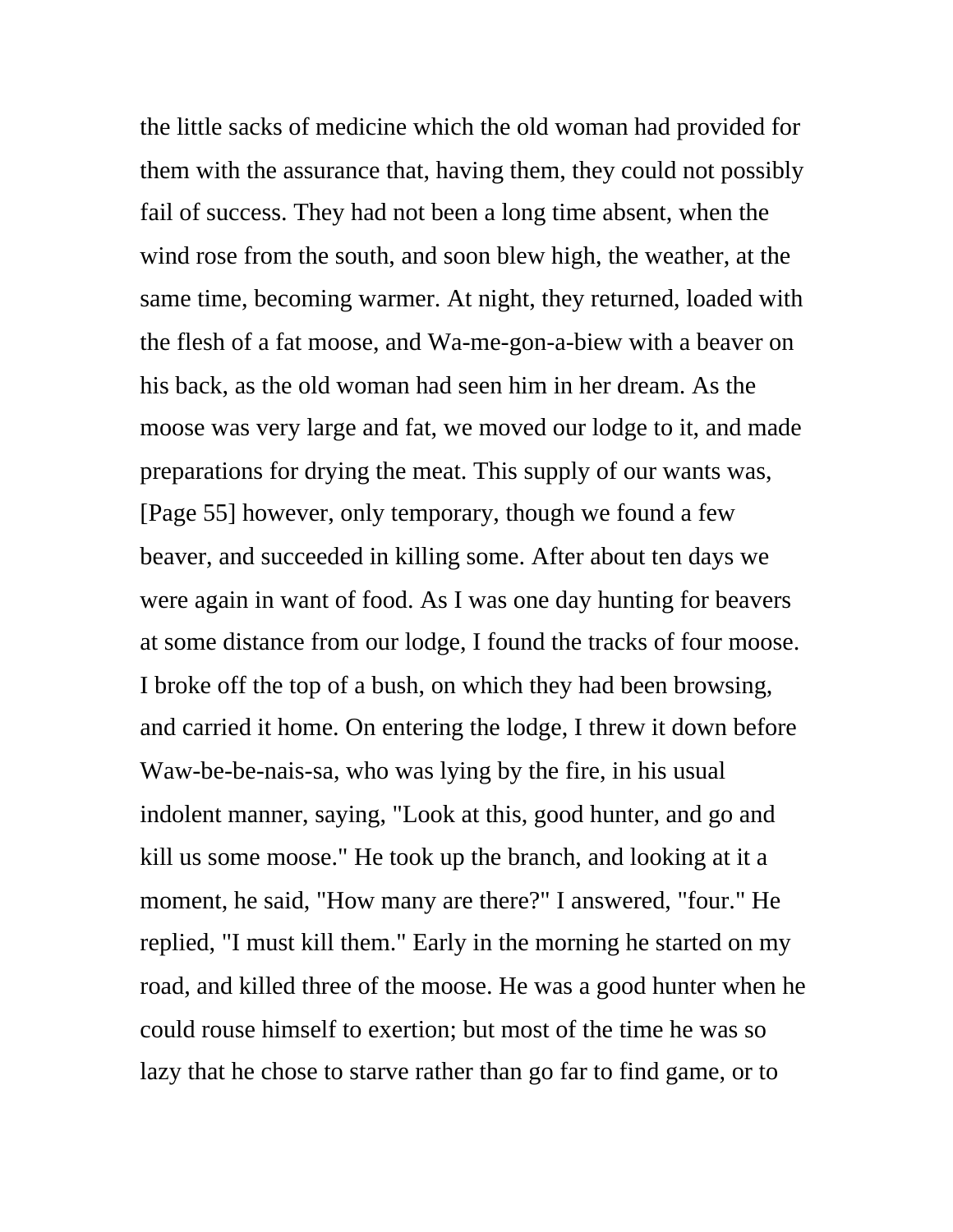the little sacks of medicine which the old woman had provided for them with the assurance that, having them, they could not possibly fail of success. They had not been a long time absent, when the wind rose from the south, and soon blew high, the weather, at the same time, becoming warmer. At night, they returned, loaded with the flesh of a fat moose, and Wa-me-gon-a-biew with a beaver on his back, as the old woman had seen him in her dream. As the moose was very large and fat, we moved our lodge to it, and made preparations for drying the meat. This supply of our wants was, [Page 55] however, only temporary, though we found a few beaver, and succeeded in killing some. After about ten days we were again in want of food. As I was one day hunting for beavers at some distance from our lodge, I found the tracks of four moose. I broke off the top of a bush, on which they had been browsing, and carried it home. On entering the lodge, I threw it down before Waw-be-be-nais-sa, who was lying by the fire, in his usual indolent manner, saying, "Look at this, good hunter, and go and kill us some moose." He took up the branch, and looking at it a moment, he said, "How many are there?" I answered, "four." He replied, "I must kill them." Early in the morning he started on my road, and killed three of the moose. He was a good hunter when he could rouse himself to exertion; but most of the time he was so lazy that he chose to starve rather than go far to find game, or to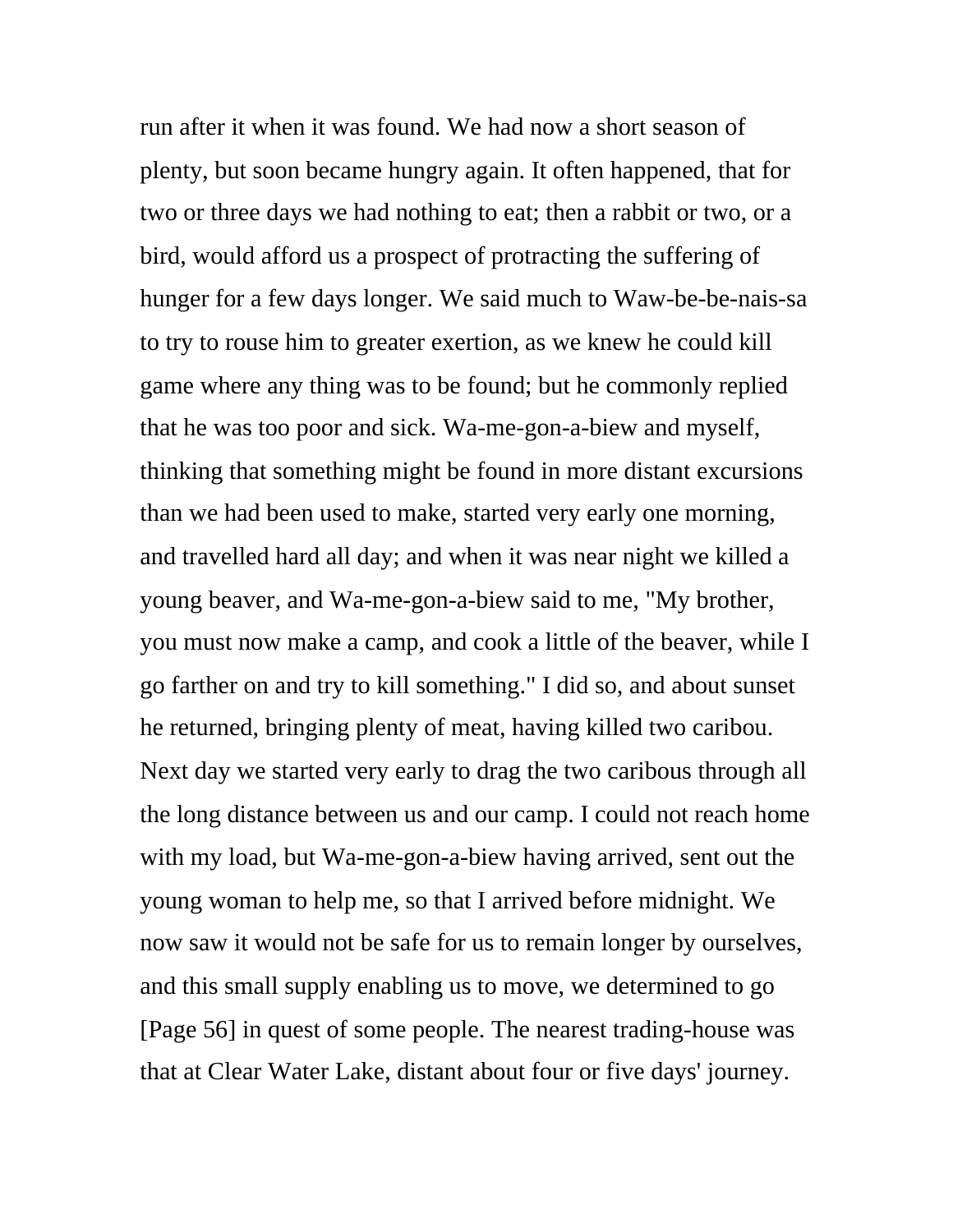run after it when it was found. We had now a short season of plenty, but soon became hungry again. It often happened, that for two or three days we had nothing to eat; then a rabbit or two, or a bird, would afford us a prospect of protracting the suffering of hunger for a few days longer. We said much to Waw-be-be-nais-sa to try to rouse him to greater exertion, as we knew he could kill game where any thing was to be found; but he commonly replied that he was too poor and sick. Wa-me-gon-a-biew and myself, thinking that something might be found in more distant excursions than we had been used to make, started very early one morning, and travelled hard all day; and when it was near night we killed a young beaver, and Wa-me-gon-a-biew said to me, "My brother, you must now make a camp, and cook a little of the beaver, while I go farther on and try to kill something." I did so, and about sunset he returned, bringing plenty of meat, having killed two caribou. Next day we started very early to drag the two caribous through all the long distance between us and our camp. I could not reach home with my load, but Wa-me-gon-a-biew having arrived, sent out the young woman to help me, so that I arrived before midnight. We now saw it would not be safe for us to remain longer by ourselves, and this small supply enabling us to move, we determined to go [Page 56] in quest of some people. The nearest trading-house was that at Clear Water Lake, distant about four or five days' journey.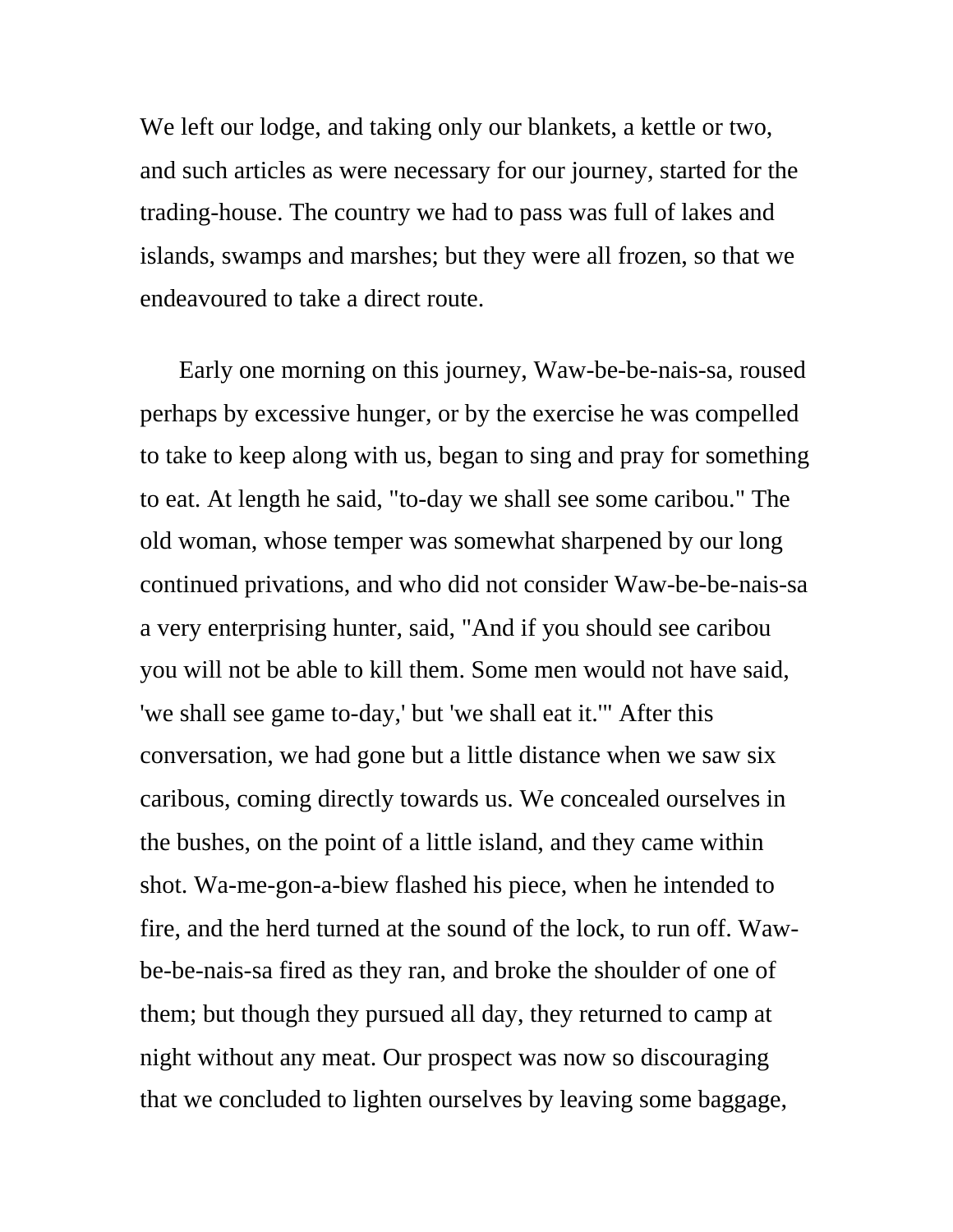We left our lodge, and taking only our blankets, a kettle or two, and such articles as were necessary for our journey, started for the trading-house. The country we had to pass was full of lakes and islands, swamps and marshes; but they were all frozen, so that we endeavoured to take a direct route.

Early one morning on this journey, Waw-be-be-nais-sa, roused perhaps by excessive hunger, or by the exercise he was compelled to take to keep along with us, began to sing and pray for something to eat. At length he said, "to-day we shall see some caribou." The old woman, whose temper was somewhat sharpened by our long continued privations, and who did not consider Waw-be-be-nais-sa a very enterprising hunter, said, "And if you should see caribou you will not be able to kill them. Some men would not have said, 'we shall see game to-day,' but 'we shall eat it.'" After this conversation, we had gone but a little distance when we saw six caribous, coming directly towards us. We concealed ourselves in the bushes, on the point of a little island, and they came within shot. Wa-me-gon-a-biew flashed his piece, when he intended to fire, and the herd turned at the sound of the lock, to run off. Wawbe-be-nais-sa fired as they ran, and broke the shoulder of one of them; but though they pursued all day, they returned to camp at night without any meat. Our prospect was now so discouraging that we concluded to lighten ourselves by leaving some baggage,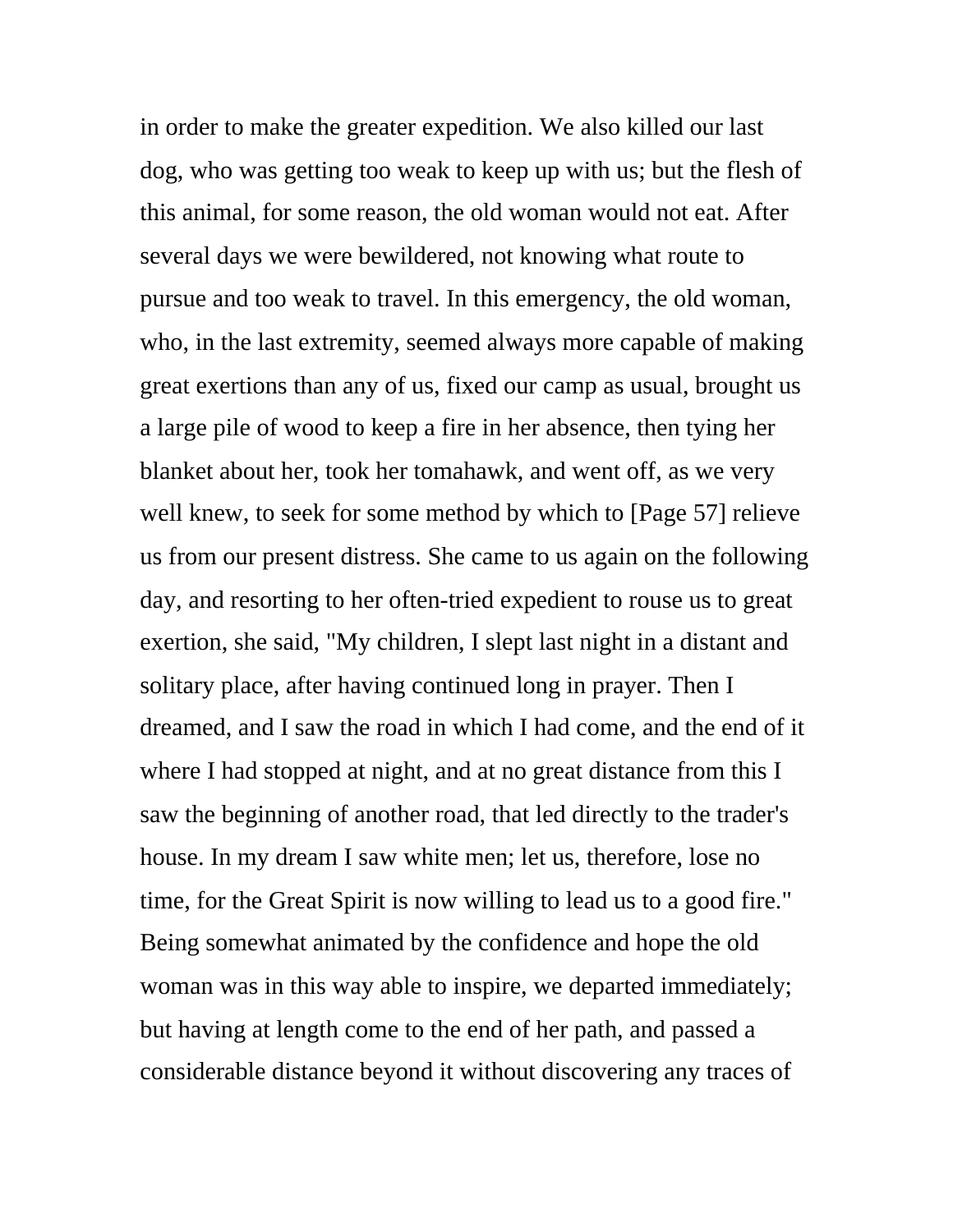in order to make the greater expedition. We also killed our last dog, who was getting too weak to keep up with us; but the flesh of this animal, for some reason, the old woman would not eat. After several days we were bewildered, not knowing what route to pursue and too weak to travel. In this emergency, the old woman, who, in the last extremity, seemed always more capable of making great exertions than any of us, fixed our camp as usual, brought us a large pile of wood to keep a fire in her absence, then tying her blanket about her, took her tomahawk, and went off, as we very well knew, to seek for some method by which to [Page 57] relieve us from our present distress. She came to us again on the following day, and resorting to her often-tried expedient to rouse us to great exertion, she said, "My children, I slept last night in a distant and solitary place, after having continued long in prayer. Then I dreamed, and I saw the road in which I had come, and the end of it where I had stopped at night, and at no great distance from this I saw the beginning of another road, that led directly to the trader's house. In my dream I saw white men; let us, therefore, lose no time, for the Great Spirit is now willing to lead us to a good fire." Being somewhat animated by the confidence and hope the old woman was in this way able to inspire, we departed immediately; but having at length come to the end of her path, and passed a considerable distance beyond it without discovering any traces of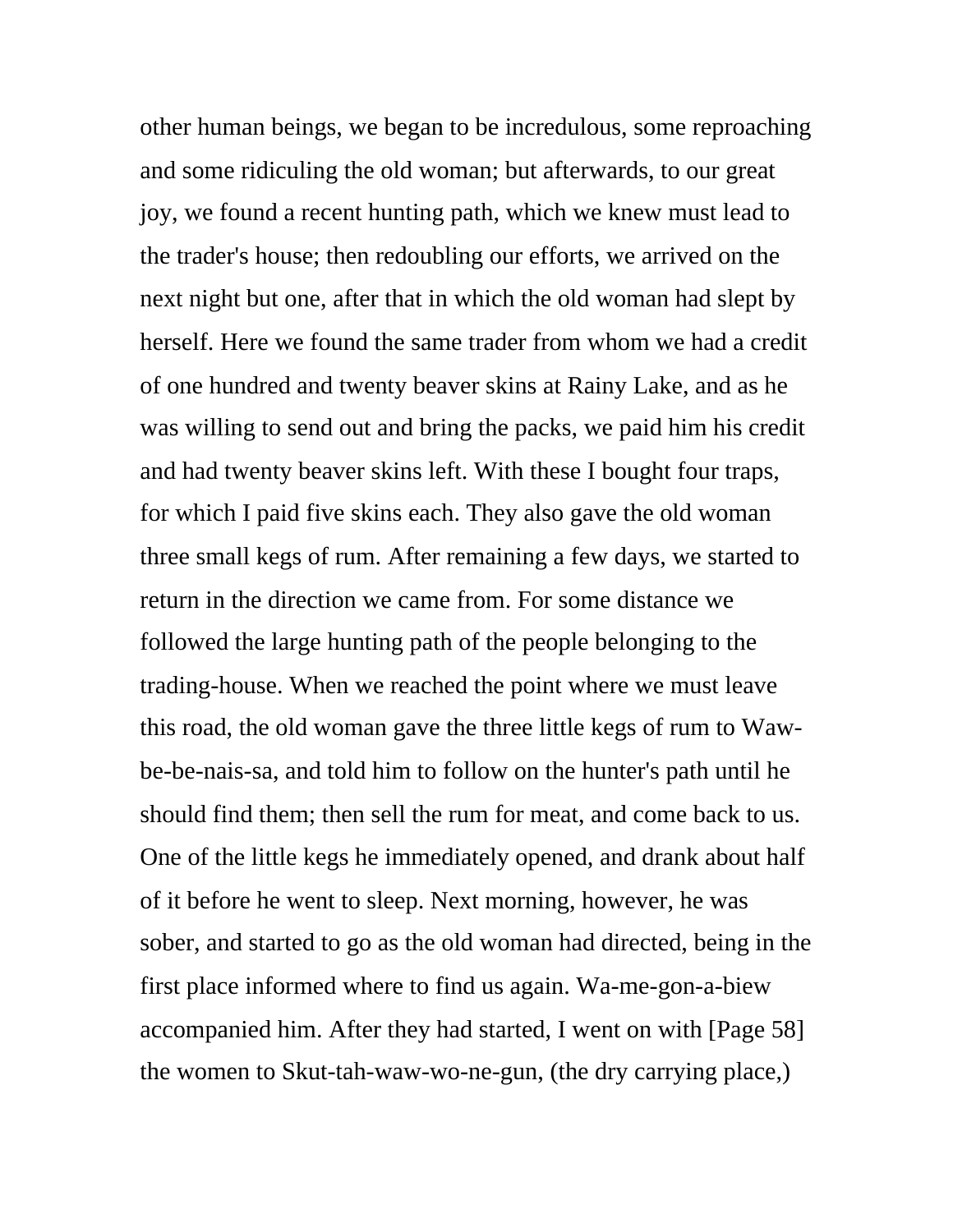other human beings, we began to be incredulous, some reproaching and some ridiculing the old woman; but afterwards, to our great joy, we found a recent hunting path, which we knew must lead to the trader's house; then redoubling our efforts, we arrived on the next night but one, after that in which the old woman had slept by herself. Here we found the same trader from whom we had a credit of one hundred and twenty beaver skins at Rainy Lake, and as he was willing to send out and bring the packs, we paid him his credit and had twenty beaver skins left. With these I bought four traps, for which I paid five skins each. They also gave the old woman three small kegs of rum. After remaining a few days, we started to return in the direction we came from. For some distance we followed the large hunting path of the people belonging to the trading-house. When we reached the point where we must leave this road, the old woman gave the three little kegs of rum to Wawbe-be-nais-sa, and told him to follow on the hunter's path until he should find them; then sell the rum for meat, and come back to us. One of the little kegs he immediately opened, and drank about half of it before he went to sleep. Next morning, however, he was sober, and started to go as the old woman had directed, being in the first place informed where to find us again. Wa-me-gon-a-biew accompanied him. After they had started, I went on with [Page 58] the women to Skut-tah-waw-wo-ne-gun, (the dry carrying place,)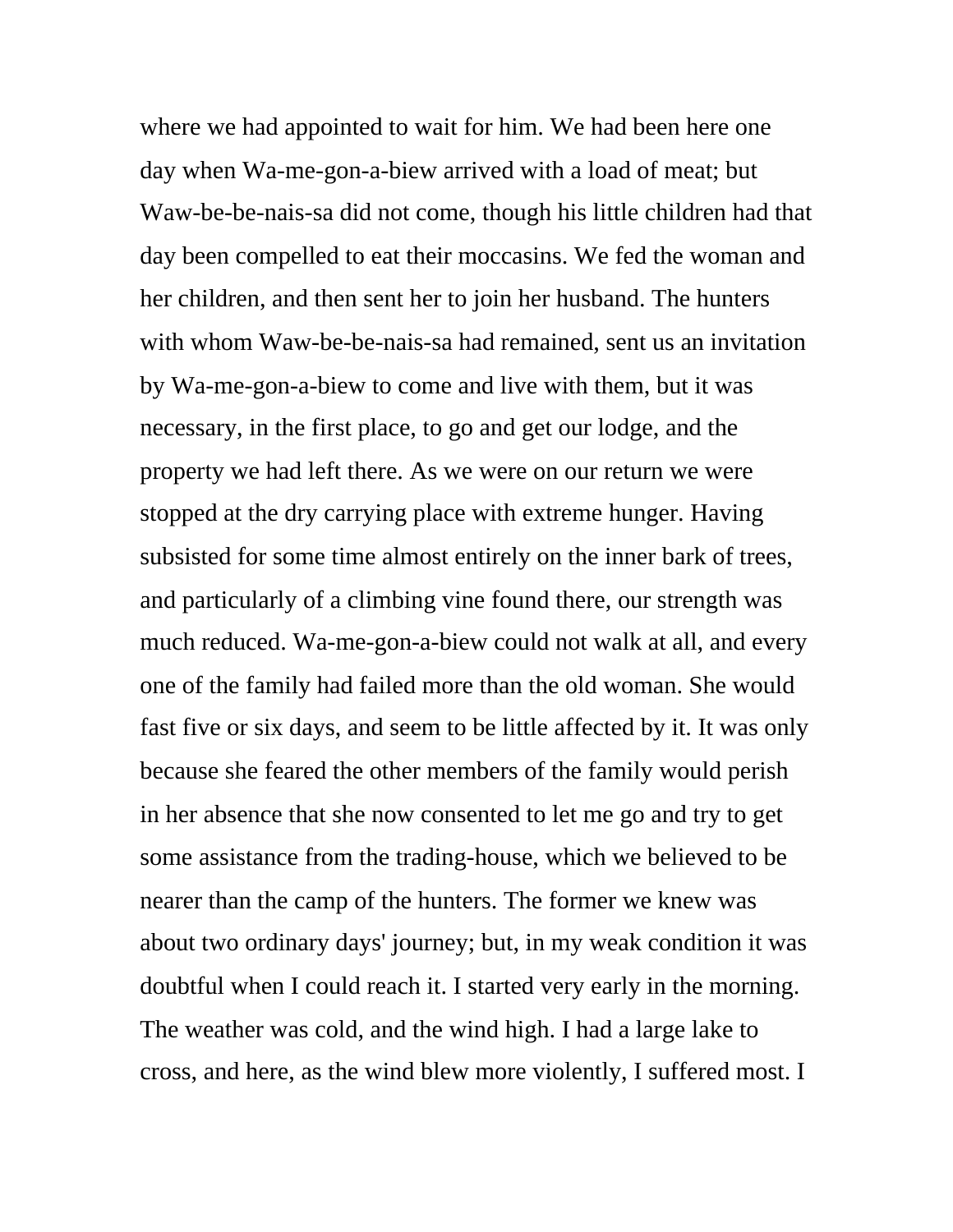where we had appointed to wait for him. We had been here one day when Wa-me-gon-a-biew arrived with a load of meat; but Waw-be-be-nais-sa did not come, though his little children had that day been compelled to eat their moccasins. We fed the woman and her children, and then sent her to join her husband. The hunters with whom Waw-be-be-nais-sa had remained, sent us an invitation by Wa-me-gon-a-biew to come and live with them, but it was necessary, in the first place, to go and get our lodge, and the property we had left there. As we were on our return we were stopped at the dry carrying place with extreme hunger. Having subsisted for some time almost entirely on the inner bark of trees, and particularly of a climbing vine found there, our strength was much reduced. Wa-me-gon-a-biew could not walk at all, and every one of the family had failed more than the old woman. She would fast five or six days, and seem to be little affected by it. It was only because she feared the other members of the family would perish in her absence that she now consented to let me go and try to get some assistance from the trading-house, which we believed to be nearer than the camp of the hunters. The former we knew was about two ordinary days' journey; but, in my weak condition it was doubtful when I could reach it. I started very early in the morning. The weather was cold, and the wind high. I had a large lake to cross, and here, as the wind blew more violently, I suffered most. I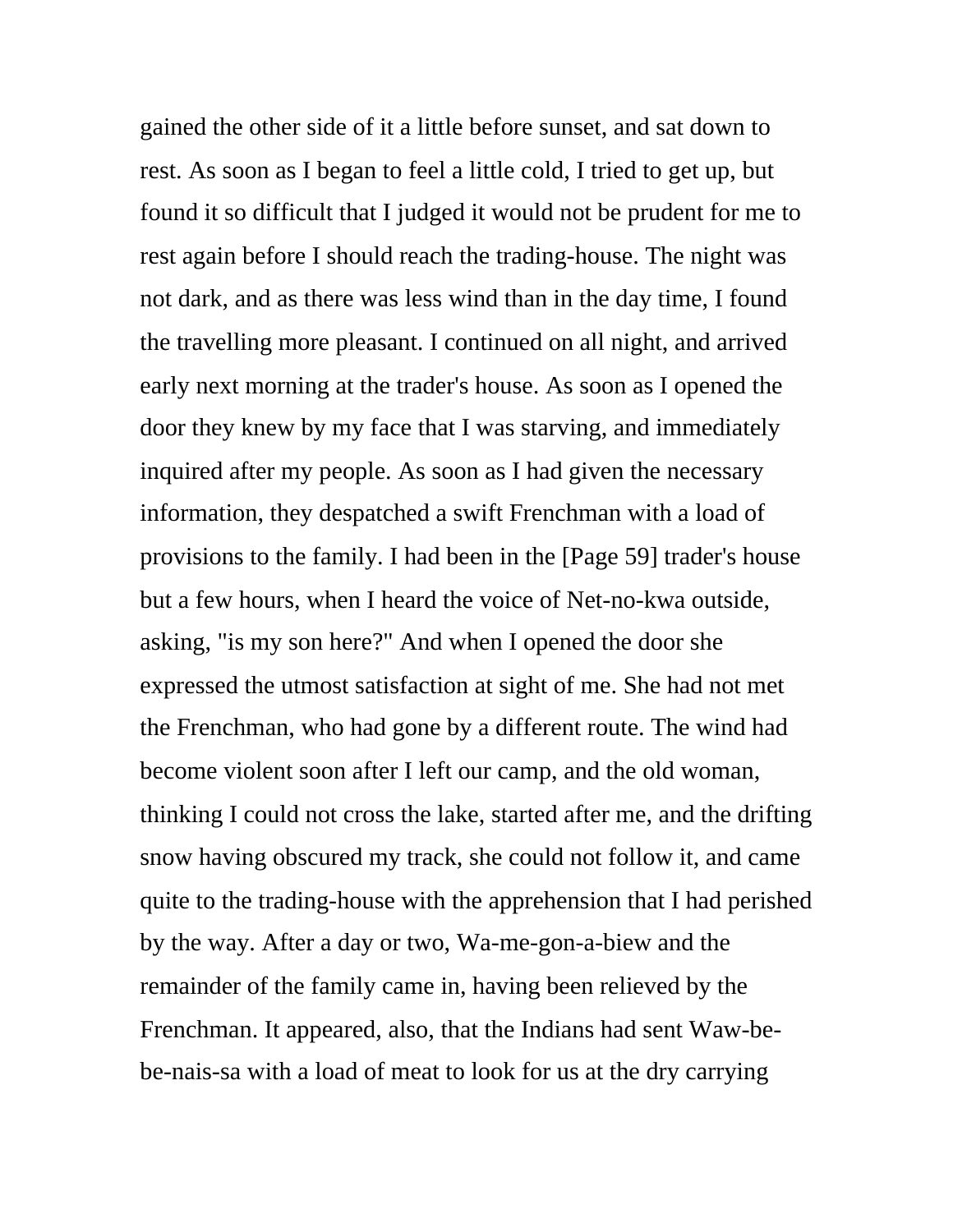gained the other side of it a little before sunset, and sat down to rest. As soon as I began to feel a little cold, I tried to get up, but found it so difficult that I judged it would not be prudent for me to rest again before I should reach the trading-house. The night was not dark, and as there was less wind than in the day time, I found the travelling more pleasant. I continued on all night, and arrived early next morning at the trader's house. As soon as I opened the door they knew by my face that I was starving, and immediately inquired after my people. As soon as I had given the necessary information, they despatched a swift Frenchman with a load of provisions to the family. I had been in the [Page 59] trader's house but a few hours, when I heard the voice of Net-no-kwa outside, asking, "is my son here?" And when I opened the door she expressed the utmost satisfaction at sight of me. She had not met the Frenchman, who had gone by a different route. The wind had become violent soon after I left our camp, and the old woman, thinking I could not cross the lake, started after me, and the drifting snow having obscured my track, she could not follow it, and came quite to the trading-house with the apprehension that I had perished by the way. After a day or two, Wa-me-gon-a-biew and the remainder of the family came in, having been relieved by the Frenchman. It appeared, also, that the Indians had sent Waw-bebe-nais-sa with a load of meat to look for us at the dry carrying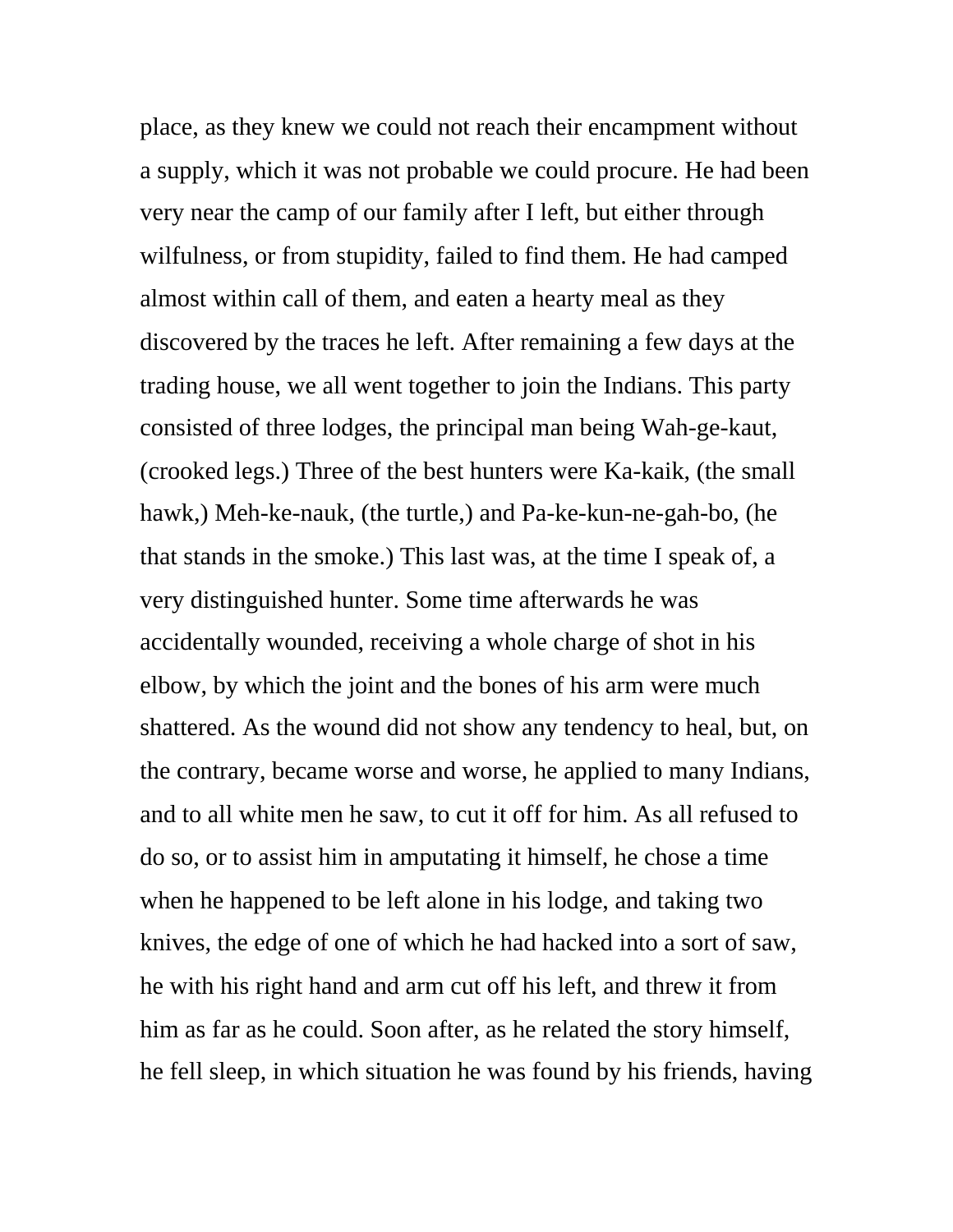place, as they knew we could not reach their encampment without a supply, which it was not probable we could procure. He had been very near the camp of our family after I left, but either through wilfulness, or from stupidity, failed to find them. He had camped almost within call of them, and eaten a hearty meal as they discovered by the traces he left. After remaining a few days at the trading house, we all went together to join the Indians. This party consisted of three lodges, the principal man being Wah-ge-kaut, (crooked legs.) Three of the best hunters were Ka-kaik, (the small hawk,) Meh-ke-nauk, (the turtle,) and Pa-ke-kun-ne-gah-bo, (he that stands in the smoke.) This last was, at the time I speak of, a very distinguished hunter. Some time afterwards he was accidentally wounded, receiving a whole charge of shot in his elbow, by which the joint and the bones of his arm were much shattered. As the wound did not show any tendency to heal, but, on the contrary, became worse and worse, he applied to many Indians, and to all white men he saw, to cut it off for him. As all refused to do so, or to assist him in amputating it himself, he chose a time when he happened to be left alone in his lodge, and taking two knives, the edge of one of which he had hacked into a sort of saw, he with his right hand and arm cut off his left, and threw it from him as far as he could. Soon after, as he related the story himself, he fell sleep, in which situation he was found by his friends, having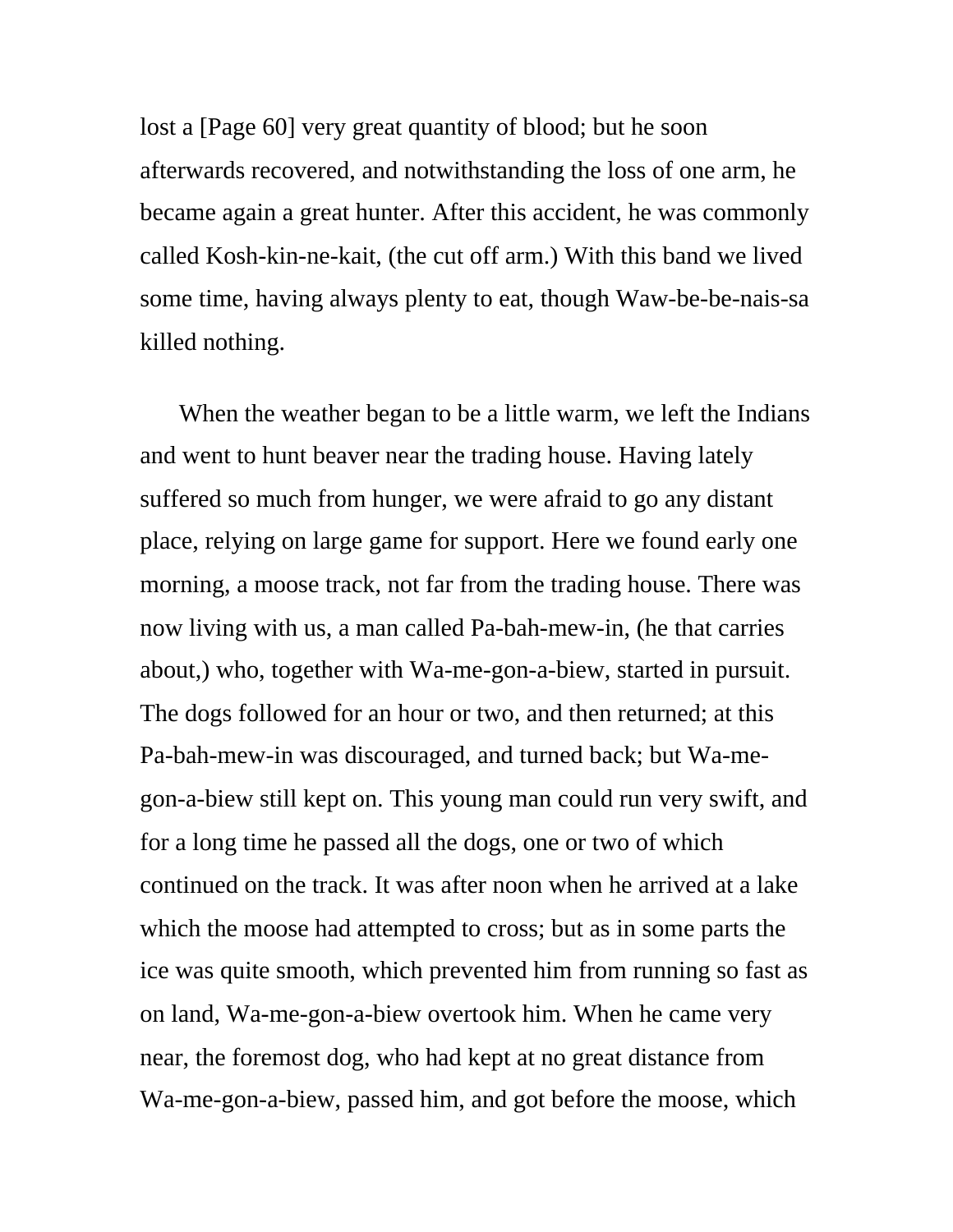lost a [Page 60] very great quantity of blood; but he soon afterwards recovered, and notwithstanding the loss of one arm, he became again a great hunter. After this accident, he was commonly called Kosh-kin-ne-kait, (the cut off arm.) With this band we lived some time, having always plenty to eat, though Waw-be-be-nais-sa killed nothing.

When the weather began to be a little warm, we left the Indians and went to hunt beaver near the trading house. Having lately suffered so much from hunger, we were afraid to go any distant place, relying on large game for support. Here we found early one morning, a moose track, not far from the trading house. There was now living with us, a man called Pa-bah-mew-in, (he that carries about,) who, together with Wa-me-gon-a-biew, started in pursuit. The dogs followed for an hour or two, and then returned; at this Pa-bah-mew-in was discouraged, and turned back; but Wa-megon-a-biew still kept on. This young man could run very swift, and for a long time he passed all the dogs, one or two of which continued on the track. It was after noon when he arrived at a lake which the moose had attempted to cross; but as in some parts the ice was quite smooth, which prevented him from running so fast as on land, Wa-me-gon-a-biew overtook him. When he came very near, the foremost dog, who had kept at no great distance from Wa-me-gon-a-biew, passed him, and got before the moose, which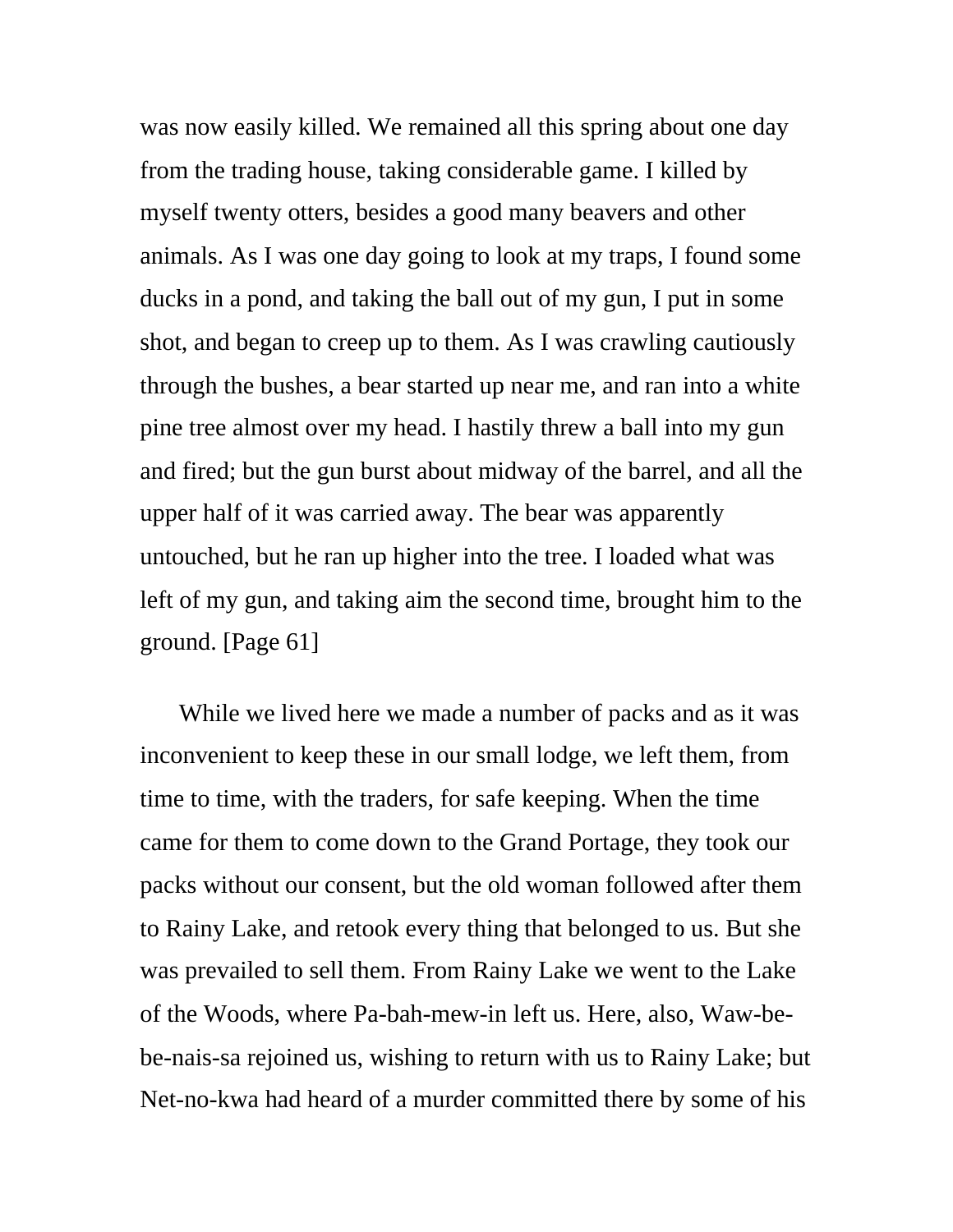was now easily killed. We remained all this spring about one day from the trading house, taking considerable game. I killed by myself twenty otters, besides a good many beavers and other animals. As I was one day going to look at my traps, I found some ducks in a pond, and taking the ball out of my gun, I put in some shot, and began to creep up to them. As I was crawling cautiously through the bushes, a bear started up near me, and ran into a white pine tree almost over my head. I hastily threw a ball into my gun and fired; but the gun burst about midway of the barrel, and all the upper half of it was carried away. The bear was apparently untouched, but he ran up higher into the tree. I loaded what was left of my gun, and taking aim the second time, brought him to the ground. [Page 61]

While we lived here we made a number of packs and as it was inconvenient to keep these in our small lodge, we left them, from time to time, with the traders, for safe keeping. When the time came for them to come down to the Grand Portage, they took our packs without our consent, but the old woman followed after them to Rainy Lake, and retook every thing that belonged to us. But she was prevailed to sell them. From Rainy Lake we went to the Lake of the Woods, where Pa-bah-mew-in left us. Here, also, Waw-bebe-nais-sa rejoined us, wishing to return with us to Rainy Lake; but Net-no-kwa had heard of a murder committed there by some of his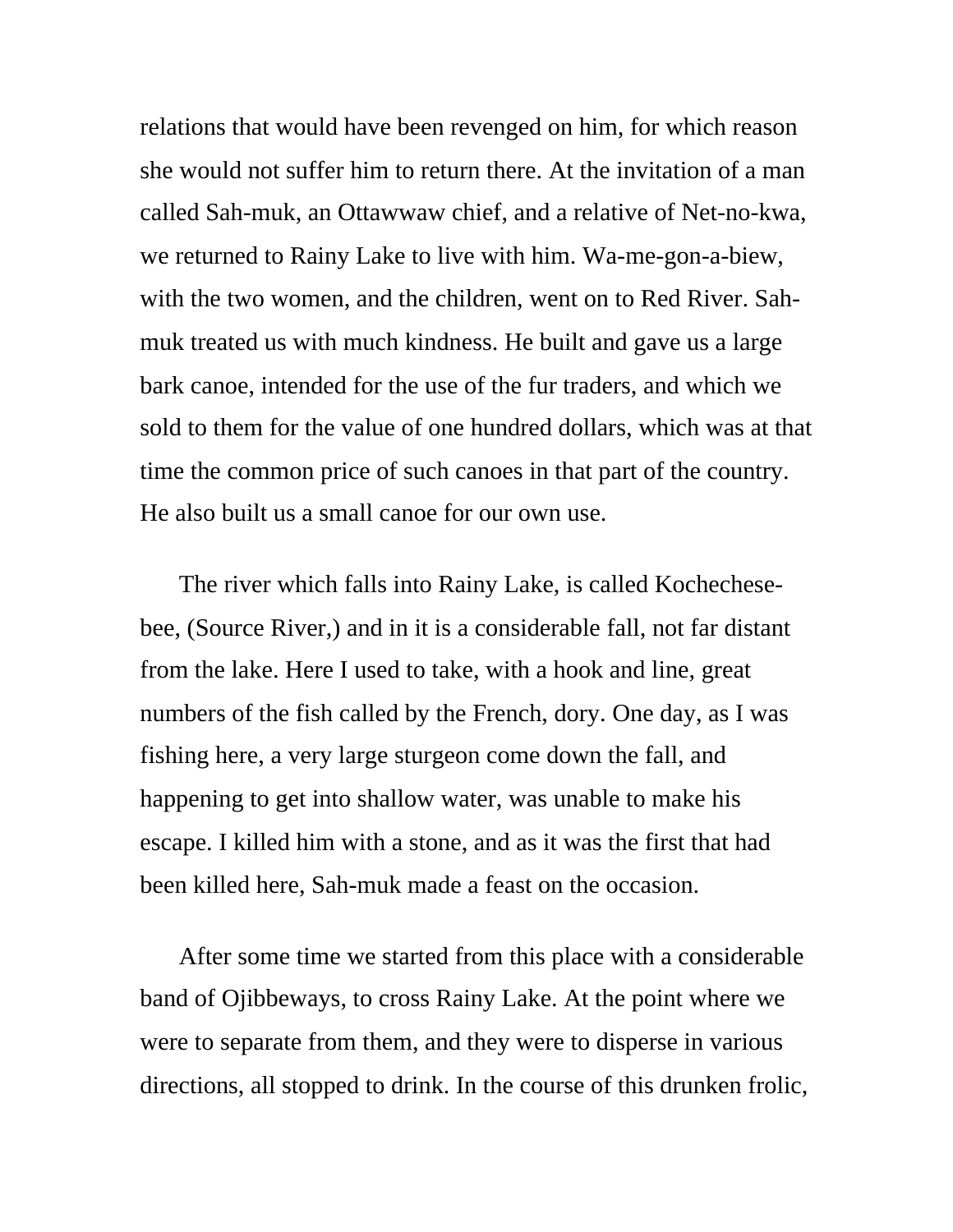relations that would have been revenged on him, for which reason she would not suffer him to return there. At the invitation of a man called Sah-muk, an Ottawwaw chief, and a relative of Net-no-kwa, we returned to Rainy Lake to live with him. Wa-me-gon-a-biew, with the two women, and the children, went on to Red River. Sahmuk treated us with much kindness. He built and gave us a large bark canoe, intended for the use of the fur traders, and which we sold to them for the value of one hundred dollars, which was at that time the common price of such canoes in that part of the country. He also built us a small canoe for our own use.

The river which falls into Rainy Lake, is called Kochechesebee, (Source River,) and in it is a considerable fall, not far distant from the lake. Here I used to take, with a hook and line, great numbers of the fish called by the French, dory. One day, as I was fishing here, a very large sturgeon come down the fall, and happening to get into shallow water, was unable to make his escape. I killed him with a stone, and as it was the first that had been killed here, Sah-muk made a feast on the occasion.

After some time we started from this place with a considerable band of Ojibbeways, to cross Rainy Lake. At the point where we were to separate from them, and they were to disperse in various directions, all stopped to drink. In the course of this drunken frolic,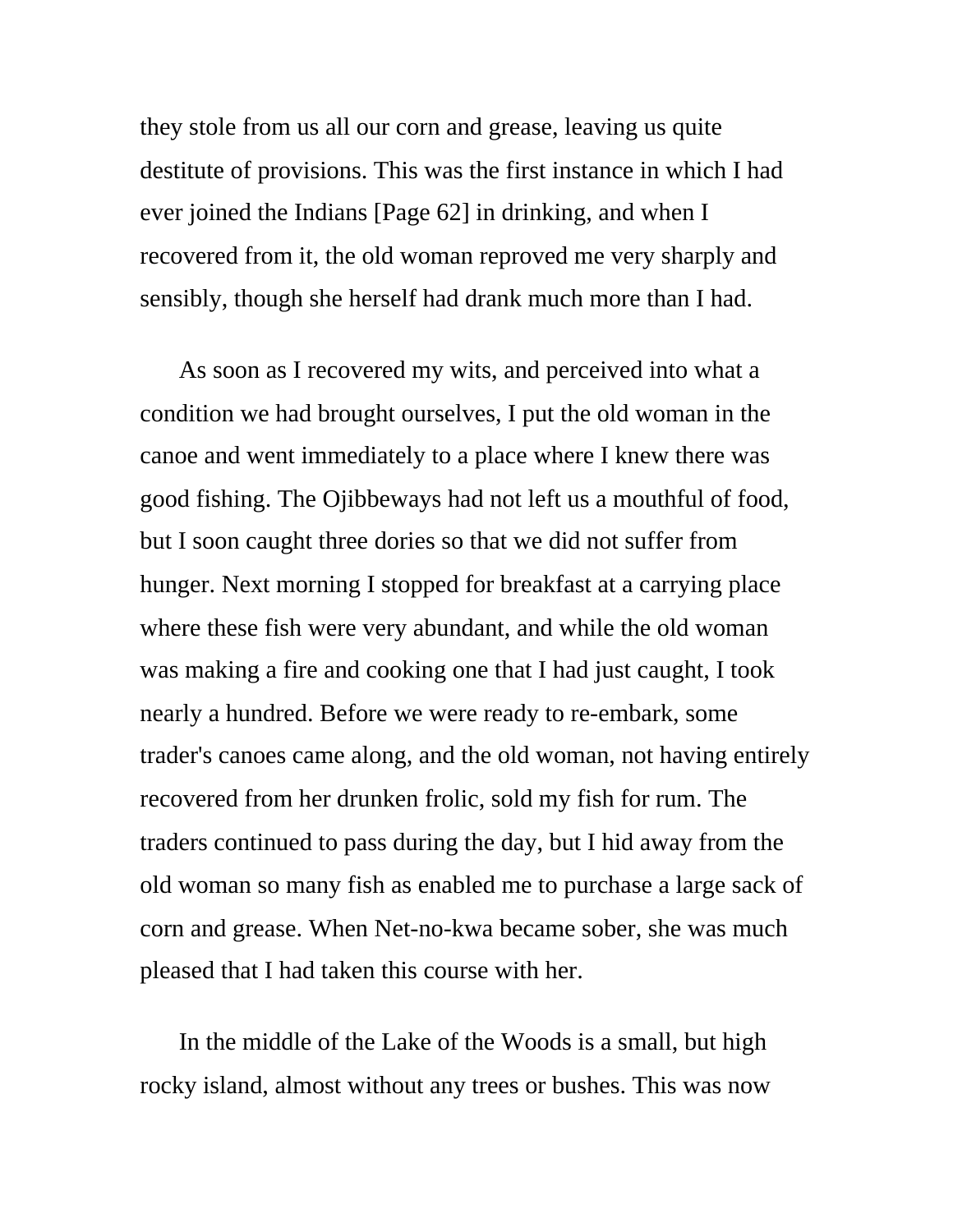they stole from us all our corn and grease, leaving us quite destitute of provisions. This was the first instance in which I had ever joined the Indians [Page 62] in drinking, and when I recovered from it, the old woman reproved me very sharply and sensibly, though she herself had drank much more than I had.

As soon as I recovered my wits, and perceived into what a condition we had brought ourselves, I put the old woman in the canoe and went immediately to a place where I knew there was good fishing. The Ojibbeways had not left us a mouthful of food, but I soon caught three dories so that we did not suffer from hunger. Next morning I stopped for breakfast at a carrying place where these fish were very abundant, and while the old woman was making a fire and cooking one that I had just caught, I took nearly a hundred. Before we were ready to re-embark, some trader's canoes came along, and the old woman, not having entirely recovered from her drunken frolic, sold my fish for rum. The traders continued to pass during the day, but I hid away from the old woman so many fish as enabled me to purchase a large sack of corn and grease. When Net-no-kwa became sober, she was much pleased that I had taken this course with her.

In the middle of the Lake of the Woods is a small, but high rocky island, almost without any trees or bushes. This was now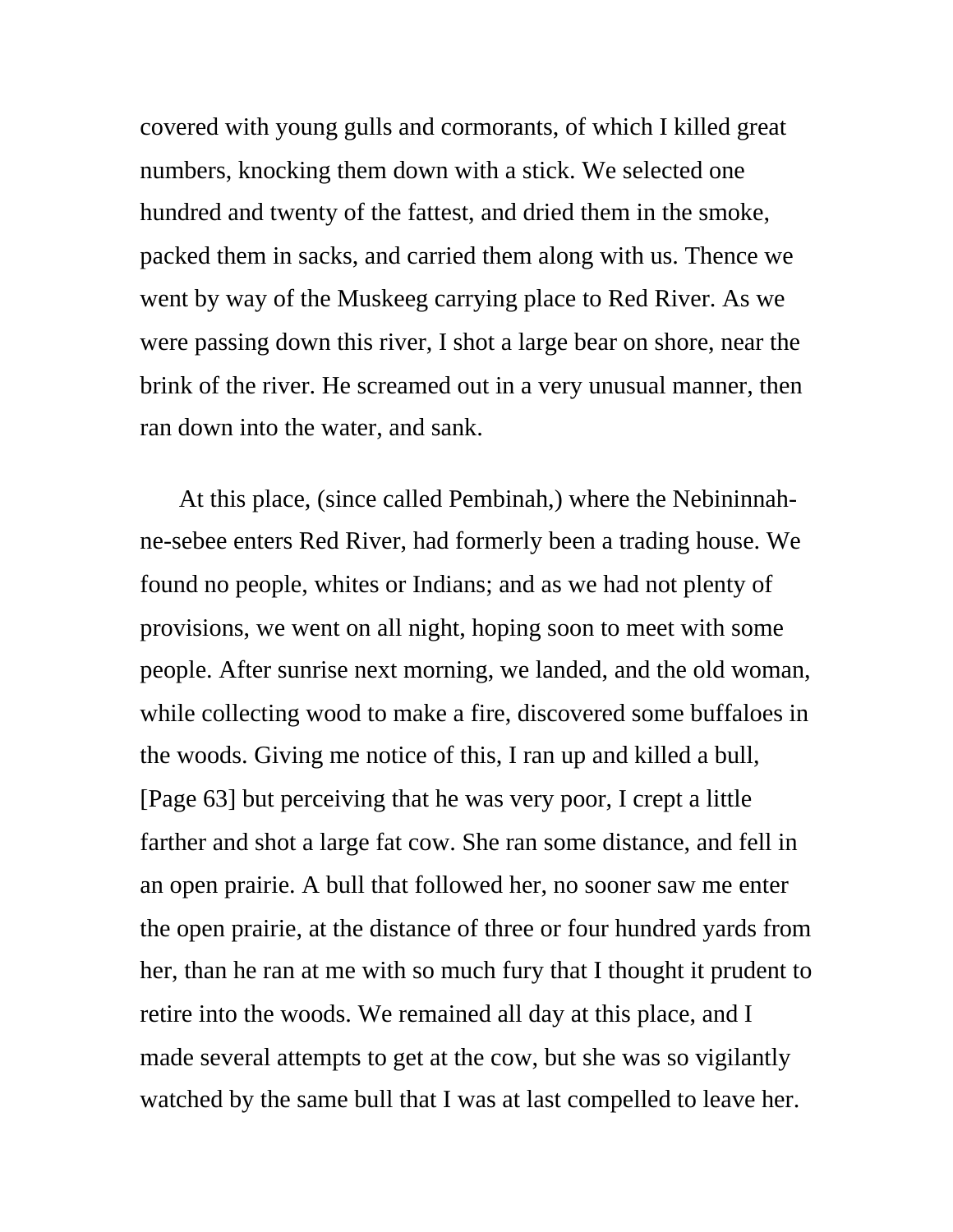covered with young gulls and cormorants, of which I killed great numbers, knocking them down with a stick. We selected one hundred and twenty of the fattest, and dried them in the smoke, packed them in sacks, and carried them along with us. Thence we went by way of the Muskeeg carrying place to Red River. As we were passing down this river, I shot a large bear on shore, near the brink of the river. He screamed out in a very unusual manner, then ran down into the water, and sank.

At this place, (since called Pembinah,) where the Nebininnahne-sebee enters Red River, had formerly been a trading house. We found no people, whites or Indians; and as we had not plenty of provisions, we went on all night, hoping soon to meet with some people. After sunrise next morning, we landed, and the old woman, while collecting wood to make a fire, discovered some buffaloes in the woods. Giving me notice of this, I ran up and killed a bull, [Page 63] but perceiving that he was very poor, I crept a little farther and shot a large fat cow. She ran some distance, and fell in an open prairie. A bull that followed her, no sooner saw me enter the open prairie, at the distance of three or four hundred yards from her, than he ran at me with so much fury that I thought it prudent to retire into the woods. We remained all day at this place, and I made several attempts to get at the cow, but she was so vigilantly watched by the same bull that I was at last compelled to leave her.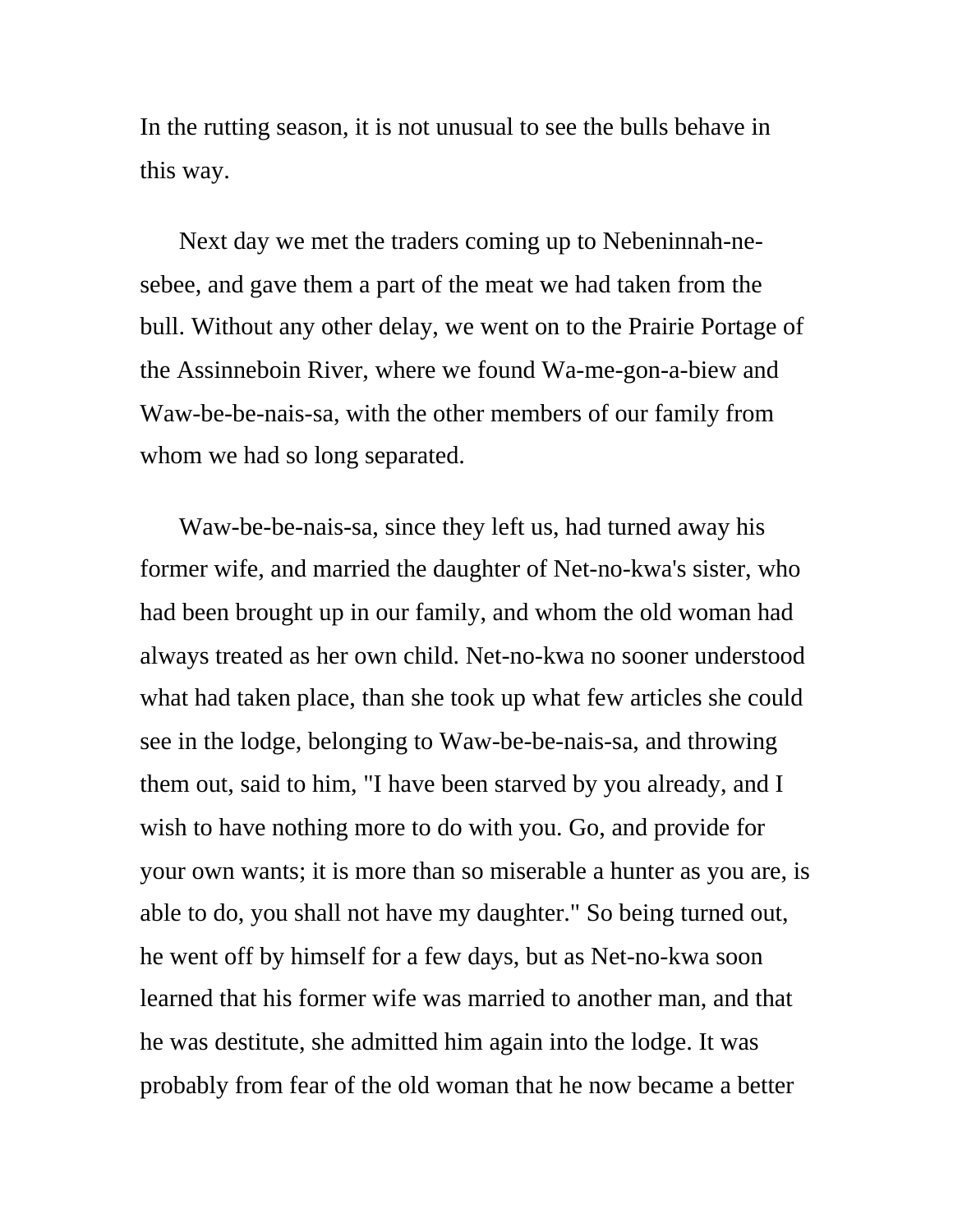In the rutting season, it is not unusual to see the bulls behave in this way.

Next day we met the traders coming up to Nebeninnah-nesebee, and gave them a part of the meat we had taken from the bull. Without any other delay, we went on to the Prairie Portage of the Assinneboin River, where we found Wa-me-gon-a-biew and Waw-be-be-nais-sa, with the other members of our family from whom we had so long separated.

Waw-be-be-nais-sa, since they left us, had turned away his former wife, and married the daughter of Net-no-kwa's sister, who had been brought up in our family, and whom the old woman had always treated as her own child. Net-no-kwa no sooner understood what had taken place, than she took up what few articles she could see in the lodge, belonging to Waw-be-be-nais-sa, and throwing them out, said to him, "I have been starved by you already, and I wish to have nothing more to do with you. Go, and provide for your own wants; it is more than so miserable a hunter as you are, is able to do, you shall not have my daughter." So being turned out, he went off by himself for a few days, but as Net-no-kwa soon learned that his former wife was married to another man, and that he was destitute, she admitted him again into the lodge. It was probably from fear of the old woman that he now became a better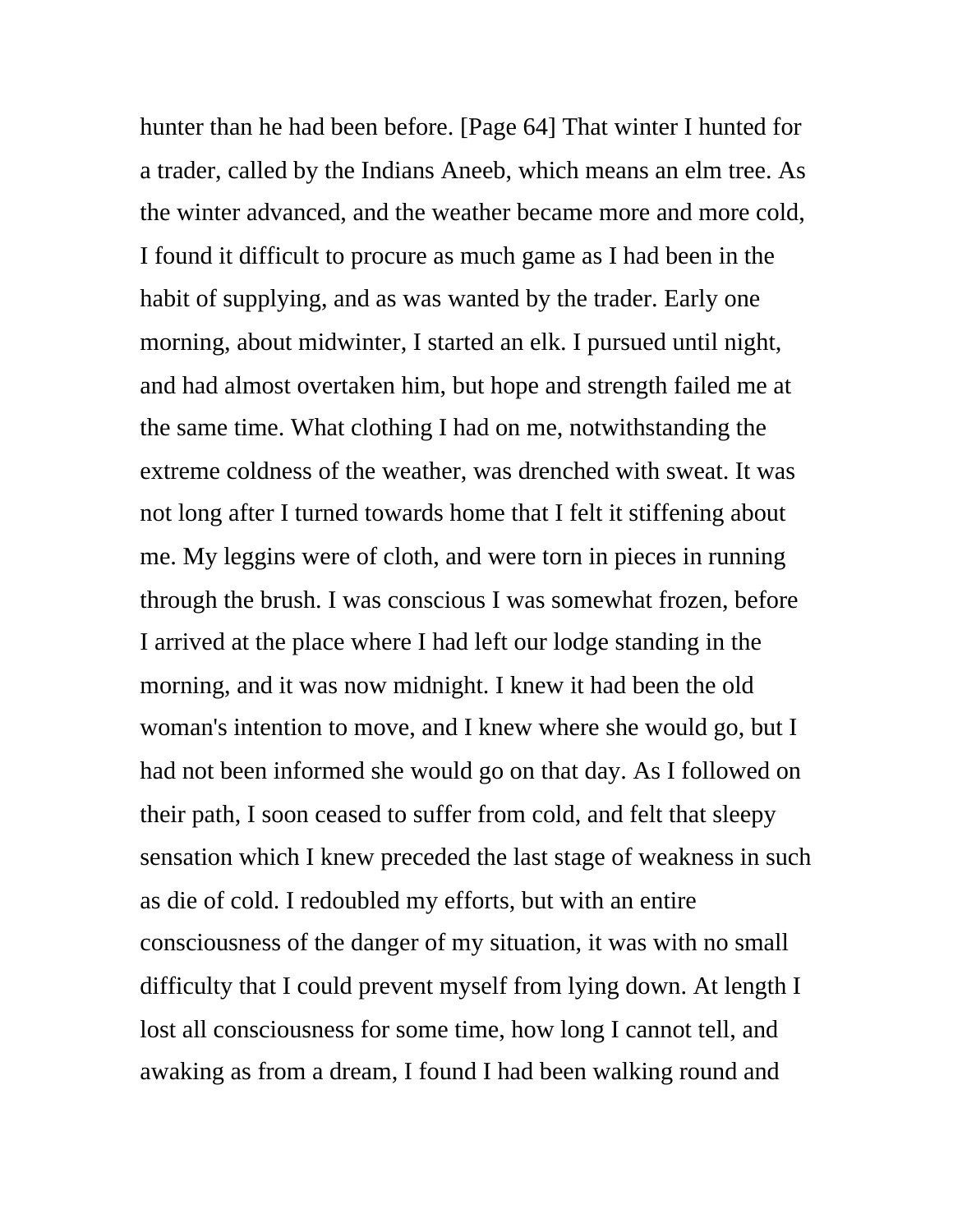hunter than he had been before. [Page 64] That winter I hunted for a trader, called by the Indians Aneeb, which means an elm tree. As the winter advanced, and the weather became more and more cold, I found it difficult to procure as much game as I had been in the habit of supplying, and as was wanted by the trader. Early one morning, about midwinter, I started an elk. I pursued until night, and had almost overtaken him, but hope and strength failed me at the same time. What clothing I had on me, notwithstanding the extreme coldness of the weather, was drenched with sweat. It was not long after I turned towards home that I felt it stiffening about me. My leggins were of cloth, and were torn in pieces in running through the brush. I was conscious I was somewhat frozen, before I arrived at the place where I had left our lodge standing in the morning, and it was now midnight. I knew it had been the old woman's intention to move, and I knew where she would go, but I had not been informed she would go on that day. As I followed on their path, I soon ceased to suffer from cold, and felt that sleepy sensation which I knew preceded the last stage of weakness in such as die of cold. I redoubled my efforts, but with an entire consciousness of the danger of my situation, it was with no small difficulty that I could prevent myself from lying down. At length I lost all consciousness for some time, how long I cannot tell, and awaking as from a dream, I found I had been walking round and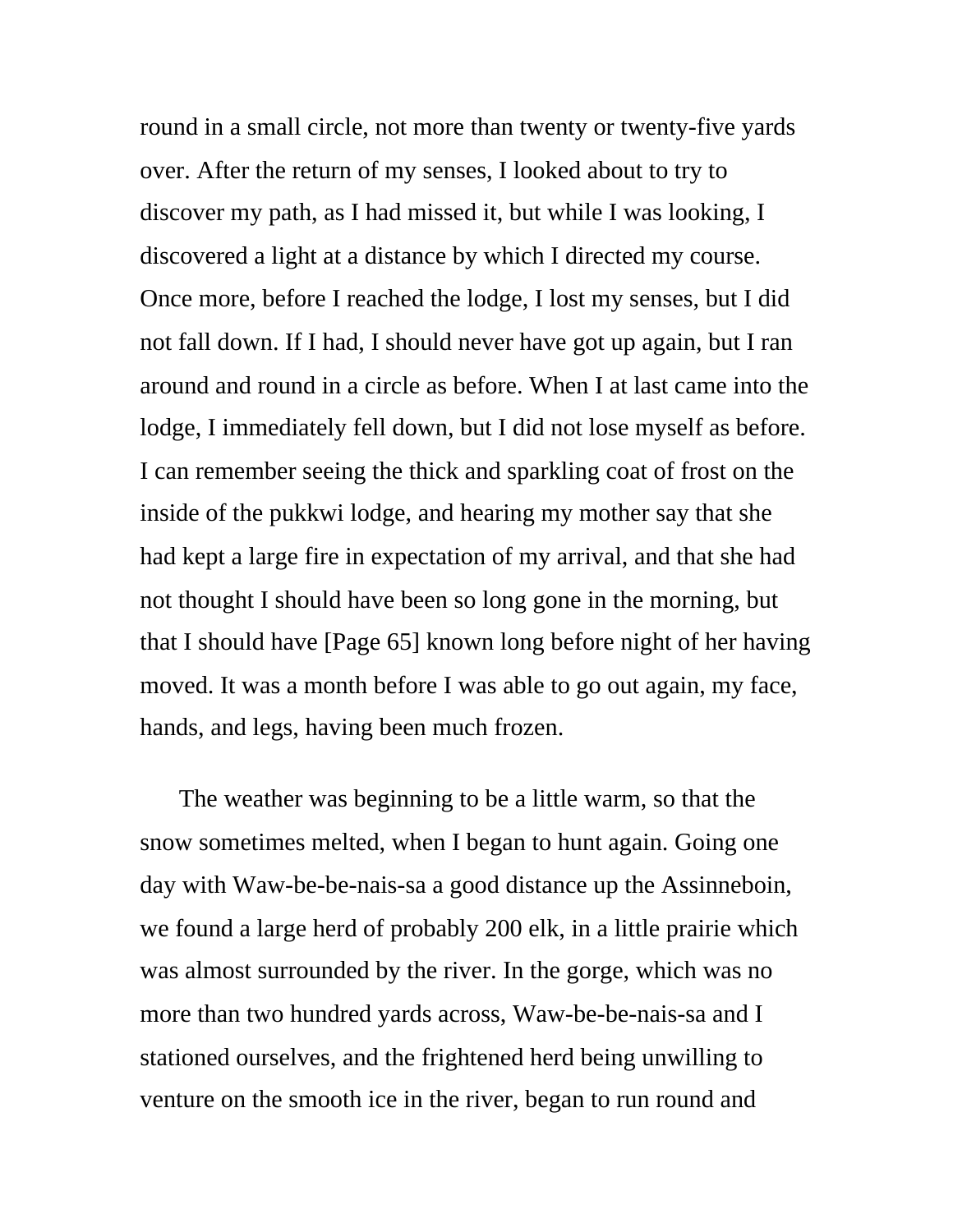round in a small circle, not more than twenty or twenty-five yards over. After the return of my senses, I looked about to try to discover my path, as I had missed it, but while I was looking, I discovered a light at a distance by which I directed my course. Once more, before I reached the lodge, I lost my senses, but I did not fall down. If I had, I should never have got up again, but I ran around and round in a circle as before. When I at last came into the lodge, I immediately fell down, but I did not lose myself as before. I can remember seeing the thick and sparkling coat of frost on the inside of the pukkwi lodge, and hearing my mother say that she had kept a large fire in expectation of my arrival, and that she had not thought I should have been so long gone in the morning, but that I should have [Page 65] known long before night of her having moved. It was a month before I was able to go out again, my face, hands, and legs, having been much frozen.

The weather was beginning to be a little warm, so that the snow sometimes melted, when I began to hunt again. Going one day with Waw-be-be-nais-sa a good distance up the Assinneboin, we found a large herd of probably 200 elk, in a little prairie which was almost surrounded by the river. In the gorge, which was no more than two hundred yards across, Waw-be-be-nais-sa and I stationed ourselves, and the frightened herd being unwilling to venture on the smooth ice in the river, began to run round and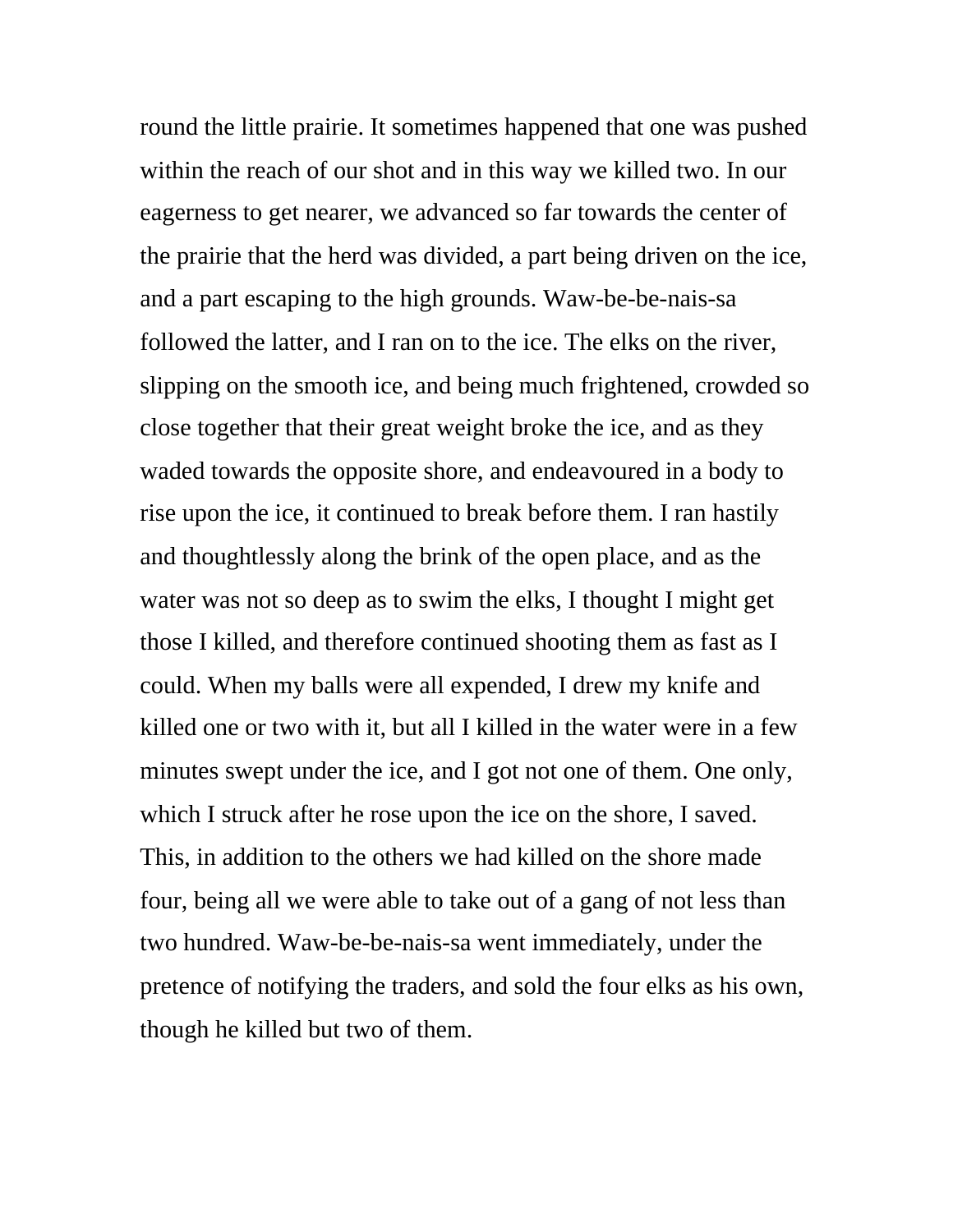round the little prairie. It sometimes happened that one was pushed within the reach of our shot and in this way we killed two. In our eagerness to get nearer, we advanced so far towards the center of the prairie that the herd was divided, a part being driven on the ice, and a part escaping to the high grounds. Waw-be-be-nais-sa followed the latter, and I ran on to the ice. The elks on the river, slipping on the smooth ice, and being much frightened, crowded so close together that their great weight broke the ice, and as they waded towards the opposite shore, and endeavoured in a body to rise upon the ice, it continued to break before them. I ran hastily and thoughtlessly along the brink of the open place, and as the water was not so deep as to swim the elks, I thought I might get those I killed, and therefore continued shooting them as fast as I could. When my balls were all expended, I drew my knife and killed one or two with it, but all I killed in the water were in a few minutes swept under the ice, and I got not one of them. One only, which I struck after he rose upon the ice on the shore, I saved. This, in addition to the others we had killed on the shore made four, being all we were able to take out of a gang of not less than two hundred. Waw-be-be-nais-sa went immediately, under the pretence of notifying the traders, and sold the four elks as his own, though he killed but two of them.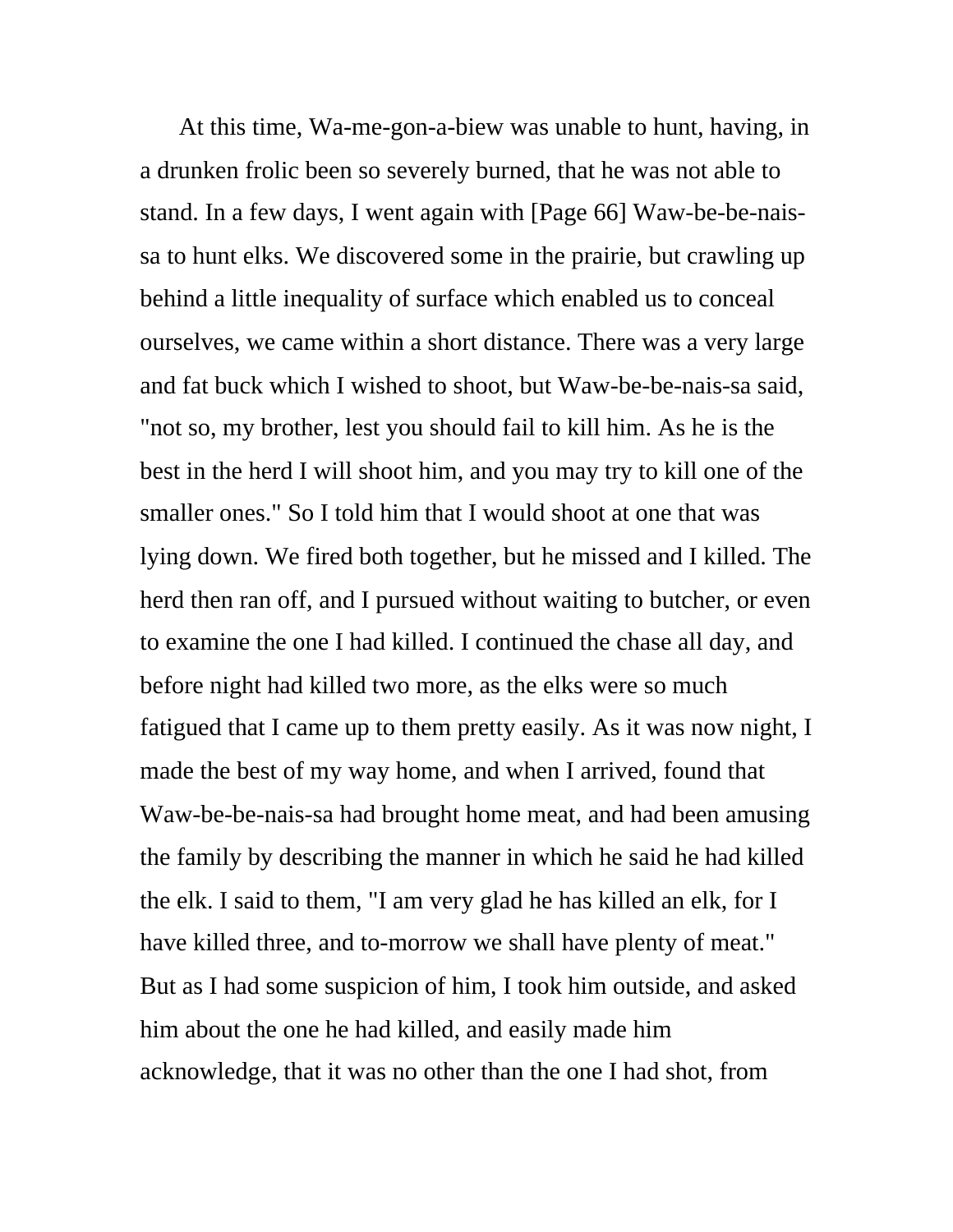At this time, Wa-me-gon-a-biew was unable to hunt, having, in a drunken frolic been so severely burned, that he was not able to stand. In a few days, I went again with [Page 66] Waw-be-be-naissa to hunt elks. We discovered some in the prairie, but crawling up behind a little inequality of surface which enabled us to conceal ourselves, we came within a short distance. There was a very large and fat buck which I wished to shoot, but Waw-be-be-nais-sa said, "not so, my brother, lest you should fail to kill him. As he is the best in the herd I will shoot him, and you may try to kill one of the smaller ones." So I told him that I would shoot at one that was lying down. We fired both together, but he missed and I killed. The herd then ran off, and I pursued without waiting to butcher, or even to examine the one I had killed. I continued the chase all day, and before night had killed two more, as the elks were so much fatigued that I came up to them pretty easily. As it was now night, I made the best of my way home, and when I arrived, found that Waw-be-be-nais-sa had brought home meat, and had been amusing the family by describing the manner in which he said he had killed the elk. I said to them, "I am very glad he has killed an elk, for I have killed three, and to-morrow we shall have plenty of meat." But as I had some suspicion of him, I took him outside, and asked him about the one he had killed, and easily made him acknowledge, that it was no other than the one I had shot, from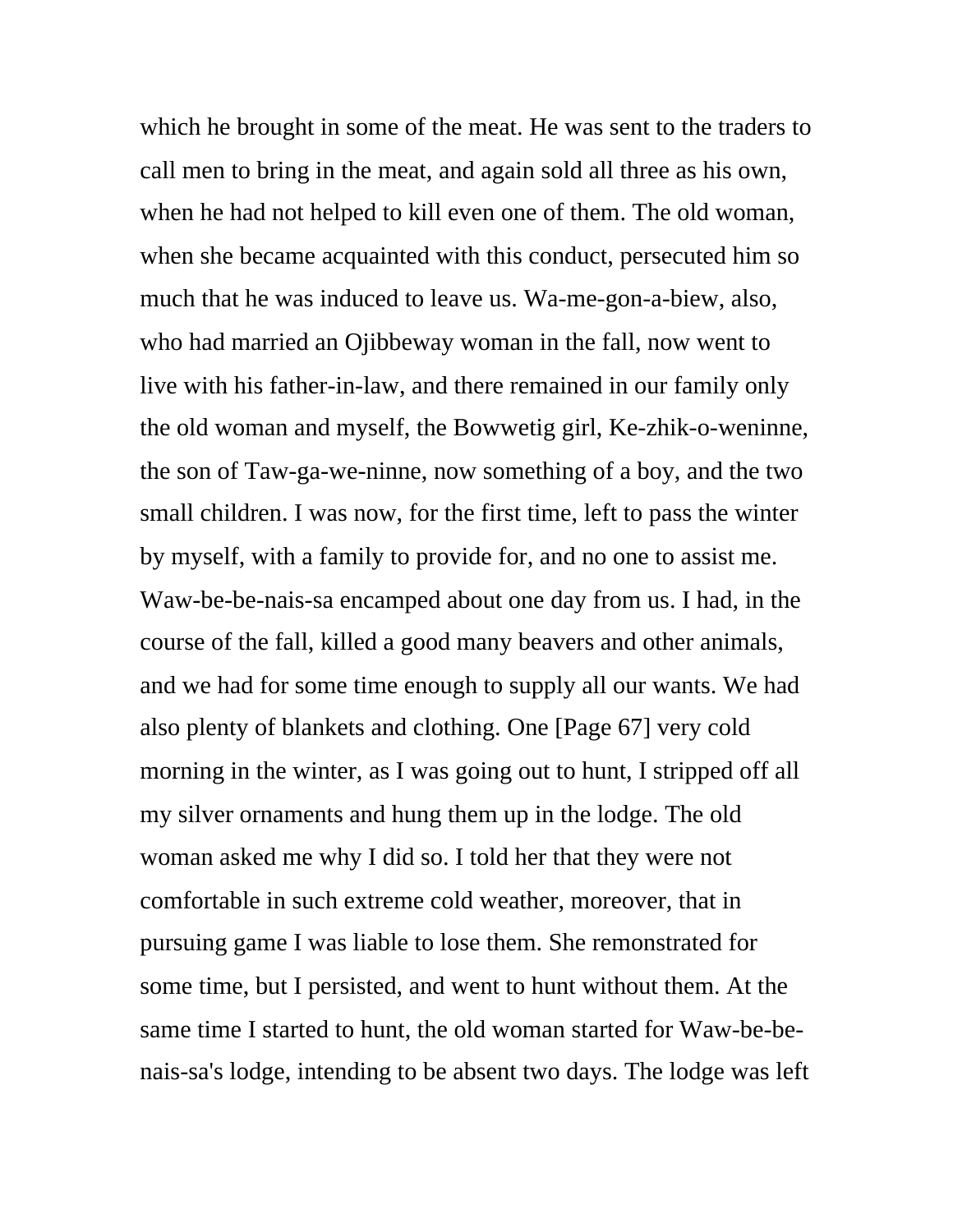which he brought in some of the meat. He was sent to the traders to call men to bring in the meat, and again sold all three as his own, when he had not helped to kill even one of them. The old woman, when she became acquainted with this conduct, persecuted him so much that he was induced to leave us. Wa-me-gon-a-biew, also, who had married an Ojibbeway woman in the fall, now went to live with his father-in-law, and there remained in our family only the old woman and myself, the Bowwetig girl, Ke-zhik-o-weninne, the son of Taw-ga-we-ninne, now something of a boy, and the two small children. I was now, for the first time, left to pass the winter by myself, with a family to provide for, and no one to assist me. Waw-be-be-nais-sa encamped about one day from us. I had, in the course of the fall, killed a good many beavers and other animals, and we had for some time enough to supply all our wants. We had also plenty of blankets and clothing. One [Page 67] very cold morning in the winter, as I was going out to hunt, I stripped off all my silver ornaments and hung them up in the lodge. The old woman asked me why I did so. I told her that they were not comfortable in such extreme cold weather, moreover, that in pursuing game I was liable to lose them. She remonstrated for some time, but I persisted, and went to hunt without them. At the same time I started to hunt, the old woman started for Waw-be-benais-sa's lodge, intending to be absent two days. The lodge was left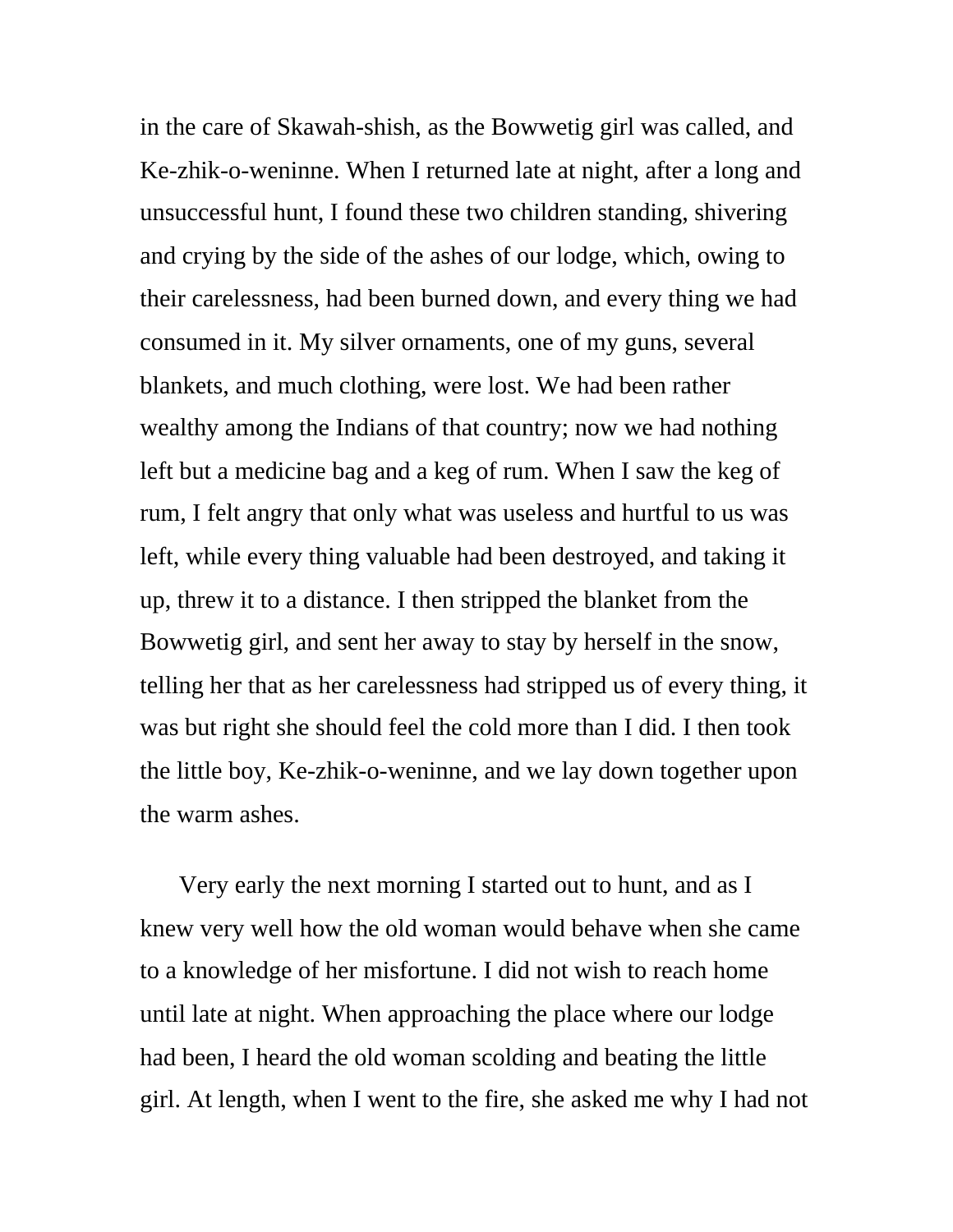in the care of Skawah-shish, as the Bowwetig girl was called, and Ke-zhik-o-weninne. When I returned late at night, after a long and unsuccessful hunt, I found these two children standing, shivering and crying by the side of the ashes of our lodge, which, owing to their carelessness, had been burned down, and every thing we had consumed in it. My silver ornaments, one of my guns, several blankets, and much clothing, were lost. We had been rather wealthy among the Indians of that country; now we had nothing left but a medicine bag and a keg of rum. When I saw the keg of rum, I felt angry that only what was useless and hurtful to us was left, while every thing valuable had been destroyed, and taking it up, threw it to a distance. I then stripped the blanket from the Bowwetig girl, and sent her away to stay by herself in the snow, telling her that as her carelessness had stripped us of every thing, it was but right she should feel the cold more than I did. I then took the little boy, Ke-zhik-o-weninne, and we lay down together upon the warm ashes.

Very early the next morning I started out to hunt, and as I knew very well how the old woman would behave when she came to a knowledge of her misfortune. I did not wish to reach home until late at night. When approaching the place where our lodge had been, I heard the old woman scolding and beating the little girl. At length, when I went to the fire, she asked me why I had not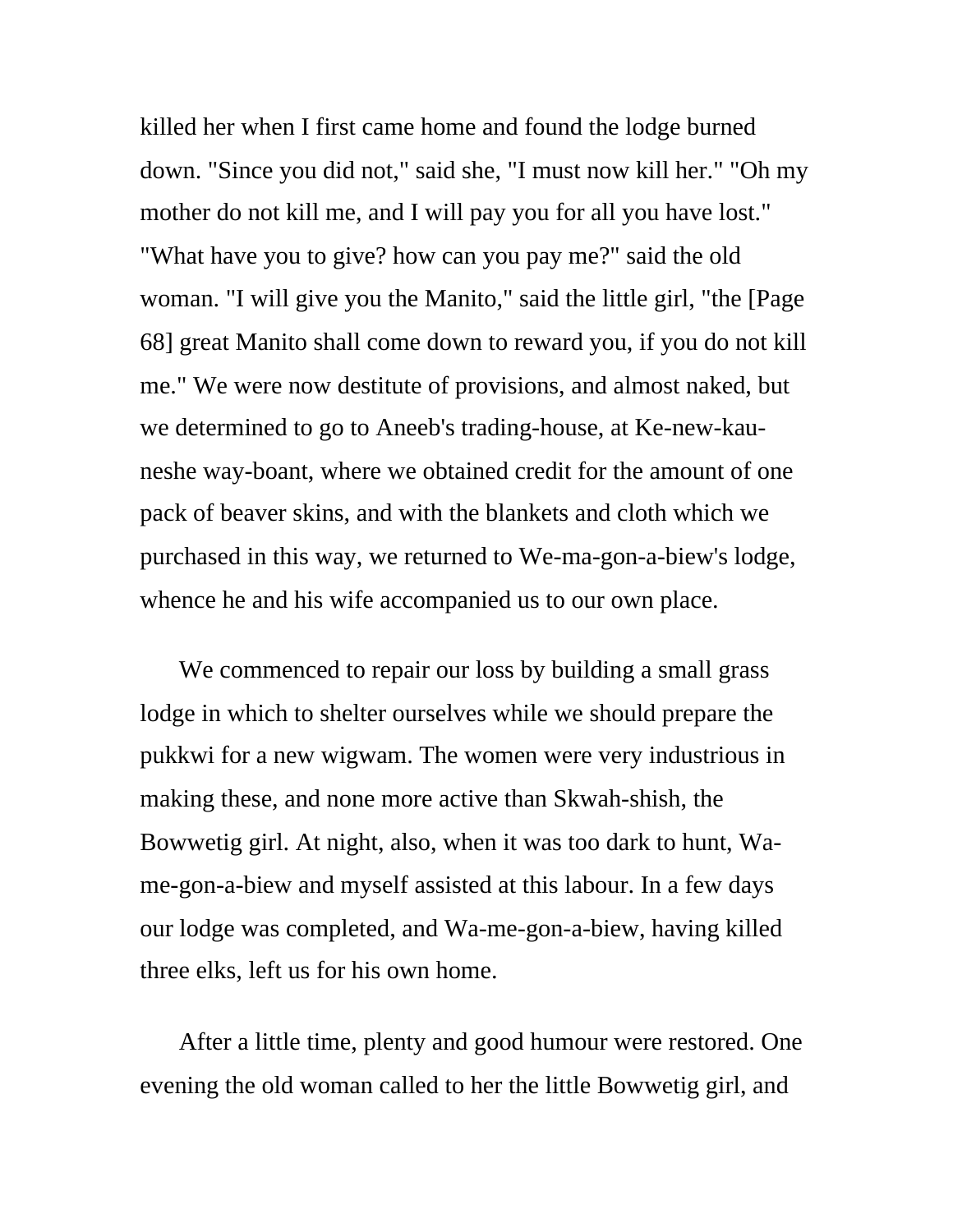killed her when I first came home and found the lodge burned down. "Since you did not," said she, "I must now kill her." "Oh my mother do not kill me, and I will pay you for all you have lost." "What have you to give? how can you pay me?" said the old woman. "I will give you the Manito," said the little girl, "the [Page 68] great Manito shall come down to reward you, if you do not kill me." We were now destitute of provisions, and almost naked, but we determined to go to Aneeb's trading-house, at Ke-new-kauneshe way-boant, where we obtained credit for the amount of one pack of beaver skins, and with the blankets and cloth which we purchased in this way, we returned to We-ma-gon-a-biew's lodge, whence he and his wife accompanied us to our own place.

We commenced to repair our loss by building a small grass lodge in which to shelter ourselves while we should prepare the pukkwi for a new wigwam. The women were very industrious in making these, and none more active than Skwah-shish, the Bowwetig girl. At night, also, when it was too dark to hunt, Wame-gon-a-biew and myself assisted at this labour. In a few days our lodge was completed, and Wa-me-gon-a-biew, having killed three elks, left us for his own home.

After a little time, plenty and good humour were restored. One evening the old woman called to her the little Bowwetig girl, and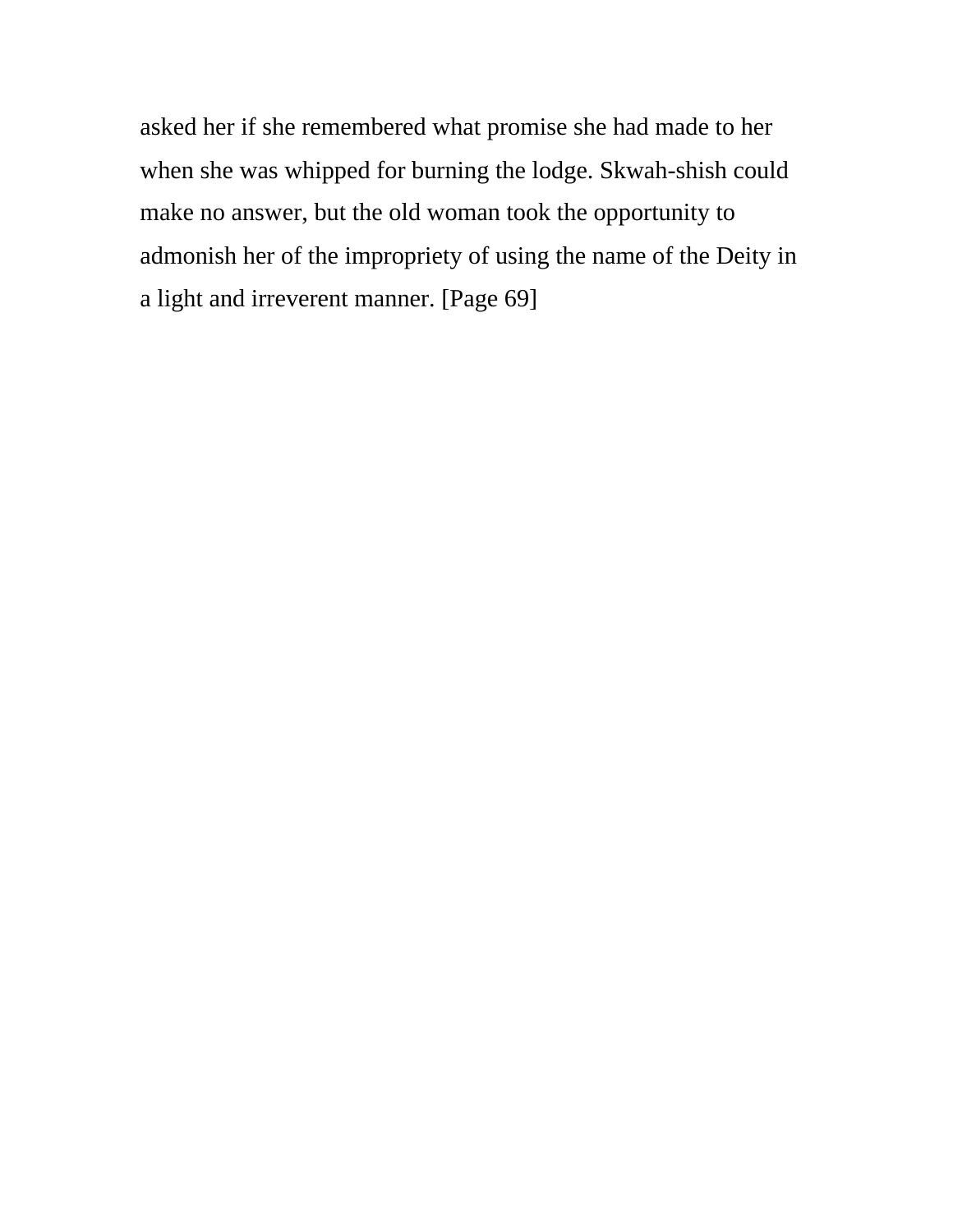asked her if she remembered what promise she had made to her when she was whipped for burning the lodge. Skwah-shish could make no answer, but the old woman took the opportunity to admonish her of the impropriety of using the name of the Deity in a light and irreverent manner. [Page 69]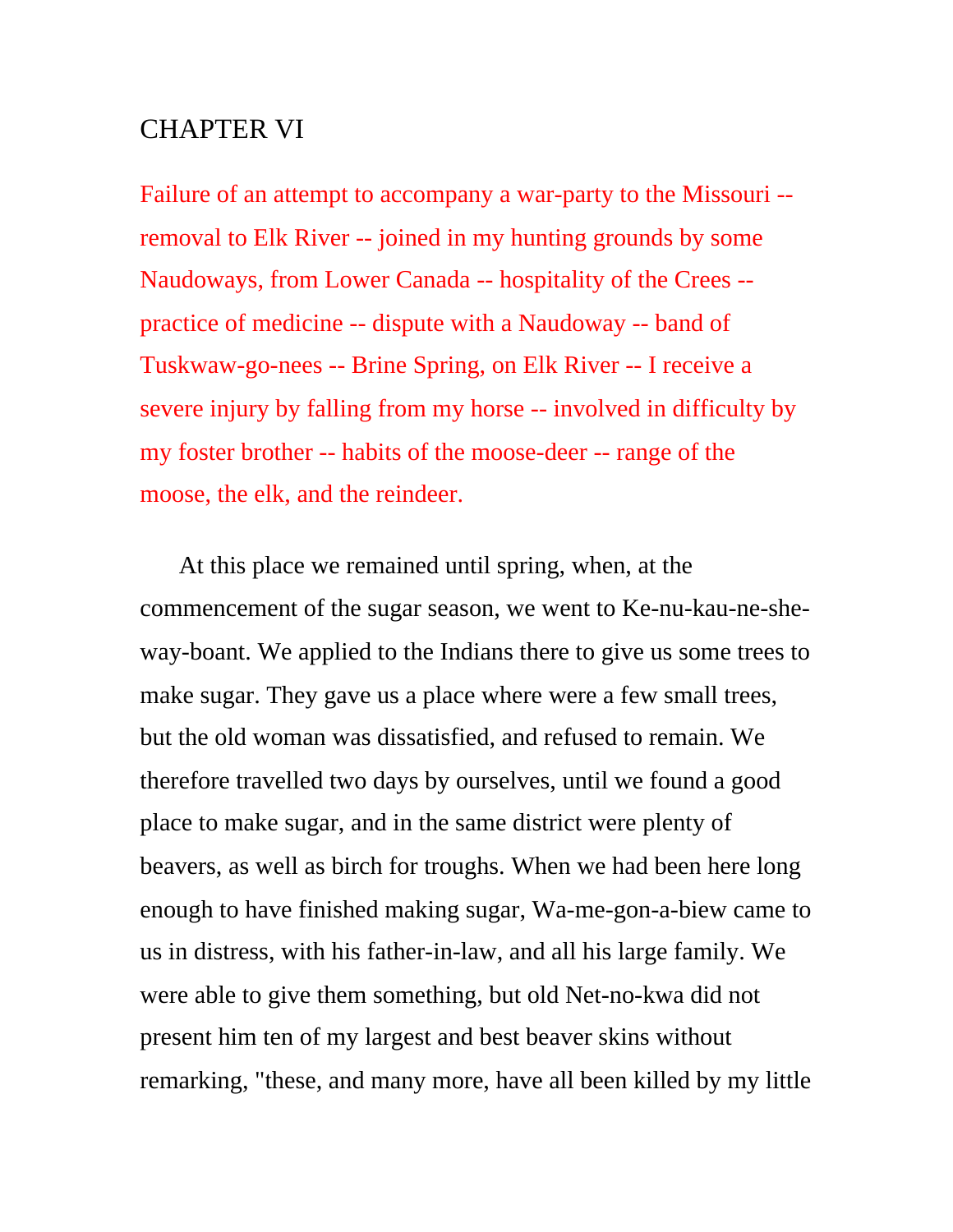## CHAPTER VI

Failure of an attempt to accompany a war-party to the Missouri - removal to Elk River -- joined in my hunting grounds by some Naudoways, from Lower Canada -- hospitality of the Crees - practice of medicine -- dispute with a Naudoway -- band of Tuskwaw-go-nees -- Brine Spring, on Elk River -- I receive a severe injury by falling from my horse -- involved in difficulty by my foster brother -- habits of the moose-deer -- range of the moose, the elk, and the reindeer.

At this place we remained until spring, when, at the commencement of the sugar season, we went to Ke-nu-kau-ne-sheway-boant. We applied to the Indians there to give us some trees to make sugar. They gave us a place where were a few small trees, but the old woman was dissatisfied, and refused to remain. We therefore travelled two days by ourselves, until we found a good place to make sugar, and in the same district were plenty of beavers, as well as birch for troughs. When we had been here long enough to have finished making sugar, Wa-me-gon-a-biew came to us in distress, with his father-in-law, and all his large family. We were able to give them something, but old Net-no-kwa did not present him ten of my largest and best beaver skins without remarking, "these, and many more, have all been killed by my little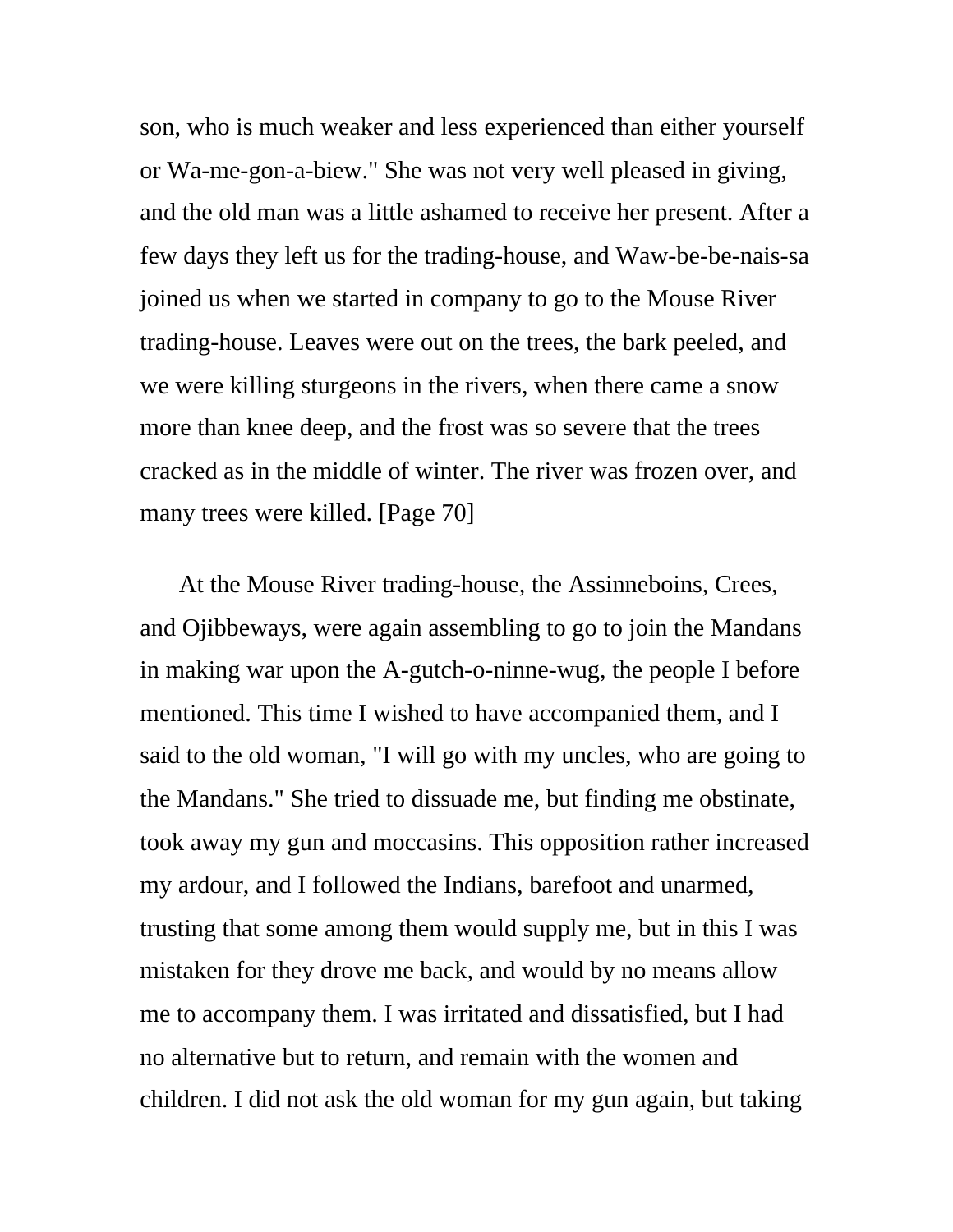son, who is much weaker and less experienced than either yourself or Wa-me-gon-a-biew." She was not very well pleased in giving, and the old man was a little ashamed to receive her present. After a few days they left us for the trading-house, and Waw-be-be-nais-sa joined us when we started in company to go to the Mouse River trading-house. Leaves were out on the trees, the bark peeled, and we were killing sturgeons in the rivers, when there came a snow more than knee deep, and the frost was so severe that the trees cracked as in the middle of winter. The river was frozen over, and many trees were killed. [Page 70]

At the Mouse River trading-house, the Assinneboins, Crees, and Ojibbeways, were again assembling to go to join the Mandans in making war upon the A-gutch-o-ninne-wug, the people I before mentioned. This time I wished to have accompanied them, and I said to the old woman, "I will go with my uncles, who are going to the Mandans." She tried to dissuade me, but finding me obstinate, took away my gun and moccasins. This opposition rather increased my ardour, and I followed the Indians, barefoot and unarmed, trusting that some among them would supply me, but in this I was mistaken for they drove me back, and would by no means allow me to accompany them. I was irritated and dissatisfied, but I had no alternative but to return, and remain with the women and children. I did not ask the old woman for my gun again, but taking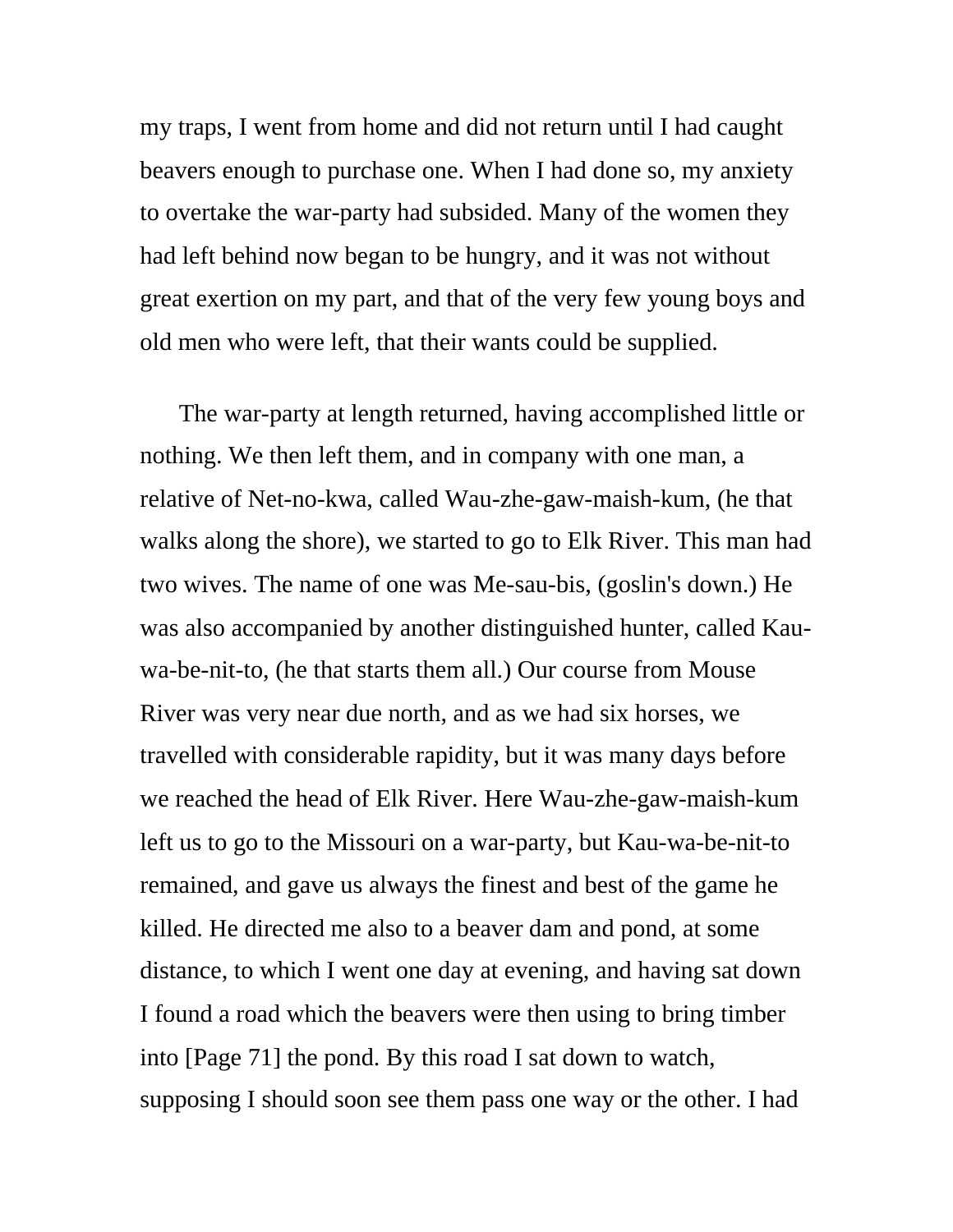my traps, I went from home and did not return until I had caught beavers enough to purchase one. When I had done so, my anxiety to overtake the war-party had subsided. Many of the women they had left behind now began to be hungry, and it was not without great exertion on my part, and that of the very few young boys and old men who were left, that their wants could be supplied.

The war-party at length returned, having accomplished little or nothing. We then left them, and in company with one man, a relative of Net-no-kwa, called Wau-zhe-gaw-maish-kum, (he that walks along the shore), we started to go to Elk River. This man had two wives. The name of one was Me-sau-bis, (goslin's down.) He was also accompanied by another distinguished hunter, called Kauwa-be-nit-to, (he that starts them all.) Our course from Mouse River was very near due north, and as we had six horses, we travelled with considerable rapidity, but it was many days before we reached the head of Elk River. Here Wau-zhe-gaw-maish-kum left us to go to the Missouri on a war-party, but Kau-wa-be-nit-to remained, and gave us always the finest and best of the game he killed. He directed me also to a beaver dam and pond, at some distance, to which I went one day at evening, and having sat down I found a road which the beavers were then using to bring timber into [Page 71] the pond. By this road I sat down to watch, supposing I should soon see them pass one way or the other. I had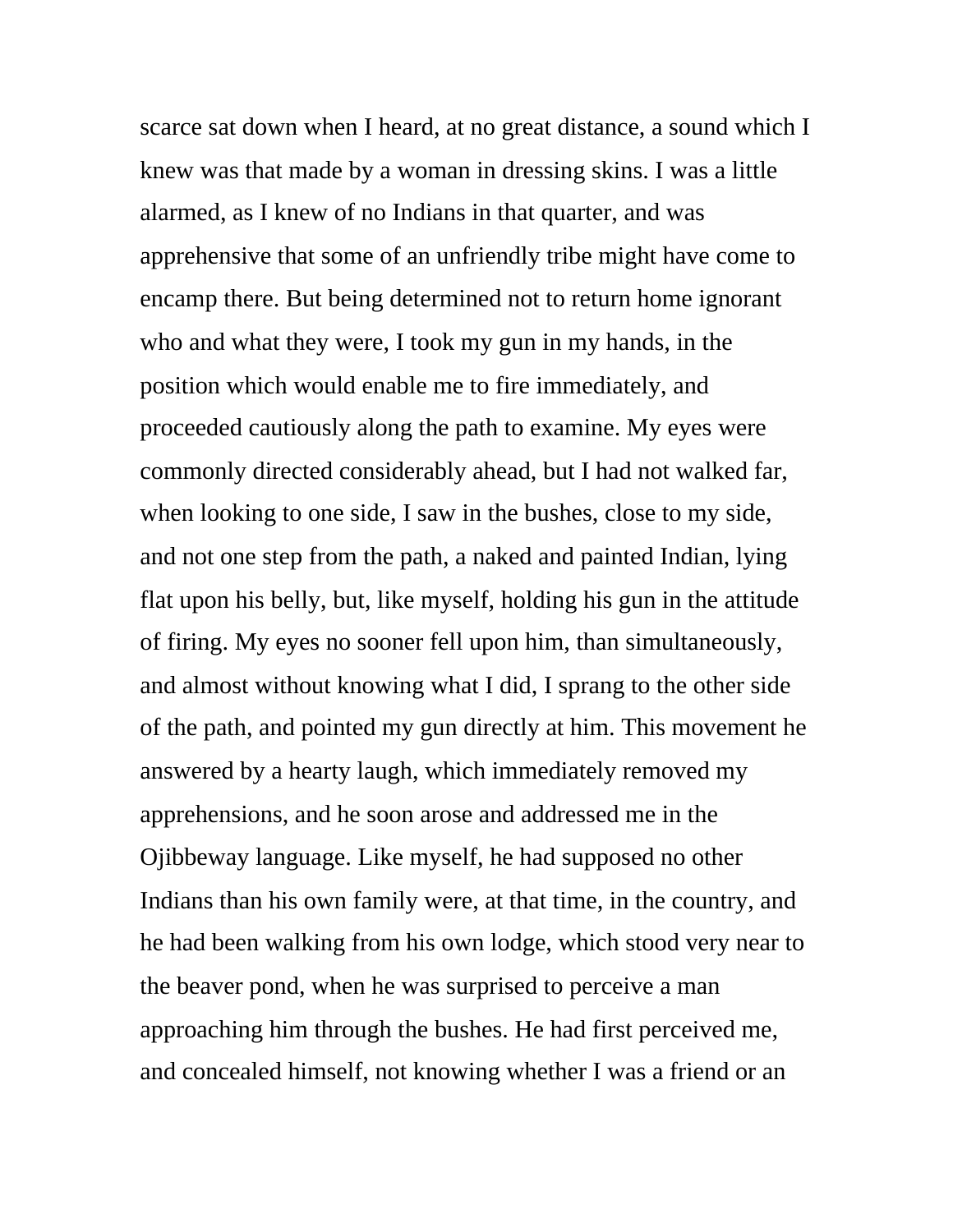scarce sat down when I heard, at no great distance, a sound which I knew was that made by a woman in dressing skins. I was a little alarmed, as I knew of no Indians in that quarter, and was apprehensive that some of an unfriendly tribe might have come to encamp there. But being determined not to return home ignorant who and what they were, I took my gun in my hands, in the position which would enable me to fire immediately, and proceeded cautiously along the path to examine. My eyes were commonly directed considerably ahead, but I had not walked far, when looking to one side, I saw in the bushes, close to my side, and not one step from the path, a naked and painted Indian, lying flat upon his belly, but, like myself, holding his gun in the attitude of firing. My eyes no sooner fell upon him, than simultaneously, and almost without knowing what I did, I sprang to the other side of the path, and pointed my gun directly at him. This movement he answered by a hearty laugh, which immediately removed my apprehensions, and he soon arose and addressed me in the Ojibbeway language. Like myself, he had supposed no other Indians than his own family were, at that time, in the country, and he had been walking from his own lodge, which stood very near to the beaver pond, when he was surprised to perceive a man approaching him through the bushes. He had first perceived me, and concealed himself, not knowing whether I was a friend or an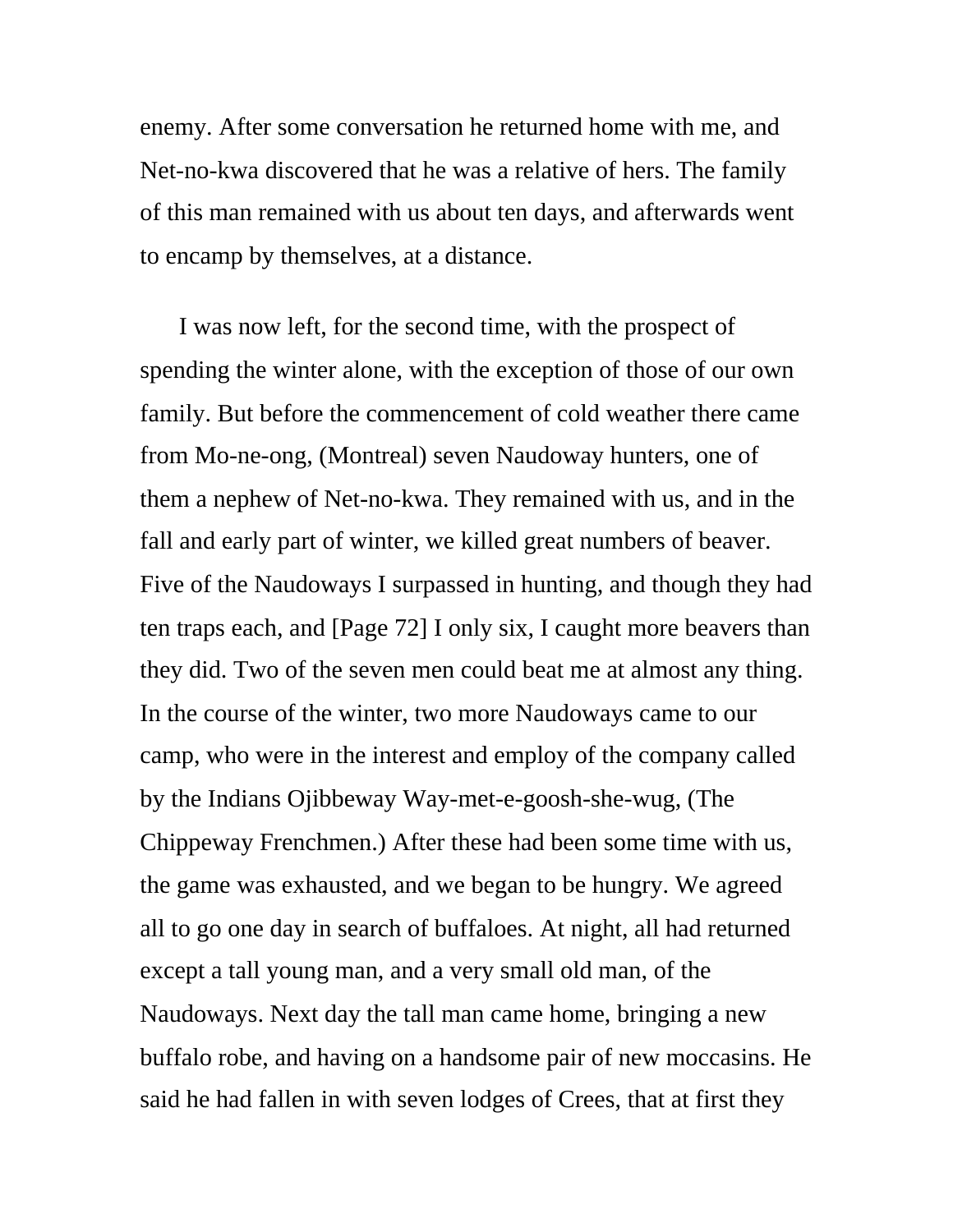enemy. After some conversation he returned home with me, and Net-no-kwa discovered that he was a relative of hers. The family of this man remained with us about ten days, and afterwards went to encamp by themselves, at a distance.

I was now left, for the second time, with the prospect of spending the winter alone, with the exception of those of our own family. But before the commencement of cold weather there came from Mo-ne-ong, (Montreal) seven Naudoway hunters, one of them a nephew of Net-no-kwa. They remained with us, and in the fall and early part of winter, we killed great numbers of beaver. Five of the Naudoways I surpassed in hunting, and though they had ten traps each, and [Page 72] I only six, I caught more beavers than they did. Two of the seven men could beat me at almost any thing. In the course of the winter, two more Naudoways came to our camp, who were in the interest and employ of the company called by the Indians Ojibbeway Way-met-e-goosh-she-wug, (The Chippeway Frenchmen.) After these had been some time with us, the game was exhausted, and we began to be hungry. We agreed all to go one day in search of buffaloes. At night, all had returned except a tall young man, and a very small old man, of the Naudoways. Next day the tall man came home, bringing a new buffalo robe, and having on a handsome pair of new moccasins. He said he had fallen in with seven lodges of Crees, that at first they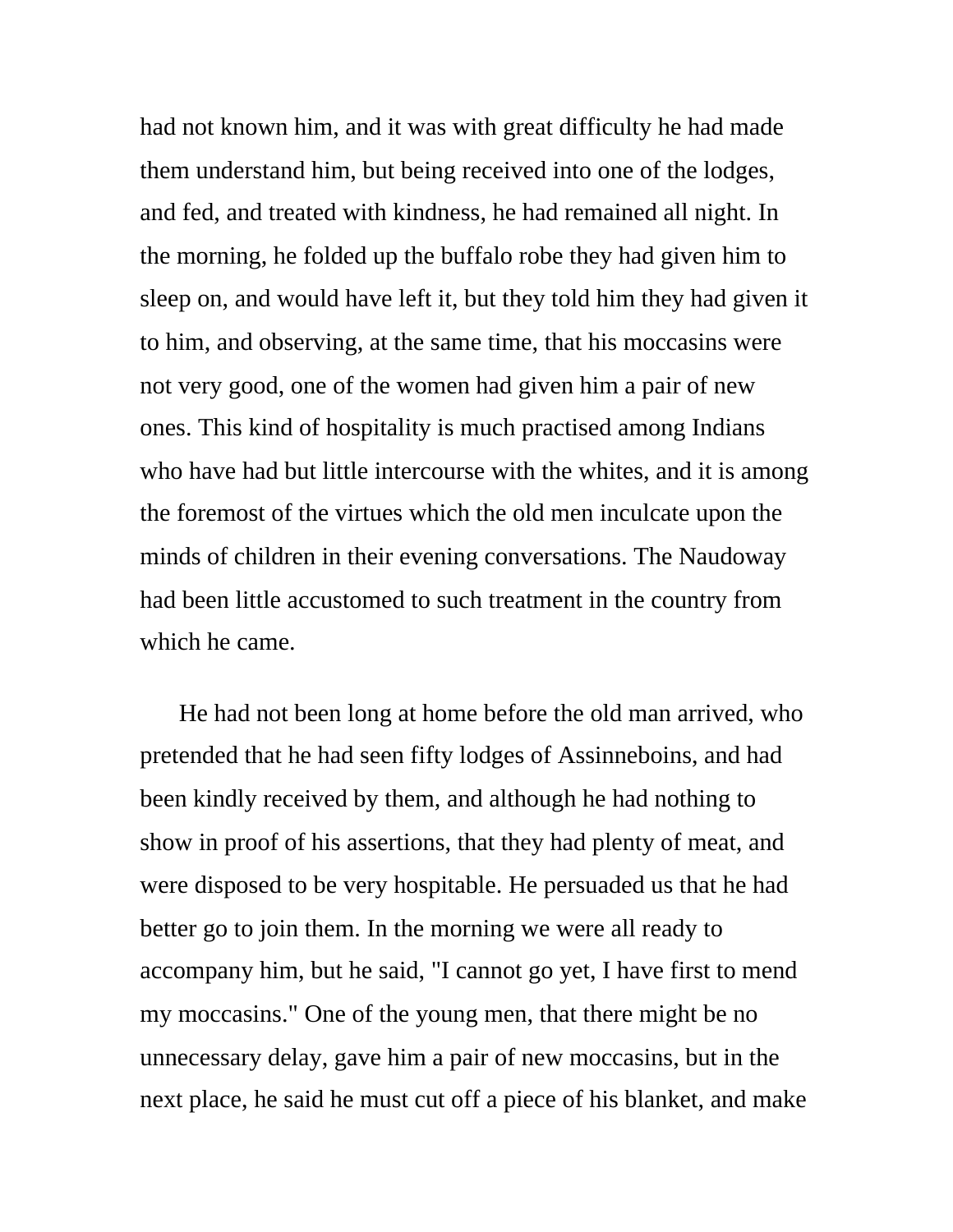had not known him, and it was with great difficulty he had made them understand him, but being received into one of the lodges, and fed, and treated with kindness, he had remained all night. In the morning, he folded up the buffalo robe they had given him to sleep on, and would have left it, but they told him they had given it to him, and observing, at the same time, that his moccasins were not very good, one of the women had given him a pair of new ones. This kind of hospitality is much practised among Indians who have had but little intercourse with the whites, and it is among the foremost of the virtues which the old men inculcate upon the minds of children in their evening conversations. The Naudoway had been little accustomed to such treatment in the country from which he came.

He had not been long at home before the old man arrived, who pretended that he had seen fifty lodges of Assinneboins, and had been kindly received by them, and although he had nothing to show in proof of his assertions, that they had plenty of meat, and were disposed to be very hospitable. He persuaded us that he had better go to join them. In the morning we were all ready to accompany him, but he said, "I cannot go yet, I have first to mend my moccasins." One of the young men, that there might be no unnecessary delay, gave him a pair of new moccasins, but in the next place, he said he must cut off a piece of his blanket, and make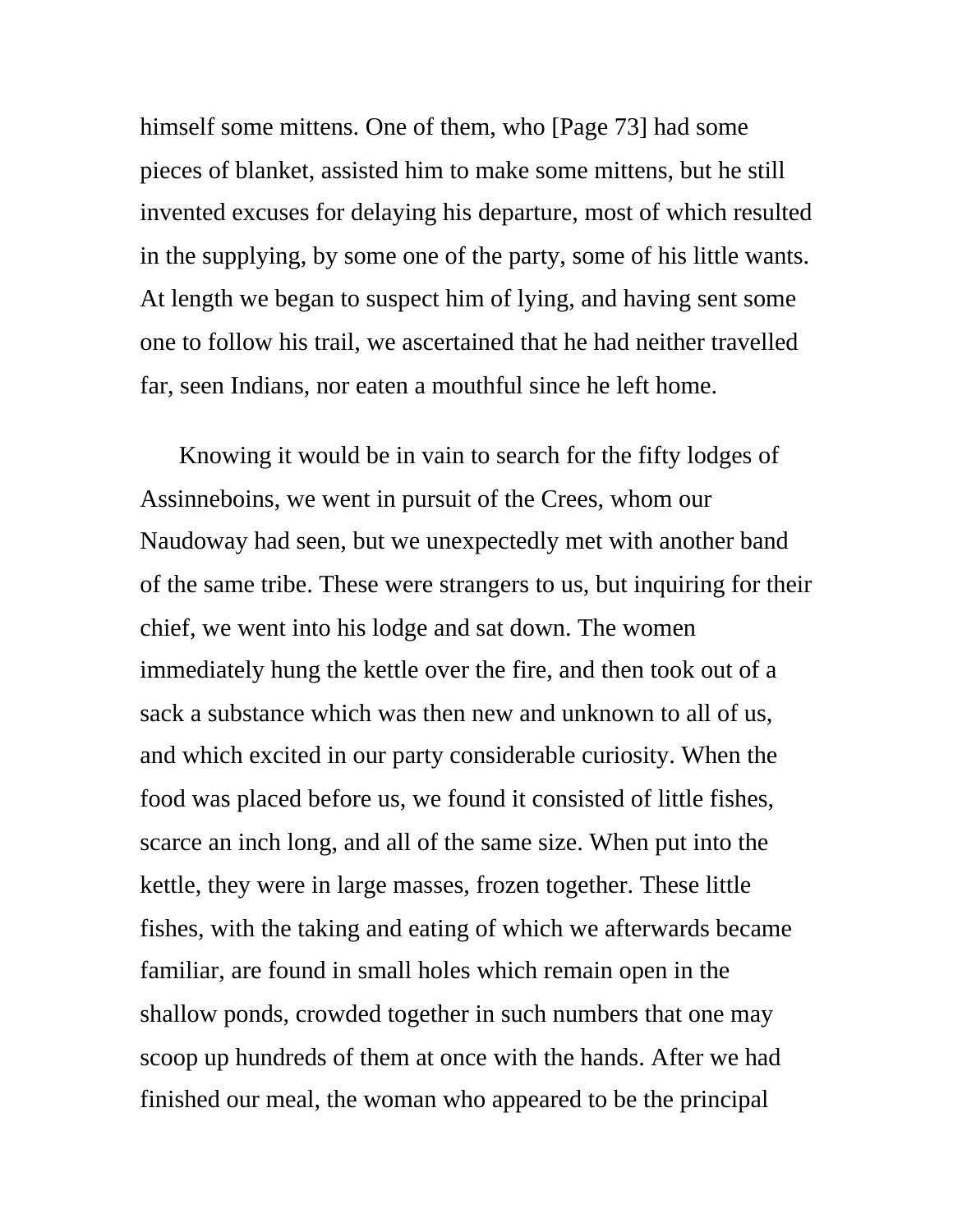himself some mittens. One of them, who [Page 73] had some pieces of blanket, assisted him to make some mittens, but he still invented excuses for delaying his departure, most of which resulted in the supplying, by some one of the party, some of his little wants. At length we began to suspect him of lying, and having sent some one to follow his trail, we ascertained that he had neither travelled far, seen Indians, nor eaten a mouthful since he left home.

Knowing it would be in vain to search for the fifty lodges of Assinneboins, we went in pursuit of the Crees, whom our Naudoway had seen, but we unexpectedly met with another band of the same tribe. These were strangers to us, but inquiring for their chief, we went into his lodge and sat down. The women immediately hung the kettle over the fire, and then took out of a sack a substance which was then new and unknown to all of us, and which excited in our party considerable curiosity. When the food was placed before us, we found it consisted of little fishes, scarce an inch long, and all of the same size. When put into the kettle, they were in large masses, frozen together. These little fishes, with the taking and eating of which we afterwards became familiar, are found in small holes which remain open in the shallow ponds, crowded together in such numbers that one may scoop up hundreds of them at once with the hands. After we had finished our meal, the woman who appeared to be the principal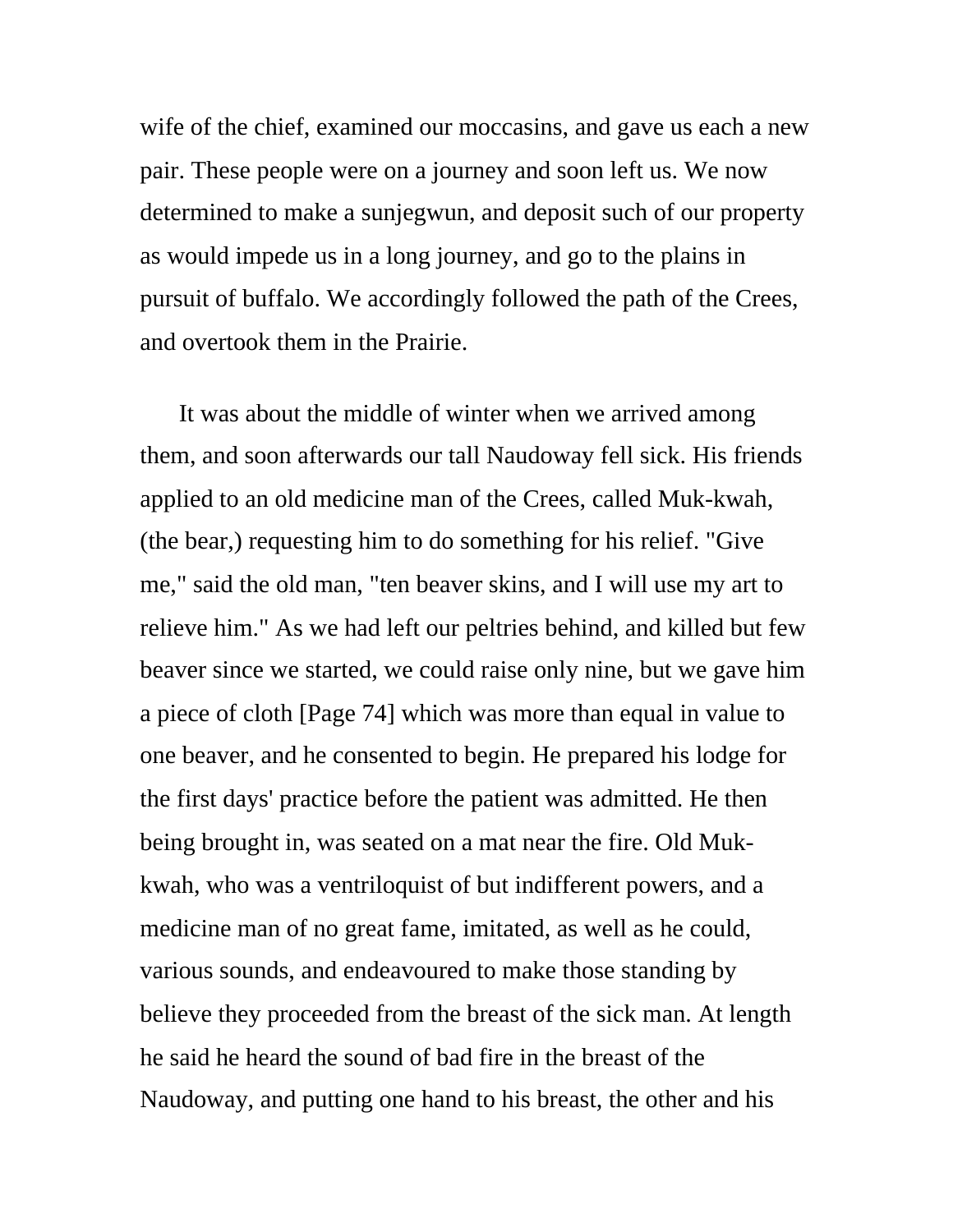wife of the chief, examined our moccasins, and gave us each a new pair. These people were on a journey and soon left us. We now determined to make a sunjegwun, and deposit such of our property as would impede us in a long journey, and go to the plains in pursuit of buffalo. We accordingly followed the path of the Crees, and overtook them in the Prairie.

It was about the middle of winter when we arrived among them, and soon afterwards our tall Naudoway fell sick. His friends applied to an old medicine man of the Crees, called Muk-kwah, (the bear,) requesting him to do something for his relief. "Give me," said the old man, "ten beaver skins, and I will use my art to relieve him." As we had left our peltries behind, and killed but few beaver since we started, we could raise only nine, but we gave him a piece of cloth [Page 74] which was more than equal in value to one beaver, and he consented to begin. He prepared his lodge for the first days' practice before the patient was admitted. He then being brought in, was seated on a mat near the fire. Old Mukkwah, who was a ventriloquist of but indifferent powers, and a medicine man of no great fame, imitated, as well as he could, various sounds, and endeavoured to make those standing by believe they proceeded from the breast of the sick man. At length he said he heard the sound of bad fire in the breast of the Naudoway, and putting one hand to his breast, the other and his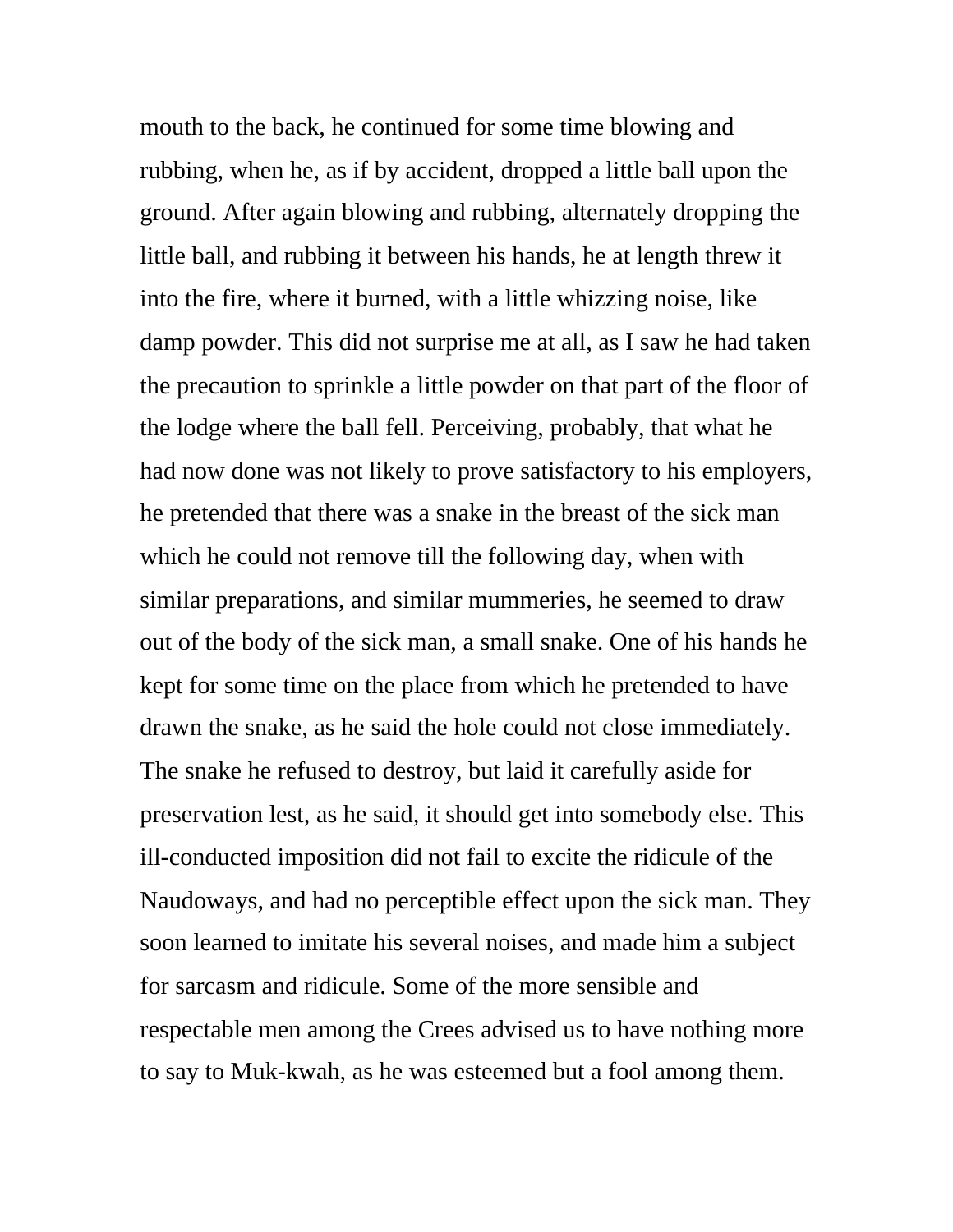mouth to the back, he continued for some time blowing and rubbing, when he, as if by accident, dropped a little ball upon the ground. After again blowing and rubbing, alternately dropping the little ball, and rubbing it between his hands, he at length threw it into the fire, where it burned, with a little whizzing noise, like damp powder. This did not surprise me at all, as I saw he had taken the precaution to sprinkle a little powder on that part of the floor of the lodge where the ball fell. Perceiving, probably, that what he had now done was not likely to prove satisfactory to his employers, he pretended that there was a snake in the breast of the sick man which he could not remove till the following day, when with similar preparations, and similar mummeries, he seemed to draw out of the body of the sick man, a small snake. One of his hands he kept for some time on the place from which he pretended to have drawn the snake, as he said the hole could not close immediately. The snake he refused to destroy, but laid it carefully aside for preservation lest, as he said, it should get into somebody else. This ill-conducted imposition did not fail to excite the ridicule of the Naudoways, and had no perceptible effect upon the sick man. They soon learned to imitate his several noises, and made him a subject for sarcasm and ridicule. Some of the more sensible and respectable men among the Crees advised us to have nothing more to say to Muk-kwah, as he was esteemed but a fool among them.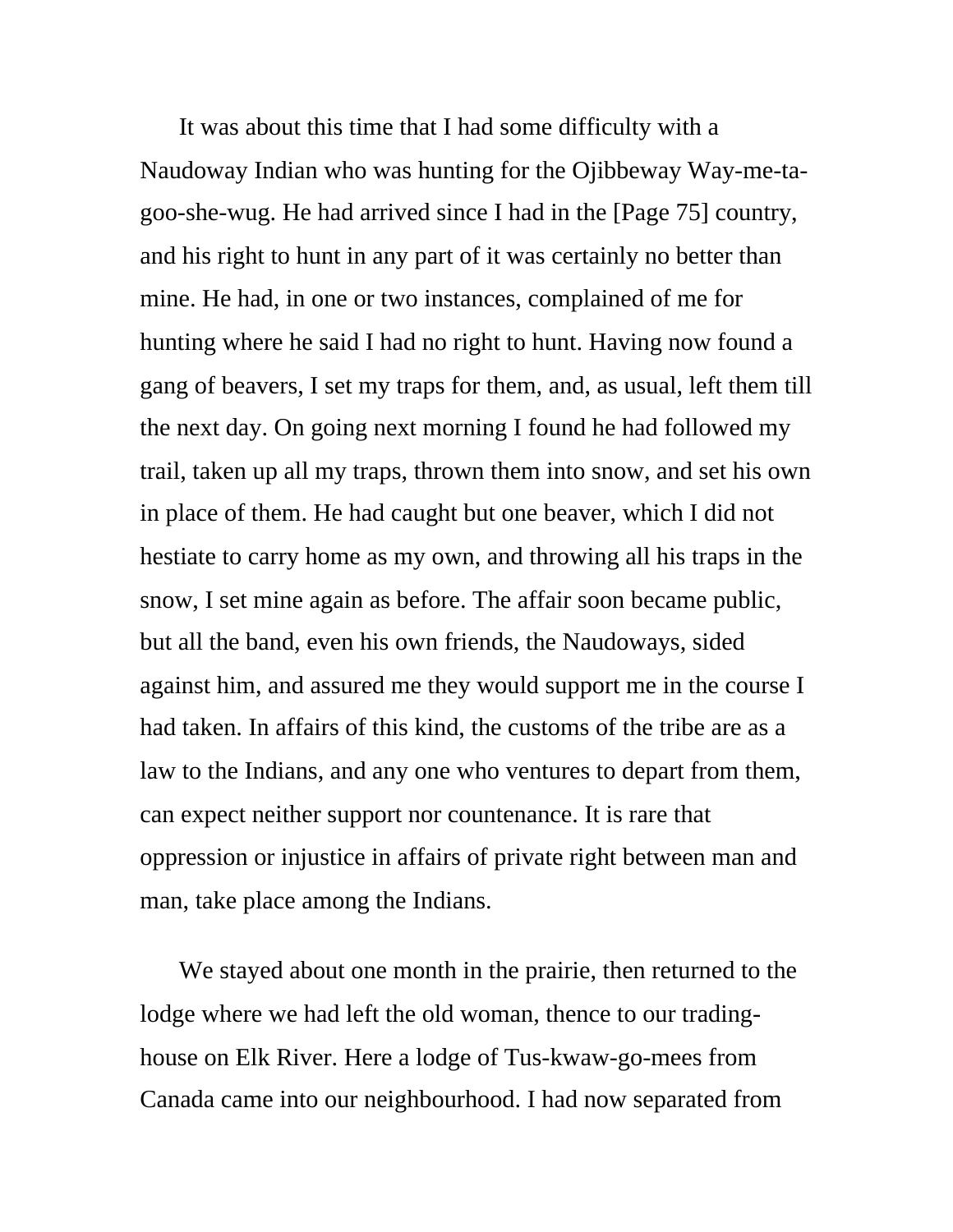It was about this time that I had some difficulty with a Naudoway Indian who was hunting for the Ojibbeway Way-me-tagoo-she-wug. He had arrived since I had in the [Page 75] country, and his right to hunt in any part of it was certainly no better than mine. He had, in one or two instances, complained of me for hunting where he said I had no right to hunt. Having now found a gang of beavers, I set my traps for them, and, as usual, left them till the next day. On going next morning I found he had followed my trail, taken up all my traps, thrown them into snow, and set his own in place of them. He had caught but one beaver, which I did not hestiate to carry home as my own, and throwing all his traps in the snow, I set mine again as before. The affair soon became public, but all the band, even his own friends, the Naudoways, sided against him, and assured me they would support me in the course I had taken. In affairs of this kind, the customs of the tribe are as a law to the Indians, and any one who ventures to depart from them, can expect neither support nor countenance. It is rare that oppression or injustice in affairs of private right between man and man, take place among the Indians.

We stayed about one month in the prairie, then returned to the lodge where we had left the old woman, thence to our tradinghouse on Elk River. Here a lodge of Tus-kwaw-go-mees from Canada came into our neighbourhood. I had now separated from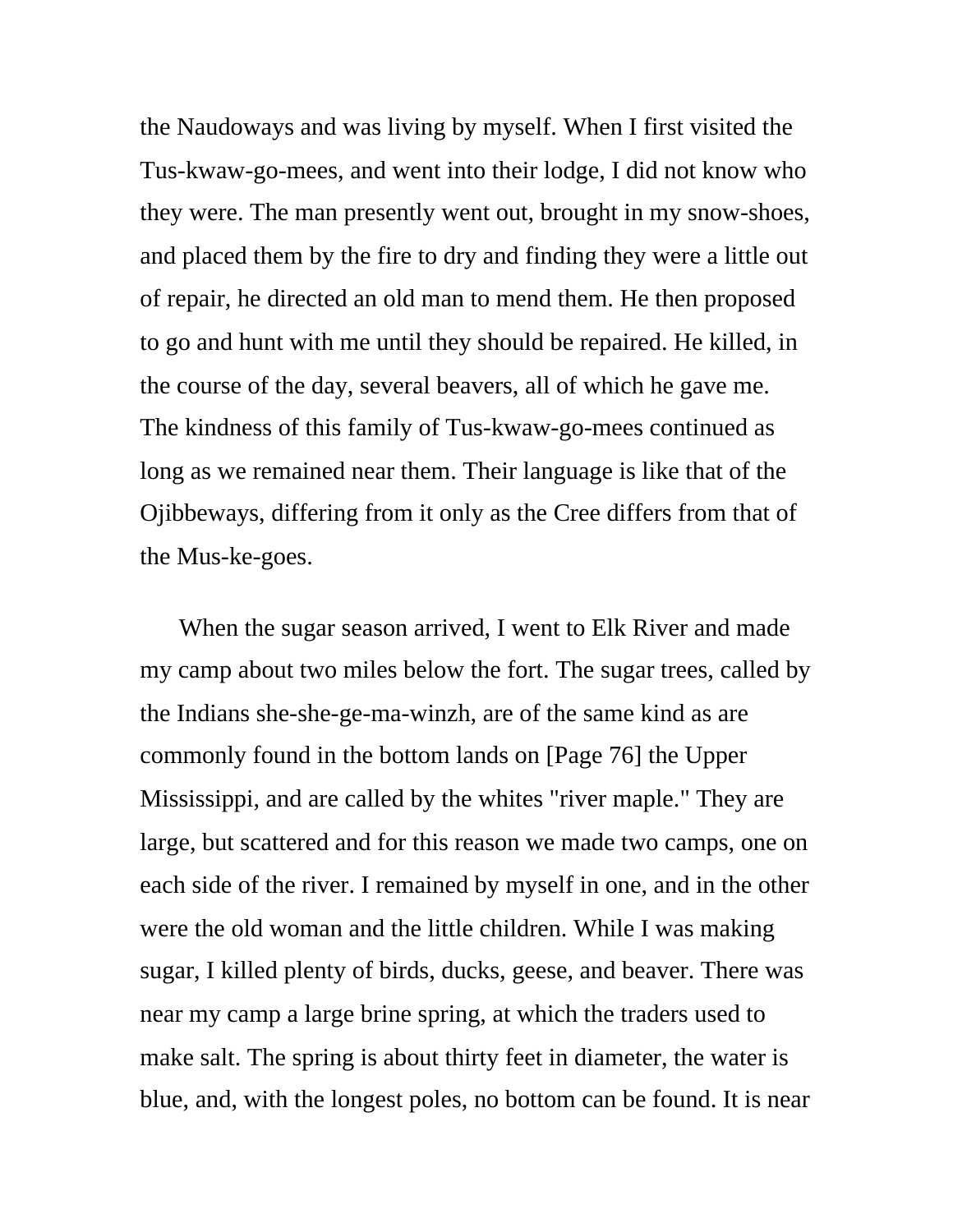the Naudoways and was living by myself. When I first visited the Tus-kwaw-go-mees, and went into their lodge, I did not know who they were. The man presently went out, brought in my snow-shoes, and placed them by the fire to dry and finding they were a little out of repair, he directed an old man to mend them. He then proposed to go and hunt with me until they should be repaired. He killed, in the course of the day, several beavers, all of which he gave me. The kindness of this family of Tus-kwaw-go-mees continued as long as we remained near them. Their language is like that of the Ojibbeways, differing from it only as the Cree differs from that of the Mus-ke-goes.

When the sugar season arrived, I went to Elk River and made my camp about two miles below the fort. The sugar trees, called by the Indians she-she-ge-ma-winzh, are of the same kind as are commonly found in the bottom lands on [Page 76] the Upper Mississippi, and are called by the whites "river maple." They are large, but scattered and for this reason we made two camps, one on each side of the river. I remained by myself in one, and in the other were the old woman and the little children. While I was making sugar, I killed plenty of birds, ducks, geese, and beaver. There was near my camp a large brine spring, at which the traders used to make salt. The spring is about thirty feet in diameter, the water is blue, and, with the longest poles, no bottom can be found. It is near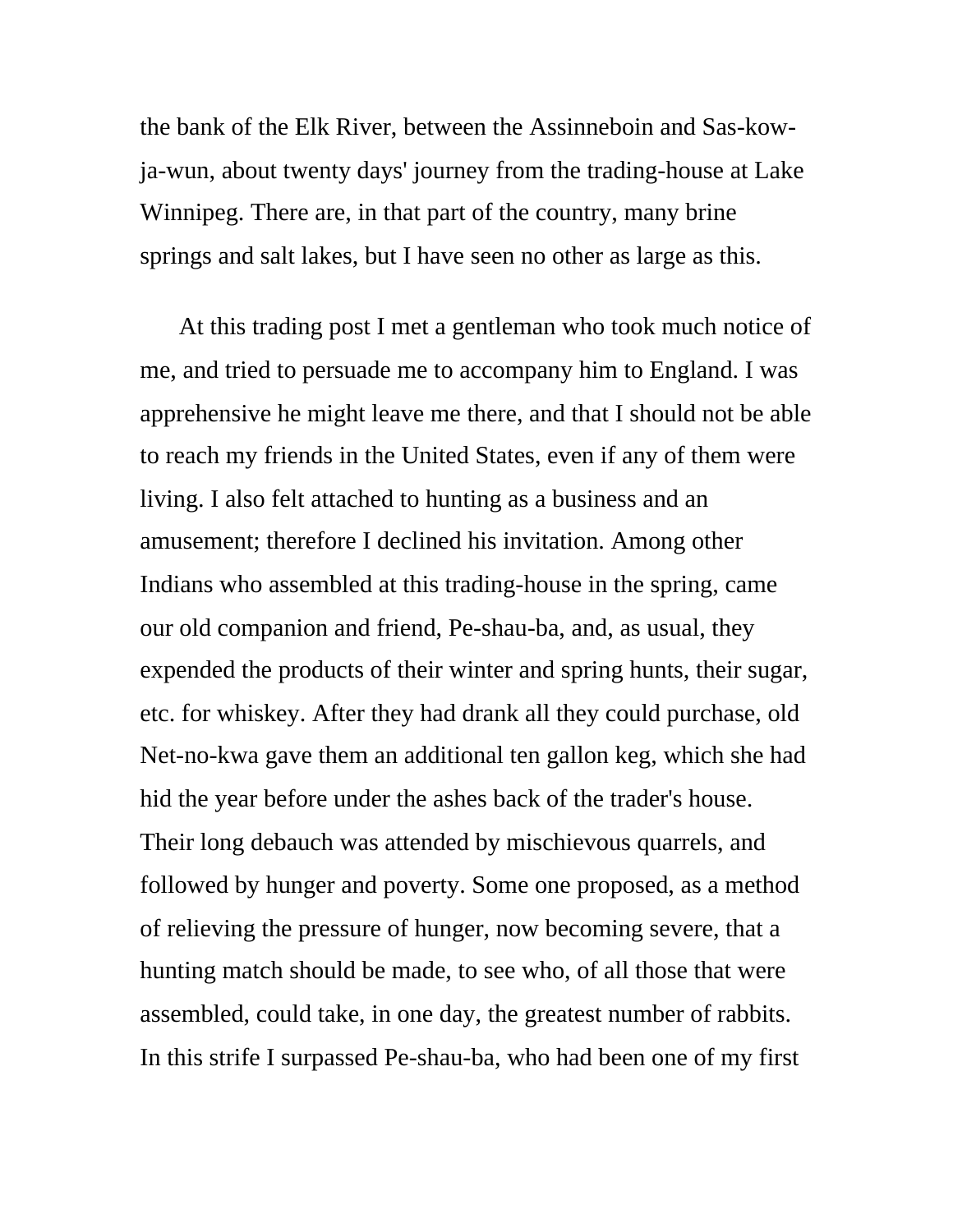the bank of the Elk River, between the Assinneboin and Sas-kowja-wun, about twenty days' journey from the trading-house at Lake Winnipeg. There are, in that part of the country, many brine springs and salt lakes, but I have seen no other as large as this.

At this trading post I met a gentleman who took much notice of me, and tried to persuade me to accompany him to England. I was apprehensive he might leave me there, and that I should not be able to reach my friends in the United States, even if any of them were living. I also felt attached to hunting as a business and an amusement; therefore I declined his invitation. Among other Indians who assembled at this trading-house in the spring, came our old companion and friend, Pe-shau-ba, and, as usual, they expended the products of their winter and spring hunts, their sugar, etc. for whiskey. After they had drank all they could purchase, old Net-no-kwa gave them an additional ten gallon keg, which she had hid the year before under the ashes back of the trader's house. Their long debauch was attended by mischievous quarrels, and followed by hunger and poverty. Some one proposed, as a method of relieving the pressure of hunger, now becoming severe, that a hunting match should be made, to see who, of all those that were assembled, could take, in one day, the greatest number of rabbits. In this strife I surpassed Pe-shau-ba, who had been one of my first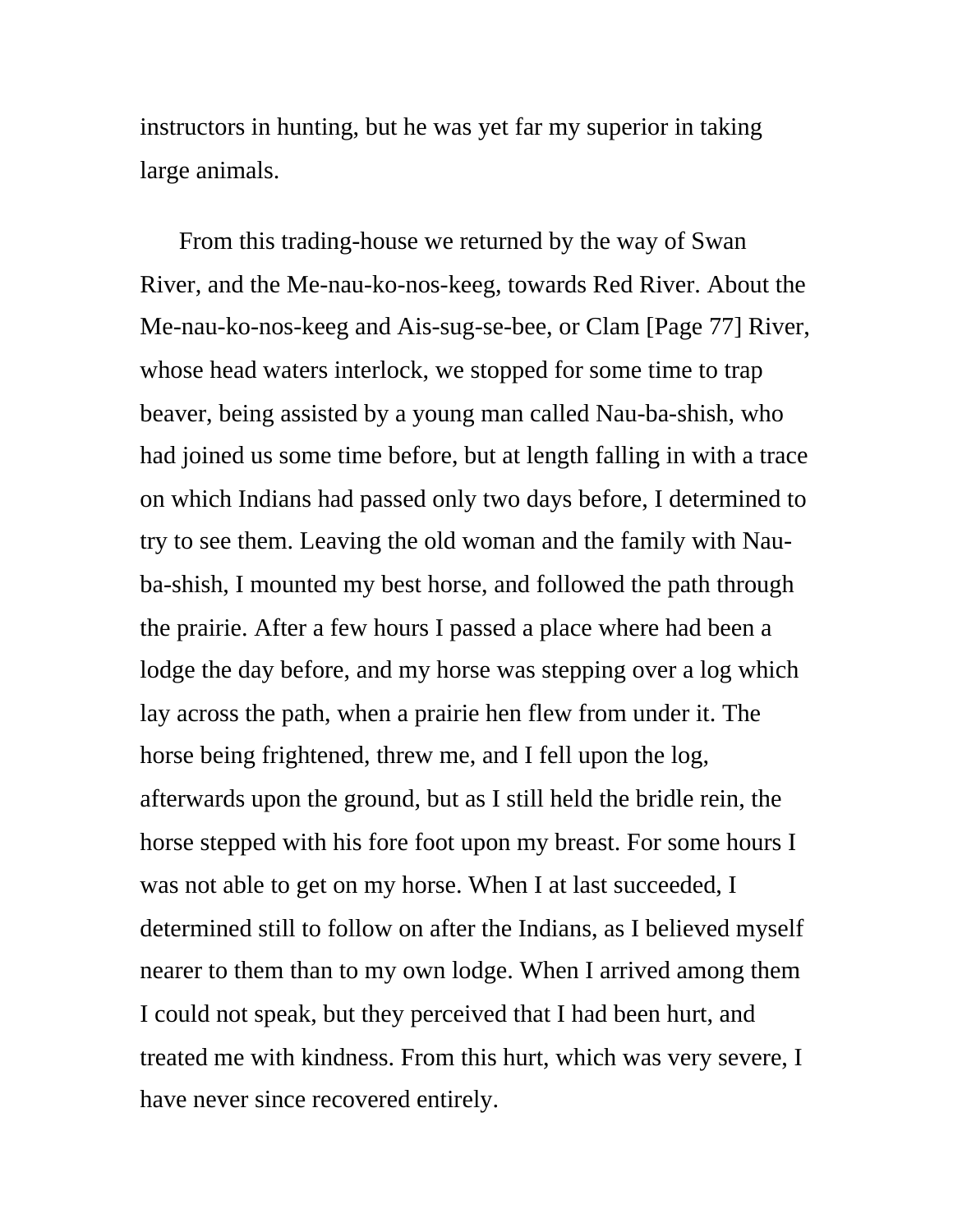instructors in hunting, but he was yet far my superior in taking large animals.

From this trading-house we returned by the way of Swan River, and the Me-nau-ko-nos-keeg, towards Red River. About the Me-nau-ko-nos-keeg and Ais-sug-se-bee, or Clam [Page 77] River, whose head waters interlock, we stopped for some time to trap beaver, being assisted by a young man called Nau-ba-shish, who had joined us some time before, but at length falling in with a trace on which Indians had passed only two days before, I determined to try to see them. Leaving the old woman and the family with Nauba-shish, I mounted my best horse, and followed the path through the prairie. After a few hours I passed a place where had been a lodge the day before, and my horse was stepping over a log which lay across the path, when a prairie hen flew from under it. The horse being frightened, threw me, and I fell upon the log, afterwards upon the ground, but as I still held the bridle rein, the horse stepped with his fore foot upon my breast. For some hours I was not able to get on my horse. When I at last succeeded, I determined still to follow on after the Indians, as I believed myself nearer to them than to my own lodge. When I arrived among them I could not speak, but they perceived that I had been hurt, and treated me with kindness. From this hurt, which was very severe, I have never since recovered entirely.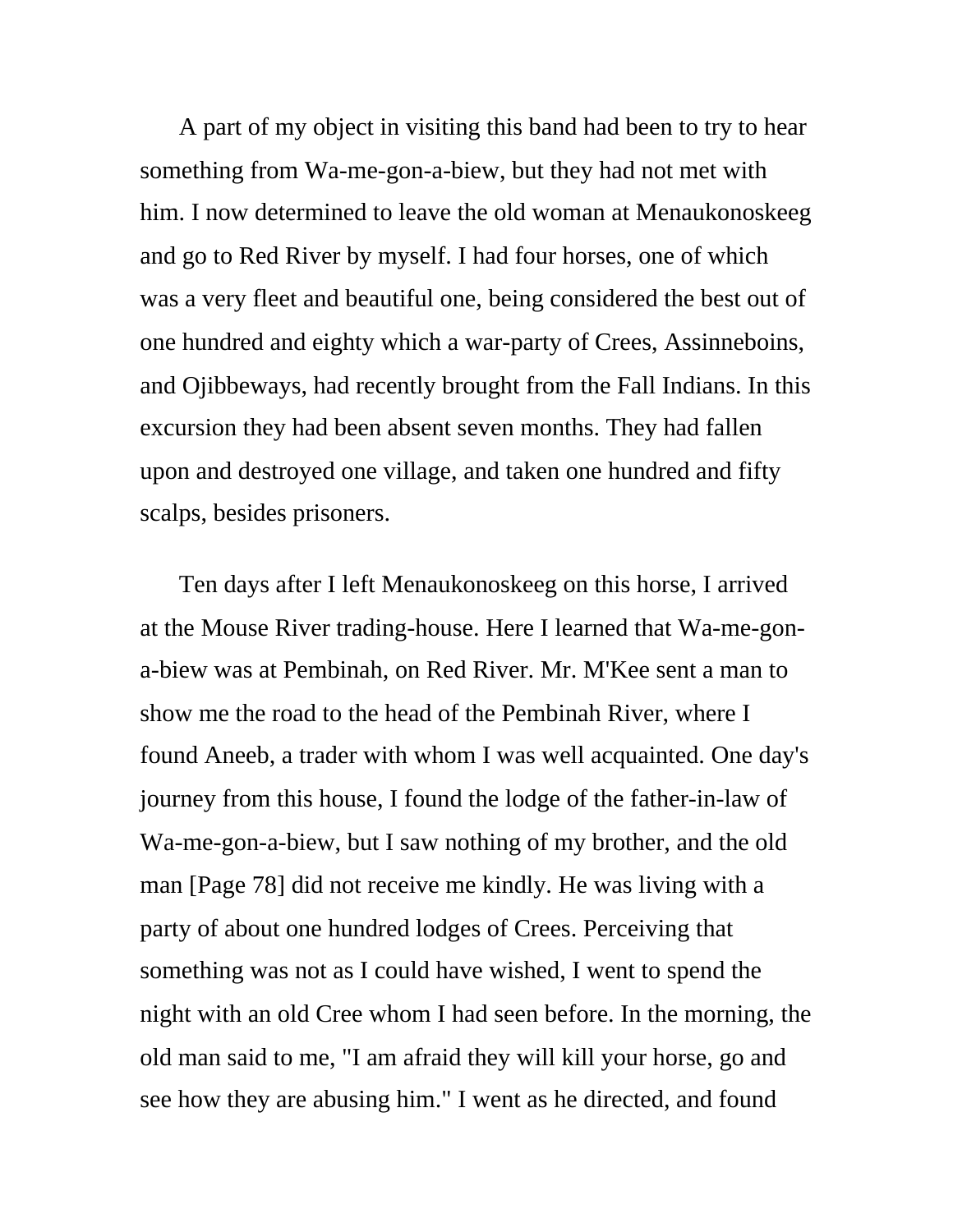A part of my object in visiting this band had been to try to hear something from Wa-me-gon-a-biew, but they had not met with him. I now determined to leave the old woman at Menaukonoskeeg and go to Red River by myself. I had four horses, one of which was a very fleet and beautiful one, being considered the best out of one hundred and eighty which a war-party of Crees, Assinneboins, and Ojibbeways, had recently brought from the Fall Indians. In this excursion they had been absent seven months. They had fallen upon and destroyed one village, and taken one hundred and fifty scalps, besides prisoners.

Ten days after I left Menaukonoskeeg on this horse, I arrived at the Mouse River trading-house. Here I learned that Wa-me-gona-biew was at Pembinah, on Red River. Mr. M'Kee sent a man to show me the road to the head of the Pembinah River, where I found Aneeb, a trader with whom I was well acquainted. One day's journey from this house, I found the lodge of the father-in-law of Wa-me-gon-a-biew, but I saw nothing of my brother, and the old man [Page 78] did not receive me kindly. He was living with a party of about one hundred lodges of Crees. Perceiving that something was not as I could have wished, I went to spend the night with an old Cree whom I had seen before. In the morning, the old man said to me, "I am afraid they will kill your horse, go and see how they are abusing him." I went as he directed, and found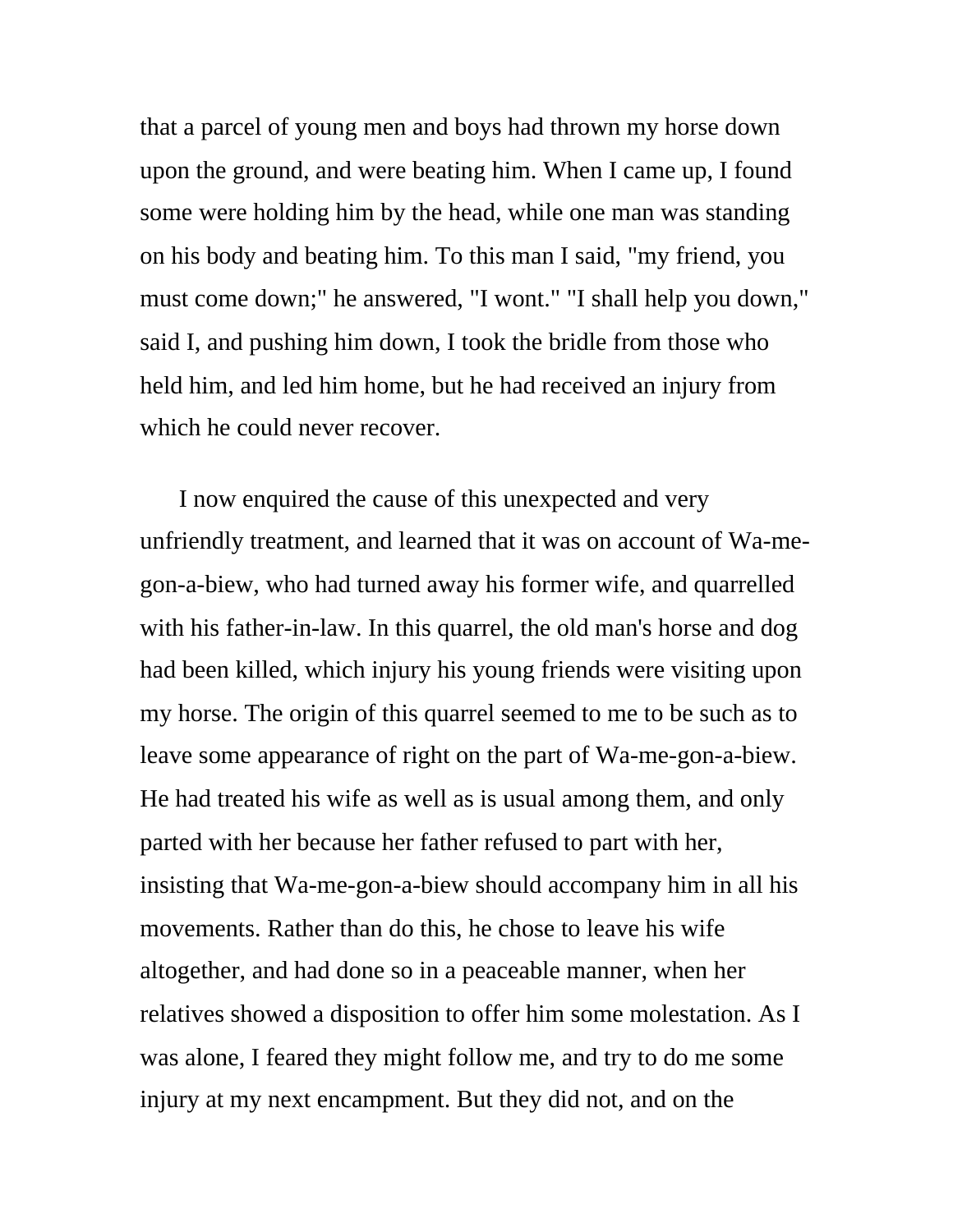that a parcel of young men and boys had thrown my horse down upon the ground, and were beating him. When I came up, I found some were holding him by the head, while one man was standing on his body and beating him. To this man I said, "my friend, you must come down;" he answered, "I wont." "I shall help you down," said I, and pushing him down, I took the bridle from those who held him, and led him home, but he had received an injury from which he could never recover.

I now enquired the cause of this unexpected and very unfriendly treatment, and learned that it was on account of Wa-megon-a-biew, who had turned away his former wife, and quarrelled with his father-in-law. In this quarrel, the old man's horse and dog had been killed, which injury his young friends were visiting upon my horse. The origin of this quarrel seemed to me to be such as to leave some appearance of right on the part of Wa-me-gon-a-biew. He had treated his wife as well as is usual among them, and only parted with her because her father refused to part with her, insisting that Wa-me-gon-a-biew should accompany him in all his movements. Rather than do this, he chose to leave his wife altogether, and had done so in a peaceable manner, when her relatives showed a disposition to offer him some molestation. As I was alone, I feared they might follow me, and try to do me some injury at my next encampment. But they did not, and on the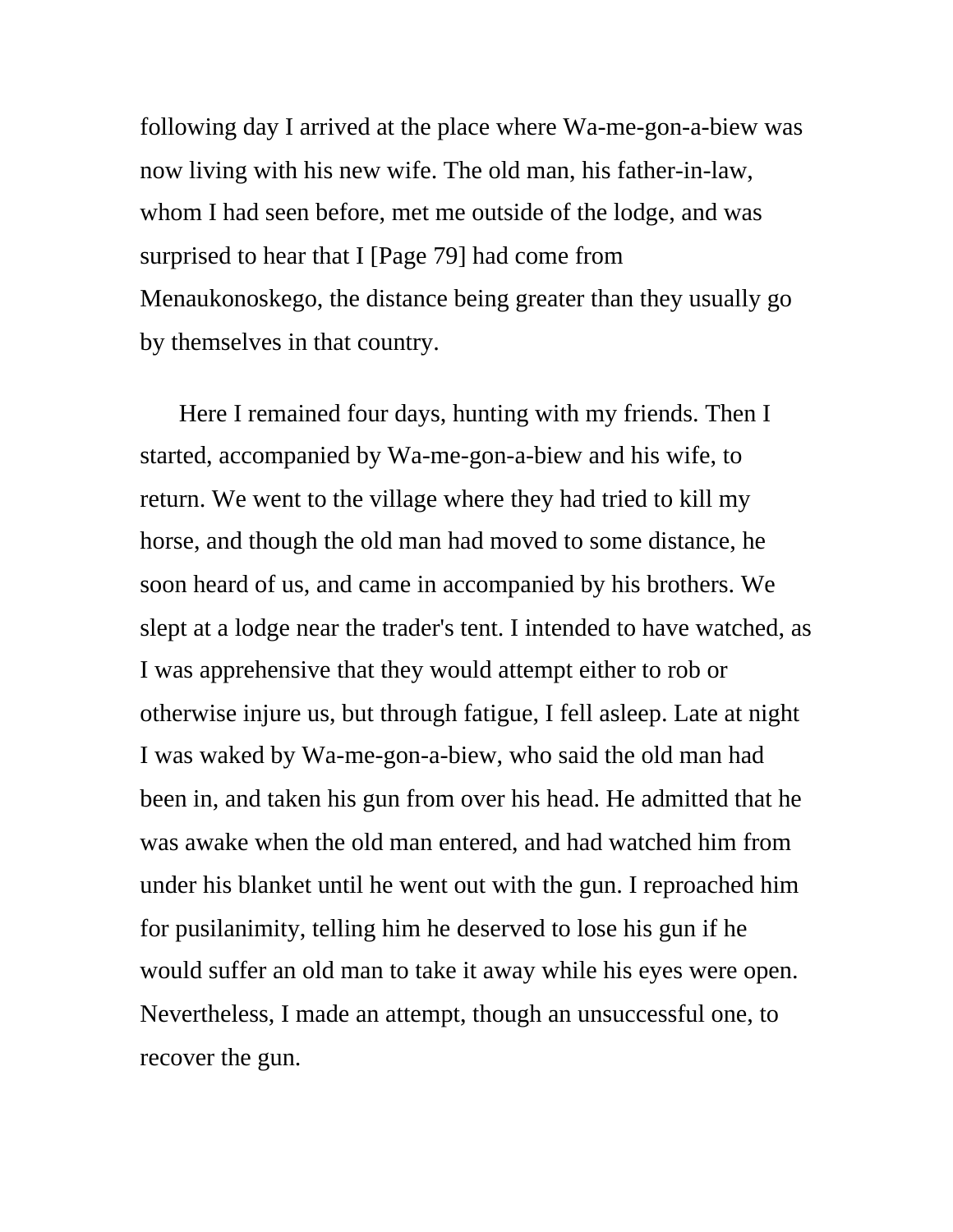following day I arrived at the place where Wa-me-gon-a-biew was now living with his new wife. The old man, his father-in-law, whom I had seen before, met me outside of the lodge, and was surprised to hear that I [Page 79] had come from Menaukonoskego, the distance being greater than they usually go by themselves in that country.

Here I remained four days, hunting with my friends. Then I started, accompanied by Wa-me-gon-a-biew and his wife, to return. We went to the village where they had tried to kill my horse, and though the old man had moved to some distance, he soon heard of us, and came in accompanied by his brothers. We slept at a lodge near the trader's tent. I intended to have watched, as I was apprehensive that they would attempt either to rob or otherwise injure us, but through fatigue, I fell asleep. Late at night I was waked by Wa-me-gon-a-biew, who said the old man had been in, and taken his gun from over his head. He admitted that he was awake when the old man entered, and had watched him from under his blanket until he went out with the gun. I reproached him for pusilanimity, telling him he deserved to lose his gun if he would suffer an old man to take it away while his eyes were open. Nevertheless, I made an attempt, though an unsuccessful one, to recover the gun.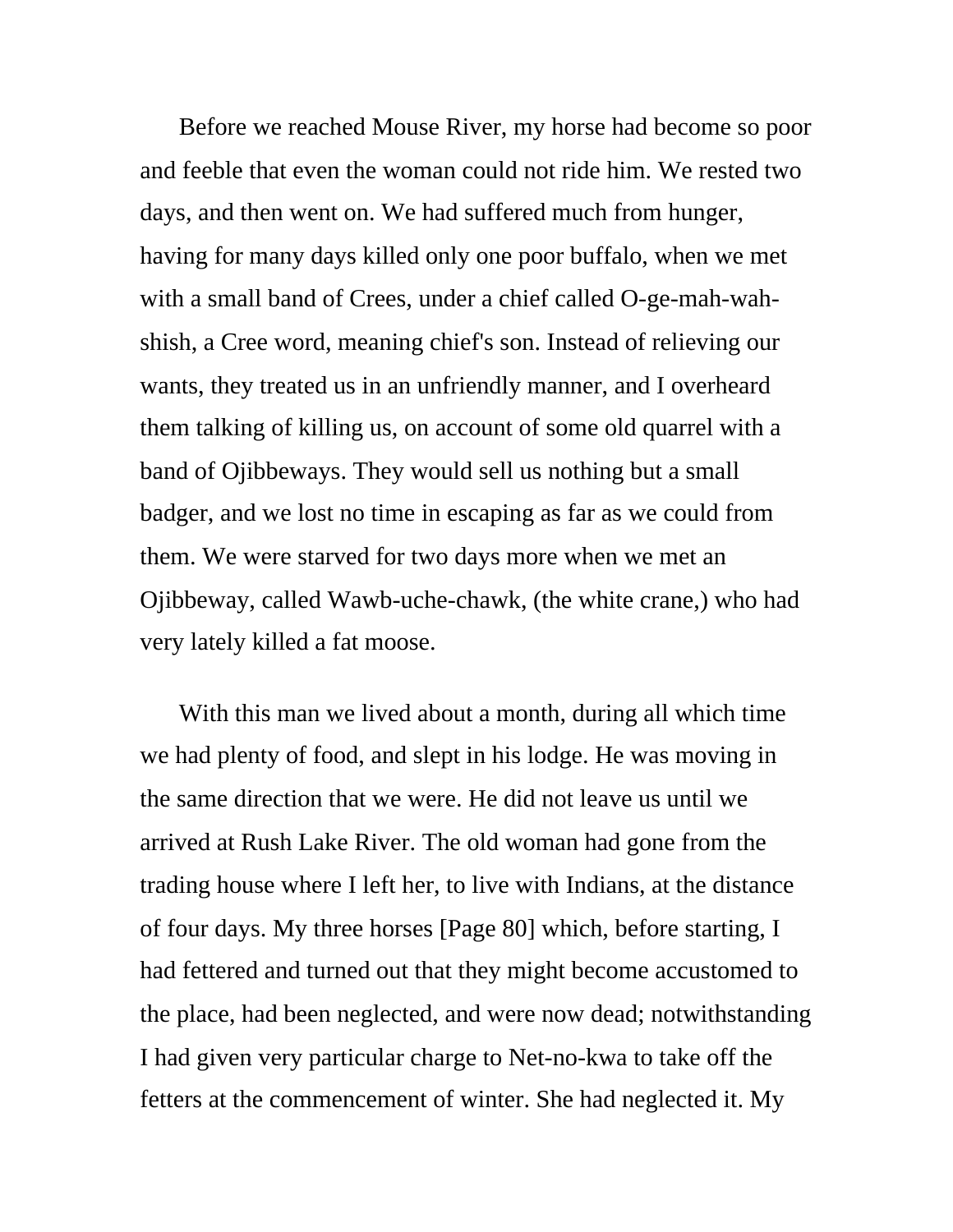Before we reached Mouse River, my horse had become so poor and feeble that even the woman could not ride him. We rested two days, and then went on. We had suffered much from hunger, having for many days killed only one poor buffalo, when we met with a small band of Crees, under a chief called O-ge-mah-wahshish, a Cree word, meaning chief's son. Instead of relieving our wants, they treated us in an unfriendly manner, and I overheard them talking of killing us, on account of some old quarrel with a band of Ojibbeways. They would sell us nothing but a small badger, and we lost no time in escaping as far as we could from them. We were starved for two days more when we met an Ojibbeway, called Wawb-uche-chawk, (the white crane,) who had very lately killed a fat moose.

With this man we lived about a month, during all which time we had plenty of food, and slept in his lodge. He was moving in the same direction that we were. He did not leave us until we arrived at Rush Lake River. The old woman had gone from the trading house where I left her, to live with Indians, at the distance of four days. My three horses [Page 80] which, before starting, I had fettered and turned out that they might become accustomed to the place, had been neglected, and were now dead; notwithstanding I had given very particular charge to Net-no-kwa to take off the fetters at the commencement of winter. She had neglected it. My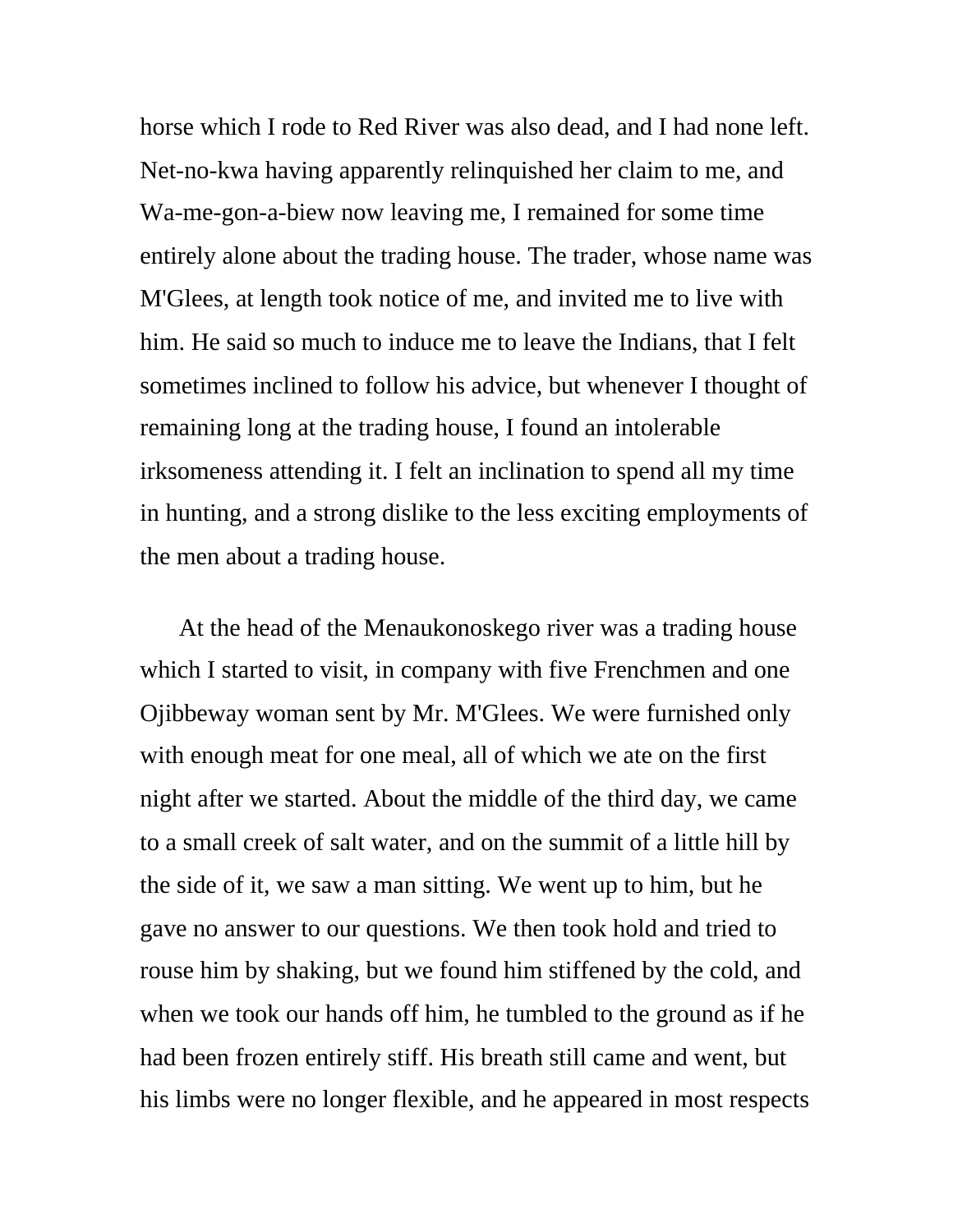horse which I rode to Red River was also dead, and I had none left. Net-no-kwa having apparently relinquished her claim to me, and Wa-me-gon-a-biew now leaving me, I remained for some time entirely alone about the trading house. The trader, whose name was M'Glees, at length took notice of me, and invited me to live with him. He said so much to induce me to leave the Indians, that I felt sometimes inclined to follow his advice, but whenever I thought of remaining long at the trading house, I found an intolerable irksomeness attending it. I felt an inclination to spend all my time in hunting, and a strong dislike to the less exciting employments of the men about a trading house.

At the head of the Menaukonoskego river was a trading house which I started to visit, in company with five Frenchmen and one Ojibbeway woman sent by Mr. M'Glees. We were furnished only with enough meat for one meal, all of which we ate on the first night after we started. About the middle of the third day, we came to a small creek of salt water, and on the summit of a little hill by the side of it, we saw a man sitting. We went up to him, but he gave no answer to our questions. We then took hold and tried to rouse him by shaking, but we found him stiffened by the cold, and when we took our hands off him, he tumbled to the ground as if he had been frozen entirely stiff. His breath still came and went, but his limbs were no longer flexible, and he appeared in most respects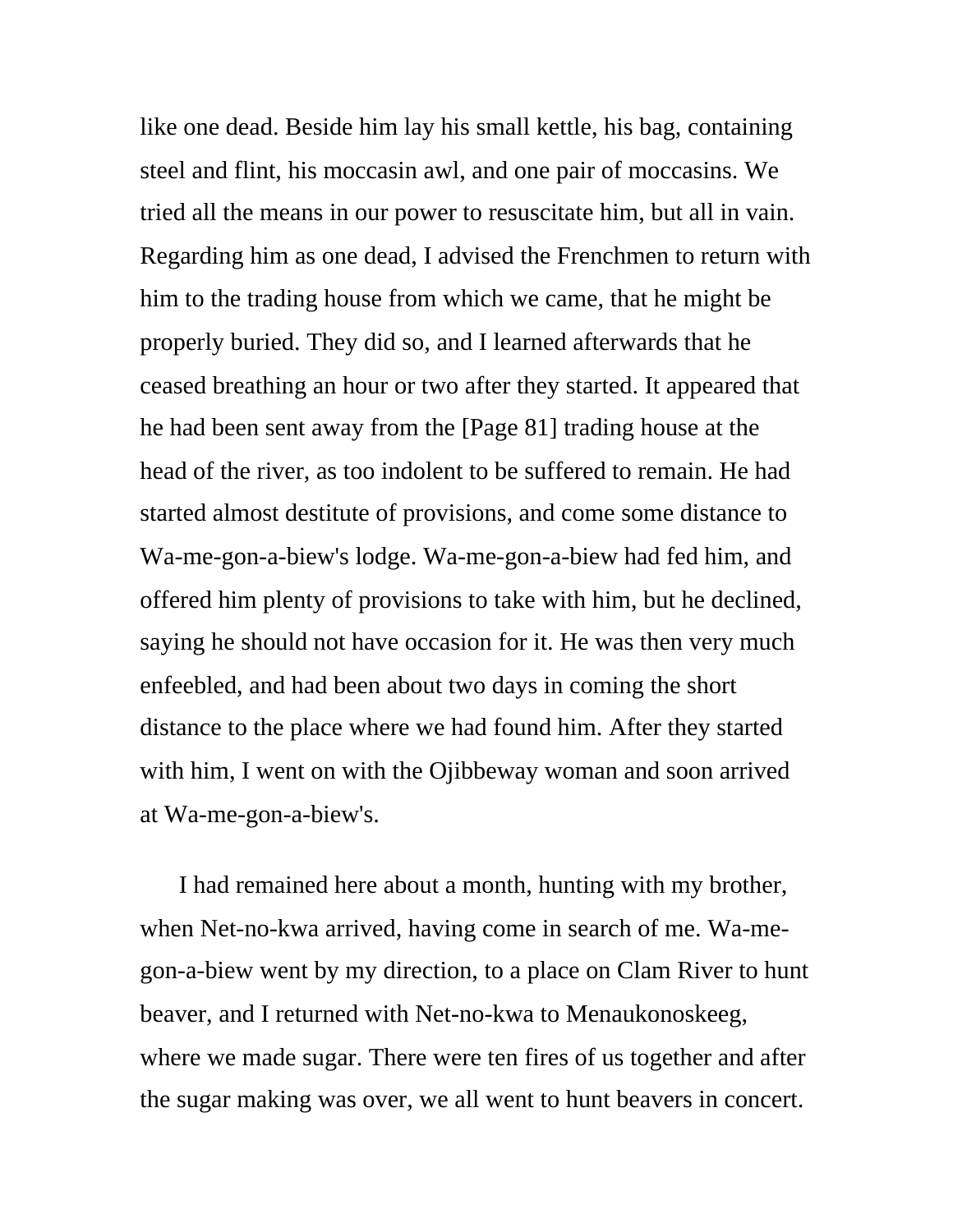like one dead. Beside him lay his small kettle, his bag, containing steel and flint, his moccasin awl, and one pair of moccasins. We tried all the means in our power to resuscitate him, but all in vain. Regarding him as one dead, I advised the Frenchmen to return with him to the trading house from which we came, that he might be properly buried. They did so, and I learned afterwards that he ceased breathing an hour or two after they started. It appeared that he had been sent away from the [Page 81] trading house at the head of the river, as too indolent to be suffered to remain. He had started almost destitute of provisions, and come some distance to Wa-me-gon-a-biew's lodge. Wa-me-gon-a-biew had fed him, and offered him plenty of provisions to take with him, but he declined, saying he should not have occasion for it. He was then very much enfeebled, and had been about two days in coming the short distance to the place where we had found him. After they started with him, I went on with the Ojibbeway woman and soon arrived at Wa-me-gon-a-biew's.

I had remained here about a month, hunting with my brother, when Net-no-kwa arrived, having come in search of me. Wa-megon-a-biew went by my direction, to a place on Clam River to hunt beaver, and I returned with Net-no-kwa to Menaukonoskeeg, where we made sugar. There were ten fires of us together and after the sugar making was over, we all went to hunt beavers in concert.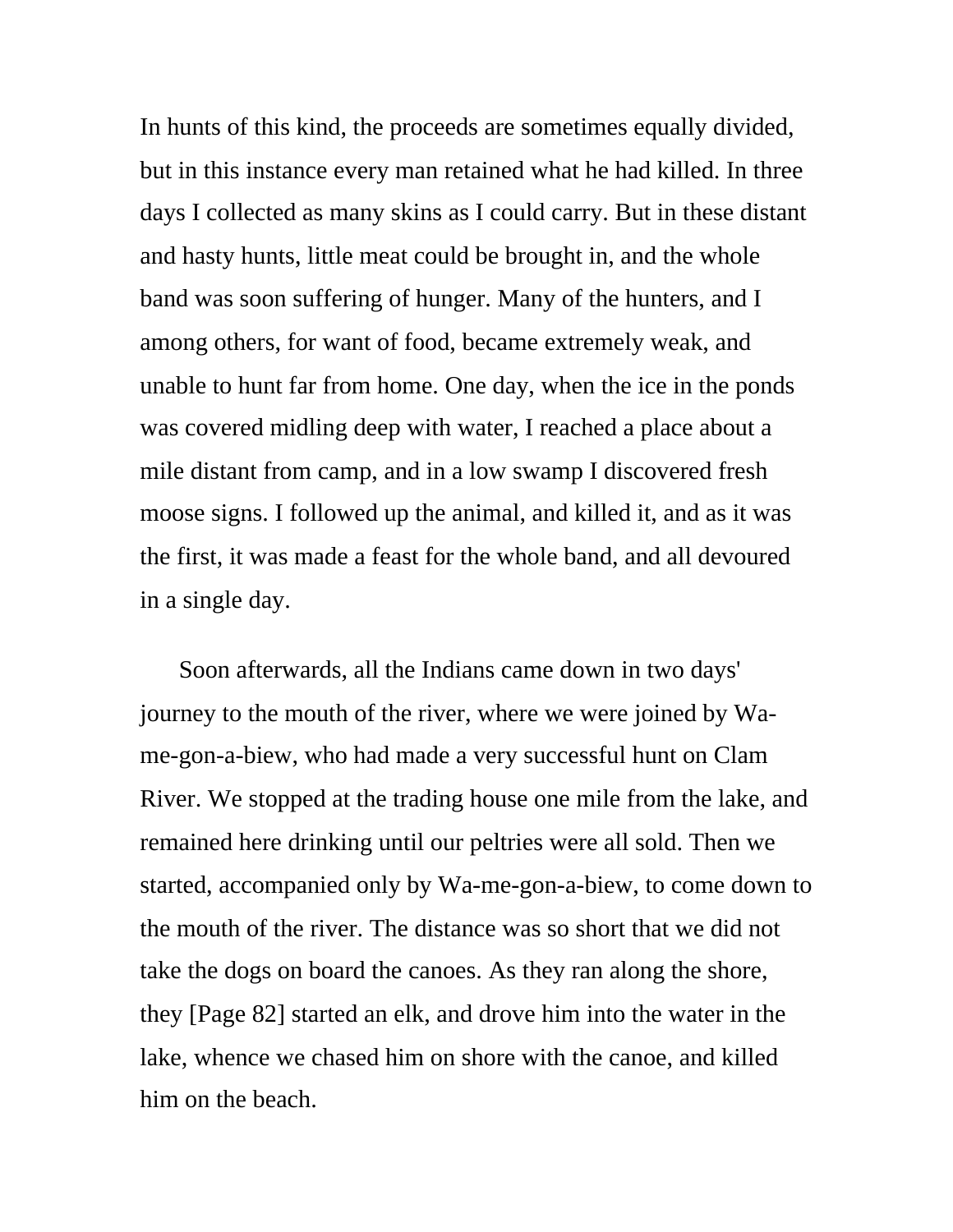In hunts of this kind, the proceeds are sometimes equally divided, but in this instance every man retained what he had killed. In three days I collected as many skins as I could carry. But in these distant and hasty hunts, little meat could be brought in, and the whole band was soon suffering of hunger. Many of the hunters, and I among others, for want of food, became extremely weak, and unable to hunt far from home. One day, when the ice in the ponds was covered midling deep with water, I reached a place about a mile distant from camp, and in a low swamp I discovered fresh moose signs. I followed up the animal, and killed it, and as it was the first, it was made a feast for the whole band, and all devoured in a single day.

Soon afterwards, all the Indians came down in two days' journey to the mouth of the river, where we were joined by Wame-gon-a-biew, who had made a very successful hunt on Clam River. We stopped at the trading house one mile from the lake, and remained here drinking until our peltries were all sold. Then we started, accompanied only by Wa-me-gon-a-biew, to come down to the mouth of the river. The distance was so short that we did not take the dogs on board the canoes. As they ran along the shore, they [Page 82] started an elk, and drove him into the water in the lake, whence we chased him on shore with the canoe, and killed him on the beach.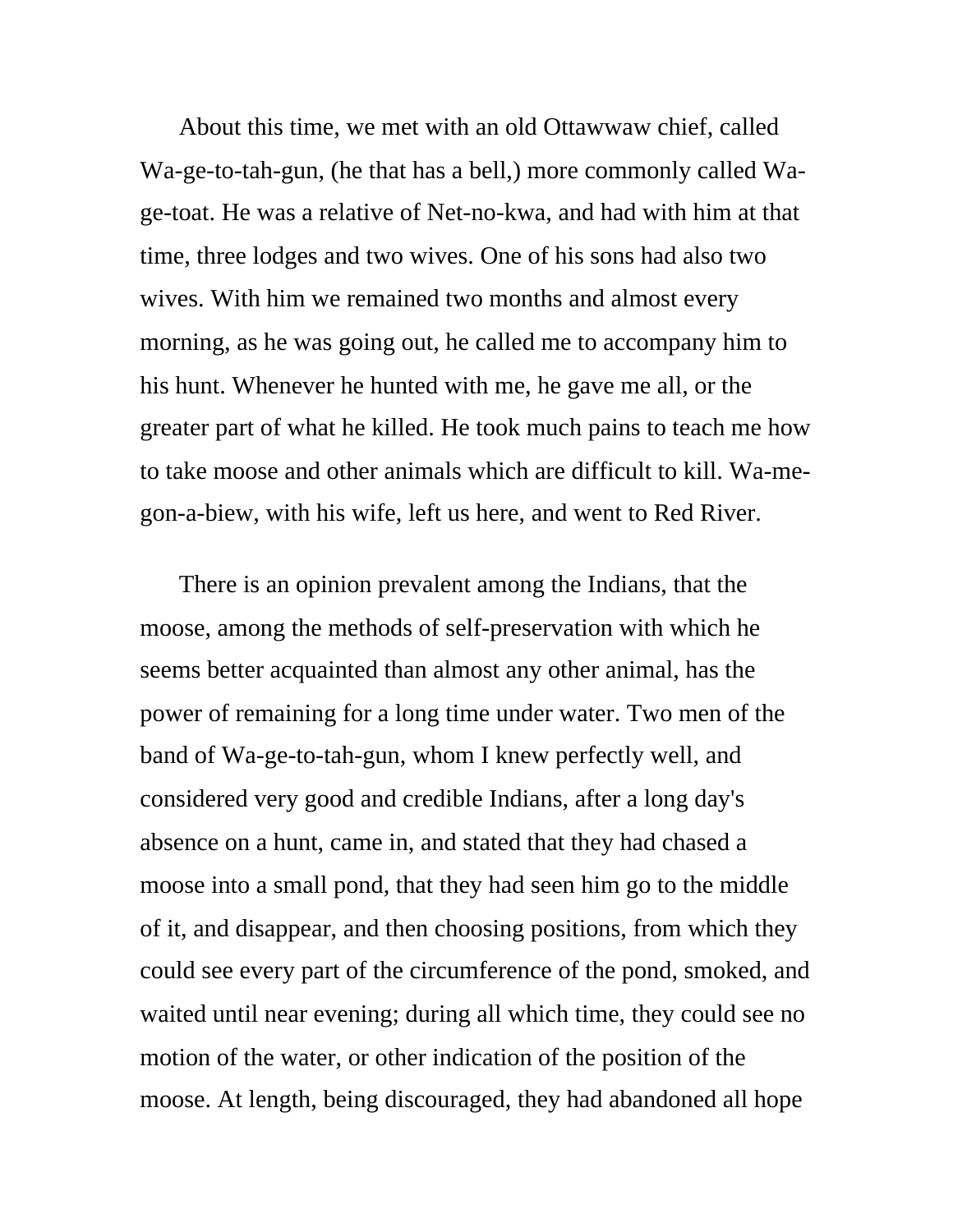About this time, we met with an old Ottawwaw chief, called Wa-ge-to-tah-gun, (he that has a bell,) more commonly called Wage-toat. He was a relative of Net-no-kwa, and had with him at that time, three lodges and two wives. One of his sons had also two wives. With him we remained two months and almost every morning, as he was going out, he called me to accompany him to his hunt. Whenever he hunted with me, he gave me all, or the greater part of what he killed. He took much pains to teach me how to take moose and other animals which are difficult to kill. Wa-megon-a-biew, with his wife, left us here, and went to Red River.

There is an opinion prevalent among the Indians, that the moose, among the methods of self-preservation with which he seems better acquainted than almost any other animal, has the power of remaining for a long time under water. Two men of the band of Wa-ge-to-tah-gun, whom I knew perfectly well, and considered very good and credible Indians, after a long day's absence on a hunt, came in, and stated that they had chased a moose into a small pond, that they had seen him go to the middle of it, and disappear, and then choosing positions, from which they could see every part of the circumference of the pond, smoked, and waited until near evening; during all which time, they could see no motion of the water, or other indication of the position of the moose. At length, being discouraged, they had abandoned all hope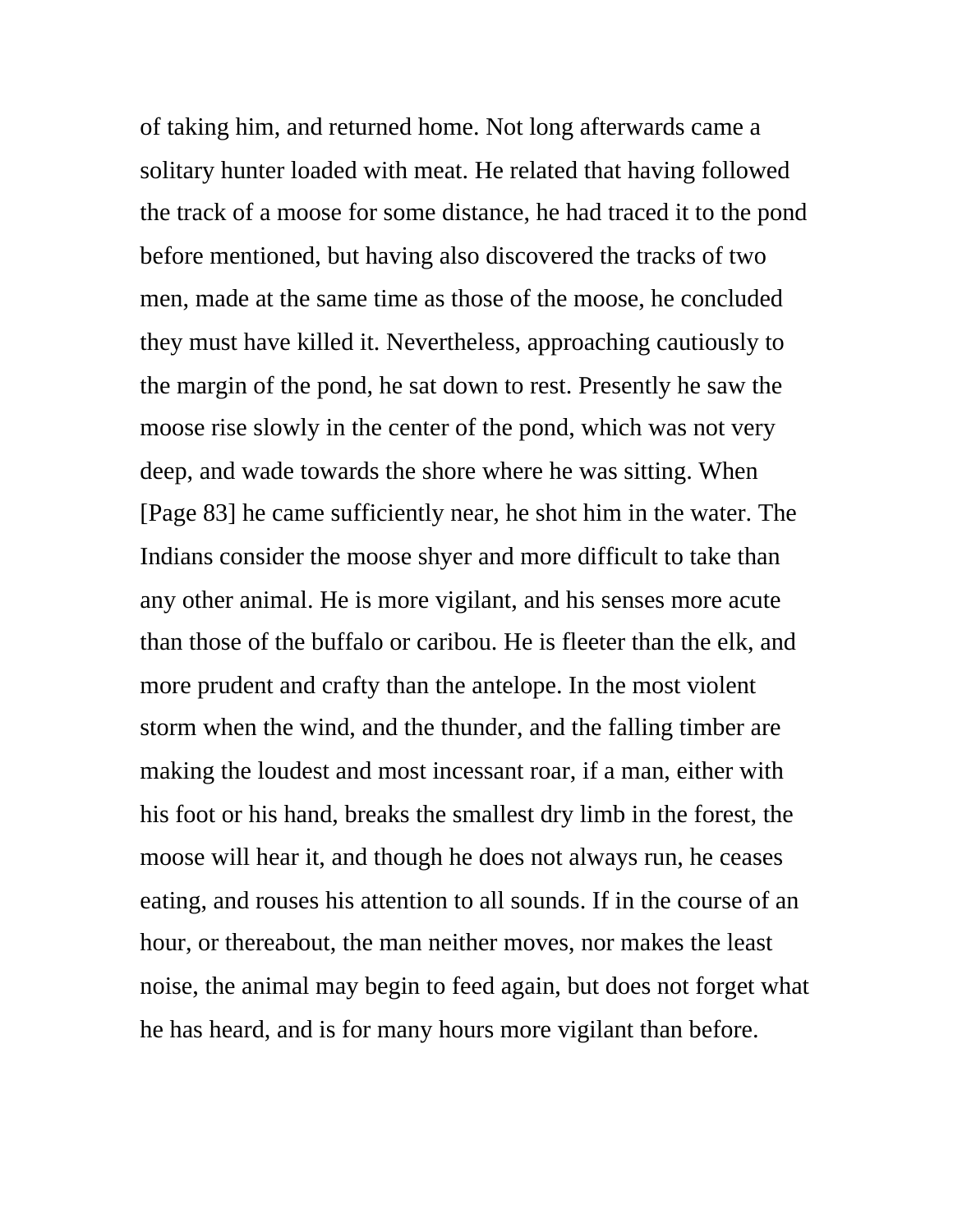of taking him, and returned home. Not long afterwards came a solitary hunter loaded with meat. He related that having followed the track of a moose for some distance, he had traced it to the pond before mentioned, but having also discovered the tracks of two men, made at the same time as those of the moose, he concluded they must have killed it. Nevertheless, approaching cautiously to the margin of the pond, he sat down to rest. Presently he saw the moose rise slowly in the center of the pond, which was not very deep, and wade towards the shore where he was sitting. When [Page 83] he came sufficiently near, he shot him in the water. The Indians consider the moose shyer and more difficult to take than any other animal. He is more vigilant, and his senses more acute than those of the buffalo or caribou. He is fleeter than the elk, and more prudent and crafty than the antelope. In the most violent storm when the wind, and the thunder, and the falling timber are making the loudest and most incessant roar, if a man, either with his foot or his hand, breaks the smallest dry limb in the forest, the moose will hear it, and though he does not always run, he ceases eating, and rouses his attention to all sounds. If in the course of an hour, or thereabout, the man neither moves, nor makes the least noise, the animal may begin to feed again, but does not forget what he has heard, and is for many hours more vigilant than before.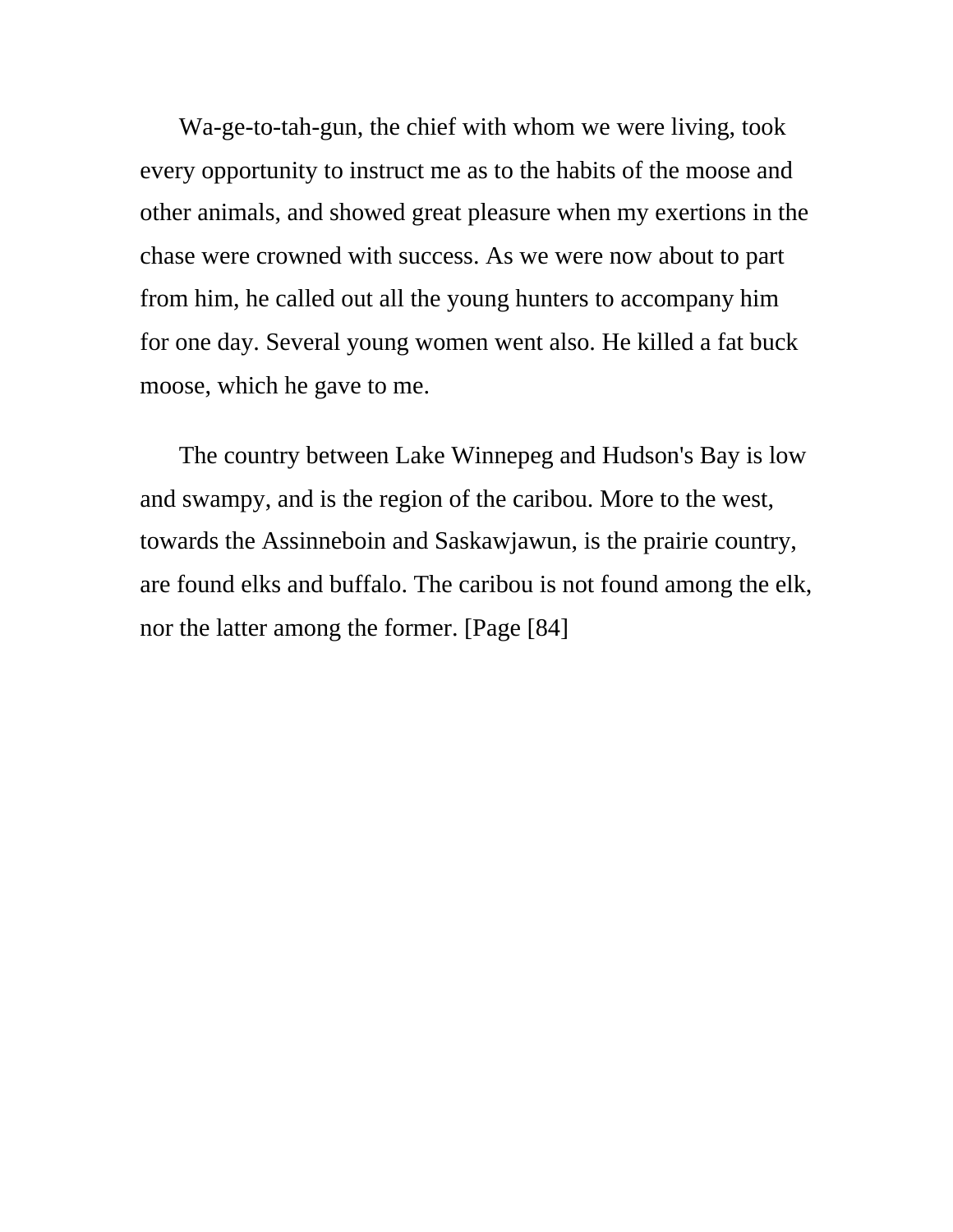Wa-ge-to-tah-gun, the chief with whom we were living, took every opportunity to instruct me as to the habits of the moose and other animals, and showed great pleasure when my exertions in the chase were crowned with success. As we were now about to part from him, he called out all the young hunters to accompany him for one day. Several young women went also. He killed a fat buck moose, which he gave to me.

The country between Lake Winnepeg and Hudson's Bay is low and swampy, and is the region of the caribou. More to the west, towards the Assinneboin and Saskawjawun, is the prairie country, are found elks and buffalo. The caribou is not found among the elk, nor the latter among the former. [Page [84]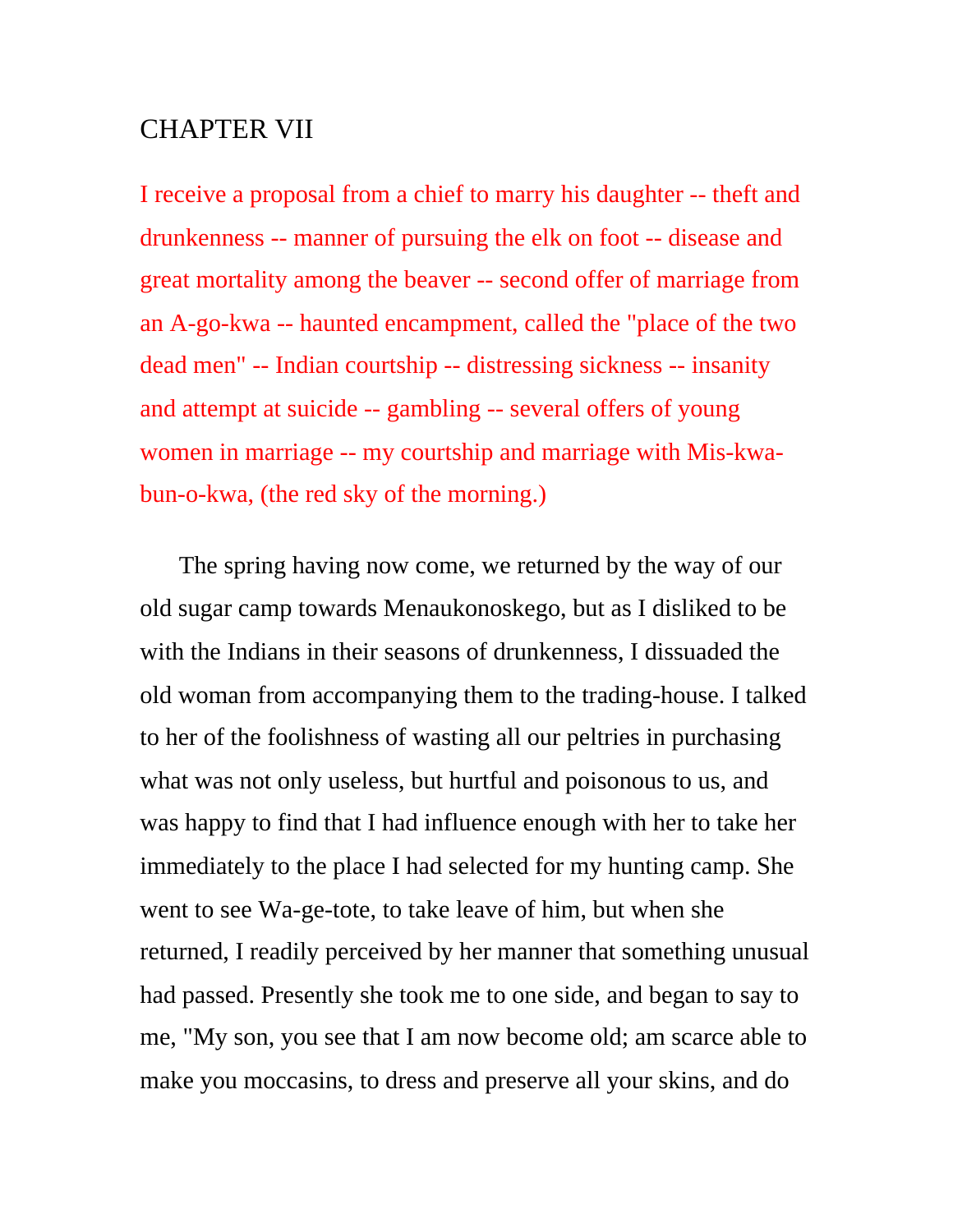## CHAPTER VII

I receive a proposal from a chief to marry his daughter -- theft and drunkenness -- manner of pursuing the elk on foot -- disease and great mortality among the beaver -- second offer of marriage from an A-go-kwa -- haunted encampment, called the "place of the two dead men" -- Indian courtship -- distressing sickness -- insanity and attempt at suicide -- gambling -- several offers of young women in marriage -- my courtship and marriage with Mis-kwabun-o-kwa, (the red sky of the morning.)

The spring having now come, we returned by the way of our old sugar camp towards Menaukonoskego, but as I disliked to be with the Indians in their seasons of drunkenness, I dissuaded the old woman from accompanying them to the trading-house. I talked to her of the foolishness of wasting all our peltries in purchasing what was not only useless, but hurtful and poisonous to us, and was happy to find that I had influence enough with her to take her immediately to the place I had selected for my hunting camp. She went to see Wa-ge-tote, to take leave of him, but when she returned, I readily perceived by her manner that something unusual had passed. Presently she took me to one side, and began to say to me, "My son, you see that I am now become old; am scarce able to make you moccasins, to dress and preserve all your skins, and do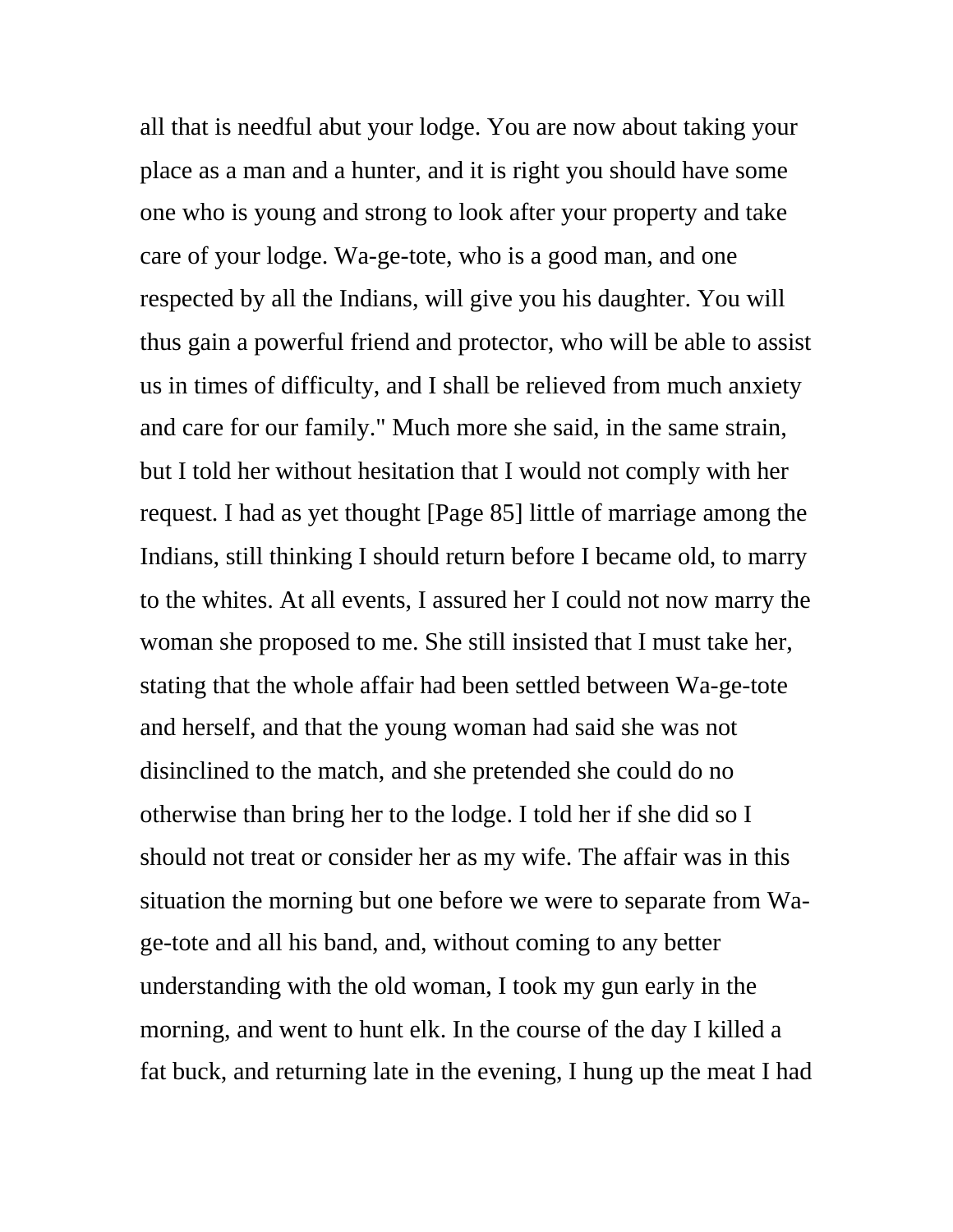all that is needful abut your lodge. You are now about taking your place as a man and a hunter, and it is right you should have some one who is young and strong to look after your property and take care of your lodge. Wa-ge-tote, who is a good man, and one respected by all the Indians, will give you his daughter. You will thus gain a powerful friend and protector, who will be able to assist us in times of difficulty, and I shall be relieved from much anxiety and care for our family." Much more she said, in the same strain, but I told her without hesitation that I would not comply with her request. I had as yet thought [Page 85] little of marriage among the Indians, still thinking I should return before I became old, to marry to the whites. At all events, I assured her I could not now marry the woman she proposed to me. She still insisted that I must take her, stating that the whole affair had been settled between Wa-ge-tote and herself, and that the young woman had said she was not disinclined to the match, and she pretended she could do no otherwise than bring her to the lodge. I told her if she did so I should not treat or consider her as my wife. The affair was in this situation the morning but one before we were to separate from Wage-tote and all his band, and, without coming to any better understanding with the old woman, I took my gun early in the morning, and went to hunt elk. In the course of the day I killed a fat buck, and returning late in the evening, I hung up the meat I had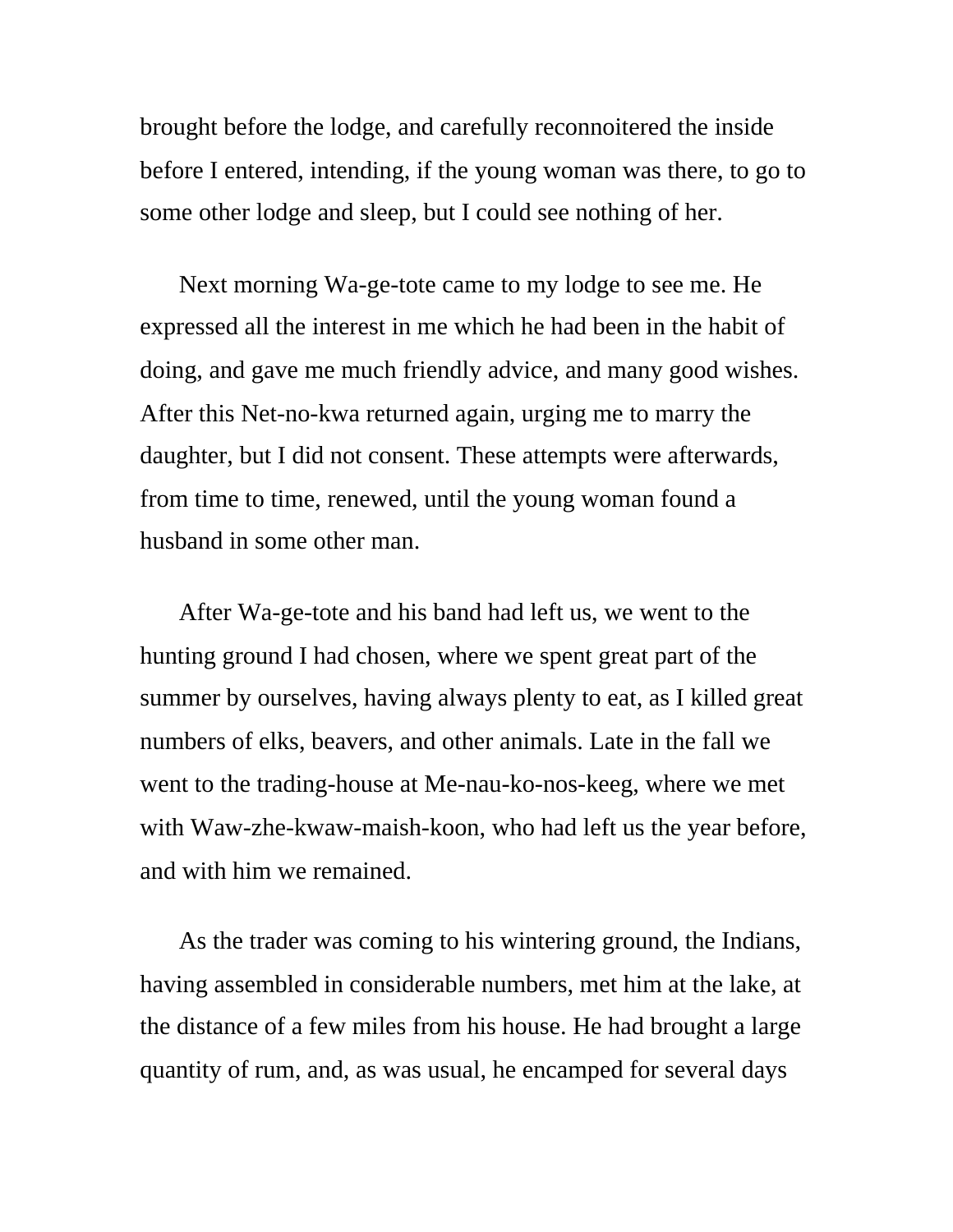brought before the lodge, and carefully reconnoitered the inside before I entered, intending, if the young woman was there, to go to some other lodge and sleep, but I could see nothing of her.

Next morning Wa-ge-tote came to my lodge to see me. He expressed all the interest in me which he had been in the habit of doing, and gave me much friendly advice, and many good wishes. After this Net-no-kwa returned again, urging me to marry the daughter, but I did not consent. These attempts were afterwards, from time to time, renewed, until the young woman found a husband in some other man.

After Wa-ge-tote and his band had left us, we went to the hunting ground I had chosen, where we spent great part of the summer by ourselves, having always plenty to eat, as I killed great numbers of elks, beavers, and other animals. Late in the fall we went to the trading-house at Me-nau-ko-nos-keeg, where we met with Waw-zhe-kwaw-maish-koon, who had left us the year before, and with him we remained.

As the trader was coming to his wintering ground, the Indians, having assembled in considerable numbers, met him at the lake, at the distance of a few miles from his house. He had brought a large quantity of rum, and, as was usual, he encamped for several days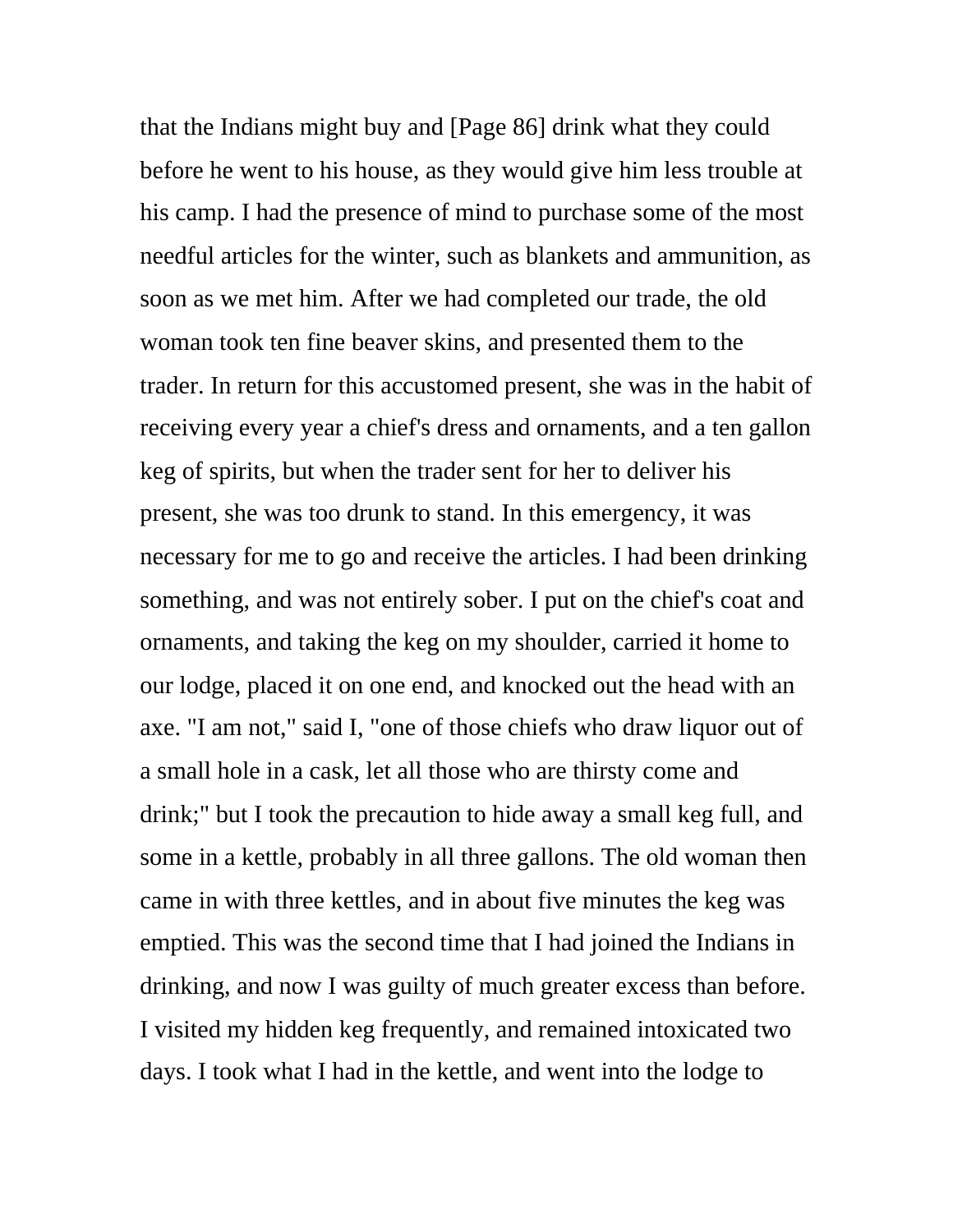that the Indians might buy and [Page 86] drink what they could before he went to his house, as they would give him less trouble at his camp. I had the presence of mind to purchase some of the most needful articles for the winter, such as blankets and ammunition, as soon as we met him. After we had completed our trade, the old woman took ten fine beaver skins, and presented them to the trader. In return for this accustomed present, she was in the habit of receiving every year a chief's dress and ornaments, and a ten gallon keg of spirits, but when the trader sent for her to deliver his present, she was too drunk to stand. In this emergency, it was necessary for me to go and receive the articles. I had been drinking something, and was not entirely sober. I put on the chief's coat and ornaments, and taking the keg on my shoulder, carried it home to our lodge, placed it on one end, and knocked out the head with an axe. "I am not," said I, "one of those chiefs who draw liquor out of a small hole in a cask, let all those who are thirsty come and drink;" but I took the precaution to hide away a small keg full, and some in a kettle, probably in all three gallons. The old woman then came in with three kettles, and in about five minutes the keg was emptied. This was the second time that I had joined the Indians in drinking, and now I was guilty of much greater excess than before. I visited my hidden keg frequently, and remained intoxicated two days. I took what I had in the kettle, and went into the lodge to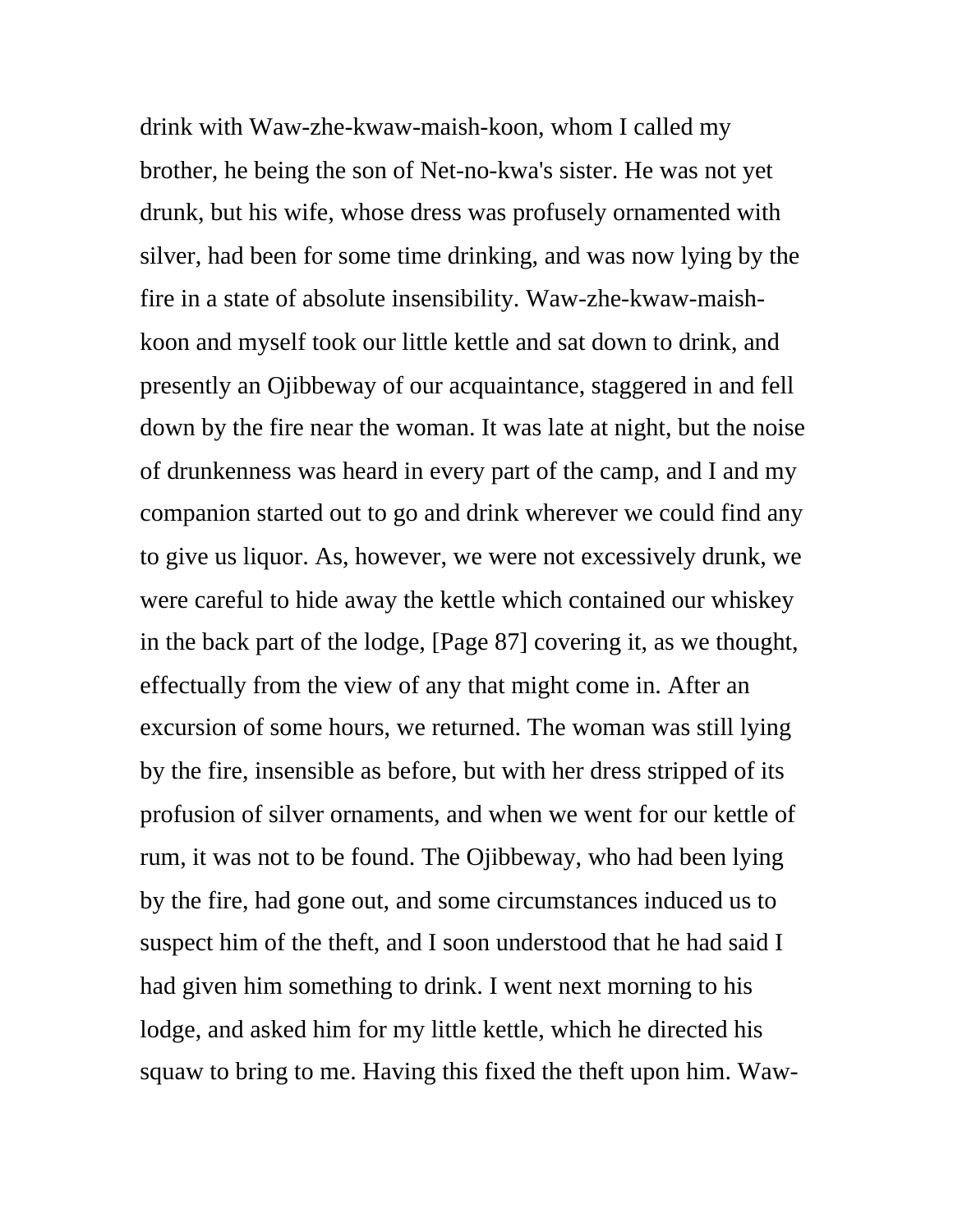drink with Waw-zhe-kwaw-maish-koon, whom I called my brother, he being the son of Net-no-kwa's sister. He was not yet drunk, but his wife, whose dress was profusely ornamented with silver, had been for some time drinking, and was now lying by the fire in a state of absolute insensibility. Waw-zhe-kwaw-maishkoon and myself took our little kettle and sat down to drink, and presently an Ojibbeway of our acquaintance, staggered in and fell down by the fire near the woman. It was late at night, but the noise of drunkenness was heard in every part of the camp, and I and my companion started out to go and drink wherever we could find any to give us liquor. As, however, we were not excessively drunk, we were careful to hide away the kettle which contained our whiskey in the back part of the lodge, [Page 87] covering it, as we thought, effectually from the view of any that might come in. After an excursion of some hours, we returned. The woman was still lying by the fire, insensible as before, but with her dress stripped of its profusion of silver ornaments, and when we went for our kettle of rum, it was not to be found. The Ojibbeway, who had been lying by the fire, had gone out, and some circumstances induced us to suspect him of the theft, and I soon understood that he had said I had given him something to drink. I went next morning to his lodge, and asked him for my little kettle, which he directed his squaw to bring to me. Having this fixed the theft upon him. Waw-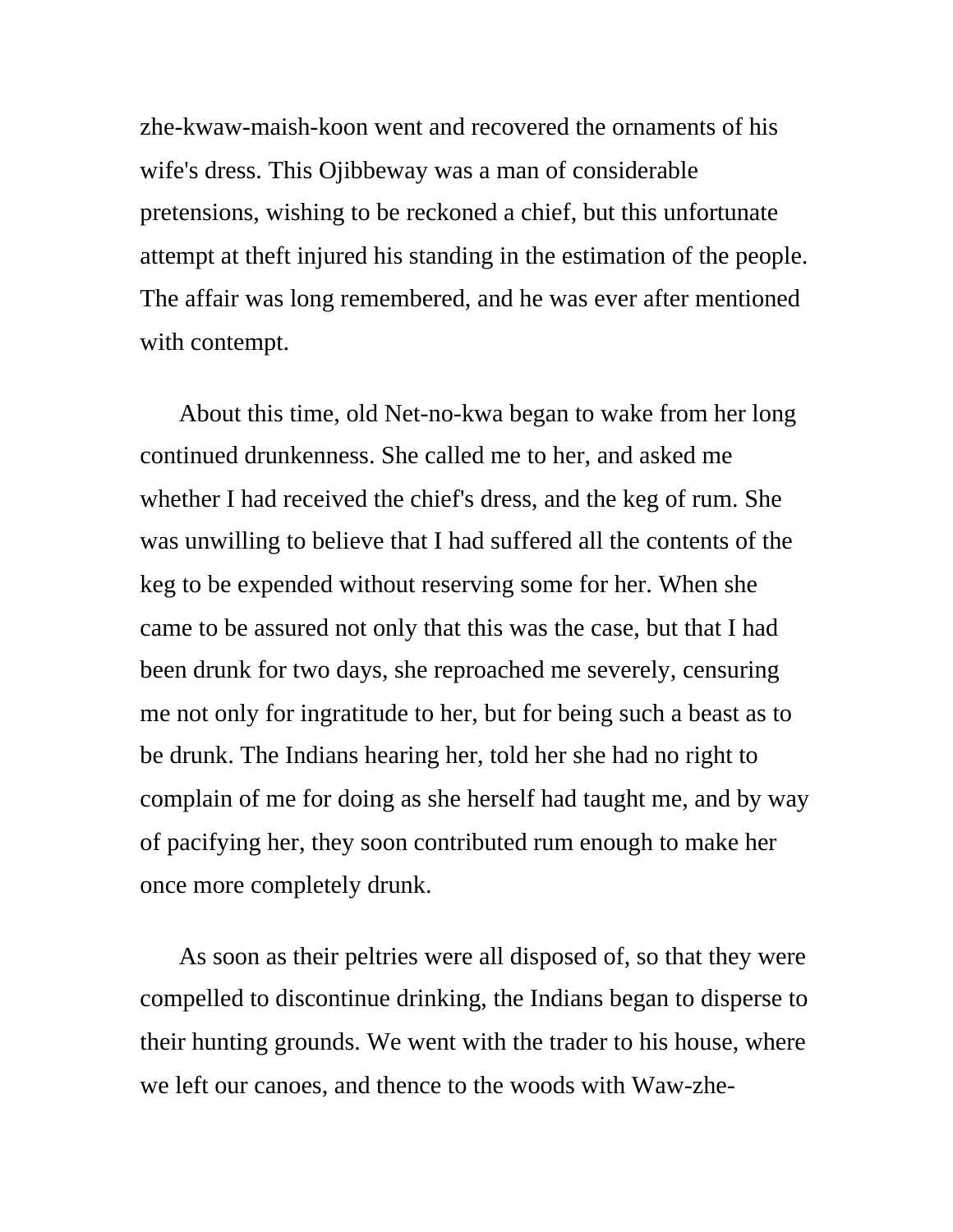zhe-kwaw-maish-koon went and recovered the ornaments of his wife's dress. This Ojibbeway was a man of considerable pretensions, wishing to be reckoned a chief, but this unfortunate attempt at theft injured his standing in the estimation of the people. The affair was long remembered, and he was ever after mentioned with contempt.

About this time, old Net-no-kwa began to wake from her long continued drunkenness. She called me to her, and asked me whether I had received the chief's dress, and the keg of rum. She was unwilling to believe that I had suffered all the contents of the keg to be expended without reserving some for her. When she came to be assured not only that this was the case, but that I had been drunk for two days, she reproached me severely, censuring me not only for ingratitude to her, but for being such a beast as to be drunk. The Indians hearing her, told her she had no right to complain of me for doing as she herself had taught me, and by way of pacifying her, they soon contributed rum enough to make her once more completely drunk.

As soon as their peltries were all disposed of, so that they were compelled to discontinue drinking, the Indians began to disperse to their hunting grounds. We went with the trader to his house, where we left our canoes, and thence to the woods with Waw-zhe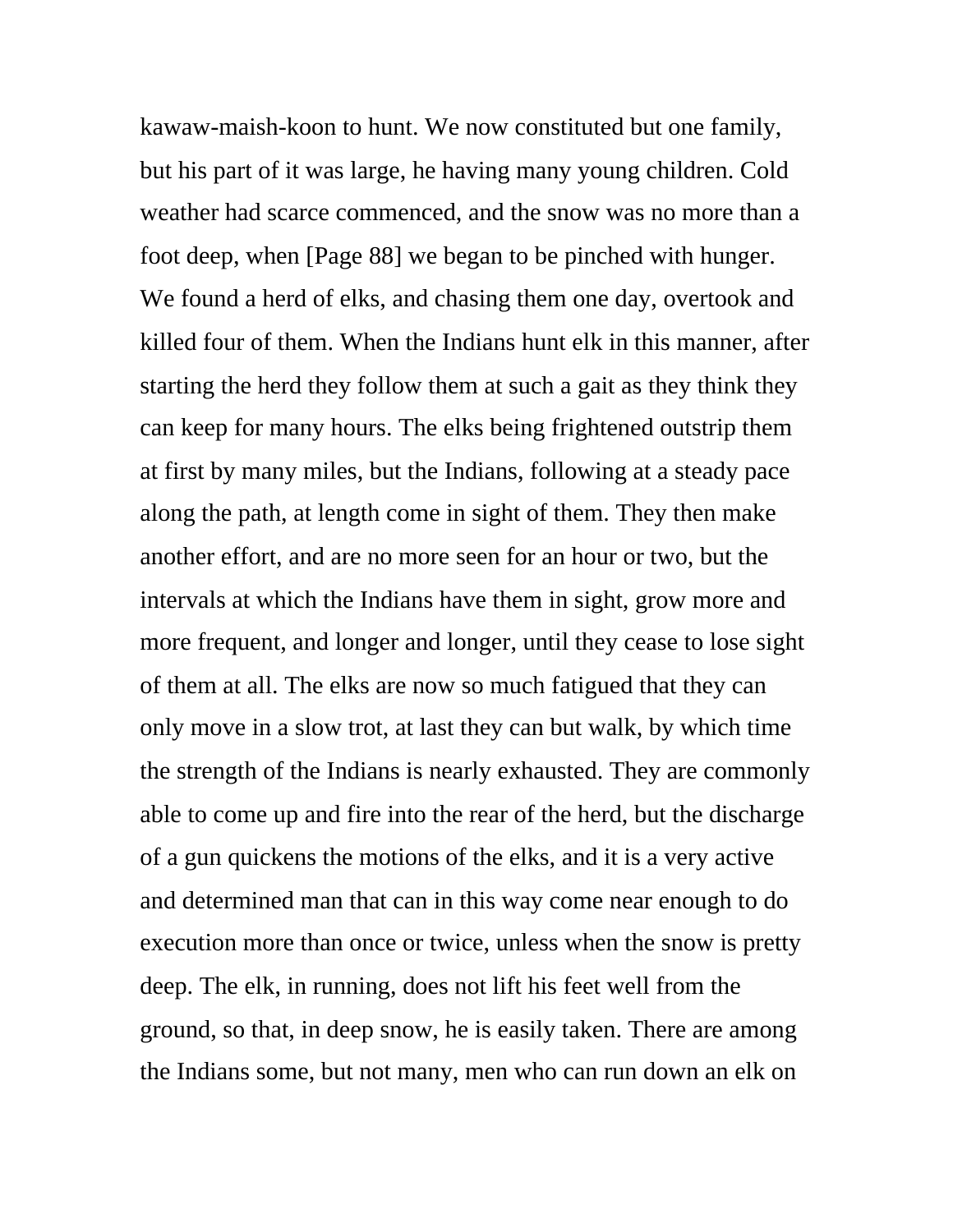kawaw-maish-koon to hunt. We now constituted but one family, but his part of it was large, he having many young children. Cold weather had scarce commenced, and the snow was no more than a foot deep, when [Page 88] we began to be pinched with hunger. We found a herd of elks, and chasing them one day, overtook and killed four of them. When the Indians hunt elk in this manner, after starting the herd they follow them at such a gait as they think they can keep for many hours. The elks being frightened outstrip them at first by many miles, but the Indians, following at a steady pace along the path, at length come in sight of them. They then make another effort, and are no more seen for an hour or two, but the intervals at which the Indians have them in sight, grow more and more frequent, and longer and longer, until they cease to lose sight of them at all. The elks are now so much fatigued that they can only move in a slow trot, at last they can but walk, by which time the strength of the Indians is nearly exhausted. They are commonly able to come up and fire into the rear of the herd, but the discharge of a gun quickens the motions of the elks, and it is a very active and determined man that can in this way come near enough to do execution more than once or twice, unless when the snow is pretty deep. The elk, in running, does not lift his feet well from the ground, so that, in deep snow, he is easily taken. There are among the Indians some, but not many, men who can run down an elk on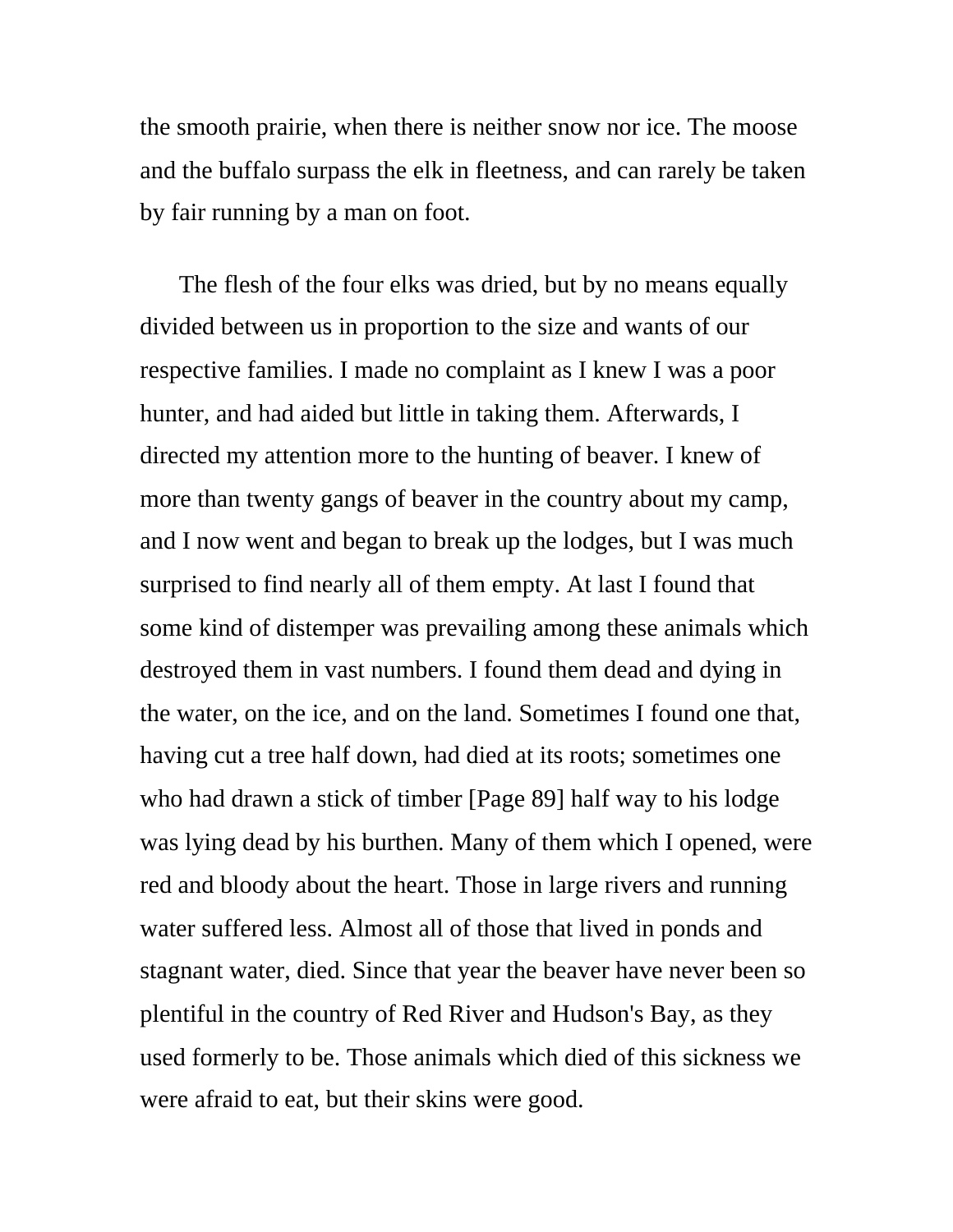the smooth prairie, when there is neither snow nor ice. The moose and the buffalo surpass the elk in fleetness, and can rarely be taken by fair running by a man on foot.

The flesh of the four elks was dried, but by no means equally divided between us in proportion to the size and wants of our respective families. I made no complaint as I knew I was a poor hunter, and had aided but little in taking them. Afterwards, I directed my attention more to the hunting of beaver. I knew of more than twenty gangs of beaver in the country about my camp, and I now went and began to break up the lodges, but I was much surprised to find nearly all of them empty. At last I found that some kind of distemper was prevailing among these animals which destroyed them in vast numbers. I found them dead and dying in the water, on the ice, and on the land. Sometimes I found one that, having cut a tree half down, had died at its roots; sometimes one who had drawn a stick of timber [Page 89] half way to his lodge was lying dead by his burthen. Many of them which I opened, were red and bloody about the heart. Those in large rivers and running water suffered less. Almost all of those that lived in ponds and stagnant water, died. Since that year the beaver have never been so plentiful in the country of Red River and Hudson's Bay, as they used formerly to be. Those animals which died of this sickness we were afraid to eat, but their skins were good.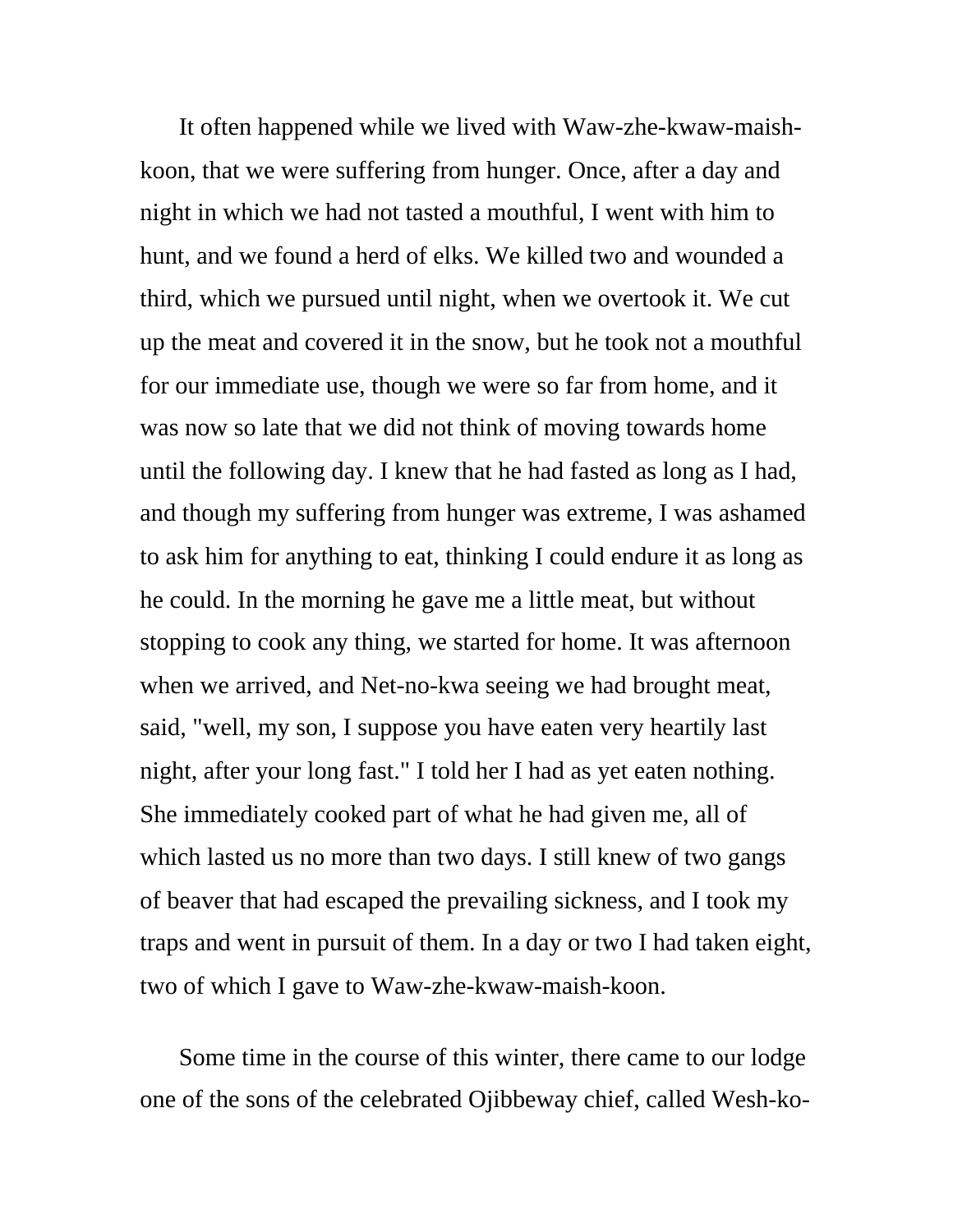It often happened while we lived with Waw-zhe-kwaw-maishkoon, that we were suffering from hunger. Once, after a day and night in which we had not tasted a mouthful, I went with him to hunt, and we found a herd of elks. We killed two and wounded a third, which we pursued until night, when we overtook it. We cut up the meat and covered it in the snow, but he took not a mouthful for our immediate use, though we were so far from home, and it was now so late that we did not think of moving towards home until the following day. I knew that he had fasted as long as I had, and though my suffering from hunger was extreme, I was ashamed to ask him for anything to eat, thinking I could endure it as long as he could. In the morning he gave me a little meat, but without stopping to cook any thing, we started for home. It was afternoon when we arrived, and Net-no-kwa seeing we had brought meat, said, "well, my son, I suppose you have eaten very heartily last night, after your long fast." I told her I had as yet eaten nothing. She immediately cooked part of what he had given me, all of which lasted us no more than two days. I still knew of two gangs of beaver that had escaped the prevailing sickness, and I took my traps and went in pursuit of them. In a day or two I had taken eight, two of which I gave to Waw-zhe-kwaw-maish-koon.

Some time in the course of this winter, there came to our lodge one of the sons of the celebrated Ojibbeway chief, called Wesh-ko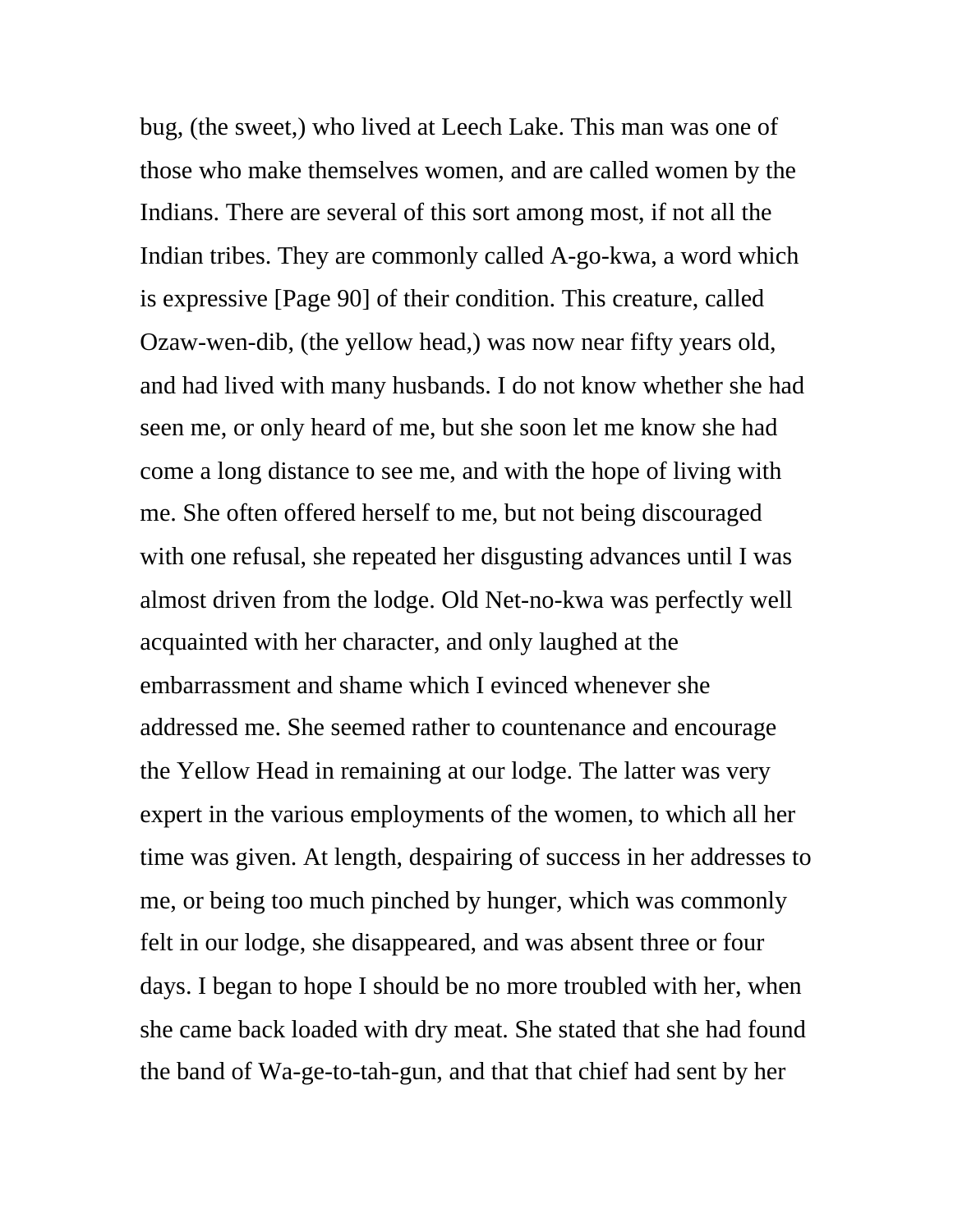bug, (the sweet,) who lived at Leech Lake. This man was one of those who make themselves women, and are called women by the Indians. There are several of this sort among most, if not all the Indian tribes. They are commonly called A-go-kwa, a word which is expressive [Page 90] of their condition. This creature, called Ozaw-wen-dib, (the yellow head,) was now near fifty years old, and had lived with many husbands. I do not know whether she had seen me, or only heard of me, but she soon let me know she had come a long distance to see me, and with the hope of living with me. She often offered herself to me, but not being discouraged with one refusal, she repeated her disgusting advances until I was almost driven from the lodge. Old Net-no-kwa was perfectly well acquainted with her character, and only laughed at the embarrassment and shame which I evinced whenever she addressed me. She seemed rather to countenance and encourage the Yellow Head in remaining at our lodge. The latter was very expert in the various employments of the women, to which all her time was given. At length, despairing of success in her addresses to me, or being too much pinched by hunger, which was commonly felt in our lodge, she disappeared, and was absent three or four days. I began to hope I should be no more troubled with her, when she came back loaded with dry meat. She stated that she had found the band of Wa-ge-to-tah-gun, and that that chief had sent by her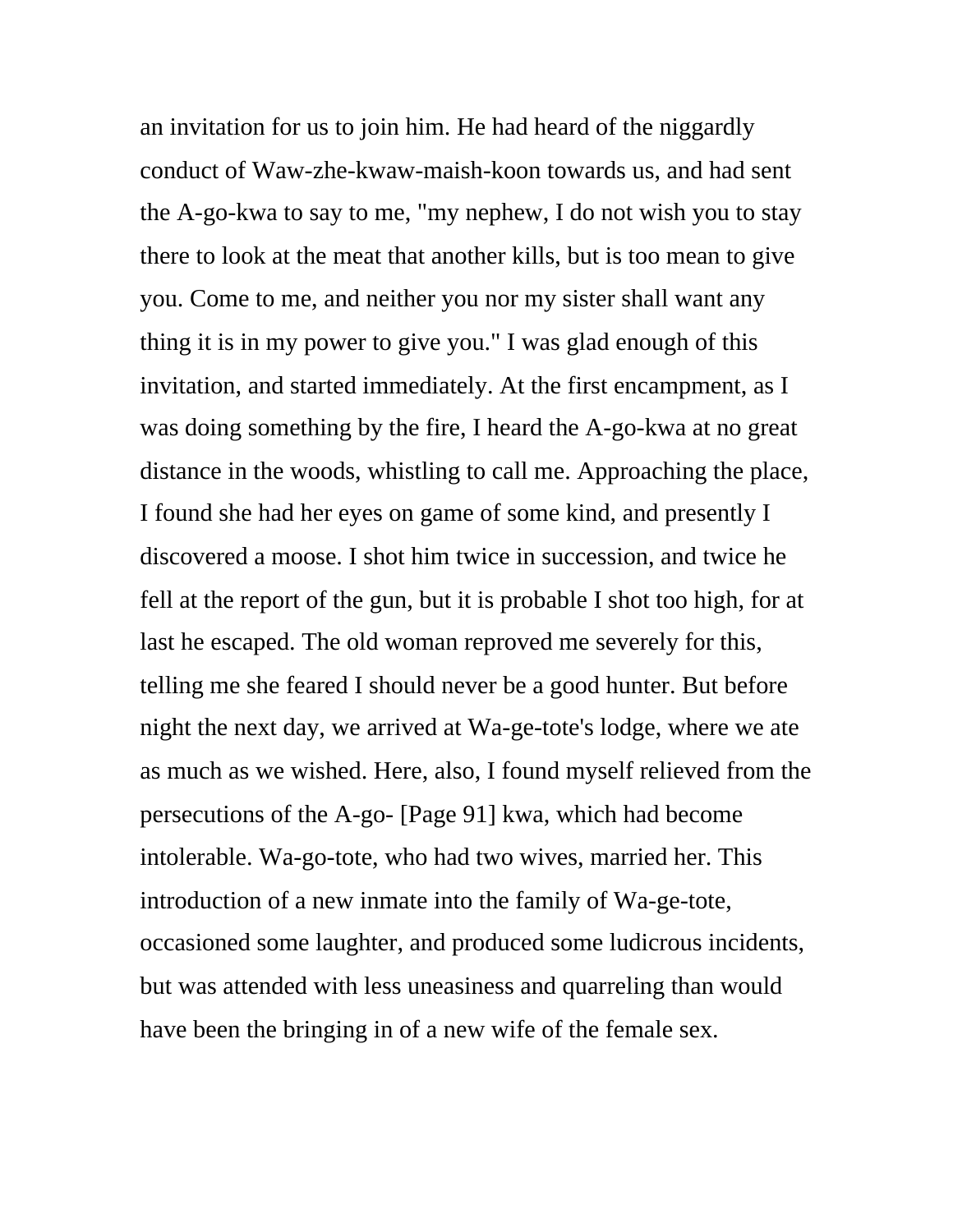an invitation for us to join him. He had heard of the niggardly conduct of Waw-zhe-kwaw-maish-koon towards us, and had sent the A-go-kwa to say to me, "my nephew, I do not wish you to stay there to look at the meat that another kills, but is too mean to give you. Come to me, and neither you nor my sister shall want any thing it is in my power to give you." I was glad enough of this invitation, and started immediately. At the first encampment, as I was doing something by the fire, I heard the A-go-kwa at no great distance in the woods, whistling to call me. Approaching the place, I found she had her eyes on game of some kind, and presently I discovered a moose. I shot him twice in succession, and twice he fell at the report of the gun, but it is probable I shot too high, for at last he escaped. The old woman reproved me severely for this, telling me she feared I should never be a good hunter. But before night the next day, we arrived at Wa-ge-tote's lodge, where we ate as much as we wished. Here, also, I found myself relieved from the persecutions of the A-go- [Page 91] kwa, which had become intolerable. Wa-go-tote, who had two wives, married her. This introduction of a new inmate into the family of Wa-ge-tote, occasioned some laughter, and produced some ludicrous incidents, but was attended with less uneasiness and quarreling than would have been the bringing in of a new wife of the female sex.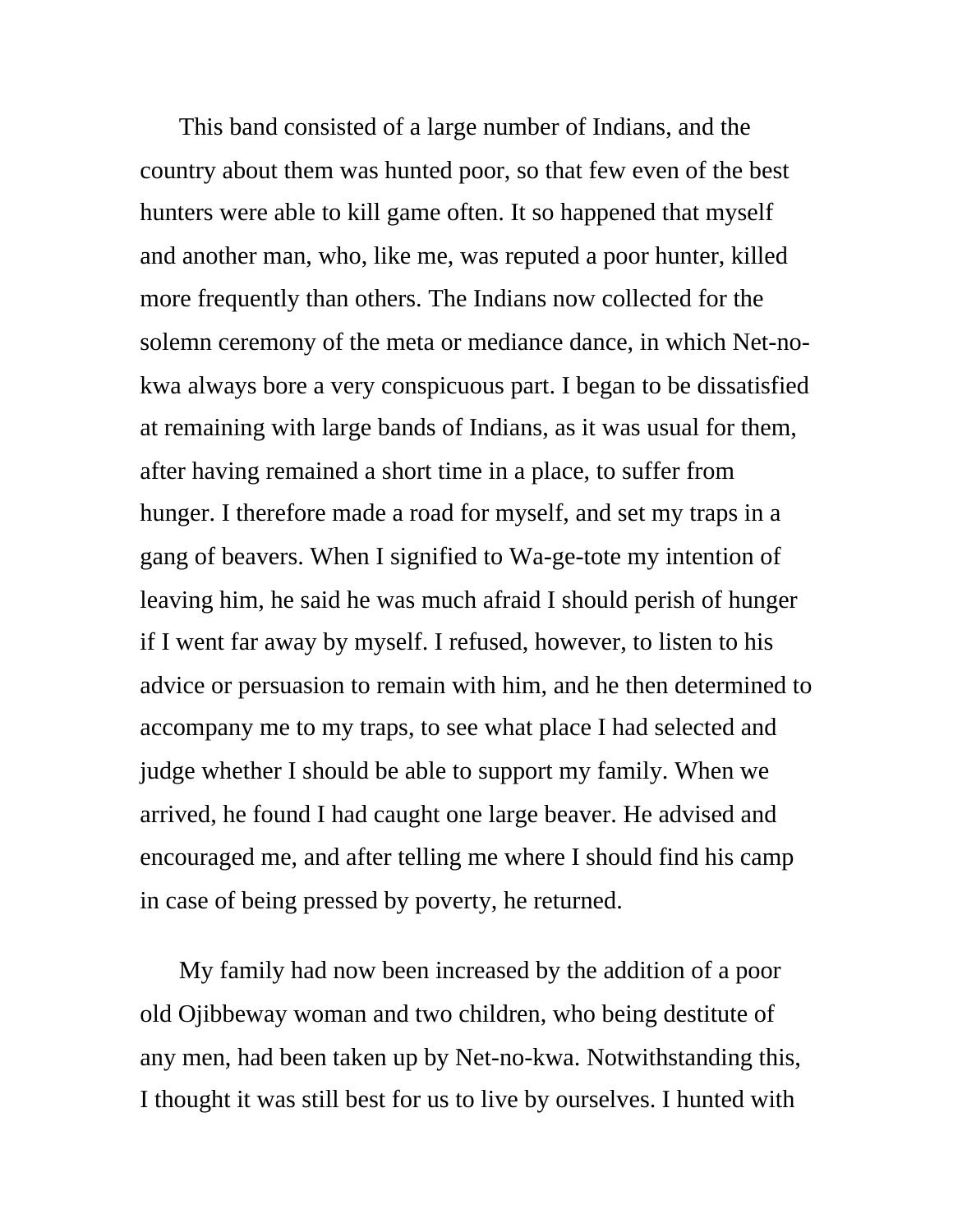This band consisted of a large number of Indians, and the country about them was hunted poor, so that few even of the best hunters were able to kill game often. It so happened that myself and another man, who, like me, was reputed a poor hunter, killed more frequently than others. The Indians now collected for the solemn ceremony of the meta or mediance dance, in which Net-nokwa always bore a very conspicuous part. I began to be dissatisfied at remaining with large bands of Indians, as it was usual for them, after having remained a short time in a place, to suffer from hunger. I therefore made a road for myself, and set my traps in a gang of beavers. When I signified to Wa-ge-tote my intention of leaving him, he said he was much afraid I should perish of hunger if I went far away by myself. I refused, however, to listen to his advice or persuasion to remain with him, and he then determined to accompany me to my traps, to see what place I had selected and judge whether I should be able to support my family. When we arrived, he found I had caught one large beaver. He advised and encouraged me, and after telling me where I should find his camp in case of being pressed by poverty, he returned.

My family had now been increased by the addition of a poor old Ojibbeway woman and two children, who being destitute of any men, had been taken up by Net-no-kwa. Notwithstanding this, I thought it was still best for us to live by ourselves. I hunted with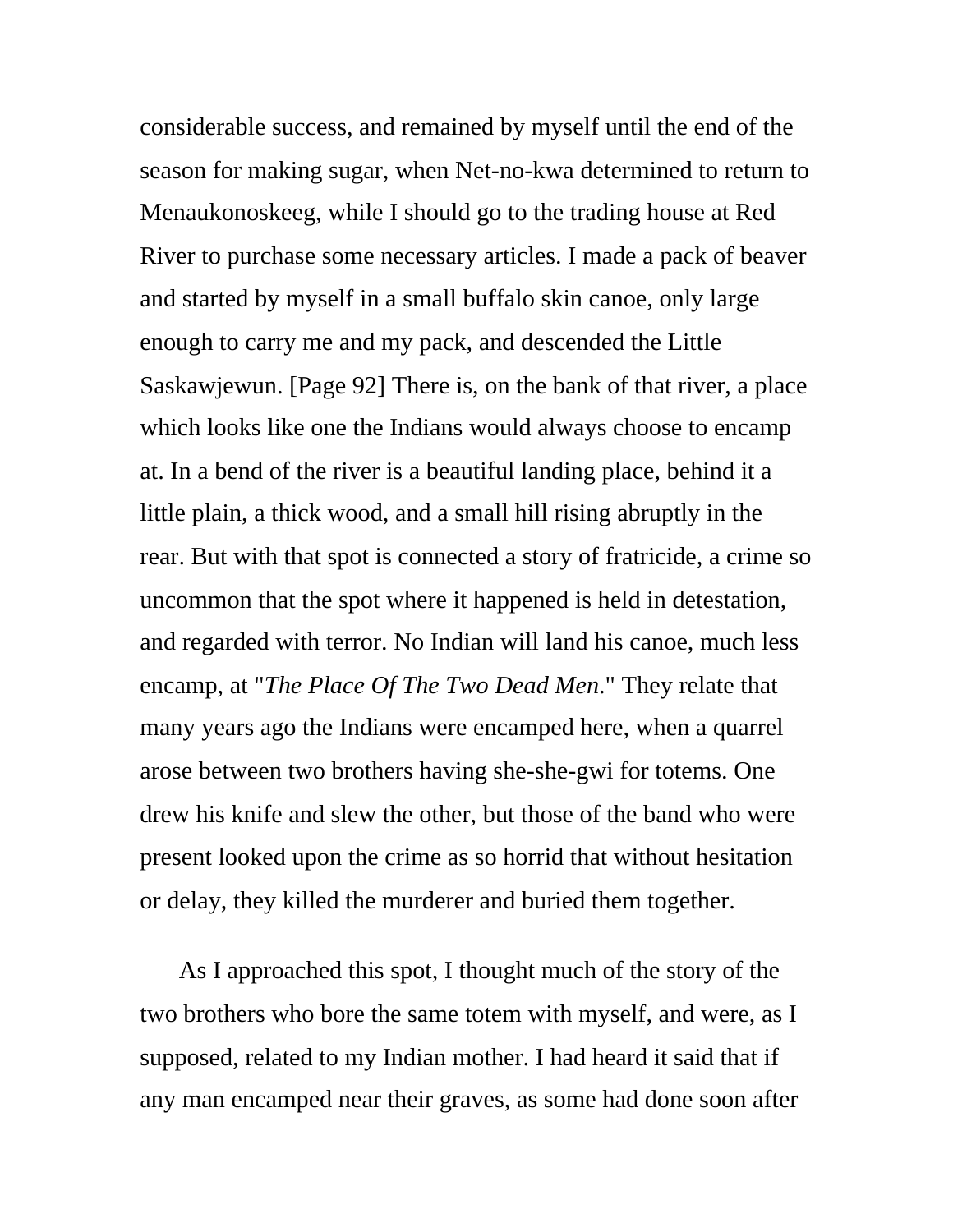considerable success, and remained by myself until the end of the season for making sugar, when Net-no-kwa determined to return to Menaukonoskeeg, while I should go to the trading house at Red River to purchase some necessary articles. I made a pack of beaver and started by myself in a small buffalo skin canoe, only large enough to carry me and my pack, and descended the Little Saskawjewun. [Page 92] There is, on the bank of that river, a place which looks like one the Indians would always choose to encamp at. In a bend of the river is a beautiful landing place, behind it a little plain, a thick wood, and a small hill rising abruptly in the rear. But with that spot is connected a story of fratricide, a crime so uncommon that the spot where it happened is held in detestation, and regarded with terror. No Indian will land his canoe, much less encamp, at "*The Place Of The Two Dead Men*." They relate that many years ago the Indians were encamped here, when a quarrel arose between two brothers having she-she-gwi for totems. One drew his knife and slew the other, but those of the band who were present looked upon the crime as so horrid that without hesitation or delay, they killed the murderer and buried them together.

As I approached this spot, I thought much of the story of the two brothers who bore the same totem with myself, and were, as I supposed, related to my Indian mother. I had heard it said that if any man encamped near their graves, as some had done soon after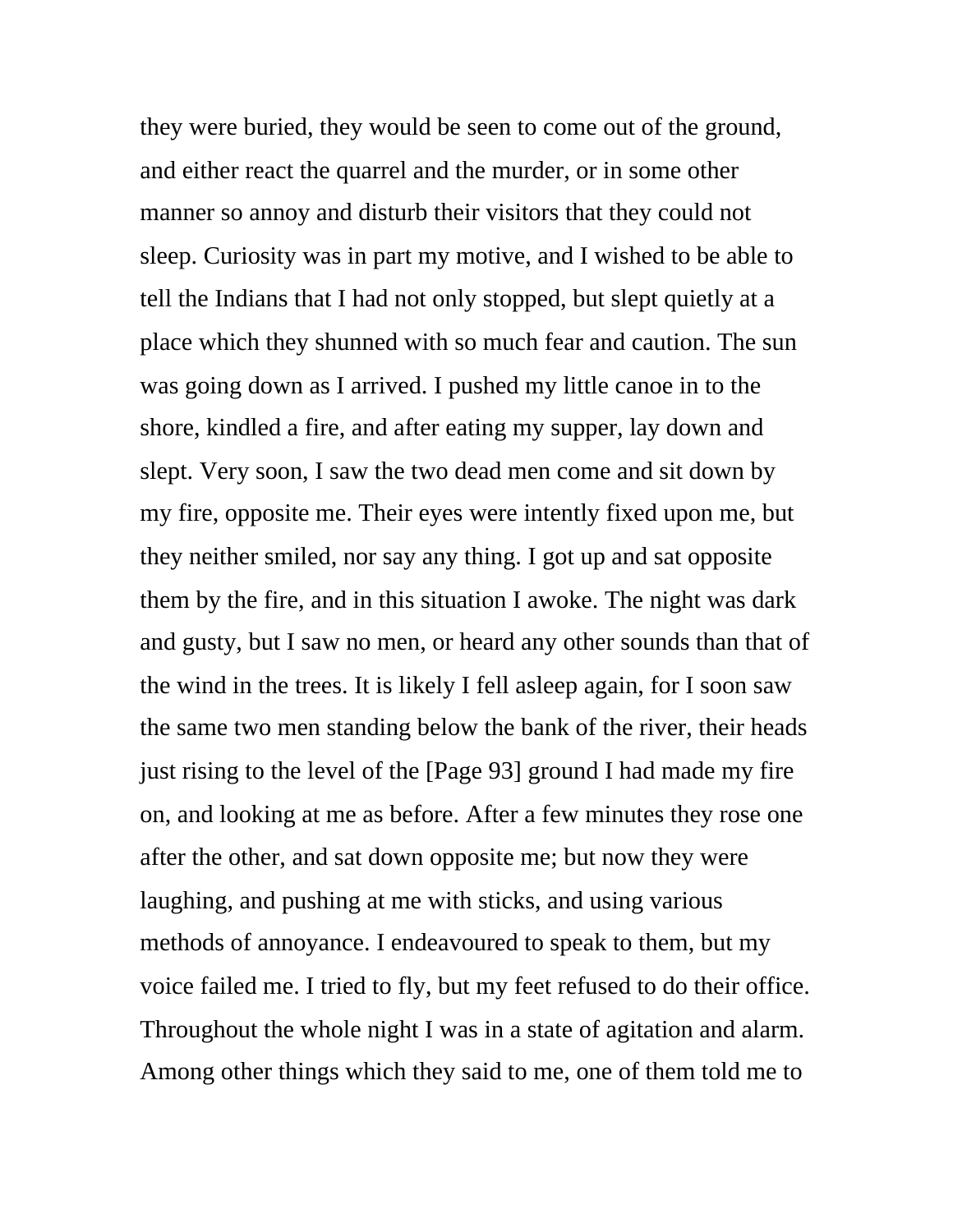they were buried, they would be seen to come out of the ground, and either react the quarrel and the murder, or in some other manner so annoy and disturb their visitors that they could not sleep. Curiosity was in part my motive, and I wished to be able to tell the Indians that I had not only stopped, but slept quietly at a place which they shunned with so much fear and caution. The sun was going down as I arrived. I pushed my little canoe in to the shore, kindled a fire, and after eating my supper, lay down and slept. Very soon, I saw the two dead men come and sit down by my fire, opposite me. Their eyes were intently fixed upon me, but they neither smiled, nor say any thing. I got up and sat opposite them by the fire, and in this situation I awoke. The night was dark and gusty, but I saw no men, or heard any other sounds than that of the wind in the trees. It is likely I fell asleep again, for I soon saw the same two men standing below the bank of the river, their heads just rising to the level of the [Page 93] ground I had made my fire on, and looking at me as before. After a few minutes they rose one after the other, and sat down opposite me; but now they were laughing, and pushing at me with sticks, and using various methods of annoyance. I endeavoured to speak to them, but my voice failed me. I tried to fly, but my feet refused to do their office. Throughout the whole night I was in a state of agitation and alarm. Among other things which they said to me, one of them told me to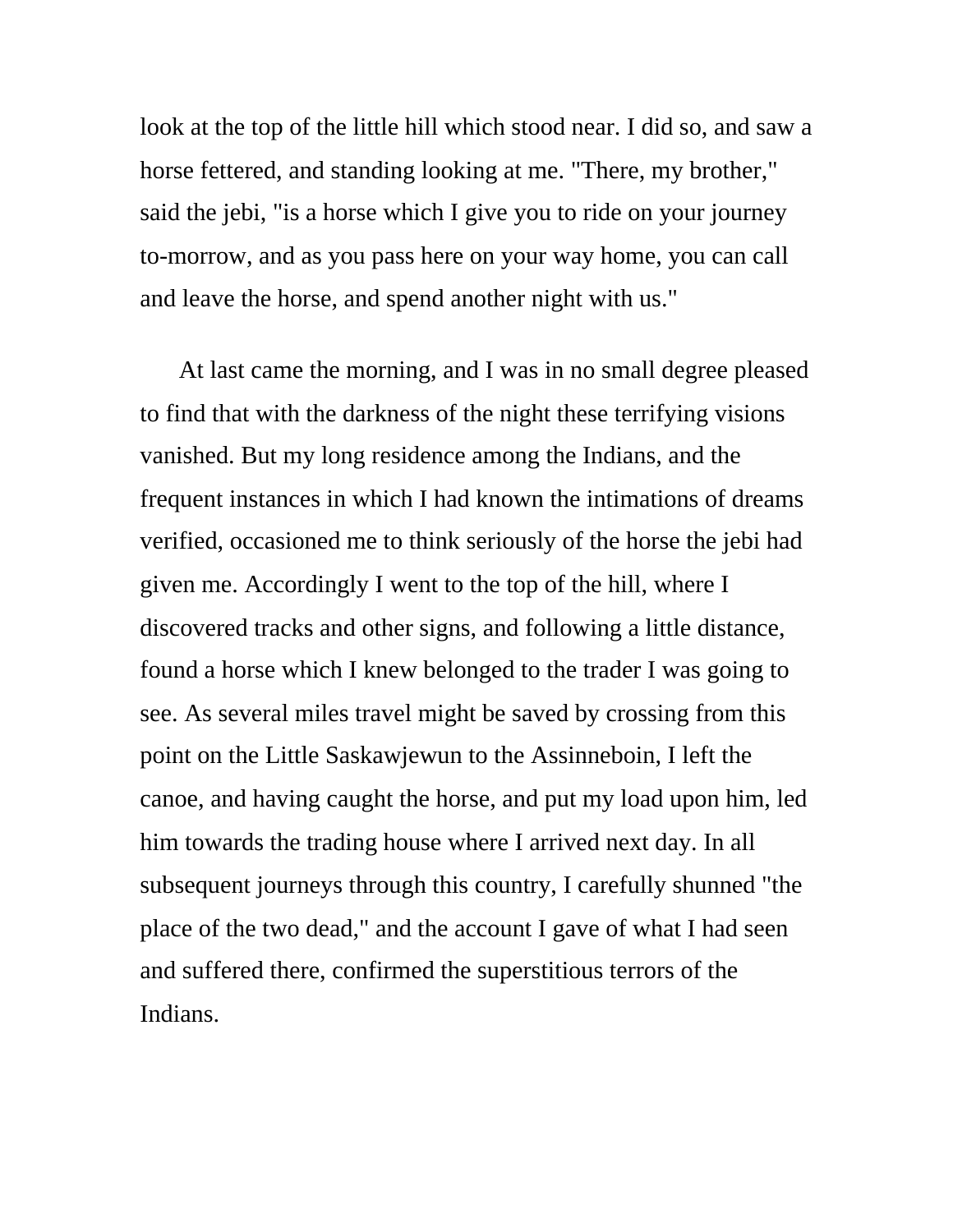look at the top of the little hill which stood near. I did so, and saw a horse fettered, and standing looking at me. "There, my brother," said the jebi, "is a horse which I give you to ride on your journey to-morrow, and as you pass here on your way home, you can call and leave the horse, and spend another night with us."

At last came the morning, and I was in no small degree pleased to find that with the darkness of the night these terrifying visions vanished. But my long residence among the Indians, and the frequent instances in which I had known the intimations of dreams verified, occasioned me to think seriously of the horse the jebi had given me. Accordingly I went to the top of the hill, where I discovered tracks and other signs, and following a little distance, found a horse which I knew belonged to the trader I was going to see. As several miles travel might be saved by crossing from this point on the Little Saskawjewun to the Assinneboin, I left the canoe, and having caught the horse, and put my load upon him, led him towards the trading house where I arrived next day. In all subsequent journeys through this country, I carefully shunned "the place of the two dead," and the account I gave of what I had seen and suffered there, confirmed the superstitious terrors of the Indians.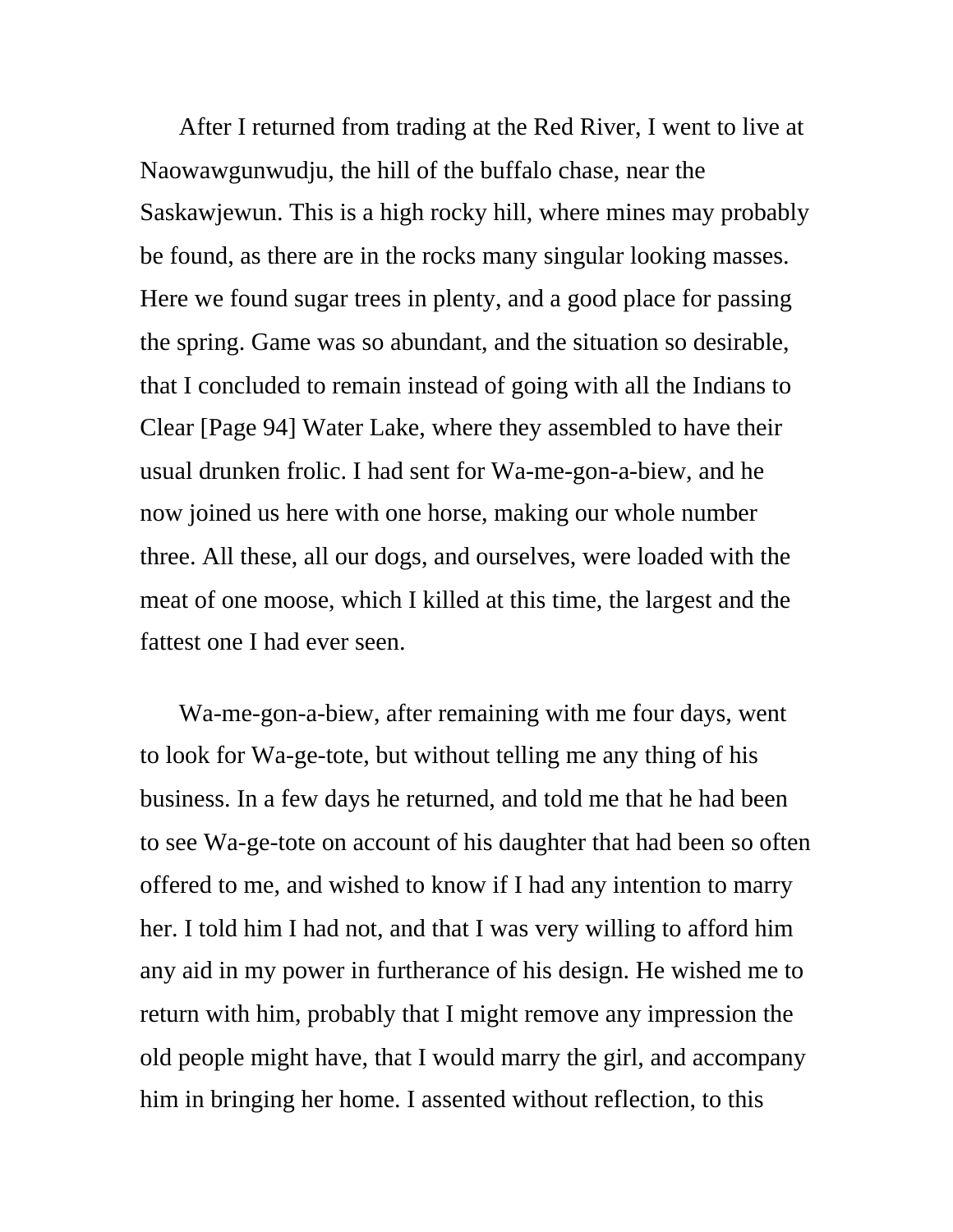After I returned from trading at the Red River, I went to live at Naowawgunwudju, the hill of the buffalo chase, near the Saskawjewun. This is a high rocky hill, where mines may probably be found, as there are in the rocks many singular looking masses. Here we found sugar trees in plenty, and a good place for passing the spring. Game was so abundant, and the situation so desirable, that I concluded to remain instead of going with all the Indians to Clear [Page 94] Water Lake, where they assembled to have their usual drunken frolic. I had sent for Wa-me-gon-a-biew, and he now joined us here with one horse, making our whole number three. All these, all our dogs, and ourselves, were loaded with the meat of one moose, which I killed at this time, the largest and the fattest one I had ever seen.

Wa-me-gon-a-biew, after remaining with me four days, went to look for Wa-ge-tote, but without telling me any thing of his business. In a few days he returned, and told me that he had been to see Wa-ge-tote on account of his daughter that had been so often offered to me, and wished to know if I had any intention to marry her. I told him I had not, and that I was very willing to afford him any aid in my power in furtherance of his design. He wished me to return with him, probably that I might remove any impression the old people might have, that I would marry the girl, and accompany him in bringing her home. I assented without reflection, to this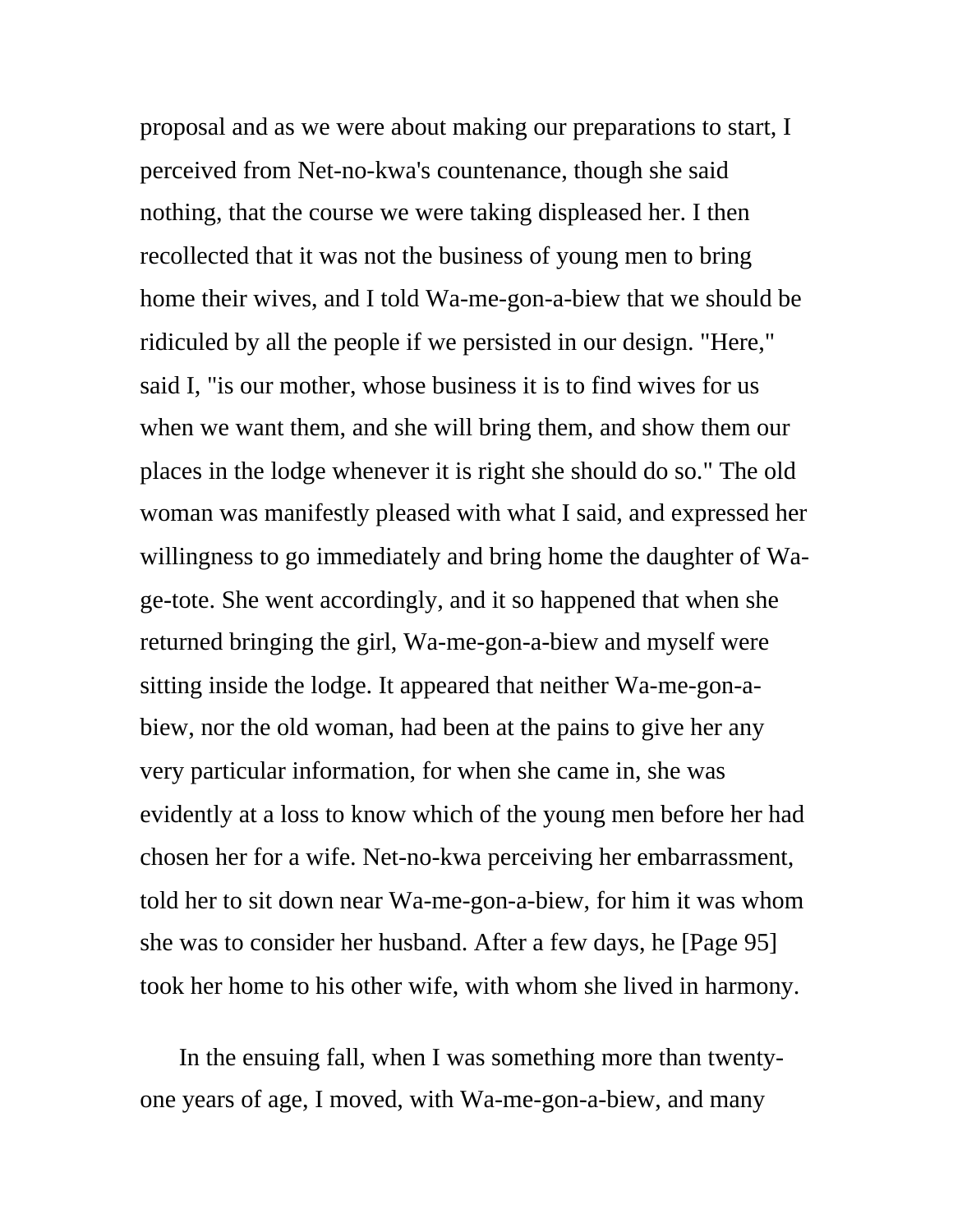proposal and as we were about making our preparations to start, I perceived from Net-no-kwa's countenance, though she said nothing, that the course we were taking displeased her. I then recollected that it was not the business of young men to bring home their wives, and I told Wa-me-gon-a-biew that we should be ridiculed by all the people if we persisted in our design. "Here," said I, "is our mother, whose business it is to find wives for us when we want them, and she will bring them, and show them our places in the lodge whenever it is right she should do so." The old woman was manifestly pleased with what I said, and expressed her willingness to go immediately and bring home the daughter of Wage-tote. She went accordingly, and it so happened that when she returned bringing the girl, Wa-me-gon-a-biew and myself were sitting inside the lodge. It appeared that neither Wa-me-gon-abiew, nor the old woman, had been at the pains to give her any very particular information, for when she came in, she was evidently at a loss to know which of the young men before her had chosen her for a wife. Net-no-kwa perceiving her embarrassment, told her to sit down near Wa-me-gon-a-biew, for him it was whom she was to consider her husband. After a few days, he [Page 95] took her home to his other wife, with whom she lived in harmony.

In the ensuing fall, when I was something more than twentyone years of age, I moved, with Wa-me-gon-a-biew, and many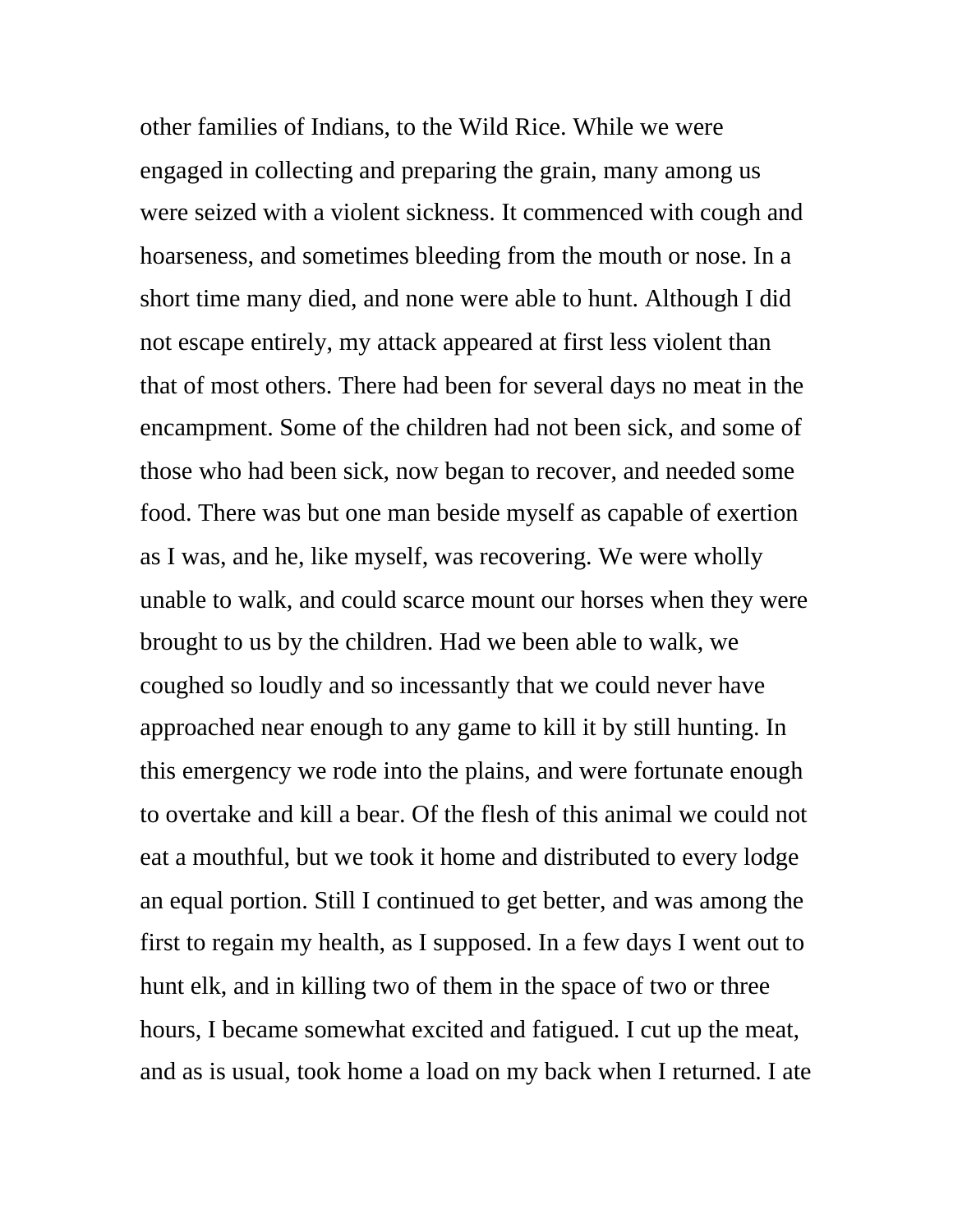other families of Indians, to the Wild Rice. While we were engaged in collecting and preparing the grain, many among us were seized with a violent sickness. It commenced with cough and hoarseness, and sometimes bleeding from the mouth or nose. In a short time many died, and none were able to hunt. Although I did not escape entirely, my attack appeared at first less violent than that of most others. There had been for several days no meat in the encampment. Some of the children had not been sick, and some of those who had been sick, now began to recover, and needed some food. There was but one man beside myself as capable of exertion as I was, and he, like myself, was recovering. We were wholly unable to walk, and could scarce mount our horses when they were brought to us by the children. Had we been able to walk, we coughed so loudly and so incessantly that we could never have approached near enough to any game to kill it by still hunting. In this emergency we rode into the plains, and were fortunate enough to overtake and kill a bear. Of the flesh of this animal we could not eat a mouthful, but we took it home and distributed to every lodge an equal portion. Still I continued to get better, and was among the first to regain my health, as I supposed. In a few days I went out to hunt elk, and in killing two of them in the space of two or three hours, I became somewhat excited and fatigued. I cut up the meat, and as is usual, took home a load on my back when I returned. I ate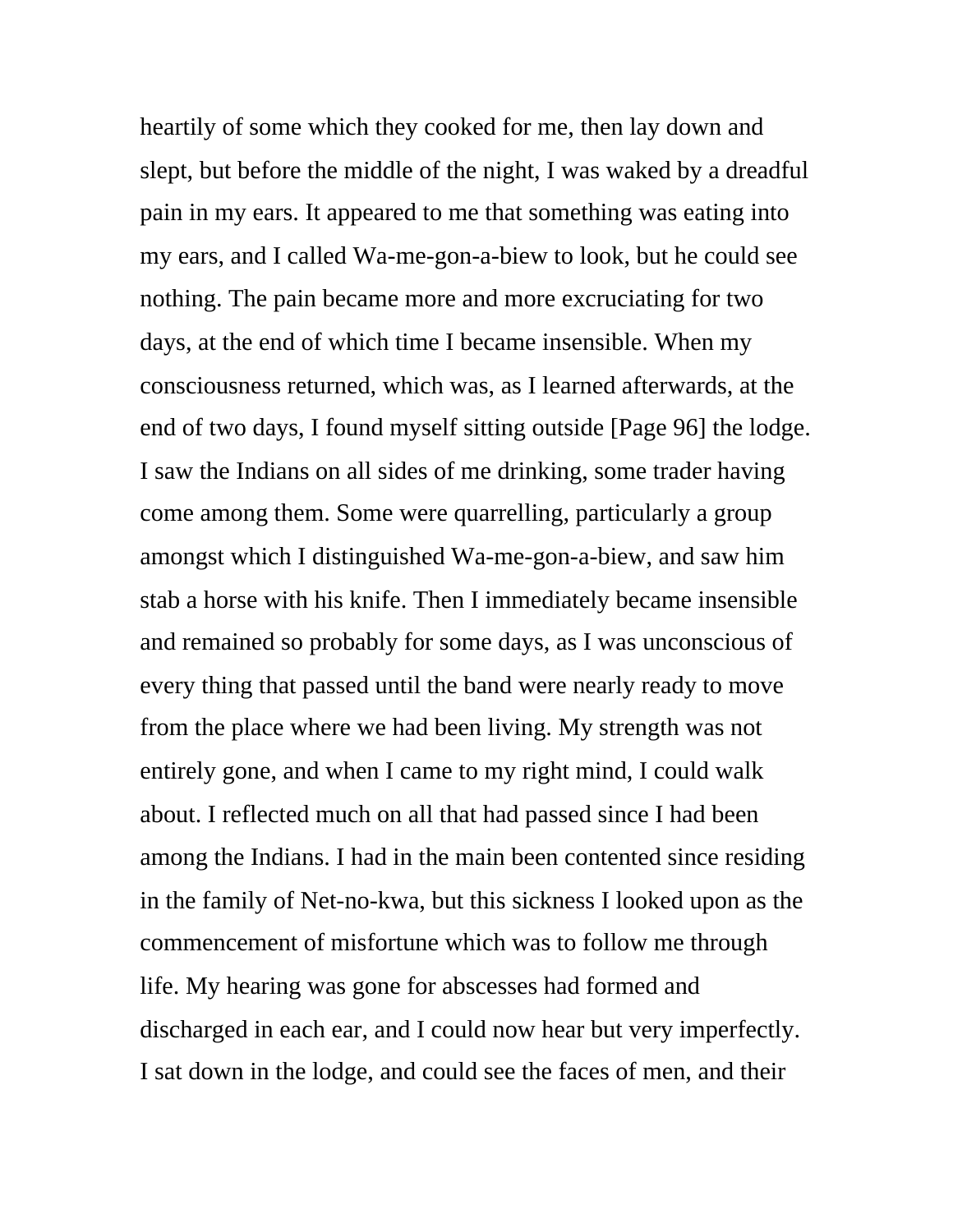heartily of some which they cooked for me, then lay down and slept, but before the middle of the night, I was waked by a dreadful pain in my ears. It appeared to me that something was eating into my ears, and I called Wa-me-gon-a-biew to look, but he could see nothing. The pain became more and more excruciating for two days, at the end of which time I became insensible. When my consciousness returned, which was, as I learned afterwards, at the end of two days, I found myself sitting outside [Page 96] the lodge. I saw the Indians on all sides of me drinking, some trader having come among them. Some were quarrelling, particularly a group amongst which I distinguished Wa-me-gon-a-biew, and saw him stab a horse with his knife. Then I immediately became insensible and remained so probably for some days, as I was unconscious of every thing that passed until the band were nearly ready to move from the place where we had been living. My strength was not entirely gone, and when I came to my right mind, I could walk about. I reflected much on all that had passed since I had been among the Indians. I had in the main been contented since residing in the family of Net-no-kwa, but this sickness I looked upon as the commencement of misfortune which was to follow me through life. My hearing was gone for abscesses had formed and discharged in each ear, and I could now hear but very imperfectly. I sat down in the lodge, and could see the faces of men, and their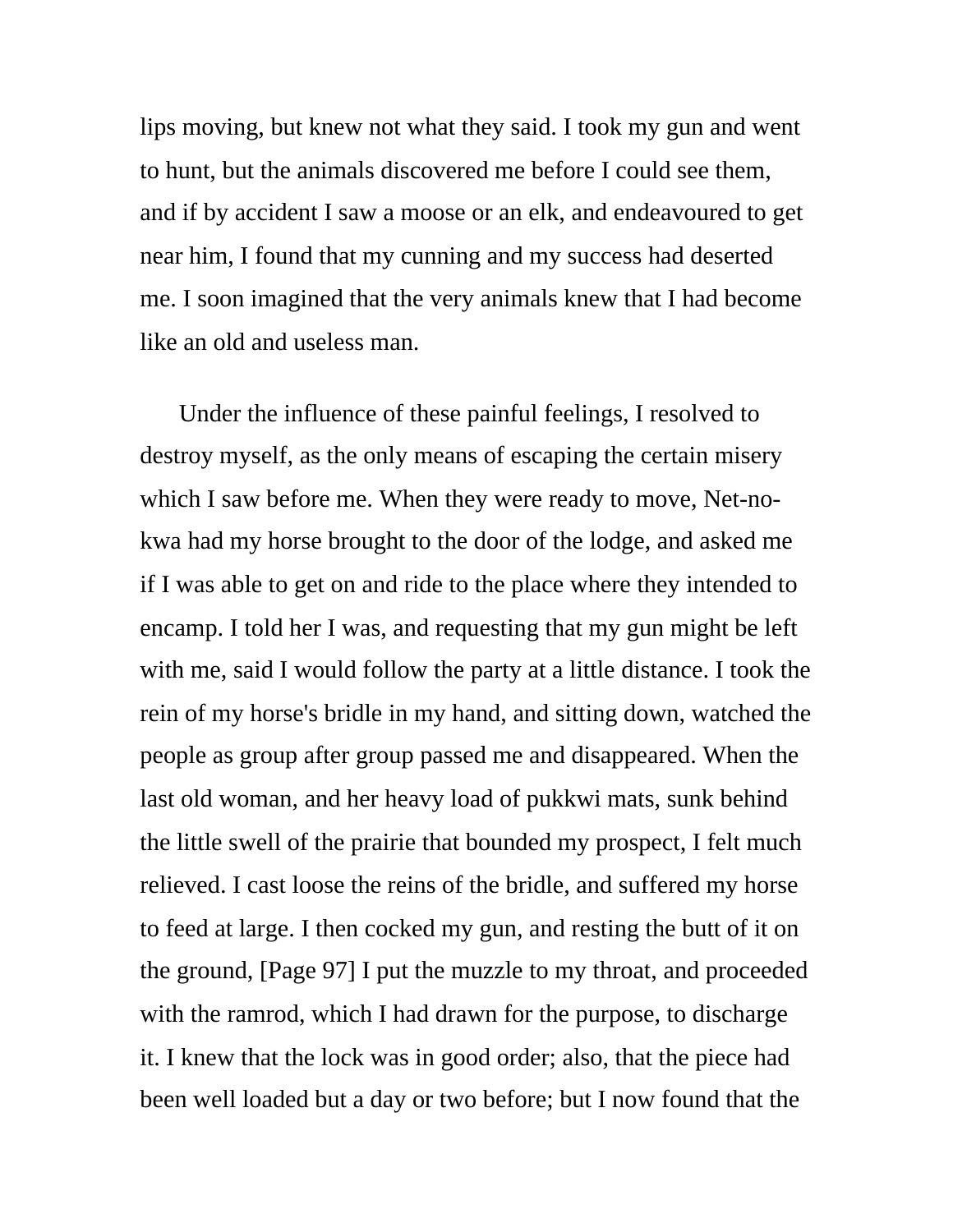lips moving, but knew not what they said. I took my gun and went to hunt, but the animals discovered me before I could see them, and if by accident I saw a moose or an elk, and endeavoured to get near him, I found that my cunning and my success had deserted me. I soon imagined that the very animals knew that I had become like an old and useless man.

Under the influence of these painful feelings, I resolved to destroy myself, as the only means of escaping the certain misery which I saw before me. When they were ready to move, Net-nokwa had my horse brought to the door of the lodge, and asked me if I was able to get on and ride to the place where they intended to encamp. I told her I was, and requesting that my gun might be left with me, said I would follow the party at a little distance. I took the rein of my horse's bridle in my hand, and sitting down, watched the people as group after group passed me and disappeared. When the last old woman, and her heavy load of pukkwi mats, sunk behind the little swell of the prairie that bounded my prospect, I felt much relieved. I cast loose the reins of the bridle, and suffered my horse to feed at large. I then cocked my gun, and resting the butt of it on the ground, [Page 97] I put the muzzle to my throat, and proceeded with the ramrod, which I had drawn for the purpose, to discharge it. I knew that the lock was in good order; also, that the piece had been well loaded but a day or two before; but I now found that the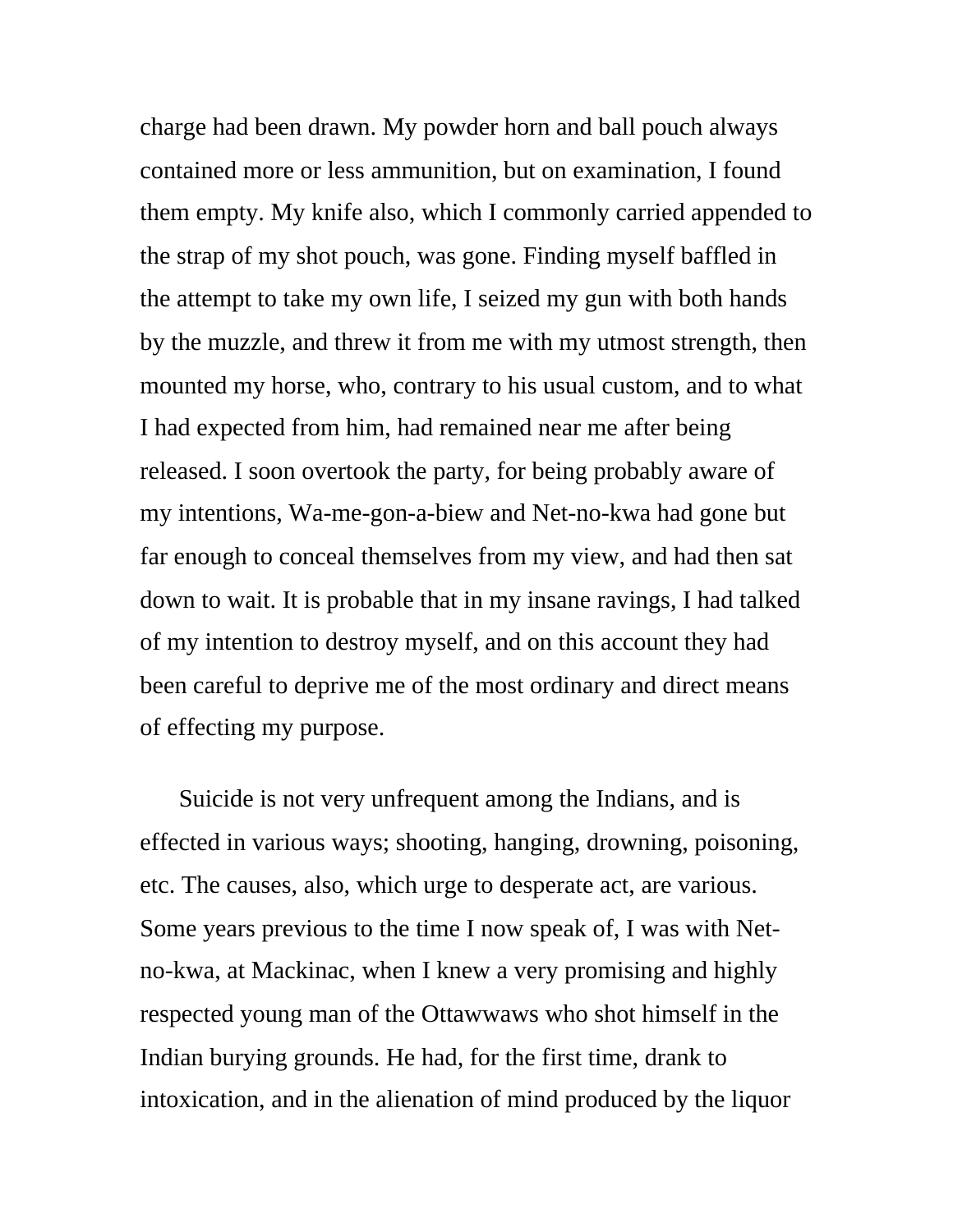charge had been drawn. My powder horn and ball pouch always contained more or less ammunition, but on examination, I found them empty. My knife also, which I commonly carried appended to the strap of my shot pouch, was gone. Finding myself baffled in the attempt to take my own life, I seized my gun with both hands by the muzzle, and threw it from me with my utmost strength, then mounted my horse, who, contrary to his usual custom, and to what I had expected from him, had remained near me after being released. I soon overtook the party, for being probably aware of my intentions, Wa-me-gon-a-biew and Net-no-kwa had gone but far enough to conceal themselves from my view, and had then sat down to wait. It is probable that in my insane ravings, I had talked of my intention to destroy myself, and on this account they had been careful to deprive me of the most ordinary and direct means of effecting my purpose.

Suicide is not very unfrequent among the Indians, and is effected in various ways; shooting, hanging, drowning, poisoning, etc. The causes, also, which urge to desperate act, are various. Some years previous to the time I now speak of, I was with Netno-kwa, at Mackinac, when I knew a very promising and highly respected young man of the Ottawwaws who shot himself in the Indian burying grounds. He had, for the first time, drank to intoxication, and in the alienation of mind produced by the liquor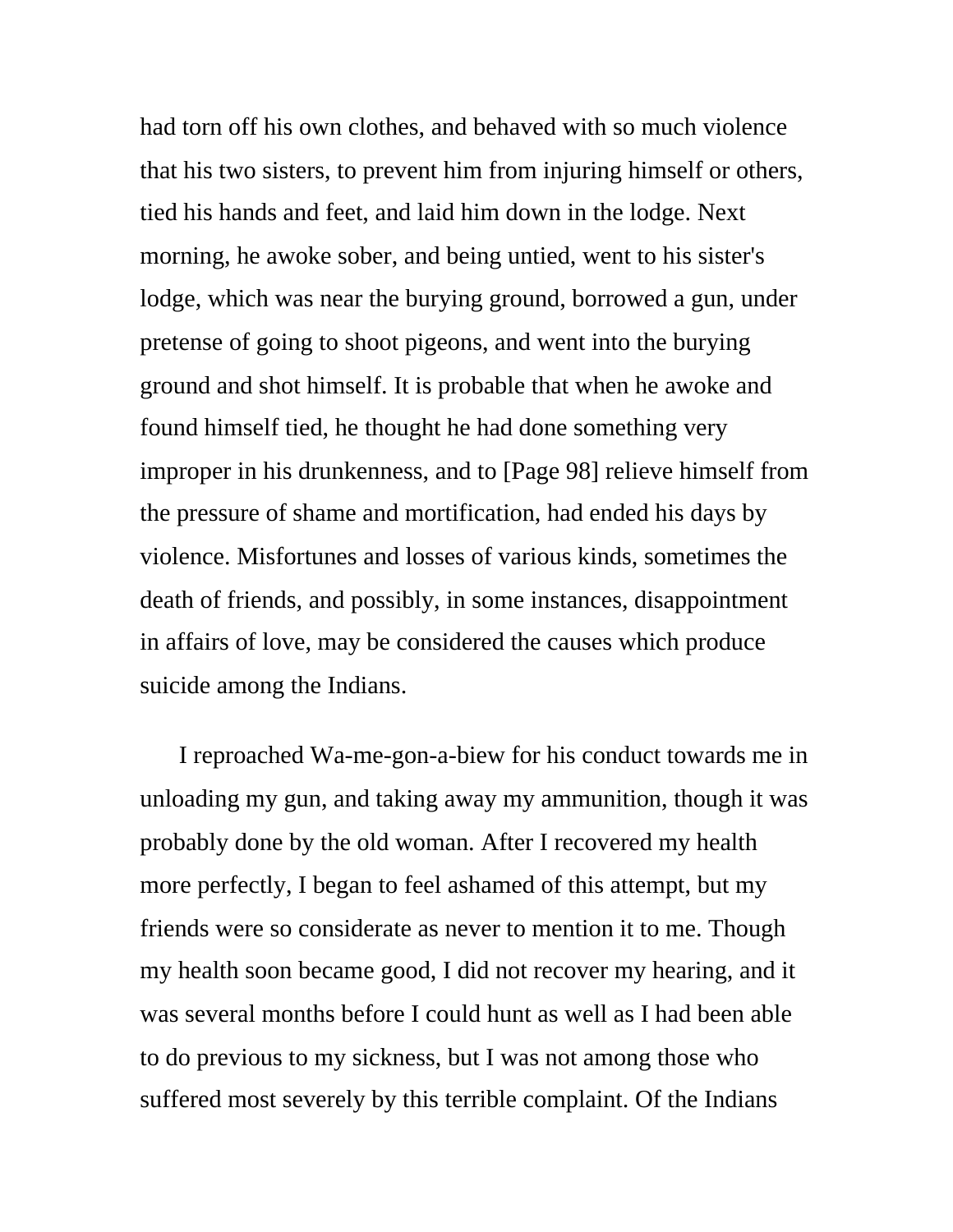had torn off his own clothes, and behaved with so much violence that his two sisters, to prevent him from injuring himself or others, tied his hands and feet, and laid him down in the lodge. Next morning, he awoke sober, and being untied, went to his sister's lodge, which was near the burying ground, borrowed a gun, under pretense of going to shoot pigeons, and went into the burying ground and shot himself. It is probable that when he awoke and found himself tied, he thought he had done something very improper in his drunkenness, and to [Page 98] relieve himself from the pressure of shame and mortification, had ended his days by violence. Misfortunes and losses of various kinds, sometimes the death of friends, and possibly, in some instances, disappointment in affairs of love, may be considered the causes which produce suicide among the Indians.

I reproached Wa-me-gon-a-biew for his conduct towards me in unloading my gun, and taking away my ammunition, though it was probably done by the old woman. After I recovered my health more perfectly, I began to feel ashamed of this attempt, but my friends were so considerate as never to mention it to me. Though my health soon became good, I did not recover my hearing, and it was several months before I could hunt as well as I had been able to do previous to my sickness, but I was not among those who suffered most severely by this terrible complaint. Of the Indians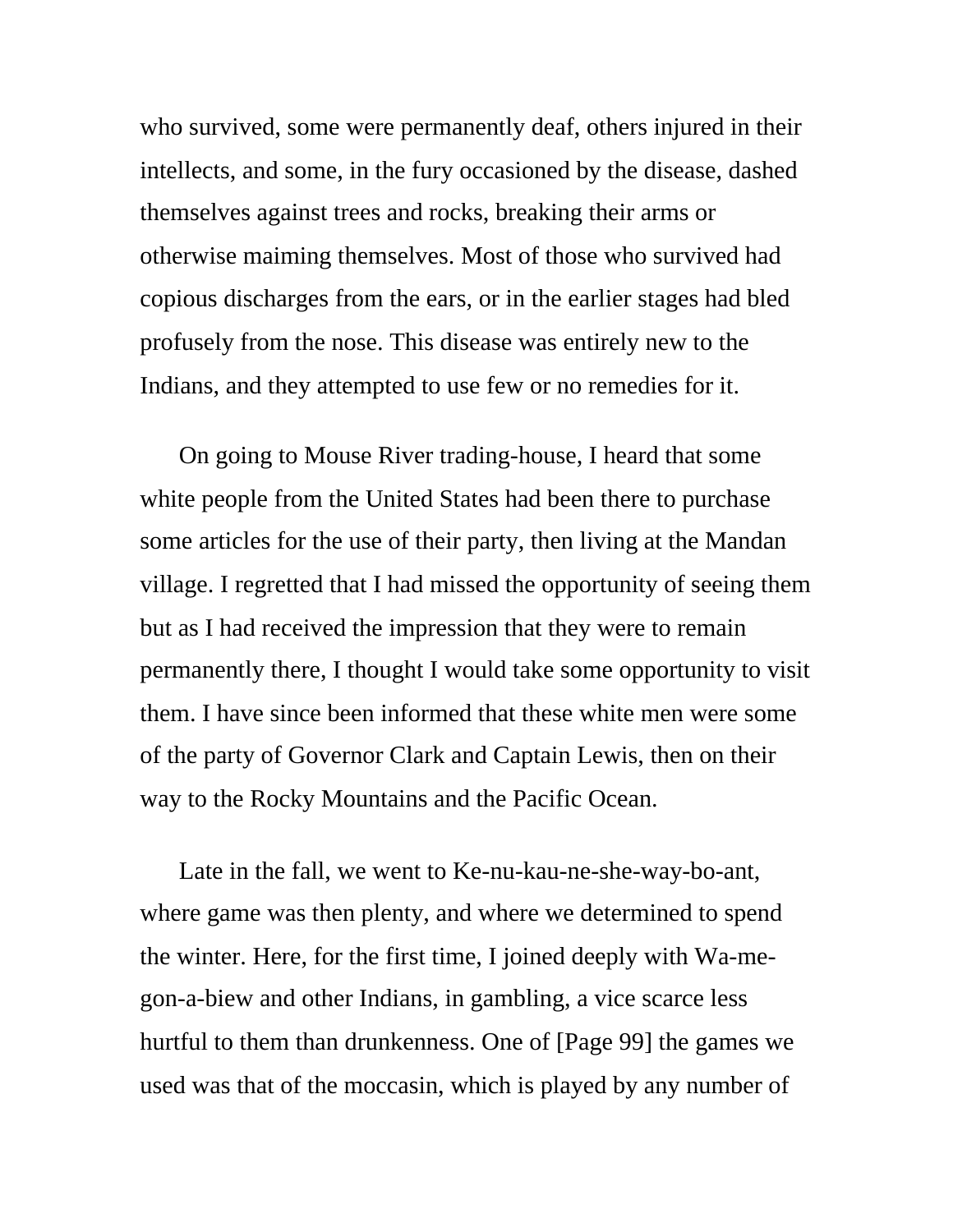who survived, some were permanently deaf, others injured in their intellects, and some, in the fury occasioned by the disease, dashed themselves against trees and rocks, breaking their arms or otherwise maiming themselves. Most of those who survived had copious discharges from the ears, or in the earlier stages had bled profusely from the nose. This disease was entirely new to the Indians, and they attempted to use few or no remedies for it.

On going to Mouse River trading-house, I heard that some white people from the United States had been there to purchase some articles for the use of their party, then living at the Mandan village. I regretted that I had missed the opportunity of seeing them but as I had received the impression that they were to remain permanently there, I thought I would take some opportunity to visit them. I have since been informed that these white men were some of the party of Governor Clark and Captain Lewis, then on their way to the Rocky Mountains and the Pacific Ocean.

Late in the fall, we went to Ke-nu-kau-ne-she-way-bo-ant, where game was then plenty, and where we determined to spend the winter. Here, for the first time, I joined deeply with Wa-megon-a-biew and other Indians, in gambling, a vice scarce less hurtful to them than drunkenness. One of [Page 99] the games we used was that of the moccasin, which is played by any number of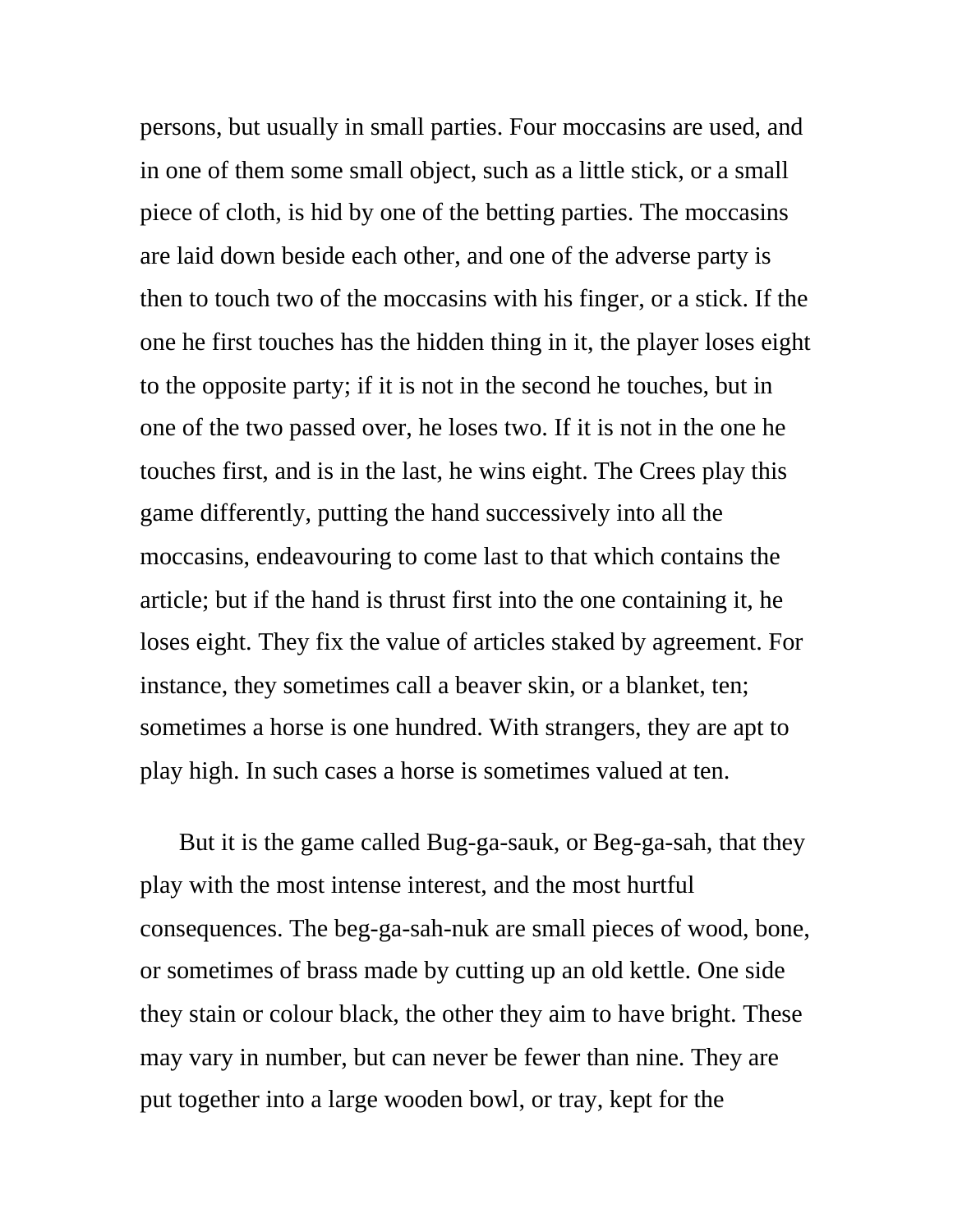persons, but usually in small parties. Four moccasins are used, and in one of them some small object, such as a little stick, or a small piece of cloth, is hid by one of the betting parties. The moccasins are laid down beside each other, and one of the adverse party is then to touch two of the moccasins with his finger, or a stick. If the one he first touches has the hidden thing in it, the player loses eight to the opposite party; if it is not in the second he touches, but in one of the two passed over, he loses two. If it is not in the one he touches first, and is in the last, he wins eight. The Crees play this game differently, putting the hand successively into all the moccasins, endeavouring to come last to that which contains the article; but if the hand is thrust first into the one containing it, he loses eight. They fix the value of articles staked by agreement. For instance, they sometimes call a beaver skin, or a blanket, ten; sometimes a horse is one hundred. With strangers, they are apt to play high. In such cases a horse is sometimes valued at ten.

But it is the game called Bug-ga-sauk, or Beg-ga-sah, that they play with the most intense interest, and the most hurtful consequences. The beg-ga-sah-nuk are small pieces of wood, bone, or sometimes of brass made by cutting up an old kettle. One side they stain or colour black, the other they aim to have bright. These may vary in number, but can never be fewer than nine. They are put together into a large wooden bowl, or tray, kept for the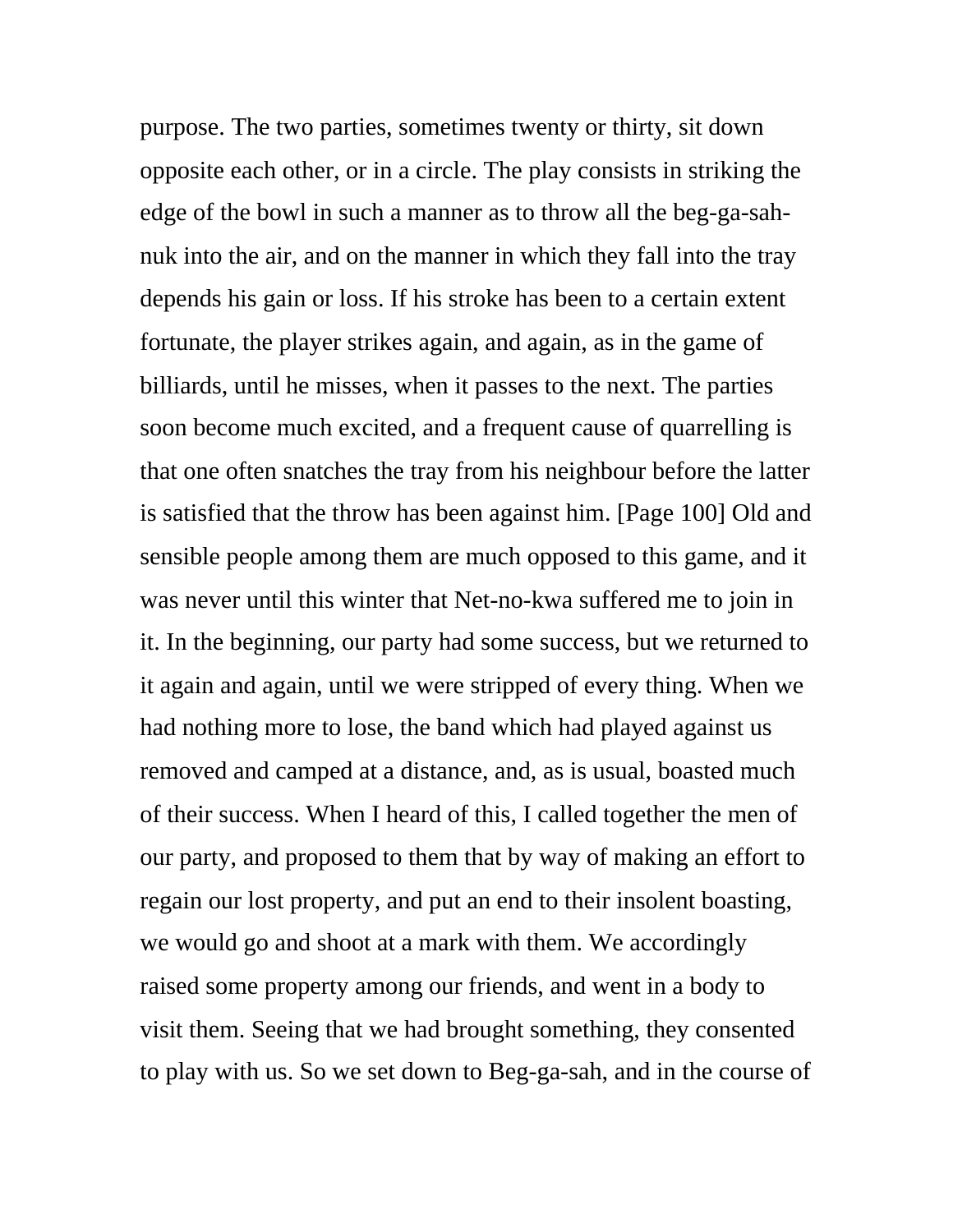purpose. The two parties, sometimes twenty or thirty, sit down opposite each other, or in a circle. The play consists in striking the edge of the bowl in such a manner as to throw all the beg-ga-sahnuk into the air, and on the manner in which they fall into the tray depends his gain or loss. If his stroke has been to a certain extent fortunate, the player strikes again, and again, as in the game of billiards, until he misses, when it passes to the next. The parties soon become much excited, and a frequent cause of quarrelling is that one often snatches the tray from his neighbour before the latter is satisfied that the throw has been against him. [Page 100] Old and sensible people among them are much opposed to this game, and it was never until this winter that Net-no-kwa suffered me to join in it. In the beginning, our party had some success, but we returned to it again and again, until we were stripped of every thing. When we had nothing more to lose, the band which had played against us removed and camped at a distance, and, as is usual, boasted much of their success. When I heard of this, I called together the men of our party, and proposed to them that by way of making an effort to regain our lost property, and put an end to their insolent boasting, we would go and shoot at a mark with them. We accordingly raised some property among our friends, and went in a body to visit them. Seeing that we had brought something, they consented to play with us. So we set down to Beg-ga-sah, and in the course of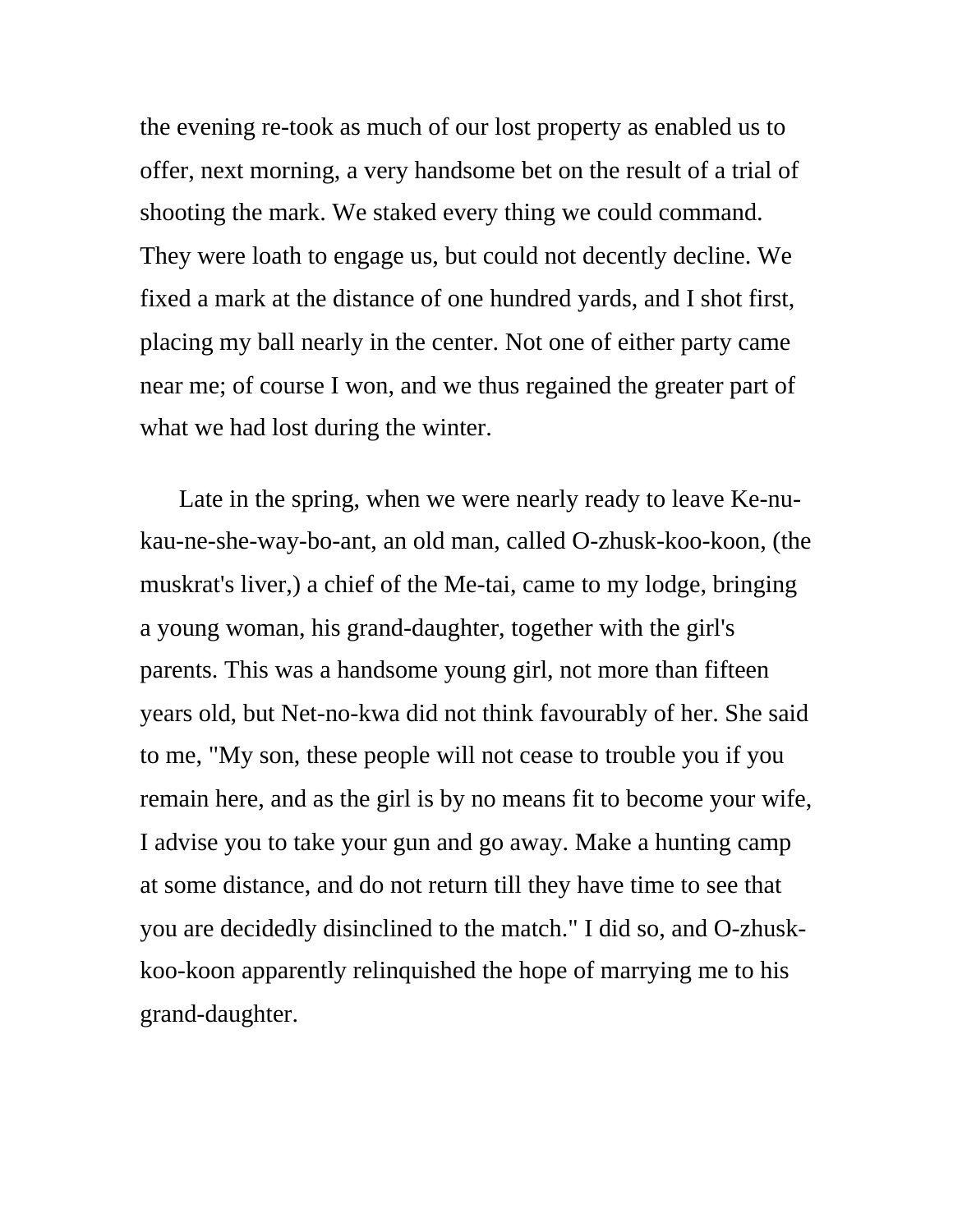the evening re-took as much of our lost property as enabled us to offer, next morning, a very handsome bet on the result of a trial of shooting the mark. We staked every thing we could command. They were loath to engage us, but could not decently decline. We fixed a mark at the distance of one hundred yards, and I shot first, placing my ball nearly in the center. Not one of either party came near me; of course I won, and we thus regained the greater part of what we had lost during the winter.

Late in the spring, when we were nearly ready to leave Ke-nukau-ne-she-way-bo-ant, an old man, called O-zhusk-koo-koon, (the muskrat's liver,) a chief of the Me-tai, came to my lodge, bringing a young woman, his grand-daughter, together with the girl's parents. This was a handsome young girl, not more than fifteen years old, but Net-no-kwa did not think favourably of her. She said to me, "My son, these people will not cease to trouble you if you remain here, and as the girl is by no means fit to become your wife, I advise you to take your gun and go away. Make a hunting camp at some distance, and do not return till they have time to see that you are decidedly disinclined to the match." I did so, and O-zhuskkoo-koon apparently relinquished the hope of marrying me to his grand-daughter.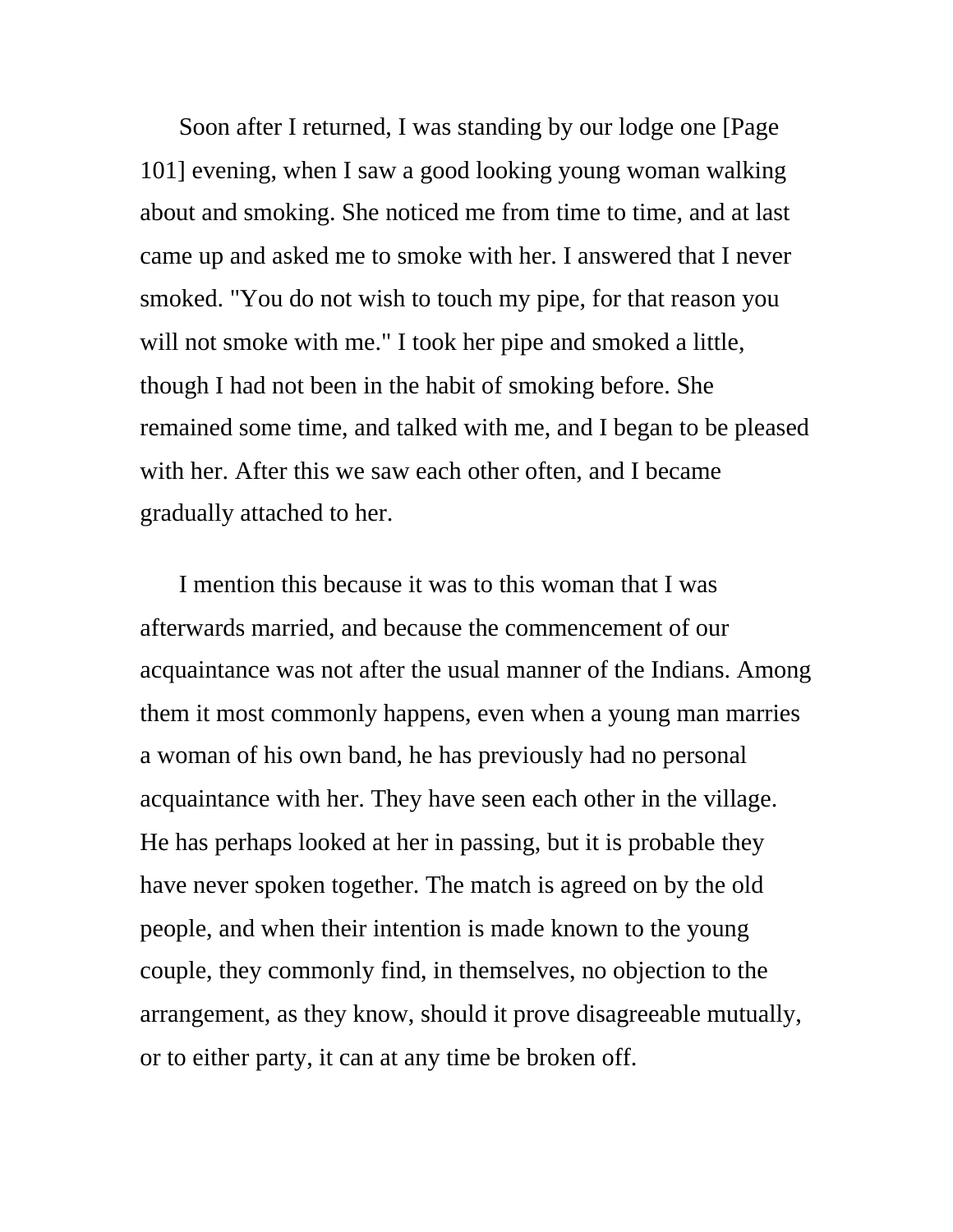Soon after I returned, I was standing by our lodge one [Page 101] evening, when I saw a good looking young woman walking about and smoking. She noticed me from time to time, and at last came up and asked me to smoke with her. I answered that I never smoked. "You do not wish to touch my pipe, for that reason you will not smoke with me." I took her pipe and smoked a little, though I had not been in the habit of smoking before. She remained some time, and talked with me, and I began to be pleased with her. After this we saw each other often, and I became gradually attached to her.

I mention this because it was to this woman that I was afterwards married, and because the commencement of our acquaintance was not after the usual manner of the Indians. Among them it most commonly happens, even when a young man marries a woman of his own band, he has previously had no personal acquaintance with her. They have seen each other in the village. He has perhaps looked at her in passing, but it is probable they have never spoken together. The match is agreed on by the old people, and when their intention is made known to the young couple, they commonly find, in themselves, no objection to the arrangement, as they know, should it prove disagreeable mutually, or to either party, it can at any time be broken off.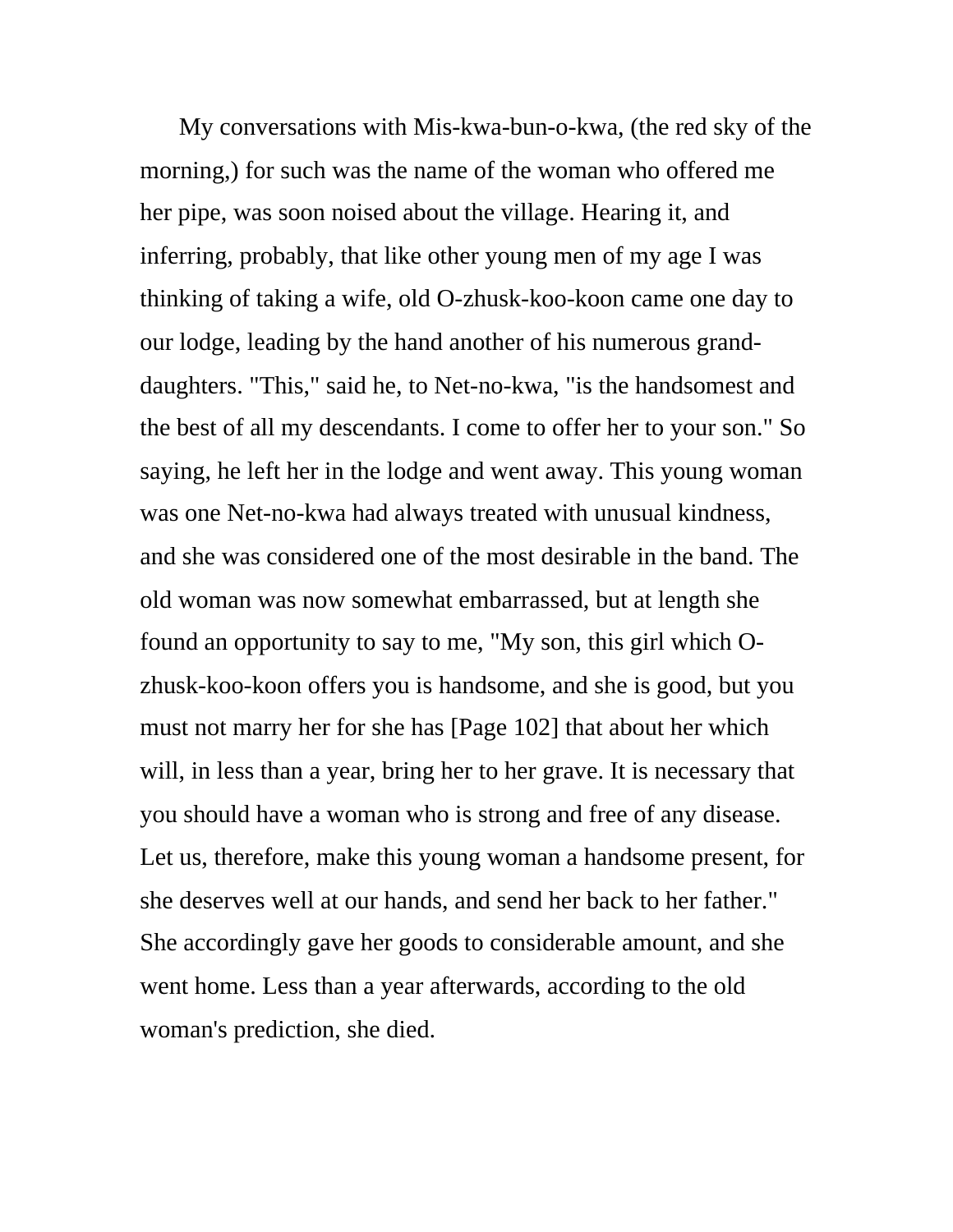My conversations with Mis-kwa-bun-o-kwa, (the red sky of the morning,) for such was the name of the woman who offered me her pipe, was soon noised about the village. Hearing it, and inferring, probably, that like other young men of my age I was thinking of taking a wife, old O-zhusk-koo-koon came one day to our lodge, leading by the hand another of his numerous granddaughters. "This," said he, to Net-no-kwa, "is the handsomest and the best of all my descendants. I come to offer her to your son." So saying, he left her in the lodge and went away. This young woman was one Net-no-kwa had always treated with unusual kindness, and she was considered one of the most desirable in the band. The old woman was now somewhat embarrassed, but at length she found an opportunity to say to me, "My son, this girl which Ozhusk-koo-koon offers you is handsome, and she is good, but you must not marry her for she has [Page 102] that about her which will, in less than a year, bring her to her grave. It is necessary that you should have a woman who is strong and free of any disease. Let us, therefore, make this young woman a handsome present, for she deserves well at our hands, and send her back to her father." She accordingly gave her goods to considerable amount, and she went home. Less than a year afterwards, according to the old woman's prediction, she died.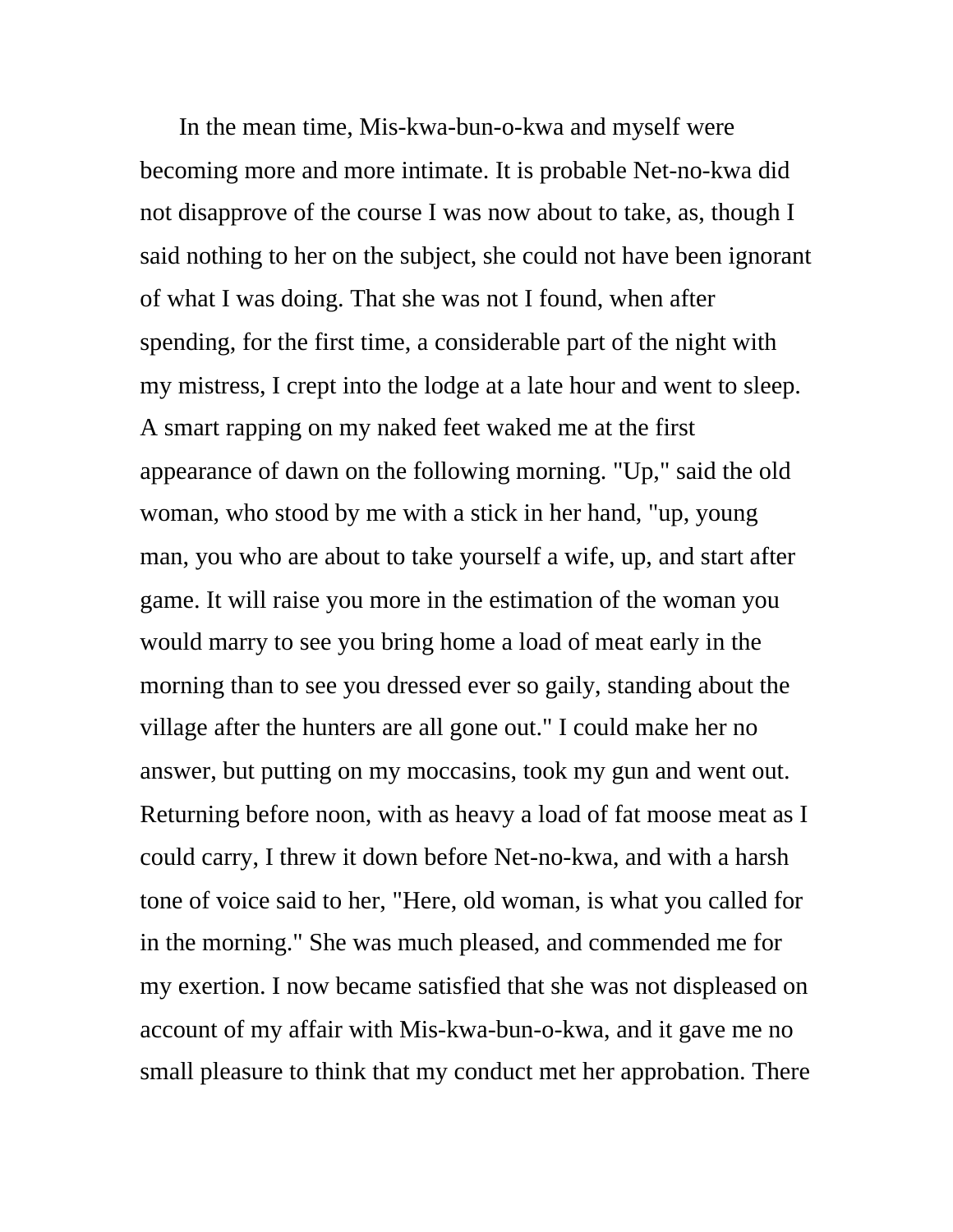In the mean time, Mis-kwa-bun-o-kwa and myself were becoming more and more intimate. It is probable Net-no-kwa did not disapprove of the course I was now about to take, as, though I said nothing to her on the subject, she could not have been ignorant of what I was doing. That she was not I found, when after spending, for the first time, a considerable part of the night with my mistress, I crept into the lodge at a late hour and went to sleep. A smart rapping on my naked feet waked me at the first appearance of dawn on the following morning. "Up," said the old woman, who stood by me with a stick in her hand, "up, young man, you who are about to take yourself a wife, up, and start after game. It will raise you more in the estimation of the woman you would marry to see you bring home a load of meat early in the morning than to see you dressed ever so gaily, standing about the village after the hunters are all gone out." I could make her no answer, but putting on my moccasins, took my gun and went out. Returning before noon, with as heavy a load of fat moose meat as I could carry, I threw it down before Net-no-kwa, and with a harsh tone of voice said to her, "Here, old woman, is what you called for in the morning." She was much pleased, and commended me for my exertion. I now became satisfied that she was not displeased on account of my affair with Mis-kwa-bun-o-kwa, and it gave me no small pleasure to think that my conduct met her approbation. There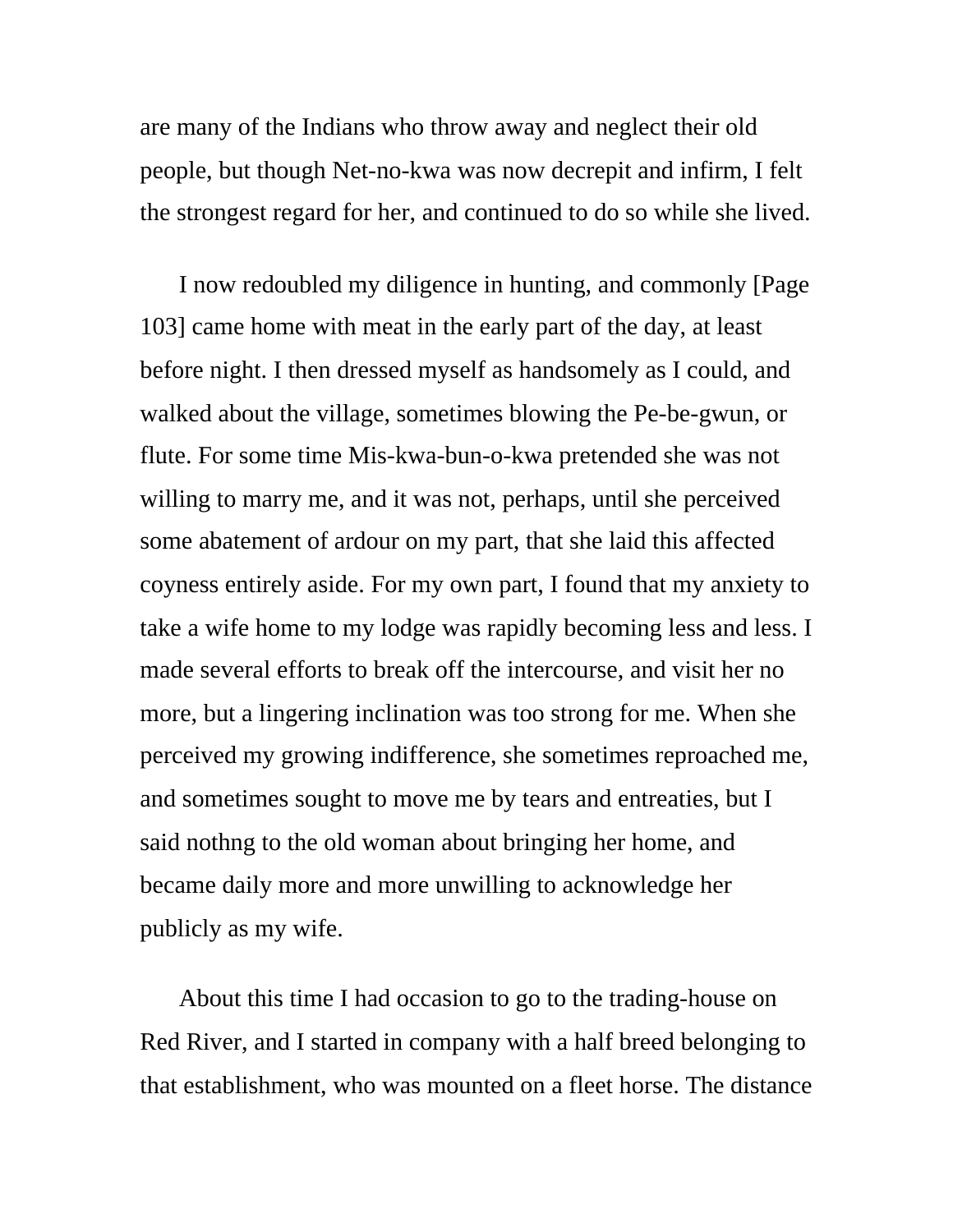are many of the Indians who throw away and neglect their old people, but though Net-no-kwa was now decrepit and infirm, I felt the strongest regard for her, and continued to do so while she lived.

I now redoubled my diligence in hunting, and commonly [Page 103] came home with meat in the early part of the day, at least before night. I then dressed myself as handsomely as I could, and walked about the village, sometimes blowing the Pe-be-gwun, or flute. For some time Mis-kwa-bun-o-kwa pretended she was not willing to marry me, and it was not, perhaps, until she perceived some abatement of ardour on my part, that she laid this affected coyness entirely aside. For my own part, I found that my anxiety to take a wife home to my lodge was rapidly becoming less and less. I made several efforts to break off the intercourse, and visit her no more, but a lingering inclination was too strong for me. When she perceived my growing indifference, she sometimes reproached me, and sometimes sought to move me by tears and entreaties, but I said nothng to the old woman about bringing her home, and became daily more and more unwilling to acknowledge her publicly as my wife.

About this time I had occasion to go to the trading-house on Red River, and I started in company with a half breed belonging to that establishment, who was mounted on a fleet horse. The distance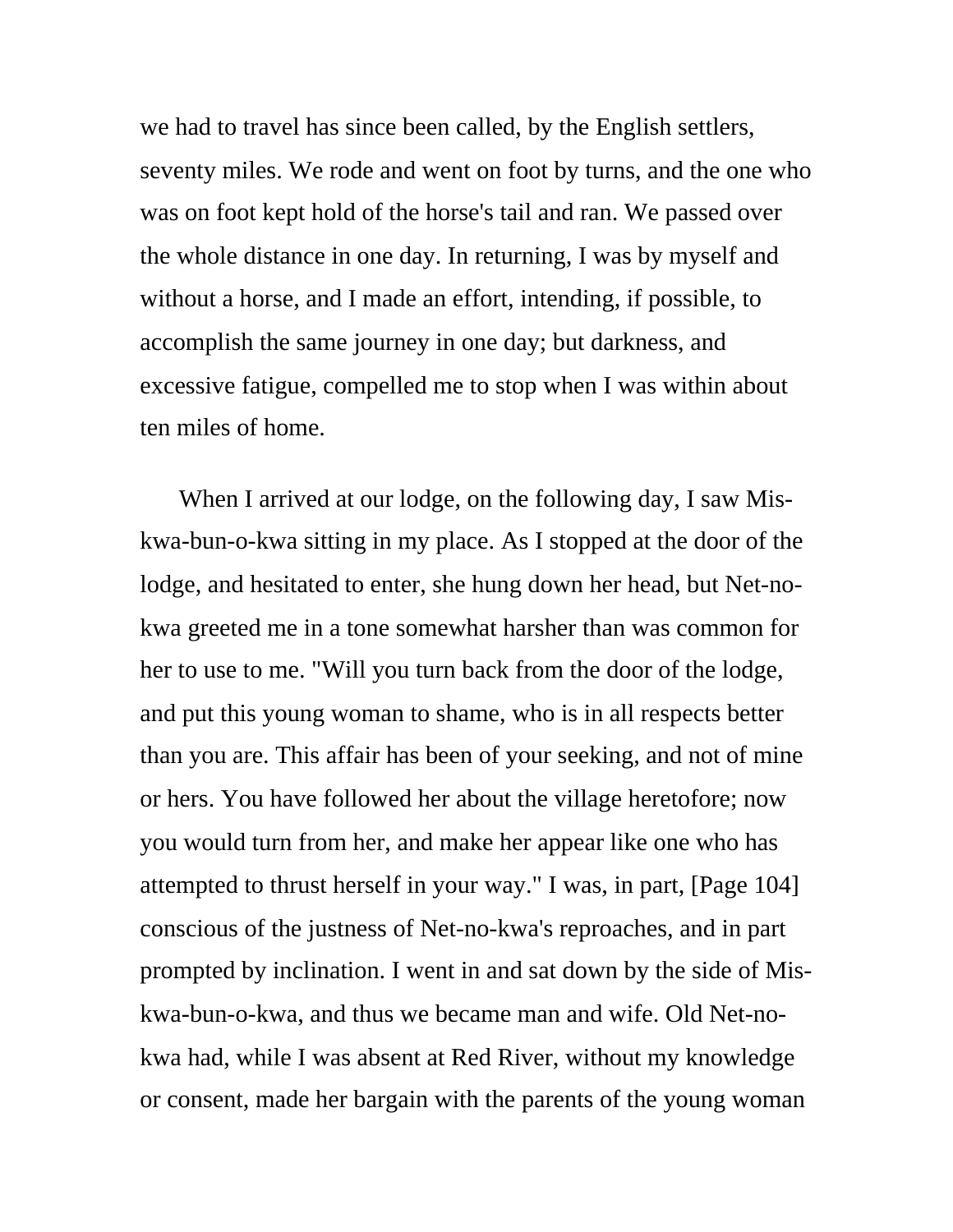we had to travel has since been called, by the English settlers, seventy miles. We rode and went on foot by turns, and the one who was on foot kept hold of the horse's tail and ran. We passed over the whole distance in one day. In returning, I was by myself and without a horse, and I made an effort, intending, if possible, to accomplish the same journey in one day; but darkness, and excessive fatigue, compelled me to stop when I was within about ten miles of home.

When I arrived at our lodge, on the following day, I saw Miskwa-bun-o-kwa sitting in my place. As I stopped at the door of the lodge, and hesitated to enter, she hung down her head, but Net-nokwa greeted me in a tone somewhat harsher than was common for her to use to me. "Will you turn back from the door of the lodge, and put this young woman to shame, who is in all respects better than you are. This affair has been of your seeking, and not of mine or hers. You have followed her about the village heretofore; now you would turn from her, and make her appear like one who has attempted to thrust herself in your way." I was, in part, [Page 104] conscious of the justness of Net-no-kwa's reproaches, and in part prompted by inclination. I went in and sat down by the side of Miskwa-bun-o-kwa, and thus we became man and wife. Old Net-nokwa had, while I was absent at Red River, without my knowledge or consent, made her bargain with the parents of the young woman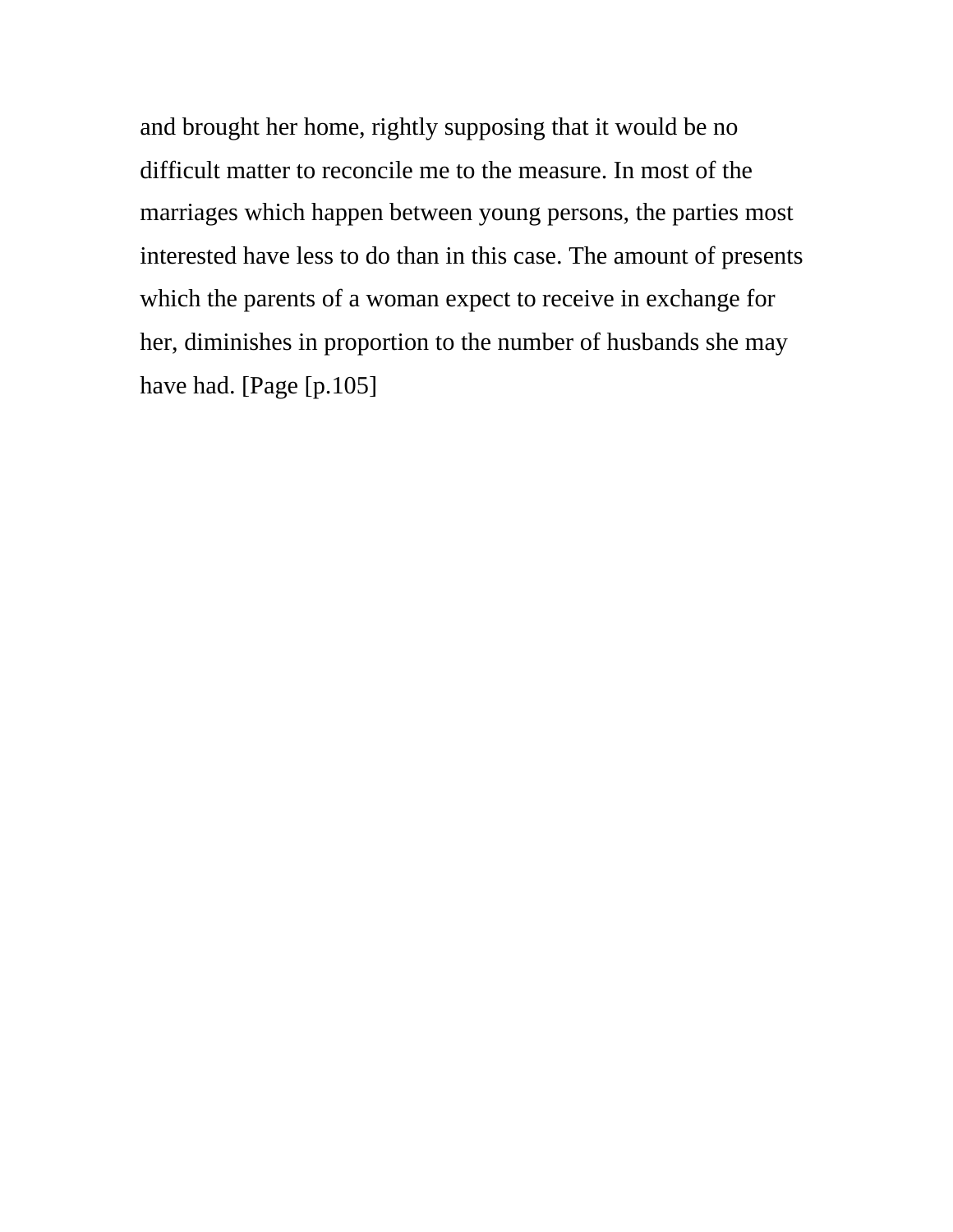and brought her home, rightly supposing that it would be no difficult matter to reconcile me to the measure. In most of the marriages which happen between young persons, the parties most interested have less to do than in this case. The amount of presents which the parents of a woman expect to receive in exchange for her, diminishes in proportion to the number of husbands she may have had. [Page [p.105]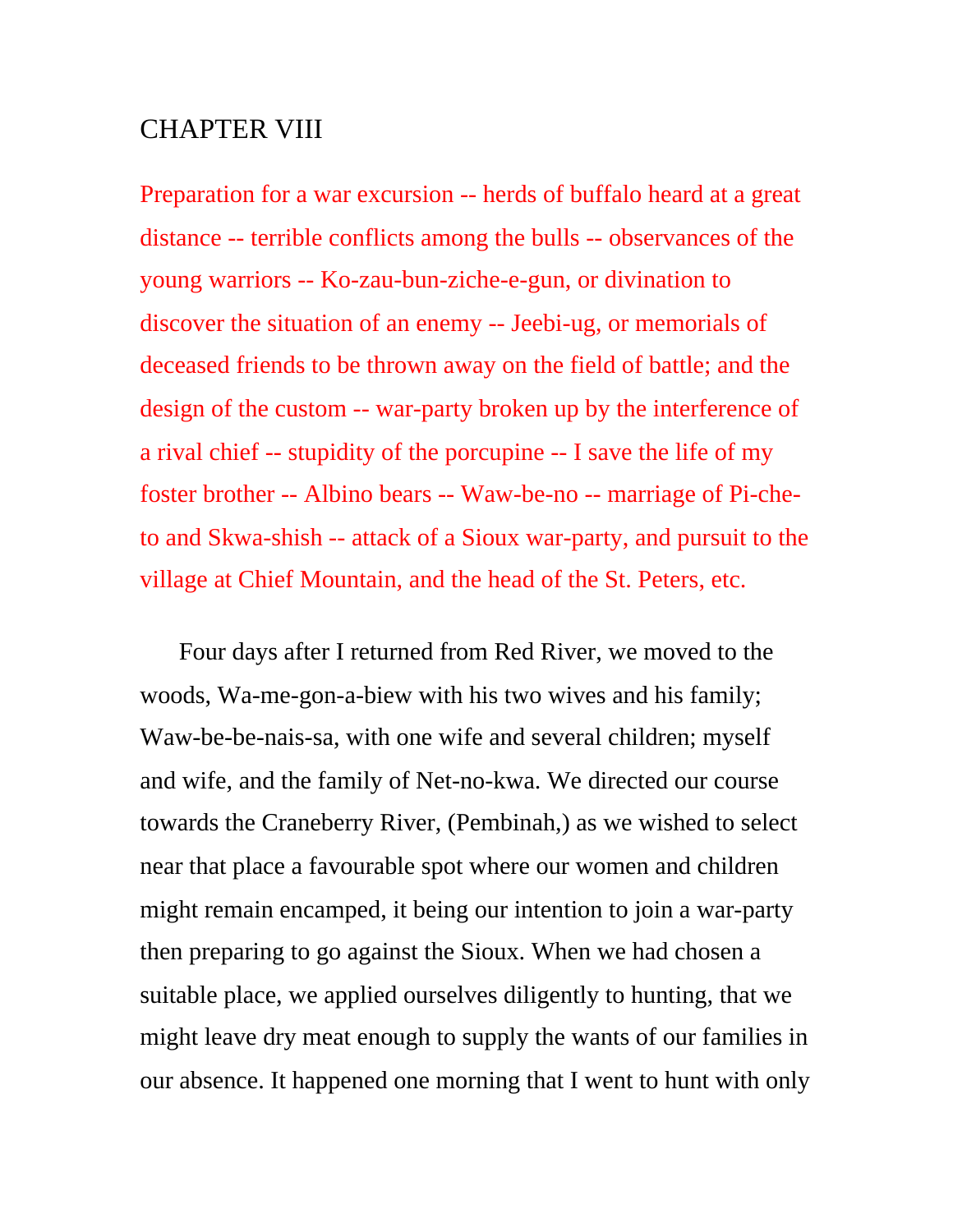## CHAPTER VIII

Preparation for a war excursion -- herds of buffalo heard at a great distance -- terrible conflicts among the bulls -- observances of the young warriors -- Ko-zau-bun-ziche-e-gun, or divination to discover the situation of an enemy -- Jeebi-ug, or memorials of deceased friends to be thrown away on the field of battle; and the design of the custom -- war-party broken up by the interference of a rival chief -- stupidity of the porcupine -- I save the life of my foster brother -- Albino bears -- Waw-be-no -- marriage of Pi-cheto and Skwa-shish -- attack of a Sioux war-party, and pursuit to the village at Chief Mountain, and the head of the St. Peters, etc.

Four days after I returned from Red River, we moved to the woods, Wa-me-gon-a-biew with his two wives and his family; Waw-be-be-nais-sa, with one wife and several children; myself and wife, and the family of Net-no-kwa. We directed our course towards the Craneberry River, (Pembinah,) as we wished to select near that place a favourable spot where our women and children might remain encamped, it being our intention to join a war-party then preparing to go against the Sioux. When we had chosen a suitable place, we applied ourselves diligently to hunting, that we might leave dry meat enough to supply the wants of our families in our absence. It happened one morning that I went to hunt with only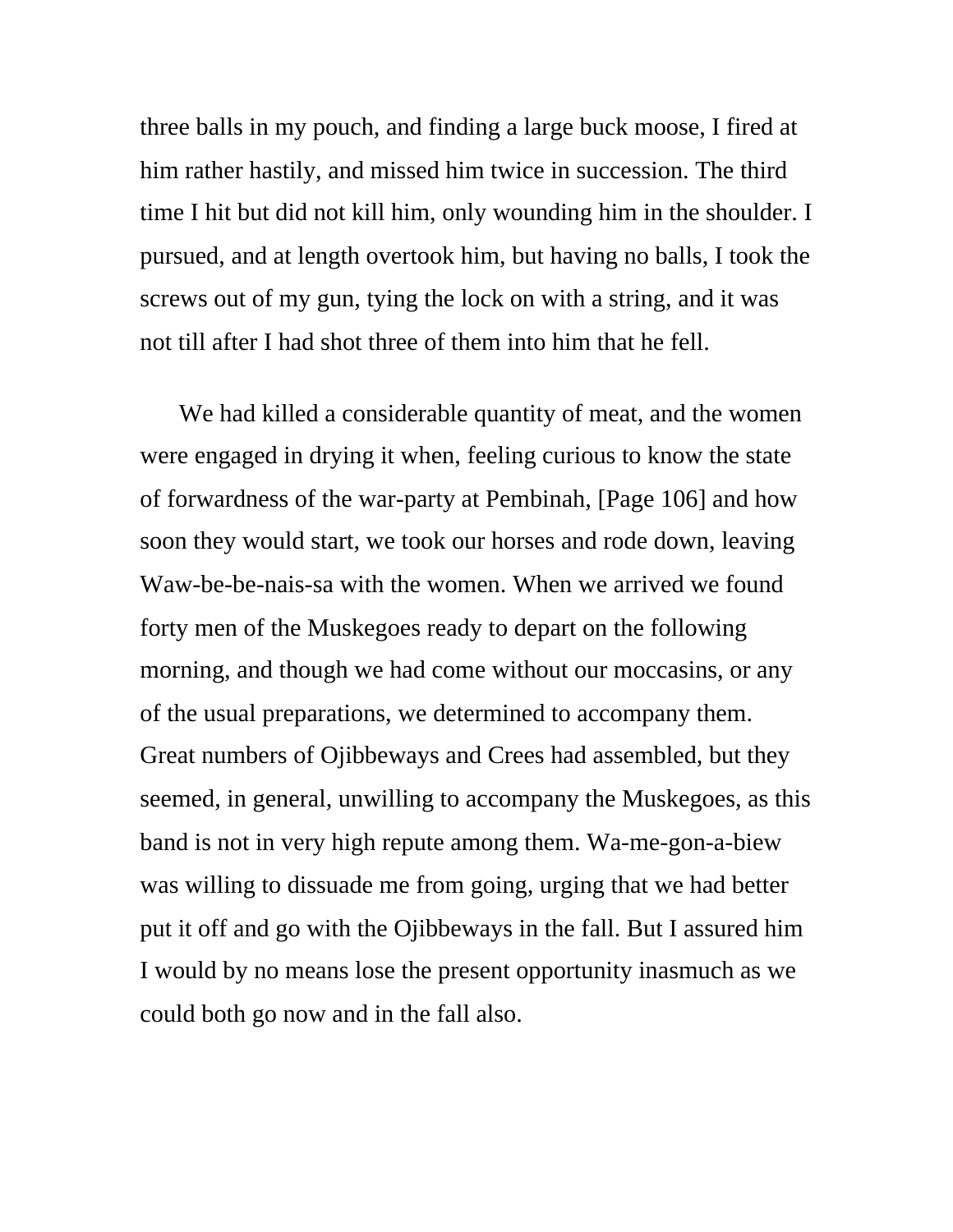three balls in my pouch, and finding a large buck moose, I fired at him rather hastily, and missed him twice in succession. The third time I hit but did not kill him, only wounding him in the shoulder. I pursued, and at length overtook him, but having no balls, I took the screws out of my gun, tying the lock on with a string, and it was not till after I had shot three of them into him that he fell.

We had killed a considerable quantity of meat, and the women were engaged in drying it when, feeling curious to know the state of forwardness of the war-party at Pembinah, [Page 106] and how soon they would start, we took our horses and rode down, leaving Waw-be-be-nais-sa with the women. When we arrived we found forty men of the Muskegoes ready to depart on the following morning, and though we had come without our moccasins, or any of the usual preparations, we determined to accompany them. Great numbers of Ojibbeways and Crees had assembled, but they seemed, in general, unwilling to accompany the Muskegoes, as this band is not in very high repute among them. Wa-me-gon-a-biew was willing to dissuade me from going, urging that we had better put it off and go with the Ojibbeways in the fall. But I assured him I would by no means lose the present opportunity inasmuch as we could both go now and in the fall also.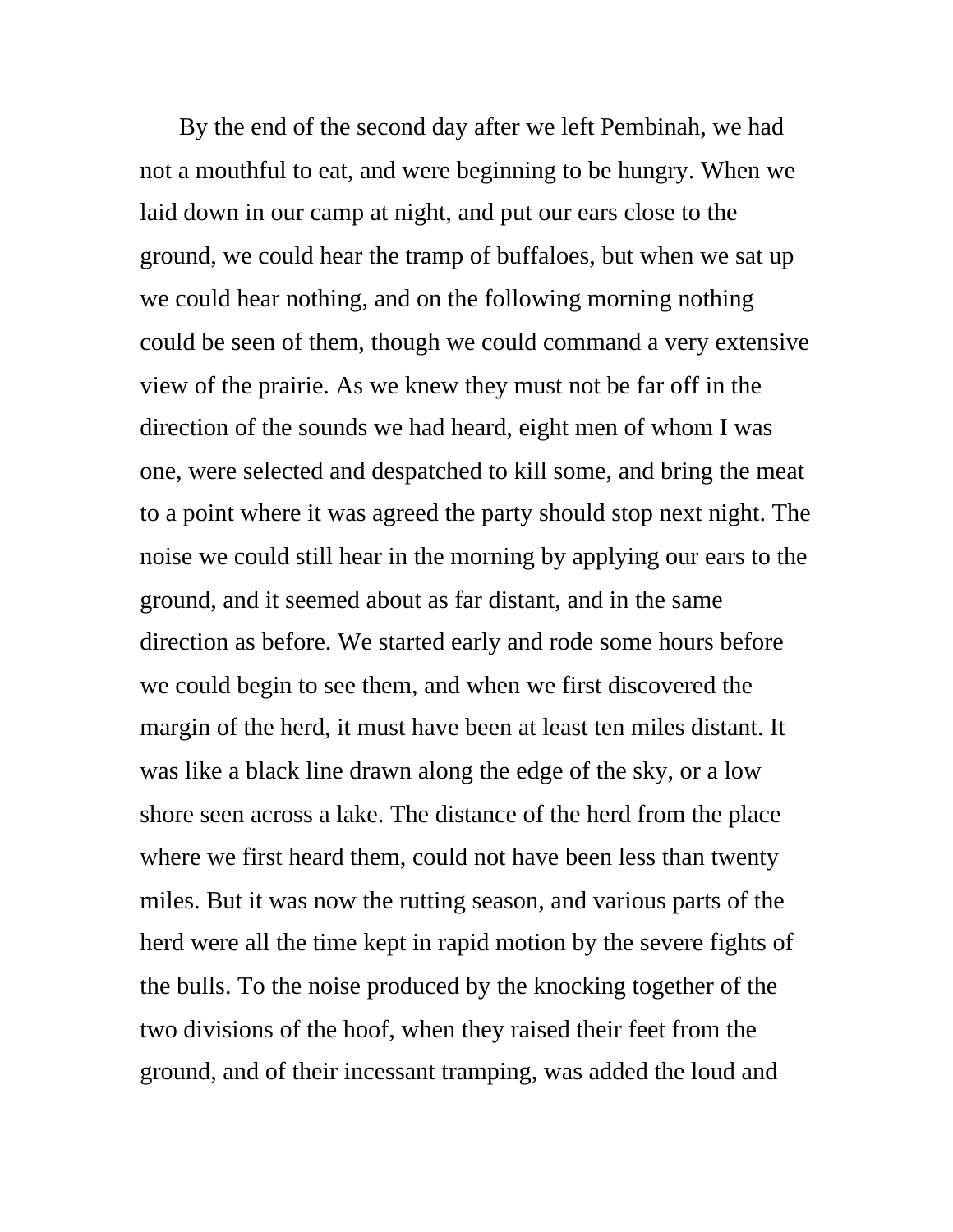By the end of the second day after we left Pembinah, we had not a mouthful to eat, and were beginning to be hungry. When we laid down in our camp at night, and put our ears close to the ground, we could hear the tramp of buffaloes, but when we sat up we could hear nothing, and on the following morning nothing could be seen of them, though we could command a very extensive view of the prairie. As we knew they must not be far off in the direction of the sounds we had heard, eight men of whom I was one, were selected and despatched to kill some, and bring the meat to a point where it was agreed the party should stop next night. The noise we could still hear in the morning by applying our ears to the ground, and it seemed about as far distant, and in the same direction as before. We started early and rode some hours before we could begin to see them, and when we first discovered the margin of the herd, it must have been at least ten miles distant. It was like a black line drawn along the edge of the sky, or a low shore seen across a lake. The distance of the herd from the place where we first heard them, could not have been less than twenty miles. But it was now the rutting season, and various parts of the herd were all the time kept in rapid motion by the severe fights of the bulls. To the noise produced by the knocking together of the two divisions of the hoof, when they raised their feet from the ground, and of their incessant tramping, was added the loud and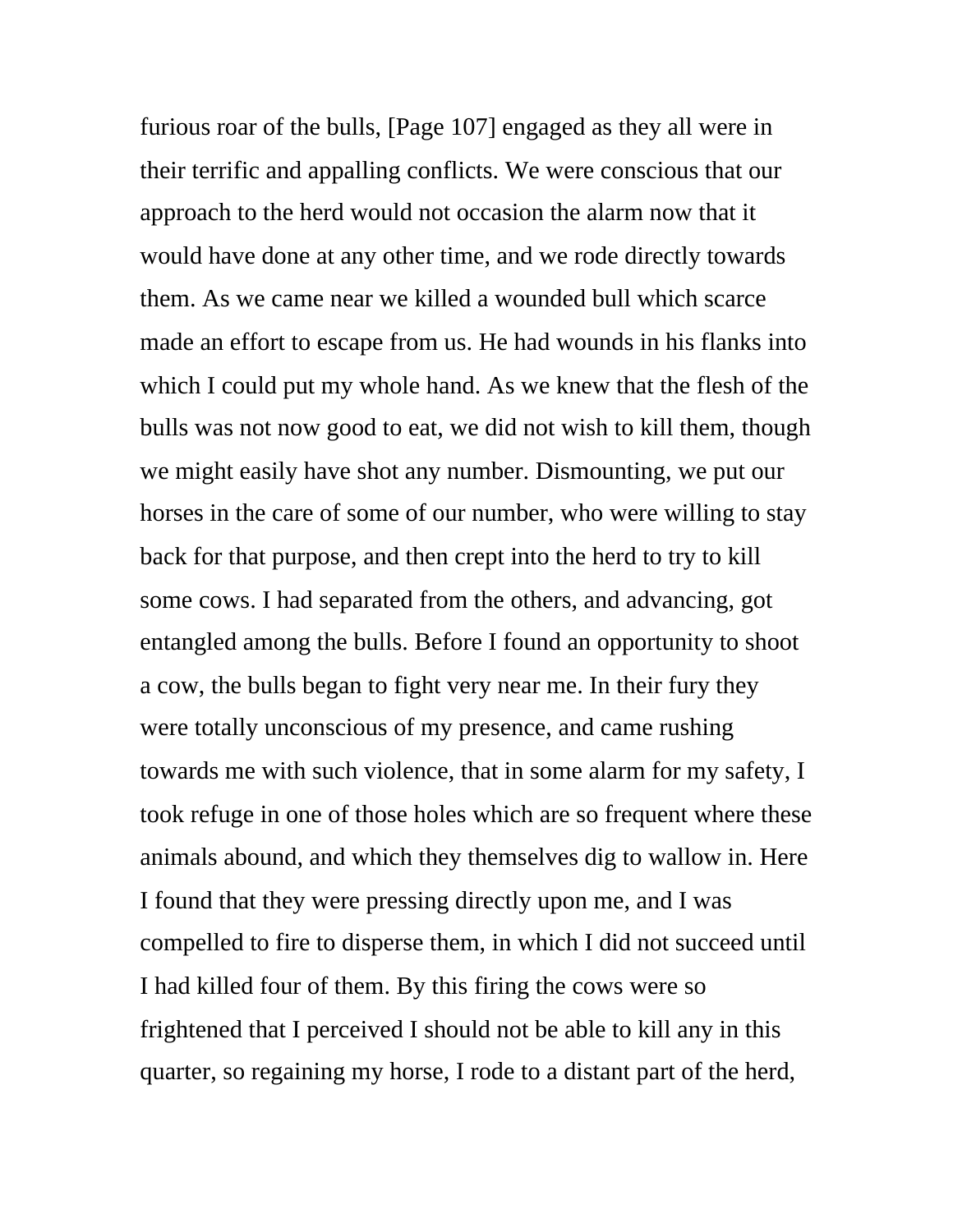furious roar of the bulls, [Page 107] engaged as they all were in their terrific and appalling conflicts. We were conscious that our approach to the herd would not occasion the alarm now that it would have done at any other time, and we rode directly towards them. As we came near we killed a wounded bull which scarce made an effort to escape from us. He had wounds in his flanks into which I could put my whole hand. As we knew that the flesh of the bulls was not now good to eat, we did not wish to kill them, though we might easily have shot any number. Dismounting, we put our horses in the care of some of our number, who were willing to stay back for that purpose, and then crept into the herd to try to kill some cows. I had separated from the others, and advancing, got entangled among the bulls. Before I found an opportunity to shoot a cow, the bulls began to fight very near me. In their fury they were totally unconscious of my presence, and came rushing towards me with such violence, that in some alarm for my safety, I took refuge in one of those holes which are so frequent where these animals abound, and which they themselves dig to wallow in. Here I found that they were pressing directly upon me, and I was compelled to fire to disperse them, in which I did not succeed until I had killed four of them. By this firing the cows were so frightened that I perceived I should not be able to kill any in this quarter, so regaining my horse, I rode to a distant part of the herd,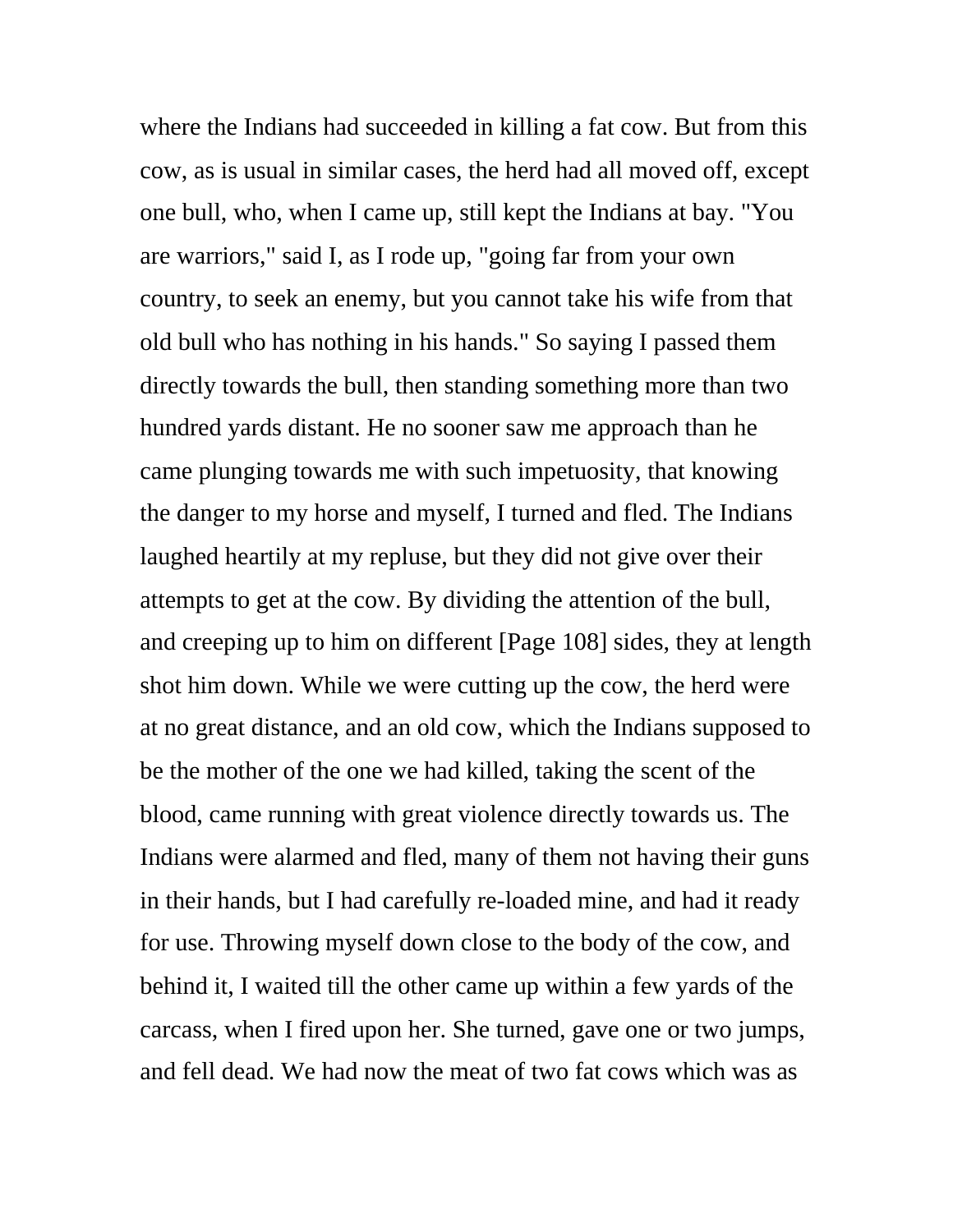where the Indians had succeeded in killing a fat cow. But from this cow, as is usual in similar cases, the herd had all moved off, except one bull, who, when I came up, still kept the Indians at bay. "You are warriors," said I, as I rode up, "going far from your own country, to seek an enemy, but you cannot take his wife from that old bull who has nothing in his hands." So saying I passed them directly towards the bull, then standing something more than two hundred yards distant. He no sooner saw me approach than he came plunging towards me with such impetuosity, that knowing the danger to my horse and myself, I turned and fled. The Indians laughed heartily at my repluse, but they did not give over their attempts to get at the cow. By dividing the attention of the bull, and creeping up to him on different [Page 108] sides, they at length shot him down. While we were cutting up the cow, the herd were at no great distance, and an old cow, which the Indians supposed to be the mother of the one we had killed, taking the scent of the blood, came running with great violence directly towards us. The Indians were alarmed and fled, many of them not having their guns in their hands, but I had carefully re-loaded mine, and had it ready for use. Throwing myself down close to the body of the cow, and behind it, I waited till the other came up within a few yards of the carcass, when I fired upon her. She turned, gave one or two jumps, and fell dead. We had now the meat of two fat cows which was as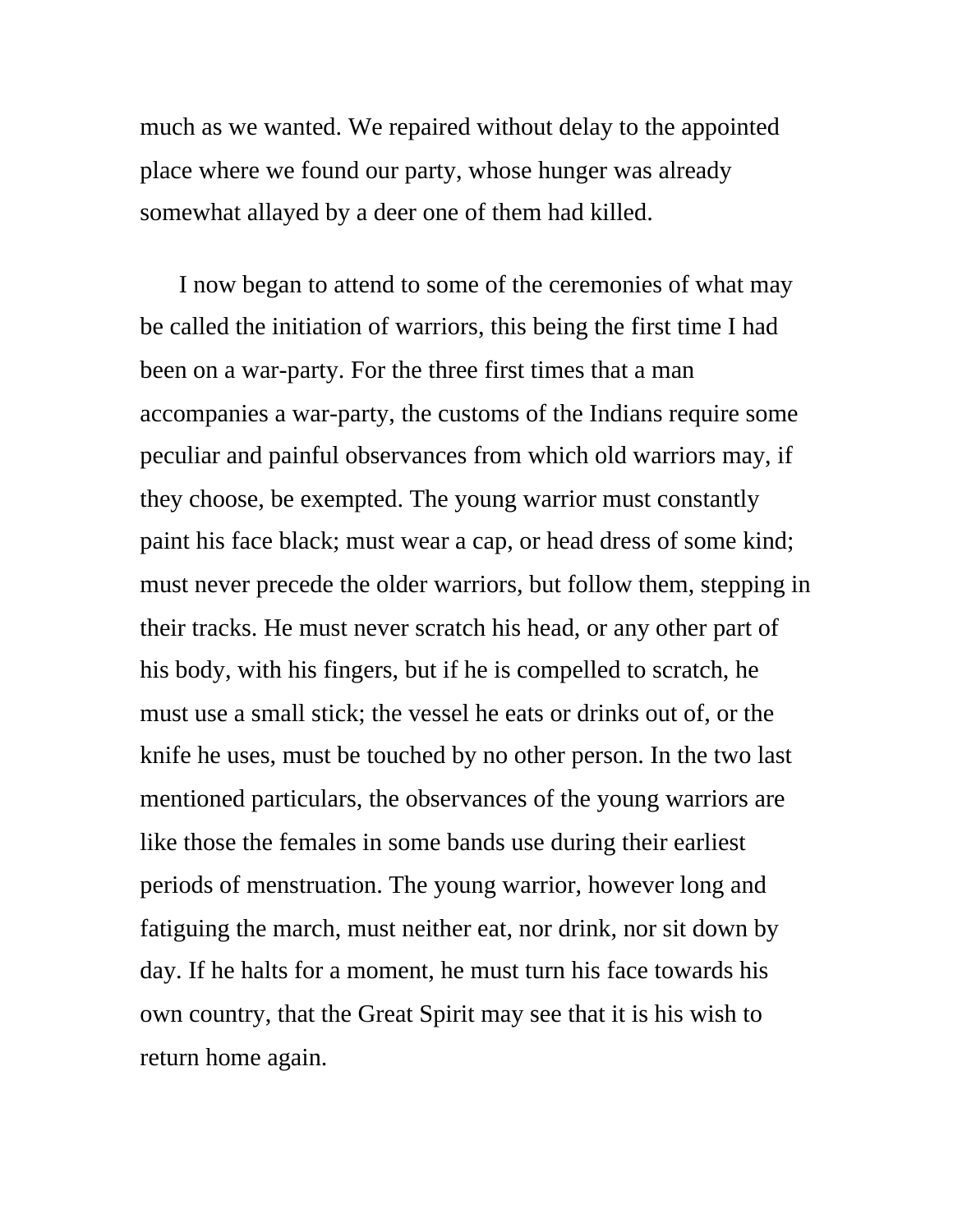much as we wanted. We repaired without delay to the appointed place where we found our party, whose hunger was already somewhat allayed by a deer one of them had killed.

I now began to attend to some of the ceremonies of what may be called the initiation of warriors, this being the first time I had been on a war-party. For the three first times that a man accompanies a war-party, the customs of the Indians require some peculiar and painful observances from which old warriors may, if they choose, be exempted. The young warrior must constantly paint his face black; must wear a cap, or head dress of some kind; must never precede the older warriors, but follow them, stepping in their tracks. He must never scratch his head, or any other part of his body, with his fingers, but if he is compelled to scratch, he must use a small stick; the vessel he eats or drinks out of, or the knife he uses, must be touched by no other person. In the two last mentioned particulars, the observances of the young warriors are like those the females in some bands use during their earliest periods of menstruation. The young warrior, however long and fatiguing the march, must neither eat, nor drink, nor sit down by day. If he halts for a moment, he must turn his face towards his own country, that the Great Spirit may see that it is his wish to return home again.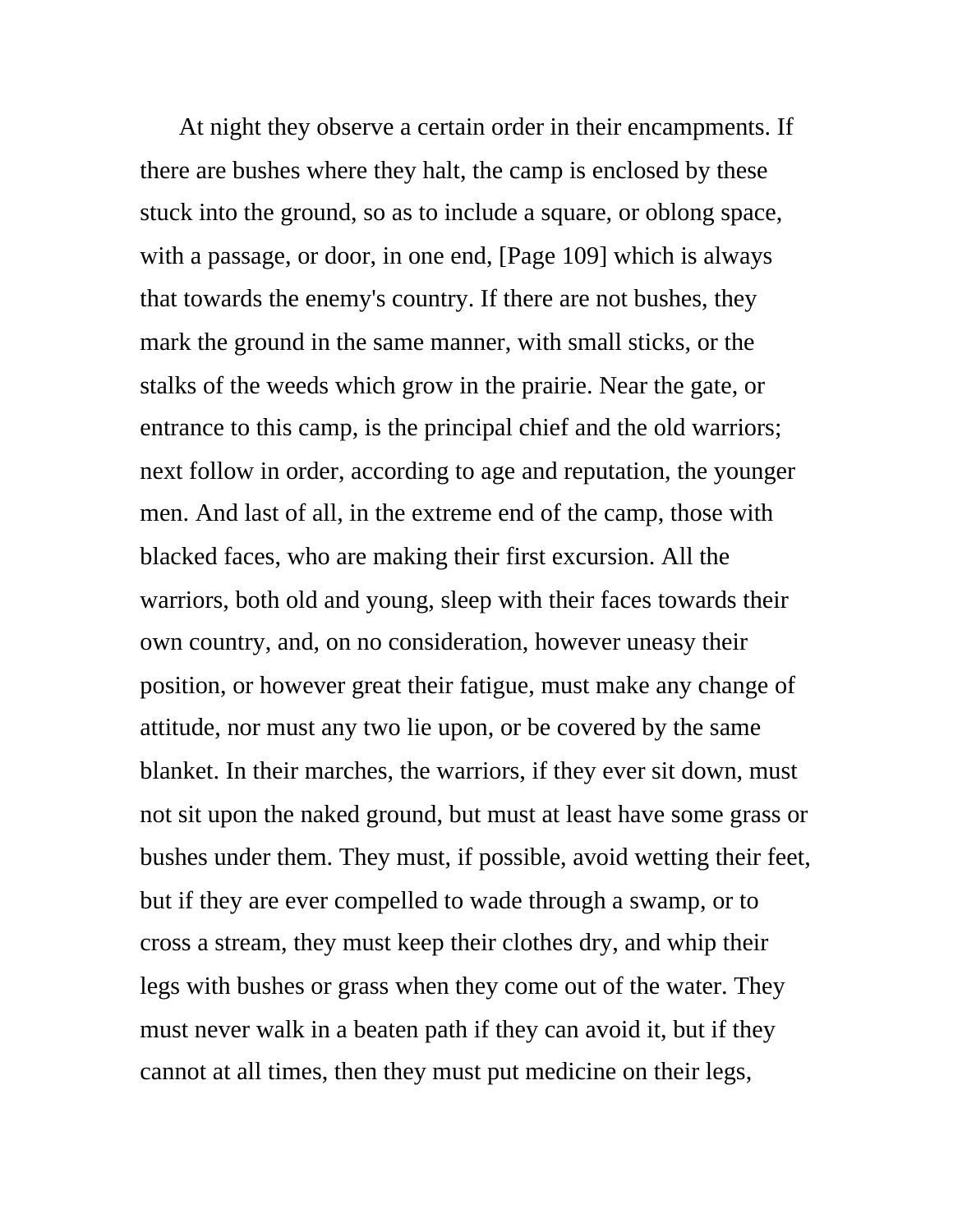At night they observe a certain order in their encampments. If there are bushes where they halt, the camp is enclosed by these stuck into the ground, so as to include a square, or oblong space, with a passage, or door, in one end, [Page 109] which is always that towards the enemy's country. If there are not bushes, they mark the ground in the same manner, with small sticks, or the stalks of the weeds which grow in the prairie. Near the gate, or entrance to this camp, is the principal chief and the old warriors; next follow in order, according to age and reputation, the younger men. And last of all, in the extreme end of the camp, those with blacked faces, who are making their first excursion. All the warriors, both old and young, sleep with their faces towards their own country, and, on no consideration, however uneasy their position, or however great their fatigue, must make any change of attitude, nor must any two lie upon, or be covered by the same blanket. In their marches, the warriors, if they ever sit down, must not sit upon the naked ground, but must at least have some grass or bushes under them. They must, if possible, avoid wetting their feet, but if they are ever compelled to wade through a swamp, or to cross a stream, they must keep their clothes dry, and whip their legs with bushes or grass when they come out of the water. They must never walk in a beaten path if they can avoid it, but if they cannot at all times, then they must put medicine on their legs,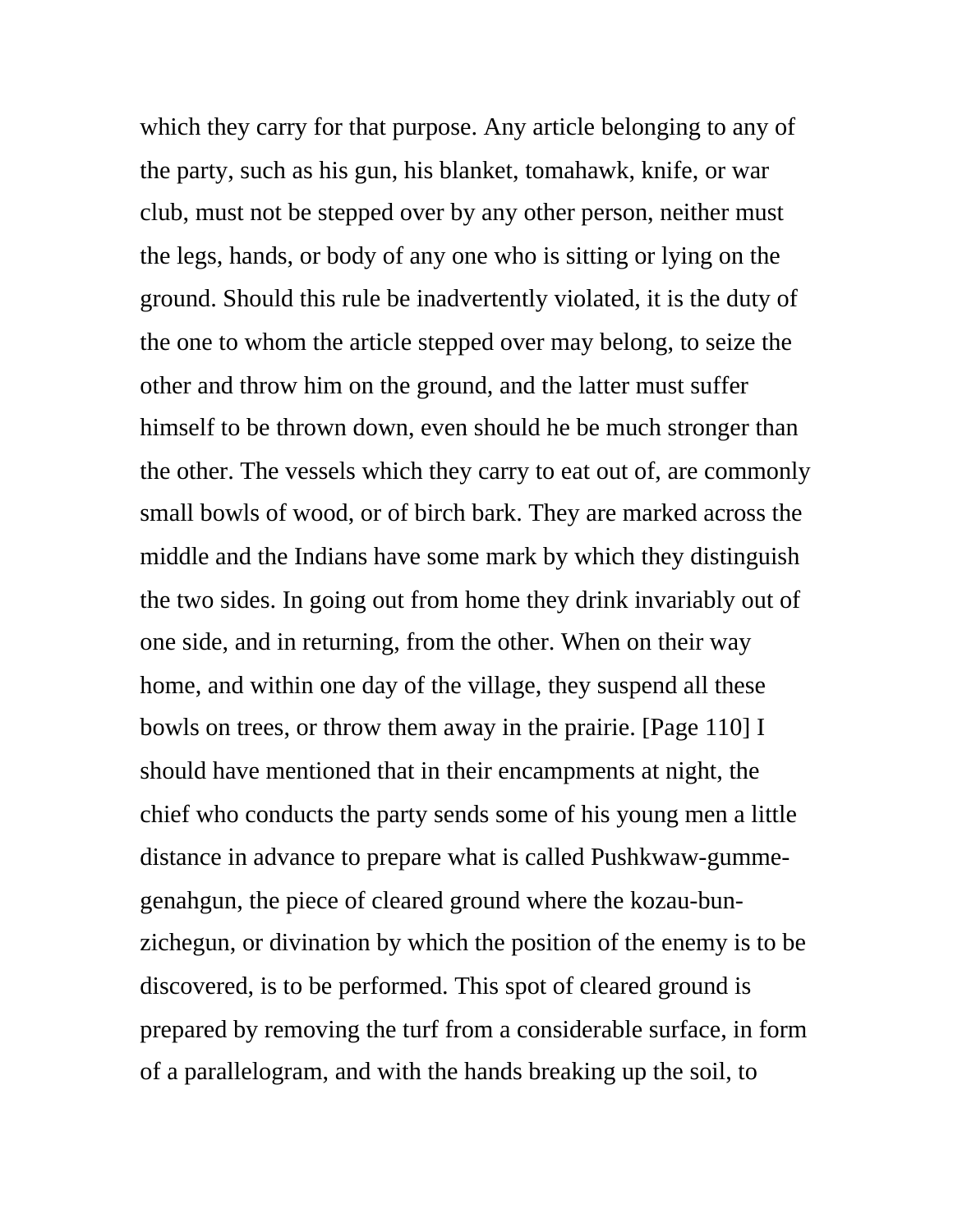which they carry for that purpose. Any article belonging to any of the party, such as his gun, his blanket, tomahawk, knife, or war club, must not be stepped over by any other person, neither must the legs, hands, or body of any one who is sitting or lying on the ground. Should this rule be inadvertently violated, it is the duty of the one to whom the article stepped over may belong, to seize the other and throw him on the ground, and the latter must suffer himself to be thrown down, even should he be much stronger than the other. The vessels which they carry to eat out of, are commonly small bowls of wood, or of birch bark. They are marked across the middle and the Indians have some mark by which they distinguish the two sides. In going out from home they drink invariably out of one side, and in returning, from the other. When on their way home, and within one day of the village, they suspend all these bowls on trees, or throw them away in the prairie. [Page 110] I should have mentioned that in their encampments at night, the chief who conducts the party sends some of his young men a little distance in advance to prepare what is called Pushkwaw-gummegenahgun, the piece of cleared ground where the kozau-bunzichegun, or divination by which the position of the enemy is to be discovered, is to be performed. This spot of cleared ground is prepared by removing the turf from a considerable surface, in form of a parallelogram, and with the hands breaking up the soil, to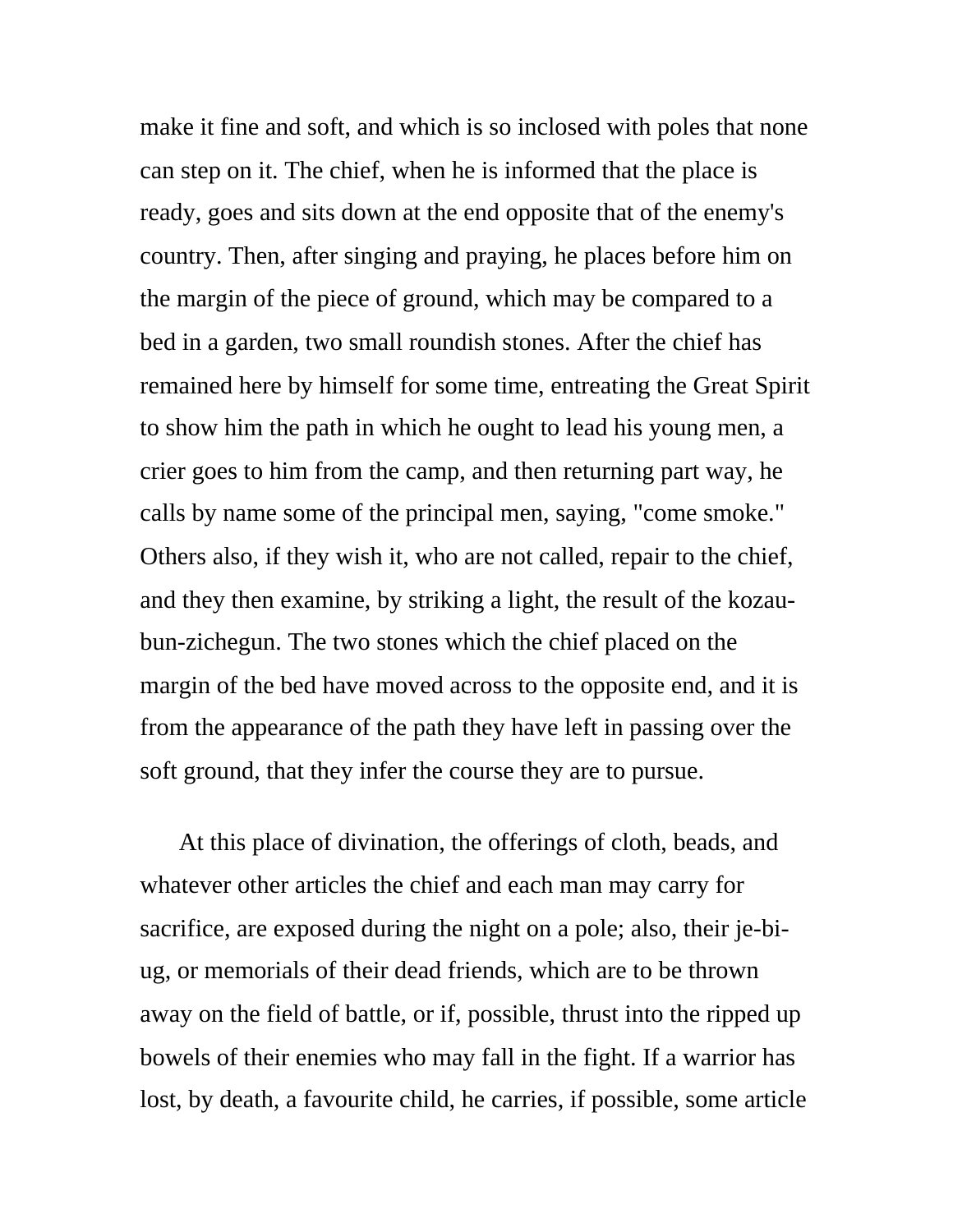make it fine and soft, and which is so inclosed with poles that none can step on it. The chief, when he is informed that the place is ready, goes and sits down at the end opposite that of the enemy's country. Then, after singing and praying, he places before him on the margin of the piece of ground, which may be compared to a bed in a garden, two small roundish stones. After the chief has remained here by himself for some time, entreating the Great Spirit to show him the path in which he ought to lead his young men, a crier goes to him from the camp, and then returning part way, he calls by name some of the principal men, saying, "come smoke." Others also, if they wish it, who are not called, repair to the chief, and they then examine, by striking a light, the result of the kozaubun-zichegun. The two stones which the chief placed on the margin of the bed have moved across to the opposite end, and it is from the appearance of the path they have left in passing over the soft ground, that they infer the course they are to pursue.

At this place of divination, the offerings of cloth, beads, and whatever other articles the chief and each man may carry for sacrifice, are exposed during the night on a pole; also, their je-biug, or memorials of their dead friends, which are to be thrown away on the field of battle, or if, possible, thrust into the ripped up bowels of their enemies who may fall in the fight. If a warrior has lost, by death, a favourite child, he carries, if possible, some article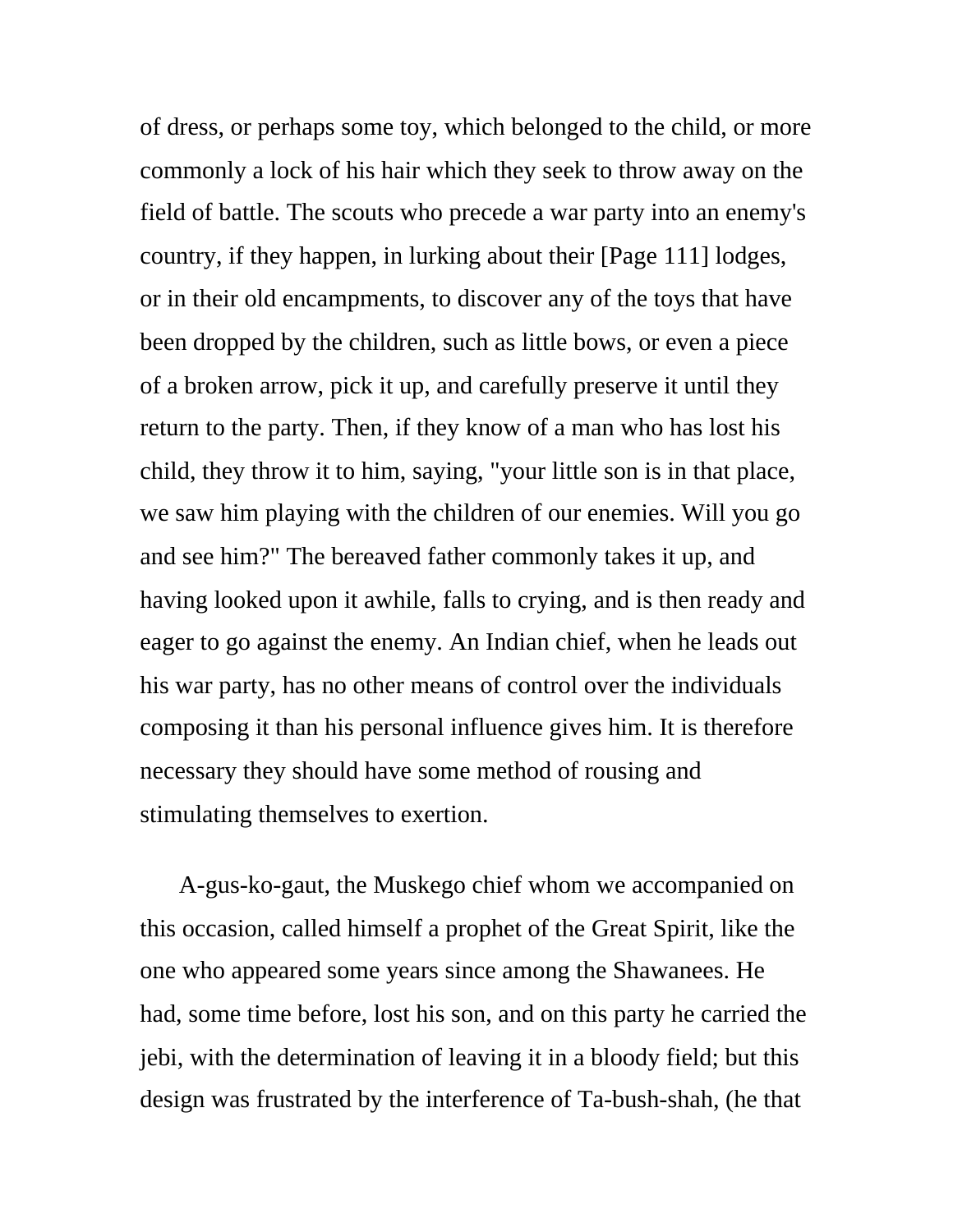of dress, or perhaps some toy, which belonged to the child, or more commonly a lock of his hair which they seek to throw away on the field of battle. The scouts who precede a war party into an enemy's country, if they happen, in lurking about their [Page 111] lodges, or in their old encampments, to discover any of the toys that have been dropped by the children, such as little bows, or even a piece of a broken arrow, pick it up, and carefully preserve it until they return to the party. Then, if they know of a man who has lost his child, they throw it to him, saying, "your little son is in that place, we saw him playing with the children of our enemies. Will you go and see him?" The bereaved father commonly takes it up, and having looked upon it awhile, falls to crying, and is then ready and eager to go against the enemy. An Indian chief, when he leads out his war party, has no other means of control over the individuals composing it than his personal influence gives him. It is therefore necessary they should have some method of rousing and stimulating themselves to exertion.

A-gus-ko-gaut, the Muskego chief whom we accompanied on this occasion, called himself a prophet of the Great Spirit, like the one who appeared some years since among the Shawanees. He had, some time before, lost his son, and on this party he carried the jebi, with the determination of leaving it in a bloody field; but this design was frustrated by the interference of Ta-bush-shah, (he that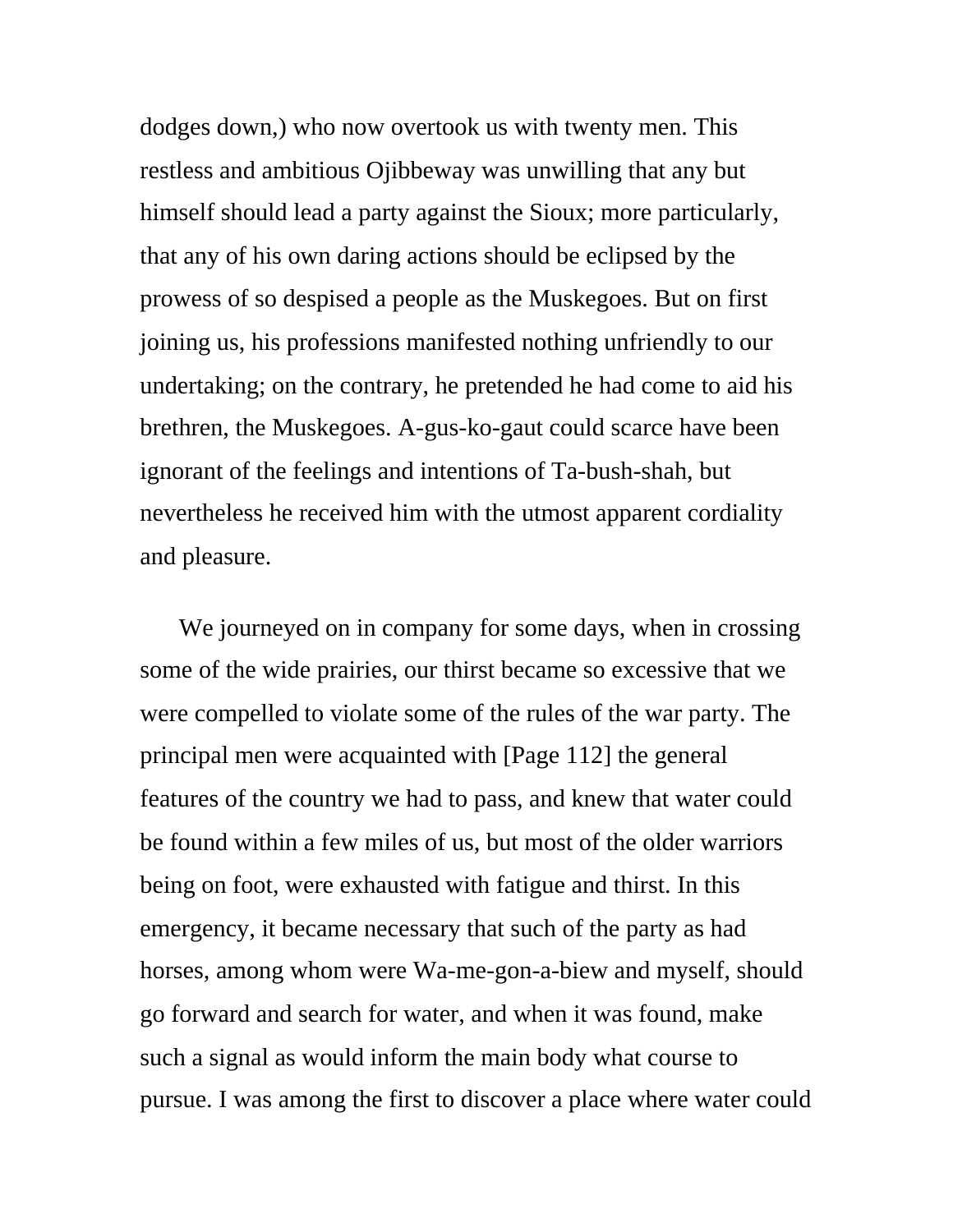dodges down,) who now overtook us with twenty men. This restless and ambitious Ojibbeway was unwilling that any but himself should lead a party against the Sioux; more particularly, that any of his own daring actions should be eclipsed by the prowess of so despised a people as the Muskegoes. But on first joining us, his professions manifested nothing unfriendly to our undertaking; on the contrary, he pretended he had come to aid his brethren, the Muskegoes. A-gus-ko-gaut could scarce have been ignorant of the feelings and intentions of Ta-bush-shah, but nevertheless he received him with the utmost apparent cordiality and pleasure.

We journeyed on in company for some days, when in crossing some of the wide prairies, our thirst became so excessive that we were compelled to violate some of the rules of the war party. The principal men were acquainted with [Page 112] the general features of the country we had to pass, and knew that water could be found within a few miles of us, but most of the older warriors being on foot, were exhausted with fatigue and thirst. In this emergency, it became necessary that such of the party as had horses, among whom were Wa-me-gon-a-biew and myself, should go forward and search for water, and when it was found, make such a signal as would inform the main body what course to pursue. I was among the first to discover a place where water could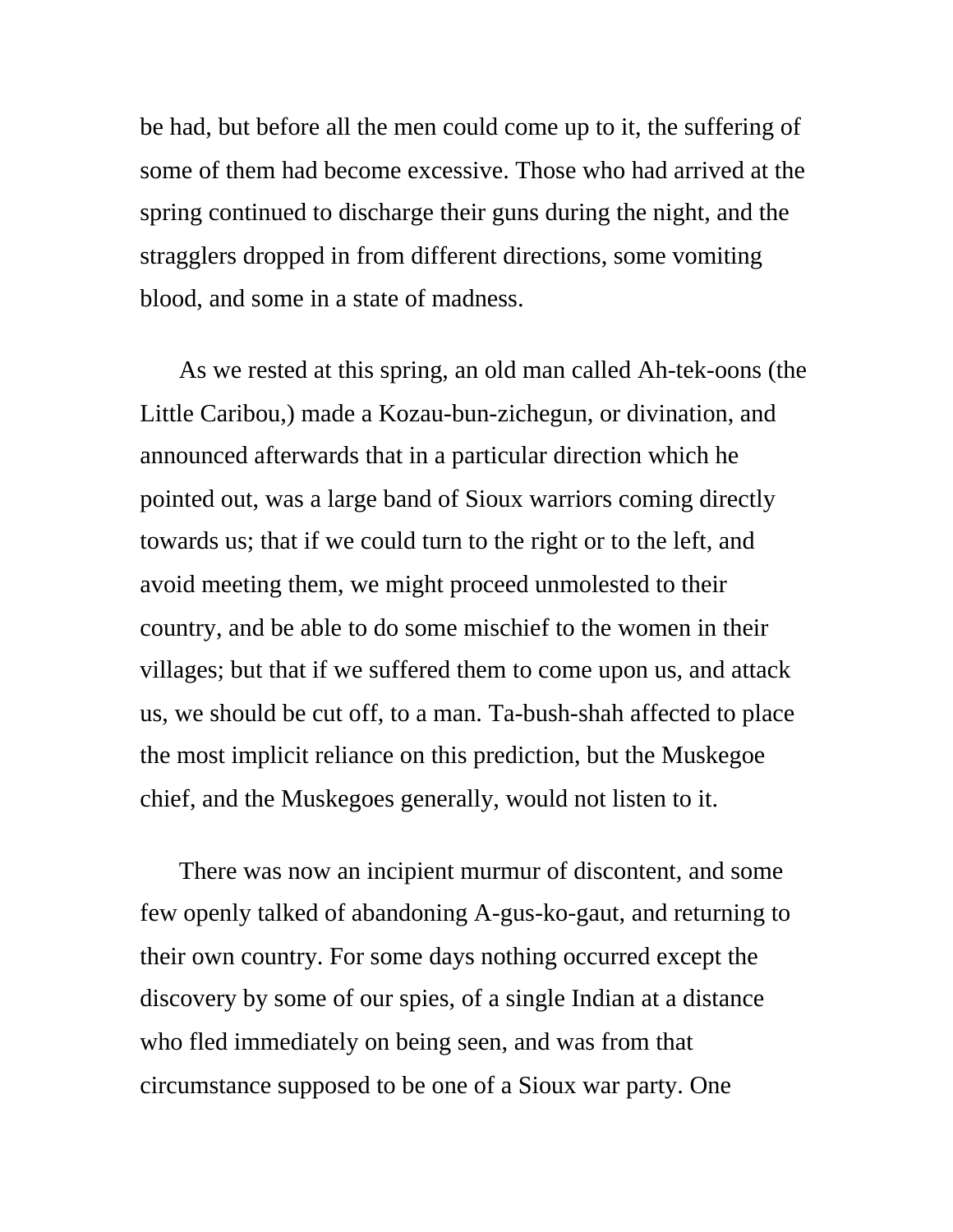be had, but before all the men could come up to it, the suffering of some of them had become excessive. Those who had arrived at the spring continued to discharge their guns during the night, and the stragglers dropped in from different directions, some vomiting blood, and some in a state of madness.

As we rested at this spring, an old man called Ah-tek-oons (the Little Caribou,) made a Kozau-bun-zichegun, or divination, and announced afterwards that in a particular direction which he pointed out, was a large band of Sioux warriors coming directly towards us; that if we could turn to the right or to the left, and avoid meeting them, we might proceed unmolested to their country, and be able to do some mischief to the women in their villages; but that if we suffered them to come upon us, and attack us, we should be cut off, to a man. Ta-bush-shah affected to place the most implicit reliance on this prediction, but the Muskegoe chief, and the Muskegoes generally, would not listen to it.

There was now an incipient murmur of discontent, and some few openly talked of abandoning A-gus-ko-gaut, and returning to their own country. For some days nothing occurred except the discovery by some of our spies, of a single Indian at a distance who fled immediately on being seen, and was from that circumstance supposed to be one of a Sioux war party. One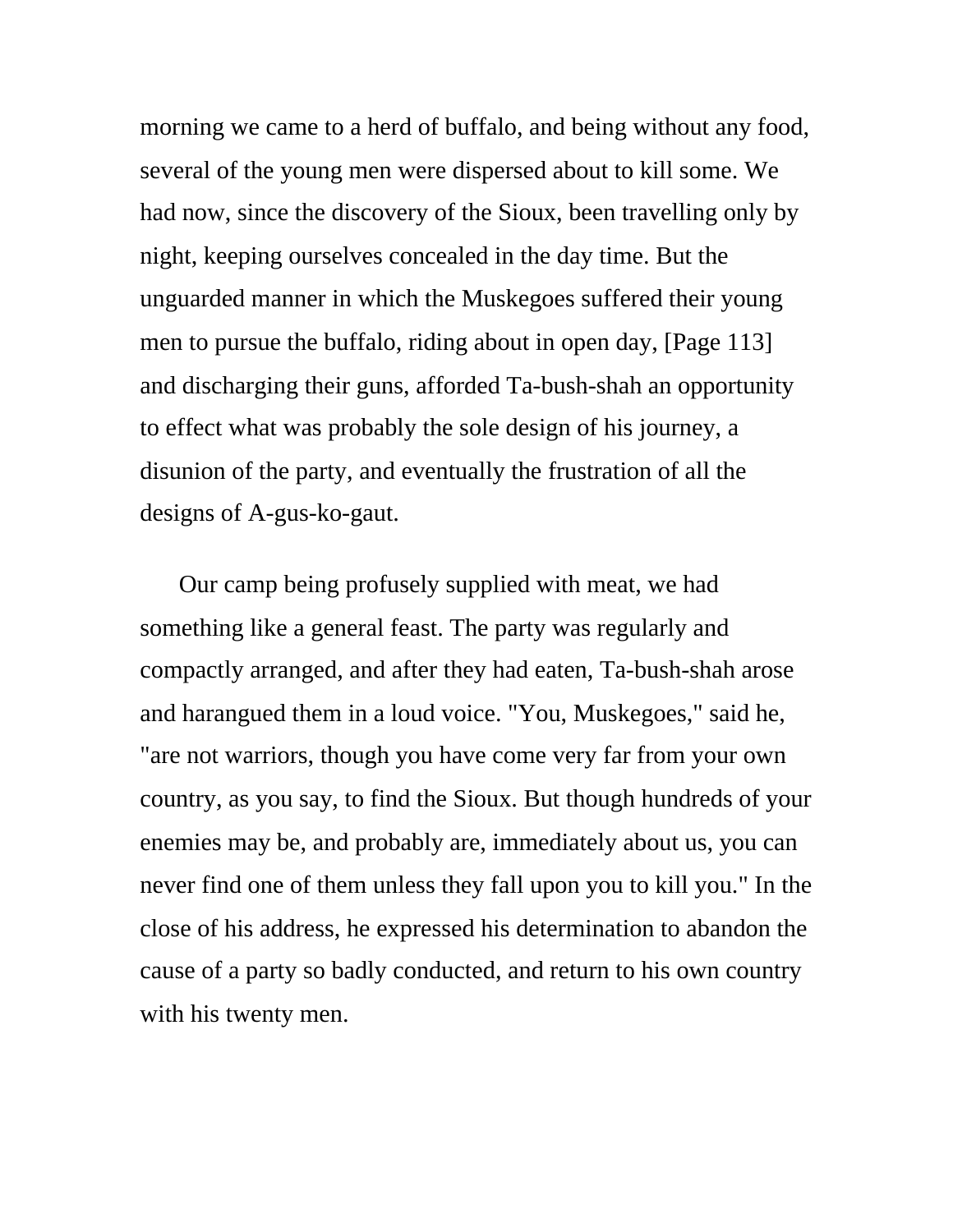morning we came to a herd of buffalo, and being without any food, several of the young men were dispersed about to kill some. We had now, since the discovery of the Sioux, been travelling only by night, keeping ourselves concealed in the day time. But the unguarded manner in which the Muskegoes suffered their young men to pursue the buffalo, riding about in open day, [Page 113] and discharging their guns, afforded Ta-bush-shah an opportunity to effect what was probably the sole design of his journey, a disunion of the party, and eventually the frustration of all the designs of A-gus-ko-gaut.

Our camp being profusely supplied with meat, we had something like a general feast. The party was regularly and compactly arranged, and after they had eaten, Ta-bush-shah arose and harangued them in a loud voice. "You, Muskegoes," said he, "are not warriors, though you have come very far from your own country, as you say, to find the Sioux. But though hundreds of your enemies may be, and probably are, immediately about us, you can never find one of them unless they fall upon you to kill you." In the close of his address, he expressed his determination to abandon the cause of a party so badly conducted, and return to his own country with his twenty men.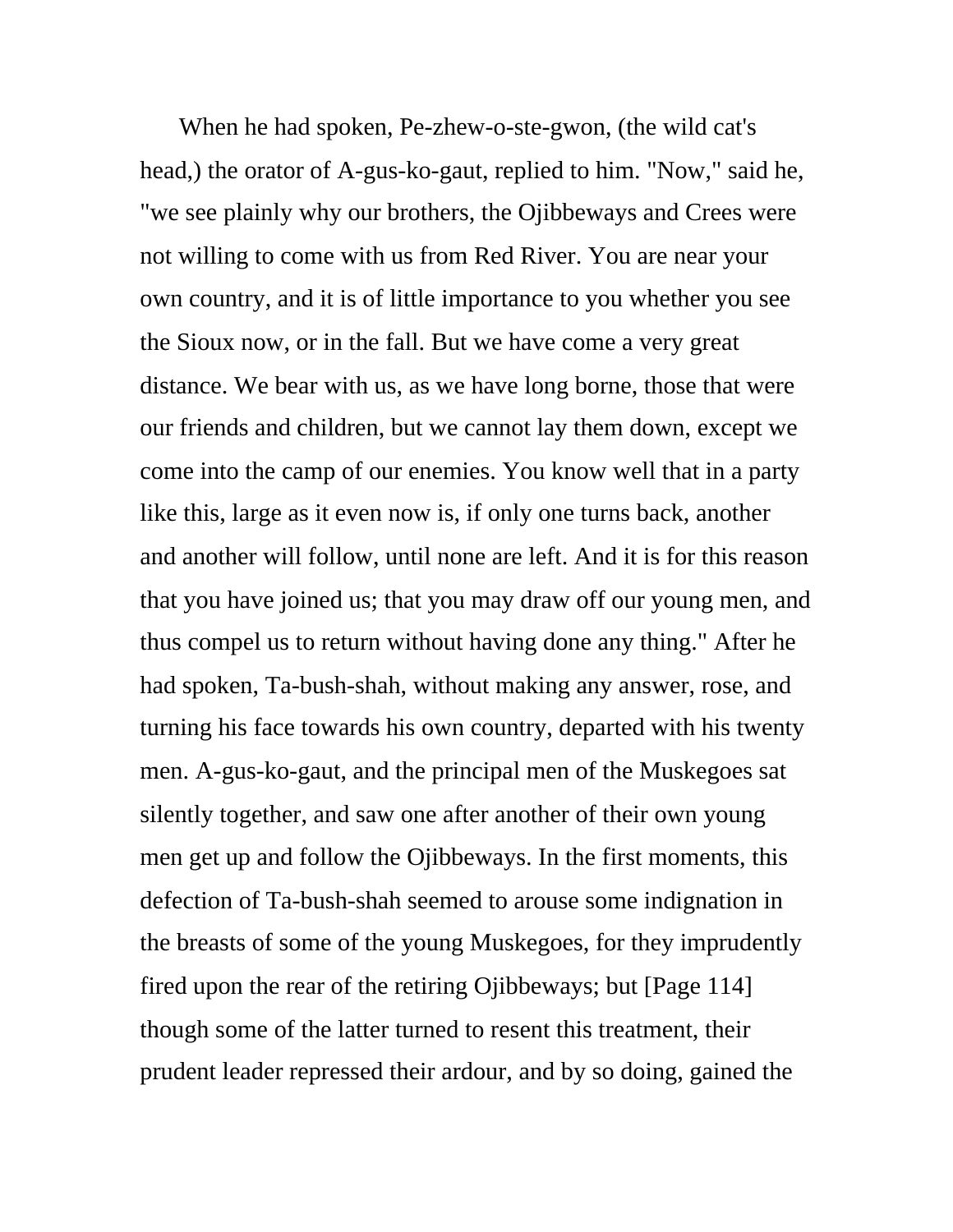When he had spoken, Pe-zhew-o-ste-gwon, (the wild cat's head,) the orator of A-gus-ko-gaut, replied to him. "Now," said he, "we see plainly why our brothers, the Ojibbeways and Crees were not willing to come with us from Red River. You are near your own country, and it is of little importance to you whether you see the Sioux now, or in the fall. But we have come a very great distance. We bear with us, as we have long borne, those that were our friends and children, but we cannot lay them down, except we come into the camp of our enemies. You know well that in a party like this, large as it even now is, if only one turns back, another and another will follow, until none are left. And it is for this reason that you have joined us; that you may draw off our young men, and thus compel us to return without having done any thing." After he had spoken, Ta-bush-shah, without making any answer, rose, and turning his face towards his own country, departed with his twenty men. A-gus-ko-gaut, and the principal men of the Muskegoes sat silently together, and saw one after another of their own young men get up and follow the Ojibbeways. In the first moments, this defection of Ta-bush-shah seemed to arouse some indignation in the breasts of some of the young Muskegoes, for they imprudently fired upon the rear of the retiring Ojibbeways; but [Page 114] though some of the latter turned to resent this treatment, their prudent leader repressed their ardour, and by so doing, gained the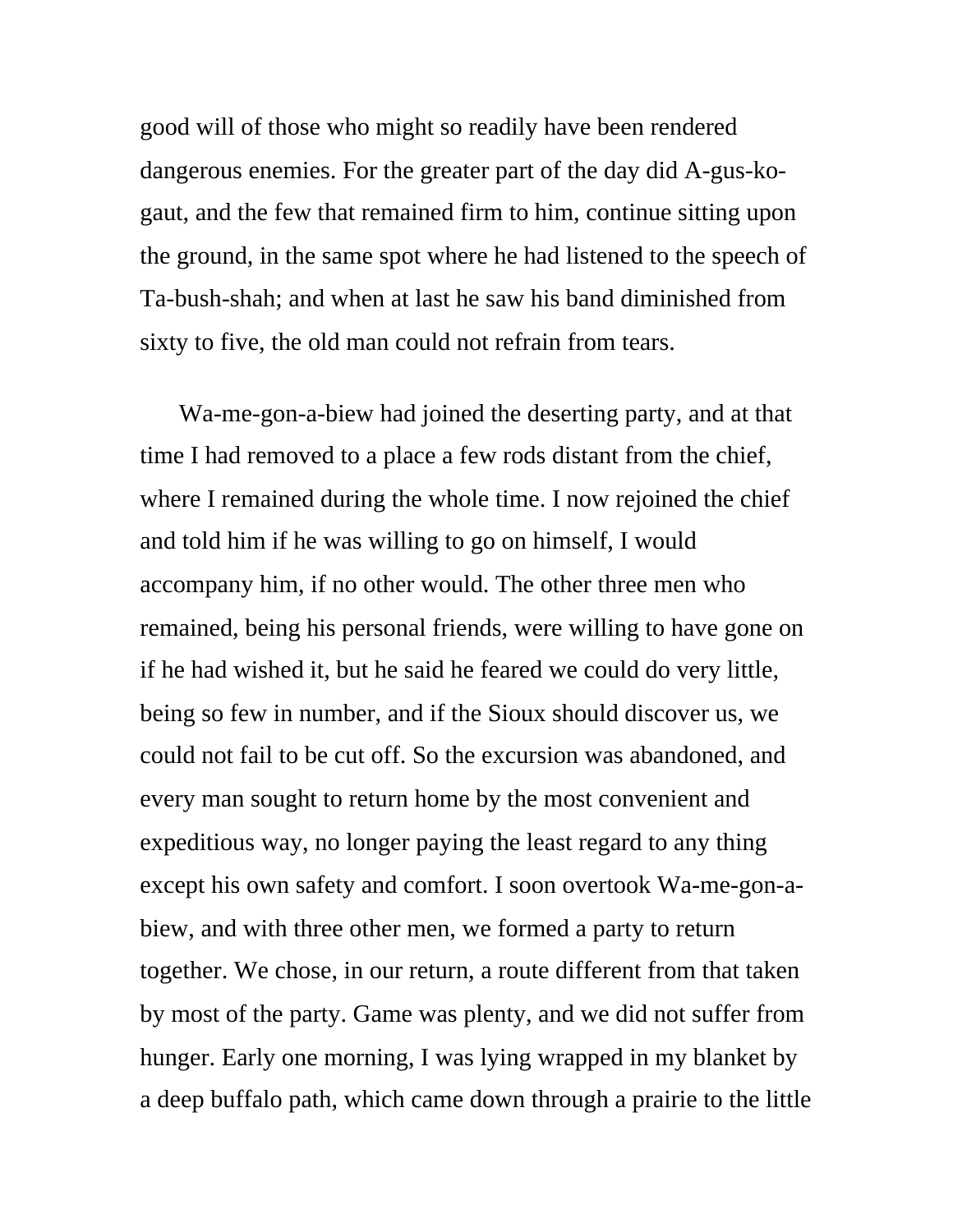good will of those who might so readily have been rendered dangerous enemies. For the greater part of the day did A-gus-kogaut, and the few that remained firm to him, continue sitting upon the ground, in the same spot where he had listened to the speech of Ta-bush-shah; and when at last he saw his band diminished from sixty to five, the old man could not refrain from tears.

Wa-me-gon-a-biew had joined the deserting party, and at that time I had removed to a place a few rods distant from the chief, where I remained during the whole time. I now rejoined the chief and told him if he was willing to go on himself, I would accompany him, if no other would. The other three men who remained, being his personal friends, were willing to have gone on if he had wished it, but he said he feared we could do very little, being so few in number, and if the Sioux should discover us, we could not fail to be cut off. So the excursion was abandoned, and every man sought to return home by the most convenient and expeditious way, no longer paying the least regard to any thing except his own safety and comfort. I soon overtook Wa-me-gon-abiew, and with three other men, we formed a party to return together. We chose, in our return, a route different from that taken by most of the party. Game was plenty, and we did not suffer from hunger. Early one morning, I was lying wrapped in my blanket by a deep buffalo path, which came down through a prairie to the little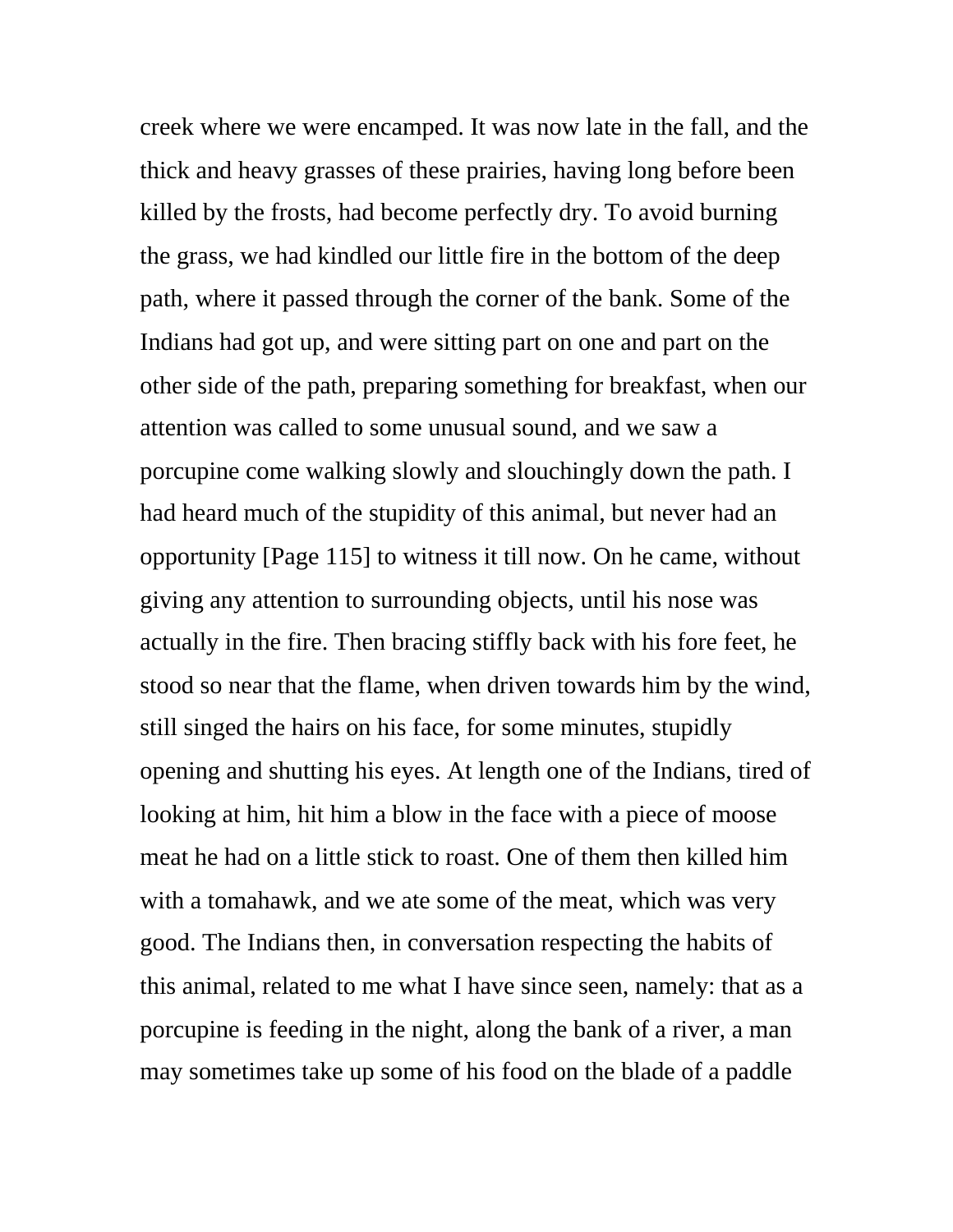creek where we were encamped. It was now late in the fall, and the thick and heavy grasses of these prairies, having long before been killed by the frosts, had become perfectly dry. To avoid burning the grass, we had kindled our little fire in the bottom of the deep path, where it passed through the corner of the bank. Some of the Indians had got up, and were sitting part on one and part on the other side of the path, preparing something for breakfast, when our attention was called to some unusual sound, and we saw a porcupine come walking slowly and slouchingly down the path. I had heard much of the stupidity of this animal, but never had an opportunity [Page 115] to witness it till now. On he came, without giving any attention to surrounding objects, until his nose was actually in the fire. Then bracing stiffly back with his fore feet, he stood so near that the flame, when driven towards him by the wind, still singed the hairs on his face, for some minutes, stupidly opening and shutting his eyes. At length one of the Indians, tired of looking at him, hit him a blow in the face with a piece of moose meat he had on a little stick to roast. One of them then killed him with a tomahawk, and we ate some of the meat, which was very good. The Indians then, in conversation respecting the habits of this animal, related to me what I have since seen, namely: that as a porcupine is feeding in the night, along the bank of a river, a man may sometimes take up some of his food on the blade of a paddle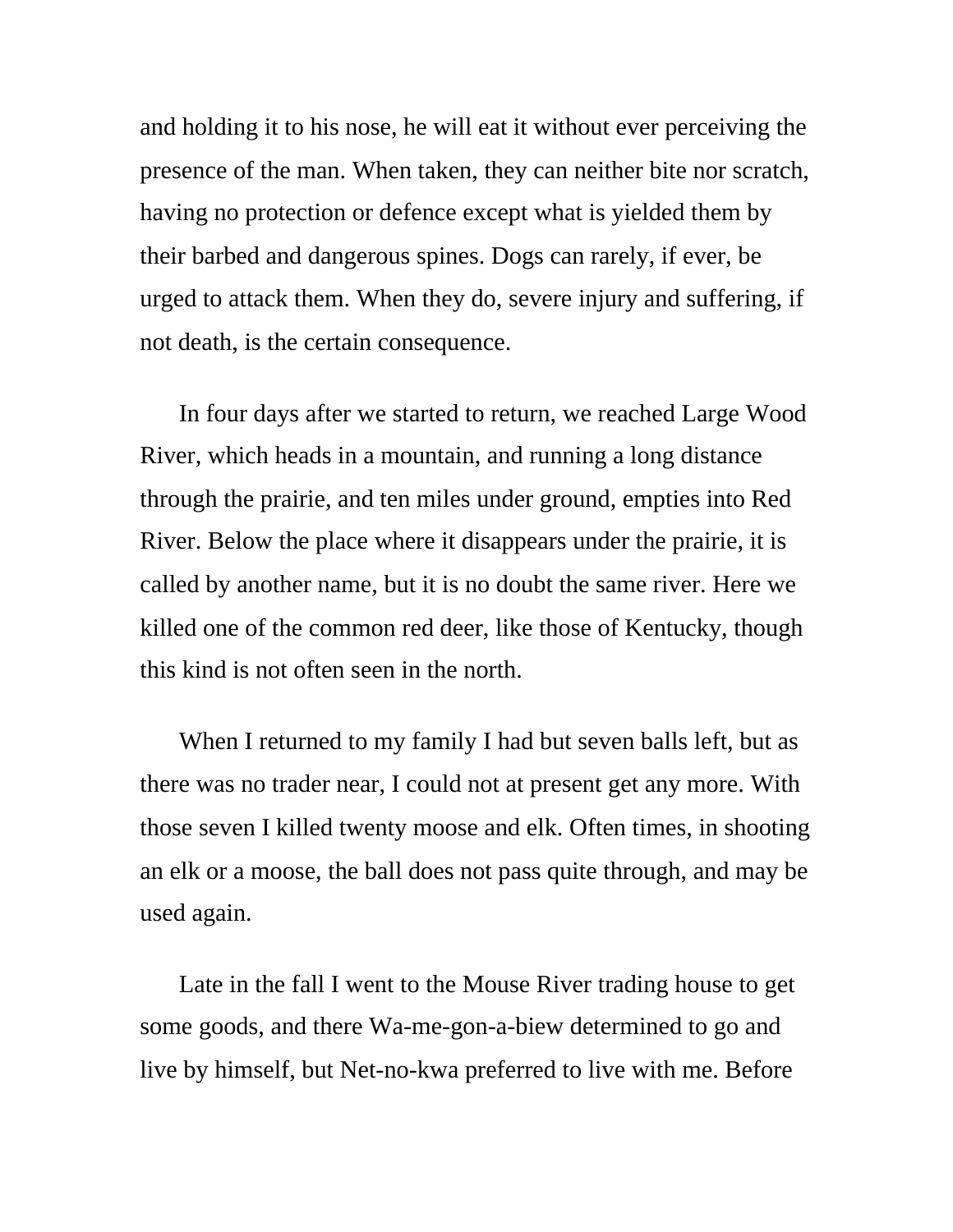and holding it to his nose, he will eat it without ever perceiving the presence of the man. When taken, they can neither bite nor scratch, having no protection or defence except what is yielded them by their barbed and dangerous spines. Dogs can rarely, if ever, be urged to attack them. When they do, severe injury and suffering, if not death, is the certain consequence.

In four days after we started to return, we reached Large Wood River, which heads in a mountain, and running a long distance through the prairie, and ten miles under ground, empties into Red River. Below the place where it disappears under the prairie, it is called by another name, but it is no doubt the same river. Here we killed one of the common red deer, like those of Kentucky, though this kind is not often seen in the north.

When I returned to my family I had but seven balls left, but as there was no trader near, I could not at present get any more. With those seven I killed twenty moose and elk. Often times, in shooting an elk or a moose, the ball does not pass quite through, and may be used again.

Late in the fall I went to the Mouse River trading house to get some goods, and there Wa-me-gon-a-biew determined to go and live by himself, but Net-no-kwa preferred to live with me. Before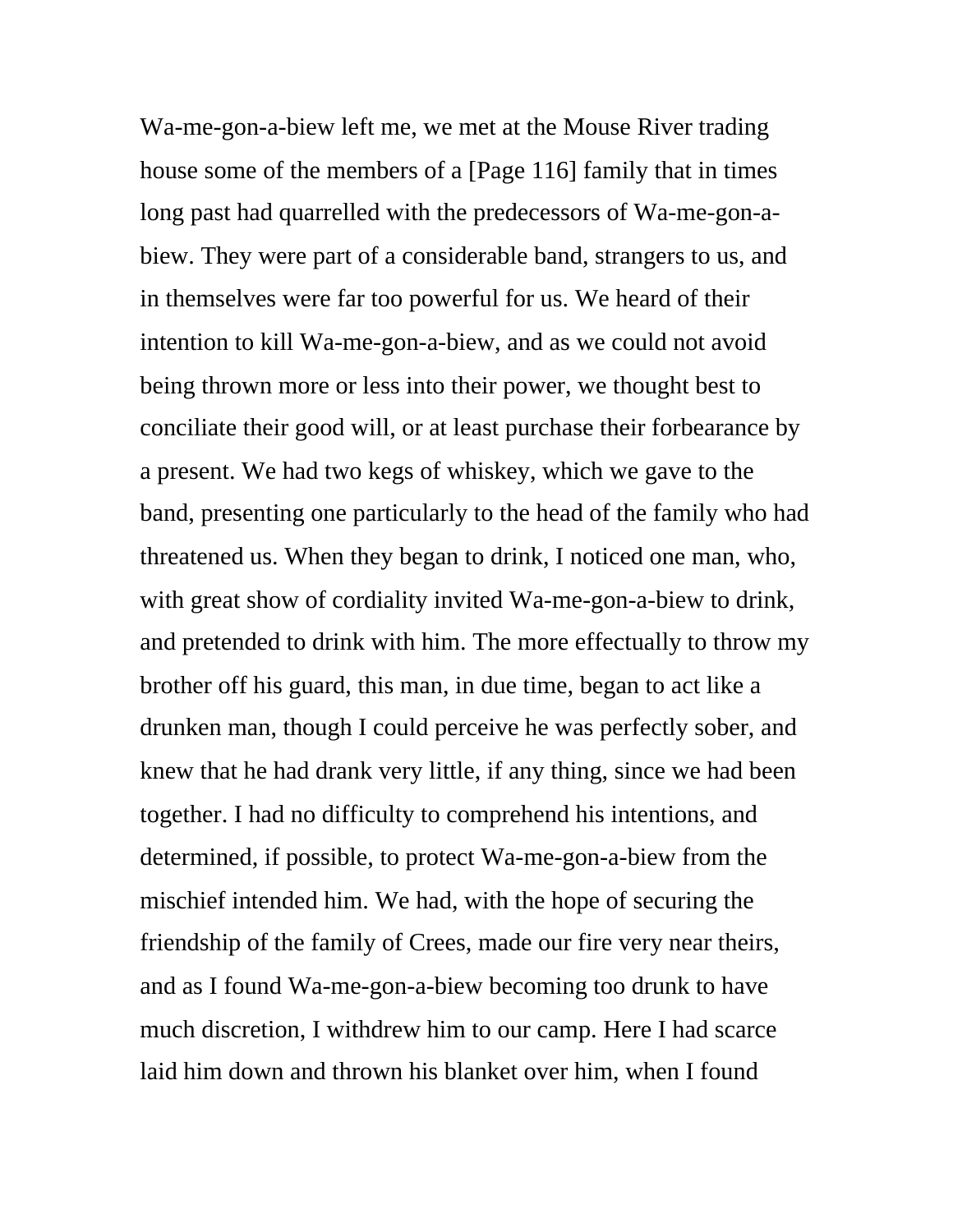Wa-me-gon-a-biew left me, we met at the Mouse River trading house some of the members of a [Page 116] family that in times long past had quarrelled with the predecessors of Wa-me-gon-abiew. They were part of a considerable band, strangers to us, and in themselves were far too powerful for us. We heard of their intention to kill Wa-me-gon-a-biew, and as we could not avoid being thrown more or less into their power, we thought best to conciliate their good will, or at least purchase their forbearance by a present. We had two kegs of whiskey, which we gave to the band, presenting one particularly to the head of the family who had threatened us. When they began to drink, I noticed one man, who, with great show of cordiality invited Wa-me-gon-a-biew to drink, and pretended to drink with him. The more effectually to throw my brother off his guard, this man, in due time, began to act like a drunken man, though I could perceive he was perfectly sober, and knew that he had drank very little, if any thing, since we had been together. I had no difficulty to comprehend his intentions, and determined, if possible, to protect Wa-me-gon-a-biew from the mischief intended him. We had, with the hope of securing the friendship of the family of Crees, made our fire very near theirs, and as I found Wa-me-gon-a-biew becoming too drunk to have much discretion, I withdrew him to our camp. Here I had scarce laid him down and thrown his blanket over him, when I found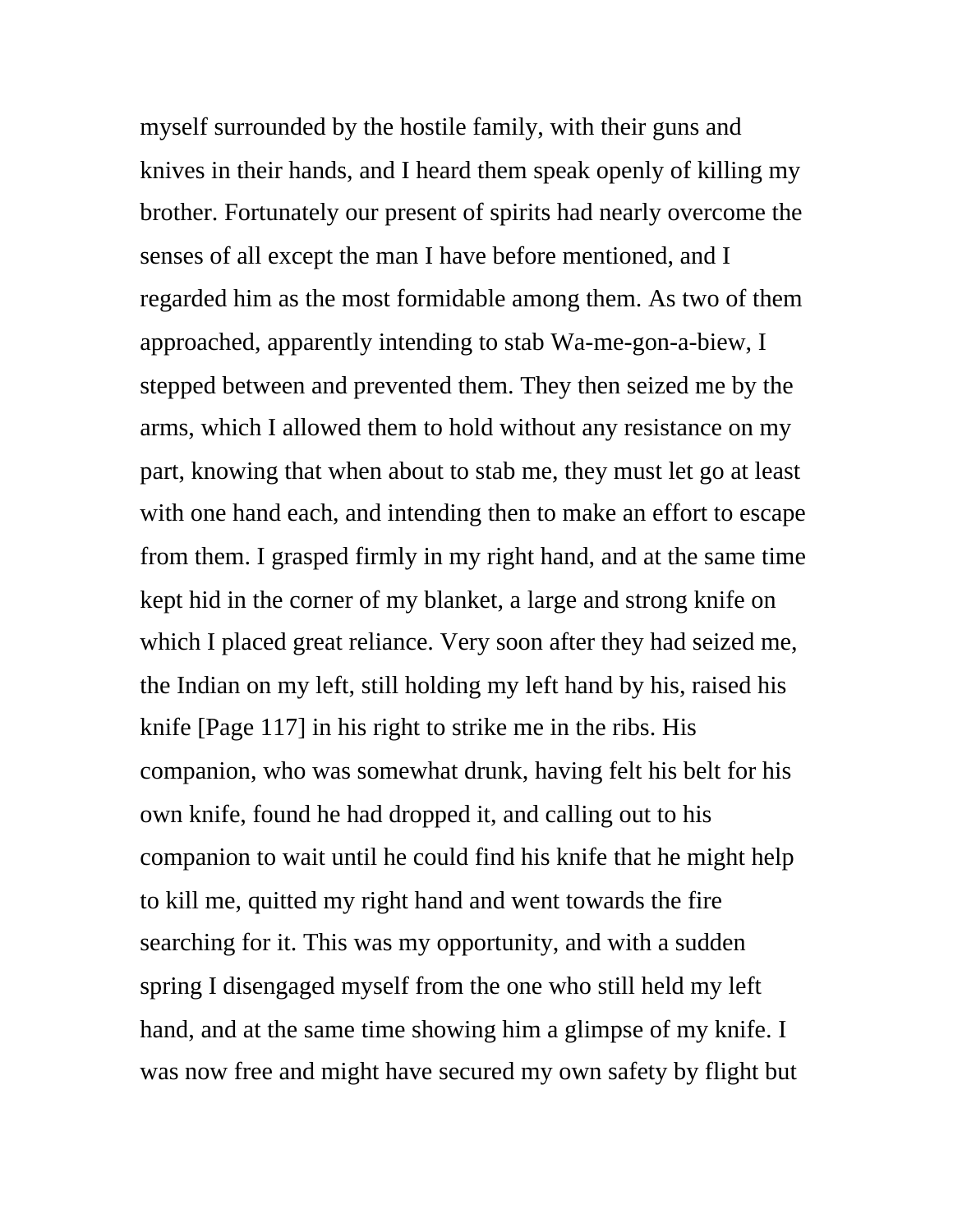myself surrounded by the hostile family, with their guns and knives in their hands, and I heard them speak openly of killing my brother. Fortunately our present of spirits had nearly overcome the senses of all except the man I have before mentioned, and I regarded him as the most formidable among them. As two of them approached, apparently intending to stab Wa-me-gon-a-biew, I stepped between and prevented them. They then seized me by the arms, which I allowed them to hold without any resistance on my part, knowing that when about to stab me, they must let go at least with one hand each, and intending then to make an effort to escape from them. I grasped firmly in my right hand, and at the same time kept hid in the corner of my blanket, a large and strong knife on which I placed great reliance. Very soon after they had seized me, the Indian on my left, still holding my left hand by his, raised his knife [Page 117] in his right to strike me in the ribs. His companion, who was somewhat drunk, having felt his belt for his own knife, found he had dropped it, and calling out to his companion to wait until he could find his knife that he might help to kill me, quitted my right hand and went towards the fire searching for it. This was my opportunity, and with a sudden spring I disengaged myself from the one who still held my left hand, and at the same time showing him a glimpse of my knife. I was now free and might have secured my own safety by flight but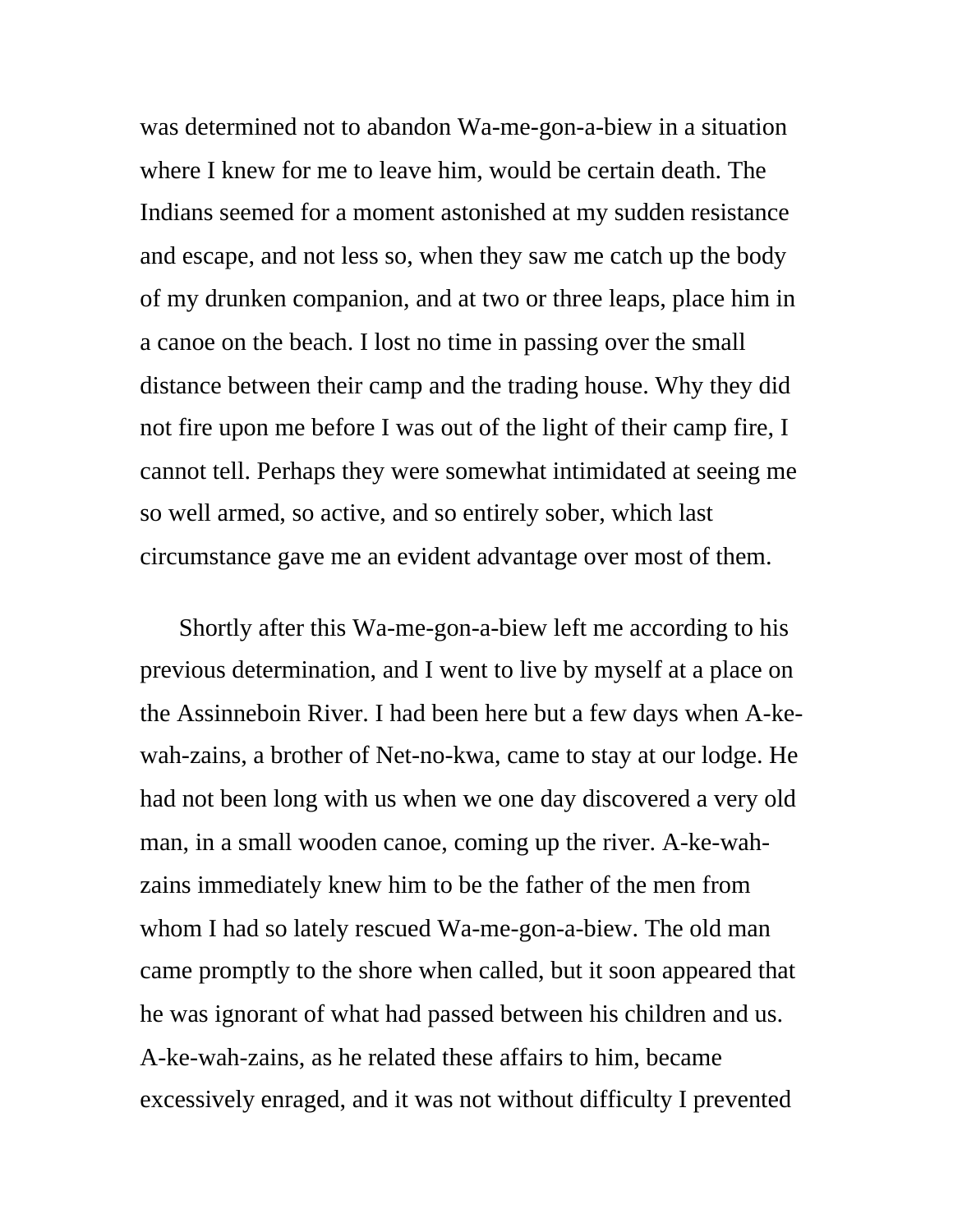was determined not to abandon Wa-me-gon-a-biew in a situation where I knew for me to leave him, would be certain death. The Indians seemed for a moment astonished at my sudden resistance and escape, and not less so, when they saw me catch up the body of my drunken companion, and at two or three leaps, place him in a canoe on the beach. I lost no time in passing over the small distance between their camp and the trading house. Why they did not fire upon me before I was out of the light of their camp fire, I cannot tell. Perhaps they were somewhat intimidated at seeing me so well armed, so active, and so entirely sober, which last circumstance gave me an evident advantage over most of them.

Shortly after this Wa-me-gon-a-biew left me according to his previous determination, and I went to live by myself at a place on the Assinneboin River. I had been here but a few days when A-kewah-zains, a brother of Net-no-kwa, came to stay at our lodge. He had not been long with us when we one day discovered a very old man, in a small wooden canoe, coming up the river. A-ke-wahzains immediately knew him to be the father of the men from whom I had so lately rescued Wa-me-gon-a-biew. The old man came promptly to the shore when called, but it soon appeared that he was ignorant of what had passed between his children and us. A-ke-wah-zains, as he related these affairs to him, became excessively enraged, and it was not without difficulty I prevented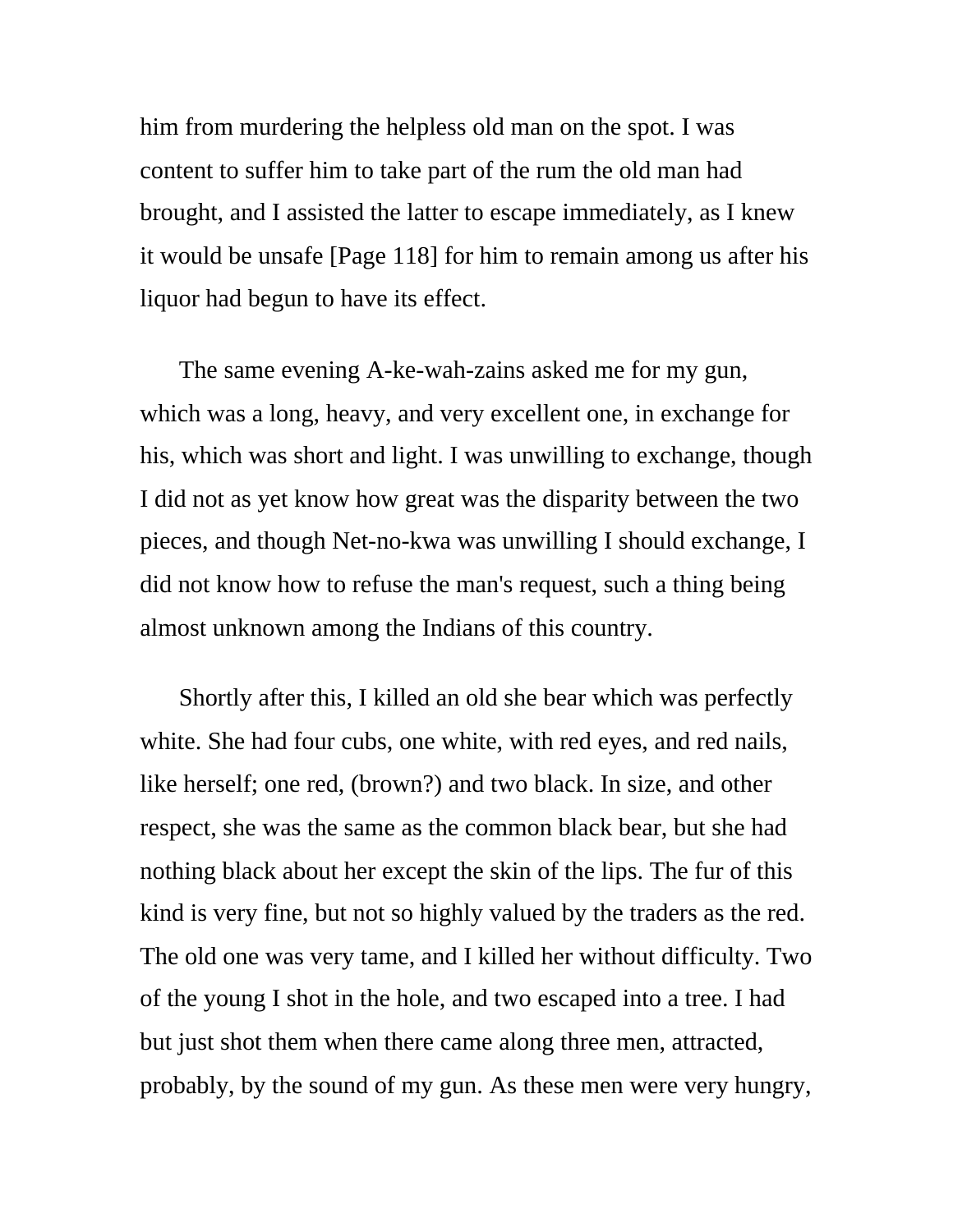him from murdering the helpless old man on the spot. I was content to suffer him to take part of the rum the old man had brought, and I assisted the latter to escape immediately, as I knew it would be unsafe [Page 118] for him to remain among us after his liquor had begun to have its effect.

The same evening A-ke-wah-zains asked me for my gun, which was a long, heavy, and very excellent one, in exchange for his, which was short and light. I was unwilling to exchange, though I did not as yet know how great was the disparity between the two pieces, and though Net-no-kwa was unwilling I should exchange, I did not know how to refuse the man's request, such a thing being almost unknown among the Indians of this country.

Shortly after this, I killed an old she bear which was perfectly white. She had four cubs, one white, with red eyes, and red nails, like herself; one red, (brown?) and two black. In size, and other respect, she was the same as the common black bear, but she had nothing black about her except the skin of the lips. The fur of this kind is very fine, but not so highly valued by the traders as the red. The old one was very tame, and I killed her without difficulty. Two of the young I shot in the hole, and two escaped into a tree. I had but just shot them when there came along three men, attracted, probably, by the sound of my gun. As these men were very hungry,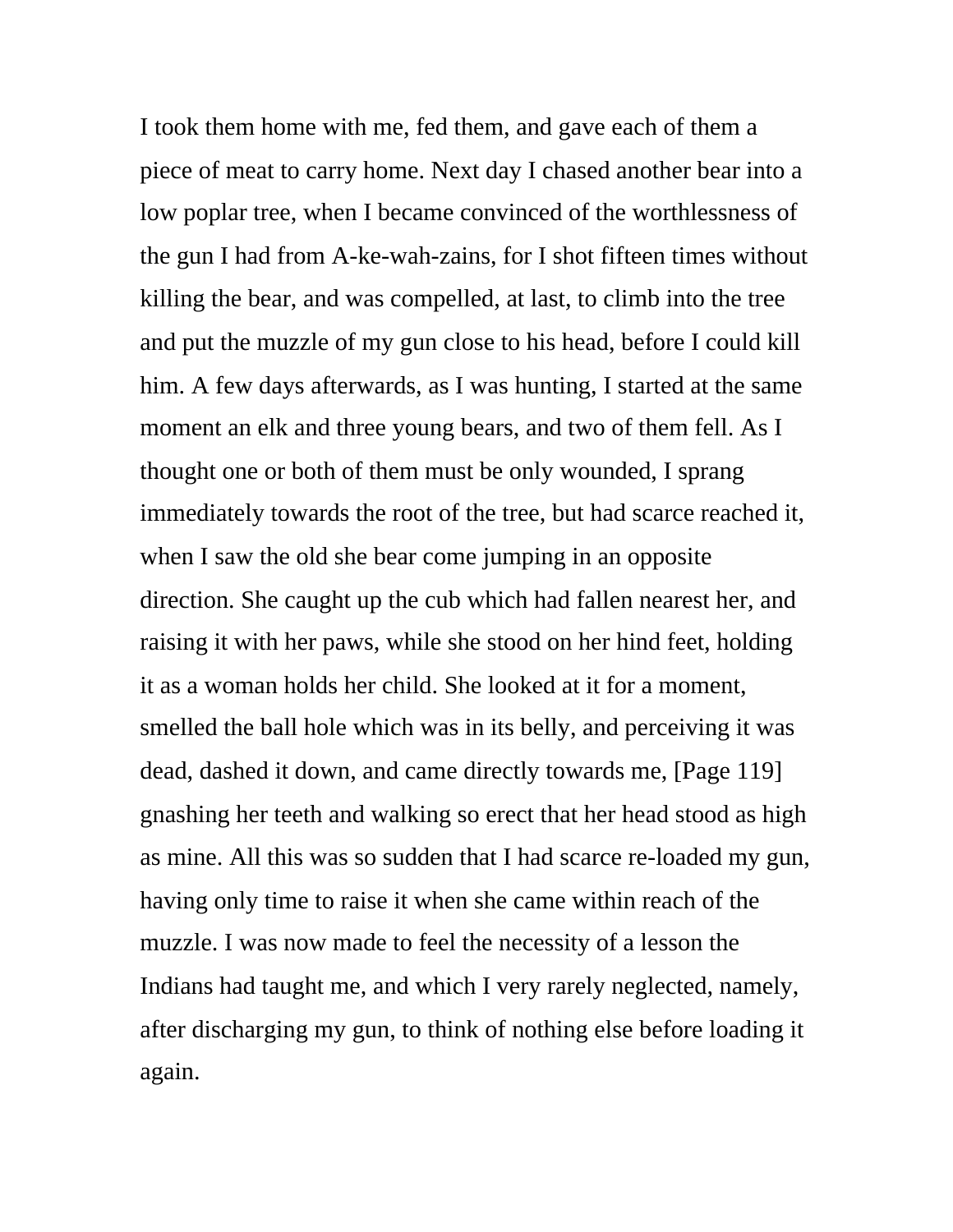I took them home with me, fed them, and gave each of them a piece of meat to carry home. Next day I chased another bear into a low poplar tree, when I became convinced of the worthlessness of the gun I had from A-ke-wah-zains, for I shot fifteen times without killing the bear, and was compelled, at last, to climb into the tree and put the muzzle of my gun close to his head, before I could kill him. A few days afterwards, as I was hunting, I started at the same moment an elk and three young bears, and two of them fell. As I thought one or both of them must be only wounded, I sprang immediately towards the root of the tree, but had scarce reached it, when I saw the old she bear come jumping in an opposite direction. She caught up the cub which had fallen nearest her, and raising it with her paws, while she stood on her hind feet, holding it as a woman holds her child. She looked at it for a moment, smelled the ball hole which was in its belly, and perceiving it was dead, dashed it down, and came directly towards me, [Page 119] gnashing her teeth and walking so erect that her head stood as high as mine. All this was so sudden that I had scarce re-loaded my gun, having only time to raise it when she came within reach of the muzzle. I was now made to feel the necessity of a lesson the Indians had taught me, and which I very rarely neglected, namely, after discharging my gun, to think of nothing else before loading it again.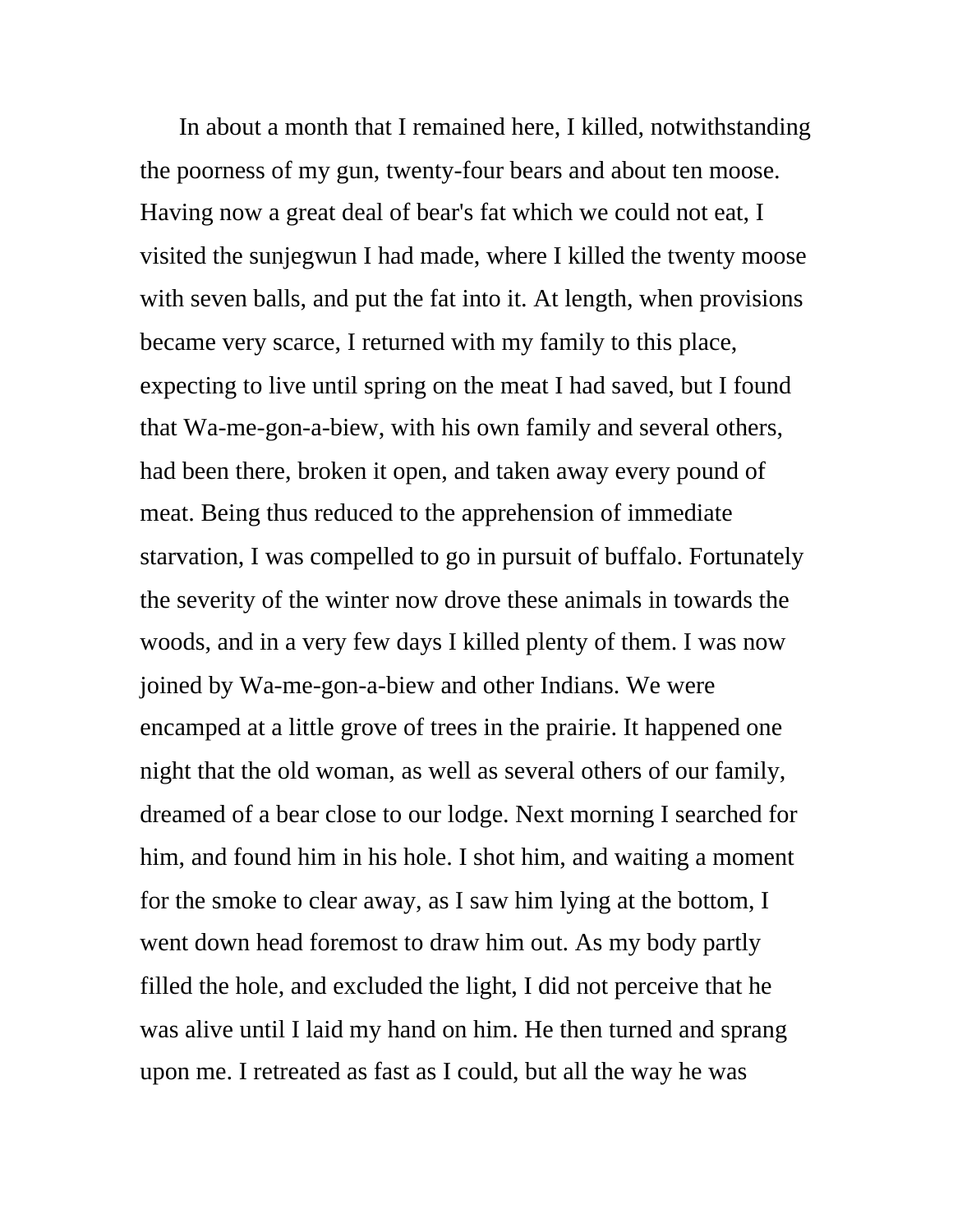In about a month that I remained here, I killed, notwithstanding the poorness of my gun, twenty-four bears and about ten moose. Having now a great deal of bear's fat which we could not eat, I visited the sunjegwun I had made, where I killed the twenty moose with seven balls, and put the fat into it. At length, when provisions became very scarce, I returned with my family to this place, expecting to live until spring on the meat I had saved, but I found that Wa-me-gon-a-biew, with his own family and several others, had been there, broken it open, and taken away every pound of meat. Being thus reduced to the apprehension of immediate starvation, I was compelled to go in pursuit of buffalo. Fortunately the severity of the winter now drove these animals in towards the woods, and in a very few days I killed plenty of them. I was now joined by Wa-me-gon-a-biew and other Indians. We were encamped at a little grove of trees in the prairie. It happened one night that the old woman, as well as several others of our family, dreamed of a bear close to our lodge. Next morning I searched for him, and found him in his hole. I shot him, and waiting a moment for the smoke to clear away, as I saw him lying at the bottom, I went down head foremost to draw him out. As my body partly filled the hole, and excluded the light, I did not perceive that he was alive until I laid my hand on him. He then turned and sprang upon me. I retreated as fast as I could, but all the way he was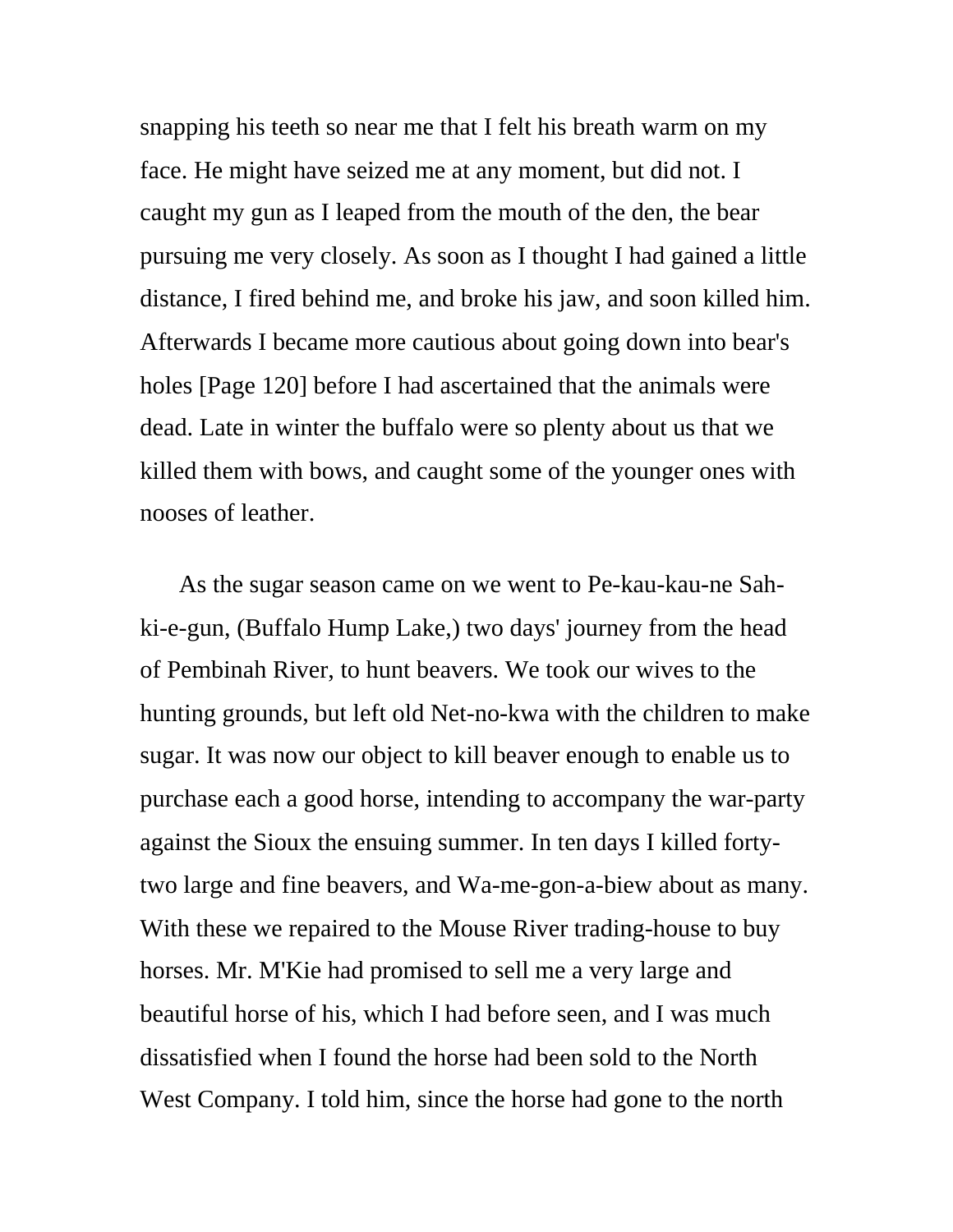snapping his teeth so near me that I felt his breath warm on my face. He might have seized me at any moment, but did not. I caught my gun as I leaped from the mouth of the den, the bear pursuing me very closely. As soon as I thought I had gained a little distance, I fired behind me, and broke his jaw, and soon killed him. Afterwards I became more cautious about going down into bear's holes [Page 120] before I had ascertained that the animals were dead. Late in winter the buffalo were so plenty about us that we killed them with bows, and caught some of the younger ones with nooses of leather.

As the sugar season came on we went to Pe-kau-kau-ne Sahki-e-gun, (Buffalo Hump Lake,) two days' journey from the head of Pembinah River, to hunt beavers. We took our wives to the hunting grounds, but left old Net-no-kwa with the children to make sugar. It was now our object to kill beaver enough to enable us to purchase each a good horse, intending to accompany the war-party against the Sioux the ensuing summer. In ten days I killed fortytwo large and fine beavers, and Wa-me-gon-a-biew about as many. With these we repaired to the Mouse River trading-house to buy horses. Mr. M'Kie had promised to sell me a very large and beautiful horse of his, which I had before seen, and I was much dissatisfied when I found the horse had been sold to the North West Company. I told him, since the horse had gone to the north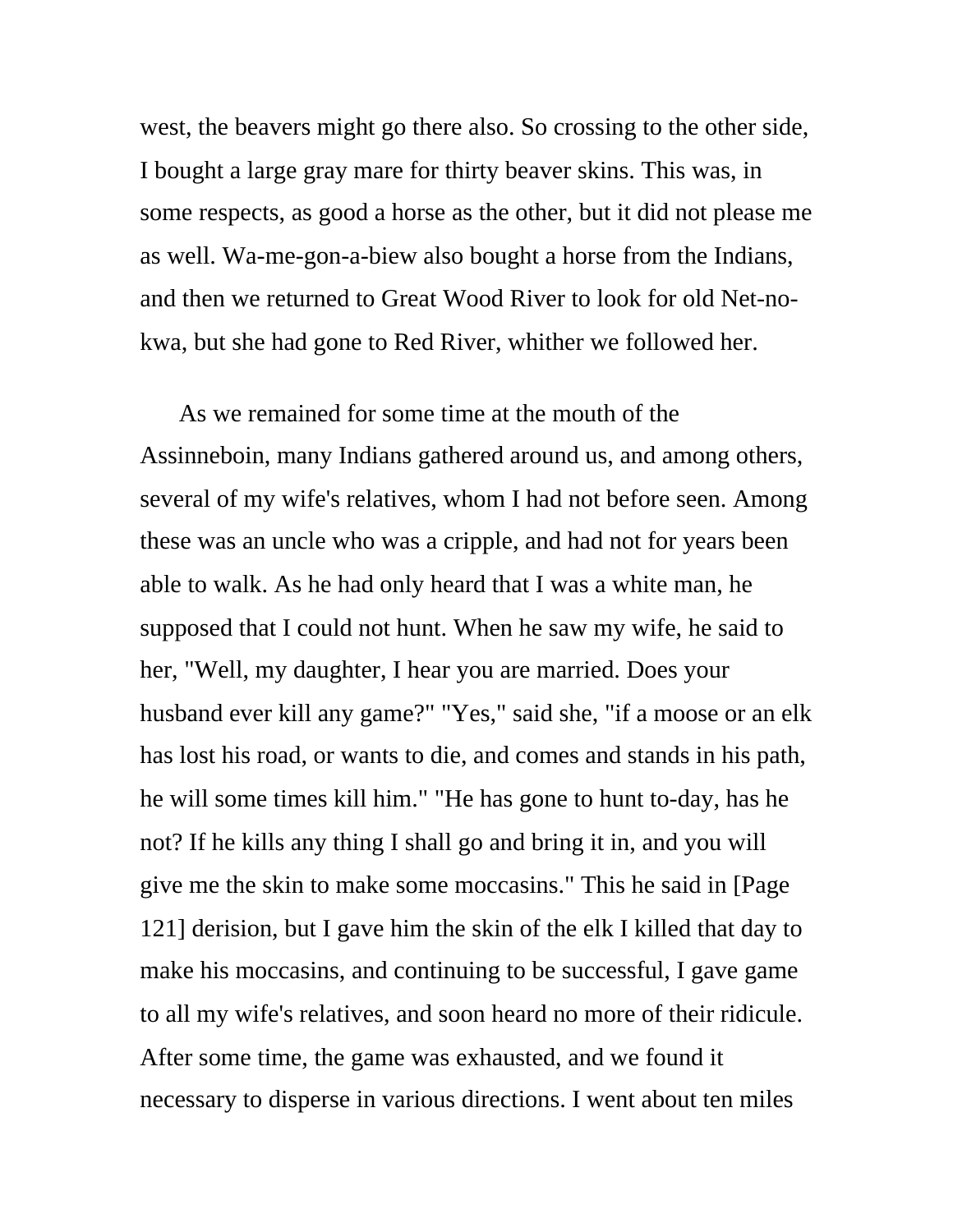west, the beavers might go there also. So crossing to the other side, I bought a large gray mare for thirty beaver skins. This was, in some respects, as good a horse as the other, but it did not please me as well. Wa-me-gon-a-biew also bought a horse from the Indians, and then we returned to Great Wood River to look for old Net-nokwa, but she had gone to Red River, whither we followed her.

As we remained for some time at the mouth of the Assinneboin, many Indians gathered around us, and among others, several of my wife's relatives, whom I had not before seen. Among these was an uncle who was a cripple, and had not for years been able to walk. As he had only heard that I was a white man, he supposed that I could not hunt. When he saw my wife, he said to her, "Well, my daughter, I hear you are married. Does your husband ever kill any game?" "Yes," said she, "if a moose or an elk has lost his road, or wants to die, and comes and stands in his path, he will some times kill him." "He has gone to hunt to-day, has he not? If he kills any thing I shall go and bring it in, and you will give me the skin to make some moccasins." This he said in [Page 121] derision, but I gave him the skin of the elk I killed that day to make his moccasins, and continuing to be successful, I gave game to all my wife's relatives, and soon heard no more of their ridicule. After some time, the game was exhausted, and we found it necessary to disperse in various directions. I went about ten miles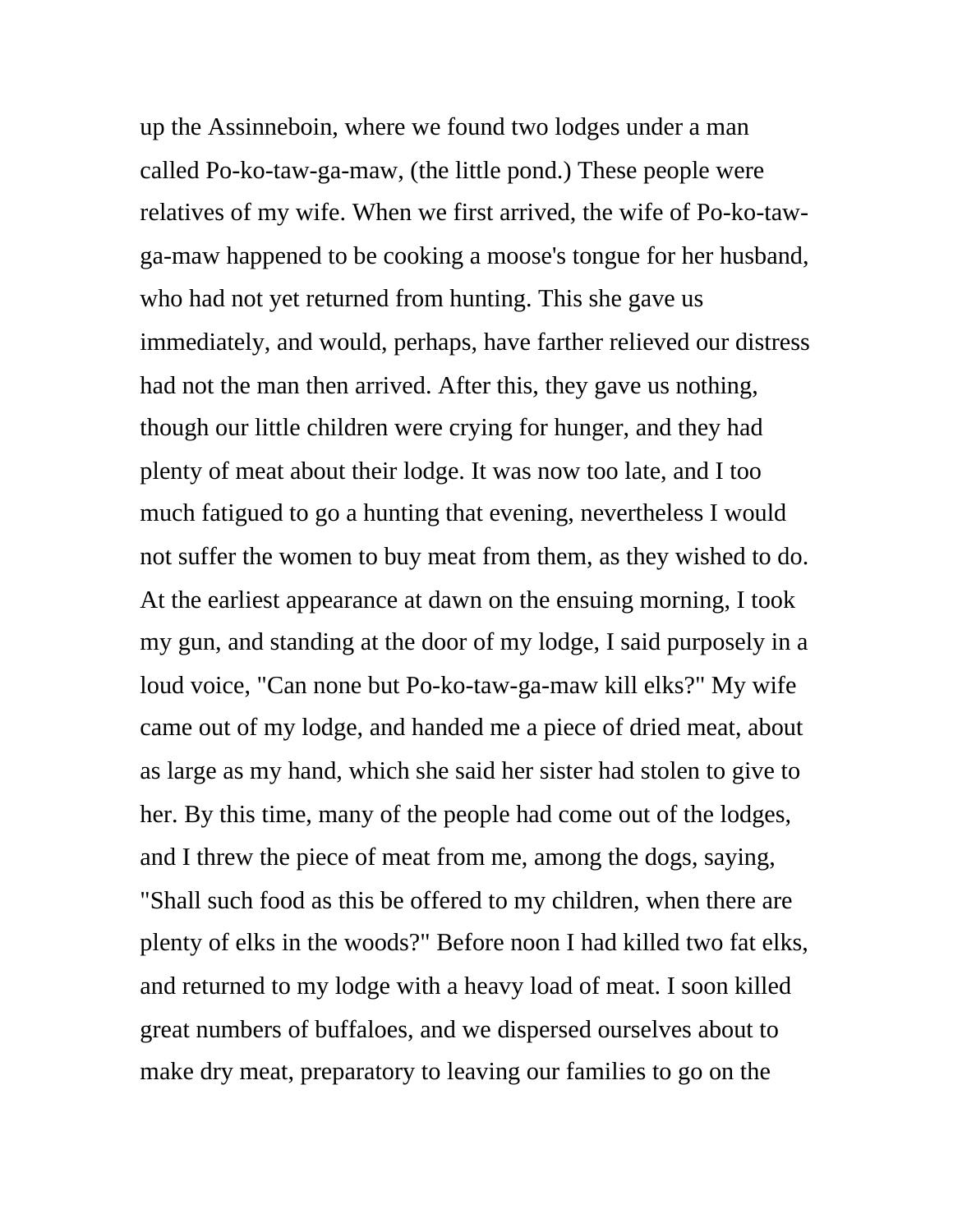up the Assinneboin, where we found two lodges under a man called Po-ko-taw-ga-maw, (the little pond.) These people were relatives of my wife. When we first arrived, the wife of Po-ko-tawga-maw happened to be cooking a moose's tongue for her husband, who had not yet returned from hunting. This she gave us immediately, and would, perhaps, have farther relieved our distress had not the man then arrived. After this, they gave us nothing, though our little children were crying for hunger, and they had plenty of meat about their lodge. It was now too late, and I too much fatigued to go a hunting that evening, nevertheless I would not suffer the women to buy meat from them, as they wished to do. At the earliest appearance at dawn on the ensuing morning, I took my gun, and standing at the door of my lodge, I said purposely in a loud voice, "Can none but Po-ko-taw-ga-maw kill elks?" My wife came out of my lodge, and handed me a piece of dried meat, about as large as my hand, which she said her sister had stolen to give to her. By this time, many of the people had come out of the lodges, and I threw the piece of meat from me, among the dogs, saying, "Shall such food as this be offered to my children, when there are plenty of elks in the woods?" Before noon I had killed two fat elks, and returned to my lodge with a heavy load of meat. I soon killed great numbers of buffaloes, and we dispersed ourselves about to make dry meat, preparatory to leaving our families to go on the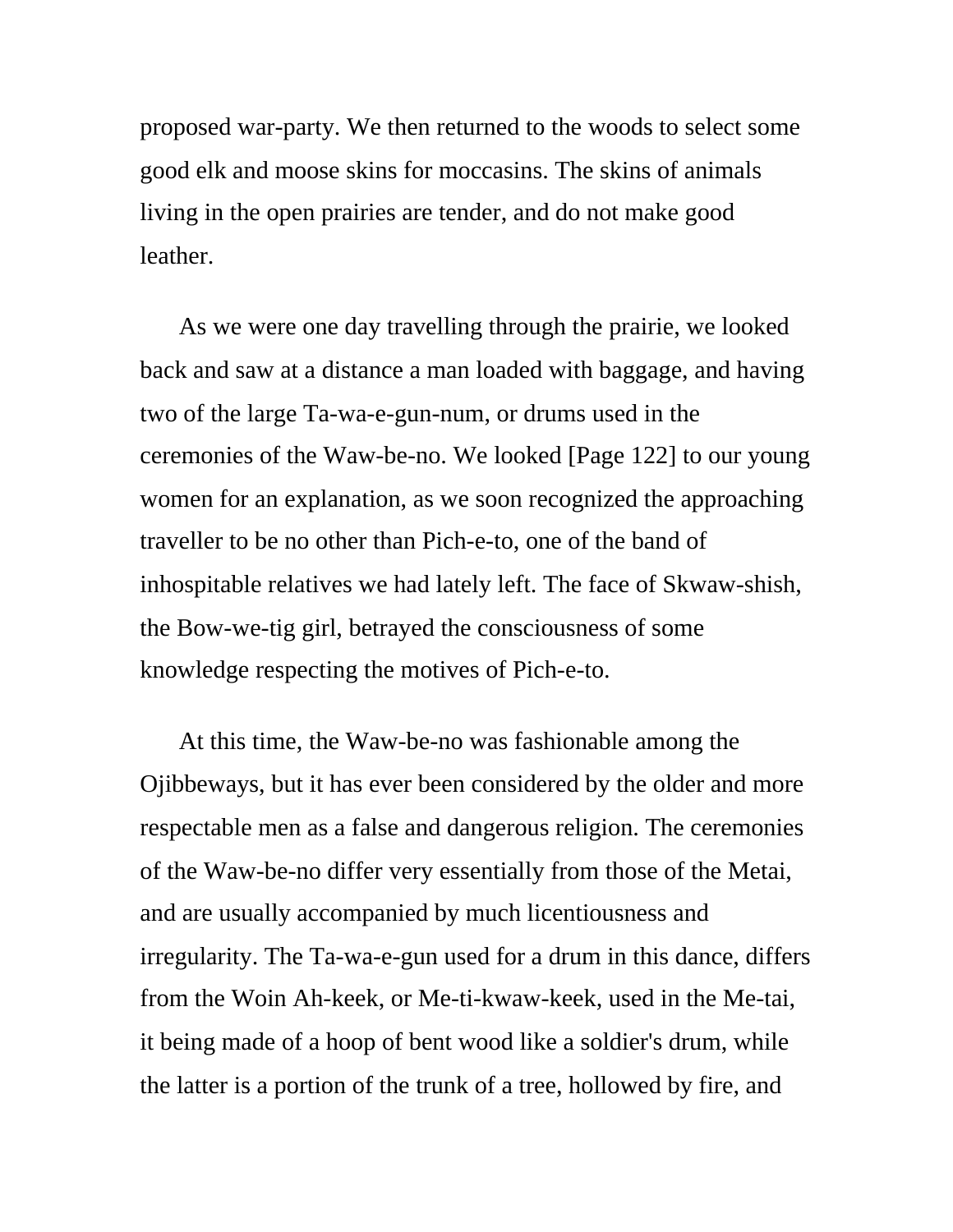proposed war-party. We then returned to the woods to select some good elk and moose skins for moccasins. The skins of animals living in the open prairies are tender, and do not make good leather.

As we were one day travelling through the prairie, we looked back and saw at a distance a man loaded with baggage, and having two of the large Ta-wa-e-gun-num, or drums used in the ceremonies of the Waw-be-no. We looked [Page 122] to our young women for an explanation, as we soon recognized the approaching traveller to be no other than Pich-e-to, one of the band of inhospitable relatives we had lately left. The face of Skwaw-shish, the Bow-we-tig girl, betrayed the consciousness of some knowledge respecting the motives of Pich-e-to.

At this time, the Waw-be-no was fashionable among the Ojibbeways, but it has ever been considered by the older and more respectable men as a false and dangerous religion. The ceremonies of the Waw-be-no differ very essentially from those of the Metai, and are usually accompanied by much licentiousness and irregularity. The Ta-wa-e-gun used for a drum in this dance, differs from the Woin Ah-keek, or Me-ti-kwaw-keek, used in the Me-tai, it being made of a hoop of bent wood like a soldier's drum, while the latter is a portion of the trunk of a tree, hollowed by fire, and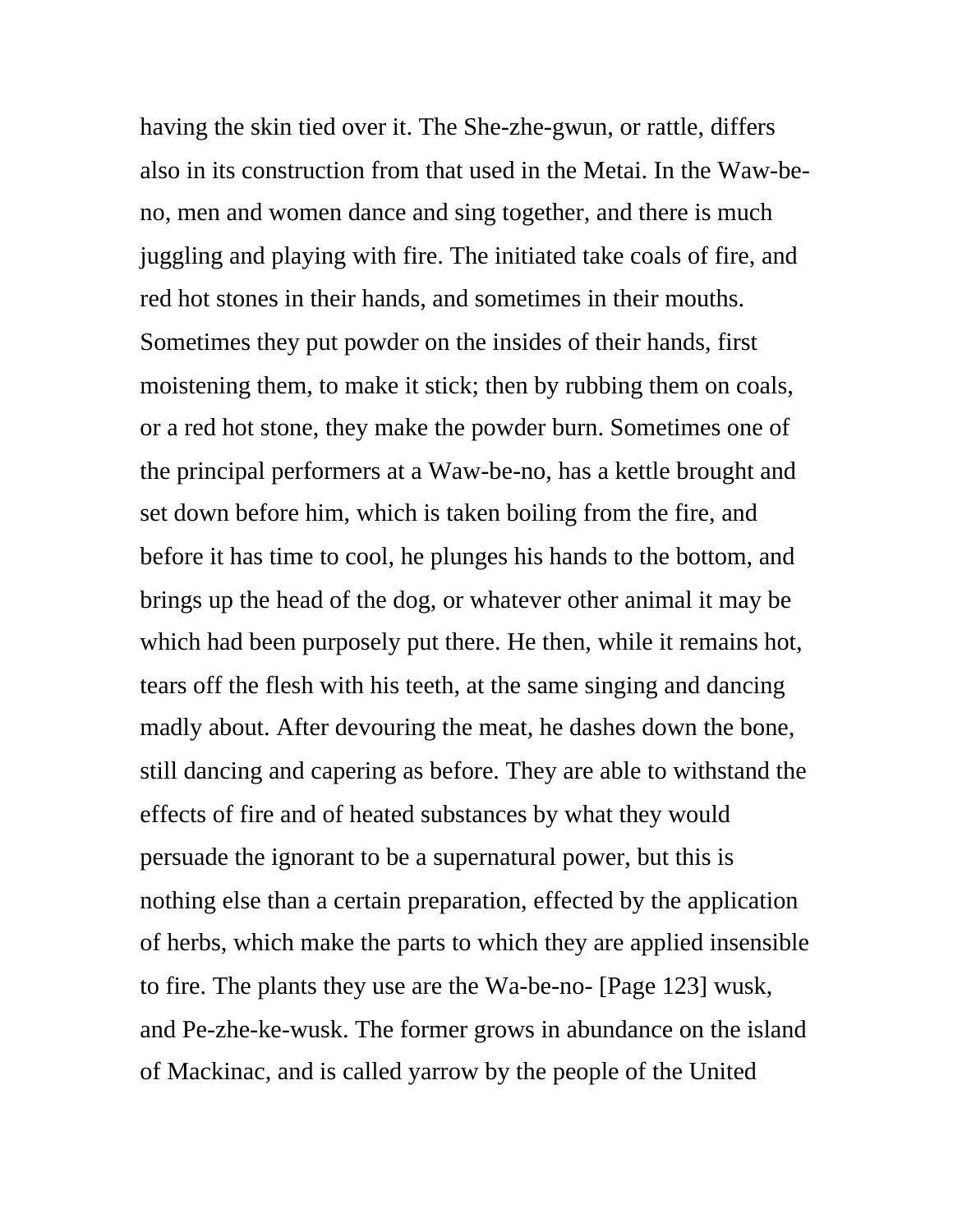having the skin tied over it. The She-zhe-gwun, or rattle, differs also in its construction from that used in the Metai. In the Waw-beno, men and women dance and sing together, and there is much juggling and playing with fire. The initiated take coals of fire, and red hot stones in their hands, and sometimes in their mouths. Sometimes they put powder on the insides of their hands, first moistening them, to make it stick; then by rubbing them on coals, or a red hot stone, they make the powder burn. Sometimes one of the principal performers at a Waw-be-no, has a kettle brought and set down before him, which is taken boiling from the fire, and before it has time to cool, he plunges his hands to the bottom, and brings up the head of the dog, or whatever other animal it may be which had been purposely put there. He then, while it remains hot, tears off the flesh with his teeth, at the same singing and dancing madly about. After devouring the meat, he dashes down the bone, still dancing and capering as before. They are able to withstand the effects of fire and of heated substances by what they would persuade the ignorant to be a supernatural power, but this is nothing else than a certain preparation, effected by the application of herbs, which make the parts to which they are applied insensible to fire. The plants they use are the Wa-be-no- [Page 123] wusk, and Pe-zhe-ke-wusk. The former grows in abundance on the island of Mackinac, and is called yarrow by the people of the United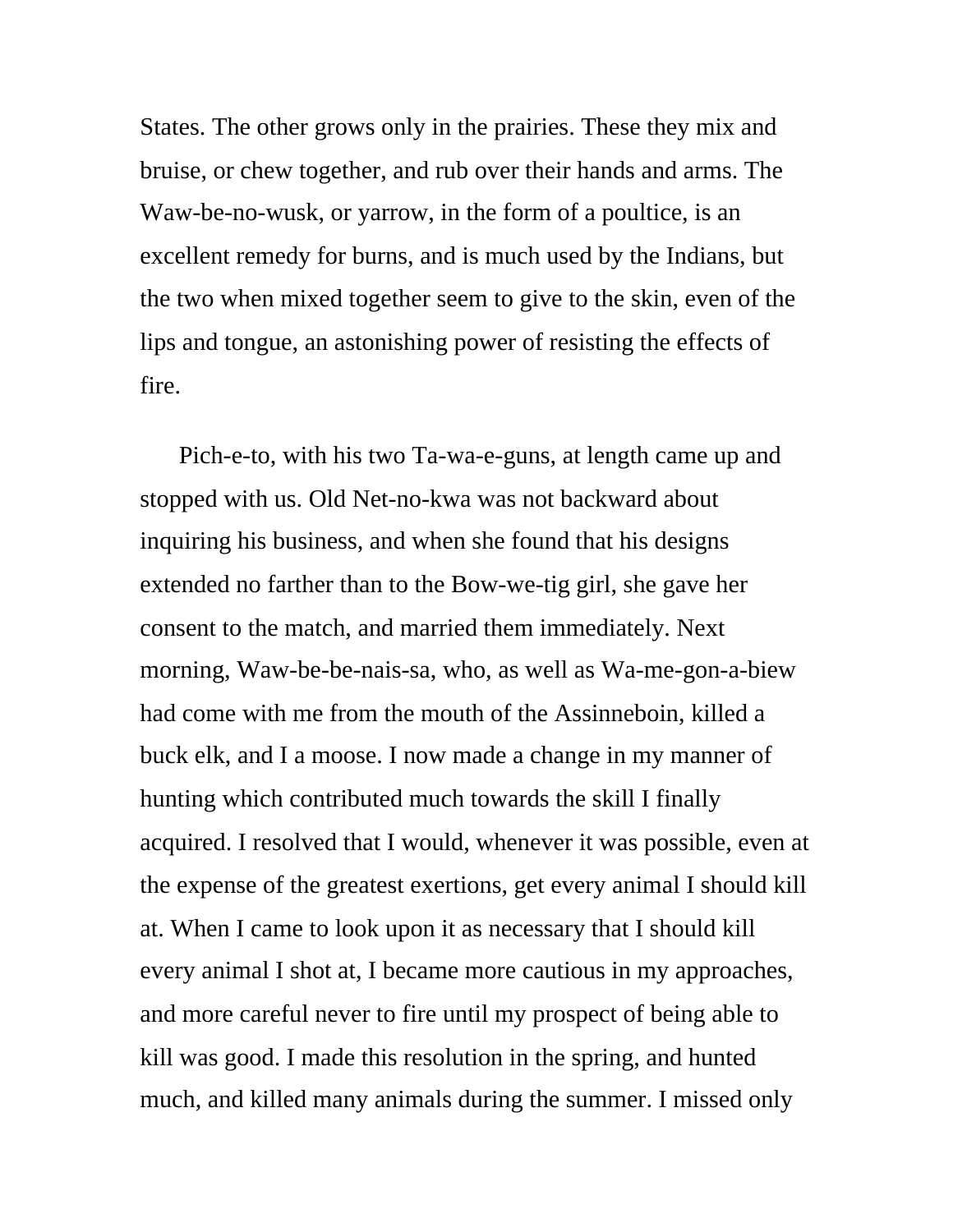States. The other grows only in the prairies. These they mix and bruise, or chew together, and rub over their hands and arms. The Waw-be-no-wusk, or yarrow, in the form of a poultice, is an excellent remedy for burns, and is much used by the Indians, but the two when mixed together seem to give to the skin, even of the lips and tongue, an astonishing power of resisting the effects of fire.

Pich-e-to, with his two Ta-wa-e-guns, at length came up and stopped with us. Old Net-no-kwa was not backward about inquiring his business, and when she found that his designs extended no farther than to the Bow-we-tig girl, she gave her consent to the match, and married them immediately. Next morning, Waw-be-be-nais-sa, who, as well as Wa-me-gon-a-biew had come with me from the mouth of the Assinneboin, killed a buck elk, and I a moose. I now made a change in my manner of hunting which contributed much towards the skill I finally acquired. I resolved that I would, whenever it was possible, even at the expense of the greatest exertions, get every animal I should kill at. When I came to look upon it as necessary that I should kill every animal I shot at, I became more cautious in my approaches, and more careful never to fire until my prospect of being able to kill was good. I made this resolution in the spring, and hunted much, and killed many animals during the summer. I missed only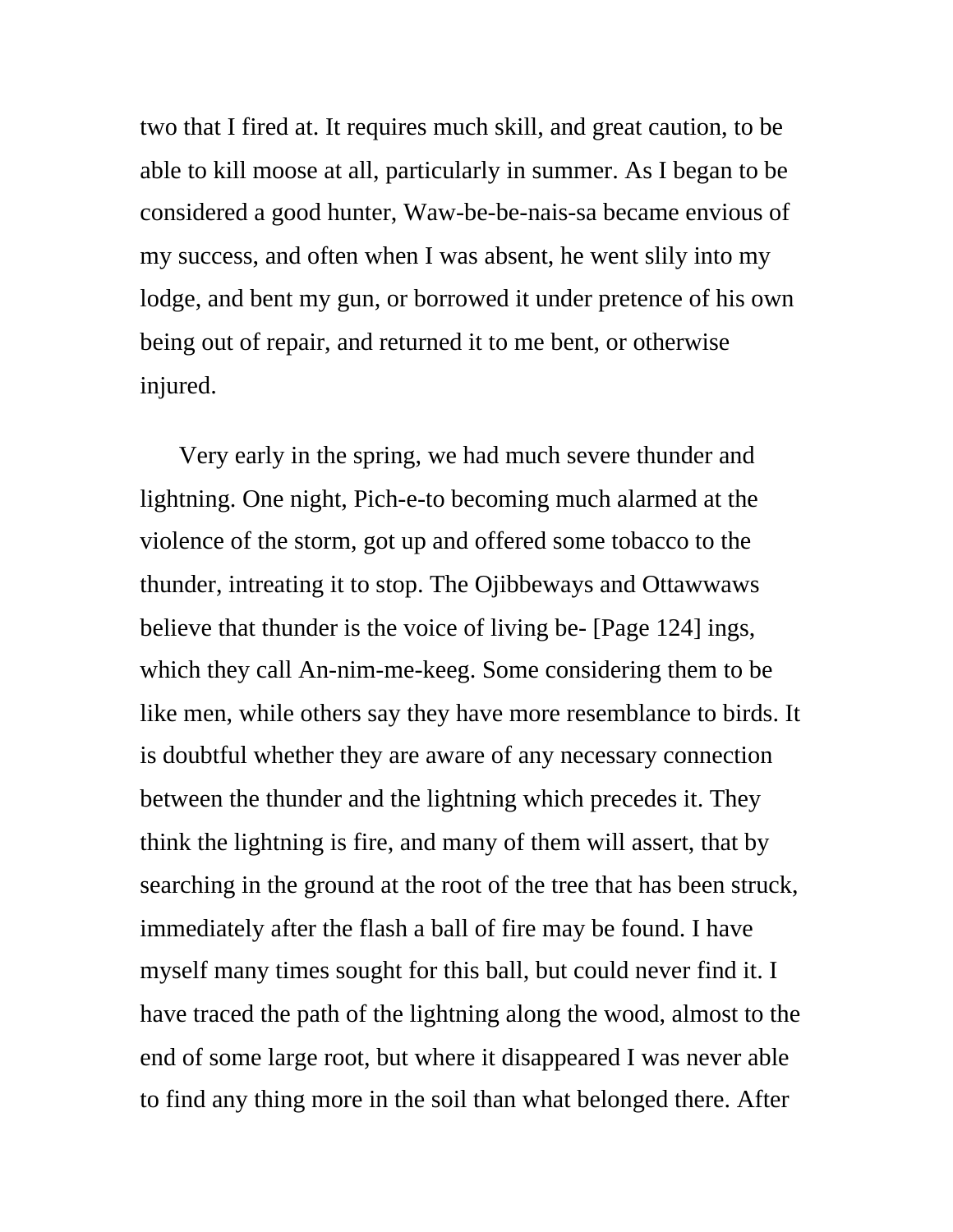two that I fired at. It requires much skill, and great caution, to be able to kill moose at all, particularly in summer. As I began to be considered a good hunter, Waw-be-be-nais-sa became envious of my success, and often when I was absent, he went slily into my lodge, and bent my gun, or borrowed it under pretence of his own being out of repair, and returned it to me bent, or otherwise injured.

Very early in the spring, we had much severe thunder and lightning. One night, Pich-e-to becoming much alarmed at the violence of the storm, got up and offered some tobacco to the thunder, intreating it to stop. The Ojibbeways and Ottawwaws believe that thunder is the voice of living be- [Page 124] ings, which they call An-nim-me-keeg. Some considering them to be like men, while others say they have more resemblance to birds. It is doubtful whether they are aware of any necessary connection between the thunder and the lightning which precedes it. They think the lightning is fire, and many of them will assert, that by searching in the ground at the root of the tree that has been struck, immediately after the flash a ball of fire may be found. I have myself many times sought for this ball, but could never find it. I have traced the path of the lightning along the wood, almost to the end of some large root, but where it disappeared I was never able to find any thing more in the soil than what belonged there. After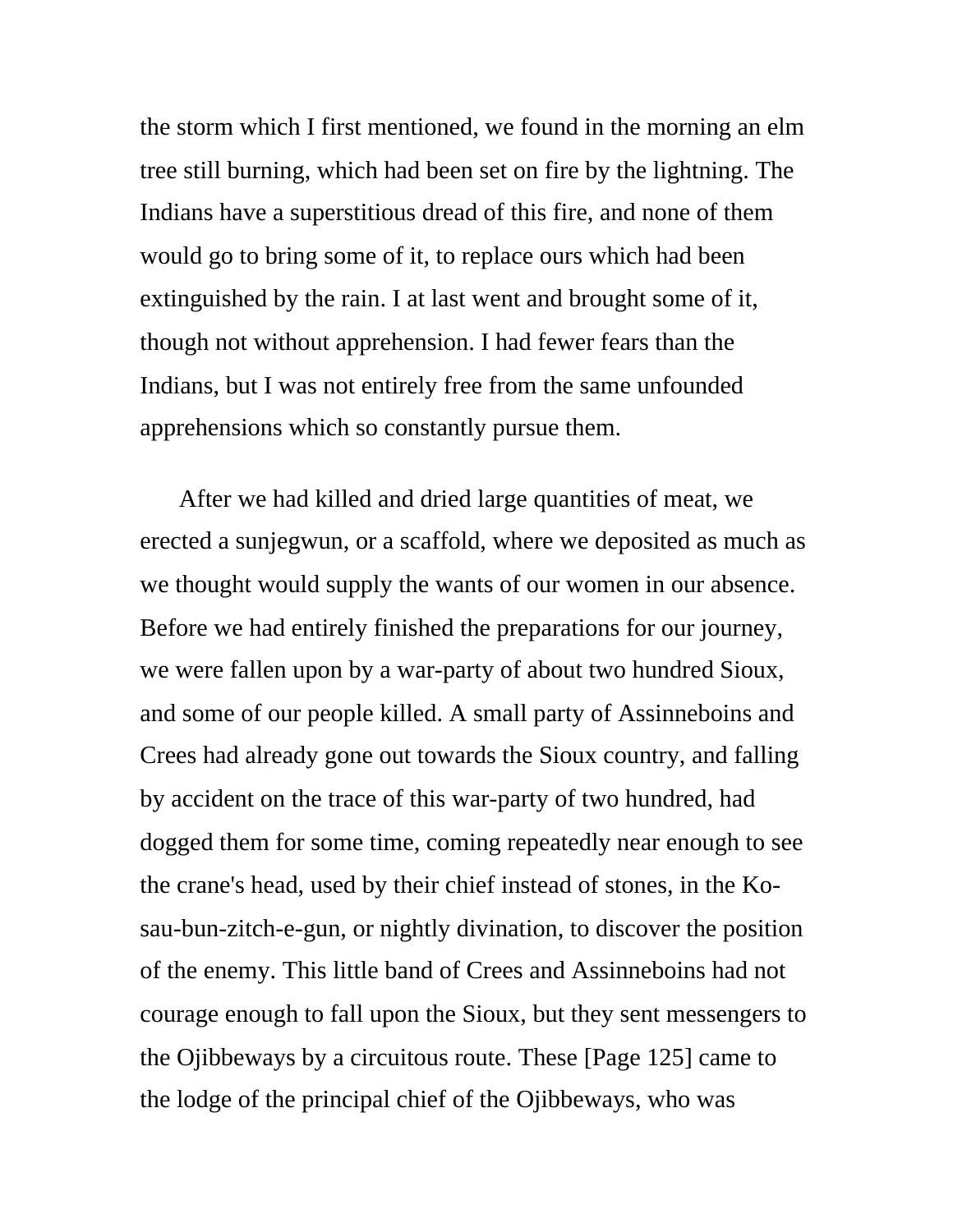the storm which I first mentioned, we found in the morning an elm tree still burning, which had been set on fire by the lightning. The Indians have a superstitious dread of this fire, and none of them would go to bring some of it, to replace ours which had been extinguished by the rain. I at last went and brought some of it, though not without apprehension. I had fewer fears than the Indians, but I was not entirely free from the same unfounded apprehensions which so constantly pursue them.

After we had killed and dried large quantities of meat, we erected a sunjegwun, or a scaffold, where we deposited as much as we thought would supply the wants of our women in our absence. Before we had entirely finished the preparations for our journey, we were fallen upon by a war-party of about two hundred Sioux, and some of our people killed. A small party of Assinneboins and Crees had already gone out towards the Sioux country, and falling by accident on the trace of this war-party of two hundred, had dogged them for some time, coming repeatedly near enough to see the crane's head, used by their chief instead of stones, in the Kosau-bun-zitch-e-gun, or nightly divination, to discover the position of the enemy. This little band of Crees and Assinneboins had not courage enough to fall upon the Sioux, but they sent messengers to the Ojibbeways by a circuitous route. These [Page 125] came to the lodge of the principal chief of the Ojibbeways, who was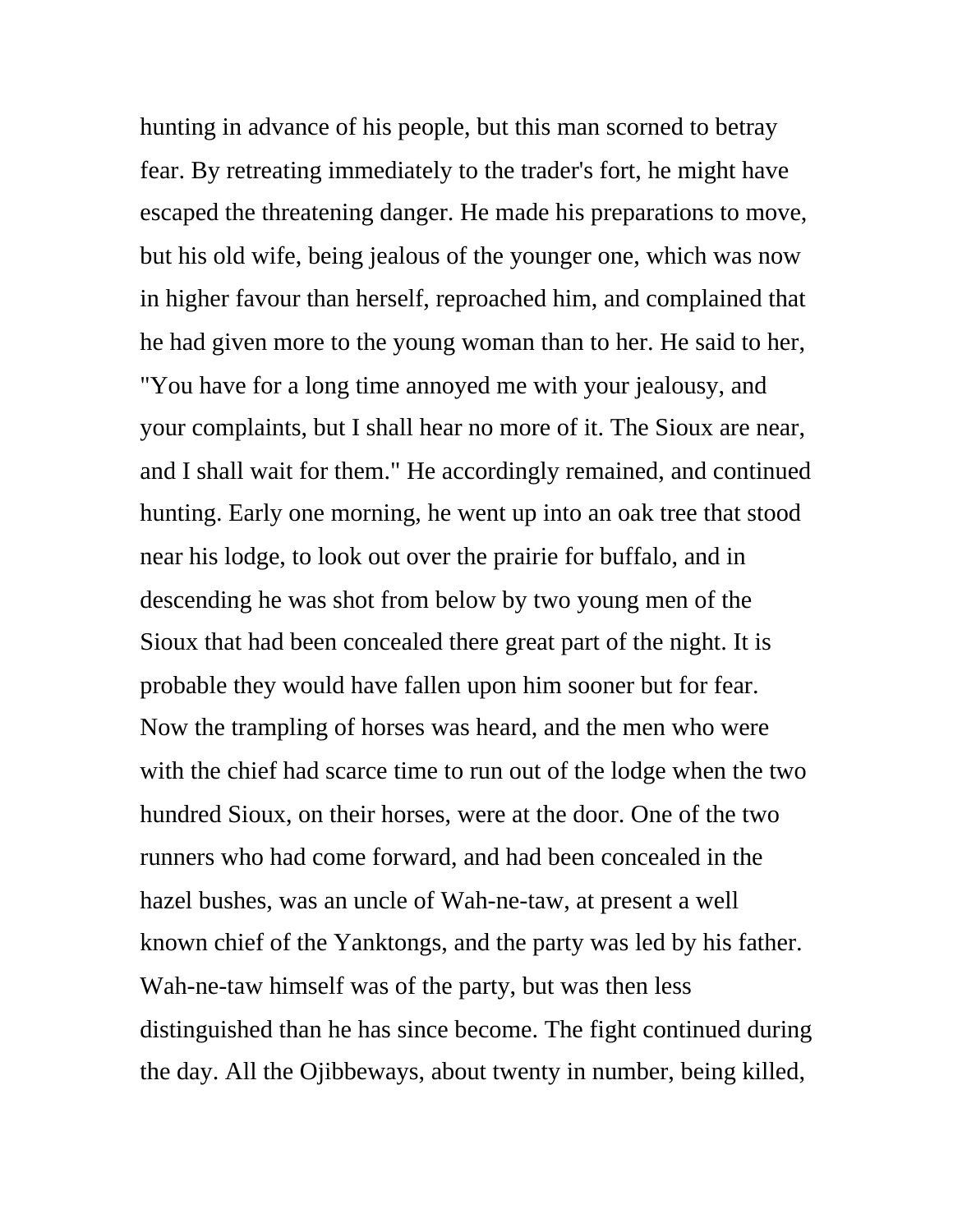hunting in advance of his people, but this man scorned to betray fear. By retreating immediately to the trader's fort, he might have escaped the threatening danger. He made his preparations to move, but his old wife, being jealous of the younger one, which was now in higher favour than herself, reproached him, and complained that he had given more to the young woman than to her. He said to her, "You have for a long time annoyed me with your jealousy, and your complaints, but I shall hear no more of it. The Sioux are near, and I shall wait for them." He accordingly remained, and continued hunting. Early one morning, he went up into an oak tree that stood near his lodge, to look out over the prairie for buffalo, and in descending he was shot from below by two young men of the Sioux that had been concealed there great part of the night. It is probable they would have fallen upon him sooner but for fear. Now the trampling of horses was heard, and the men who were with the chief had scarce time to run out of the lodge when the two hundred Sioux, on their horses, were at the door. One of the two runners who had come forward, and had been concealed in the hazel bushes, was an uncle of Wah-ne-taw, at present a well known chief of the Yanktongs, and the party was led by his father. Wah-ne-taw himself was of the party, but was then less distinguished than he has since become. The fight continued during the day. All the Ojibbeways, about twenty in number, being killed,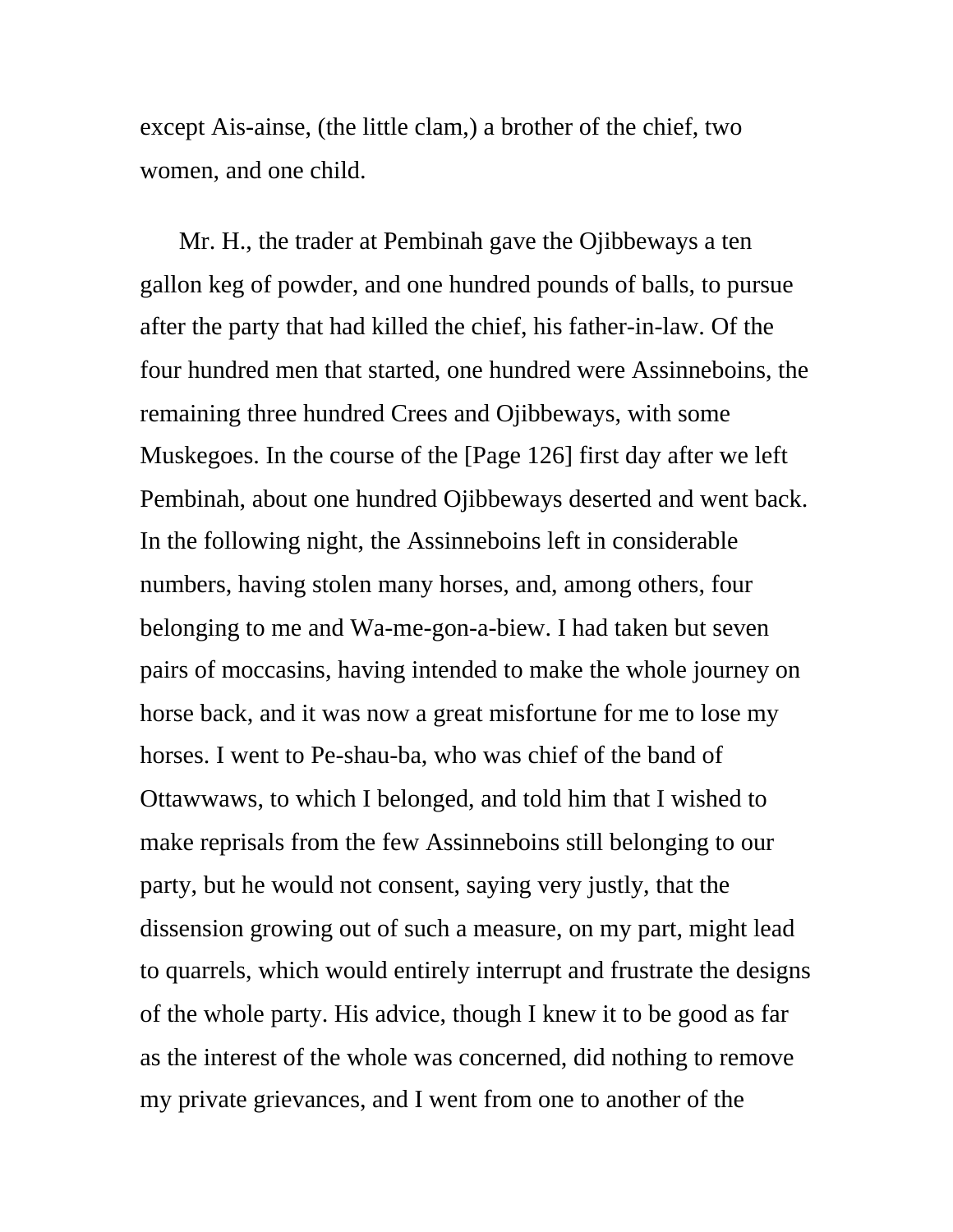except Ais-ainse, (the little clam,) a brother of the chief, two women, and one child.

Mr. H., the trader at Pembinah gave the Ojibbeways a ten gallon keg of powder, and one hundred pounds of balls, to pursue after the party that had killed the chief, his father-in-law. Of the four hundred men that started, one hundred were Assinneboins, the remaining three hundred Crees and Ojibbeways, with some Muskegoes. In the course of the [Page 126] first day after we left Pembinah, about one hundred Ojibbeways deserted and went back. In the following night, the Assinneboins left in considerable numbers, having stolen many horses, and, among others, four belonging to me and Wa-me-gon-a-biew. I had taken but seven pairs of moccasins, having intended to make the whole journey on horse back, and it was now a great misfortune for me to lose my horses. I went to Pe-shau-ba, who was chief of the band of Ottawwaws, to which I belonged, and told him that I wished to make reprisals from the few Assinneboins still belonging to our party, but he would not consent, saying very justly, that the dissension growing out of such a measure, on my part, might lead to quarrels, which would entirely interrupt and frustrate the designs of the whole party. His advice, though I knew it to be good as far as the interest of the whole was concerned, did nothing to remove my private grievances, and I went from one to another of the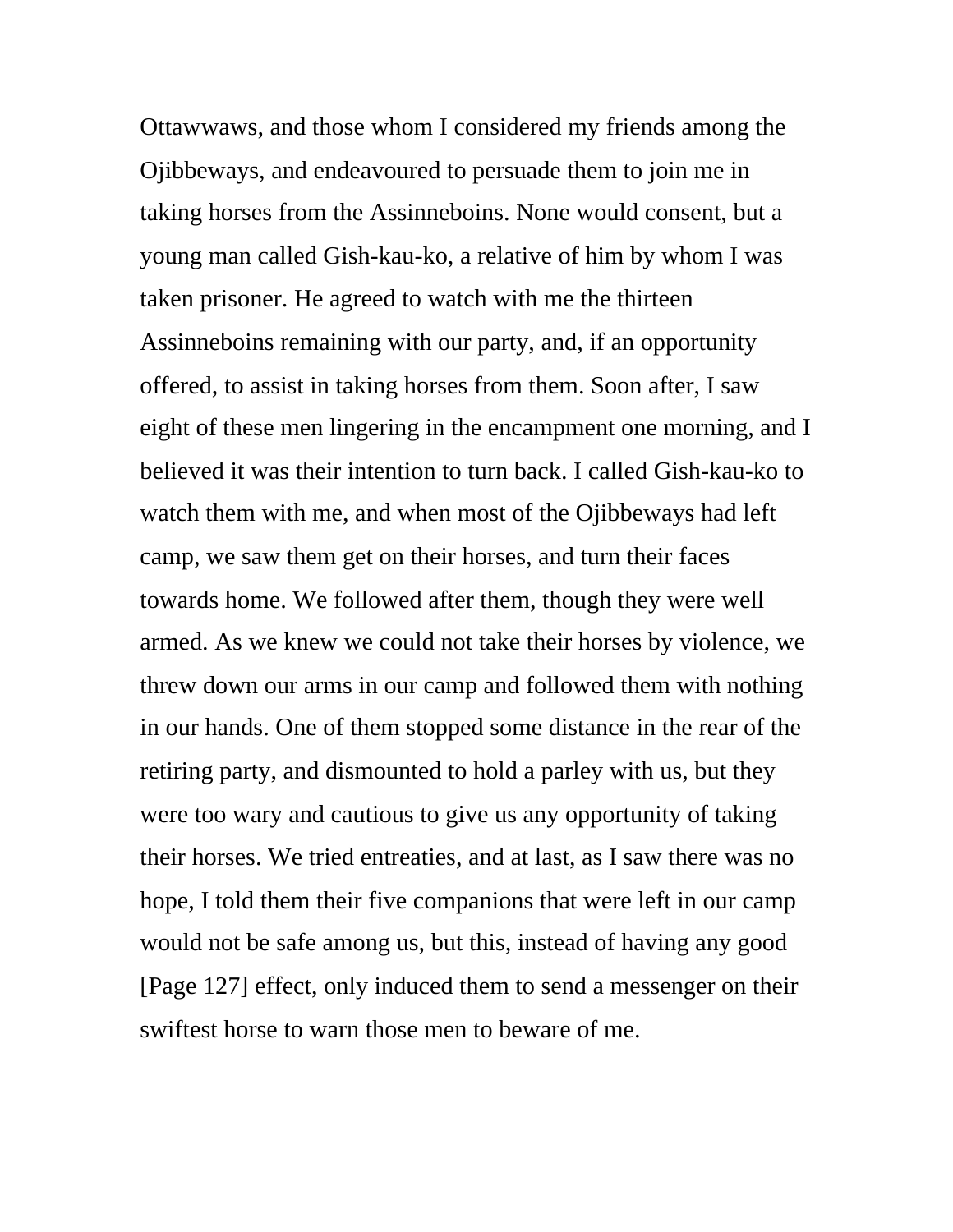Ottawwaws, and those whom I considered my friends among the Ojibbeways, and endeavoured to persuade them to join me in taking horses from the Assinneboins. None would consent, but a young man called Gish-kau-ko, a relative of him by whom I was taken prisoner. He agreed to watch with me the thirteen Assinneboins remaining with our party, and, if an opportunity offered, to assist in taking horses from them. Soon after, I saw eight of these men lingering in the encampment one morning, and I believed it was their intention to turn back. I called Gish-kau-ko to watch them with me, and when most of the Ojibbeways had left camp, we saw them get on their horses, and turn their faces towards home. We followed after them, though they were well armed. As we knew we could not take their horses by violence, we threw down our arms in our camp and followed them with nothing in our hands. One of them stopped some distance in the rear of the retiring party, and dismounted to hold a parley with us, but they were too wary and cautious to give us any opportunity of taking their horses. We tried entreaties, and at last, as I saw there was no hope, I told them their five companions that were left in our camp would not be safe among us, but this, instead of having any good [Page 127] effect, only induced them to send a messenger on their swiftest horse to warn those men to beware of me.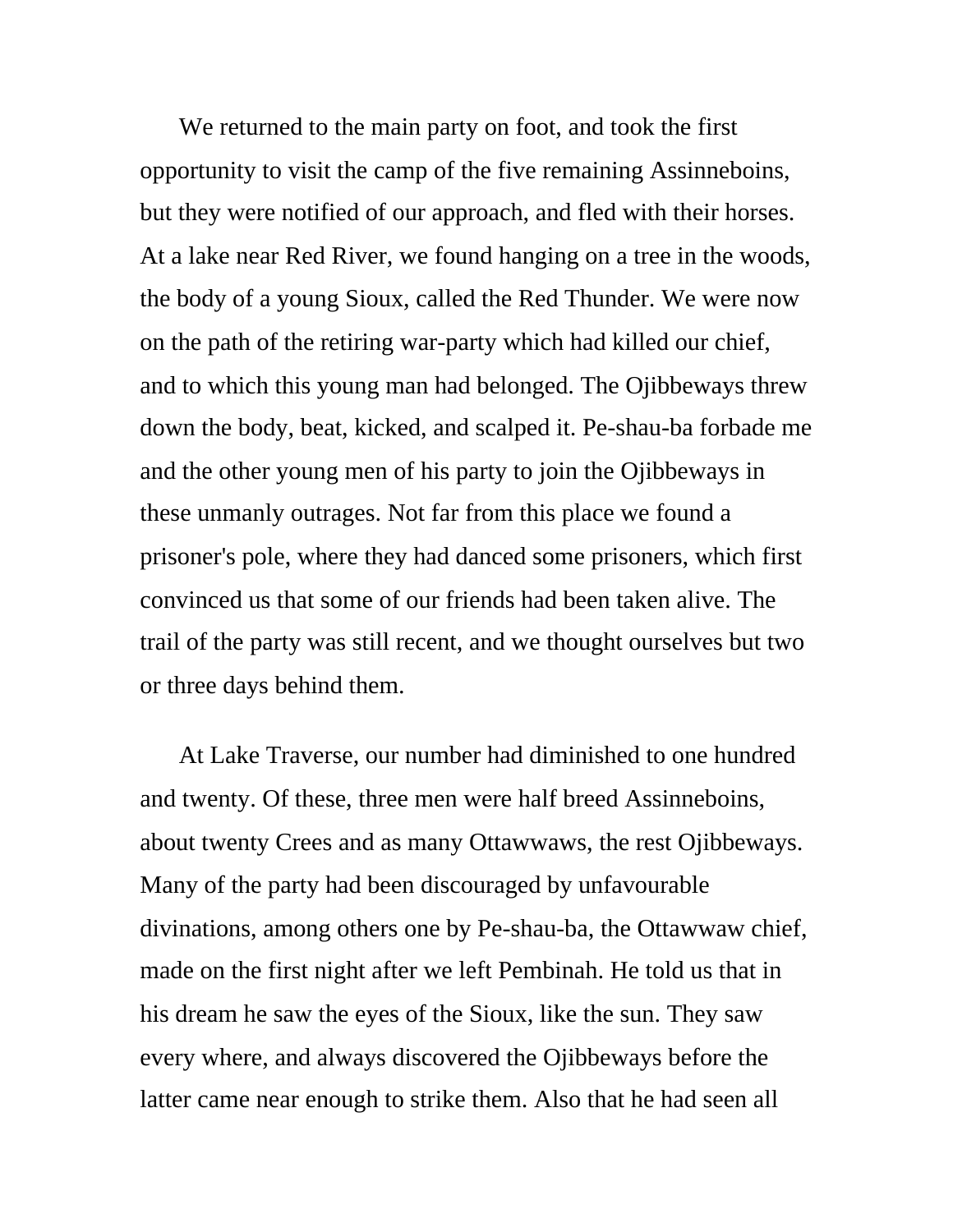We returned to the main party on foot, and took the first opportunity to visit the camp of the five remaining Assinneboins, but they were notified of our approach, and fled with their horses. At a lake near Red River, we found hanging on a tree in the woods, the body of a young Sioux, called the Red Thunder. We were now on the path of the retiring war-party which had killed our chief, and to which this young man had belonged. The Ojibbeways threw down the body, beat, kicked, and scalped it. Pe-shau-ba forbade me and the other young men of his party to join the Ojibbeways in these unmanly outrages. Not far from this place we found a prisoner's pole, where they had danced some prisoners, which first convinced us that some of our friends had been taken alive. The trail of the party was still recent, and we thought ourselves but two or three days behind them.

At Lake Traverse, our number had diminished to one hundred and twenty. Of these, three men were half breed Assinneboins, about twenty Crees and as many Ottawwaws, the rest Ojibbeways. Many of the party had been discouraged by unfavourable divinations, among others one by Pe-shau-ba, the Ottawwaw chief, made on the first night after we left Pembinah. He told us that in his dream he saw the eyes of the Sioux, like the sun. They saw every where, and always discovered the Ojibbeways before the latter came near enough to strike them. Also that he had seen all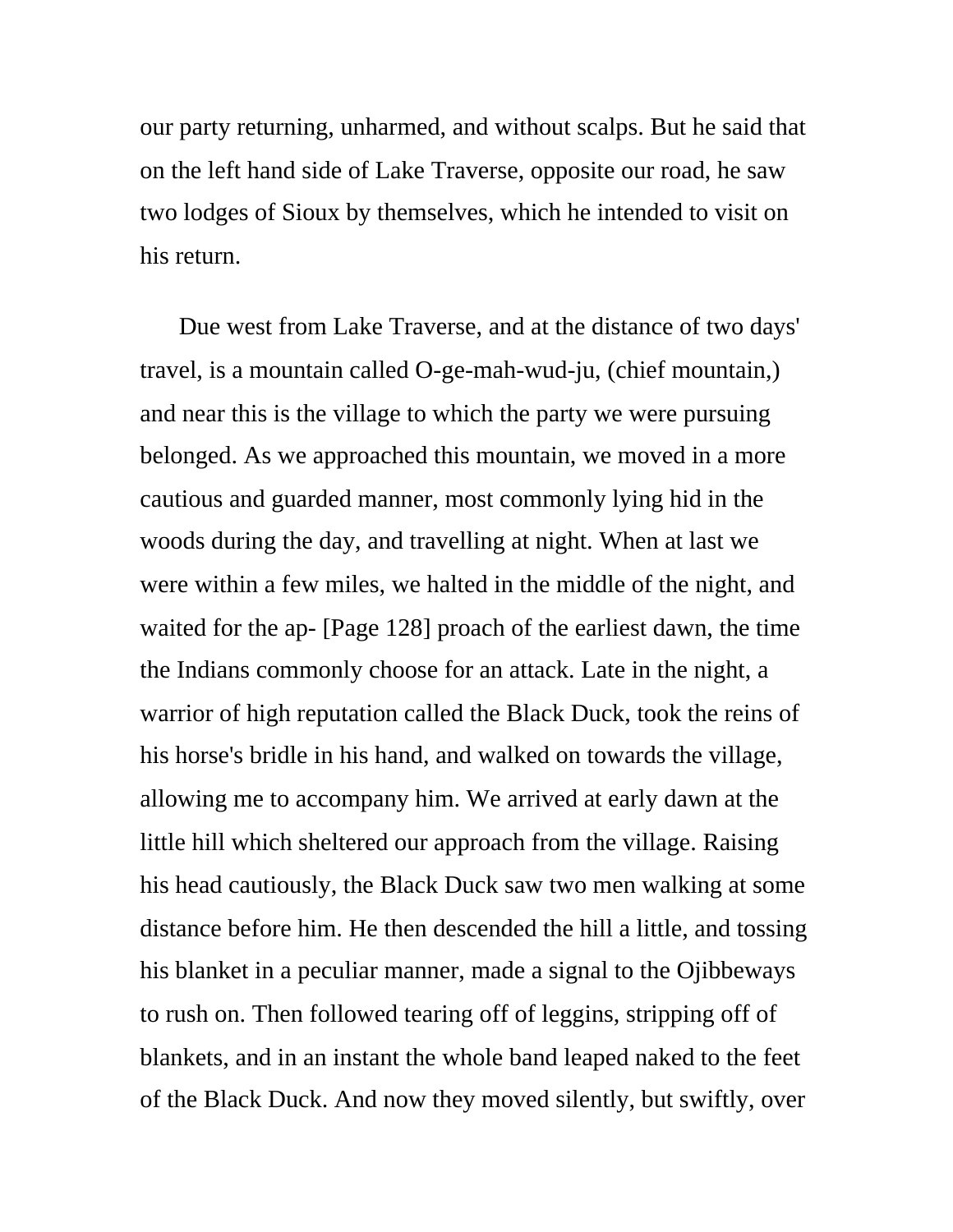our party returning, unharmed, and without scalps. But he said that on the left hand side of Lake Traverse, opposite our road, he saw two lodges of Sioux by themselves, which he intended to visit on his return.

Due west from Lake Traverse, and at the distance of two days' travel, is a mountain called O-ge-mah-wud-ju, (chief mountain,) and near this is the village to which the party we were pursuing belonged. As we approached this mountain, we moved in a more cautious and guarded manner, most commonly lying hid in the woods during the day, and travelling at night. When at last we were within a few miles, we halted in the middle of the night, and waited for the ap- [Page 128] proach of the earliest dawn, the time the Indians commonly choose for an attack. Late in the night, a warrior of high reputation called the Black Duck, took the reins of his horse's bridle in his hand, and walked on towards the village, allowing me to accompany him. We arrived at early dawn at the little hill which sheltered our approach from the village. Raising his head cautiously, the Black Duck saw two men walking at some distance before him. He then descended the hill a little, and tossing his blanket in a peculiar manner, made a signal to the Ojibbeways to rush on. Then followed tearing off of leggins, stripping off of blankets, and in an instant the whole band leaped naked to the feet of the Black Duck. And now they moved silently, but swiftly, over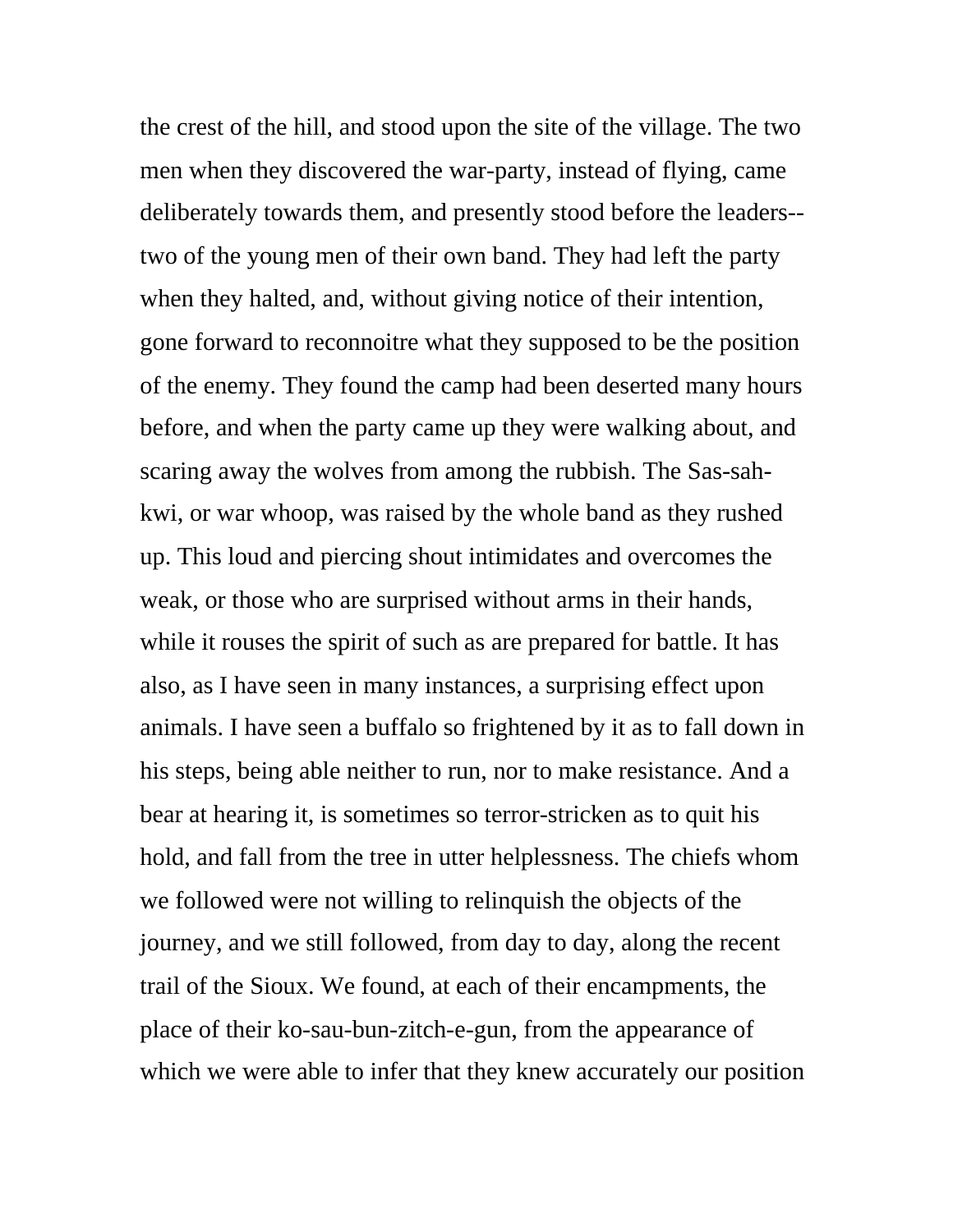the crest of the hill, and stood upon the site of the village. The two men when they discovered the war-party, instead of flying, came deliberately towards them, and presently stood before the leaders- two of the young men of their own band. They had left the party when they halted, and, without giving notice of their intention, gone forward to reconnoitre what they supposed to be the position of the enemy. They found the camp had been deserted many hours before, and when the party came up they were walking about, and scaring away the wolves from among the rubbish. The Sas-sahkwi, or war whoop, was raised by the whole band as they rushed up. This loud and piercing shout intimidates and overcomes the weak, or those who are surprised without arms in their hands, while it rouses the spirit of such as are prepared for battle. It has also, as I have seen in many instances, a surprising effect upon animals. I have seen a buffalo so frightened by it as to fall down in his steps, being able neither to run, nor to make resistance. And a bear at hearing it, is sometimes so terror-stricken as to quit his hold, and fall from the tree in utter helplessness. The chiefs whom we followed were not willing to relinquish the objects of the journey, and we still followed, from day to day, along the recent trail of the Sioux. We found, at each of their encampments, the place of their ko-sau-bun-zitch-e-gun, from the appearance of which we were able to infer that they knew accurately our position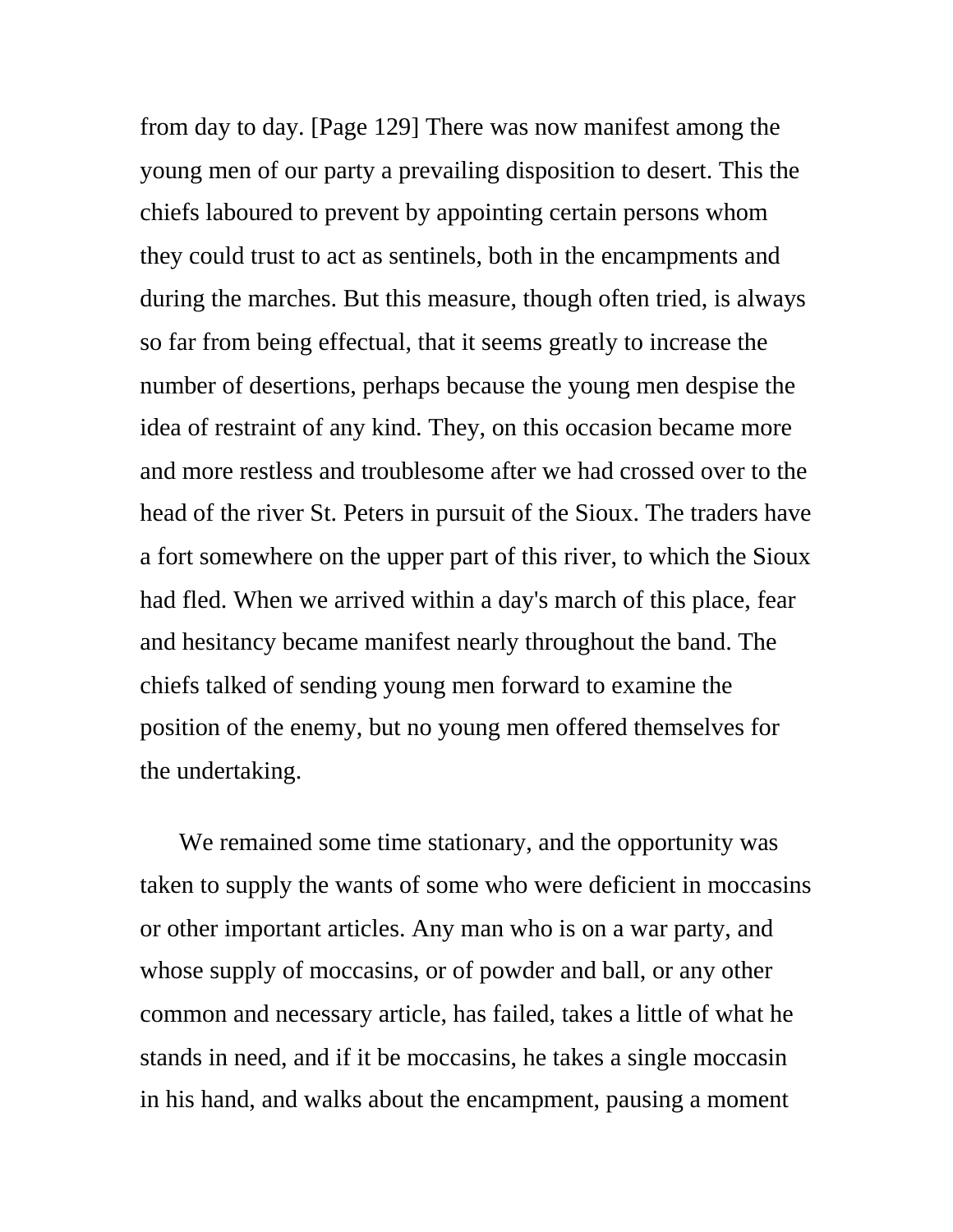from day to day. [Page 129] There was now manifest among the young men of our party a prevailing disposition to desert. This the chiefs laboured to prevent by appointing certain persons whom they could trust to act as sentinels, both in the encampments and during the marches. But this measure, though often tried, is always so far from being effectual, that it seems greatly to increase the number of desertions, perhaps because the young men despise the idea of restraint of any kind. They, on this occasion became more and more restless and troublesome after we had crossed over to the head of the river St. Peters in pursuit of the Sioux. The traders have a fort somewhere on the upper part of this river, to which the Sioux had fled. When we arrived within a day's march of this place, fear and hesitancy became manifest nearly throughout the band. The chiefs talked of sending young men forward to examine the position of the enemy, but no young men offered themselves for the undertaking.

We remained some time stationary, and the opportunity was taken to supply the wants of some who were deficient in moccasins or other important articles. Any man who is on a war party, and whose supply of moccasins, or of powder and ball, or any other common and necessary article, has failed, takes a little of what he stands in need, and if it be moccasins, he takes a single moccasin in his hand, and walks about the encampment, pausing a moment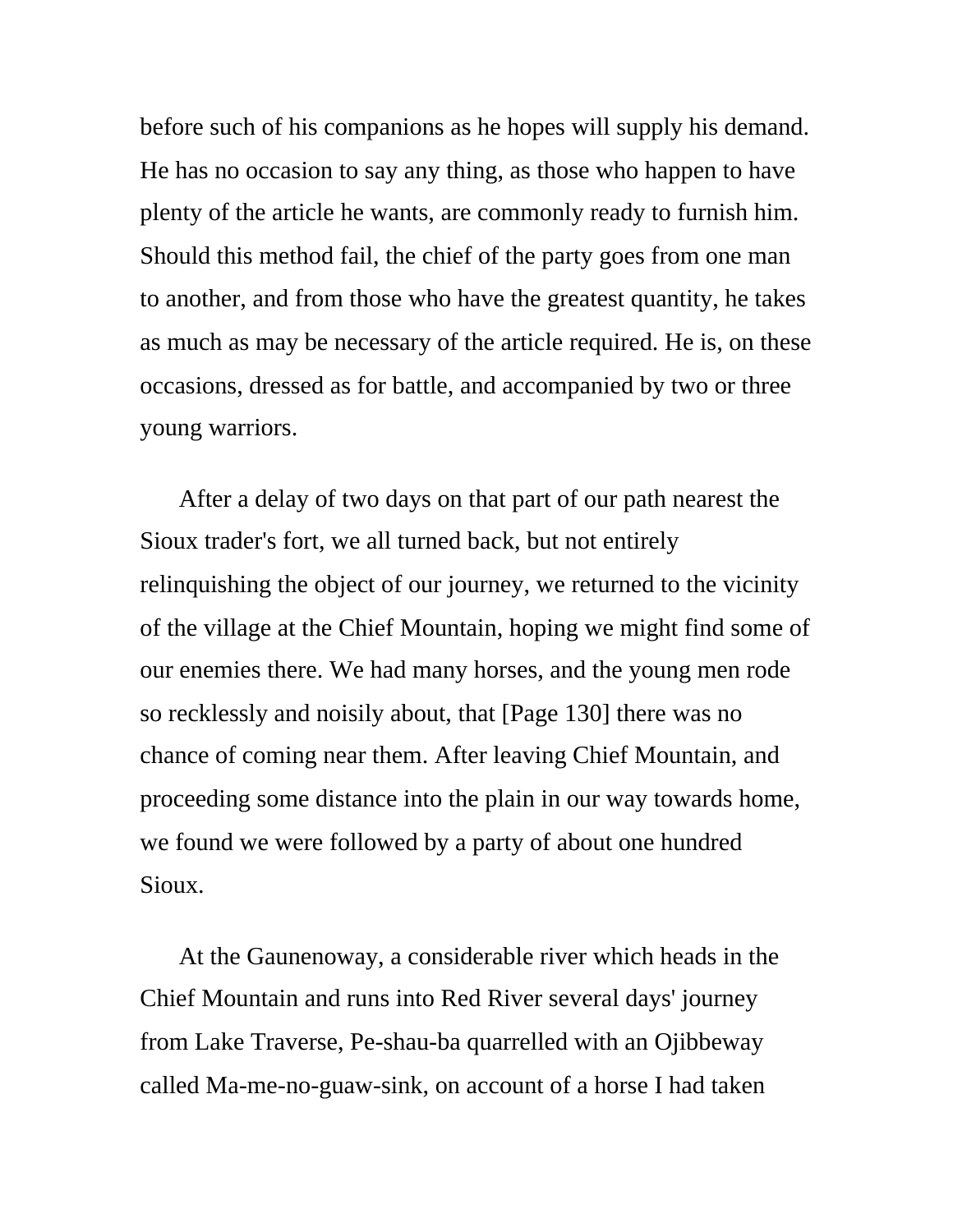before such of his companions as he hopes will supply his demand. He has no occasion to say any thing, as those who happen to have plenty of the article he wants, are commonly ready to furnish him. Should this method fail, the chief of the party goes from one man to another, and from those who have the greatest quantity, he takes as much as may be necessary of the article required. He is, on these occasions, dressed as for battle, and accompanied by two or three young warriors.

After a delay of two days on that part of our path nearest the Sioux trader's fort, we all turned back, but not entirely relinquishing the object of our journey, we returned to the vicinity of the village at the Chief Mountain, hoping we might find some of our enemies there. We had many horses, and the young men rode so recklessly and noisily about, that [Page 130] there was no chance of coming near them. After leaving Chief Mountain, and proceeding some distance into the plain in our way towards home, we found we were followed by a party of about one hundred Sioux.

At the Gaunenoway, a considerable river which heads in the Chief Mountain and runs into Red River several days' journey from Lake Traverse, Pe-shau-ba quarrelled with an Ojibbeway called Ma-me-no-guaw-sink, on account of a horse I had taken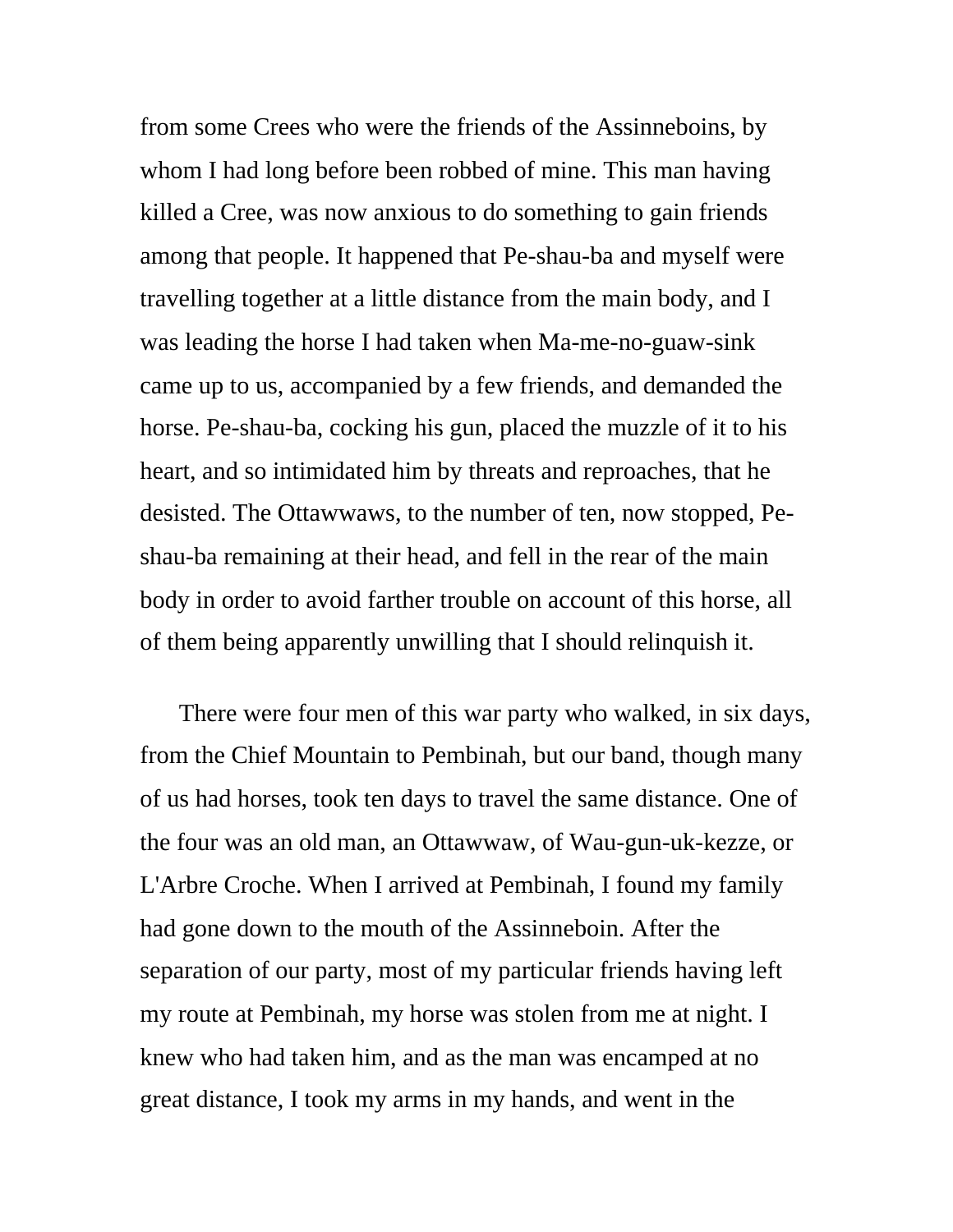from some Crees who were the friends of the Assinneboins, by whom I had long before been robbed of mine. This man having killed a Cree, was now anxious to do something to gain friends among that people. It happened that Pe-shau-ba and myself were travelling together at a little distance from the main body, and I was leading the horse I had taken when Ma-me-no-guaw-sink came up to us, accompanied by a few friends, and demanded the horse. Pe-shau-ba, cocking his gun, placed the muzzle of it to his heart, and so intimidated him by threats and reproaches, that he desisted. The Ottawwaws, to the number of ten, now stopped, Peshau-ba remaining at their head, and fell in the rear of the main body in order to avoid farther trouble on account of this horse, all of them being apparently unwilling that I should relinquish it.

There were four men of this war party who walked, in six days, from the Chief Mountain to Pembinah, but our band, though many of us had horses, took ten days to travel the same distance. One of the four was an old man, an Ottawwaw, of Wau-gun-uk-kezze, or L'Arbre Croche. When I arrived at Pembinah, I found my family had gone down to the mouth of the Assinneboin. After the separation of our party, most of my particular friends having left my route at Pembinah, my horse was stolen from me at night. I knew who had taken him, and as the man was encamped at no great distance, I took my arms in my hands, and went in the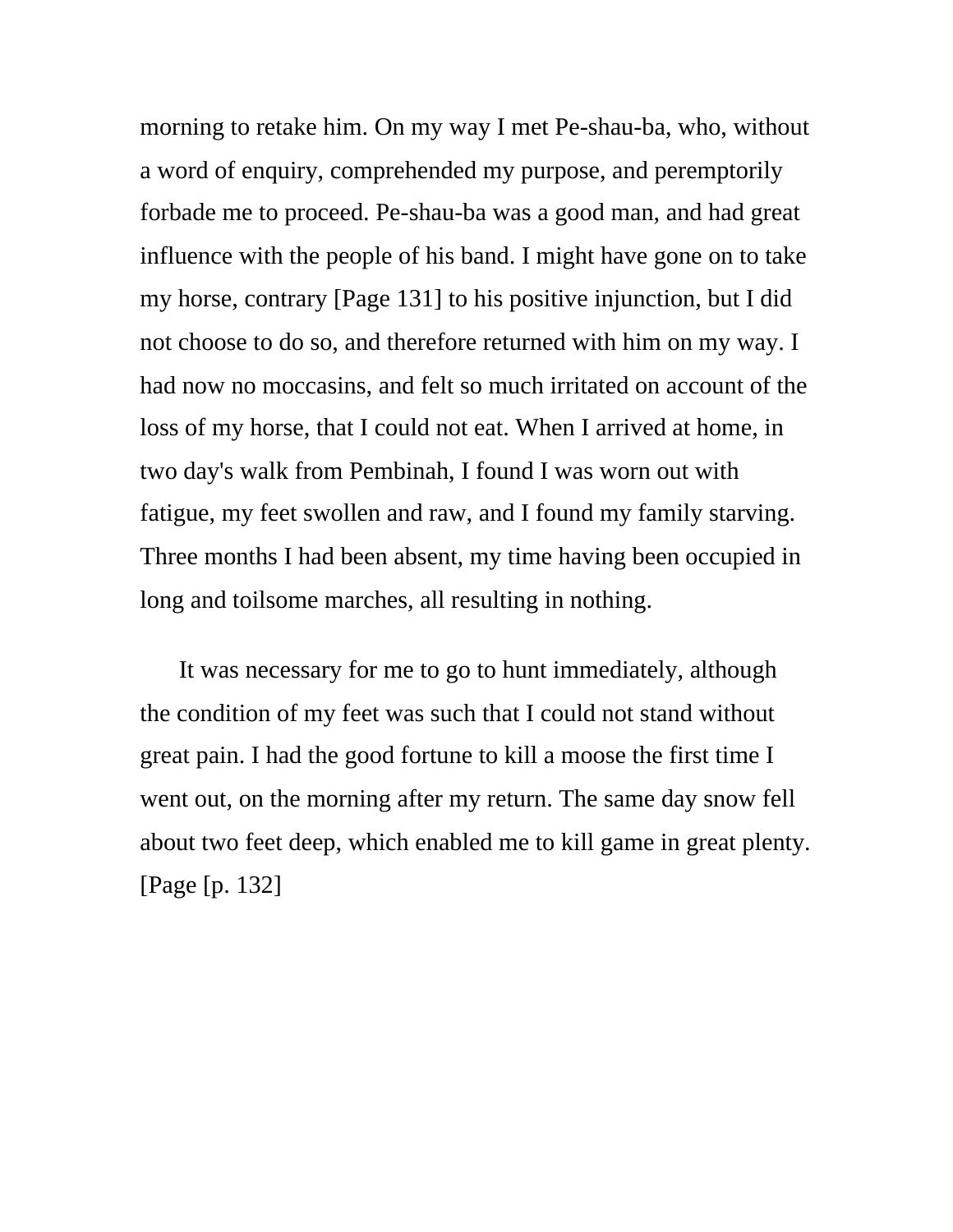morning to retake him. On my way I met Pe-shau-ba, who, without a word of enquiry, comprehended my purpose, and peremptorily forbade me to proceed. Pe-shau-ba was a good man, and had great influence with the people of his band. I might have gone on to take my horse, contrary [Page 131] to his positive injunction, but I did not choose to do so, and therefore returned with him on my way. I had now no moccasins, and felt so much irritated on account of the loss of my horse, that I could not eat. When I arrived at home, in two day's walk from Pembinah, I found I was worn out with fatigue, my feet swollen and raw, and I found my family starving. Three months I had been absent, my time having been occupied in long and toilsome marches, all resulting in nothing.

It was necessary for me to go to hunt immediately, although the condition of my feet was such that I could not stand without great pain. I had the good fortune to kill a moose the first time I went out, on the morning after my return. The same day snow fell about two feet deep, which enabled me to kill game in great plenty. [Page [p. 132]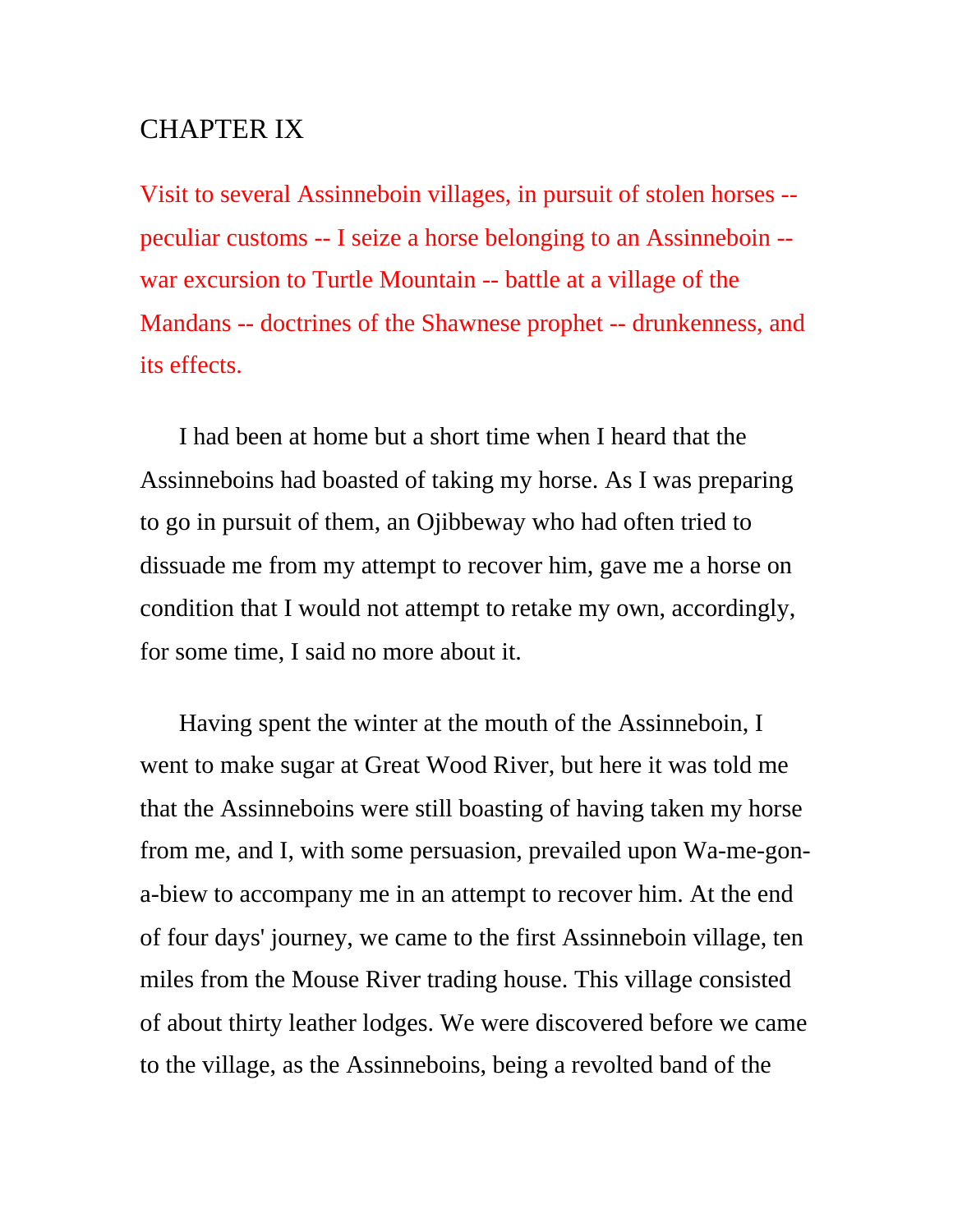## CHAPTER IX

Visit to several Assinneboin villages, in pursuit of stolen horses - peculiar customs -- I seize a horse belonging to an Assinneboin - war excursion to Turtle Mountain -- battle at a village of the Mandans -- doctrines of the Shawnese prophet -- drunkenness, and its effects.

I had been at home but a short time when I heard that the Assinneboins had boasted of taking my horse. As I was preparing to go in pursuit of them, an Ojibbeway who had often tried to dissuade me from my attempt to recover him, gave me a horse on condition that I would not attempt to retake my own, accordingly, for some time, I said no more about it.

Having spent the winter at the mouth of the Assinneboin, I went to make sugar at Great Wood River, but here it was told me that the Assinneboins were still boasting of having taken my horse from me, and I, with some persuasion, prevailed upon Wa-me-gona-biew to accompany me in an attempt to recover him. At the end of four days' journey, we came to the first Assinneboin village, ten miles from the Mouse River trading house. This village consisted of about thirty leather lodges. We were discovered before we came to the village, as the Assinneboins, being a revolted band of the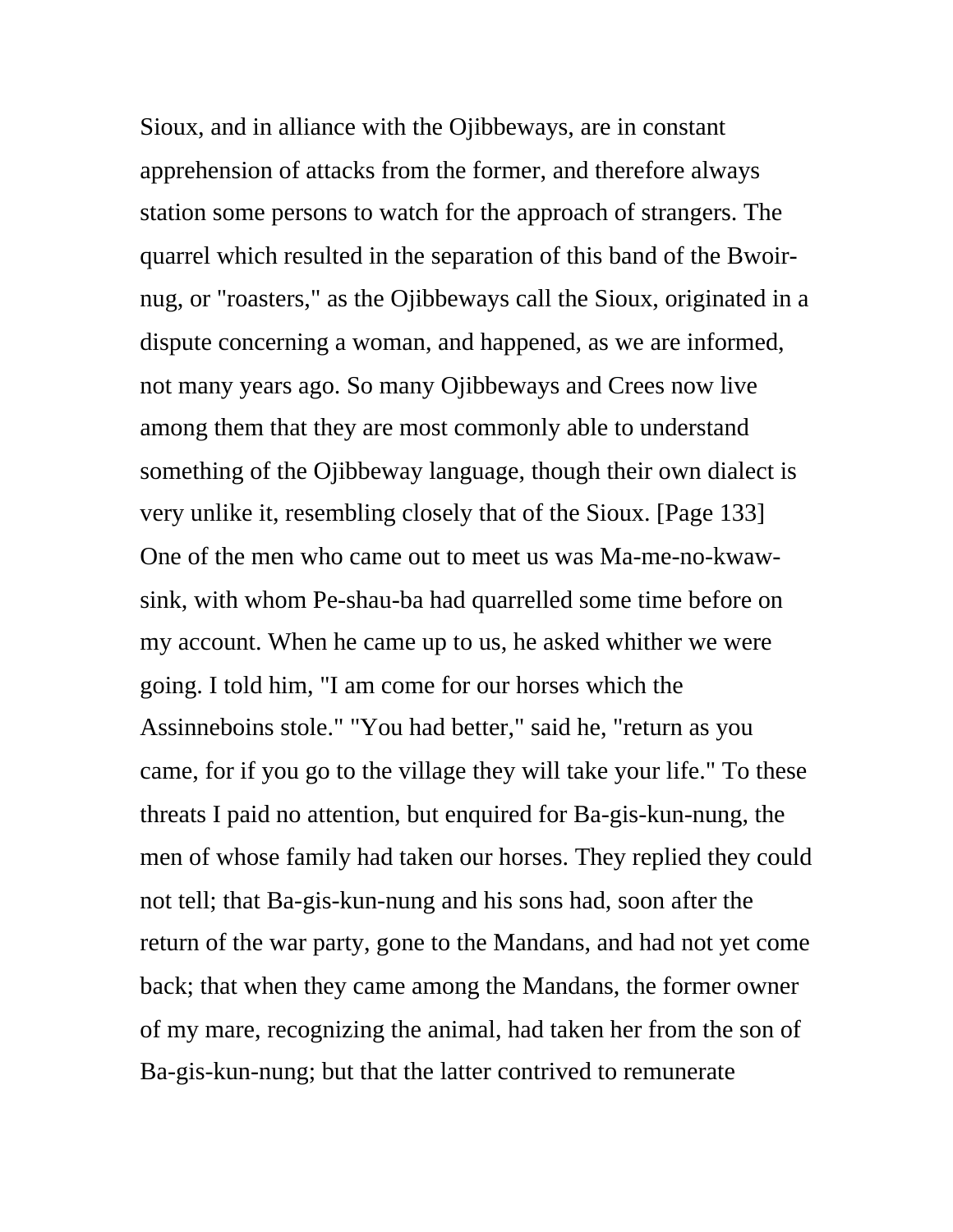Sioux, and in alliance with the Ojibbeways, are in constant apprehension of attacks from the former, and therefore always station some persons to watch for the approach of strangers. The quarrel which resulted in the separation of this band of the Bwoirnug, or "roasters," as the Ojibbeways call the Sioux, originated in a dispute concerning a woman, and happened, as we are informed, not many years ago. So many Ojibbeways and Crees now live among them that they are most commonly able to understand something of the Ojibbeway language, though their own dialect is very unlike it, resembling closely that of the Sioux. [Page 133] One of the men who came out to meet us was Ma-me-no-kwawsink, with whom Pe-shau-ba had quarrelled some time before on my account. When he came up to us, he asked whither we were going. I told him, "I am come for our horses which the Assinneboins stole." "You had better," said he, "return as you came, for if you go to the village they will take your life." To these threats I paid no attention, but enquired for Ba-gis-kun-nung, the men of whose family had taken our horses. They replied they could not tell; that Ba-gis-kun-nung and his sons had, soon after the return of the war party, gone to the Mandans, and had not yet come back; that when they came among the Mandans, the former owner of my mare, recognizing the animal, had taken her from the son of Ba-gis-kun-nung; but that the latter contrived to remunerate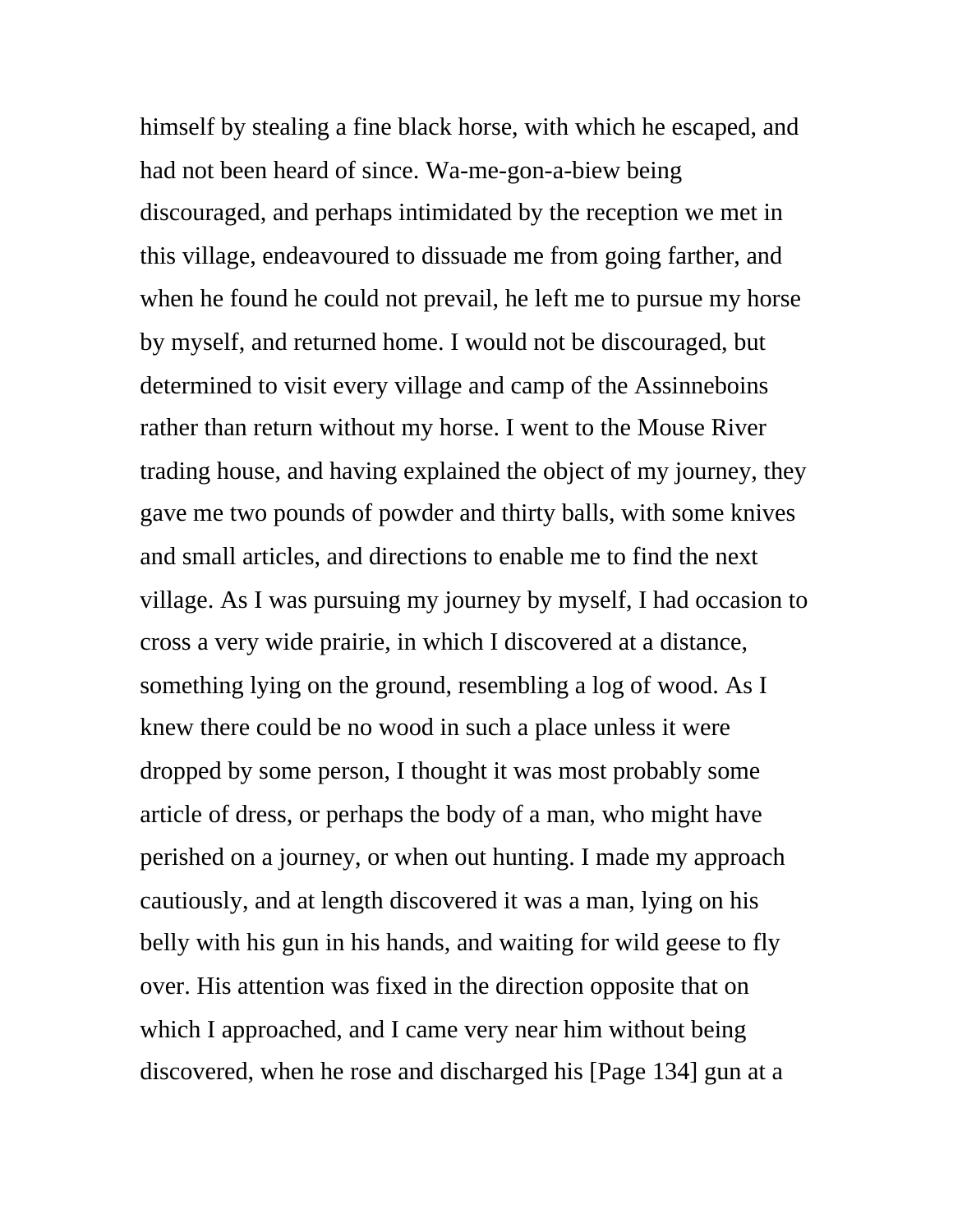himself by stealing a fine black horse, with which he escaped, and had not been heard of since. Wa-me-gon-a-biew being discouraged, and perhaps intimidated by the reception we met in this village, endeavoured to dissuade me from going farther, and when he found he could not prevail, he left me to pursue my horse by myself, and returned home. I would not be discouraged, but determined to visit every village and camp of the Assinneboins rather than return without my horse. I went to the Mouse River trading house, and having explained the object of my journey, they gave me two pounds of powder and thirty balls, with some knives and small articles, and directions to enable me to find the next village. As I was pursuing my journey by myself, I had occasion to cross a very wide prairie, in which I discovered at a distance, something lying on the ground, resembling a log of wood. As I knew there could be no wood in such a place unless it were dropped by some person, I thought it was most probably some article of dress, or perhaps the body of a man, who might have perished on a journey, or when out hunting. I made my approach cautiously, and at length discovered it was a man, lying on his belly with his gun in his hands, and waiting for wild geese to fly over. His attention was fixed in the direction opposite that on which I approached, and I came very near him without being discovered, when he rose and discharged his [Page 134] gun at a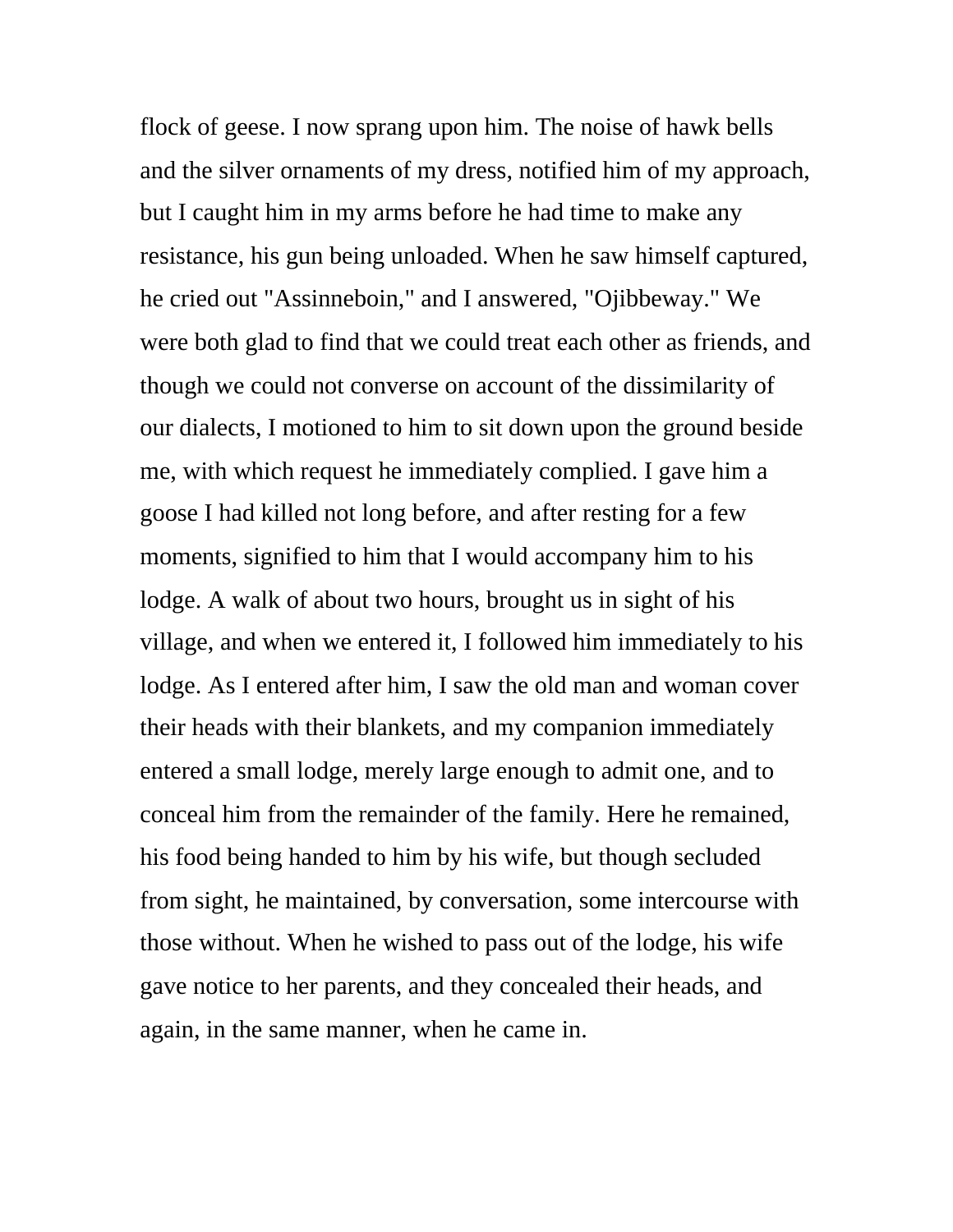flock of geese. I now sprang upon him. The noise of hawk bells and the silver ornaments of my dress, notified him of my approach, but I caught him in my arms before he had time to make any resistance, his gun being unloaded. When he saw himself captured, he cried out "Assinneboin," and I answered, "Ojibbeway." We were both glad to find that we could treat each other as friends, and though we could not converse on account of the dissimilarity of our dialects, I motioned to him to sit down upon the ground beside me, with which request he immediately complied. I gave him a goose I had killed not long before, and after resting for a few moments, signified to him that I would accompany him to his lodge. A walk of about two hours, brought us in sight of his village, and when we entered it, I followed him immediately to his lodge. As I entered after him, I saw the old man and woman cover their heads with their blankets, and my companion immediately entered a small lodge, merely large enough to admit one, and to conceal him from the remainder of the family. Here he remained, his food being handed to him by his wife, but though secluded from sight, he maintained, by conversation, some intercourse with those without. When he wished to pass out of the lodge, his wife gave notice to her parents, and they concealed their heads, and again, in the same manner, when he came in.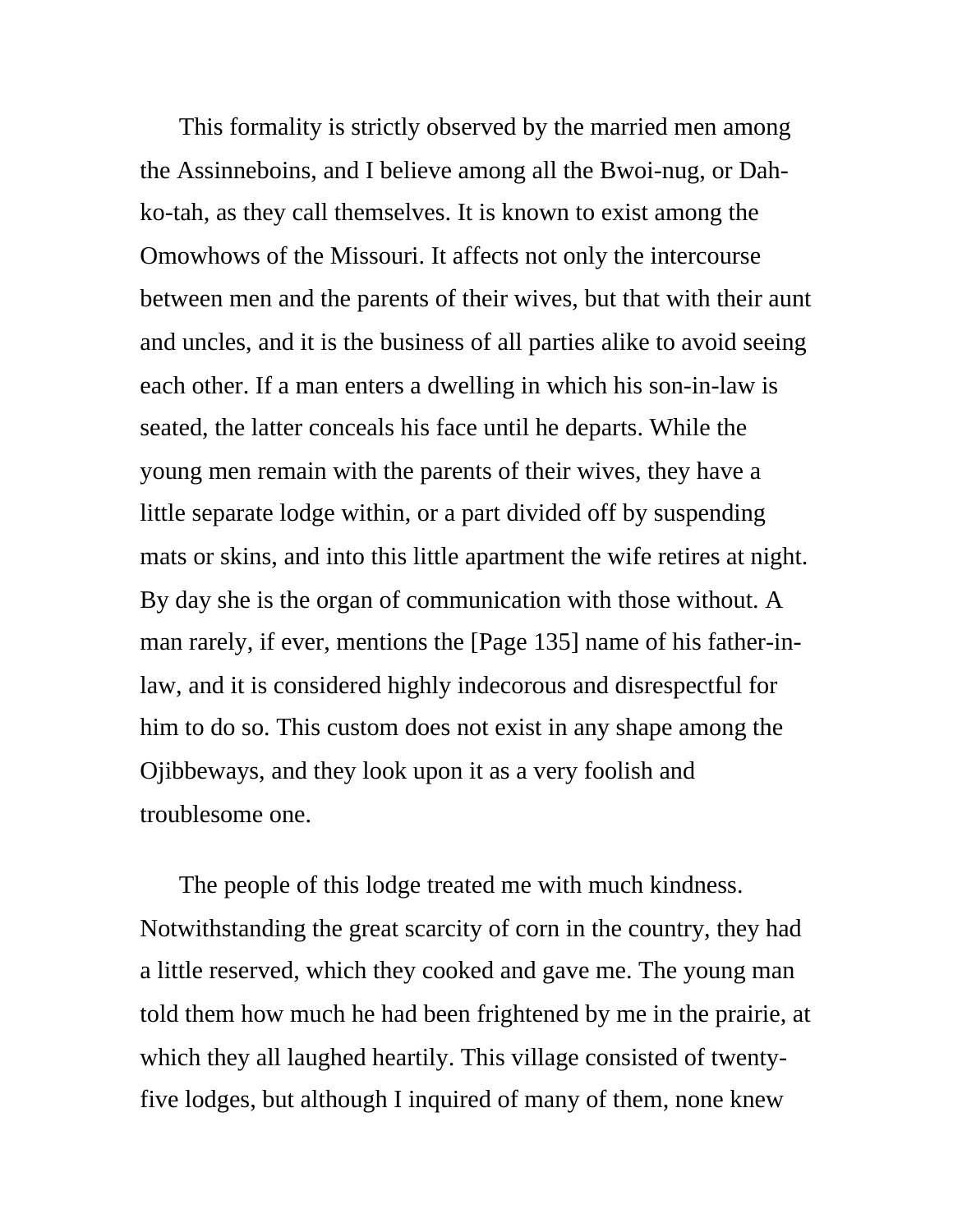This formality is strictly observed by the married men among the Assinneboins, and I believe among all the Bwoi-nug, or Dahko-tah, as they call themselves. It is known to exist among the Omowhows of the Missouri. It affects not only the intercourse between men and the parents of their wives, but that with their aunt and uncles, and it is the business of all parties alike to avoid seeing each other. If a man enters a dwelling in which his son-in-law is seated, the latter conceals his face until he departs. While the young men remain with the parents of their wives, they have a little separate lodge within, or a part divided off by suspending mats or skins, and into this little apartment the wife retires at night. By day she is the organ of communication with those without. A man rarely, if ever, mentions the [Page 135] name of his father-inlaw, and it is considered highly indecorous and disrespectful for him to do so. This custom does not exist in any shape among the Ojibbeways, and they look upon it as a very foolish and troublesome one.

The people of this lodge treated me with much kindness. Notwithstanding the great scarcity of corn in the country, they had a little reserved, which they cooked and gave me. The young man told them how much he had been frightened by me in the prairie, at which they all laughed heartily. This village consisted of twentyfive lodges, but although I inquired of many of them, none knew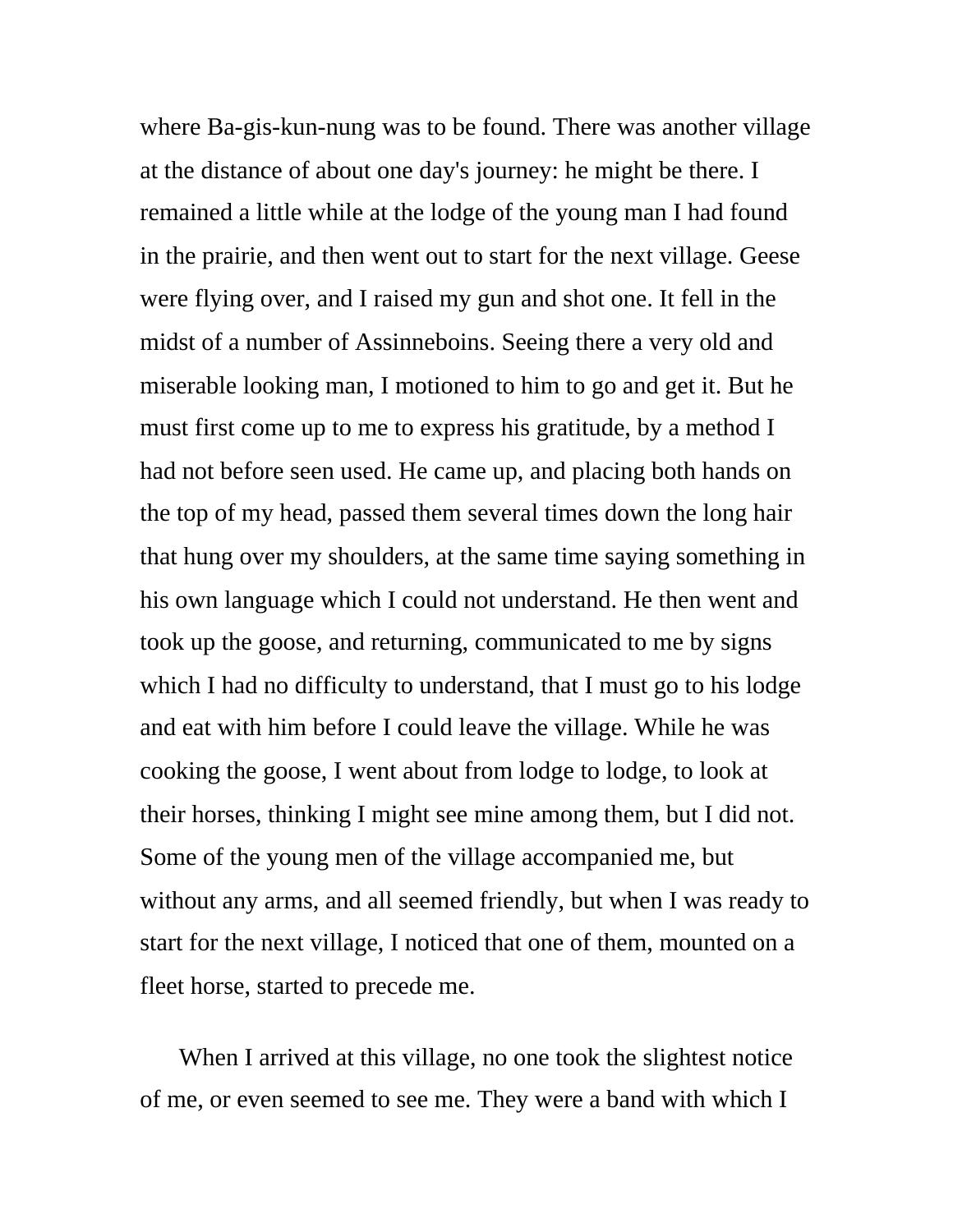where Ba-gis-kun-nung was to be found. There was another village at the distance of about one day's journey: he might be there. I remained a little while at the lodge of the young man I had found in the prairie, and then went out to start for the next village. Geese were flying over, and I raised my gun and shot one. It fell in the midst of a number of Assinneboins. Seeing there a very old and miserable looking man, I motioned to him to go and get it. But he must first come up to me to express his gratitude, by a method I had not before seen used. He came up, and placing both hands on the top of my head, passed them several times down the long hair that hung over my shoulders, at the same time saying something in his own language which I could not understand. He then went and took up the goose, and returning, communicated to me by signs which I had no difficulty to understand, that I must go to his lodge and eat with him before I could leave the village. While he was cooking the goose, I went about from lodge to lodge, to look at their horses, thinking I might see mine among them, but I did not. Some of the young men of the village accompanied me, but without any arms, and all seemed friendly, but when I was ready to start for the next village, I noticed that one of them, mounted on a fleet horse, started to precede me.

When I arrived at this village, no one took the slightest notice of me, or even seemed to see me. They were a band with which I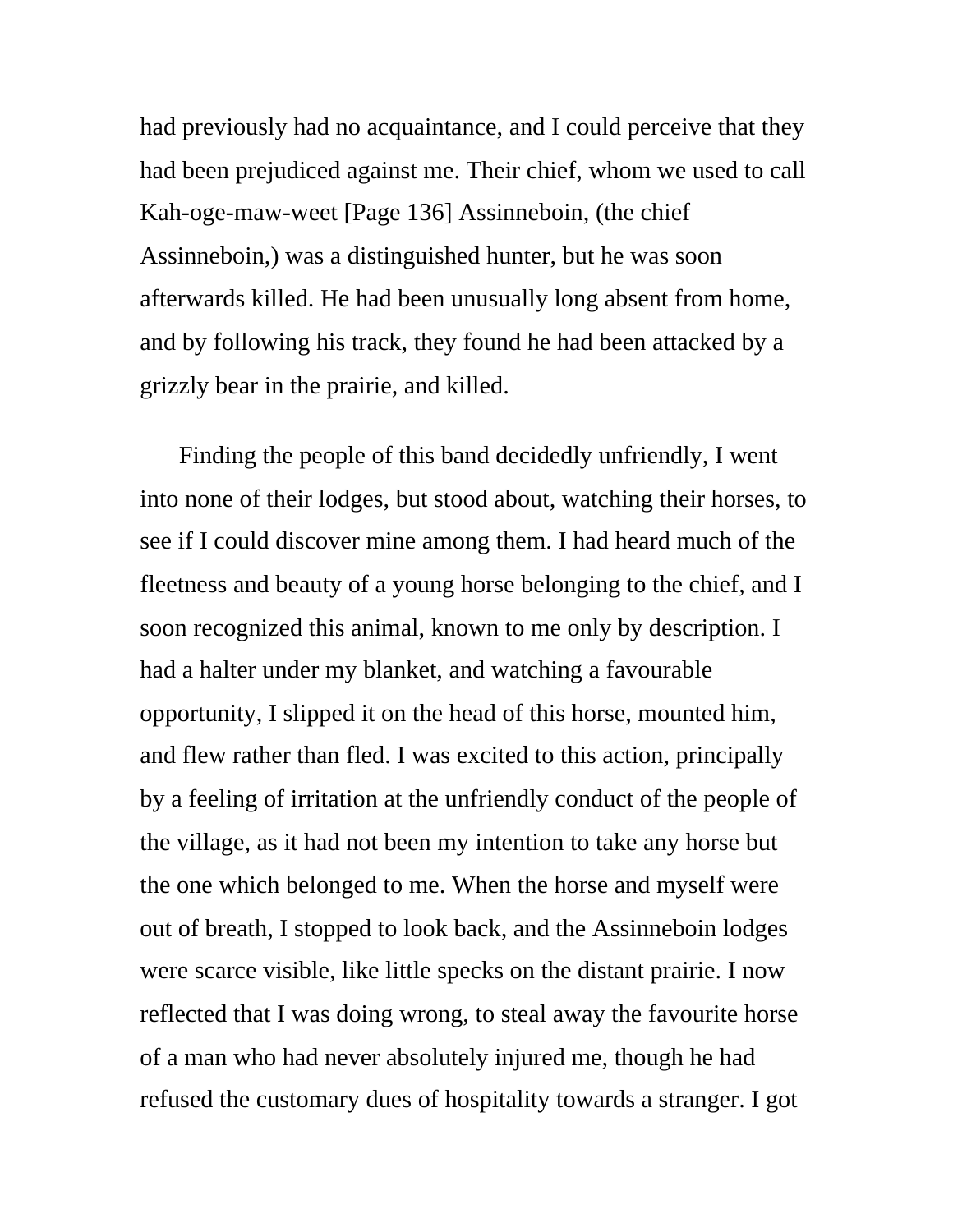had previously had no acquaintance, and I could perceive that they had been prejudiced against me. Their chief, whom we used to call Kah-oge-maw-weet [Page 136] Assinneboin, (the chief Assinneboin,) was a distinguished hunter, but he was soon afterwards killed. He had been unusually long absent from home, and by following his track, they found he had been attacked by a grizzly bear in the prairie, and killed.

Finding the people of this band decidedly unfriendly, I went into none of their lodges, but stood about, watching their horses, to see if I could discover mine among them. I had heard much of the fleetness and beauty of a young horse belonging to the chief, and I soon recognized this animal, known to me only by description. I had a halter under my blanket, and watching a favourable opportunity, I slipped it on the head of this horse, mounted him, and flew rather than fled. I was excited to this action, principally by a feeling of irritation at the unfriendly conduct of the people of the village, as it had not been my intention to take any horse but the one which belonged to me. When the horse and myself were out of breath, I stopped to look back, and the Assinneboin lodges were scarce visible, like little specks on the distant prairie. I now reflected that I was doing wrong, to steal away the favourite horse of a man who had never absolutely injured me, though he had refused the customary dues of hospitality towards a stranger. I got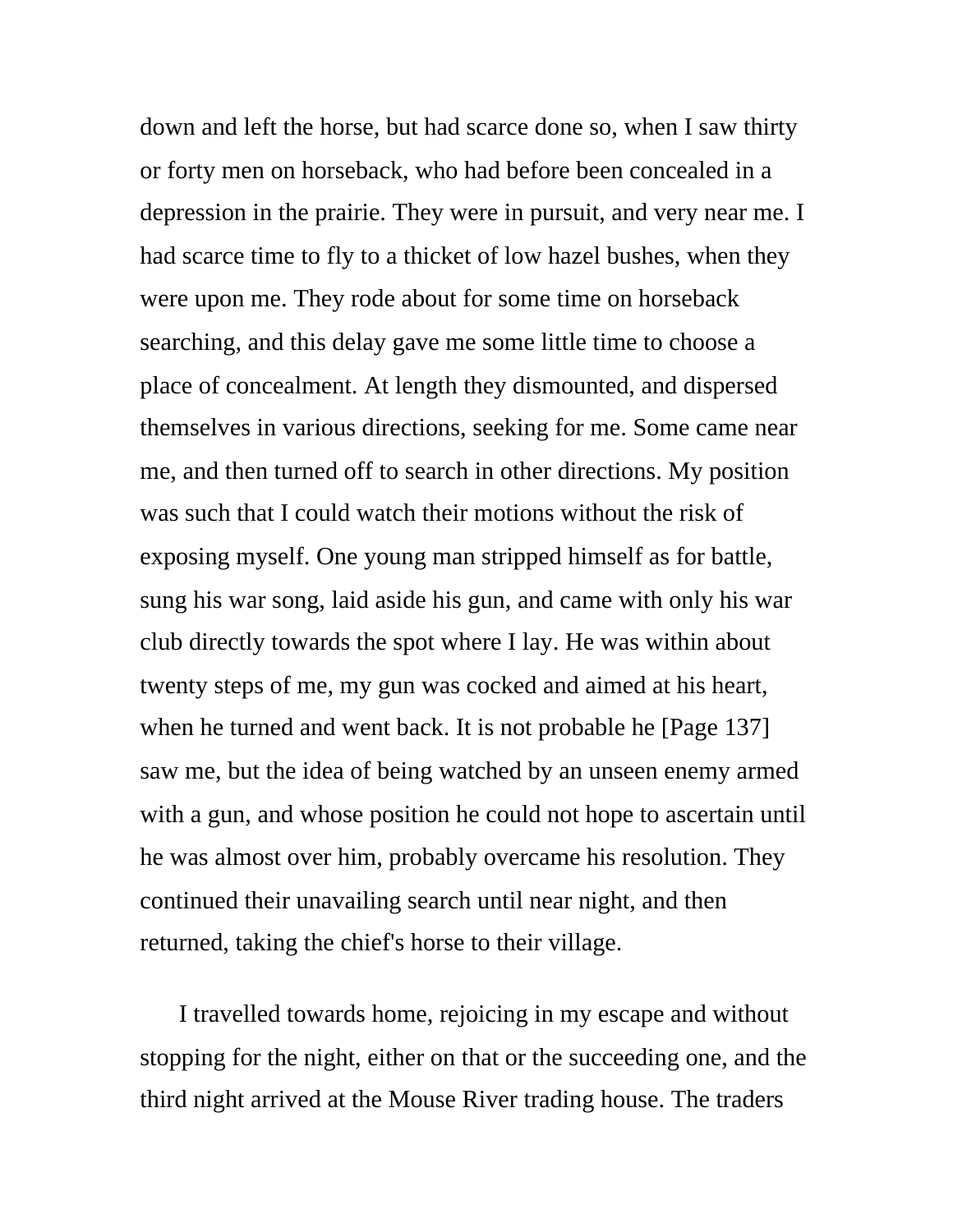down and left the horse, but had scarce done so, when I saw thirty or forty men on horseback, who had before been concealed in a depression in the prairie. They were in pursuit, and very near me. I had scarce time to fly to a thicket of low hazel bushes, when they were upon me. They rode about for some time on horseback searching, and this delay gave me some little time to choose a place of concealment. At length they dismounted, and dispersed themselves in various directions, seeking for me. Some came near me, and then turned off to search in other directions. My position was such that I could watch their motions without the risk of exposing myself. One young man stripped himself as for battle, sung his war song, laid aside his gun, and came with only his war club directly towards the spot where I lay. He was within about twenty steps of me, my gun was cocked and aimed at his heart, when he turned and went back. It is not probable he [Page 137] saw me, but the idea of being watched by an unseen enemy armed with a gun, and whose position he could not hope to ascertain until he was almost over him, probably overcame his resolution. They continued their unavailing search until near night, and then returned, taking the chief's horse to their village.

I travelled towards home, rejoicing in my escape and without stopping for the night, either on that or the succeeding one, and the third night arrived at the Mouse River trading house. The traders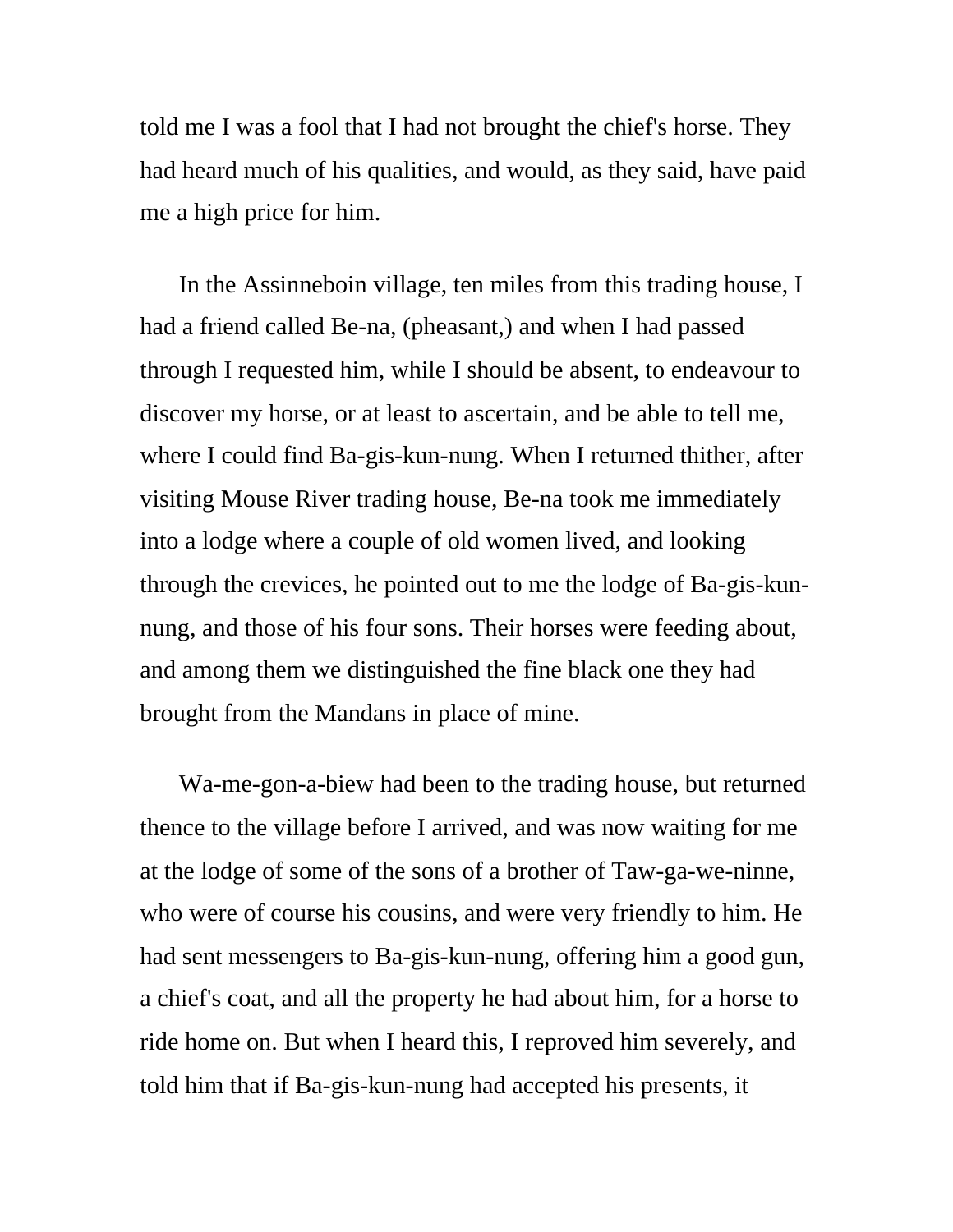told me I was a fool that I had not brought the chief's horse. They had heard much of his qualities, and would, as they said, have paid me a high price for him.

In the Assinneboin village, ten miles from this trading house, I had a friend called Be-na, (pheasant,) and when I had passed through I requested him, while I should be absent, to endeavour to discover my horse, or at least to ascertain, and be able to tell me, where I could find Ba-gis-kun-nung. When I returned thither, after visiting Mouse River trading house, Be-na took me immediately into a lodge where a couple of old women lived, and looking through the crevices, he pointed out to me the lodge of Ba-gis-kunnung, and those of his four sons. Their horses were feeding about, and among them we distinguished the fine black one they had brought from the Mandans in place of mine.

Wa-me-gon-a-biew had been to the trading house, but returned thence to the village before I arrived, and was now waiting for me at the lodge of some of the sons of a brother of Taw-ga-we-ninne, who were of course his cousins, and were very friendly to him. He had sent messengers to Ba-gis-kun-nung, offering him a good gun, a chief's coat, and all the property he had about him, for a horse to ride home on. But when I heard this, I reproved him severely, and told him that if Ba-gis-kun-nung had accepted his presents, it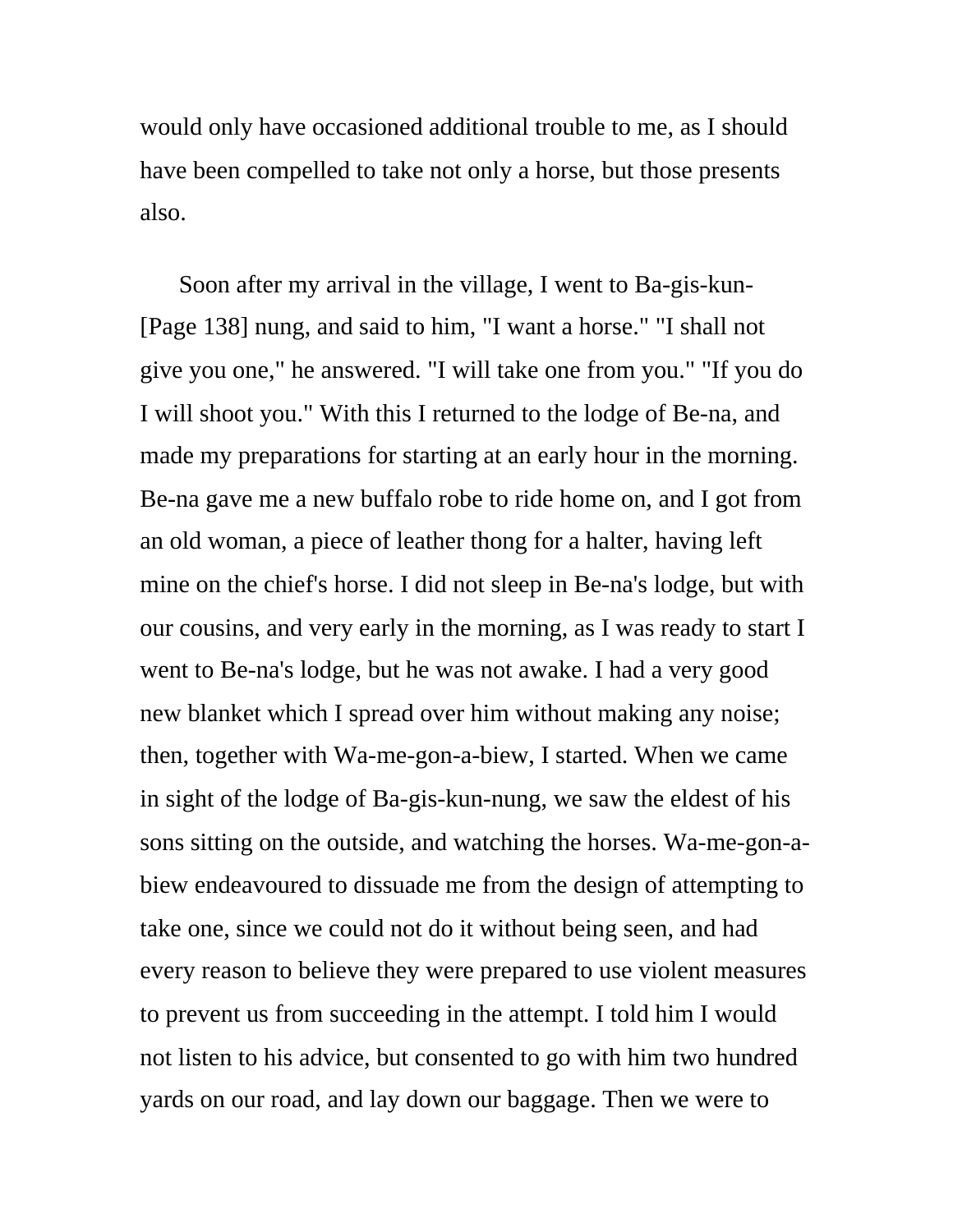would only have occasioned additional trouble to me, as I should have been compelled to take not only a horse, but those presents also.

Soon after my arrival in the village, I went to Ba-gis-kun- [Page 138] nung, and said to him, "I want a horse." "I shall not give you one," he answered. "I will take one from you." "If you do I will shoot you." With this I returned to the lodge of Be-na, and made my preparations for starting at an early hour in the morning. Be-na gave me a new buffalo robe to ride home on, and I got from an old woman, a piece of leather thong for a halter, having left mine on the chief's horse. I did not sleep in Be-na's lodge, but with our cousins, and very early in the morning, as I was ready to start I went to Be-na's lodge, but he was not awake. I had a very good new blanket which I spread over him without making any noise; then, together with Wa-me-gon-a-biew, I started. When we came in sight of the lodge of Ba-gis-kun-nung, we saw the eldest of his sons sitting on the outside, and watching the horses. Wa-me-gon-abiew endeavoured to dissuade me from the design of attempting to take one, since we could not do it without being seen, and had every reason to believe they were prepared to use violent measures to prevent us from succeeding in the attempt. I told him I would not listen to his advice, but consented to go with him two hundred yards on our road, and lay down our baggage. Then we were to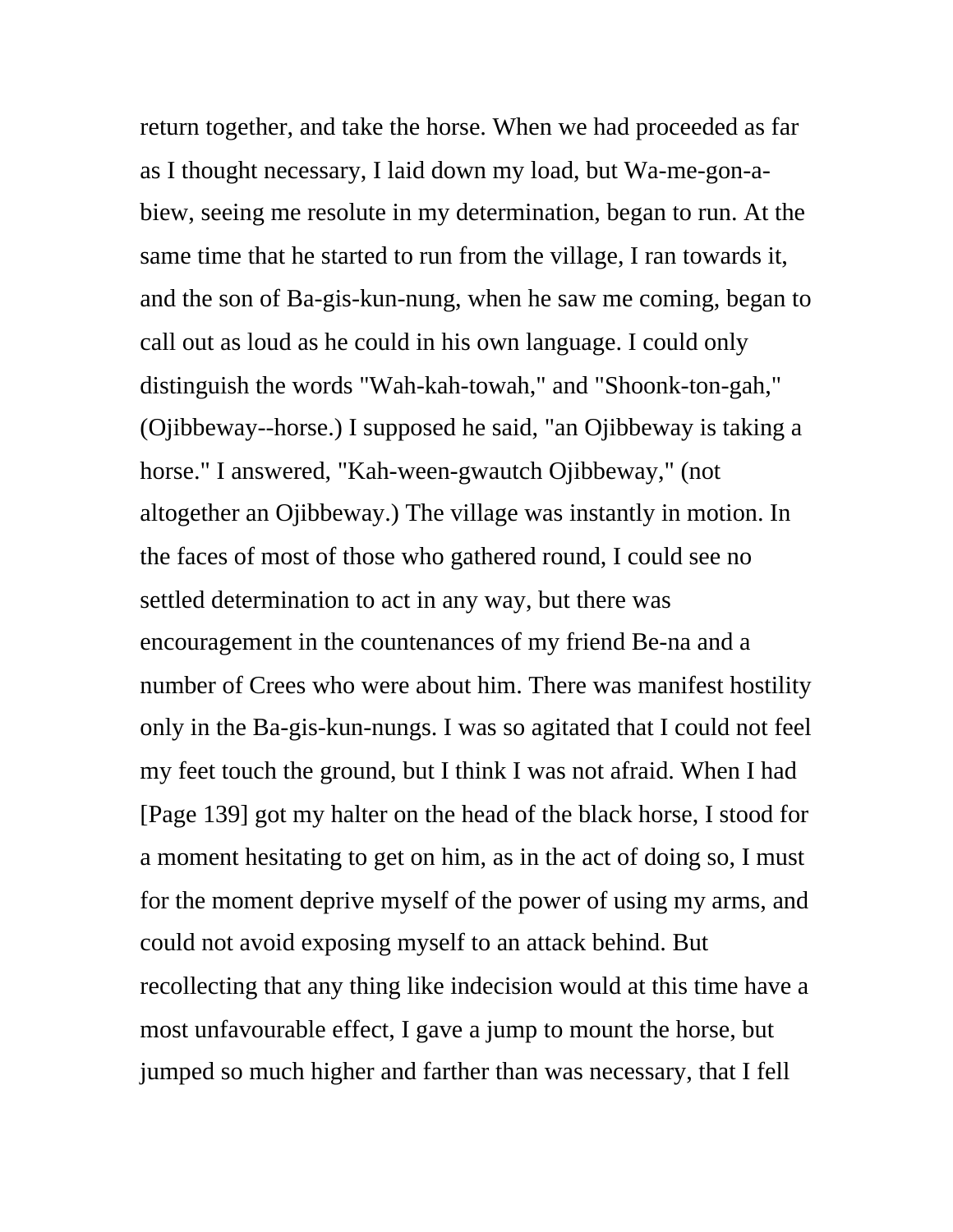return together, and take the horse. When we had proceeded as far as I thought necessary, I laid down my load, but Wa-me-gon-abiew, seeing me resolute in my determination, began to run. At the same time that he started to run from the village, I ran towards it, and the son of Ba-gis-kun-nung, when he saw me coming, began to call out as loud as he could in his own language. I could only distinguish the words "Wah-kah-towah," and "Shoonk-ton-gah," (Ojibbeway--horse.) I supposed he said, "an Ojibbeway is taking a horse." I answered, "Kah-ween-gwautch Ojibbeway," (not altogether an Ojibbeway.) The village was instantly in motion. In the faces of most of those who gathered round, I could see no settled determination to act in any way, but there was encouragement in the countenances of my friend Be-na and a number of Crees who were about him. There was manifest hostility only in the Ba-gis-kun-nungs. I was so agitated that I could not feel my feet touch the ground, but I think I was not afraid. When I had [Page 139] got my halter on the head of the black horse, I stood for a moment hesitating to get on him, as in the act of doing so, I must for the moment deprive myself of the power of using my arms, and could not avoid exposing myself to an attack behind. But recollecting that any thing like indecision would at this time have a most unfavourable effect, I gave a jump to mount the horse, but jumped so much higher and farther than was necessary, that I fell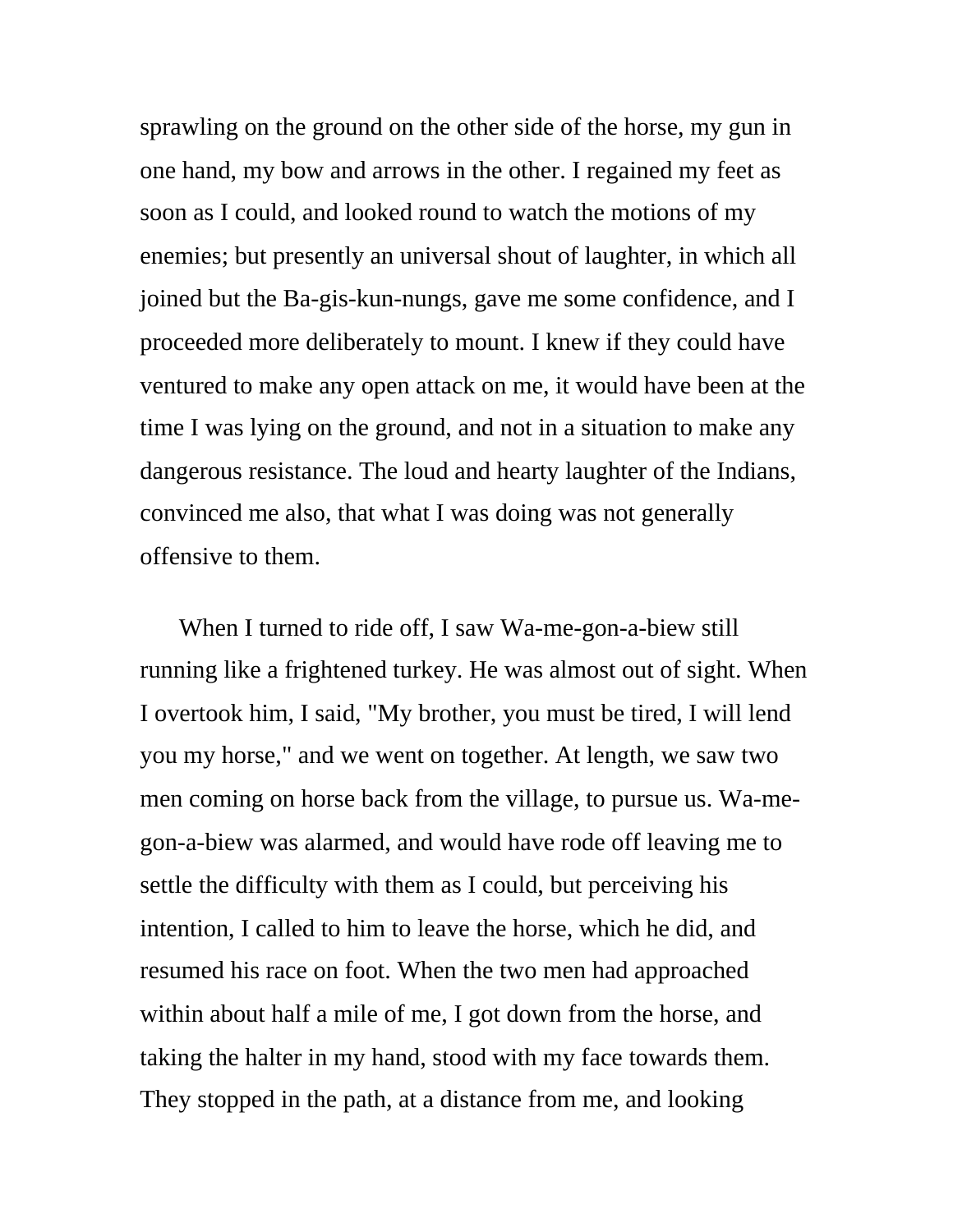sprawling on the ground on the other side of the horse, my gun in one hand, my bow and arrows in the other. I regained my feet as soon as I could, and looked round to watch the motions of my enemies; but presently an universal shout of laughter, in which all joined but the Ba-gis-kun-nungs, gave me some confidence, and I proceeded more deliberately to mount. I knew if they could have ventured to make any open attack on me, it would have been at the time I was lying on the ground, and not in a situation to make any dangerous resistance. The loud and hearty laughter of the Indians, convinced me also, that what I was doing was not generally offensive to them.

When I turned to ride off, I saw Wa-me-gon-a-biew still running like a frightened turkey. He was almost out of sight. When I overtook him, I said, "My brother, you must be tired, I will lend you my horse," and we went on together. At length, we saw two men coming on horse back from the village, to pursue us. Wa-megon-a-biew was alarmed, and would have rode off leaving me to settle the difficulty with them as I could, but perceiving his intention, I called to him to leave the horse, which he did, and resumed his race on foot. When the two men had approached within about half a mile of me, I got down from the horse, and taking the halter in my hand, stood with my face towards them. They stopped in the path, at a distance from me, and looking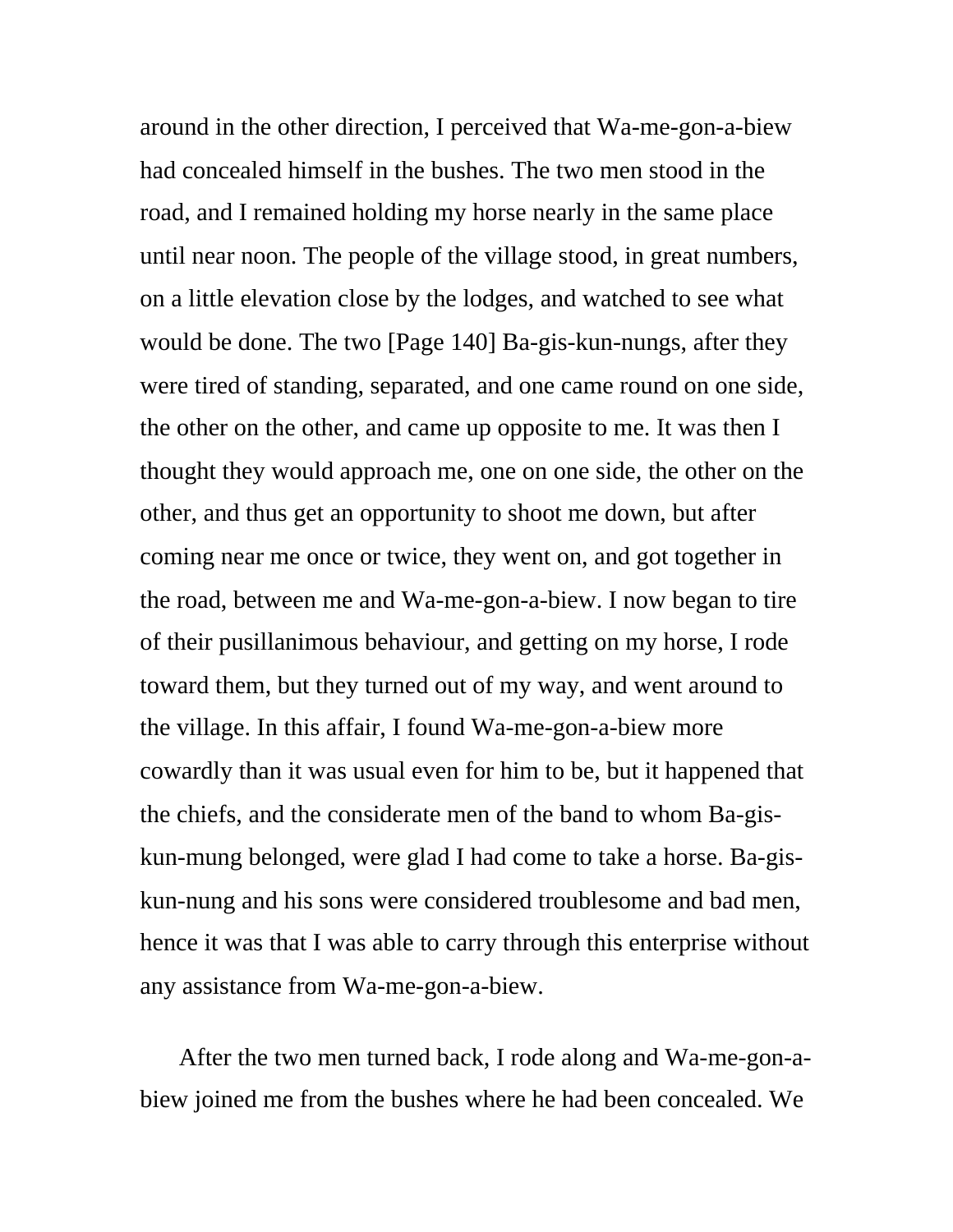around in the other direction, I perceived that Wa-me-gon-a-biew had concealed himself in the bushes. The two men stood in the road, and I remained holding my horse nearly in the same place until near noon. The people of the village stood, in great numbers, on a little elevation close by the lodges, and watched to see what would be done. The two [Page 140] Ba-gis-kun-nungs, after they were tired of standing, separated, and one came round on one side, the other on the other, and came up opposite to me. It was then I thought they would approach me, one on one side, the other on the other, and thus get an opportunity to shoot me down, but after coming near me once or twice, they went on, and got together in the road, between me and Wa-me-gon-a-biew. I now began to tire of their pusillanimous behaviour, and getting on my horse, I rode toward them, but they turned out of my way, and went around to the village. In this affair, I found Wa-me-gon-a-biew more cowardly than it was usual even for him to be, but it happened that the chiefs, and the considerate men of the band to whom Ba-giskun-mung belonged, were glad I had come to take a horse. Ba-giskun-nung and his sons were considered troublesome and bad men, hence it was that I was able to carry through this enterprise without any assistance from Wa-me-gon-a-biew.

After the two men turned back, I rode along and Wa-me-gon-abiew joined me from the bushes where he had been concealed. We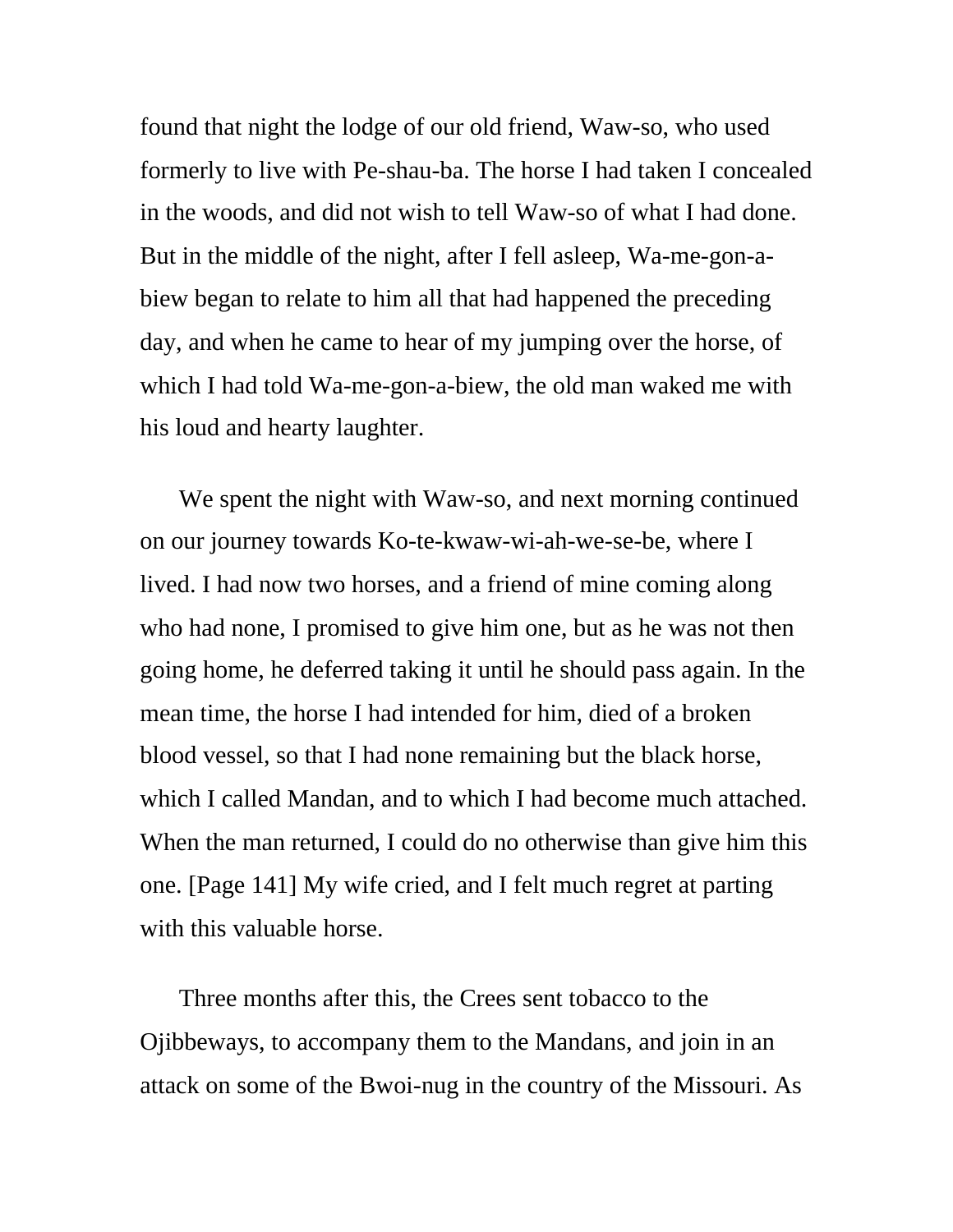found that night the lodge of our old friend, Waw-so, who used formerly to live with Pe-shau-ba. The horse I had taken I concealed in the woods, and did not wish to tell Waw-so of what I had done. But in the middle of the night, after I fell asleep, Wa-me-gon-abiew began to relate to him all that had happened the preceding day, and when he came to hear of my jumping over the horse, of which I had told Wa-me-gon-a-biew, the old man waked me with his loud and hearty laughter.

We spent the night with Waw-so, and next morning continued on our journey towards Ko-te-kwaw-wi-ah-we-se-be, where I lived. I had now two horses, and a friend of mine coming along who had none, I promised to give him one, but as he was not then going home, he deferred taking it until he should pass again. In the mean time, the horse I had intended for him, died of a broken blood vessel, so that I had none remaining but the black horse, which I called Mandan, and to which I had become much attached. When the man returned, I could do no otherwise than give him this one. [Page 141] My wife cried, and I felt much regret at parting with this valuable horse.

Three months after this, the Crees sent tobacco to the Ojibbeways, to accompany them to the Mandans, and join in an attack on some of the Bwoi-nug in the country of the Missouri. As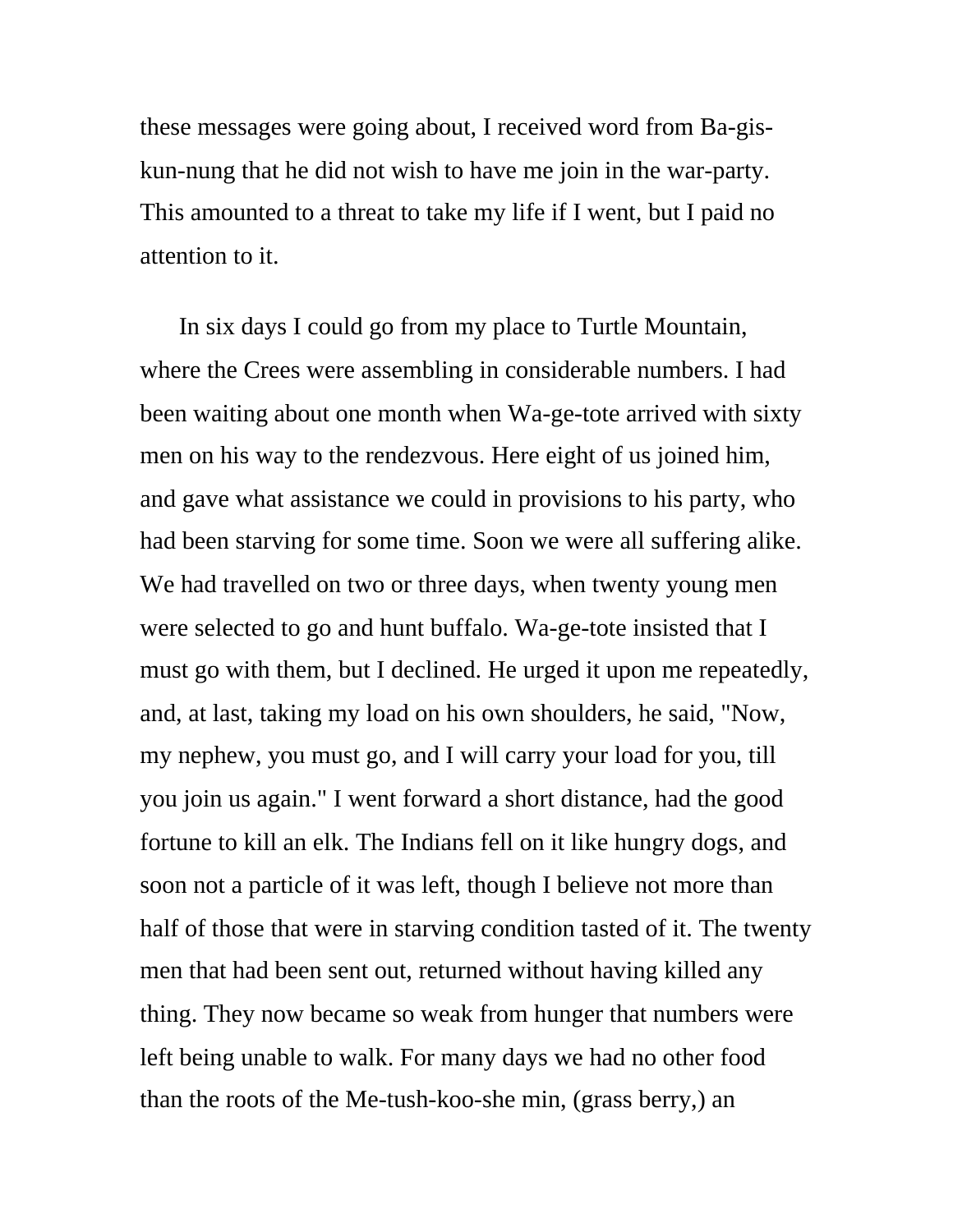these messages were going about, I received word from Ba-giskun-nung that he did not wish to have me join in the war-party. This amounted to a threat to take my life if I went, but I paid no attention to it.

In six days I could go from my place to Turtle Mountain, where the Crees were assembling in considerable numbers. I had been waiting about one month when Wa-ge-tote arrived with sixty men on his way to the rendezvous. Here eight of us joined him, and gave what assistance we could in provisions to his party, who had been starving for some time. Soon we were all suffering alike. We had travelled on two or three days, when twenty young men were selected to go and hunt buffalo. Wa-ge-tote insisted that I must go with them, but I declined. He urged it upon me repeatedly, and, at last, taking my load on his own shoulders, he said, "Now, my nephew, you must go, and I will carry your load for you, till you join us again." I went forward a short distance, had the good fortune to kill an elk. The Indians fell on it like hungry dogs, and soon not a particle of it was left, though I believe not more than half of those that were in starving condition tasted of it. The twenty men that had been sent out, returned without having killed any thing. They now became so weak from hunger that numbers were left being unable to walk. For many days we had no other food than the roots of the Me-tush-koo-she min, (grass berry,) an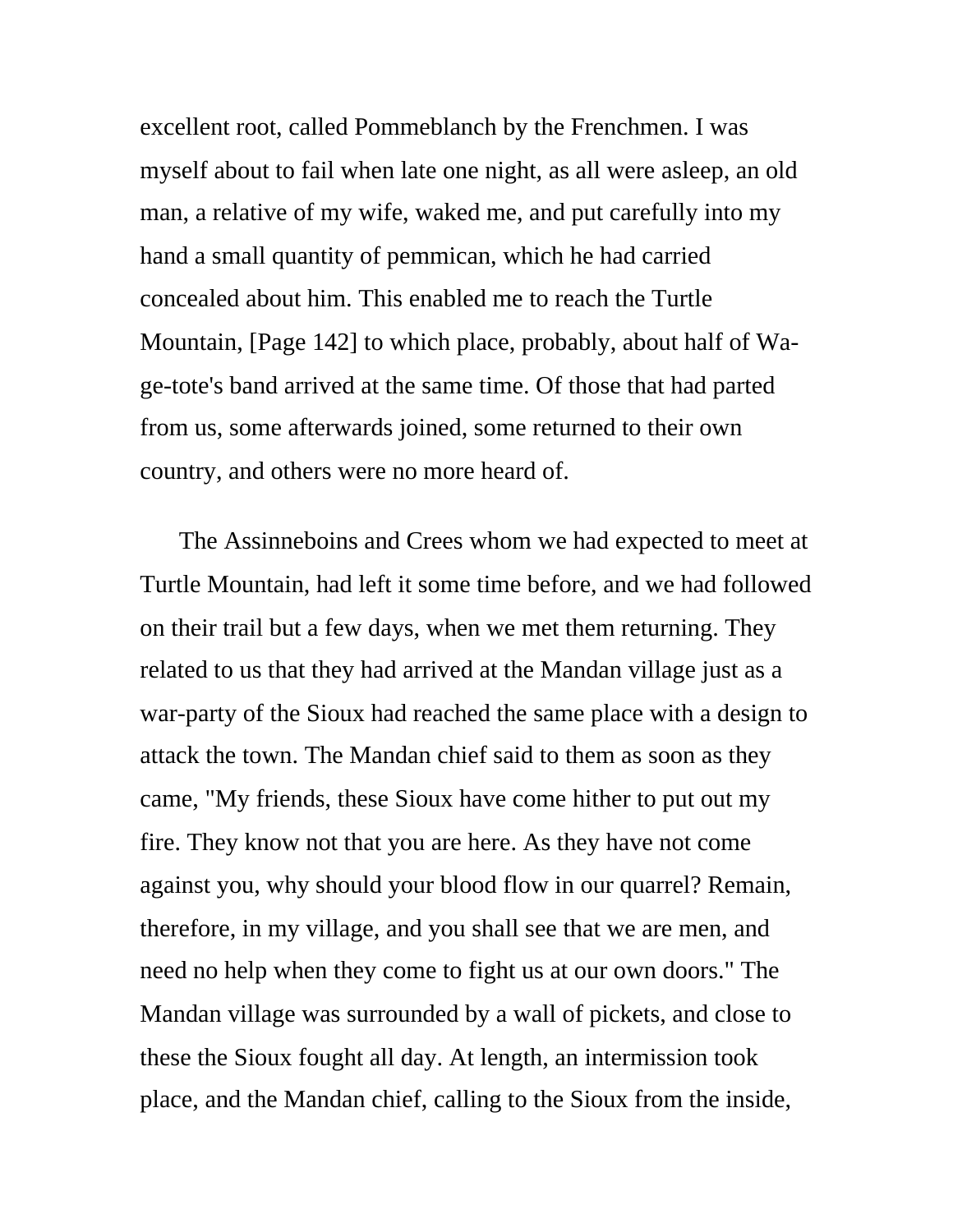excellent root, called Pommeblanch by the Frenchmen. I was myself about to fail when late one night, as all were asleep, an old man, a relative of my wife, waked me, and put carefully into my hand a small quantity of pemmican, which he had carried concealed about him. This enabled me to reach the Turtle Mountain, [Page 142] to which place, probably, about half of Wage-tote's band arrived at the same time. Of those that had parted from us, some afterwards joined, some returned to their own country, and others were no more heard of.

The Assinneboins and Crees whom we had expected to meet at Turtle Mountain, had left it some time before, and we had followed on their trail but a few days, when we met them returning. They related to us that they had arrived at the Mandan village just as a war-party of the Sioux had reached the same place with a design to attack the town. The Mandan chief said to them as soon as they came, "My friends, these Sioux have come hither to put out my fire. They know not that you are here. As they have not come against you, why should your blood flow in our quarrel? Remain, therefore, in my village, and you shall see that we are men, and need no help when they come to fight us at our own doors." The Mandan village was surrounded by a wall of pickets, and close to these the Sioux fought all day. At length, an intermission took place, and the Mandan chief, calling to the Sioux from the inside,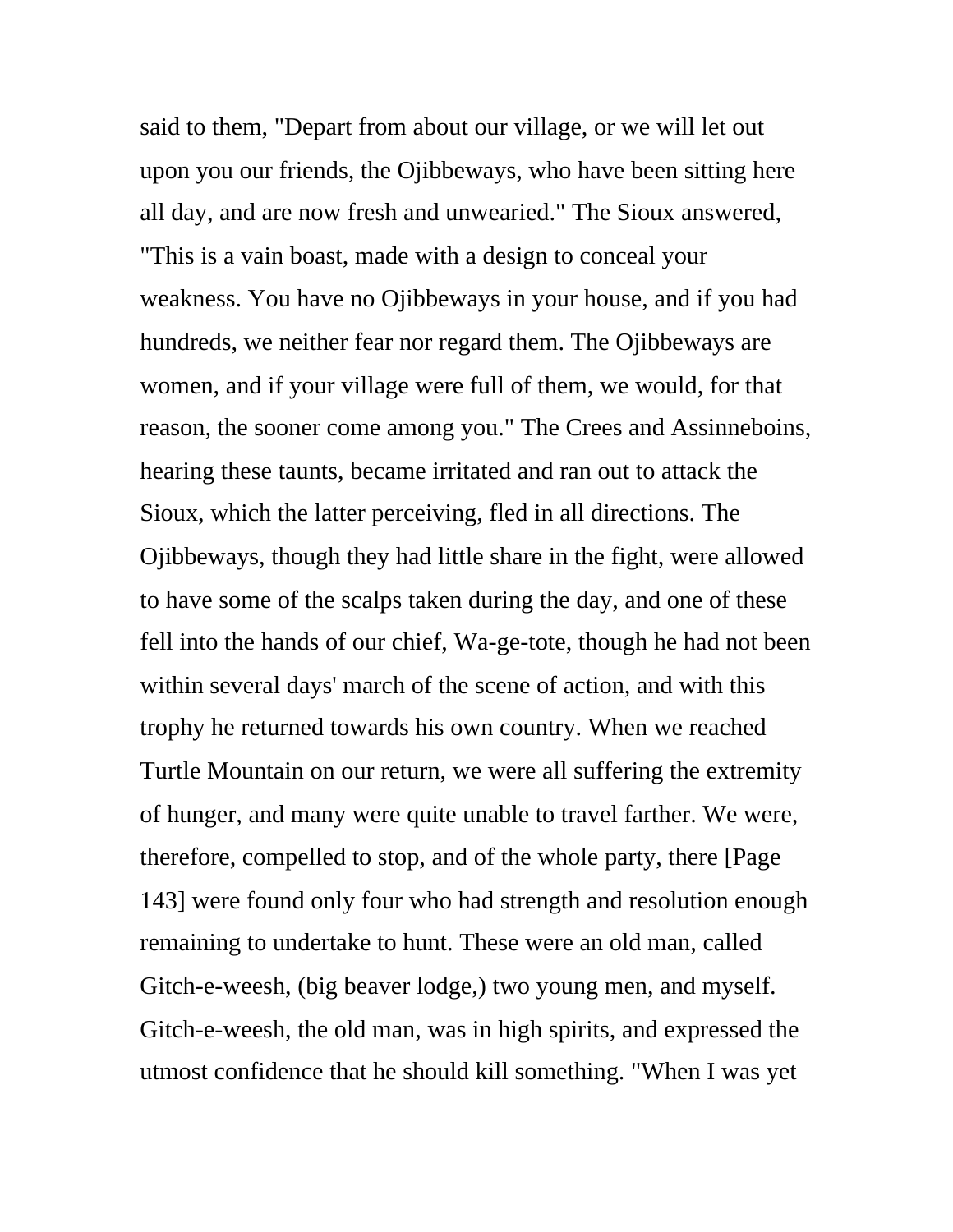said to them, "Depart from about our village, or we will let out upon you our friends, the Ojibbeways, who have been sitting here all day, and are now fresh and unwearied." The Sioux answered, "This is a vain boast, made with a design to conceal your weakness. You have no Ojibbeways in your house, and if you had hundreds, we neither fear nor regard them. The Ojibbeways are women, and if your village were full of them, we would, for that reason, the sooner come among you." The Crees and Assinneboins, hearing these taunts, became irritated and ran out to attack the Sioux, which the latter perceiving, fled in all directions. The Ojibbeways, though they had little share in the fight, were allowed to have some of the scalps taken during the day, and one of these fell into the hands of our chief, Wa-ge-tote, though he had not been within several days' march of the scene of action, and with this trophy he returned towards his own country. When we reached Turtle Mountain on our return, we were all suffering the extremity of hunger, and many were quite unable to travel farther. We were, therefore, compelled to stop, and of the whole party, there [Page 143] were found only four who had strength and resolution enough remaining to undertake to hunt. These were an old man, called Gitch-e-weesh, (big beaver lodge,) two young men, and myself. Gitch-e-weesh, the old man, was in high spirits, and expressed the utmost confidence that he should kill something. "When I was yet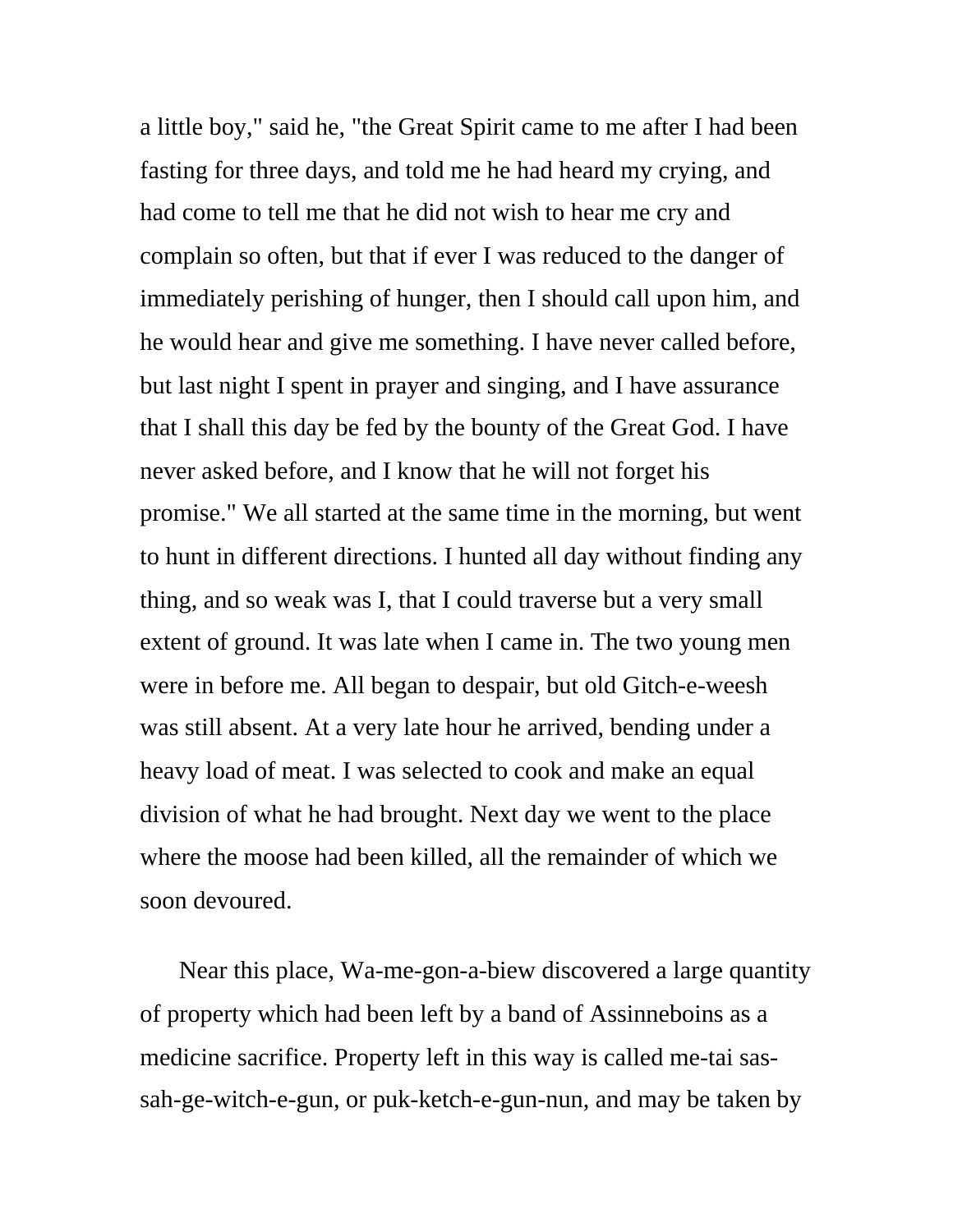a little boy," said he, "the Great Spirit came to me after I had been fasting for three days, and told me he had heard my crying, and had come to tell me that he did not wish to hear me cry and complain so often, but that if ever I was reduced to the danger of immediately perishing of hunger, then I should call upon him, and he would hear and give me something. I have never called before, but last night I spent in prayer and singing, and I have assurance that I shall this day be fed by the bounty of the Great God. I have never asked before, and I know that he will not forget his promise." We all started at the same time in the morning, but went to hunt in different directions. I hunted all day without finding any thing, and so weak was I, that I could traverse but a very small extent of ground. It was late when I came in. The two young men were in before me. All began to despair, but old Gitch-e-weesh was still absent. At a very late hour he arrived, bending under a heavy load of meat. I was selected to cook and make an equal division of what he had brought. Next day we went to the place where the moose had been killed, all the remainder of which we soon devoured.

Near this place, Wa-me-gon-a-biew discovered a large quantity of property which had been left by a band of Assinneboins as a medicine sacrifice. Property left in this way is called me-tai sassah-ge-witch-e-gun, or puk-ketch-e-gun-nun, and may be taken by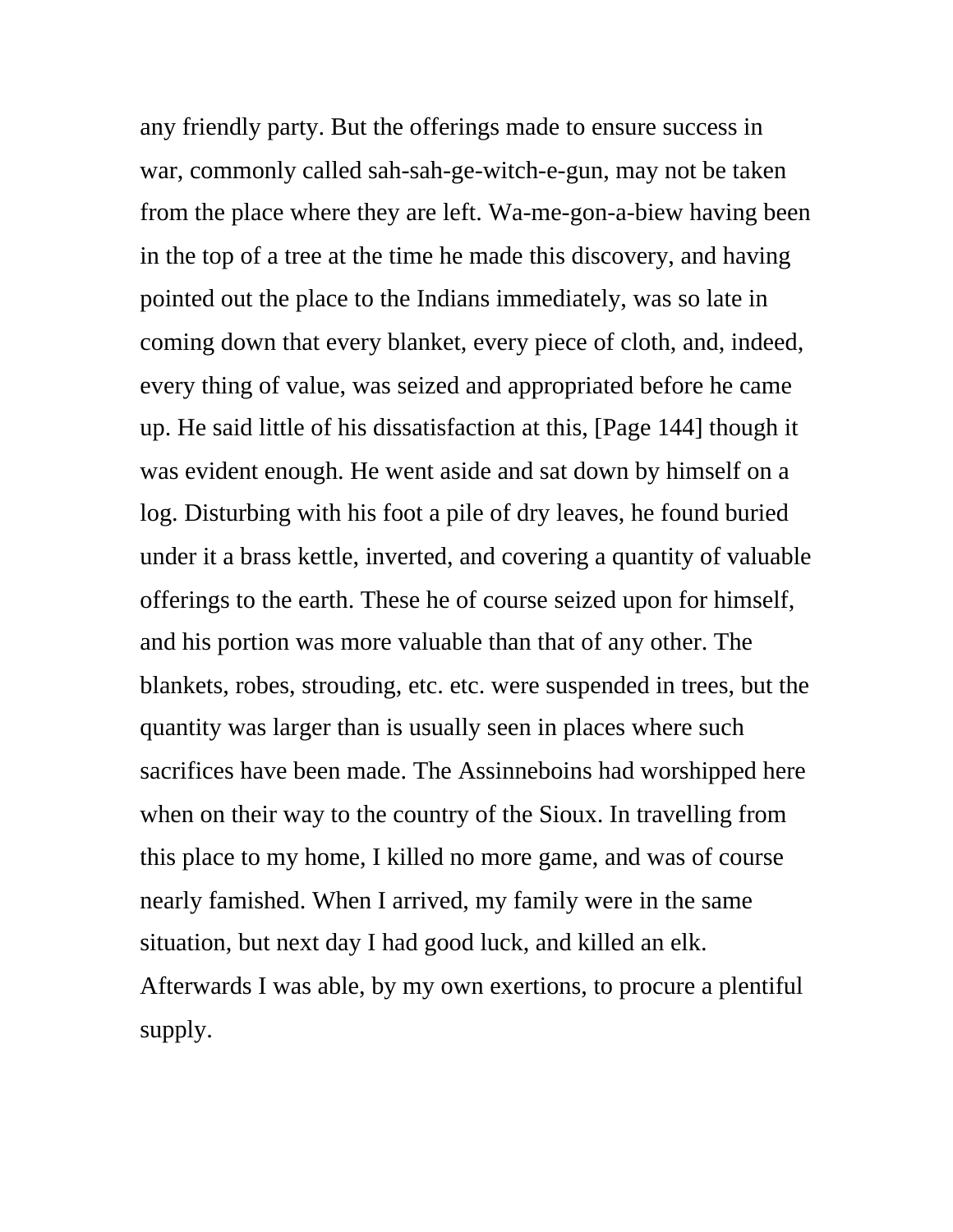any friendly party. But the offerings made to ensure success in war, commonly called sah-sah-ge-witch-e-gun, may not be taken from the place where they are left. Wa-me-gon-a-biew having been in the top of a tree at the time he made this discovery, and having pointed out the place to the Indians immediately, was so late in coming down that every blanket, every piece of cloth, and, indeed, every thing of value, was seized and appropriated before he came up. He said little of his dissatisfaction at this, [Page 144] though it was evident enough. He went aside and sat down by himself on a log. Disturbing with his foot a pile of dry leaves, he found buried under it a brass kettle, inverted, and covering a quantity of valuable offerings to the earth. These he of course seized upon for himself, and his portion was more valuable than that of any other. The blankets, robes, strouding, etc. etc. were suspended in trees, but the quantity was larger than is usually seen in places where such sacrifices have been made. The Assinneboins had worshipped here when on their way to the country of the Sioux. In travelling from this place to my home, I killed no more game, and was of course nearly famished. When I arrived, my family were in the same situation, but next day I had good luck, and killed an elk. Afterwards I was able, by my own exertions, to procure a plentiful supply.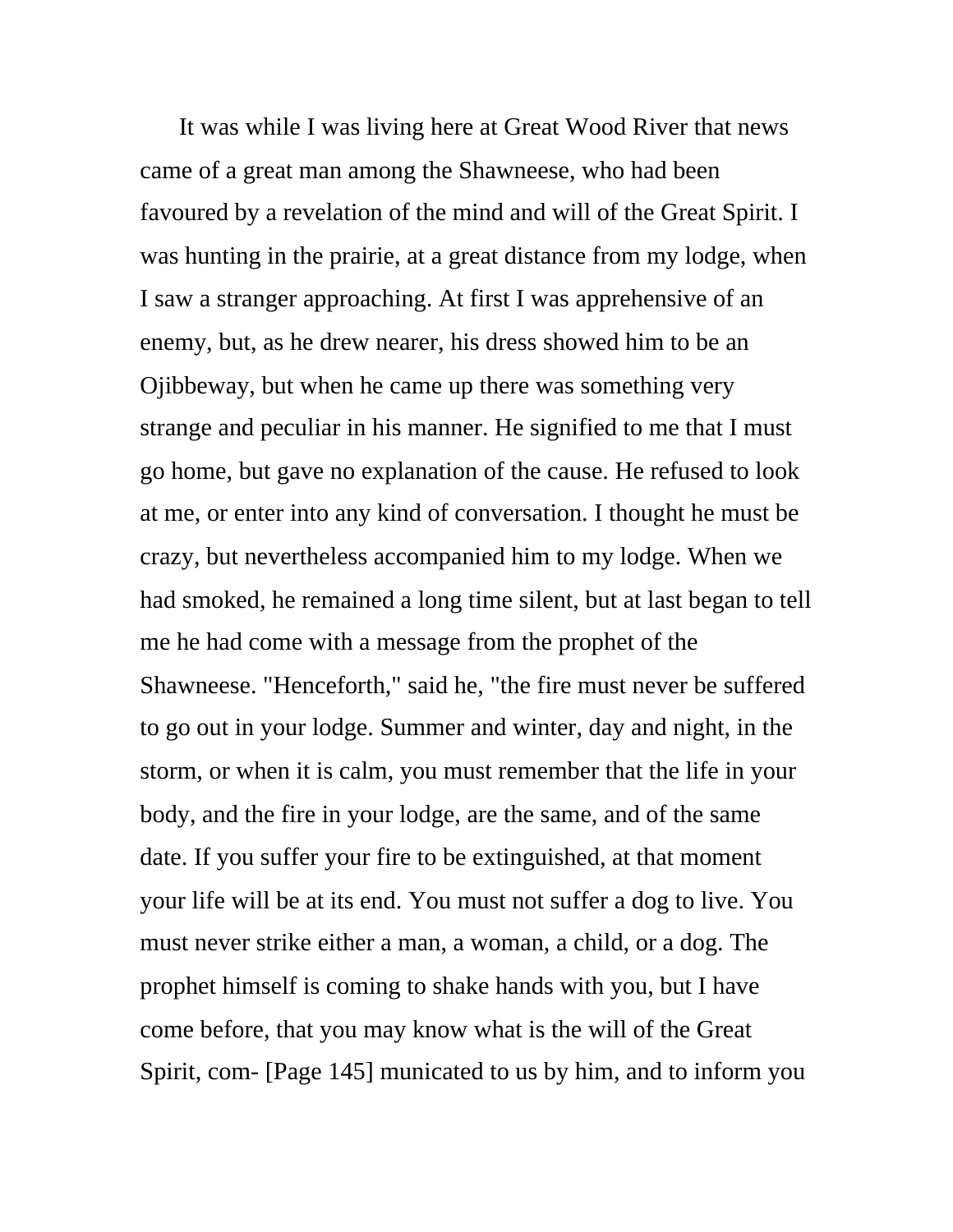It was while I was living here at Great Wood River that news came of a great man among the Shawneese, who had been favoured by a revelation of the mind and will of the Great Spirit. I was hunting in the prairie, at a great distance from my lodge, when I saw a stranger approaching. At first I was apprehensive of an enemy, but, as he drew nearer, his dress showed him to be an Ojibbeway, but when he came up there was something very strange and peculiar in his manner. He signified to me that I must go home, but gave no explanation of the cause. He refused to look at me, or enter into any kind of conversation. I thought he must be crazy, but nevertheless accompanied him to my lodge. When we had smoked, he remained a long time silent, but at last began to tell me he had come with a message from the prophet of the Shawneese. "Henceforth," said he, "the fire must never be suffered to go out in your lodge. Summer and winter, day and night, in the storm, or when it is calm, you must remember that the life in your body, and the fire in your lodge, are the same, and of the same date. If you suffer your fire to be extinguished, at that moment your life will be at its end. You must not suffer a dog to live. You must never strike either a man, a woman, a child, or a dog. The prophet himself is coming to shake hands with you, but I have come before, that you may know what is the will of the Great Spirit, com- [Page 145] municated to us by him, and to inform you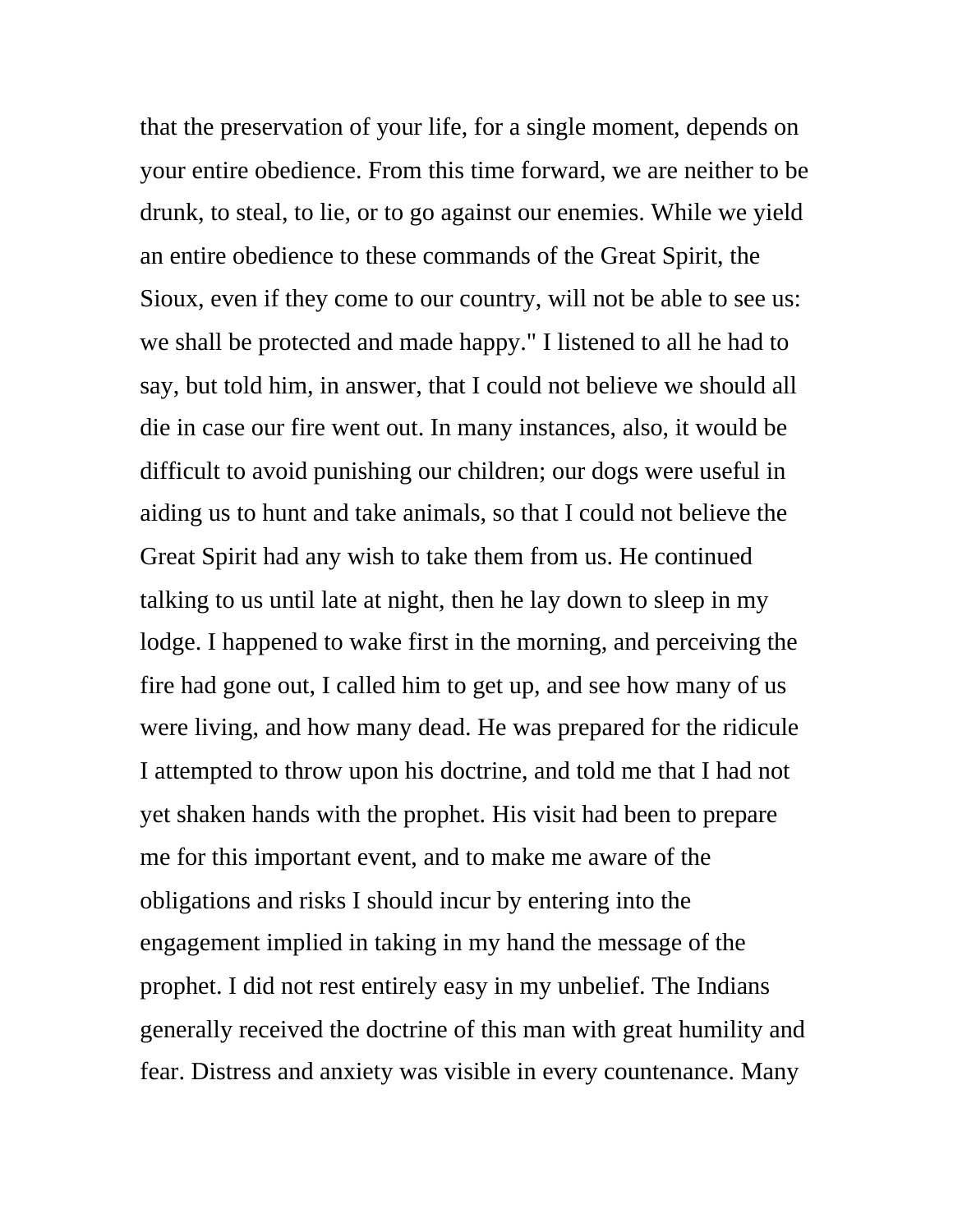that the preservation of your life, for a single moment, depends on your entire obedience. From this time forward, we are neither to be drunk, to steal, to lie, or to go against our enemies. While we yield an entire obedience to these commands of the Great Spirit, the Sioux, even if they come to our country, will not be able to see us: we shall be protected and made happy." I listened to all he had to say, but told him, in answer, that I could not believe we should all die in case our fire went out. In many instances, also, it would be difficult to avoid punishing our children; our dogs were useful in aiding us to hunt and take animals, so that I could not believe the Great Spirit had any wish to take them from us. He continued talking to us until late at night, then he lay down to sleep in my lodge. I happened to wake first in the morning, and perceiving the fire had gone out, I called him to get up, and see how many of us were living, and how many dead. He was prepared for the ridicule I attempted to throw upon his doctrine, and told me that I had not yet shaken hands with the prophet. His visit had been to prepare me for this important event, and to make me aware of the obligations and risks I should incur by entering into the engagement implied in taking in my hand the message of the prophet. I did not rest entirely easy in my unbelief. The Indians generally received the doctrine of this man with great humility and fear. Distress and anxiety was visible in every countenance. Many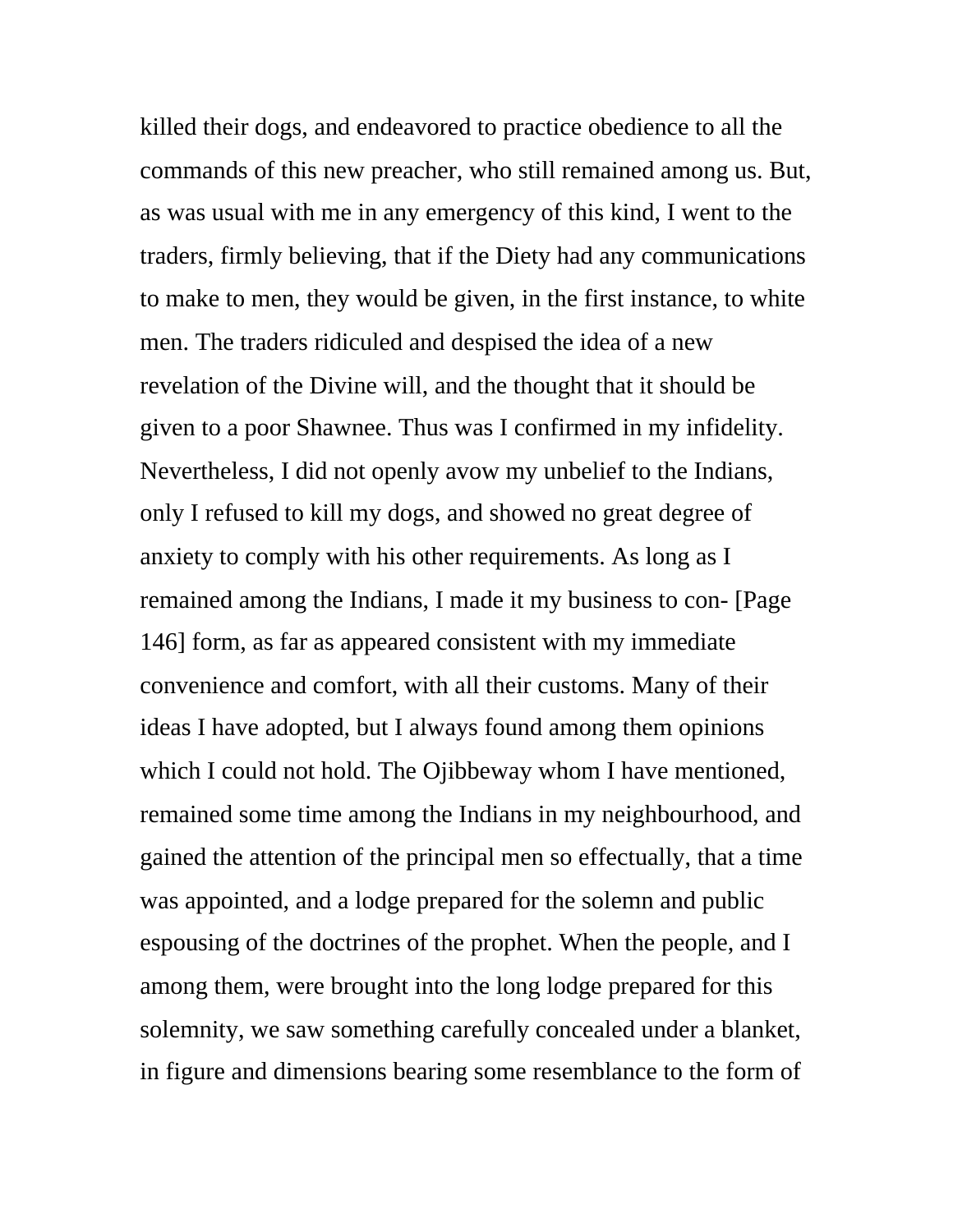killed their dogs, and endeavored to practice obedience to all the commands of this new preacher, who still remained among us. But, as was usual with me in any emergency of this kind, I went to the traders, firmly believing, that if the Diety had any communications to make to men, they would be given, in the first instance, to white men. The traders ridiculed and despised the idea of a new revelation of the Divine will, and the thought that it should be given to a poor Shawnee. Thus was I confirmed in my infidelity. Nevertheless, I did not openly avow my unbelief to the Indians, only I refused to kill my dogs, and showed no great degree of anxiety to comply with his other requirements. As long as I remained among the Indians, I made it my business to con- [Page 146] form, as far as appeared consistent with my immediate convenience and comfort, with all their customs. Many of their ideas I have adopted, but I always found among them opinions which I could not hold. The Ojibbeway whom I have mentioned, remained some time among the Indians in my neighbourhood, and gained the attention of the principal men so effectually, that a time was appointed, and a lodge prepared for the solemn and public espousing of the doctrines of the prophet. When the people, and I among them, were brought into the long lodge prepared for this solemnity, we saw something carefully concealed under a blanket, in figure and dimensions bearing some resemblance to the form of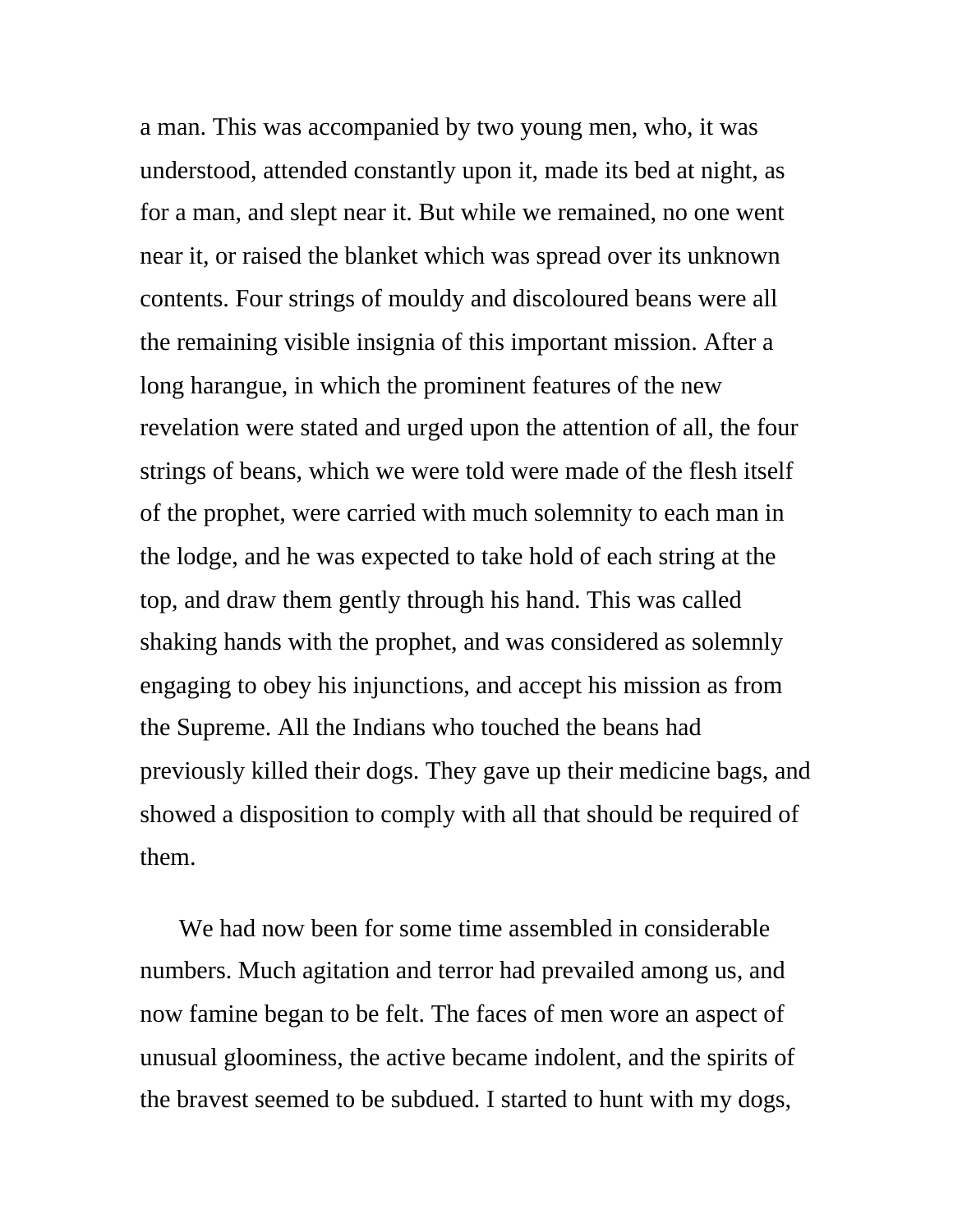a man. This was accompanied by two young men, who, it was understood, attended constantly upon it, made its bed at night, as for a man, and slept near it. But while we remained, no one went near it, or raised the blanket which was spread over its unknown contents. Four strings of mouldy and discoloured beans were all the remaining visible insignia of this important mission. After a long harangue, in which the prominent features of the new revelation were stated and urged upon the attention of all, the four strings of beans, which we were told were made of the flesh itself of the prophet, were carried with much solemnity to each man in the lodge, and he was expected to take hold of each string at the top, and draw them gently through his hand. This was called shaking hands with the prophet, and was considered as solemnly engaging to obey his injunctions, and accept his mission as from the Supreme. All the Indians who touched the beans had previously killed their dogs. They gave up their medicine bags, and showed a disposition to comply with all that should be required of them.

We had now been for some time assembled in considerable numbers. Much agitation and terror had prevailed among us, and now famine began to be felt. The faces of men wore an aspect of unusual gloominess, the active became indolent, and the spirits of the bravest seemed to be subdued. I started to hunt with my dogs,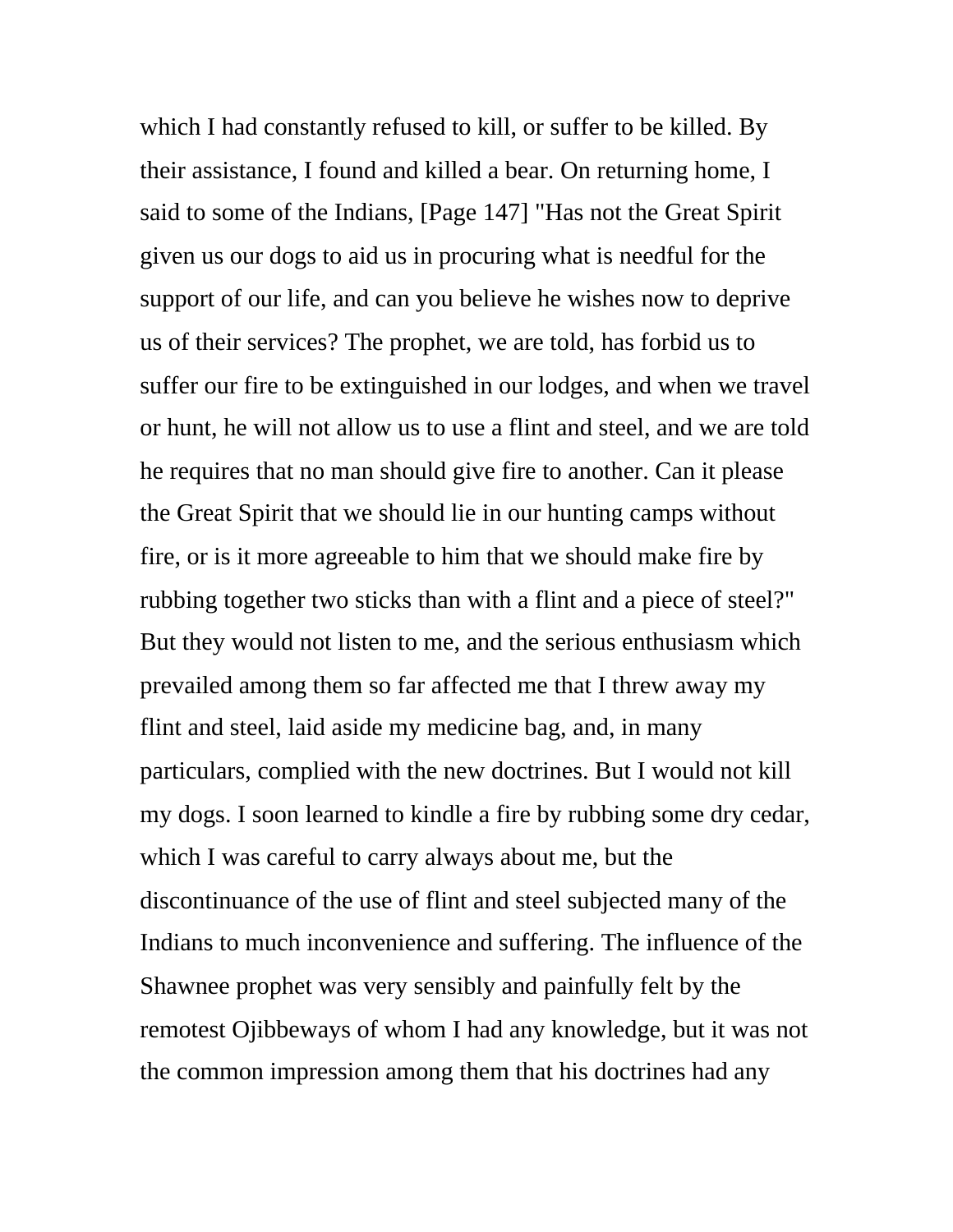which I had constantly refused to kill, or suffer to be killed. By their assistance, I found and killed a bear. On returning home, I said to some of the Indians, [Page 147] "Has not the Great Spirit given us our dogs to aid us in procuring what is needful for the support of our life, and can you believe he wishes now to deprive us of their services? The prophet, we are told, has forbid us to suffer our fire to be extinguished in our lodges, and when we travel or hunt, he will not allow us to use a flint and steel, and we are told he requires that no man should give fire to another. Can it please the Great Spirit that we should lie in our hunting camps without fire, or is it more agreeable to him that we should make fire by rubbing together two sticks than with a flint and a piece of steel?" But they would not listen to me, and the serious enthusiasm which prevailed among them so far affected me that I threw away my flint and steel, laid aside my medicine bag, and, in many particulars, complied with the new doctrines. But I would not kill my dogs. I soon learned to kindle a fire by rubbing some dry cedar, which I was careful to carry always about me, but the discontinuance of the use of flint and steel subjected many of the Indians to much inconvenience and suffering. The influence of the Shawnee prophet was very sensibly and painfully felt by the remotest Ojibbeways of whom I had any knowledge, but it was not the common impression among them that his doctrines had any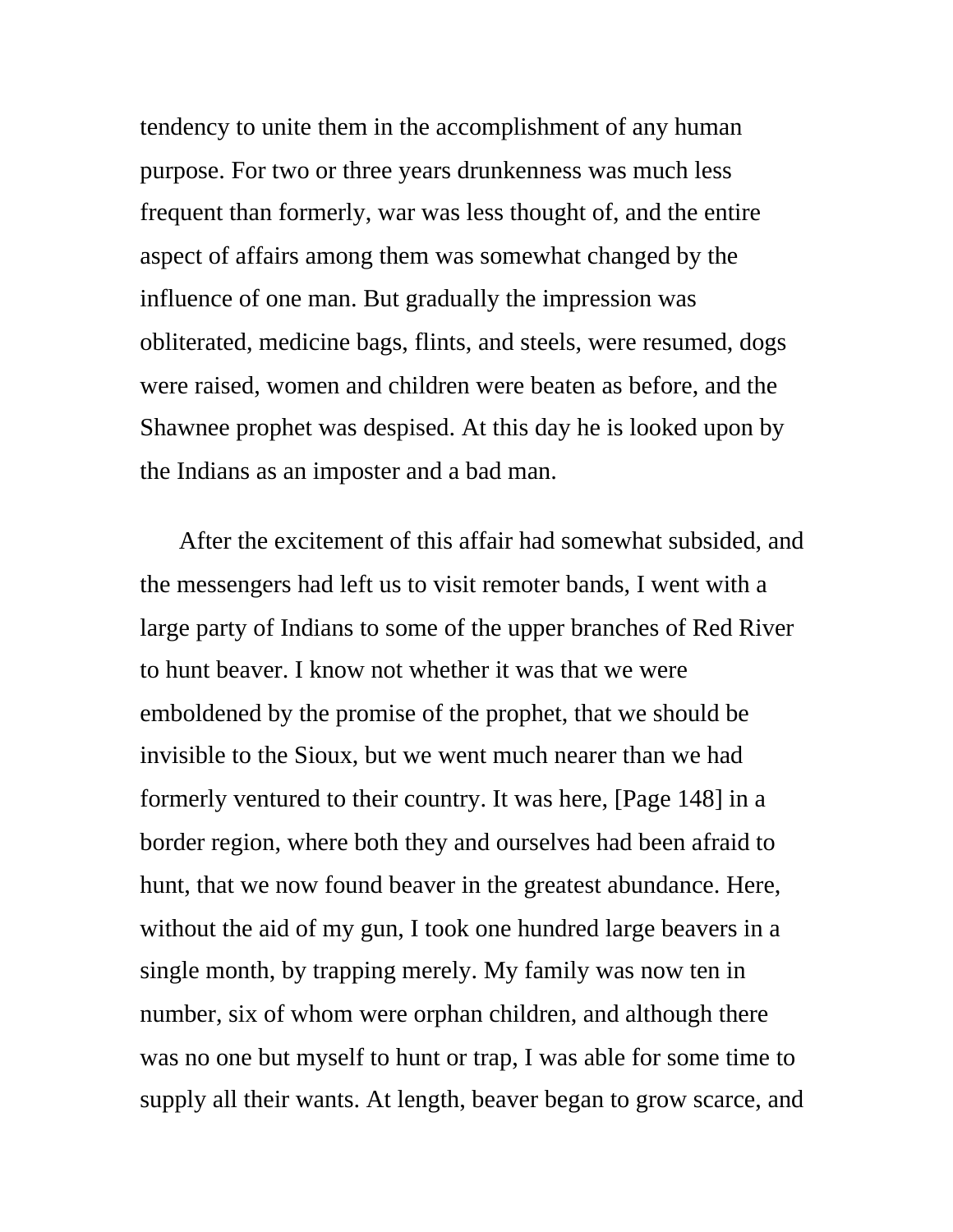tendency to unite them in the accomplishment of any human purpose. For two or three years drunkenness was much less frequent than formerly, war was less thought of, and the entire aspect of affairs among them was somewhat changed by the influence of one man. But gradually the impression was obliterated, medicine bags, flints, and steels, were resumed, dogs were raised, women and children were beaten as before, and the Shawnee prophet was despised. At this day he is looked upon by the Indians as an imposter and a bad man.

After the excitement of this affair had somewhat subsided, and the messengers had left us to visit remoter bands, I went with a large party of Indians to some of the upper branches of Red River to hunt beaver. I know not whether it was that we were emboldened by the promise of the prophet, that we should be invisible to the Sioux, but we went much nearer than we had formerly ventured to their country. It was here, [Page 148] in a border region, where both they and ourselves had been afraid to hunt, that we now found beaver in the greatest abundance. Here, without the aid of my gun, I took one hundred large beavers in a single month, by trapping merely. My family was now ten in number, six of whom were orphan children, and although there was no one but myself to hunt or trap, I was able for some time to supply all their wants. At length, beaver began to grow scarce, and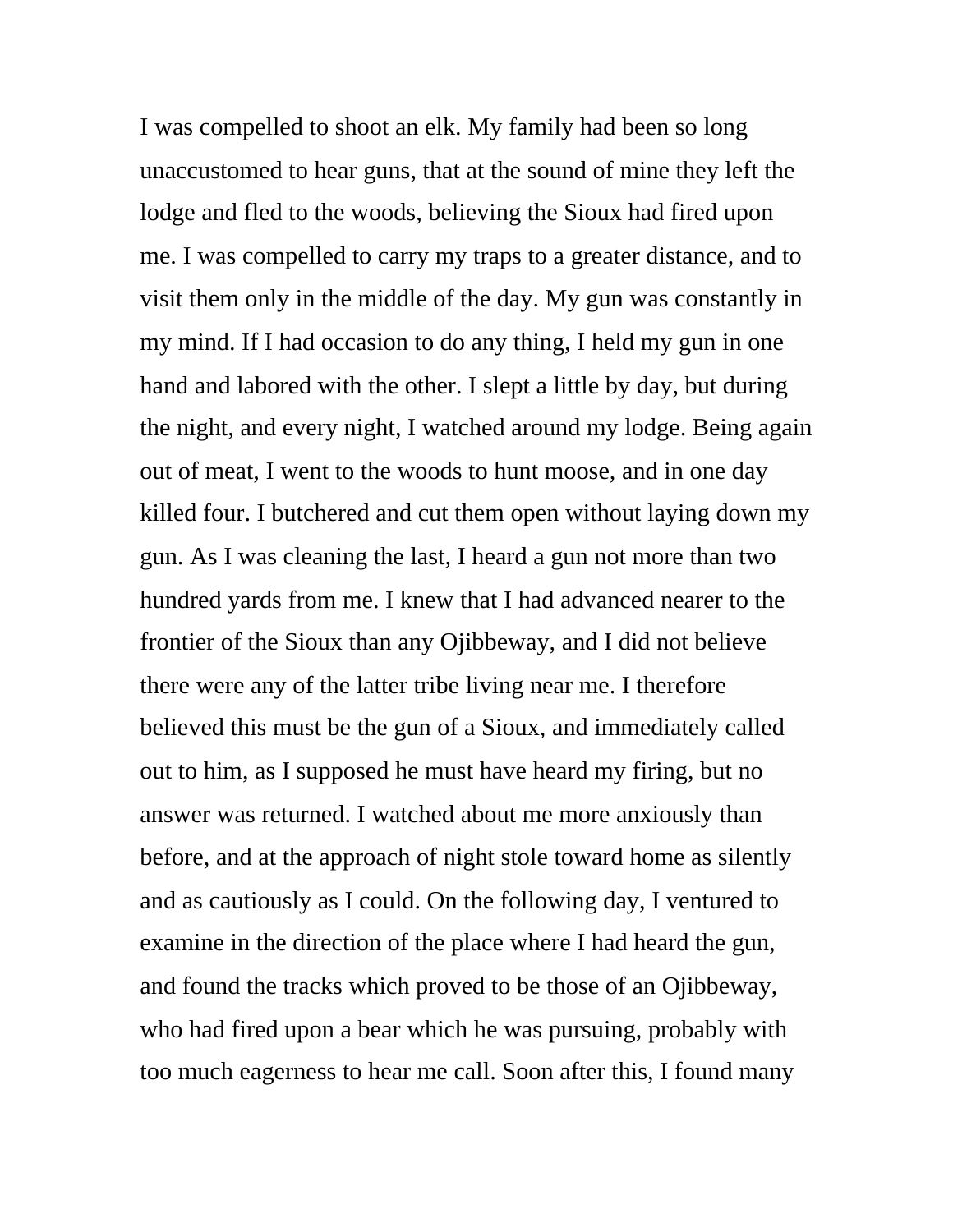I was compelled to shoot an elk. My family had been so long unaccustomed to hear guns, that at the sound of mine they left the lodge and fled to the woods, believing the Sioux had fired upon me. I was compelled to carry my traps to a greater distance, and to visit them only in the middle of the day. My gun was constantly in my mind. If I had occasion to do any thing, I held my gun in one hand and labored with the other. I slept a little by day, but during the night, and every night, I watched around my lodge. Being again out of meat, I went to the woods to hunt moose, and in one day killed four. I butchered and cut them open without laying down my gun. As I was cleaning the last, I heard a gun not more than two hundred yards from me. I knew that I had advanced nearer to the frontier of the Sioux than any Ojibbeway, and I did not believe there were any of the latter tribe living near me. I therefore believed this must be the gun of a Sioux, and immediately called out to him, as I supposed he must have heard my firing, but no answer was returned. I watched about me more anxiously than before, and at the approach of night stole toward home as silently and as cautiously as I could. On the following day, I ventured to examine in the direction of the place where I had heard the gun, and found the tracks which proved to be those of an Ojibbeway, who had fired upon a bear which he was pursuing, probably with too much eagerness to hear me call. Soon after this, I found many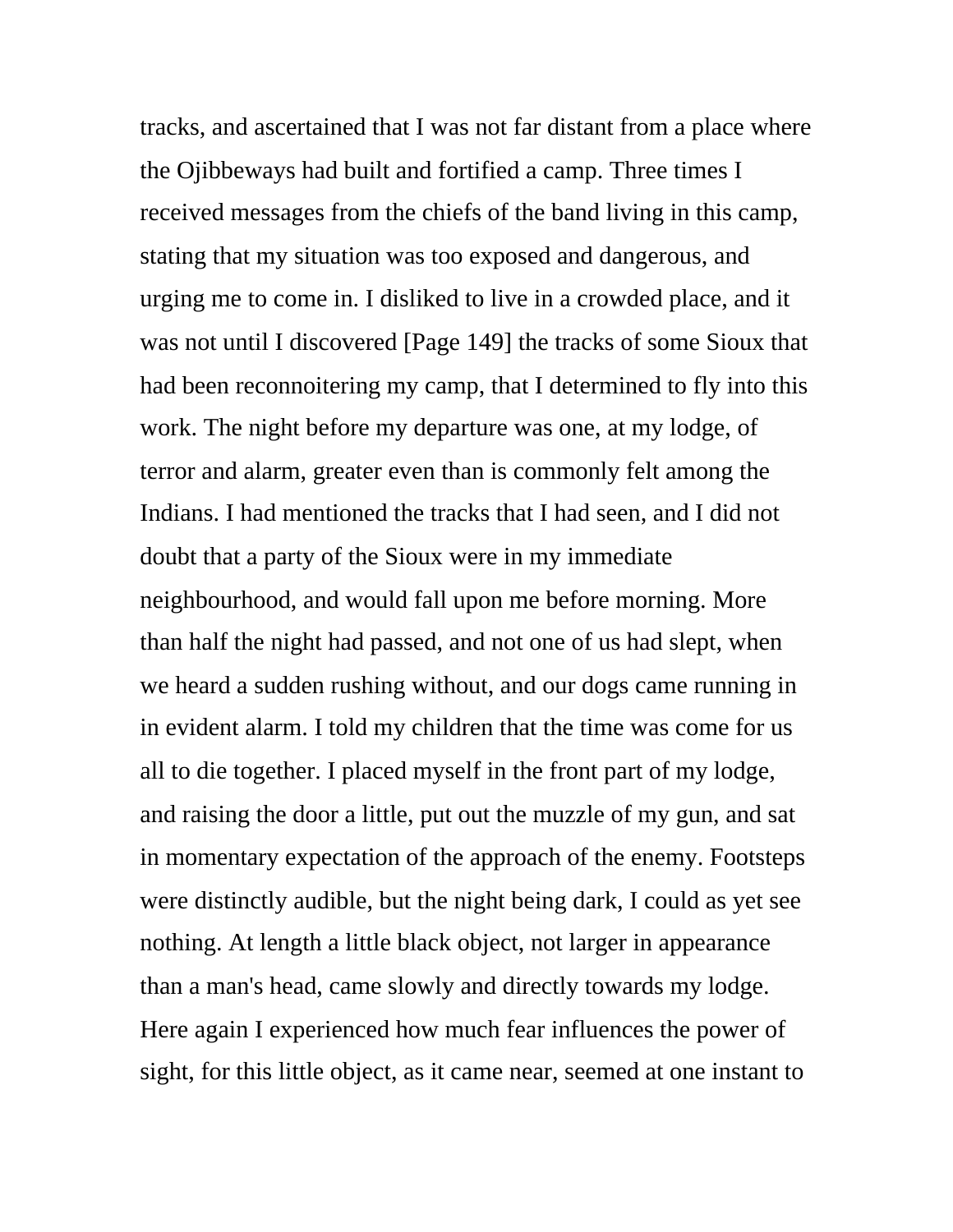tracks, and ascertained that I was not far distant from a place where the Ojibbeways had built and fortified a camp. Three times I received messages from the chiefs of the band living in this camp, stating that my situation was too exposed and dangerous, and urging me to come in. I disliked to live in a crowded place, and it was not until I discovered [Page 149] the tracks of some Sioux that had been reconnoitering my camp, that I determined to fly into this work. The night before my departure was one, at my lodge, of terror and alarm, greater even than is commonly felt among the Indians. I had mentioned the tracks that I had seen, and I did not doubt that a party of the Sioux were in my immediate neighbourhood, and would fall upon me before morning. More than half the night had passed, and not one of us had slept, when we heard a sudden rushing without, and our dogs came running in in evident alarm. I told my children that the time was come for us all to die together. I placed myself in the front part of my lodge, and raising the door a little, put out the muzzle of my gun, and sat in momentary expectation of the approach of the enemy. Footsteps were distinctly audible, but the night being dark, I could as yet see nothing. At length a little black object, not larger in appearance than a man's head, came slowly and directly towards my lodge. Here again I experienced how much fear influences the power of sight, for this little object, as it came near, seemed at one instant to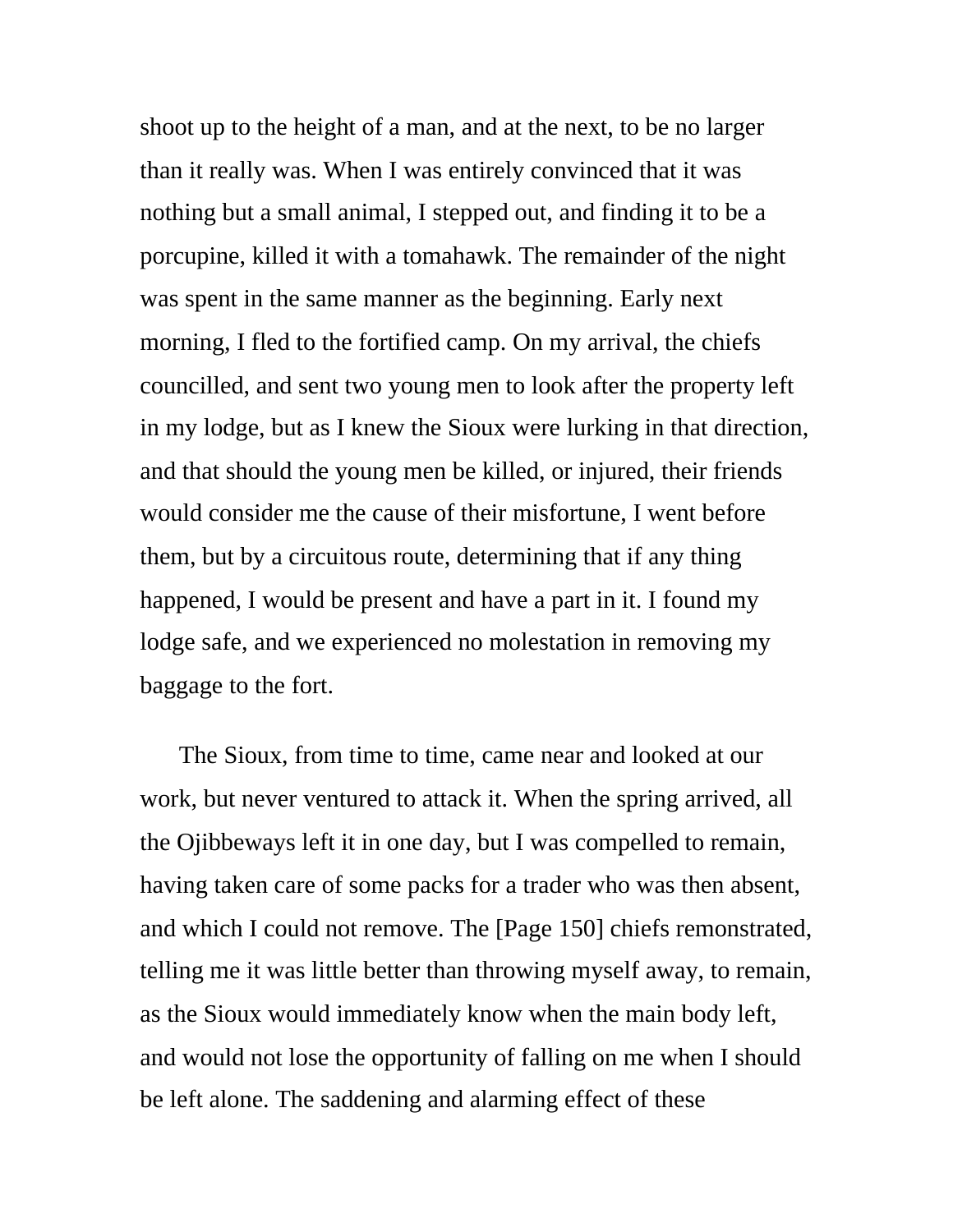shoot up to the height of a man, and at the next, to be no larger than it really was. When I was entirely convinced that it was nothing but a small animal, I stepped out, and finding it to be a porcupine, killed it with a tomahawk. The remainder of the night was spent in the same manner as the beginning. Early next morning, I fled to the fortified camp. On my arrival, the chiefs councilled, and sent two young men to look after the property left in my lodge, but as I knew the Sioux were lurking in that direction, and that should the young men be killed, or injured, their friends would consider me the cause of their misfortune, I went before them, but by a circuitous route, determining that if any thing happened, I would be present and have a part in it. I found my lodge safe, and we experienced no molestation in removing my baggage to the fort.

The Sioux, from time to time, came near and looked at our work, but never ventured to attack it. When the spring arrived, all the Ojibbeways left it in one day, but I was compelled to remain, having taken care of some packs for a trader who was then absent, and which I could not remove. The [Page 150] chiefs remonstrated, telling me it was little better than throwing myself away, to remain, as the Sioux would immediately know when the main body left, and would not lose the opportunity of falling on me when I should be left alone. The saddening and alarming effect of these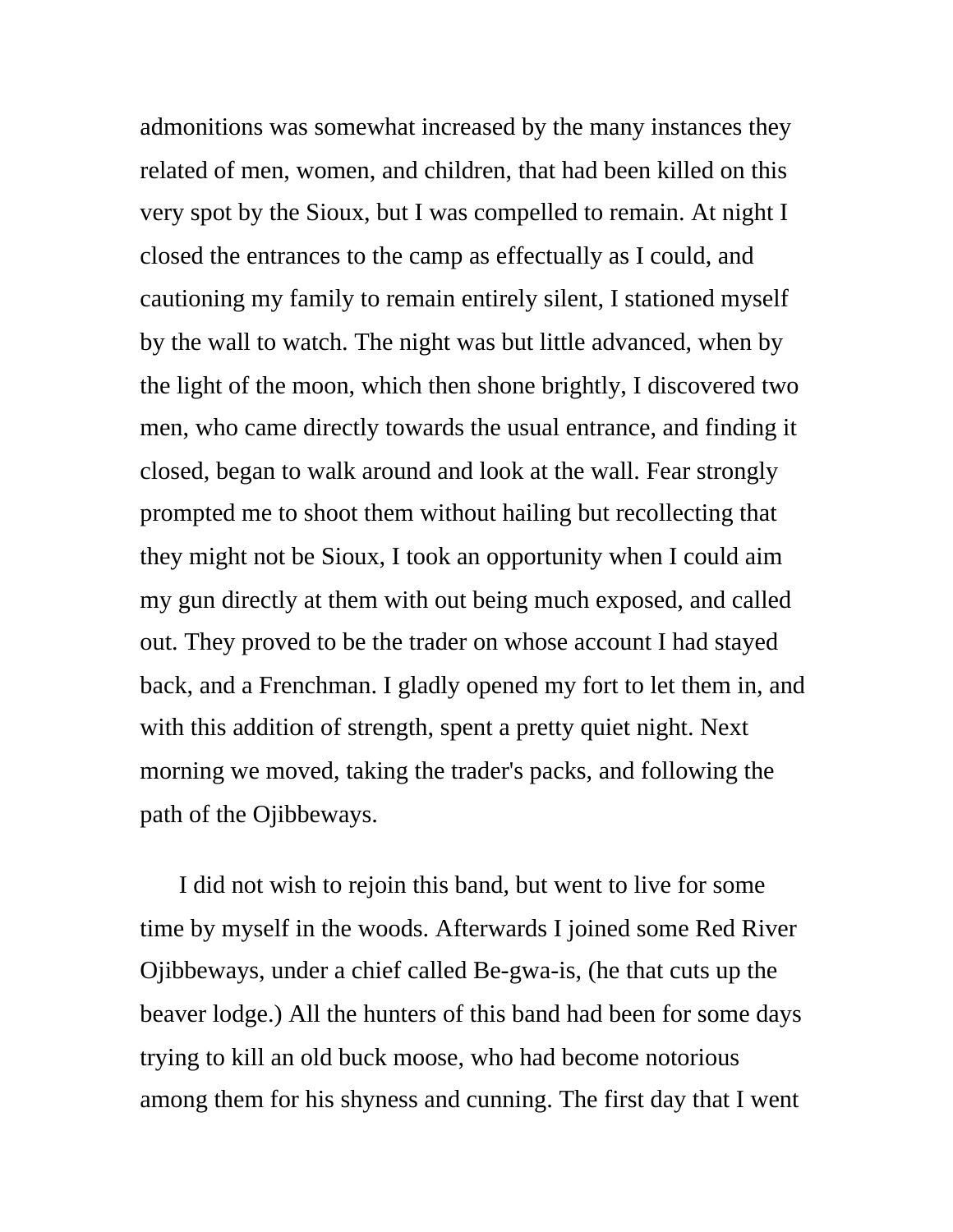admonitions was somewhat increased by the many instances they related of men, women, and children, that had been killed on this very spot by the Sioux, but I was compelled to remain. At night I closed the entrances to the camp as effectually as I could, and cautioning my family to remain entirely silent, I stationed myself by the wall to watch. The night was but little advanced, when by the light of the moon, which then shone brightly, I discovered two men, who came directly towards the usual entrance, and finding it closed, began to walk around and look at the wall. Fear strongly prompted me to shoot them without hailing but recollecting that they might not be Sioux, I took an opportunity when I could aim my gun directly at them with out being much exposed, and called out. They proved to be the trader on whose account I had stayed back, and a Frenchman. I gladly opened my fort to let them in, and with this addition of strength, spent a pretty quiet night. Next morning we moved, taking the trader's packs, and following the path of the Ojibbeways.

I did not wish to rejoin this band, but went to live for some time by myself in the woods. Afterwards I joined some Red River Ojibbeways, under a chief called Be-gwa-is, (he that cuts up the beaver lodge.) All the hunters of this band had been for some days trying to kill an old buck moose, who had become notorious among them for his shyness and cunning. The first day that I went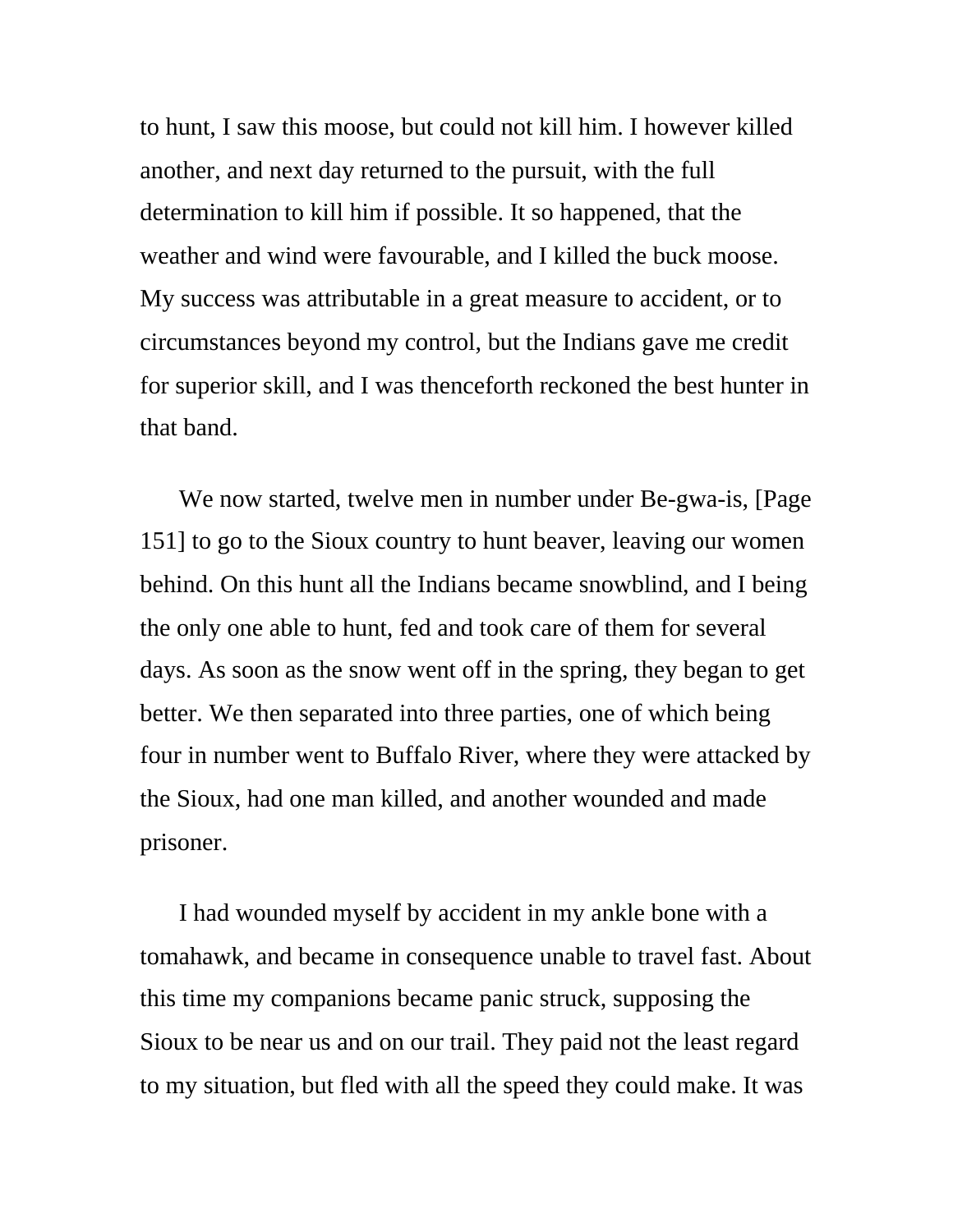to hunt, I saw this moose, but could not kill him. I however killed another, and next day returned to the pursuit, with the full determination to kill him if possible. It so happened, that the weather and wind were favourable, and I killed the buck moose. My success was attributable in a great measure to accident, or to circumstances beyond my control, but the Indians gave me credit for superior skill, and I was thenceforth reckoned the best hunter in that band.

We now started, twelve men in number under Be-gwa-is, [Page 151] to go to the Sioux country to hunt beaver, leaving our women behind. On this hunt all the Indians became snowblind, and I being the only one able to hunt, fed and took care of them for several days. As soon as the snow went off in the spring, they began to get better. We then separated into three parties, one of which being four in number went to Buffalo River, where they were attacked by the Sioux, had one man killed, and another wounded and made prisoner.

I had wounded myself by accident in my ankle bone with a tomahawk, and became in consequence unable to travel fast. About this time my companions became panic struck, supposing the Sioux to be near us and on our trail. They paid not the least regard to my situation, but fled with all the speed they could make. It was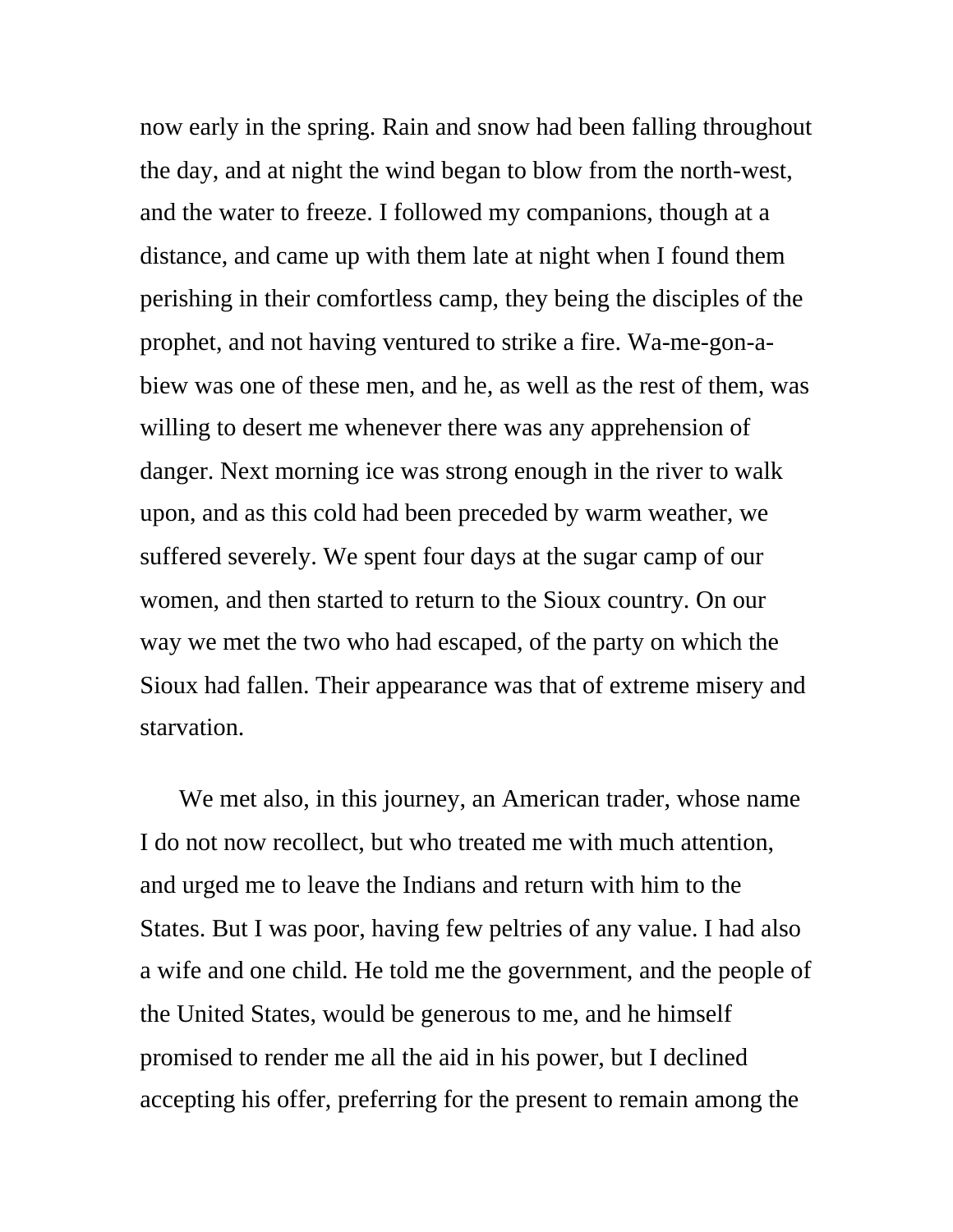now early in the spring. Rain and snow had been falling throughout the day, and at night the wind began to blow from the north-west, and the water to freeze. I followed my companions, though at a distance, and came up with them late at night when I found them perishing in their comfortless camp, they being the disciples of the prophet, and not having ventured to strike a fire. Wa-me-gon-abiew was one of these men, and he, as well as the rest of them, was willing to desert me whenever there was any apprehension of danger. Next morning ice was strong enough in the river to walk upon, and as this cold had been preceded by warm weather, we suffered severely. We spent four days at the sugar camp of our women, and then started to return to the Sioux country. On our way we met the two who had escaped, of the party on which the Sioux had fallen. Their appearance was that of extreme misery and starvation.

We met also, in this journey, an American trader, whose name I do not now recollect, but who treated me with much attention, and urged me to leave the Indians and return with him to the States. But I was poor, having few peltries of any value. I had also a wife and one child. He told me the government, and the people of the United States, would be generous to me, and he himself promised to render me all the aid in his power, but I declined accepting his offer, preferring for the present to remain among the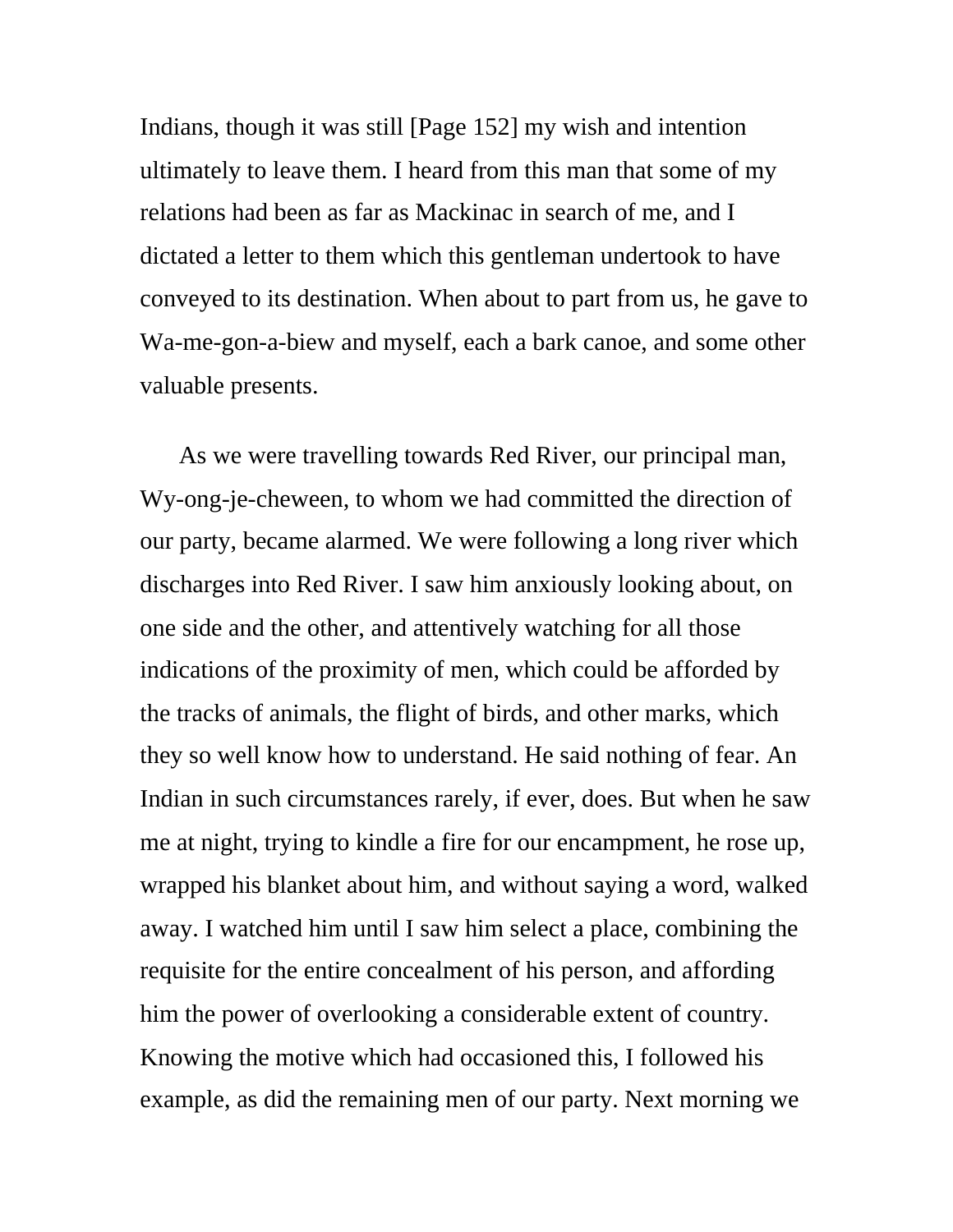Indians, though it was still [Page 152] my wish and intention ultimately to leave them. I heard from this man that some of my relations had been as far as Mackinac in search of me, and I dictated a letter to them which this gentleman undertook to have conveyed to its destination. When about to part from us, he gave to Wa-me-gon-a-biew and myself, each a bark canoe, and some other valuable presents.

As we were travelling towards Red River, our principal man, Wy-ong-je-cheween, to whom we had committed the direction of our party, became alarmed. We were following a long river which discharges into Red River. I saw him anxiously looking about, on one side and the other, and attentively watching for all those indications of the proximity of men, which could be afforded by the tracks of animals, the flight of birds, and other marks, which they so well know how to understand. He said nothing of fear. An Indian in such circumstances rarely, if ever, does. But when he saw me at night, trying to kindle a fire for our encampment, he rose up, wrapped his blanket about him, and without saying a word, walked away. I watched him until I saw him select a place, combining the requisite for the entire concealment of his person, and affording him the power of overlooking a considerable extent of country. Knowing the motive which had occasioned this, I followed his example, as did the remaining men of our party. Next morning we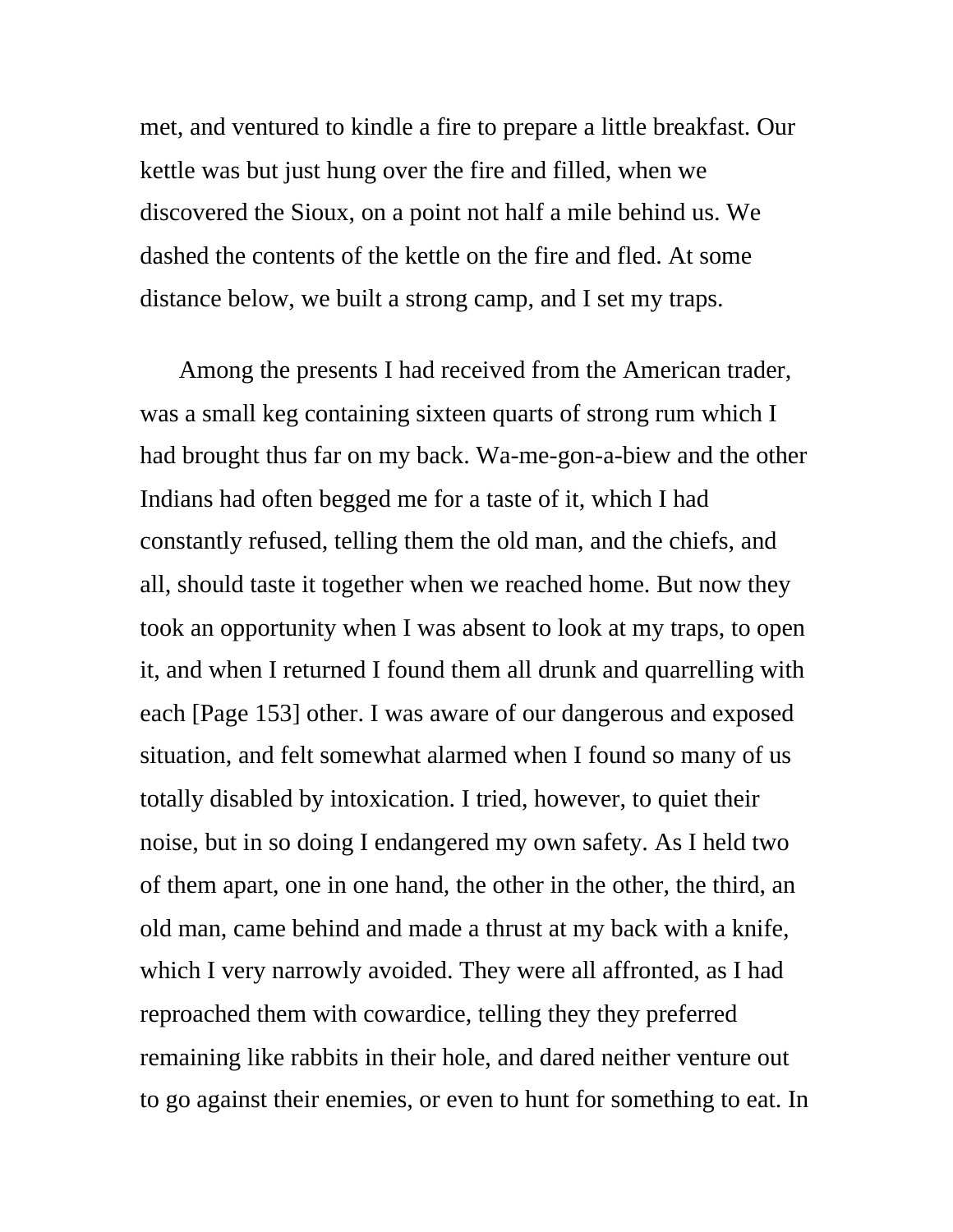met, and ventured to kindle a fire to prepare a little breakfast. Our kettle was but just hung over the fire and filled, when we discovered the Sioux, on a point not half a mile behind us. We dashed the contents of the kettle on the fire and fled. At some distance below, we built a strong camp, and I set my traps.

Among the presents I had received from the American trader, was a small keg containing sixteen quarts of strong rum which I had brought thus far on my back. Wa-me-gon-a-biew and the other Indians had often begged me for a taste of it, which I had constantly refused, telling them the old man, and the chiefs, and all, should taste it together when we reached home. But now they took an opportunity when I was absent to look at my traps, to open it, and when I returned I found them all drunk and quarrelling with each [Page 153] other. I was aware of our dangerous and exposed situation, and felt somewhat alarmed when I found so many of us totally disabled by intoxication. I tried, however, to quiet their noise, but in so doing I endangered my own safety. As I held two of them apart, one in one hand, the other in the other, the third, an old man, came behind and made a thrust at my back with a knife, which I very narrowly avoided. They were all affronted, as I had reproached them with cowardice, telling they they preferred remaining like rabbits in their hole, and dared neither venture out to go against their enemies, or even to hunt for something to eat. In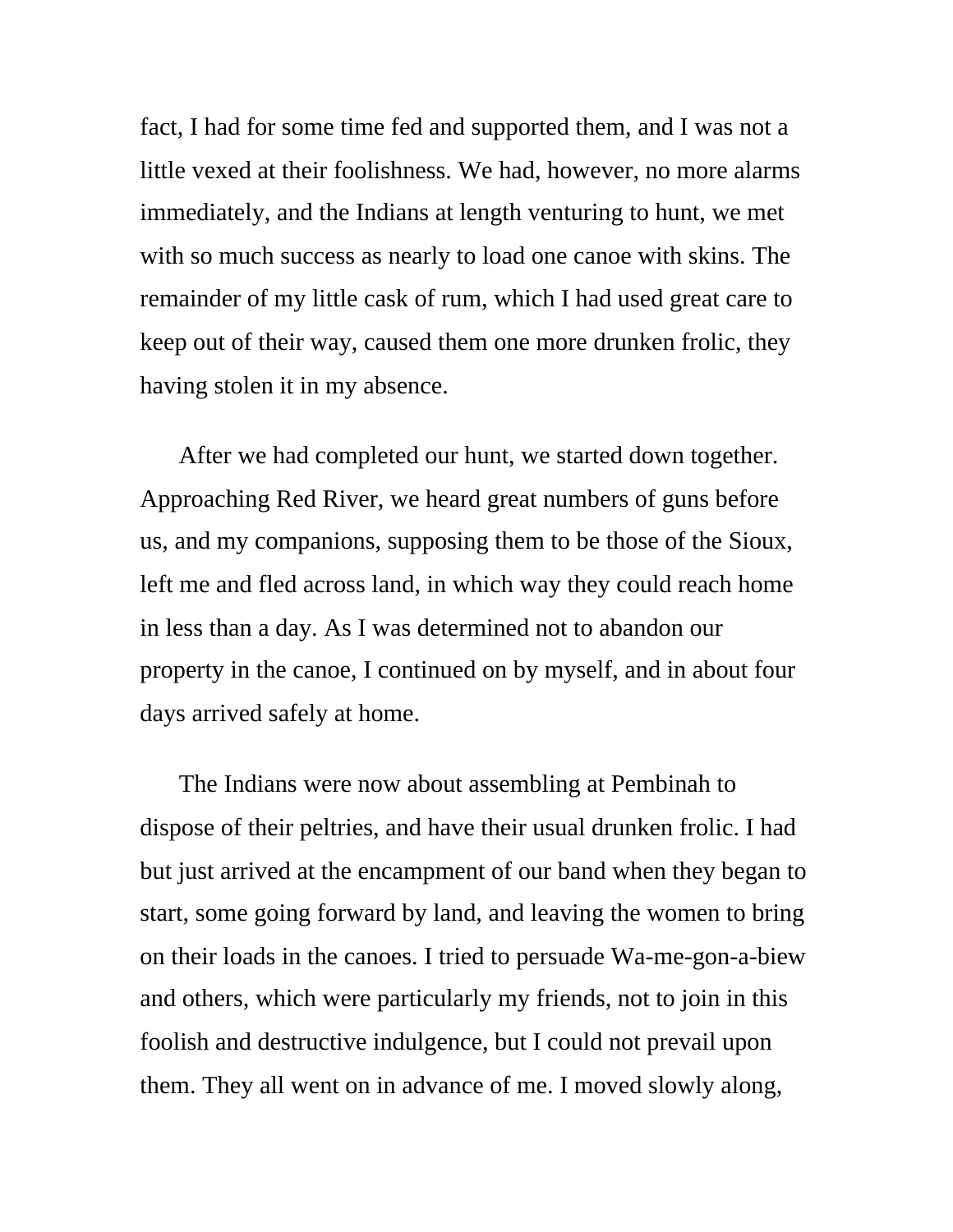fact, I had for some time fed and supported them, and I was not a little vexed at their foolishness. We had, however, no more alarms immediately, and the Indians at length venturing to hunt, we met with so much success as nearly to load one canoe with skins. The remainder of my little cask of rum, which I had used great care to keep out of their way, caused them one more drunken frolic, they having stolen it in my absence.

After we had completed our hunt, we started down together. Approaching Red River, we heard great numbers of guns before us, and my companions, supposing them to be those of the Sioux, left me and fled across land, in which way they could reach home in less than a day. As I was determined not to abandon our property in the canoe, I continued on by myself, and in about four days arrived safely at home.

The Indians were now about assembling at Pembinah to dispose of their peltries, and have their usual drunken frolic. I had but just arrived at the encampment of our band when they began to start, some going forward by land, and leaving the women to bring on their loads in the canoes. I tried to persuade Wa-me-gon-a-biew and others, which were particularly my friends, not to join in this foolish and destructive indulgence, but I could not prevail upon them. They all went on in advance of me. I moved slowly along,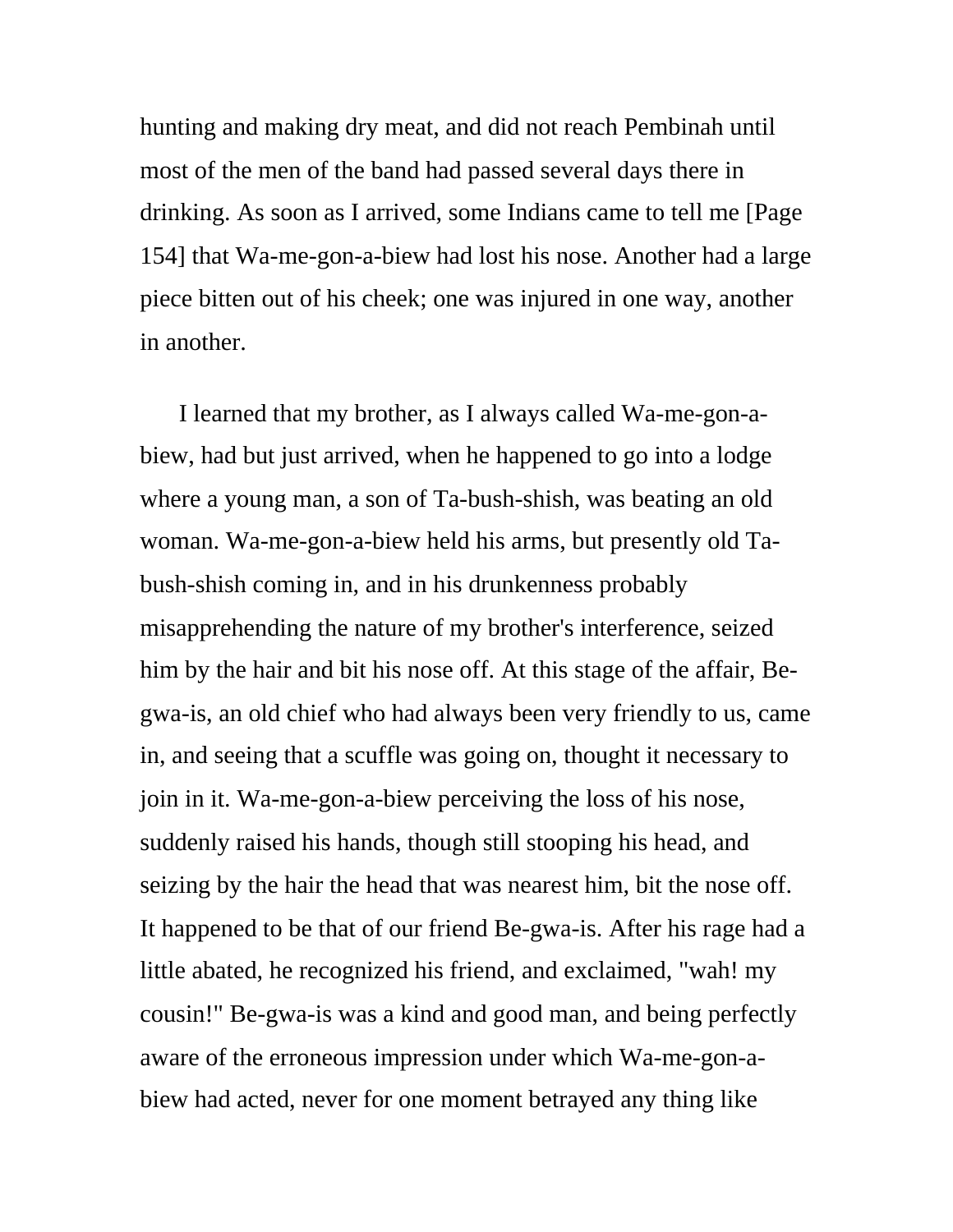hunting and making dry meat, and did not reach Pembinah until most of the men of the band had passed several days there in drinking. As soon as I arrived, some Indians came to tell me [Page 154] that Wa-me-gon-a-biew had lost his nose. Another had a large piece bitten out of his cheek; one was injured in one way, another in another.

I learned that my brother, as I always called Wa-me-gon-abiew, had but just arrived, when he happened to go into a lodge where a young man, a son of Ta-bush-shish, was beating an old woman. Wa-me-gon-a-biew held his arms, but presently old Tabush-shish coming in, and in his drunkenness probably misapprehending the nature of my brother's interference, seized him by the hair and bit his nose off. At this stage of the affair, Begwa-is, an old chief who had always been very friendly to us, came in, and seeing that a scuffle was going on, thought it necessary to join in it. Wa-me-gon-a-biew perceiving the loss of his nose, suddenly raised his hands, though still stooping his head, and seizing by the hair the head that was nearest him, bit the nose off. It happened to be that of our friend Be-gwa-is. After his rage had a little abated, he recognized his friend, and exclaimed, "wah! my cousin!" Be-gwa-is was a kind and good man, and being perfectly aware of the erroneous impression under which Wa-me-gon-abiew had acted, never for one moment betrayed any thing like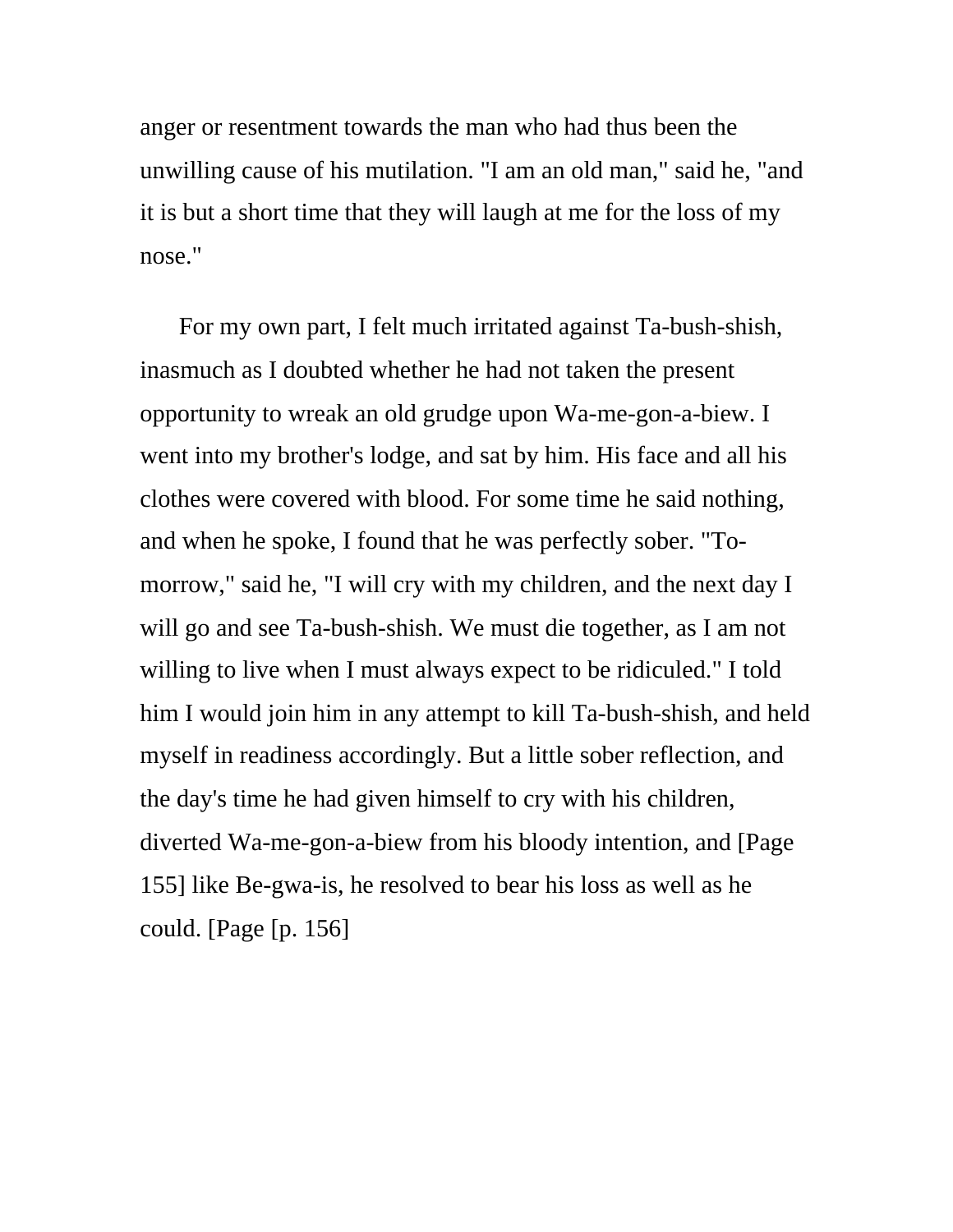anger or resentment towards the man who had thus been the unwilling cause of his mutilation. "I am an old man," said he, "and it is but a short time that they will laugh at me for the loss of my nose."

For my own part, I felt much irritated against Ta-bush-shish, inasmuch as I doubted whether he had not taken the present opportunity to wreak an old grudge upon Wa-me-gon-a-biew. I went into my brother's lodge, and sat by him. His face and all his clothes were covered with blood. For some time he said nothing, and when he spoke, I found that he was perfectly sober. "Tomorrow," said he, "I will cry with my children, and the next day I will go and see Ta-bush-shish. We must die together, as I am not willing to live when I must always expect to be ridiculed." I told him I would join him in any attempt to kill Ta-bush-shish, and held myself in readiness accordingly. But a little sober reflection, and the day's time he had given himself to cry with his children, diverted Wa-me-gon-a-biew from his bloody intention, and [Page 155] like Be-gwa-is, he resolved to bear his loss as well as he could. [Page [p. 156]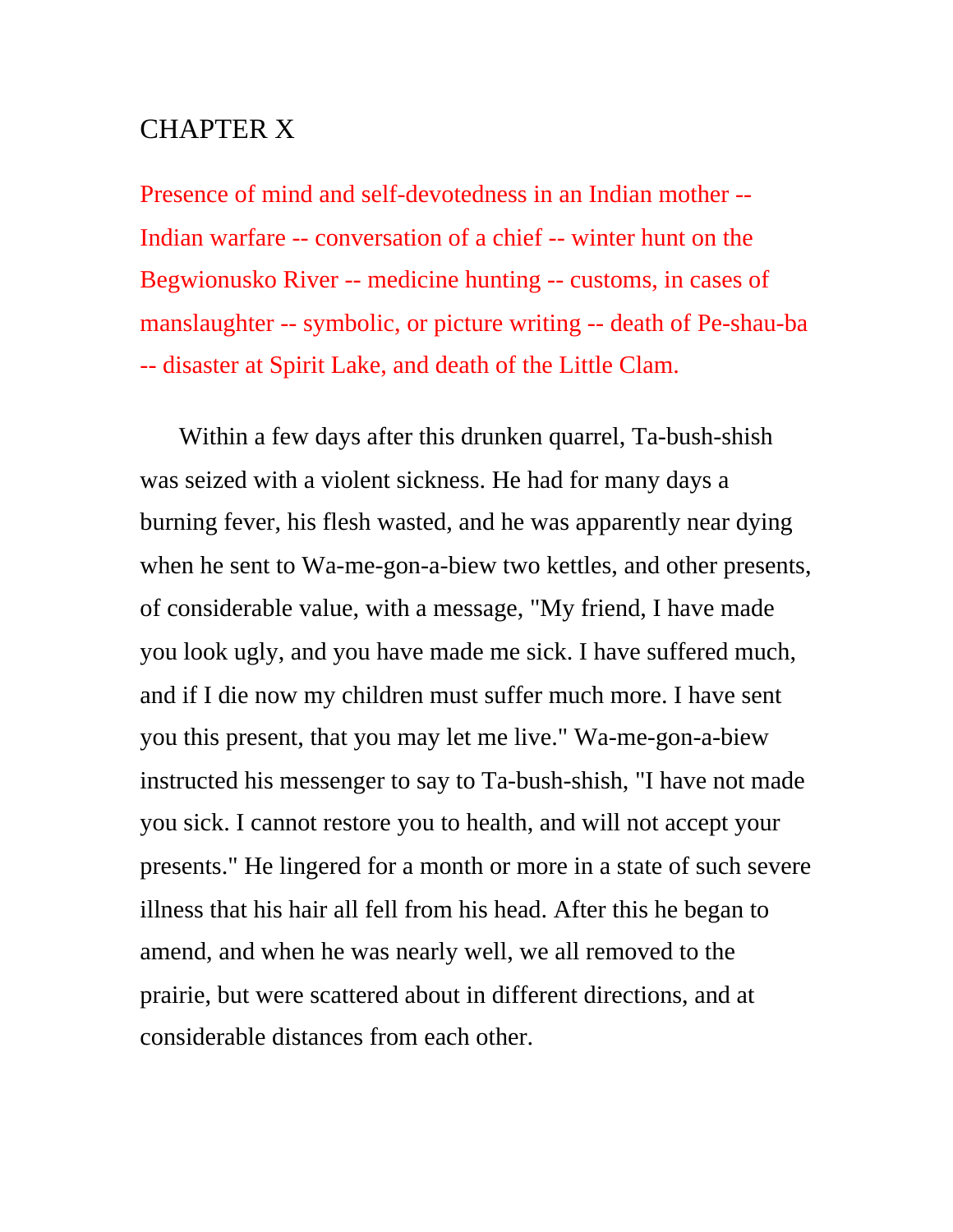## CHAPTER X

Presence of mind and self-devotedness in an Indian mother -- Indian warfare -- conversation of a chief -- winter hunt on the Begwionusko River -- medicine hunting -- customs, in cases of manslaughter -- symbolic, or picture writing -- death of Pe-shau-ba -- disaster at Spirit Lake, and death of the Little Clam.

Within a few days after this drunken quarrel, Ta-bush-shish was seized with a violent sickness. He had for many days a burning fever, his flesh wasted, and he was apparently near dying when he sent to Wa-me-gon-a-biew two kettles, and other presents, of considerable value, with a message, "My friend, I have made you look ugly, and you have made me sick. I have suffered much, and if I die now my children must suffer much more. I have sent you this present, that you may let me live." Wa-me-gon-a-biew instructed his messenger to say to Ta-bush-shish, "I have not made you sick. I cannot restore you to health, and will not accept your presents." He lingered for a month or more in a state of such severe illness that his hair all fell from his head. After this he began to amend, and when he was nearly well, we all removed to the prairie, but were scattered about in different directions, and at considerable distances from each other.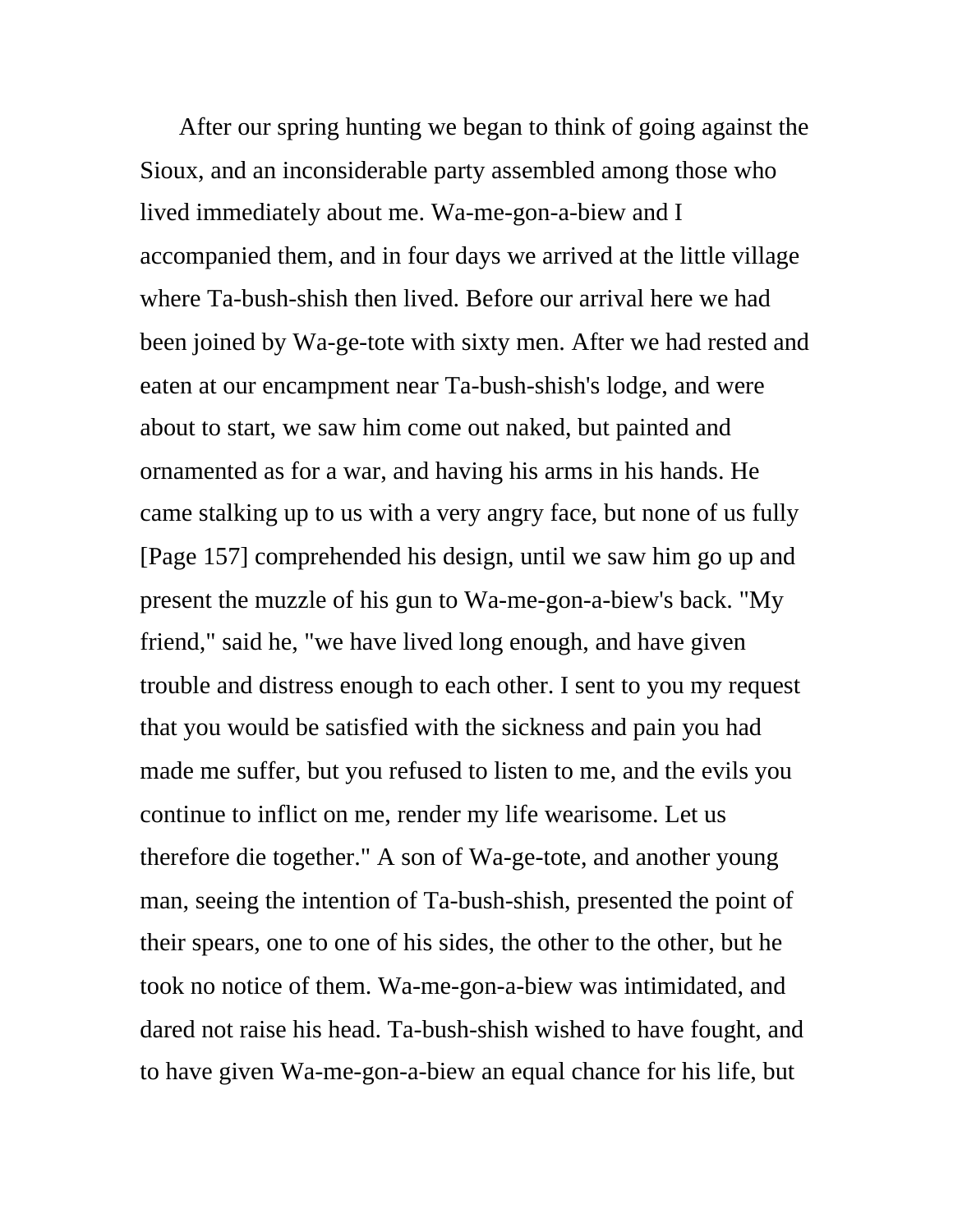After our spring hunting we began to think of going against the Sioux, and an inconsiderable party assembled among those who lived immediately about me. Wa-me-gon-a-biew and I accompanied them, and in four days we arrived at the little village where Ta-bush-shish then lived. Before our arrival here we had been joined by Wa-ge-tote with sixty men. After we had rested and eaten at our encampment near Ta-bush-shish's lodge, and were about to start, we saw him come out naked, but painted and ornamented as for a war, and having his arms in his hands. He came stalking up to us with a very angry face, but none of us fully [Page 157] comprehended his design, until we saw him go up and present the muzzle of his gun to Wa-me-gon-a-biew's back. "My friend," said he, "we have lived long enough, and have given trouble and distress enough to each other. I sent to you my request that you would be satisfied with the sickness and pain you had made me suffer, but you refused to listen to me, and the evils you continue to inflict on me, render my life wearisome. Let us therefore die together." A son of Wa-ge-tote, and another young man, seeing the intention of Ta-bush-shish, presented the point of their spears, one to one of his sides, the other to the other, but he took no notice of them. Wa-me-gon-a-biew was intimidated, and dared not raise his head. Ta-bush-shish wished to have fought, and to have given Wa-me-gon-a-biew an equal chance for his life, but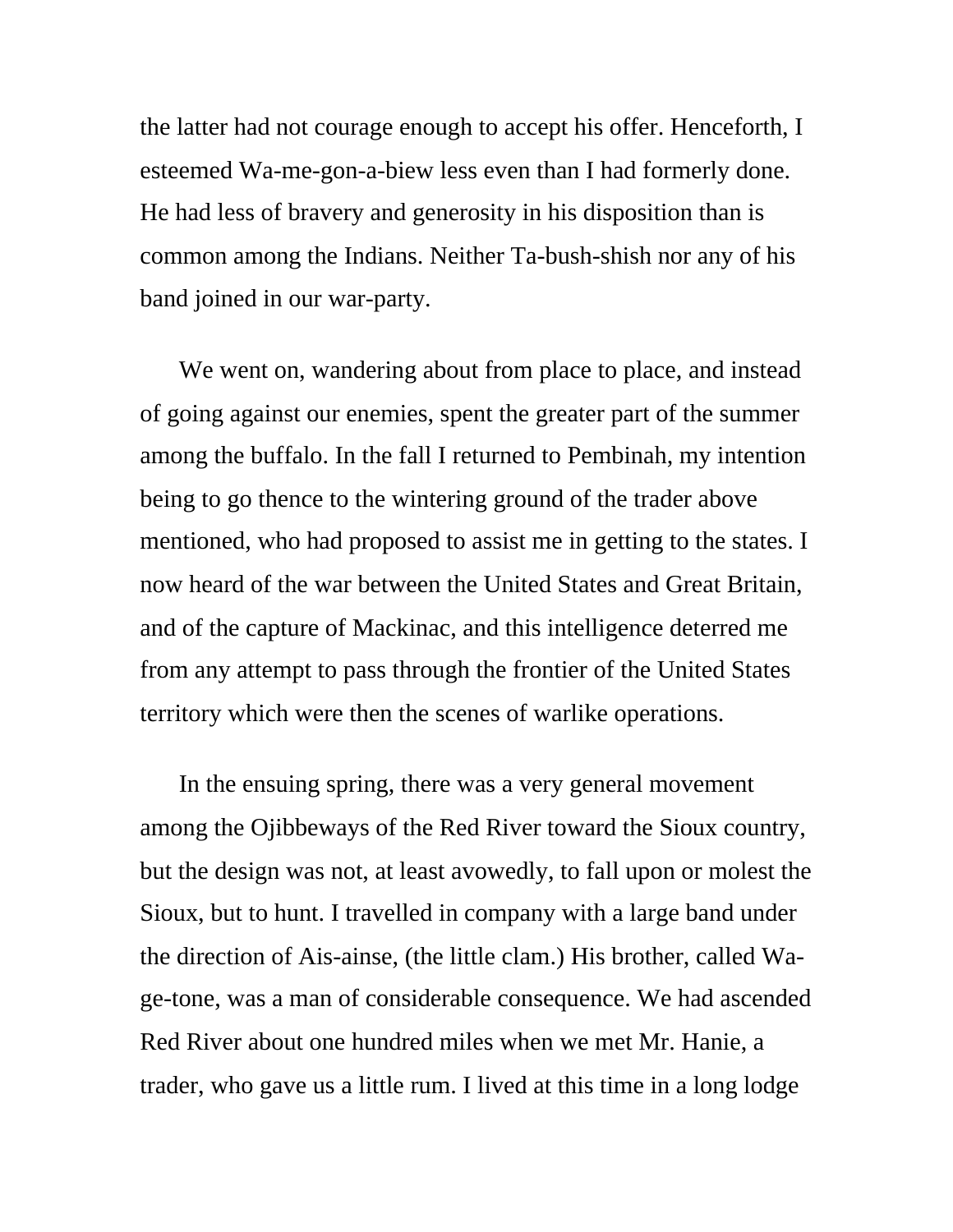the latter had not courage enough to accept his offer. Henceforth, I esteemed Wa-me-gon-a-biew less even than I had formerly done. He had less of bravery and generosity in his disposition than is common among the Indians. Neither Ta-bush-shish nor any of his band joined in our war-party.

We went on, wandering about from place to place, and instead of going against our enemies, spent the greater part of the summer among the buffalo. In the fall I returned to Pembinah, my intention being to go thence to the wintering ground of the trader above mentioned, who had proposed to assist me in getting to the states. I now heard of the war between the United States and Great Britain, and of the capture of Mackinac, and this intelligence deterred me from any attempt to pass through the frontier of the United States territory which were then the scenes of warlike operations.

In the ensuing spring, there was a very general movement among the Ojibbeways of the Red River toward the Sioux country, but the design was not, at least avowedly, to fall upon or molest the Sioux, but to hunt. I travelled in company with a large band under the direction of Ais-ainse, (the little clam.) His brother, called Wage-tone, was a man of considerable consequence. We had ascended Red River about one hundred miles when we met Mr. Hanie, a trader, who gave us a little rum. I lived at this time in a long lodge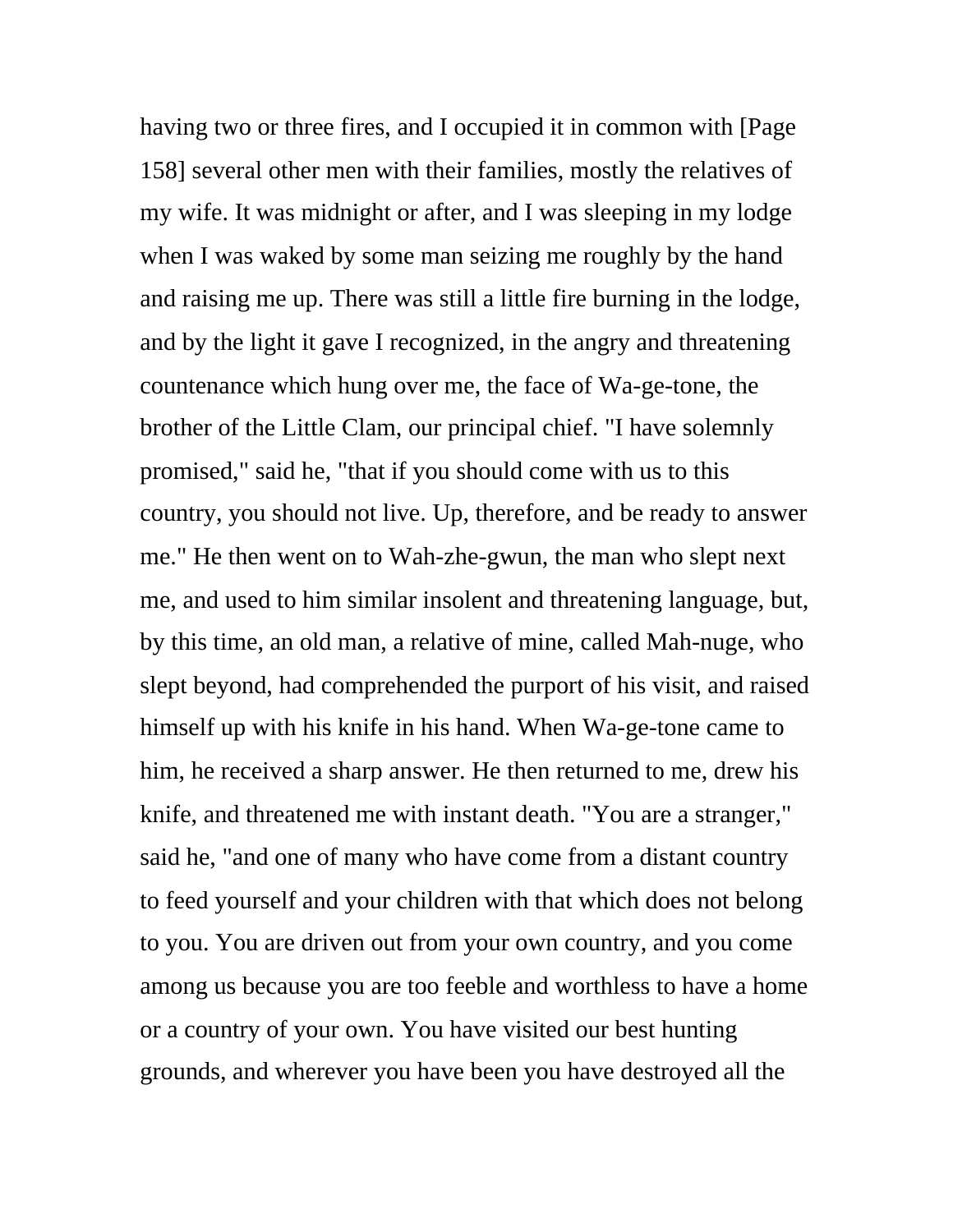having two or three fires, and I occupied it in common with [Page 158] several other men with their families, mostly the relatives of my wife. It was midnight or after, and I was sleeping in my lodge when I was waked by some man seizing me roughly by the hand and raising me up. There was still a little fire burning in the lodge, and by the light it gave I recognized, in the angry and threatening countenance which hung over me, the face of Wa-ge-tone, the brother of the Little Clam, our principal chief. "I have solemnly promised," said he, "that if you should come with us to this country, you should not live. Up, therefore, and be ready to answer me." He then went on to Wah-zhe-gwun, the man who slept next me, and used to him similar insolent and threatening language, but, by this time, an old man, a relative of mine, called Mah-nuge, who slept beyond, had comprehended the purport of his visit, and raised himself up with his knife in his hand. When Wa-ge-tone came to him, he received a sharp answer. He then returned to me, drew his knife, and threatened me with instant death. "You are a stranger," said he, "and one of many who have come from a distant country to feed yourself and your children with that which does not belong to you. You are driven out from your own country, and you come among us because you are too feeble and worthless to have a home or a country of your own. You have visited our best hunting grounds, and wherever you have been you have destroyed all the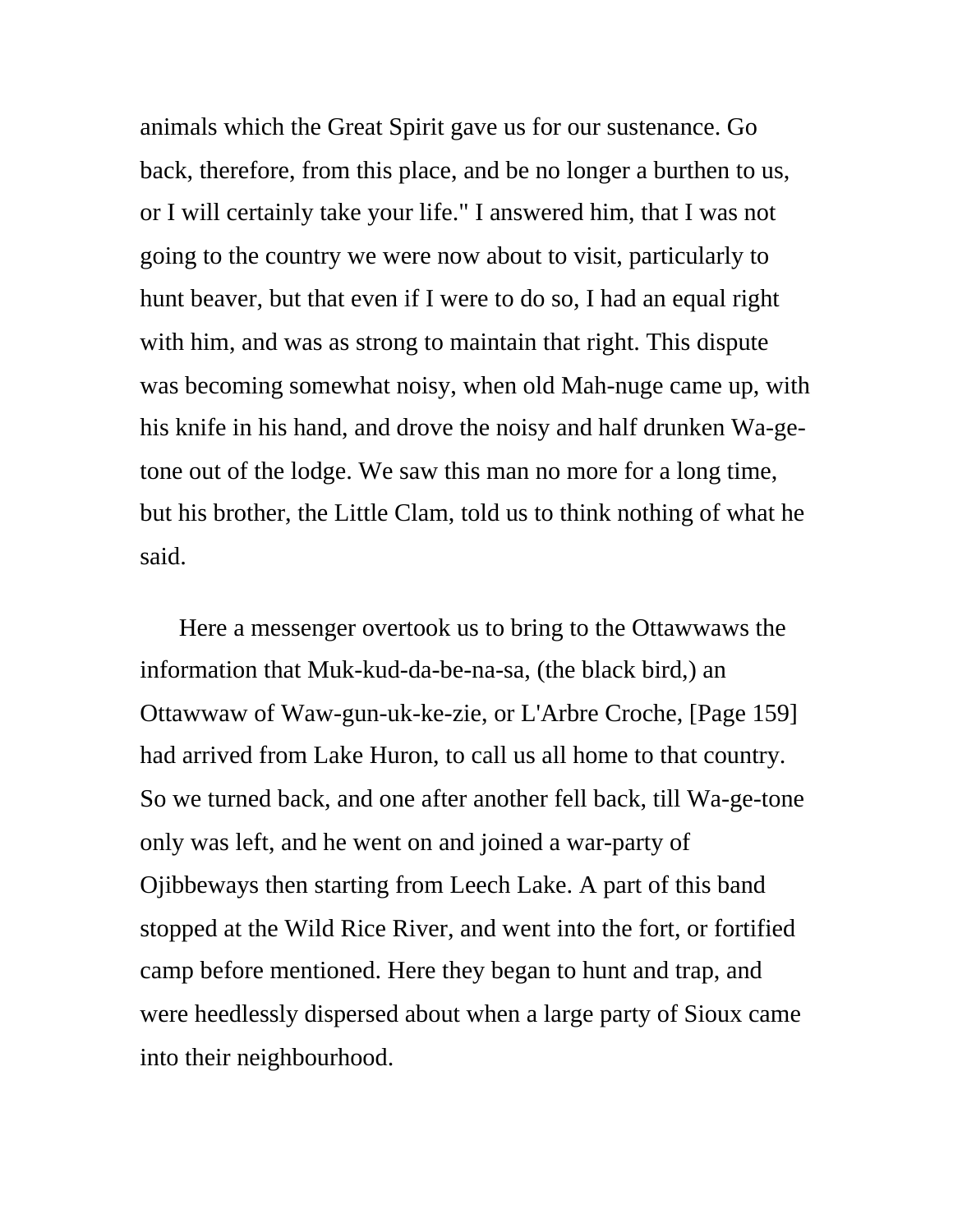animals which the Great Spirit gave us for our sustenance. Go back, therefore, from this place, and be no longer a burthen to us, or I will certainly take your life." I answered him, that I was not going to the country we were now about to visit, particularly to hunt beaver, but that even if I were to do so, I had an equal right with him, and was as strong to maintain that right. This dispute was becoming somewhat noisy, when old Mah-nuge came up, with his knife in his hand, and drove the noisy and half drunken Wa-getone out of the lodge. We saw this man no more for a long time, but his brother, the Little Clam, told us to think nothing of what he said.

Here a messenger overtook us to bring to the Ottawwaws the information that Muk-kud-da-be-na-sa, (the black bird,) an Ottawwaw of Waw-gun-uk-ke-zie, or L'Arbre Croche, [Page 159] had arrived from Lake Huron, to call us all home to that country. So we turned back, and one after another fell back, till Wa-ge-tone only was left, and he went on and joined a war-party of Ojibbeways then starting from Leech Lake. A part of this band stopped at the Wild Rice River, and went into the fort, or fortified camp before mentioned. Here they began to hunt and trap, and were heedlessly dispersed about when a large party of Sioux came into their neighbourhood.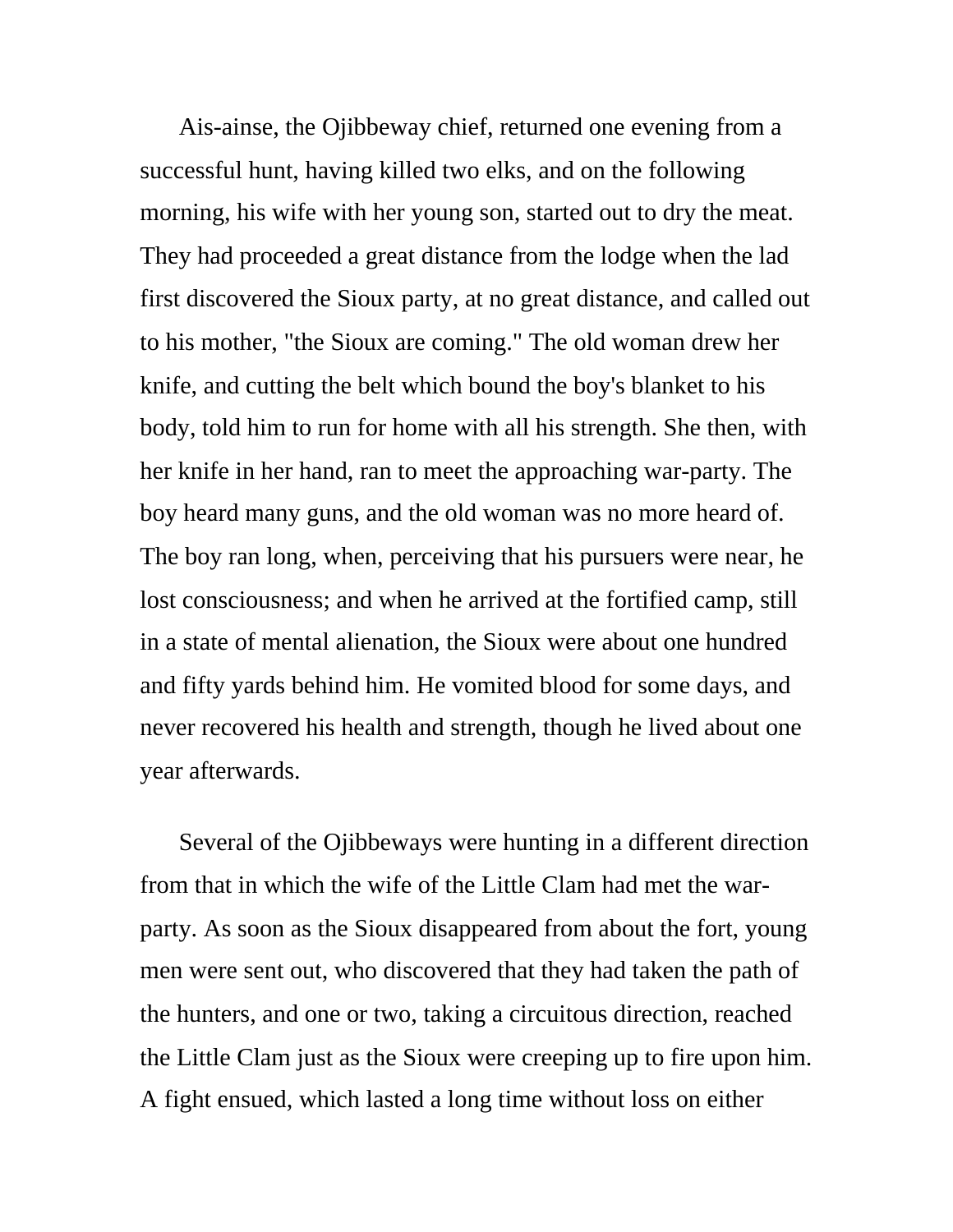Ais-ainse, the Ojibbeway chief, returned one evening from a successful hunt, having killed two elks, and on the following morning, his wife with her young son, started out to dry the meat. They had proceeded a great distance from the lodge when the lad first discovered the Sioux party, at no great distance, and called out to his mother, "the Sioux are coming." The old woman drew her knife, and cutting the belt which bound the boy's blanket to his body, told him to run for home with all his strength. She then, with her knife in her hand, ran to meet the approaching war-party. The boy heard many guns, and the old woman was no more heard of. The boy ran long, when, perceiving that his pursuers were near, he lost consciousness; and when he arrived at the fortified camp, still in a state of mental alienation, the Sioux were about one hundred and fifty yards behind him. He vomited blood for some days, and never recovered his health and strength, though he lived about one year afterwards.

Several of the Ojibbeways were hunting in a different direction from that in which the wife of the Little Clam had met the warparty. As soon as the Sioux disappeared from about the fort, young men were sent out, who discovered that they had taken the path of the hunters, and one or two, taking a circuitous direction, reached the Little Clam just as the Sioux were creeping up to fire upon him. A fight ensued, which lasted a long time without loss on either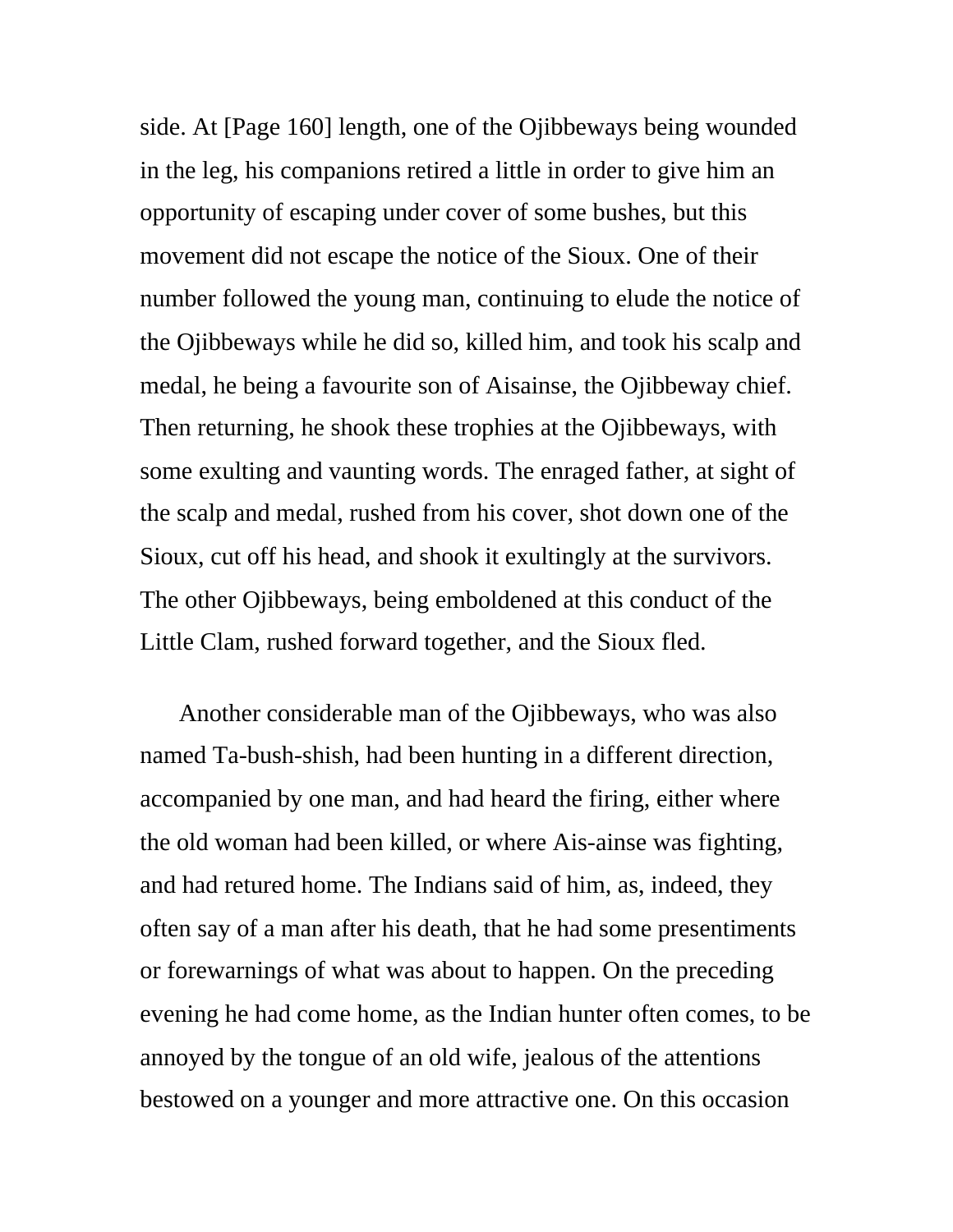side. At [Page 160] length, one of the Ojibbeways being wounded in the leg, his companions retired a little in order to give him an opportunity of escaping under cover of some bushes, but this movement did not escape the notice of the Sioux. One of their number followed the young man, continuing to elude the notice of the Ojibbeways while he did so, killed him, and took his scalp and medal, he being a favourite son of Aisainse, the Ojibbeway chief. Then returning, he shook these trophies at the Ojibbeways, with some exulting and vaunting words. The enraged father, at sight of the scalp and medal, rushed from his cover, shot down one of the Sioux, cut off his head, and shook it exultingly at the survivors. The other Ojibbeways, being emboldened at this conduct of the Little Clam, rushed forward together, and the Sioux fled.

Another considerable man of the Ojibbeways, who was also named Ta-bush-shish, had been hunting in a different direction, accompanied by one man, and had heard the firing, either where the old woman had been killed, or where Ais-ainse was fighting, and had retured home. The Indians said of him, as, indeed, they often say of a man after his death, that he had some presentiments or forewarnings of what was about to happen. On the preceding evening he had come home, as the Indian hunter often comes, to be annoyed by the tongue of an old wife, jealous of the attentions bestowed on a younger and more attractive one. On this occasion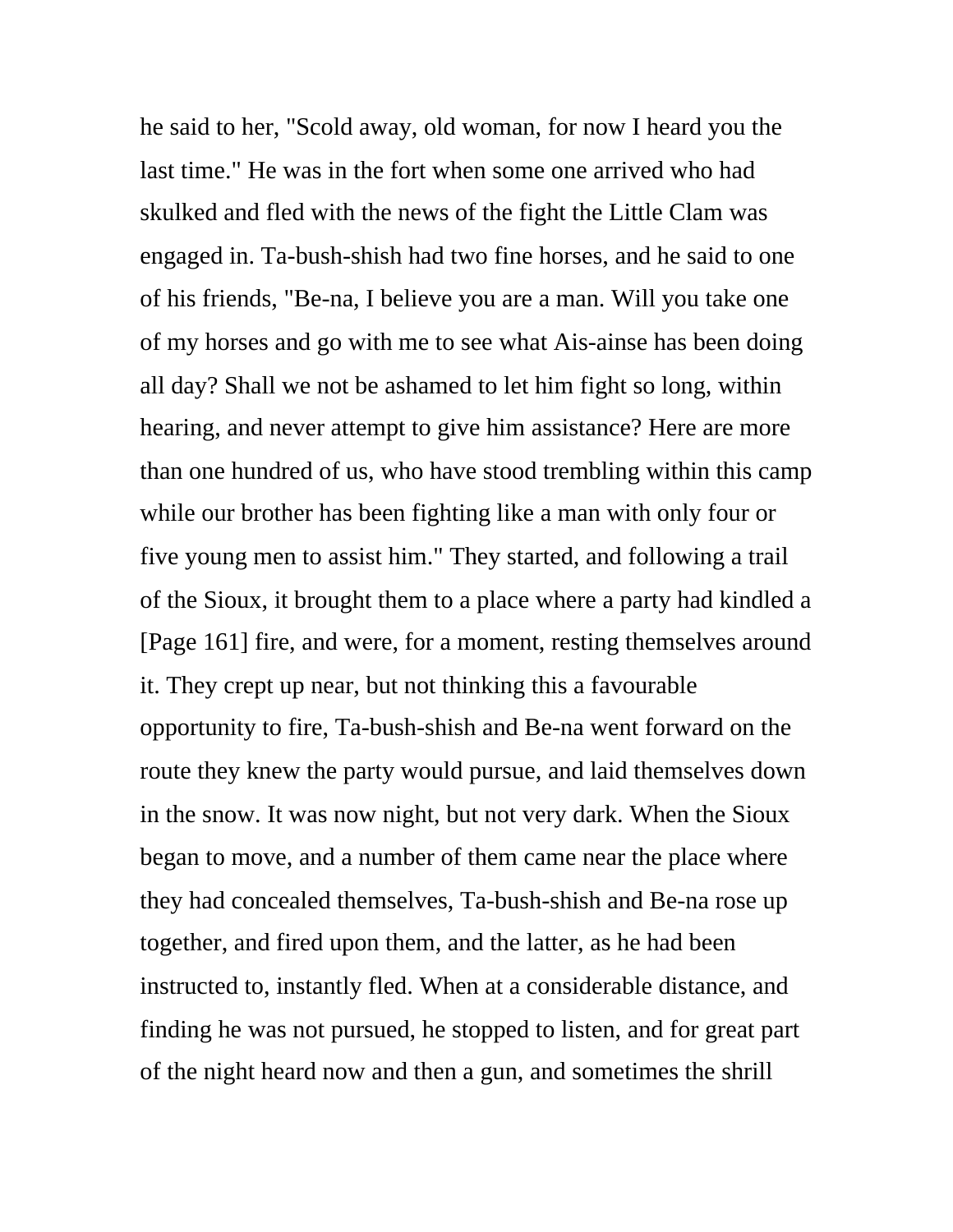he said to her, "Scold away, old woman, for now I heard you the last time." He was in the fort when some one arrived who had skulked and fled with the news of the fight the Little Clam was engaged in. Ta-bush-shish had two fine horses, and he said to one of his friends, "Be-na, I believe you are a man. Will you take one of my horses and go with me to see what Ais-ainse has been doing all day? Shall we not be ashamed to let him fight so long, within hearing, and never attempt to give him assistance? Here are more than one hundred of us, who have stood trembling within this camp while our brother has been fighting like a man with only four or five young men to assist him." They started, and following a trail of the Sioux, it brought them to a place where a party had kindled a [Page 161] fire, and were, for a moment, resting themselves around it. They crept up near, but not thinking this a favourable opportunity to fire, Ta-bush-shish and Be-na went forward on the route they knew the party would pursue, and laid themselves down in the snow. It was now night, but not very dark. When the Sioux began to move, and a number of them came near the place where they had concealed themselves, Ta-bush-shish and Be-na rose up together, and fired upon them, and the latter, as he had been instructed to, instantly fled. When at a considerable distance, and finding he was not pursued, he stopped to listen, and for great part of the night heard now and then a gun, and sometimes the shrill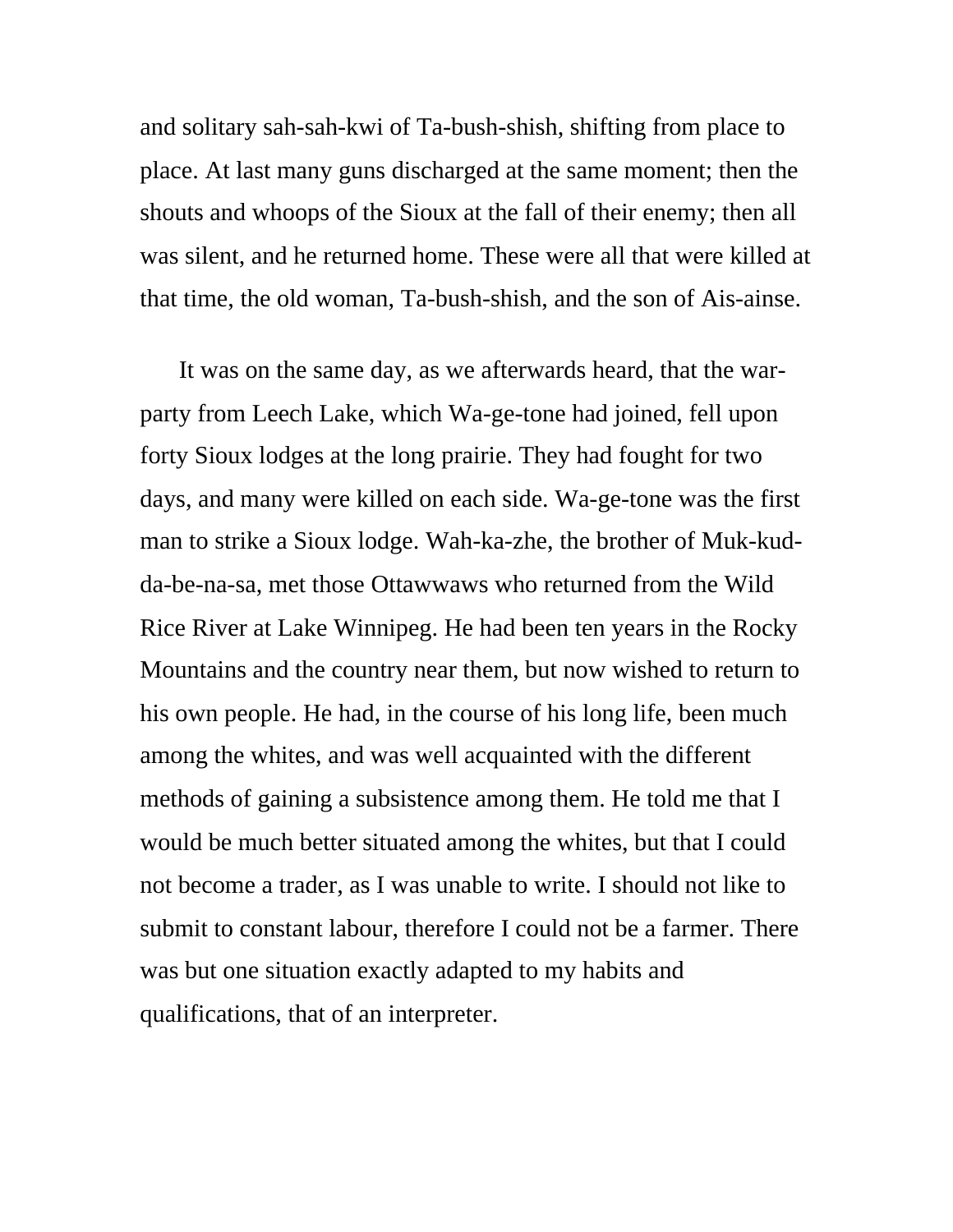and solitary sah-sah-kwi of Ta-bush-shish, shifting from place to place. At last many guns discharged at the same moment; then the shouts and whoops of the Sioux at the fall of their enemy; then all was silent, and he returned home. These were all that were killed at that time, the old woman, Ta-bush-shish, and the son of Ais-ainse.

It was on the same day, as we afterwards heard, that the warparty from Leech Lake, which Wa-ge-tone had joined, fell upon forty Sioux lodges at the long prairie. They had fought for two days, and many were killed on each side. Wa-ge-tone was the first man to strike a Sioux lodge. Wah-ka-zhe, the brother of Muk-kudda-be-na-sa, met those Ottawwaws who returned from the Wild Rice River at Lake Winnipeg. He had been ten years in the Rocky Mountains and the country near them, but now wished to return to his own people. He had, in the course of his long life, been much among the whites, and was well acquainted with the different methods of gaining a subsistence among them. He told me that I would be much better situated among the whites, but that I could not become a trader, as I was unable to write. I should not like to submit to constant labour, therefore I could not be a farmer. There was but one situation exactly adapted to my habits and qualifications, that of an interpreter.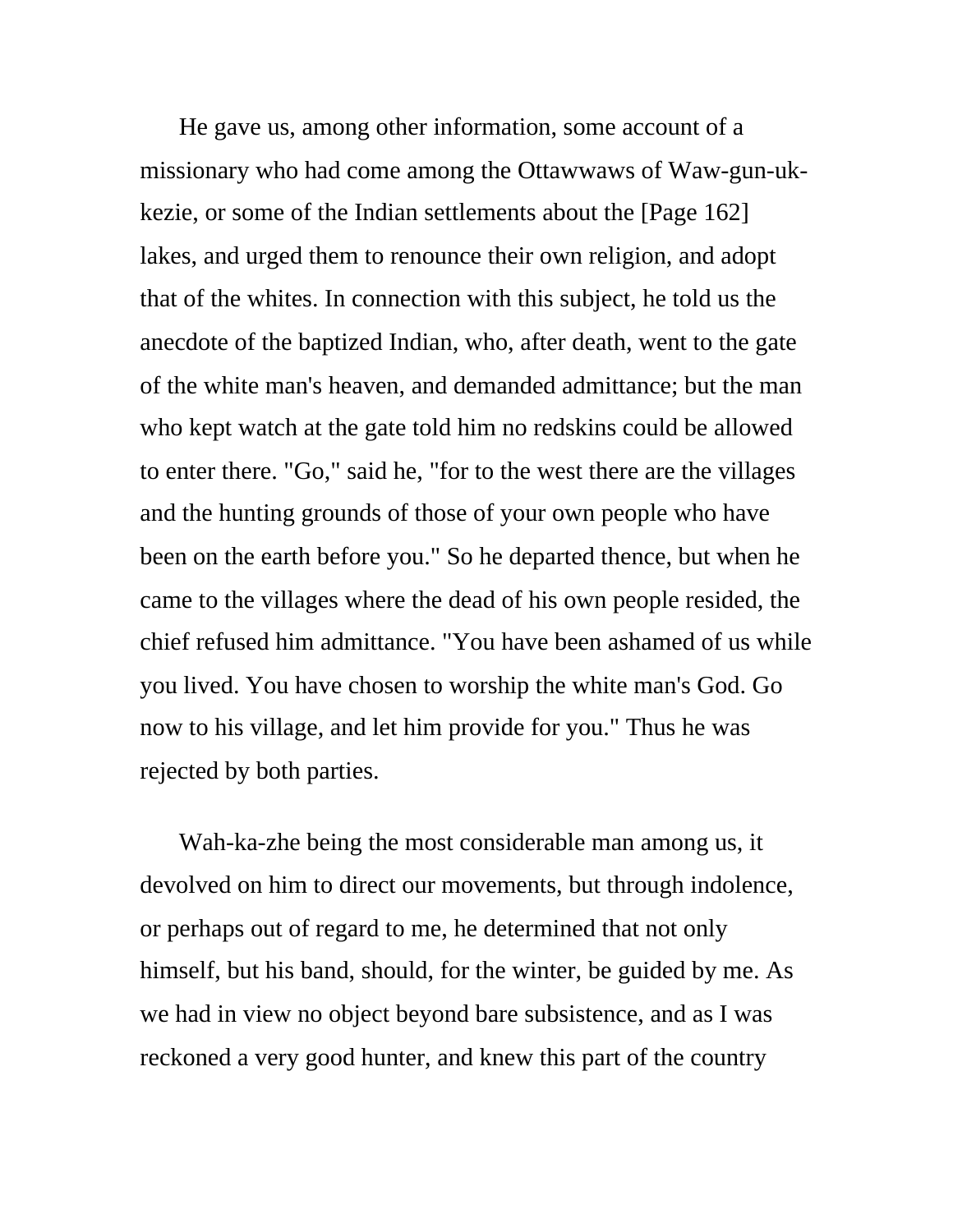He gave us, among other information, some account of a missionary who had come among the Ottawwaws of Waw-gun-ukkezie, or some of the Indian settlements about the [Page 162] lakes, and urged them to renounce their own religion, and adopt that of the whites. In connection with this subject, he told us the anecdote of the baptized Indian, who, after death, went to the gate of the white man's heaven, and demanded admittance; but the man who kept watch at the gate told him no redskins could be allowed to enter there. "Go," said he, "for to the west there are the villages and the hunting grounds of those of your own people who have been on the earth before you." So he departed thence, but when he came to the villages where the dead of his own people resided, the chief refused him admittance. "You have been ashamed of us while you lived. You have chosen to worship the white man's God. Go now to his village, and let him provide for you." Thus he was rejected by both parties.

Wah-ka-zhe being the most considerable man among us, it devolved on him to direct our movements, but through indolence, or perhaps out of regard to me, he determined that not only himself, but his band, should, for the winter, be guided by me. As we had in view no object beyond bare subsistence, and as I was reckoned a very good hunter, and knew this part of the country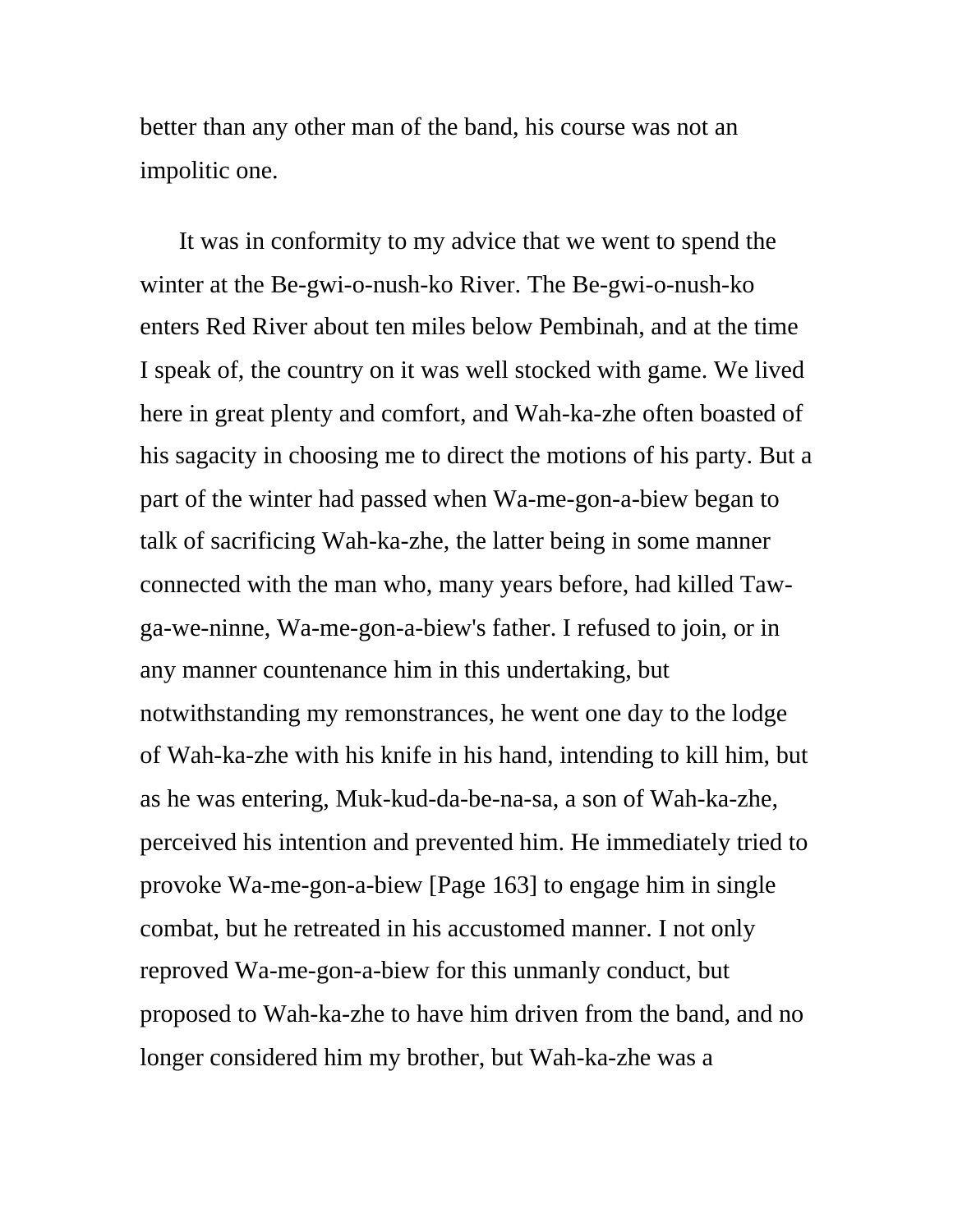better than any other man of the band, his course was not an impolitic one.

It was in conformity to my advice that we went to spend the winter at the Be-gwi-o-nush-ko River. The Be-gwi-o-nush-ko enters Red River about ten miles below Pembinah, and at the time I speak of, the country on it was well stocked with game. We lived here in great plenty and comfort, and Wah-ka-zhe often boasted of his sagacity in choosing me to direct the motions of his party. But a part of the winter had passed when Wa-me-gon-a-biew began to talk of sacrificing Wah-ka-zhe, the latter being in some manner connected with the man who, many years before, had killed Tawga-we-ninne, Wa-me-gon-a-biew's father. I refused to join, or in any manner countenance him in this undertaking, but notwithstanding my remonstrances, he went one day to the lodge of Wah-ka-zhe with his knife in his hand, intending to kill him, but as he was entering, Muk-kud-da-be-na-sa, a son of Wah-ka-zhe, perceived his intention and prevented him. He immediately tried to provoke Wa-me-gon-a-biew [Page 163] to engage him in single combat, but he retreated in his accustomed manner. I not only reproved Wa-me-gon-a-biew for this unmanly conduct, but proposed to Wah-ka-zhe to have him driven from the band, and no longer considered him my brother, but Wah-ka-zhe was a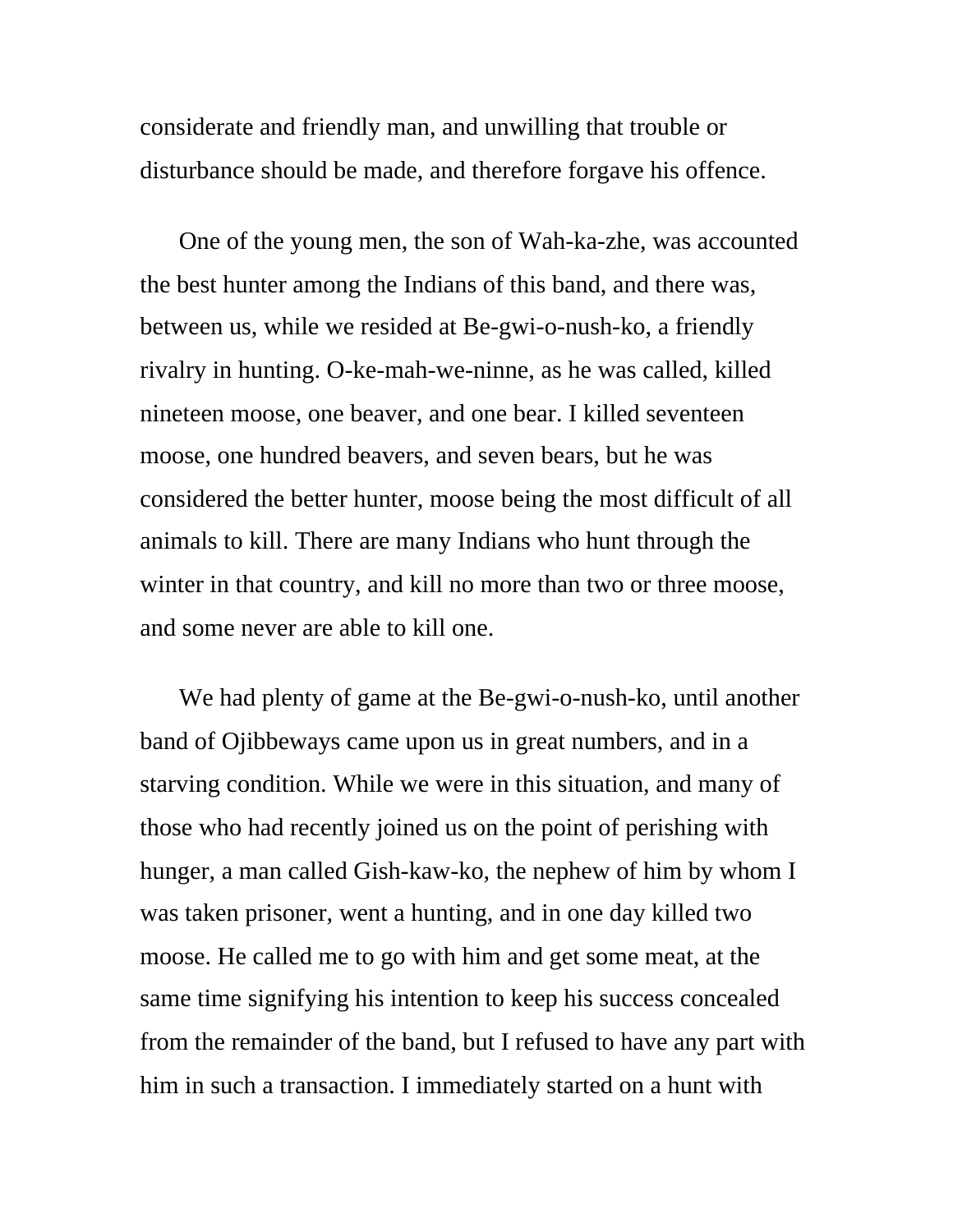considerate and friendly man, and unwilling that trouble or disturbance should be made, and therefore forgave his offence.

One of the young men, the son of Wah-ka-zhe, was accounted the best hunter among the Indians of this band, and there was, between us, while we resided at Be-gwi-o-nush-ko, a friendly rivalry in hunting. O-ke-mah-we-ninne, as he was called, killed nineteen moose, one beaver, and one bear. I killed seventeen moose, one hundred beavers, and seven bears, but he was considered the better hunter, moose being the most difficult of all animals to kill. There are many Indians who hunt through the winter in that country, and kill no more than two or three moose, and some never are able to kill one.

We had plenty of game at the Be-gwi-o-nush-ko, until another band of Ojibbeways came upon us in great numbers, and in a starving condition. While we were in this situation, and many of those who had recently joined us on the point of perishing with hunger, a man called Gish-kaw-ko, the nephew of him by whom I was taken prisoner, went a hunting, and in one day killed two moose. He called me to go with him and get some meat, at the same time signifying his intention to keep his success concealed from the remainder of the band, but I refused to have any part with him in such a transaction. I immediately started on a hunt with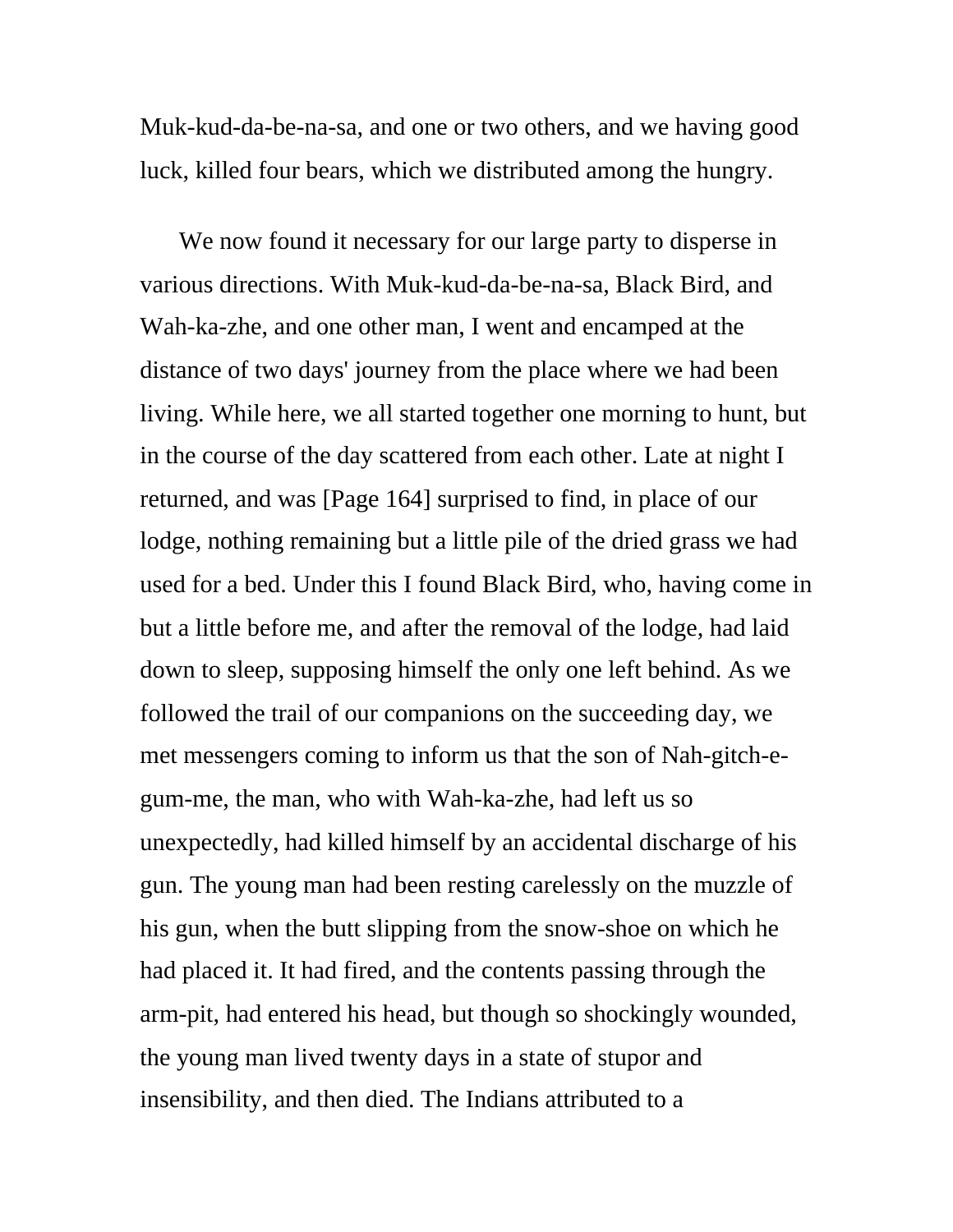Muk-kud-da-be-na-sa, and one or two others, and we having good luck, killed four bears, which we distributed among the hungry.

We now found it necessary for our large party to disperse in various directions. With Muk-kud-da-be-na-sa, Black Bird, and Wah-ka-zhe, and one other man, I went and encamped at the distance of two days' journey from the place where we had been living. While here, we all started together one morning to hunt, but in the course of the day scattered from each other. Late at night I returned, and was [Page 164] surprised to find, in place of our lodge, nothing remaining but a little pile of the dried grass we had used for a bed. Under this I found Black Bird, who, having come in but a little before me, and after the removal of the lodge, had laid down to sleep, supposing himself the only one left behind. As we followed the trail of our companions on the succeeding day, we met messengers coming to inform us that the son of Nah-gitch-egum-me, the man, who with Wah-ka-zhe, had left us so unexpectedly, had killed himself by an accidental discharge of his gun. The young man had been resting carelessly on the muzzle of his gun, when the butt slipping from the snow-shoe on which he had placed it. It had fired, and the contents passing through the arm-pit, had entered his head, but though so shockingly wounded, the young man lived twenty days in a state of stupor and insensibility, and then died. The Indians attributed to a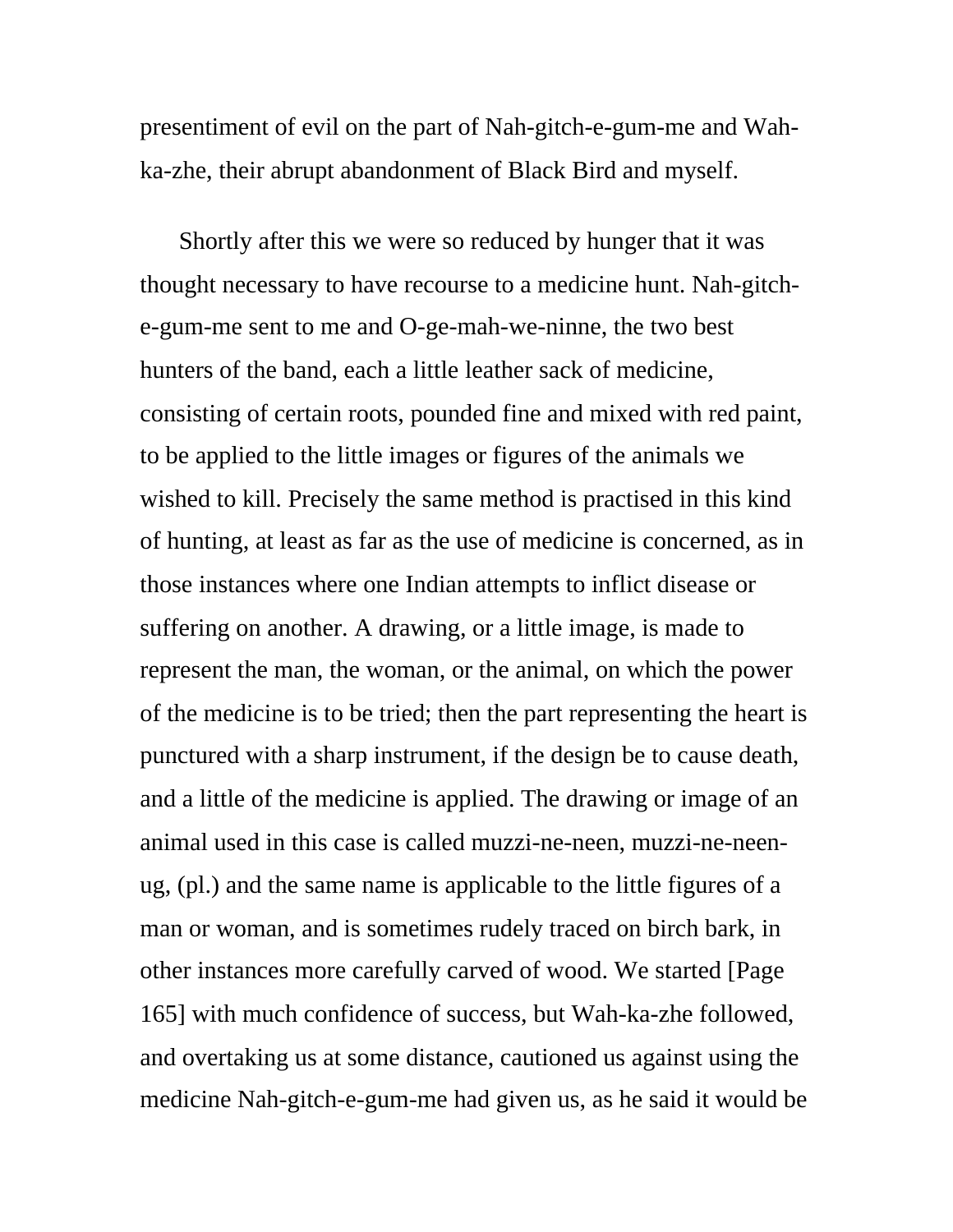presentiment of evil on the part of Nah-gitch-e-gum-me and Wahka-zhe, their abrupt abandonment of Black Bird and myself.

Shortly after this we were so reduced by hunger that it was thought necessary to have recourse to a medicine hunt. Nah-gitche-gum-me sent to me and O-ge-mah-we-ninne, the two best hunters of the band, each a little leather sack of medicine, consisting of certain roots, pounded fine and mixed with red paint, to be applied to the little images or figures of the animals we wished to kill. Precisely the same method is practised in this kind of hunting, at least as far as the use of medicine is concerned, as in those instances where one Indian attempts to inflict disease or suffering on another. A drawing, or a little image, is made to represent the man, the woman, or the animal, on which the power of the medicine is to be tried; then the part representing the heart is punctured with a sharp instrument, if the design be to cause death, and a little of the medicine is applied. The drawing or image of an animal used in this case is called muzzi-ne-neen, muzzi-ne-neenug, (pl.) and the same name is applicable to the little figures of a man or woman, and is sometimes rudely traced on birch bark, in other instances more carefully carved of wood. We started [Page 165] with much confidence of success, but Wah-ka-zhe followed, and overtaking us at some distance, cautioned us against using the medicine Nah-gitch-e-gum-me had given us, as he said it would be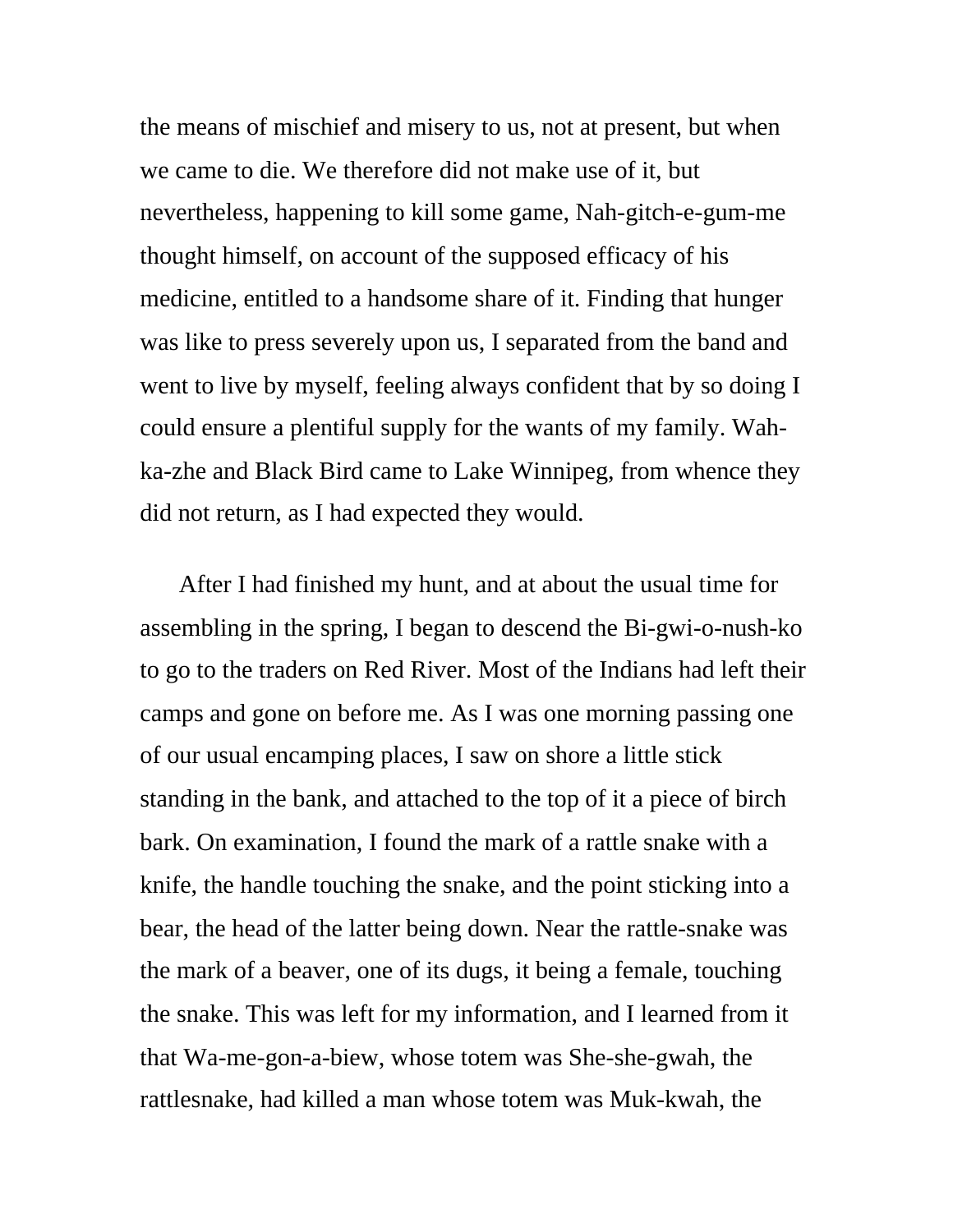the means of mischief and misery to us, not at present, but when we came to die. We therefore did not make use of it, but nevertheless, happening to kill some game, Nah-gitch-e-gum-me thought himself, on account of the supposed efficacy of his medicine, entitled to a handsome share of it. Finding that hunger was like to press severely upon us, I separated from the band and went to live by myself, feeling always confident that by so doing I could ensure a plentiful supply for the wants of my family. Wahka-zhe and Black Bird came to Lake Winnipeg, from whence they did not return, as I had expected they would.

After I had finished my hunt, and at about the usual time for assembling in the spring, I began to descend the Bi-gwi-o-nush-ko to go to the traders on Red River. Most of the Indians had left their camps and gone on before me. As I was one morning passing one of our usual encamping places, I saw on shore a little stick standing in the bank, and attached to the top of it a piece of birch bark. On examination, I found the mark of a rattle snake with a knife, the handle touching the snake, and the point sticking into a bear, the head of the latter being down. Near the rattle-snake was the mark of a beaver, one of its dugs, it being a female, touching the snake. This was left for my information, and I learned from it that Wa-me-gon-a-biew, whose totem was She-she-gwah, the rattlesnake, had killed a man whose totem was Muk-kwah, the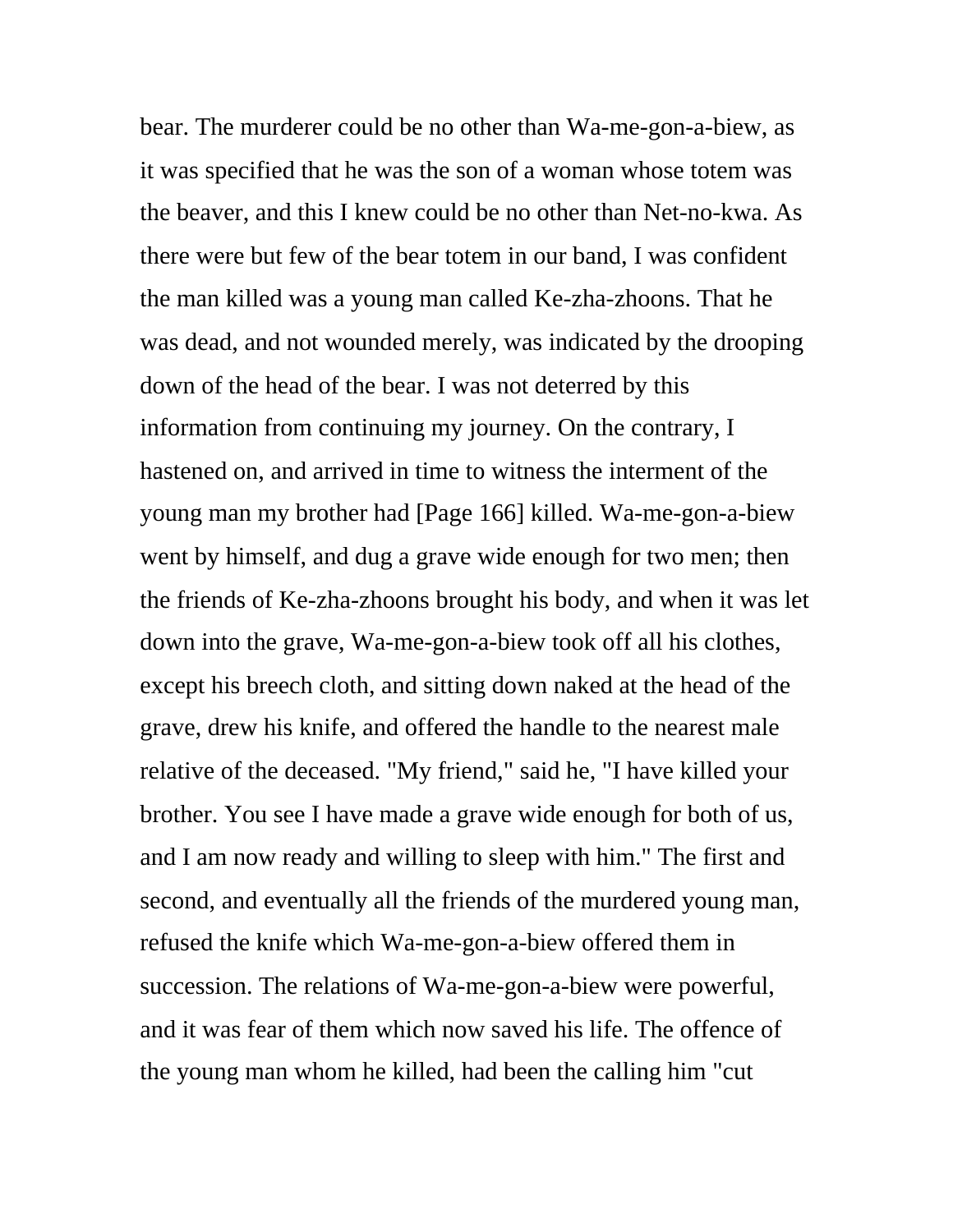bear. The murderer could be no other than Wa-me-gon-a-biew, as it was specified that he was the son of a woman whose totem was the beaver, and this I knew could be no other than Net-no-kwa. As there were but few of the bear totem in our band, I was confident the man killed was a young man called Ke-zha-zhoons. That he was dead, and not wounded merely, was indicated by the drooping down of the head of the bear. I was not deterred by this information from continuing my journey. On the contrary, I hastened on, and arrived in time to witness the interment of the young man my brother had [Page 166] killed. Wa-me-gon-a-biew went by himself, and dug a grave wide enough for two men; then the friends of Ke-zha-zhoons brought his body, and when it was let down into the grave, Wa-me-gon-a-biew took off all his clothes, except his breech cloth, and sitting down naked at the head of the grave, drew his knife, and offered the handle to the nearest male relative of the deceased. "My friend," said he, "I have killed your brother. You see I have made a grave wide enough for both of us, and I am now ready and willing to sleep with him." The first and second, and eventually all the friends of the murdered young man, refused the knife which Wa-me-gon-a-biew offered them in succession. The relations of Wa-me-gon-a-biew were powerful, and it was fear of them which now saved his life. The offence of the young man whom he killed, had been the calling him "cut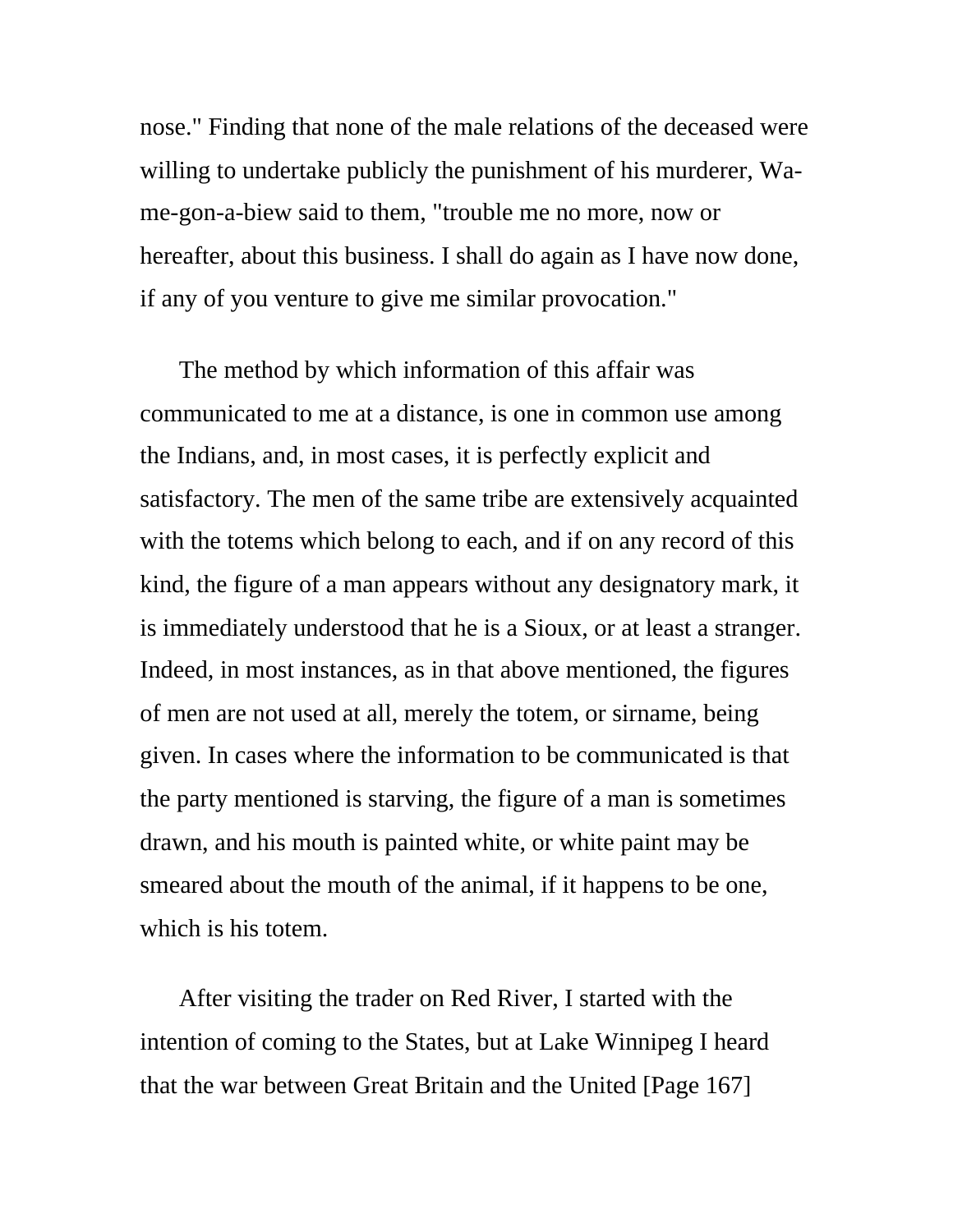nose." Finding that none of the male relations of the deceased were willing to undertake publicly the punishment of his murderer, Wame-gon-a-biew said to them, "trouble me no more, now or hereafter, about this business. I shall do again as I have now done, if any of you venture to give me similar provocation."

The method by which information of this affair was communicated to me at a distance, is one in common use among the Indians, and, in most cases, it is perfectly explicit and satisfactory. The men of the same tribe are extensively acquainted with the totems which belong to each, and if on any record of this kind, the figure of a man appears without any designatory mark, it is immediately understood that he is a Sioux, or at least a stranger. Indeed, in most instances, as in that above mentioned, the figures of men are not used at all, merely the totem, or sirname, being given. In cases where the information to be communicated is that the party mentioned is starving, the figure of a man is sometimes drawn, and his mouth is painted white, or white paint may be smeared about the mouth of the animal, if it happens to be one, which is his totem.

After visiting the trader on Red River, I started with the intention of coming to the States, but at Lake Winnipeg I heard that the war between Great Britain and the United [Page 167]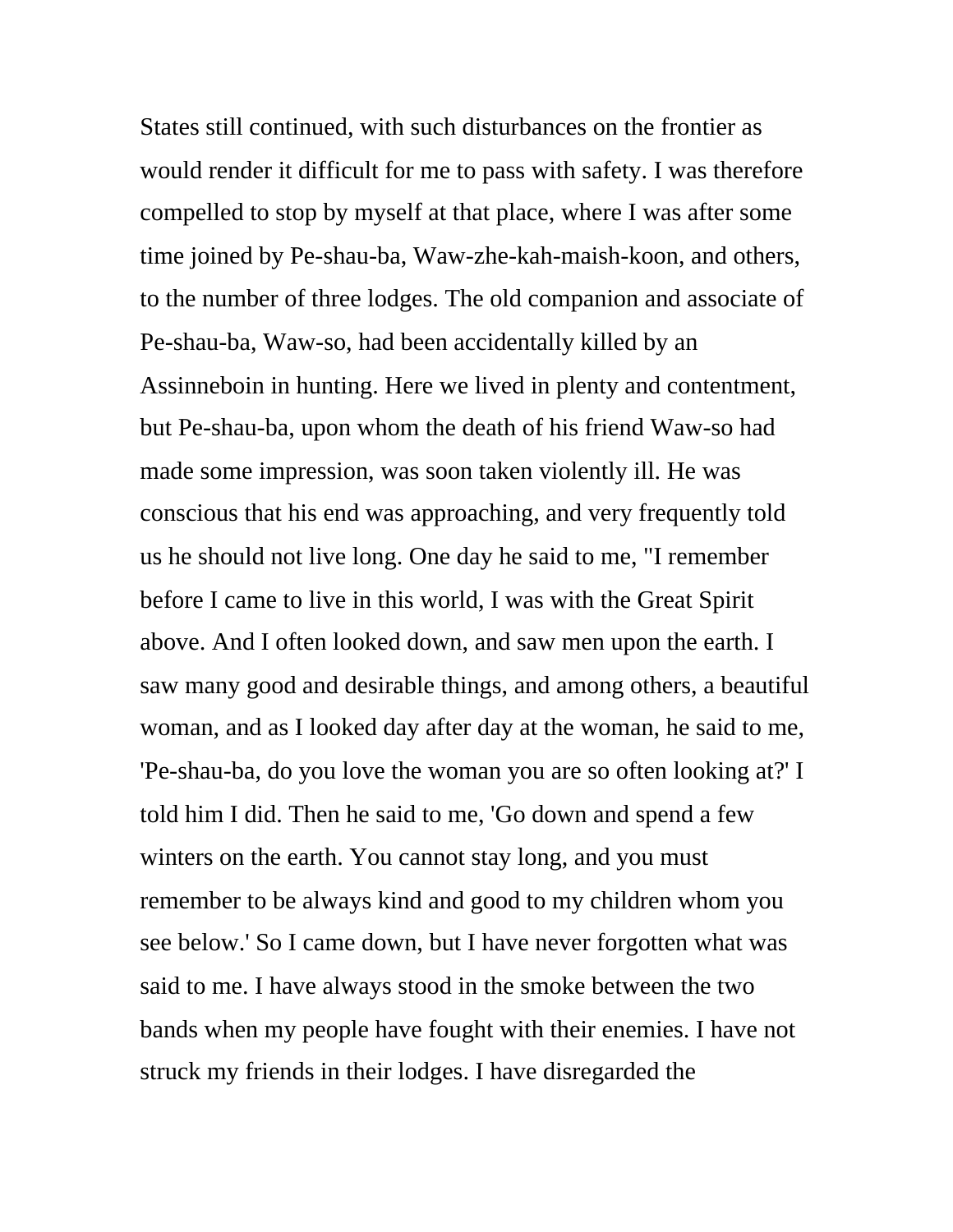States still continued, with such disturbances on the frontier as would render it difficult for me to pass with safety. I was therefore compelled to stop by myself at that place, where I was after some time joined by Pe-shau-ba, Waw-zhe-kah-maish-koon, and others, to the number of three lodges. The old companion and associate of Pe-shau-ba, Waw-so, had been accidentally killed by an Assinneboin in hunting. Here we lived in plenty and contentment, but Pe-shau-ba, upon whom the death of his friend Waw-so had made some impression, was soon taken violently ill. He was conscious that his end was approaching, and very frequently told us he should not live long. One day he said to me, "I remember before I came to live in this world, I was with the Great Spirit above. And I often looked down, and saw men upon the earth. I saw many good and desirable things, and among others, a beautiful woman, and as I looked day after day at the woman, he said to me, 'Pe-shau-ba, do you love the woman you are so often looking at?' I told him I did. Then he said to me, 'Go down and spend a few winters on the earth. You cannot stay long, and you must remember to be always kind and good to my children whom you see below.' So I came down, but I have never forgotten what was said to me. I have always stood in the smoke between the two bands when my people have fought with their enemies. I have not struck my friends in their lodges. I have disregarded the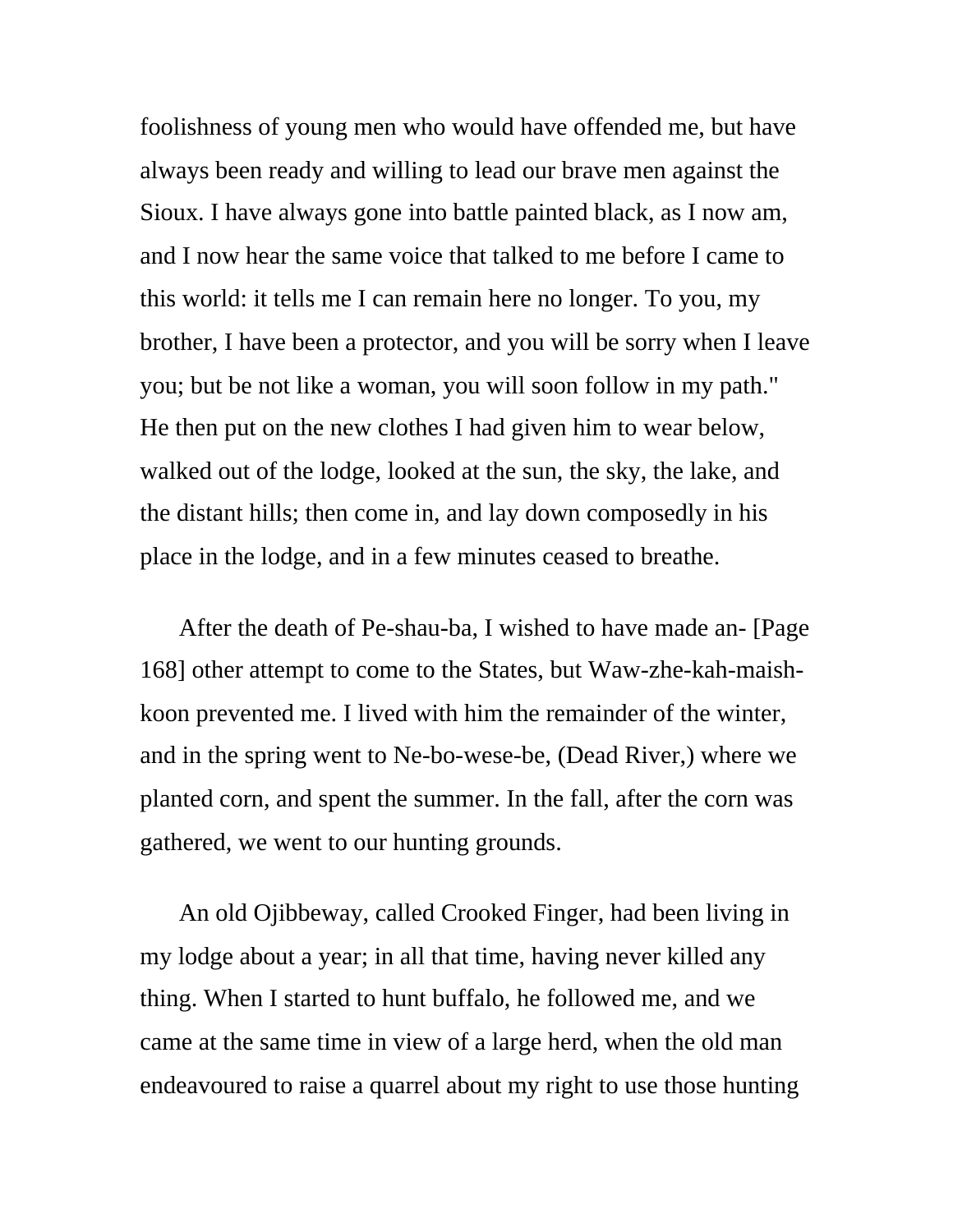foolishness of young men who would have offended me, but have always been ready and willing to lead our brave men against the Sioux. I have always gone into battle painted black, as I now am, and I now hear the same voice that talked to me before I came to this world: it tells me I can remain here no longer. To you, my brother, I have been a protector, and you will be sorry when I leave you; but be not like a woman, you will soon follow in my path." He then put on the new clothes I had given him to wear below, walked out of the lodge, looked at the sun, the sky, the lake, and the distant hills; then come in, and lay down composedly in his place in the lodge, and in a few minutes ceased to breathe.

After the death of Pe-shau-ba, I wished to have made an- [Page 168] other attempt to come to the States, but Waw-zhe-kah-maishkoon prevented me. I lived with him the remainder of the winter, and in the spring went to Ne-bo-wese-be, (Dead River,) where we planted corn, and spent the summer. In the fall, after the corn was gathered, we went to our hunting grounds.

An old Ojibbeway, called Crooked Finger, had been living in my lodge about a year; in all that time, having never killed any thing. When I started to hunt buffalo, he followed me, and we came at the same time in view of a large herd, when the old man endeavoured to raise a quarrel about my right to use those hunting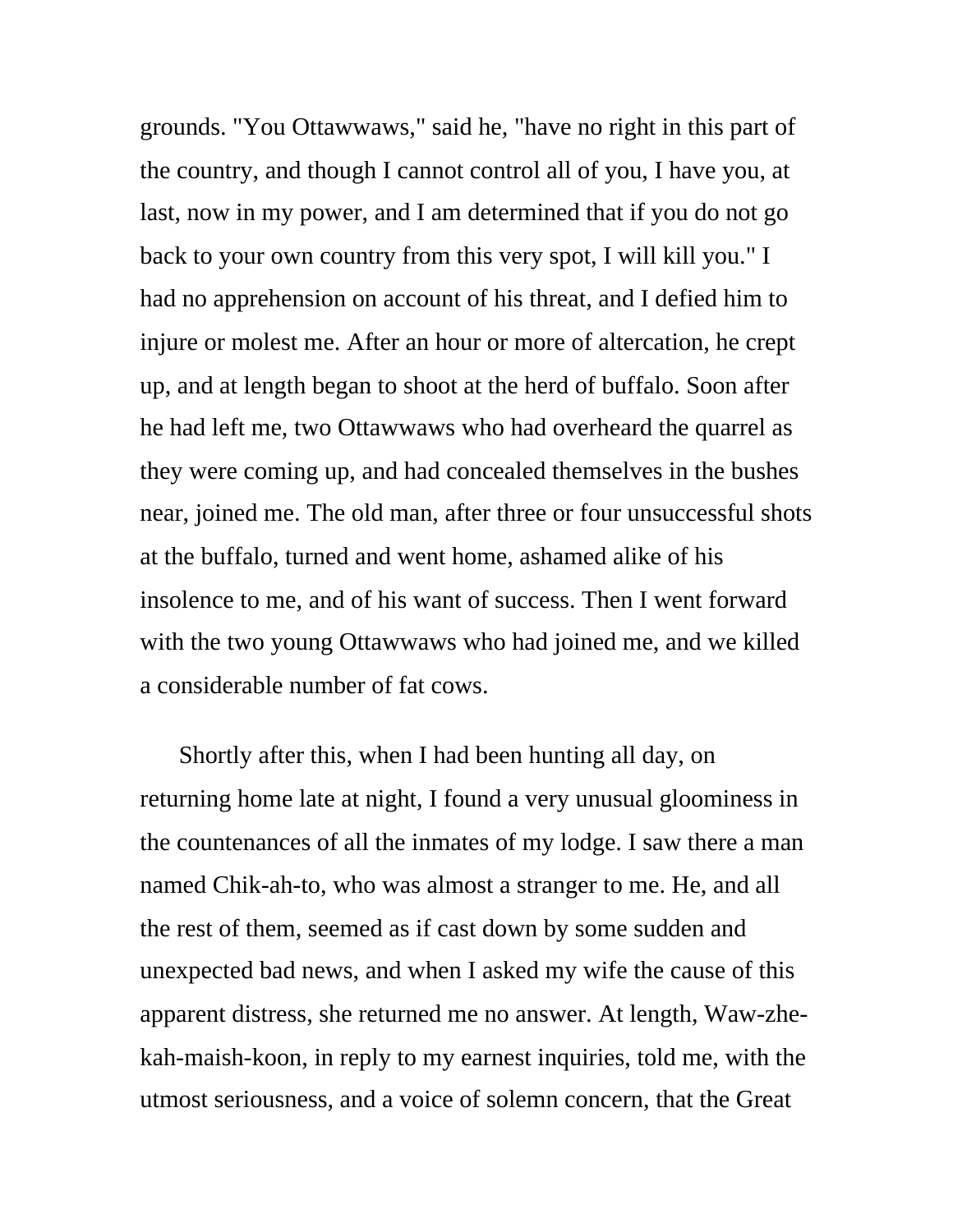grounds. "You Ottawwaws," said he, "have no right in this part of the country, and though I cannot control all of you, I have you, at last, now in my power, and I am determined that if you do not go back to your own country from this very spot, I will kill you." I had no apprehension on account of his threat, and I defied him to injure or molest me. After an hour or more of altercation, he crept up, and at length began to shoot at the herd of buffalo. Soon after he had left me, two Ottawwaws who had overheard the quarrel as they were coming up, and had concealed themselves in the bushes near, joined me. The old man, after three or four unsuccessful shots at the buffalo, turned and went home, ashamed alike of his insolence to me, and of his want of success. Then I went forward with the two young Ottawwaws who had joined me, and we killed a considerable number of fat cows.

Shortly after this, when I had been hunting all day, on returning home late at night, I found a very unusual gloominess in the countenances of all the inmates of my lodge. I saw there a man named Chik-ah-to, who was almost a stranger to me. He, and all the rest of them, seemed as if cast down by some sudden and unexpected bad news, and when I asked my wife the cause of this apparent distress, she returned me no answer. At length, Waw-zhekah-maish-koon, in reply to my earnest inquiries, told me, with the utmost seriousness, and a voice of solemn concern, that the Great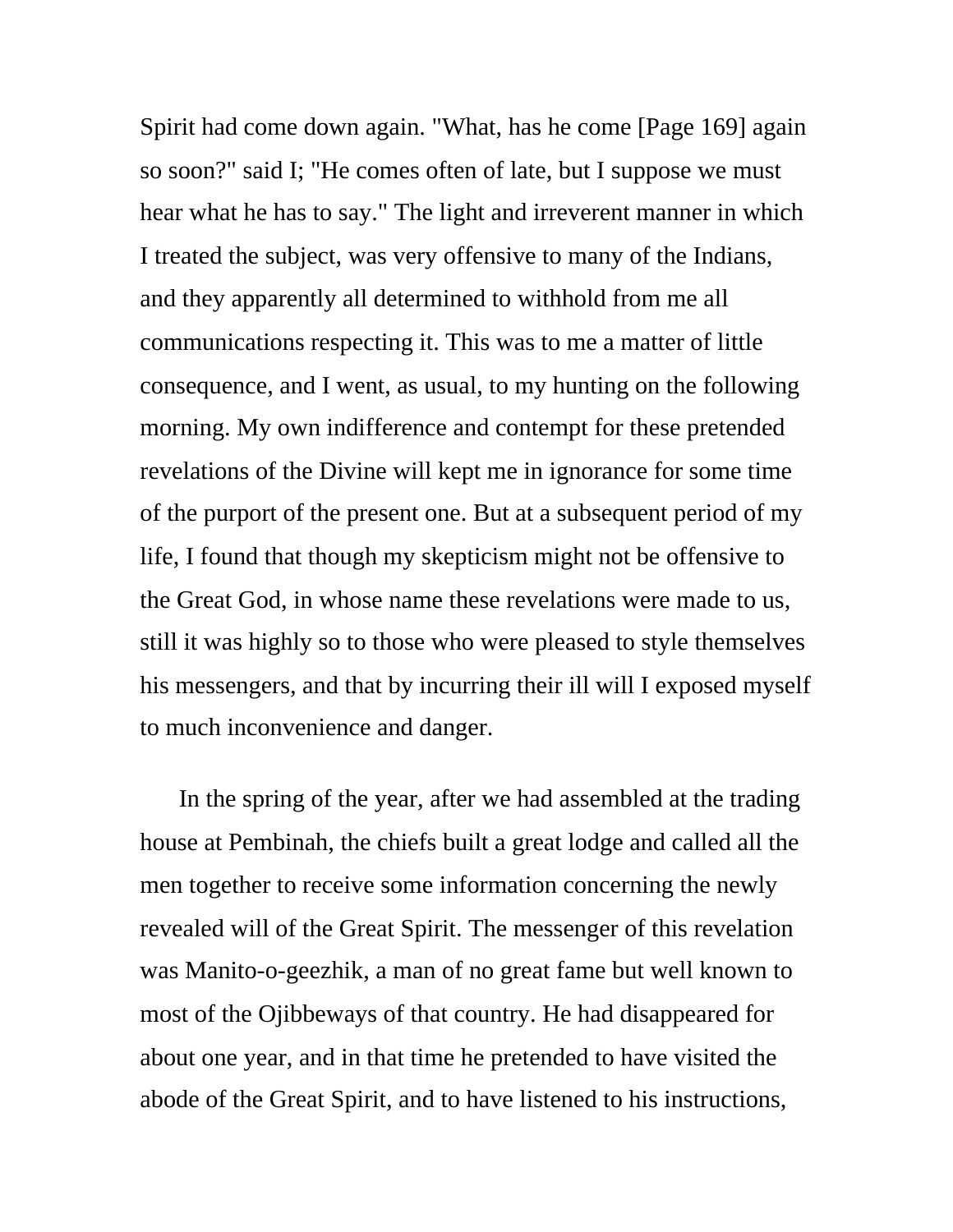Spirit had come down again. "What, has he come [Page 169] again so soon?" said I; "He comes often of late, but I suppose we must hear what he has to say." The light and irreverent manner in which I treated the subject, was very offensive to many of the Indians, and they apparently all determined to withhold from me all communications respecting it. This was to me a matter of little consequence, and I went, as usual, to my hunting on the following morning. My own indifference and contempt for these pretended revelations of the Divine will kept me in ignorance for some time of the purport of the present one. But at a subsequent period of my life, I found that though my skepticism might not be offensive to the Great God, in whose name these revelations were made to us, still it was highly so to those who were pleased to style themselves his messengers, and that by incurring their ill will I exposed myself to much inconvenience and danger.

In the spring of the year, after we had assembled at the trading house at Pembinah, the chiefs built a great lodge and called all the men together to receive some information concerning the newly revealed will of the Great Spirit. The messenger of this revelation was Manito-o-geezhik, a man of no great fame but well known to most of the Ojibbeways of that country. He had disappeared for about one year, and in that time he pretended to have visited the abode of the Great Spirit, and to have listened to his instructions,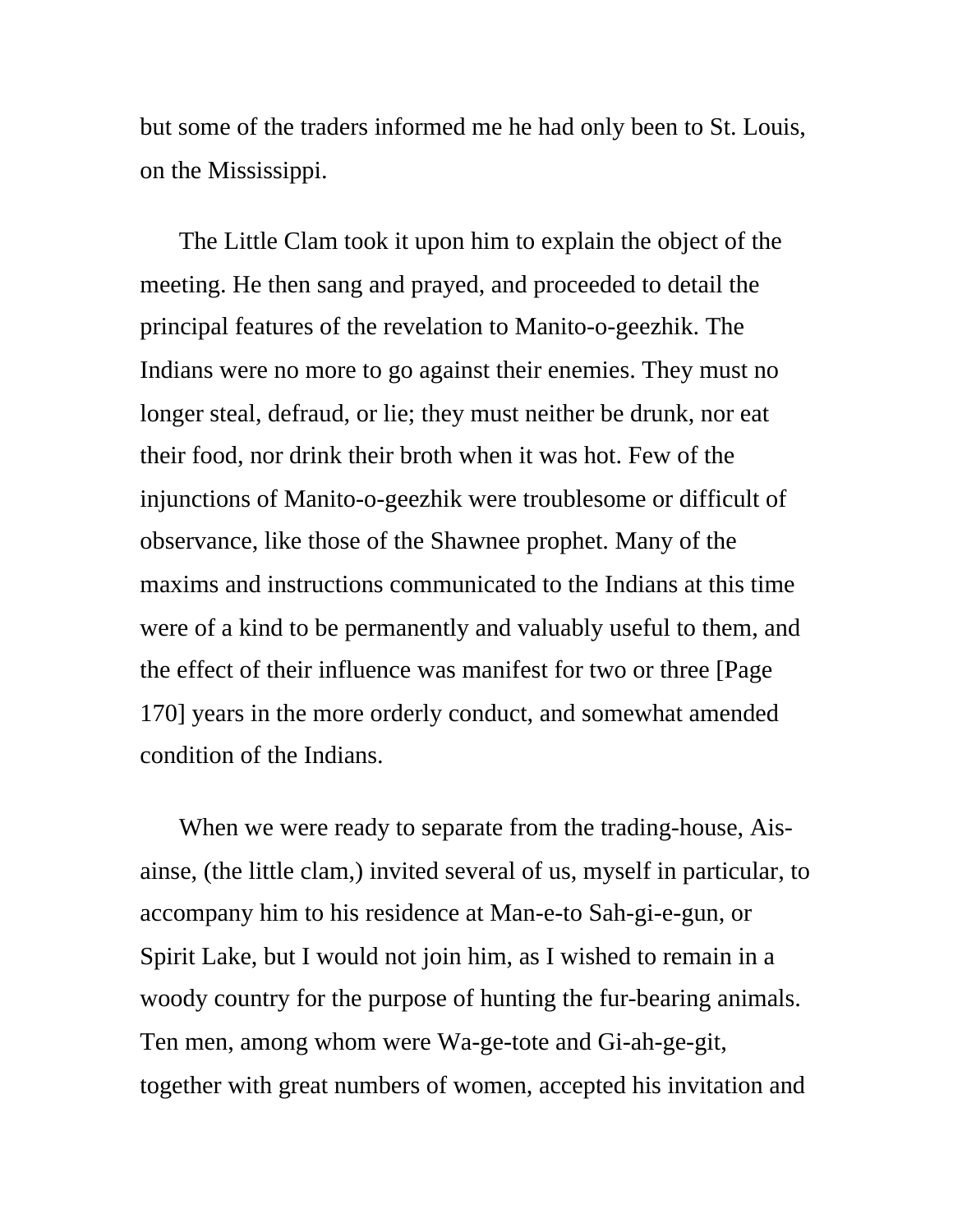but some of the traders informed me he had only been to St. Louis, on the Mississippi.

The Little Clam took it upon him to explain the object of the meeting. He then sang and prayed, and proceeded to detail the principal features of the revelation to Manito-o-geezhik. The Indians were no more to go against their enemies. They must no longer steal, defraud, or lie; they must neither be drunk, nor eat their food, nor drink their broth when it was hot. Few of the injunctions of Manito-o-geezhik were troublesome or difficult of observance, like those of the Shawnee prophet. Many of the maxims and instructions communicated to the Indians at this time were of a kind to be permanently and valuably useful to them, and the effect of their influence was manifest for two or three [Page 170] years in the more orderly conduct, and somewhat amended condition of the Indians.

When we were ready to separate from the trading-house, Aisainse, (the little clam,) invited several of us, myself in particular, to accompany him to his residence at Man-e-to Sah-gi-e-gun, or Spirit Lake, but I would not join him, as I wished to remain in a woody country for the purpose of hunting the fur-bearing animals. Ten men, among whom were Wa-ge-tote and Gi-ah-ge-git, together with great numbers of women, accepted his invitation and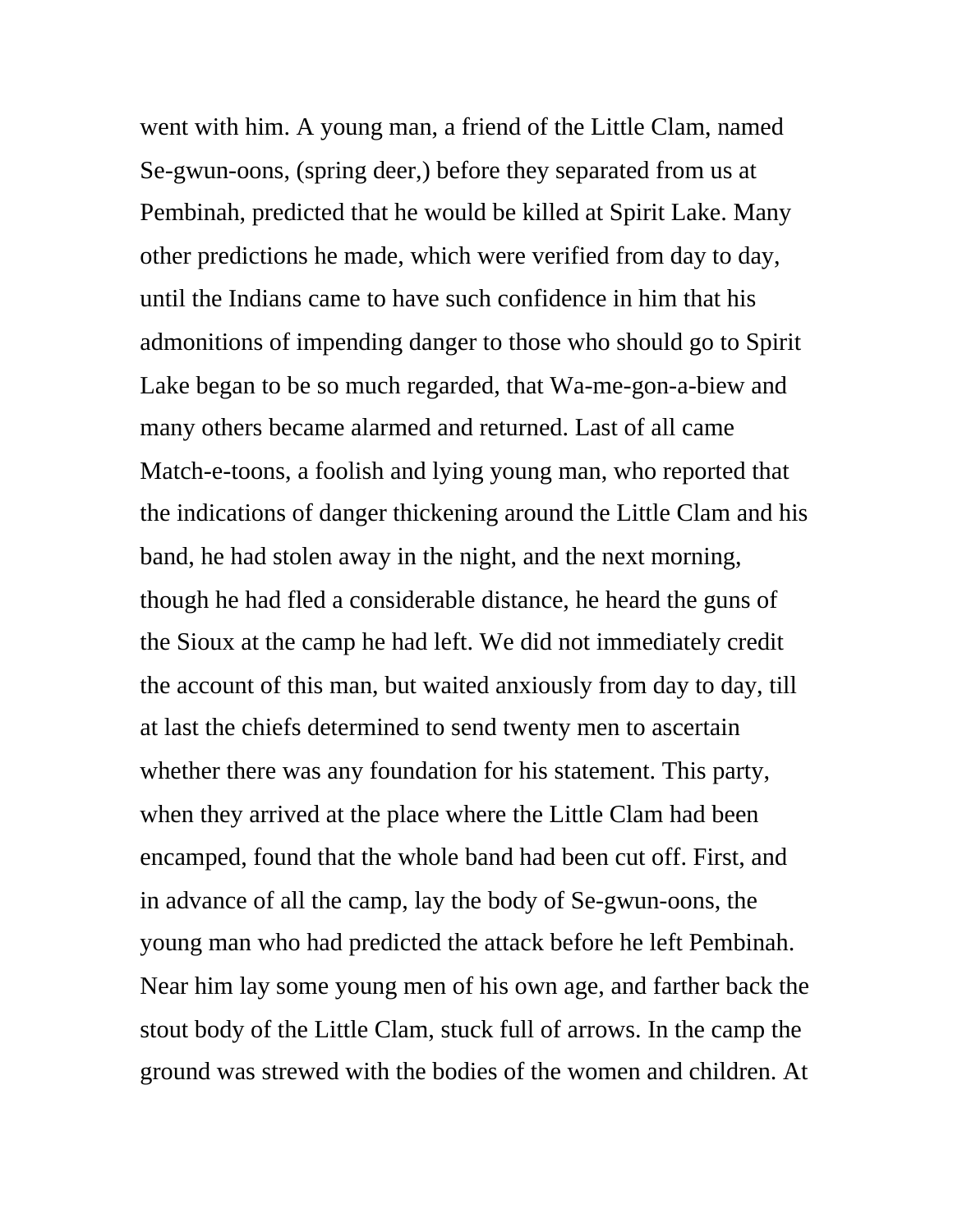went with him. A young man, a friend of the Little Clam, named Se-gwun-oons, (spring deer,) before they separated from us at Pembinah, predicted that he would be killed at Spirit Lake. Many other predictions he made, which were verified from day to day, until the Indians came to have such confidence in him that his admonitions of impending danger to those who should go to Spirit Lake began to be so much regarded, that Wa-me-gon-a-biew and many others became alarmed and returned. Last of all came Match-e-toons, a foolish and lying young man, who reported that the indications of danger thickening around the Little Clam and his band, he had stolen away in the night, and the next morning, though he had fled a considerable distance, he heard the guns of the Sioux at the camp he had left. We did not immediately credit the account of this man, but waited anxiously from day to day, till at last the chiefs determined to send twenty men to ascertain whether there was any foundation for his statement. This party, when they arrived at the place where the Little Clam had been encamped, found that the whole band had been cut off. First, and in advance of all the camp, lay the body of Se-gwun-oons, the young man who had predicted the attack before he left Pembinah. Near him lay some young men of his own age, and farther back the stout body of the Little Clam, stuck full of arrows. In the camp the ground was strewed with the bodies of the women and children. At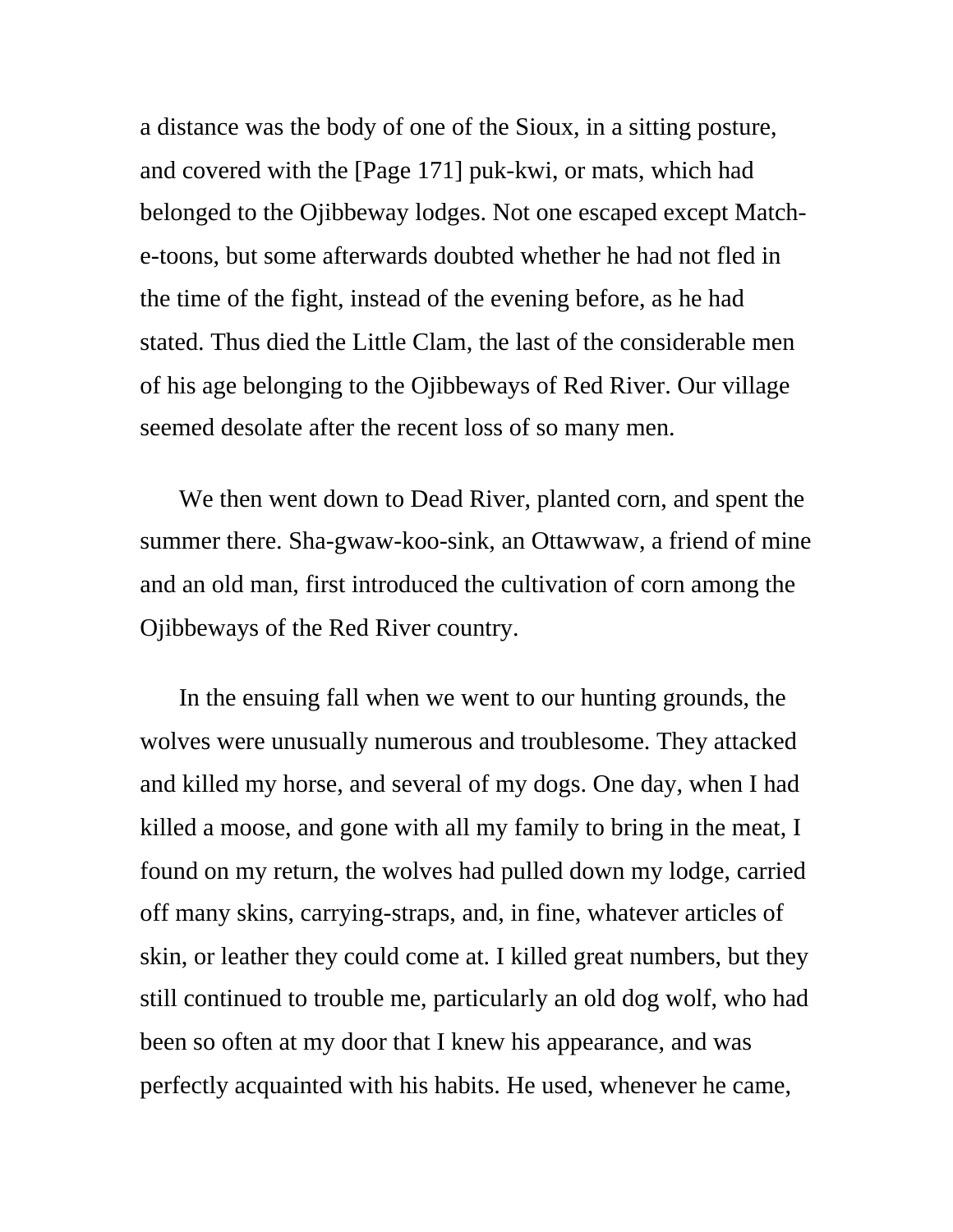a distance was the body of one of the Sioux, in a sitting posture, and covered with the [Page 171] puk-kwi, or mats, which had belonged to the Ojibbeway lodges. Not one escaped except Matche-toons, but some afterwards doubted whether he had not fled in the time of the fight, instead of the evening before, as he had stated. Thus died the Little Clam, the last of the considerable men of his age belonging to the Ojibbeways of Red River. Our village seemed desolate after the recent loss of so many men.

We then went down to Dead River, planted corn, and spent the summer there. Sha-gwaw-koo-sink, an Ottawwaw, a friend of mine and an old man, first introduced the cultivation of corn among the Ojibbeways of the Red River country.

In the ensuing fall when we went to our hunting grounds, the wolves were unusually numerous and troublesome. They attacked and killed my horse, and several of my dogs. One day, when I had killed a moose, and gone with all my family to bring in the meat, I found on my return, the wolves had pulled down my lodge, carried off many skins, carrying-straps, and, in fine, whatever articles of skin, or leather they could come at. I killed great numbers, but they still continued to trouble me, particularly an old dog wolf, who had been so often at my door that I knew his appearance, and was perfectly acquainted with his habits. He used, whenever he came,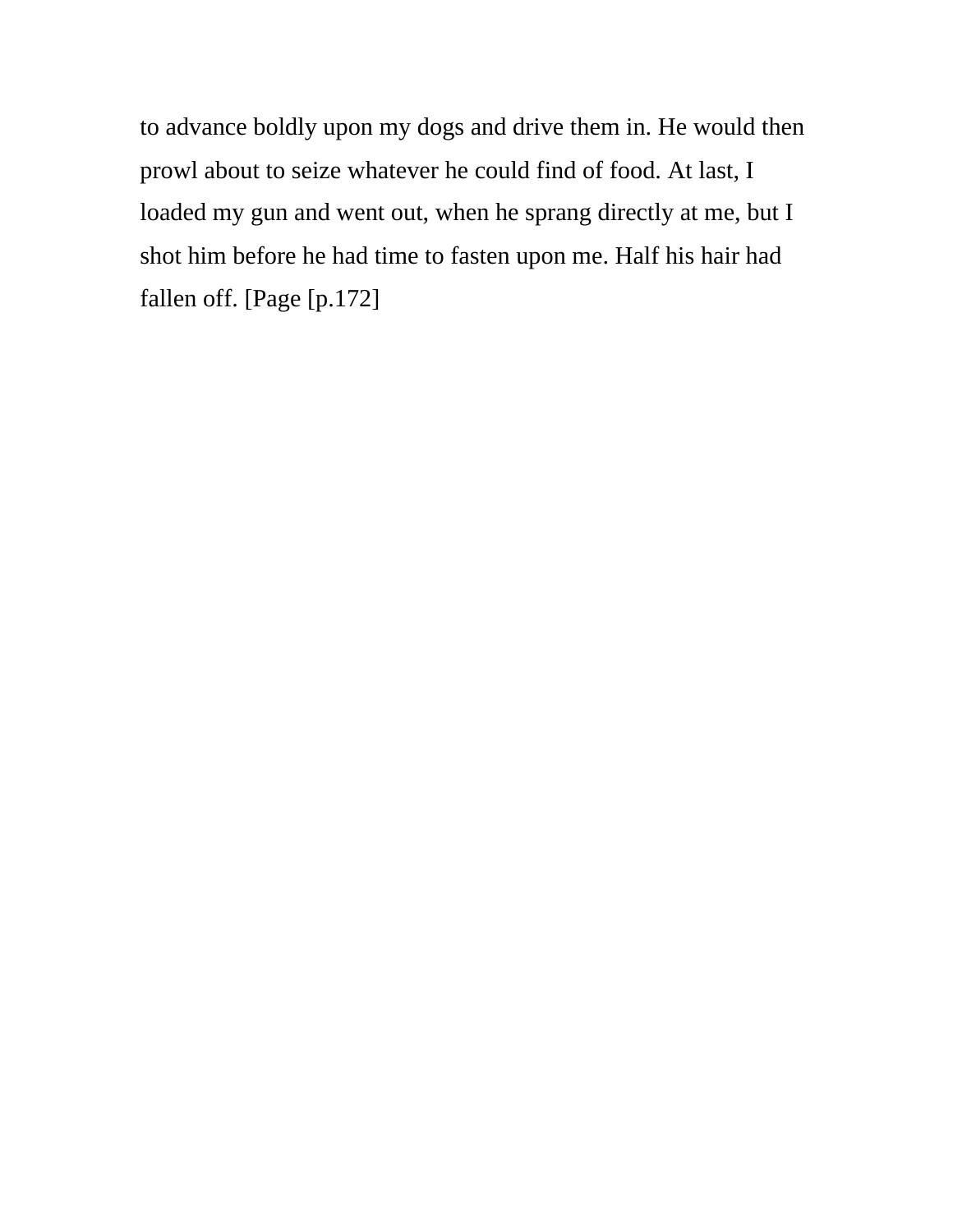to advance boldly upon my dogs and drive them in. He would then prowl about to seize whatever he could find of food. At last, I loaded my gun and went out, when he sprang directly at me, but I shot him before he had time to fasten upon me. Half his hair had fallen off. [Page [p.172]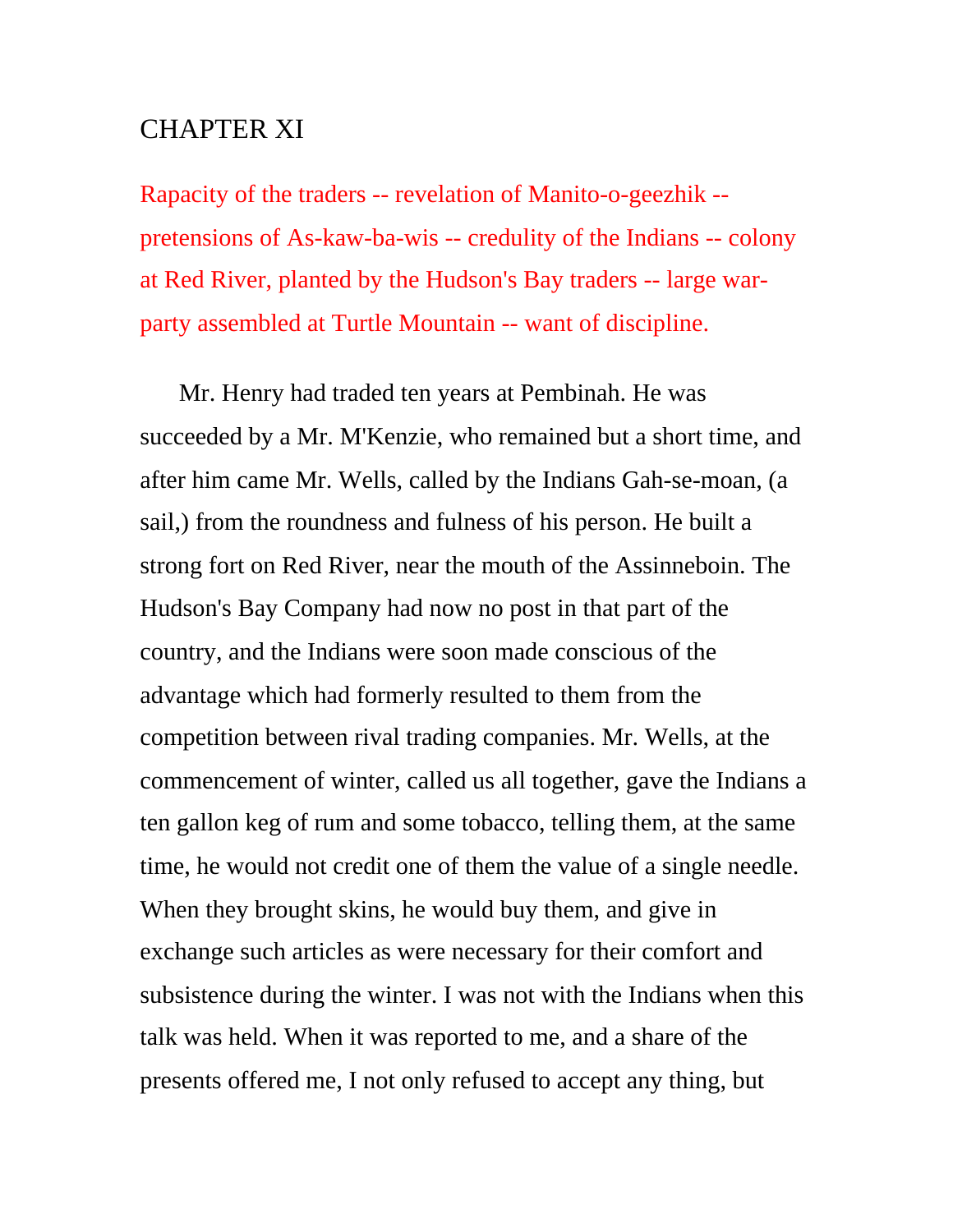## CHAPTER XI

Rapacity of the traders -- revelation of Manito-o-geezhik - pretensions of As-kaw-ba-wis -- credulity of the Indians -- colony at Red River, planted by the Hudson's Bay traders -- large warparty assembled at Turtle Mountain -- want of discipline.

Mr. Henry had traded ten years at Pembinah. He was succeeded by a Mr. M'Kenzie, who remained but a short time, and after him came Mr. Wells, called by the Indians Gah-se-moan, (a sail,) from the roundness and fulness of his person. He built a strong fort on Red River, near the mouth of the Assinneboin. The Hudson's Bay Company had now no post in that part of the country, and the Indians were soon made conscious of the advantage which had formerly resulted to them from the competition between rival trading companies. Mr. Wells, at the commencement of winter, called us all together, gave the Indians a ten gallon keg of rum and some tobacco, telling them, at the same time, he would not credit one of them the value of a single needle. When they brought skins, he would buy them, and give in exchange such articles as were necessary for their comfort and subsistence during the winter. I was not with the Indians when this talk was held. When it was reported to me, and a share of the presents offered me, I not only refused to accept any thing, but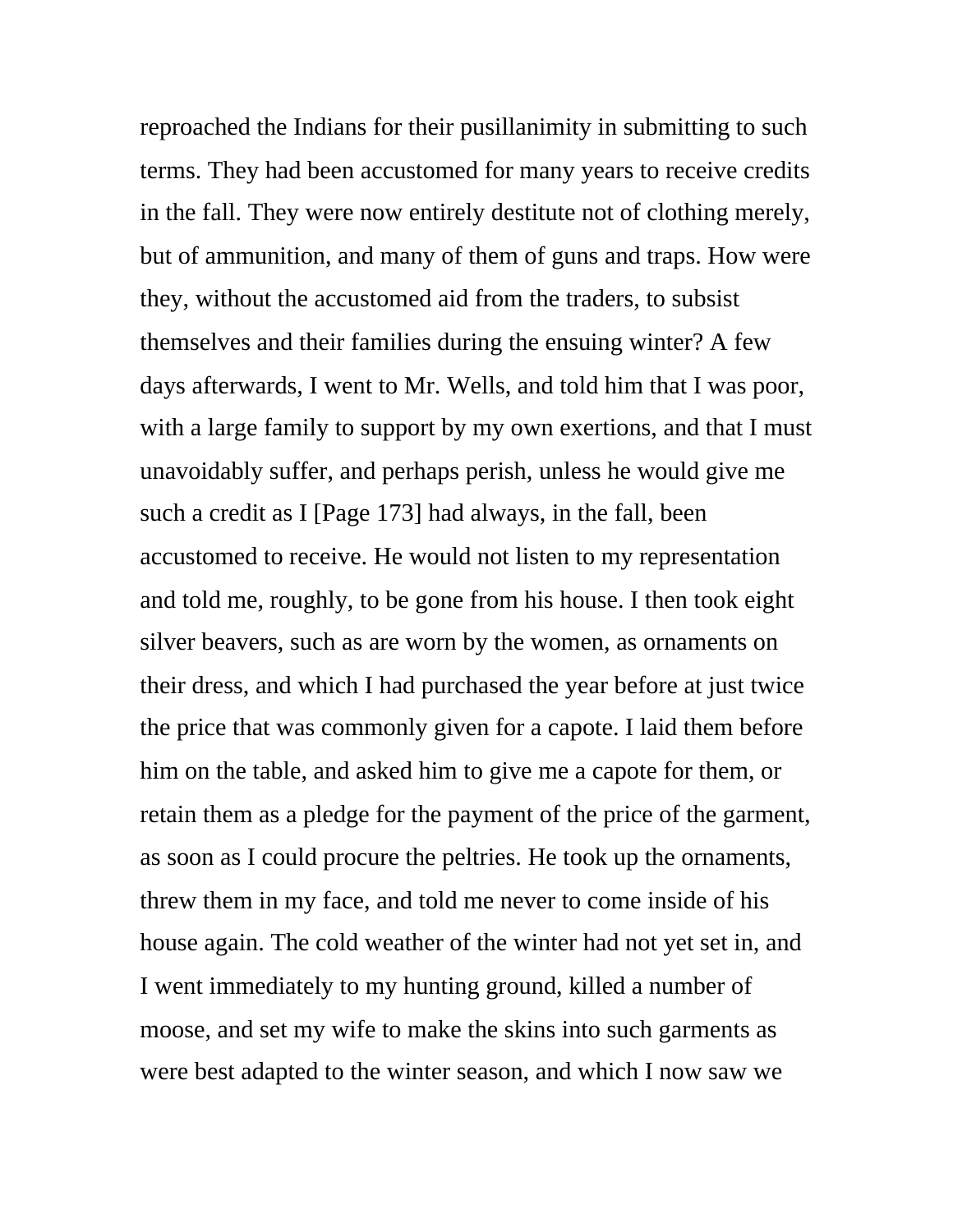reproached the Indians for their pusillanimity in submitting to such terms. They had been accustomed for many years to receive credits in the fall. They were now entirely destitute not of clothing merely, but of ammunition, and many of them of guns and traps. How were they, without the accustomed aid from the traders, to subsist themselves and their families during the ensuing winter? A few days afterwards, I went to Mr. Wells, and told him that I was poor, with a large family to support by my own exertions, and that I must unavoidably suffer, and perhaps perish, unless he would give me such a credit as I [Page 173] had always, in the fall, been accustomed to receive. He would not listen to my representation and told me, roughly, to be gone from his house. I then took eight silver beavers, such as are worn by the women, as ornaments on their dress, and which I had purchased the year before at just twice the price that was commonly given for a capote. I laid them before him on the table, and asked him to give me a capote for them, or retain them as a pledge for the payment of the price of the garment, as soon as I could procure the peltries. He took up the ornaments, threw them in my face, and told me never to come inside of his house again. The cold weather of the winter had not yet set in, and I went immediately to my hunting ground, killed a number of moose, and set my wife to make the skins into such garments as were best adapted to the winter season, and which I now saw we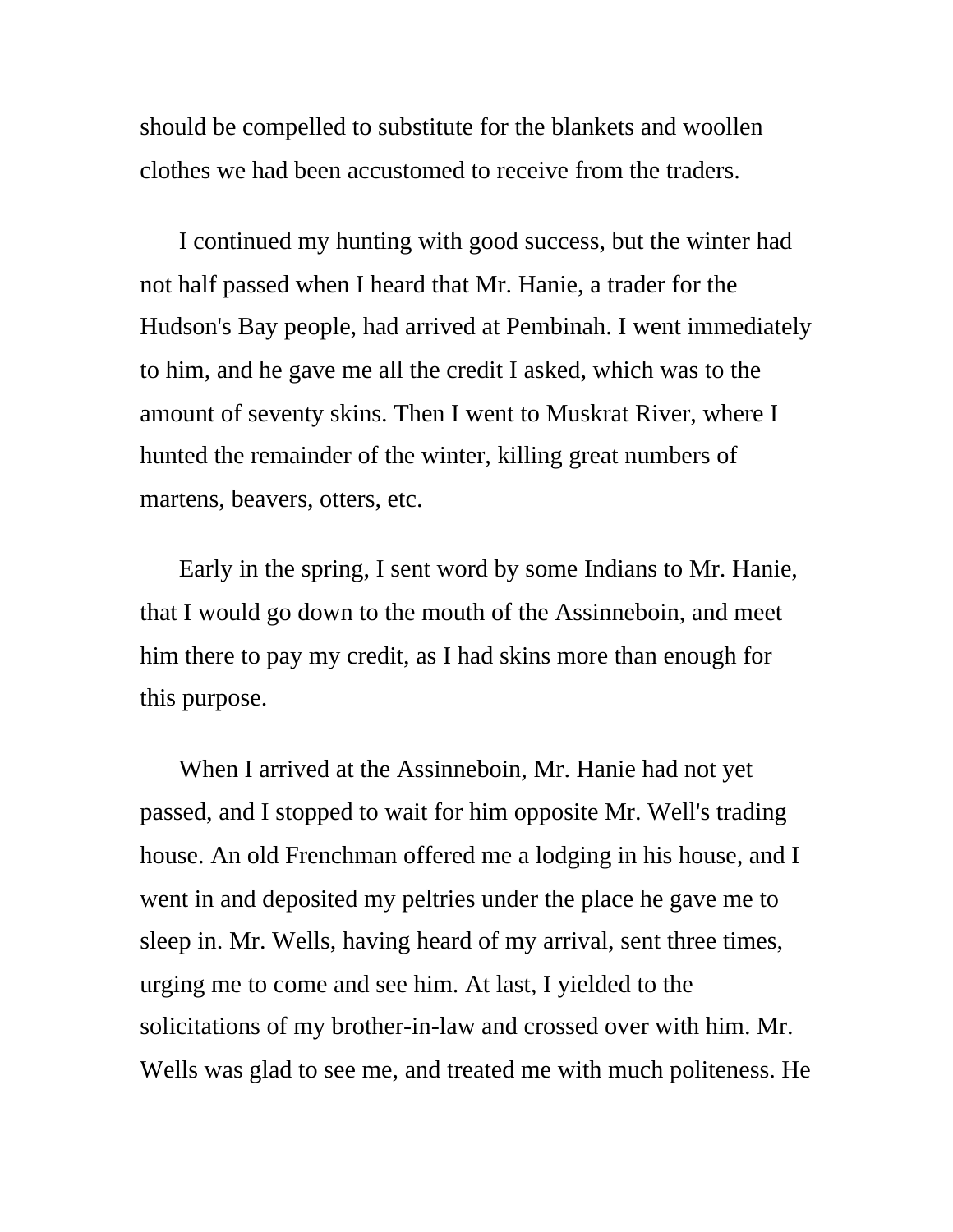should be compelled to substitute for the blankets and woollen clothes we had been accustomed to receive from the traders.

I continued my hunting with good success, but the winter had not half passed when I heard that Mr. Hanie, a trader for the Hudson's Bay people, had arrived at Pembinah. I went immediately to him, and he gave me all the credit I asked, which was to the amount of seventy skins. Then I went to Muskrat River, where I hunted the remainder of the winter, killing great numbers of martens, beavers, otters, etc.

Early in the spring, I sent word by some Indians to Mr. Hanie, that I would go down to the mouth of the Assinneboin, and meet him there to pay my credit, as I had skins more than enough for this purpose.

When I arrived at the Assinneboin, Mr. Hanie had not yet passed, and I stopped to wait for him opposite Mr. Well's trading house. An old Frenchman offered me a lodging in his house, and I went in and deposited my peltries under the place he gave me to sleep in. Mr. Wells, having heard of my arrival, sent three times, urging me to come and see him. At last, I yielded to the solicitations of my brother-in-law and crossed over with him. Mr. Wells was glad to see me, and treated me with much politeness. He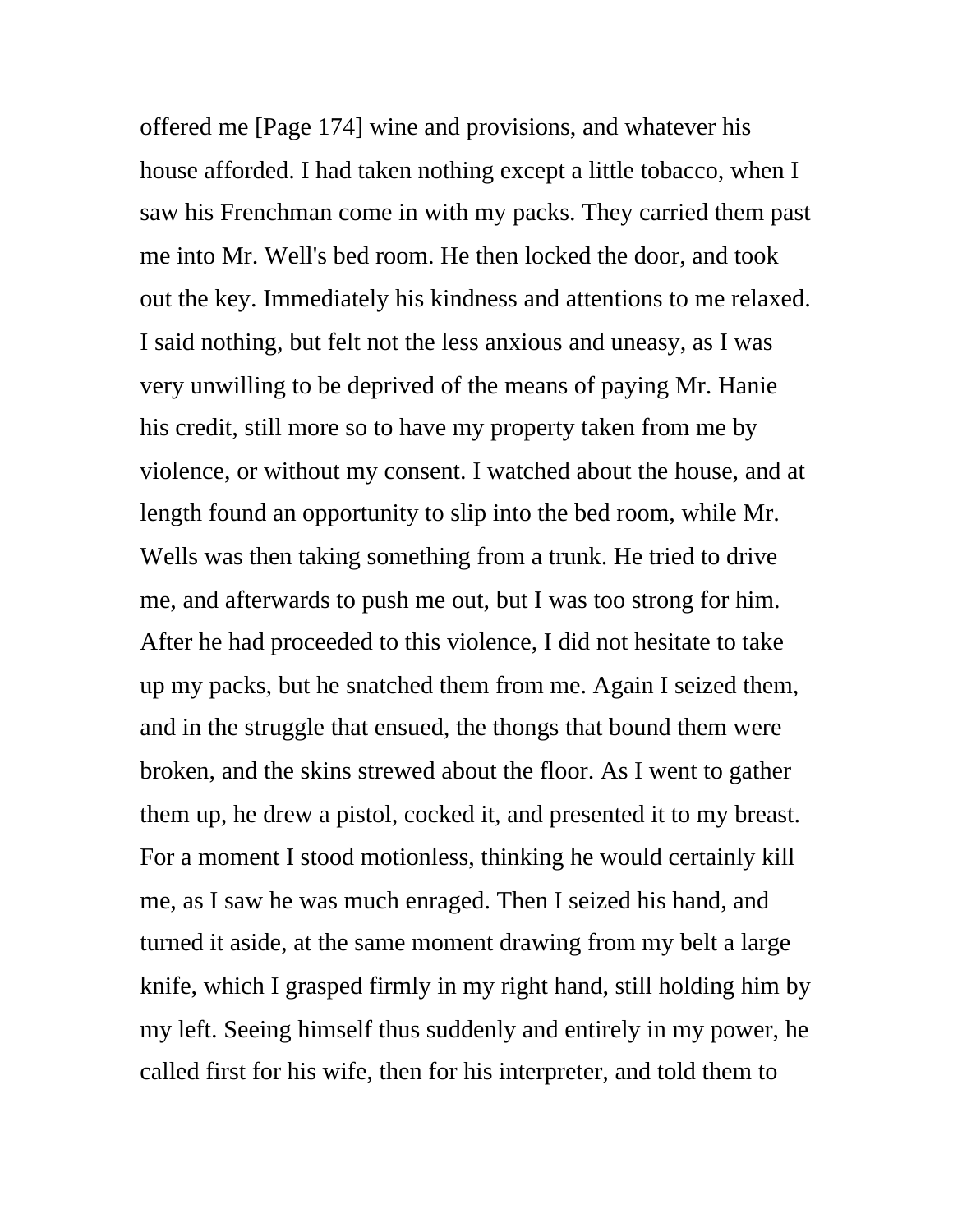offered me [Page 174] wine and provisions, and whatever his house afforded. I had taken nothing except a little tobacco, when I saw his Frenchman come in with my packs. They carried them past me into Mr. Well's bed room. He then locked the door, and took out the key. Immediately his kindness and attentions to me relaxed. I said nothing, but felt not the less anxious and uneasy, as I was very unwilling to be deprived of the means of paying Mr. Hanie his credit, still more so to have my property taken from me by violence, or without my consent. I watched about the house, and at length found an opportunity to slip into the bed room, while Mr. Wells was then taking something from a trunk. He tried to drive me, and afterwards to push me out, but I was too strong for him. After he had proceeded to this violence, I did not hesitate to take up my packs, but he snatched them from me. Again I seized them, and in the struggle that ensued, the thongs that bound them were broken, and the skins strewed about the floor. As I went to gather them up, he drew a pistol, cocked it, and presented it to my breast. For a moment I stood motionless, thinking he would certainly kill me, as I saw he was much enraged. Then I seized his hand, and turned it aside, at the same moment drawing from my belt a large knife, which I grasped firmly in my right hand, still holding him by my left. Seeing himself thus suddenly and entirely in my power, he called first for his wife, then for his interpreter, and told them to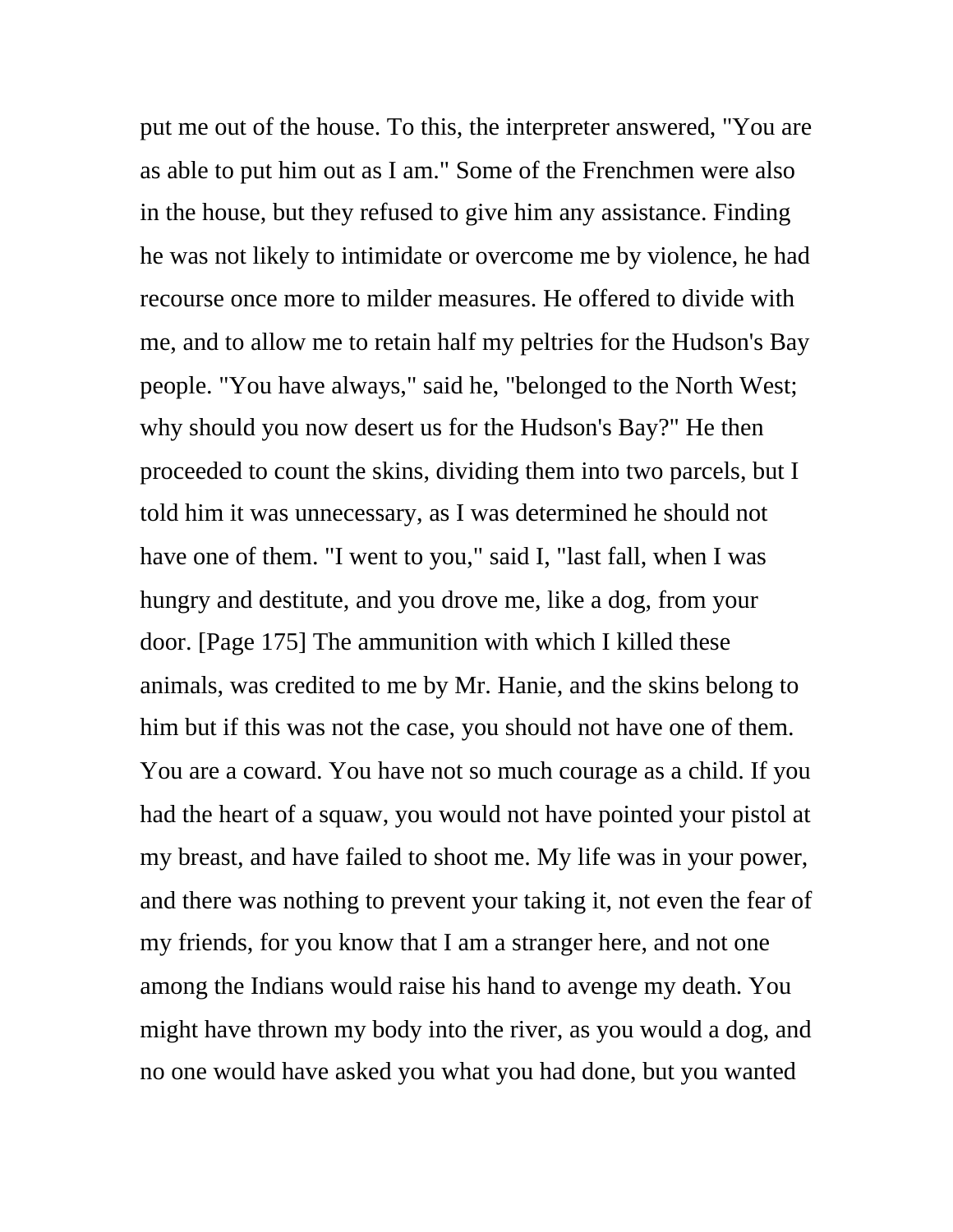put me out of the house. To this, the interpreter answered, "You are as able to put him out as I am." Some of the Frenchmen were also in the house, but they refused to give him any assistance. Finding he was not likely to intimidate or overcome me by violence, he had recourse once more to milder measures. He offered to divide with me, and to allow me to retain half my peltries for the Hudson's Bay people. "You have always," said he, "belonged to the North West; why should you now desert us for the Hudson's Bay?" He then proceeded to count the skins, dividing them into two parcels, but I told him it was unnecessary, as I was determined he should not have one of them. "I went to you," said I, "last fall, when I was hungry and destitute, and you drove me, like a dog, from your door. [Page 175] The ammunition with which I killed these animals, was credited to me by Mr. Hanie, and the skins belong to him but if this was not the case, you should not have one of them. You are a coward. You have not so much courage as a child. If you had the heart of a squaw, you would not have pointed your pistol at my breast, and have failed to shoot me. My life was in your power, and there was nothing to prevent your taking it, not even the fear of my friends, for you know that I am a stranger here, and not one among the Indians would raise his hand to avenge my death. You might have thrown my body into the river, as you would a dog, and no one would have asked you what you had done, but you wanted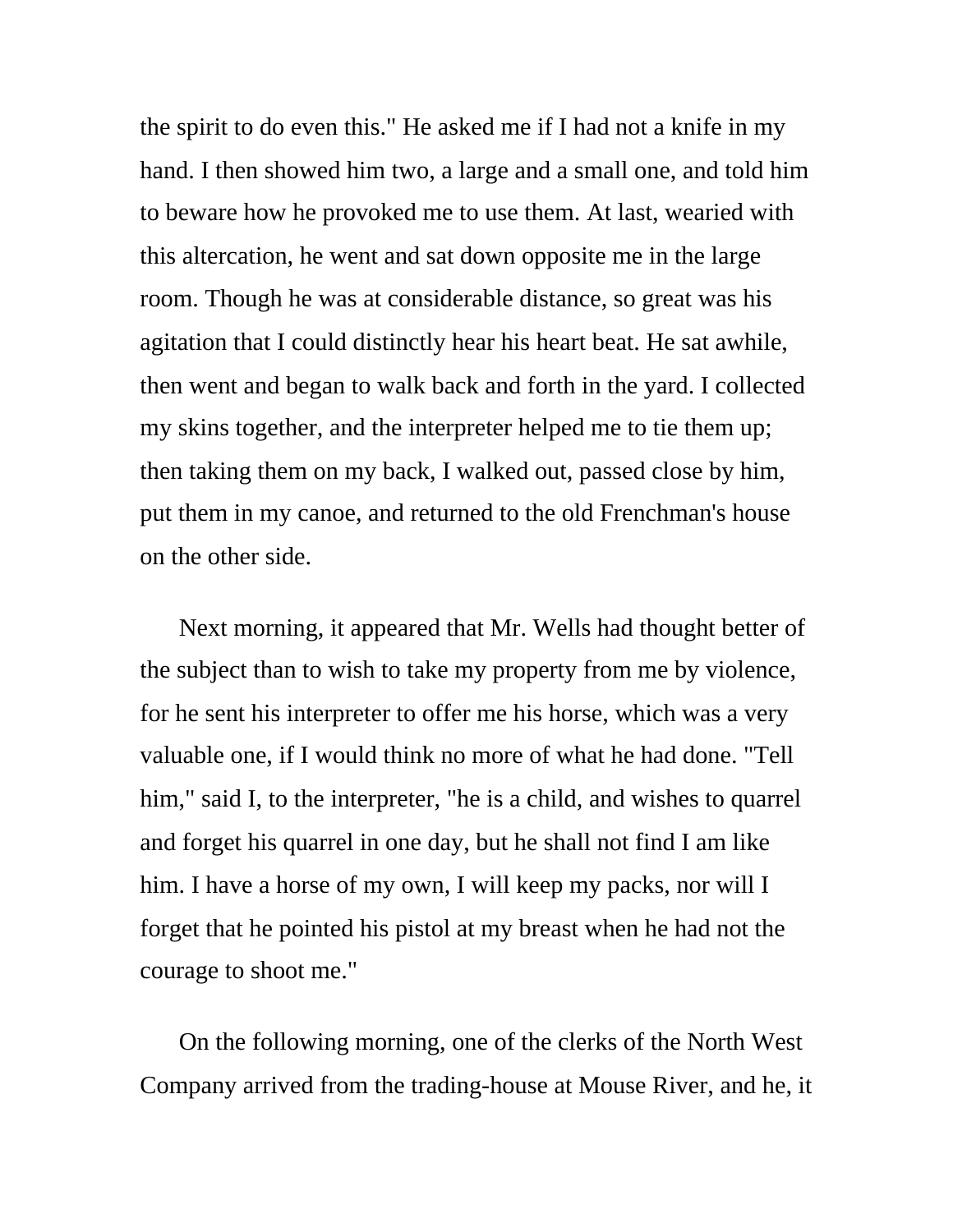the spirit to do even this." He asked me if I had not a knife in my hand. I then showed him two, a large and a small one, and told him to beware how he provoked me to use them. At last, wearied with this altercation, he went and sat down opposite me in the large room. Though he was at considerable distance, so great was his agitation that I could distinctly hear his heart beat. He sat awhile, then went and began to walk back and forth in the yard. I collected my skins together, and the interpreter helped me to tie them up; then taking them on my back, I walked out, passed close by him, put them in my canoe, and returned to the old Frenchman's house on the other side.

Next morning, it appeared that Mr. Wells had thought better of the subject than to wish to take my property from me by violence, for he sent his interpreter to offer me his horse, which was a very valuable one, if I would think no more of what he had done. "Tell him," said I, to the interpreter, "he is a child, and wishes to quarrel and forget his quarrel in one day, but he shall not find I am like him. I have a horse of my own, I will keep my packs, nor will I forget that he pointed his pistol at my breast when he had not the courage to shoot me."

On the following morning, one of the clerks of the North West Company arrived from the trading-house at Mouse River, and he, it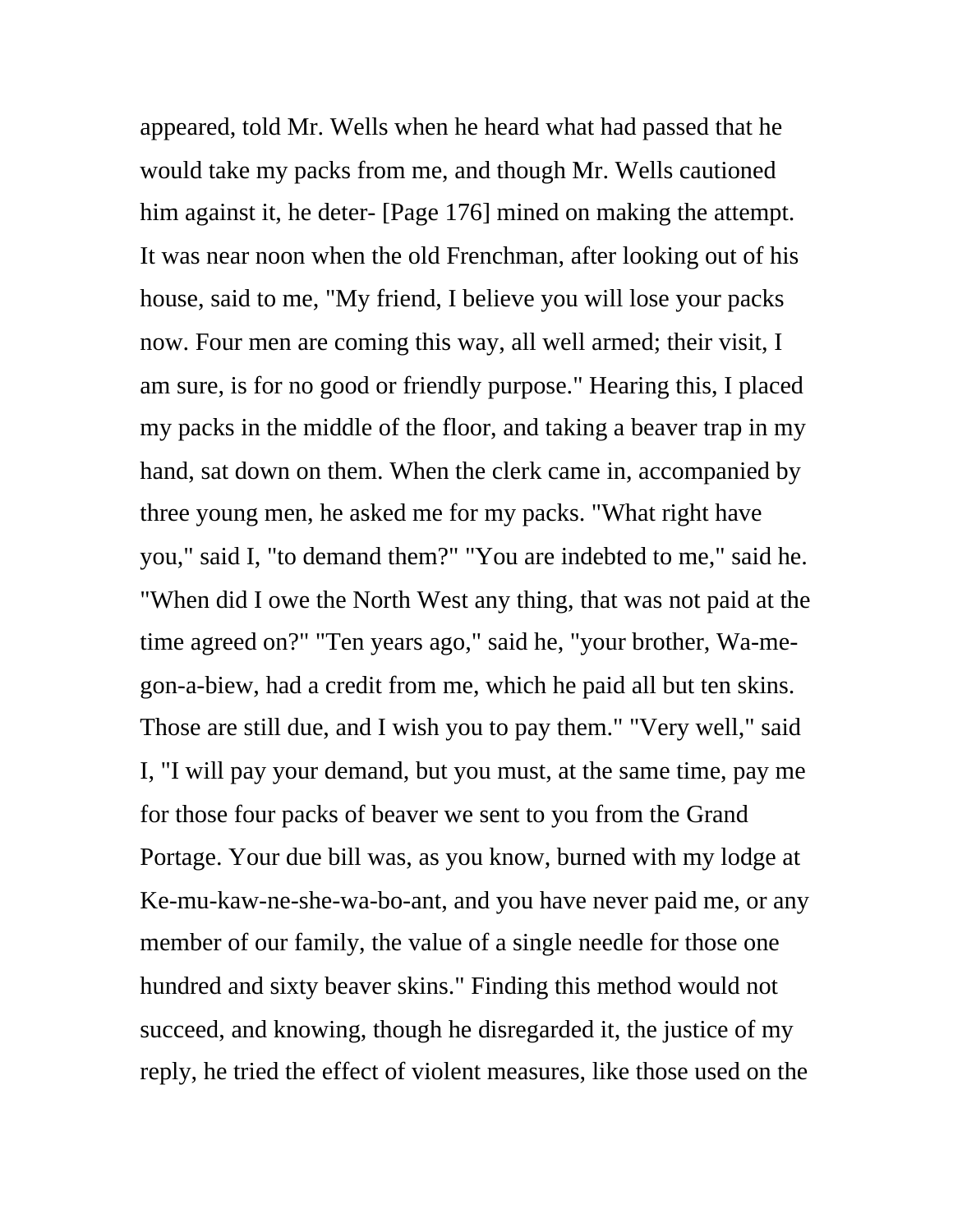appeared, told Mr. Wells when he heard what had passed that he would take my packs from me, and though Mr. Wells cautioned him against it, he deter- [Page 176] mined on making the attempt. It was near noon when the old Frenchman, after looking out of his house, said to me, "My friend, I believe you will lose your packs now. Four men are coming this way, all well armed; their visit, I am sure, is for no good or friendly purpose." Hearing this, I placed my packs in the middle of the floor, and taking a beaver trap in my hand, sat down on them. When the clerk came in, accompanied by three young men, he asked me for my packs. "What right have you," said I, "to demand them?" "You are indebted to me," said he. "When did I owe the North West any thing, that was not paid at the time agreed on?" "Ten years ago," said he, "your brother, Wa-megon-a-biew, had a credit from me, which he paid all but ten skins. Those are still due, and I wish you to pay them." "Very well," said I, "I will pay your demand, but you must, at the same time, pay me for those four packs of beaver we sent to you from the Grand Portage. Your due bill was, as you know, burned with my lodge at Ke-mu-kaw-ne-she-wa-bo-ant, and you have never paid me, or any member of our family, the value of a single needle for those one hundred and sixty beaver skins." Finding this method would not succeed, and knowing, though he disregarded it, the justice of my reply, he tried the effect of violent measures, like those used on the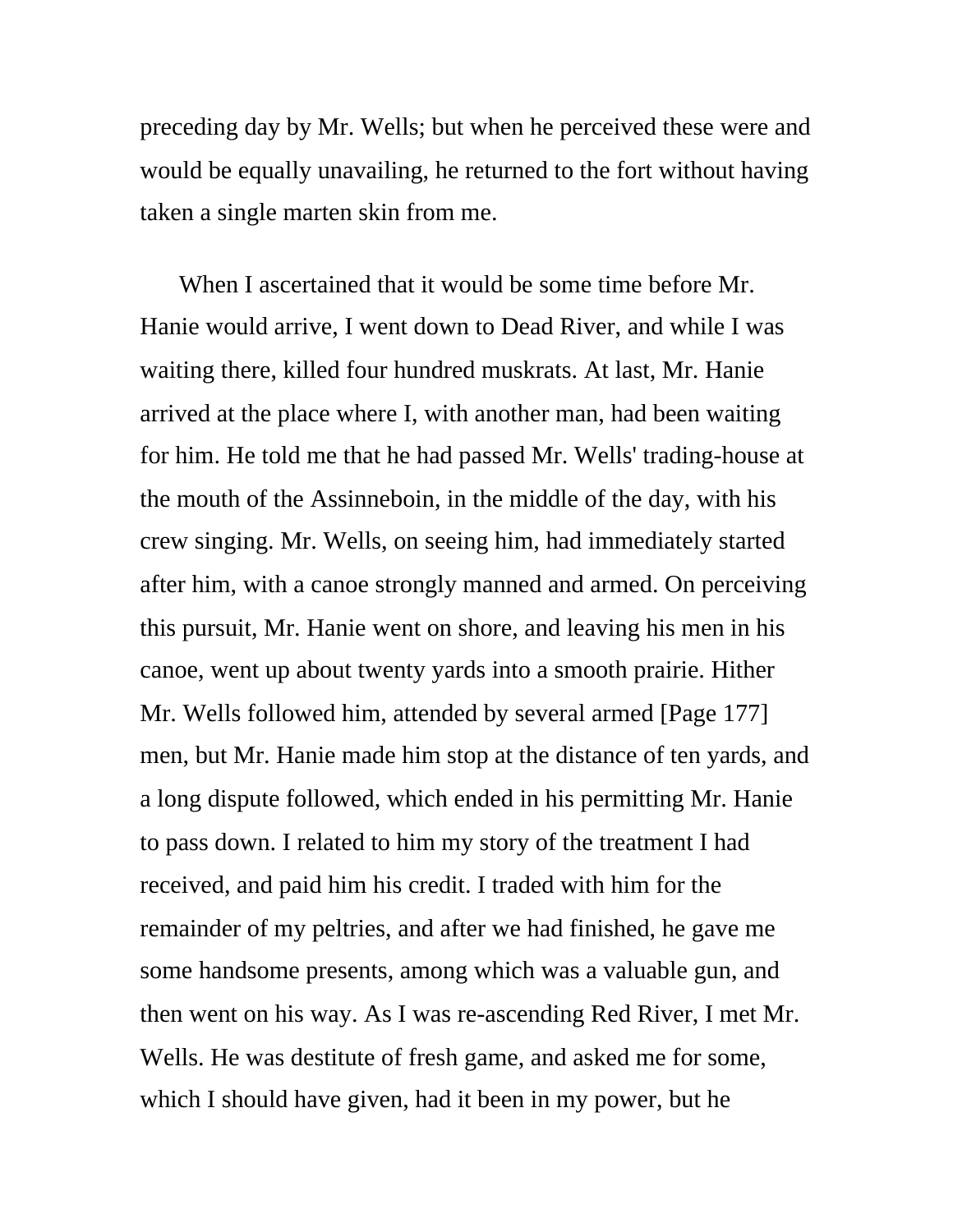preceding day by Mr. Wells; but when he perceived these were and would be equally unavailing, he returned to the fort without having taken a single marten skin from me.

When I ascertained that it would be some time before Mr. Hanie would arrive, I went down to Dead River, and while I was waiting there, killed four hundred muskrats. At last, Mr. Hanie arrived at the place where I, with another man, had been waiting for him. He told me that he had passed Mr. Wells' trading-house at the mouth of the Assinneboin, in the middle of the day, with his crew singing. Mr. Wells, on seeing him, had immediately started after him, with a canoe strongly manned and armed. On perceiving this pursuit, Mr. Hanie went on shore, and leaving his men in his canoe, went up about twenty yards into a smooth prairie. Hither Mr. Wells followed him, attended by several armed [Page 177] men, but Mr. Hanie made him stop at the distance of ten yards, and a long dispute followed, which ended in his permitting Mr. Hanie to pass down. I related to him my story of the treatment I had received, and paid him his credit. I traded with him for the remainder of my peltries, and after we had finished, he gave me some handsome presents, among which was a valuable gun, and then went on his way. As I was re-ascending Red River, I met Mr. Wells. He was destitute of fresh game, and asked me for some, which I should have given, had it been in my power, but he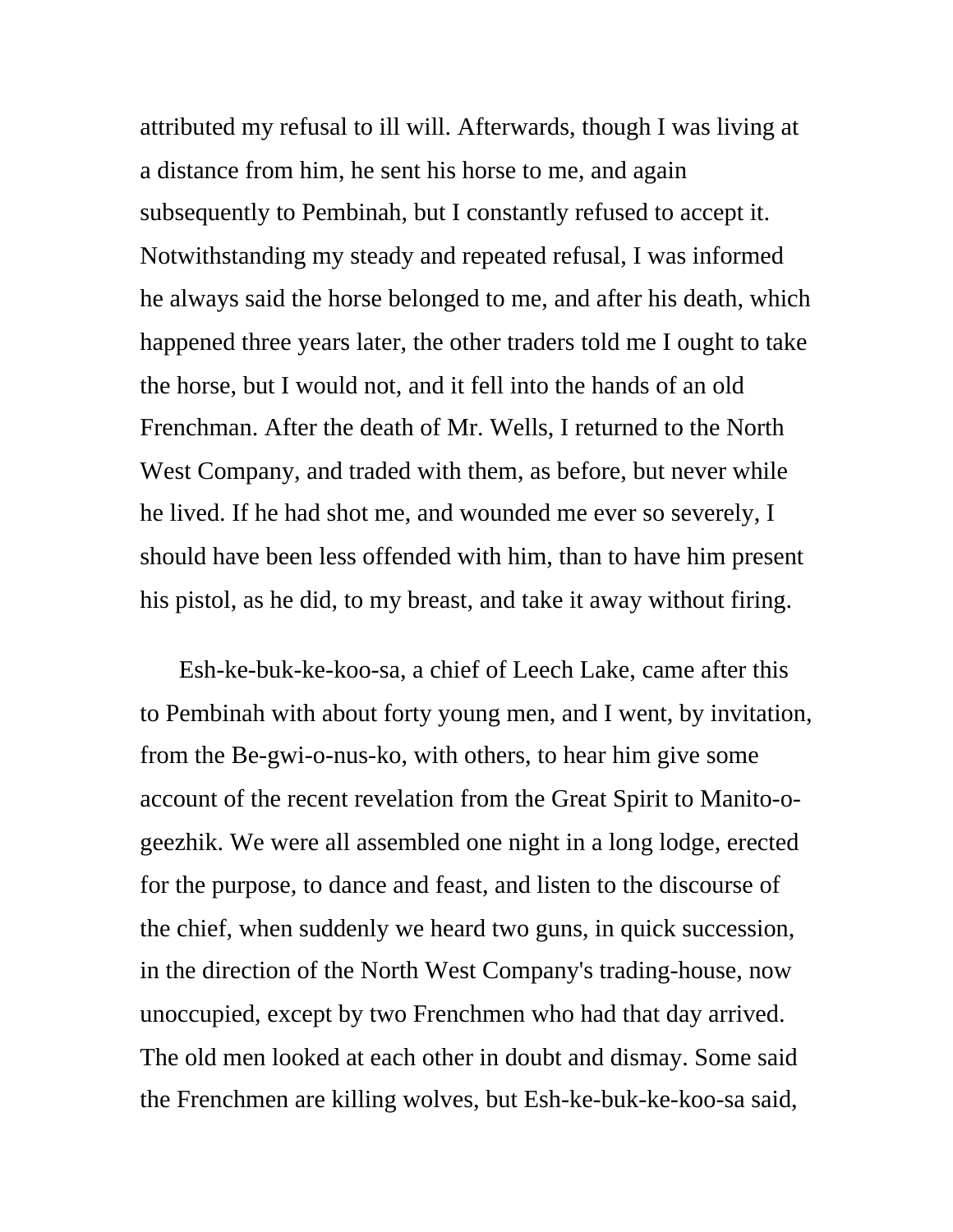attributed my refusal to ill will. Afterwards, though I was living at a distance from him, he sent his horse to me, and again subsequently to Pembinah, but I constantly refused to accept it. Notwithstanding my steady and repeated refusal, I was informed he always said the horse belonged to me, and after his death, which happened three years later, the other traders told me I ought to take the horse, but I would not, and it fell into the hands of an old Frenchman. After the death of Mr. Wells, I returned to the North West Company, and traded with them, as before, but never while he lived. If he had shot me, and wounded me ever so severely, I should have been less offended with him, than to have him present his pistol, as he did, to my breast, and take it away without firing.

Esh-ke-buk-ke-koo-sa, a chief of Leech Lake, came after this to Pembinah with about forty young men, and I went, by invitation, from the Be-gwi-o-nus-ko, with others, to hear him give some account of the recent revelation from the Great Spirit to Manito-ogeezhik. We were all assembled one night in a long lodge, erected for the purpose, to dance and feast, and listen to the discourse of the chief, when suddenly we heard two guns, in quick succession, in the direction of the North West Company's trading-house, now unoccupied, except by two Frenchmen who had that day arrived. The old men looked at each other in doubt and dismay. Some said the Frenchmen are killing wolves, but Esh-ke-buk-ke-koo-sa said,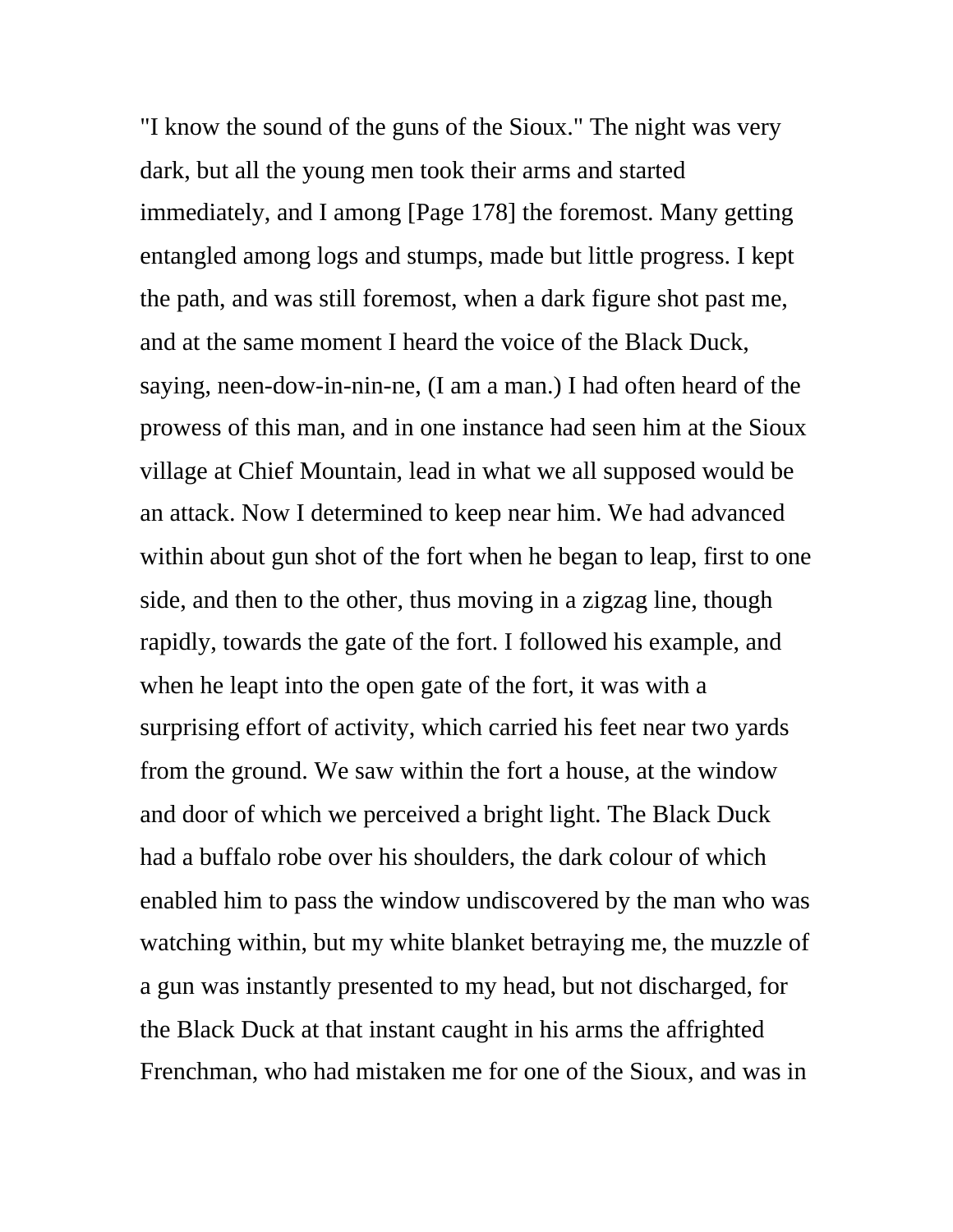"I know the sound of the guns of the Sioux." The night was very dark, but all the young men took their arms and started immediately, and I among [Page 178] the foremost. Many getting entangled among logs and stumps, made but little progress. I kept the path, and was still foremost, when a dark figure shot past me, and at the same moment I heard the voice of the Black Duck, saying, neen-dow-in-nin-ne, (I am a man.) I had often heard of the prowess of this man, and in one instance had seen him at the Sioux village at Chief Mountain, lead in what we all supposed would be an attack. Now I determined to keep near him. We had advanced within about gun shot of the fort when he began to leap, first to one side, and then to the other, thus moving in a zigzag line, though rapidly, towards the gate of the fort. I followed his example, and when he leapt into the open gate of the fort, it was with a surprising effort of activity, which carried his feet near two yards from the ground. We saw within the fort a house, at the window and door of which we perceived a bright light. The Black Duck had a buffalo robe over his shoulders, the dark colour of which enabled him to pass the window undiscovered by the man who was watching within, but my white blanket betraying me, the muzzle of a gun was instantly presented to my head, but not discharged, for the Black Duck at that instant caught in his arms the affrighted Frenchman, who had mistaken me for one of the Sioux, and was in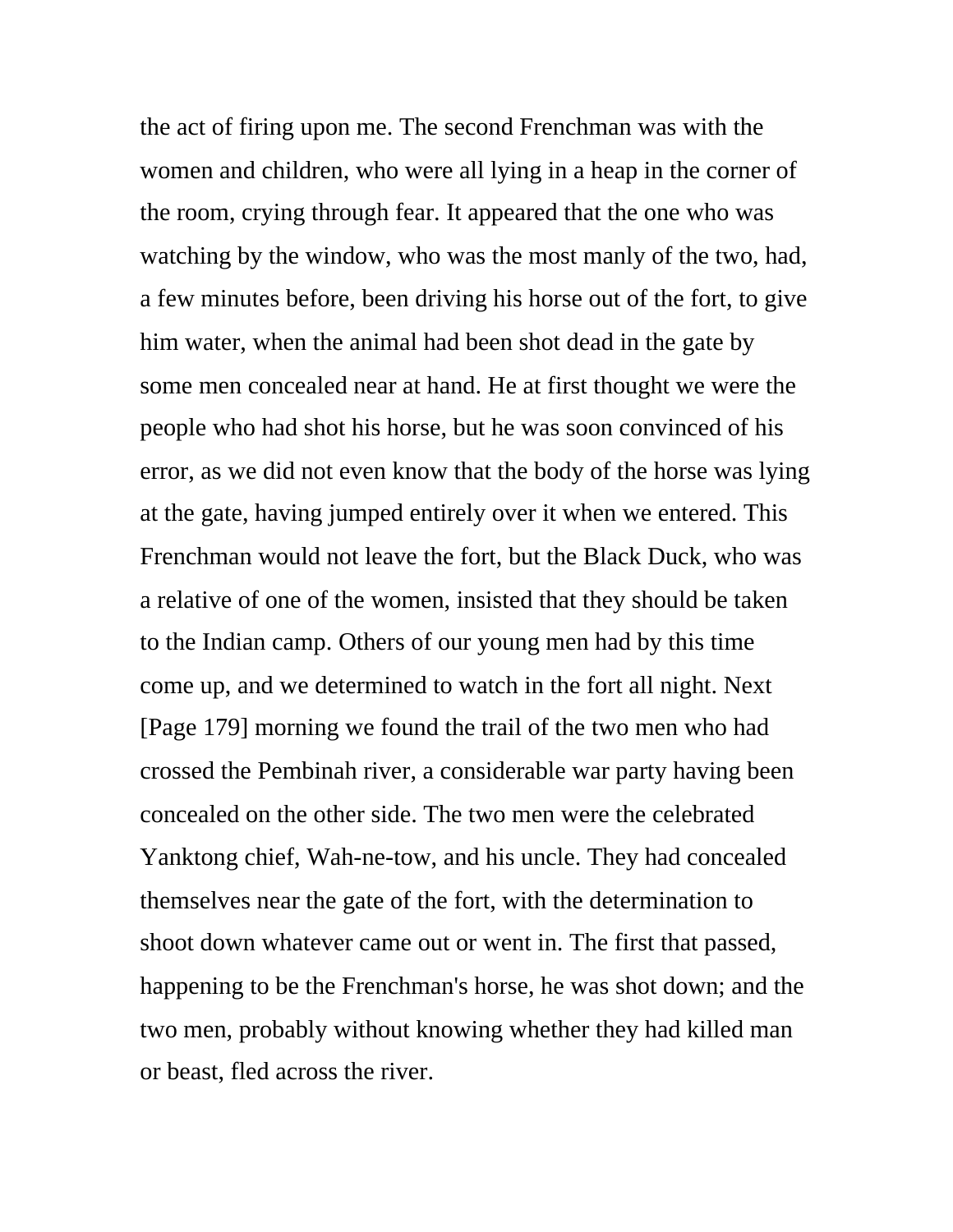the act of firing upon me. The second Frenchman was with the women and children, who were all lying in a heap in the corner of the room, crying through fear. It appeared that the one who was watching by the window, who was the most manly of the two, had, a few minutes before, been driving his horse out of the fort, to give him water, when the animal had been shot dead in the gate by some men concealed near at hand. He at first thought we were the people who had shot his horse, but he was soon convinced of his error, as we did not even know that the body of the horse was lying at the gate, having jumped entirely over it when we entered. This Frenchman would not leave the fort, but the Black Duck, who was a relative of one of the women, insisted that they should be taken to the Indian camp. Others of our young men had by this time come up, and we determined to watch in the fort all night. Next [Page 179] morning we found the trail of the two men who had crossed the Pembinah river, a considerable war party having been concealed on the other side. The two men were the celebrated Yanktong chief, Wah-ne-tow, and his uncle. They had concealed themselves near the gate of the fort, with the determination to shoot down whatever came out or went in. The first that passed, happening to be the Frenchman's horse, he was shot down; and the two men, probably without knowing whether they had killed man or beast, fled across the river.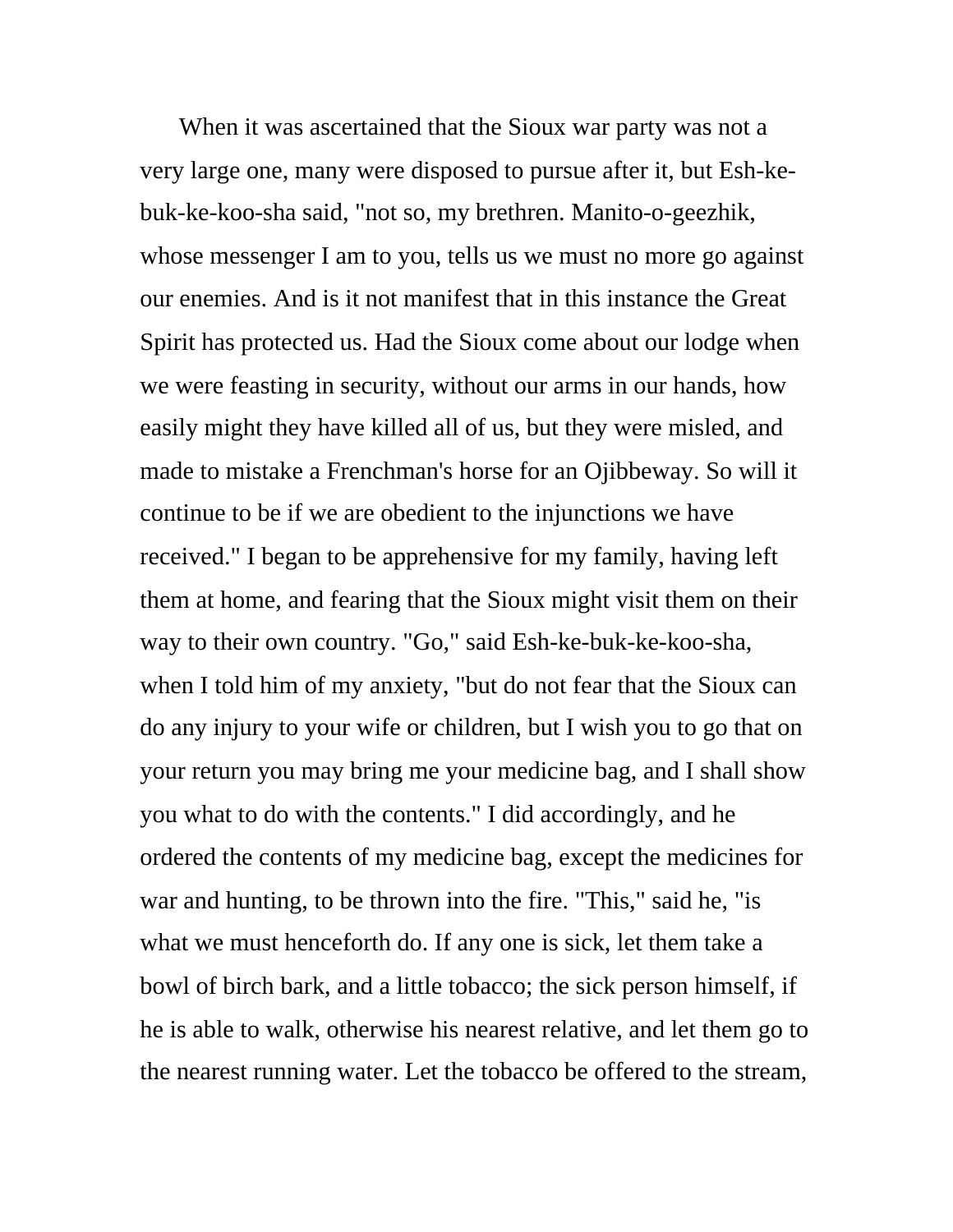When it was ascertained that the Sioux war party was not a very large one, many were disposed to pursue after it, but Esh-kebuk-ke-koo-sha said, "not so, my brethren. Manito-o-geezhik, whose messenger I am to you, tells us we must no more go against our enemies. And is it not manifest that in this instance the Great Spirit has protected us. Had the Sioux come about our lodge when we were feasting in security, without our arms in our hands, how easily might they have killed all of us, but they were misled, and made to mistake a Frenchman's horse for an Ojibbeway. So will it continue to be if we are obedient to the injunctions we have received." I began to be apprehensive for my family, having left them at home, and fearing that the Sioux might visit them on their way to their own country. "Go," said Esh-ke-buk-ke-koo-sha, when I told him of my anxiety, "but do not fear that the Sioux can do any injury to your wife or children, but I wish you to go that on your return you may bring me your medicine bag, and I shall show you what to do with the contents." I did accordingly, and he ordered the contents of my medicine bag, except the medicines for war and hunting, to be thrown into the fire. "This," said he, "is what we must henceforth do. If any one is sick, let them take a bowl of birch bark, and a little tobacco; the sick person himself, if he is able to walk, otherwise his nearest relative, and let them go to the nearest running water. Let the tobacco be offered to the stream,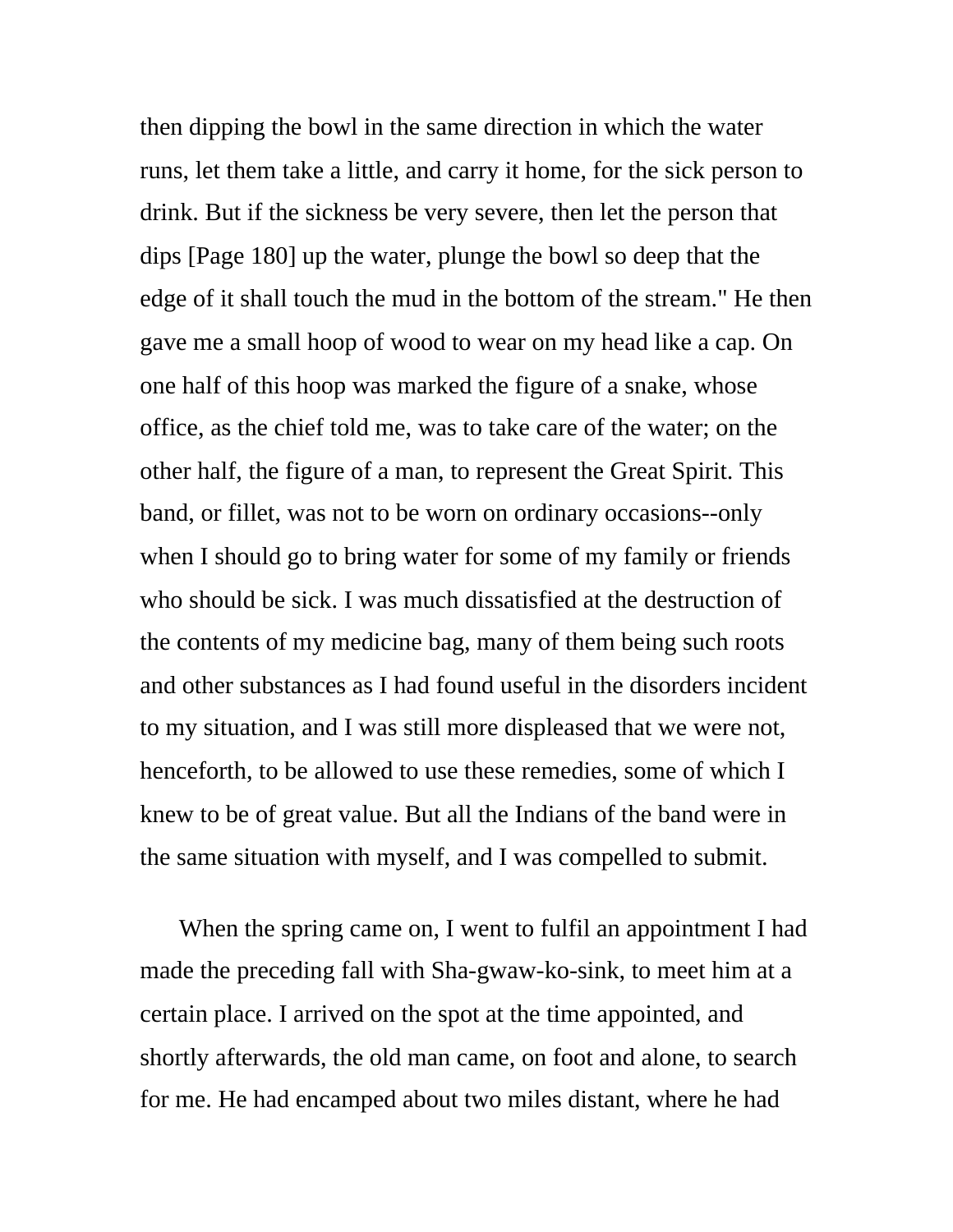then dipping the bowl in the same direction in which the water runs, let them take a little, and carry it home, for the sick person to drink. But if the sickness be very severe, then let the person that dips [Page 180] up the water, plunge the bowl so deep that the edge of it shall touch the mud in the bottom of the stream." He then gave me a small hoop of wood to wear on my head like a cap. On one half of this hoop was marked the figure of a snake, whose office, as the chief told me, was to take care of the water; on the other half, the figure of a man, to represent the Great Spirit. This band, or fillet, was not to be worn on ordinary occasions--only when I should go to bring water for some of my family or friends who should be sick. I was much dissatisfied at the destruction of the contents of my medicine bag, many of them being such roots and other substances as I had found useful in the disorders incident to my situation, and I was still more displeased that we were not, henceforth, to be allowed to use these remedies, some of which I knew to be of great value. But all the Indians of the band were in the same situation with myself, and I was compelled to submit.

When the spring came on, I went to fulfil an appointment I had made the preceding fall with Sha-gwaw-ko-sink, to meet him at a certain place. I arrived on the spot at the time appointed, and shortly afterwards, the old man came, on foot and alone, to search for me. He had encamped about two miles distant, where he had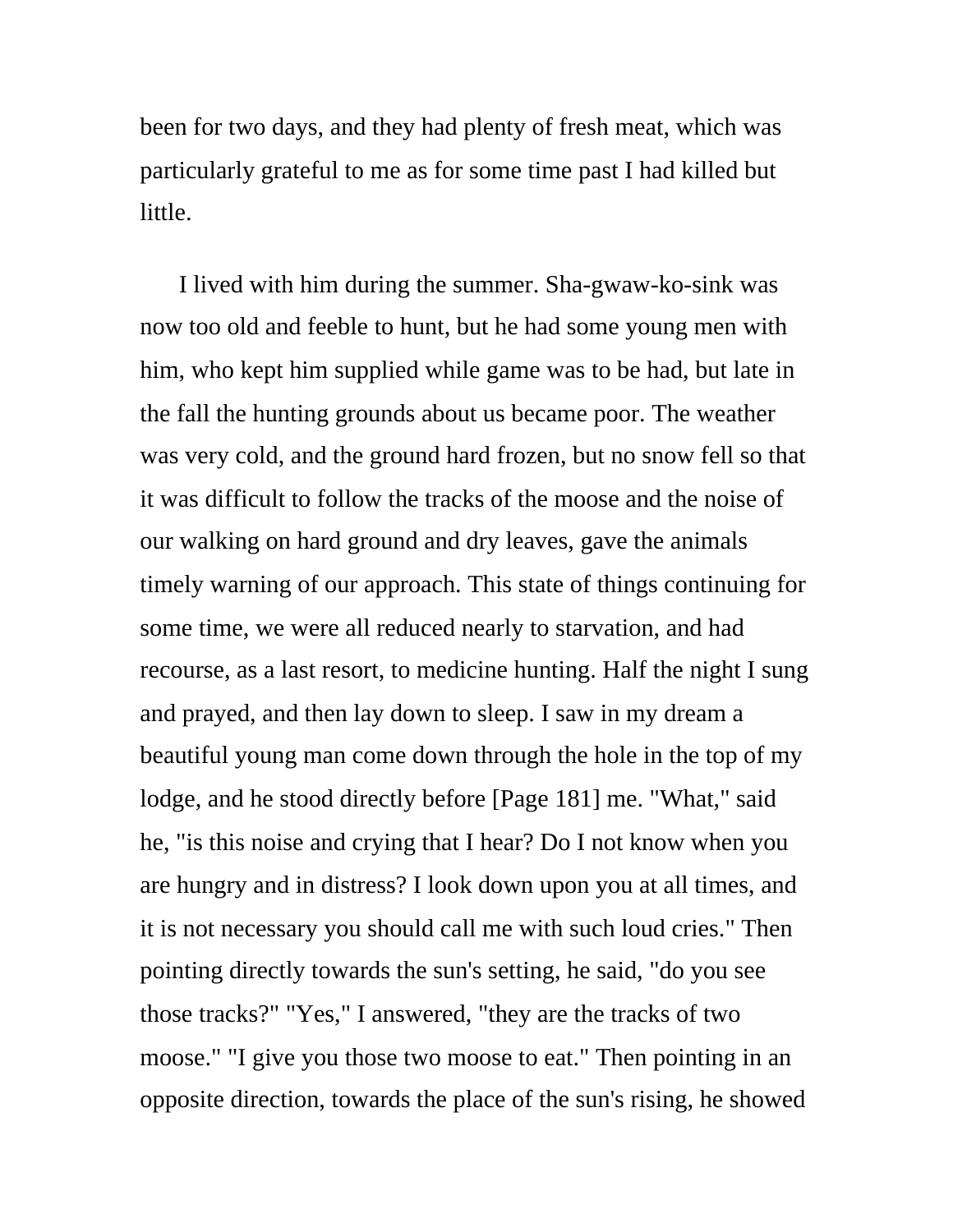been for two days, and they had plenty of fresh meat, which was particularly grateful to me as for some time past I had killed but little.

I lived with him during the summer. Sha-gwaw-ko-sink was now too old and feeble to hunt, but he had some young men with him, who kept him supplied while game was to be had, but late in the fall the hunting grounds about us became poor. The weather was very cold, and the ground hard frozen, but no snow fell so that it was difficult to follow the tracks of the moose and the noise of our walking on hard ground and dry leaves, gave the animals timely warning of our approach. This state of things continuing for some time, we were all reduced nearly to starvation, and had recourse, as a last resort, to medicine hunting. Half the night I sung and prayed, and then lay down to sleep. I saw in my dream a beautiful young man come down through the hole in the top of my lodge, and he stood directly before [Page 181] me. "What," said he, "is this noise and crying that I hear? Do I not know when you are hungry and in distress? I look down upon you at all times, and it is not necessary you should call me with such loud cries." Then pointing directly towards the sun's setting, he said, "do you see those tracks?" "Yes," I answered, "they are the tracks of two moose." "I give you those two moose to eat." Then pointing in an opposite direction, towards the place of the sun's rising, he showed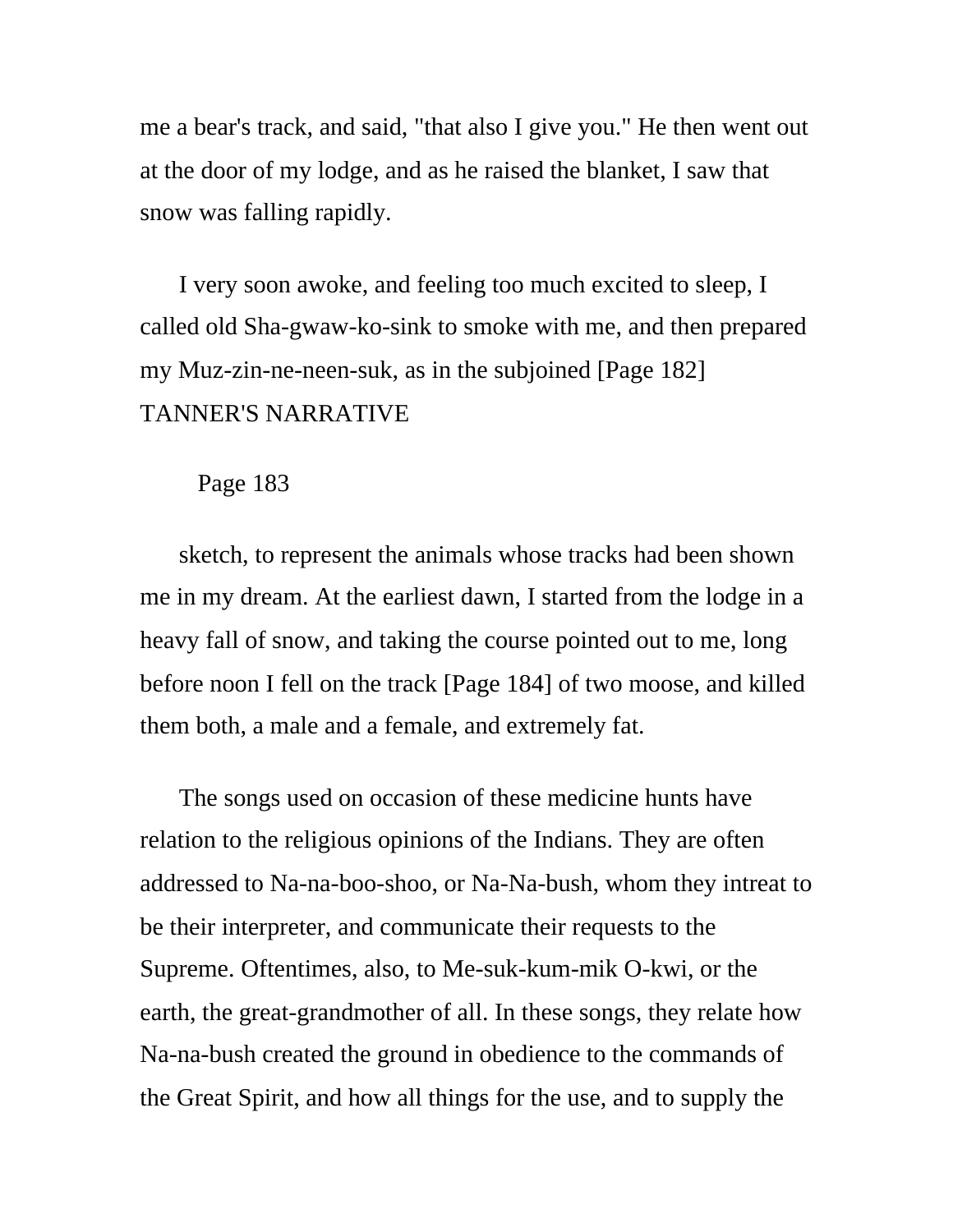me a bear's track, and said, "that also I give you." He then went out at the door of my lodge, and as he raised the blanket, I saw that snow was falling rapidly.

I very soon awoke, and feeling too much excited to sleep, I called old Sha-gwaw-ko-sink to smoke with me, and then prepared my Muz-zin-ne-neen-suk, as in the subjoined [Page 182] TANNER'S NARRATIVE

## Page 183

sketch, to represent the animals whose tracks had been shown me in my dream. At the earliest dawn, I started from the lodge in a heavy fall of snow, and taking the course pointed out to me, long before noon I fell on the track [Page 184] of two moose, and killed them both, a male and a female, and extremely fat.

The songs used on occasion of these medicine hunts have relation to the religious opinions of the Indians. They are often addressed to Na-na-boo-shoo, or Na-Na-bush, whom they intreat to be their interpreter, and communicate their requests to the Supreme. Oftentimes, also, to Me-suk-kum-mik O-kwi, or the earth, the great-grandmother of all. In these songs, they relate how Na-na-bush created the ground in obedience to the commands of the Great Spirit, and how all things for the use, and to supply the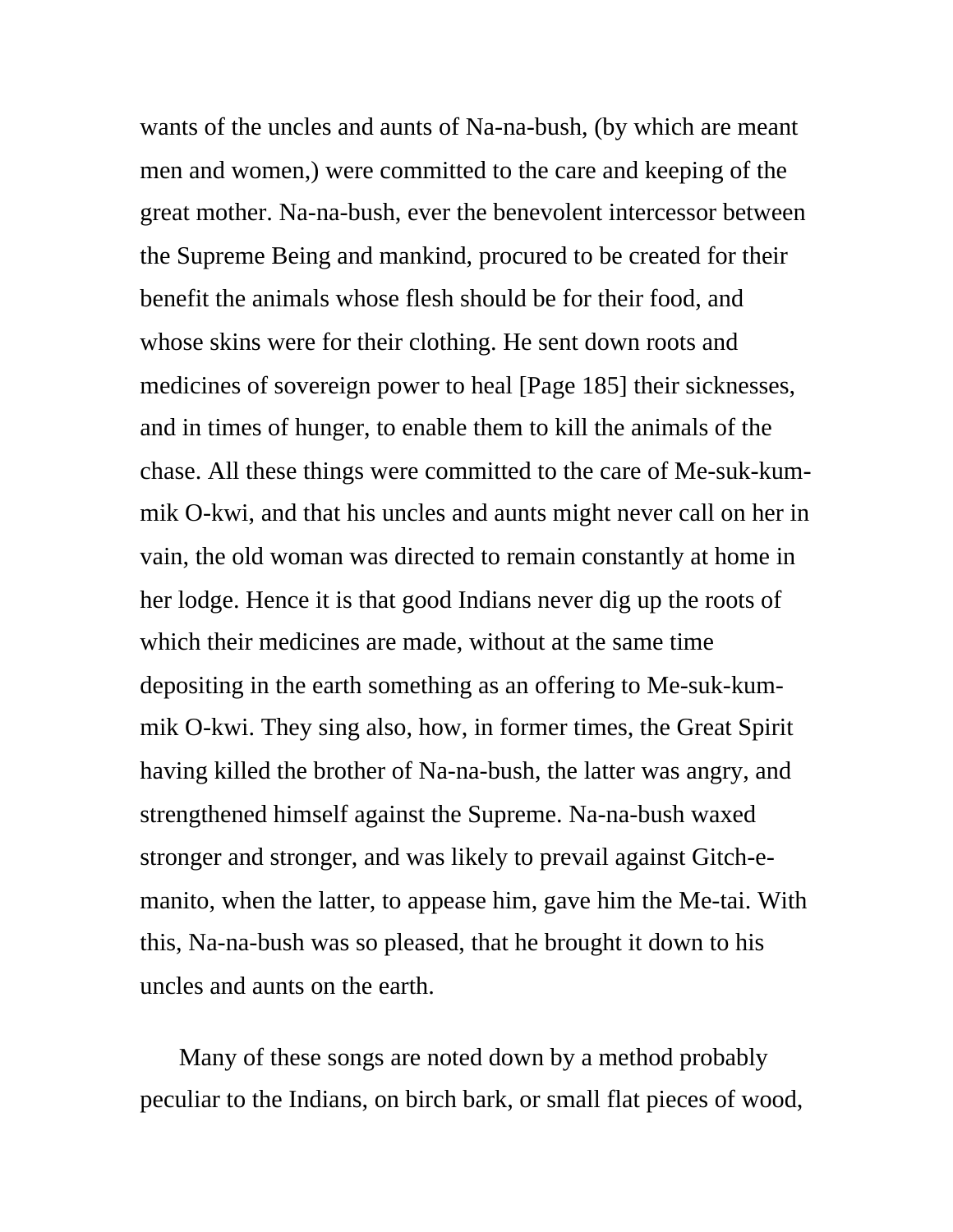wants of the uncles and aunts of Na-na-bush, (by which are meant men and women,) were committed to the care and keeping of the great mother. Na-na-bush, ever the benevolent intercessor between the Supreme Being and mankind, procured to be created for their benefit the animals whose flesh should be for their food, and whose skins were for their clothing. He sent down roots and medicines of sovereign power to heal [Page 185] their sicknesses, and in times of hunger, to enable them to kill the animals of the chase. All these things were committed to the care of Me-suk-kummik O-kwi, and that his uncles and aunts might never call on her in vain, the old woman was directed to remain constantly at home in her lodge. Hence it is that good Indians never dig up the roots of which their medicines are made, without at the same time depositing in the earth something as an offering to Me-suk-kummik O-kwi. They sing also, how, in former times, the Great Spirit having killed the brother of Na-na-bush, the latter was angry, and strengthened himself against the Supreme. Na-na-bush waxed stronger and stronger, and was likely to prevail against Gitch-emanito, when the latter, to appease him, gave him the Me-tai. With this, Na-na-bush was so pleased, that he brought it down to his uncles and aunts on the earth.

Many of these songs are noted down by a method probably peculiar to the Indians, on birch bark, or small flat pieces of wood,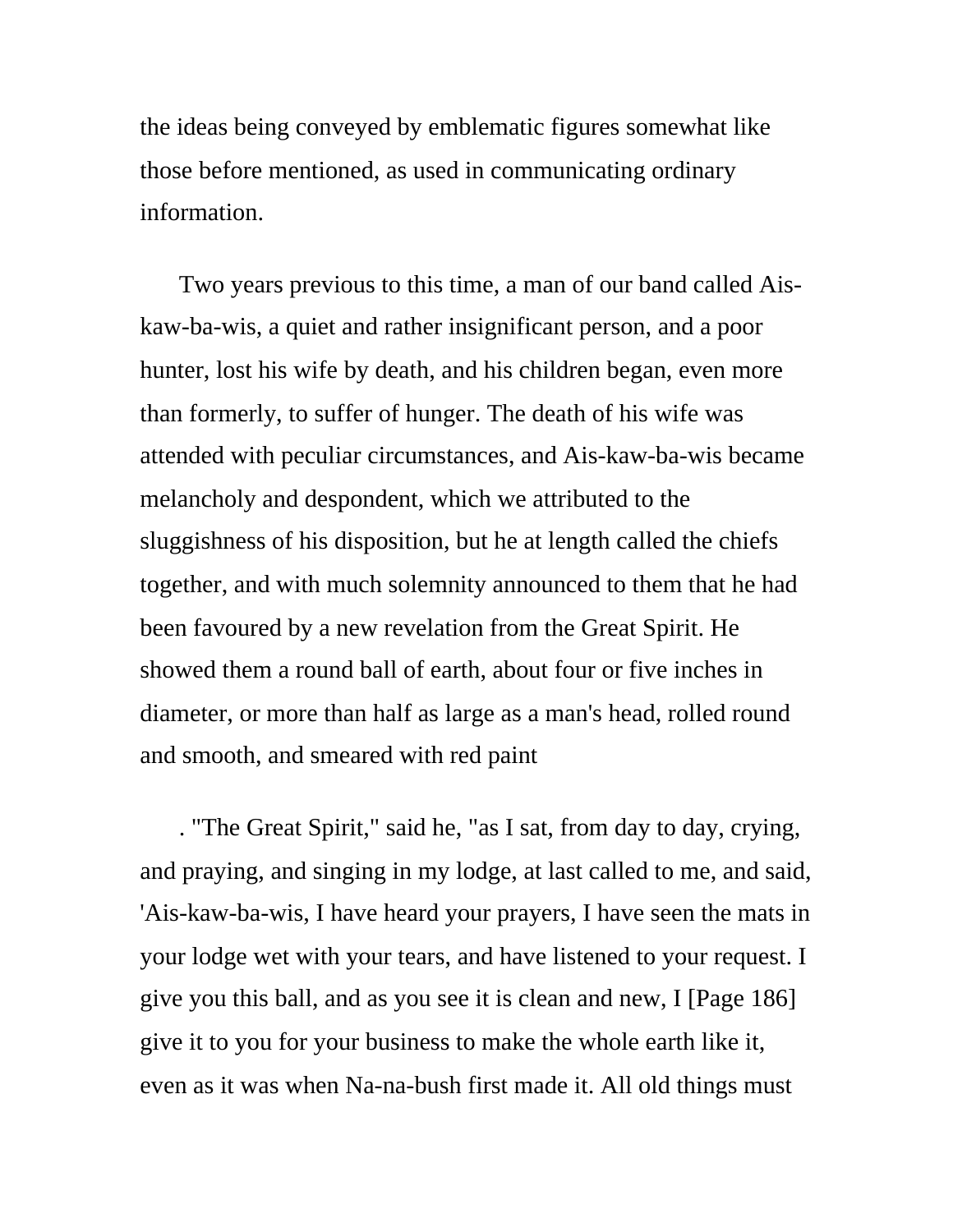the ideas being conveyed by emblematic figures somewhat like those before mentioned, as used in communicating ordinary information.

Two years previous to this time, a man of our band called Aiskaw-ba-wis, a quiet and rather insignificant person, and a poor hunter, lost his wife by death, and his children began, even more than formerly, to suffer of hunger. The death of his wife was attended with peculiar circumstances, and Ais-kaw-ba-wis became melancholy and despondent, which we attributed to the sluggishness of his disposition, but he at length called the chiefs together, and with much solemnity announced to them that he had been favoured by a new revelation from the Great Spirit. He showed them a round ball of earth, about four or five inches in diameter, or more than half as large as a man's head, rolled round and smooth, and smeared with red paint

. "The Great Spirit," said he, "as I sat, from day to day, crying, and praying, and singing in my lodge, at last called to me, and said, 'Ais-kaw-ba-wis, I have heard your prayers, I have seen the mats in your lodge wet with your tears, and have listened to your request. I give you this ball, and as you see it is clean and new, I [Page 186] give it to you for your business to make the whole earth like it, even as it was when Na-na-bush first made it. All old things must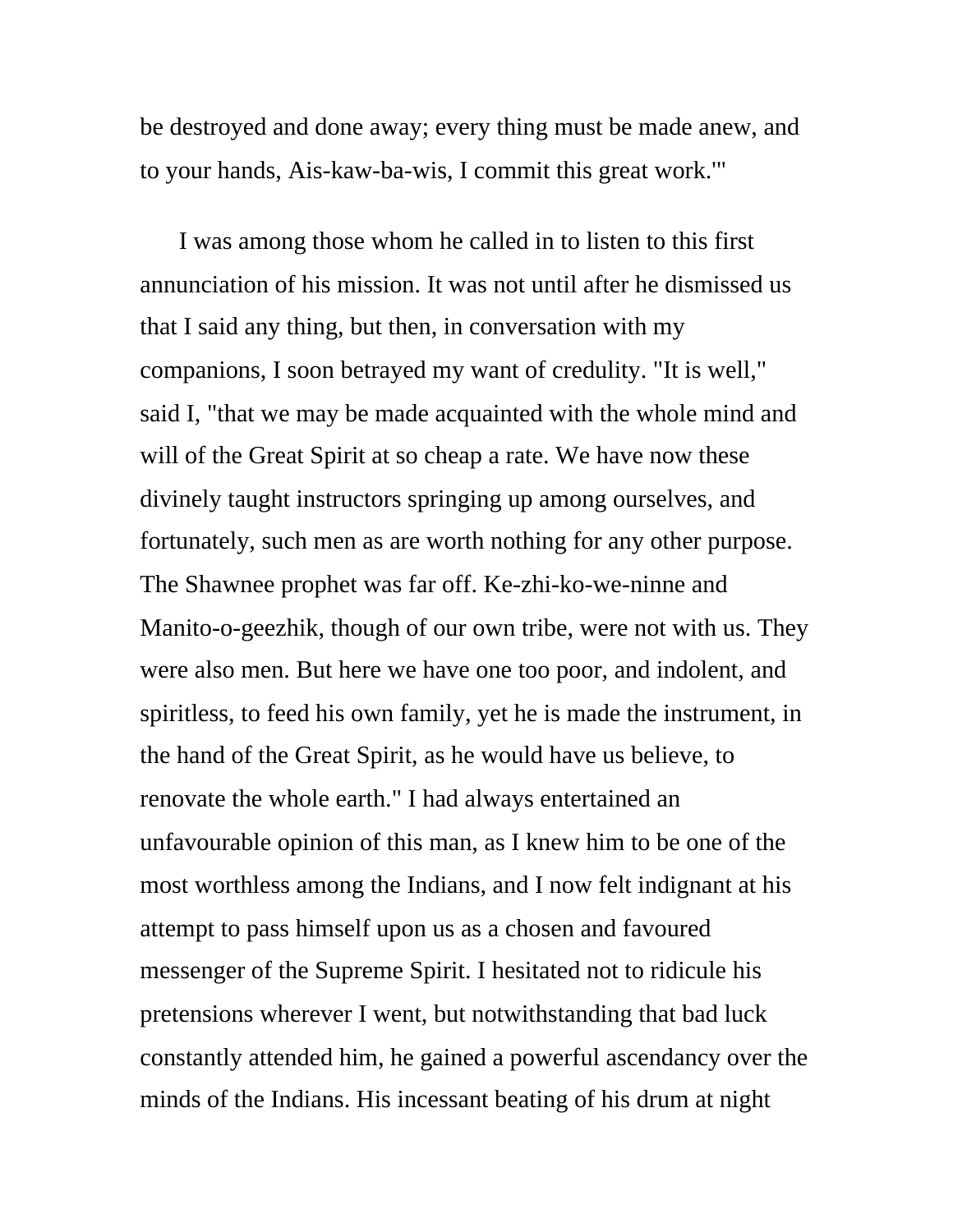be destroyed and done away; every thing must be made anew, and to your hands, Ais-kaw-ba-wis, I commit this great work.'"

I was among those whom he called in to listen to this first annunciation of his mission. It was not until after he dismissed us that I said any thing, but then, in conversation with my companions, I soon betrayed my want of credulity. "It is well," said I, "that we may be made acquainted with the whole mind and will of the Great Spirit at so cheap a rate. We have now these divinely taught instructors springing up among ourselves, and fortunately, such men as are worth nothing for any other purpose. The Shawnee prophet was far off. Ke-zhi-ko-we-ninne and Manito-o-geezhik, though of our own tribe, were not with us. They were also men. But here we have one too poor, and indolent, and spiritless, to feed his own family, yet he is made the instrument, in the hand of the Great Spirit, as he would have us believe, to renovate the whole earth." I had always entertained an unfavourable opinion of this man, as I knew him to be one of the most worthless among the Indians, and I now felt indignant at his attempt to pass himself upon us as a chosen and favoured messenger of the Supreme Spirit. I hesitated not to ridicule his pretensions wherever I went, but notwithstanding that bad luck constantly attended him, he gained a powerful ascendancy over the minds of the Indians. His incessant beating of his drum at night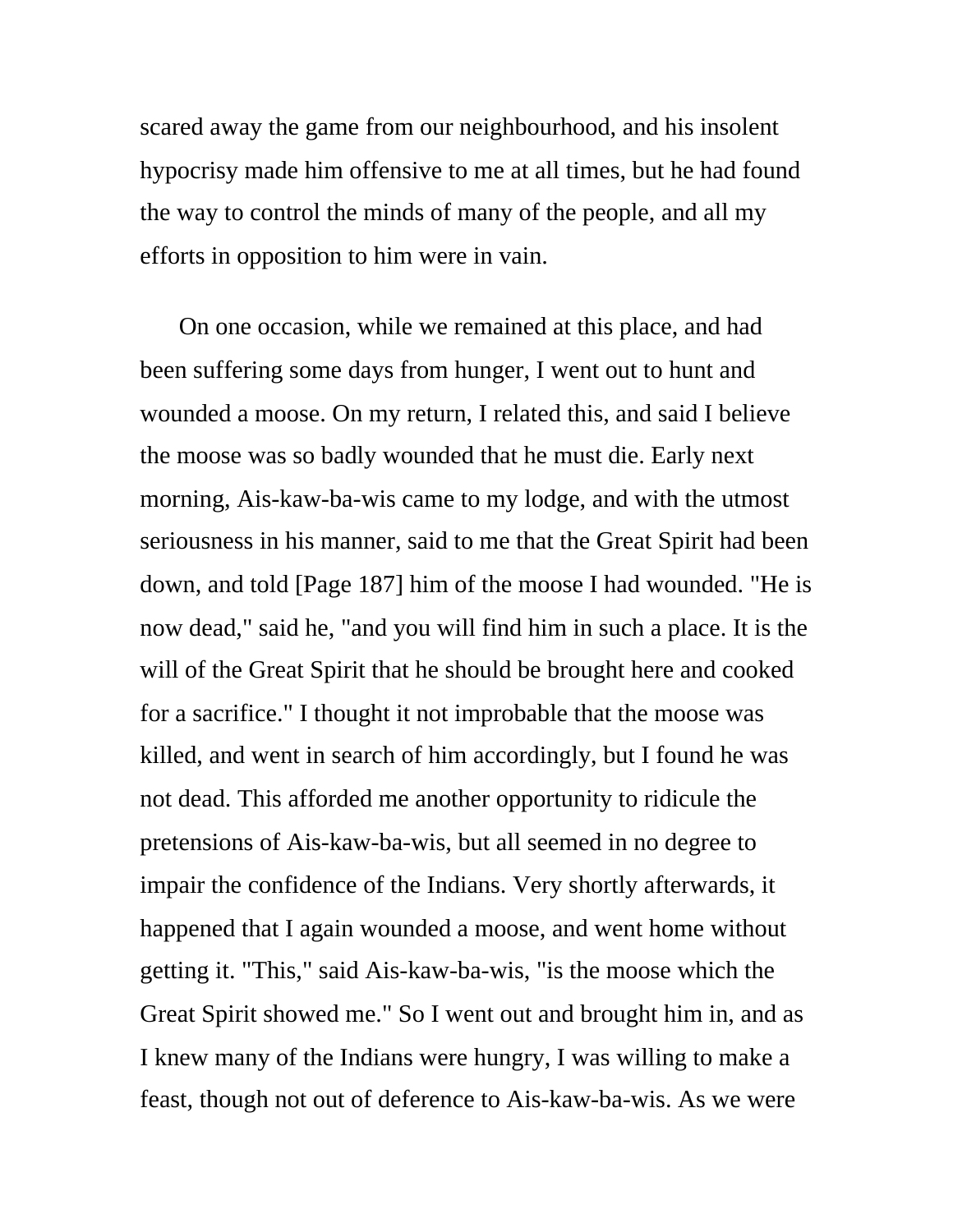scared away the game from our neighbourhood, and his insolent hypocrisy made him offensive to me at all times, but he had found the way to control the minds of many of the people, and all my efforts in opposition to him were in vain.

On one occasion, while we remained at this place, and had been suffering some days from hunger, I went out to hunt and wounded a moose. On my return, I related this, and said I believe the moose was so badly wounded that he must die. Early next morning, Ais-kaw-ba-wis came to my lodge, and with the utmost seriousness in his manner, said to me that the Great Spirit had been down, and told [Page 187] him of the moose I had wounded. "He is now dead," said he, "and you will find him in such a place. It is the will of the Great Spirit that he should be brought here and cooked for a sacrifice." I thought it not improbable that the moose was killed, and went in search of him accordingly, but I found he was not dead. This afforded me another opportunity to ridicule the pretensions of Ais-kaw-ba-wis, but all seemed in no degree to impair the confidence of the Indians. Very shortly afterwards, it happened that I again wounded a moose, and went home without getting it. "This," said Ais-kaw-ba-wis, "is the moose which the Great Spirit showed me." So I went out and brought him in, and as I knew many of the Indians were hungry, I was willing to make a feast, though not out of deference to Ais-kaw-ba-wis. As we were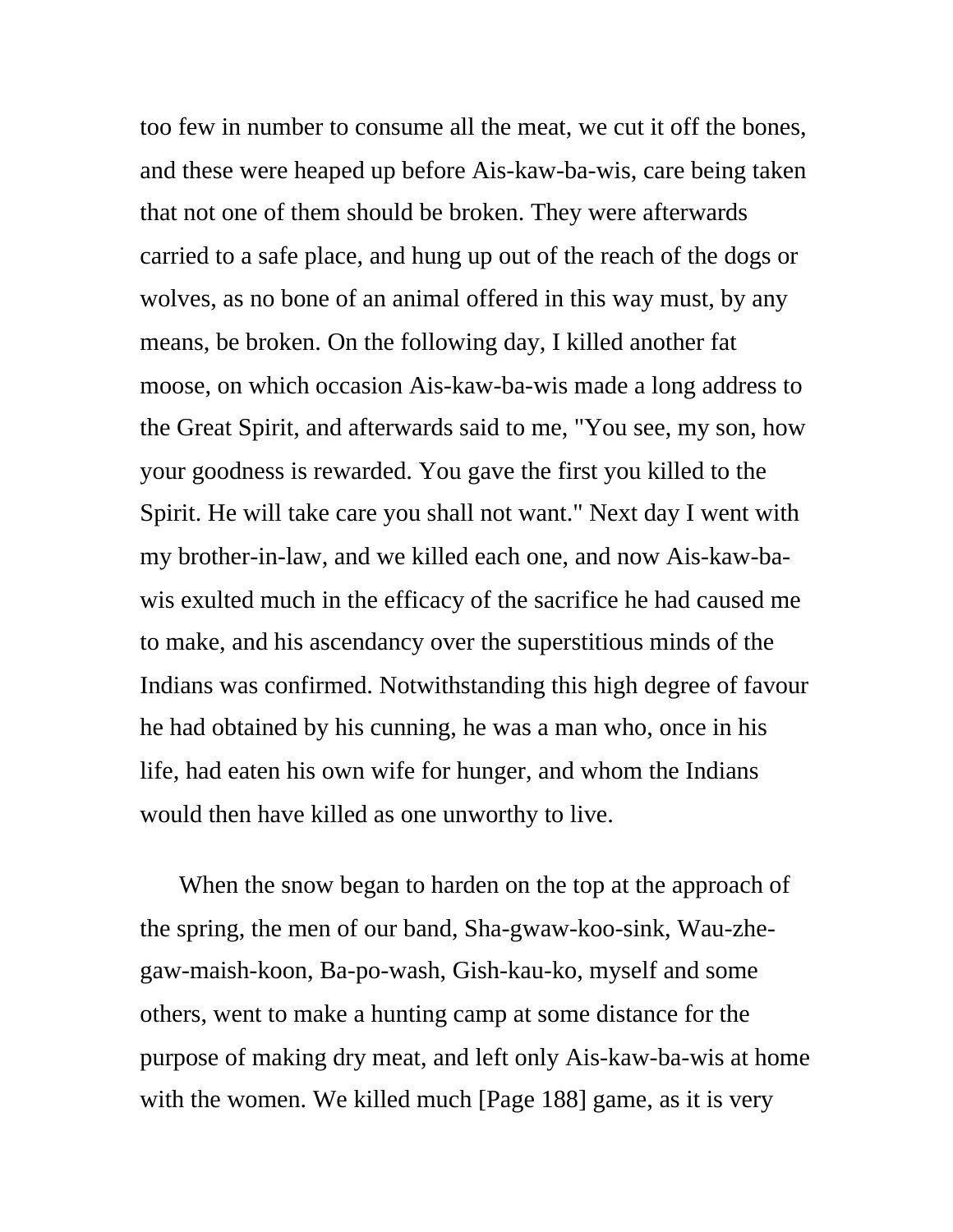too few in number to consume all the meat, we cut it off the bones, and these were heaped up before Ais-kaw-ba-wis, care being taken that not one of them should be broken. They were afterwards carried to a safe place, and hung up out of the reach of the dogs or wolves, as no bone of an animal offered in this way must, by any means, be broken. On the following day, I killed another fat moose, on which occasion Ais-kaw-ba-wis made a long address to the Great Spirit, and afterwards said to me, "You see, my son, how your goodness is rewarded. You gave the first you killed to the Spirit. He will take care you shall not want." Next day I went with my brother-in-law, and we killed each one, and now Ais-kaw-bawis exulted much in the efficacy of the sacrifice he had caused me to make, and his ascendancy over the superstitious minds of the Indians was confirmed. Notwithstanding this high degree of favour he had obtained by his cunning, he was a man who, once in his life, had eaten his own wife for hunger, and whom the Indians would then have killed as one unworthy to live.

When the snow began to harden on the top at the approach of the spring, the men of our band, Sha-gwaw-koo-sink, Wau-zhegaw-maish-koon, Ba-po-wash, Gish-kau-ko, myself and some others, went to make a hunting camp at some distance for the purpose of making dry meat, and left only Ais-kaw-ba-wis at home with the women. We killed much [Page 188] game, as it is very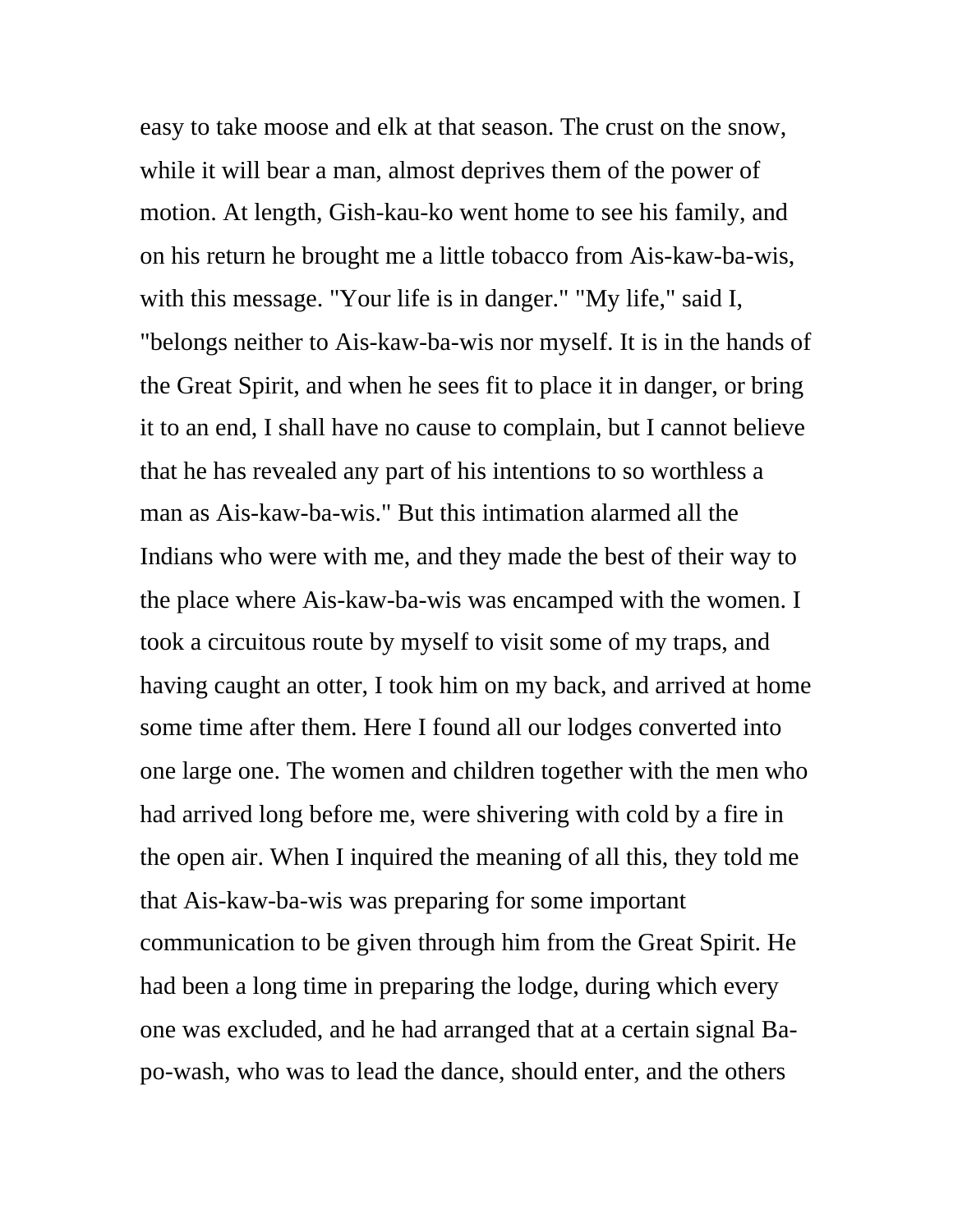easy to take moose and elk at that season. The crust on the snow, while it will bear a man, almost deprives them of the power of motion. At length, Gish-kau-ko went home to see his family, and on his return he brought me a little tobacco from Ais-kaw-ba-wis, with this message. "Your life is in danger." "My life," said I, "belongs neither to Ais-kaw-ba-wis nor myself. It is in the hands of the Great Spirit, and when he sees fit to place it in danger, or bring it to an end, I shall have no cause to complain, but I cannot believe that he has revealed any part of his intentions to so worthless a man as Ais-kaw-ba-wis." But this intimation alarmed all the Indians who were with me, and they made the best of their way to the place where Ais-kaw-ba-wis was encamped with the women. I took a circuitous route by myself to visit some of my traps, and having caught an otter, I took him on my back, and arrived at home some time after them. Here I found all our lodges converted into one large one. The women and children together with the men who had arrived long before me, were shivering with cold by a fire in the open air. When I inquired the meaning of all this, they told me that Ais-kaw-ba-wis was preparing for some important communication to be given through him from the Great Spirit. He had been a long time in preparing the lodge, during which every one was excluded, and he had arranged that at a certain signal Bapo-wash, who was to lead the dance, should enter, and the others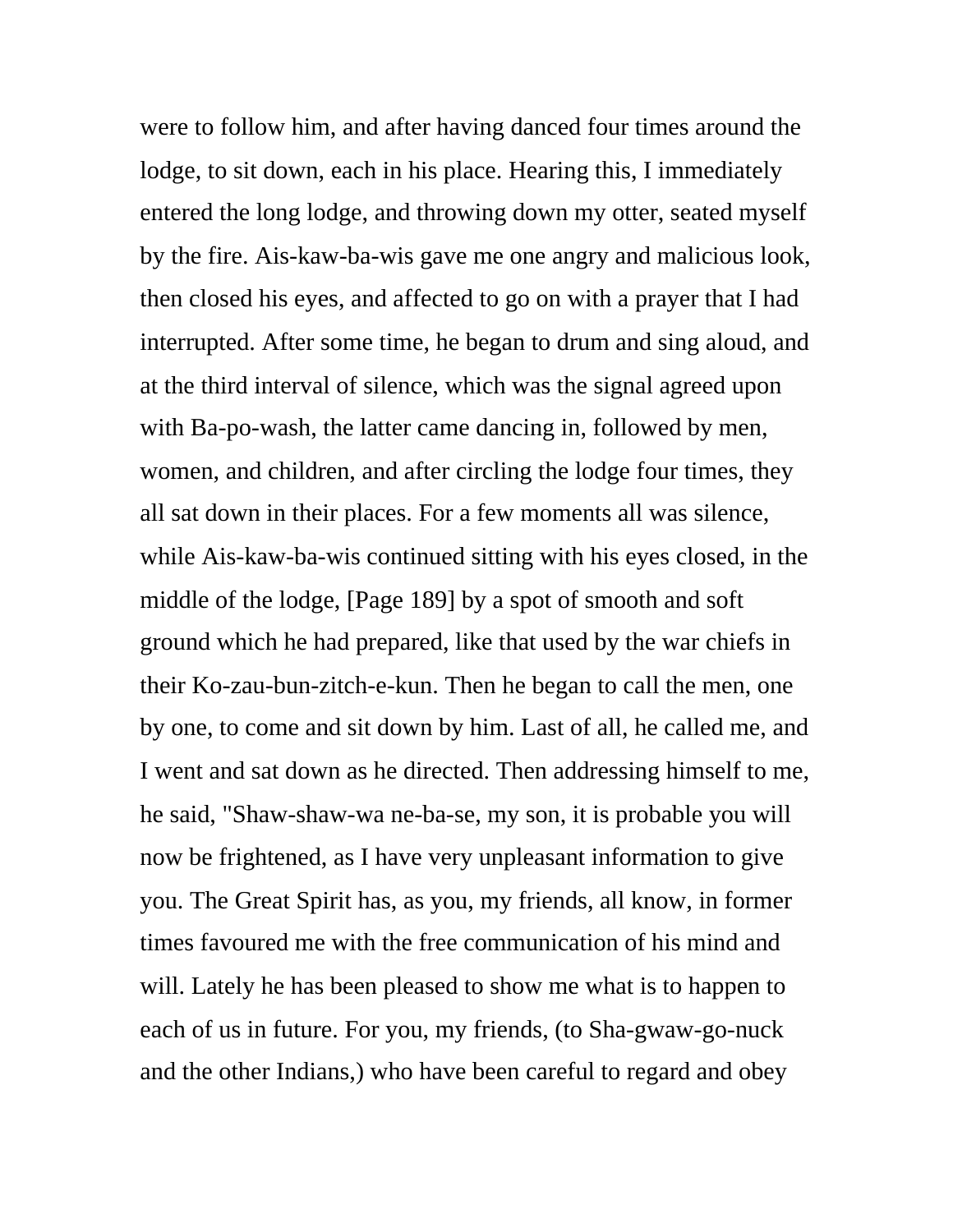were to follow him, and after having danced four times around the lodge, to sit down, each in his place. Hearing this, I immediately entered the long lodge, and throwing down my otter, seated myself by the fire. Ais-kaw-ba-wis gave me one angry and malicious look, then closed his eyes, and affected to go on with a prayer that I had interrupted. After some time, he began to drum and sing aloud, and at the third interval of silence, which was the signal agreed upon with Ba-po-wash, the latter came dancing in, followed by men, women, and children, and after circling the lodge four times, they all sat down in their places. For a few moments all was silence, while Ais-kaw-ba-wis continued sitting with his eyes closed, in the middle of the lodge, [Page 189] by a spot of smooth and soft ground which he had prepared, like that used by the war chiefs in their Ko-zau-bun-zitch-e-kun. Then he began to call the men, one by one, to come and sit down by him. Last of all, he called me, and I went and sat down as he directed. Then addressing himself to me, he said, "Shaw-shaw-wa ne-ba-se, my son, it is probable you will now be frightened, as I have very unpleasant information to give you. The Great Spirit has, as you, my friends, all know, in former times favoured me with the free communication of his mind and will. Lately he has been pleased to show me what is to happen to each of us in future. For you, my friends, (to Sha-gwaw-go-nuck and the other Indians,) who have been careful to regard and obey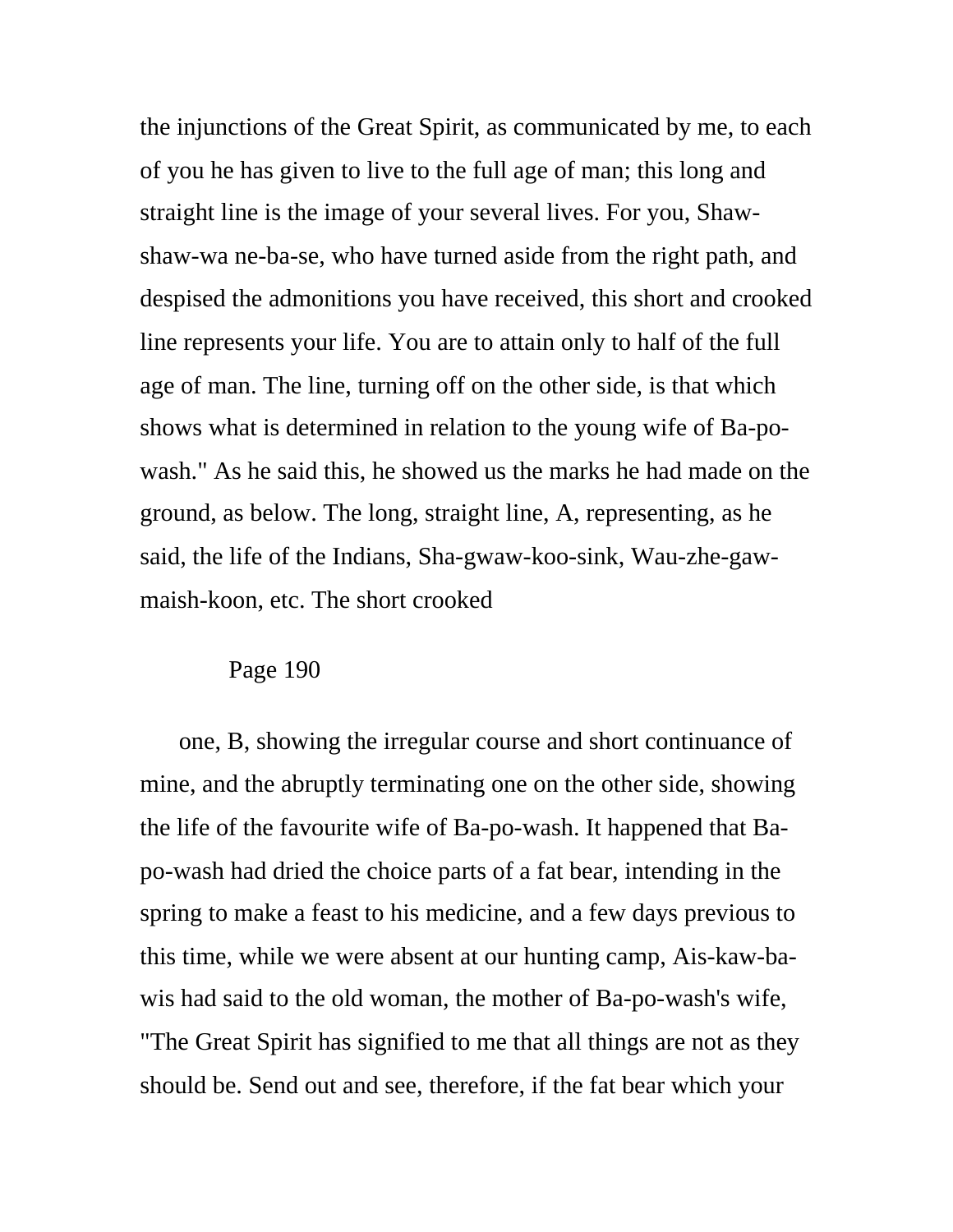the injunctions of the Great Spirit, as communicated by me, to each of you he has given to live to the full age of man; this long and straight line is the image of your several lives. For you, Shawshaw-wa ne-ba-se, who have turned aside from the right path, and despised the admonitions you have received, this short and crooked line represents your life. You are to attain only to half of the full age of man. The line, turning off on the other side, is that which shows what is determined in relation to the young wife of Ba-powash." As he said this, he showed us the marks he had made on the ground, as below. The long, straight line, A, representing, as he said, the life of the Indians, Sha-gwaw-koo-sink, Wau-zhe-gawmaish-koon, etc. The short crooked

## Page 190

one, B, showing the irregular course and short continuance of mine, and the abruptly terminating one on the other side, showing the life of the favourite wife of Ba-po-wash. It happened that Bapo-wash had dried the choice parts of a fat bear, intending in the spring to make a feast to his medicine, and a few days previous to this time, while we were absent at our hunting camp, Ais-kaw-bawis had said to the old woman, the mother of Ba-po-wash's wife, "The Great Spirit has signified to me that all things are not as they should be. Send out and see, therefore, if the fat bear which your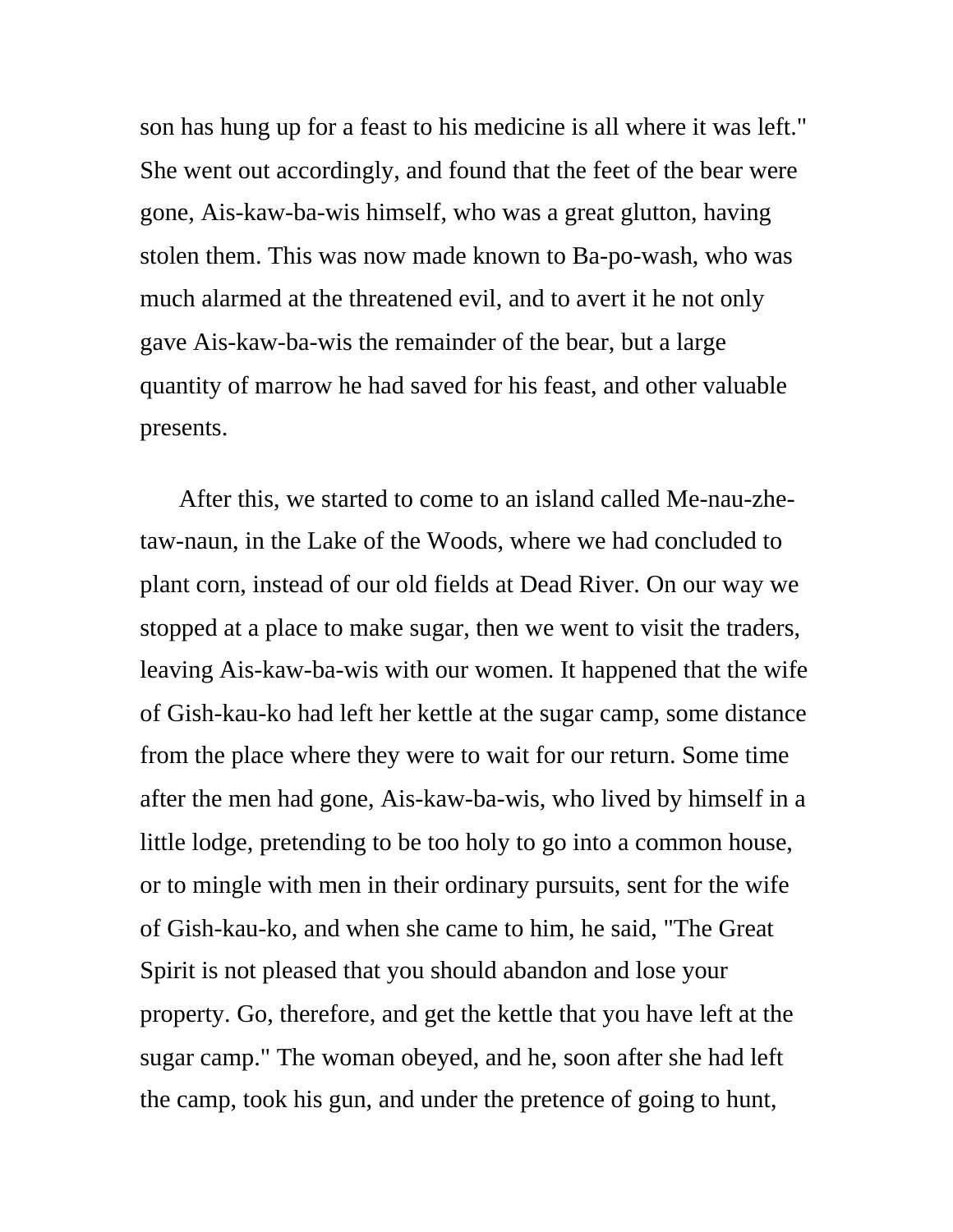son has hung up for a feast to his medicine is all where it was left." She went out accordingly, and found that the feet of the bear were gone, Ais-kaw-ba-wis himself, who was a great glutton, having stolen them. This was now made known to Ba-po-wash, who was much alarmed at the threatened evil, and to avert it he not only gave Ais-kaw-ba-wis the remainder of the bear, but a large quantity of marrow he had saved for his feast, and other valuable presents.

After this, we started to come to an island called Me-nau-zhetaw-naun, in the Lake of the Woods, where we had concluded to plant corn, instead of our old fields at Dead River. On our way we stopped at a place to make sugar, then we went to visit the traders, leaving Ais-kaw-ba-wis with our women. It happened that the wife of Gish-kau-ko had left her kettle at the sugar camp, some distance from the place where they were to wait for our return. Some time after the men had gone, Ais-kaw-ba-wis, who lived by himself in a little lodge, pretending to be too holy to go into a common house, or to mingle with men in their ordinary pursuits, sent for the wife of Gish-kau-ko, and when she came to him, he said, "The Great Spirit is not pleased that you should abandon and lose your property. Go, therefore, and get the kettle that you have left at the sugar camp." The woman obeyed, and he, soon after she had left the camp, took his gun, and under the pretence of going to hunt,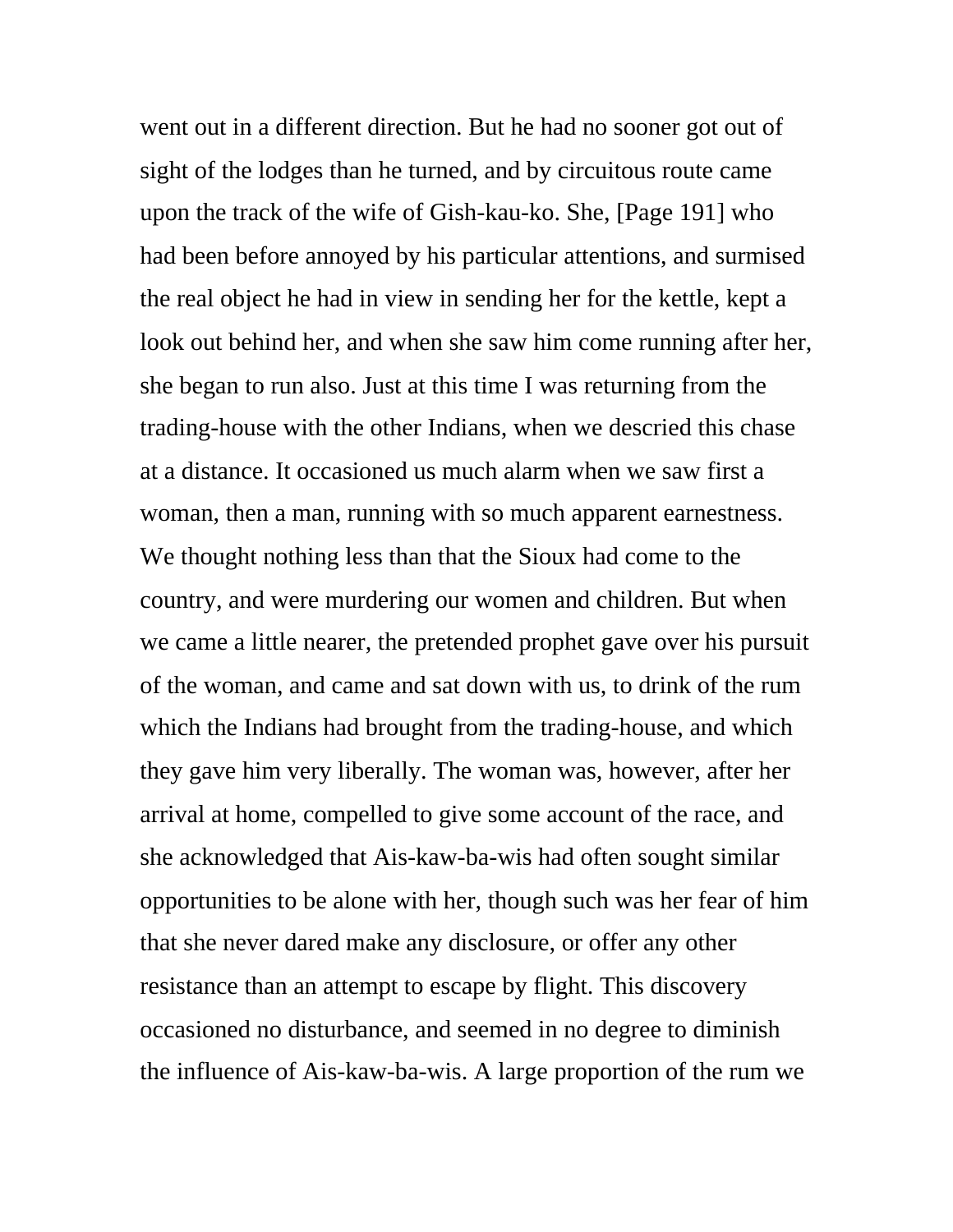went out in a different direction. But he had no sooner got out of sight of the lodges than he turned, and by circuitous route came upon the track of the wife of Gish-kau-ko. She, [Page 191] who had been before annoyed by his particular attentions, and surmised the real object he had in view in sending her for the kettle, kept a look out behind her, and when she saw him come running after her, she began to run also. Just at this time I was returning from the trading-house with the other Indians, when we descried this chase at a distance. It occasioned us much alarm when we saw first a woman, then a man, running with so much apparent earnestness. We thought nothing less than that the Sioux had come to the country, and were murdering our women and children. But when we came a little nearer, the pretended prophet gave over his pursuit of the woman, and came and sat down with us, to drink of the rum which the Indians had brought from the trading-house, and which they gave him very liberally. The woman was, however, after her arrival at home, compelled to give some account of the race, and she acknowledged that Ais-kaw-ba-wis had often sought similar opportunities to be alone with her, though such was her fear of him that she never dared make any disclosure, or offer any other resistance than an attempt to escape by flight. This discovery occasioned no disturbance, and seemed in no degree to diminish the influence of Ais-kaw-ba-wis. A large proportion of the rum we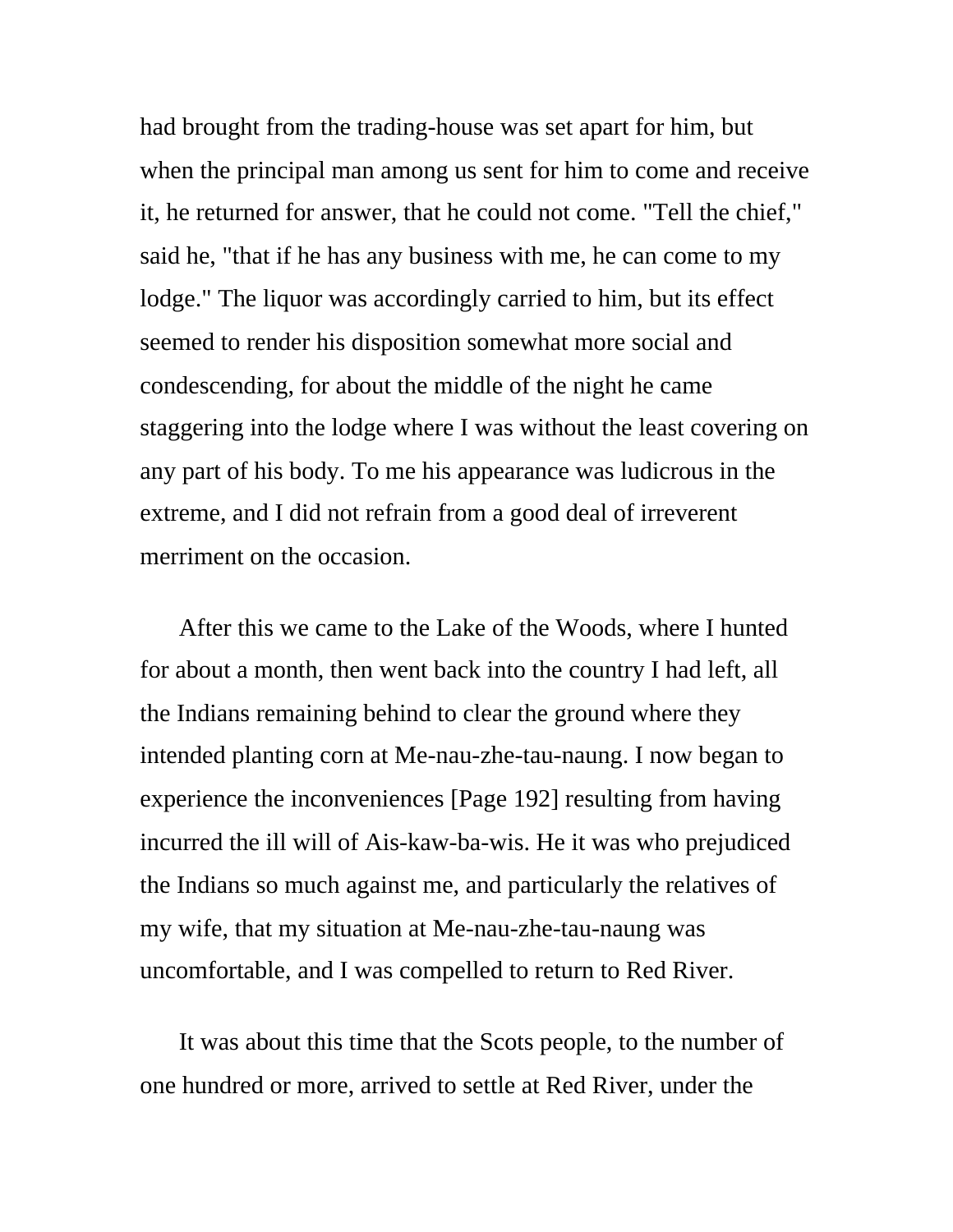had brought from the trading-house was set apart for him, but when the principal man among us sent for him to come and receive it, he returned for answer, that he could not come. "Tell the chief," said he, "that if he has any business with me, he can come to my lodge." The liquor was accordingly carried to him, but its effect seemed to render his disposition somewhat more social and condescending, for about the middle of the night he came staggering into the lodge where I was without the least covering on any part of his body. To me his appearance was ludicrous in the extreme, and I did not refrain from a good deal of irreverent merriment on the occasion.

After this we came to the Lake of the Woods, where I hunted for about a month, then went back into the country I had left, all the Indians remaining behind to clear the ground where they intended planting corn at Me-nau-zhe-tau-naung. I now began to experience the inconveniences [Page 192] resulting from having incurred the ill will of Ais-kaw-ba-wis. He it was who prejudiced the Indians so much against me, and particularly the relatives of my wife, that my situation at Me-nau-zhe-tau-naung was uncomfortable, and I was compelled to return to Red River.

It was about this time that the Scots people, to the number of one hundred or more, arrived to settle at Red River, under the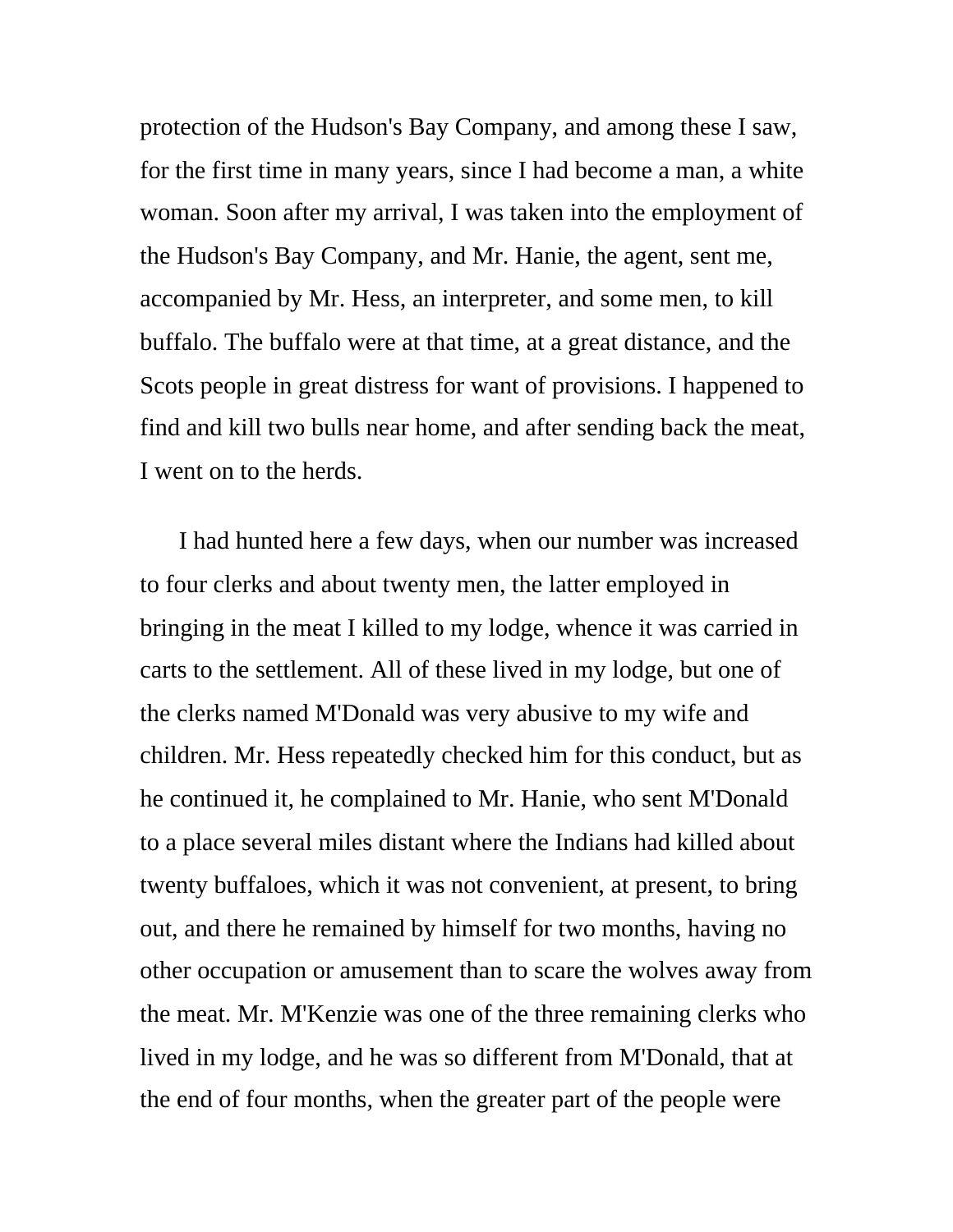protection of the Hudson's Bay Company, and among these I saw, for the first time in many years, since I had become a man, a white woman. Soon after my arrival, I was taken into the employment of the Hudson's Bay Company, and Mr. Hanie, the agent, sent me, accompanied by Mr. Hess, an interpreter, and some men, to kill buffalo. The buffalo were at that time, at a great distance, and the Scots people in great distress for want of provisions. I happened to find and kill two bulls near home, and after sending back the meat, I went on to the herds.

I had hunted here a few days, when our number was increased to four clerks and about twenty men, the latter employed in bringing in the meat I killed to my lodge, whence it was carried in carts to the settlement. All of these lived in my lodge, but one of the clerks named M'Donald was very abusive to my wife and children. Mr. Hess repeatedly checked him for this conduct, but as he continued it, he complained to Mr. Hanie, who sent M'Donald to a place several miles distant where the Indians had killed about twenty buffaloes, which it was not convenient, at present, to bring out, and there he remained by himself for two months, having no other occupation or amusement than to scare the wolves away from the meat. Mr. M'Kenzie was one of the three remaining clerks who lived in my lodge, and he was so different from M'Donald, that at the end of four months, when the greater part of the people were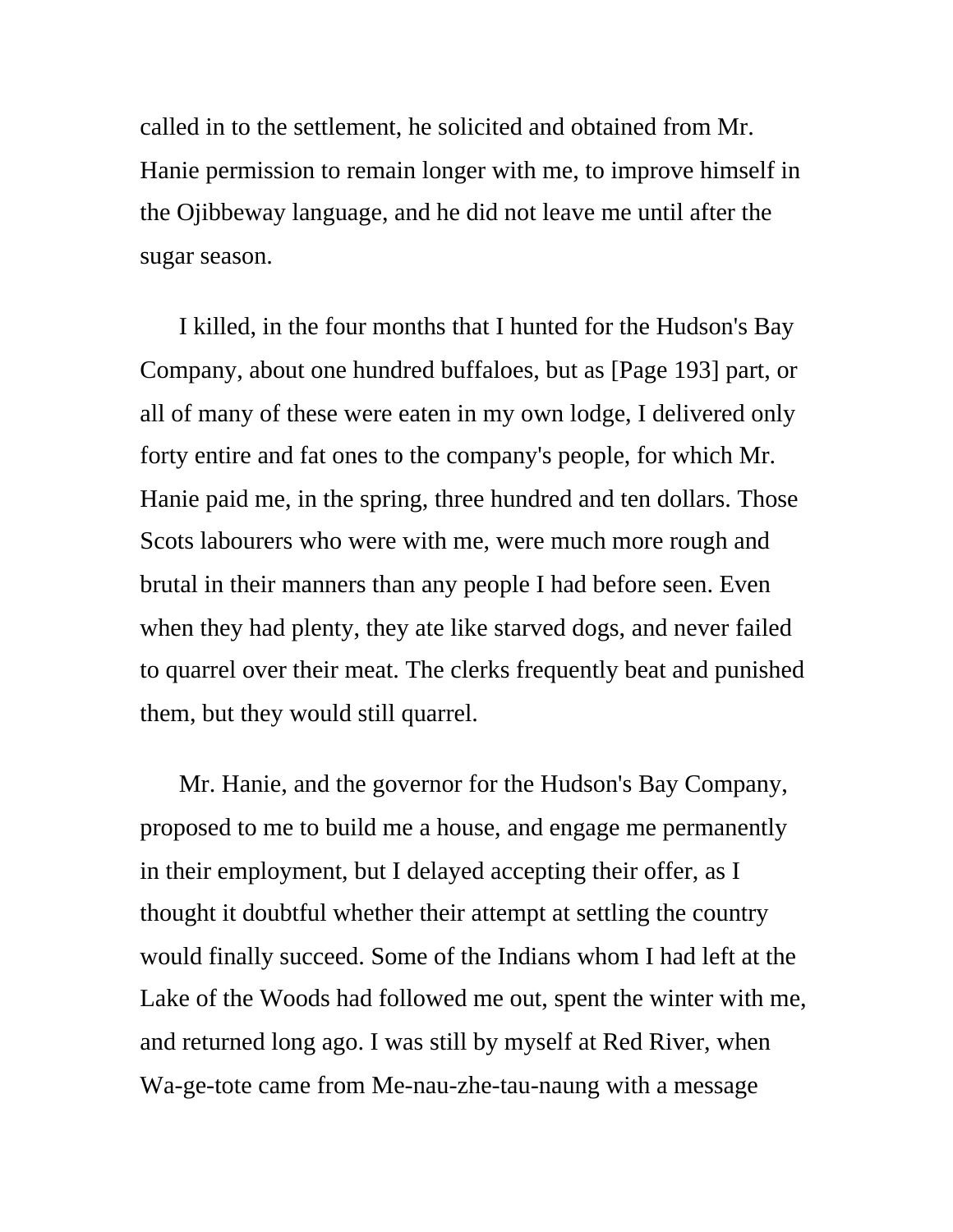called in to the settlement, he solicited and obtained from Mr. Hanie permission to remain longer with me, to improve himself in the Ojibbeway language, and he did not leave me until after the sugar season.

I killed, in the four months that I hunted for the Hudson's Bay Company, about one hundred buffaloes, but as [Page 193] part, or all of many of these were eaten in my own lodge, I delivered only forty entire and fat ones to the company's people, for which Mr. Hanie paid me, in the spring, three hundred and ten dollars. Those Scots labourers who were with me, were much more rough and brutal in their manners than any people I had before seen. Even when they had plenty, they ate like starved dogs, and never failed to quarrel over their meat. The clerks frequently beat and punished them, but they would still quarrel.

Mr. Hanie, and the governor for the Hudson's Bay Company, proposed to me to build me a house, and engage me permanently in their employment, but I delayed accepting their offer, as I thought it doubtful whether their attempt at settling the country would finally succeed. Some of the Indians whom I had left at the Lake of the Woods had followed me out, spent the winter with me, and returned long ago. I was still by myself at Red River, when Wa-ge-tote came from Me-nau-zhe-tau-naung with a message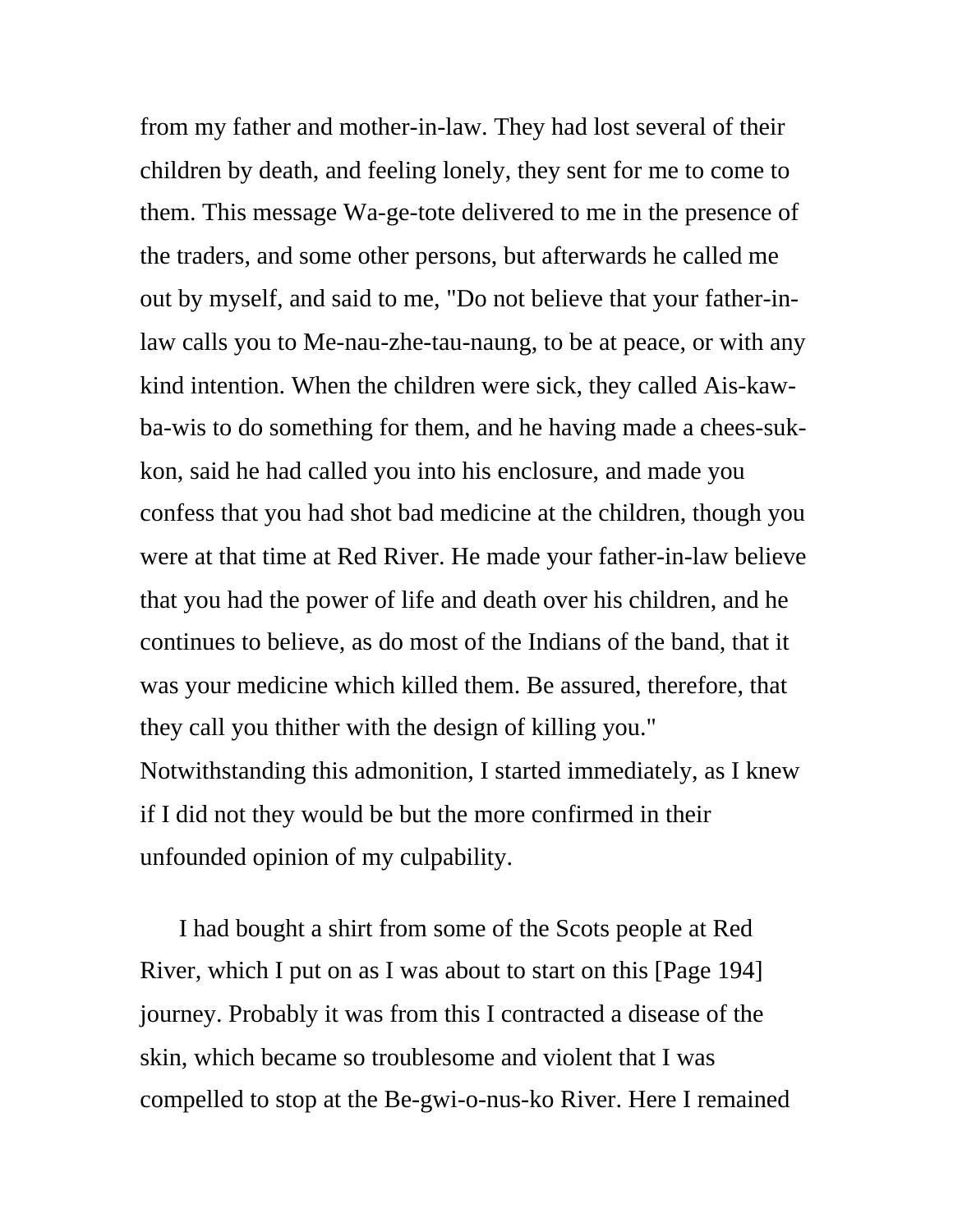from my father and mother-in-law. They had lost several of their children by death, and feeling lonely, they sent for me to come to them. This message Wa-ge-tote delivered to me in the presence of the traders, and some other persons, but afterwards he called me out by myself, and said to me, "Do not believe that your father-inlaw calls you to Me-nau-zhe-tau-naung, to be at peace, or with any kind intention. When the children were sick, they called Ais-kawba-wis to do something for them, and he having made a chees-sukkon, said he had called you into his enclosure, and made you confess that you had shot bad medicine at the children, though you were at that time at Red River. He made your father-in-law believe that you had the power of life and death over his children, and he continues to believe, as do most of the Indians of the band, that it was your medicine which killed them. Be assured, therefore, that they call you thither with the design of killing you." Notwithstanding this admonition, I started immediately, as I knew if I did not they would be but the more confirmed in their unfounded opinion of my culpability.

I had bought a shirt from some of the Scots people at Red River, which I put on as I was about to start on this [Page 194] journey. Probably it was from this I contracted a disease of the skin, which became so troublesome and violent that I was compelled to stop at the Be-gwi-o-nus-ko River. Here I remained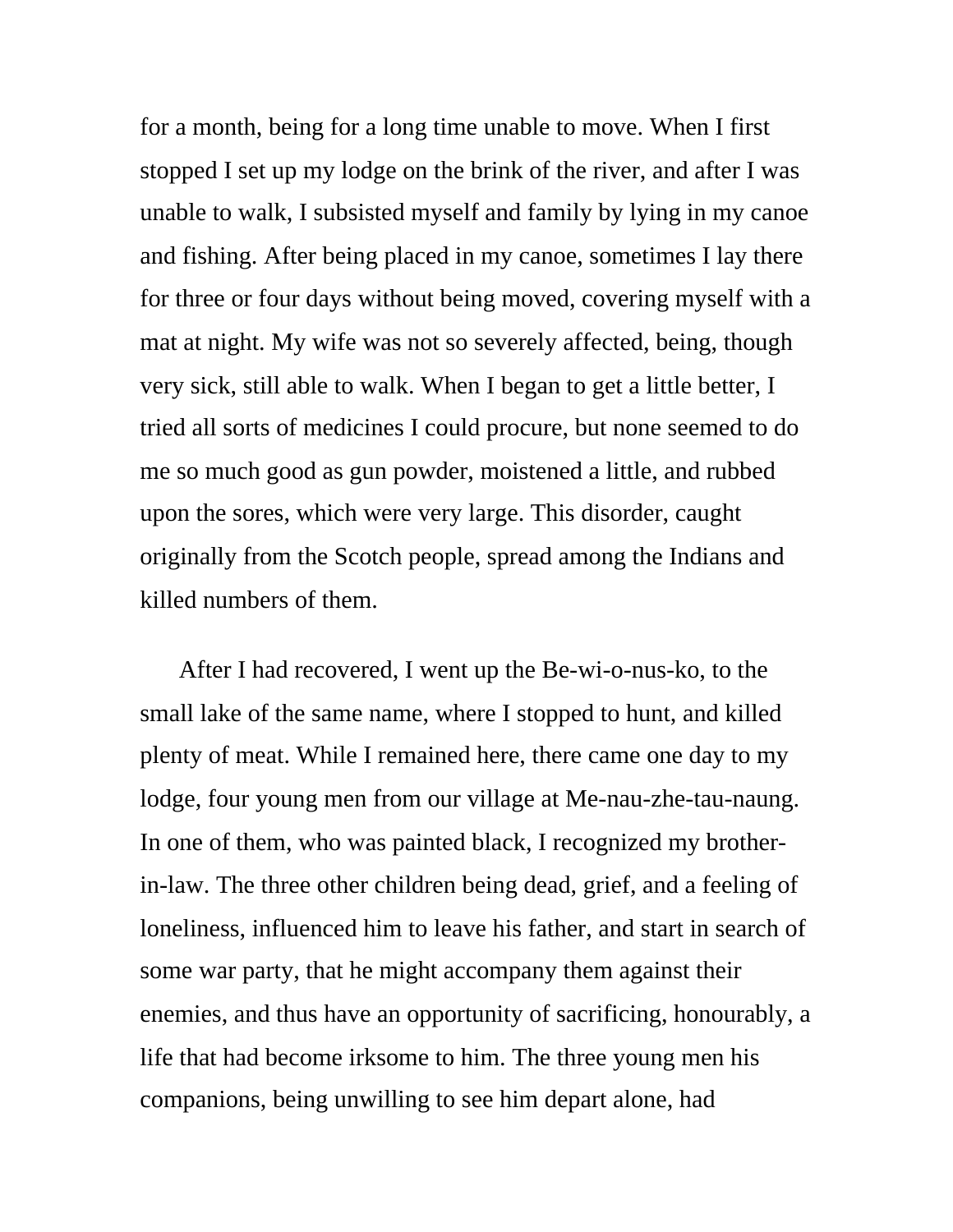for a month, being for a long time unable to move. When I first stopped I set up my lodge on the brink of the river, and after I was unable to walk, I subsisted myself and family by lying in my canoe and fishing. After being placed in my canoe, sometimes I lay there for three or four days without being moved, covering myself with a mat at night. My wife was not so severely affected, being, though very sick, still able to walk. When I began to get a little better, I tried all sorts of medicines I could procure, but none seemed to do me so much good as gun powder, moistened a little, and rubbed upon the sores, which were very large. This disorder, caught originally from the Scotch people, spread among the Indians and killed numbers of them.

After I had recovered, I went up the Be-wi-o-nus-ko, to the small lake of the same name, where I stopped to hunt, and killed plenty of meat. While I remained here, there came one day to my lodge, four young men from our village at Me-nau-zhe-tau-naung. In one of them, who was painted black, I recognized my brotherin-law. The three other children being dead, grief, and a feeling of loneliness, influenced him to leave his father, and start in search of some war party, that he might accompany them against their enemies, and thus have an opportunity of sacrificing, honourably, a life that had become irksome to him. The three young men his companions, being unwilling to see him depart alone, had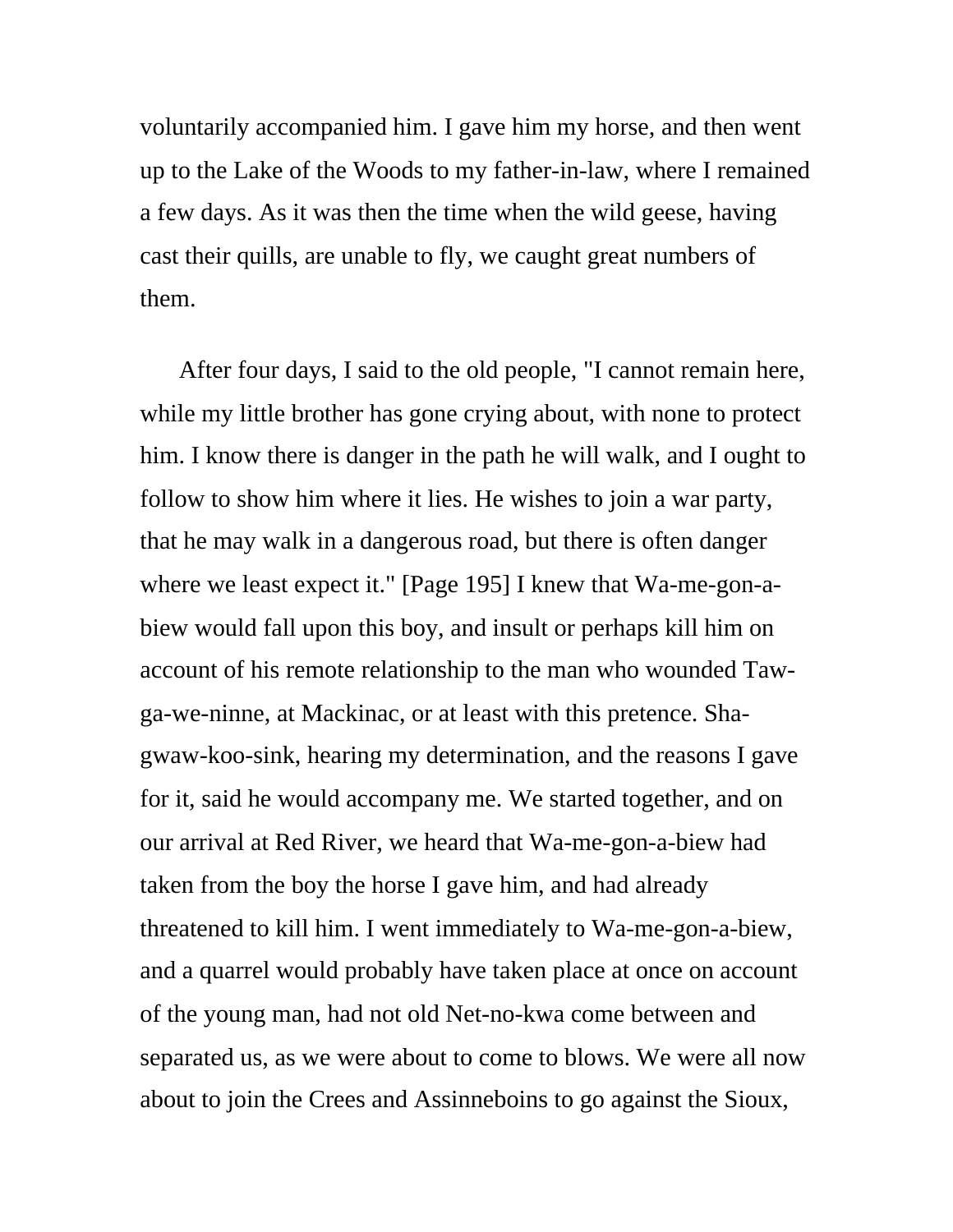voluntarily accompanied him. I gave him my horse, and then went up to the Lake of the Woods to my father-in-law, where I remained a few days. As it was then the time when the wild geese, having cast their quills, are unable to fly, we caught great numbers of them.

After four days, I said to the old people, "I cannot remain here, while my little brother has gone crying about, with none to protect him. I know there is danger in the path he will walk, and I ought to follow to show him where it lies. He wishes to join a war party, that he may walk in a dangerous road, but there is often danger where we least expect it." [Page 195] I knew that Wa-me-gon-abiew would fall upon this boy, and insult or perhaps kill him on account of his remote relationship to the man who wounded Tawga-we-ninne, at Mackinac, or at least with this pretence. Shagwaw-koo-sink, hearing my determination, and the reasons I gave for it, said he would accompany me. We started together, and on our arrival at Red River, we heard that Wa-me-gon-a-biew had taken from the boy the horse I gave him, and had already threatened to kill him. I went immediately to Wa-me-gon-a-biew, and a quarrel would probably have taken place at once on account of the young man, had not old Net-no-kwa come between and separated us, as we were about to come to blows. We were all now about to join the Crees and Assinneboins to go against the Sioux,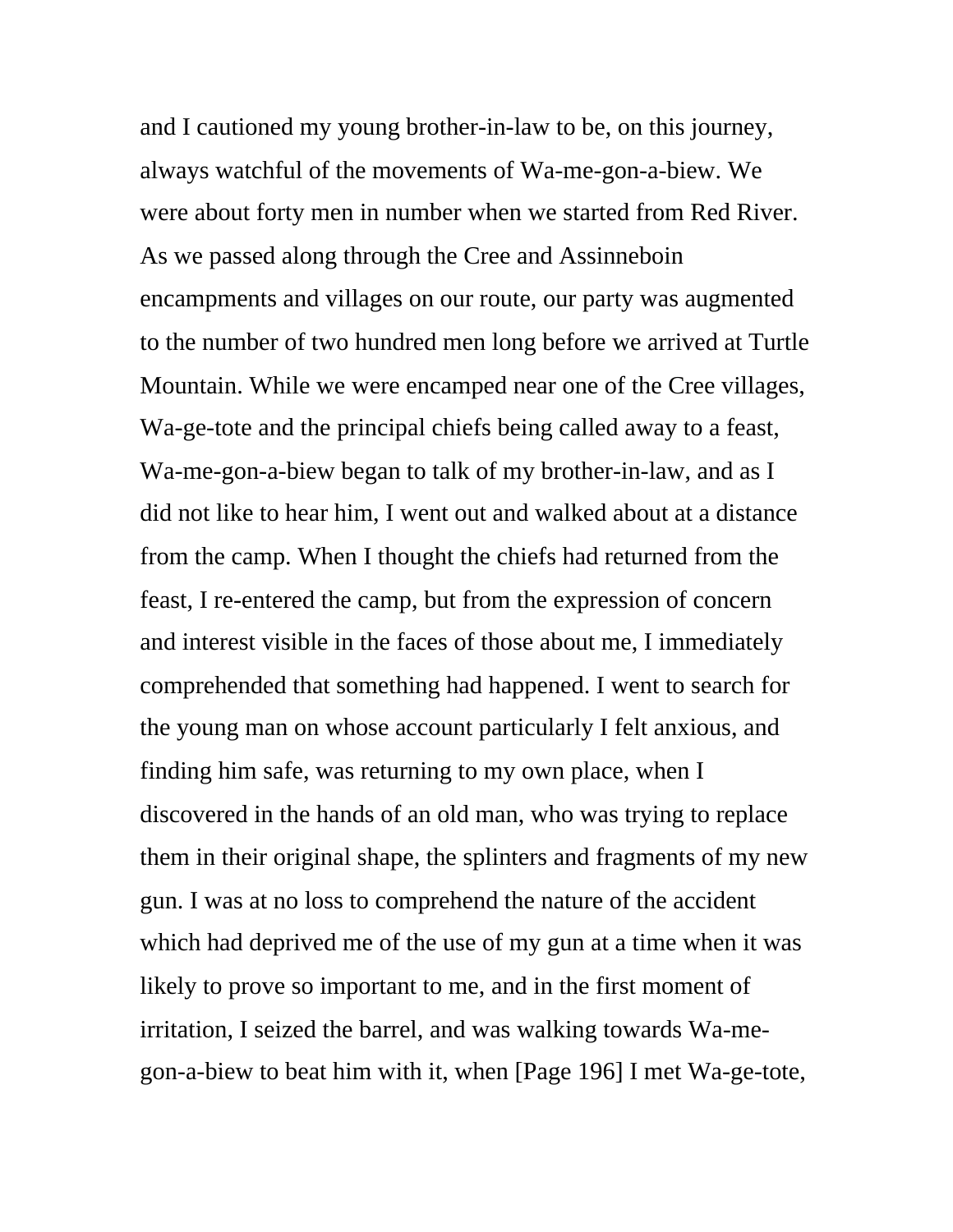and I cautioned my young brother-in-law to be, on this journey, always watchful of the movements of Wa-me-gon-a-biew. We were about forty men in number when we started from Red River. As we passed along through the Cree and Assinneboin encampments and villages on our route, our party was augmented to the number of two hundred men long before we arrived at Turtle Mountain. While we were encamped near one of the Cree villages, Wa-ge-tote and the principal chiefs being called away to a feast, Wa-me-gon-a-biew began to talk of my brother-in-law, and as I did not like to hear him, I went out and walked about at a distance from the camp. When I thought the chiefs had returned from the feast, I re-entered the camp, but from the expression of concern and interest visible in the faces of those about me, I immediately comprehended that something had happened. I went to search for the young man on whose account particularly I felt anxious, and finding him safe, was returning to my own place, when I discovered in the hands of an old man, who was trying to replace them in their original shape, the splinters and fragments of my new gun. I was at no loss to comprehend the nature of the accident which had deprived me of the use of my gun at a time when it was likely to prove so important to me, and in the first moment of irritation, I seized the barrel, and was walking towards Wa-megon-a-biew to beat him with it, when [Page 196] I met Wa-ge-tote,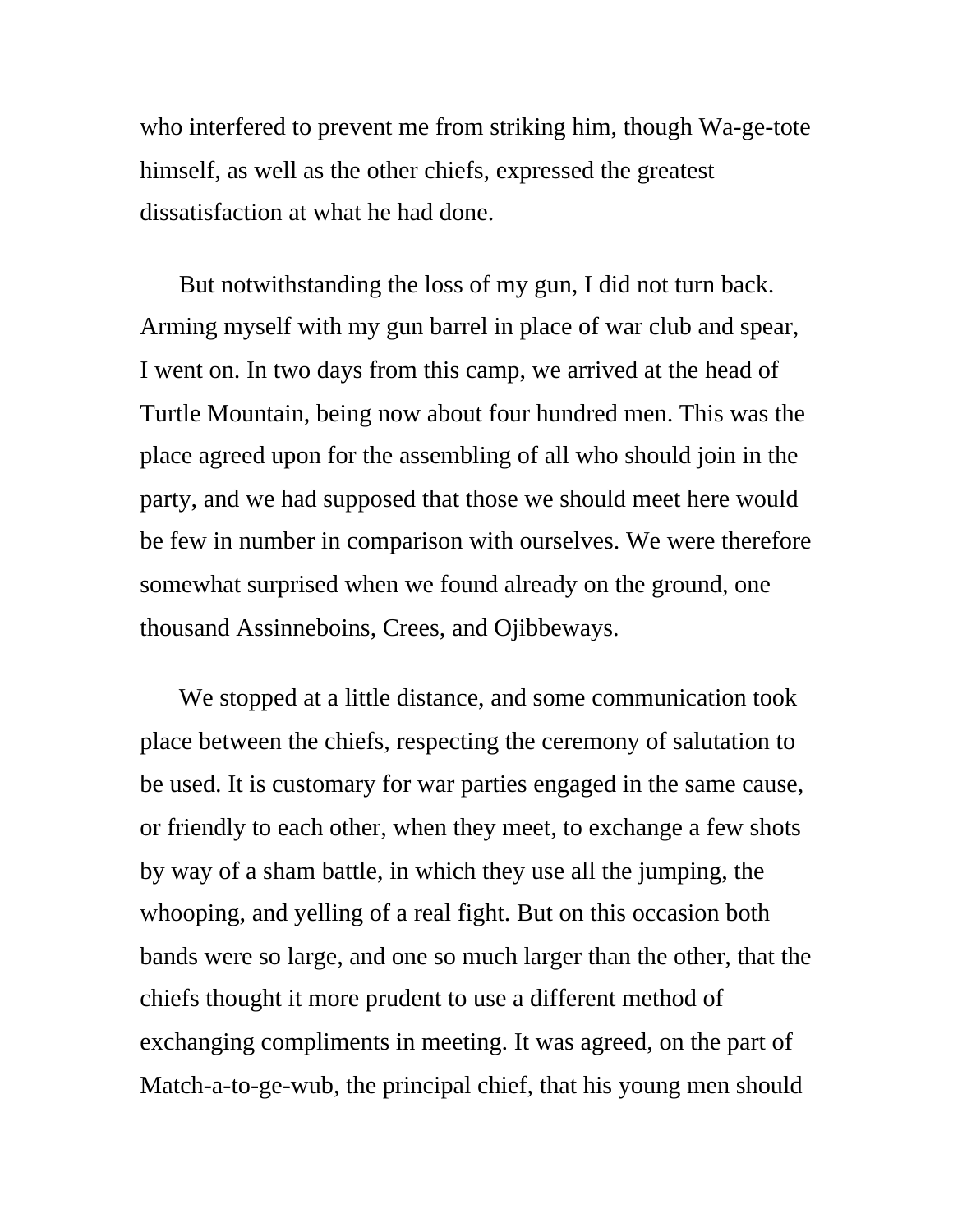who interfered to prevent me from striking him, though Wa-ge-tote himself, as well as the other chiefs, expressed the greatest dissatisfaction at what he had done.

But notwithstanding the loss of my gun, I did not turn back. Arming myself with my gun barrel in place of war club and spear, I went on. In two days from this camp, we arrived at the head of Turtle Mountain, being now about four hundred men. This was the place agreed upon for the assembling of all who should join in the party, and we had supposed that those we should meet here would be few in number in comparison with ourselves. We were therefore somewhat surprised when we found already on the ground, one thousand Assinneboins, Crees, and Ojibbeways.

We stopped at a little distance, and some communication took place between the chiefs, respecting the ceremony of salutation to be used. It is customary for war parties engaged in the same cause, or friendly to each other, when they meet, to exchange a few shots by way of a sham battle, in which they use all the jumping, the whooping, and yelling of a real fight. But on this occasion both bands were so large, and one so much larger than the other, that the chiefs thought it more prudent to use a different method of exchanging compliments in meeting. It was agreed, on the part of Match-a-to-ge-wub, the principal chief, that his young men should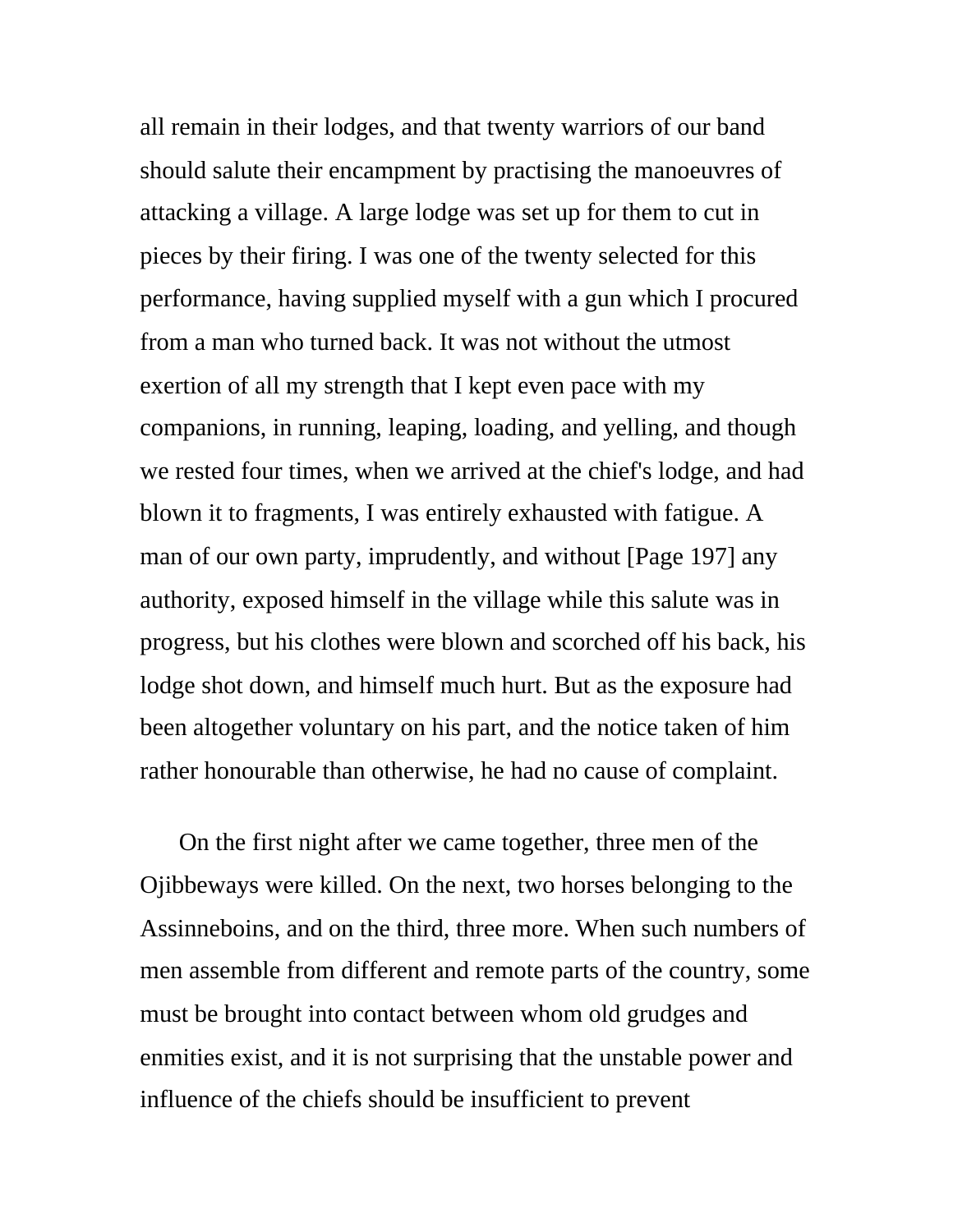all remain in their lodges, and that twenty warriors of our band should salute their encampment by practising the manoeuvres of attacking a village. A large lodge was set up for them to cut in pieces by their firing. I was one of the twenty selected for this performance, having supplied myself with a gun which I procured from a man who turned back. It was not without the utmost exertion of all my strength that I kept even pace with my companions, in running, leaping, loading, and yelling, and though we rested four times, when we arrived at the chief's lodge, and had blown it to fragments, I was entirely exhausted with fatigue. A man of our own party, imprudently, and without [Page 197] any authority, exposed himself in the village while this salute was in progress, but his clothes were blown and scorched off his back, his lodge shot down, and himself much hurt. But as the exposure had been altogether voluntary on his part, and the notice taken of him rather honourable than otherwise, he had no cause of complaint.

On the first night after we came together, three men of the Ojibbeways were killed. On the next, two horses belonging to the Assinneboins, and on the third, three more. When such numbers of men assemble from different and remote parts of the country, some must be brought into contact between whom old grudges and enmities exist, and it is not surprising that the unstable power and influence of the chiefs should be insufficient to prevent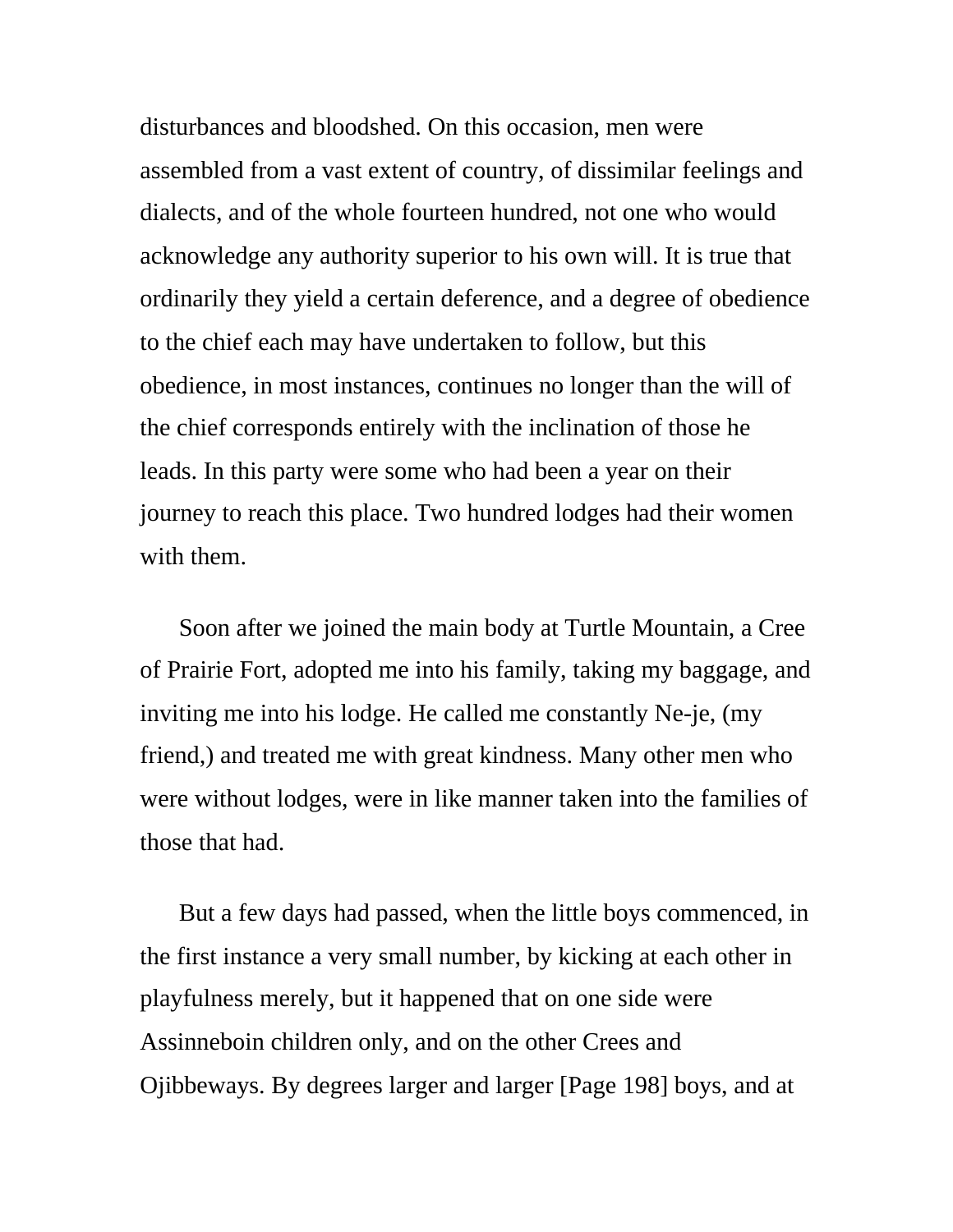disturbances and bloodshed. On this occasion, men were assembled from a vast extent of country, of dissimilar feelings and dialects, and of the whole fourteen hundred, not one who would acknowledge any authority superior to his own will. It is true that ordinarily they yield a certain deference, and a degree of obedience to the chief each may have undertaken to follow, but this obedience, in most instances, continues no longer than the will of the chief corresponds entirely with the inclination of those he leads. In this party were some who had been a year on their journey to reach this place. Two hundred lodges had their women with them.

Soon after we joined the main body at Turtle Mountain, a Cree of Prairie Fort, adopted me into his family, taking my baggage, and inviting me into his lodge. He called me constantly Ne-je, (my friend,) and treated me with great kindness. Many other men who were without lodges, were in like manner taken into the families of those that had.

But a few days had passed, when the little boys commenced, in the first instance a very small number, by kicking at each other in playfulness merely, but it happened that on one side were Assinneboin children only, and on the other Crees and Ojibbeways. By degrees larger and larger [Page 198] boys, and at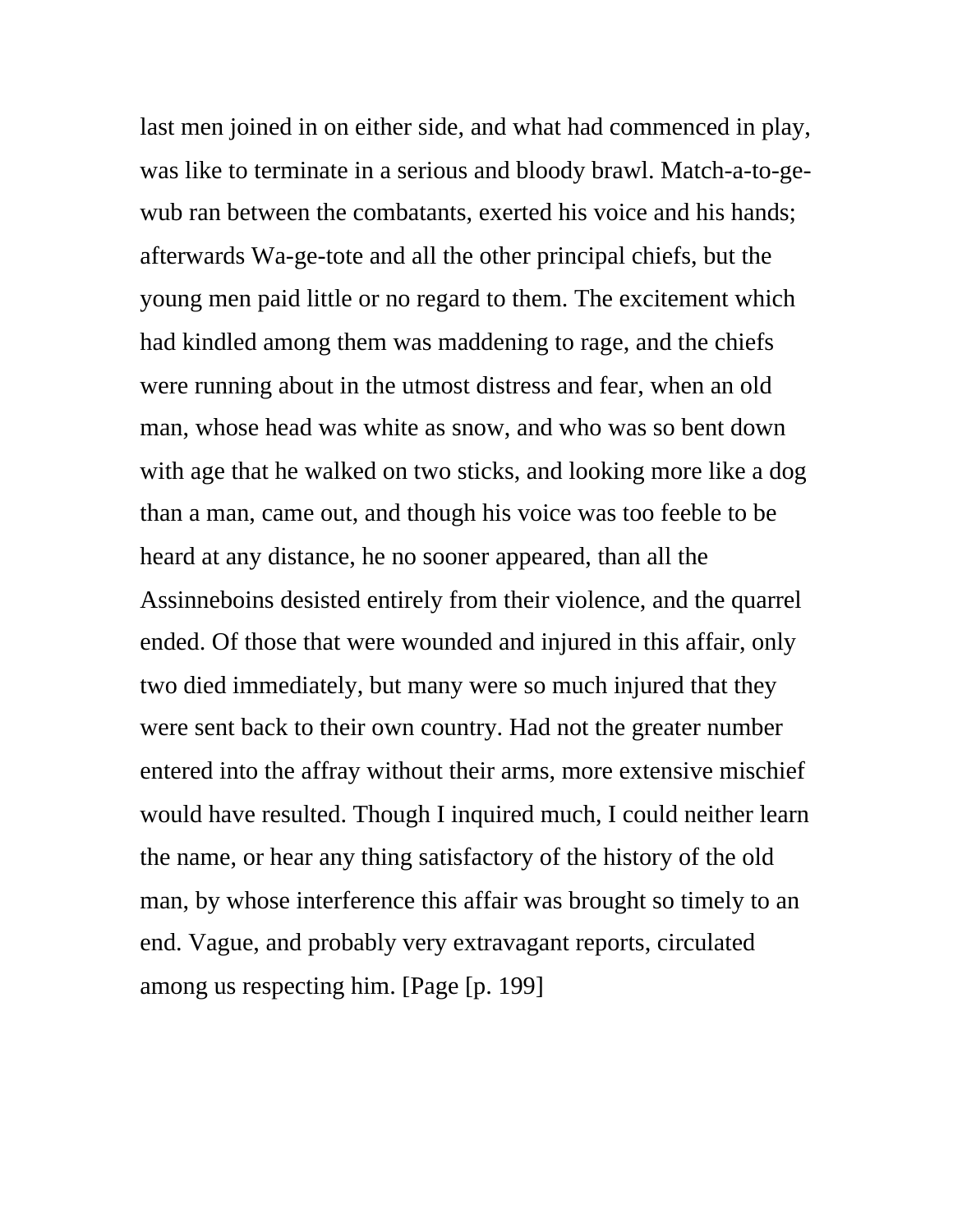last men joined in on either side, and what had commenced in play, was like to terminate in a serious and bloody brawl. Match-a-to-gewub ran between the combatants, exerted his voice and his hands; afterwards Wa-ge-tote and all the other principal chiefs, but the young men paid little or no regard to them. The excitement which had kindled among them was maddening to rage, and the chiefs were running about in the utmost distress and fear, when an old man, whose head was white as snow, and who was so bent down with age that he walked on two sticks, and looking more like a dog than a man, came out, and though his voice was too feeble to be heard at any distance, he no sooner appeared, than all the Assinneboins desisted entirely from their violence, and the quarrel ended. Of those that were wounded and injured in this affair, only two died immediately, but many were so much injured that they were sent back to their own country. Had not the greater number entered into the affray without their arms, more extensive mischief would have resulted. Though I inquired much, I could neither learn the name, or hear any thing satisfactory of the history of the old man, by whose interference this affair was brought so timely to an end. Vague, and probably very extravagant reports, circulated among us respecting him. [Page [p. 199]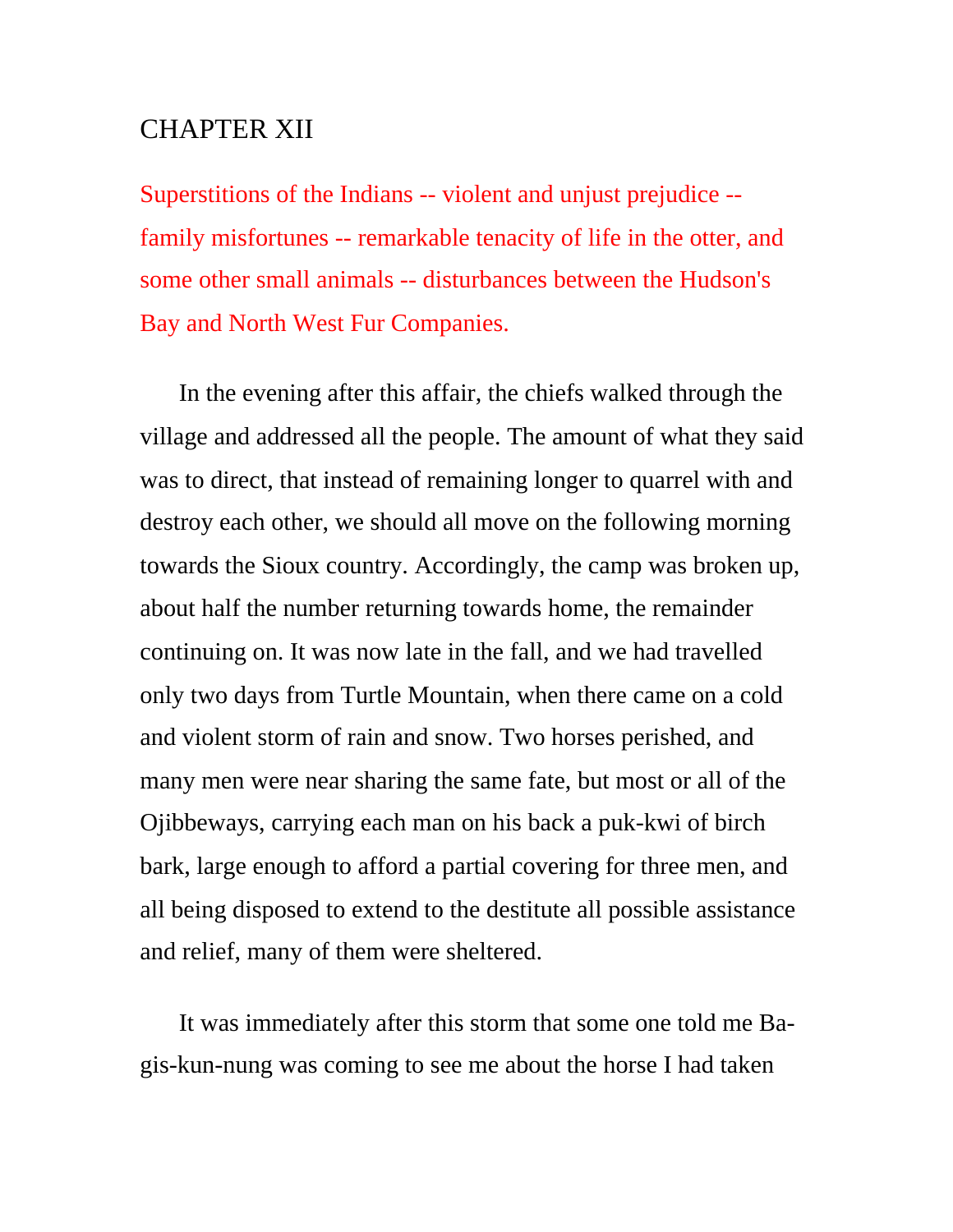## CHAPTER XII

Superstitions of the Indians -- violent and unjust prejudice - family misfortunes -- remarkable tenacity of life in the otter, and some other small animals -- disturbances between the Hudson's Bay and North West Fur Companies.

In the evening after this affair, the chiefs walked through the village and addressed all the people. The amount of what they said was to direct, that instead of remaining longer to quarrel with and destroy each other, we should all move on the following morning towards the Sioux country. Accordingly, the camp was broken up, about half the number returning towards home, the remainder continuing on. It was now late in the fall, and we had travelled only two days from Turtle Mountain, when there came on a cold and violent storm of rain and snow. Two horses perished, and many men were near sharing the same fate, but most or all of the Ojibbeways, carrying each man on his back a puk-kwi of birch bark, large enough to afford a partial covering for three men, and all being disposed to extend to the destitute all possible assistance and relief, many of them were sheltered.

It was immediately after this storm that some one told me Bagis-kun-nung was coming to see me about the horse I had taken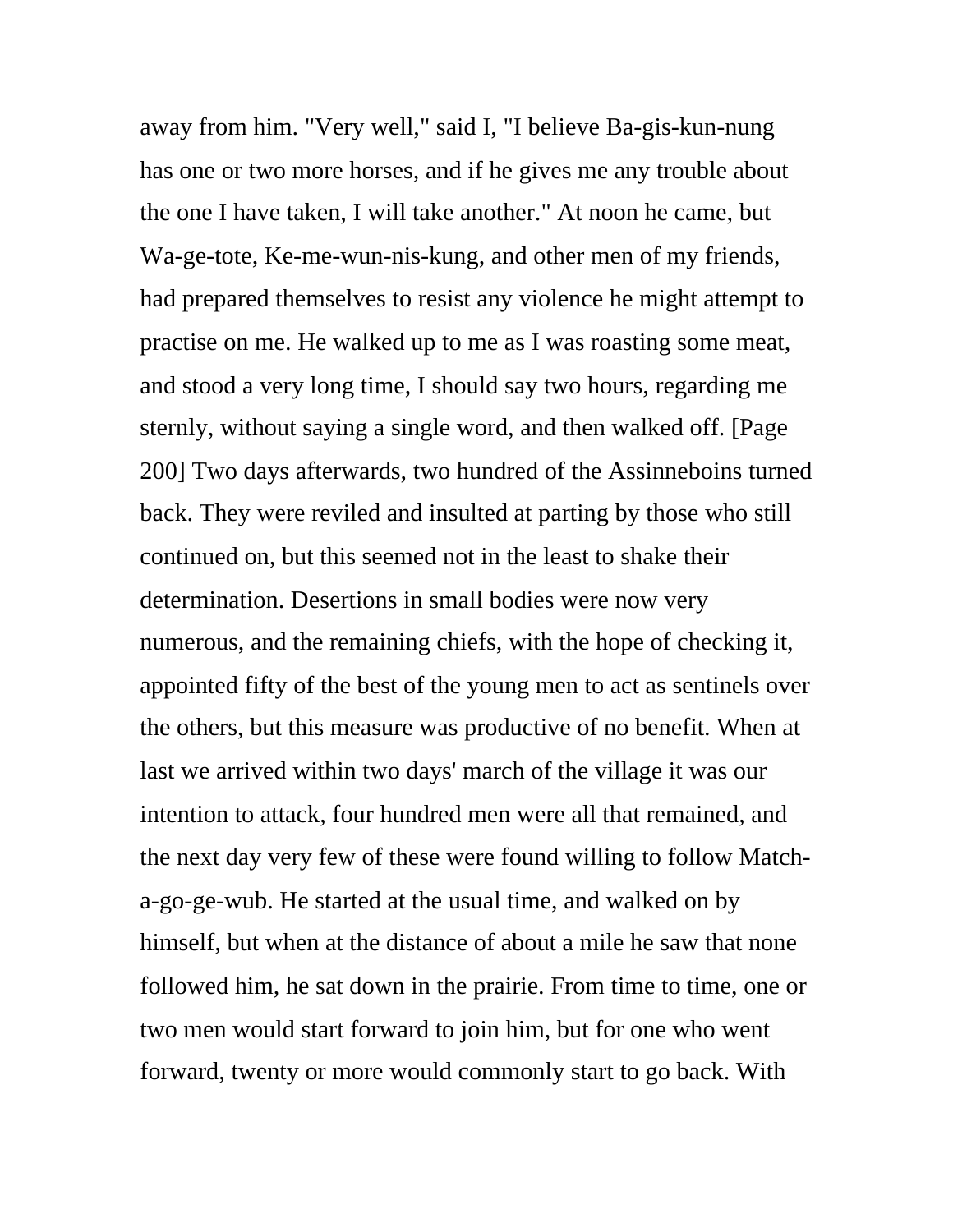away from him. "Very well," said I, "I believe Ba-gis-kun-nung has one or two more horses, and if he gives me any trouble about the one I have taken, I will take another." At noon he came, but Wa-ge-tote, Ke-me-wun-nis-kung, and other men of my friends, had prepared themselves to resist any violence he might attempt to practise on me. He walked up to me as I was roasting some meat, and stood a very long time, I should say two hours, regarding me sternly, without saying a single word, and then walked off. [Page 200] Two days afterwards, two hundred of the Assinneboins turned back. They were reviled and insulted at parting by those who still continued on, but this seemed not in the least to shake their determination. Desertions in small bodies were now very numerous, and the remaining chiefs, with the hope of checking it, appointed fifty of the best of the young men to act as sentinels over the others, but this measure was productive of no benefit. When at last we arrived within two days' march of the village it was our intention to attack, four hundred men were all that remained, and the next day very few of these were found willing to follow Matcha-go-ge-wub. He started at the usual time, and walked on by himself, but when at the distance of about a mile he saw that none followed him, he sat down in the prairie. From time to time, one or two men would start forward to join him, but for one who went forward, twenty or more would commonly start to go back. With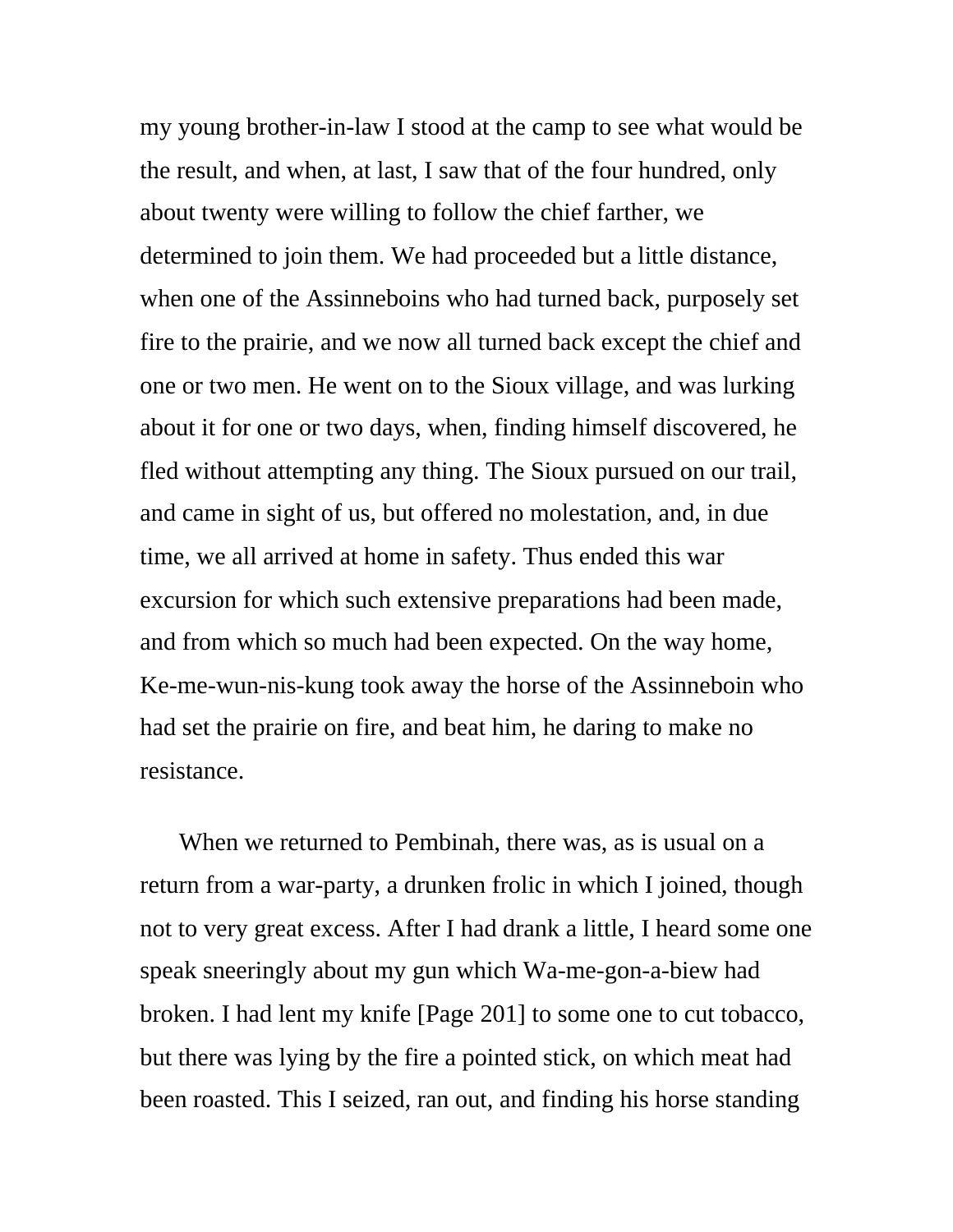my young brother-in-law I stood at the camp to see what would be the result, and when, at last, I saw that of the four hundred, only about twenty were willing to follow the chief farther, we determined to join them. We had proceeded but a little distance, when one of the Assinneboins who had turned back, purposely set fire to the prairie, and we now all turned back except the chief and one or two men. He went on to the Sioux village, and was lurking about it for one or two days, when, finding himself discovered, he fled without attempting any thing. The Sioux pursued on our trail, and came in sight of us, but offered no molestation, and, in due time, we all arrived at home in safety. Thus ended this war excursion for which such extensive preparations had been made, and from which so much had been expected. On the way home, Ke-me-wun-nis-kung took away the horse of the Assinneboin who had set the prairie on fire, and beat him, he daring to make no resistance.

When we returned to Pembinah, there was, as is usual on a return from a war-party, a drunken frolic in which I joined, though not to very great excess. After I had drank a little, I heard some one speak sneeringly about my gun which Wa-me-gon-a-biew had broken. I had lent my knife [Page 201] to some one to cut tobacco, but there was lying by the fire a pointed stick, on which meat had been roasted. This I seized, ran out, and finding his horse standing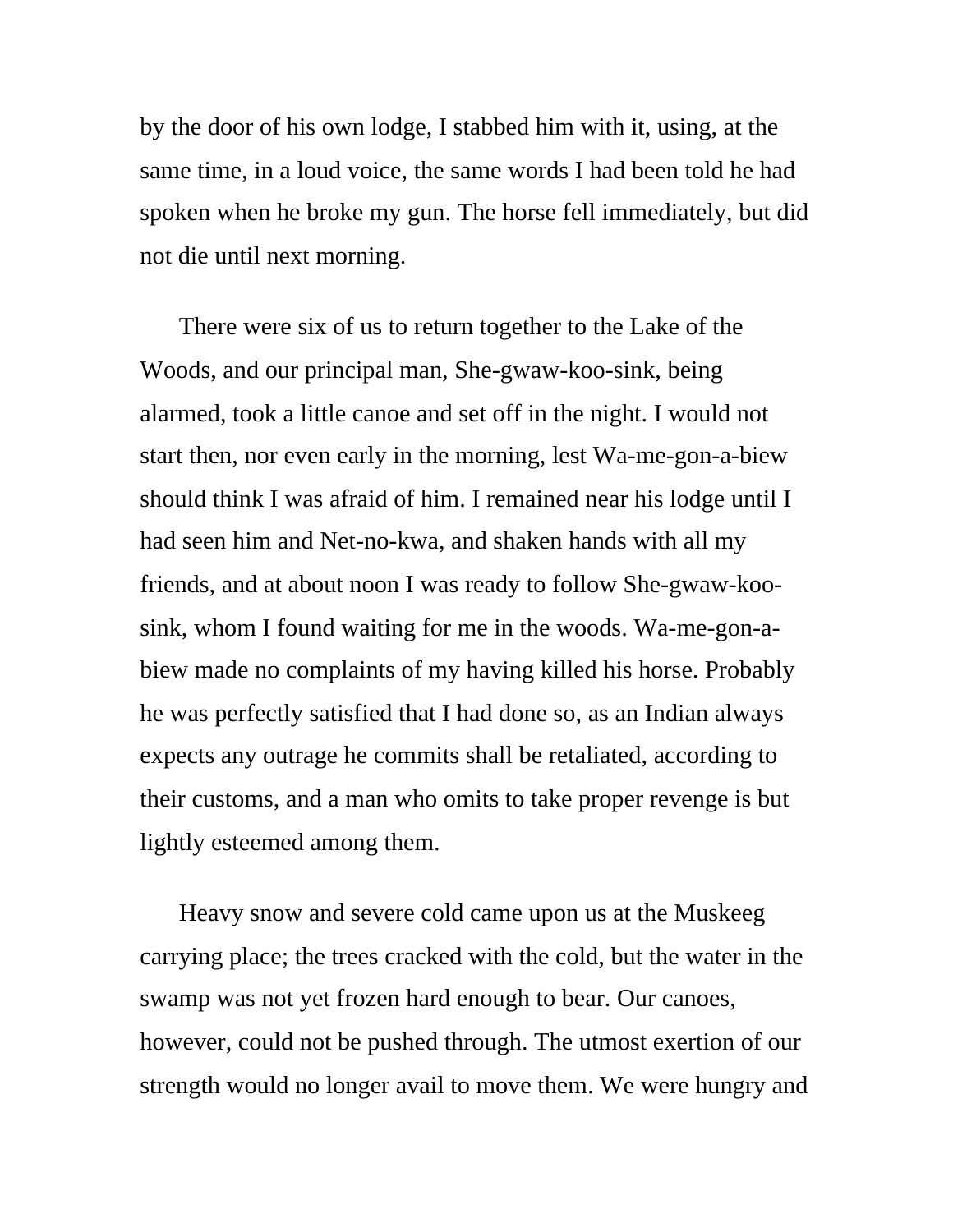by the door of his own lodge, I stabbed him with it, using, at the same time, in a loud voice, the same words I had been told he had spoken when he broke my gun. The horse fell immediately, but did not die until next morning.

There were six of us to return together to the Lake of the Woods, and our principal man, She-gwaw-koo-sink, being alarmed, took a little canoe and set off in the night. I would not start then, nor even early in the morning, lest Wa-me-gon-a-biew should think I was afraid of him. I remained near his lodge until I had seen him and Net-no-kwa, and shaken hands with all my friends, and at about noon I was ready to follow She-gwaw-koosink, whom I found waiting for me in the woods. Wa-me-gon-abiew made no complaints of my having killed his horse. Probably he was perfectly satisfied that I had done so, as an Indian always expects any outrage he commits shall be retaliated, according to their customs, and a man who omits to take proper revenge is but lightly esteemed among them.

Heavy snow and severe cold came upon us at the Muskeeg carrying place; the trees cracked with the cold, but the water in the swamp was not yet frozen hard enough to bear. Our canoes, however, could not be pushed through. The utmost exertion of our strength would no longer avail to move them. We were hungry and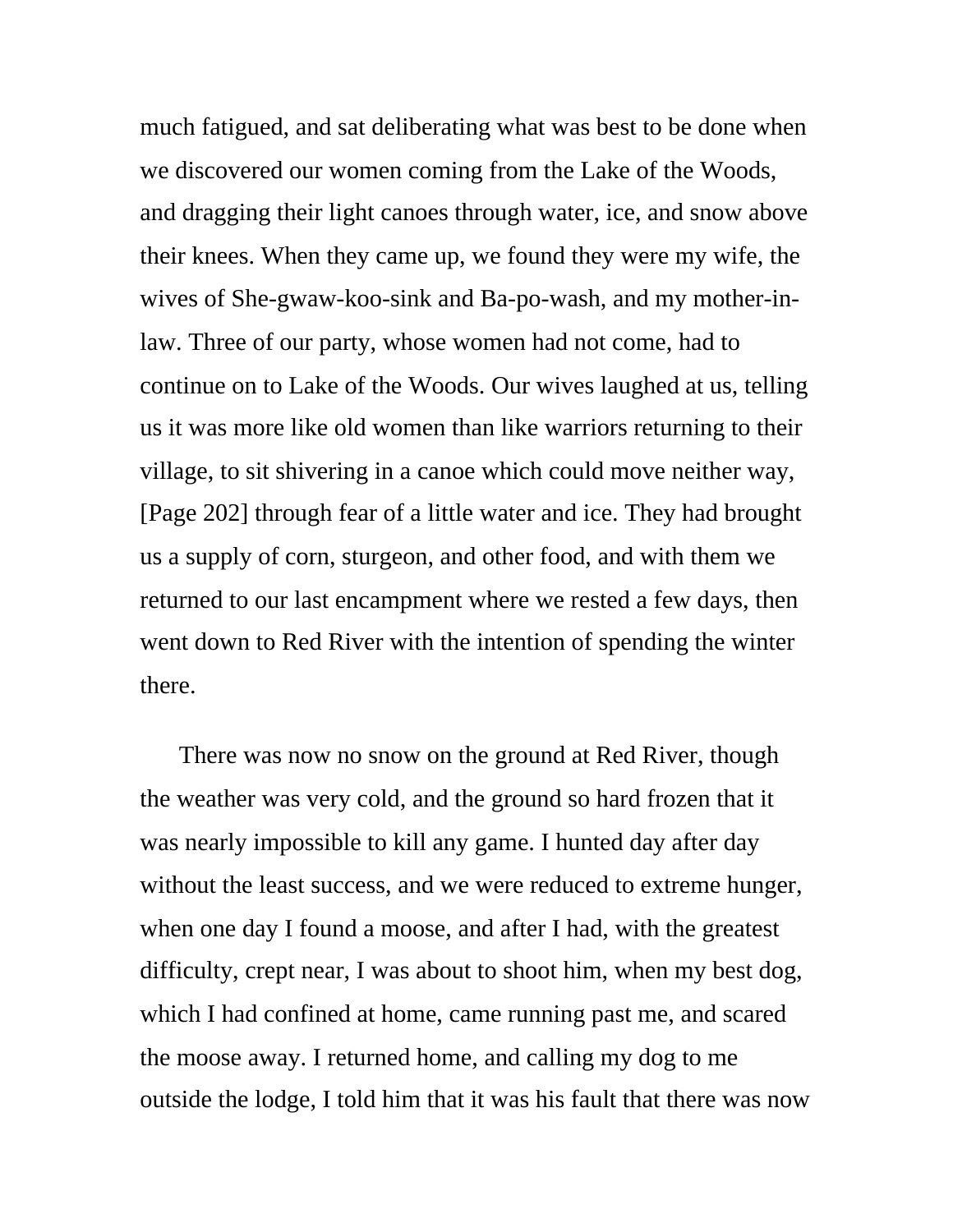much fatigued, and sat deliberating what was best to be done when we discovered our women coming from the Lake of the Woods, and dragging their light canoes through water, ice, and snow above their knees. When they came up, we found they were my wife, the wives of She-gwaw-koo-sink and Ba-po-wash, and my mother-inlaw. Three of our party, whose women had not come, had to continue on to Lake of the Woods. Our wives laughed at us, telling us it was more like old women than like warriors returning to their village, to sit shivering in a canoe which could move neither way, [Page 202] through fear of a little water and ice. They had brought us a supply of corn, sturgeon, and other food, and with them we returned to our last encampment where we rested a few days, then went down to Red River with the intention of spending the winter there.

There was now no snow on the ground at Red River, though the weather was very cold, and the ground so hard frozen that it was nearly impossible to kill any game. I hunted day after day without the least success, and we were reduced to extreme hunger, when one day I found a moose, and after I had, with the greatest difficulty, crept near, I was about to shoot him, when my best dog, which I had confined at home, came running past me, and scared the moose away. I returned home, and calling my dog to me outside the lodge, I told him that it was his fault that there was now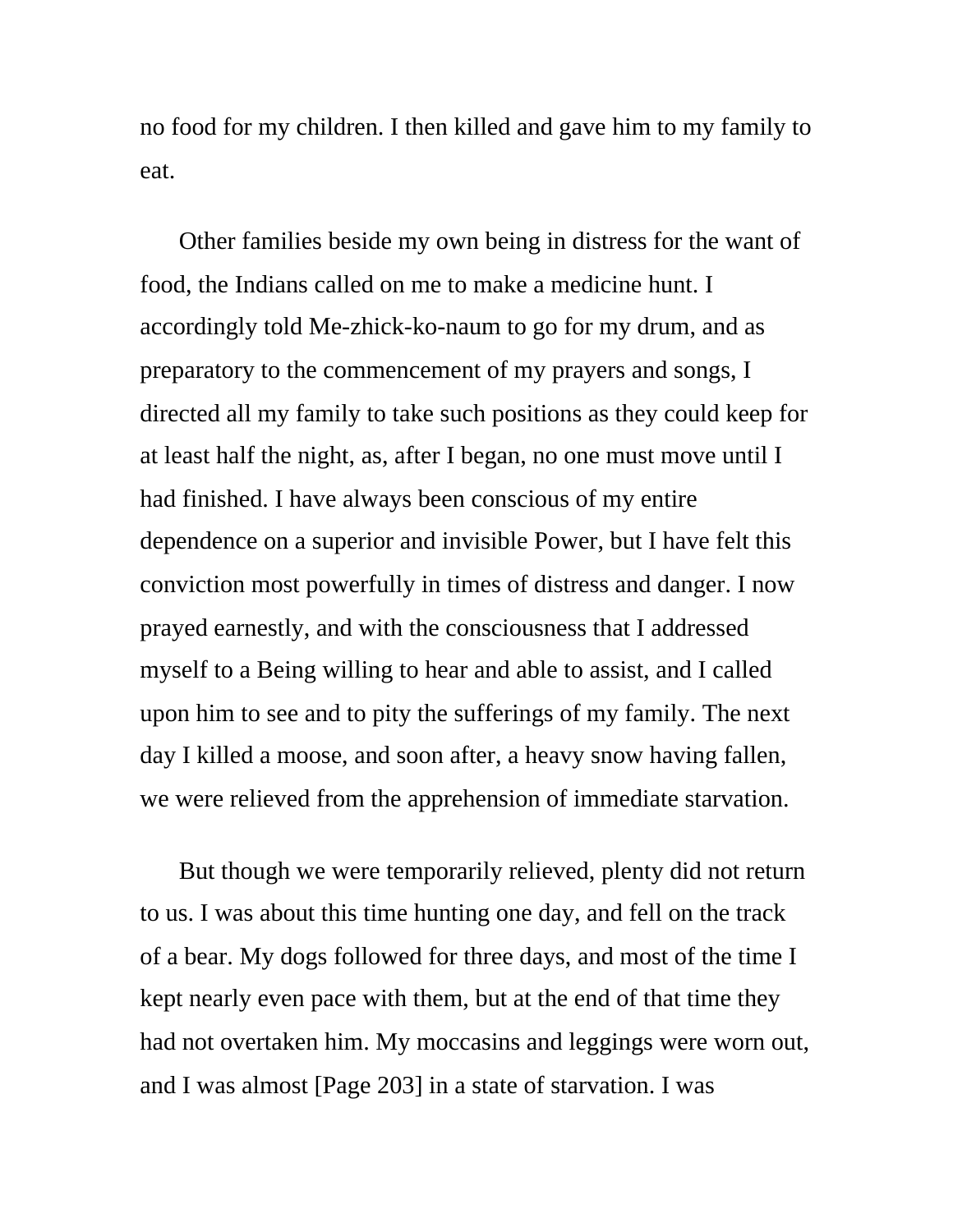no food for my children. I then killed and gave him to my family to eat.

Other families beside my own being in distress for the want of food, the Indians called on me to make a medicine hunt. I accordingly told Me-zhick-ko-naum to go for my drum, and as preparatory to the commencement of my prayers and songs, I directed all my family to take such positions as they could keep for at least half the night, as, after I began, no one must move until I had finished. I have always been conscious of my entire dependence on a superior and invisible Power, but I have felt this conviction most powerfully in times of distress and danger. I now prayed earnestly, and with the consciousness that I addressed myself to a Being willing to hear and able to assist, and I called upon him to see and to pity the sufferings of my family. The next day I killed a moose, and soon after, a heavy snow having fallen, we were relieved from the apprehension of immediate starvation.

But though we were temporarily relieved, plenty did not return to us. I was about this time hunting one day, and fell on the track of a bear. My dogs followed for three days, and most of the time I kept nearly even pace with them, but at the end of that time they had not overtaken him. My moccasins and leggings were worn out, and I was almost [Page 203] in a state of starvation. I was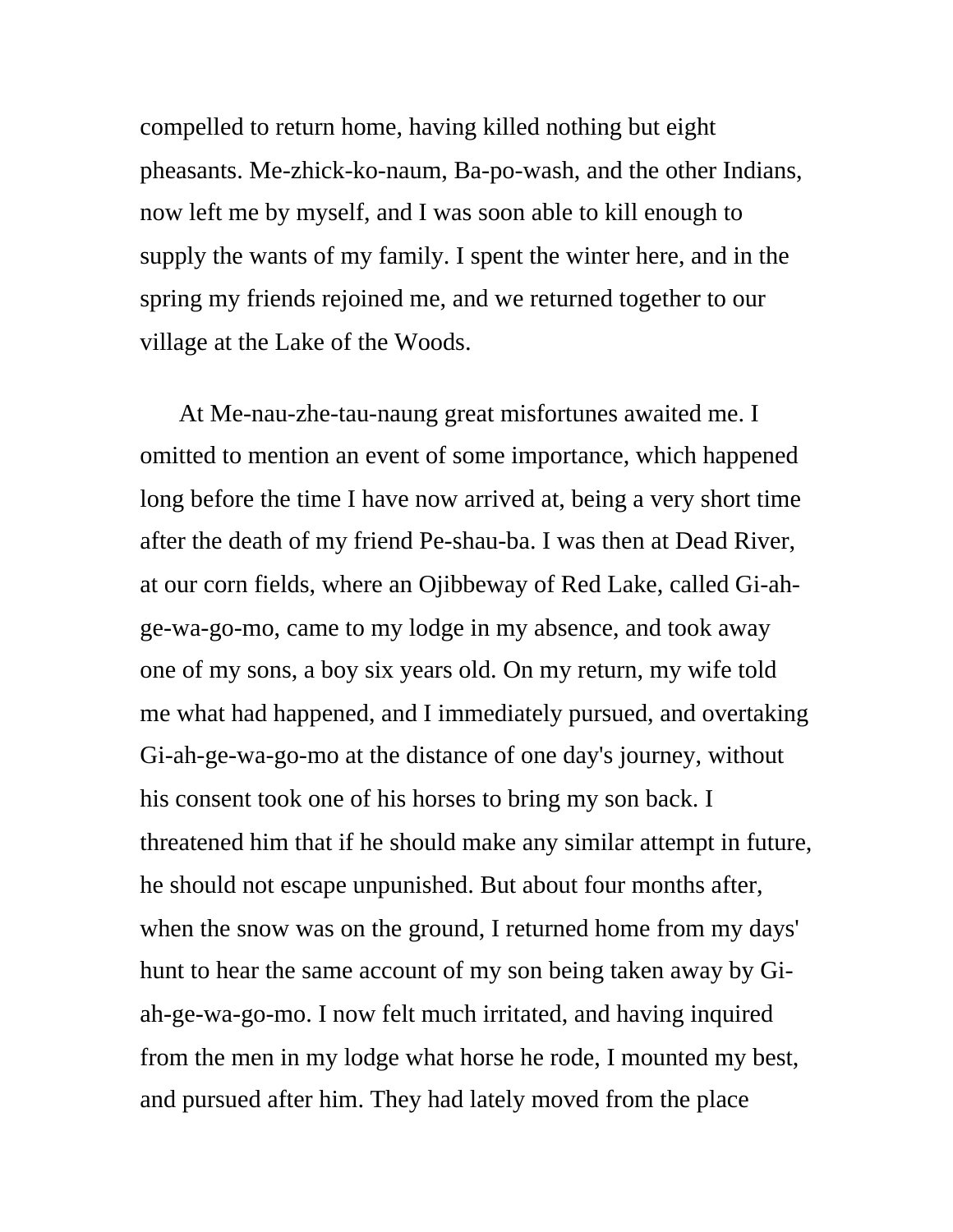compelled to return home, having killed nothing but eight pheasants. Me-zhick-ko-naum, Ba-po-wash, and the other Indians, now left me by myself, and I was soon able to kill enough to supply the wants of my family. I spent the winter here, and in the spring my friends rejoined me, and we returned together to our village at the Lake of the Woods.

At Me-nau-zhe-tau-naung great misfortunes awaited me. I omitted to mention an event of some importance, which happened long before the time I have now arrived at, being a very short time after the death of my friend Pe-shau-ba. I was then at Dead River, at our corn fields, where an Ojibbeway of Red Lake, called Gi-ahge-wa-go-mo, came to my lodge in my absence, and took away one of my sons, a boy six years old. On my return, my wife told me what had happened, and I immediately pursued, and overtaking Gi-ah-ge-wa-go-mo at the distance of one day's journey, without his consent took one of his horses to bring my son back. I threatened him that if he should make any similar attempt in future, he should not escape unpunished. But about four months after, when the snow was on the ground, I returned home from my days' hunt to hear the same account of my son being taken away by Giah-ge-wa-go-mo. I now felt much irritated, and having inquired from the men in my lodge what horse he rode, I mounted my best, and pursued after him. They had lately moved from the place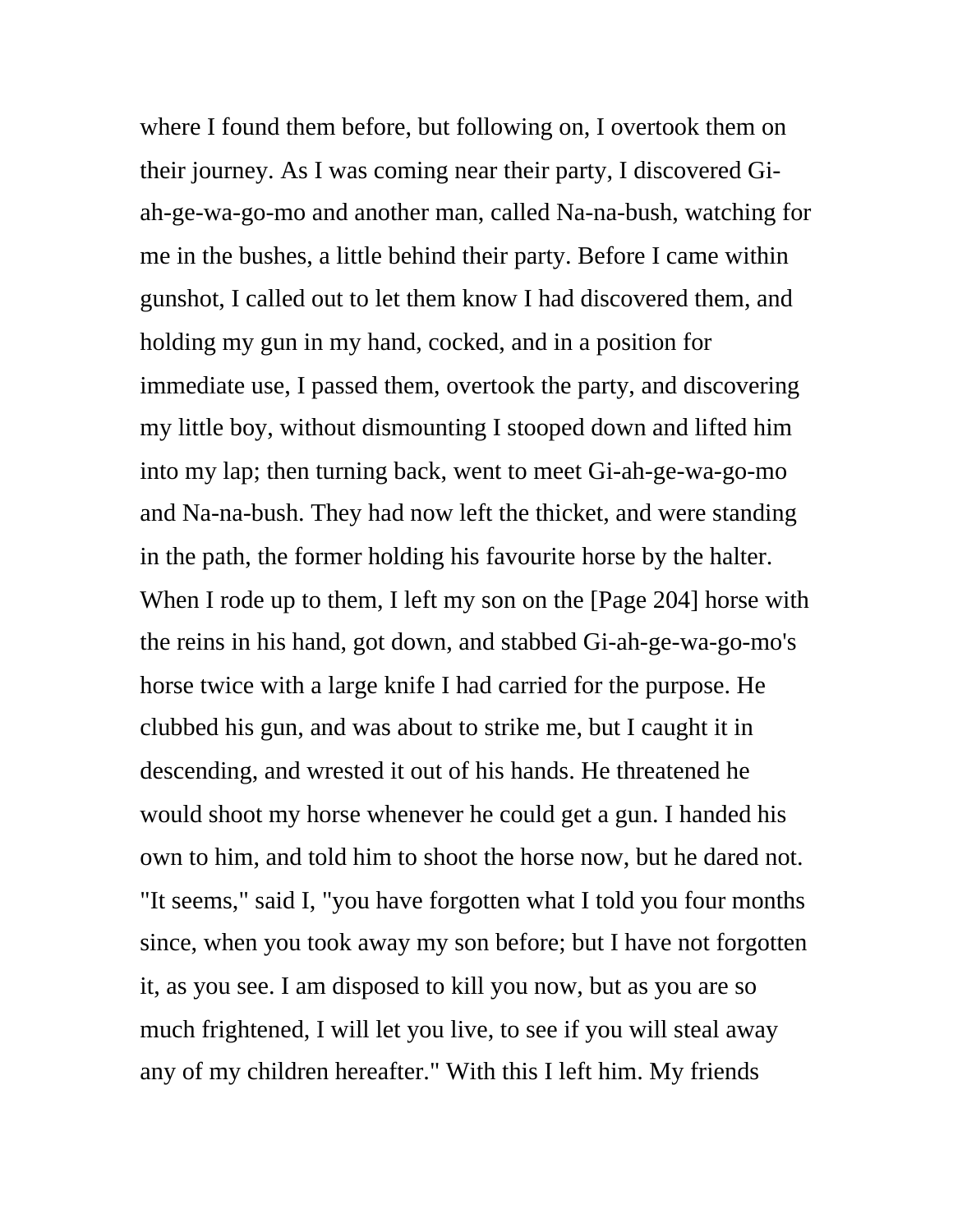where I found them before, but following on, I overtook them on their journey. As I was coming near their party, I discovered Giah-ge-wa-go-mo and another man, called Na-na-bush, watching for me in the bushes, a little behind their party. Before I came within gunshot, I called out to let them know I had discovered them, and holding my gun in my hand, cocked, and in a position for immediate use, I passed them, overtook the party, and discovering my little boy, without dismounting I stooped down and lifted him into my lap; then turning back, went to meet Gi-ah-ge-wa-go-mo and Na-na-bush. They had now left the thicket, and were standing in the path, the former holding his favourite horse by the halter. When I rode up to them, I left my son on the [Page 204] horse with the reins in his hand, got down, and stabbed Gi-ah-ge-wa-go-mo's horse twice with a large knife I had carried for the purpose. He clubbed his gun, and was about to strike me, but I caught it in descending, and wrested it out of his hands. He threatened he would shoot my horse whenever he could get a gun. I handed his own to him, and told him to shoot the horse now, but he dared not. "It seems," said I, "you have forgotten what I told you four months since, when you took away my son before; but I have not forgotten it, as you see. I am disposed to kill you now, but as you are so much frightened, I will let you live, to see if you will steal away any of my children hereafter." With this I left him. My friends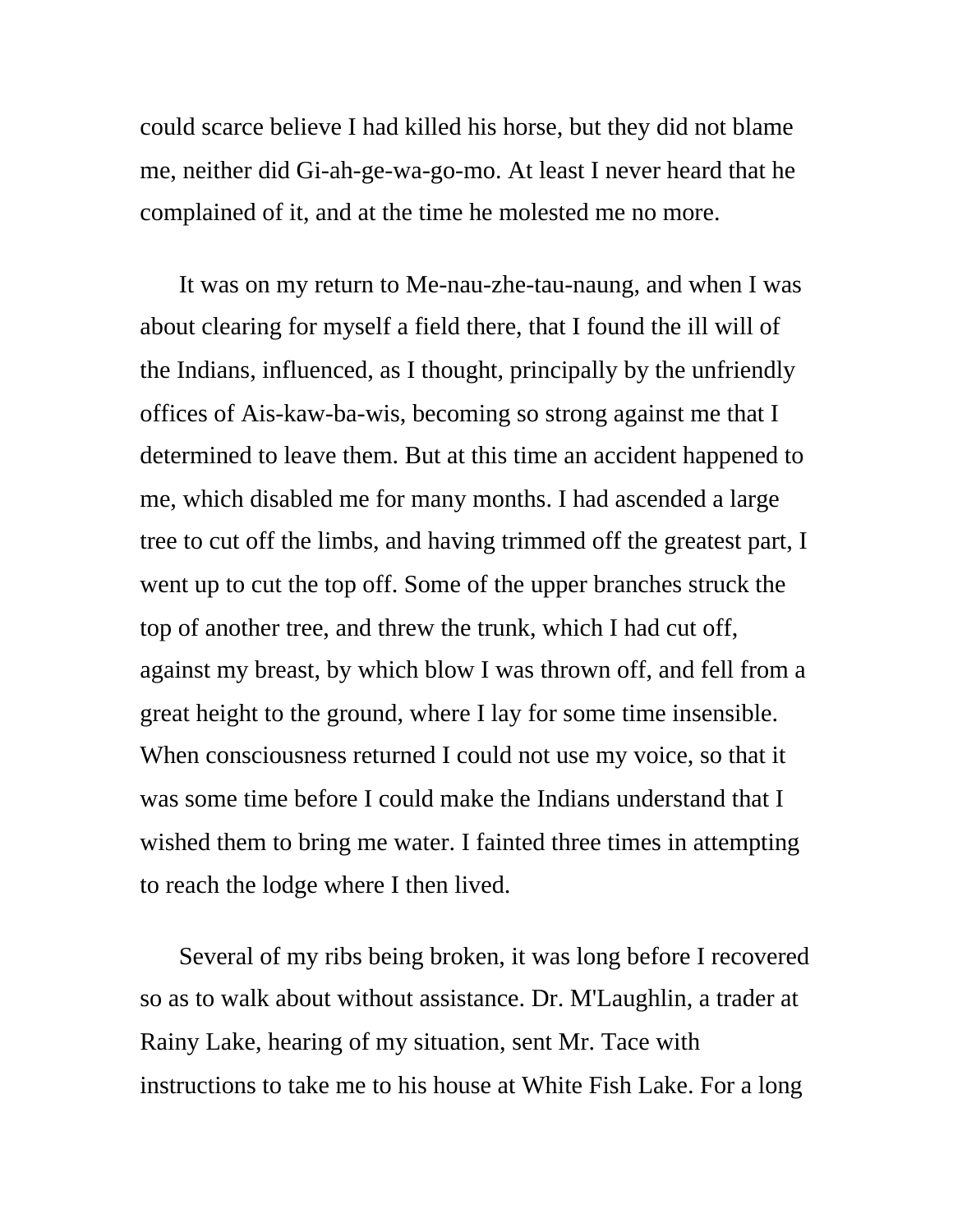could scarce believe I had killed his horse, but they did not blame me, neither did Gi-ah-ge-wa-go-mo. At least I never heard that he complained of it, and at the time he molested me no more.

It was on my return to Me-nau-zhe-tau-naung, and when I was about clearing for myself a field there, that I found the ill will of the Indians, influenced, as I thought, principally by the unfriendly offices of Ais-kaw-ba-wis, becoming so strong against me that I determined to leave them. But at this time an accident happened to me, which disabled me for many months. I had ascended a large tree to cut off the limbs, and having trimmed off the greatest part, I went up to cut the top off. Some of the upper branches struck the top of another tree, and threw the trunk, which I had cut off, against my breast, by which blow I was thrown off, and fell from a great height to the ground, where I lay for some time insensible. When consciousness returned I could not use my voice, so that it was some time before I could make the Indians understand that I wished them to bring me water. I fainted three times in attempting to reach the lodge where I then lived.

Several of my ribs being broken, it was long before I recovered so as to walk about without assistance. Dr. M'Laughlin, a trader at Rainy Lake, hearing of my situation, sent Mr. Tace with instructions to take me to his house at White Fish Lake. For a long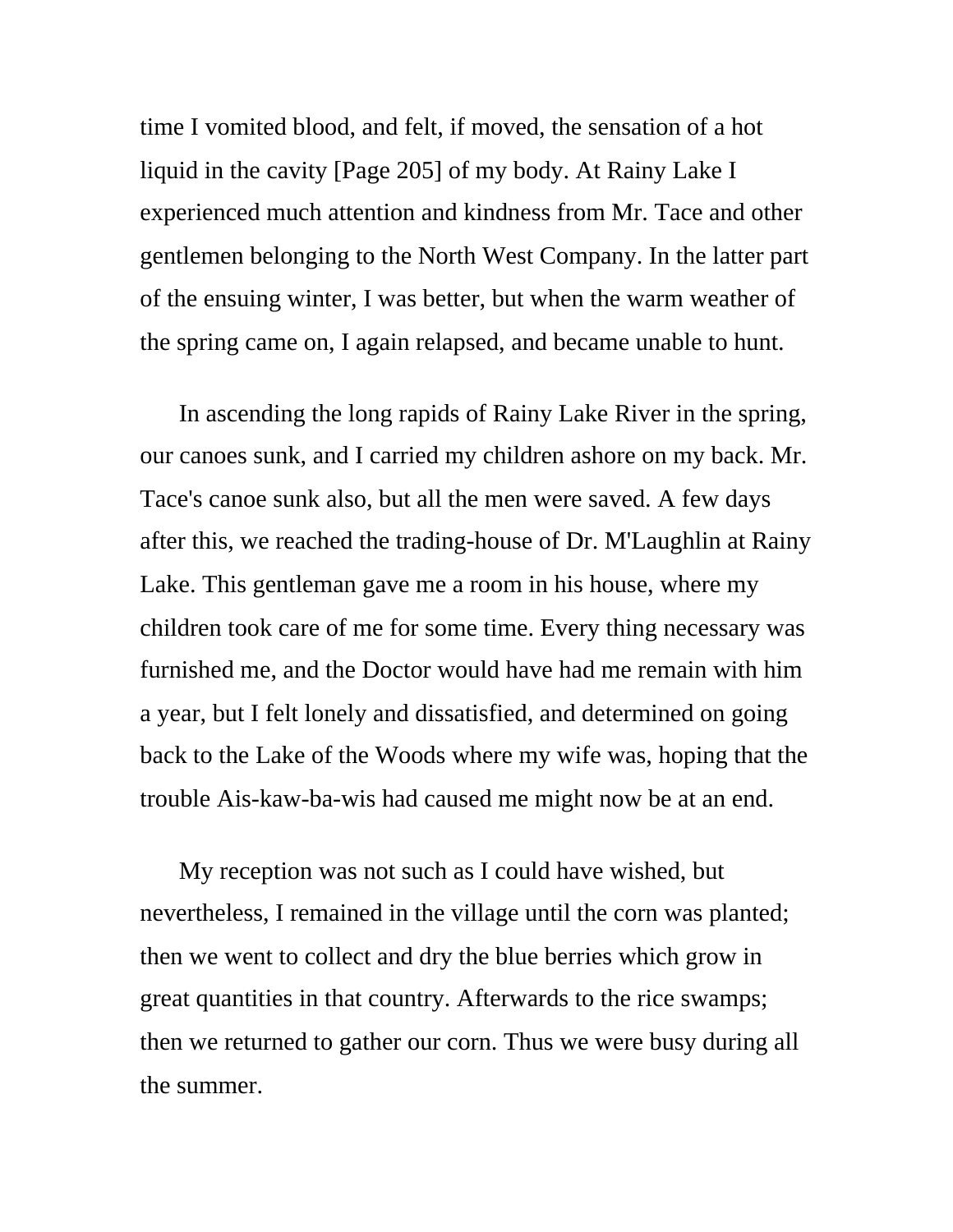time I vomited blood, and felt, if moved, the sensation of a hot liquid in the cavity [Page 205] of my body. At Rainy Lake I experienced much attention and kindness from Mr. Tace and other gentlemen belonging to the North West Company. In the latter part of the ensuing winter, I was better, but when the warm weather of the spring came on, I again relapsed, and became unable to hunt.

In ascending the long rapids of Rainy Lake River in the spring, our canoes sunk, and I carried my children ashore on my back. Mr. Tace's canoe sunk also, but all the men were saved. A few days after this, we reached the trading-house of Dr. M'Laughlin at Rainy Lake. This gentleman gave me a room in his house, where my children took care of me for some time. Every thing necessary was furnished me, and the Doctor would have had me remain with him a year, but I felt lonely and dissatisfied, and determined on going back to the Lake of the Woods where my wife was, hoping that the trouble Ais-kaw-ba-wis had caused me might now be at an end.

My reception was not such as I could have wished, but nevertheless, I remained in the village until the corn was planted; then we went to collect and dry the blue berries which grow in great quantities in that country. Afterwards to the rice swamps; then we returned to gather our corn. Thus we were busy during all the summer.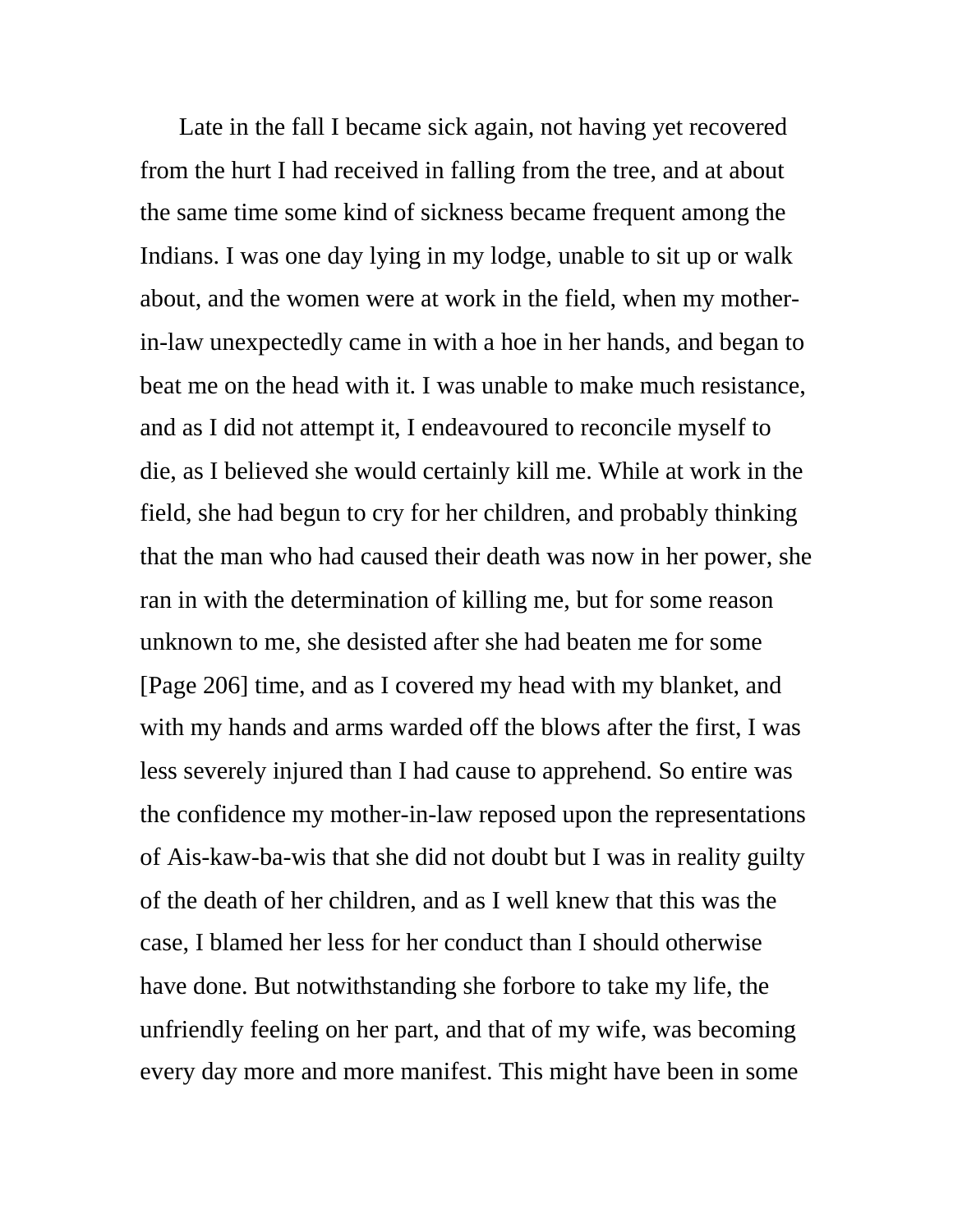Late in the fall I became sick again, not having yet recovered from the hurt I had received in falling from the tree, and at about the same time some kind of sickness became frequent among the Indians. I was one day lying in my lodge, unable to sit up or walk about, and the women were at work in the field, when my motherin-law unexpectedly came in with a hoe in her hands, and began to beat me on the head with it. I was unable to make much resistance, and as I did not attempt it, I endeavoured to reconcile myself to die, as I believed she would certainly kill me. While at work in the field, she had begun to cry for her children, and probably thinking that the man who had caused their death was now in her power, she ran in with the determination of killing me, but for some reason unknown to me, she desisted after she had beaten me for some [Page 206] time, and as I covered my head with my blanket, and with my hands and arms warded off the blows after the first, I was less severely injured than I had cause to apprehend. So entire was the confidence my mother-in-law reposed upon the representations of Ais-kaw-ba-wis that she did not doubt but I was in reality guilty of the death of her children, and as I well knew that this was the case, I blamed her less for her conduct than I should otherwise have done. But notwithstanding she forbore to take my life, the unfriendly feeling on her part, and that of my wife, was becoming every day more and more manifest. This might have been in some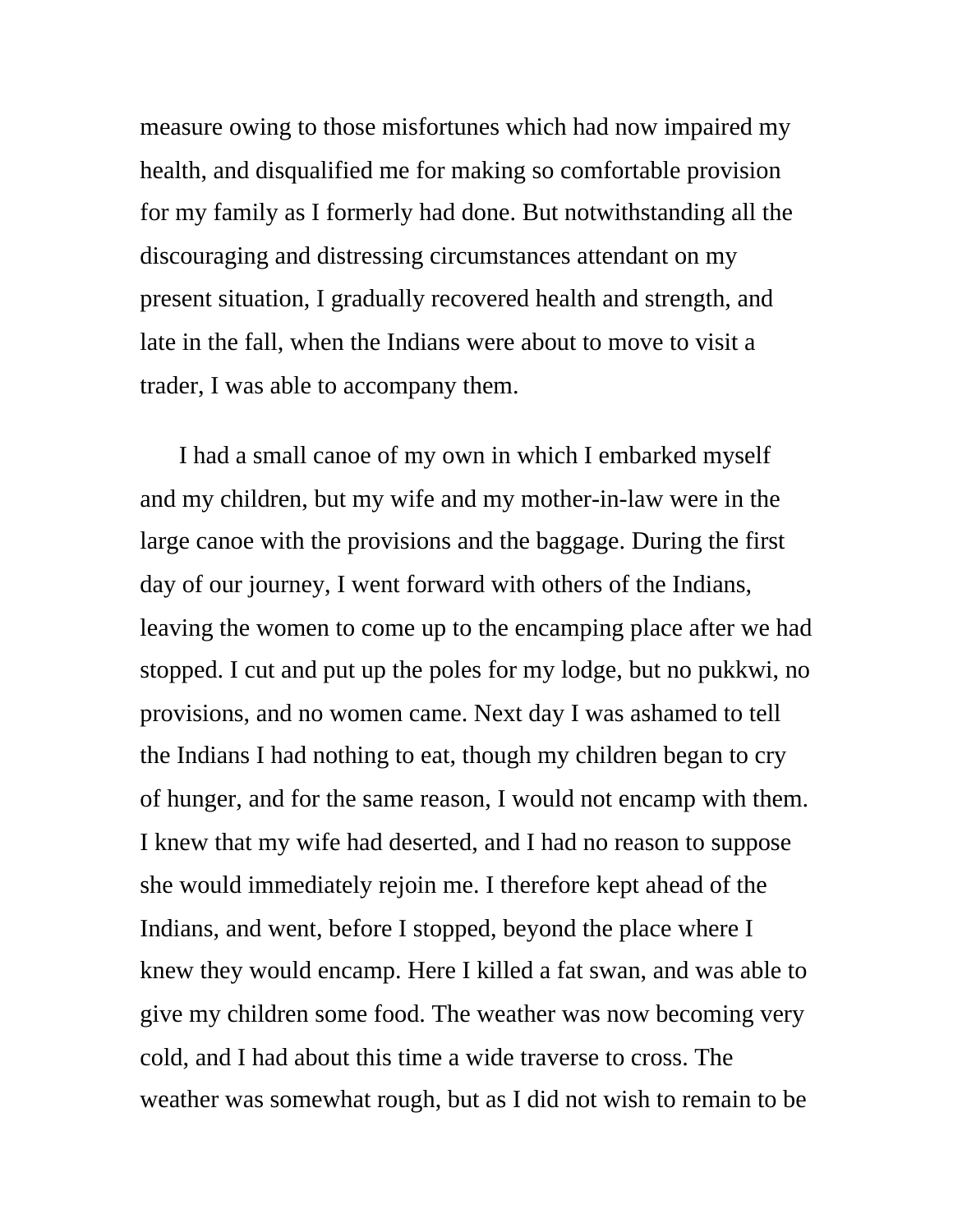measure owing to those misfortunes which had now impaired my health, and disqualified me for making so comfortable provision for my family as I formerly had done. But notwithstanding all the discouraging and distressing circumstances attendant on my present situation, I gradually recovered health and strength, and late in the fall, when the Indians were about to move to visit a trader, I was able to accompany them.

I had a small canoe of my own in which I embarked myself and my children, but my wife and my mother-in-law were in the large canoe with the provisions and the baggage. During the first day of our journey, I went forward with others of the Indians, leaving the women to come up to the encamping place after we had stopped. I cut and put up the poles for my lodge, but no pukkwi, no provisions, and no women came. Next day I was ashamed to tell the Indians I had nothing to eat, though my children began to cry of hunger, and for the same reason, I would not encamp with them. I knew that my wife had deserted, and I had no reason to suppose she would immediately rejoin me. I therefore kept ahead of the Indians, and went, before I stopped, beyond the place where I knew they would encamp. Here I killed a fat swan, and was able to give my children some food. The weather was now becoming very cold, and I had about this time a wide traverse to cross. The weather was somewhat rough, but as I did not wish to remain to be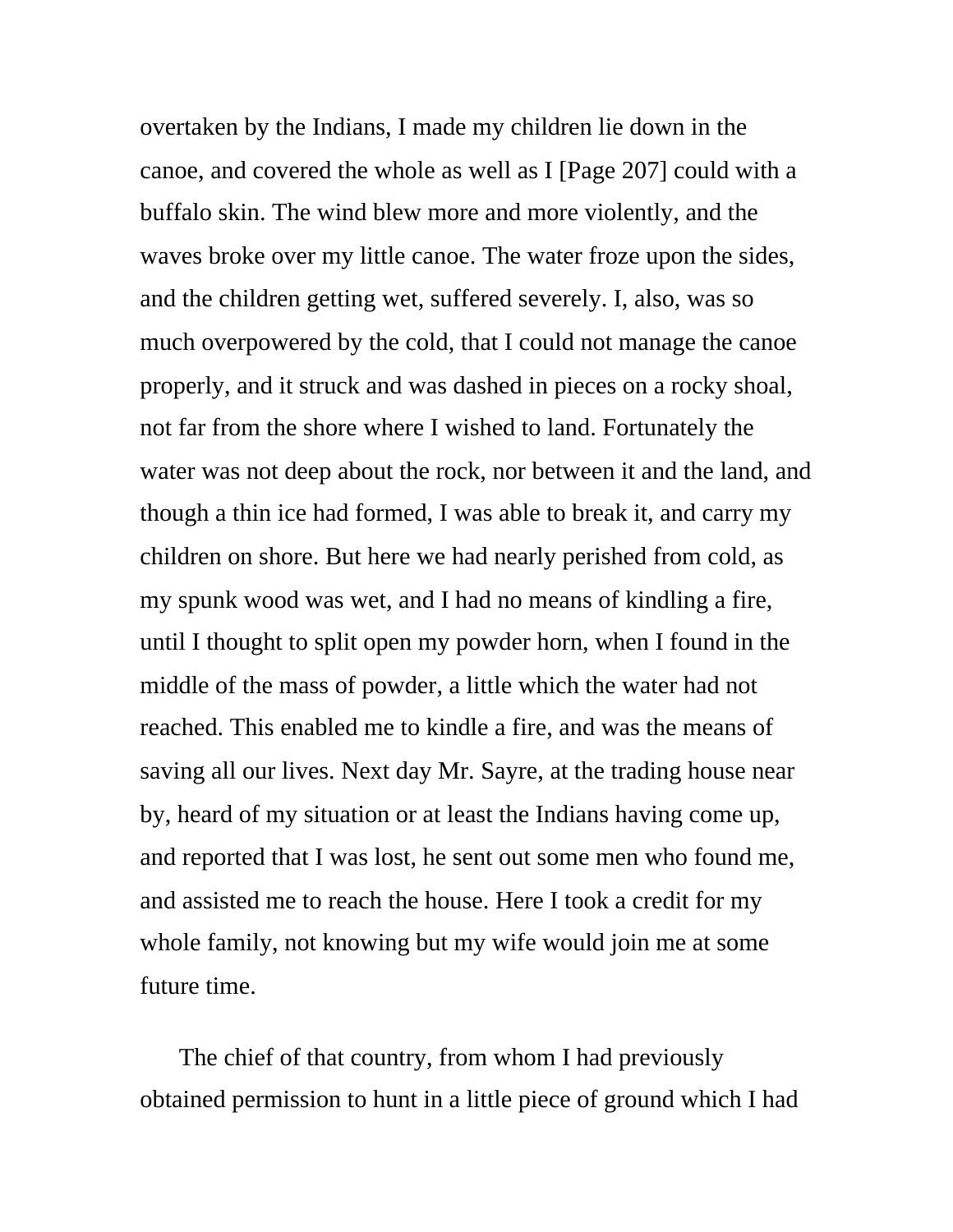overtaken by the Indians, I made my children lie down in the canoe, and covered the whole as well as I [Page 207] could with a buffalo skin. The wind blew more and more violently, and the waves broke over my little canoe. The water froze upon the sides, and the children getting wet, suffered severely. I, also, was so much overpowered by the cold, that I could not manage the canoe properly, and it struck and was dashed in pieces on a rocky shoal, not far from the shore where I wished to land. Fortunately the water was not deep about the rock, nor between it and the land, and though a thin ice had formed, I was able to break it, and carry my children on shore. But here we had nearly perished from cold, as my spunk wood was wet, and I had no means of kindling a fire, until I thought to split open my powder horn, when I found in the middle of the mass of powder, a little which the water had not reached. This enabled me to kindle a fire, and was the means of saving all our lives. Next day Mr. Sayre, at the trading house near by, heard of my situation or at least the Indians having come up, and reported that I was lost, he sent out some men who found me, and assisted me to reach the house. Here I took a credit for my whole family, not knowing but my wife would join me at some future time.

The chief of that country, from whom I had previously obtained permission to hunt in a little piece of ground which I had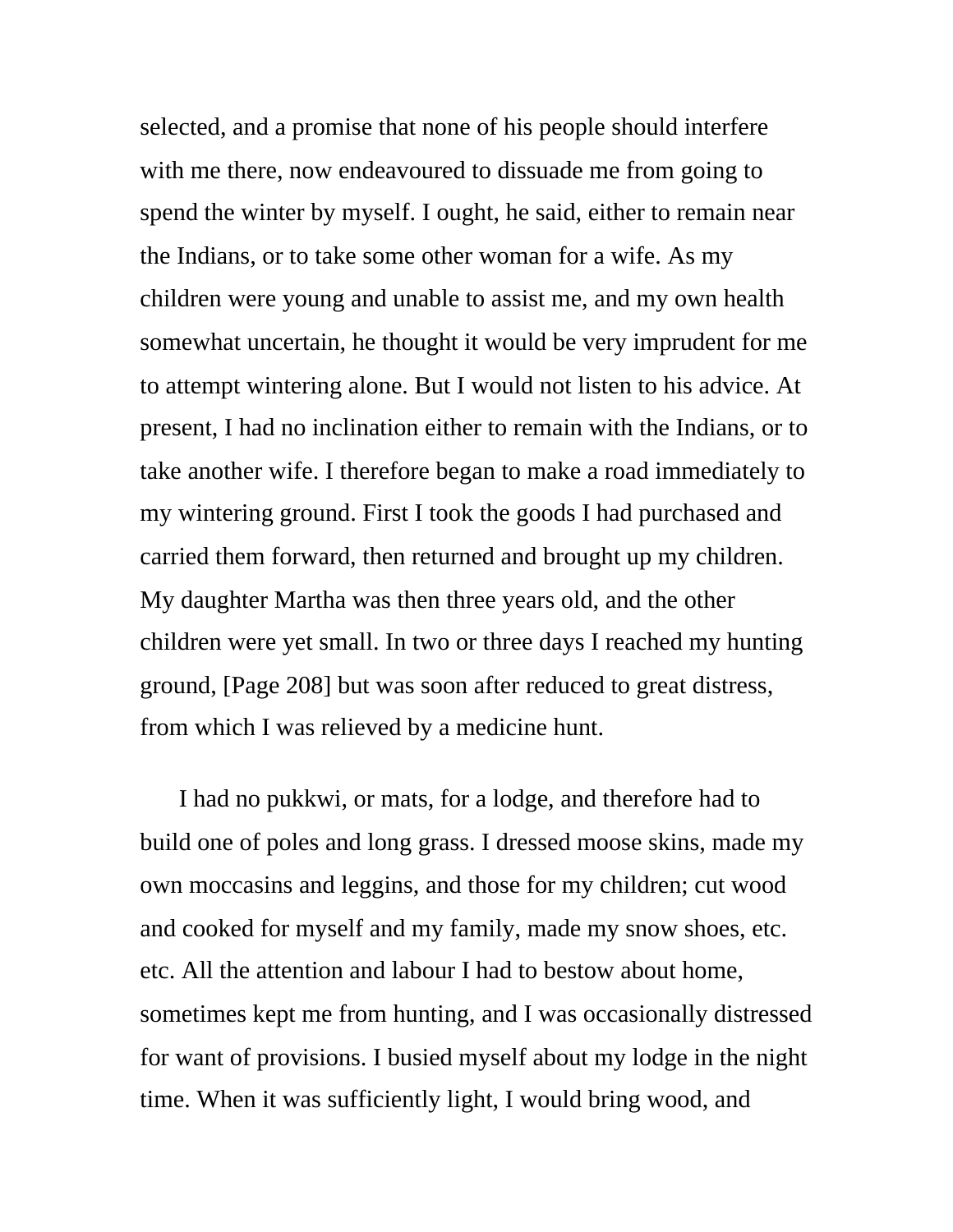selected, and a promise that none of his people should interfere with me there, now endeavoured to dissuade me from going to spend the winter by myself. I ought, he said, either to remain near the Indians, or to take some other woman for a wife. As my children were young and unable to assist me, and my own health somewhat uncertain, he thought it would be very imprudent for me to attempt wintering alone. But I would not listen to his advice. At present, I had no inclination either to remain with the Indians, or to take another wife. I therefore began to make a road immediately to my wintering ground. First I took the goods I had purchased and carried them forward, then returned and brought up my children. My daughter Martha was then three years old, and the other children were yet small. In two or three days I reached my hunting ground, [Page 208] but was soon after reduced to great distress, from which I was relieved by a medicine hunt.

I had no pukkwi, or mats, for a lodge, and therefore had to build one of poles and long grass. I dressed moose skins, made my own moccasins and leggins, and those for my children; cut wood and cooked for myself and my family, made my snow shoes, etc. etc. All the attention and labour I had to bestow about home, sometimes kept me from hunting, and I was occasionally distressed for want of provisions. I busied myself about my lodge in the night time. When it was sufficiently light, I would bring wood, and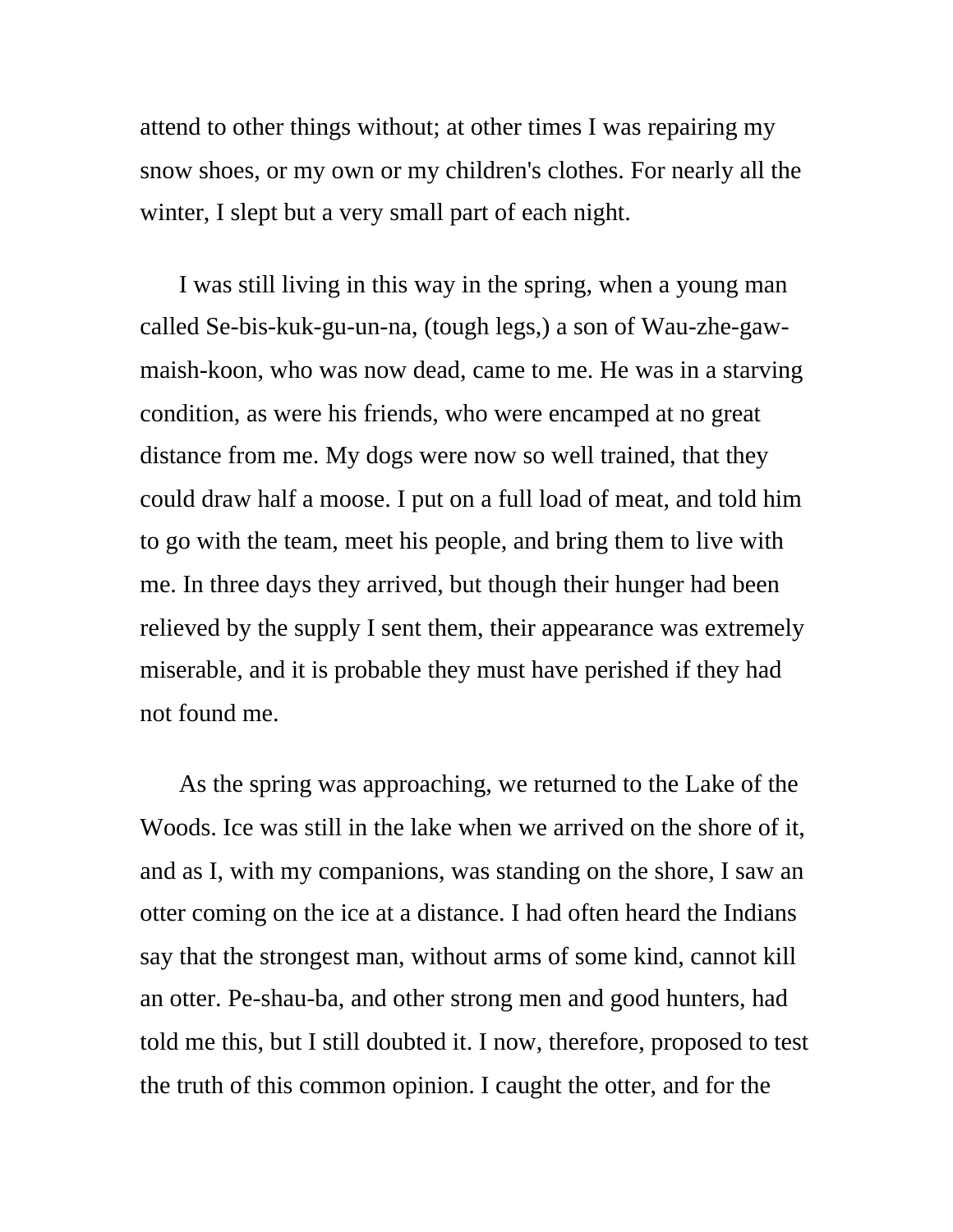attend to other things without; at other times I was repairing my snow shoes, or my own or my children's clothes. For nearly all the winter, I slept but a very small part of each night.

I was still living in this way in the spring, when a young man called Se-bis-kuk-gu-un-na, (tough legs,) a son of Wau-zhe-gawmaish-koon, who was now dead, came to me. He was in a starving condition, as were his friends, who were encamped at no great distance from me. My dogs were now so well trained, that they could draw half a moose. I put on a full load of meat, and told him to go with the team, meet his people, and bring them to live with me. In three days they arrived, but though their hunger had been relieved by the supply I sent them, their appearance was extremely miserable, and it is probable they must have perished if they had not found me.

As the spring was approaching, we returned to the Lake of the Woods. Ice was still in the lake when we arrived on the shore of it, and as I, with my companions, was standing on the shore, I saw an otter coming on the ice at a distance. I had often heard the Indians say that the strongest man, without arms of some kind, cannot kill an otter. Pe-shau-ba, and other strong men and good hunters, had told me this, but I still doubted it. I now, therefore, proposed to test the truth of this common opinion. I caught the otter, and for the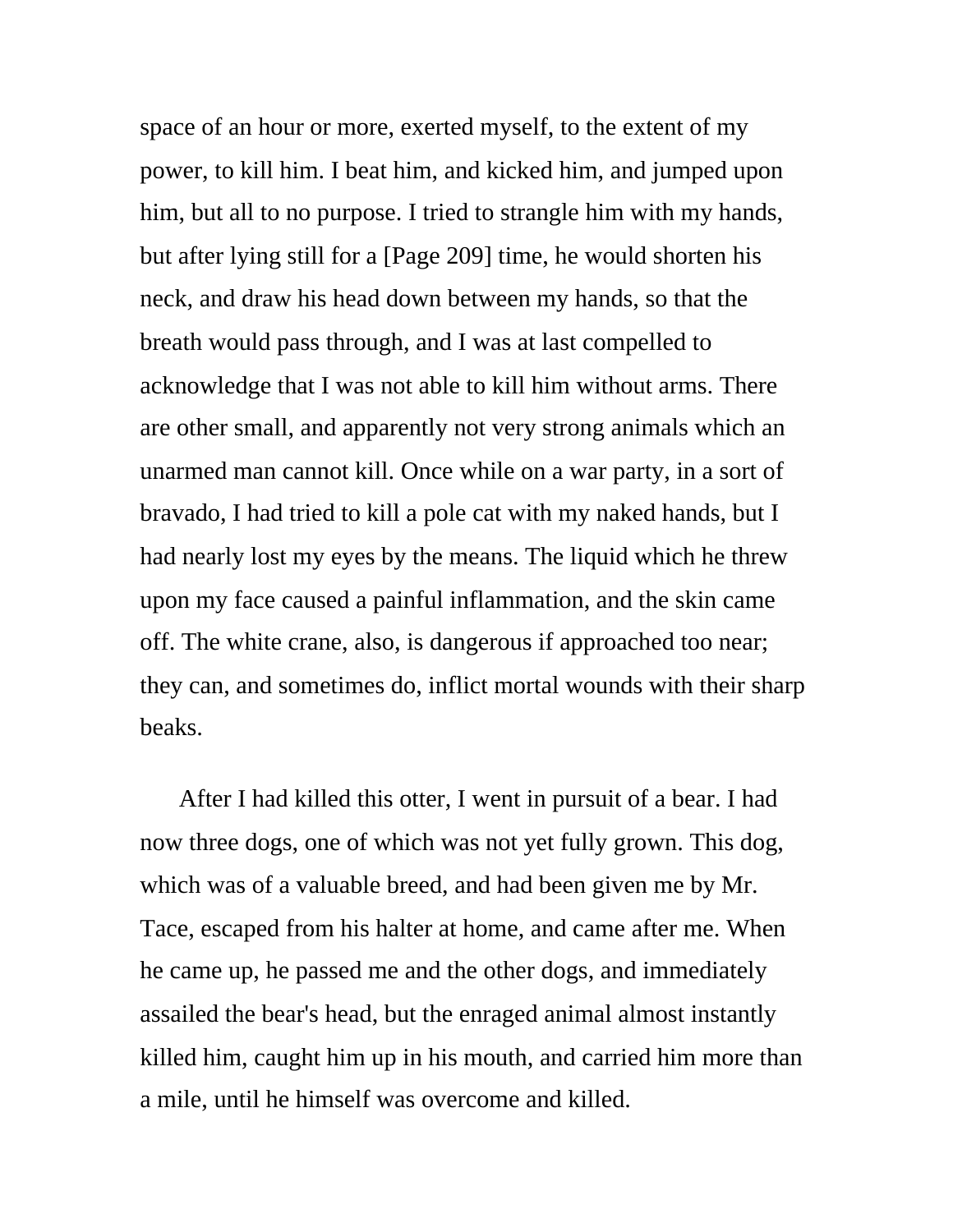space of an hour or more, exerted myself, to the extent of my power, to kill him. I beat him, and kicked him, and jumped upon him, but all to no purpose. I tried to strangle him with my hands, but after lying still for a [Page 209] time, he would shorten his neck, and draw his head down between my hands, so that the breath would pass through, and I was at last compelled to acknowledge that I was not able to kill him without arms. There are other small, and apparently not very strong animals which an unarmed man cannot kill. Once while on a war party, in a sort of bravado, I had tried to kill a pole cat with my naked hands, but I had nearly lost my eyes by the means. The liquid which he threw upon my face caused a painful inflammation, and the skin came off. The white crane, also, is dangerous if approached too near; they can, and sometimes do, inflict mortal wounds with their sharp beaks.

After I had killed this otter, I went in pursuit of a bear. I had now three dogs, one of which was not yet fully grown. This dog, which was of a valuable breed, and had been given me by Mr. Tace, escaped from his halter at home, and came after me. When he came up, he passed me and the other dogs, and immediately assailed the bear's head, but the enraged animal almost instantly killed him, caught him up in his mouth, and carried him more than a mile, until he himself was overcome and killed.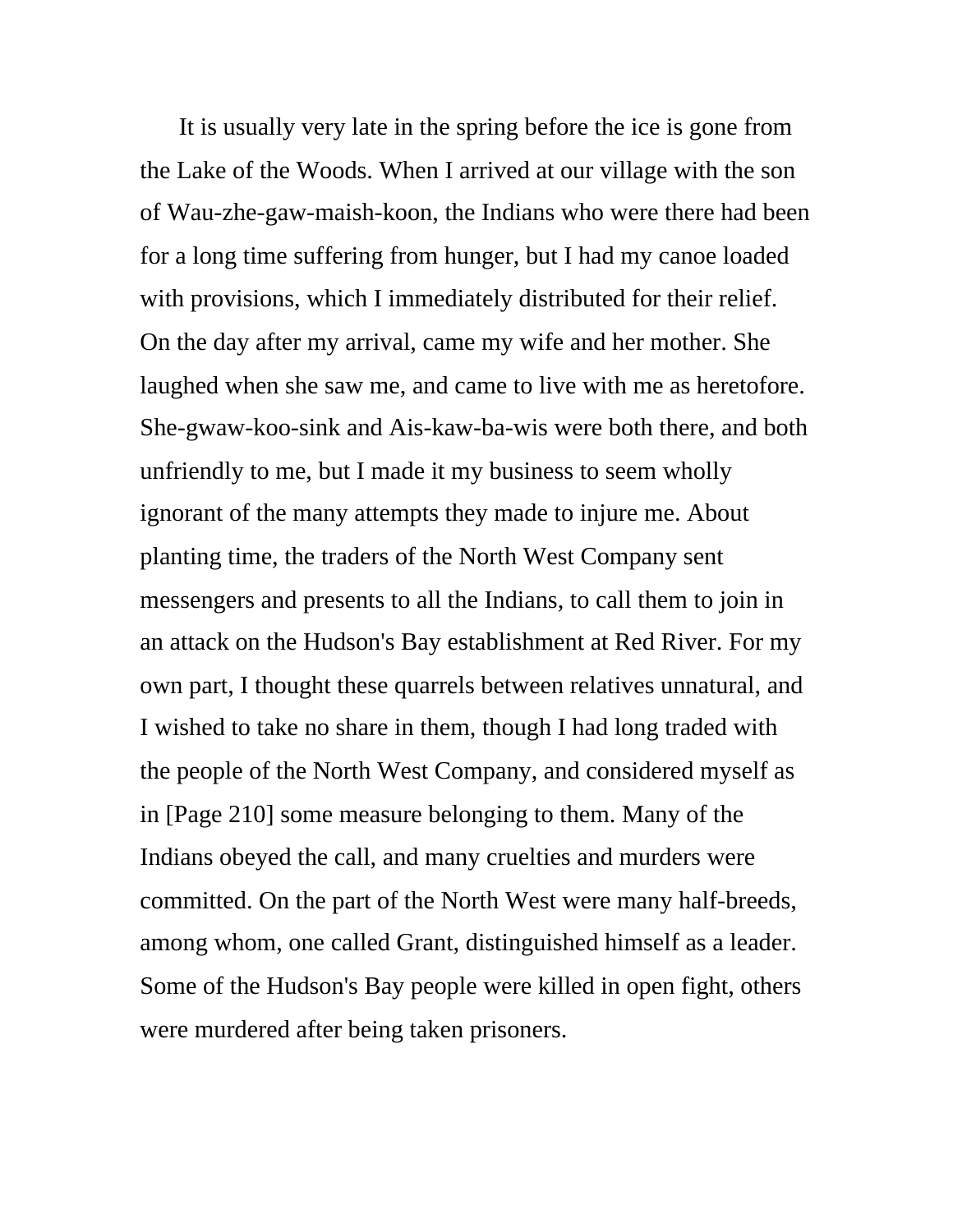It is usually very late in the spring before the ice is gone from the Lake of the Woods. When I arrived at our village with the son of Wau-zhe-gaw-maish-koon, the Indians who were there had been for a long time suffering from hunger, but I had my canoe loaded with provisions, which I immediately distributed for their relief. On the day after my arrival, came my wife and her mother. She laughed when she saw me, and came to live with me as heretofore. She-gwaw-koo-sink and Ais-kaw-ba-wis were both there, and both unfriendly to me, but I made it my business to seem wholly ignorant of the many attempts they made to injure me. About planting time, the traders of the North West Company sent messengers and presents to all the Indians, to call them to join in an attack on the Hudson's Bay establishment at Red River. For my own part, I thought these quarrels between relatives unnatural, and I wished to take no share in them, though I had long traded with the people of the North West Company, and considered myself as in [Page 210] some measure belonging to them. Many of the Indians obeyed the call, and many cruelties and murders were committed. On the part of the North West were many half-breeds, among whom, one called Grant, distinguished himself as a leader. Some of the Hudson's Bay people were killed in open fight, others were murdered after being taken prisoners.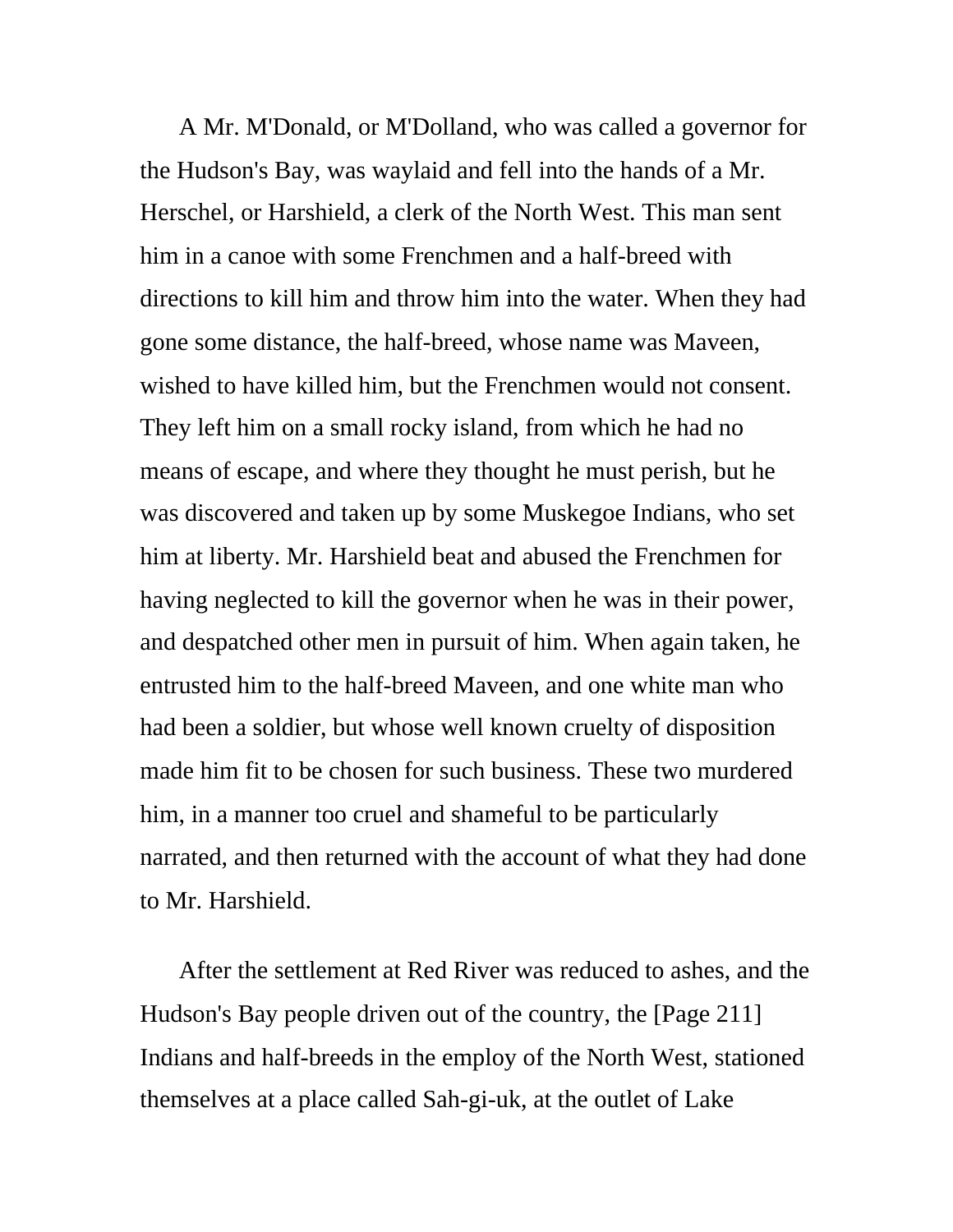A Mr. M'Donald, or M'Dolland, who was called a governor for the Hudson's Bay, was waylaid and fell into the hands of a Mr. Herschel, or Harshield, a clerk of the North West. This man sent him in a canoe with some Frenchmen and a half-breed with directions to kill him and throw him into the water. When they had gone some distance, the half-breed, whose name was Maveen, wished to have killed him, but the Frenchmen would not consent. They left him on a small rocky island, from which he had no means of escape, and where they thought he must perish, but he was discovered and taken up by some Muskegoe Indians, who set him at liberty. Mr. Harshield beat and abused the Frenchmen for having neglected to kill the governor when he was in their power, and despatched other men in pursuit of him. When again taken, he entrusted him to the half-breed Maveen, and one white man who had been a soldier, but whose well known cruelty of disposition made him fit to be chosen for such business. These two murdered him, in a manner too cruel and shameful to be particularly narrated, and then returned with the account of what they had done to Mr. Harshield.

After the settlement at Red River was reduced to ashes, and the Hudson's Bay people driven out of the country, the [Page 211] Indians and half-breeds in the employ of the North West, stationed themselves at a place called Sah-gi-uk, at the outlet of Lake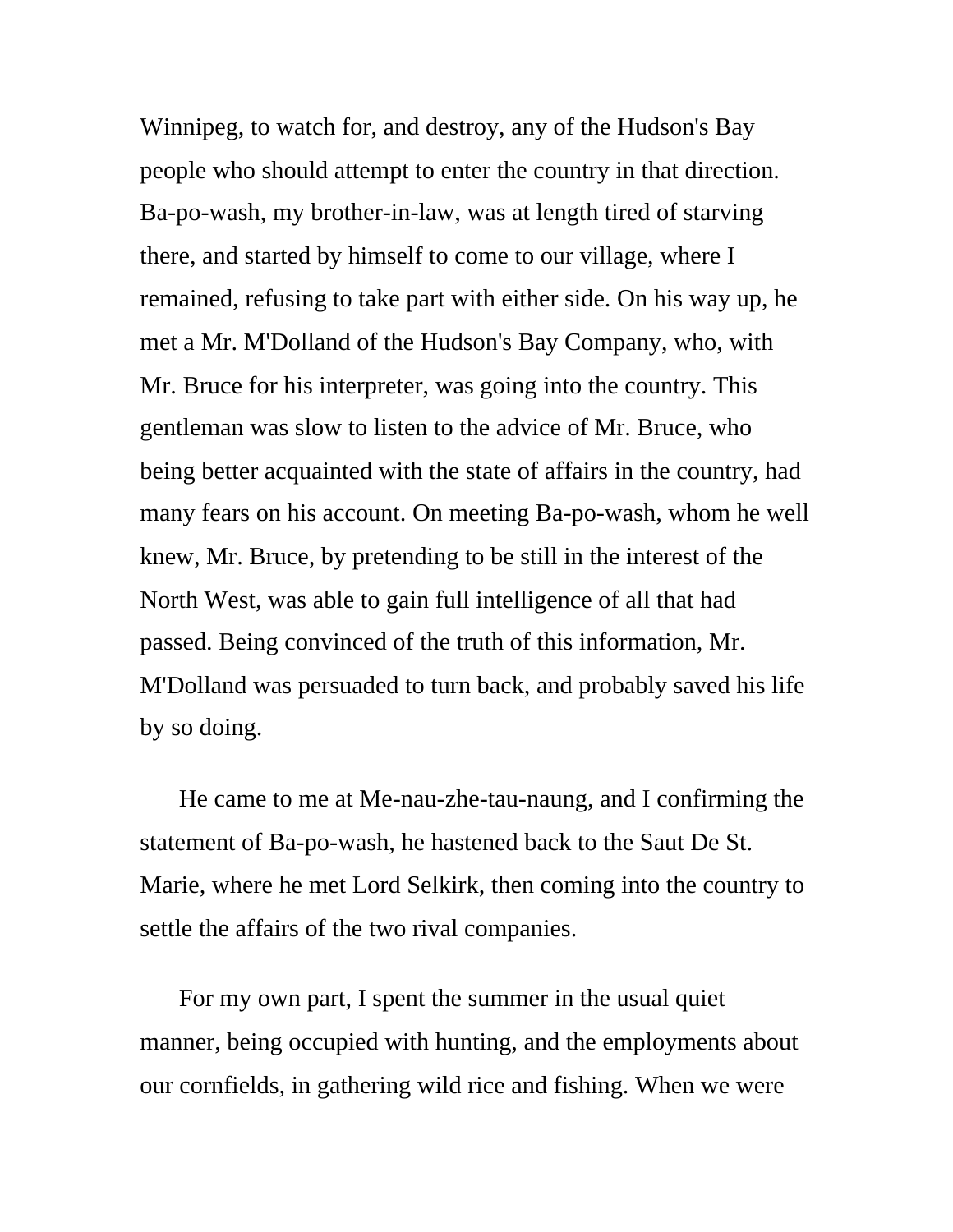Winnipeg, to watch for, and destroy, any of the Hudson's Bay people who should attempt to enter the country in that direction. Ba-po-wash, my brother-in-law, was at length tired of starving there, and started by himself to come to our village, where I remained, refusing to take part with either side. On his way up, he met a Mr. M'Dolland of the Hudson's Bay Company, who, with Mr. Bruce for his interpreter, was going into the country. This gentleman was slow to listen to the advice of Mr. Bruce, who being better acquainted with the state of affairs in the country, had many fears on his account. On meeting Ba-po-wash, whom he well knew, Mr. Bruce, by pretending to be still in the interest of the North West, was able to gain full intelligence of all that had passed. Being convinced of the truth of this information, Mr. M'Dolland was persuaded to turn back, and probably saved his life by so doing.

He came to me at Me-nau-zhe-tau-naung, and I confirming the statement of Ba-po-wash, he hastened back to the Saut De St. Marie, where he met Lord Selkirk, then coming into the country to settle the affairs of the two rival companies.

For my own part, I spent the summer in the usual quiet manner, being occupied with hunting, and the employments about our cornfields, in gathering wild rice and fishing. When we were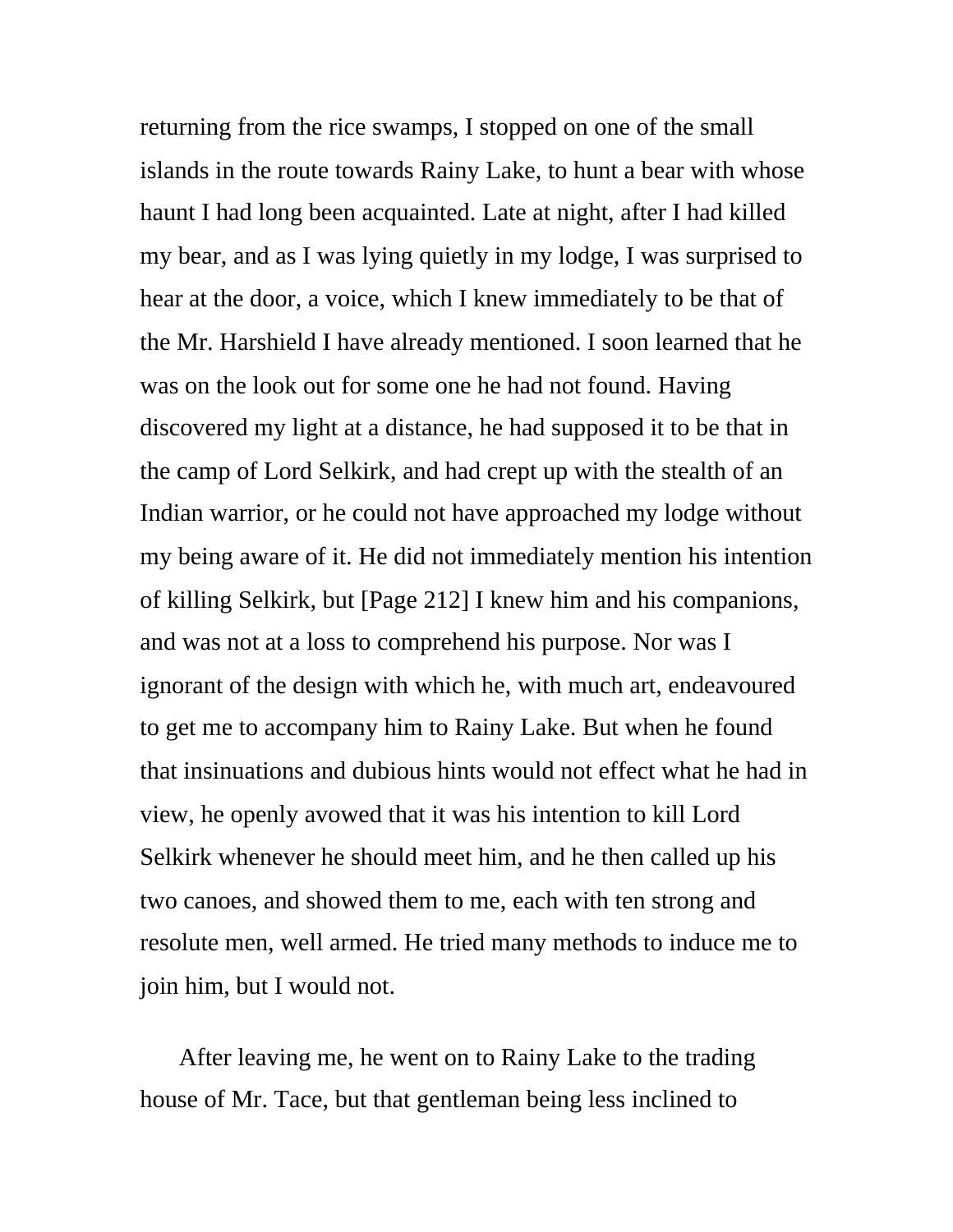returning from the rice swamps, I stopped on one of the small islands in the route towards Rainy Lake, to hunt a bear with whose haunt I had long been acquainted. Late at night, after I had killed my bear, and as I was lying quietly in my lodge, I was surprised to hear at the door, a voice, which I knew immediately to be that of the Mr. Harshield I have already mentioned. I soon learned that he was on the look out for some one he had not found. Having discovered my light at a distance, he had supposed it to be that in the camp of Lord Selkirk, and had crept up with the stealth of an Indian warrior, or he could not have approached my lodge without my being aware of it. He did not immediately mention his intention of killing Selkirk, but [Page 212] I knew him and his companions, and was not at a loss to comprehend his purpose. Nor was I ignorant of the design with which he, with much art, endeavoured to get me to accompany him to Rainy Lake. But when he found that insinuations and dubious hints would not effect what he had in view, he openly avowed that it was his intention to kill Lord Selkirk whenever he should meet him, and he then called up his two canoes, and showed them to me, each with ten strong and resolute men, well armed. He tried many methods to induce me to join him, but I would not.

After leaving me, he went on to Rainy Lake to the trading house of Mr. Tace, but that gentleman being less inclined to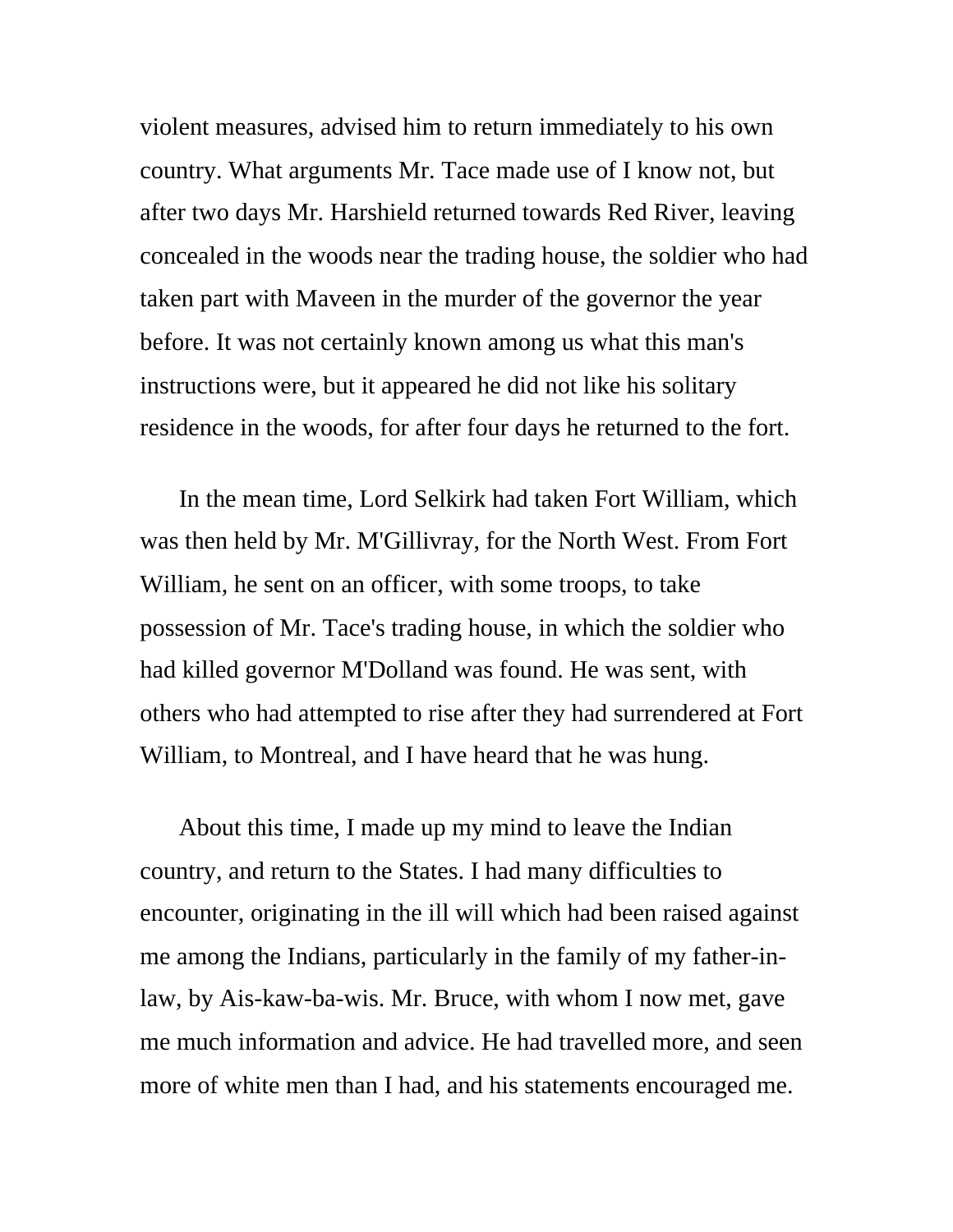violent measures, advised him to return immediately to his own country. What arguments Mr. Tace made use of I know not, but after two days Mr. Harshield returned towards Red River, leaving concealed in the woods near the trading house, the soldier who had taken part with Maveen in the murder of the governor the year before. It was not certainly known among us what this man's instructions were, but it appeared he did not like his solitary residence in the woods, for after four days he returned to the fort.

In the mean time, Lord Selkirk had taken Fort William, which was then held by Mr. M'Gillivray, for the North West. From Fort William, he sent on an officer, with some troops, to take possession of Mr. Tace's trading house, in which the soldier who had killed governor M'Dolland was found. He was sent, with others who had attempted to rise after they had surrendered at Fort William, to Montreal, and I have heard that he was hung.

About this time, I made up my mind to leave the Indian country, and return to the States. I had many difficulties to encounter, originating in the ill will which had been raised against me among the Indians, particularly in the family of my father-inlaw, by Ais-kaw-ba-wis. Mr. Bruce, with whom I now met, gave me much information and advice. He had travelled more, and seen more of white men than I had, and his statements encouraged me.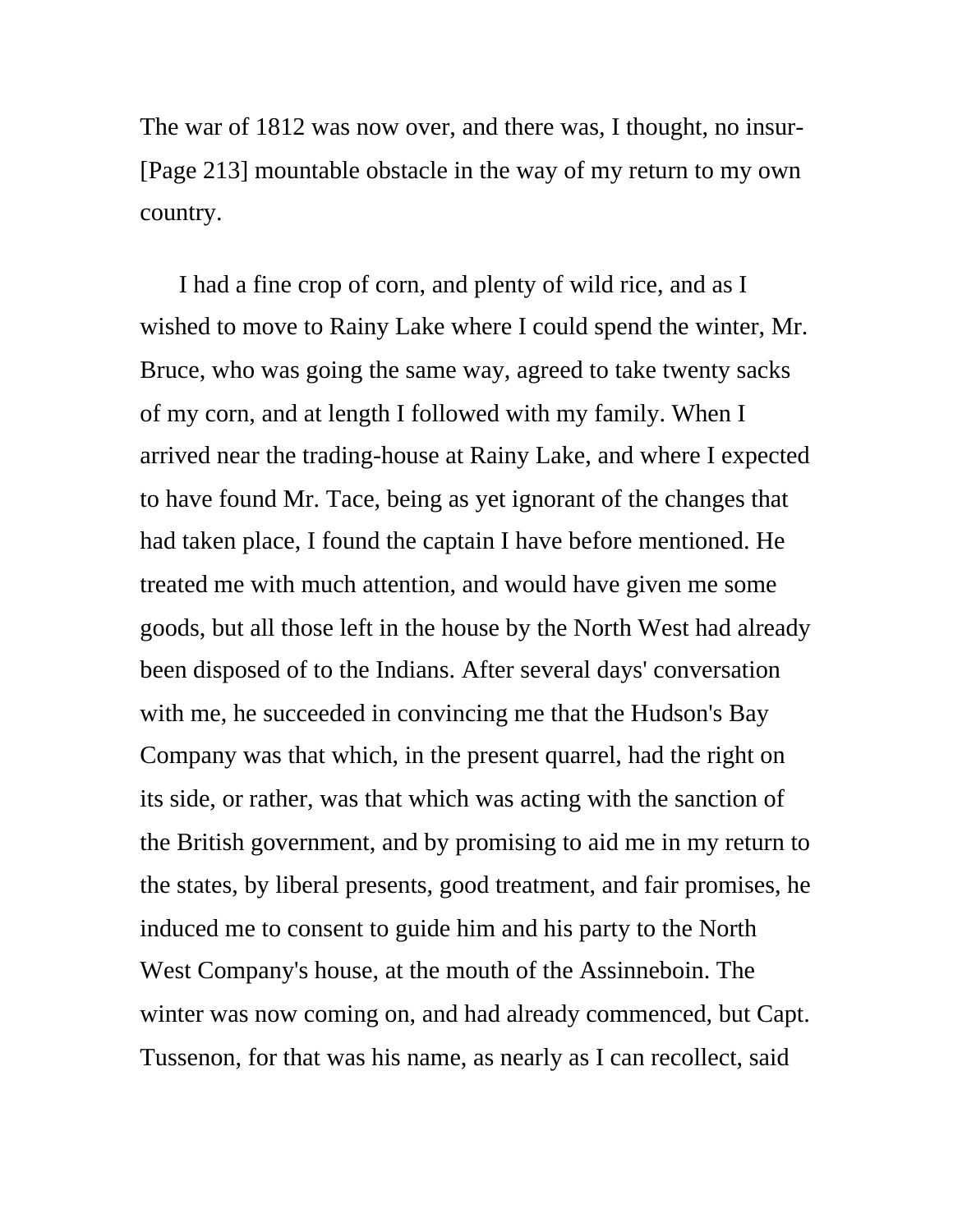The war of 1812 was now over, and there was, I thought, no insur- [Page 213] mountable obstacle in the way of my return to my own country.

I had a fine crop of corn, and plenty of wild rice, and as I wished to move to Rainy Lake where I could spend the winter, Mr. Bruce, who was going the same way, agreed to take twenty sacks of my corn, and at length I followed with my family. When I arrived near the trading-house at Rainy Lake, and where I expected to have found Mr. Tace, being as yet ignorant of the changes that had taken place, I found the captain I have before mentioned. He treated me with much attention, and would have given me some goods, but all those left in the house by the North West had already been disposed of to the Indians. After several days' conversation with me, he succeeded in convincing me that the Hudson's Bay Company was that which, in the present quarrel, had the right on its side, or rather, was that which was acting with the sanction of the British government, and by promising to aid me in my return to the states, by liberal presents, good treatment, and fair promises, he induced me to consent to guide him and his party to the North West Company's house, at the mouth of the Assinneboin. The winter was now coming on, and had already commenced, but Capt. Tussenon, for that was his name, as nearly as I can recollect, said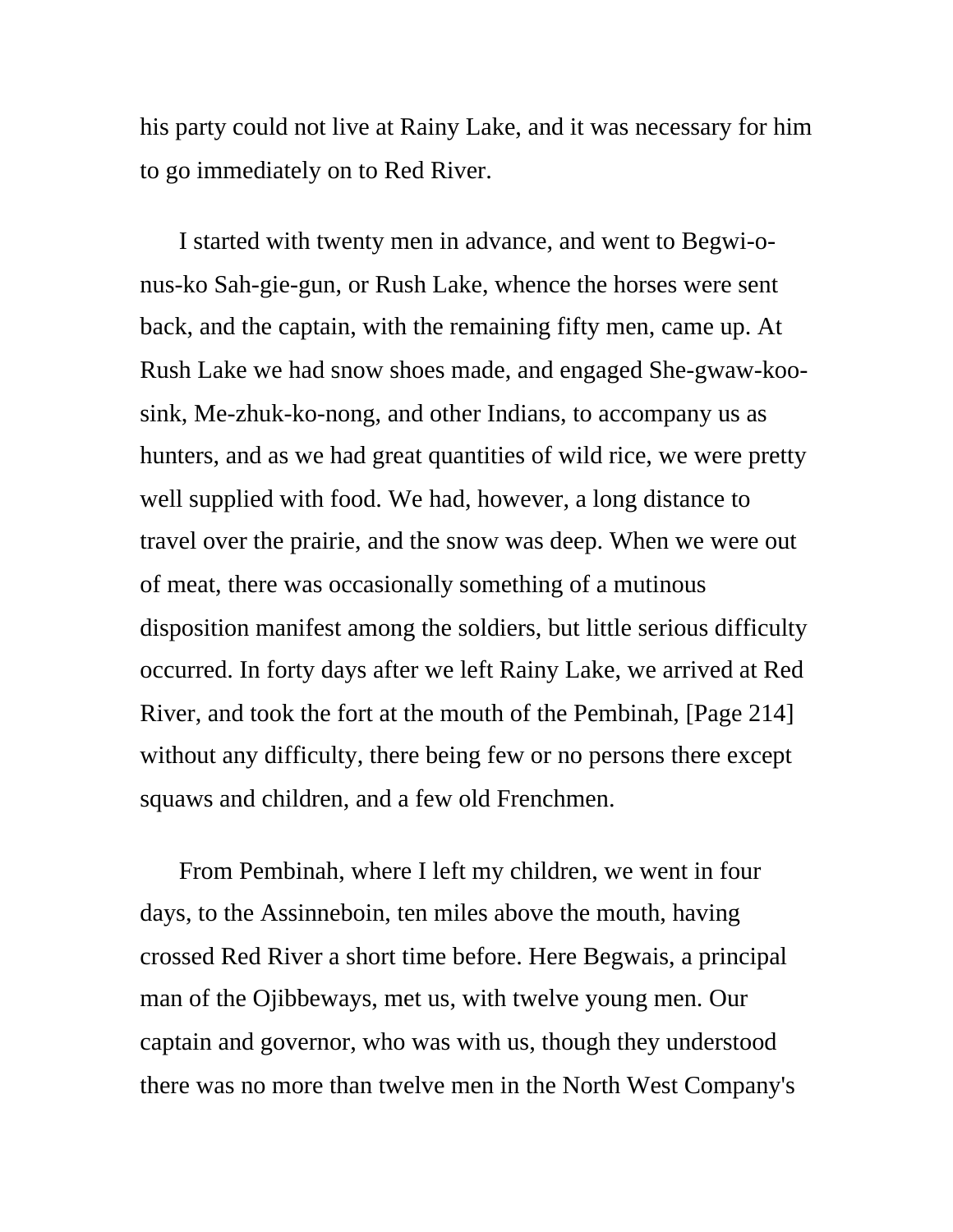his party could not live at Rainy Lake, and it was necessary for him to go immediately on to Red River.

I started with twenty men in advance, and went to Begwi-onus-ko Sah-gie-gun, or Rush Lake, whence the horses were sent back, and the captain, with the remaining fifty men, came up. At Rush Lake we had snow shoes made, and engaged She-gwaw-koosink, Me-zhuk-ko-nong, and other Indians, to accompany us as hunters, and as we had great quantities of wild rice, we were pretty well supplied with food. We had, however, a long distance to travel over the prairie, and the snow was deep. When we were out of meat, there was occasionally something of a mutinous disposition manifest among the soldiers, but little serious difficulty occurred. In forty days after we left Rainy Lake, we arrived at Red River, and took the fort at the mouth of the Pembinah, [Page 214] without any difficulty, there being few or no persons there except squaws and children, and a few old Frenchmen.

From Pembinah, where I left my children, we went in four days, to the Assinneboin, ten miles above the mouth, having crossed Red River a short time before. Here Begwais, a principal man of the Ojibbeways, met us, with twelve young men. Our captain and governor, who was with us, though they understood there was no more than twelve men in the North West Company's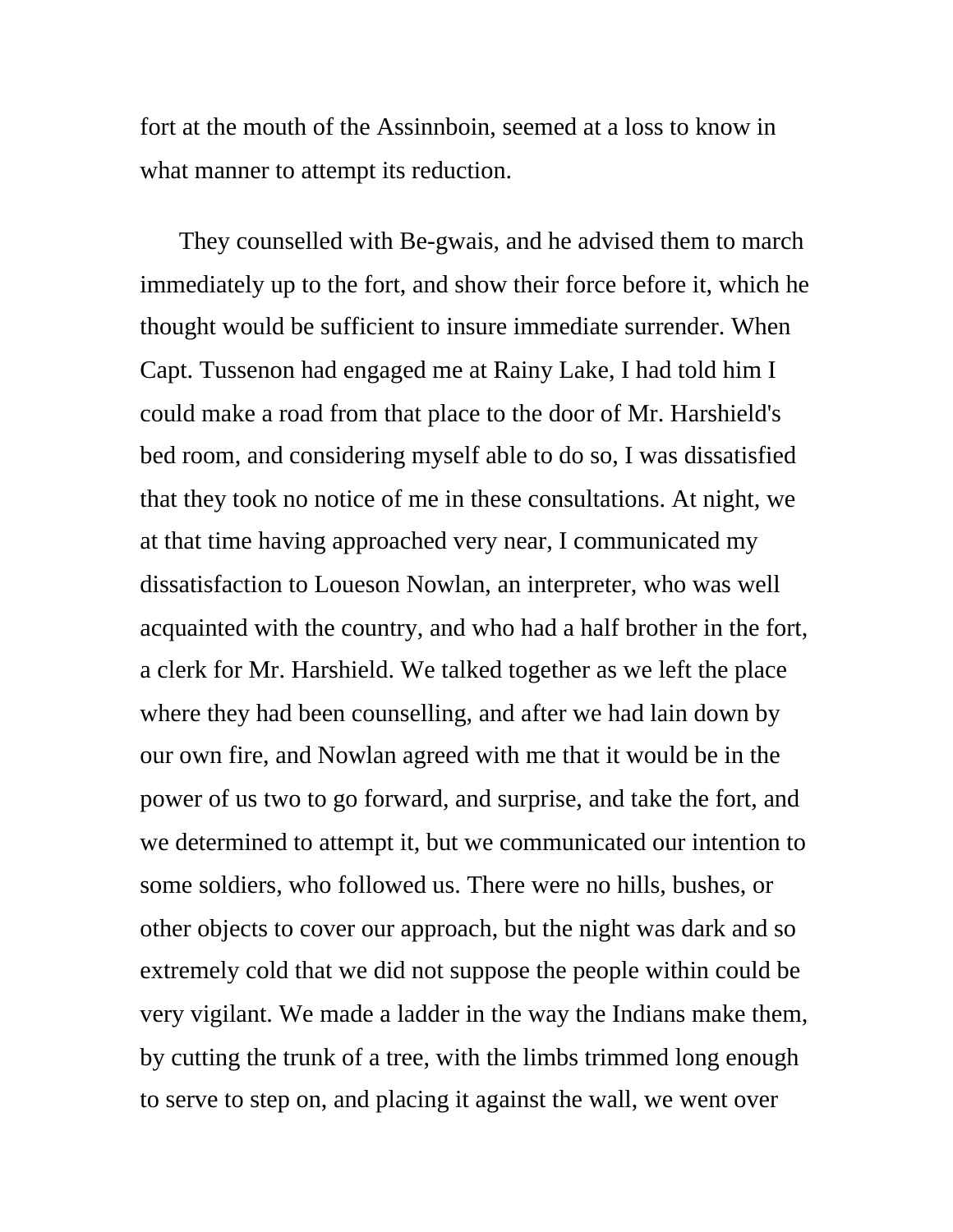fort at the mouth of the Assinnboin, seemed at a loss to know in what manner to attempt its reduction.

They counselled with Be-gwais, and he advised them to march immediately up to the fort, and show their force before it, which he thought would be sufficient to insure immediate surrender. When Capt. Tussenon had engaged me at Rainy Lake, I had told him I could make a road from that place to the door of Mr. Harshield's bed room, and considering myself able to do so, I was dissatisfied that they took no notice of me in these consultations. At night, we at that time having approached very near, I communicated my dissatisfaction to Loueson Nowlan, an interpreter, who was well acquainted with the country, and who had a half brother in the fort, a clerk for Mr. Harshield. We talked together as we left the place where they had been counselling, and after we had lain down by our own fire, and Nowlan agreed with me that it would be in the power of us two to go forward, and surprise, and take the fort, and we determined to attempt it, but we communicated our intention to some soldiers, who followed us. There were no hills, bushes, or other objects to cover our approach, but the night was dark and so extremely cold that we did not suppose the people within could be very vigilant. We made a ladder in the way the Indians make them, by cutting the trunk of a tree, with the limbs trimmed long enough to serve to step on, and placing it against the wall, we went over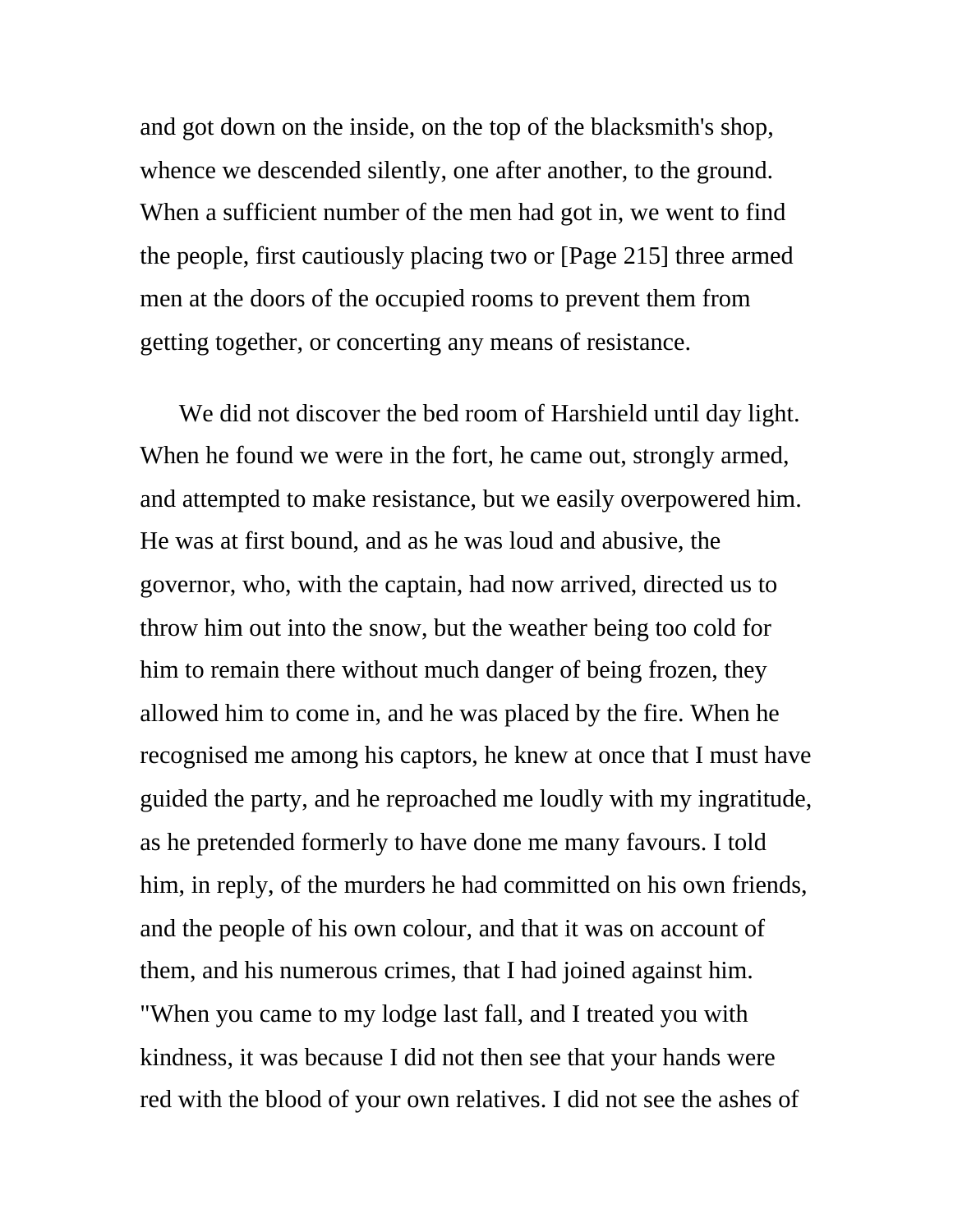and got down on the inside, on the top of the blacksmith's shop, whence we descended silently, one after another, to the ground. When a sufficient number of the men had got in, we went to find the people, first cautiously placing two or [Page 215] three armed men at the doors of the occupied rooms to prevent them from getting together, or concerting any means of resistance.

We did not discover the bed room of Harshield until day light. When he found we were in the fort, he came out, strongly armed, and attempted to make resistance, but we easily overpowered him. He was at first bound, and as he was loud and abusive, the governor, who, with the captain, had now arrived, directed us to throw him out into the snow, but the weather being too cold for him to remain there without much danger of being frozen, they allowed him to come in, and he was placed by the fire. When he recognised me among his captors, he knew at once that I must have guided the party, and he reproached me loudly with my ingratitude, as he pretended formerly to have done me many favours. I told him, in reply, of the murders he had committed on his own friends, and the people of his own colour, and that it was on account of them, and his numerous crimes, that I had joined against him. "When you came to my lodge last fall, and I treated you with kindness, it was because I did not then see that your hands were red with the blood of your own relatives. I did not see the ashes of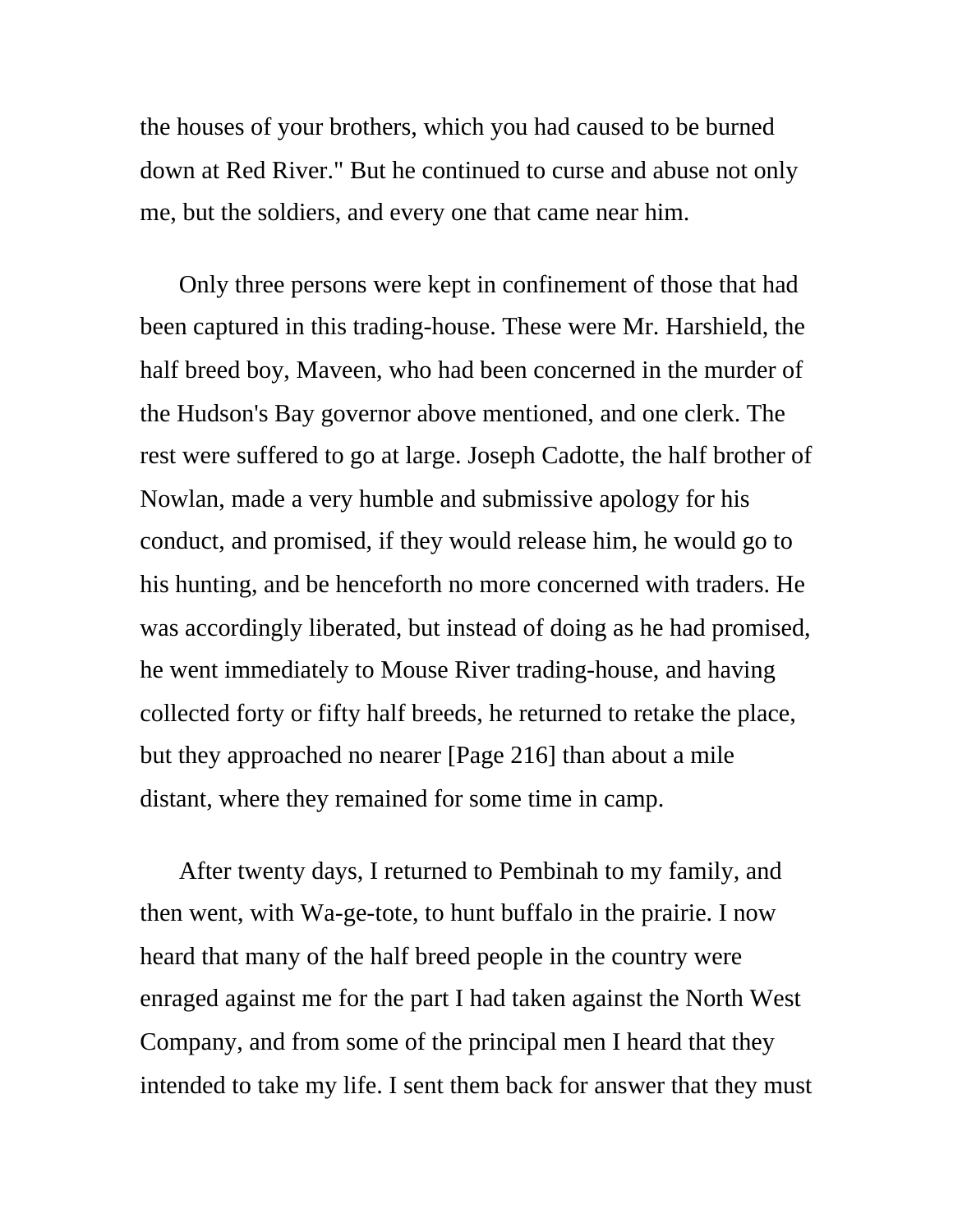the houses of your brothers, which you had caused to be burned down at Red River." But he continued to curse and abuse not only me, but the soldiers, and every one that came near him.

Only three persons were kept in confinement of those that had been captured in this trading-house. These were Mr. Harshield, the half breed boy, Maveen, who had been concerned in the murder of the Hudson's Bay governor above mentioned, and one clerk. The rest were suffered to go at large. Joseph Cadotte, the half brother of Nowlan, made a very humble and submissive apology for his conduct, and promised, if they would release him, he would go to his hunting, and be henceforth no more concerned with traders. He was accordingly liberated, but instead of doing as he had promised, he went immediately to Mouse River trading-house, and having collected forty or fifty half breeds, he returned to retake the place, but they approached no nearer [Page 216] than about a mile distant, where they remained for some time in camp.

After twenty days, I returned to Pembinah to my family, and then went, with Wa-ge-tote, to hunt buffalo in the prairie. I now heard that many of the half breed people in the country were enraged against me for the part I had taken against the North West Company, and from some of the principal men I heard that they intended to take my life. I sent them back for answer that they must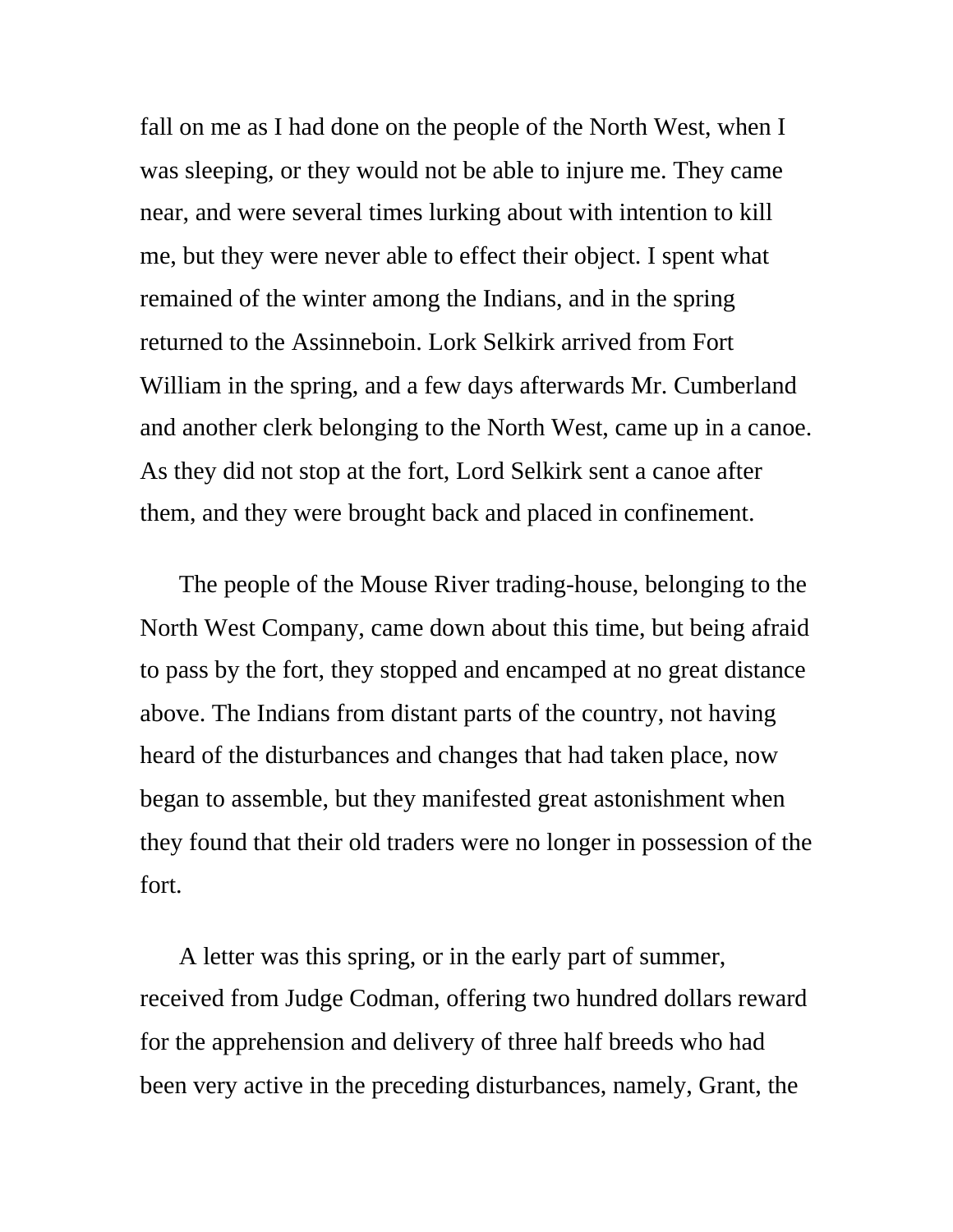fall on me as I had done on the people of the North West, when I was sleeping, or they would not be able to injure me. They came near, and were several times lurking about with intention to kill me, but they were never able to effect their object. I spent what remained of the winter among the Indians, and in the spring returned to the Assinneboin. Lork Selkirk arrived from Fort William in the spring, and a few days afterwards Mr. Cumberland and another clerk belonging to the North West, came up in a canoe. As they did not stop at the fort, Lord Selkirk sent a canoe after them, and they were brought back and placed in confinement.

The people of the Mouse River trading-house, belonging to the North West Company, came down about this time, but being afraid to pass by the fort, they stopped and encamped at no great distance above. The Indians from distant parts of the country, not having heard of the disturbances and changes that had taken place, now began to assemble, but they manifested great astonishment when they found that their old traders were no longer in possession of the fort.

A letter was this spring, or in the early part of summer, received from Judge Codman, offering two hundred dollars reward for the apprehension and delivery of three half breeds who had been very active in the preceding disturbances, namely, Grant, the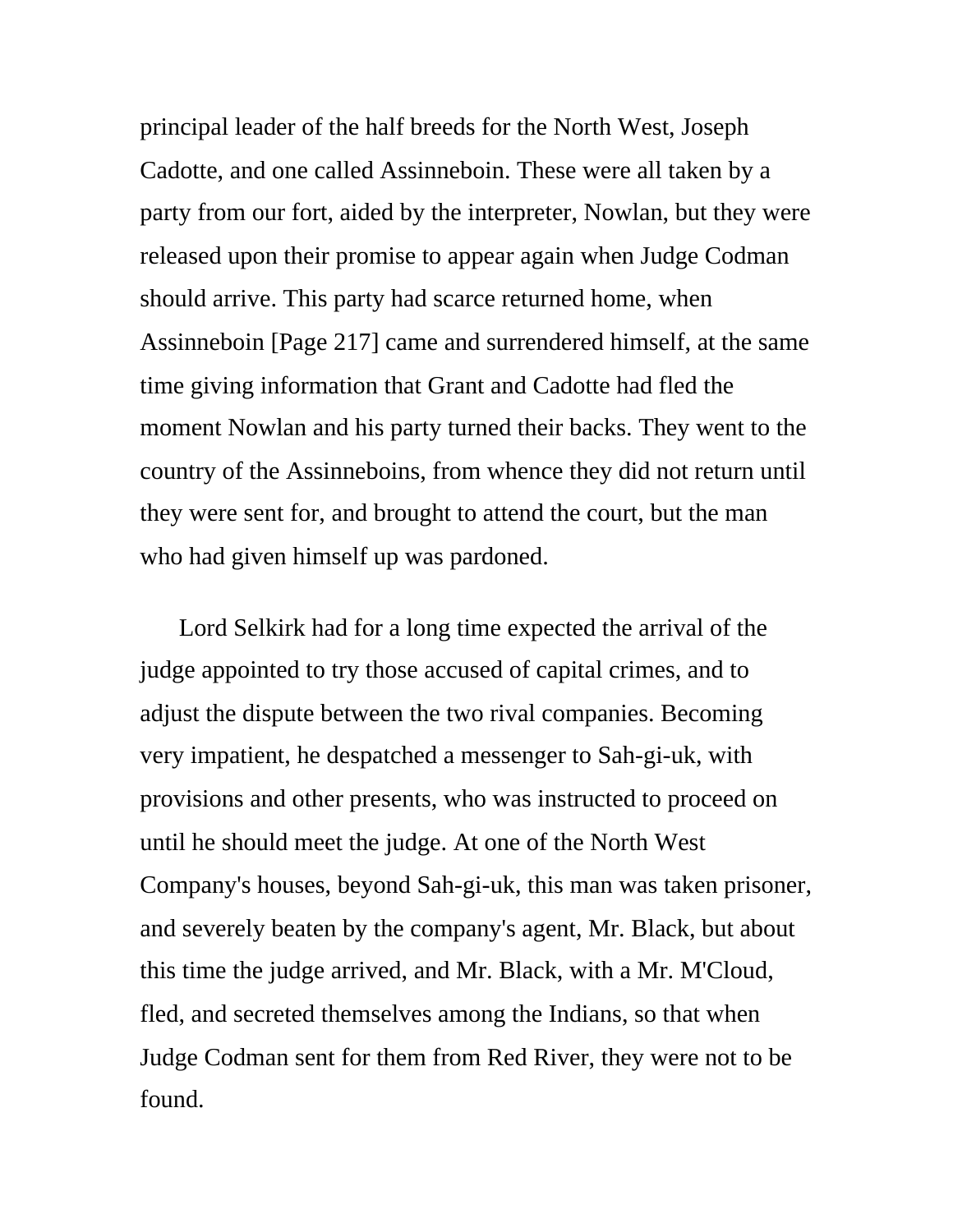principal leader of the half breeds for the North West, Joseph Cadotte, and one called Assinneboin. These were all taken by a party from our fort, aided by the interpreter, Nowlan, but they were released upon their promise to appear again when Judge Codman should arrive. This party had scarce returned home, when Assinneboin [Page 217] came and surrendered himself, at the same time giving information that Grant and Cadotte had fled the moment Nowlan and his party turned their backs. They went to the country of the Assinneboins, from whence they did not return until they were sent for, and brought to attend the court, but the man who had given himself up was pardoned.

Lord Selkirk had for a long time expected the arrival of the judge appointed to try those accused of capital crimes, and to adjust the dispute between the two rival companies. Becoming very impatient, he despatched a messenger to Sah-gi-uk, with provisions and other presents, who was instructed to proceed on until he should meet the judge. At one of the North West Company's houses, beyond Sah-gi-uk, this man was taken prisoner, and severely beaten by the company's agent, Mr. Black, but about this time the judge arrived, and Mr. Black, with a Mr. M'Cloud, fled, and secreted themselves among the Indians, so that when Judge Codman sent for them from Red River, they were not to be found.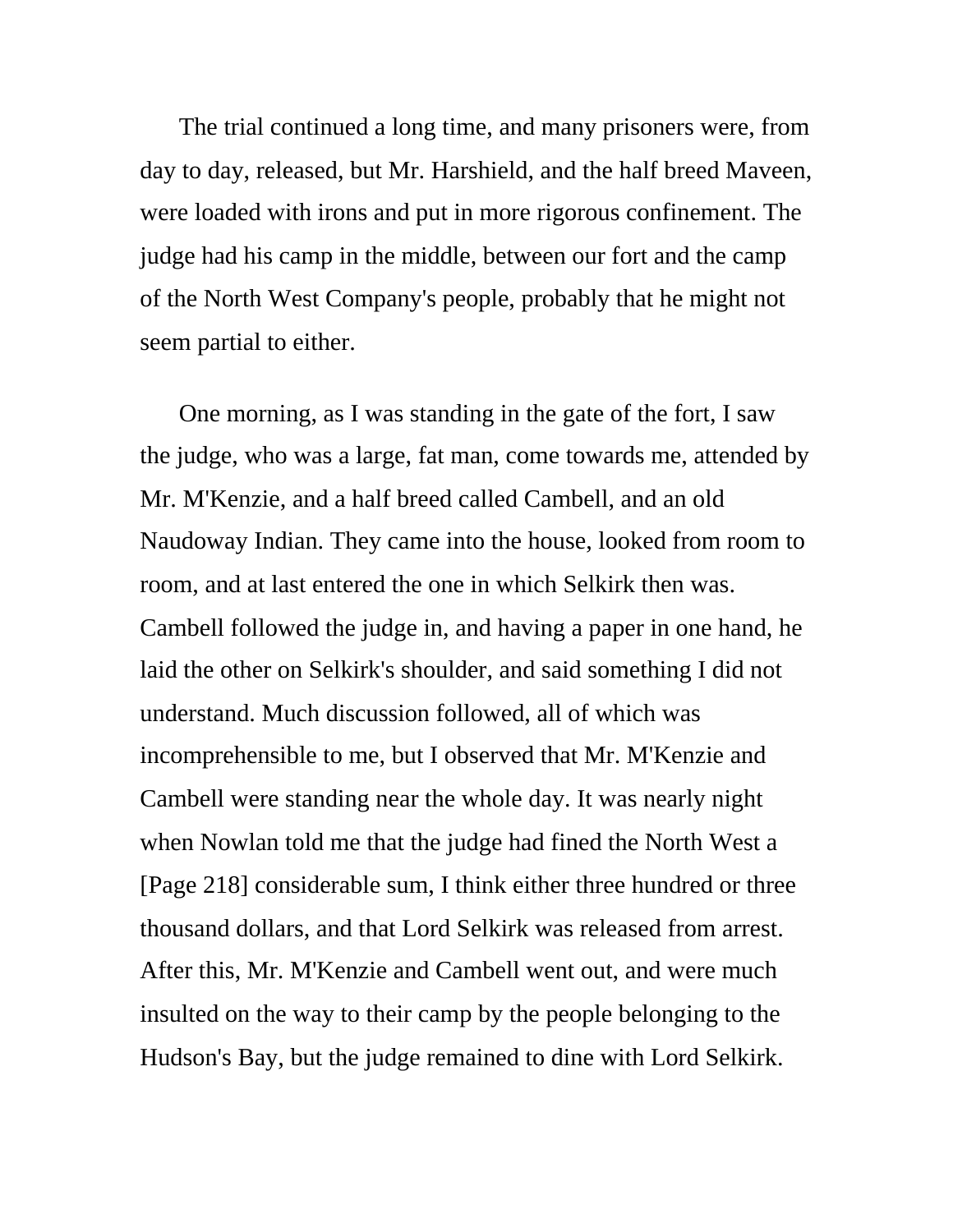The trial continued a long time, and many prisoners were, from day to day, released, but Mr. Harshield, and the half breed Maveen, were loaded with irons and put in more rigorous confinement. The judge had his camp in the middle, between our fort and the camp of the North West Company's people, probably that he might not seem partial to either.

One morning, as I was standing in the gate of the fort, I saw the judge, who was a large, fat man, come towards me, attended by Mr. M'Kenzie, and a half breed called Cambell, and an old Naudoway Indian. They came into the house, looked from room to room, and at last entered the one in which Selkirk then was. Cambell followed the judge in, and having a paper in one hand, he laid the other on Selkirk's shoulder, and said something I did not understand. Much discussion followed, all of which was incomprehensible to me, but I observed that Mr. M'Kenzie and Cambell were standing near the whole day. It was nearly night when Nowlan told me that the judge had fined the North West a [Page 218] considerable sum, I think either three hundred or three thousand dollars, and that Lord Selkirk was released from arrest. After this, Mr. M'Kenzie and Cambell went out, and were much insulted on the way to their camp by the people belonging to the Hudson's Bay, but the judge remained to dine with Lord Selkirk.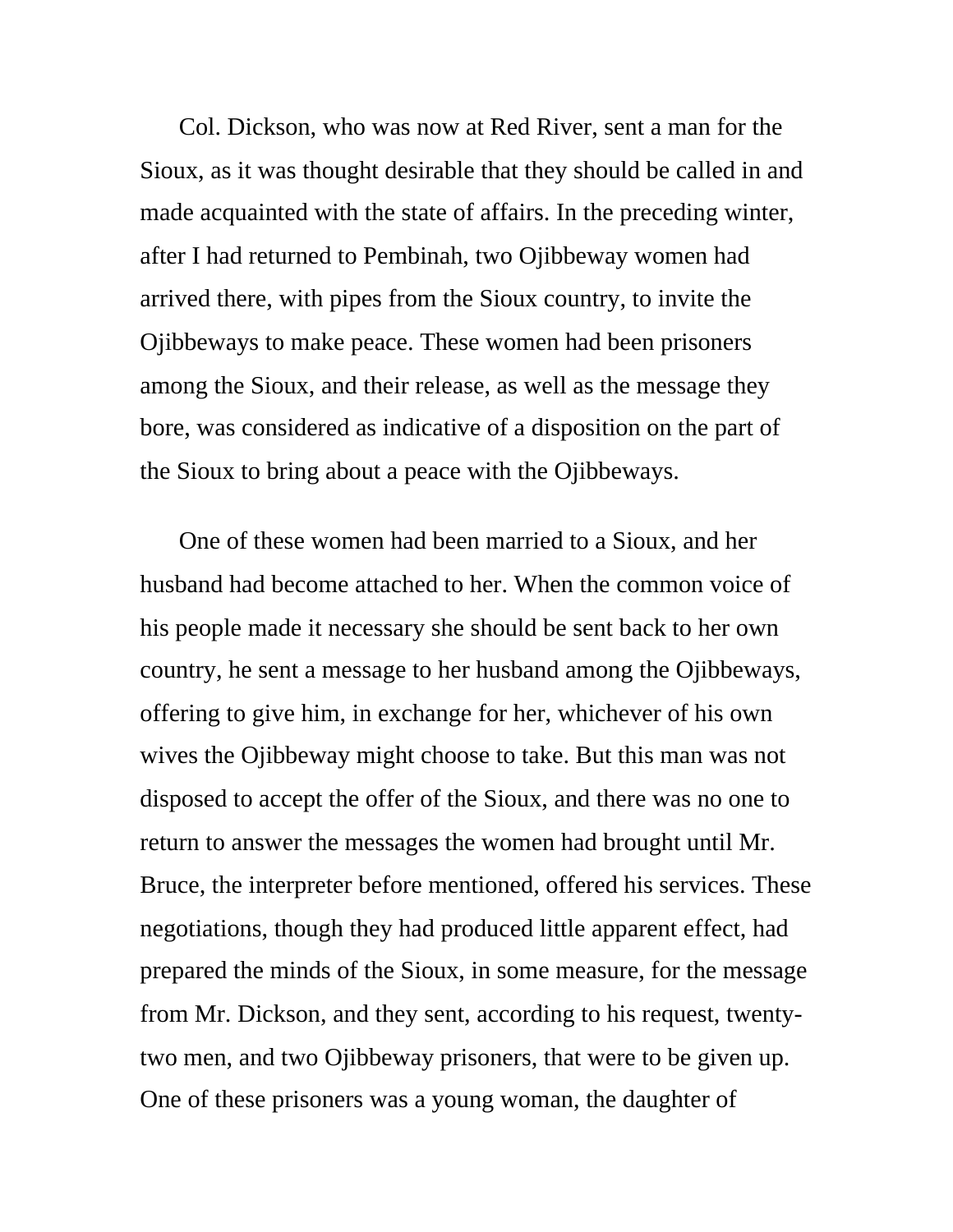Col. Dickson, who was now at Red River, sent a man for the Sioux, as it was thought desirable that they should be called in and made acquainted with the state of affairs. In the preceding winter, after I had returned to Pembinah, two Ojibbeway women had arrived there, with pipes from the Sioux country, to invite the Ojibbeways to make peace. These women had been prisoners among the Sioux, and their release, as well as the message they bore, was considered as indicative of a disposition on the part of the Sioux to bring about a peace with the Ojibbeways.

One of these women had been married to a Sioux, and her husband had become attached to her. When the common voice of his people made it necessary she should be sent back to her own country, he sent a message to her husband among the Ojibbeways, offering to give him, in exchange for her, whichever of his own wives the Ojibbeway might choose to take. But this man was not disposed to accept the offer of the Sioux, and there was no one to return to answer the messages the women had brought until Mr. Bruce, the interpreter before mentioned, offered his services. These negotiations, though they had produced little apparent effect, had prepared the minds of the Sioux, in some measure, for the message from Mr. Dickson, and they sent, according to his request, twentytwo men, and two Ojibbeway prisoners, that were to be given up. One of these prisoners was a young woman, the daughter of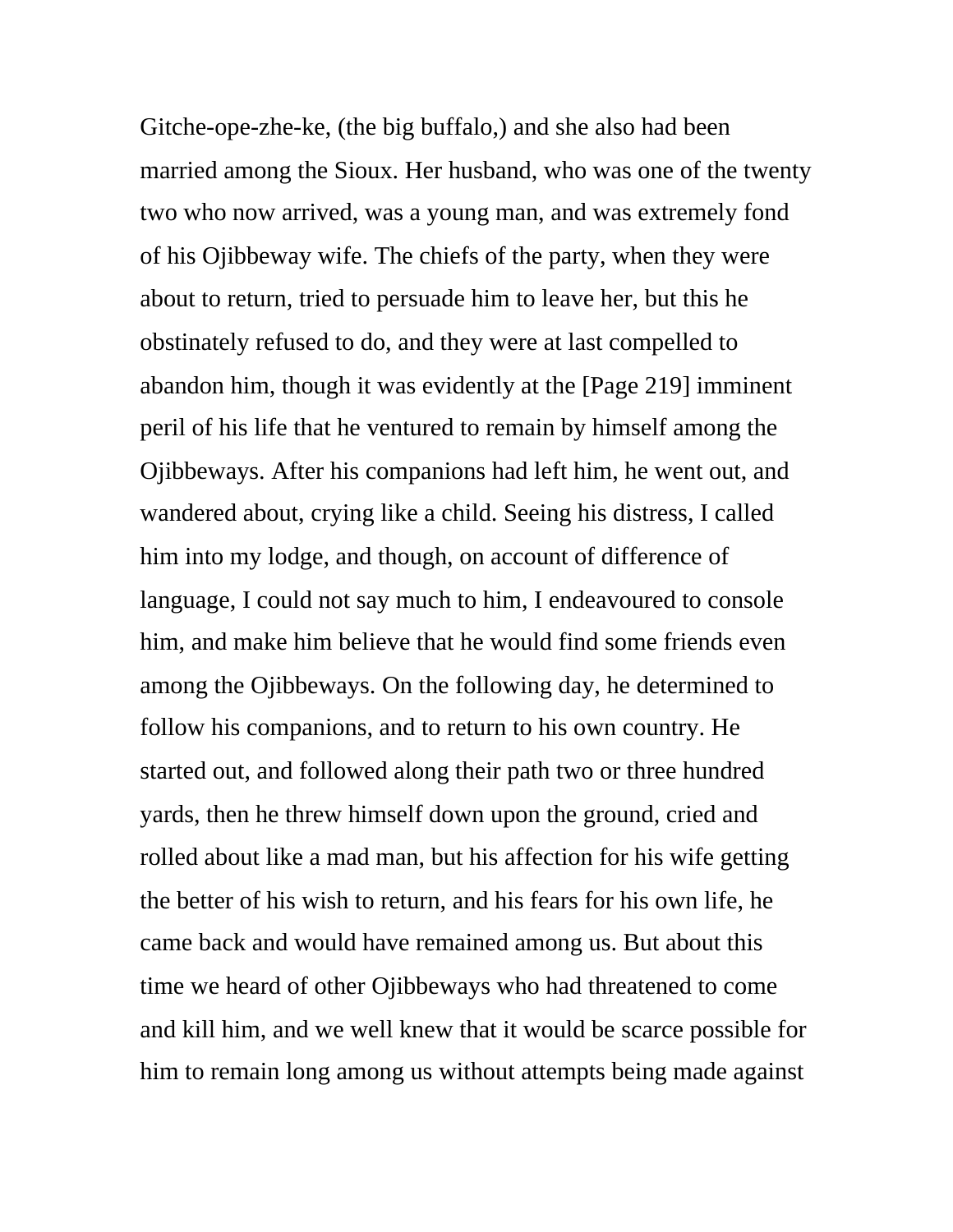Gitche-ope-zhe-ke, (the big buffalo,) and she also had been married among the Sioux. Her husband, who was one of the twenty two who now arrived, was a young man, and was extremely fond of his Ojibbeway wife. The chiefs of the party, when they were about to return, tried to persuade him to leave her, but this he obstinately refused to do, and they were at last compelled to abandon him, though it was evidently at the [Page 219] imminent peril of his life that he ventured to remain by himself among the Ojibbeways. After his companions had left him, he went out, and wandered about, crying like a child. Seeing his distress, I called him into my lodge, and though, on account of difference of language, I could not say much to him, I endeavoured to console him, and make him believe that he would find some friends even among the Ojibbeways. On the following day, he determined to follow his companions, and to return to his own country. He started out, and followed along their path two or three hundred yards, then he threw himself down upon the ground, cried and rolled about like a mad man, but his affection for his wife getting the better of his wish to return, and his fears for his own life, he came back and would have remained among us. But about this time we heard of other Ojibbeways who had threatened to come and kill him, and we well knew that it would be scarce possible for him to remain long among us without attempts being made against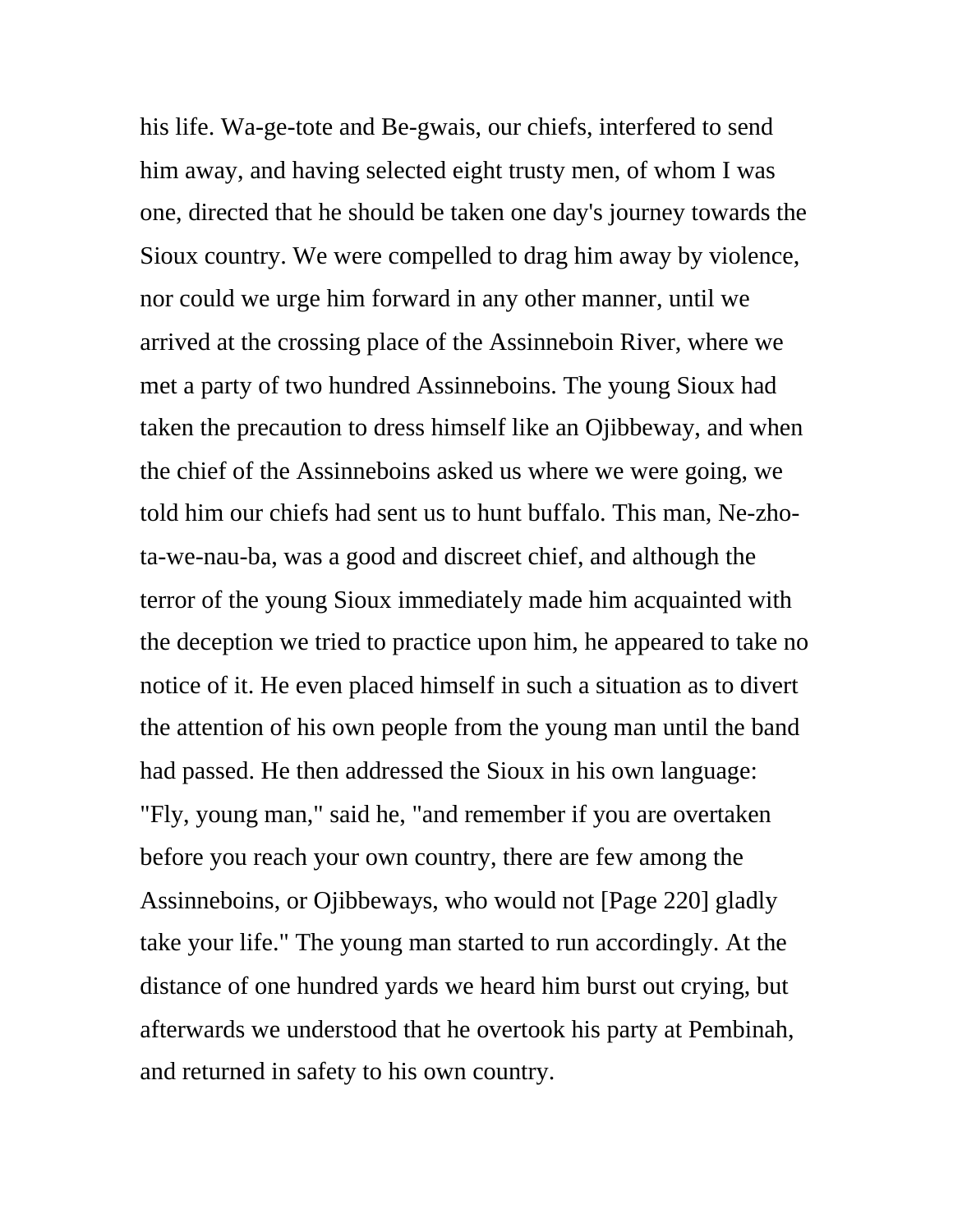his life. Wa-ge-tote and Be-gwais, our chiefs, interfered to send him away, and having selected eight trusty men, of whom I was one, directed that he should be taken one day's journey towards the Sioux country. We were compelled to drag him away by violence, nor could we urge him forward in any other manner, until we arrived at the crossing place of the Assinneboin River, where we met a party of two hundred Assinneboins. The young Sioux had taken the precaution to dress himself like an Ojibbeway, and when the chief of the Assinneboins asked us where we were going, we told him our chiefs had sent us to hunt buffalo. This man, Ne-zhota-we-nau-ba, was a good and discreet chief, and although the terror of the young Sioux immediately made him acquainted with the deception we tried to practice upon him, he appeared to take no notice of it. He even placed himself in such a situation as to divert the attention of his own people from the young man until the band had passed. He then addressed the Sioux in his own language: "Fly, young man," said he, "and remember if you are overtaken before you reach your own country, there are few among the Assinneboins, or Ojibbeways, who would not [Page 220] gladly take your life." The young man started to run accordingly. At the distance of one hundred yards we heard him burst out crying, but afterwards we understood that he overtook his party at Pembinah, and returned in safety to his own country.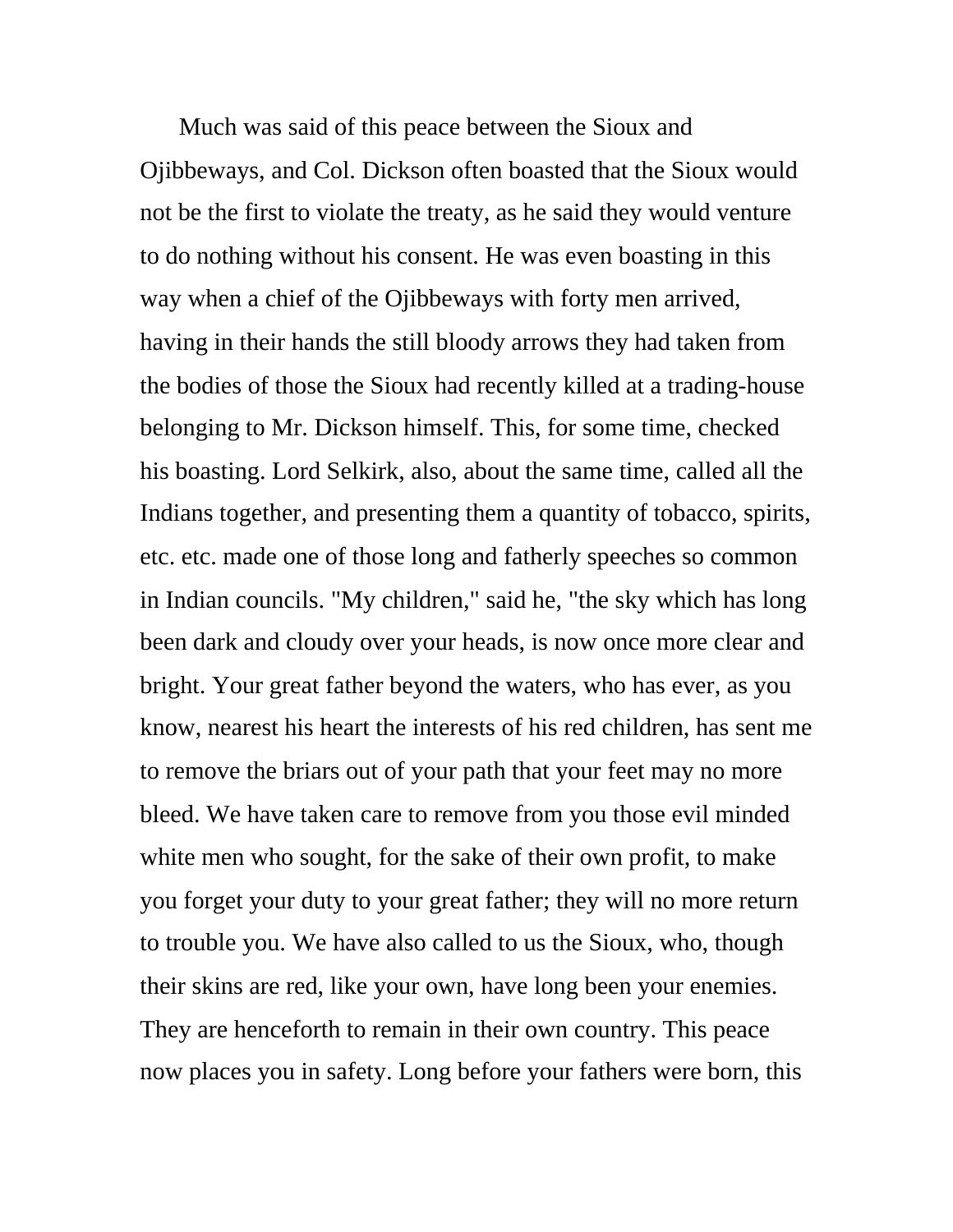Much was said of this peace between the Sioux and Ojibbeways, and Col. Dickson often boasted that the Sioux would not be the first to violate the treaty, as he said they would venture to do nothing without his consent. He was even boasting in this way when a chief of the Ojibbeways with forty men arrived, having in their hands the still bloody arrows they had taken from the bodies of those the Sioux had recently killed at a trading-house belonging to Mr. Dickson himself. This, for some time, checked his boasting. Lord Selkirk, also, about the same time, called all the Indians together, and presenting them a quantity of tobacco, spirits, etc. etc. made one of those long and fatherly speeches so common in Indian councils. "My children," said he, "the sky which has long been dark and cloudy over your heads, is now once more clear and bright. Your great father beyond the waters, who has ever, as you know, nearest his heart the interests of his red children, has sent me to remove the briars out of your path that your feet may no more bleed. We have taken care to remove from you those evil minded white men who sought, for the sake of their own profit, to make you forget your duty to your great father; they will no more return to trouble you. We have also called to us the Sioux, who, though their skins are red, like your own, have long been your enemies. They are henceforth to remain in their own country. This peace now places you in safety. Long before your fathers were born, this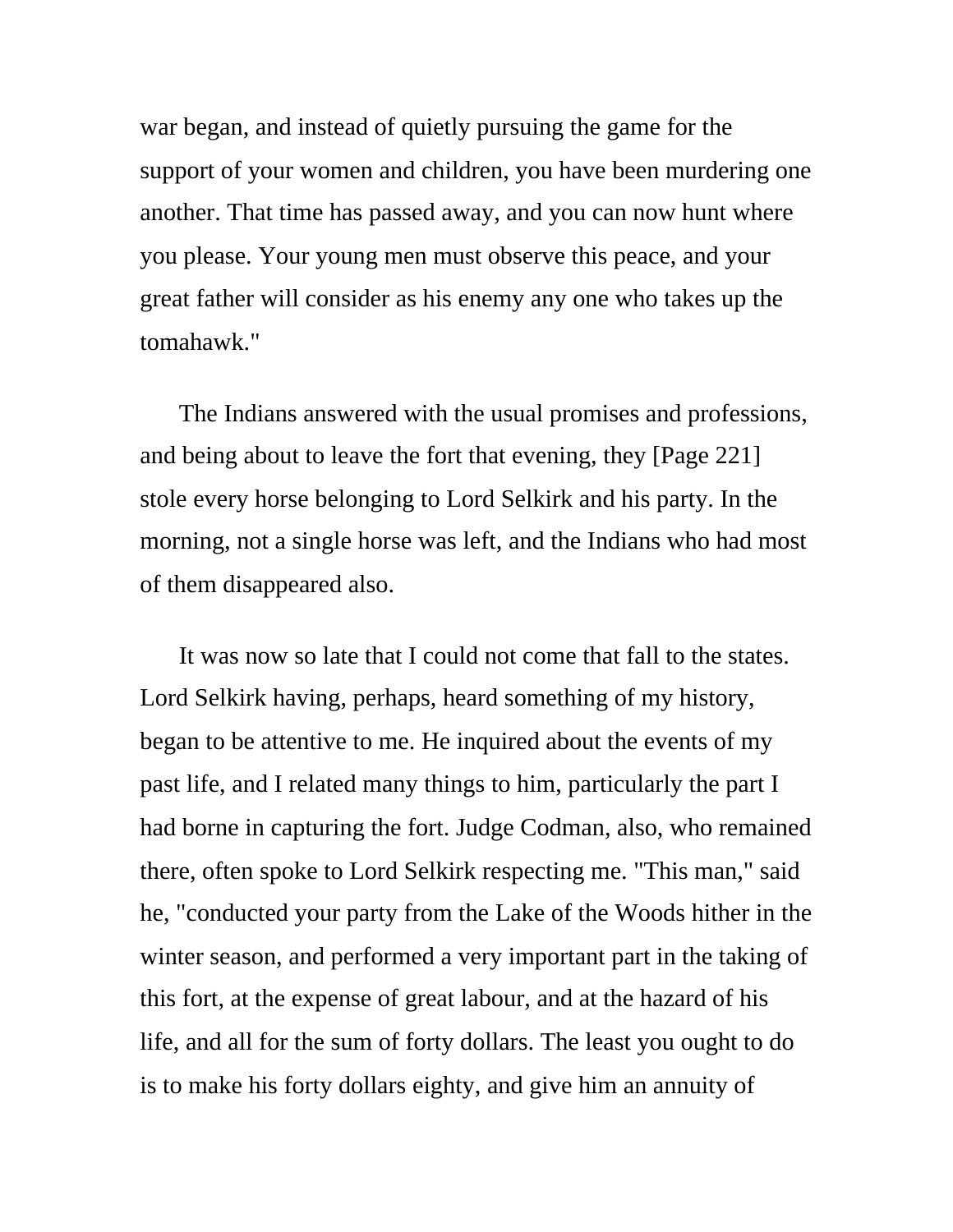war began, and instead of quietly pursuing the game for the support of your women and children, you have been murdering one another. That time has passed away, and you can now hunt where you please. Your young men must observe this peace, and your great father will consider as his enemy any one who takes up the tomahawk."

The Indians answered with the usual promises and professions, and being about to leave the fort that evening, they [Page 221] stole every horse belonging to Lord Selkirk and his party. In the morning, not a single horse was left, and the Indians who had most of them disappeared also.

It was now so late that I could not come that fall to the states. Lord Selkirk having, perhaps, heard something of my history, began to be attentive to me. He inquired about the events of my past life, and I related many things to him, particularly the part I had borne in capturing the fort. Judge Codman, also, who remained there, often spoke to Lord Selkirk respecting me. "This man," said he, "conducted your party from the Lake of the Woods hither in the winter season, and performed a very important part in the taking of this fort, at the expense of great labour, and at the hazard of his life, and all for the sum of forty dollars. The least you ought to do is to make his forty dollars eighty, and give him an annuity of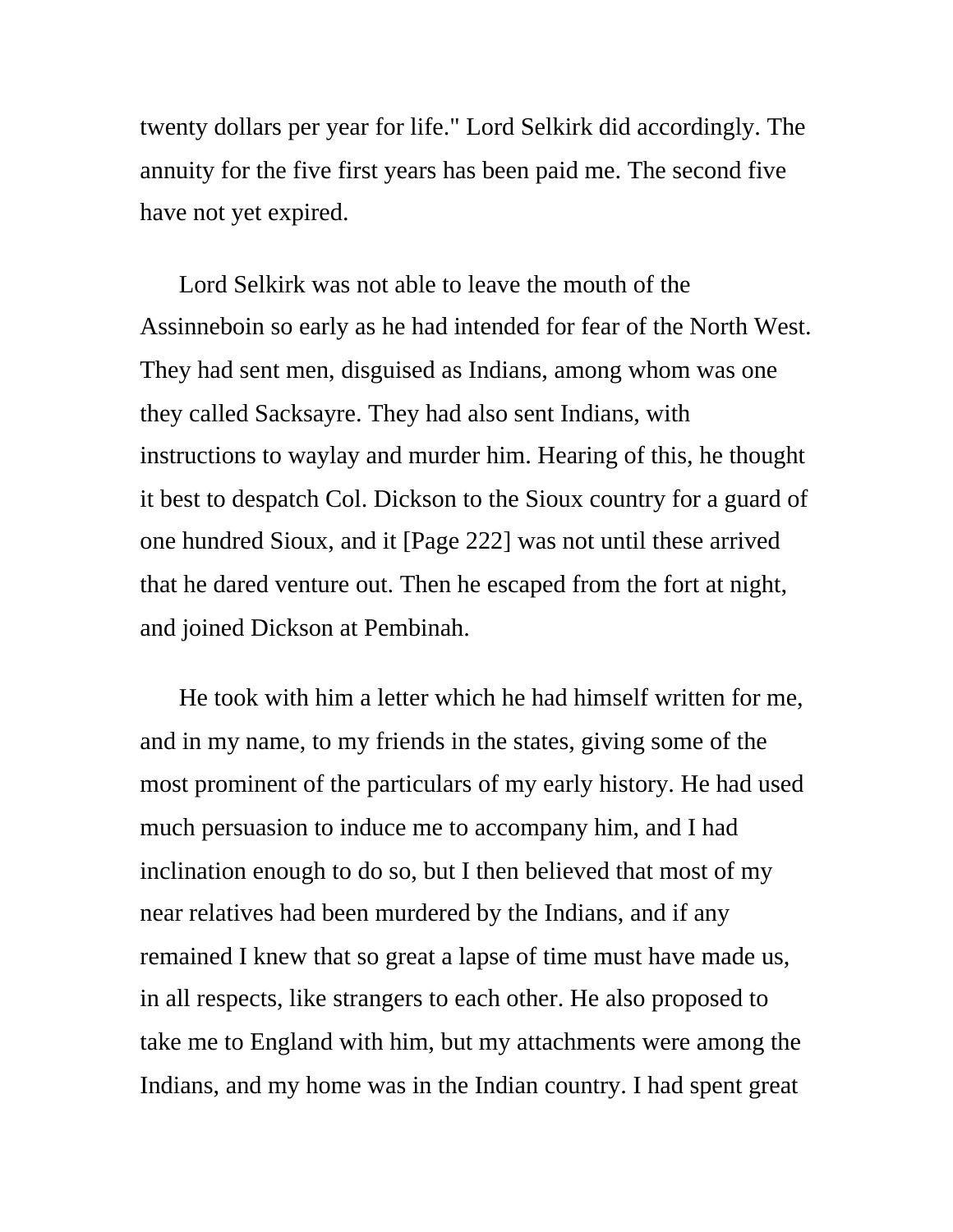twenty dollars per year for life." Lord Selkirk did accordingly. The annuity for the five first years has been paid me. The second five have not yet expired.

Lord Selkirk was not able to leave the mouth of the Assinneboin so early as he had intended for fear of the North West. They had sent men, disguised as Indians, among whom was one they called Sacksayre. They had also sent Indians, with instructions to waylay and murder him. Hearing of this, he thought it best to despatch Col. Dickson to the Sioux country for a guard of one hundred Sioux, and it [Page 222] was not until these arrived that he dared venture out. Then he escaped from the fort at night, and joined Dickson at Pembinah.

He took with him a letter which he had himself written for me, and in my name, to my friends in the states, giving some of the most prominent of the particulars of my early history. He had used much persuasion to induce me to accompany him, and I had inclination enough to do so, but I then believed that most of my near relatives had been murdered by the Indians, and if any remained I knew that so great a lapse of time must have made us, in all respects, like strangers to each other. He also proposed to take me to England with him, but my attachments were among the Indians, and my home was in the Indian country. I had spent great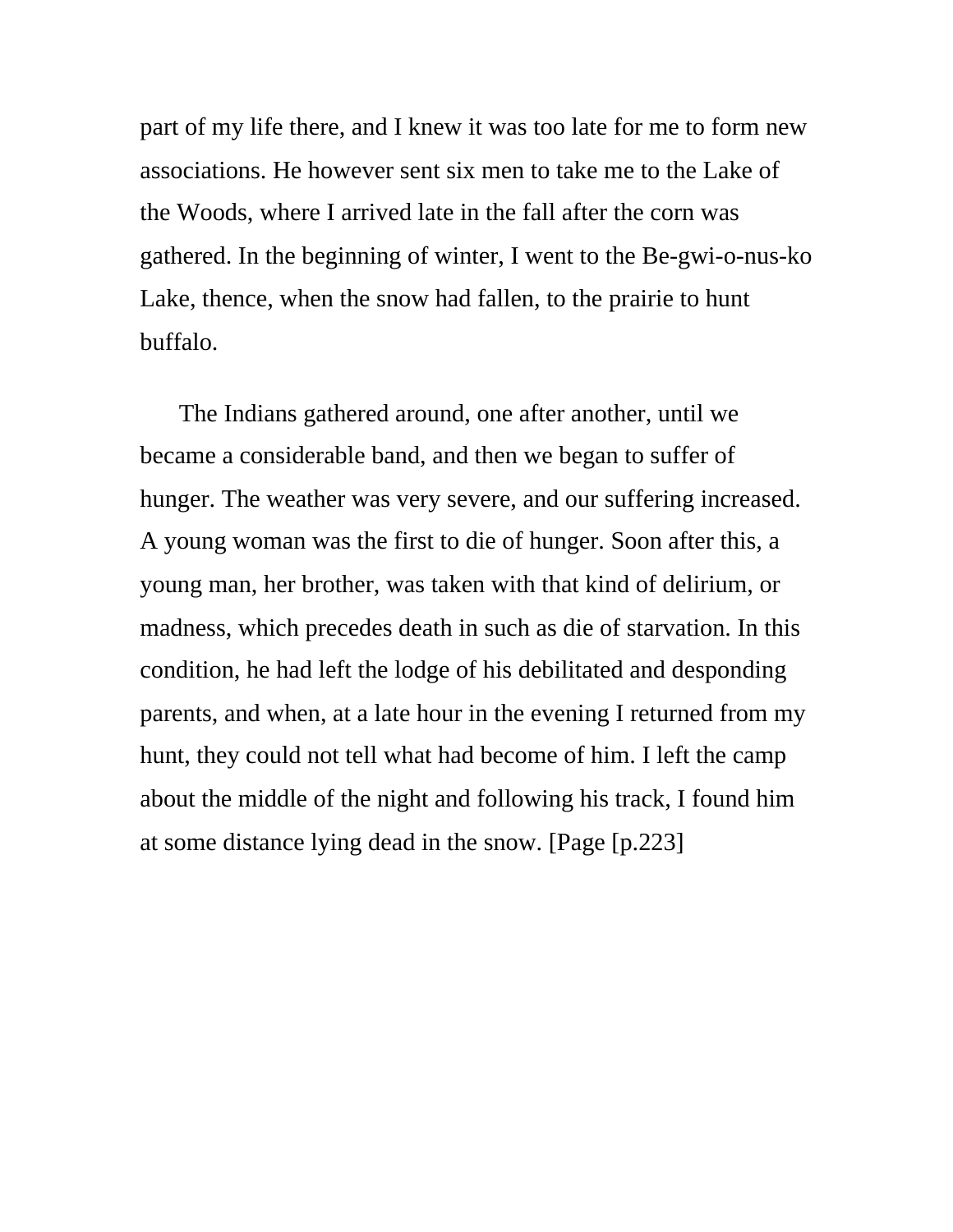part of my life there, and I knew it was too late for me to form new associations. He however sent six men to take me to the Lake of the Woods, where I arrived late in the fall after the corn was gathered. In the beginning of winter, I went to the Be-gwi-o-nus-ko Lake, thence, when the snow had fallen, to the prairie to hunt buffalo.

The Indians gathered around, one after another, until we became a considerable band, and then we began to suffer of hunger. The weather was very severe, and our suffering increased. A young woman was the first to die of hunger. Soon after this, a young man, her brother, was taken with that kind of delirium, or madness, which precedes death in such as die of starvation. In this condition, he had left the lodge of his debilitated and desponding parents, and when, at a late hour in the evening I returned from my hunt, they could not tell what had become of him. I left the camp about the middle of the night and following his track, I found him at some distance lying dead in the snow. [Page [p.223]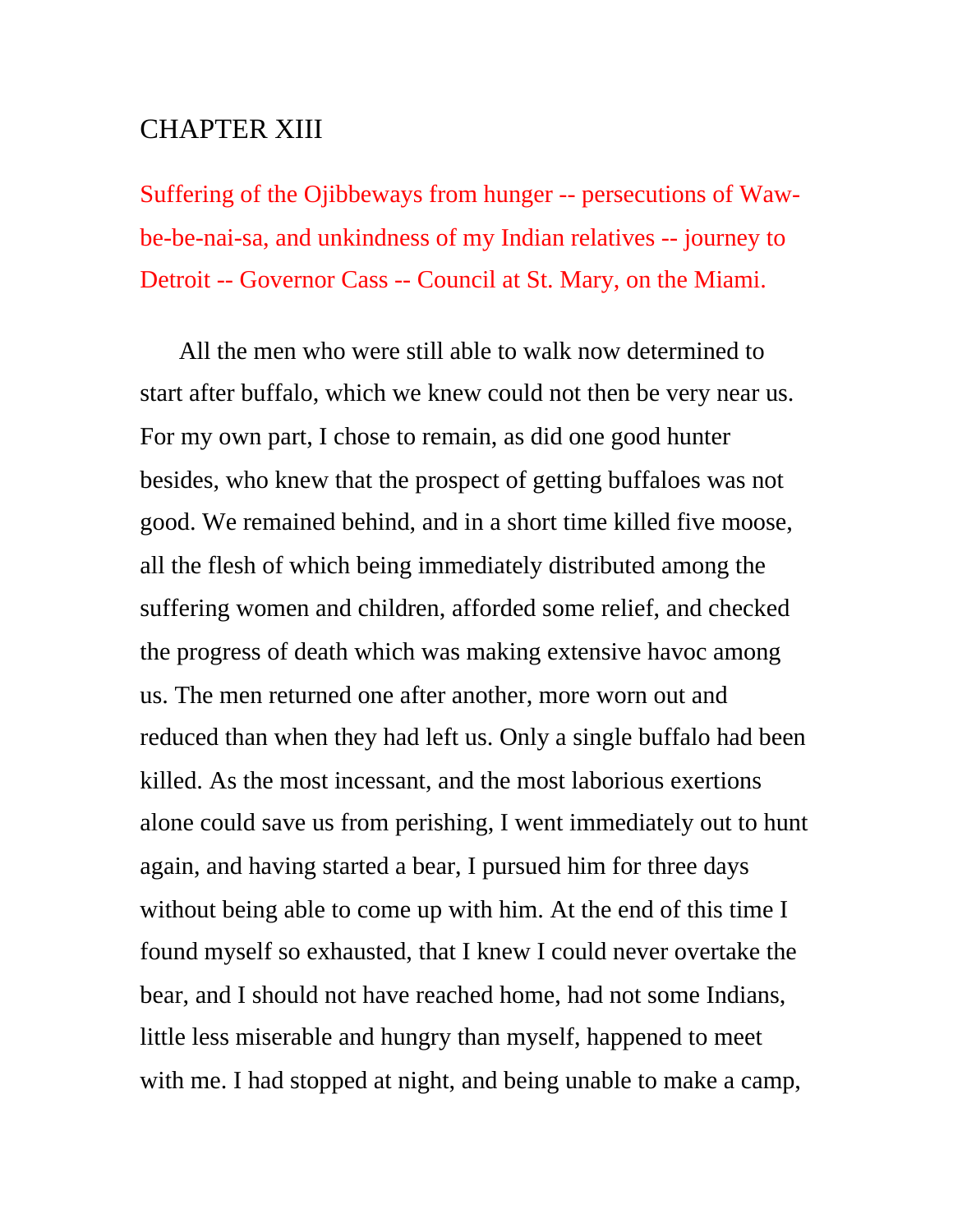## CHAPTER XIII

Suffering of the Ojibbeways from hunger -- persecutions of Wawbe-be-nai-sa, and unkindness of my Indian relatives -- journey to Detroit -- Governor Cass -- Council at St. Mary, on the Miami.

All the men who were still able to walk now determined to start after buffalo, which we knew could not then be very near us. For my own part, I chose to remain, as did one good hunter besides, who knew that the prospect of getting buffaloes was not good. We remained behind, and in a short time killed five moose, all the flesh of which being immediately distributed among the suffering women and children, afforded some relief, and checked the progress of death which was making extensive havoc among us. The men returned one after another, more worn out and reduced than when they had left us. Only a single buffalo had been killed. As the most incessant, and the most laborious exertions alone could save us from perishing, I went immediately out to hunt again, and having started a bear, I pursued him for three days without being able to come up with him. At the end of this time I found myself so exhausted, that I knew I could never overtake the bear, and I should not have reached home, had not some Indians, little less miserable and hungry than myself, happened to meet with me. I had stopped at night, and being unable to make a camp,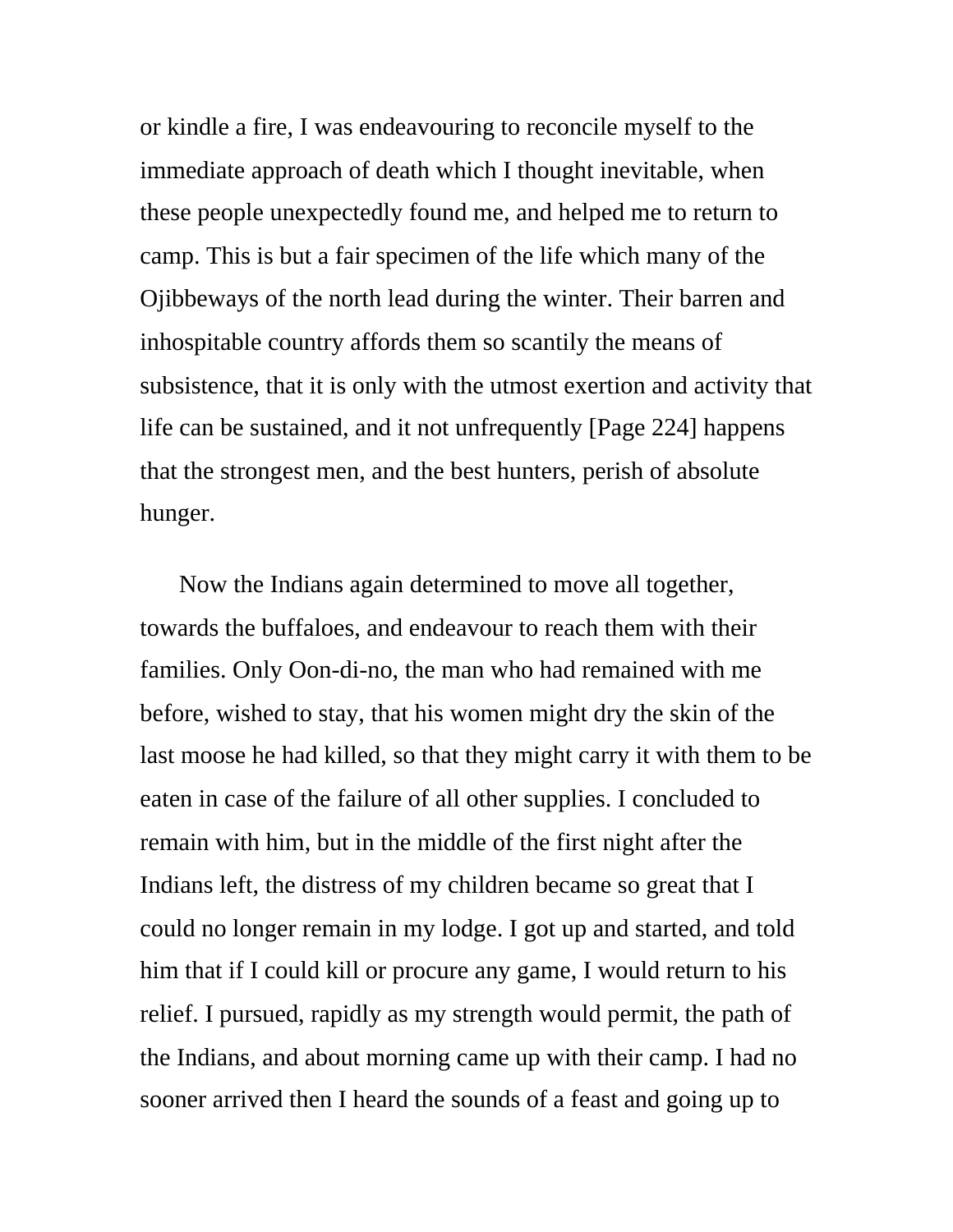or kindle a fire, I was endeavouring to reconcile myself to the immediate approach of death which I thought inevitable, when these people unexpectedly found me, and helped me to return to camp. This is but a fair specimen of the life which many of the Ojibbeways of the north lead during the winter. Their barren and inhospitable country affords them so scantily the means of subsistence, that it is only with the utmost exertion and activity that life can be sustained, and it not unfrequently [Page 224] happens that the strongest men, and the best hunters, perish of absolute hunger.

Now the Indians again determined to move all together, towards the buffaloes, and endeavour to reach them with their families. Only Oon-di-no, the man who had remained with me before, wished to stay, that his women might dry the skin of the last moose he had killed, so that they might carry it with them to be eaten in case of the failure of all other supplies. I concluded to remain with him, but in the middle of the first night after the Indians left, the distress of my children became so great that I could no longer remain in my lodge. I got up and started, and told him that if I could kill or procure any game, I would return to his relief. I pursued, rapidly as my strength would permit, the path of the Indians, and about morning came up with their camp. I had no sooner arrived then I heard the sounds of a feast and going up to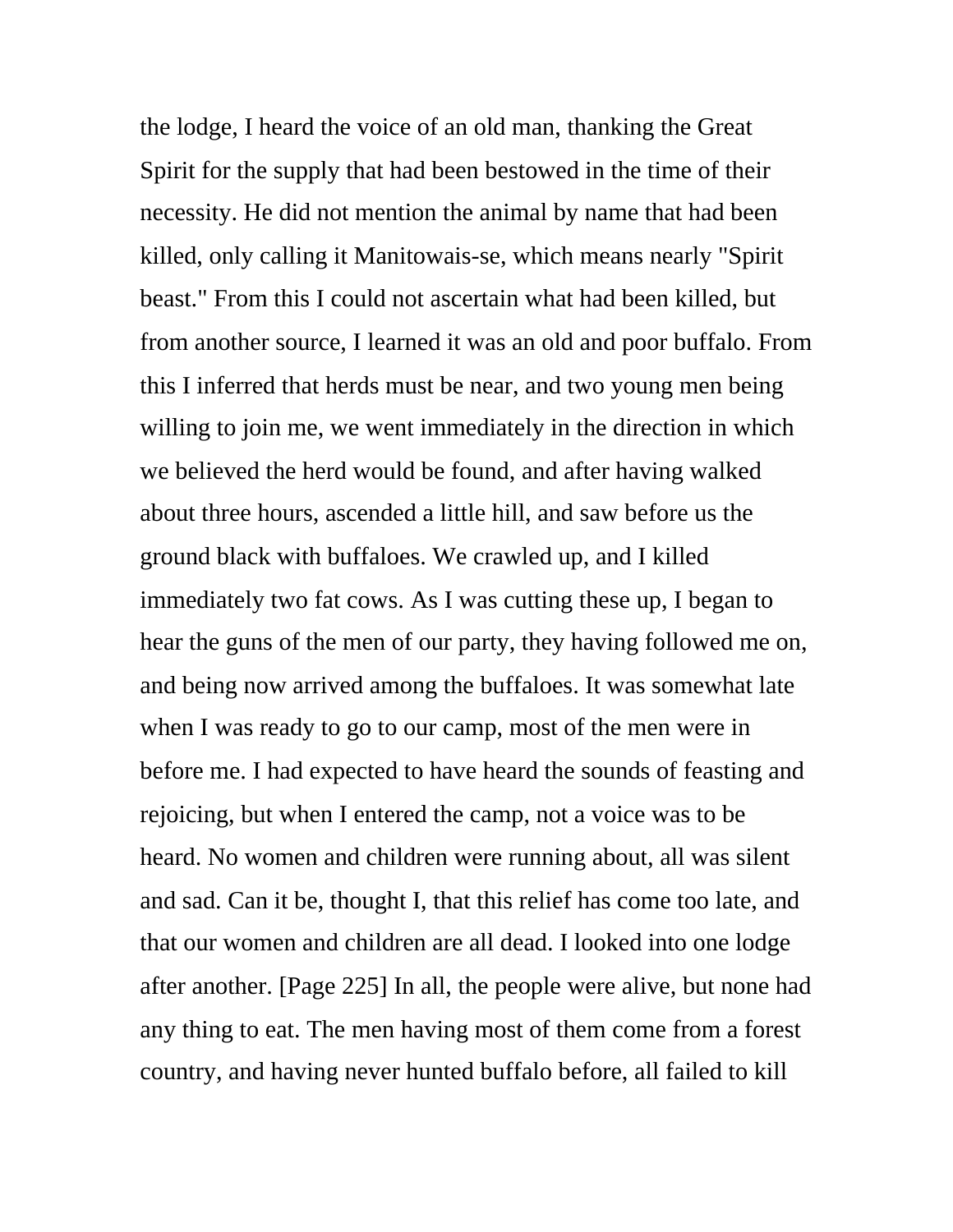the lodge, I heard the voice of an old man, thanking the Great Spirit for the supply that had been bestowed in the time of their necessity. He did not mention the animal by name that had been killed, only calling it Manitowais-se, which means nearly "Spirit beast." From this I could not ascertain what had been killed, but from another source, I learned it was an old and poor buffalo. From this I inferred that herds must be near, and two young men being willing to join me, we went immediately in the direction in which we believed the herd would be found, and after having walked about three hours, ascended a little hill, and saw before us the ground black with buffaloes. We crawled up, and I killed immediately two fat cows. As I was cutting these up, I began to hear the guns of the men of our party, they having followed me on, and being now arrived among the buffaloes. It was somewhat late when I was ready to go to our camp, most of the men were in before me. I had expected to have heard the sounds of feasting and rejoicing, but when I entered the camp, not a voice was to be heard. No women and children were running about, all was silent and sad. Can it be, thought I, that this relief has come too late, and that our women and children are all dead. I looked into one lodge after another. [Page 225] In all, the people were alive, but none had any thing to eat. The men having most of them come from a forest country, and having never hunted buffalo before, all failed to kill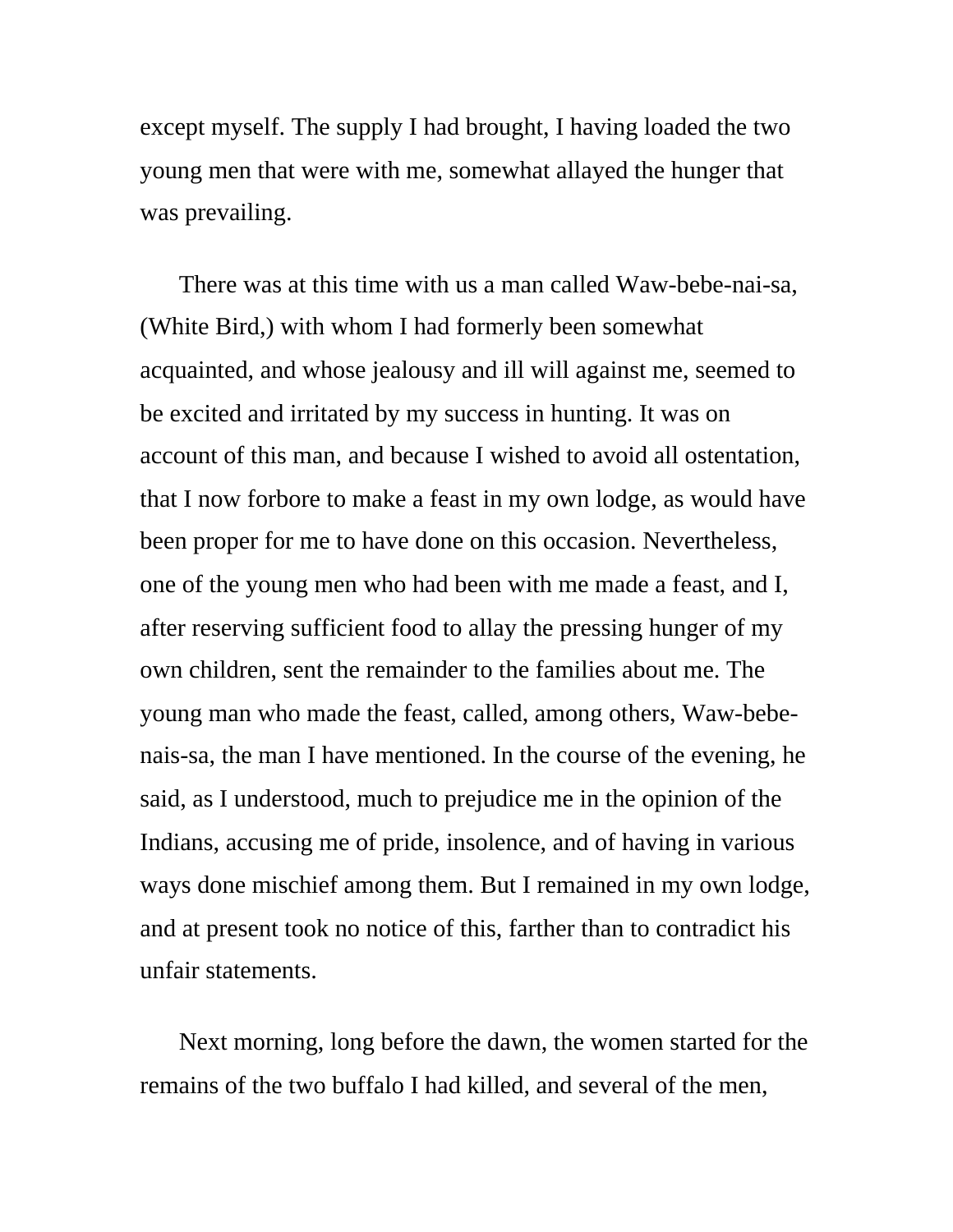except myself. The supply I had brought, I having loaded the two young men that were with me, somewhat allayed the hunger that was prevailing.

There was at this time with us a man called Waw-bebe-nai-sa, (White Bird,) with whom I had formerly been somewhat acquainted, and whose jealousy and ill will against me, seemed to be excited and irritated by my success in hunting. It was on account of this man, and because I wished to avoid all ostentation, that I now forbore to make a feast in my own lodge, as would have been proper for me to have done on this occasion. Nevertheless, one of the young men who had been with me made a feast, and I, after reserving sufficient food to allay the pressing hunger of my own children, sent the remainder to the families about me. The young man who made the feast, called, among others, Waw-bebenais-sa, the man I have mentioned. In the course of the evening, he said, as I understood, much to prejudice me in the opinion of the Indians, accusing me of pride, insolence, and of having in various ways done mischief among them. But I remained in my own lodge, and at present took no notice of this, farther than to contradict his unfair statements.

Next morning, long before the dawn, the women started for the remains of the two buffalo I had killed, and several of the men,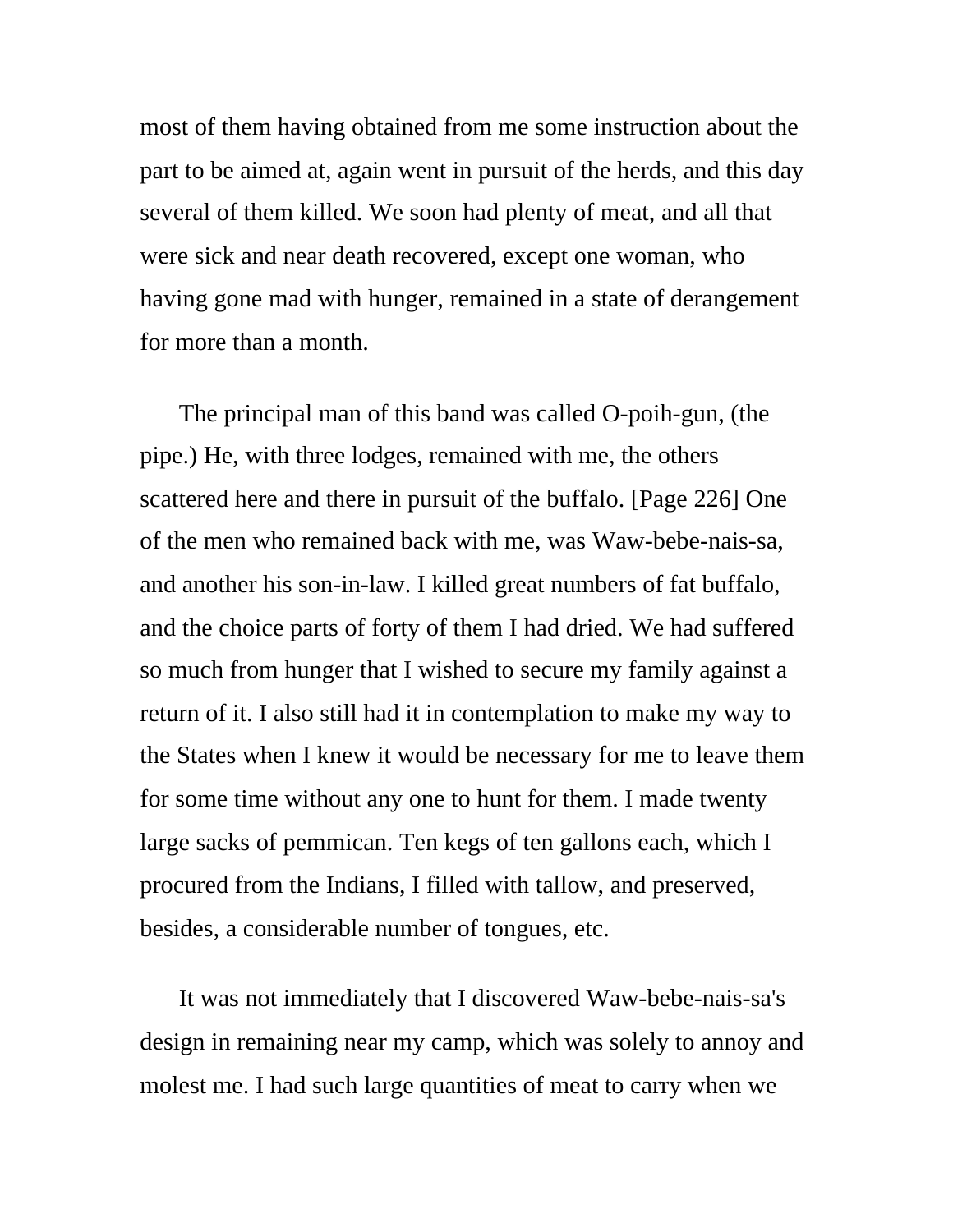most of them having obtained from me some instruction about the part to be aimed at, again went in pursuit of the herds, and this day several of them killed. We soon had plenty of meat, and all that were sick and near death recovered, except one woman, who having gone mad with hunger, remained in a state of derangement for more than a month.

The principal man of this band was called O-poih-gun, (the pipe.) He, with three lodges, remained with me, the others scattered here and there in pursuit of the buffalo. [Page 226] One of the men who remained back with me, was Waw-bebe-nais-sa, and another his son-in-law. I killed great numbers of fat buffalo, and the choice parts of forty of them I had dried. We had suffered so much from hunger that I wished to secure my family against a return of it. I also still had it in contemplation to make my way to the States when I knew it would be necessary for me to leave them for some time without any one to hunt for them. I made twenty large sacks of pemmican. Ten kegs of ten gallons each, which I procured from the Indians, I filled with tallow, and preserved, besides, a considerable number of tongues, etc.

It was not immediately that I discovered Waw-bebe-nais-sa's design in remaining near my camp, which was solely to annoy and molest me. I had such large quantities of meat to carry when we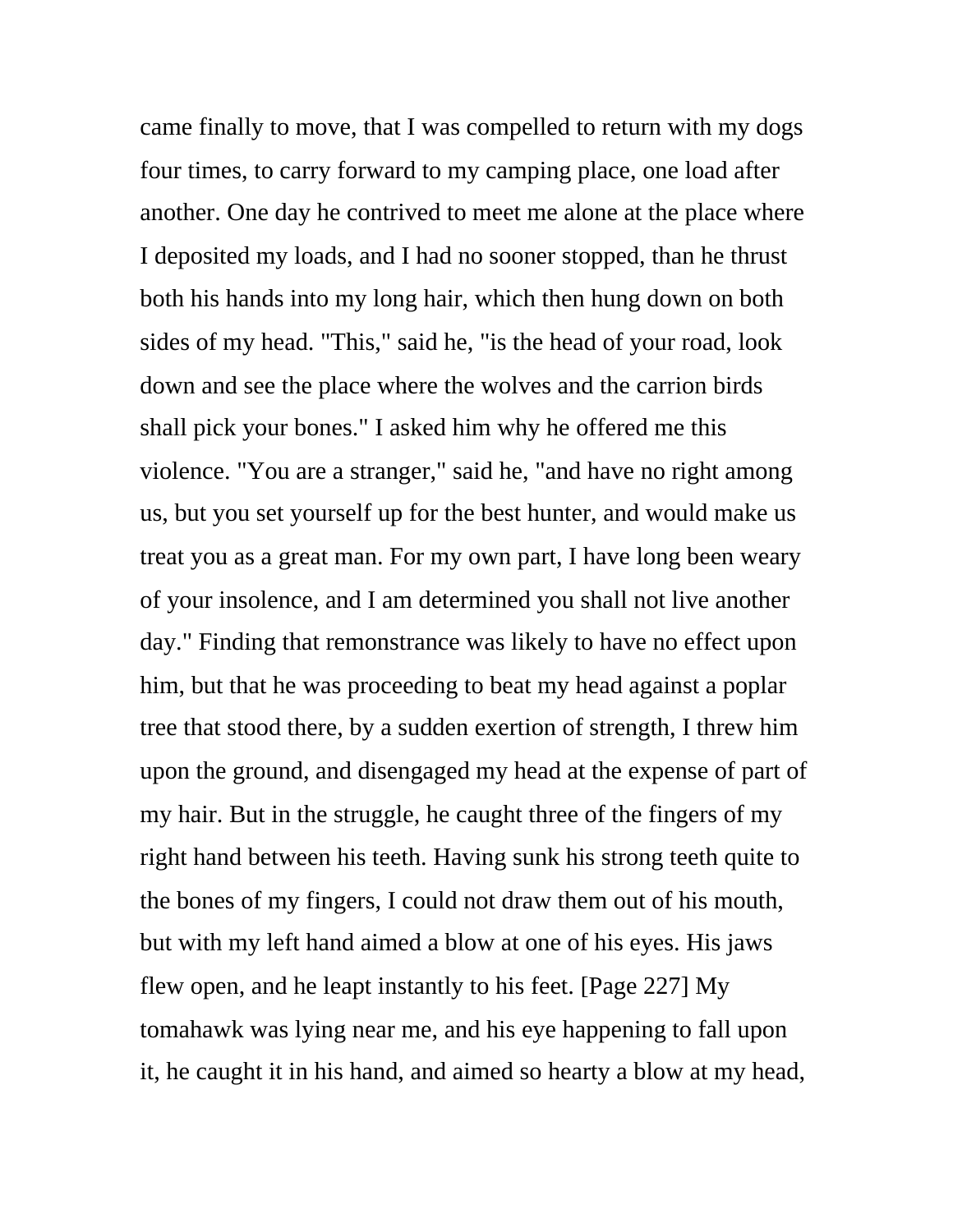came finally to move, that I was compelled to return with my dogs four times, to carry forward to my camping place, one load after another. One day he contrived to meet me alone at the place where I deposited my loads, and I had no sooner stopped, than he thrust both his hands into my long hair, which then hung down on both sides of my head. "This," said he, "is the head of your road, look down and see the place where the wolves and the carrion birds shall pick your bones." I asked him why he offered me this violence. "You are a stranger," said he, "and have no right among us, but you set yourself up for the best hunter, and would make us treat you as a great man. For my own part, I have long been weary of your insolence, and I am determined you shall not live another day." Finding that remonstrance was likely to have no effect upon him, but that he was proceeding to beat my head against a poplar tree that stood there, by a sudden exertion of strength, I threw him upon the ground, and disengaged my head at the expense of part of my hair. But in the struggle, he caught three of the fingers of my right hand between his teeth. Having sunk his strong teeth quite to the bones of my fingers, I could not draw them out of his mouth, but with my left hand aimed a blow at one of his eyes. His jaws flew open, and he leapt instantly to his feet. [Page 227] My tomahawk was lying near me, and his eye happening to fall upon it, he caught it in his hand, and aimed so hearty a blow at my head,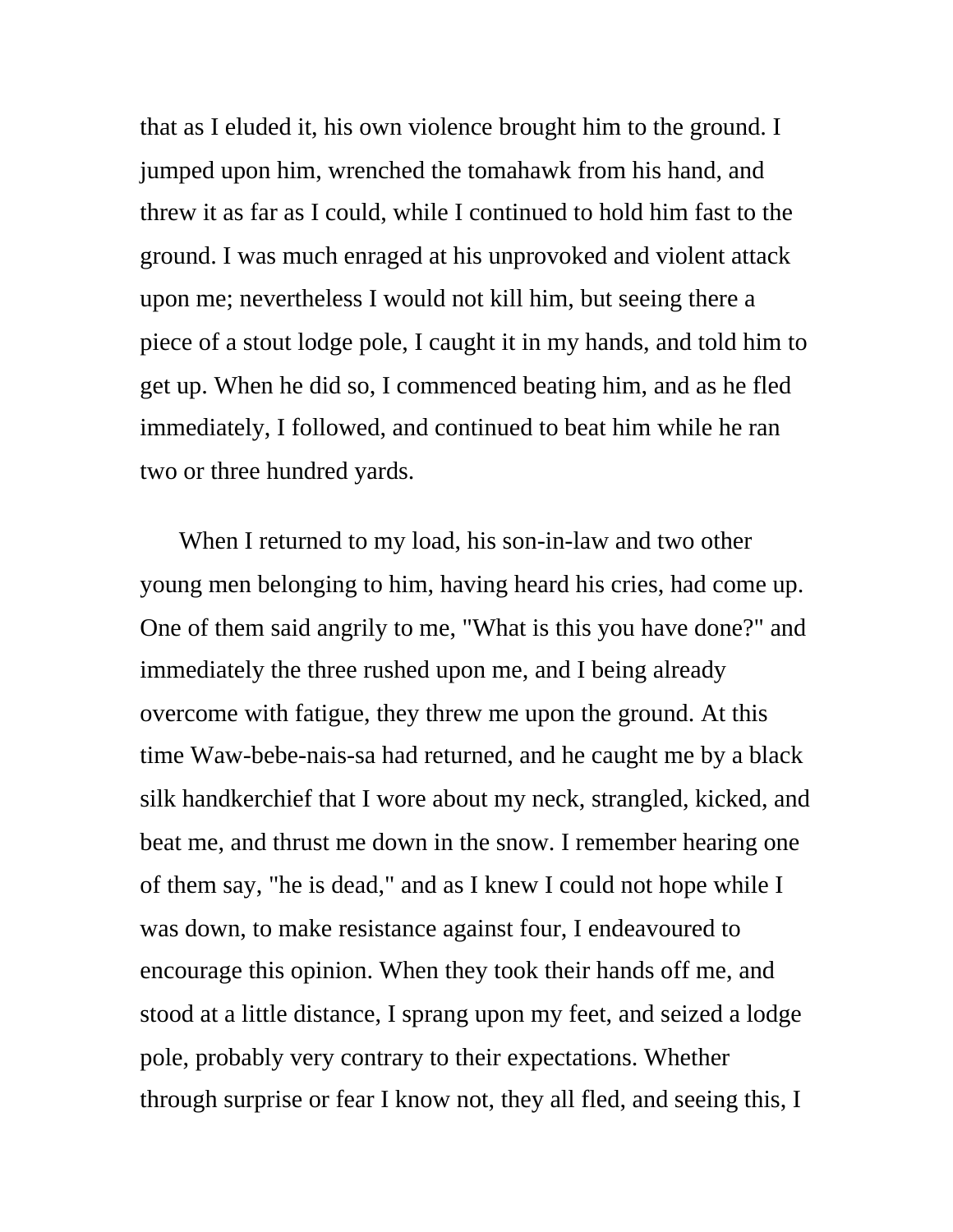that as I eluded it, his own violence brought him to the ground. I jumped upon him, wrenched the tomahawk from his hand, and threw it as far as I could, while I continued to hold him fast to the ground. I was much enraged at his unprovoked and violent attack upon me; nevertheless I would not kill him, but seeing there a piece of a stout lodge pole, I caught it in my hands, and told him to get up. When he did so, I commenced beating him, and as he fled immediately, I followed, and continued to beat him while he ran two or three hundred yards.

When I returned to my load, his son-in-law and two other young men belonging to him, having heard his cries, had come up. One of them said angrily to me, "What is this you have done?" and immediately the three rushed upon me, and I being already overcome with fatigue, they threw me upon the ground. At this time Waw-bebe-nais-sa had returned, and he caught me by a black silk handkerchief that I wore about my neck, strangled, kicked, and beat me, and thrust me down in the snow. I remember hearing one of them say, "he is dead," and as I knew I could not hope while I was down, to make resistance against four, I endeavoured to encourage this opinion. When they took their hands off me, and stood at a little distance, I sprang upon my feet, and seized a lodge pole, probably very contrary to their expectations. Whether through surprise or fear I know not, they all fled, and seeing this, I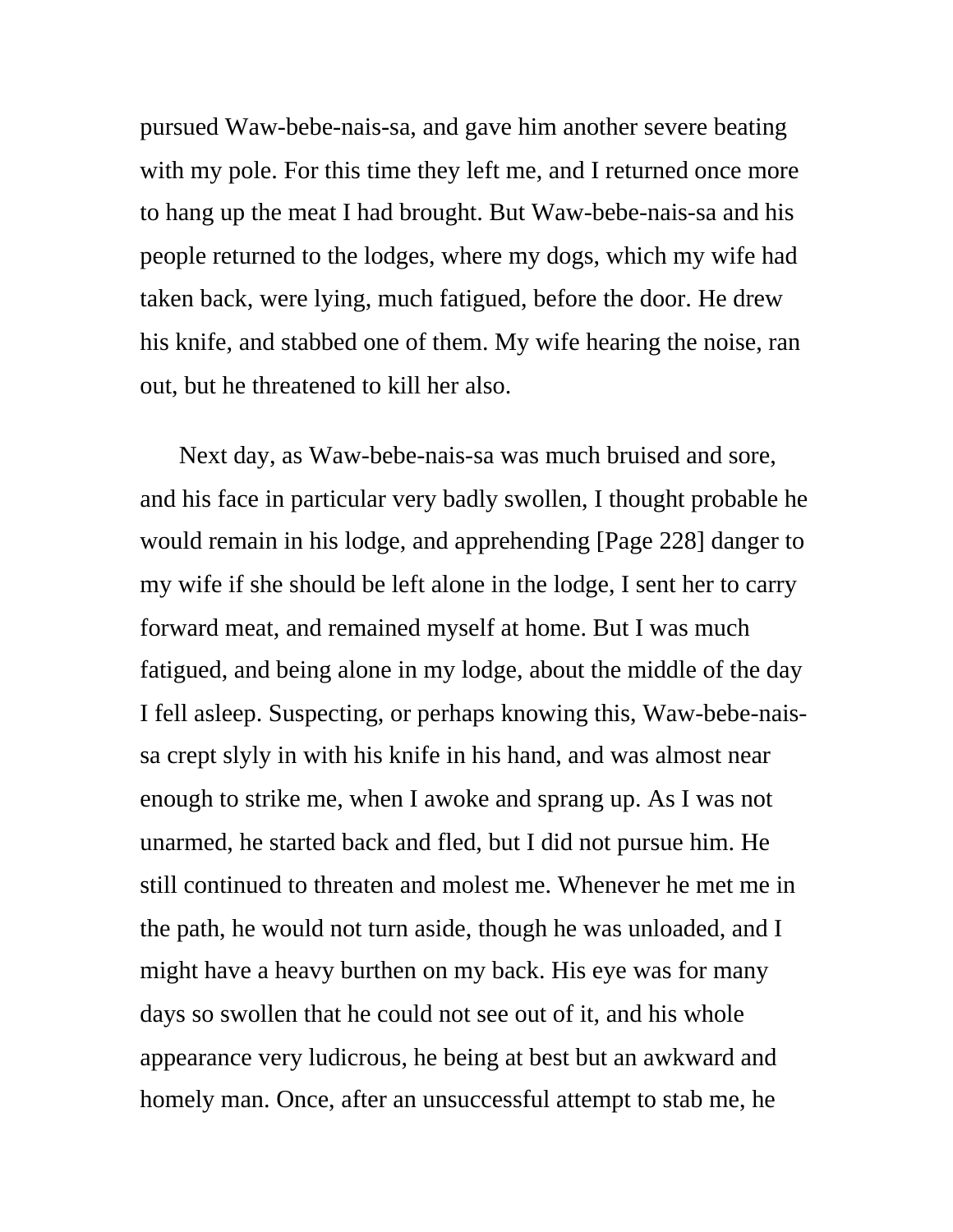pursued Waw-bebe-nais-sa, and gave him another severe beating with my pole. For this time they left me, and I returned once more to hang up the meat I had brought. But Waw-bebe-nais-sa and his people returned to the lodges, where my dogs, which my wife had taken back, were lying, much fatigued, before the door. He drew his knife, and stabbed one of them. My wife hearing the noise, ran out, but he threatened to kill her also.

Next day, as Waw-bebe-nais-sa was much bruised and sore, and his face in particular very badly swollen, I thought probable he would remain in his lodge, and apprehending [Page 228] danger to my wife if she should be left alone in the lodge, I sent her to carry forward meat, and remained myself at home. But I was much fatigued, and being alone in my lodge, about the middle of the day I fell asleep. Suspecting, or perhaps knowing this, Waw-bebe-naissa crept slyly in with his knife in his hand, and was almost near enough to strike me, when I awoke and sprang up. As I was not unarmed, he started back and fled, but I did not pursue him. He still continued to threaten and molest me. Whenever he met me in the path, he would not turn aside, though he was unloaded, and I might have a heavy burthen on my back. His eye was for many days so swollen that he could not see out of it, and his whole appearance very ludicrous, he being at best but an awkward and homely man. Once, after an unsuccessful attempt to stab me, he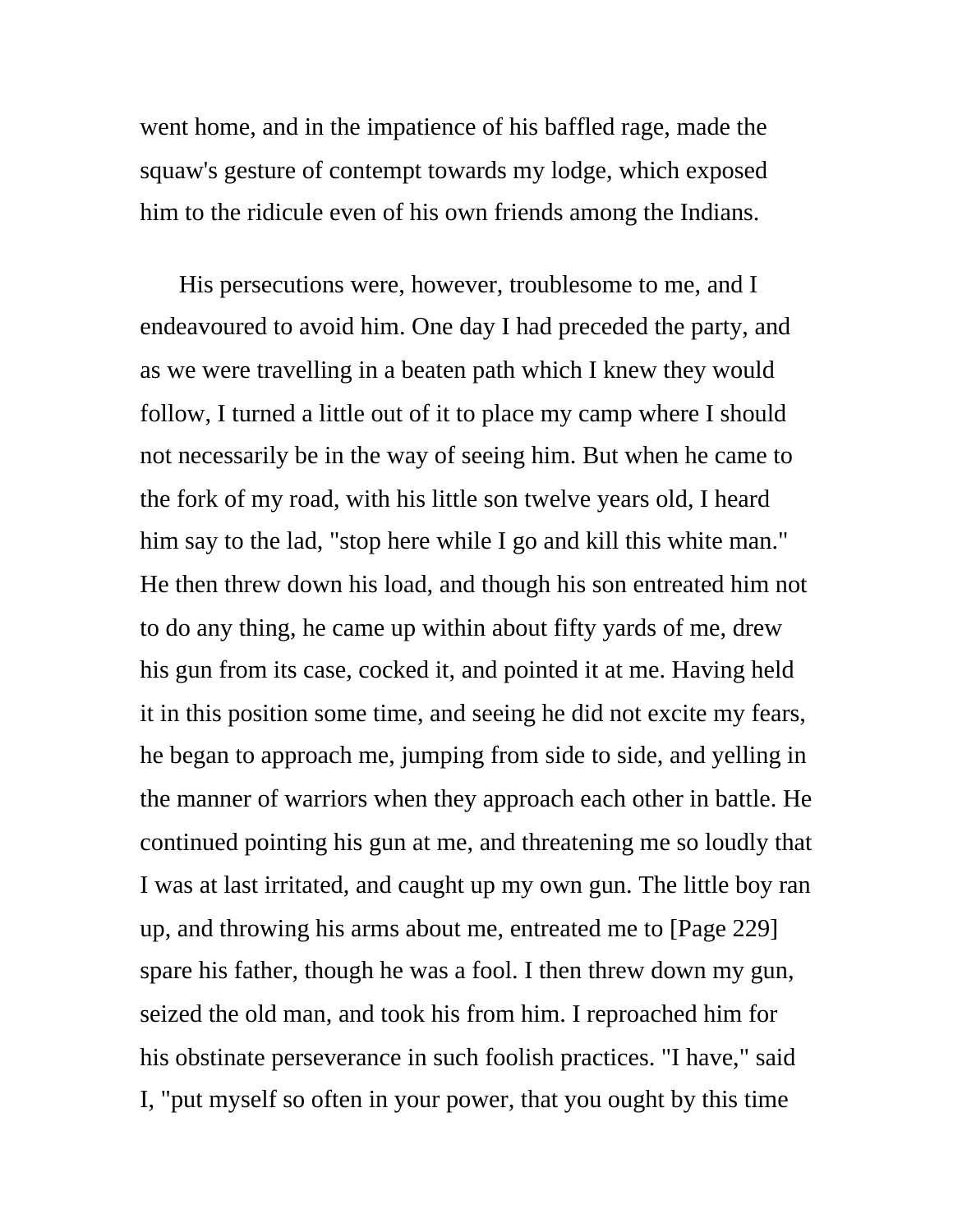went home, and in the impatience of his baffled rage, made the squaw's gesture of contempt towards my lodge, which exposed him to the ridicule even of his own friends among the Indians.

His persecutions were, however, troublesome to me, and I endeavoured to avoid him. One day I had preceded the party, and as we were travelling in a beaten path which I knew they would follow, I turned a little out of it to place my camp where I should not necessarily be in the way of seeing him. But when he came to the fork of my road, with his little son twelve years old, I heard him say to the lad, "stop here while I go and kill this white man." He then threw down his load, and though his son entreated him not to do any thing, he came up within about fifty yards of me, drew his gun from its case, cocked it, and pointed it at me. Having held it in this position some time, and seeing he did not excite my fears, he began to approach me, jumping from side to side, and yelling in the manner of warriors when they approach each other in battle. He continued pointing his gun at me, and threatening me so loudly that I was at last irritated, and caught up my own gun. The little boy ran up, and throwing his arms about me, entreated me to [Page 229] spare his father, though he was a fool. I then threw down my gun, seized the old man, and took his from him. I reproached him for his obstinate perseverance in such foolish practices. "I have," said I, "put myself so often in your power, that you ought by this time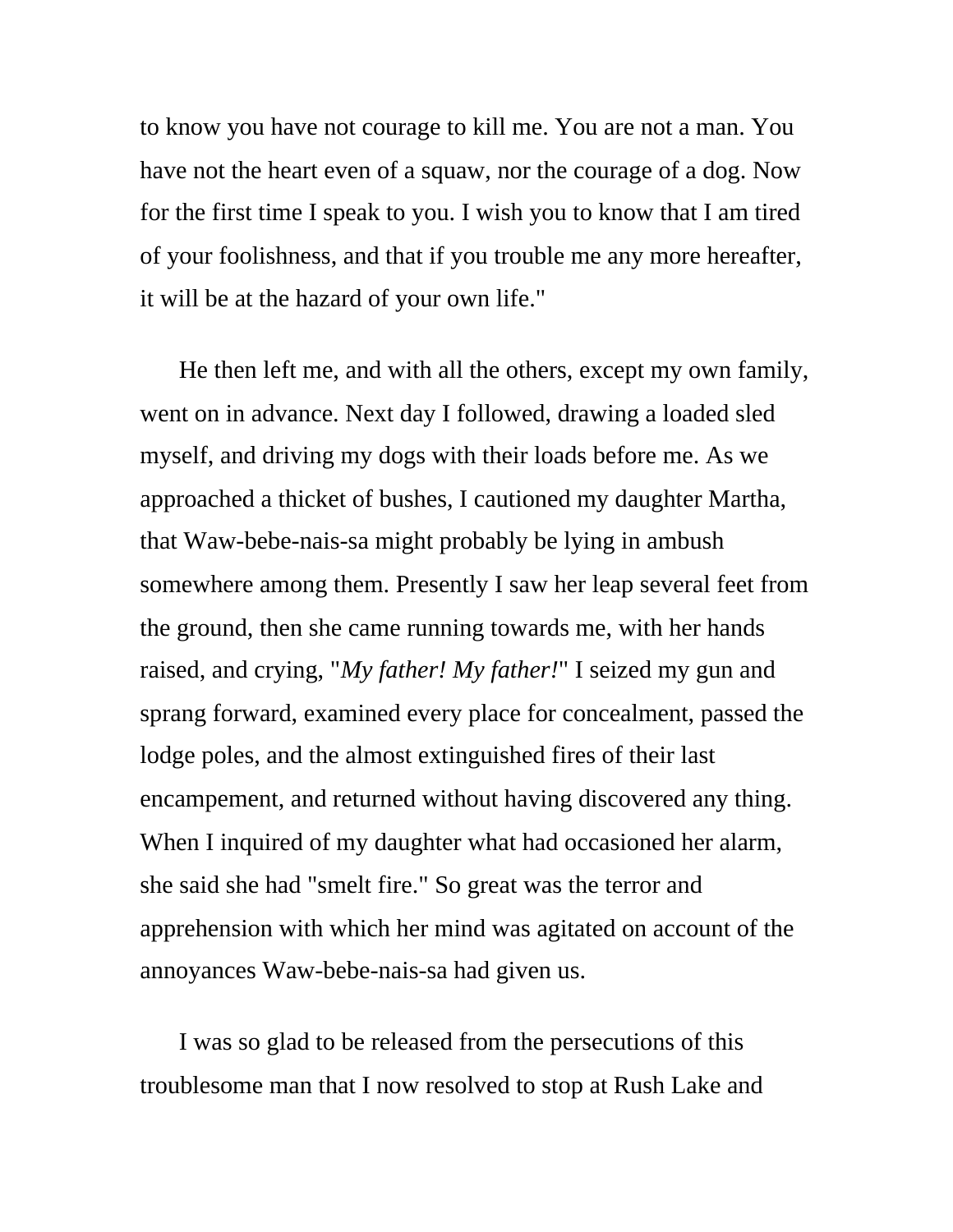to know you have not courage to kill me. You are not a man. You have not the heart even of a squaw, nor the courage of a dog. Now for the first time I speak to you. I wish you to know that I am tired of your foolishness, and that if you trouble me any more hereafter, it will be at the hazard of your own life."

He then left me, and with all the others, except my own family, went on in advance. Next day I followed, drawing a loaded sled myself, and driving my dogs with their loads before me. As we approached a thicket of bushes, I cautioned my daughter Martha, that Waw-bebe-nais-sa might probably be lying in ambush somewhere among them. Presently I saw her leap several feet from the ground, then she came running towards me, with her hands raised, and crying, "*My father! My father!*" I seized my gun and sprang forward, examined every place for concealment, passed the lodge poles, and the almost extinguished fires of their last encampement, and returned without having discovered any thing. When I inquired of my daughter what had occasioned her alarm, she said she had "smelt fire." So great was the terror and apprehension with which her mind was agitated on account of the annoyances Waw-bebe-nais-sa had given us.

I was so glad to be released from the persecutions of this troublesome man that I now resolved to stop at Rush Lake and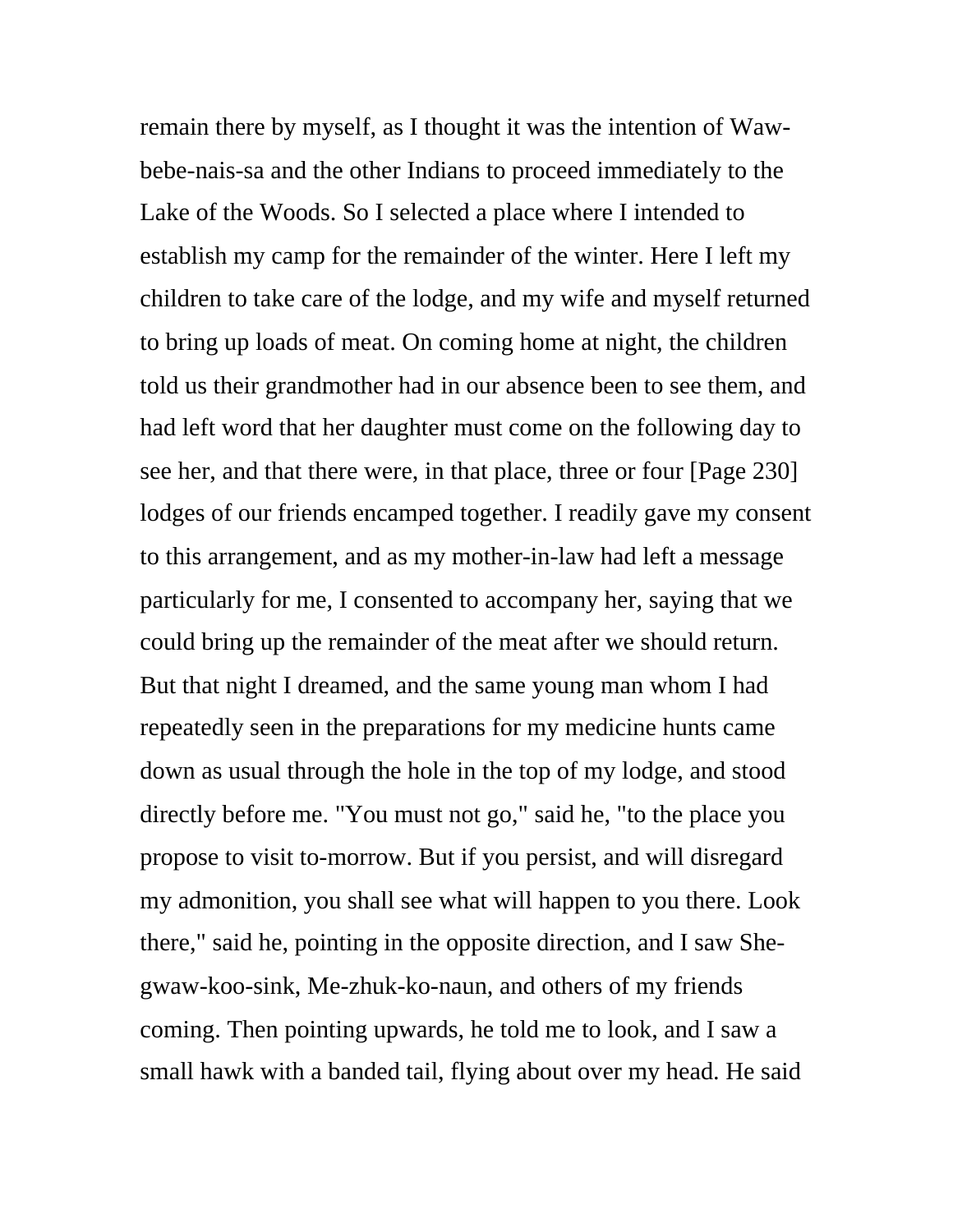remain there by myself, as I thought it was the intention of Wawbebe-nais-sa and the other Indians to proceed immediately to the Lake of the Woods. So I selected a place where I intended to establish my camp for the remainder of the winter. Here I left my children to take care of the lodge, and my wife and myself returned to bring up loads of meat. On coming home at night, the children told us their grandmother had in our absence been to see them, and had left word that her daughter must come on the following day to see her, and that there were, in that place, three or four [Page 230] lodges of our friends encamped together. I readily gave my consent to this arrangement, and as my mother-in-law had left a message particularly for me, I consented to accompany her, saying that we could bring up the remainder of the meat after we should return. But that night I dreamed, and the same young man whom I had repeatedly seen in the preparations for my medicine hunts came down as usual through the hole in the top of my lodge, and stood directly before me. "You must not go," said he, "to the place you propose to visit to-morrow. But if you persist, and will disregard my admonition, you shall see what will happen to you there. Look there," said he, pointing in the opposite direction, and I saw Shegwaw-koo-sink, Me-zhuk-ko-naun, and others of my friends coming. Then pointing upwards, he told me to look, and I saw a small hawk with a banded tail, flying about over my head. He said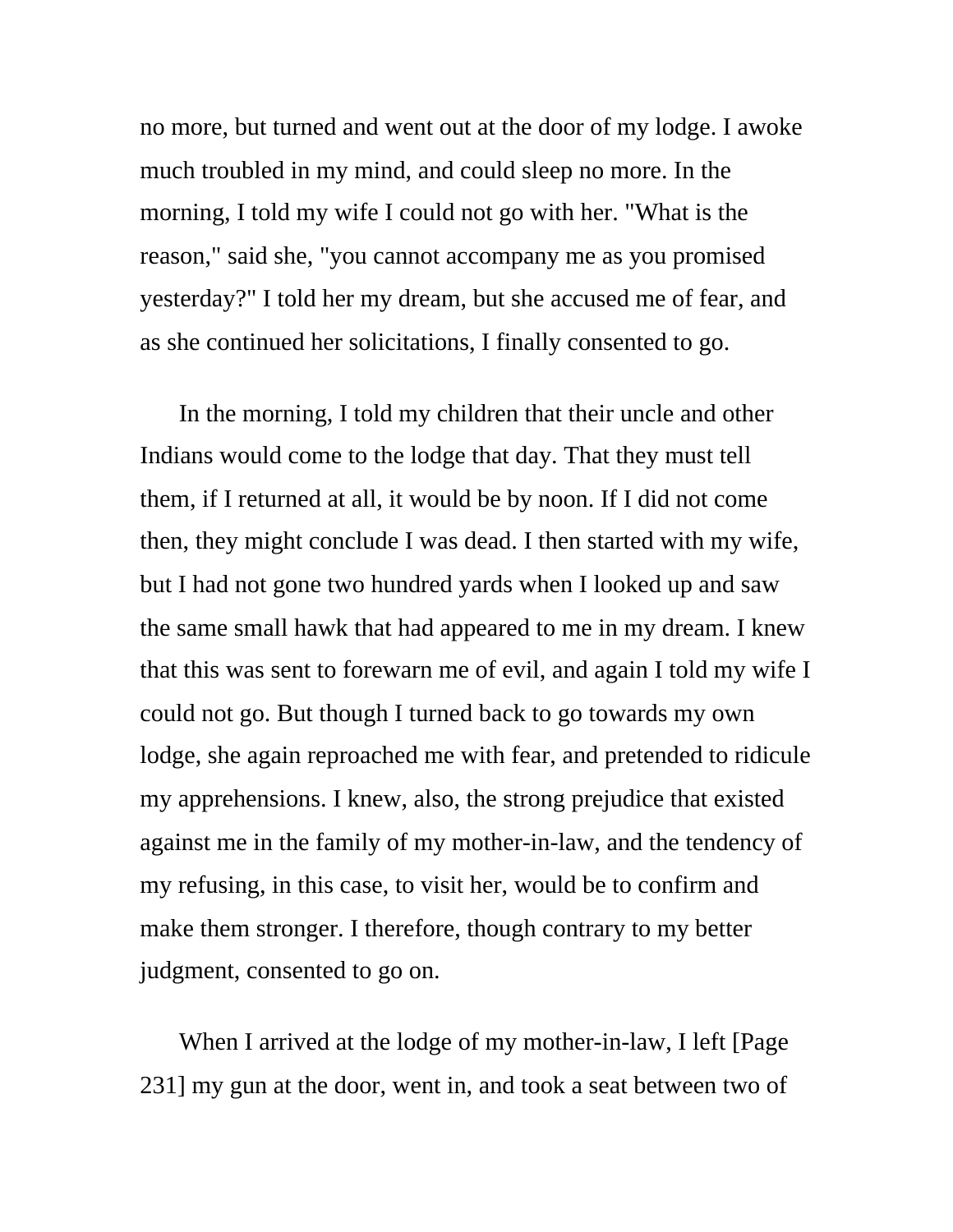no more, but turned and went out at the door of my lodge. I awoke much troubled in my mind, and could sleep no more. In the morning, I told my wife I could not go with her. "What is the reason," said she, "you cannot accompany me as you promised yesterday?" I told her my dream, but she accused me of fear, and as she continued her solicitations, I finally consented to go.

In the morning, I told my children that their uncle and other Indians would come to the lodge that day. That they must tell them, if I returned at all, it would be by noon. If I did not come then, they might conclude I was dead. I then started with my wife, but I had not gone two hundred yards when I looked up and saw the same small hawk that had appeared to me in my dream. I knew that this was sent to forewarn me of evil, and again I told my wife I could not go. But though I turned back to go towards my own lodge, she again reproached me with fear, and pretended to ridicule my apprehensions. I knew, also, the strong prejudice that existed against me in the family of my mother-in-law, and the tendency of my refusing, in this case, to visit her, would be to confirm and make them stronger. I therefore, though contrary to my better judgment, consented to go on.

When I arrived at the lodge of my mother-in-law, I left [Page 231] my gun at the door, went in, and took a seat between two of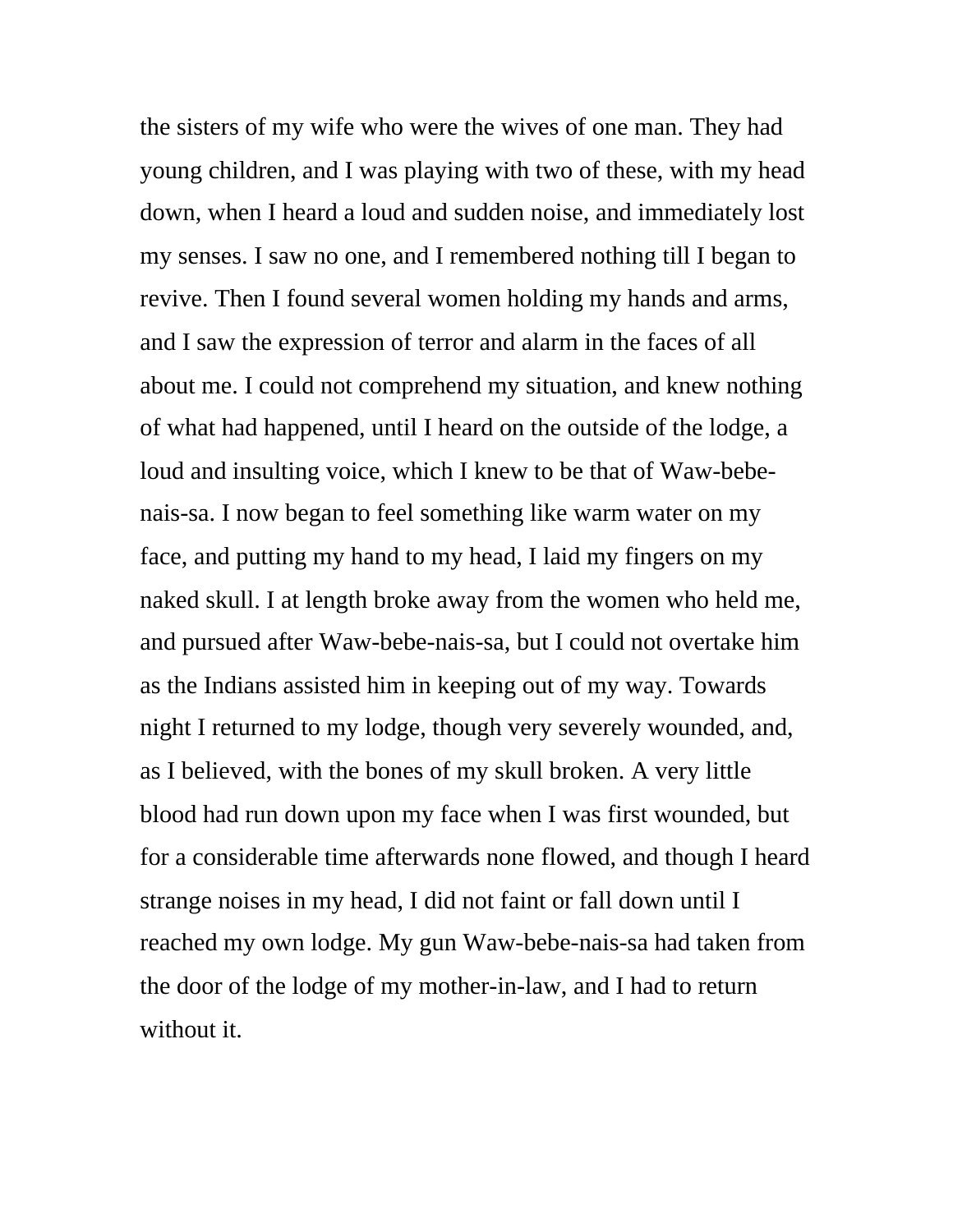the sisters of my wife who were the wives of one man. They had young children, and I was playing with two of these, with my head down, when I heard a loud and sudden noise, and immediately lost my senses. I saw no one, and I remembered nothing till I began to revive. Then I found several women holding my hands and arms, and I saw the expression of terror and alarm in the faces of all about me. I could not comprehend my situation, and knew nothing of what had happened, until I heard on the outside of the lodge, a loud and insulting voice, which I knew to be that of Waw-bebenais-sa. I now began to feel something like warm water on my face, and putting my hand to my head, I laid my fingers on my naked skull. I at length broke away from the women who held me, and pursued after Waw-bebe-nais-sa, but I could not overtake him as the Indians assisted him in keeping out of my way. Towards night I returned to my lodge, though very severely wounded, and, as I believed, with the bones of my skull broken. A very little blood had run down upon my face when I was first wounded, but for a considerable time afterwards none flowed, and though I heard strange noises in my head, I did not faint or fall down until I reached my own lodge. My gun Waw-bebe-nais-sa had taken from the door of the lodge of my mother-in-law, and I had to return without it.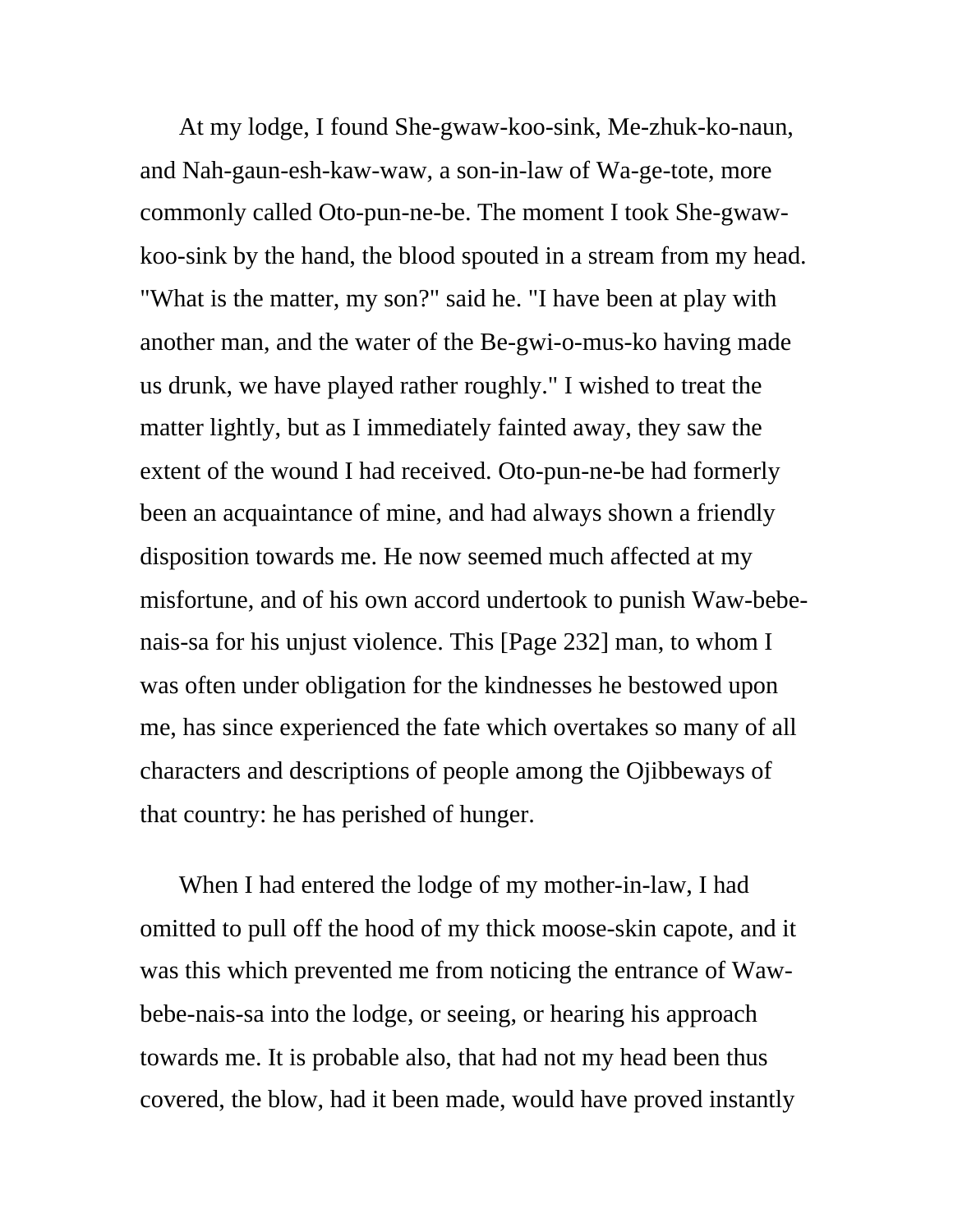At my lodge, I found She-gwaw-koo-sink, Me-zhuk-ko-naun, and Nah-gaun-esh-kaw-waw, a son-in-law of Wa-ge-tote, more commonly called Oto-pun-ne-be. The moment I took She-gwawkoo-sink by the hand, the blood spouted in a stream from my head. "What is the matter, my son?" said he. "I have been at play with another man, and the water of the Be-gwi-o-mus-ko having made us drunk, we have played rather roughly." I wished to treat the matter lightly, but as I immediately fainted away, they saw the extent of the wound I had received. Oto-pun-ne-be had formerly been an acquaintance of mine, and had always shown a friendly disposition towards me. He now seemed much affected at my misfortune, and of his own accord undertook to punish Waw-bebenais-sa for his unjust violence. This [Page 232] man, to whom I was often under obligation for the kindnesses he bestowed upon me, has since experienced the fate which overtakes so many of all characters and descriptions of people among the Ojibbeways of that country: he has perished of hunger.

When I had entered the lodge of my mother-in-law, I had omitted to pull off the hood of my thick moose-skin capote, and it was this which prevented me from noticing the entrance of Wawbebe-nais-sa into the lodge, or seeing, or hearing his approach towards me. It is probable also, that had not my head been thus covered, the blow, had it been made, would have proved instantly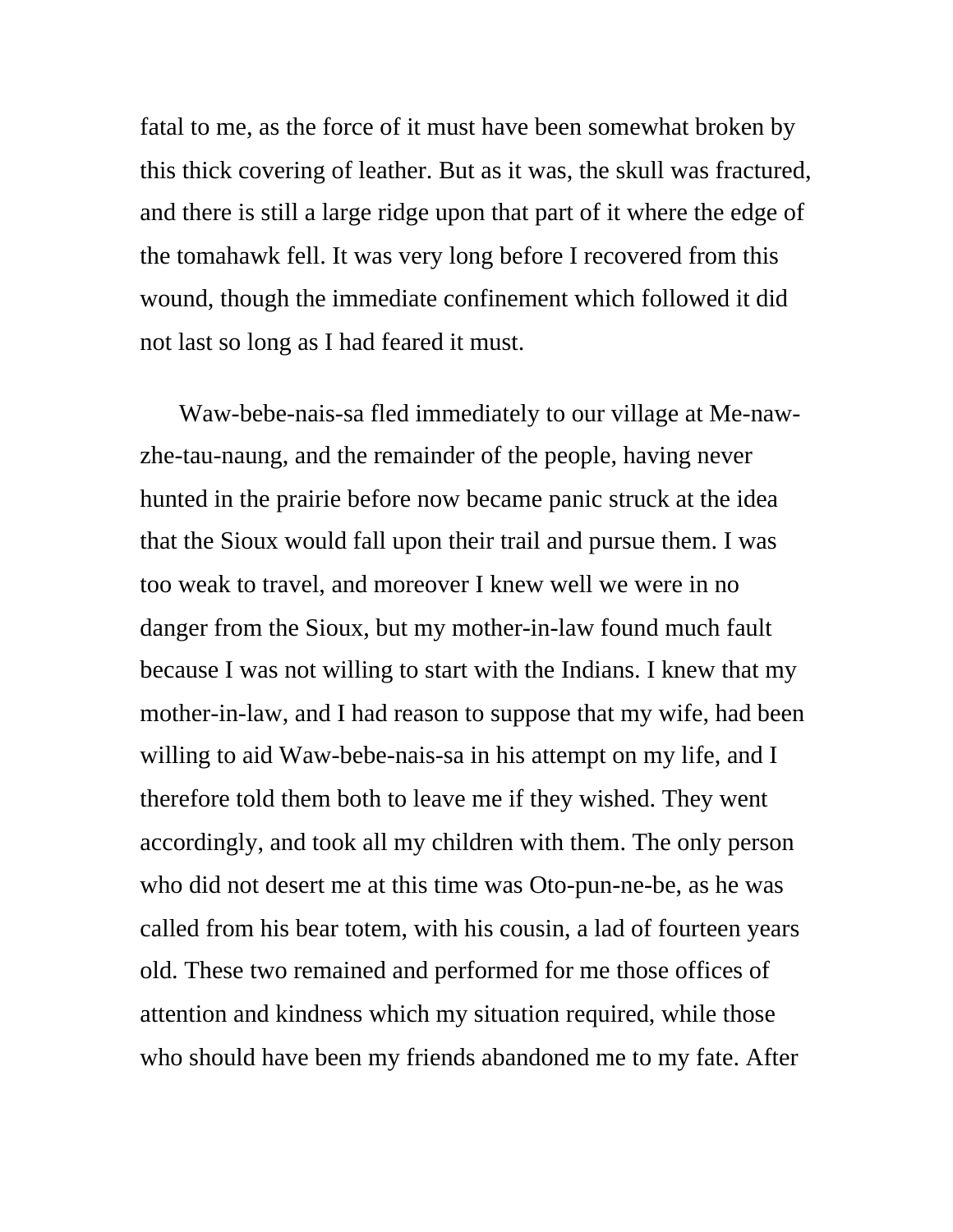fatal to me, as the force of it must have been somewhat broken by this thick covering of leather. But as it was, the skull was fractured, and there is still a large ridge upon that part of it where the edge of the tomahawk fell. It was very long before I recovered from this wound, though the immediate confinement which followed it did not last so long as I had feared it must.

Waw-bebe-nais-sa fled immediately to our village at Me-nawzhe-tau-naung, and the remainder of the people, having never hunted in the prairie before now became panic struck at the idea that the Sioux would fall upon their trail and pursue them. I was too weak to travel, and moreover I knew well we were in no danger from the Sioux, but my mother-in-law found much fault because I was not willing to start with the Indians. I knew that my mother-in-law, and I had reason to suppose that my wife, had been willing to aid Waw-bebe-nais-sa in his attempt on my life, and I therefore told them both to leave me if they wished. They went accordingly, and took all my children with them. The only person who did not desert me at this time was Oto-pun-ne-be, as he was called from his bear totem, with his cousin, a lad of fourteen years old. These two remained and performed for me those offices of attention and kindness which my situation required, while those who should have been my friends abandoned me to my fate. After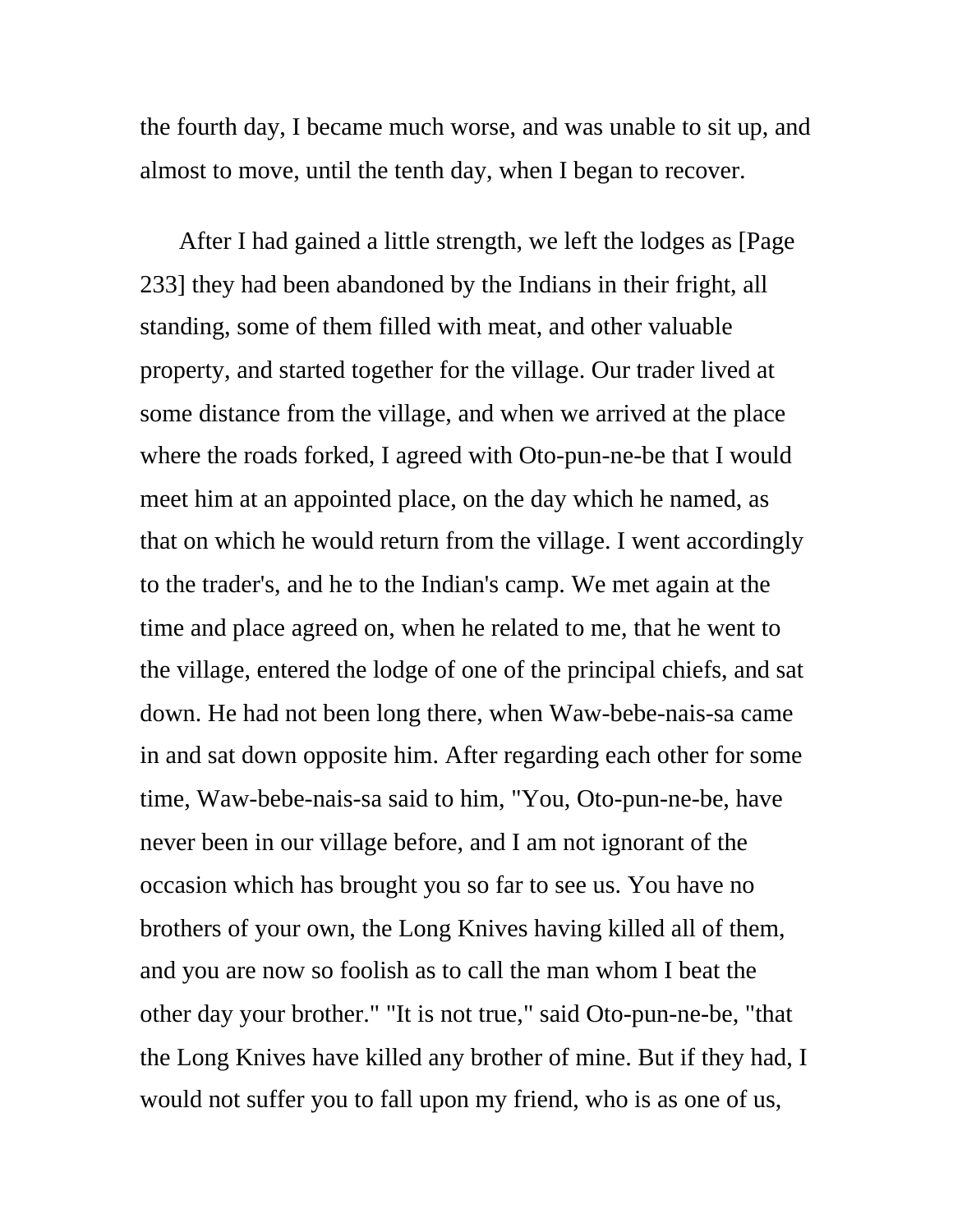the fourth day, I became much worse, and was unable to sit up, and almost to move, until the tenth day, when I began to recover.

After I had gained a little strength, we left the lodges as [Page 233] they had been abandoned by the Indians in their fright, all standing, some of them filled with meat, and other valuable property, and started together for the village. Our trader lived at some distance from the village, and when we arrived at the place where the roads forked, I agreed with Oto-pun-ne-be that I would meet him at an appointed place, on the day which he named, as that on which he would return from the village. I went accordingly to the trader's, and he to the Indian's camp. We met again at the time and place agreed on, when he related to me, that he went to the village, entered the lodge of one of the principal chiefs, and sat down. He had not been long there, when Waw-bebe-nais-sa came in and sat down opposite him. After regarding each other for some time, Waw-bebe-nais-sa said to him, "You, Oto-pun-ne-be, have never been in our village before, and I am not ignorant of the occasion which has brought you so far to see us. You have no brothers of your own, the Long Knives having killed all of them, and you are now so foolish as to call the man whom I beat the other day your brother." "It is not true," said Oto-pun-ne-be, "that the Long Knives have killed any brother of mine. But if they had, I would not suffer you to fall upon my friend, who is as one of us,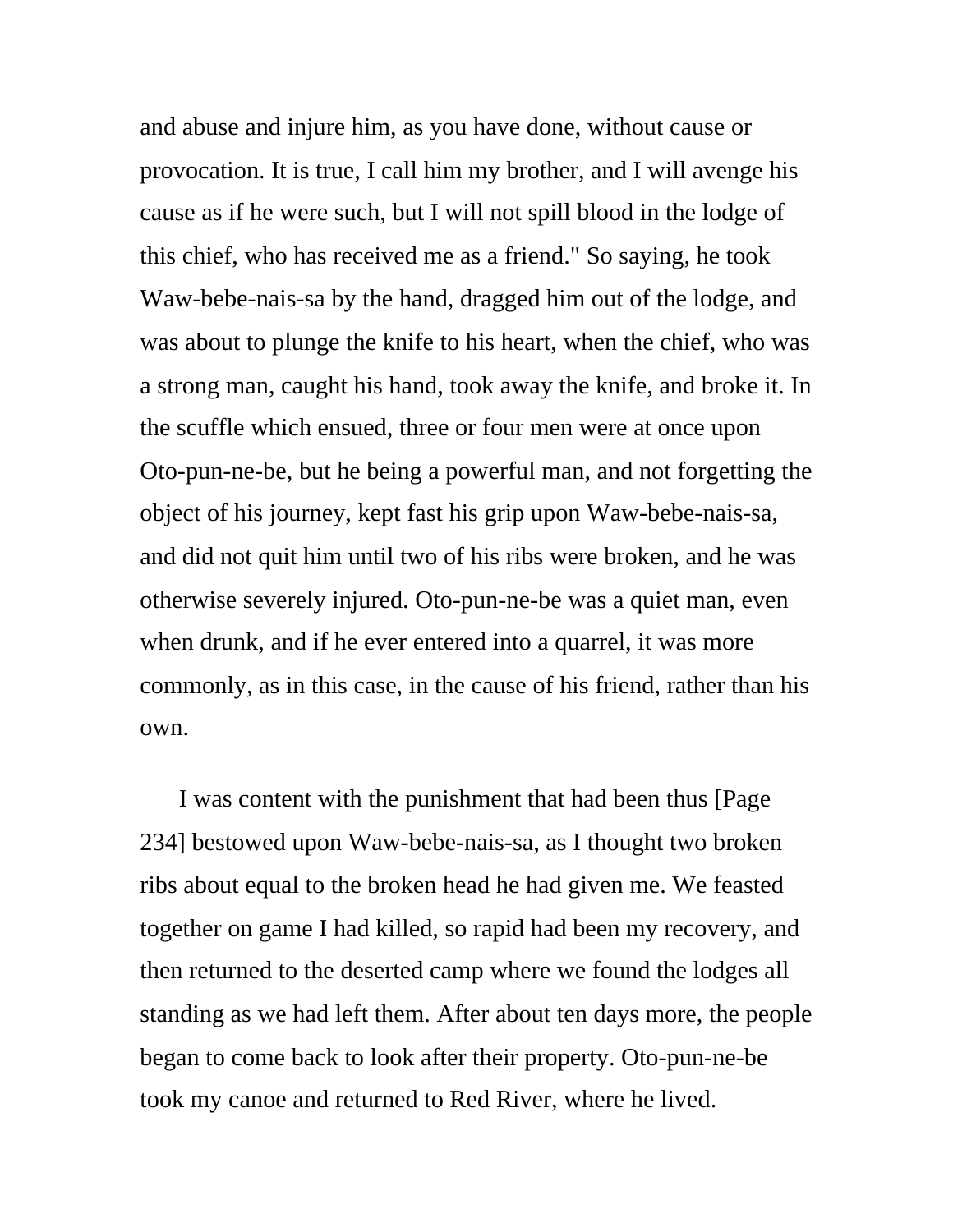and abuse and injure him, as you have done, without cause or provocation. It is true, I call him my brother, and I will avenge his cause as if he were such, but I will not spill blood in the lodge of this chief, who has received me as a friend." So saying, he took Waw-bebe-nais-sa by the hand, dragged him out of the lodge, and was about to plunge the knife to his heart, when the chief, who was a strong man, caught his hand, took away the knife, and broke it. In the scuffle which ensued, three or four men were at once upon Oto-pun-ne-be, but he being a powerful man, and not forgetting the object of his journey, kept fast his grip upon Waw-bebe-nais-sa, and did not quit him until two of his ribs were broken, and he was otherwise severely injured. Oto-pun-ne-be was a quiet man, even when drunk, and if he ever entered into a quarrel, it was more commonly, as in this case, in the cause of his friend, rather than his own.

I was content with the punishment that had been thus [Page 234] bestowed upon Waw-bebe-nais-sa, as I thought two broken ribs about equal to the broken head he had given me. We feasted together on game I had killed, so rapid had been my recovery, and then returned to the deserted camp where we found the lodges all standing as we had left them. After about ten days more, the people began to come back to look after their property. Oto-pun-ne-be took my canoe and returned to Red River, where he lived.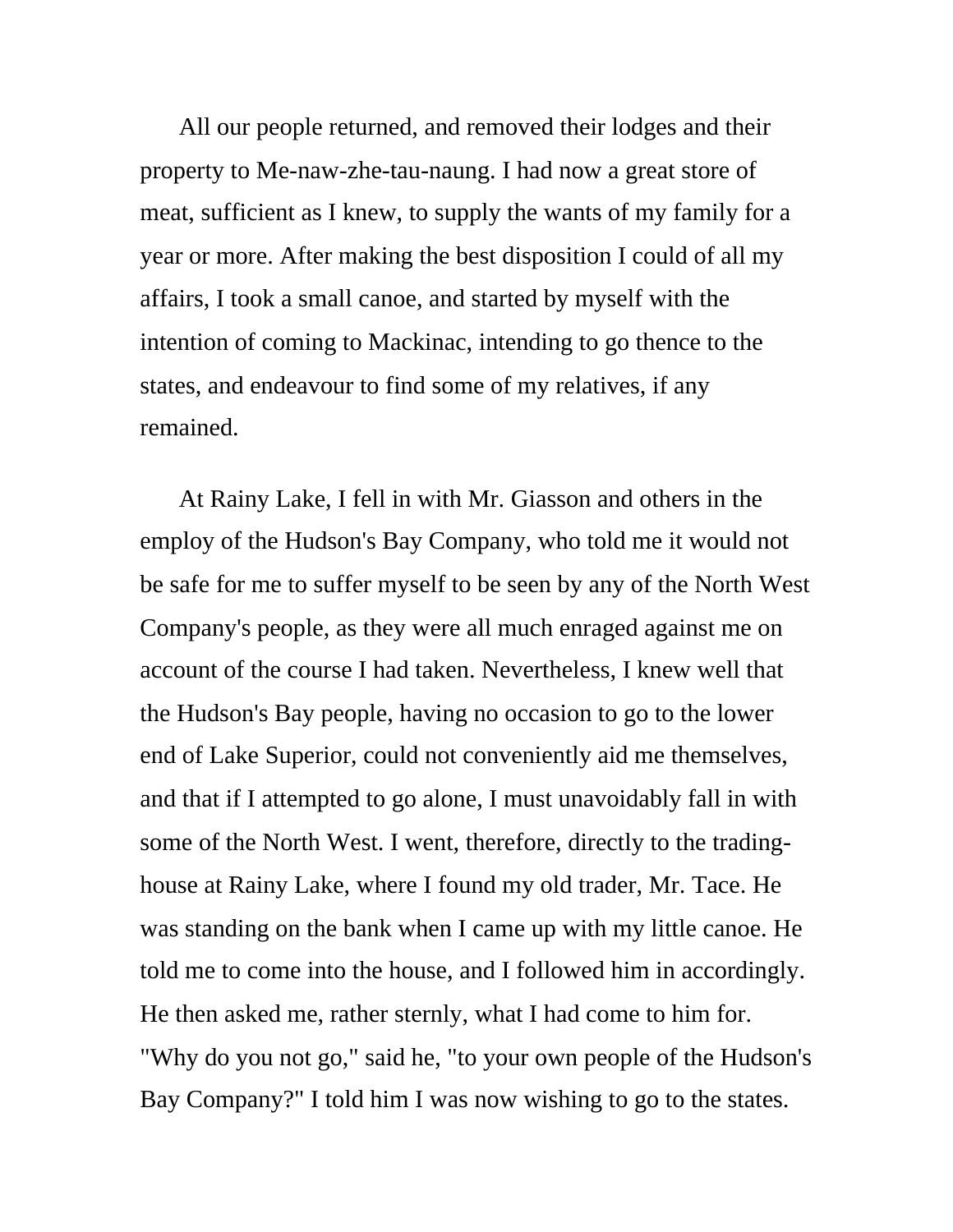All our people returned, and removed their lodges and their property to Me-naw-zhe-tau-naung. I had now a great store of meat, sufficient as I knew, to supply the wants of my family for a year or more. After making the best disposition I could of all my affairs, I took a small canoe, and started by myself with the intention of coming to Mackinac, intending to go thence to the states, and endeavour to find some of my relatives, if any remained.

At Rainy Lake, I fell in with Mr. Giasson and others in the employ of the Hudson's Bay Company, who told me it would not be safe for me to suffer myself to be seen by any of the North West Company's people, as they were all much enraged against me on account of the course I had taken. Nevertheless, I knew well that the Hudson's Bay people, having no occasion to go to the lower end of Lake Superior, could not conveniently aid me themselves, and that if I attempted to go alone, I must unavoidably fall in with some of the North West. I went, therefore, directly to the tradinghouse at Rainy Lake, where I found my old trader, Mr. Tace. He was standing on the bank when I came up with my little canoe. He told me to come into the house, and I followed him in accordingly. He then asked me, rather sternly, what I had come to him for. "Why do you not go," said he, "to your own people of the Hudson's Bay Company?" I told him I was now wishing to go to the states.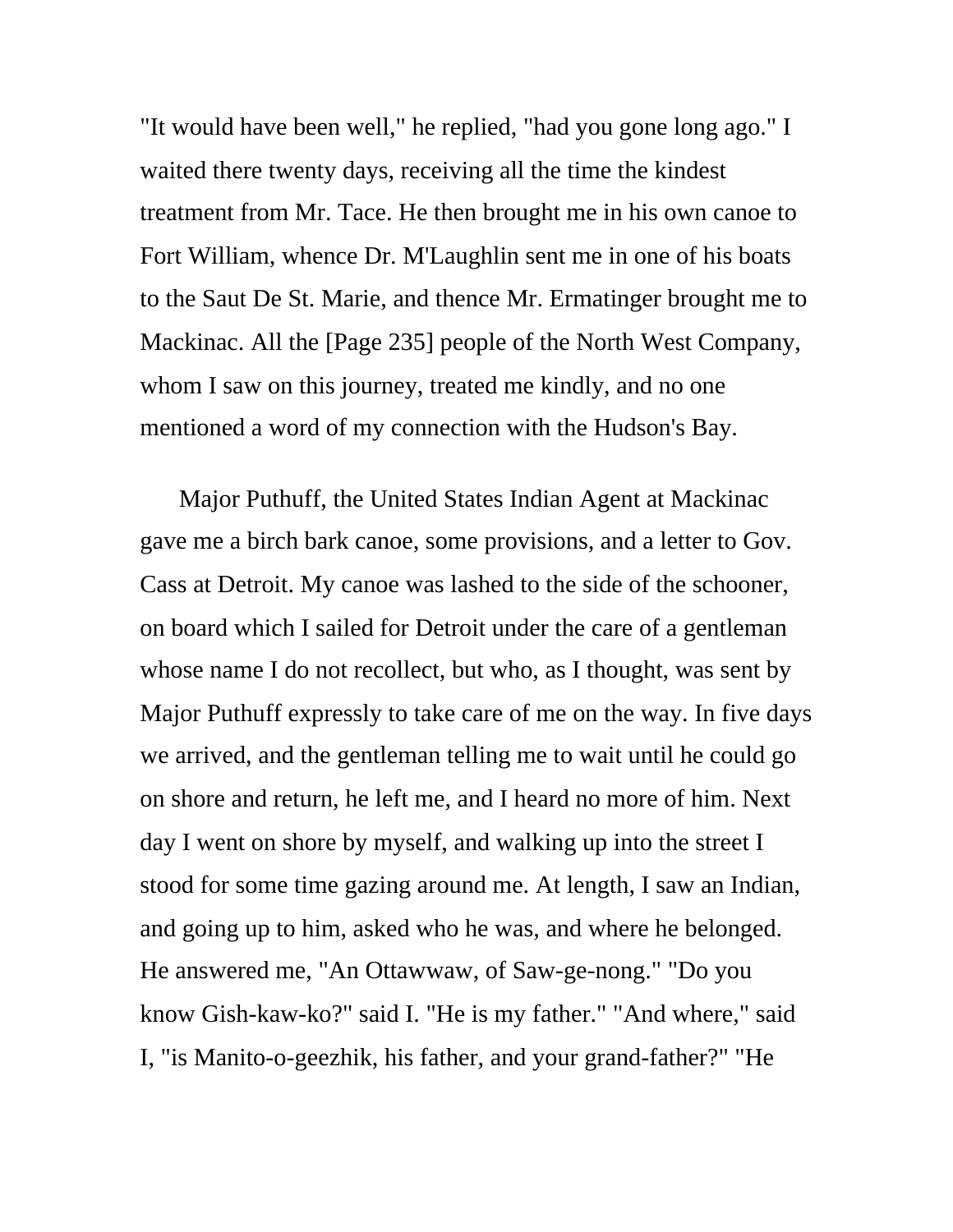"It would have been well," he replied, "had you gone long ago." I waited there twenty days, receiving all the time the kindest treatment from Mr. Tace. He then brought me in his own canoe to Fort William, whence Dr. M'Laughlin sent me in one of his boats to the Saut De St. Marie, and thence Mr. Ermatinger brought me to Mackinac. All the [Page 235] people of the North West Company, whom I saw on this journey, treated me kindly, and no one mentioned a word of my connection with the Hudson's Bay.

Major Puthuff, the United States Indian Agent at Mackinac gave me a birch bark canoe, some provisions, and a letter to Gov. Cass at Detroit. My canoe was lashed to the side of the schooner, on board which I sailed for Detroit under the care of a gentleman whose name I do not recollect, but who, as I thought, was sent by Major Puthuff expressly to take care of me on the way. In five days we arrived, and the gentleman telling me to wait until he could go on shore and return, he left me, and I heard no more of him. Next day I went on shore by myself, and walking up into the street I stood for some time gazing around me. At length, I saw an Indian, and going up to him, asked who he was, and where he belonged. He answered me, "An Ottawwaw, of Saw-ge-nong." "Do you know Gish-kaw-ko?" said I. "He is my father." "And where," said I, "is Manito-o-geezhik, his father, and your grand-father?" "He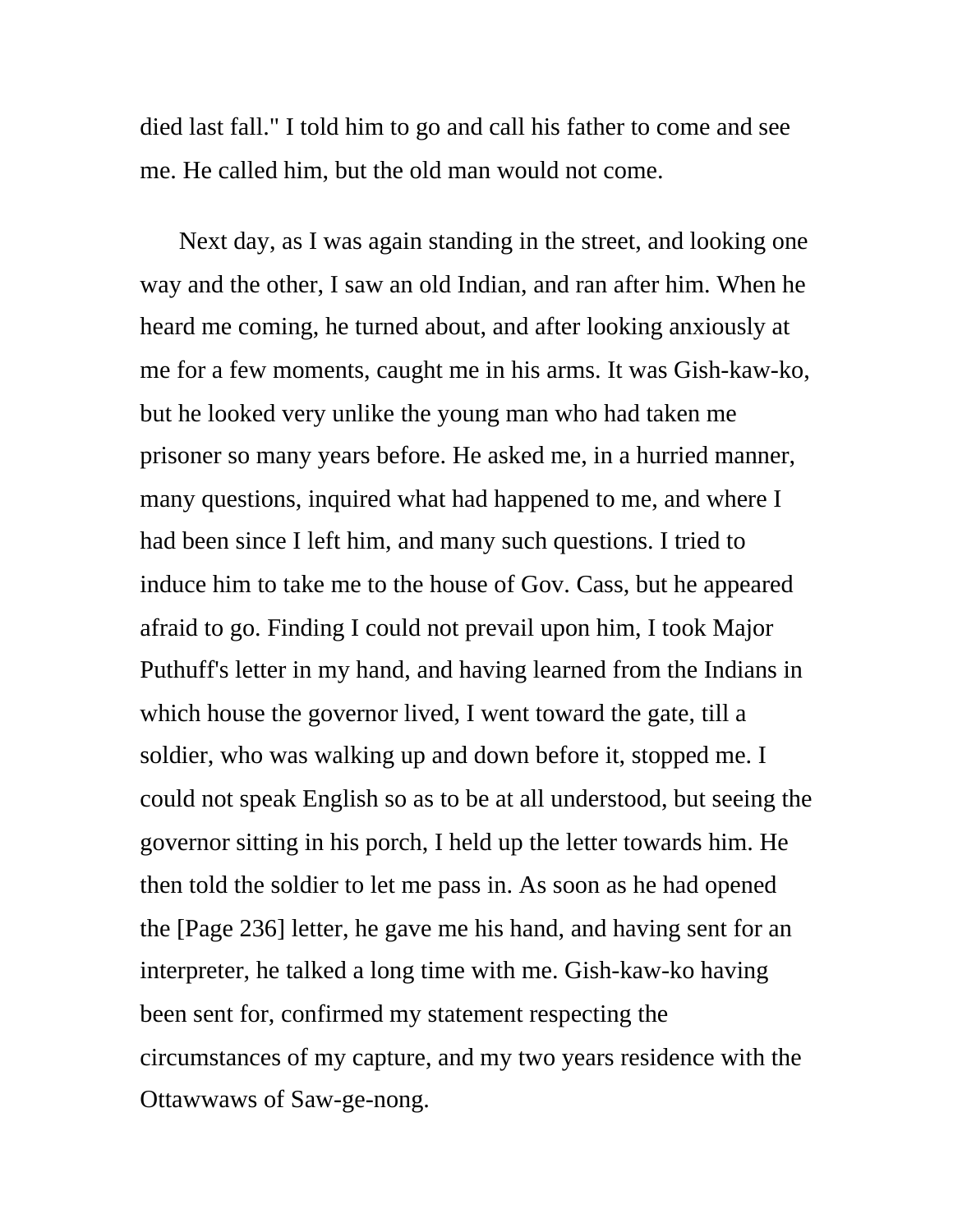died last fall." I told him to go and call his father to come and see me. He called him, but the old man would not come.

Next day, as I was again standing in the street, and looking one way and the other, I saw an old Indian, and ran after him. When he heard me coming, he turned about, and after looking anxiously at me for a few moments, caught me in his arms. It was Gish-kaw-ko, but he looked very unlike the young man who had taken me prisoner so many years before. He asked me, in a hurried manner, many questions, inquired what had happened to me, and where I had been since I left him, and many such questions. I tried to induce him to take me to the house of Gov. Cass, but he appeared afraid to go. Finding I could not prevail upon him, I took Major Puthuff's letter in my hand, and having learned from the Indians in which house the governor lived, I went toward the gate, till a soldier, who was walking up and down before it, stopped me. I could not speak English so as to be at all understood, but seeing the governor sitting in his porch, I held up the letter towards him. He then told the soldier to let me pass in. As soon as he had opened the [Page 236] letter, he gave me his hand, and having sent for an interpreter, he talked a long time with me. Gish-kaw-ko having been sent for, confirmed my statement respecting the circumstances of my capture, and my two years residence with the Ottawwaws of Saw-ge-nong.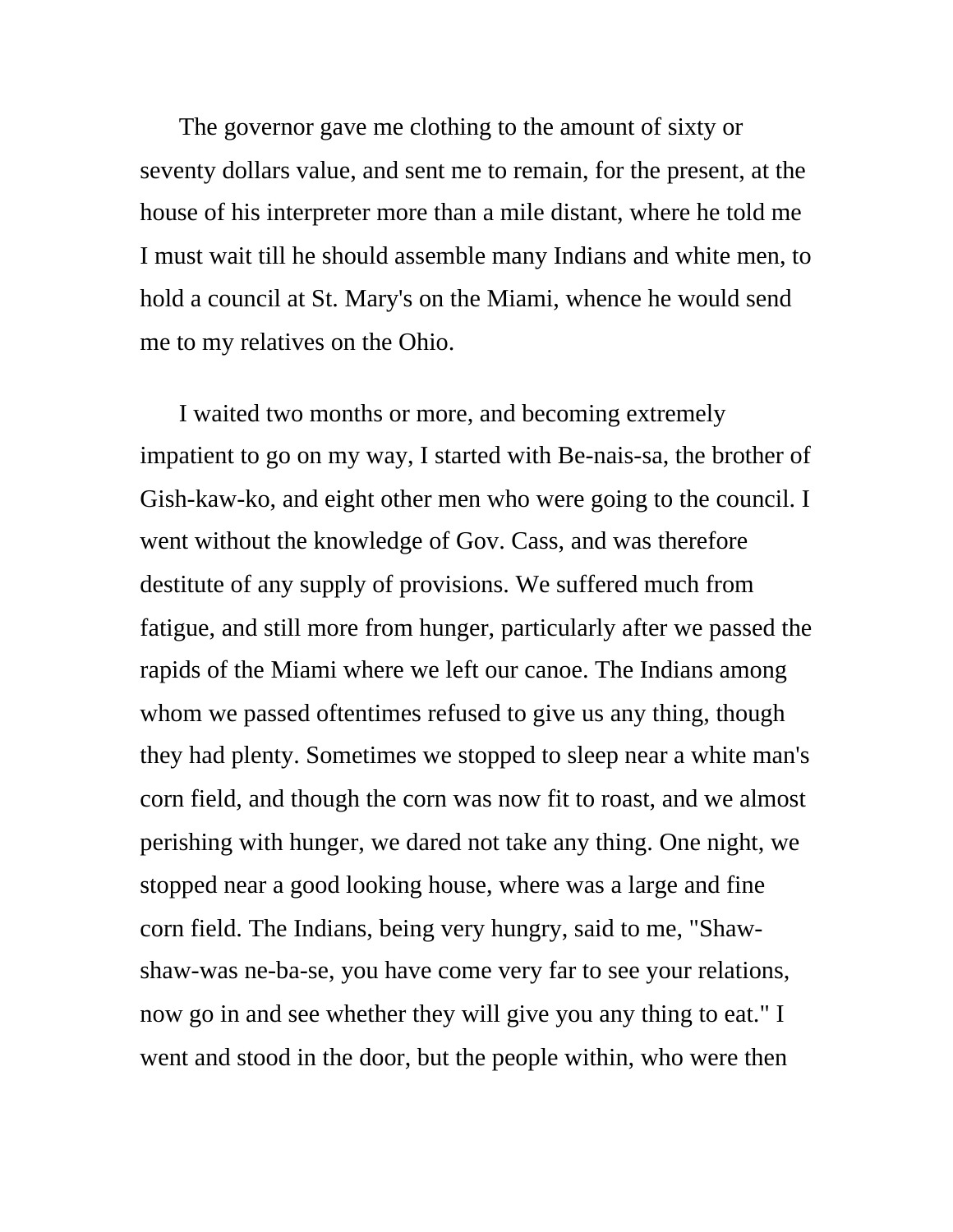The governor gave me clothing to the amount of sixty or seventy dollars value, and sent me to remain, for the present, at the house of his interpreter more than a mile distant, where he told me I must wait till he should assemble many Indians and white men, to hold a council at St. Mary's on the Miami, whence he would send me to my relatives on the Ohio.

I waited two months or more, and becoming extremely impatient to go on my way, I started with Be-nais-sa, the brother of Gish-kaw-ko, and eight other men who were going to the council. I went without the knowledge of Gov. Cass, and was therefore destitute of any supply of provisions. We suffered much from fatigue, and still more from hunger, particularly after we passed the rapids of the Miami where we left our canoe. The Indians among whom we passed oftentimes refused to give us any thing, though they had plenty. Sometimes we stopped to sleep near a white man's corn field, and though the corn was now fit to roast, and we almost perishing with hunger, we dared not take any thing. One night, we stopped near a good looking house, where was a large and fine corn field. The Indians, being very hungry, said to me, "Shawshaw-was ne-ba-se, you have come very far to see your relations, now go in and see whether they will give you any thing to eat." I went and stood in the door, but the people within, who were then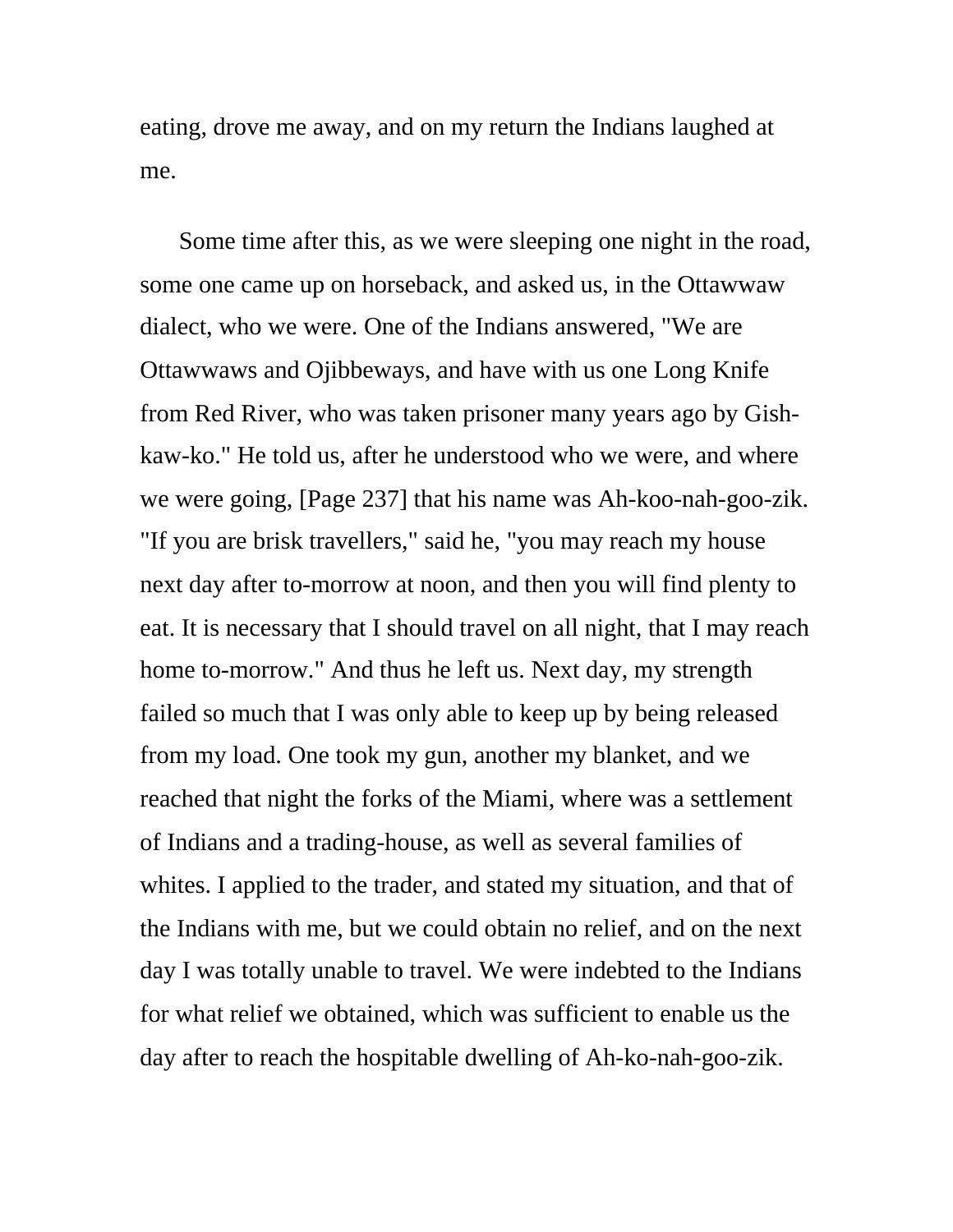eating, drove me away, and on my return the Indians laughed at me.

Some time after this, as we were sleeping one night in the road, some one came up on horseback, and asked us, in the Ottawwaw dialect, who we were. One of the Indians answered, "We are Ottawwaws and Ojibbeways, and have with us one Long Knife from Red River, who was taken prisoner many years ago by Gishkaw-ko." He told us, after he understood who we were, and where we were going, [Page 237] that his name was Ah-koo-nah-goo-zik. "If you are brisk travellers," said he, "you may reach my house next day after to-morrow at noon, and then you will find plenty to eat. It is necessary that I should travel on all night, that I may reach home to-morrow." And thus he left us. Next day, my strength failed so much that I was only able to keep up by being released from my load. One took my gun, another my blanket, and we reached that night the forks of the Miami, where was a settlement of Indians and a trading-house, as well as several families of whites. I applied to the trader, and stated my situation, and that of the Indians with me, but we could obtain no relief, and on the next day I was totally unable to travel. We were indebted to the Indians for what relief we obtained, which was sufficient to enable us the day after to reach the hospitable dwelling of Ah-ko-nah-goo-zik.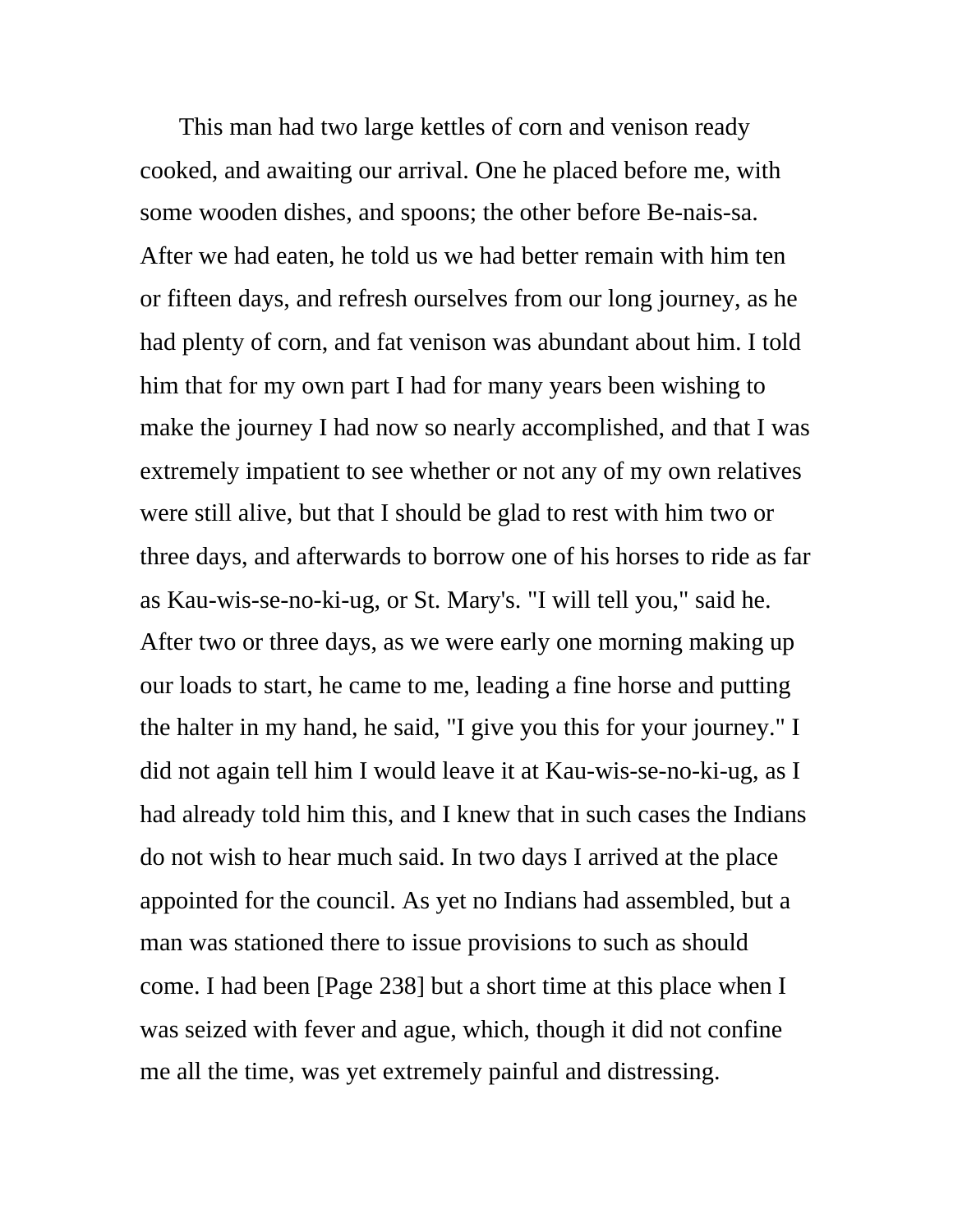This man had two large kettles of corn and venison ready cooked, and awaiting our arrival. One he placed before me, with some wooden dishes, and spoons; the other before Be-nais-sa. After we had eaten, he told us we had better remain with him ten or fifteen days, and refresh ourselves from our long journey, as he had plenty of corn, and fat venison was abundant about him. I told him that for my own part I had for many years been wishing to make the journey I had now so nearly accomplished, and that I was extremely impatient to see whether or not any of my own relatives were still alive, but that I should be glad to rest with him two or three days, and afterwards to borrow one of his horses to ride as far as Kau-wis-se-no-ki-ug, or St. Mary's. "I will tell you," said he. After two or three days, as we were early one morning making up our loads to start, he came to me, leading a fine horse and putting the halter in my hand, he said, "I give you this for your journey." I did not again tell him I would leave it at Kau-wis-se-no-ki-ug, as I had already told him this, and I knew that in such cases the Indians do not wish to hear much said. In two days I arrived at the place appointed for the council. As yet no Indians had assembled, but a man was stationed there to issue provisions to such as should come. I had been [Page 238] but a short time at this place when I was seized with fever and ague, which, though it did not confine me all the time, was yet extremely painful and distressing.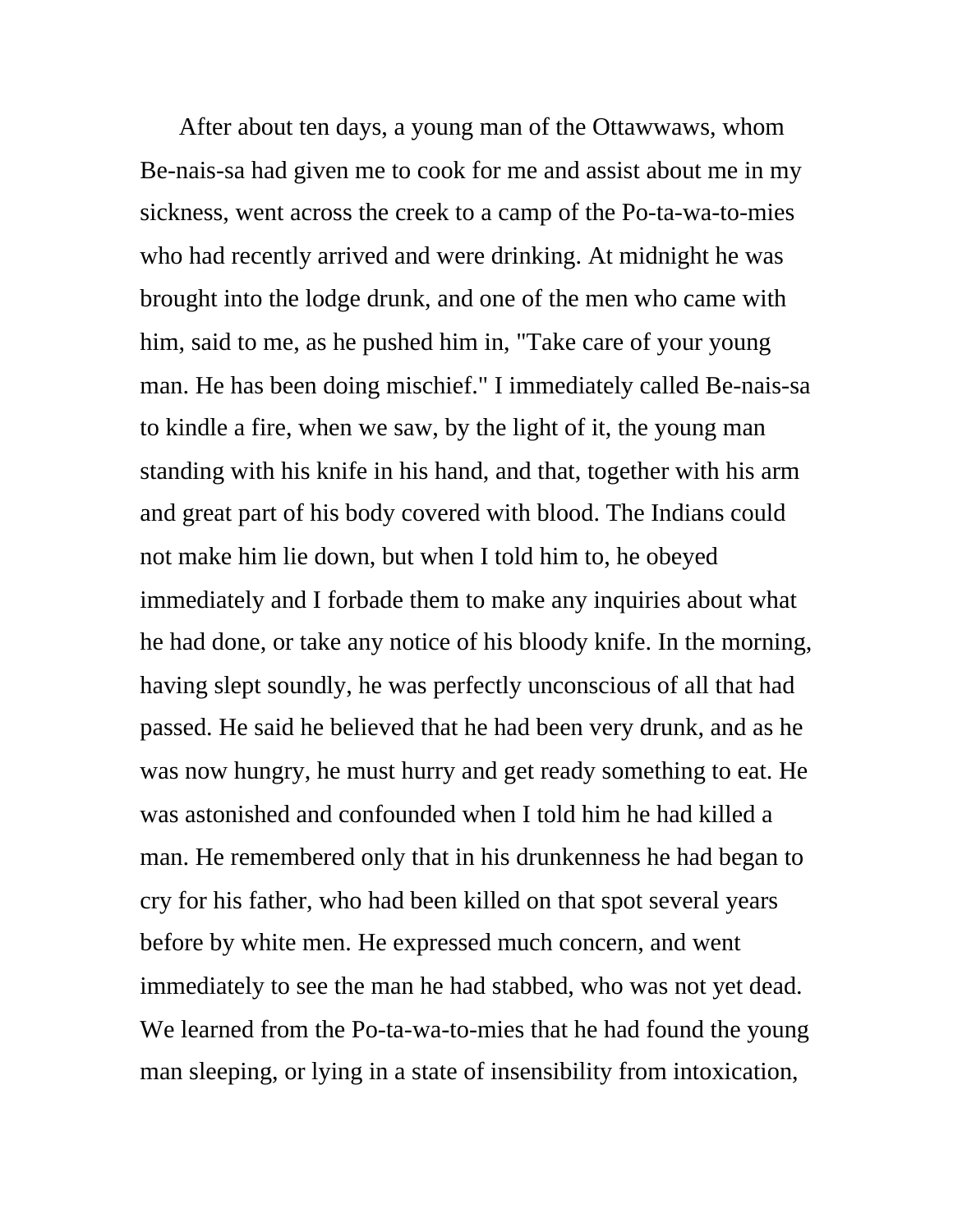After about ten days, a young man of the Ottawwaws, whom Be-nais-sa had given me to cook for me and assist about me in my sickness, went across the creek to a camp of the Po-ta-wa-to-mies who had recently arrived and were drinking. At midnight he was brought into the lodge drunk, and one of the men who came with him, said to me, as he pushed him in, "Take care of your young man. He has been doing mischief." I immediately called Be-nais-sa to kindle a fire, when we saw, by the light of it, the young man standing with his knife in his hand, and that, together with his arm and great part of his body covered with blood. The Indians could not make him lie down, but when I told him to, he obeyed immediately and I forbade them to make any inquiries about what he had done, or take any notice of his bloody knife. In the morning, having slept soundly, he was perfectly unconscious of all that had passed. He said he believed that he had been very drunk, and as he was now hungry, he must hurry and get ready something to eat. He was astonished and confounded when I told him he had killed a man. He remembered only that in his drunkenness he had began to cry for his father, who had been killed on that spot several years before by white men. He expressed much concern, and went immediately to see the man he had stabbed, who was not yet dead. We learned from the Po-ta-wa-to-mies that he had found the young man sleeping, or lying in a state of insensibility from intoxication,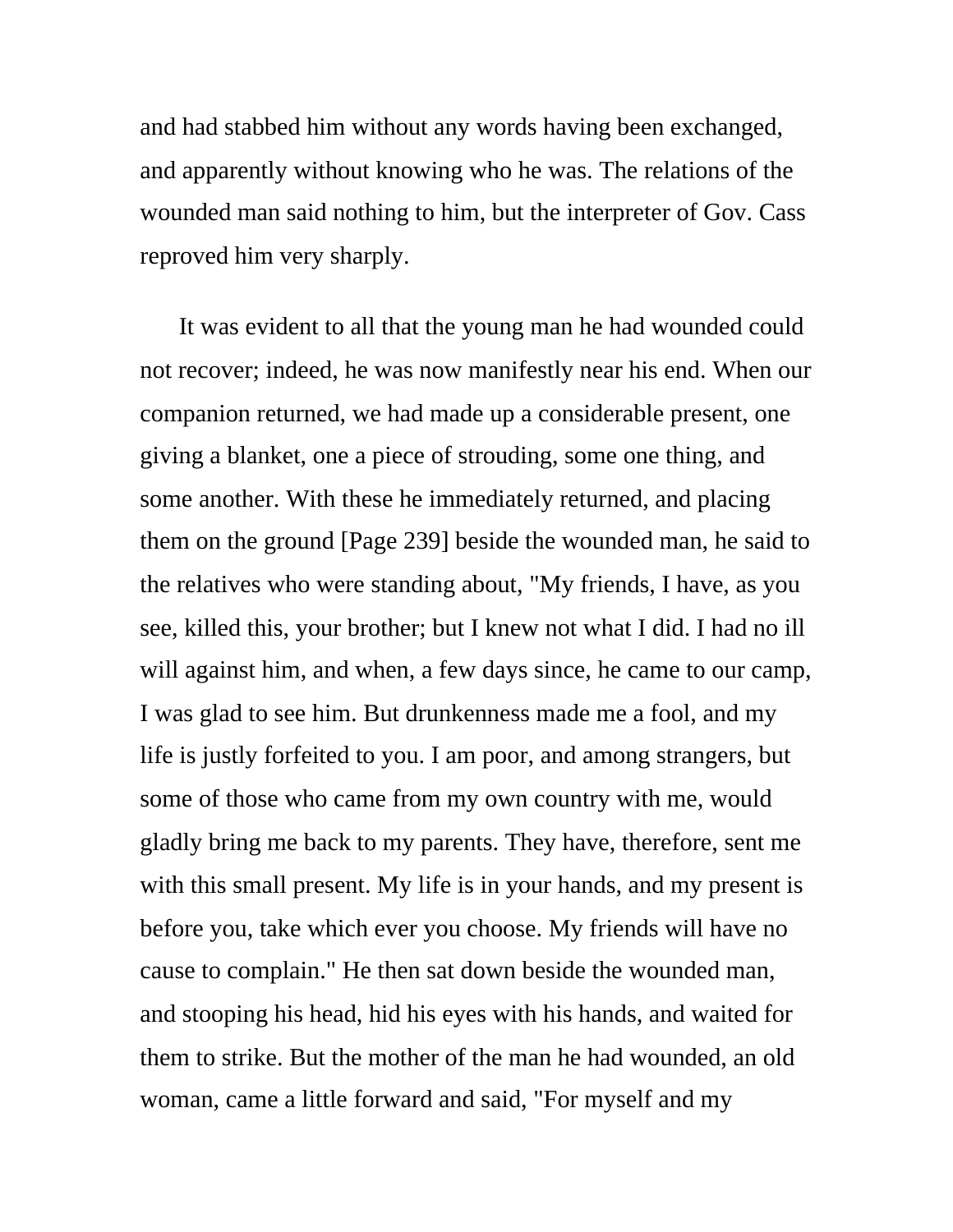and had stabbed him without any words having been exchanged, and apparently without knowing who he was. The relations of the wounded man said nothing to him, but the interpreter of Gov. Cass reproved him very sharply.

It was evident to all that the young man he had wounded could not recover; indeed, he was now manifestly near his end. When our companion returned, we had made up a considerable present, one giving a blanket, one a piece of strouding, some one thing, and some another. With these he immediately returned, and placing them on the ground [Page 239] beside the wounded man, he said to the relatives who were standing about, "My friends, I have, as you see, killed this, your brother; but I knew not what I did. I had no ill will against him, and when, a few days since, he came to our camp, I was glad to see him. But drunkenness made me a fool, and my life is justly forfeited to you. I am poor, and among strangers, but some of those who came from my own country with me, would gladly bring me back to my parents. They have, therefore, sent me with this small present. My life is in your hands, and my present is before you, take which ever you choose. My friends will have no cause to complain." He then sat down beside the wounded man, and stooping his head, hid his eyes with his hands, and waited for them to strike. But the mother of the man he had wounded, an old woman, came a little forward and said, "For myself and my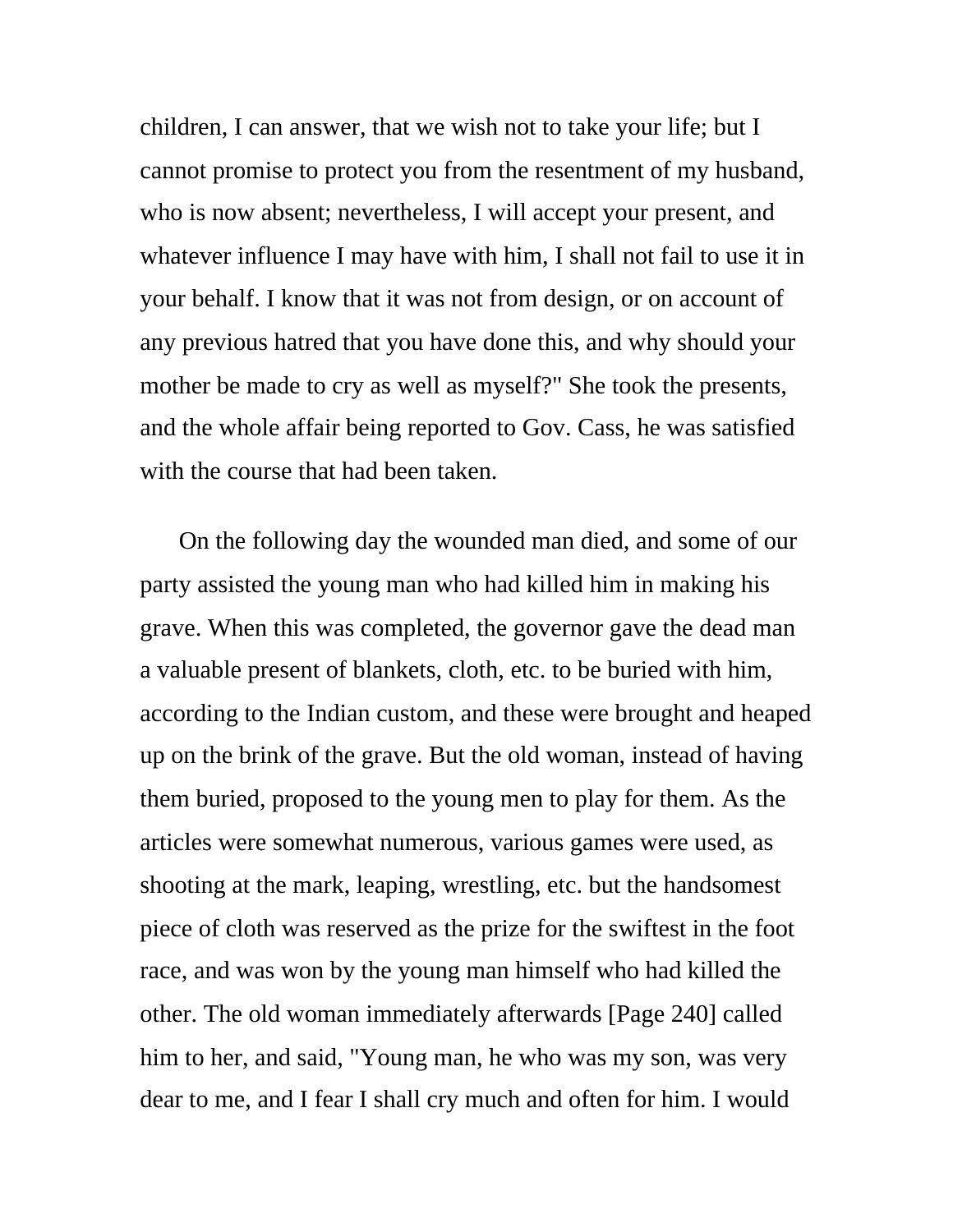children, I can answer, that we wish not to take your life; but I cannot promise to protect you from the resentment of my husband, who is now absent; nevertheless, I will accept your present, and whatever influence I may have with him, I shall not fail to use it in your behalf. I know that it was not from design, or on account of any previous hatred that you have done this, and why should your mother be made to cry as well as myself?" She took the presents, and the whole affair being reported to Gov. Cass, he was satisfied with the course that had been taken.

On the following day the wounded man died, and some of our party assisted the young man who had killed him in making his grave. When this was completed, the governor gave the dead man a valuable present of blankets, cloth, etc. to be buried with him, according to the Indian custom, and these were brought and heaped up on the brink of the grave. But the old woman, instead of having them buried, proposed to the young men to play for them. As the articles were somewhat numerous, various games were used, as shooting at the mark, leaping, wrestling, etc. but the handsomest piece of cloth was reserved as the prize for the swiftest in the foot race, and was won by the young man himself who had killed the other. The old woman immediately afterwards [Page 240] called him to her, and said, "Young man, he who was my son, was very dear to me, and I fear I shall cry much and often for him. I would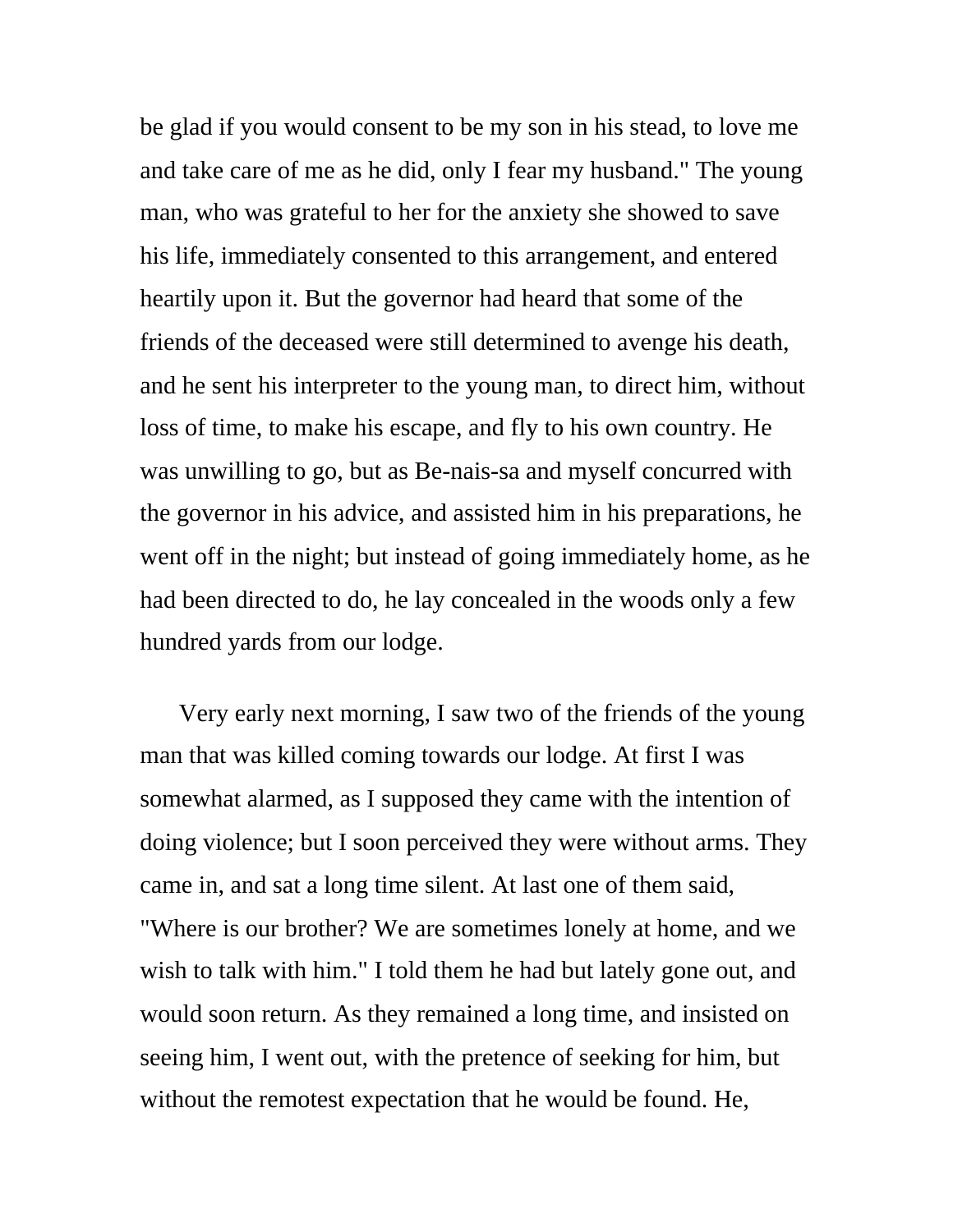be glad if you would consent to be my son in his stead, to love me and take care of me as he did, only I fear my husband." The young man, who was grateful to her for the anxiety she showed to save his life, immediately consented to this arrangement, and entered heartily upon it. But the governor had heard that some of the friends of the deceased were still determined to avenge his death, and he sent his interpreter to the young man, to direct him, without loss of time, to make his escape, and fly to his own country. He was unwilling to go, but as Be-nais-sa and myself concurred with the governor in his advice, and assisted him in his preparations, he went off in the night; but instead of going immediately home, as he had been directed to do, he lay concealed in the woods only a few hundred yards from our lodge.

Very early next morning, I saw two of the friends of the young man that was killed coming towards our lodge. At first I was somewhat alarmed, as I supposed they came with the intention of doing violence; but I soon perceived they were without arms. They came in, and sat a long time silent. At last one of them said, "Where is our brother? We are sometimes lonely at home, and we wish to talk with him." I told them he had but lately gone out, and would soon return. As they remained a long time, and insisted on seeing him, I went out, with the pretence of seeking for him, but without the remotest expectation that he would be found. He,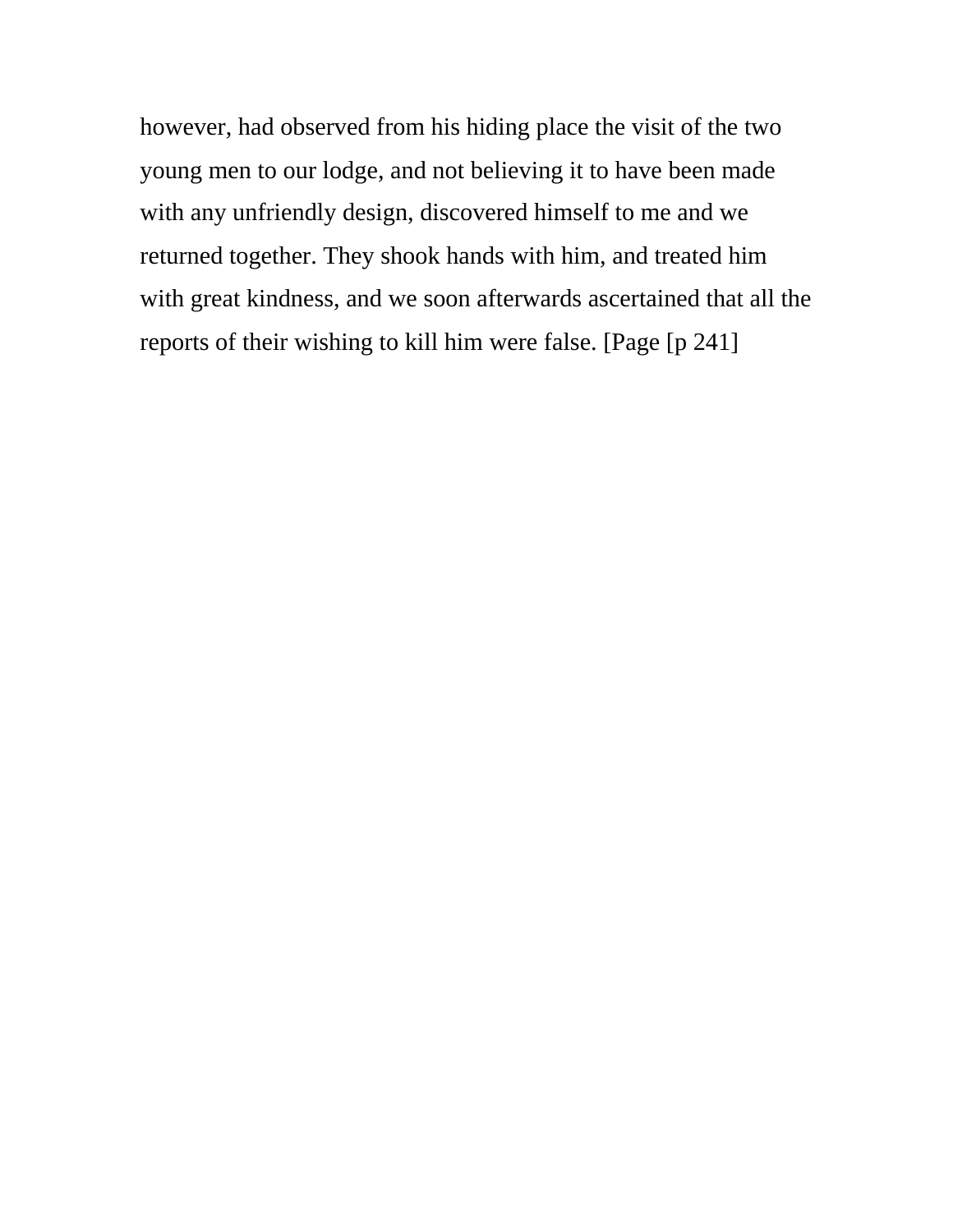however, had observed from his hiding place the visit of the two young men to our lodge, and not believing it to have been made with any unfriendly design, discovered himself to me and we returned together. They shook hands with him, and treated him with great kindness, and we soon afterwards ascertained that all the reports of their wishing to kill him were false. [Page [p 241]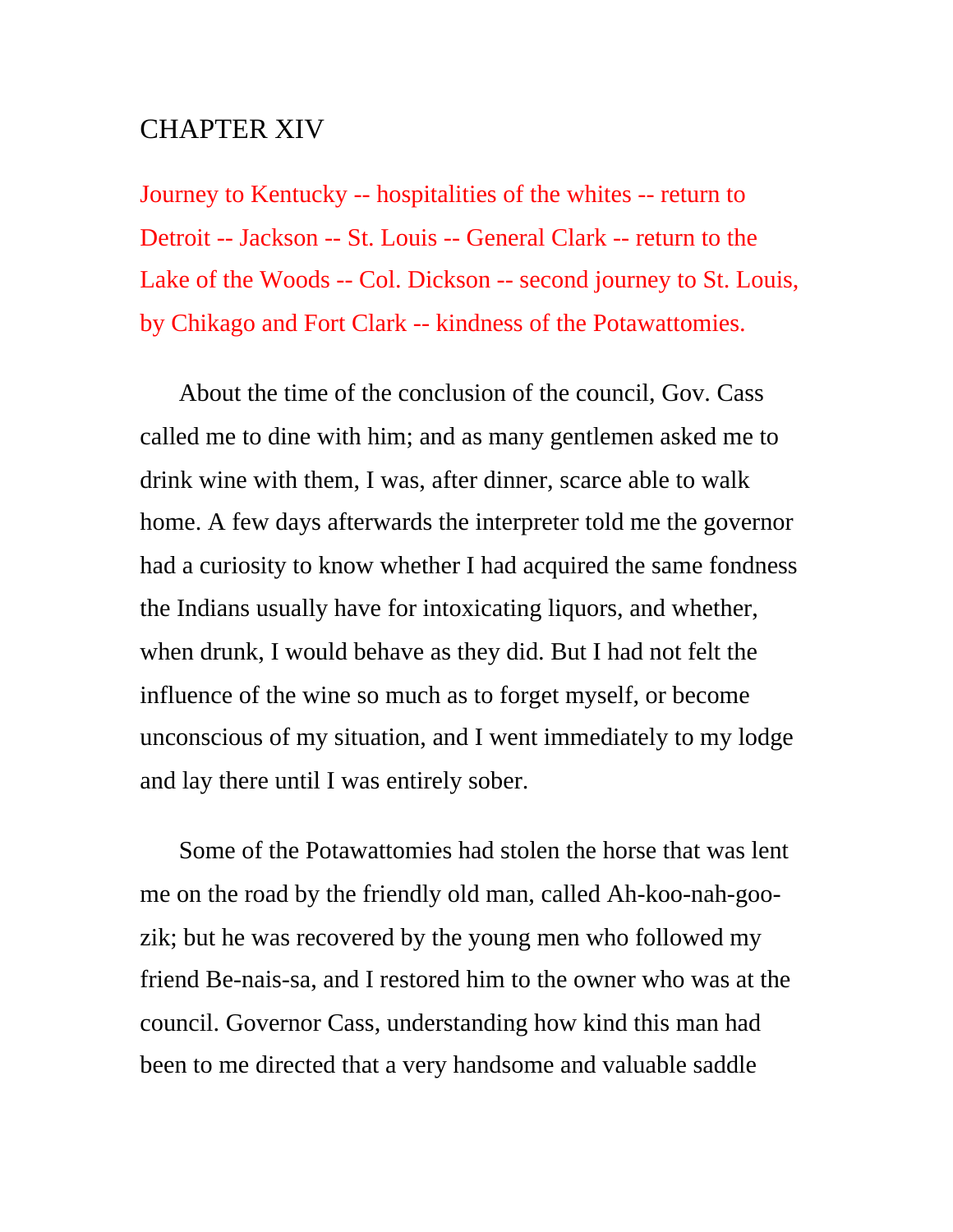## CHAPTER XIV

Journey to Kentucky -- hospitalities of the whites -- return to Detroit -- Jackson -- St. Louis -- General Clark -- return to the Lake of the Woods -- Col. Dickson -- second journey to St. Louis, by Chikago and Fort Clark -- kindness of the Potawattomies.

About the time of the conclusion of the council, Gov. Cass called me to dine with him; and as many gentlemen asked me to drink wine with them, I was, after dinner, scarce able to walk home. A few days afterwards the interpreter told me the governor had a curiosity to know whether I had acquired the same fondness the Indians usually have for intoxicating liquors, and whether, when drunk, I would behave as they did. But I had not felt the influence of the wine so much as to forget myself, or become unconscious of my situation, and I went immediately to my lodge and lay there until I was entirely sober.

Some of the Potawattomies had stolen the horse that was lent me on the road by the friendly old man, called Ah-koo-nah-goozik; but he was recovered by the young men who followed my friend Be-nais-sa, and I restored him to the owner who was at the council. Governor Cass, understanding how kind this man had been to me directed that a very handsome and valuable saddle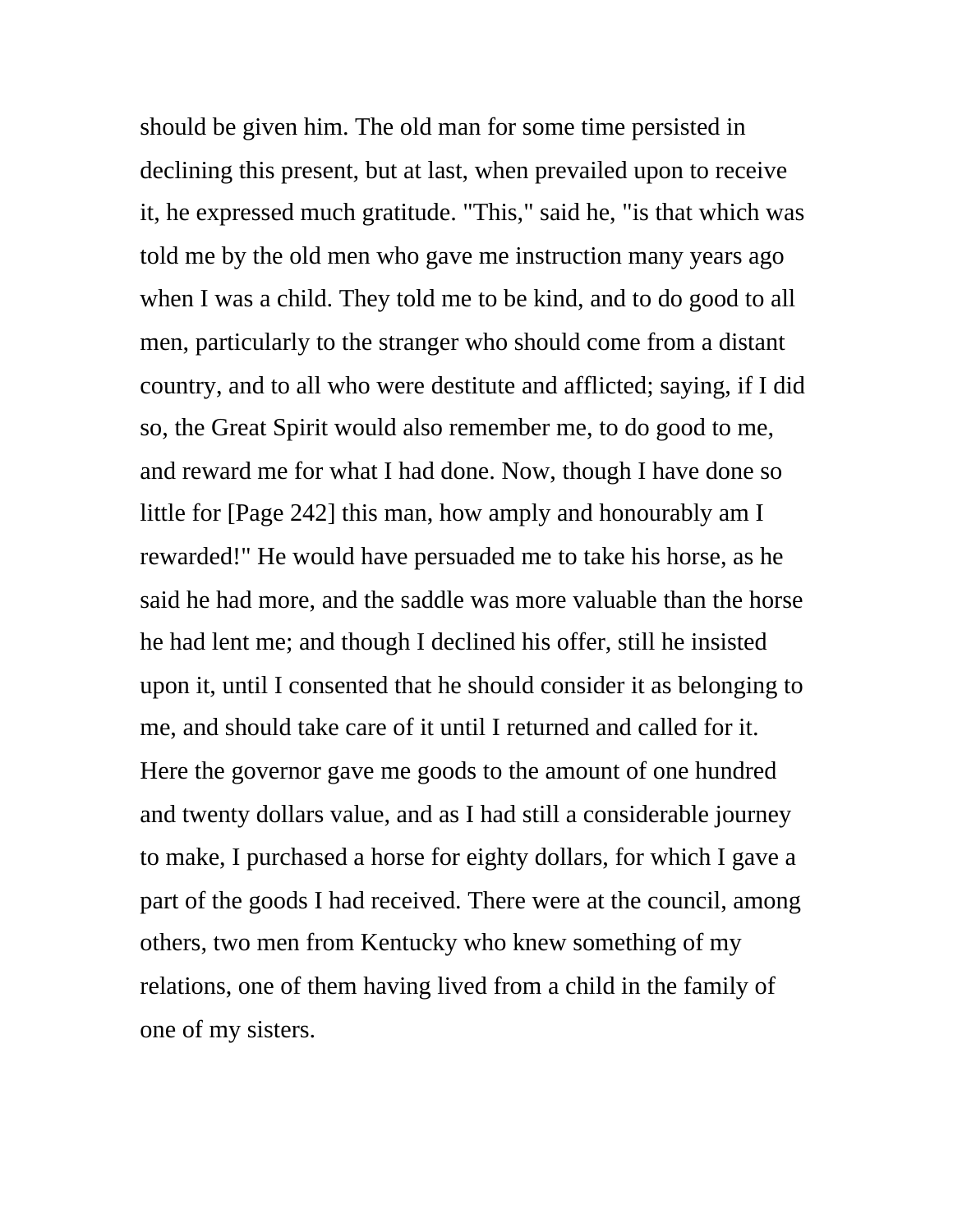should be given him. The old man for some time persisted in declining this present, but at last, when prevailed upon to receive it, he expressed much gratitude. "This," said he, "is that which was told me by the old men who gave me instruction many years ago when I was a child. They told me to be kind, and to do good to all men, particularly to the stranger who should come from a distant country, and to all who were destitute and afflicted; saying, if I did so, the Great Spirit would also remember me, to do good to me, and reward me for what I had done. Now, though I have done so little for [Page 242] this man, how amply and honourably am I rewarded!" He would have persuaded me to take his horse, as he said he had more, and the saddle was more valuable than the horse he had lent me; and though I declined his offer, still he insisted upon it, until I consented that he should consider it as belonging to me, and should take care of it until I returned and called for it. Here the governor gave me goods to the amount of one hundred and twenty dollars value, and as I had still a considerable journey to make, I purchased a horse for eighty dollars, for which I gave a part of the goods I had received. There were at the council, among others, two men from Kentucky who knew something of my relations, one of them having lived from a child in the family of one of my sisters.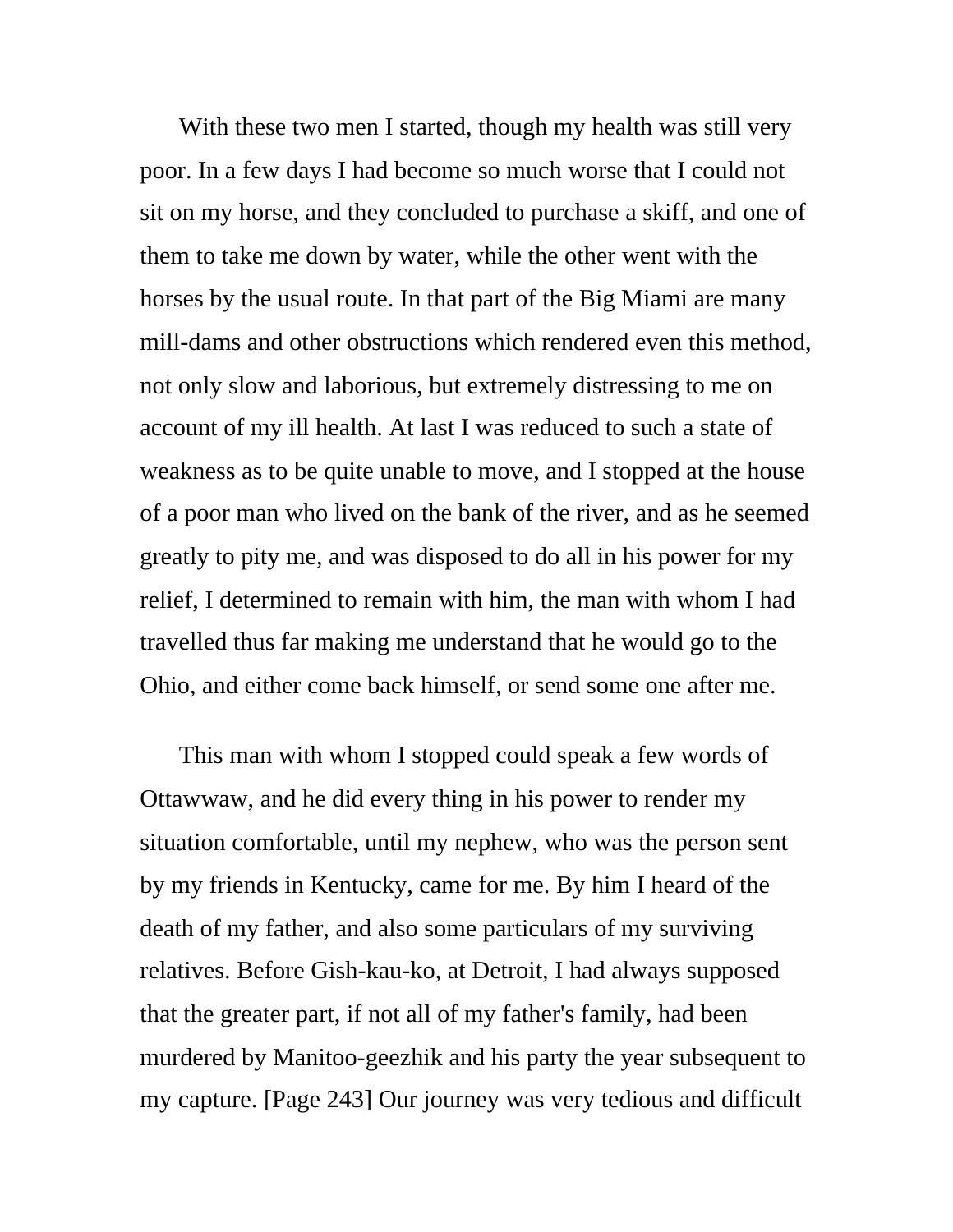With these two men I started, though my health was still very poor. In a few days I had become so much worse that I could not sit on my horse, and they concluded to purchase a skiff, and one of them to take me down by water, while the other went with the horses by the usual route. In that part of the Big Miami are many mill-dams and other obstructions which rendered even this method, not only slow and laborious, but extremely distressing to me on account of my ill health. At last I was reduced to such a state of weakness as to be quite unable to move, and I stopped at the house of a poor man who lived on the bank of the river, and as he seemed greatly to pity me, and was disposed to do all in his power for my relief, I determined to remain with him, the man with whom I had travelled thus far making me understand that he would go to the Ohio, and either come back himself, or send some one after me.

This man with whom I stopped could speak a few words of Ottawwaw, and he did every thing in his power to render my situation comfortable, until my nephew, who was the person sent by my friends in Kentucky, came for me. By him I heard of the death of my father, and also some particulars of my surviving relatives. Before Gish-kau-ko, at Detroit, I had always supposed that the greater part, if not all of my father's family, had been murdered by Manitoo-geezhik and his party the year subsequent to my capture. [Page 243] Our journey was very tedious and difficult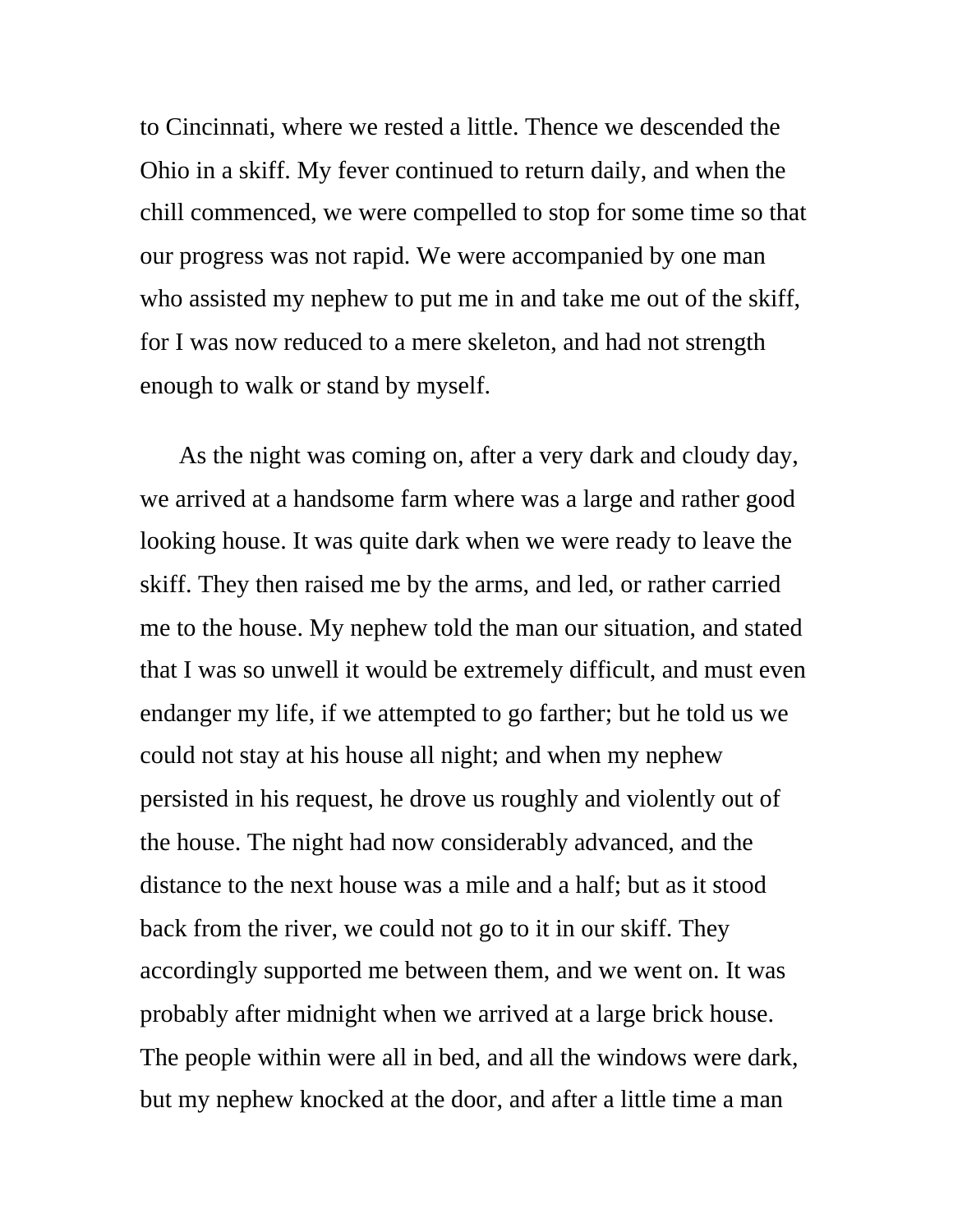to Cincinnati, where we rested a little. Thence we descended the Ohio in a skiff. My fever continued to return daily, and when the chill commenced, we were compelled to stop for some time so that our progress was not rapid. We were accompanied by one man who assisted my nephew to put me in and take me out of the skiff, for I was now reduced to a mere skeleton, and had not strength enough to walk or stand by myself.

As the night was coming on, after a very dark and cloudy day, we arrived at a handsome farm where was a large and rather good looking house. It was quite dark when we were ready to leave the skiff. They then raised me by the arms, and led, or rather carried me to the house. My nephew told the man our situation, and stated that I was so unwell it would be extremely difficult, and must even endanger my life, if we attempted to go farther; but he told us we could not stay at his house all night; and when my nephew persisted in his request, he drove us roughly and violently out of the house. The night had now considerably advanced, and the distance to the next house was a mile and a half; but as it stood back from the river, we could not go to it in our skiff. They accordingly supported me between them, and we went on. It was probably after midnight when we arrived at a large brick house. The people within were all in bed, and all the windows were dark, but my nephew knocked at the door, and after a little time a man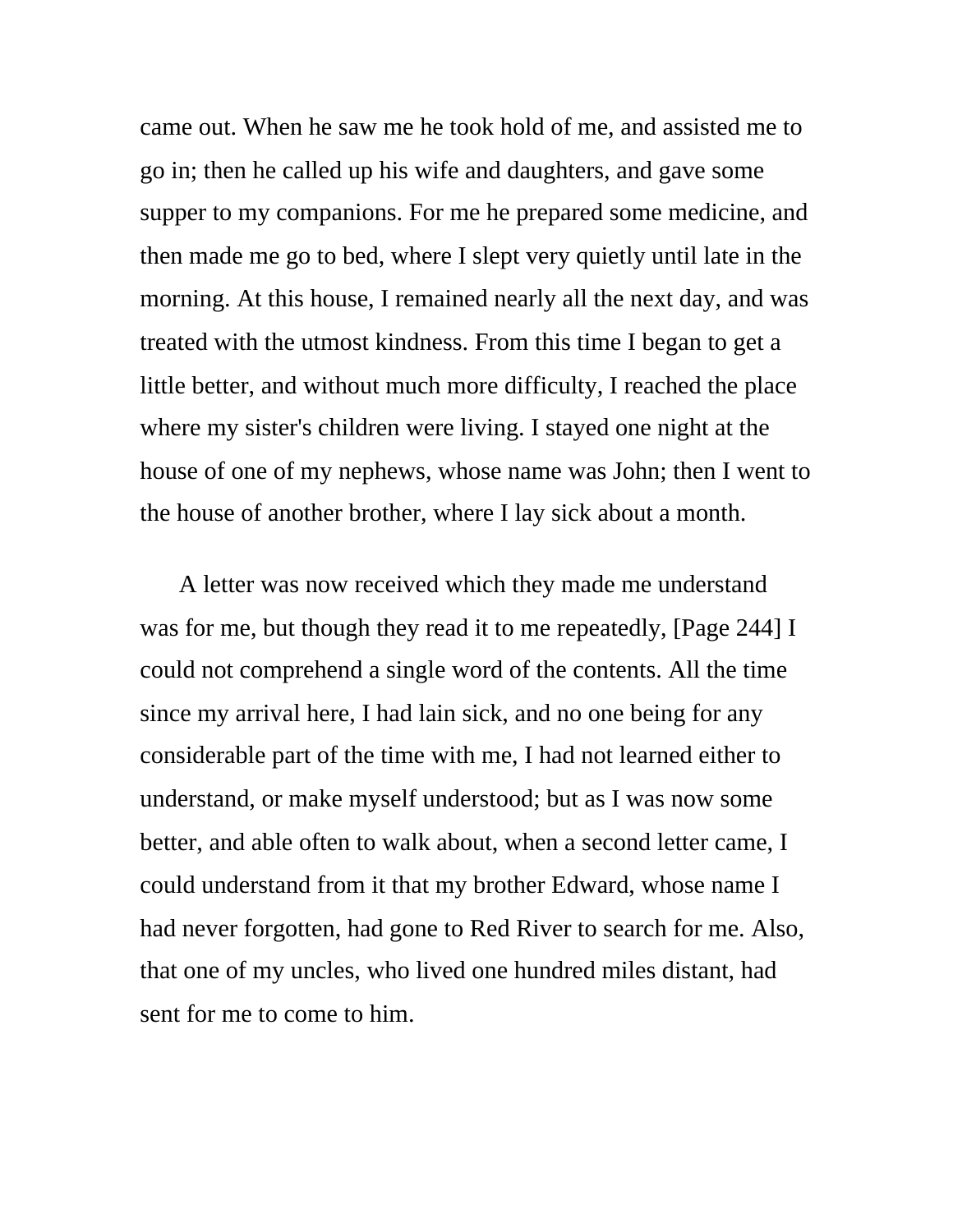came out. When he saw me he took hold of me, and assisted me to go in; then he called up his wife and daughters, and gave some supper to my companions. For me he prepared some medicine, and then made me go to bed, where I slept very quietly until late in the morning. At this house, I remained nearly all the next day, and was treated with the utmost kindness. From this time I began to get a little better, and without much more difficulty, I reached the place where my sister's children were living. I stayed one night at the house of one of my nephews, whose name was John; then I went to the house of another brother, where I lay sick about a month.

A letter was now received which they made me understand was for me, but though they read it to me repeatedly, [Page 244] I could not comprehend a single word of the contents. All the time since my arrival here, I had lain sick, and no one being for any considerable part of the time with me, I had not learned either to understand, or make myself understood; but as I was now some better, and able often to walk about, when a second letter came, I could understand from it that my brother Edward, whose name I had never forgotten, had gone to Red River to search for me. Also, that one of my uncles, who lived one hundred miles distant, had sent for me to come to him.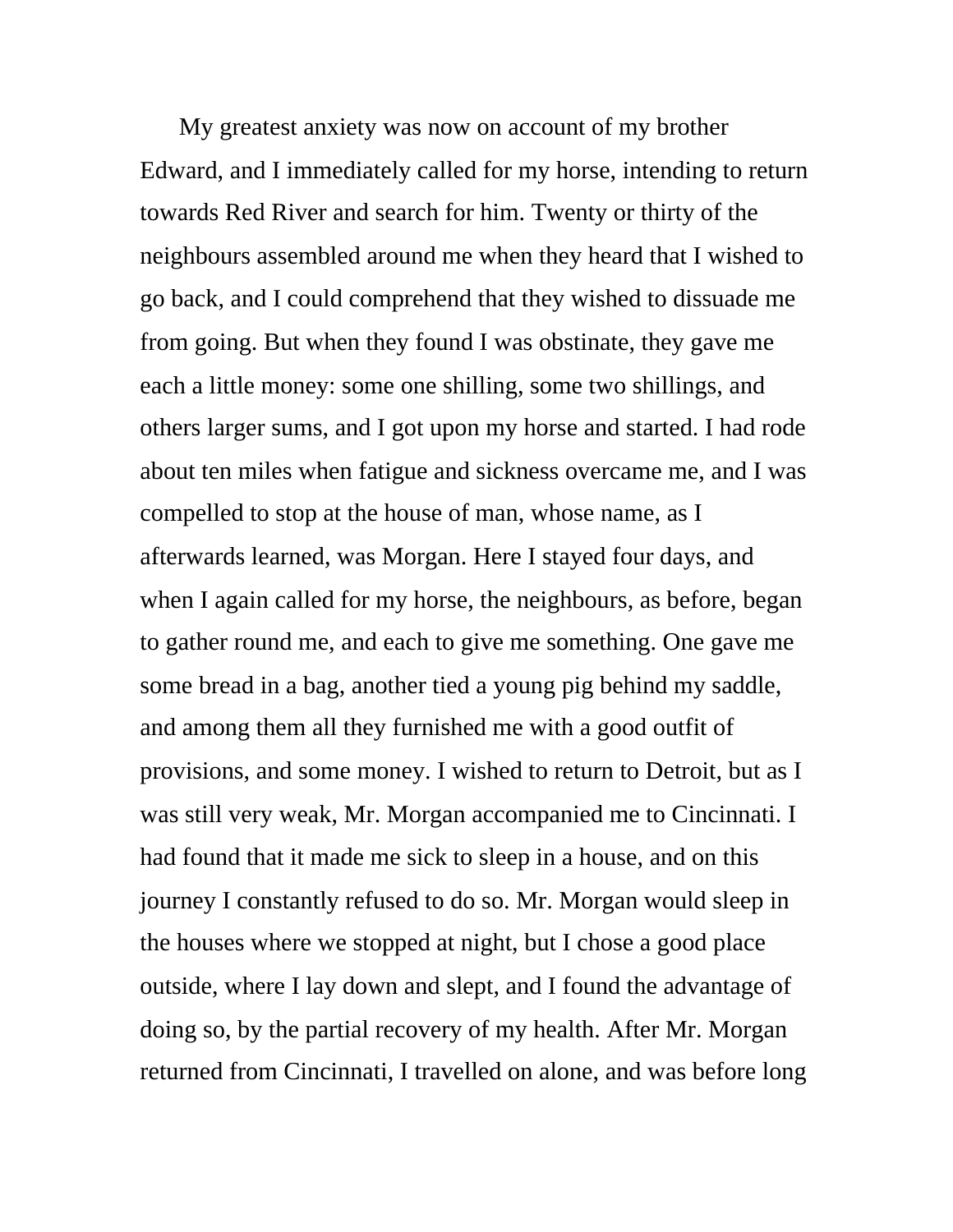My greatest anxiety was now on account of my brother Edward, and I immediately called for my horse, intending to return towards Red River and search for him. Twenty or thirty of the neighbours assembled around me when they heard that I wished to go back, and I could comprehend that they wished to dissuade me from going. But when they found I was obstinate, they gave me each a little money: some one shilling, some two shillings, and others larger sums, and I got upon my horse and started. I had rode about ten miles when fatigue and sickness overcame me, and I was compelled to stop at the house of man, whose name, as I afterwards learned, was Morgan. Here I stayed four days, and when I again called for my horse, the neighbours, as before, began to gather round me, and each to give me something. One gave me some bread in a bag, another tied a young pig behind my saddle, and among them all they furnished me with a good outfit of provisions, and some money. I wished to return to Detroit, but as I was still very weak, Mr. Morgan accompanied me to Cincinnati. I had found that it made me sick to sleep in a house, and on this journey I constantly refused to do so. Mr. Morgan would sleep in the houses where we stopped at night, but I chose a good place outside, where I lay down and slept, and I found the advantage of doing so, by the partial recovery of my health. After Mr. Morgan returned from Cincinnati, I travelled on alone, and was before long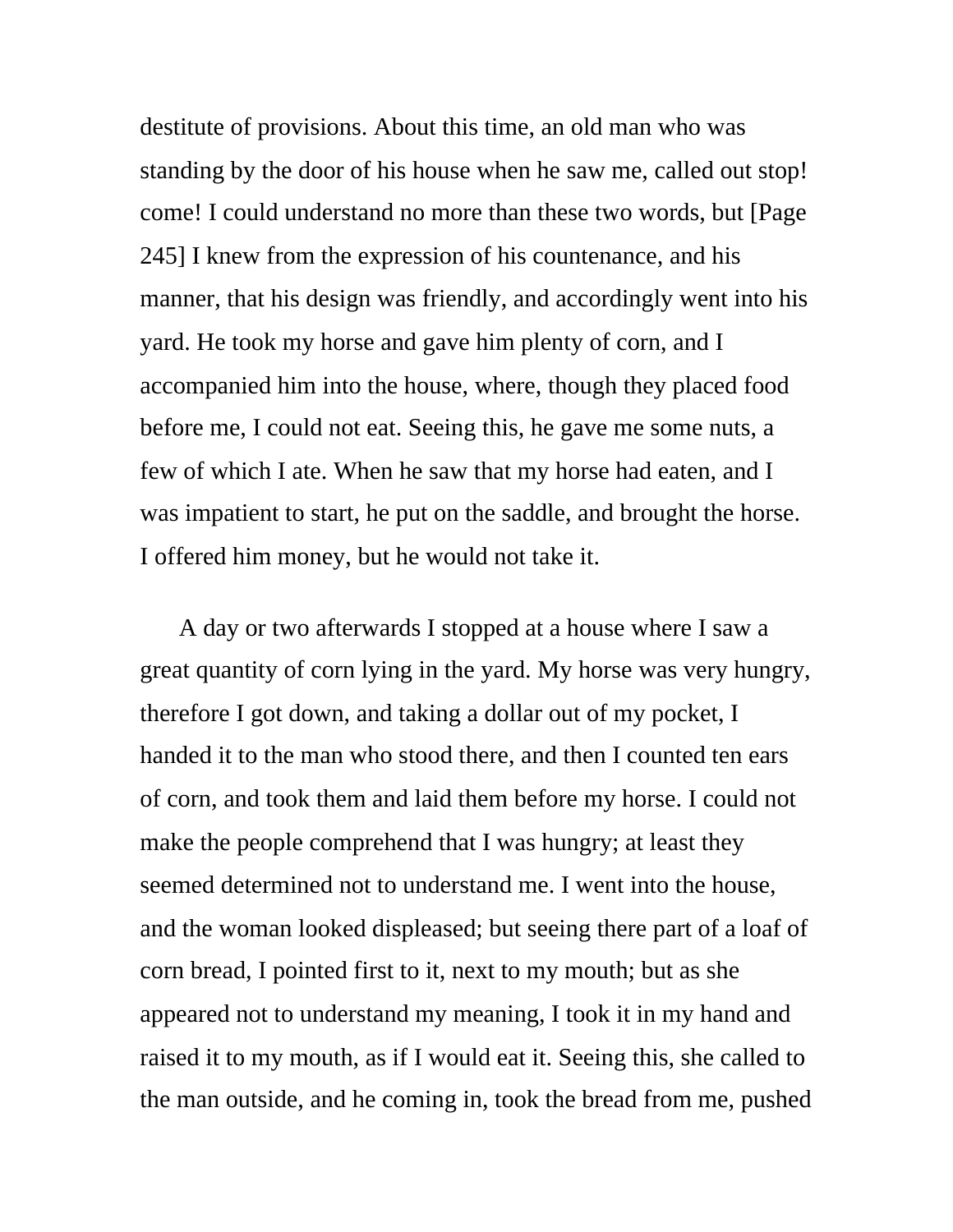destitute of provisions. About this time, an old man who was standing by the door of his house when he saw me, called out stop! come! I could understand no more than these two words, but [Page 245] I knew from the expression of his countenance, and his manner, that his design was friendly, and accordingly went into his yard. He took my horse and gave him plenty of corn, and I accompanied him into the house, where, though they placed food before me, I could not eat. Seeing this, he gave me some nuts, a few of which I ate. When he saw that my horse had eaten, and I was impatient to start, he put on the saddle, and brought the horse. I offered him money, but he would not take it.

A day or two afterwards I stopped at a house where I saw a great quantity of corn lying in the yard. My horse was very hungry, therefore I got down, and taking a dollar out of my pocket, I handed it to the man who stood there, and then I counted ten ears of corn, and took them and laid them before my horse. I could not make the people comprehend that I was hungry; at least they seemed determined not to understand me. I went into the house, and the woman looked displeased; but seeing there part of a loaf of corn bread, I pointed first to it, next to my mouth; but as she appeared not to understand my meaning, I took it in my hand and raised it to my mouth, as if I would eat it. Seeing this, she called to the man outside, and he coming in, took the bread from me, pushed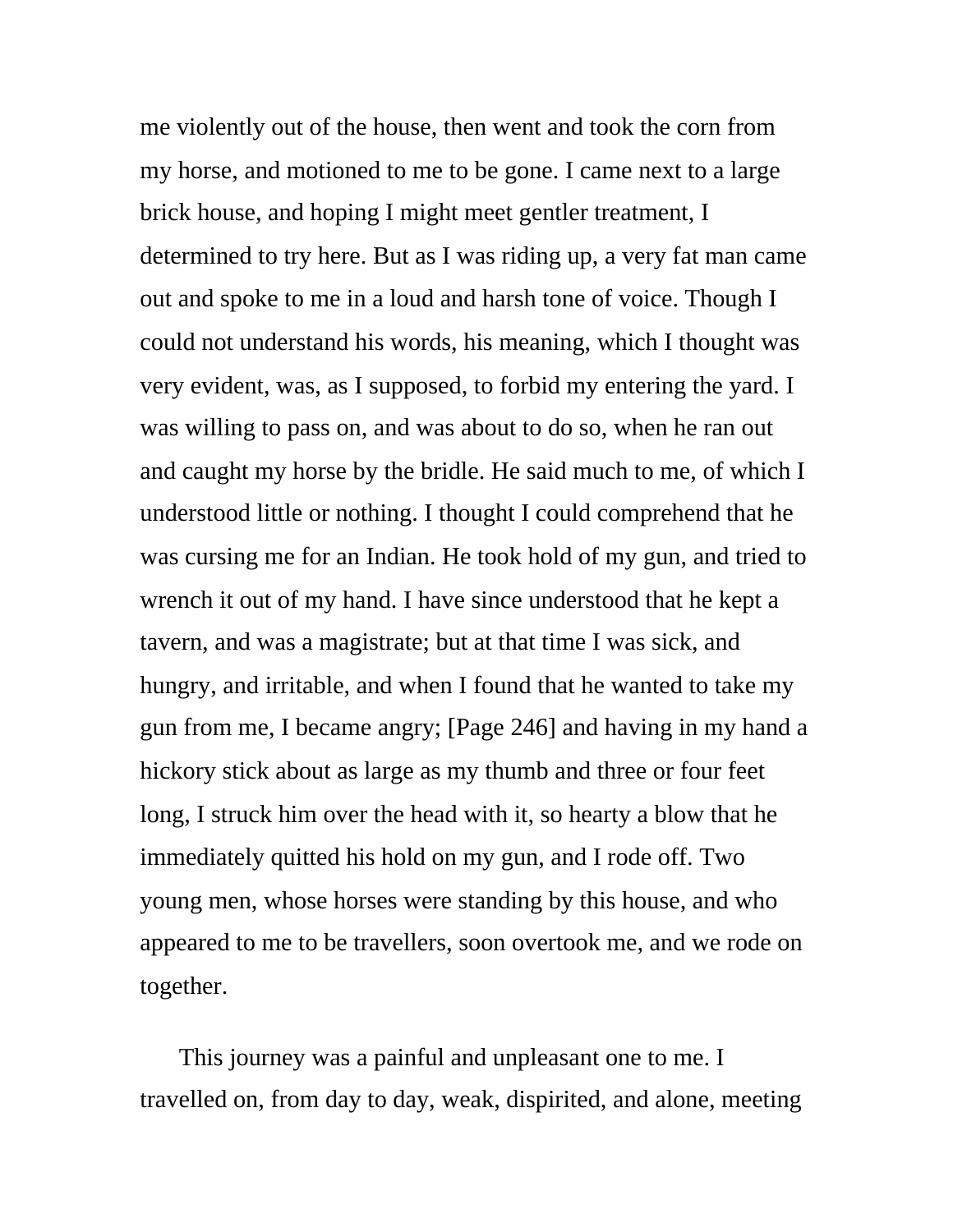me violently out of the house, then went and took the corn from my horse, and motioned to me to be gone. I came next to a large brick house, and hoping I might meet gentler treatment, I determined to try here. But as I was riding up, a very fat man came out and spoke to me in a loud and harsh tone of voice. Though I could not understand his words, his meaning, which I thought was very evident, was, as I supposed, to forbid my entering the yard. I was willing to pass on, and was about to do so, when he ran out and caught my horse by the bridle. He said much to me, of which I understood little or nothing. I thought I could comprehend that he was cursing me for an Indian. He took hold of my gun, and tried to wrench it out of my hand. I have since understood that he kept a tavern, and was a magistrate; but at that time I was sick, and hungry, and irritable, and when I found that he wanted to take my gun from me, I became angry; [Page 246] and having in my hand a hickory stick about as large as my thumb and three or four feet long, I struck him over the head with it, so hearty a blow that he immediately quitted his hold on my gun, and I rode off. Two young men, whose horses were standing by this house, and who appeared to me to be travellers, soon overtook me, and we rode on together.

This journey was a painful and unpleasant one to me. I travelled on, from day to day, weak, dispirited, and alone, meeting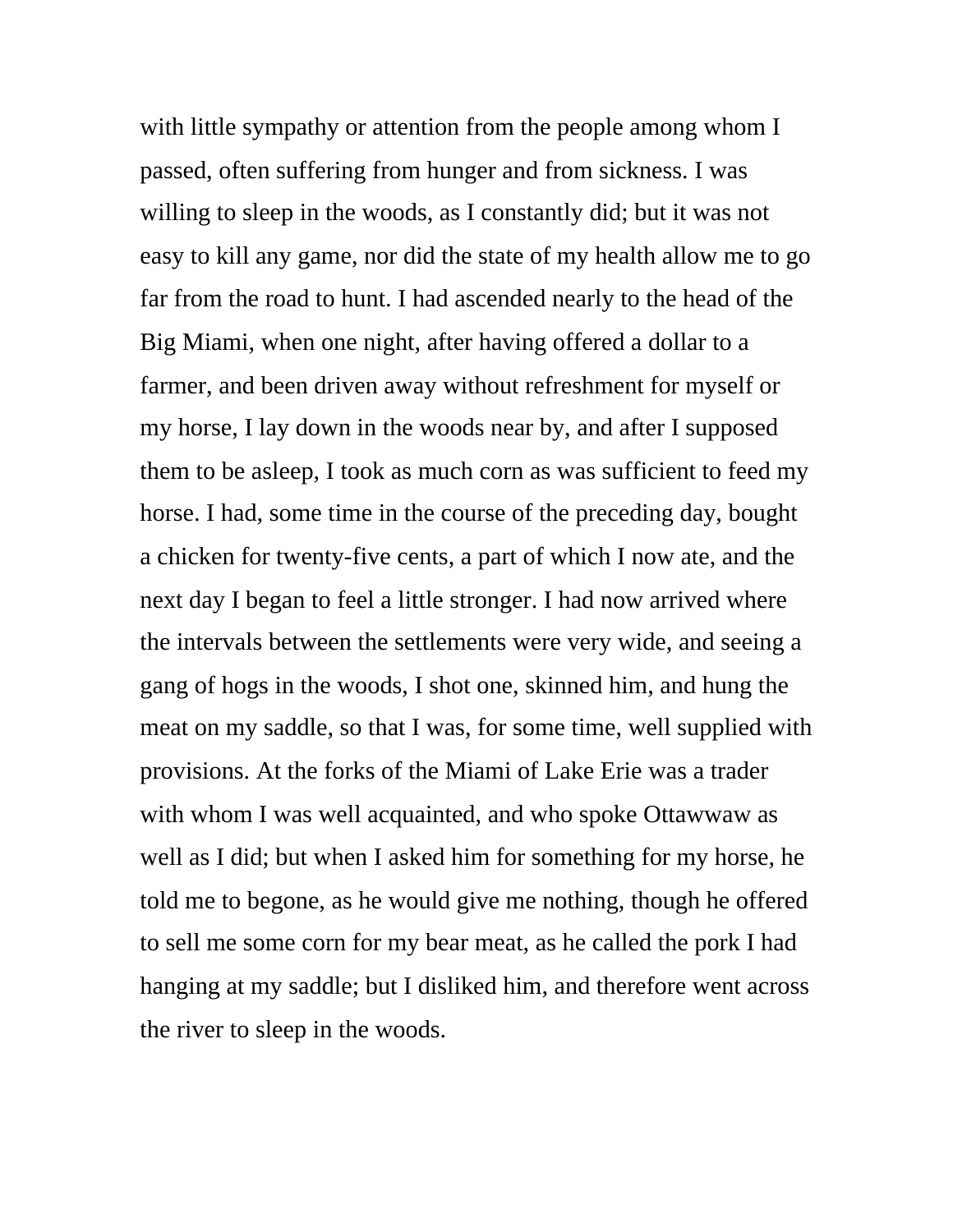with little sympathy or attention from the people among whom I passed, often suffering from hunger and from sickness. I was willing to sleep in the woods, as I constantly did; but it was not easy to kill any game, nor did the state of my health allow me to go far from the road to hunt. I had ascended nearly to the head of the Big Miami, when one night, after having offered a dollar to a farmer, and been driven away without refreshment for myself or my horse, I lay down in the woods near by, and after I supposed them to be asleep, I took as much corn as was sufficient to feed my horse. I had, some time in the course of the preceding day, bought a chicken for twenty-five cents, a part of which I now ate, and the next day I began to feel a little stronger. I had now arrived where the intervals between the settlements were very wide, and seeing a gang of hogs in the woods, I shot one, skinned him, and hung the meat on my saddle, so that I was, for some time, well supplied with provisions. At the forks of the Miami of Lake Erie was a trader with whom I was well acquainted, and who spoke Ottawwaw as well as I did; but when I asked him for something for my horse, he told me to begone, as he would give me nothing, though he offered to sell me some corn for my bear meat, as he called the pork I had hanging at my saddle; but I disliked him, and therefore went across the river to sleep in the woods.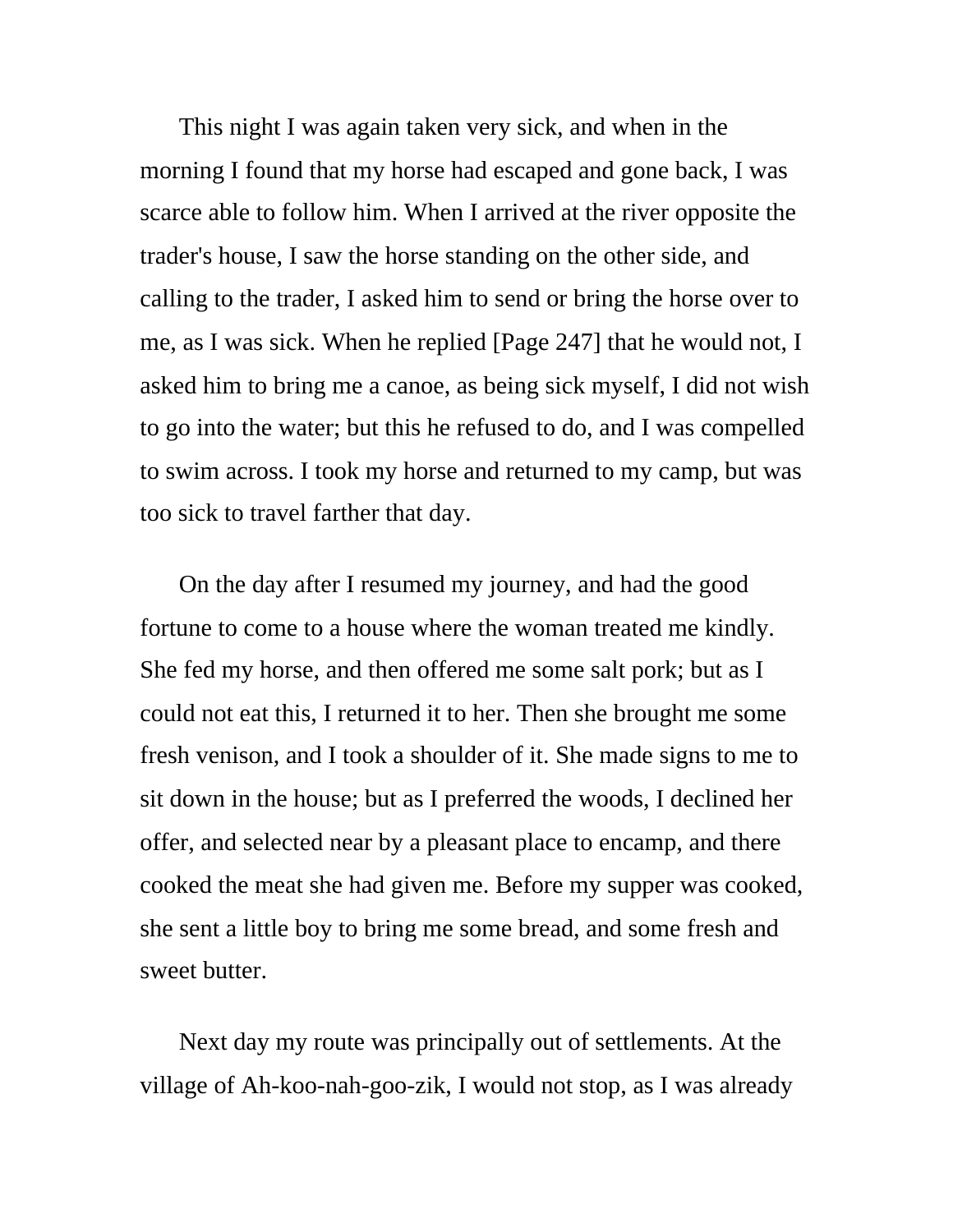This night I was again taken very sick, and when in the morning I found that my horse had escaped and gone back, I was scarce able to follow him. When I arrived at the river opposite the trader's house, I saw the horse standing on the other side, and calling to the trader, I asked him to send or bring the horse over to me, as I was sick. When he replied [Page 247] that he would not, I asked him to bring me a canoe, as being sick myself, I did not wish to go into the water; but this he refused to do, and I was compelled to swim across. I took my horse and returned to my camp, but was too sick to travel farther that day.

On the day after I resumed my journey, and had the good fortune to come to a house where the woman treated me kindly. She fed my horse, and then offered me some salt pork; but as I could not eat this, I returned it to her. Then she brought me some fresh venison, and I took a shoulder of it. She made signs to me to sit down in the house; but as I preferred the woods, I declined her offer, and selected near by a pleasant place to encamp, and there cooked the meat she had given me. Before my supper was cooked, she sent a little boy to bring me some bread, and some fresh and sweet butter.

Next day my route was principally out of settlements. At the village of Ah-koo-nah-goo-zik, I would not stop, as I was already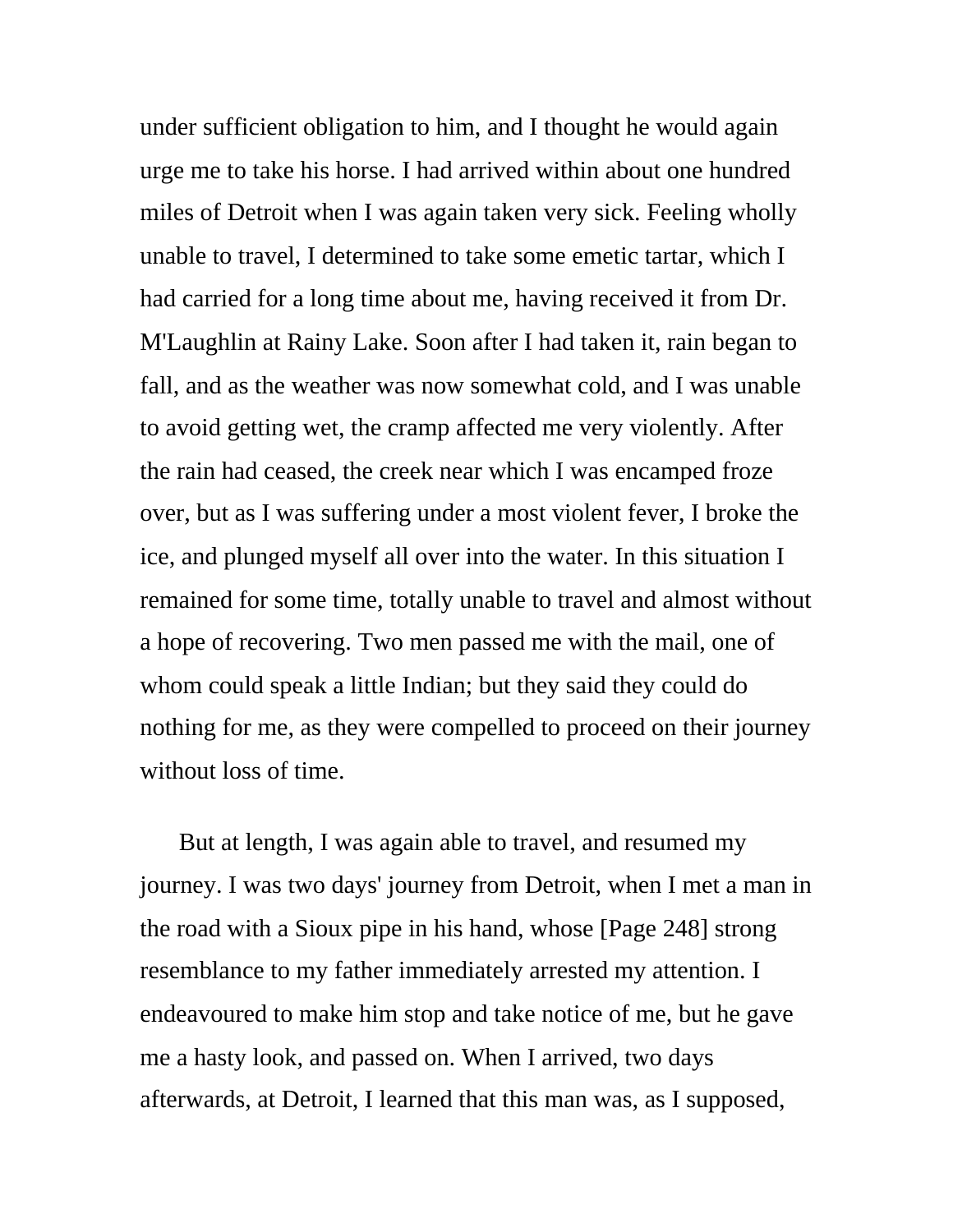under sufficient obligation to him, and I thought he would again urge me to take his horse. I had arrived within about one hundred miles of Detroit when I was again taken very sick. Feeling wholly unable to travel, I determined to take some emetic tartar, which I had carried for a long time about me, having received it from Dr. M'Laughlin at Rainy Lake. Soon after I had taken it, rain began to fall, and as the weather was now somewhat cold, and I was unable to avoid getting wet, the cramp affected me very violently. After the rain had ceased, the creek near which I was encamped froze over, but as I was suffering under a most violent fever, I broke the ice, and plunged myself all over into the water. In this situation I remained for some time, totally unable to travel and almost without a hope of recovering. Two men passed me with the mail, one of whom could speak a little Indian; but they said they could do nothing for me, as they were compelled to proceed on their journey without loss of time.

But at length, I was again able to travel, and resumed my journey. I was two days' journey from Detroit, when I met a man in the road with a Sioux pipe in his hand, whose [Page 248] strong resemblance to my father immediately arrested my attention. I endeavoured to make him stop and take notice of me, but he gave me a hasty look, and passed on. When I arrived, two days afterwards, at Detroit, I learned that this man was, as I supposed,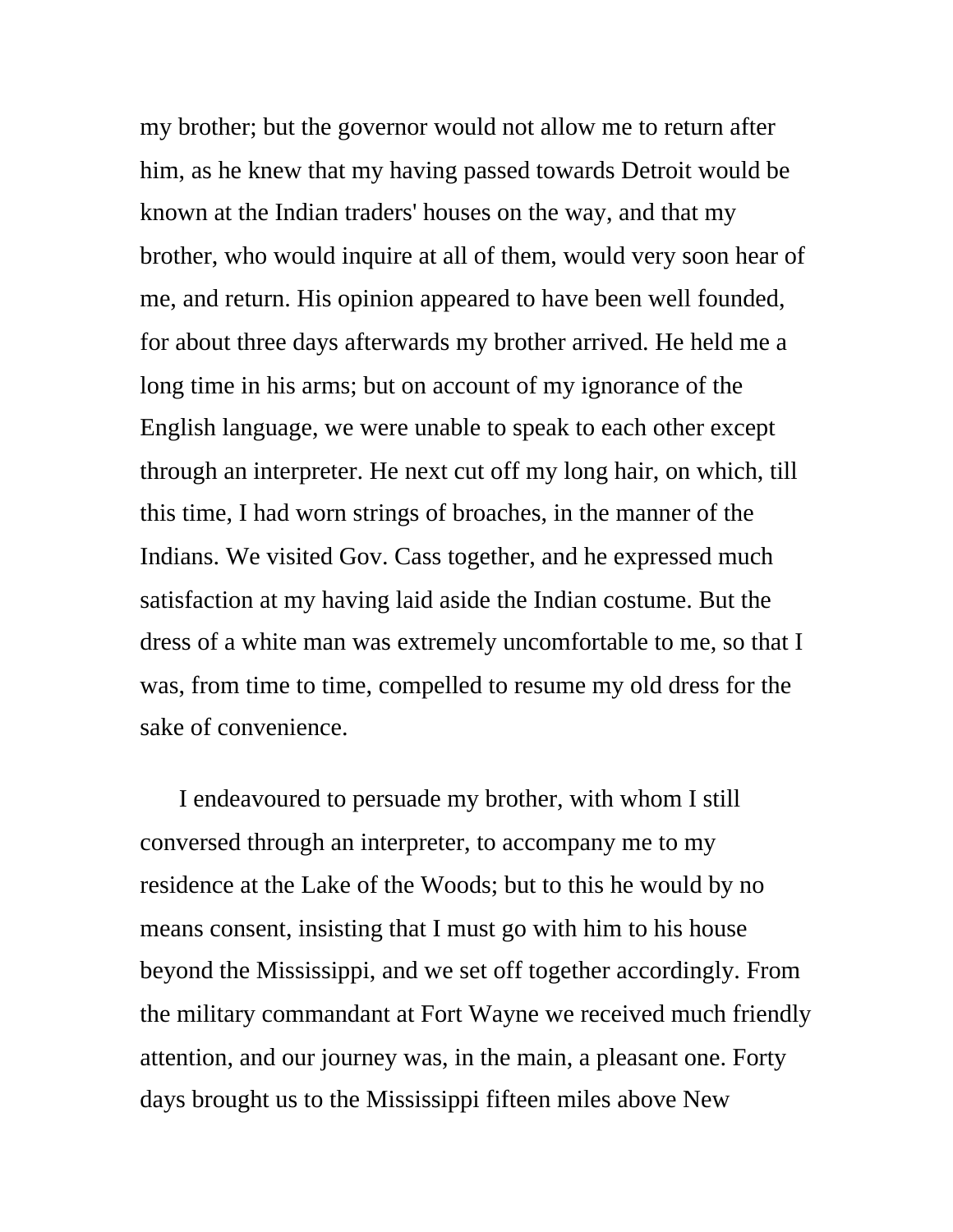my brother; but the governor would not allow me to return after him, as he knew that my having passed towards Detroit would be known at the Indian traders' houses on the way, and that my brother, who would inquire at all of them, would very soon hear of me, and return. His opinion appeared to have been well founded, for about three days afterwards my brother arrived. He held me a long time in his arms; but on account of my ignorance of the English language, we were unable to speak to each other except through an interpreter. He next cut off my long hair, on which, till this time, I had worn strings of broaches, in the manner of the Indians. We visited Gov. Cass together, and he expressed much satisfaction at my having laid aside the Indian costume. But the dress of a white man was extremely uncomfortable to me, so that I was, from time to time, compelled to resume my old dress for the sake of convenience.

I endeavoured to persuade my brother, with whom I still conversed through an interpreter, to accompany me to my residence at the Lake of the Woods; but to this he would by no means consent, insisting that I must go with him to his house beyond the Mississippi, and we set off together accordingly. From the military commandant at Fort Wayne we received much friendly attention, and our journey was, in the main, a pleasant one. Forty days brought us to the Mississippi fifteen miles above New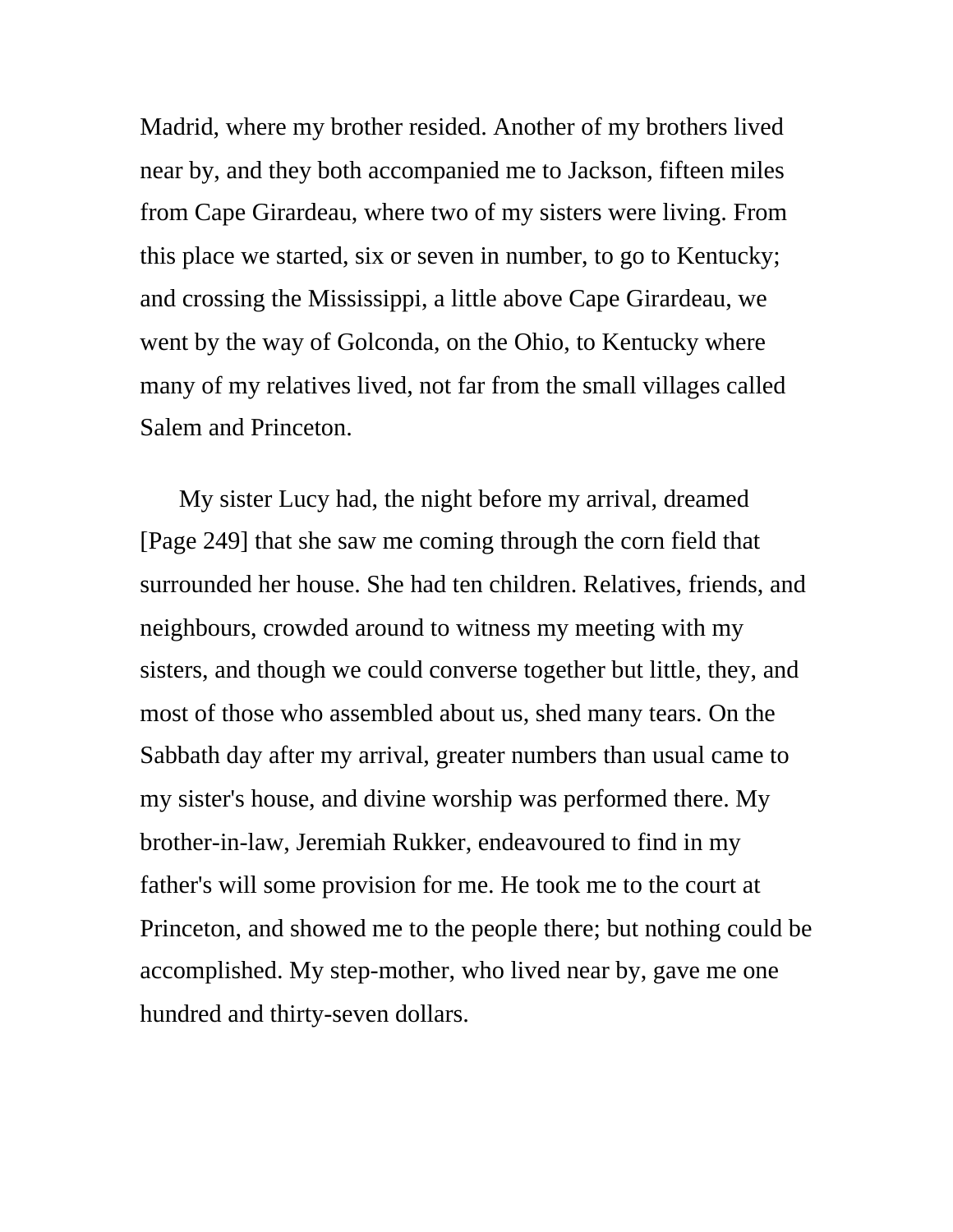Madrid, where my brother resided. Another of my brothers lived near by, and they both accompanied me to Jackson, fifteen miles from Cape Girardeau, where two of my sisters were living. From this place we started, six or seven in number, to go to Kentucky; and crossing the Mississippi, a little above Cape Girardeau, we went by the way of Golconda, on the Ohio, to Kentucky where many of my relatives lived, not far from the small villages called Salem and Princeton.

My sister Lucy had, the night before my arrival, dreamed [Page 249] that she saw me coming through the corn field that surrounded her house. She had ten children. Relatives, friends, and neighbours, crowded around to witness my meeting with my sisters, and though we could converse together but little, they, and most of those who assembled about us, shed many tears. On the Sabbath day after my arrival, greater numbers than usual came to my sister's house, and divine worship was performed there. My brother-in-law, Jeremiah Rukker, endeavoured to find in my father's will some provision for me. He took me to the court at Princeton, and showed me to the people there; but nothing could be accomplished. My step-mother, who lived near by, gave me one hundred and thirty-seven dollars.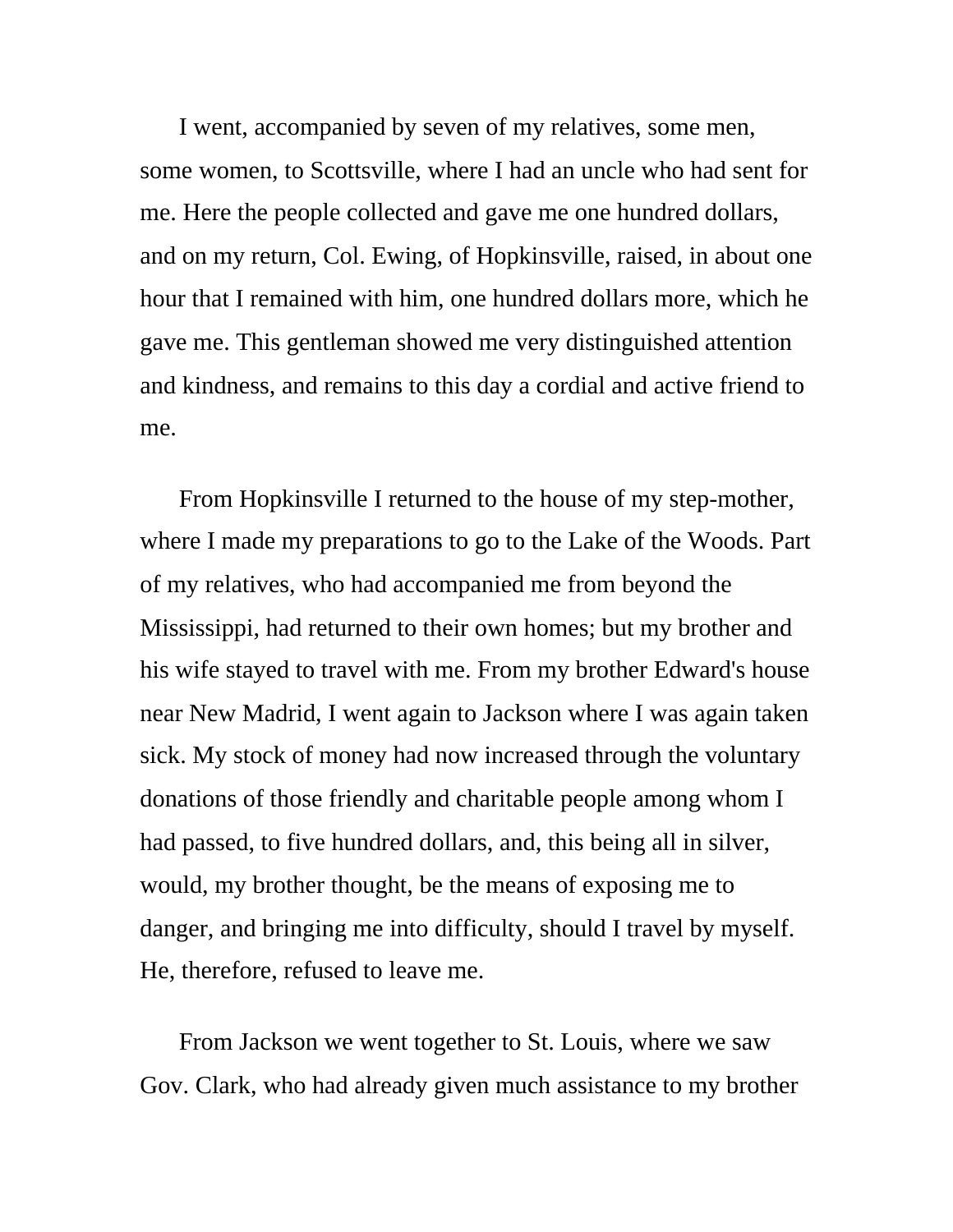I went, accompanied by seven of my relatives, some men, some women, to Scottsville, where I had an uncle who had sent for me. Here the people collected and gave me one hundred dollars, and on my return, Col. Ewing, of Hopkinsville, raised, in about one hour that I remained with him, one hundred dollars more, which he gave me. This gentleman showed me very distinguished attention and kindness, and remains to this day a cordial and active friend to me.

From Hopkinsville I returned to the house of my step-mother, where I made my preparations to go to the Lake of the Woods. Part of my relatives, who had accompanied me from beyond the Mississippi, had returned to their own homes; but my brother and his wife stayed to travel with me. From my brother Edward's house near New Madrid, I went again to Jackson where I was again taken sick. My stock of money had now increased through the voluntary donations of those friendly and charitable people among whom I had passed, to five hundred dollars, and, this being all in silver, would, my brother thought, be the means of exposing me to danger, and bringing me into difficulty, should I travel by myself. He, therefore, refused to leave me.

From Jackson we went together to St. Louis, where we saw Gov. Clark, who had already given much assistance to my brother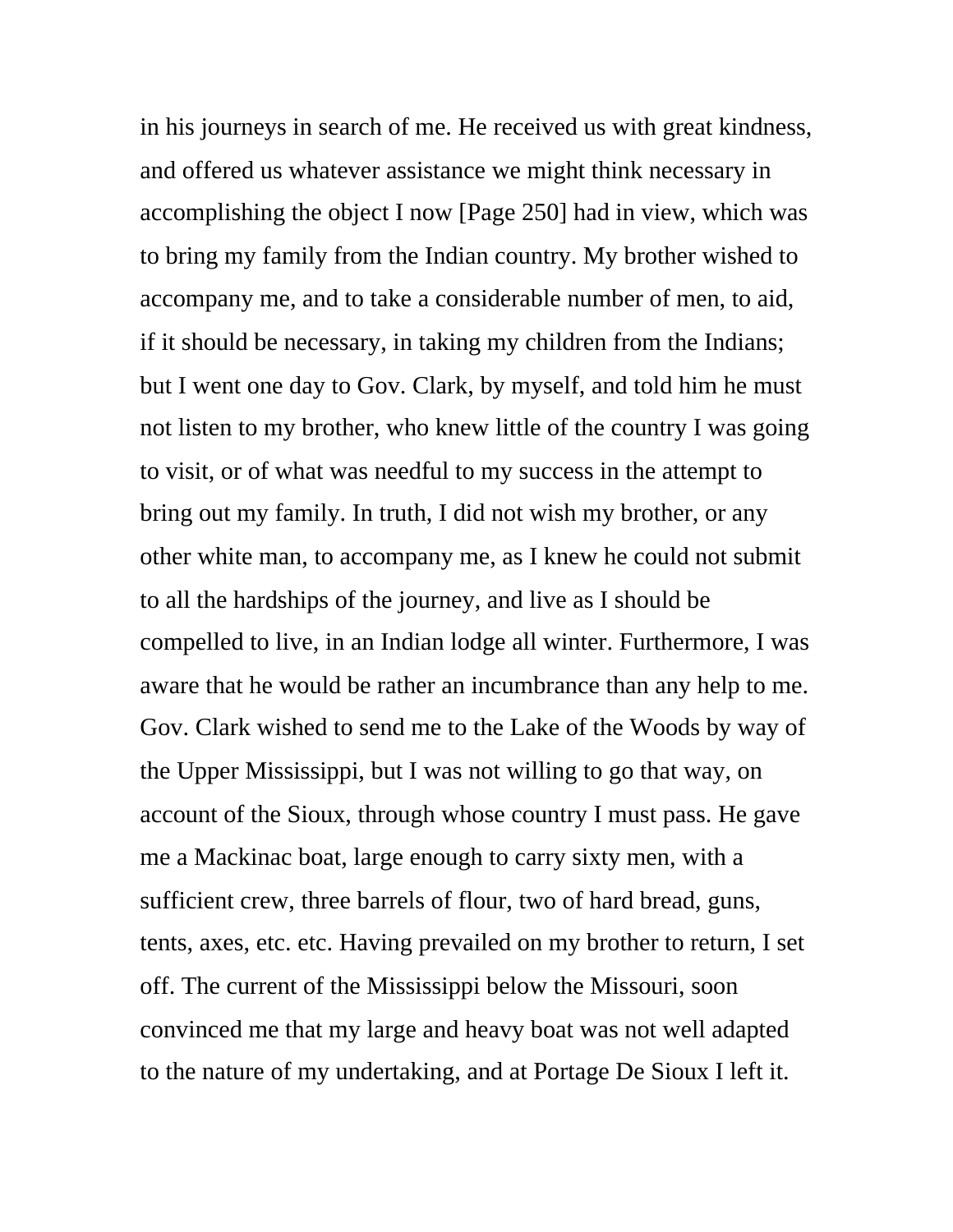in his journeys in search of me. He received us with great kindness, and offered us whatever assistance we might think necessary in accomplishing the object I now [Page 250] had in view, which was to bring my family from the Indian country. My brother wished to accompany me, and to take a considerable number of men, to aid, if it should be necessary, in taking my children from the Indians; but I went one day to Gov. Clark, by myself, and told him he must not listen to my brother, who knew little of the country I was going to visit, or of what was needful to my success in the attempt to bring out my family. In truth, I did not wish my brother, or any other white man, to accompany me, as I knew he could not submit to all the hardships of the journey, and live as I should be compelled to live, in an Indian lodge all winter. Furthermore, I was aware that he would be rather an incumbrance than any help to me. Gov. Clark wished to send me to the Lake of the Woods by way of the Upper Mississippi, but I was not willing to go that way, on account of the Sioux, through whose country I must pass. He gave me a Mackinac boat, large enough to carry sixty men, with a sufficient crew, three barrels of flour, two of hard bread, guns, tents, axes, etc. etc. Having prevailed on my brother to return, I set off. The current of the Mississippi below the Missouri, soon convinced me that my large and heavy boat was not well adapted to the nature of my undertaking, and at Portage De Sioux I left it.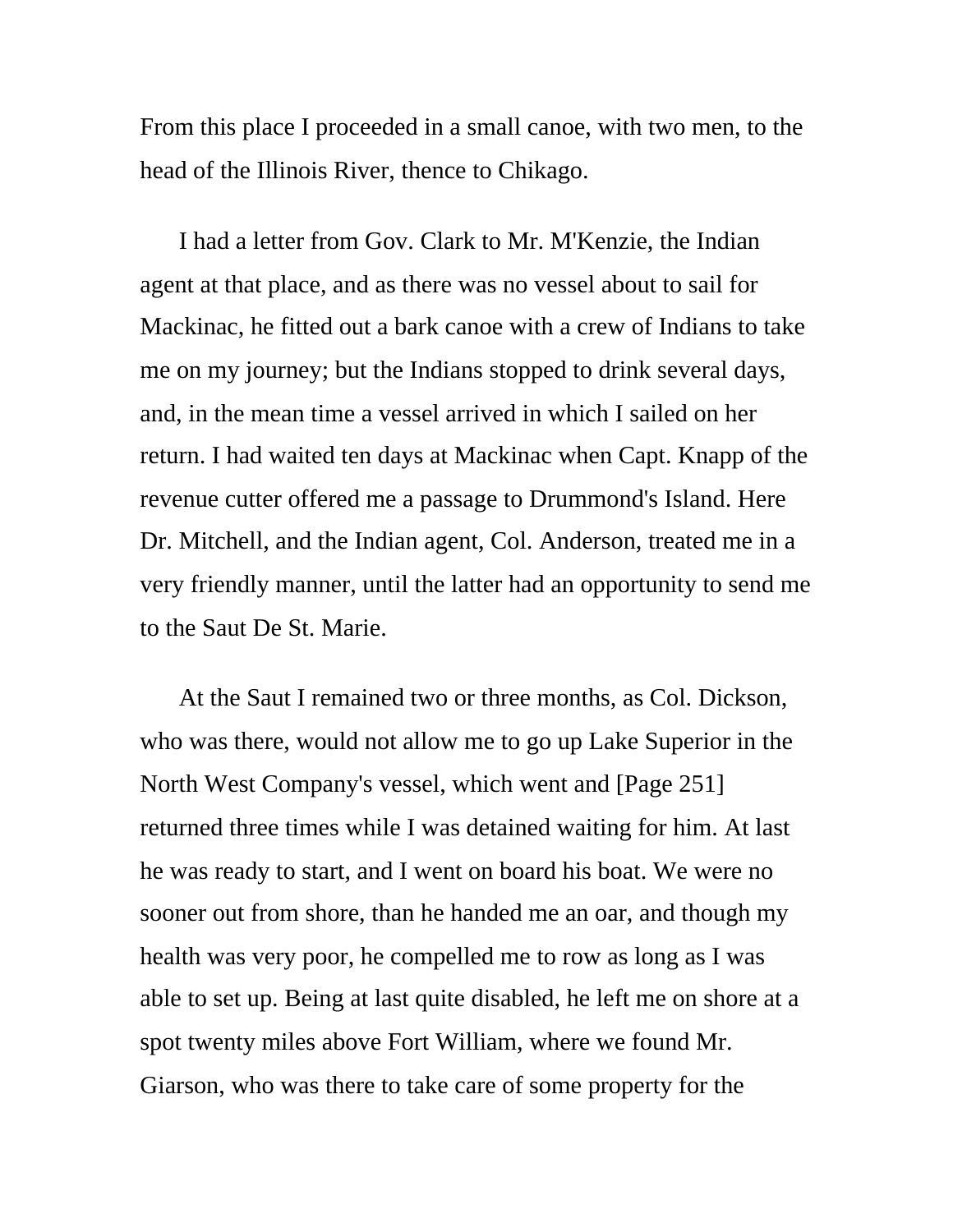From this place I proceeded in a small canoe, with two men, to the head of the Illinois River, thence to Chikago.

I had a letter from Gov. Clark to Mr. M'Kenzie, the Indian agent at that place, and as there was no vessel about to sail for Mackinac, he fitted out a bark canoe with a crew of Indians to take me on my journey; but the Indians stopped to drink several days, and, in the mean time a vessel arrived in which I sailed on her return. I had waited ten days at Mackinac when Capt. Knapp of the revenue cutter offered me a passage to Drummond's Island. Here Dr. Mitchell, and the Indian agent, Col. Anderson, treated me in a very friendly manner, until the latter had an opportunity to send me to the Saut De St. Marie.

At the Saut I remained two or three months, as Col. Dickson, who was there, would not allow me to go up Lake Superior in the North West Company's vessel, which went and [Page 251] returned three times while I was detained waiting for him. At last he was ready to start, and I went on board his boat. We were no sooner out from shore, than he handed me an oar, and though my health was very poor, he compelled me to row as long as I was able to set up. Being at last quite disabled, he left me on shore at a spot twenty miles above Fort William, where we found Mr. Giarson, who was there to take care of some property for the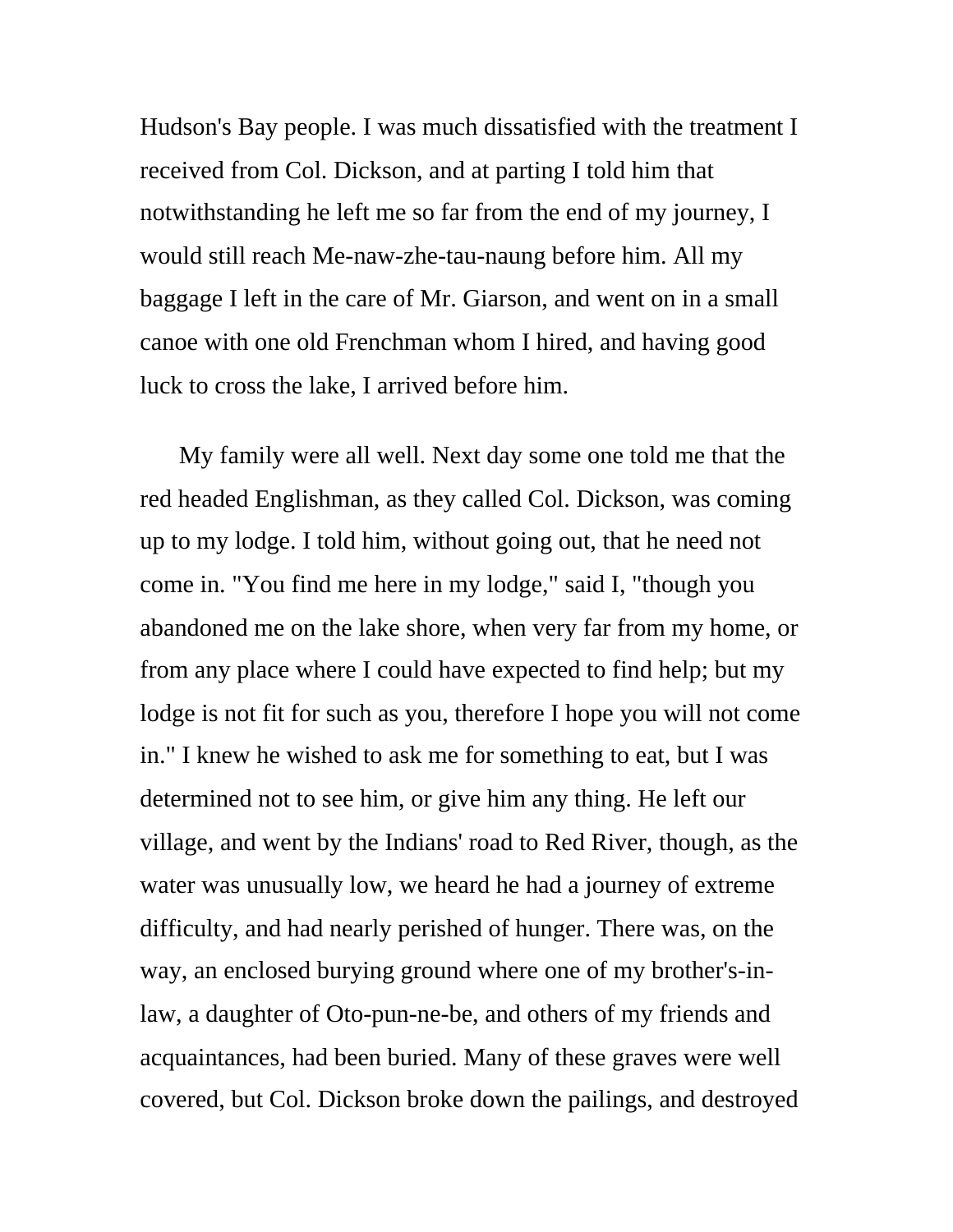Hudson's Bay people. I was much dissatisfied with the treatment I received from Col. Dickson, and at parting I told him that notwithstanding he left me so far from the end of my journey, I would still reach Me-naw-zhe-tau-naung before him. All my baggage I left in the care of Mr. Giarson, and went on in a small canoe with one old Frenchman whom I hired, and having good luck to cross the lake, I arrived before him.

My family were all well. Next day some one told me that the red headed Englishman, as they called Col. Dickson, was coming up to my lodge. I told him, without going out, that he need not come in. "You find me here in my lodge," said I, "though you abandoned me on the lake shore, when very far from my home, or from any place where I could have expected to find help; but my lodge is not fit for such as you, therefore I hope you will not come in." I knew he wished to ask me for something to eat, but I was determined not to see him, or give him any thing. He left our village, and went by the Indians' road to Red River, though, as the water was unusually low, we heard he had a journey of extreme difficulty, and had nearly perished of hunger. There was, on the way, an enclosed burying ground where one of my brother's-inlaw, a daughter of Oto-pun-ne-be, and others of my friends and acquaintances, had been buried. Many of these graves were well covered, but Col. Dickson broke down the pailings, and destroyed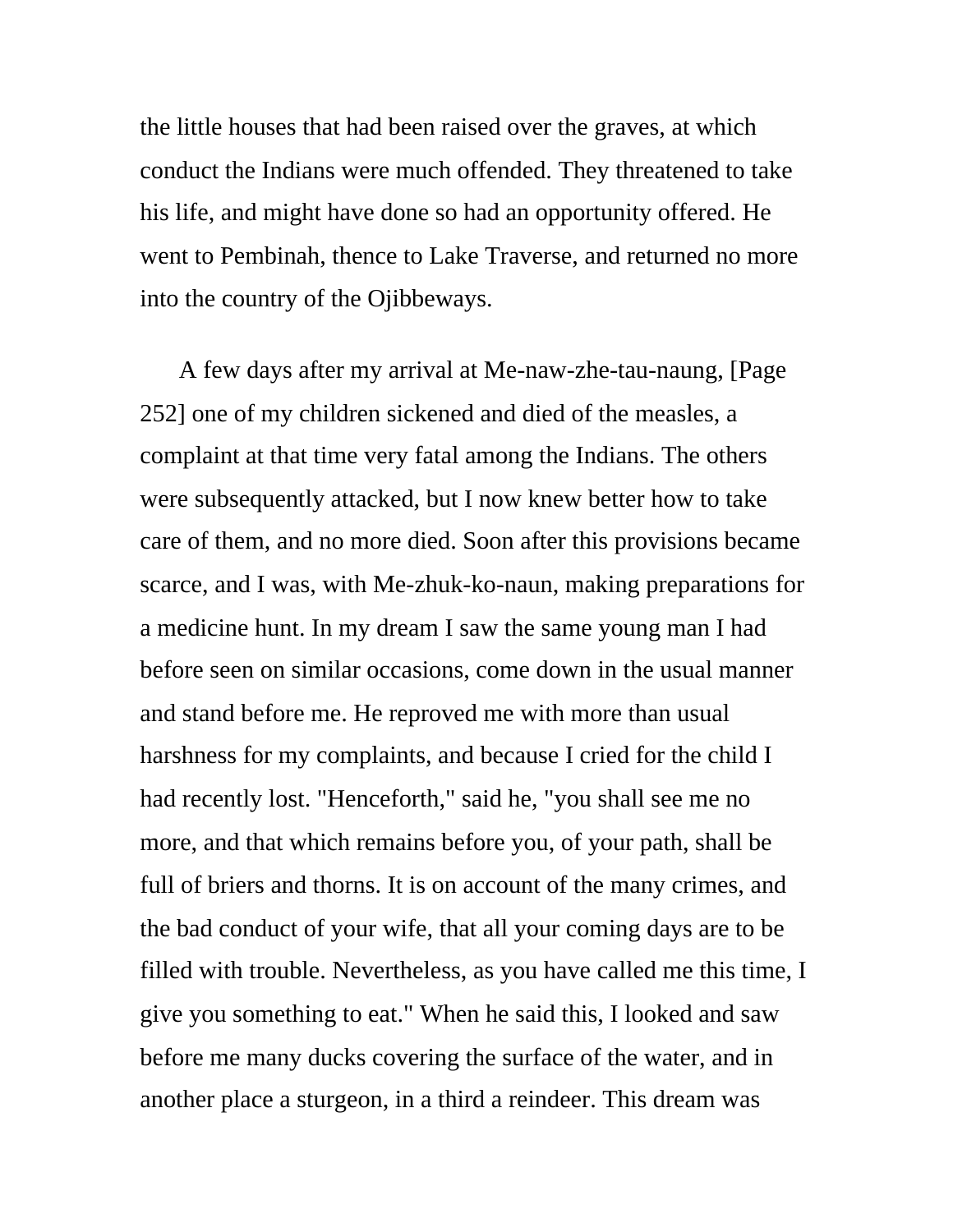the little houses that had been raised over the graves, at which conduct the Indians were much offended. They threatened to take his life, and might have done so had an opportunity offered. He went to Pembinah, thence to Lake Traverse, and returned no more into the country of the Ojibbeways.

A few days after my arrival at Me-naw-zhe-tau-naung, [Page 252] one of my children sickened and died of the measles, a complaint at that time very fatal among the Indians. The others were subsequently attacked, but I now knew better how to take care of them, and no more died. Soon after this provisions became scarce, and I was, with Me-zhuk-ko-naun, making preparations for a medicine hunt. In my dream I saw the same young man I had before seen on similar occasions, come down in the usual manner and stand before me. He reproved me with more than usual harshness for my complaints, and because I cried for the child I had recently lost. "Henceforth," said he, "you shall see me no more, and that which remains before you, of your path, shall be full of briers and thorns. It is on account of the many crimes, and the bad conduct of your wife, that all your coming days are to be filled with trouble. Nevertheless, as you have called me this time, I give you something to eat." When he said this, I looked and saw before me many ducks covering the surface of the water, and in another place a sturgeon, in a third a reindeer. This dream was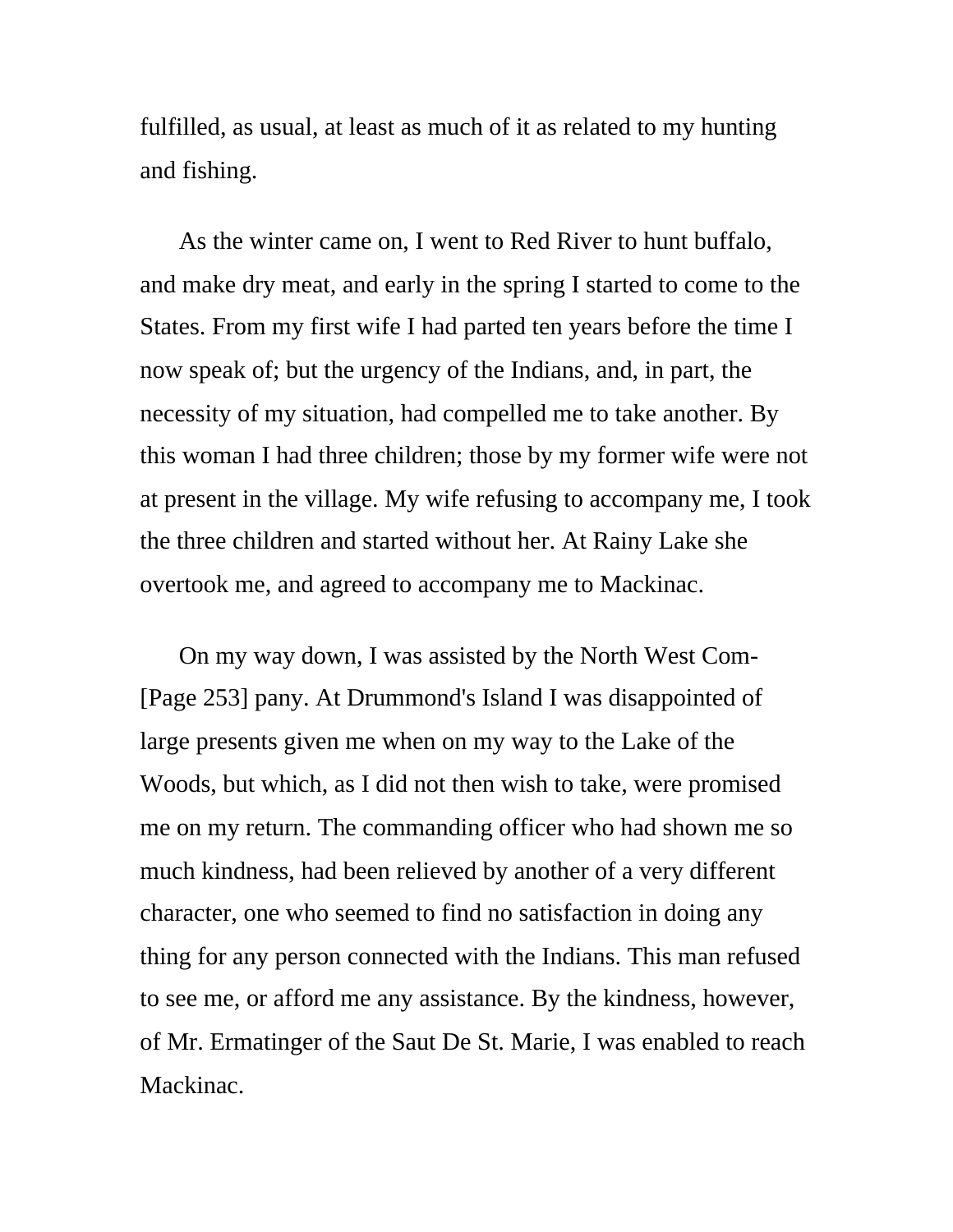fulfilled, as usual, at least as much of it as related to my hunting and fishing.

As the winter came on, I went to Red River to hunt buffalo, and make dry meat, and early in the spring I started to come to the States. From my first wife I had parted ten years before the time I now speak of; but the urgency of the Indians, and, in part, the necessity of my situation, had compelled me to take another. By this woman I had three children; those by my former wife were not at present in the village. My wife refusing to accompany me, I took the three children and started without her. At Rainy Lake she overtook me, and agreed to accompany me to Mackinac.

On my way down, I was assisted by the North West Com- [Page 253] pany. At Drummond's Island I was disappointed of large presents given me when on my way to the Lake of the Woods, but which, as I did not then wish to take, were promised me on my return. The commanding officer who had shown me so much kindness, had been relieved by another of a very different character, one who seemed to find no satisfaction in doing any thing for any person connected with the Indians. This man refused to see me, or afford me any assistance. By the kindness, however, of Mr. Ermatinger of the Saut De St. Marie, I was enabled to reach Mackinac.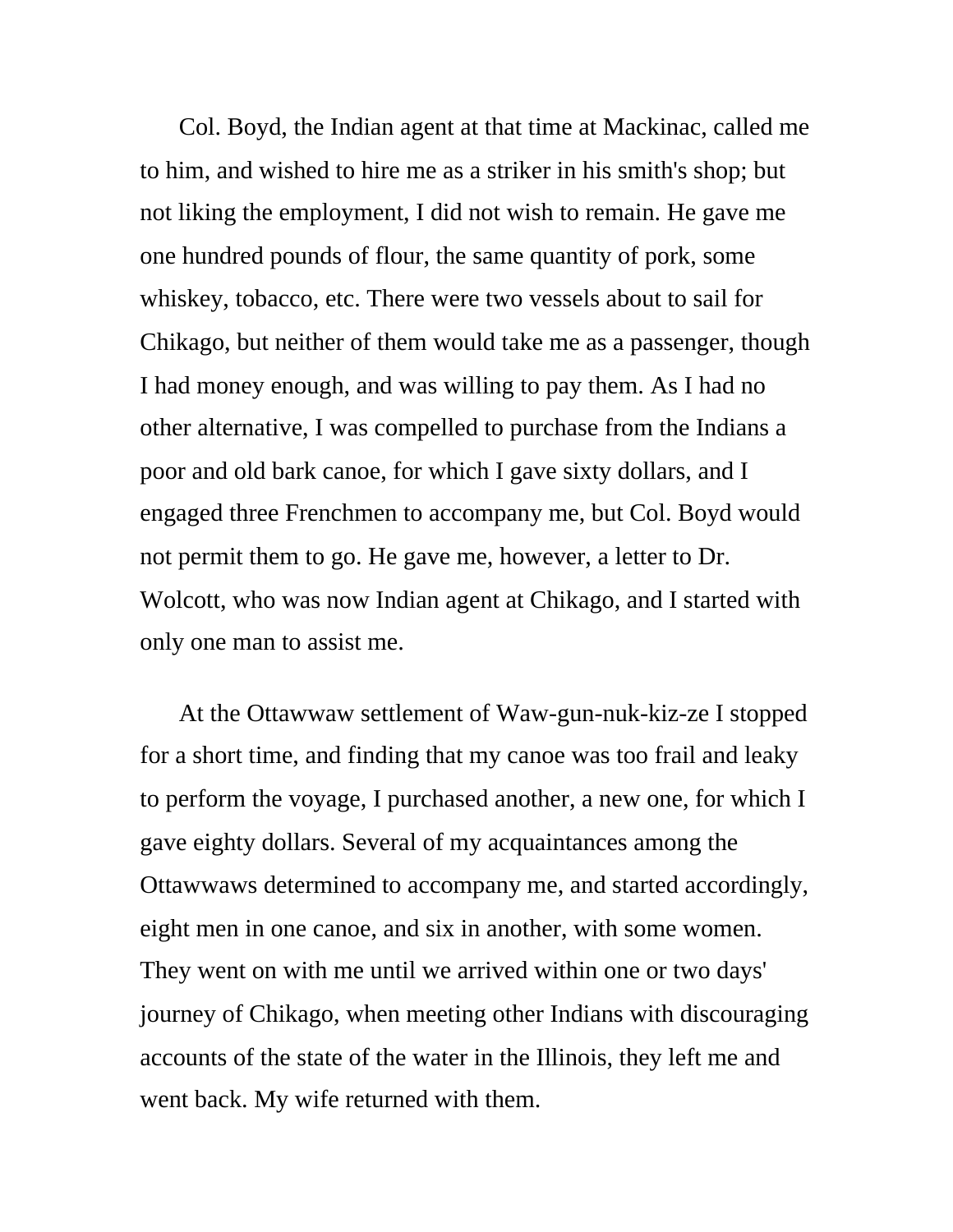Col. Boyd, the Indian agent at that time at Mackinac, called me to him, and wished to hire me as a striker in his smith's shop; but not liking the employment, I did not wish to remain. He gave me one hundred pounds of flour, the same quantity of pork, some whiskey, tobacco, etc. There were two vessels about to sail for Chikago, but neither of them would take me as a passenger, though I had money enough, and was willing to pay them. As I had no other alternative, I was compelled to purchase from the Indians a poor and old bark canoe, for which I gave sixty dollars, and I engaged three Frenchmen to accompany me, but Col. Boyd would not permit them to go. He gave me, however, a letter to Dr. Wolcott, who was now Indian agent at Chikago, and I started with only one man to assist me.

At the Ottawwaw settlement of Waw-gun-nuk-kiz-ze I stopped for a short time, and finding that my canoe was too frail and leaky to perform the voyage, I purchased another, a new one, for which I gave eighty dollars. Several of my acquaintances among the Ottawwaws determined to accompany me, and started accordingly, eight men in one canoe, and six in another, with some women. They went on with me until we arrived within one or two days' journey of Chikago, when meeting other Indians with discouraging accounts of the state of the water in the Illinois, they left me and went back. My wife returned with them.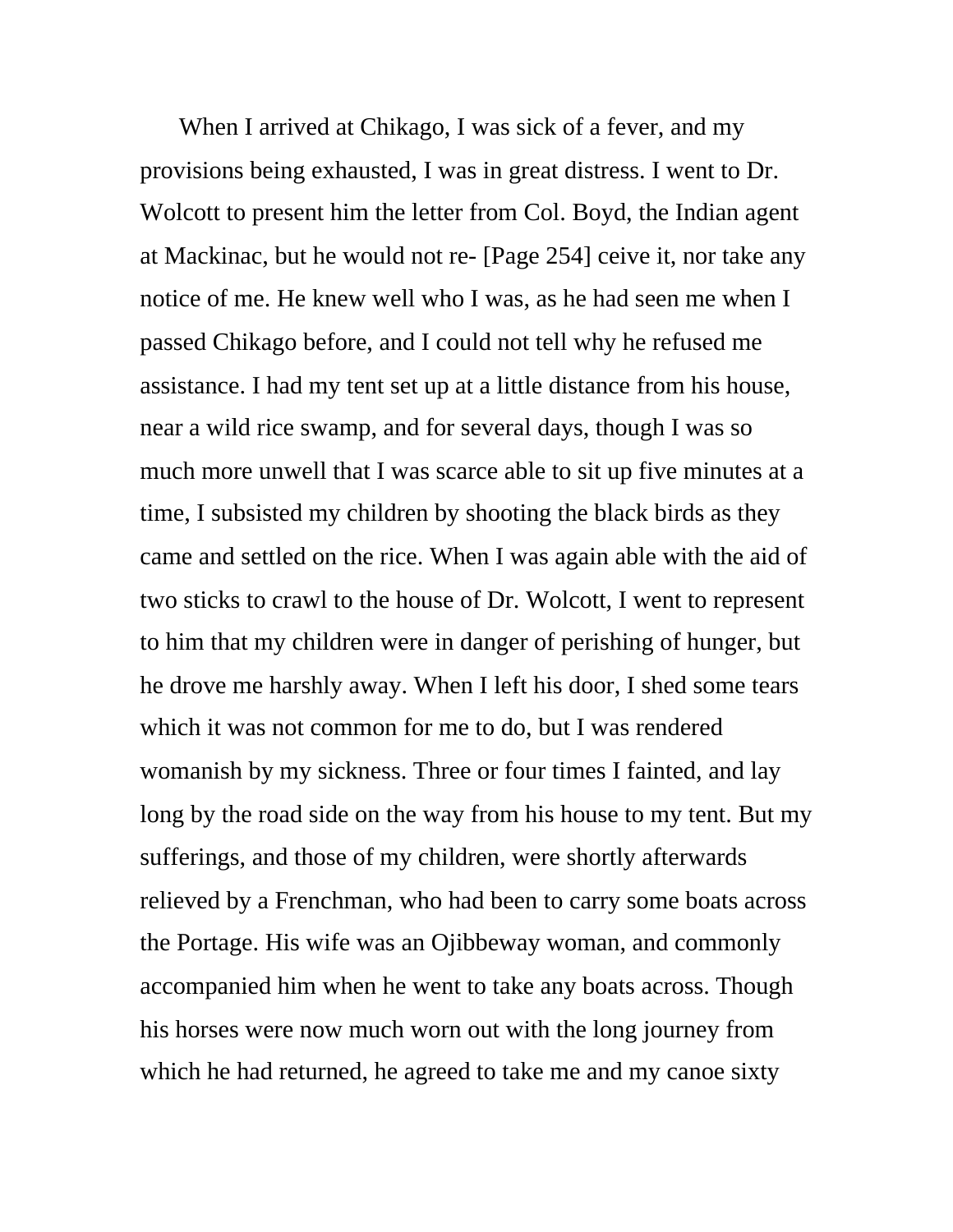When I arrived at Chikago, I was sick of a fever, and my provisions being exhausted, I was in great distress. I went to Dr. Wolcott to present him the letter from Col. Boyd, the Indian agent at Mackinac, but he would not re- [Page 254] ceive it, nor take any notice of me. He knew well who I was, as he had seen me when I passed Chikago before, and I could not tell why he refused me assistance. I had my tent set up at a little distance from his house, near a wild rice swamp, and for several days, though I was so much more unwell that I was scarce able to sit up five minutes at a time, I subsisted my children by shooting the black birds as they came and settled on the rice. When I was again able with the aid of two sticks to crawl to the house of Dr. Wolcott, I went to represent to him that my children were in danger of perishing of hunger, but he drove me harshly away. When I left his door, I shed some tears which it was not common for me to do, but I was rendered womanish by my sickness. Three or four times I fainted, and lay long by the road side on the way from his house to my tent. But my sufferings, and those of my children, were shortly afterwards relieved by a Frenchman, who had been to carry some boats across the Portage. His wife was an Ojibbeway woman, and commonly accompanied him when he went to take any boats across. Though his horses were now much worn out with the long journey from which he had returned, he agreed to take me and my canoe sixty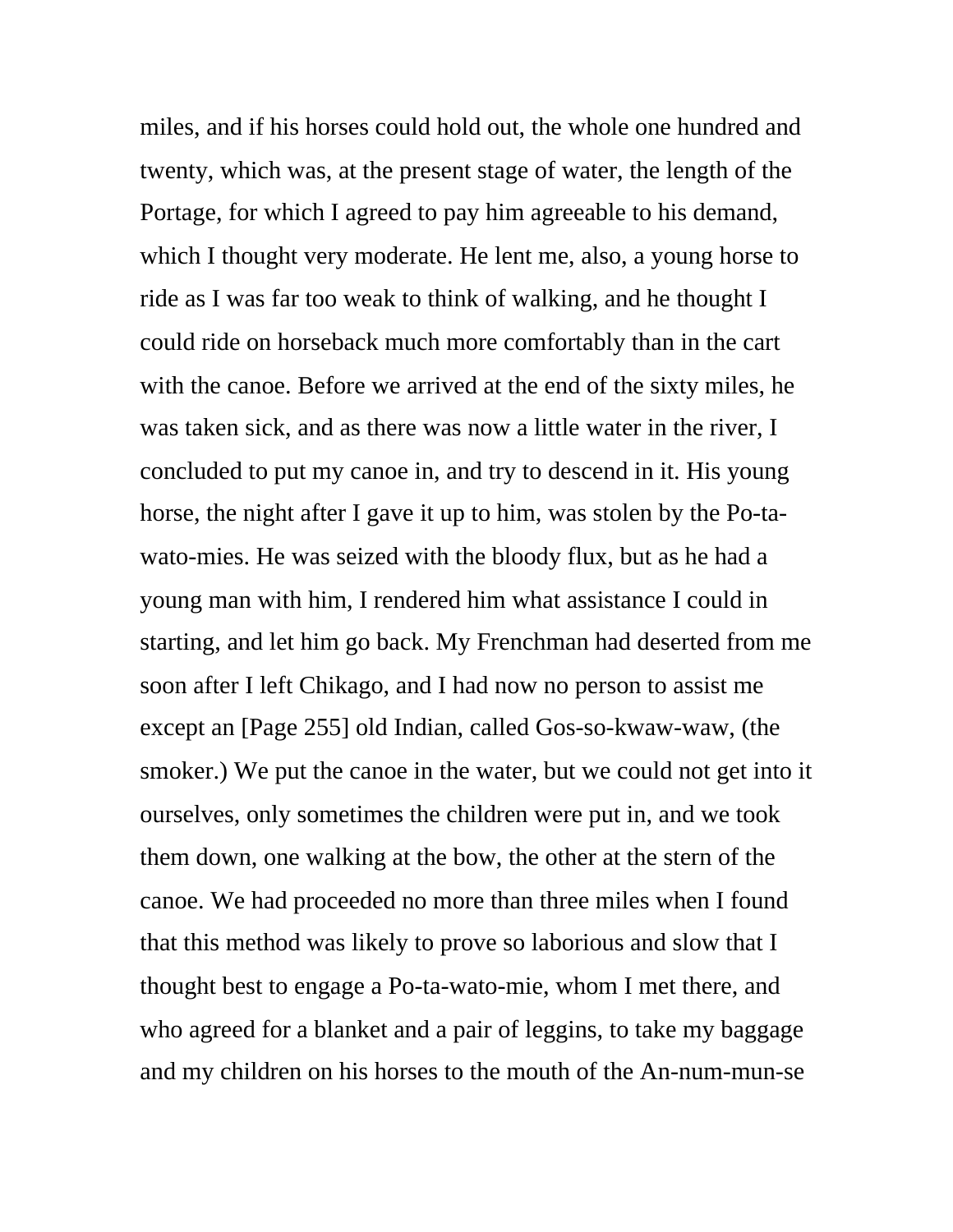miles, and if his horses could hold out, the whole one hundred and twenty, which was, at the present stage of water, the length of the Portage, for which I agreed to pay him agreeable to his demand, which I thought very moderate. He lent me, also, a young horse to ride as I was far too weak to think of walking, and he thought I could ride on horseback much more comfortably than in the cart with the canoe. Before we arrived at the end of the sixty miles, he was taken sick, and as there was now a little water in the river, I concluded to put my canoe in, and try to descend in it. His young horse, the night after I gave it up to him, was stolen by the Po-tawato-mies. He was seized with the bloody flux, but as he had a young man with him, I rendered him what assistance I could in starting, and let him go back. My Frenchman had deserted from me soon after I left Chikago, and I had now no person to assist me except an [Page 255] old Indian, called Gos-so-kwaw-waw, (the smoker.) We put the canoe in the water, but we could not get into it ourselves, only sometimes the children were put in, and we took them down, one walking at the bow, the other at the stern of the canoe. We had proceeded no more than three miles when I found that this method was likely to prove so laborious and slow that I thought best to engage a Po-ta-wato-mie, whom I met there, and who agreed for a blanket and a pair of leggins, to take my baggage and my children on his horses to the mouth of the An-num-mun-se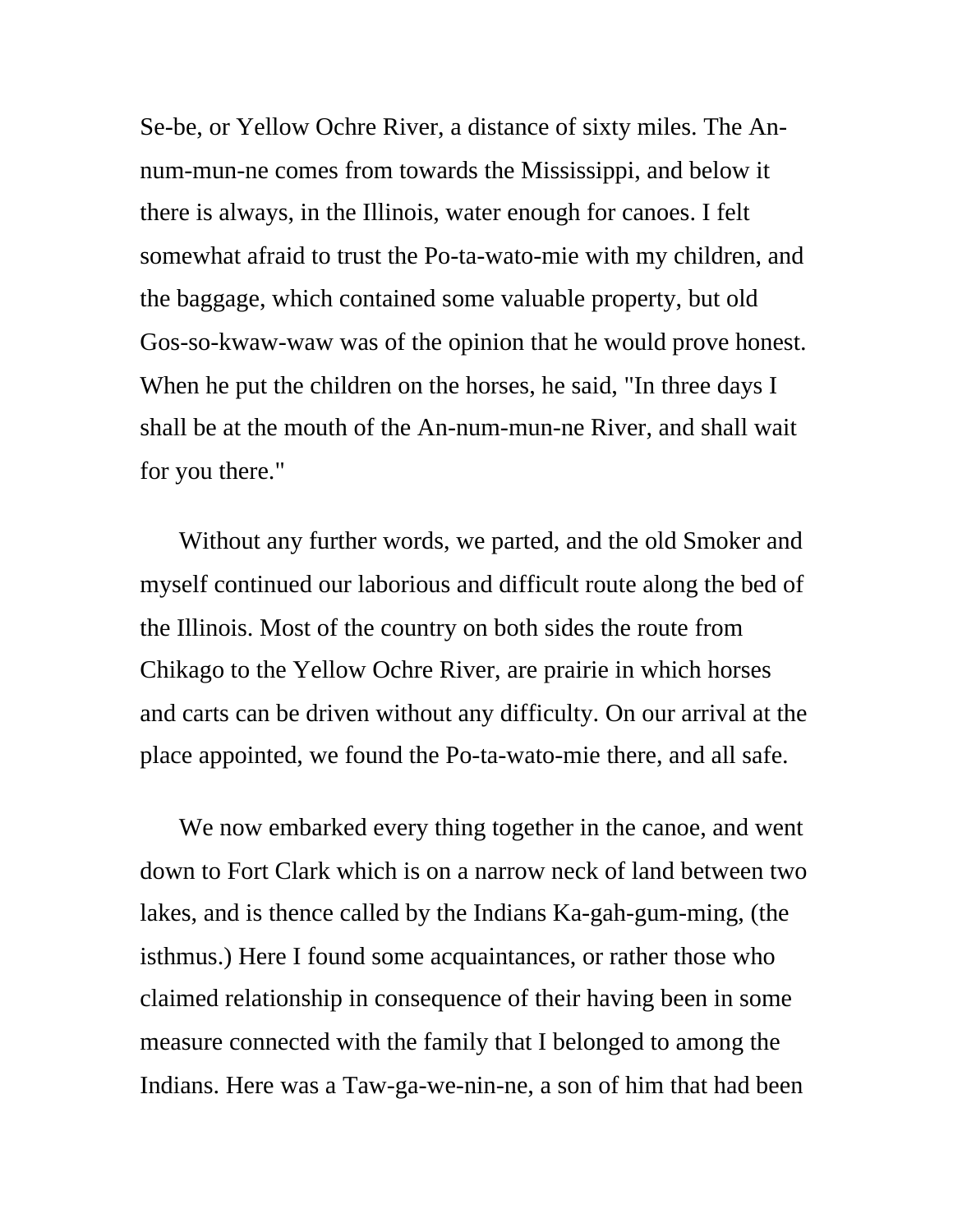Se-be, or Yellow Ochre River, a distance of sixty miles. The Annum-mun-ne comes from towards the Mississippi, and below it there is always, in the Illinois, water enough for canoes. I felt somewhat afraid to trust the Po-ta-wato-mie with my children, and the baggage, which contained some valuable property, but old Gos-so-kwaw-waw was of the opinion that he would prove honest. When he put the children on the horses, he said, "In three days I shall be at the mouth of the An-num-mun-ne River, and shall wait for you there."

Without any further words, we parted, and the old Smoker and myself continued our laborious and difficult route along the bed of the Illinois. Most of the country on both sides the route from Chikago to the Yellow Ochre River, are prairie in which horses and carts can be driven without any difficulty. On our arrival at the place appointed, we found the Po-ta-wato-mie there, and all safe.

We now embarked every thing together in the canoe, and went down to Fort Clark which is on a narrow neck of land between two lakes, and is thence called by the Indians Ka-gah-gum-ming, (the isthmus.) Here I found some acquaintances, or rather those who claimed relationship in consequence of their having been in some measure connected with the family that I belonged to among the Indians. Here was a Taw-ga-we-nin-ne, a son of him that had been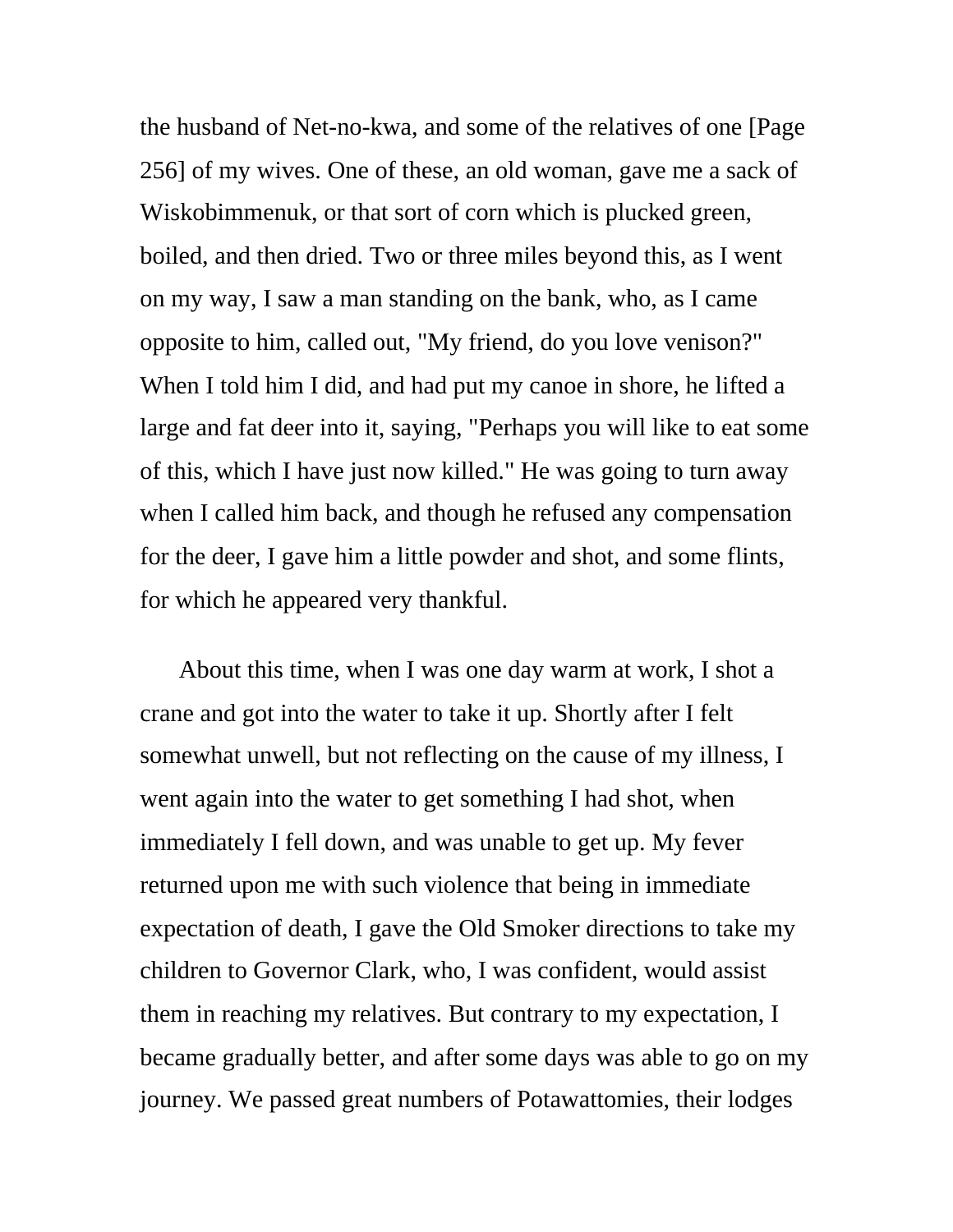the husband of Net-no-kwa, and some of the relatives of one [Page 256] of my wives. One of these, an old woman, gave me a sack of Wiskobimmenuk, or that sort of corn which is plucked green, boiled, and then dried. Two or three miles beyond this, as I went on my way, I saw a man standing on the bank, who, as I came opposite to him, called out, "My friend, do you love venison?" When I told him I did, and had put my canoe in shore, he lifted a large and fat deer into it, saying, "Perhaps you will like to eat some of this, which I have just now killed." He was going to turn away when I called him back, and though he refused any compensation for the deer, I gave him a little powder and shot, and some flints, for which he appeared very thankful.

About this time, when I was one day warm at work, I shot a crane and got into the water to take it up. Shortly after I felt somewhat unwell, but not reflecting on the cause of my illness, I went again into the water to get something I had shot, when immediately I fell down, and was unable to get up. My fever returned upon me with such violence that being in immediate expectation of death, I gave the Old Smoker directions to take my children to Governor Clark, who, I was confident, would assist them in reaching my relatives. But contrary to my expectation, I became gradually better, and after some days was able to go on my journey. We passed great numbers of Potawattomies, their lodges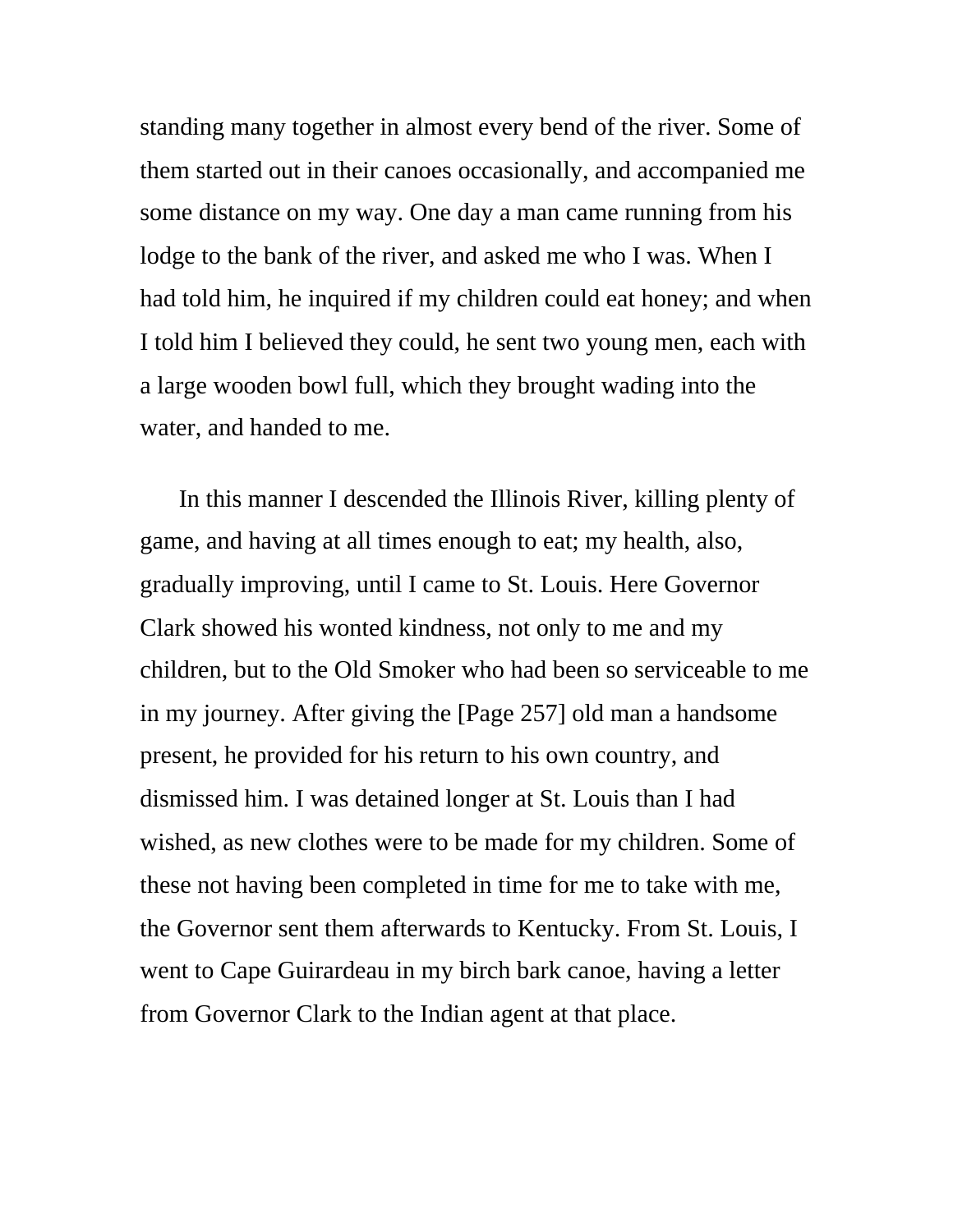standing many together in almost every bend of the river. Some of them started out in their canoes occasionally, and accompanied me some distance on my way. One day a man came running from his lodge to the bank of the river, and asked me who I was. When I had told him, he inquired if my children could eat honey; and when I told him I believed they could, he sent two young men, each with a large wooden bowl full, which they brought wading into the water, and handed to me.

In this manner I descended the Illinois River, killing plenty of game, and having at all times enough to eat; my health, also, gradually improving, until I came to St. Louis. Here Governor Clark showed his wonted kindness, not only to me and my children, but to the Old Smoker who had been so serviceable to me in my journey. After giving the [Page 257] old man a handsome present, he provided for his return to his own country, and dismissed him. I was detained longer at St. Louis than I had wished, as new clothes were to be made for my children. Some of these not having been completed in time for me to take with me, the Governor sent them afterwards to Kentucky. From St. Louis, I went to Cape Guirardeau in my birch bark canoe, having a letter from Governor Clark to the Indian agent at that place.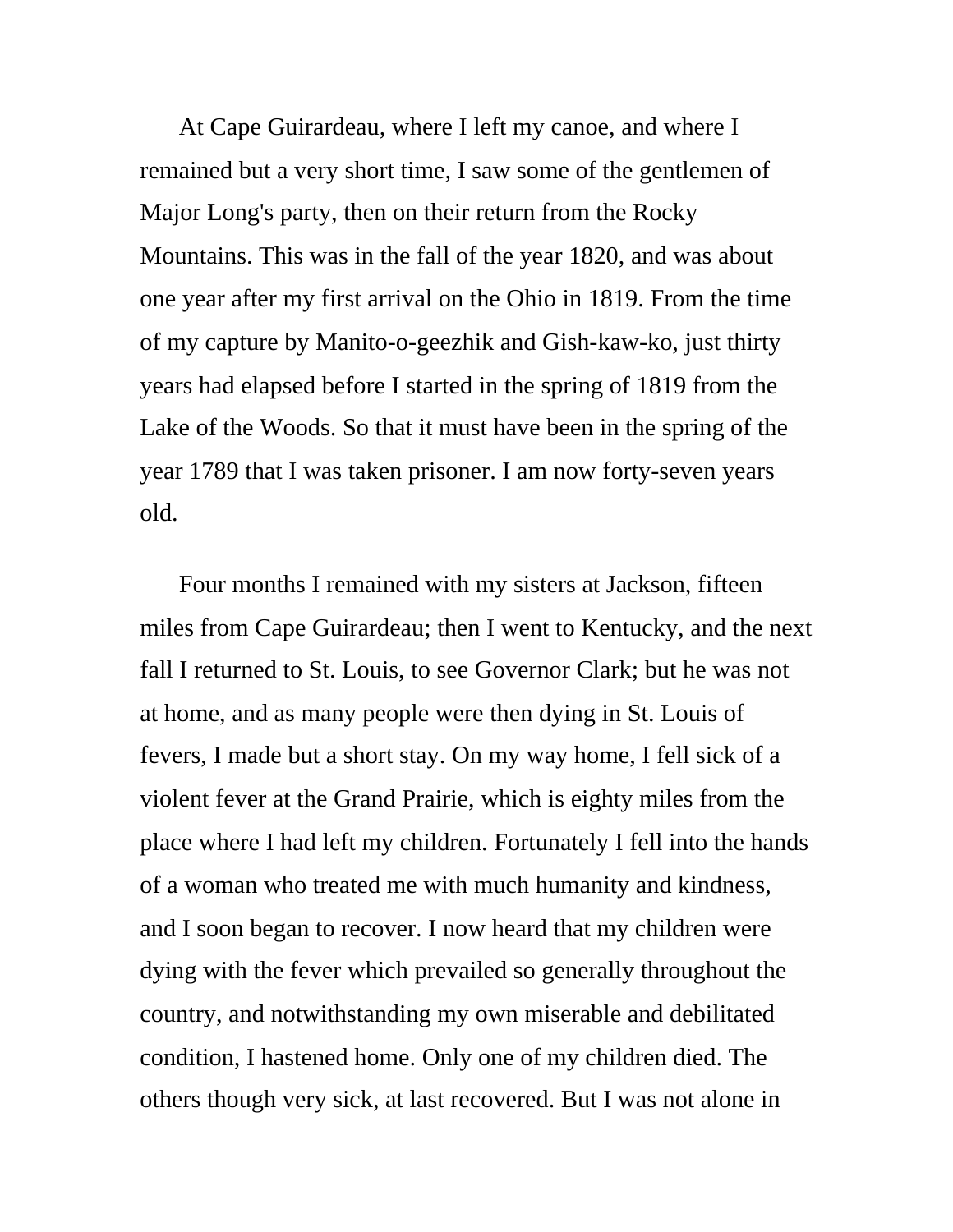At Cape Guirardeau, where I left my canoe, and where I remained but a very short time, I saw some of the gentlemen of Major Long's party, then on their return from the Rocky Mountains. This was in the fall of the year 1820, and was about one year after my first arrival on the Ohio in 1819. From the time of my capture by Manito-o-geezhik and Gish-kaw-ko, just thirty years had elapsed before I started in the spring of 1819 from the Lake of the Woods. So that it must have been in the spring of the year 1789 that I was taken prisoner. I am now forty-seven years old.

Four months I remained with my sisters at Jackson, fifteen miles from Cape Guirardeau; then I went to Kentucky, and the next fall I returned to St. Louis, to see Governor Clark; but he was not at home, and as many people were then dying in St. Louis of fevers, I made but a short stay. On my way home, I fell sick of a violent fever at the Grand Prairie, which is eighty miles from the place where I had left my children. Fortunately I fell into the hands of a woman who treated me with much humanity and kindness, and I soon began to recover. I now heard that my children were dying with the fever which prevailed so generally throughout the country, and notwithstanding my own miserable and debilitated condition, I hastened home. Only one of my children died. The others though very sick, at last recovered. But I was not alone in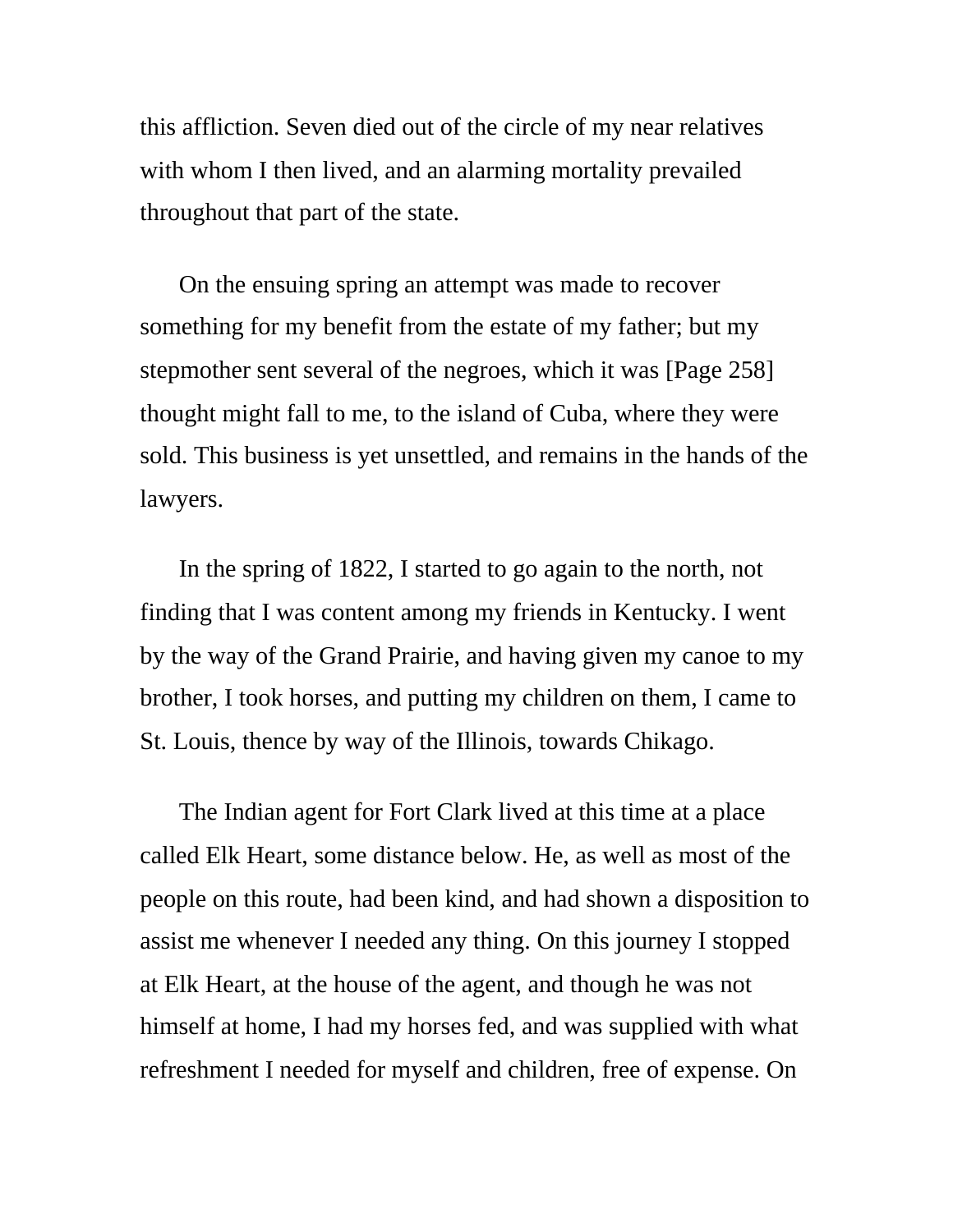this affliction. Seven died out of the circle of my near relatives with whom I then lived, and an alarming mortality prevailed throughout that part of the state.

On the ensuing spring an attempt was made to recover something for my benefit from the estate of my father; but my stepmother sent several of the negroes, which it was [Page 258] thought might fall to me, to the island of Cuba, where they were sold. This business is yet unsettled, and remains in the hands of the lawyers.

In the spring of 1822, I started to go again to the north, not finding that I was content among my friends in Kentucky. I went by the way of the Grand Prairie, and having given my canoe to my brother, I took horses, and putting my children on them, I came to St. Louis, thence by way of the Illinois, towards Chikago.

The Indian agent for Fort Clark lived at this time at a place called Elk Heart, some distance below. He, as well as most of the people on this route, had been kind, and had shown a disposition to assist me whenever I needed any thing. On this journey I stopped at Elk Heart, at the house of the agent, and though he was not himself at home, I had my horses fed, and was supplied with what refreshment I needed for myself and children, free of expense. On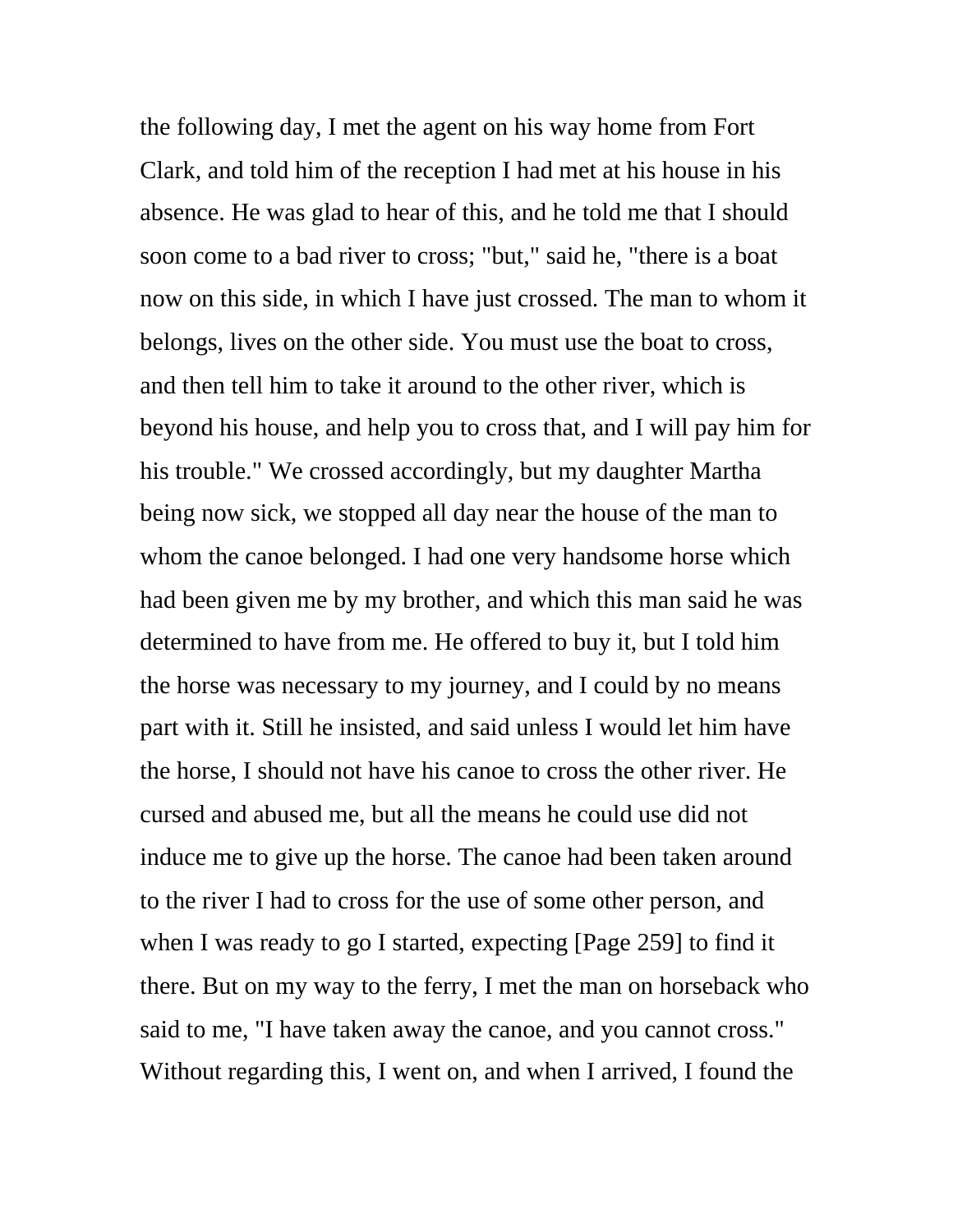the following day, I met the agent on his way home from Fort Clark, and told him of the reception I had met at his house in his absence. He was glad to hear of this, and he told me that I should soon come to a bad river to cross; "but," said he, "there is a boat now on this side, in which I have just crossed. The man to whom it belongs, lives on the other side. You must use the boat to cross, and then tell him to take it around to the other river, which is beyond his house, and help you to cross that, and I will pay him for his trouble." We crossed accordingly, but my daughter Martha being now sick, we stopped all day near the house of the man to whom the canoe belonged. I had one very handsome horse which had been given me by my brother, and which this man said he was determined to have from me. He offered to buy it, but I told him the horse was necessary to my journey, and I could by no means part with it. Still he insisted, and said unless I would let him have the horse, I should not have his canoe to cross the other river. He cursed and abused me, but all the means he could use did not induce me to give up the horse. The canoe had been taken around to the river I had to cross for the use of some other person, and when I was ready to go I started, expecting [Page 259] to find it there. But on my way to the ferry, I met the man on horseback who said to me, "I have taken away the canoe, and you cannot cross." Without regarding this, I went on, and when I arrived, I found the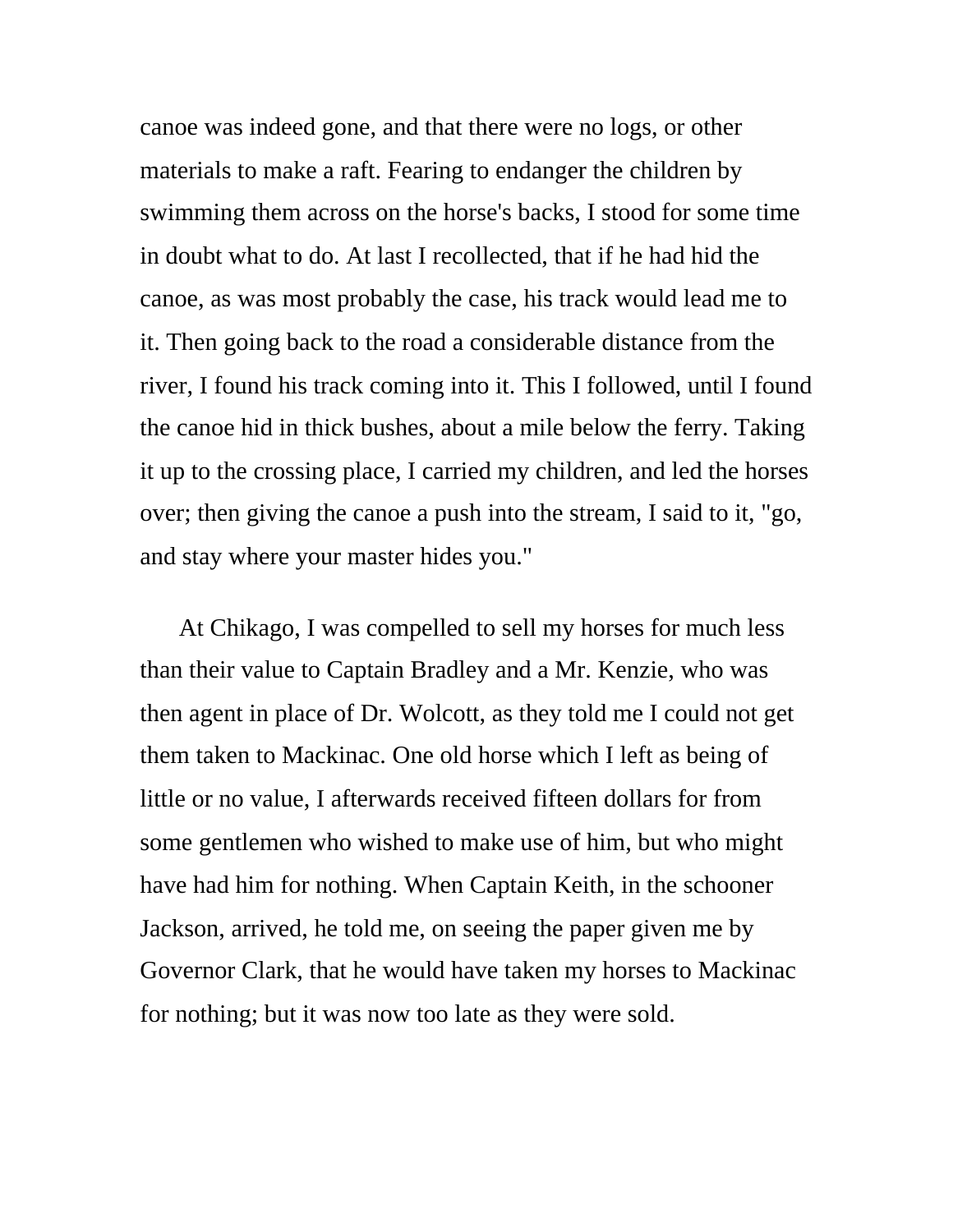canoe was indeed gone, and that there were no logs, or other materials to make a raft. Fearing to endanger the children by swimming them across on the horse's backs, I stood for some time in doubt what to do. At last I recollected, that if he had hid the canoe, as was most probably the case, his track would lead me to it. Then going back to the road a considerable distance from the river, I found his track coming into it. This I followed, until I found the canoe hid in thick bushes, about a mile below the ferry. Taking it up to the crossing place, I carried my children, and led the horses over; then giving the canoe a push into the stream, I said to it, "go, and stay where your master hides you."

At Chikago, I was compelled to sell my horses for much less than their value to Captain Bradley and a Mr. Kenzie, who was then agent in place of Dr. Wolcott, as they told me I could not get them taken to Mackinac. One old horse which I left as being of little or no value, I afterwards received fifteen dollars for from some gentlemen who wished to make use of him, but who might have had him for nothing. When Captain Keith, in the schooner Jackson, arrived, he told me, on seeing the paper given me by Governor Clark, that he would have taken my horses to Mackinac for nothing; but it was now too late as they were sold.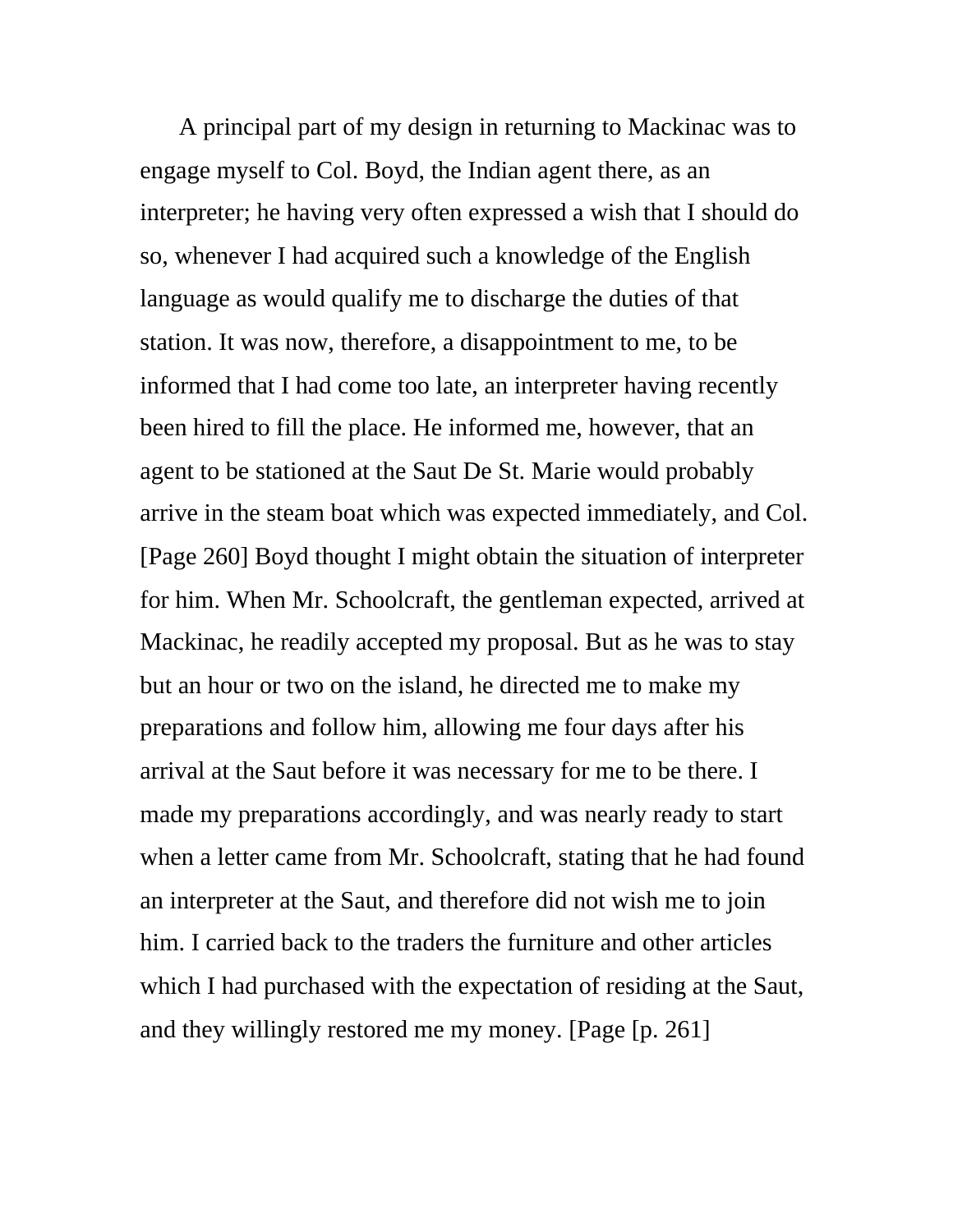A principal part of my design in returning to Mackinac was to engage myself to Col. Boyd, the Indian agent there, as an interpreter; he having very often expressed a wish that I should do so, whenever I had acquired such a knowledge of the English language as would qualify me to discharge the duties of that station. It was now, therefore, a disappointment to me, to be informed that I had come too late, an interpreter having recently been hired to fill the place. He informed me, however, that an agent to be stationed at the Saut De St. Marie would probably arrive in the steam boat which was expected immediately, and Col. [Page 260] Boyd thought I might obtain the situation of interpreter for him. When Mr. Schoolcraft, the gentleman expected, arrived at Mackinac, he readily accepted my proposal. But as he was to stay but an hour or two on the island, he directed me to make my preparations and follow him, allowing me four days after his arrival at the Saut before it was necessary for me to be there. I made my preparations accordingly, and was nearly ready to start when a letter came from Mr. Schoolcraft, stating that he had found an interpreter at the Saut, and therefore did not wish me to join him. I carried back to the traders the furniture and other articles which I had purchased with the expectation of residing at the Saut, and they willingly restored me my money. [Page [p. 261]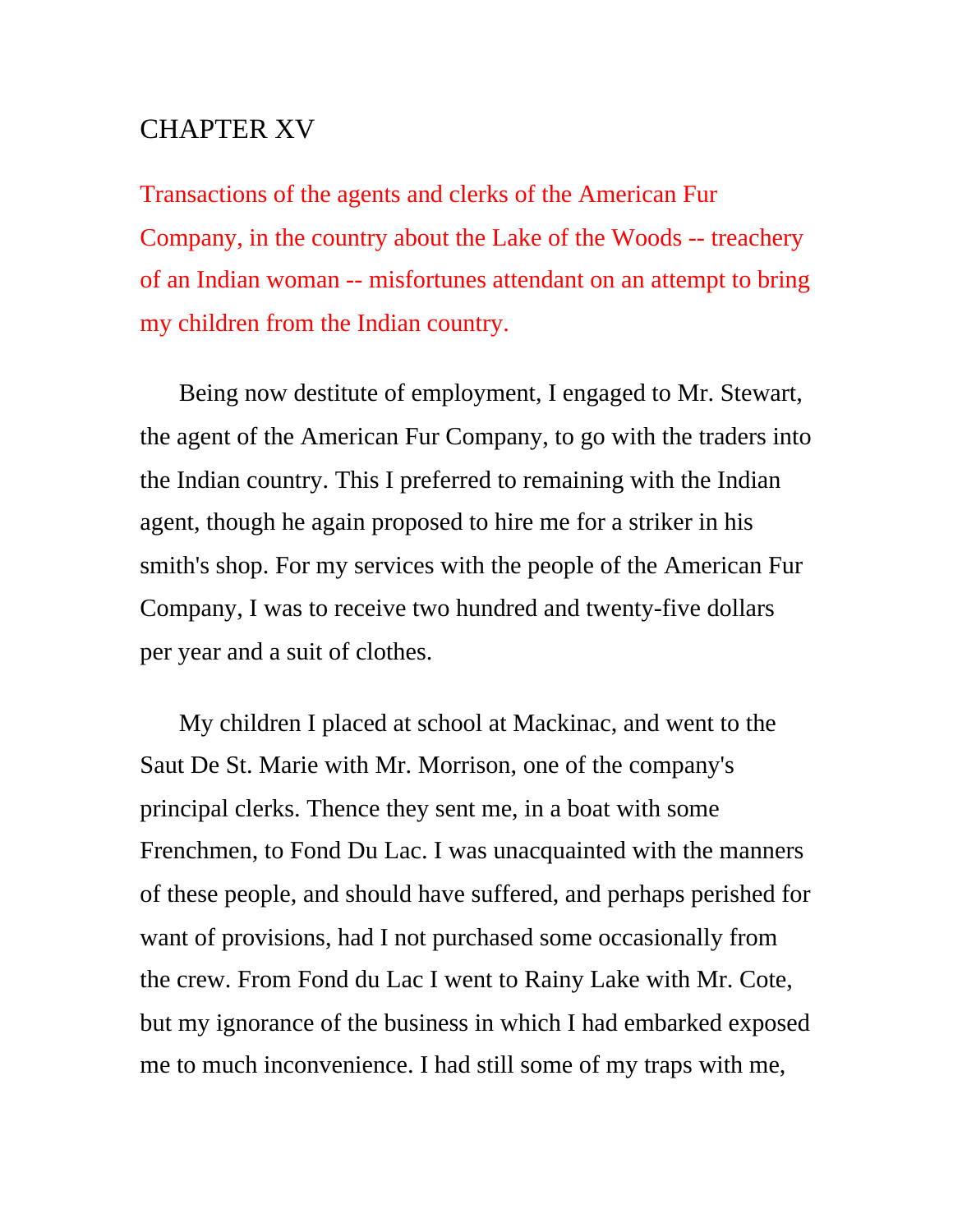## CHAPTER XV

Transactions of the agents and clerks of the American Fur Company, in the country about the Lake of the Woods -- treachery of an Indian woman -- misfortunes attendant on an attempt to bring my children from the Indian country.

Being now destitute of employment, I engaged to Mr. Stewart, the agent of the American Fur Company, to go with the traders into the Indian country. This I preferred to remaining with the Indian agent, though he again proposed to hire me for a striker in his smith's shop. For my services with the people of the American Fur Company, I was to receive two hundred and twenty-five dollars per year and a suit of clothes.

My children I placed at school at Mackinac, and went to the Saut De St. Marie with Mr. Morrison, one of the company's principal clerks. Thence they sent me, in a boat with some Frenchmen, to Fond Du Lac. I was unacquainted with the manners of these people, and should have suffered, and perhaps perished for want of provisions, had I not purchased some occasionally from the crew. From Fond du Lac I went to Rainy Lake with Mr. Cote, but my ignorance of the business in which I had embarked exposed me to much inconvenience. I had still some of my traps with me,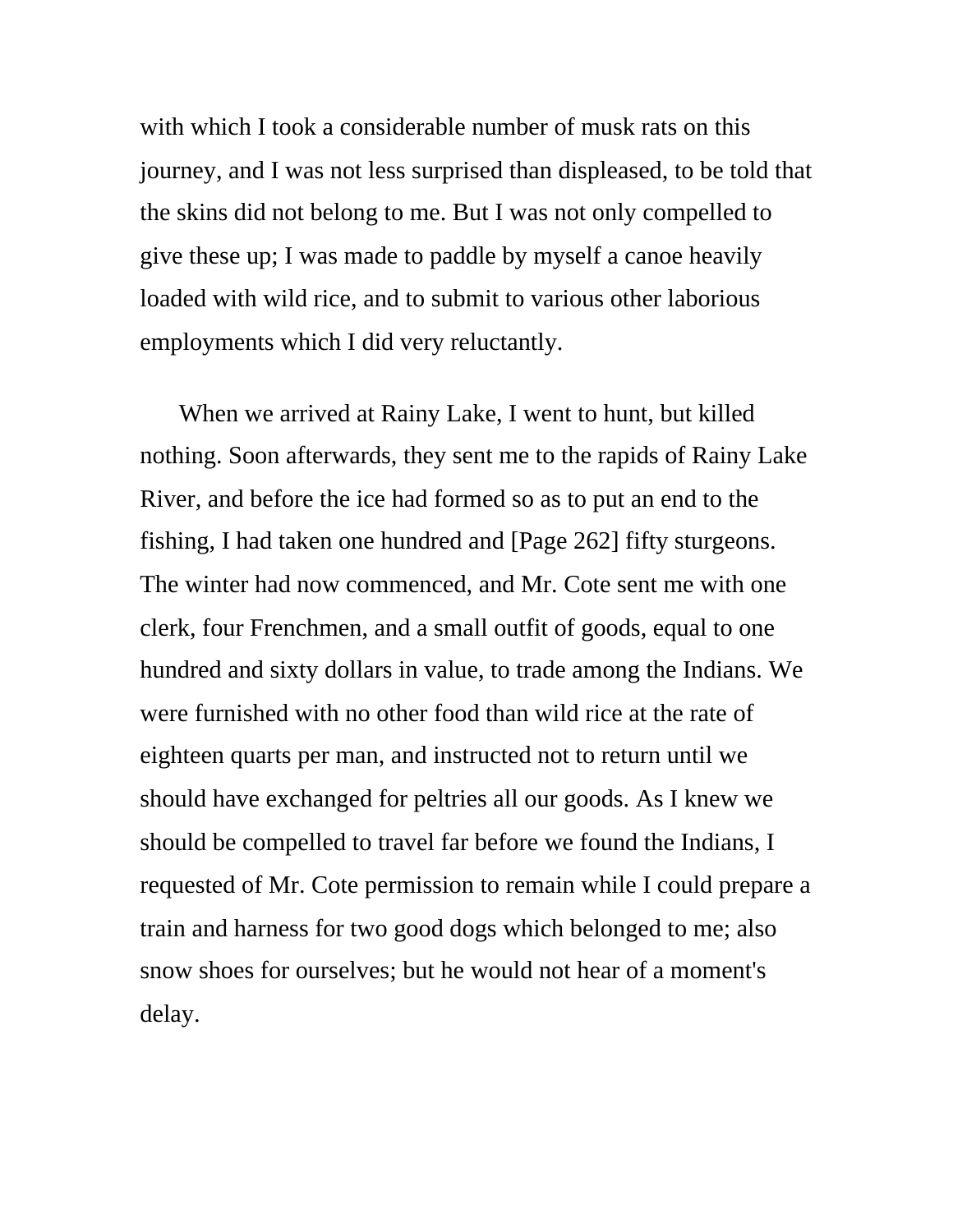with which I took a considerable number of musk rats on this journey, and I was not less surprised than displeased, to be told that the skins did not belong to me. But I was not only compelled to give these up; I was made to paddle by myself a canoe heavily loaded with wild rice, and to submit to various other laborious employments which I did very reluctantly.

When we arrived at Rainy Lake, I went to hunt, but killed nothing. Soon afterwards, they sent me to the rapids of Rainy Lake River, and before the ice had formed so as to put an end to the fishing, I had taken one hundred and [Page 262] fifty sturgeons. The winter had now commenced, and Mr. Cote sent me with one clerk, four Frenchmen, and a small outfit of goods, equal to one hundred and sixty dollars in value, to trade among the Indians. We were furnished with no other food than wild rice at the rate of eighteen quarts per man, and instructed not to return until we should have exchanged for peltries all our goods. As I knew we should be compelled to travel far before we found the Indians, I requested of Mr. Cote permission to remain while I could prepare a train and harness for two good dogs which belonged to me; also snow shoes for ourselves; but he would not hear of a moment's delay.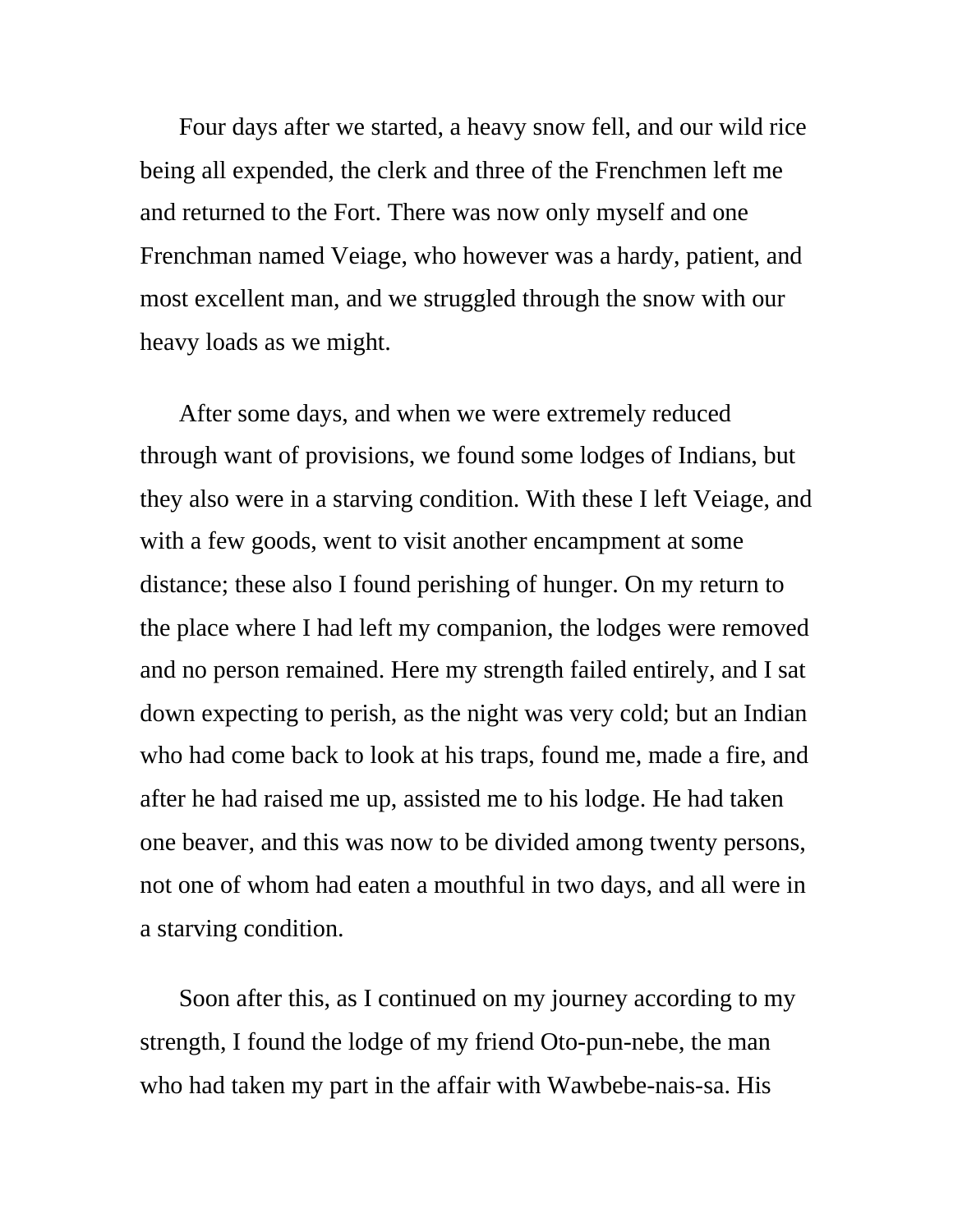Four days after we started, a heavy snow fell, and our wild rice being all expended, the clerk and three of the Frenchmen left me and returned to the Fort. There was now only myself and one Frenchman named Veiage, who however was a hardy, patient, and most excellent man, and we struggled through the snow with our heavy loads as we might.

After some days, and when we were extremely reduced through want of provisions, we found some lodges of Indians, but they also were in a starving condition. With these I left Veiage, and with a few goods, went to visit another encampment at some distance; these also I found perishing of hunger. On my return to the place where I had left my companion, the lodges were removed and no person remained. Here my strength failed entirely, and I sat down expecting to perish, as the night was very cold; but an Indian who had come back to look at his traps, found me, made a fire, and after he had raised me up, assisted me to his lodge. He had taken one beaver, and this was now to be divided among twenty persons, not one of whom had eaten a mouthful in two days, and all were in a starving condition.

Soon after this, as I continued on my journey according to my strength, I found the lodge of my friend Oto-pun-nebe, the man who had taken my part in the affair with Wawbebe-nais-sa. His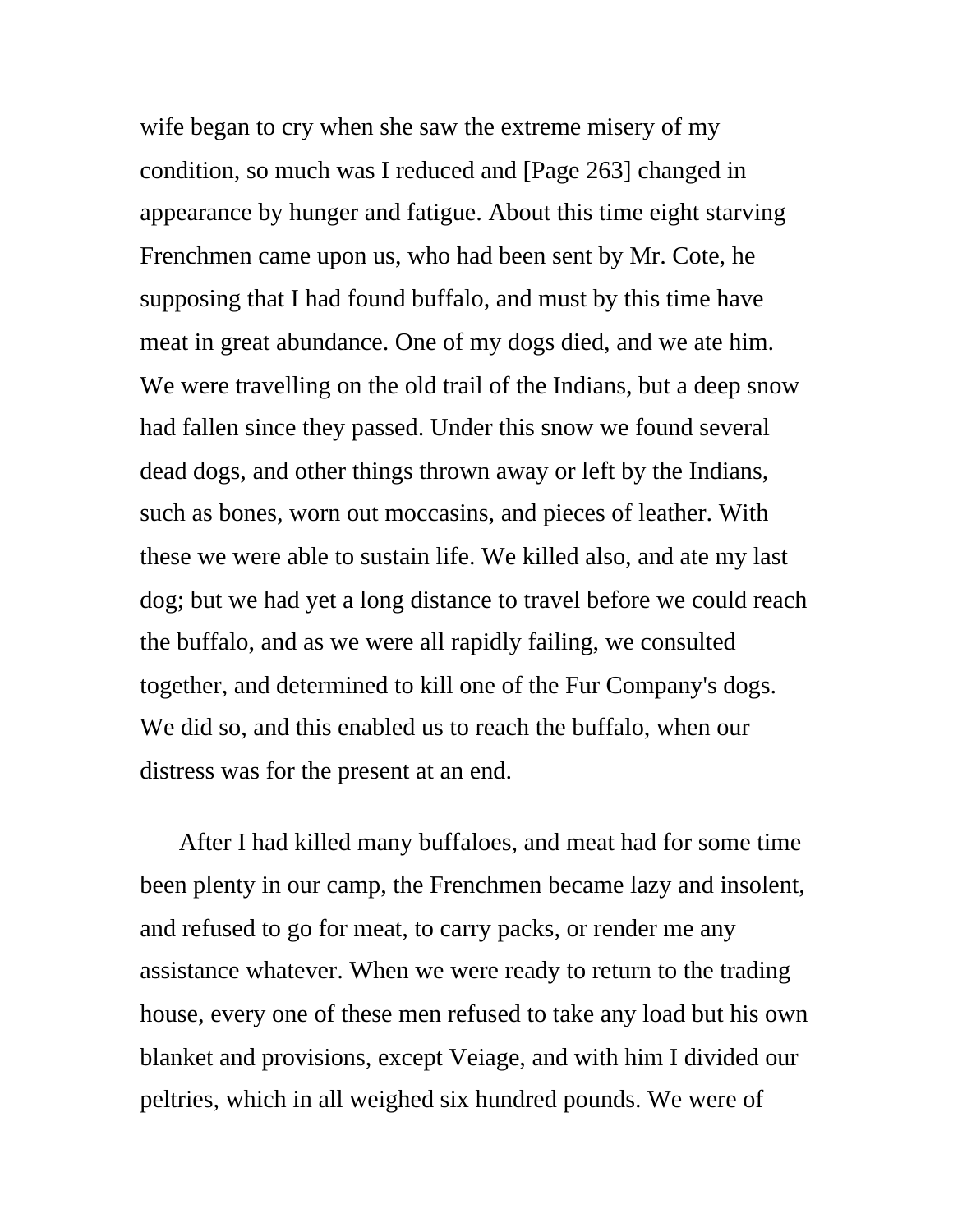wife began to cry when she saw the extreme misery of my condition, so much was I reduced and [Page 263] changed in appearance by hunger and fatigue. About this time eight starving Frenchmen came upon us, who had been sent by Mr. Cote, he supposing that I had found buffalo, and must by this time have meat in great abundance. One of my dogs died, and we ate him. We were travelling on the old trail of the Indians, but a deep snow had fallen since they passed. Under this snow we found several dead dogs, and other things thrown away or left by the Indians, such as bones, worn out moccasins, and pieces of leather. With these we were able to sustain life. We killed also, and ate my last dog; but we had yet a long distance to travel before we could reach the buffalo, and as we were all rapidly failing, we consulted together, and determined to kill one of the Fur Company's dogs. We did so, and this enabled us to reach the buffalo, when our distress was for the present at an end.

After I had killed many buffaloes, and meat had for some time been plenty in our camp, the Frenchmen became lazy and insolent, and refused to go for meat, to carry packs, or render me any assistance whatever. When we were ready to return to the trading house, every one of these men refused to take any load but his own blanket and provisions, except Veiage, and with him I divided our peltries, which in all weighed six hundred pounds. We were of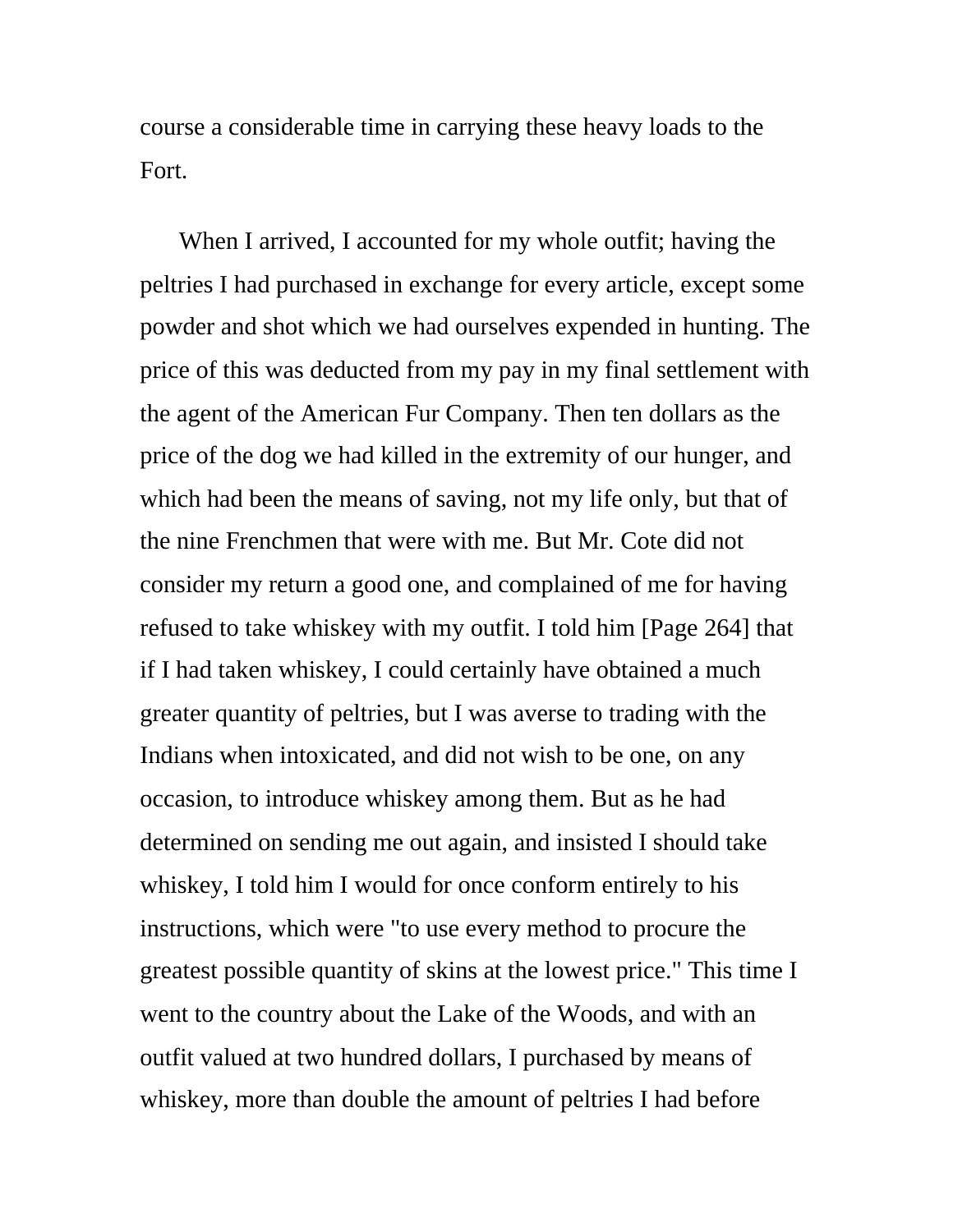course a considerable time in carrying these heavy loads to the Fort.

When I arrived, I accounted for my whole outfit; having the peltries I had purchased in exchange for every article, except some powder and shot which we had ourselves expended in hunting. The price of this was deducted from my pay in my final settlement with the agent of the American Fur Company. Then ten dollars as the price of the dog we had killed in the extremity of our hunger, and which had been the means of saving, not my life only, but that of the nine Frenchmen that were with me. But Mr. Cote did not consider my return a good one, and complained of me for having refused to take whiskey with my outfit. I told him [Page 264] that if I had taken whiskey, I could certainly have obtained a much greater quantity of peltries, but I was averse to trading with the Indians when intoxicated, and did not wish to be one, on any occasion, to introduce whiskey among them. But as he had determined on sending me out again, and insisted I should take whiskey, I told him I would for once conform entirely to his instructions, which were "to use every method to procure the greatest possible quantity of skins at the lowest price." This time I went to the country about the Lake of the Woods, and with an outfit valued at two hundred dollars, I purchased by means of whiskey, more than double the amount of peltries I had before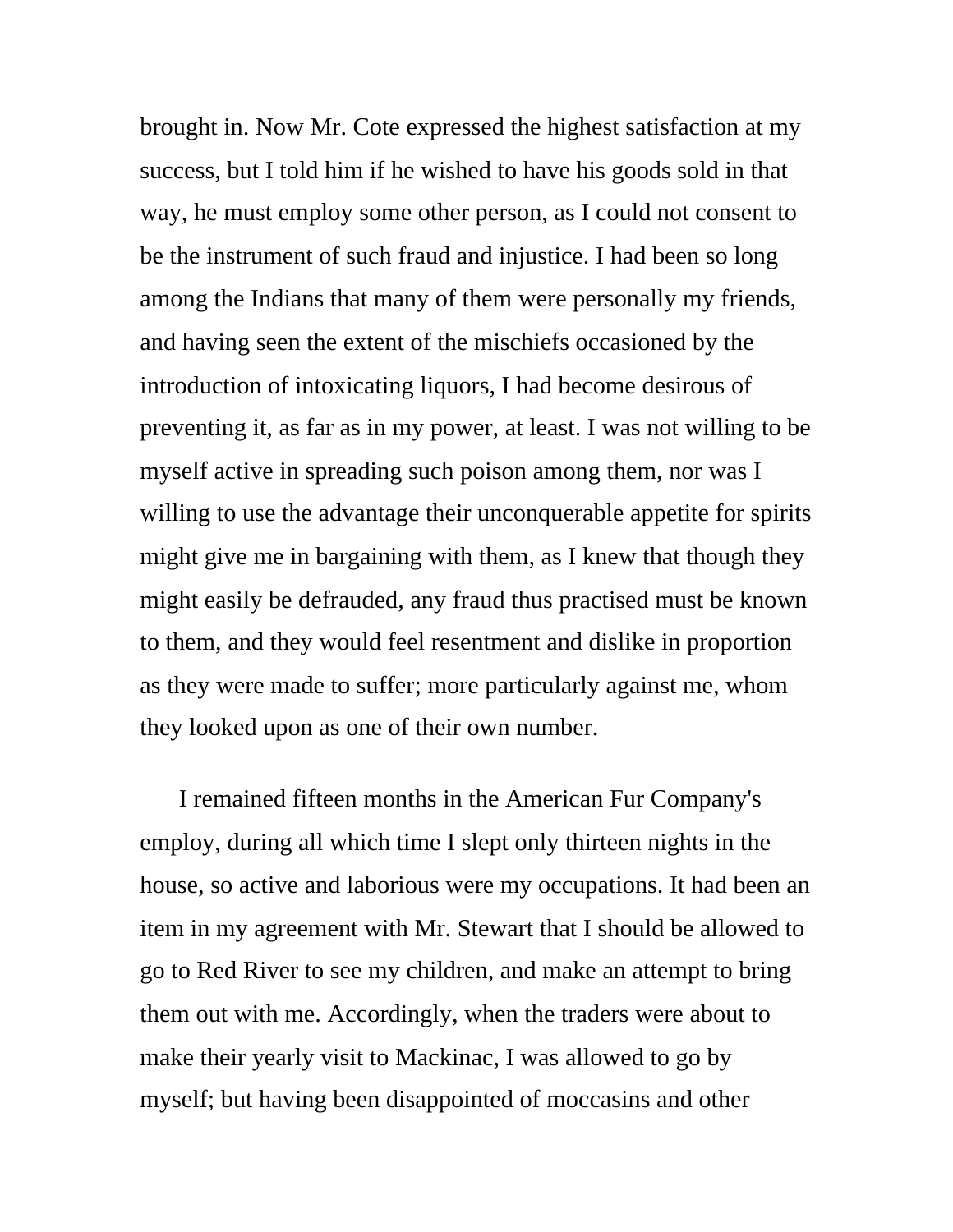brought in. Now Mr. Cote expressed the highest satisfaction at my success, but I told him if he wished to have his goods sold in that way, he must employ some other person, as I could not consent to be the instrument of such fraud and injustice. I had been so long among the Indians that many of them were personally my friends, and having seen the extent of the mischiefs occasioned by the introduction of intoxicating liquors, I had become desirous of preventing it, as far as in my power, at least. I was not willing to be myself active in spreading such poison among them, nor was I willing to use the advantage their unconquerable appetite for spirits might give me in bargaining with them, as I knew that though they might easily be defrauded, any fraud thus practised must be known to them, and they would feel resentment and dislike in proportion as they were made to suffer; more particularly against me, whom they looked upon as one of their own number.

I remained fifteen months in the American Fur Company's employ, during all which time I slept only thirteen nights in the house, so active and laborious were my occupations. It had been an item in my agreement with Mr. Stewart that I should be allowed to go to Red River to see my children, and make an attempt to bring them out with me. Accordingly, when the traders were about to make their yearly visit to Mackinac, I was allowed to go by myself; but having been disappointed of moccasins and other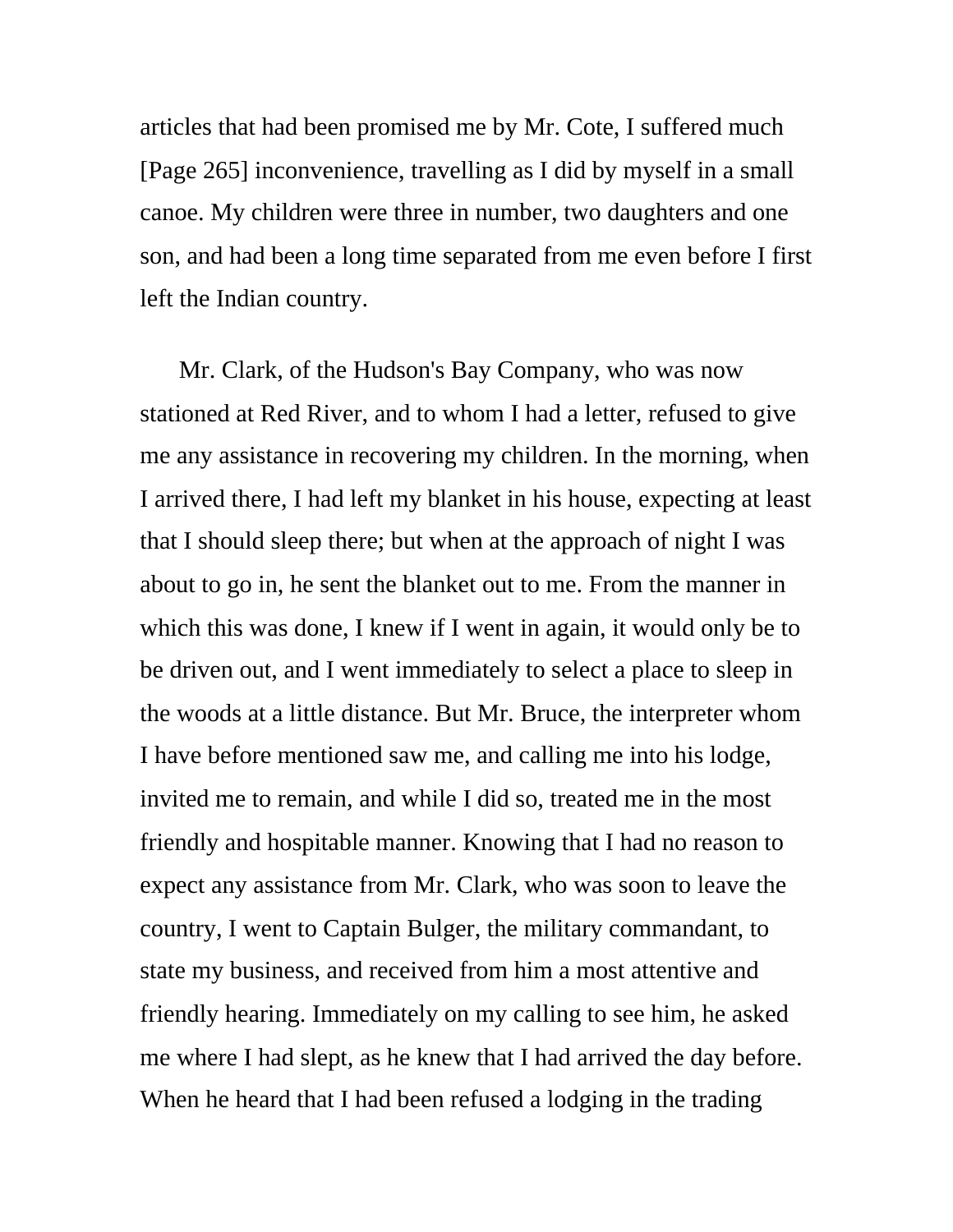articles that had been promised me by Mr. Cote, I suffered much [Page 265] inconvenience, travelling as I did by myself in a small canoe. My children were three in number, two daughters and one son, and had been a long time separated from me even before I first left the Indian country.

Mr. Clark, of the Hudson's Bay Company, who was now stationed at Red River, and to whom I had a letter, refused to give me any assistance in recovering my children. In the morning, when I arrived there, I had left my blanket in his house, expecting at least that I should sleep there; but when at the approach of night I was about to go in, he sent the blanket out to me. From the manner in which this was done, I knew if I went in again, it would only be to be driven out, and I went immediately to select a place to sleep in the woods at a little distance. But Mr. Bruce, the interpreter whom I have before mentioned saw me, and calling me into his lodge, invited me to remain, and while I did so, treated me in the most friendly and hospitable manner. Knowing that I had no reason to expect any assistance from Mr. Clark, who was soon to leave the country, I went to Captain Bulger, the military commandant, to state my business, and received from him a most attentive and friendly hearing. Immediately on my calling to see him, he asked me where I had slept, as he knew that I had arrived the day before. When he heard that I had been refused a lodging in the trading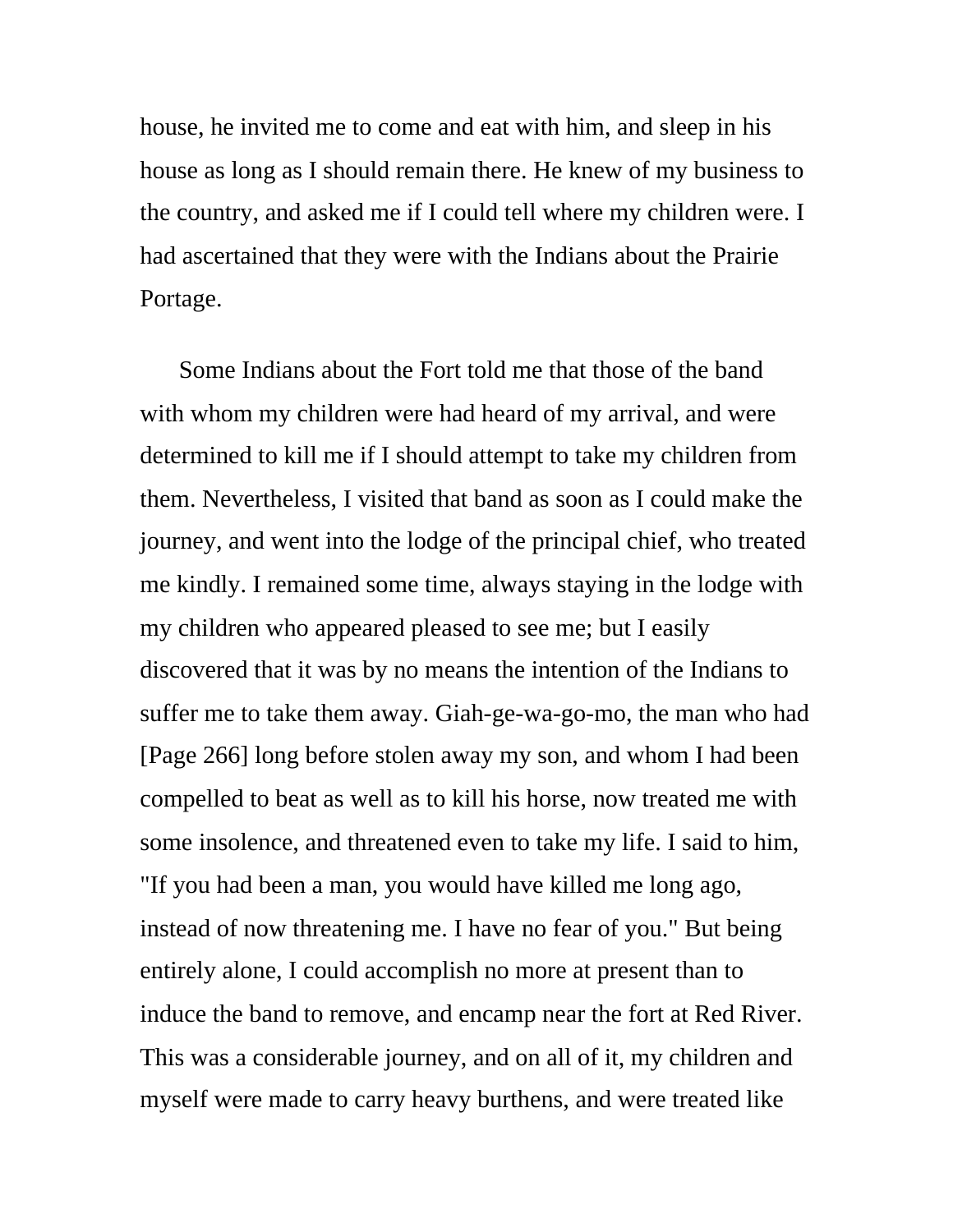house, he invited me to come and eat with him, and sleep in his house as long as I should remain there. He knew of my business to the country, and asked me if I could tell where my children were. I had ascertained that they were with the Indians about the Prairie Portage.

Some Indians about the Fort told me that those of the band with whom my children were had heard of my arrival, and were determined to kill me if I should attempt to take my children from them. Nevertheless, I visited that band as soon as I could make the journey, and went into the lodge of the principal chief, who treated me kindly. I remained some time, always staying in the lodge with my children who appeared pleased to see me; but I easily discovered that it was by no means the intention of the Indians to suffer me to take them away. Giah-ge-wa-go-mo, the man who had [Page 266] long before stolen away my son, and whom I had been compelled to beat as well as to kill his horse, now treated me with some insolence, and threatened even to take my life. I said to him, "If you had been a man, you would have killed me long ago, instead of now threatening me. I have no fear of you." But being entirely alone, I could accomplish no more at present than to induce the band to remove, and encamp near the fort at Red River. This was a considerable journey, and on all of it, my children and myself were made to carry heavy burthens, and were treated like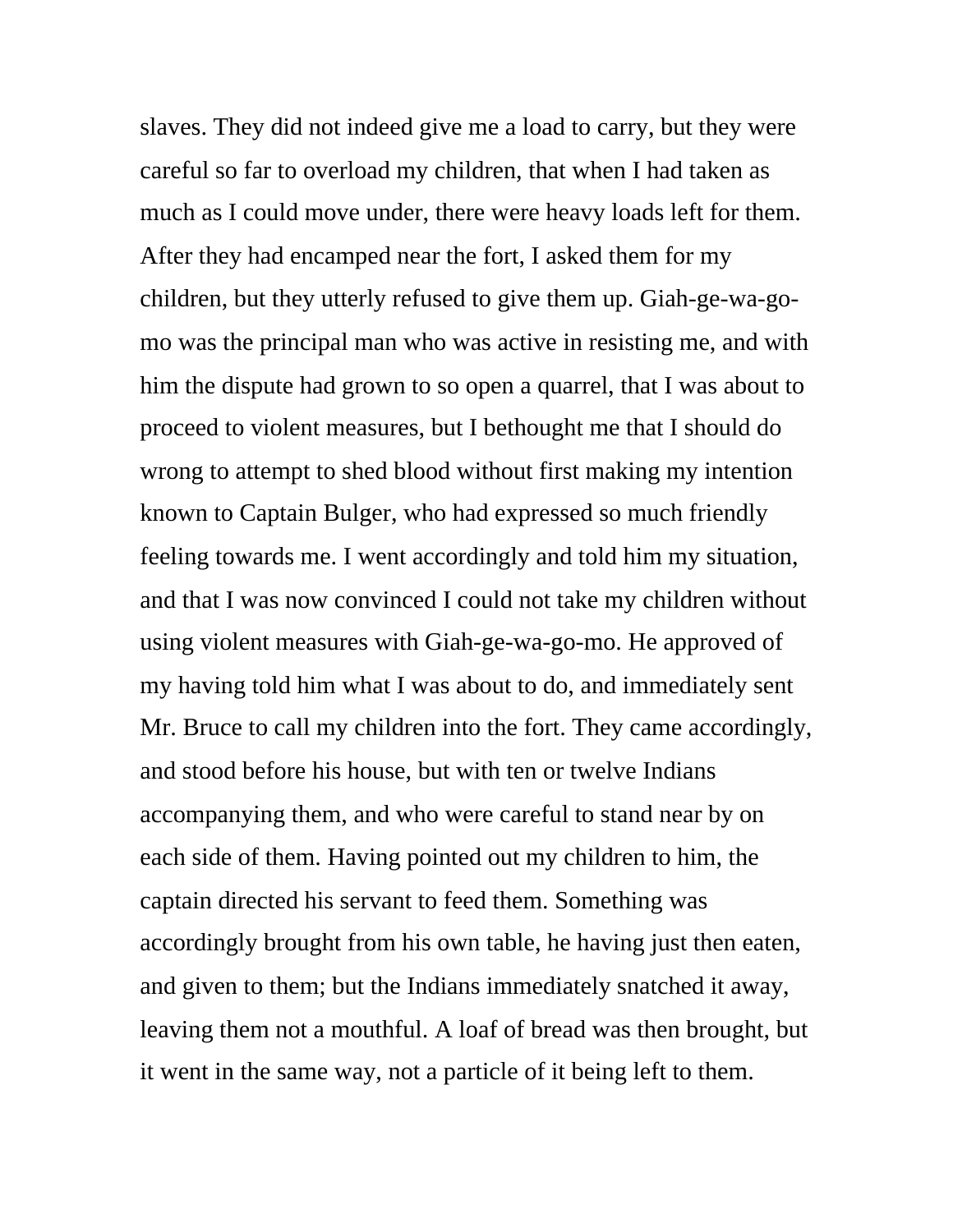slaves. They did not indeed give me a load to carry, but they were careful so far to overload my children, that when I had taken as much as I could move under, there were heavy loads left for them. After they had encamped near the fort, I asked them for my children, but they utterly refused to give them up. Giah-ge-wa-gomo was the principal man who was active in resisting me, and with him the dispute had grown to so open a quarrel, that I was about to proceed to violent measures, but I bethought me that I should do wrong to attempt to shed blood without first making my intention known to Captain Bulger, who had expressed so much friendly feeling towards me. I went accordingly and told him my situation, and that I was now convinced I could not take my children without using violent measures with Giah-ge-wa-go-mo. He approved of my having told him what I was about to do, and immediately sent Mr. Bruce to call my children into the fort. They came accordingly, and stood before his house, but with ten or twelve Indians accompanying them, and who were careful to stand near by on each side of them. Having pointed out my children to him, the captain directed his servant to feed them. Something was accordingly brought from his own table, he having just then eaten, and given to them; but the Indians immediately snatched it away, leaving them not a mouthful. A loaf of bread was then brought, but it went in the same way, not a particle of it being left to them.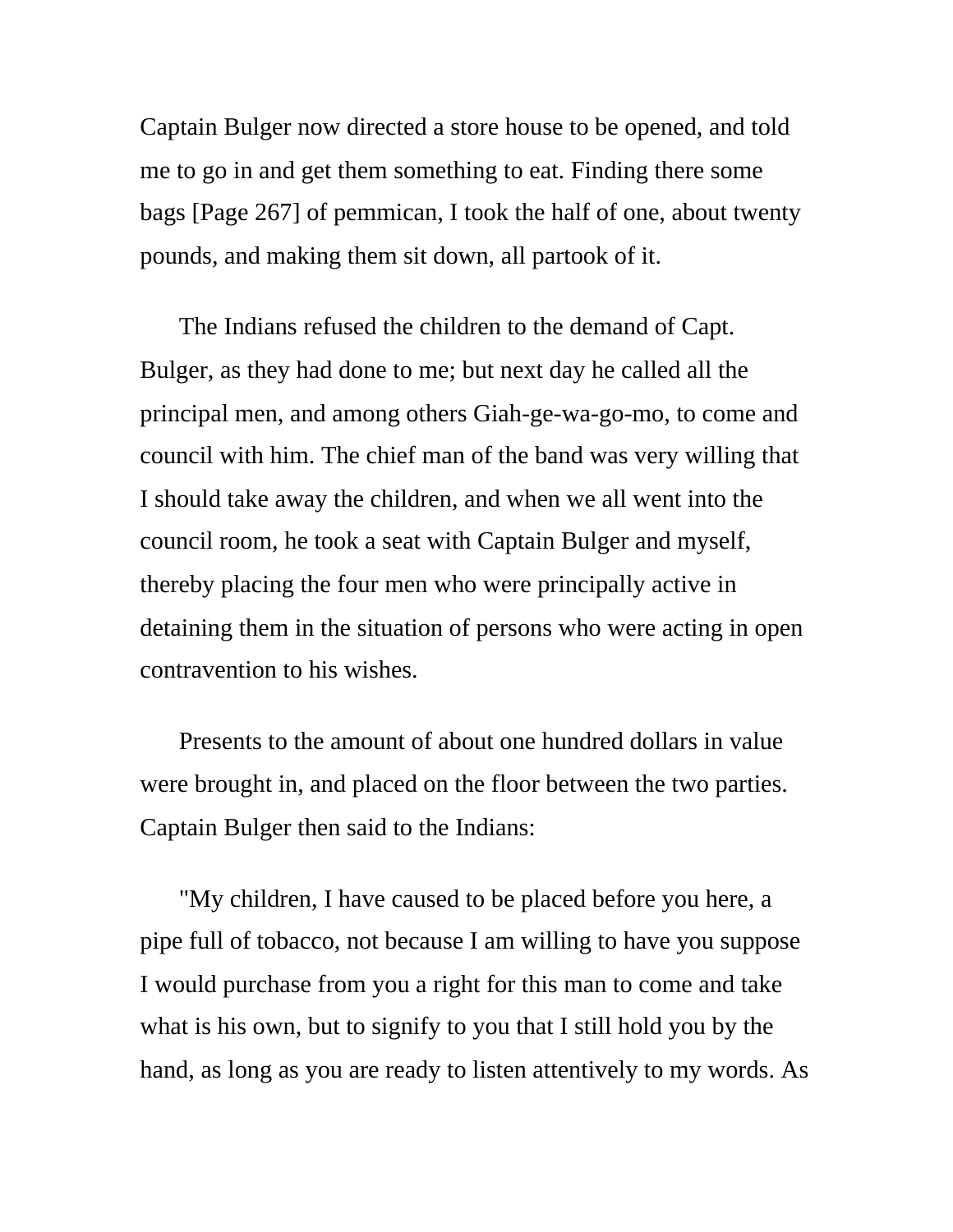Captain Bulger now directed a store house to be opened, and told me to go in and get them something to eat. Finding there some bags [Page 267] of pemmican, I took the half of one, about twenty pounds, and making them sit down, all partook of it.

The Indians refused the children to the demand of Capt. Bulger, as they had done to me; but next day he called all the principal men, and among others Giah-ge-wa-go-mo, to come and council with him. The chief man of the band was very willing that I should take away the children, and when we all went into the council room, he took a seat with Captain Bulger and myself, thereby placing the four men who were principally active in detaining them in the situation of persons who were acting in open contravention to his wishes.

Presents to the amount of about one hundred dollars in value were brought in, and placed on the floor between the two parties. Captain Bulger then said to the Indians:

"My children, I have caused to be placed before you here, a pipe full of tobacco, not because I am willing to have you suppose I would purchase from you a right for this man to come and take what is his own, but to signify to you that I still hold you by the hand, as long as you are ready to listen attentively to my words. As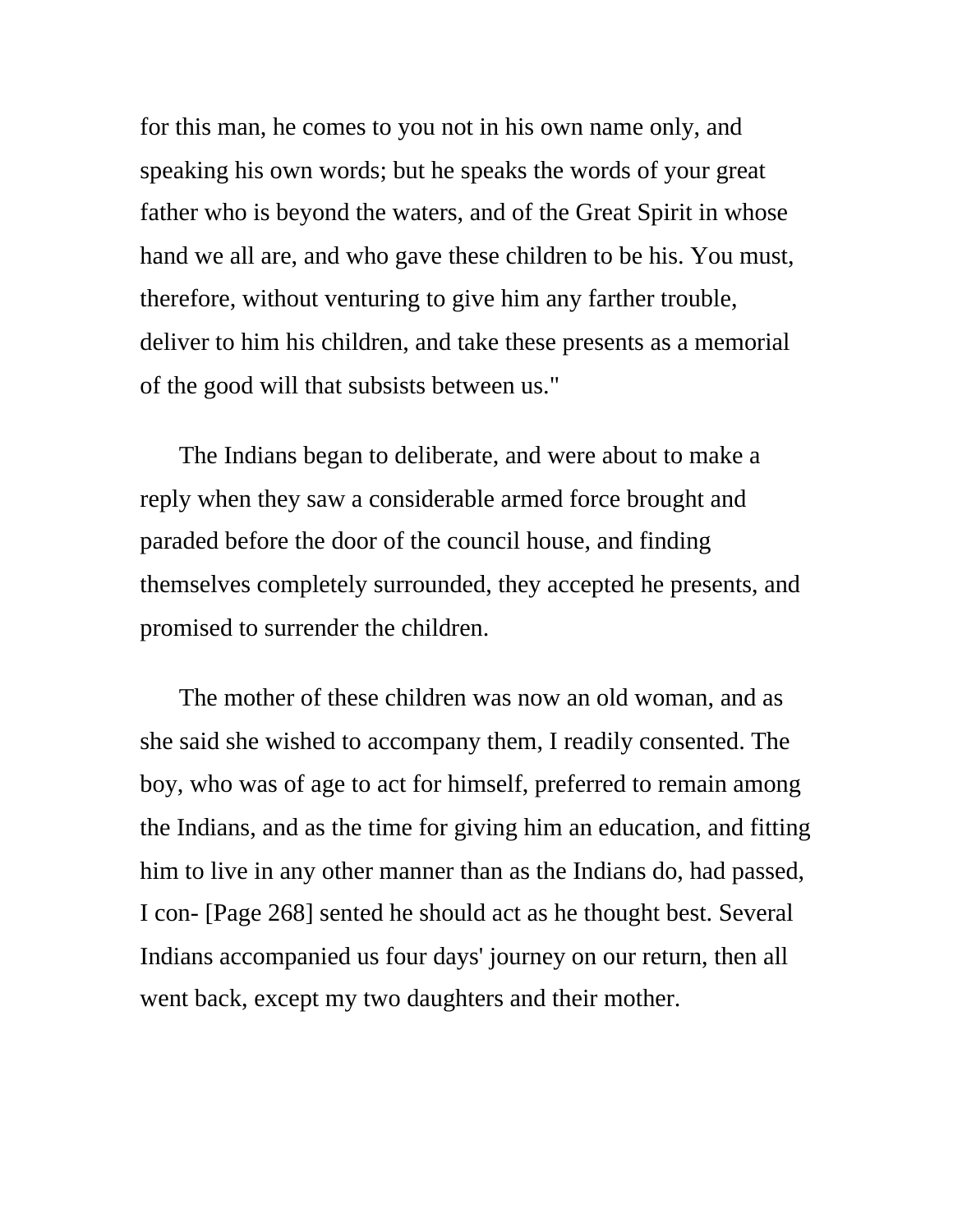for this man, he comes to you not in his own name only, and speaking his own words; but he speaks the words of your great father who is beyond the waters, and of the Great Spirit in whose hand we all are, and who gave these children to be his. You must, therefore, without venturing to give him any farther trouble, deliver to him his children, and take these presents as a memorial of the good will that subsists between us."

The Indians began to deliberate, and were about to make a reply when they saw a considerable armed force brought and paraded before the door of the council house, and finding themselves completely surrounded, they accepted he presents, and promised to surrender the children.

The mother of these children was now an old woman, and as she said she wished to accompany them, I readily consented. The boy, who was of age to act for himself, preferred to remain among the Indians, and as the time for giving him an education, and fitting him to live in any other manner than as the Indians do, had passed, I con- [Page 268] sented he should act as he thought best. Several Indians accompanied us four days' journey on our return, then all went back, except my two daughters and their mother.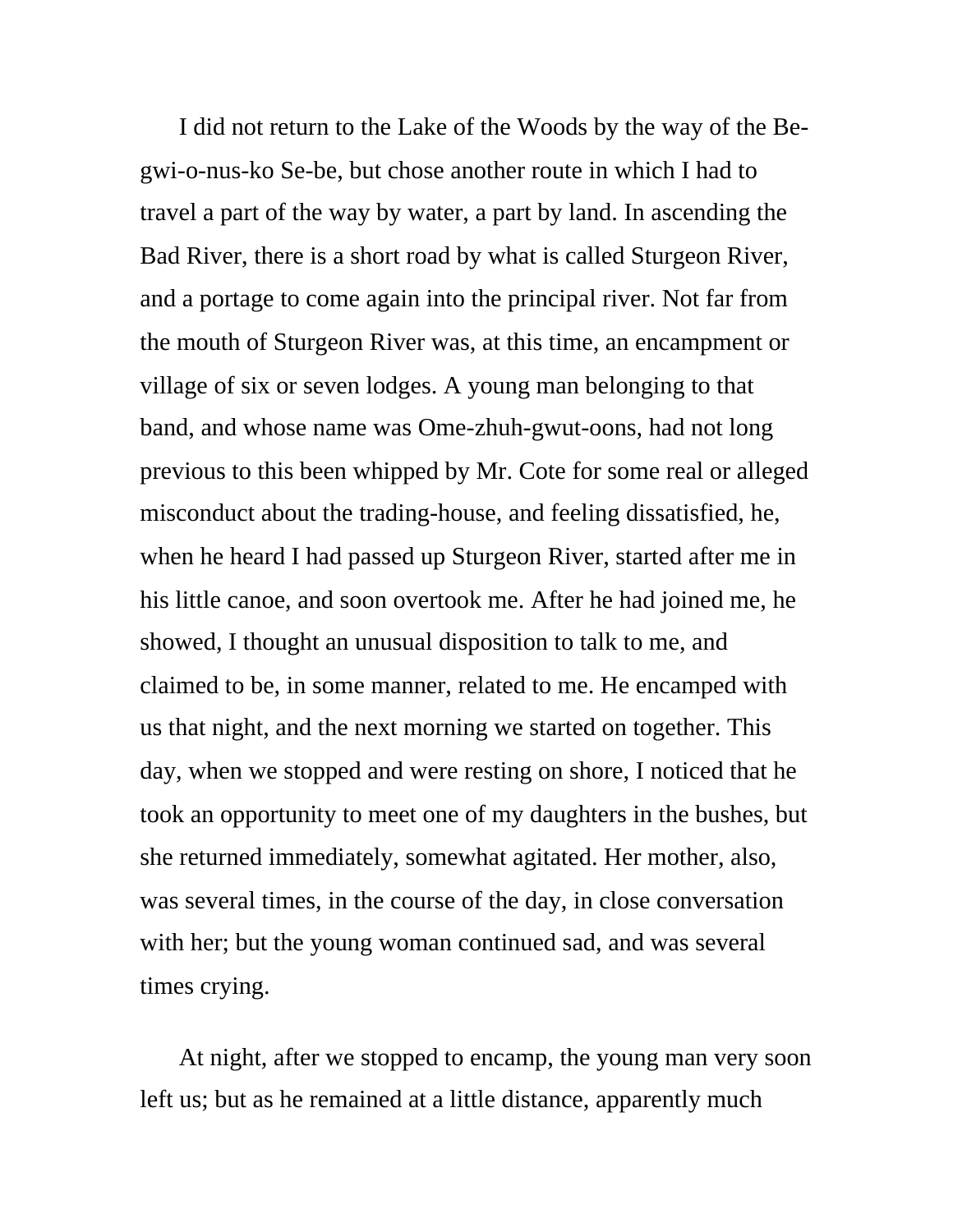I did not return to the Lake of the Woods by the way of the Begwi-o-nus-ko Se-be, but chose another route in which I had to travel a part of the way by water, a part by land. In ascending the Bad River, there is a short road by what is called Sturgeon River, and a portage to come again into the principal river. Not far from the mouth of Sturgeon River was, at this time, an encampment or village of six or seven lodges. A young man belonging to that band, and whose name was Ome-zhuh-gwut-oons, had not long previous to this been whipped by Mr. Cote for some real or alleged misconduct about the trading-house, and feeling dissatisfied, he, when he heard I had passed up Sturgeon River, started after me in his little canoe, and soon overtook me. After he had joined me, he showed, I thought an unusual disposition to talk to me, and claimed to be, in some manner, related to me. He encamped with us that night, and the next morning we started on together. This day, when we stopped and were resting on shore, I noticed that he took an opportunity to meet one of my daughters in the bushes, but she returned immediately, somewhat agitated. Her mother, also, was several times, in the course of the day, in close conversation with her; but the young woman continued sad, and was several times crying.

At night, after we stopped to encamp, the young man very soon left us; but as he remained at a little distance, apparently much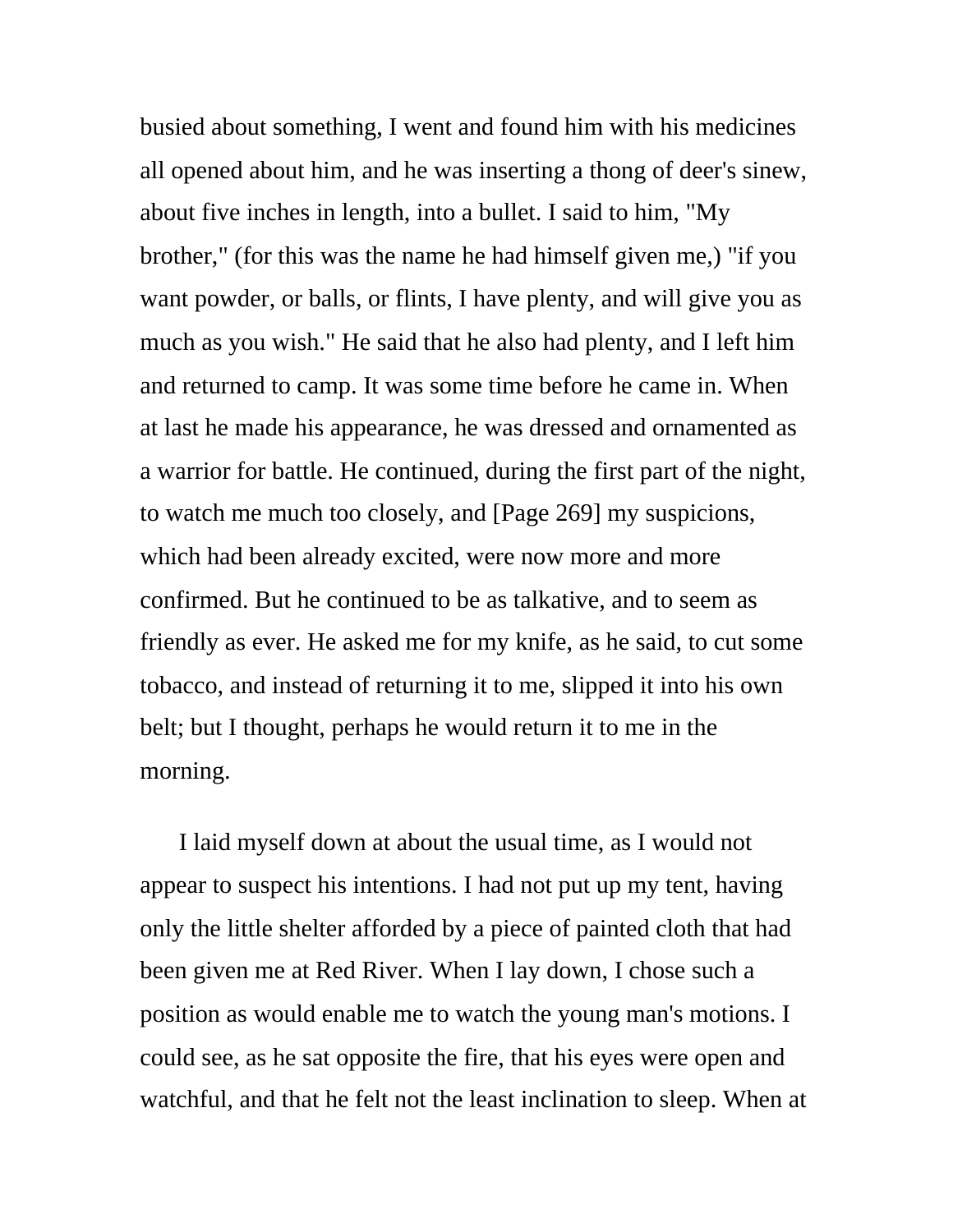busied about something, I went and found him with his medicines all opened about him, and he was inserting a thong of deer's sinew, about five inches in length, into a bullet. I said to him, "My brother," (for this was the name he had himself given me,) "if you want powder, or balls, or flints, I have plenty, and will give you as much as you wish." He said that he also had plenty, and I left him and returned to camp. It was some time before he came in. When at last he made his appearance, he was dressed and ornamented as a warrior for battle. He continued, during the first part of the night, to watch me much too closely, and [Page 269] my suspicions, which had been already excited, were now more and more confirmed. But he continued to be as talkative, and to seem as friendly as ever. He asked me for my knife, as he said, to cut some tobacco, and instead of returning it to me, slipped it into his own belt; but I thought, perhaps he would return it to me in the morning.

I laid myself down at about the usual time, as I would not appear to suspect his intentions. I had not put up my tent, having only the little shelter afforded by a piece of painted cloth that had been given me at Red River. When I lay down, I chose such a position as would enable me to watch the young man's motions. I could see, as he sat opposite the fire, that his eyes were open and watchful, and that he felt not the least inclination to sleep. When at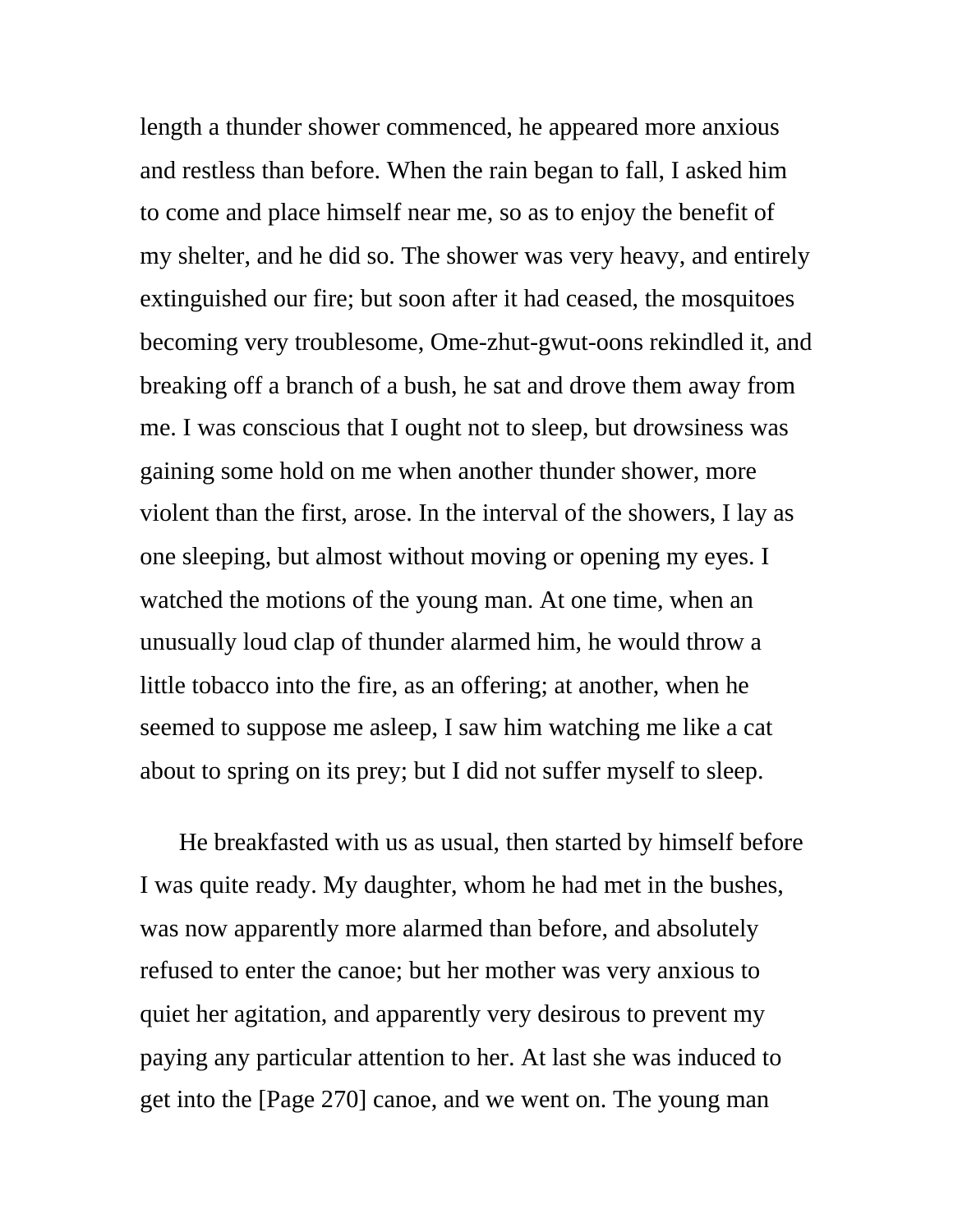length a thunder shower commenced, he appeared more anxious and restless than before. When the rain began to fall, I asked him to come and place himself near me, so as to enjoy the benefit of my shelter, and he did so. The shower was very heavy, and entirely extinguished our fire; but soon after it had ceased, the mosquitoes becoming very troublesome, Ome-zhut-gwut-oons rekindled it, and breaking off a branch of a bush, he sat and drove them away from me. I was conscious that I ought not to sleep, but drowsiness was gaining some hold on me when another thunder shower, more violent than the first, arose. In the interval of the showers, I lay as one sleeping, but almost without moving or opening my eyes. I watched the motions of the young man. At one time, when an unusually loud clap of thunder alarmed him, he would throw a little tobacco into the fire, as an offering; at another, when he seemed to suppose me asleep, I saw him watching me like a cat about to spring on its prey; but I did not suffer myself to sleep.

He breakfasted with us as usual, then started by himself before I was quite ready. My daughter, whom he had met in the bushes, was now apparently more alarmed than before, and absolutely refused to enter the canoe; but her mother was very anxious to quiet her agitation, and apparently very desirous to prevent my paying any particular attention to her. At last she was induced to get into the [Page 270] canoe, and we went on. The young man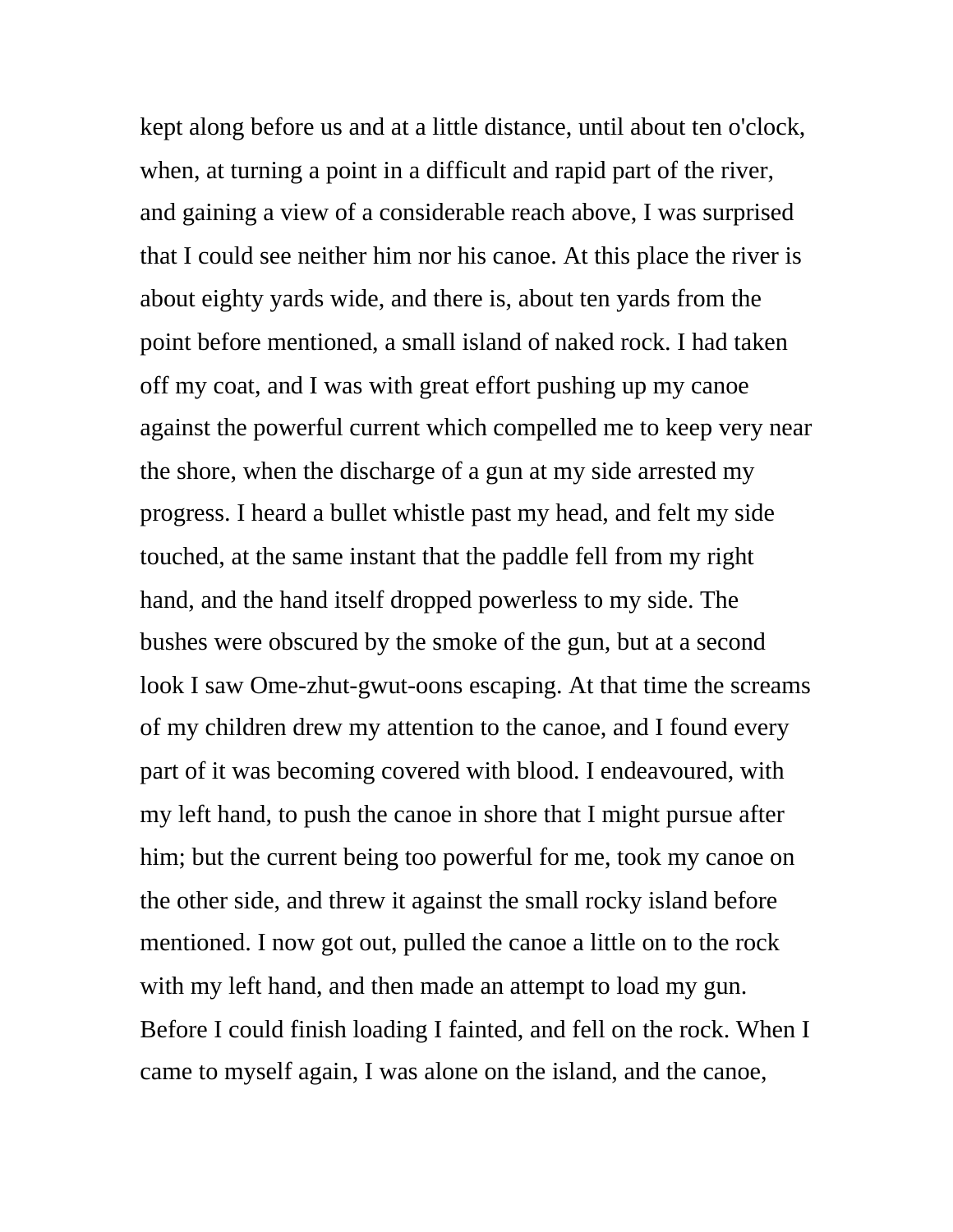kept along before us and at a little distance, until about ten o'clock, when, at turning a point in a difficult and rapid part of the river, and gaining a view of a considerable reach above, I was surprised that I could see neither him nor his canoe. At this place the river is about eighty yards wide, and there is, about ten yards from the point before mentioned, a small island of naked rock. I had taken off my coat, and I was with great effort pushing up my canoe against the powerful current which compelled me to keep very near the shore, when the discharge of a gun at my side arrested my progress. I heard a bullet whistle past my head, and felt my side touched, at the same instant that the paddle fell from my right hand, and the hand itself dropped powerless to my side. The bushes were obscured by the smoke of the gun, but at a second look I saw Ome-zhut-gwut-oons escaping. At that time the screams of my children drew my attention to the canoe, and I found every part of it was becoming covered with blood. I endeavoured, with my left hand, to push the canoe in shore that I might pursue after him; but the current being too powerful for me, took my canoe on the other side, and threw it against the small rocky island before mentioned. I now got out, pulled the canoe a little on to the rock with my left hand, and then made an attempt to load my gun. Before I could finish loading I fainted, and fell on the rock. When I came to myself again, I was alone on the island, and the canoe,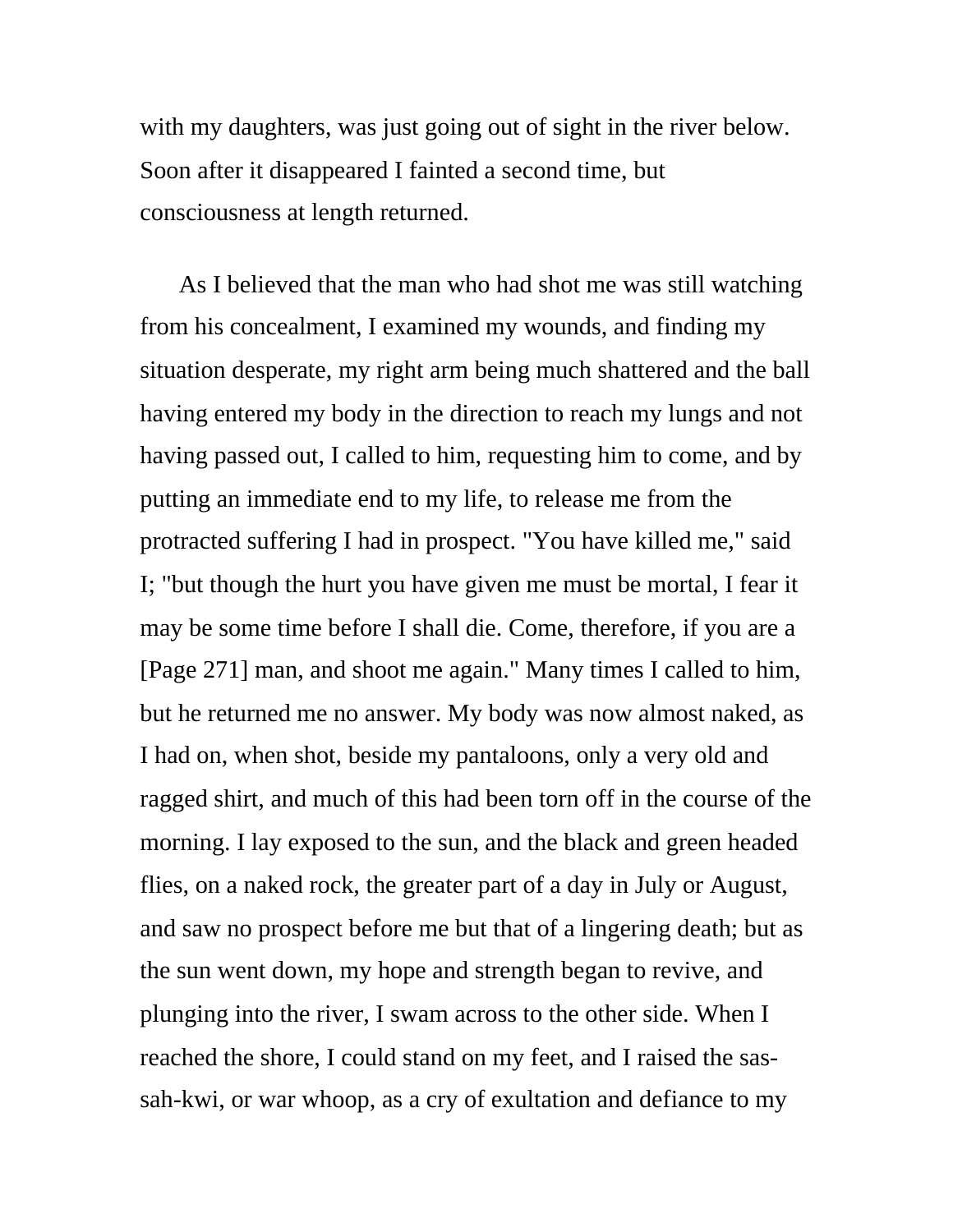with my daughters, was just going out of sight in the river below. Soon after it disappeared I fainted a second time, but consciousness at length returned.

As I believed that the man who had shot me was still watching from his concealment, I examined my wounds, and finding my situation desperate, my right arm being much shattered and the ball having entered my body in the direction to reach my lungs and not having passed out, I called to him, requesting him to come, and by putting an immediate end to my life, to release me from the protracted suffering I had in prospect. "You have killed me," said I; "but though the hurt you have given me must be mortal, I fear it may be some time before I shall die. Come, therefore, if you are a [Page 271] man, and shoot me again." Many times I called to him, but he returned me no answer. My body was now almost naked, as I had on, when shot, beside my pantaloons, only a very old and ragged shirt, and much of this had been torn off in the course of the morning. I lay exposed to the sun, and the black and green headed flies, on a naked rock, the greater part of a day in July or August, and saw no prospect before me but that of a lingering death; but as the sun went down, my hope and strength began to revive, and plunging into the river, I swam across to the other side. When I reached the shore, I could stand on my feet, and I raised the sassah-kwi, or war whoop, as a cry of exultation and defiance to my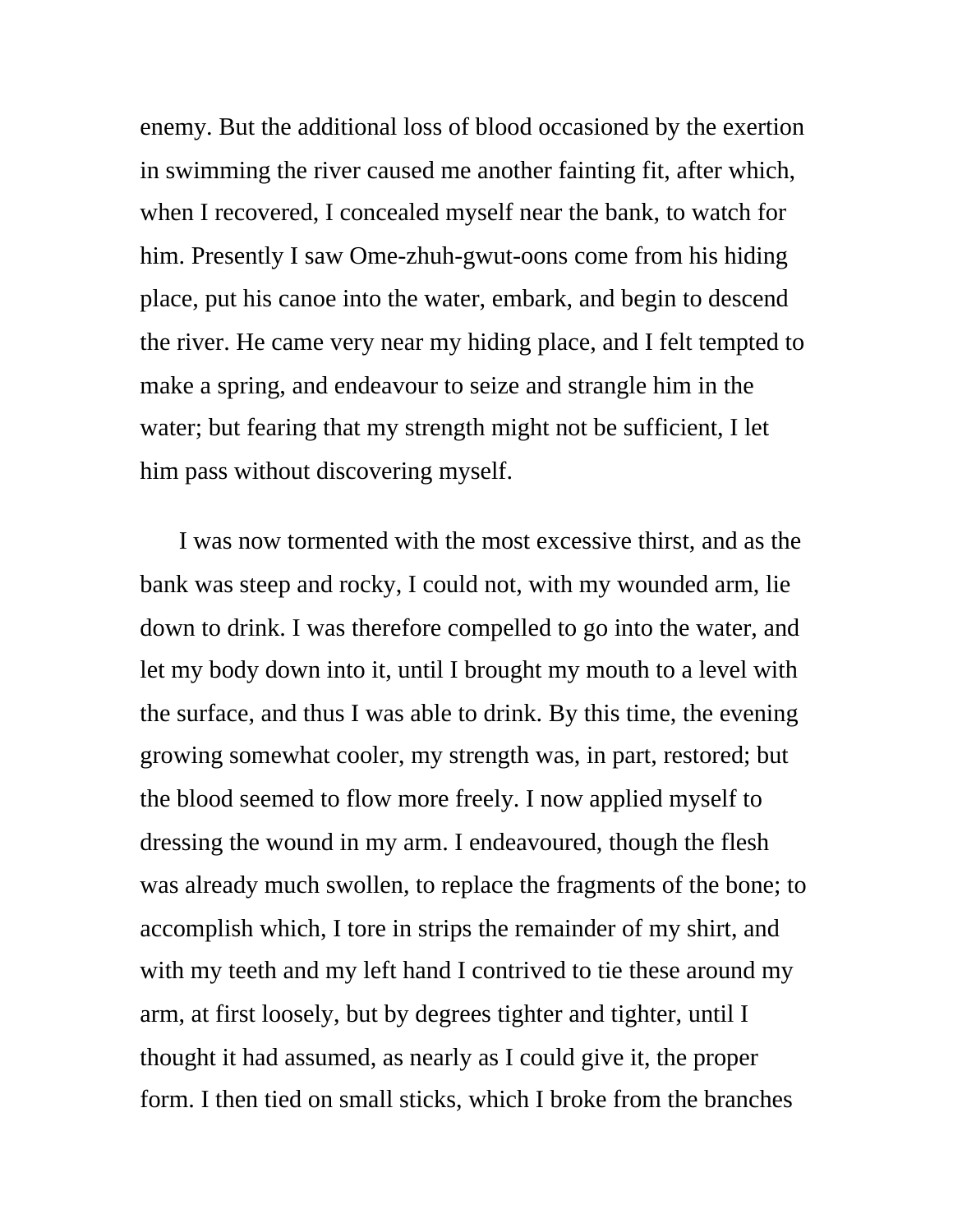enemy. But the additional loss of blood occasioned by the exertion in swimming the river caused me another fainting fit, after which, when I recovered, I concealed myself near the bank, to watch for him. Presently I saw Ome-zhuh-gwut-oons come from his hiding place, put his canoe into the water, embark, and begin to descend the river. He came very near my hiding place, and I felt tempted to make a spring, and endeavour to seize and strangle him in the water; but fearing that my strength might not be sufficient, I let him pass without discovering myself.

I was now tormented with the most excessive thirst, and as the bank was steep and rocky, I could not, with my wounded arm, lie down to drink. I was therefore compelled to go into the water, and let my body down into it, until I brought my mouth to a level with the surface, and thus I was able to drink. By this time, the evening growing somewhat cooler, my strength was, in part, restored; but the blood seemed to flow more freely. I now applied myself to dressing the wound in my arm. I endeavoured, though the flesh was already much swollen, to replace the fragments of the bone; to accomplish which, I tore in strips the remainder of my shirt, and with my teeth and my left hand I contrived to tie these around my arm, at first loosely, but by degrees tighter and tighter, until I thought it had assumed, as nearly as I could give it, the proper form. I then tied on small sticks, which I broke from the branches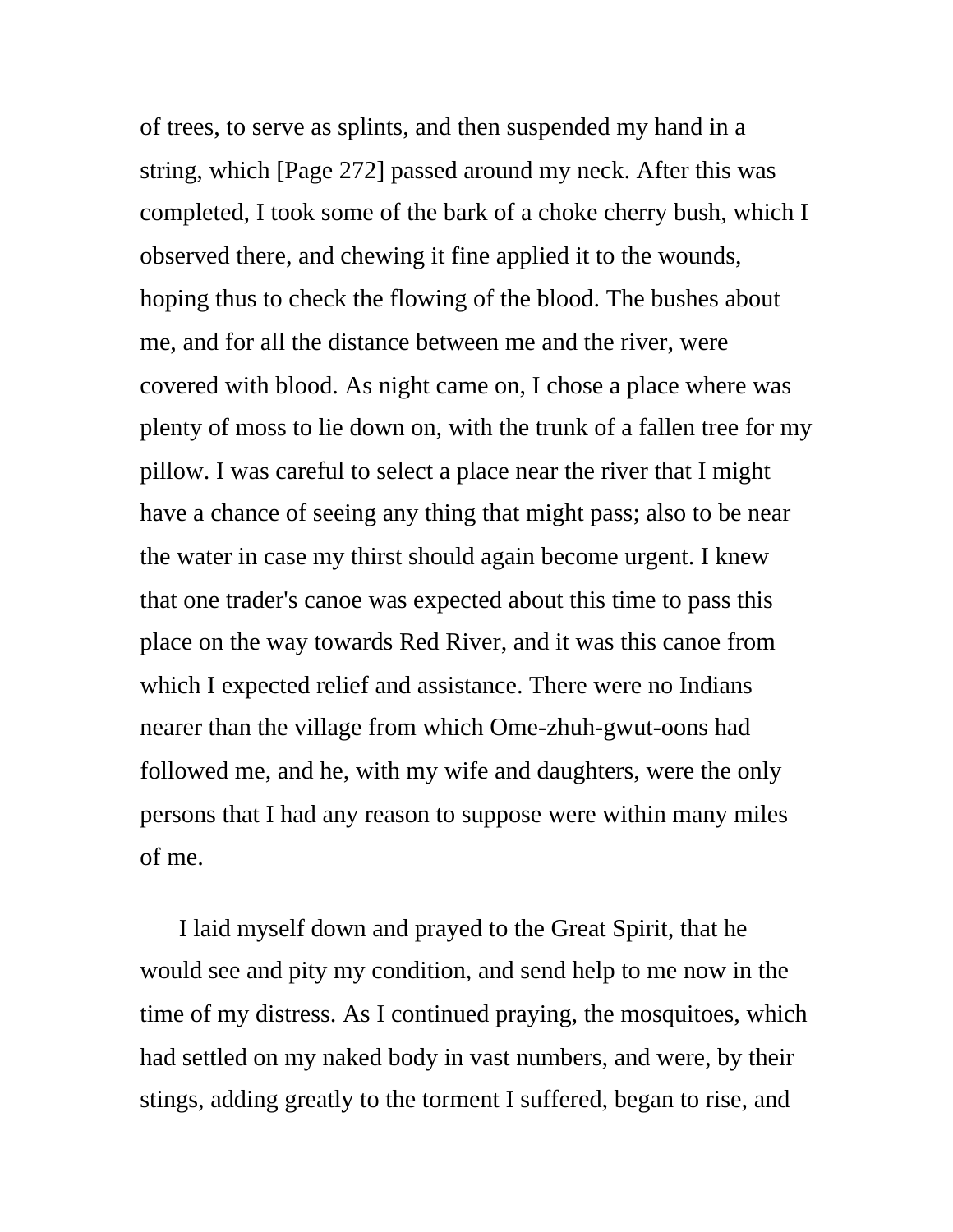of trees, to serve as splints, and then suspended my hand in a string, which [Page 272] passed around my neck. After this was completed, I took some of the bark of a choke cherry bush, which I observed there, and chewing it fine applied it to the wounds, hoping thus to check the flowing of the blood. The bushes about me, and for all the distance between me and the river, were covered with blood. As night came on, I chose a place where was plenty of moss to lie down on, with the trunk of a fallen tree for my pillow. I was careful to select a place near the river that I might have a chance of seeing any thing that might pass; also to be near the water in case my thirst should again become urgent. I knew that one trader's canoe was expected about this time to pass this place on the way towards Red River, and it was this canoe from which I expected relief and assistance. There were no Indians nearer than the village from which Ome-zhuh-gwut-oons had followed me, and he, with my wife and daughters, were the only persons that I had any reason to suppose were within many miles of me.

I laid myself down and prayed to the Great Spirit, that he would see and pity my condition, and send help to me now in the time of my distress. As I continued praying, the mosquitoes, which had settled on my naked body in vast numbers, and were, by their stings, adding greatly to the torment I suffered, began to rise, and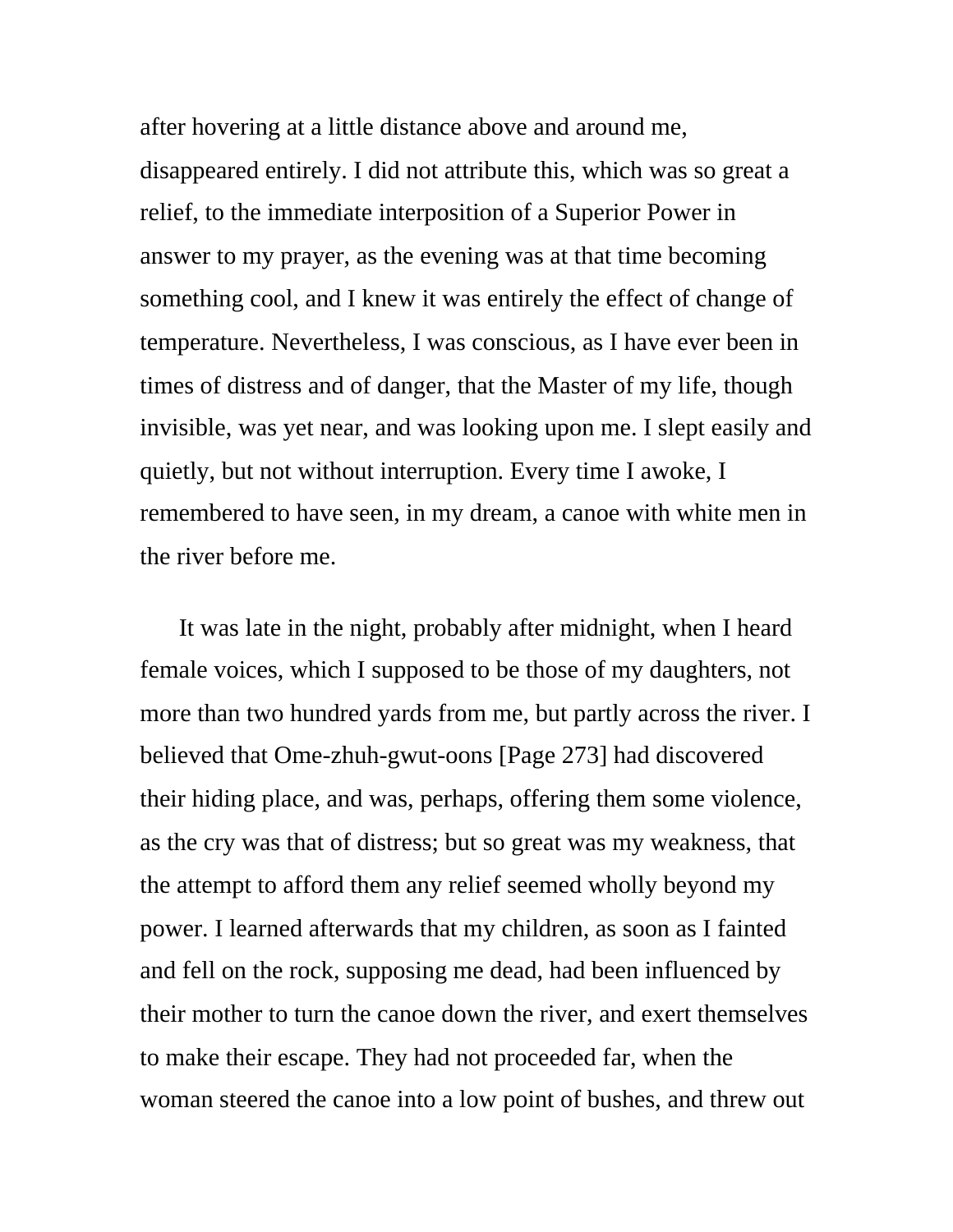after hovering at a little distance above and around me, disappeared entirely. I did not attribute this, which was so great a relief, to the immediate interposition of a Superior Power in answer to my prayer, as the evening was at that time becoming something cool, and I knew it was entirely the effect of change of temperature. Nevertheless, I was conscious, as I have ever been in times of distress and of danger, that the Master of my life, though invisible, was yet near, and was looking upon me. I slept easily and quietly, but not without interruption. Every time I awoke, I remembered to have seen, in my dream, a canoe with white men in the river before me.

It was late in the night, probably after midnight, when I heard female voices, which I supposed to be those of my daughters, not more than two hundred yards from me, but partly across the river. I believed that Ome-zhuh-gwut-oons [Page 273] had discovered their hiding place, and was, perhaps, offering them some violence, as the cry was that of distress; but so great was my weakness, that the attempt to afford them any relief seemed wholly beyond my power. I learned afterwards that my children, as soon as I fainted and fell on the rock, supposing me dead, had been influenced by their mother to turn the canoe down the river, and exert themselves to make their escape. They had not proceeded far, when the woman steered the canoe into a low point of bushes, and threw out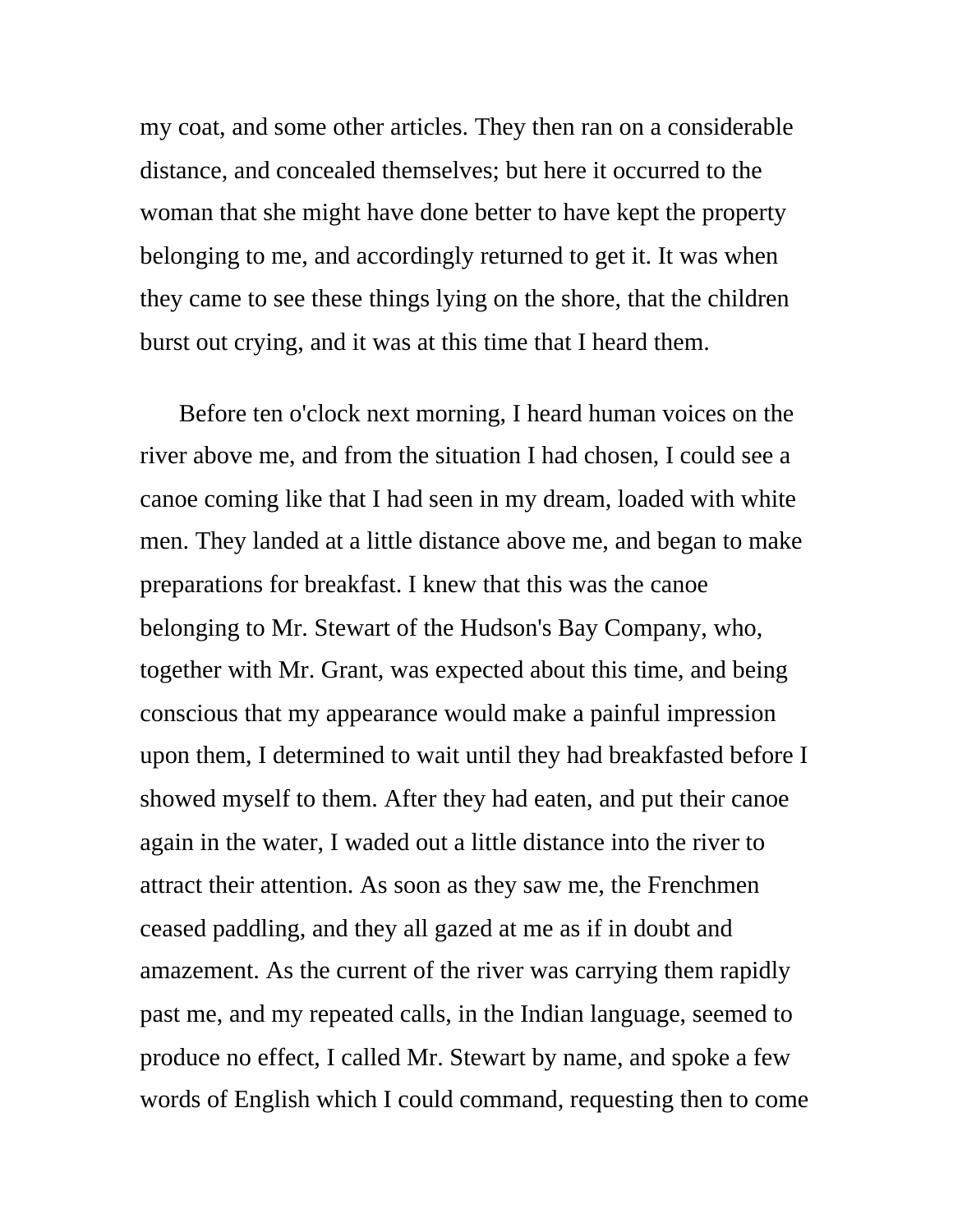my coat, and some other articles. They then ran on a considerable distance, and concealed themselves; but here it occurred to the woman that she might have done better to have kept the property belonging to me, and accordingly returned to get it. It was when they came to see these things lying on the shore, that the children burst out crying, and it was at this time that I heard them.

Before ten o'clock next morning, I heard human voices on the river above me, and from the situation I had chosen, I could see a canoe coming like that I had seen in my dream, loaded with white men. They landed at a little distance above me, and began to make preparations for breakfast. I knew that this was the canoe belonging to Mr. Stewart of the Hudson's Bay Company, who, together with Mr. Grant, was expected about this time, and being conscious that my appearance would make a painful impression upon them, I determined to wait until they had breakfasted before I showed myself to them. After they had eaten, and put their canoe again in the water, I waded out a little distance into the river to attract their attention. As soon as they saw me, the Frenchmen ceased paddling, and they all gazed at me as if in doubt and amazement. As the current of the river was carrying them rapidly past me, and my repeated calls, in the Indian language, seemed to produce no effect, I called Mr. Stewart by name, and spoke a few words of English which I could command, requesting then to come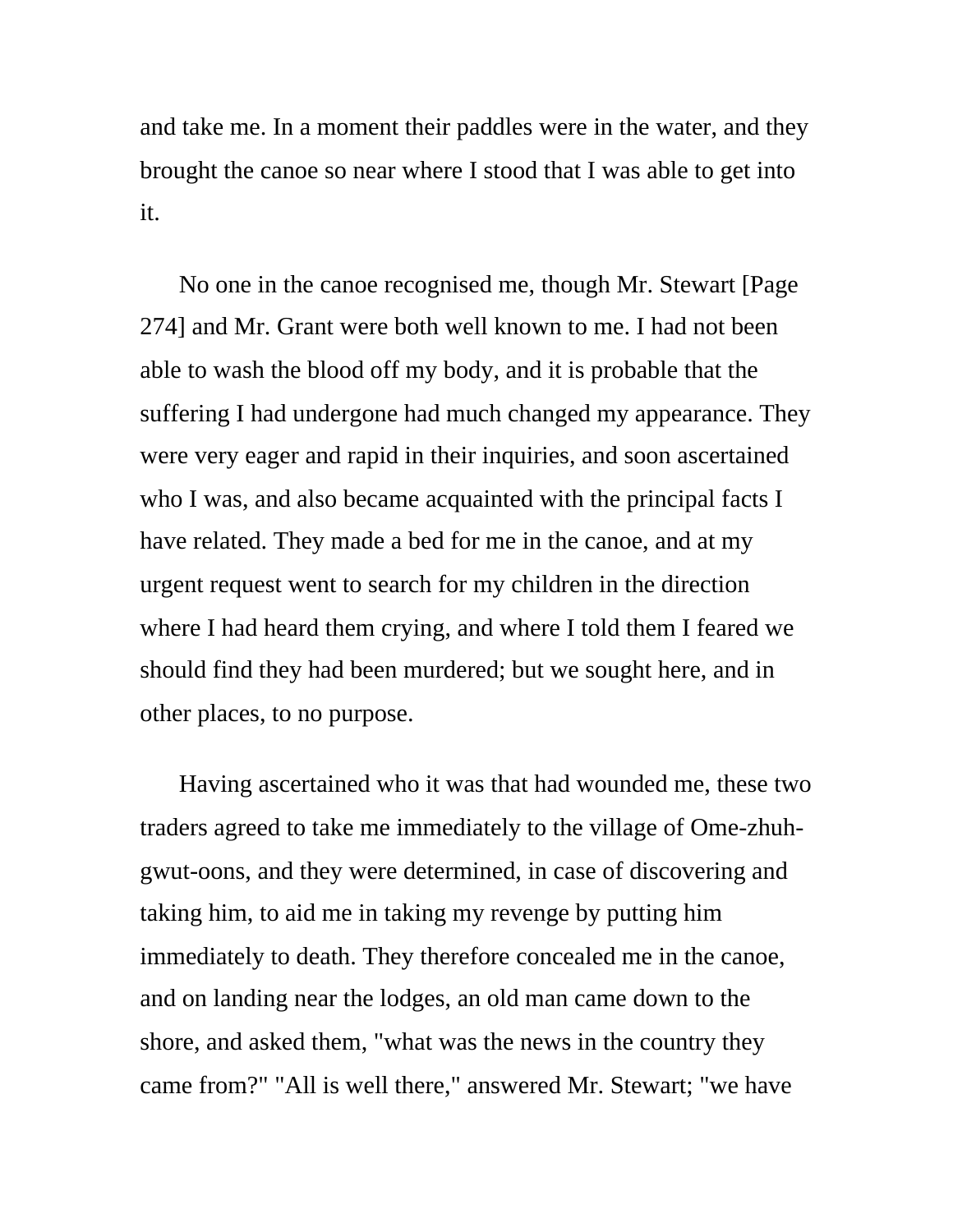and take me. In a moment their paddles were in the water, and they brought the canoe so near where I stood that I was able to get into it.

No one in the canoe recognised me, though Mr. Stewart [Page 274] and Mr. Grant were both well known to me. I had not been able to wash the blood off my body, and it is probable that the suffering I had undergone had much changed my appearance. They were very eager and rapid in their inquiries, and soon ascertained who I was, and also became acquainted with the principal facts I have related. They made a bed for me in the canoe, and at my urgent request went to search for my children in the direction where I had heard them crying, and where I told them I feared we should find they had been murdered; but we sought here, and in other places, to no purpose.

Having ascertained who it was that had wounded me, these two traders agreed to take me immediately to the village of Ome-zhuhgwut-oons, and they were determined, in case of discovering and taking him, to aid me in taking my revenge by putting him immediately to death. They therefore concealed me in the canoe, and on landing near the lodges, an old man came down to the shore, and asked them, "what was the news in the country they came from?" "All is well there," answered Mr. Stewart; "we have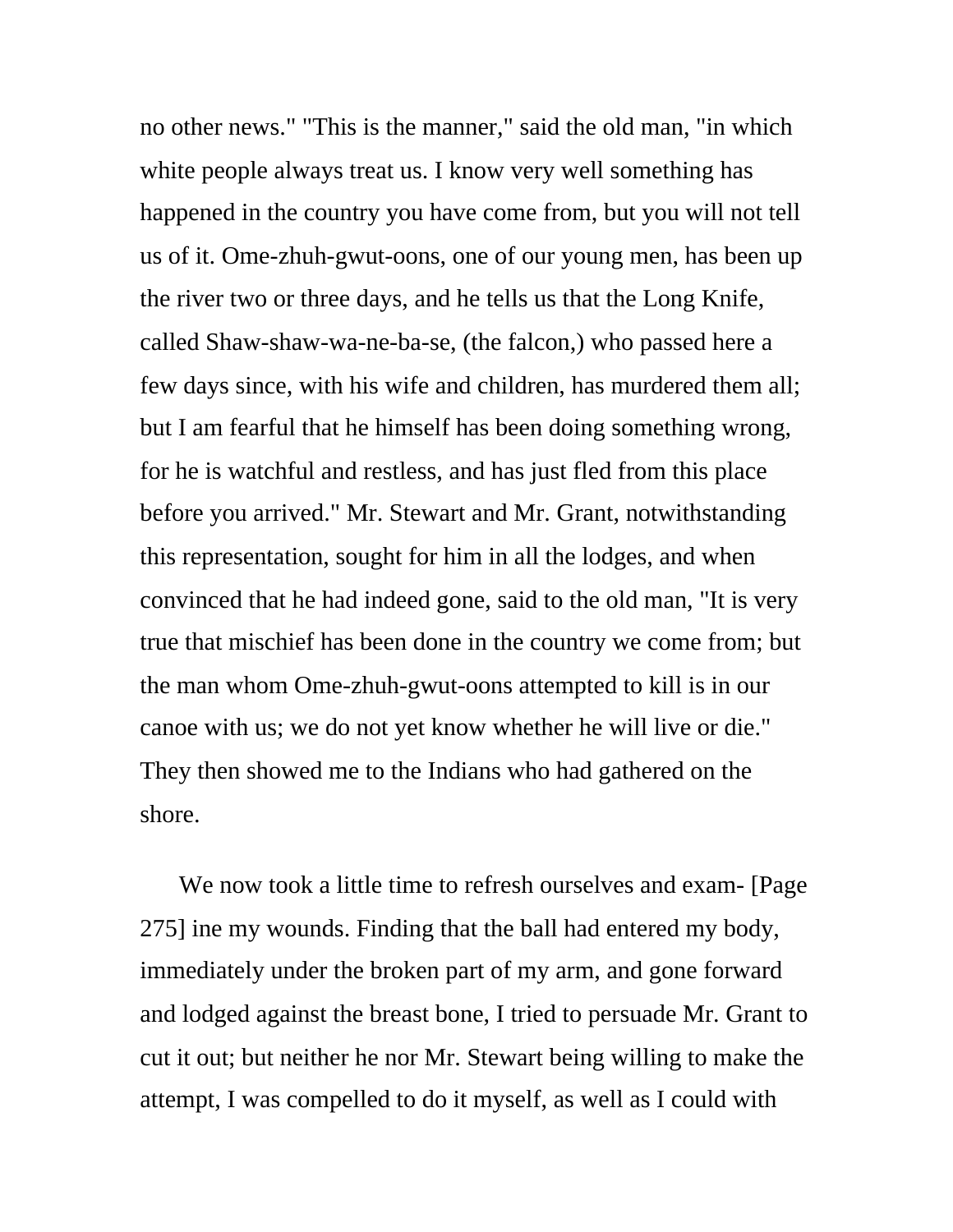no other news." "This is the manner," said the old man, "in which white people always treat us. I know very well something has happened in the country you have come from, but you will not tell us of it. Ome-zhuh-gwut-oons, one of our young men, has been up the river two or three days, and he tells us that the Long Knife, called Shaw-shaw-wa-ne-ba-se, (the falcon,) who passed here a few days since, with his wife and children, has murdered them all; but I am fearful that he himself has been doing something wrong, for he is watchful and restless, and has just fled from this place before you arrived." Mr. Stewart and Mr. Grant, notwithstanding this representation, sought for him in all the lodges, and when convinced that he had indeed gone, said to the old man, "It is very true that mischief has been done in the country we come from; but the man whom Ome-zhuh-gwut-oons attempted to kill is in our canoe with us; we do not yet know whether he will live or die." They then showed me to the Indians who had gathered on the shore.

We now took a little time to refresh ourselves and exam- [Page] 275] ine my wounds. Finding that the ball had entered my body, immediately under the broken part of my arm, and gone forward and lodged against the breast bone, I tried to persuade Mr. Grant to cut it out; but neither he nor Mr. Stewart being willing to make the attempt, I was compelled to do it myself, as well as I could with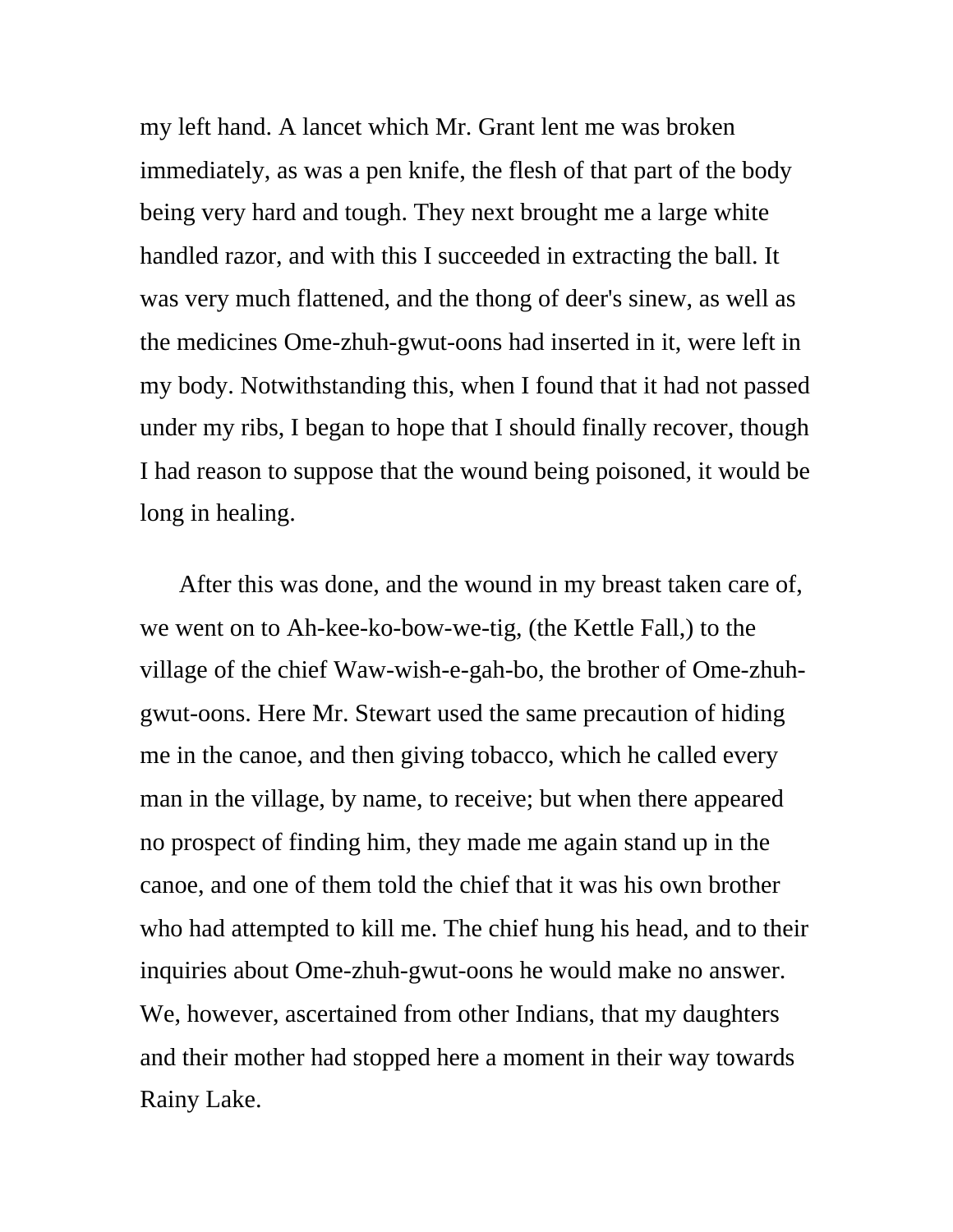my left hand. A lancet which Mr. Grant lent me was broken immediately, as was a pen knife, the flesh of that part of the body being very hard and tough. They next brought me a large white handled razor, and with this I succeeded in extracting the ball. It was very much flattened, and the thong of deer's sinew, as well as the medicines Ome-zhuh-gwut-oons had inserted in it, were left in my body. Notwithstanding this, when I found that it had not passed under my ribs, I began to hope that I should finally recover, though I had reason to suppose that the wound being poisoned, it would be long in healing.

After this was done, and the wound in my breast taken care of, we went on to Ah-kee-ko-bow-we-tig, (the Kettle Fall,) to the village of the chief Waw-wish-e-gah-bo, the brother of Ome-zhuhgwut-oons. Here Mr. Stewart used the same precaution of hiding me in the canoe, and then giving tobacco, which he called every man in the village, by name, to receive; but when there appeared no prospect of finding him, they made me again stand up in the canoe, and one of them told the chief that it was his own brother who had attempted to kill me. The chief hung his head, and to their inquiries about Ome-zhuh-gwut-oons he would make no answer. We, however, ascertained from other Indians, that my daughters and their mother had stopped here a moment in their way towards Rainy Lake.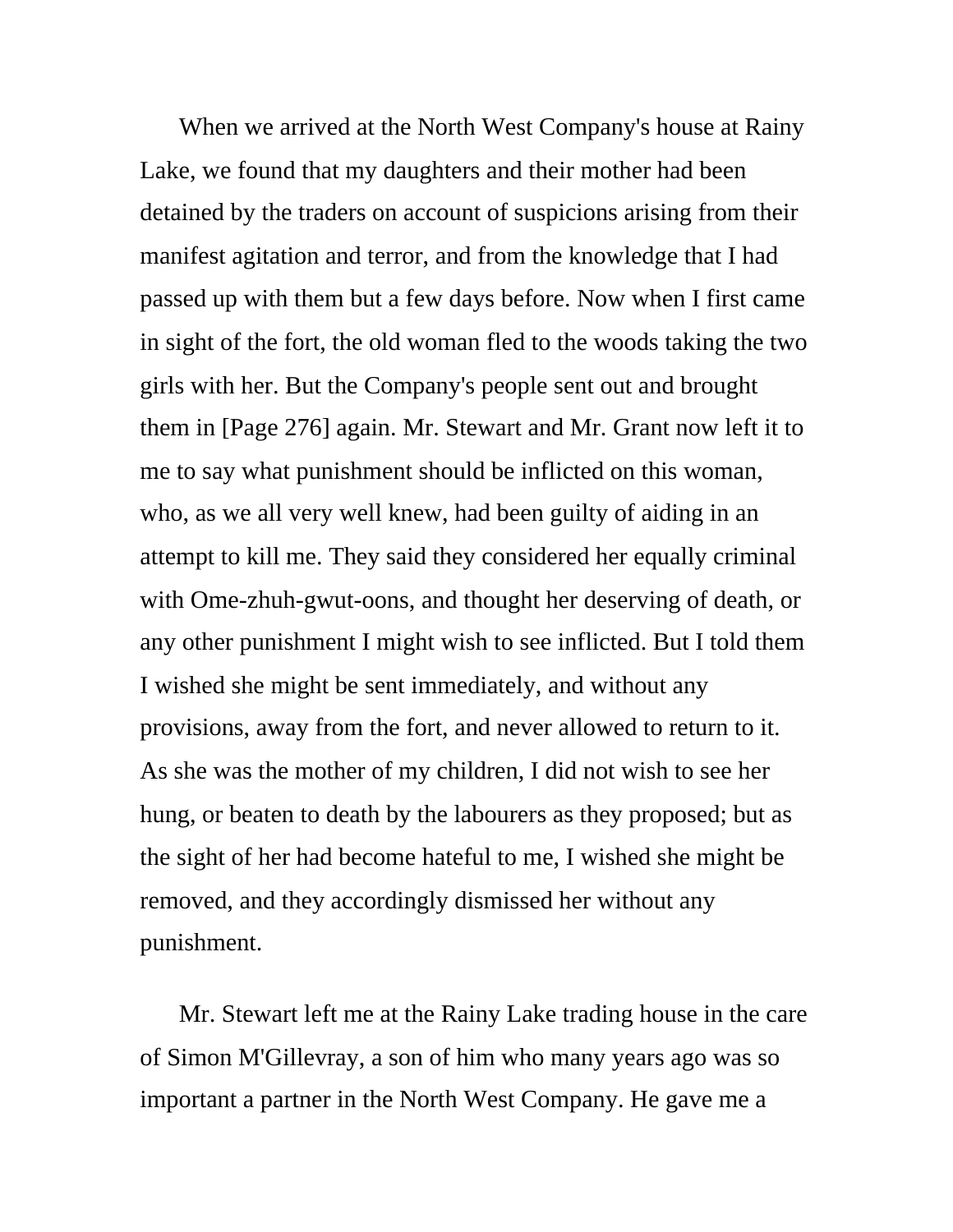When we arrived at the North West Company's house at Rainy Lake, we found that my daughters and their mother had been detained by the traders on account of suspicions arising from their manifest agitation and terror, and from the knowledge that I had passed up with them but a few days before. Now when I first came in sight of the fort, the old woman fled to the woods taking the two girls with her. But the Company's people sent out and brought them in [Page 276] again. Mr. Stewart and Mr. Grant now left it to me to say what punishment should be inflicted on this woman, who, as we all very well knew, had been guilty of aiding in an attempt to kill me. They said they considered her equally criminal with Ome-zhuh-gwut-oons, and thought her deserving of death, or any other punishment I might wish to see inflicted. But I told them I wished she might be sent immediately, and without any provisions, away from the fort, and never allowed to return to it. As she was the mother of my children, I did not wish to see her hung, or beaten to death by the labourers as they proposed; but as the sight of her had become hateful to me, I wished she might be removed, and they accordingly dismissed her without any punishment.

Mr. Stewart left me at the Rainy Lake trading house in the care of Simon M'Gillevray, a son of him who many years ago was so important a partner in the North West Company. He gave me a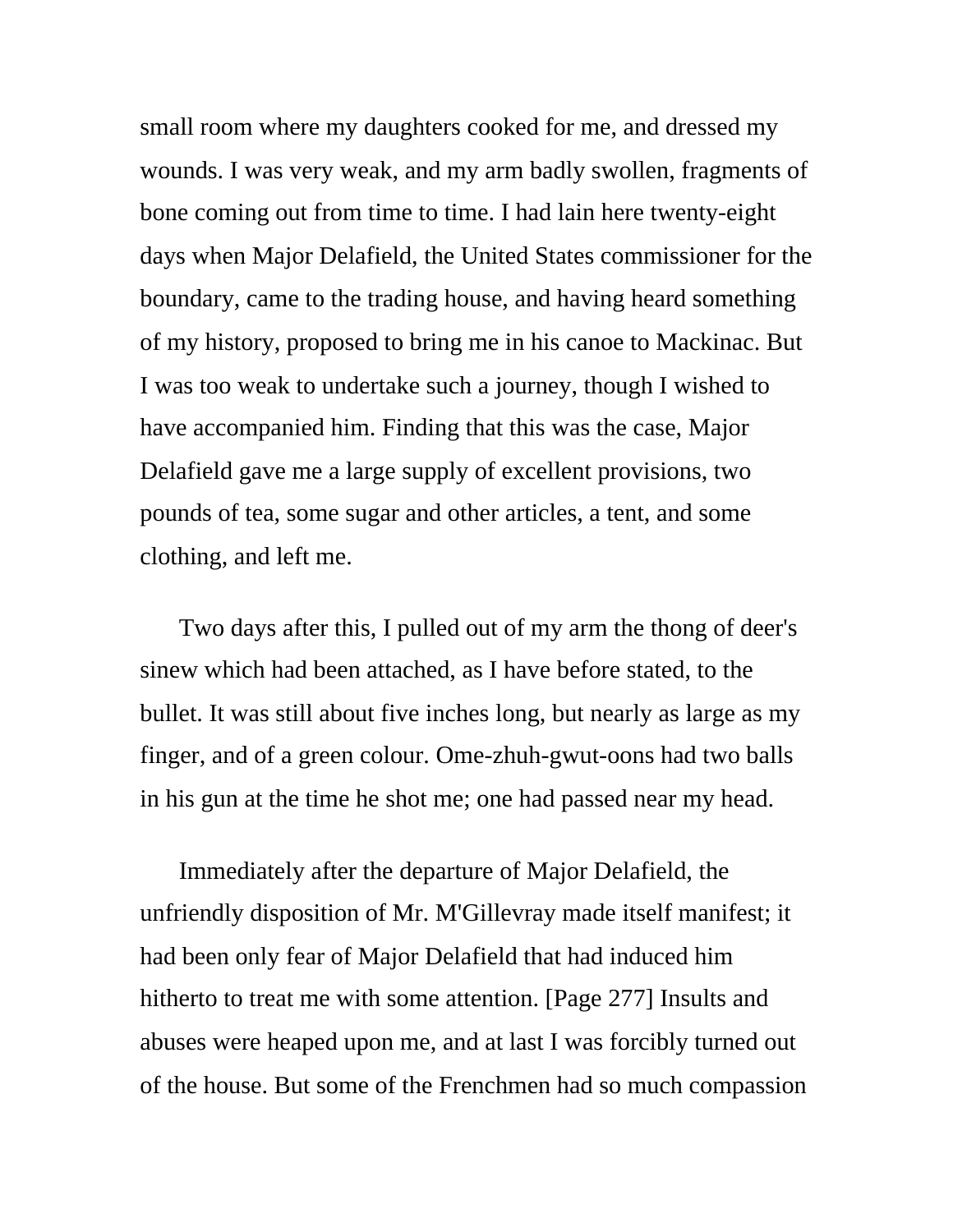small room where my daughters cooked for me, and dressed my wounds. I was very weak, and my arm badly swollen, fragments of bone coming out from time to time. I had lain here twenty-eight days when Major Delafield, the United States commissioner for the boundary, came to the trading house, and having heard something of my history, proposed to bring me in his canoe to Mackinac. But I was too weak to undertake such a journey, though I wished to have accompanied him. Finding that this was the case, Major Delafield gave me a large supply of excellent provisions, two pounds of tea, some sugar and other articles, a tent, and some clothing, and left me.

Two days after this, I pulled out of my arm the thong of deer's sinew which had been attached, as I have before stated, to the bullet. It was still about five inches long, but nearly as large as my finger, and of a green colour. Ome-zhuh-gwut-oons had two balls in his gun at the time he shot me; one had passed near my head.

Immediately after the departure of Major Delafield, the unfriendly disposition of Mr. M'Gillevray made itself manifest; it had been only fear of Major Delafield that had induced him hitherto to treat me with some attention. [Page 277] Insults and abuses were heaped upon me, and at last I was forcibly turned out of the house. But some of the Frenchmen had so much compassion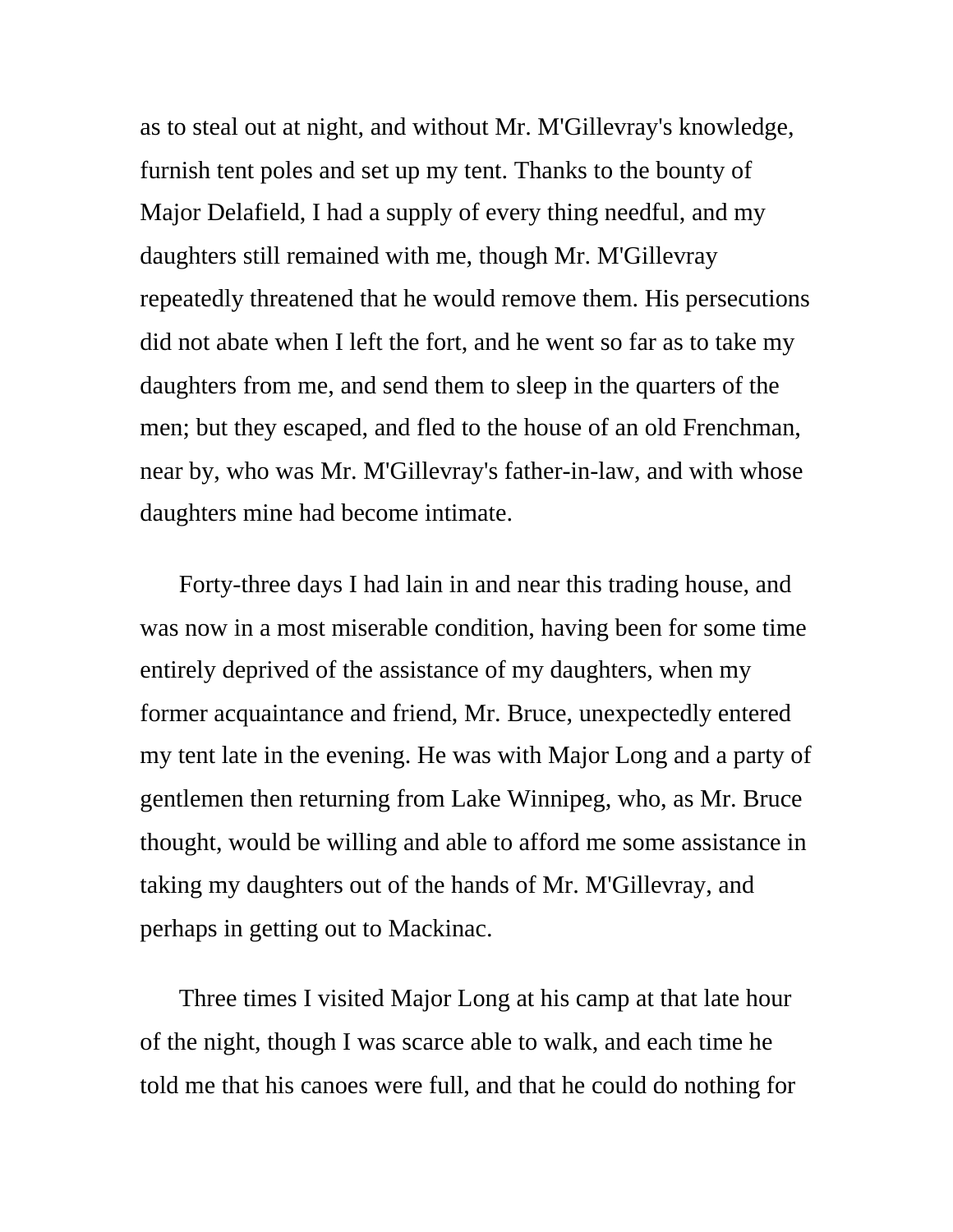as to steal out at night, and without Mr. M'Gillevray's knowledge, furnish tent poles and set up my tent. Thanks to the bounty of Major Delafield, I had a supply of every thing needful, and my daughters still remained with me, though Mr. M'Gillevray repeatedly threatened that he would remove them. His persecutions did not abate when I left the fort, and he went so far as to take my daughters from me, and send them to sleep in the quarters of the men; but they escaped, and fled to the house of an old Frenchman, near by, who was Mr. M'Gillevray's father-in-law, and with whose daughters mine had become intimate.

Forty-three days I had lain in and near this trading house, and was now in a most miserable condition, having been for some time entirely deprived of the assistance of my daughters, when my former acquaintance and friend, Mr. Bruce, unexpectedly entered my tent late in the evening. He was with Major Long and a party of gentlemen then returning from Lake Winnipeg, who, as Mr. Bruce thought, would be willing and able to afford me some assistance in taking my daughters out of the hands of Mr. M'Gillevray, and perhaps in getting out to Mackinac.

Three times I visited Major Long at his camp at that late hour of the night, though I was scarce able to walk, and each time he told me that his canoes were full, and that he could do nothing for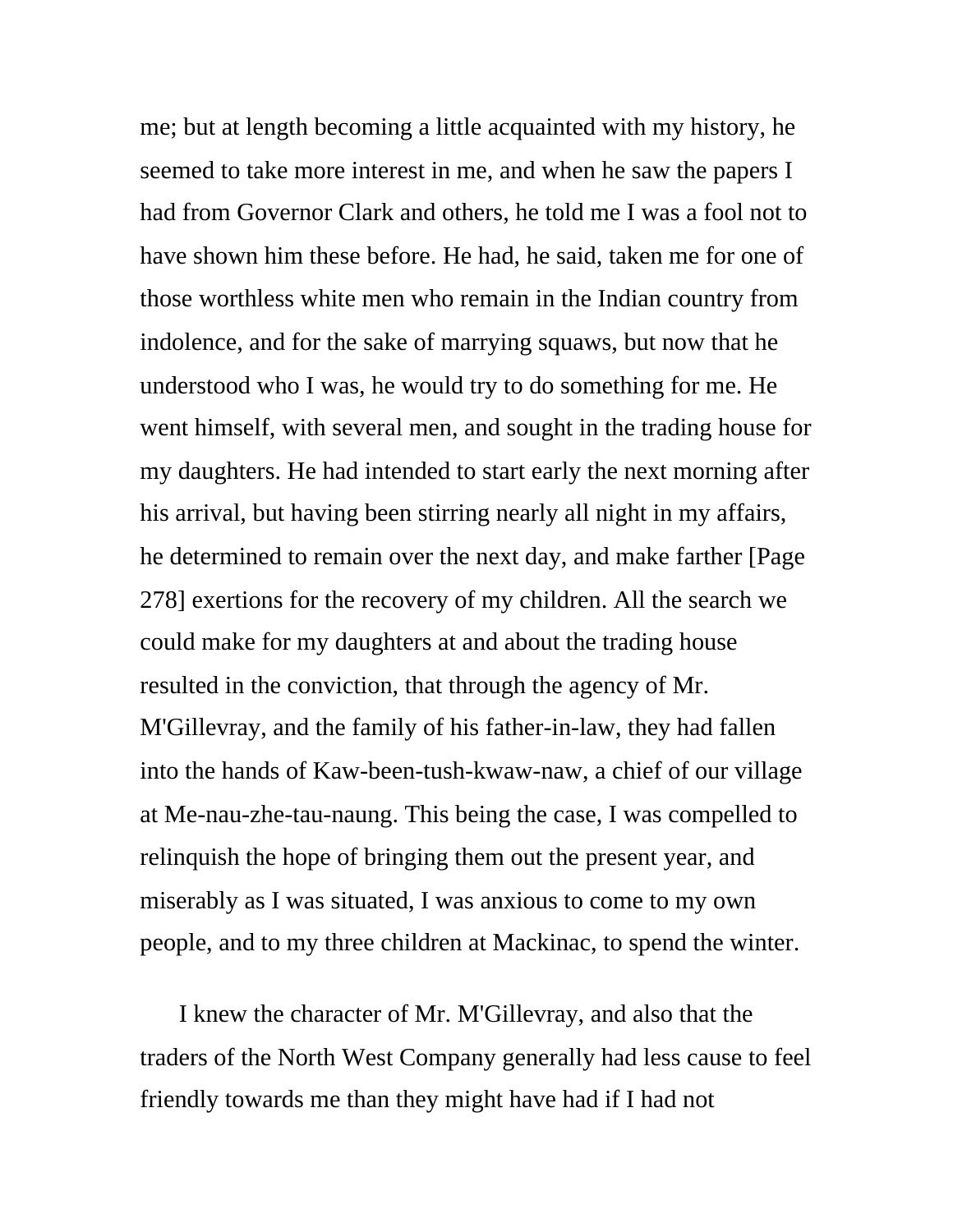me; but at length becoming a little acquainted with my history, he seemed to take more interest in me, and when he saw the papers I had from Governor Clark and others, he told me I was a fool not to have shown him these before. He had, he said, taken me for one of those worthless white men who remain in the Indian country from indolence, and for the sake of marrying squaws, but now that he understood who I was, he would try to do something for me. He went himself, with several men, and sought in the trading house for my daughters. He had intended to start early the next morning after his arrival, but having been stirring nearly all night in my affairs, he determined to remain over the next day, and make farther [Page 278] exertions for the recovery of my children. All the search we could make for my daughters at and about the trading house resulted in the conviction, that through the agency of Mr. M'Gillevray, and the family of his father-in-law, they had fallen into the hands of Kaw-been-tush-kwaw-naw, a chief of our village at Me-nau-zhe-tau-naung. This being the case, I was compelled to relinquish the hope of bringing them out the present year, and miserably as I was situated, I was anxious to come to my own people, and to my three children at Mackinac, to spend the winter.

I knew the character of Mr. M'Gillevray, and also that the traders of the North West Company generally had less cause to feel friendly towards me than they might have had if I had not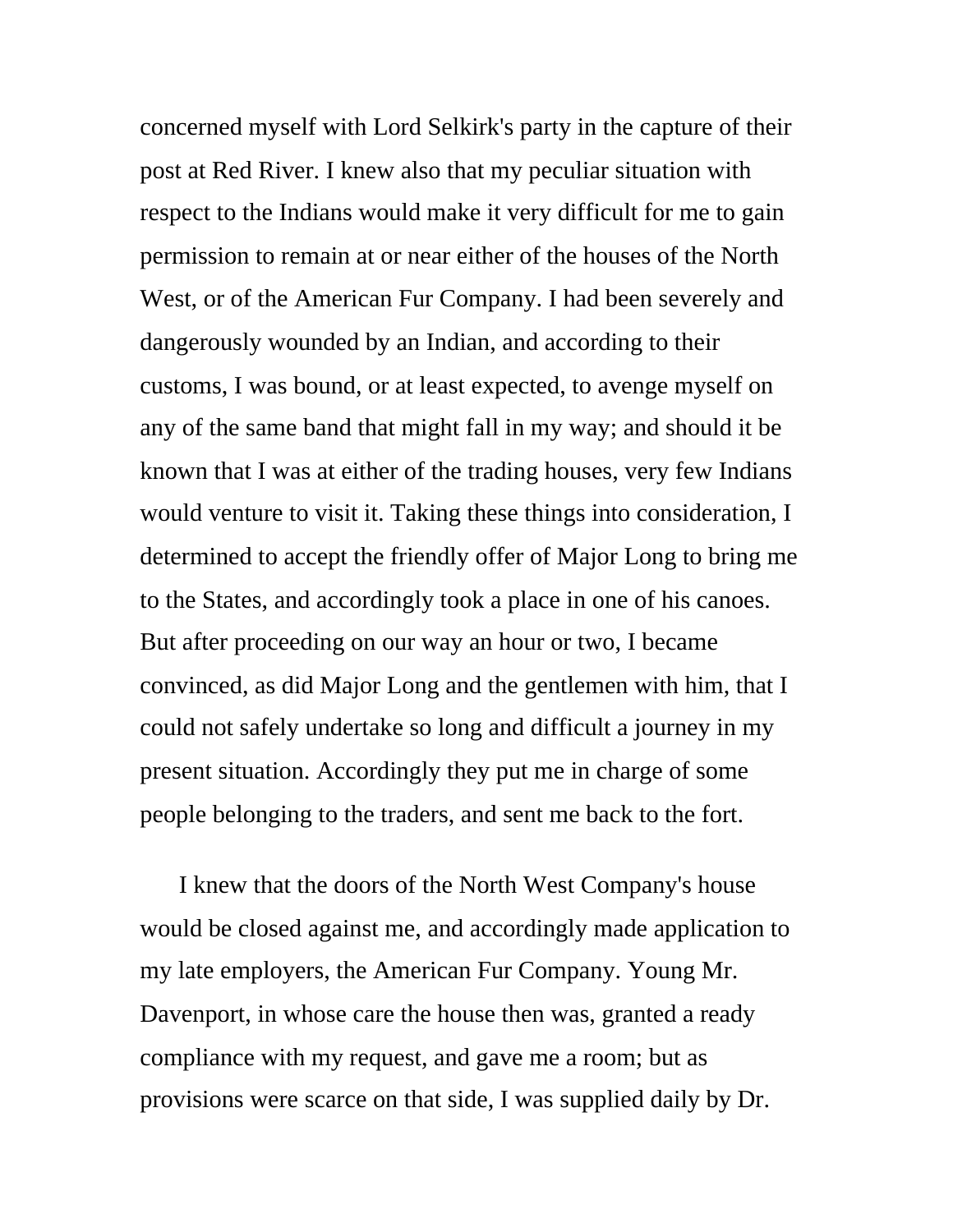concerned myself with Lord Selkirk's party in the capture of their post at Red River. I knew also that my peculiar situation with respect to the Indians would make it very difficult for me to gain permission to remain at or near either of the houses of the North West, or of the American Fur Company. I had been severely and dangerously wounded by an Indian, and according to their customs, I was bound, or at least expected, to avenge myself on any of the same band that might fall in my way; and should it be known that I was at either of the trading houses, very few Indians would venture to visit it. Taking these things into consideration, I determined to accept the friendly offer of Major Long to bring me to the States, and accordingly took a place in one of his canoes. But after proceeding on our way an hour or two, I became convinced, as did Major Long and the gentlemen with him, that I could not safely undertake so long and difficult a journey in my present situation. Accordingly they put me in charge of some people belonging to the traders, and sent me back to the fort.

I knew that the doors of the North West Company's house would be closed against me, and accordingly made application to my late employers, the American Fur Company. Young Mr. Davenport, in whose care the house then was, granted a ready compliance with my request, and gave me a room; but as provisions were scarce on that side, I was supplied daily by Dr.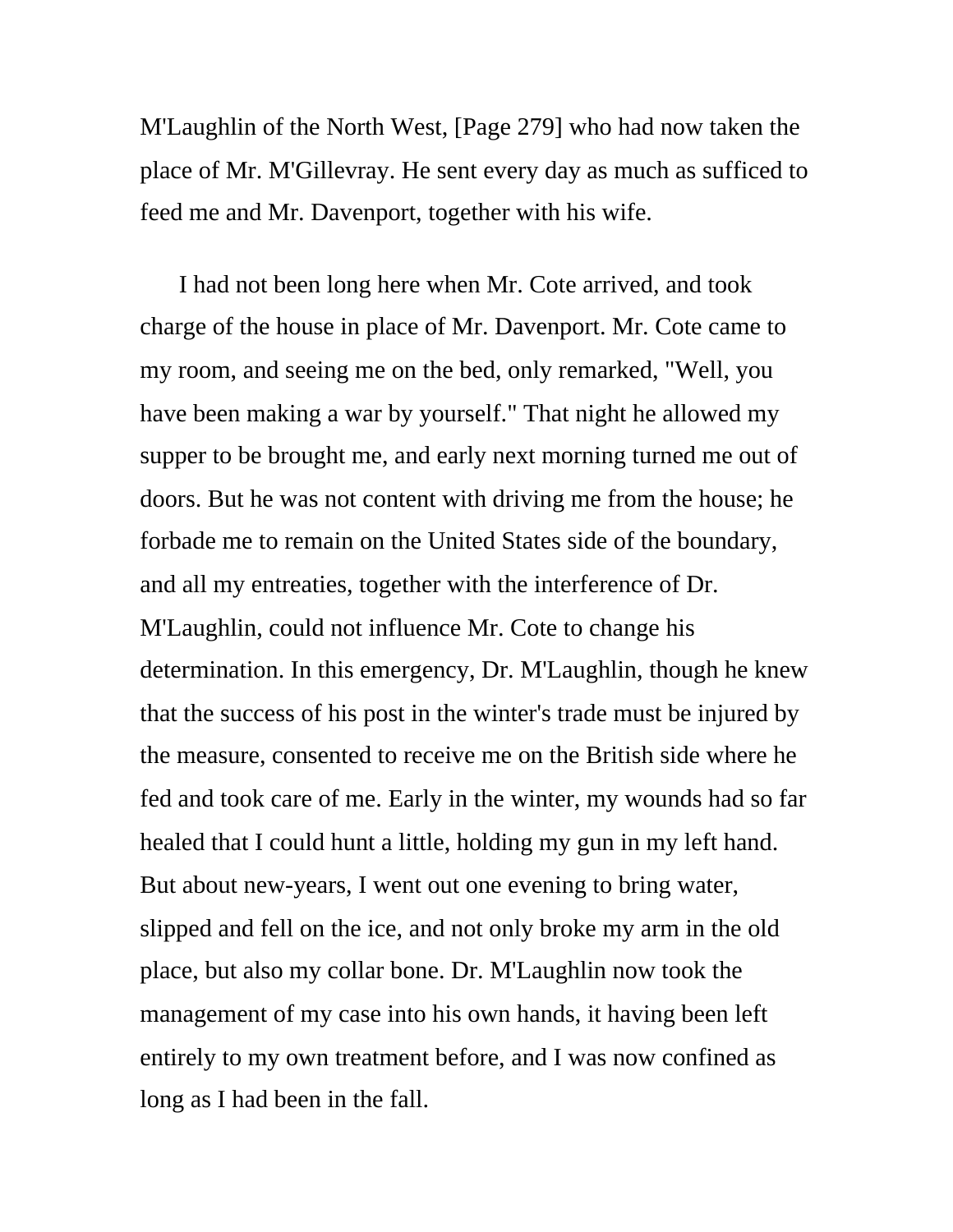M'Laughlin of the North West, [Page 279] who had now taken the place of Mr. M'Gillevray. He sent every day as much as sufficed to feed me and Mr. Davenport, together with his wife.

I had not been long here when Mr. Cote arrived, and took charge of the house in place of Mr. Davenport. Mr. Cote came to my room, and seeing me on the bed, only remarked, "Well, you have been making a war by yourself." That night he allowed my supper to be brought me, and early next morning turned me out of doors. But he was not content with driving me from the house; he forbade me to remain on the United States side of the boundary, and all my entreaties, together with the interference of Dr. M'Laughlin, could not influence Mr. Cote to change his determination. In this emergency, Dr. M'Laughlin, though he knew that the success of his post in the winter's trade must be injured by the measure, consented to receive me on the British side where he fed and took care of me. Early in the winter, my wounds had so far healed that I could hunt a little, holding my gun in my left hand. But about new-years, I went out one evening to bring water, slipped and fell on the ice, and not only broke my arm in the old place, but also my collar bone. Dr. M'Laughlin now took the management of my case into his own hands, it having been left entirely to my own treatment before, and I was now confined as long as I had been in the fall.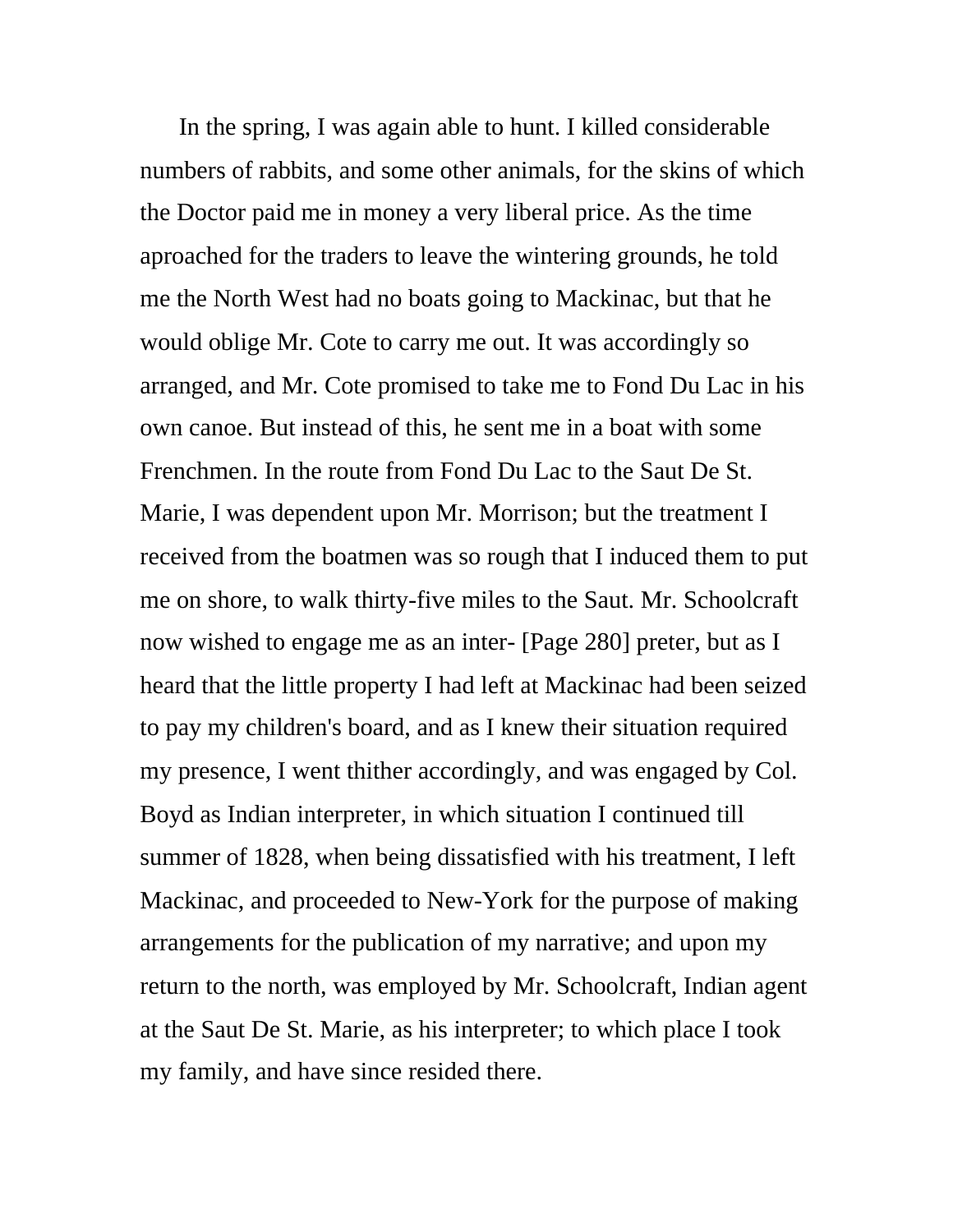In the spring, I was again able to hunt. I killed considerable numbers of rabbits, and some other animals, for the skins of which the Doctor paid me in money a very liberal price. As the time aproached for the traders to leave the wintering grounds, he told me the North West had no boats going to Mackinac, but that he would oblige Mr. Cote to carry me out. It was accordingly so arranged, and Mr. Cote promised to take me to Fond Du Lac in his own canoe. But instead of this, he sent me in a boat with some Frenchmen. In the route from Fond Du Lac to the Saut De St. Marie, I was dependent upon Mr. Morrison; but the treatment I received from the boatmen was so rough that I induced them to put me on shore, to walk thirty-five miles to the Saut. Mr. Schoolcraft now wished to engage me as an inter- [Page 280] preter, but as I heard that the little property I had left at Mackinac had been seized to pay my children's board, and as I knew their situation required my presence, I went thither accordingly, and was engaged by Col. Boyd as Indian interpreter, in which situation I continued till summer of 1828, when being dissatisfied with his treatment, I left Mackinac, and proceeded to New-York for the purpose of making arrangements for the publication of my narrative; and upon my return to the north, was employed by Mr. Schoolcraft, Indian agent at the Saut De St. Marie, as his interpreter; to which place I took my family, and have since resided there.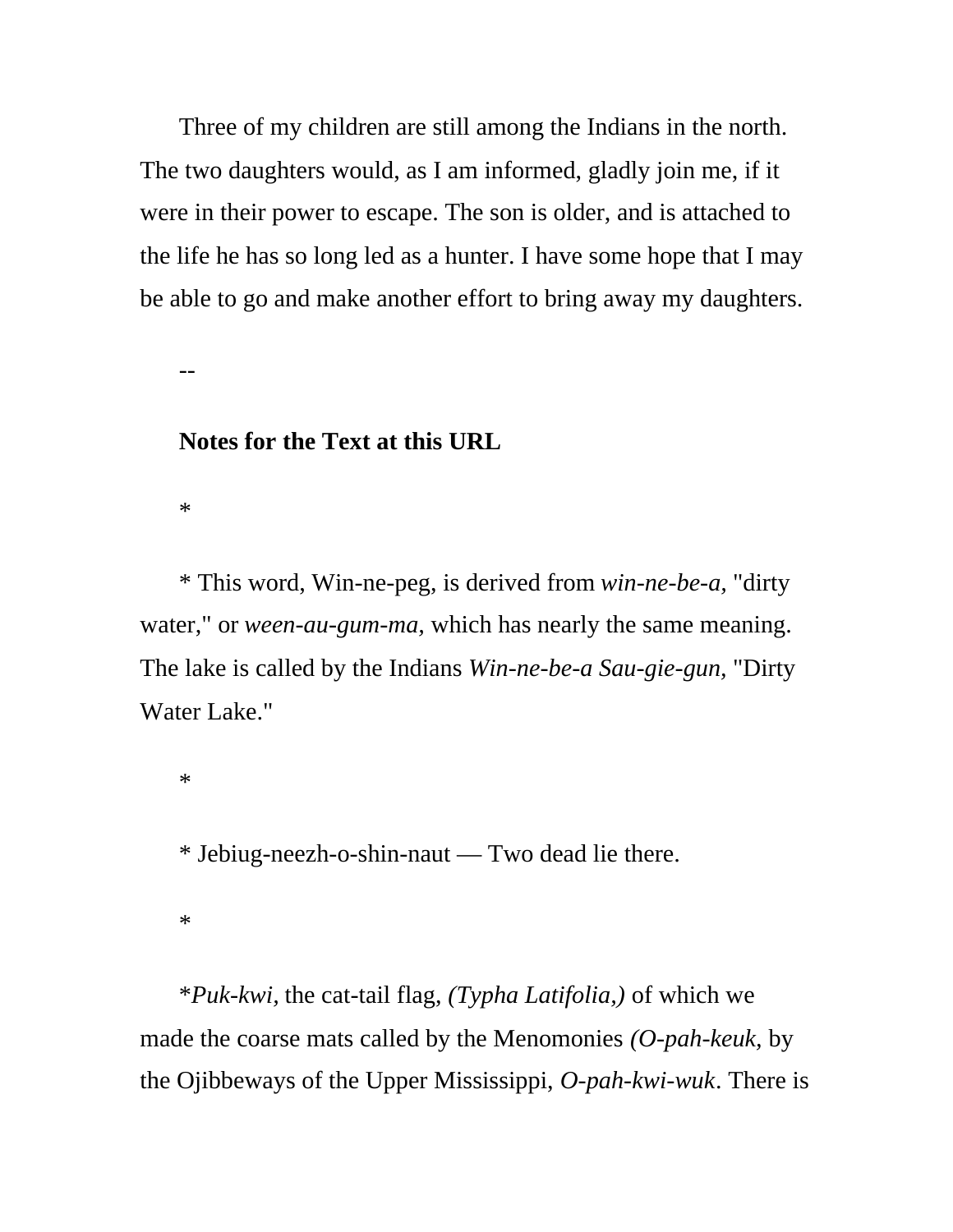Three of my children are still among the Indians in the north. The two daughters would, as I am informed, gladly join me, if it were in their power to escape. The son is older, and is attached to the life he has so long led as a hunter. I have some hope that I may be able to go and make another effort to bring away my daughters.

--

## **Notes for the Text at this URL**

\*

\* This word, Win-ne-peg, is derived from *win-ne-be-a,* "dirty water," or *ween-au-gum-ma,* which has nearly the same meaning. The lake is called by the Indians *Win-ne-be-a Sau-gie-gun,* "Dirty Water Lake."

\*

\* Jebiug-neezh-o-shin-naut — Two dead lie there.

\*

\**Puk-kwi,* the cat-tail flag, *(Typha Latifolia,)* of which we made the coarse mats called by the Menomonies *(O-pah-keuk,* by the Ojibbeways of the Upper Mississippi, *O-pah-kwi-wuk*. There is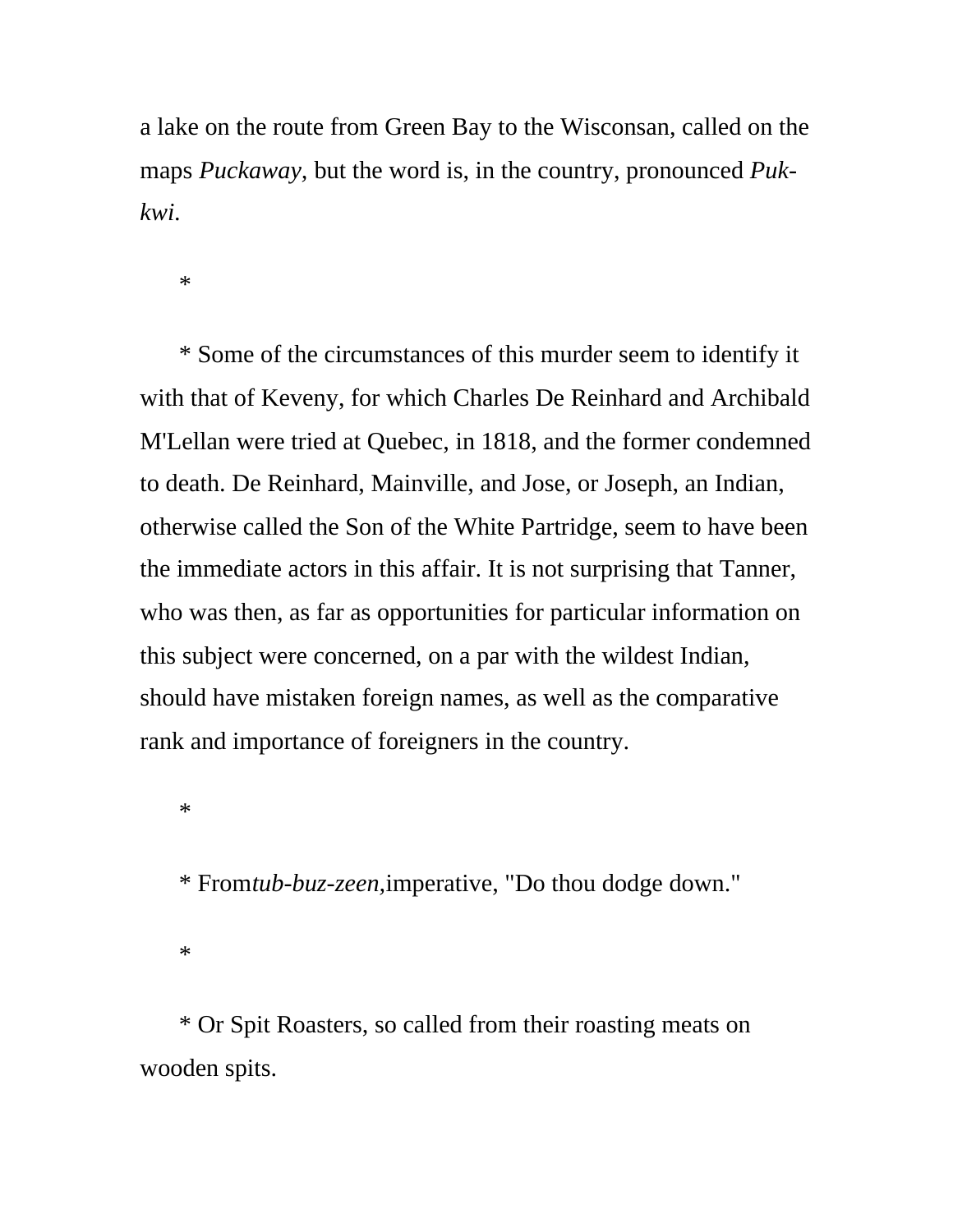a lake on the route from Green Bay to the Wisconsan, called on the maps *Puckaway,* but the word is, in the country, pronounced *Pukkwi*.

\*

\* Some of the circumstances of this murder seem to identify it with that of Keveny, for which Charles De Reinhard and Archibald M'Lellan were tried at Quebec, in 1818, and the former condemned to death. De Reinhard, Mainville, and Jose, or Joseph, an Indian, otherwise called the Son of the White Partridge, seem to have been the immediate actors in this affair. It is not surprising that Tanner, who was then, as far as opportunities for particular information on this subject were concerned, on a par with the wildest Indian, should have mistaken foreign names, as well as the comparative rank and importance of foreigners in the country.

\*

\* From*tub-buz-zeen,*imperative, "Do thou dodge down."

\*

\* Or Spit Roasters, so called from their roasting meats on wooden spits.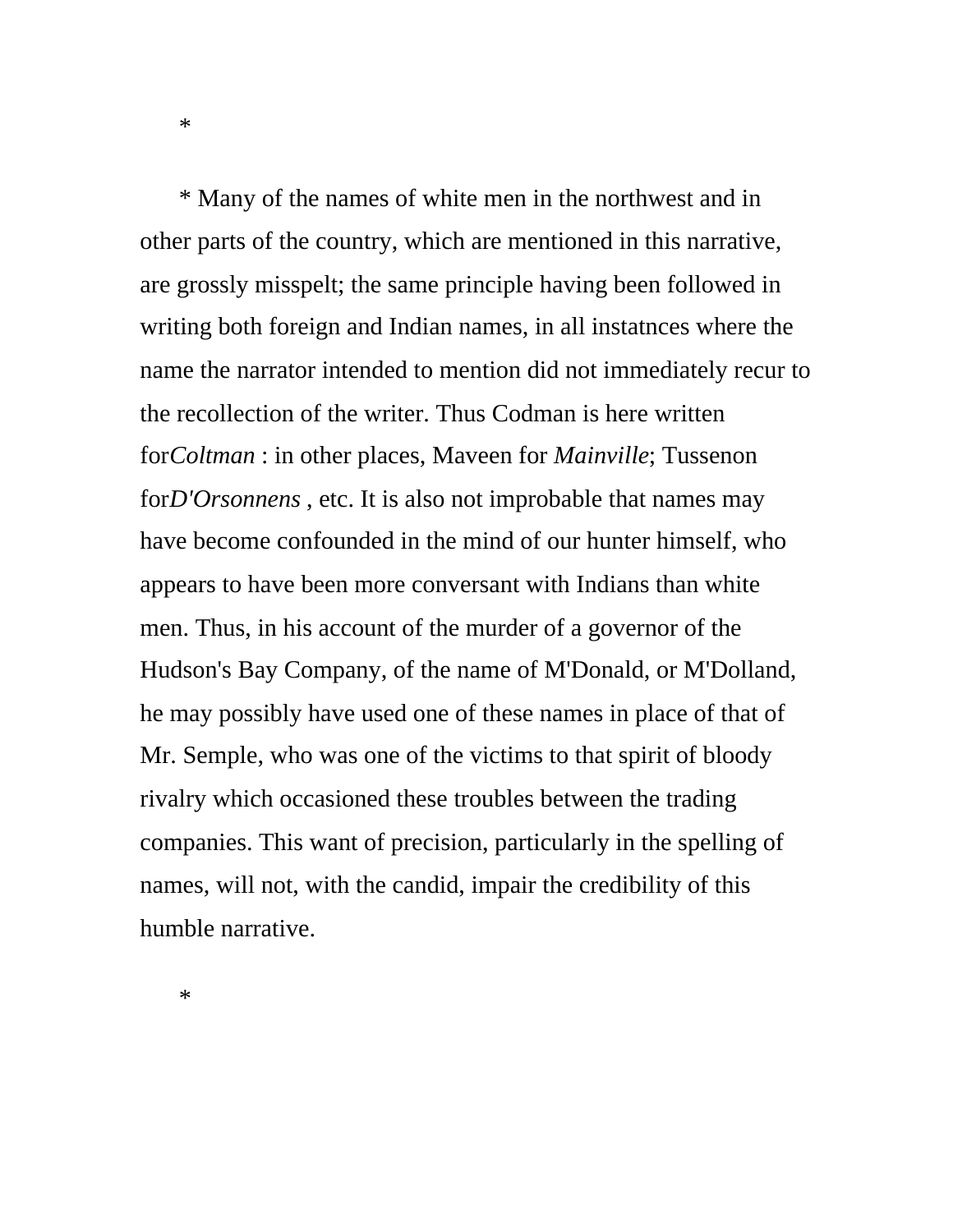\* Many of the names of white men in the northwest and in other parts of the country, which are mentioned in this narrative, are grossly misspelt; the same principle having been followed in writing both foreign and Indian names, in all instatnces where the name the narrator intended to mention did not immediately recur to the recollection of the writer. Thus Codman is here written for*Coltman* : in other places, Maveen for *Mainville*; Tussenon for*D'Orsonnens* , etc. It is also not improbable that names may have become confounded in the mind of our hunter himself, who appears to have been more conversant with Indians than white men. Thus, in his account of the murder of a governor of the Hudson's Bay Company, of the name of M'Donald, or M'Dolland, he may possibly have used one of these names in place of that of Mr. Semple, who was one of the victims to that spirit of bloody rivalry which occasioned these troubles between the trading companies. This want of precision, particularly in the spelling of names, will not, with the candid, impair the credibility of this humble narrative.

\*

\*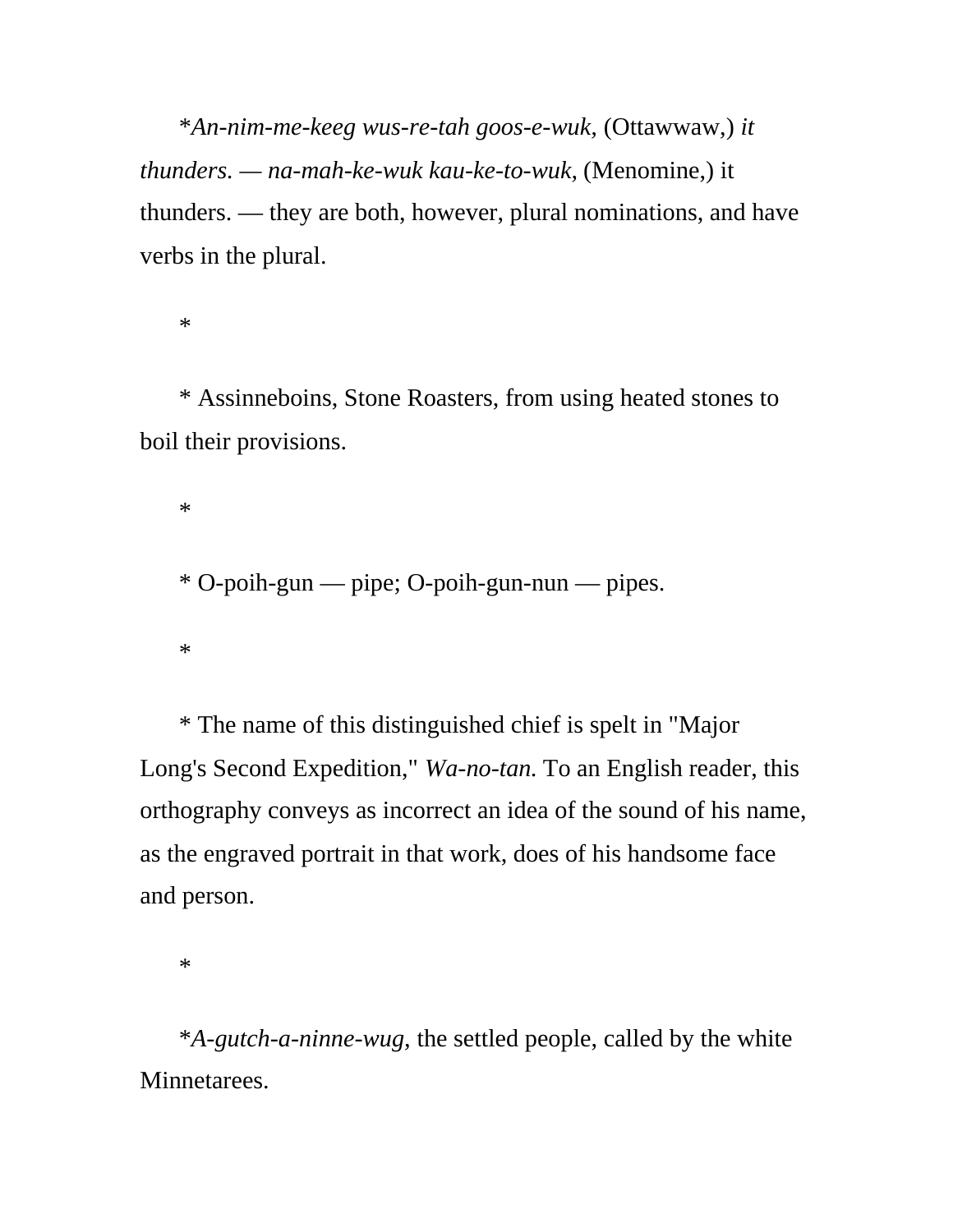\**An-nim-me-keeg wus-re-tah goos-e-wuk,* (Ottawwaw,) *it thunders. — na-mah-ke-wuk kau-ke-to-wuk,* (Menomine,) it thunders. — they are both, however, plural nominations, and have verbs in the plural.

\*

\* Assinneboins, Stone Roasters, from using heated stones to boil their provisions.

\*

\* O-poih-gun — pipe; O-poih-gun-nun — pipes.

\*

\* The name of this distinguished chief is spelt in "Major Long's Second Expedition," *Wa-no-tan*. To an English reader, this orthography conveys as incorrect an idea of the sound of his name, as the engraved portrait in that work, does of his handsome face and person.

\*

\**A-gutch-a-ninne-wug,* the settled people, called by the white Minnetarees.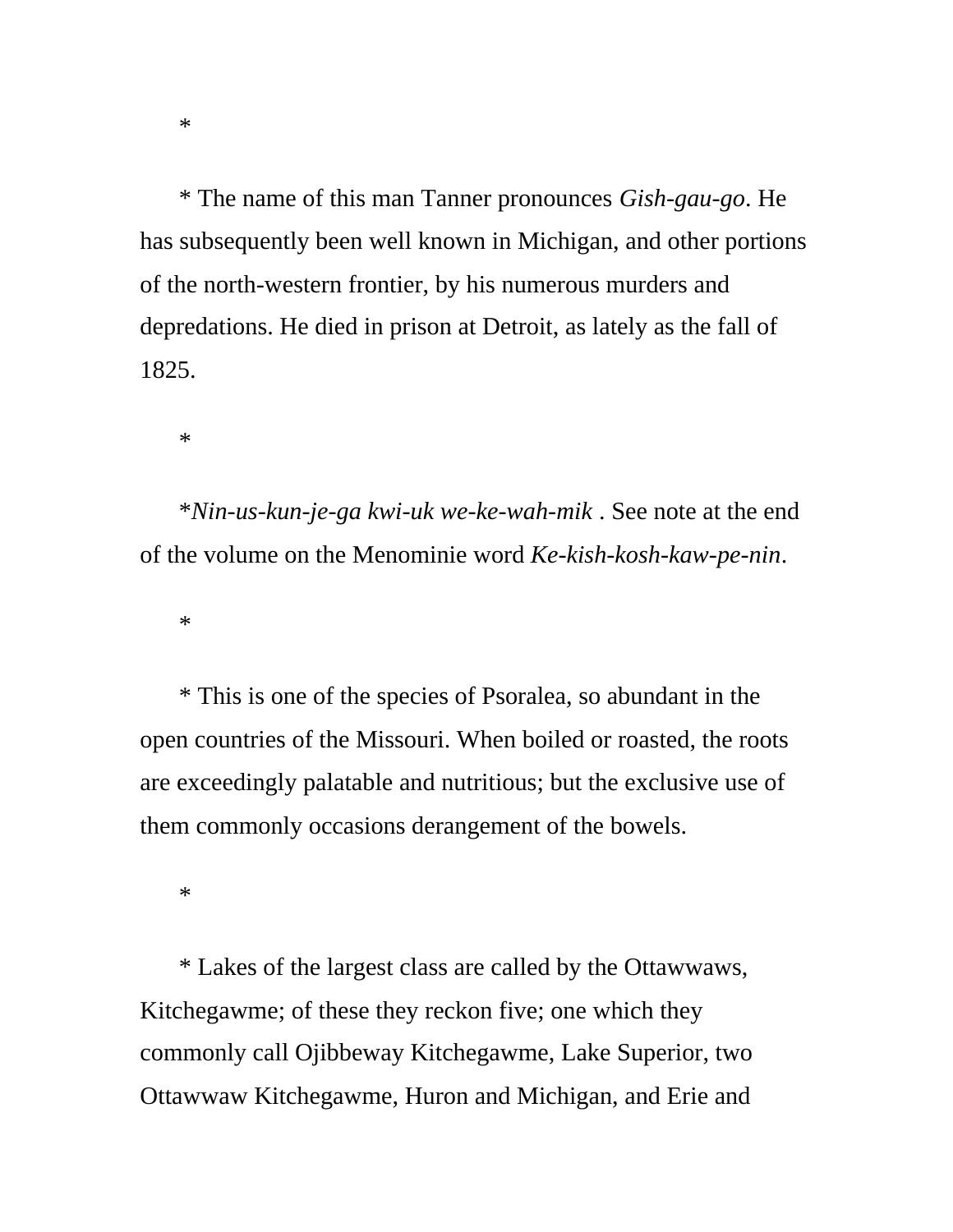\* The name of this man Tanner pronounces *Gish-gau-go*. He has subsequently been well known in Michigan, and other portions of the north-western frontier, by his numerous murders and depredations. He died in prison at Detroit, as lately as the fall of 1825.

\*

\**Nin-us-kun-je-ga kwi-uk we-ke-wah-mik* . See note at the end of the volume on the Menominie word *Ke-kish-kosh-kaw-pe-nin*.

\*

\* This is one of the species of Psoralea, so abundant in the open countries of the Missouri. When boiled or roasted, the roots are exceedingly palatable and nutritious; but the exclusive use of them commonly occasions derangement of the bowels.

\*

\* Lakes of the largest class are called by the Ottawwaws, Kitchegawme; of these they reckon five; one which they commonly call Ojibbeway Kitchegawme, Lake Superior, two Ottawwaw Kitchegawme, Huron and Michigan, and Erie and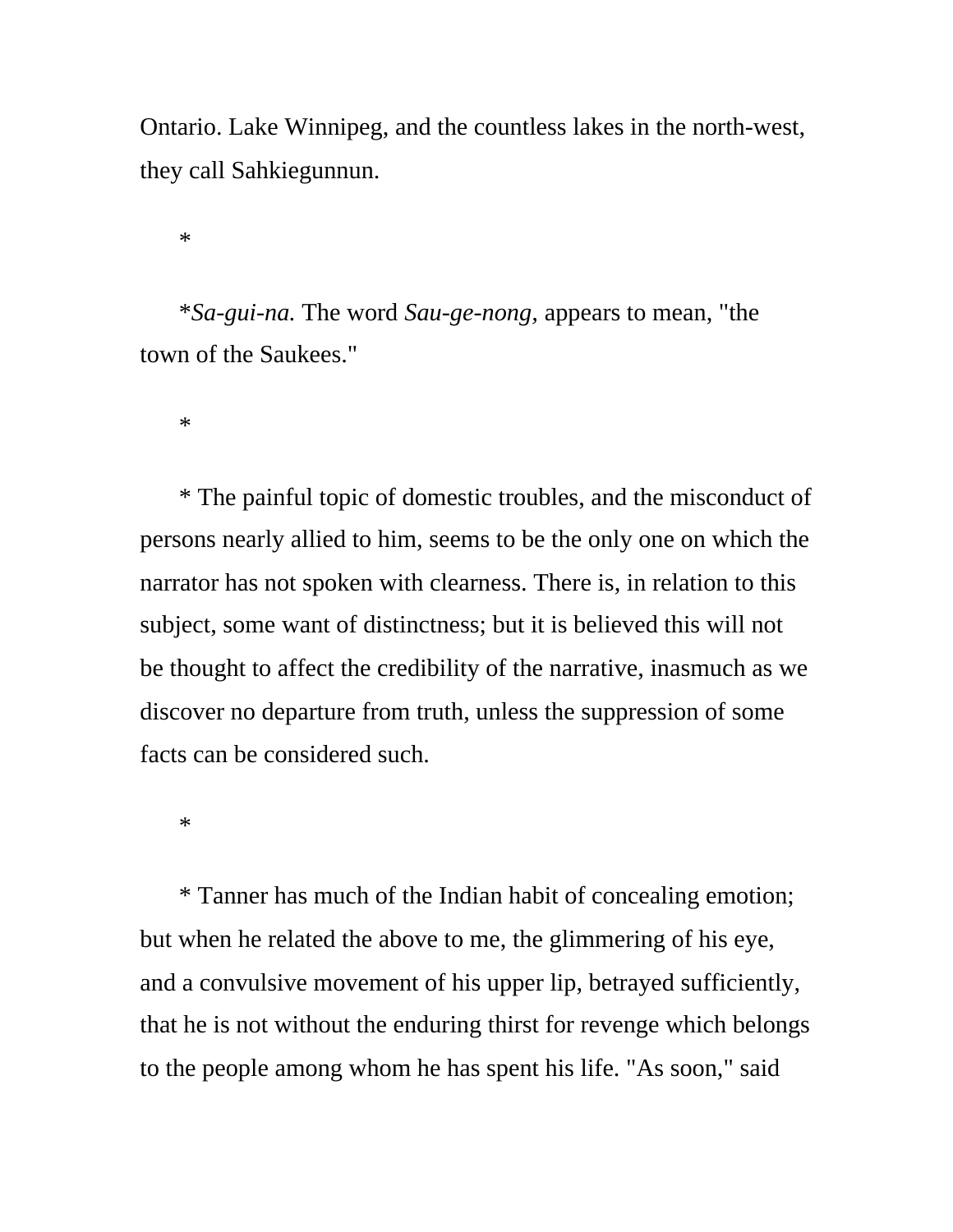Ontario. Lake Winnipeg, and the countless lakes in the north-west, they call Sahkiegunnun.

\*

\**Sa-gui-na.* The word *Sau-ge-nong,* appears to mean, "the town of the Saukees."

\*

\* The painful topic of domestic troubles, and the misconduct of persons nearly allied to him, seems to be the only one on which the narrator has not spoken with clearness. There is, in relation to this subject, some want of distinctness; but it is believed this will not be thought to affect the credibility of the narrative, inasmuch as we discover no departure from truth, unless the suppression of some facts can be considered such.

\*

\* Tanner has much of the Indian habit of concealing emotion; but when he related the above to me, the glimmering of his eye, and a convulsive movement of his upper lip, betrayed sufficiently, that he is not without the enduring thirst for revenge which belongs to the people among whom he has spent his life. "As soon," said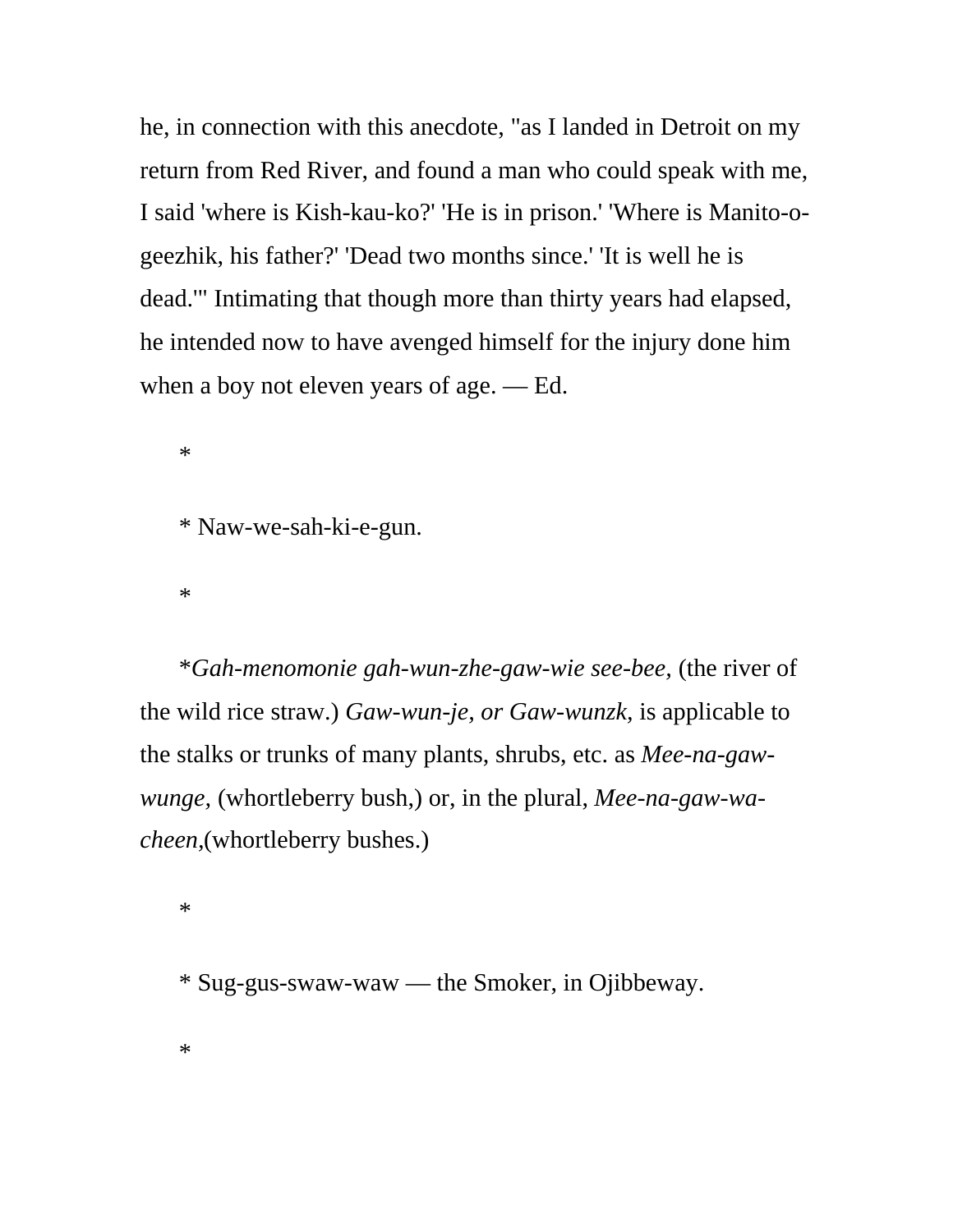he, in connection with this anecdote, "as I landed in Detroit on my return from Red River, and found a man who could speak with me, I said 'where is Kish-kau-ko?' 'He is in prison.' 'Where is Manito-ogeezhik, his father?' 'Dead two months since.' 'It is well he is dead.'" Intimating that though more than thirty years had elapsed, he intended now to have avenged himself for the injury done him when a boy not eleven years of age. — Ed.

\* Naw-we-sah-ki-e-gun.

\*

\*

\**Gah-menomonie gah-wun-zhe-gaw-wie see-bee,* (the river of the wild rice straw.) *Gaw-wun-je, or Gaw-wunzk,* is applicable to the stalks or trunks of many plants, shrubs, etc. as *Mee-na-gawwunge,* (whortleberry bush,) or, in the plural, *Mee-na-gaw-wacheen,*(whortleberry bushes.)

\*

\* Sug-gus-swaw-waw — the Smoker, in Ojibbeway.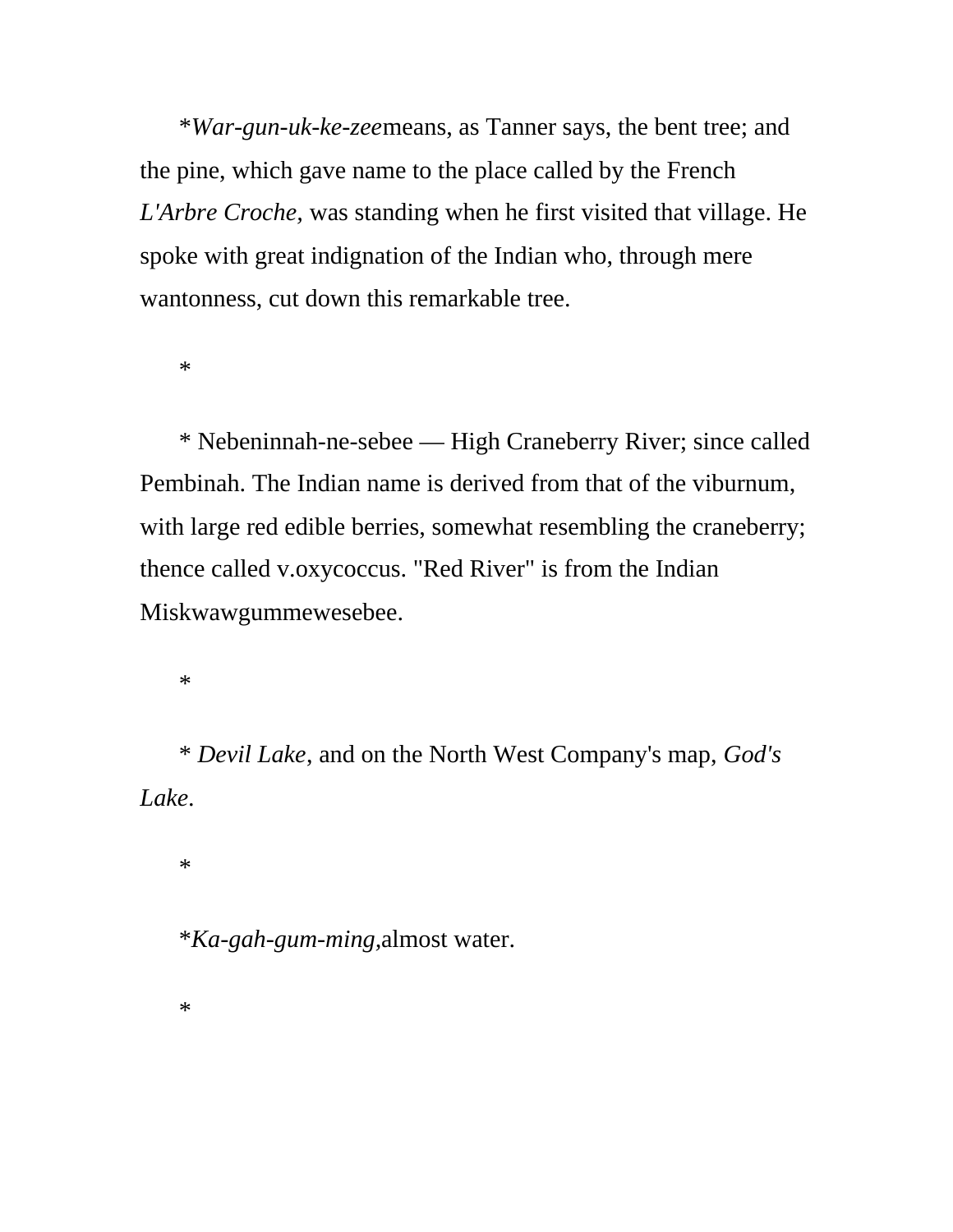\**War-gun-uk-ke-zee*means, as Tanner says, the bent tree; and the pine, which gave name to the place called by the French *L'Arbre Croche,* was standing when he first visited that village. He spoke with great indignation of the Indian who, through mere wantonness, cut down this remarkable tree.

\*

\* Nebeninnah-ne-sebee — High Craneberry River; since called Pembinah. The Indian name is derived from that of the viburnum, with large red edible berries, somewhat resembling the craneberry; thence called v.oxycoccus. "Red River" is from the Indian Miskwawgummewesebee.

\*

\* *Devil Lake*, and on the North West Company's map, *God's Lake*.

\*

\**Ka-gah-gum-ming,*almost water.

\*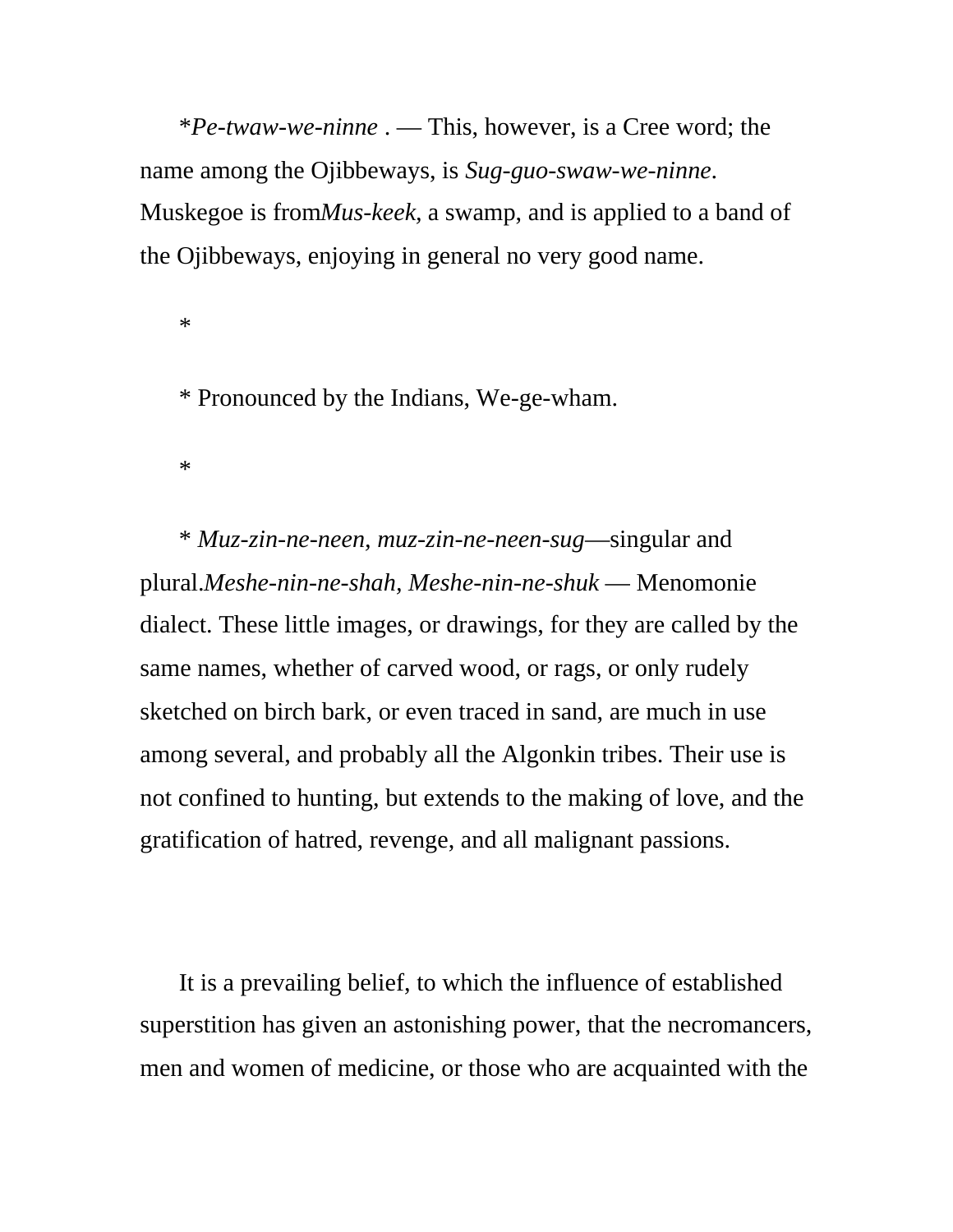\**Pe-twaw-we-ninne* . — This, however, is a Cree word; the name among the Ojibbeways, is *Sug-guo-swaw-we-ninne*. Muskegoe is from*Mus-keek,* a swamp, and is applied to a band of the Ojibbeways, enjoying in general no very good name.

\*

\* Pronounced by the Indians, We-ge-wham.

\*

\* *Muz-zin-ne-neen, muz-zin-ne-neen-sug*—singular and plural.*Meshe-nin-ne-shah, Meshe-nin-ne-shuk* — Menomonie dialect. These little images, or drawings, for they are called by the same names, whether of carved wood, or rags, or only rudely sketched on birch bark, or even traced in sand, are much in use among several, and probably all the Algonkin tribes. Their use is not confined to hunting, but extends to the making of love, and the gratification of hatred, revenge, and all malignant passions.

It is a prevailing belief, to which the influence of established superstition has given an astonishing power, that the necromancers, men and women of medicine, or those who are acquainted with the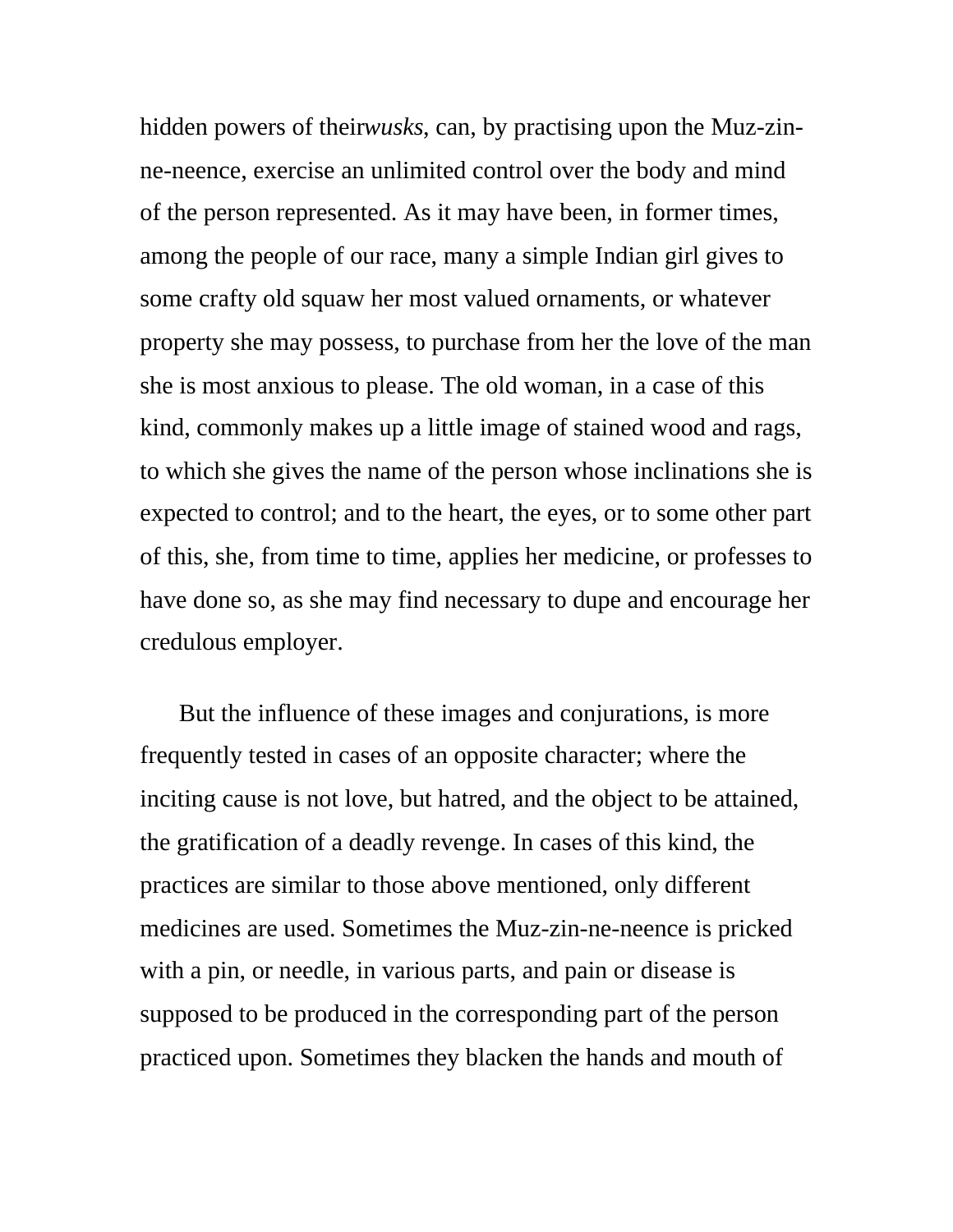hidden powers of their*wusks*, can, by practising upon the Muz-zinne-neence, exercise an unlimited control over the body and mind of the person represented. As it may have been, in former times, among the people of our race, many a simple Indian girl gives to some crafty old squaw her most valued ornaments, or whatever property she may possess, to purchase from her the love of the man she is most anxious to please. The old woman, in a case of this kind, commonly makes up a little image of stained wood and rags, to which she gives the name of the person whose inclinations she is expected to control; and to the heart, the eyes, or to some other part of this, she, from time to time, applies her medicine, or professes to have done so, as she may find necessary to dupe and encourage her credulous employer.

But the influence of these images and conjurations, is more frequently tested in cases of an opposite character; where the inciting cause is not love, but hatred, and the object to be attained, the gratification of a deadly revenge. In cases of this kind, the practices are similar to those above mentioned, only different medicines are used. Sometimes the Muz-zin-ne-neence is pricked with a pin, or needle, in various parts, and pain or disease is supposed to be produced in the corresponding part of the person practiced upon. Sometimes they blacken the hands and mouth of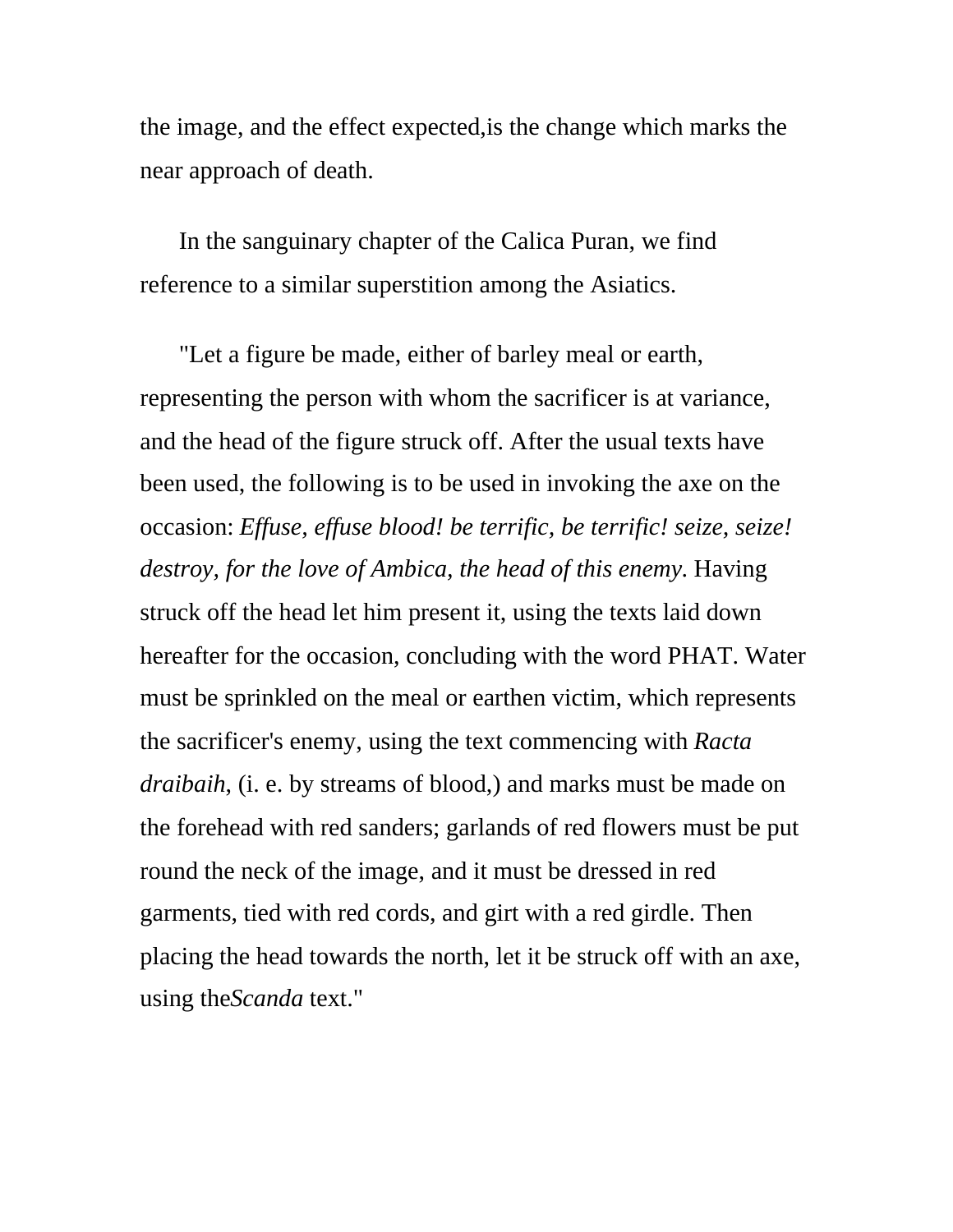the image, and the effect expected,is the change which marks the near approach of death.

In the sanguinary chapter of the Calica Puran, we find reference to a similar superstition among the Asiatics.

"Let a figure be made, either of barley meal or earth, representing the person with whom the sacrificer is at variance, and the head of the figure struck off. After the usual texts have been used, the following is to be used in invoking the axe on the occasion: *Effuse, effuse blood! be terrific, be terrific! seize, seize! destroy, for the love of Ambica, the head of this enemy*. Having struck off the head let him present it, using the texts laid down hereafter for the occasion, concluding with the word PHAT. Water must be sprinkled on the meal or earthen victim, which represents the sacrificer's enemy, using the text commencing with *Racta draibaih*, (i. e. by streams of blood,) and marks must be made on the forehead with red sanders; garlands of red flowers must be put round the neck of the image, and it must be dressed in red garments, tied with red cords, and girt with a red girdle. Then placing the head towards the north, let it be struck off with an axe, using the*Scanda* text."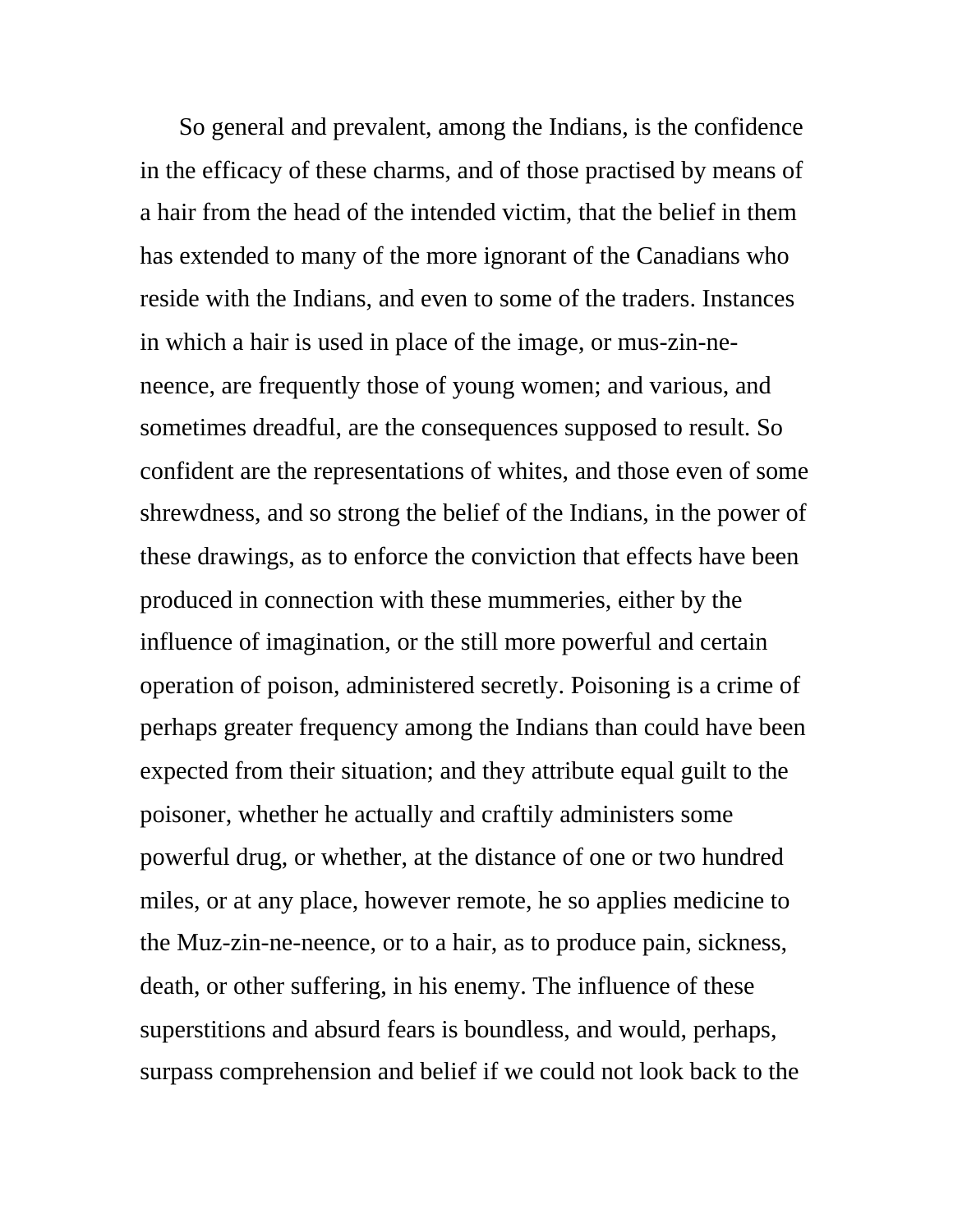So general and prevalent, among the Indians, is the confidence in the efficacy of these charms, and of those practised by means of a hair from the head of the intended victim, that the belief in them has extended to many of the more ignorant of the Canadians who reside with the Indians, and even to some of the traders. Instances in which a hair is used in place of the image, or mus-zin-neneence, are frequently those of young women; and various, and sometimes dreadful, are the consequences supposed to result. So confident are the representations of whites, and those even of some shrewdness, and so strong the belief of the Indians, in the power of these drawings, as to enforce the conviction that effects have been produced in connection with these mummeries, either by the influence of imagination, or the still more powerful and certain operation of poison, administered secretly. Poisoning is a crime of perhaps greater frequency among the Indians than could have been expected from their situation; and they attribute equal guilt to the poisoner, whether he actually and craftily administers some powerful drug, or whether, at the distance of one or two hundred miles, or at any place, however remote, he so applies medicine to the Muz-zin-ne-neence, or to a hair, as to produce pain, sickness, death, or other suffering, in his enemy. The influence of these superstitions and absurd fears is boundless, and would, perhaps, surpass comprehension and belief if we could not look back to the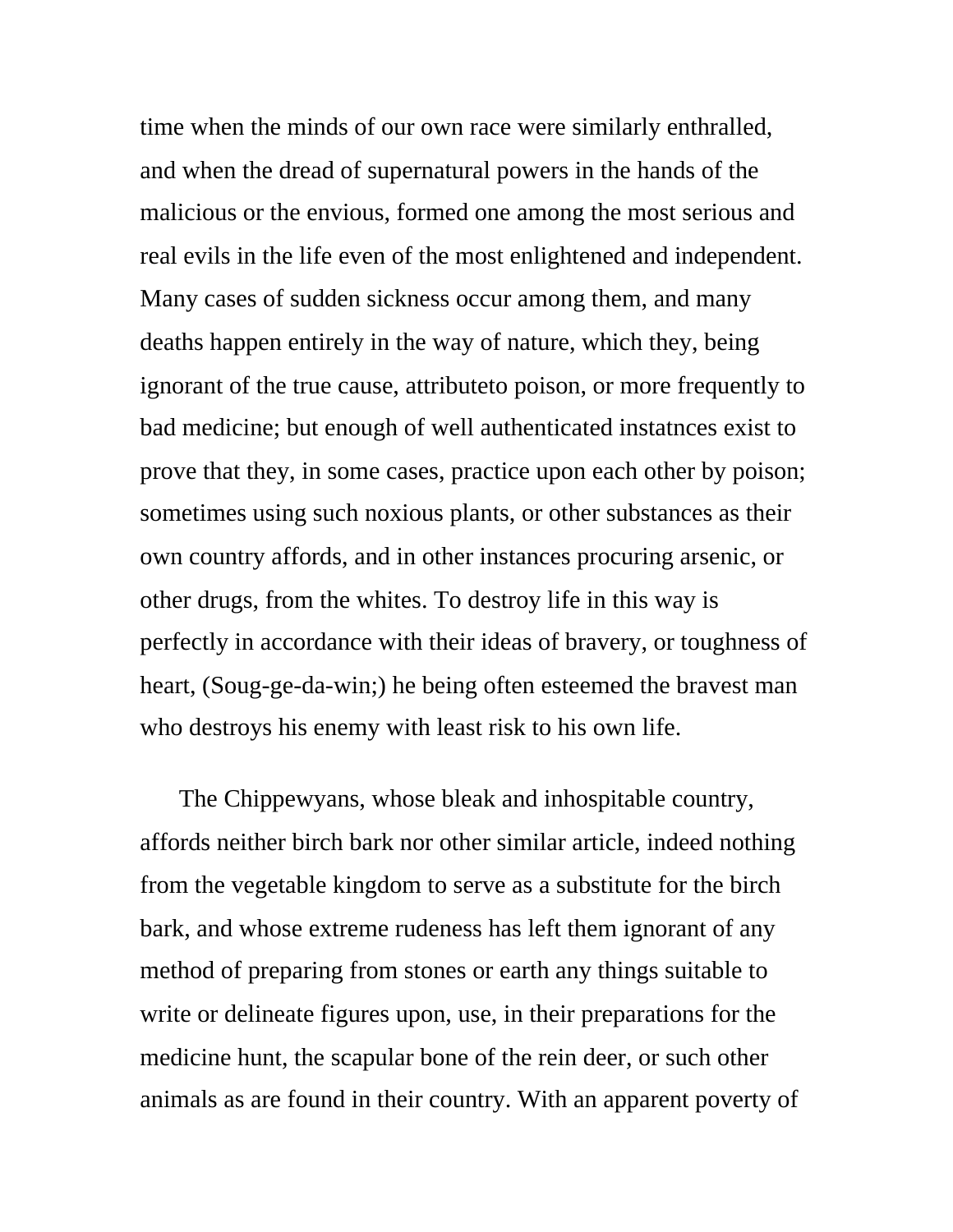time when the minds of our own race were similarly enthralled, and when the dread of supernatural powers in the hands of the malicious or the envious, formed one among the most serious and real evils in the life even of the most enlightened and independent. Many cases of sudden sickness occur among them, and many deaths happen entirely in the way of nature, which they, being ignorant of the true cause, attributeto poison, or more frequently to bad medicine; but enough of well authenticated instatnces exist to prove that they, in some cases, practice upon each other by poison; sometimes using such noxious plants, or other substances as their own country affords, and in other instances procuring arsenic, or other drugs, from the whites. To destroy life in this way is perfectly in accordance with their ideas of bravery, or toughness of heart, (Soug-ge-da-win;) he being often esteemed the bravest man who destroys his enemy with least risk to his own life.

The Chippewyans, whose bleak and inhospitable country, affords neither birch bark nor other similar article, indeed nothing from the vegetable kingdom to serve as a substitute for the birch bark, and whose extreme rudeness has left them ignorant of any method of preparing from stones or earth any things suitable to write or delineate figures upon, use, in their preparations for the medicine hunt, the scapular bone of the rein deer, or such other animals as are found in their country. With an apparent poverty of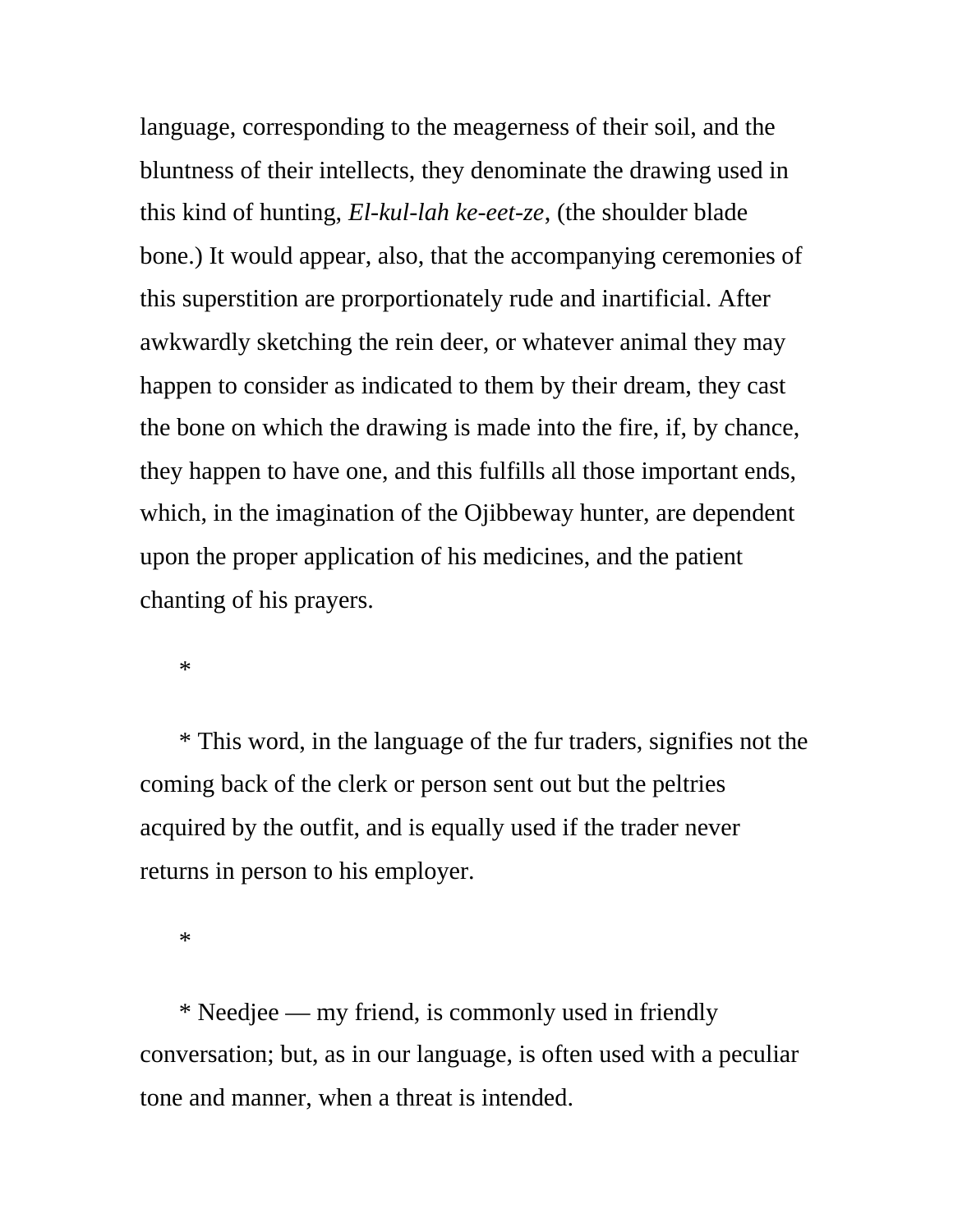language, corresponding to the meagerness of their soil, and the bluntness of their intellects, they denominate the drawing used in this kind of hunting, *El-kul-lah ke-eet-ze*, (the shoulder blade bone.) It would appear, also, that the accompanying ceremonies of this superstition are prorportionately rude and inartificial. After awkwardly sketching the rein deer, or whatever animal they may happen to consider as indicated to them by their dream, they cast the bone on which the drawing is made into the fire, if, by chance, they happen to have one, and this fulfills all those important ends, which, in the imagination of the Ojibbeway hunter, are dependent upon the proper application of his medicines, and the patient chanting of his prayers.

\*

\* This word, in the language of the fur traders, signifies not the coming back of the clerk or person sent out but the peltries acquired by the outfit, and is equally used if the trader never returns in person to his employer.

\*

\* Needjee — my friend, is commonly used in friendly conversation; but, as in our language, is often used with a peculiar tone and manner, when a threat is intended.